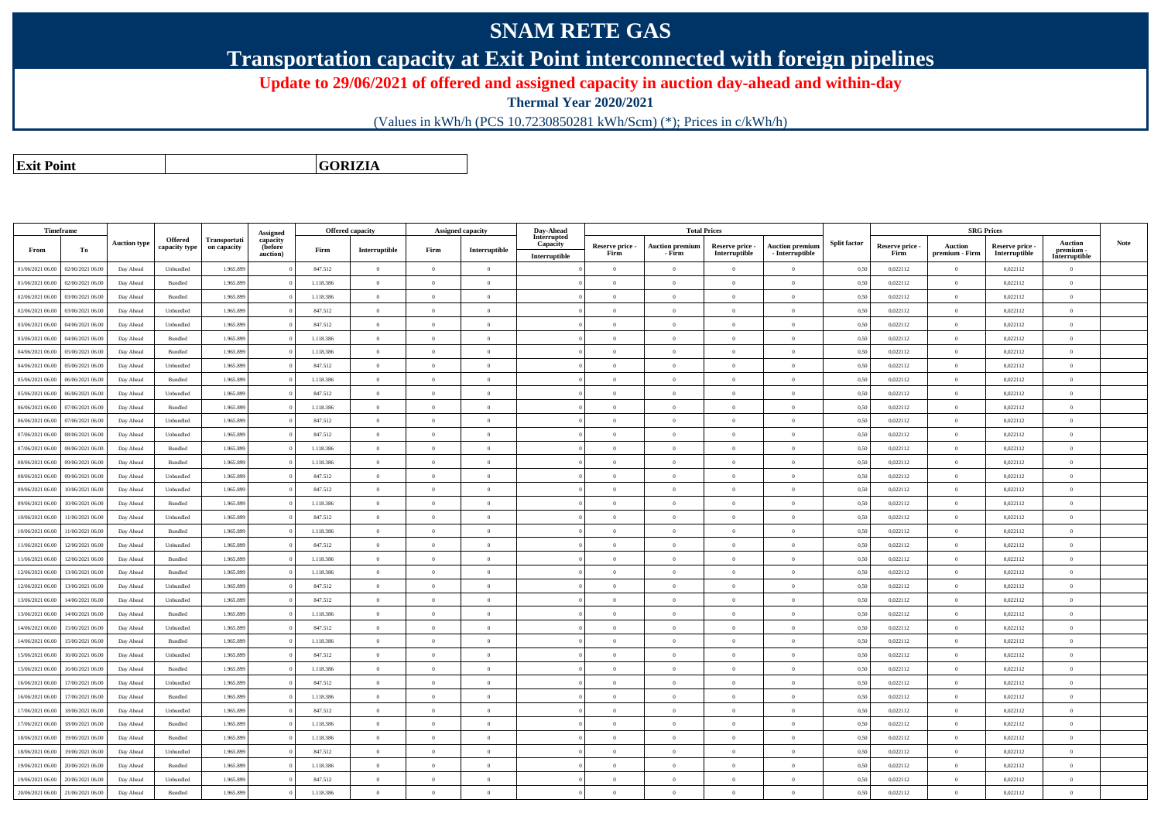## **SNAM RETE GAS**

**Transportation capacity at Exit Point interconnected with foreign pipelines**

**Update to 29/06/2021 of offered and assigned capacity in auction day-ahead and within-day**

**Thermal Year 2020/2021**

(Values in kWh/h (PCS 10.7230850281 kWh/Scm) (\*); Prices in c/kWh/h)

**Exit PointGORIZIA**

|                  | Timeframe        |                     |                                 |                             | Assigned                        |           | <b>Offered capacity</b> |                | <b>Assigned capacity</b> | Day-Ahead                                |                         | <b>Total Prices</b>              |                                  |                                           |                     |                         |                           | <b>SRG Prices</b>                |                                       |      |
|------------------|------------------|---------------------|---------------------------------|-----------------------------|---------------------------------|-----------|-------------------------|----------------|--------------------------|------------------------------------------|-------------------------|----------------------------------|----------------------------------|-------------------------------------------|---------------------|-------------------------|---------------------------|----------------------------------|---------------------------------------|------|
| From             | To               | <b>Auction type</b> | <b>Offered</b><br>capacity type | Transportati<br>on capacity | capacity<br>(before<br>auction) | Firm      | Interruptible           | Firm           | Interruptible            | Interrupted<br>Capacity<br>Interruptible | Reserve price -<br>Firm | <b>Auction premiun</b><br>- Firm | Reserve price -<br>Interruptible | <b>Auction premium</b><br>- Interruptible | <b>Split factor</b> | Reserve price -<br>Firm | Auction<br>premium - Firm | Reserve price -<br>Interruptible | Auction<br>premium -<br>Interruptible | Note |
| 01/06/2021 06:00 | 02/06/2021 06.00 | Day Ahead           | Unbundled                       | 1.965.899                   |                                 | 847.512   | $\overline{0}$          | $\overline{0}$ | $\overline{0}$           |                                          | $\overline{0}$          | $\mathbf{0}$                     | $\overline{0}$                   | $\theta$                                  | 0,50                | 0,022112                | $\overline{0}$            | 0,022112                         | $\Omega$                              |      |
| 01/06/2021 06:00 | 02/06/2021 06:00 | Day Ahead           | Bundled                         | 1.965.899                   |                                 | 1.118.386 | $\theta$                | $\Omega$       | $\Omega$                 |                                          | $\theta$                | $\theta$                         | $\theta$                         | $\theta$                                  | 0,50                | 0,022112                | $\overline{0}$            | 0,022112                         | $\Omega$                              |      |
| 02/06/2021 06:00 | 03/06/2021 06:00 | Day Ahead           | Bundled                         | 1.965.899                   |                                 | 1.118.386 | $\overline{0}$          | $\Omega$       | $\Omega$                 |                                          | $\theta$                | $\theta$                         | $\theta$                         | $\theta$                                  | 0,50                | 0,022112                | $\overline{0}$            | 0,022112                         | $\theta$                              |      |
| 02/06/2021 06:00 | 03/06/2021 06:00 | Day Ahead           | Unbundled                       | 1.965.899                   |                                 | 847.512   | $\theta$                | $\Omega$       | $\Omega$                 |                                          | $\theta$                | $\theta$                         | $\theta$                         | $\theta$                                  | 0,50                | 0,022112                | $\theta$                  | 0,022112                         | $\theta$                              |      |
| 03/06/2021 06:00 | 04/06/2021 06.0  | Day Ahead           | Unbundled                       | 1.965.899                   |                                 | 847.512   | $\theta$                | $\Omega$       | $\sqrt{2}$               |                                          | $\theta$                | $\Omega$                         | $\overline{0}$                   | $\theta$                                  | 0,50                | 0,022112                | $\theta$                  | 0,022112                         | $\Omega$                              |      |
| 03/06/2021 06:00 | 04/06/2021 06.0  | Day Ahead           | Bundled                         | 1.965.899                   |                                 | 1.118.386 | $\Omega$                | $\overline{0}$ | $\Omega$                 |                                          | $\theta$                | $\Omega$                         | $\overline{0}$                   | $\bf{0}$                                  | 0,50                | 0,022112                | $\theta$                  | 0,022112                         | $\Omega$                              |      |
| 04/06/2021 06:00 | 05/06/2021 06.0  | Day Ahead           | Bundled                         | 1.965.899                   |                                 | 1.118.386 | $\overline{0}$          | $\overline{0}$ | $\Omega$                 |                                          | $\theta$                | $\Omega$                         | $\overline{0}$                   | $\overline{0}$                            | 0,50                | 0,022112                | $\overline{0}$            | 0,022112                         | $\mathbf{0}$                          |      |
| 04/06/2021 06:00 | 05/06/2021 06.00 | Day Ahead           | Unbundled                       | 1.965.899                   |                                 | 847.512   | $\overline{0}$          | $\overline{0}$ | $\Omega$                 |                                          | $\theta$                | $\theta$                         | $\overline{0}$                   | $\overline{0}$                            | 0,50                | 0,022112                | $\overline{0}$            | 0,022112                         | $\mathbf{0}$                          |      |
| 05/06/2021 06:00 | 06/06/2021 06.0  | Day Ahead           | Bundled                         | 1.965.899                   |                                 | 1.118.386 | $\theta$                | $\theta$       | $\Omega$                 |                                          | $\Omega$                | $\Omega$                         | $\theta$                         | $\theta$                                  | 0,50                | 0,022112                | $\theta$                  | 0,022112                         | $\Omega$                              |      |
| 05/06/2021 06:00 | 06/06/2021 06.0  | Day Ahead           | Unbundled                       | 1.965.899                   |                                 | 847.512   | $\overline{0}$          | $\theta$       | $\overline{0}$           |                                          | $\overline{0}$          | $\theta$                         | $\overline{0}$                   | $\overline{0}$                            | 0,50                | 0,022112                | $\overline{0}$            | 0,022112                         | $\mathbf{0}$                          |      |
| 06/06/2021 06:00 | 07/06/2021 06.0  | Day Ahead           | Bundled                         | 1.965.899                   |                                 | 1.118.386 | $\theta$                | $\overline{0}$ | $\Omega$                 |                                          | $\Omega$                | $\theta$                         | $\overline{0}$                   | $\theta$                                  | 0,50                | 0,022112                | $\theta$                  | 0,022112                         | $\Omega$                              |      |
| 06/06/2021 06:00 | 07/06/2021 06:00 | Day Ahead           | Unbundled                       | 1.965.899                   |                                 | 847.512   | $\overline{0}$          | $\Omega$       | $\Omega$                 |                                          | $\overline{0}$          | $\Omega$                         | $\theta$                         | $\theta$                                  | 0,50                | 0,022112                | $\overline{0}$            | 0.022112                         | $\theta$                              |      |
| 07/06/2021 06:00 | 08/06/2021 06:00 | Day Ahead           | Unbundled                       | 1.965.899                   |                                 | 847.512   | $\theta$                | $\Omega$       | $\Omega$                 |                                          | $\theta$                | $\Omega$                         | $\theta$                         | $\theta$                                  | 0,50                | 0,022112                | $\theta$                  | 0,022112                         | $\Omega$                              |      |
| 07/06/2021 06:00 | 08/06/2021 06:00 | Day Ahead           | Bundled                         | 1.965.899                   |                                 | 1.118.386 | $\overline{0}$          | $\overline{0}$ | $\overline{0}$           |                                          | $\overline{0}$          | $\overline{0}$                   | $\overline{0}$                   | $\overline{0}$                            | 0,50                | 0,022112                | $\overline{0}$            | 0,022112                         | $\overline{0}$                        |      |
| 08/06/2021 06:00 | 09/06/2021 06:0  | Day Ahead           | Bundled                         | 1.965.899                   |                                 | 1.118.386 | $\theta$                | $\theta$       | $\theta$                 |                                          | $\theta$                | $\Omega$                         | $\Omega$                         | $\bf{0}$                                  | 0.50                | 0,022112                | $\overline{0}$            | 0,022112                         | $\Omega$                              |      |
| 08/06/2021 06:00 | 09/06/2021 06.0  | Day Ahead           | Unbundled                       | 1.965.89                    |                                 | 847.512   | $\overline{0}$          | $\,0\,$        | $\Omega$                 |                                          | $\overline{0}$          | $\bf{0}$                         | $\overline{0}$                   | $\bf{0}$                                  | 0,50                | 0,022112                | $\overline{0}$            | 0,022112                         | $\,0\,$                               |      |
| 09/06/2021 06:00 | 10/06/2021 06:0  | Day Ahead           | Unbundled                       | 1.965.899                   |                                 | 847.512   | $\theta$                | $\overline{0}$ | $\theta$                 |                                          | $\theta$                | $\theta$                         | $\Omega$                         | $\overline{0}$                            | 0,50                | 0,022112                | $\theta$                  | 0,022112                         | $\mathbf{0}$                          |      |
| 09/06/2021 06:00 | 10/06/2021 06.0  | Day Ahead           | Bundled                         | 1.965.89                    |                                 | 1.118.386 | $\overline{0}$          | $\overline{0}$ | $\sqrt{2}$               |                                          | $\Omega$                | $\Omega$                         | $\overline{0}$                   | $\theta$                                  | 0,50                | 0,022112                | $\overline{0}$            | 0,022112                         | $\Omega$                              |      |
| 10/06/2021 06:00 | 11/06/2021 06:00 | Day Ahead           | Unbundled                       | 1.965.899                   |                                 | 847.512   | $\overline{0}$          | $\theta$       | $\overline{0}$           |                                          | $\overline{0}$          | $\overline{0}$                   | $\overline{0}$                   | $\overline{0}$                            | 0,50                | 0,022112                | $\overline{0}$            | 0,022112                         | $\mathbf{0}$                          |      |
| 10/06/2021 06:00 | 11/06/2021 06.0  | Day Ahead           | Bundled                         | 1.965.89                    |                                 | 1.118.386 | $\overline{0}$          | $\overline{0}$ | $\Omega$                 |                                          | $\overline{0}$          | $\theta$                         | $\overline{0}$                   | $\overline{0}$                            | 0,50                | 0,022112                | $\overline{0}$            | 0,022112                         | $\mathbf{0}$                          |      |
| 11/06/2021 06:00 | 12/06/2021 06:00 | Day Ahead           | Unbundled                       | 1.965.899                   |                                 | 847.512   | $\theta$                | $\Omega$       | $\Omega$                 |                                          | $\Omega$                | $\Omega$                         | $\Omega$                         | $\theta$                                  | 0,50                | 0,022112                | $\theta$                  | 0,022112                         | $\Omega$                              |      |
| 11/06/2021 06:00 | 12/06/2021 06:00 | Day Ahead           | Bundled                         | 1.965.899                   |                                 | 1.118.386 | $\overline{0}$          | $\overline{0}$ | $\Omega$                 |                                          | $\Omega$                | $\theta$                         | $\overline{0}$                   | $\overline{0}$                            | 0.50                | 0.022112                | $\theta$                  | 0.022112                         | $\mathbf{0}$                          |      |
| 12/06/2021 06:00 | 13/06/2021 06:00 | Day Ahead           | Bundled                         | 1.965.899                   |                                 | 1.118.386 | $\overline{0}$          | $\overline{0}$ | $\Omega$                 |                                          | $\Omega$                | $\mathbf{0}$                     | $\overline{0}$                   | $\overline{0}$                            | 0,50                | 0,022112                | $\overline{0}$            | 0,022112                         | $\mathbf{0}$                          |      |
| 12/06/2021 06:00 | 13/06/2021 06:00 | Day Ahead           | Unbundled                       | 1.965.899                   |                                 | 847.512   | $\theta$                | $\Omega$       | $\sqrt{2}$               |                                          | $\Omega$                | $\Omega$                         | $\theta$                         | $\theta$                                  | 0.50                | 0,022112                | $\overline{0}$            | 0,022112                         | $\theta$                              |      |
| 13/06/2021 06:00 | 14/06/2021 06:00 | Day Ahead           | Unbundled                       | 1.965.899                   |                                 | 847.512   | $\overline{0}$          | $\overline{0}$ | $\theta$                 |                                          | $\overline{0}$          | $\overline{0}$                   | $\overline{0}$                   | $\overline{0}$                            | 0,50                | 0,022112                | $\overline{0}$            | 0,022112                         | $\overline{0}$                        |      |
| 13/06/2021 06:00 | 14/06/2021 06:00 | Day Ahead           | Bundled                         | 1.965.899                   |                                 | 1.118.386 | $\theta$                | $\Omega$       | $\Omega$                 |                                          | $\Omega$                | $\theta$                         | $\theta$                         | $\theta$                                  | 0,50                | 0,022112                | $\Omega$                  | 0,022112                         | $\theta$                              |      |
| 14/06/2021 06:00 | 15/06/2021 06:00 | Day Ahead           | Unbundled                       | 1.965.899                   |                                 | 847.512   | $\theta$                | $\Omega$       | $\sqrt{2}$               |                                          | $\theta$                | $\Omega$                         | $\overline{0}$                   | $\theta$                                  | 0,50                | 0,022112                | $\theta$                  | 0,022112                         | $\Omega$                              |      |
| 14/06/2021 06:00 | 15/06/2021 06.0  | Day Ahead           | Bundled                         | 1.965.899                   |                                 | 1.118.386 | $\overline{0}$          | $\theta$       | $\theta$                 |                                          | $\theta$                | $\theta$                         | $\overline{0}$                   | $\bf{0}$                                  | 0,50                | 0,022112                | $\theta$                  | 0,022112                         | $\Omega$                              |      |
| 15/06/2021 06:00 | 16/06/2021 06.0  | Day Ahead           | Unbundled                       | 1.965.899                   |                                 | 847.512   | $\overline{0}$          | $\mathbf{0}$   | $\sqrt{2}$               |                                          | $\theta$                | $\Omega$                         | $\overline{0}$                   | $\theta$                                  | 0,50                | 0,022112                | $\overline{0}$            | 0,022112                         | $\Omega$                              |      |
| 15/06/2021 06:00 | 16/06/2021 06.0  | Day Ahead           | Bundled                         | 1.965.899                   |                                 | 1.118.386 | $\theta$                | $\overline{0}$ | $\Omega$                 |                                          | $\Omega$                | $\Omega$                         | $\overline{0}$                   | $\overline{0}$                            | 0,50                | 0,022112                | $\theta$                  | 0,022112                         | $\Omega$                              |      |
| 16/06/2021 06:00 | 17/06/2021 06.0  | Day Ahead           | Unbundled                       | 1.965.899                   |                                 | 847.512   | $\theta$                | $\Omega$       | $\Omega$                 |                                          | $\Omega$                | $\theta$                         | $\theta$                         | $\theta$                                  | 0,50                | 0,022112                | $\theta$                  | 0,022112                         | $\Omega$                              |      |
| 16/06/2021 06:00 | 17/06/2021 06.00 | Day Ahead           | $\mathbf B$ undled              | 1.965.899                   |                                 | 1.118.386 | $\overline{0}$          | $\theta$       | $\overline{0}$           |                                          | $\overline{0}$          | $\theta$                         | $\overline{0}$                   | $\overline{0}$                            | 0,50                | 0,022112                | $\overline{0}$            | 0,022112                         | $\mathbf{0}$                          |      |
| 17/06/2021 06:00 | 18/06/2021 06.0  | Day Ahead           | Unbundled                       | 1.965.899                   |                                 | 847.512   | $\theta$                | $\overline{0}$ | $\Omega$                 |                                          | $\Omega$                | $\theta$                         | $\overline{0}$                   | $\theta$                                  | 0,50                | 0,022112                | $\theta$                  | 0,022112                         | $\Omega$                              |      |
| 17/06/2021 06:00 | 18/06/2021 06:00 | Day Ahead           | Bundled                         | 1.965.899                   |                                 | 1.118.386 | $\overline{0}$          | $\Omega$       | $\sqrt{2}$               |                                          | $\overline{0}$          | $\Omega$                         | $\theta$                         | $\theta$                                  | 0,50                | 0.022112                | $\overline{0}$            | 0.022112                         | $\theta$                              |      |
| 18/06/2021 06:00 | 19/06/2021 06:00 | Day Ahead           | Bundled                         | 1.965.899                   |                                 | 1.118.386 | $\overline{0}$          | $\mathbf{0}$   | $\Omega$                 |                                          | $\Omega$                | $\theta$                         | $\overline{0}$                   | $\mathbf{0}$                              | 0,50                | 0,022112                | $\theta$                  | 0,022112                         | $\theta$                              |      |
| 18/06/2021 06:00 | 19/06/2021 06:00 | Day Ahead           | Unbundled                       | 1.965.899                   |                                 | 847.512   | $\overline{0}$          | $\theta$       | $\Omega$                 |                                          | $\overline{0}$          | $\theta$                         | $\theta$                         | $\theta$                                  | 0,50                | 0,022112                | $\overline{0}$            | 0,022112                         | $\mathbf{0}$                          |      |
| 19/06/2021 06:00 | 20/06/2021 06:00 | Day Ahead           | Bundled                         | 1.965.899                   |                                 | 1.118.386 | $\theta$                | $\Omega$       | $\Omega$                 |                                          | $\theta$                | $\mathbf{a}$                     | $\Omega$                         | $\theta$                                  | 0,50                | 0,022112                | $\overline{0}$            | 0,022112                         | $\Omega$                              |      |
| 19/06/2021 06:00 | 20/06/2021 06:00 | Day Ahead           | Unbundled                       | 1.965.899                   |                                 | 847.512   | $\overline{0}$          | $\mathbf{0}$   | $\Omega$                 |                                          | $\overline{0}$          | $\Omega$                         | $\theta$                         | $\overline{0}$                            | 0,50                | 0,022112                | $\overline{0}$            | 0,022112                         | $\mathbf{0}$                          |      |
| 20/06/2021 06:00 | 21/06/2021 06:00 | Day Ahead           | Bundled                         | 1.965.899                   |                                 | 1.118.386 | $\Omega$                | $\Omega$       | $\sqrt{2}$               |                                          | $\theta$                | $\Omega$                         | $\Omega$                         | $\theta$                                  | 0,50                | 0,022112                | $\Omega$                  | 0,022112                         | $\Omega$                              |      |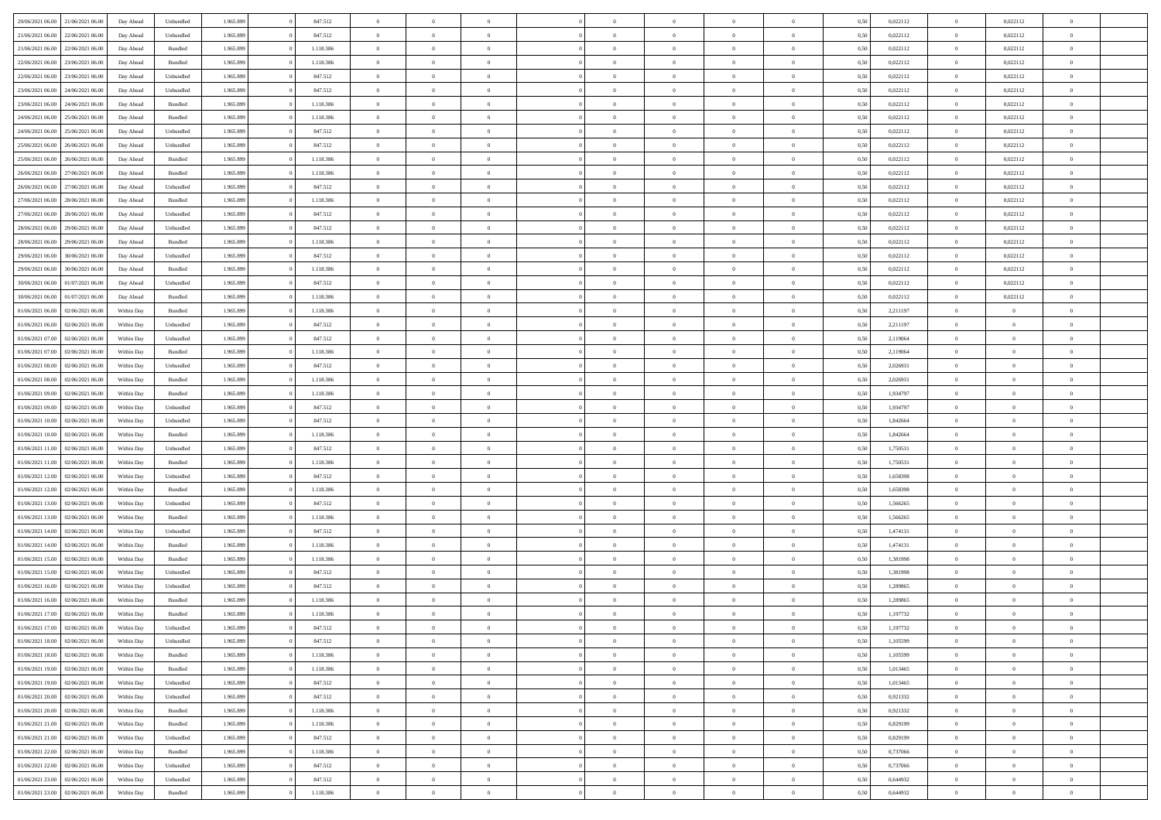| 20/06/2021 06:00                  | 21/06/2021 06:00 | Day Ahead  | Unbundled | 1.965.899 | 847.512   | $\Omega$       | $\Omega$       |                | $\Omega$       | $\Omega$       | $\Omega$       | $\theta$       | 0.50 | 0,022112 | $\theta$       | 0,022112       | $\theta$       |  |
|-----------------------------------|------------------|------------|-----------|-----------|-----------|----------------|----------------|----------------|----------------|----------------|----------------|----------------|------|----------|----------------|----------------|----------------|--|
| 21/06/2021 06:00                  | 22/06/2021 06:00 | Day Ahead  | Unbundled | 1.965.899 | 847.512   | $\overline{0}$ | $\theta$       | $\overline{0}$ | $\overline{0}$ | $\bf{0}$       | $\overline{0}$ | $\overline{0}$ | 0,50 | 0,022112 | $\theta$       | 0,022112       | $\overline{0}$ |  |
| 21/06/2021 06:00                  | 22/06/2021 06:00 | Day Ahead  | Bundled   | 1.965.899 | 1.118.386 | $\overline{0}$ | $\overline{0}$ | $\overline{0}$ | $\bf{0}$       | $\bf{0}$       | $\bf{0}$       | $\bf{0}$       | 0,50 | 0,022112 | $\overline{0}$ | 0,022112       | $\overline{0}$ |  |
| 22/06/2021 06:00                  | 23/06/2021 06:00 | Day Ahead  | Bundled   | 1.965.899 | 1.118.386 | $\overline{0}$ | $\theta$       | $\overline{0}$ | $\overline{0}$ | $\bf{0}$       | $\overline{0}$ | $\overline{0}$ | 0.50 | 0,022112 | $\theta$       | 0,022112       | $\overline{0}$ |  |
|                                   |                  |            |           |           |           |                |                |                |                |                |                |                |      |          |                |                |                |  |
| 22/06/2021 06:00                  | 23/06/2021 06:00 | Day Ahead  | Unbundled | 1.965.899 | 847.512   | $\overline{0}$ | $\theta$       | $\overline{0}$ | $\overline{0}$ | $\bf{0}$       | $\overline{0}$ | $\bf{0}$       | 0,50 | 0,022112 | $\,$ 0 $\,$    | 0,022112       | $\overline{0}$ |  |
| 23/06/2021 06:00                  | 24/06/2021 06:00 | Day Ahead  | Unbundled | 1.965.899 | 847.512   | $\overline{0}$ | $\bf{0}$       | $\overline{0}$ | $\bf{0}$       | $\overline{0}$ | $\overline{0}$ | $\mathbf{0}$   | 0,50 | 0,022112 | $\overline{0}$ | 0,022112       | $\bf{0}$       |  |
| 23/06/2021 06:00                  | 24/06/2021 06:00 | Day Ahead  | Bundled   | 1.965.899 | 1.118.386 | $\overline{0}$ | $\overline{0}$ | $\overline{0}$ | $\overline{0}$ | $\overline{0}$ | $\overline{0}$ | $\overline{0}$ | 0.50 | 0,022112 | $\theta$       | 0,022112       | $\overline{0}$ |  |
| 24/06/2021 06.00                  | 25/06/2021 06:00 | Day Ahead  | Bundled   | 1.965.899 | 1.118.386 | $\overline{0}$ | $\theta$       | $\overline{0}$ | $\overline{0}$ | $\bf{0}$       | $\overline{0}$ | $\bf{0}$       | 0,50 | 0,022112 | $\,$ 0 $\,$    | 0,022112       | $\overline{0}$ |  |
| 24/06/2021 06:00                  | 25/06/2021 06:00 | Day Ahead  | Unbundled | 1.965.899 | 847.512   | $\overline{0}$ | $\overline{0}$ | $\overline{0}$ | $\bf{0}$       | $\bf{0}$       | $\overline{0}$ | $\bf{0}$       | 0,50 | 0,022112 | $\overline{0}$ | 0,022112       | $\overline{0}$ |  |
| 25/06/2021 06:00                  | 26/06/2021 06:00 | Day Ahead  | Unbundled | 1.965.899 | 847.512   | $\overline{0}$ | $\overline{0}$ | $\overline{0}$ | $\overline{0}$ | $\overline{0}$ | $\overline{0}$ | $\overline{0}$ | 0.50 | 0,022112 | $\theta$       | 0,022112       | $\overline{0}$ |  |
|                                   |                  |            |           |           |           |                |                |                |                |                |                |                |      |          |                |                |                |  |
| 25/06/2021 06:00                  | 26/06/2021 06:00 | Day Ahead  | Bundled   | 1.965.899 | 1.118.386 | $\overline{0}$ | $\theta$       | $\overline{0}$ | $\overline{0}$ | $\bf{0}$       | $\overline{0}$ | $\bf{0}$       | 0,50 | 0,022112 | $\,$ 0 $\,$    | 0,022112       | $\overline{0}$ |  |
| 26/06/2021 06:00                  | 27/06/2021 06:00 | Day Ahead  | Bundled   | 1.965.899 | 1.118.386 | $\overline{0}$ | $\overline{0}$ | $\overline{0}$ | $\overline{0}$ | $\bf{0}$       | $\overline{0}$ | $\bf{0}$       | 0,50 | 0,022112 | $\overline{0}$ | 0,022112       | $\overline{0}$ |  |
| 26/06/2021 06:00                  | 27/06/2021 06:00 | Day Ahead  | Unbundled | 1.965.899 | 847.512   | $\overline{0}$ | $\overline{0}$ | $\overline{0}$ | $\overline{0}$ | $\bf{0}$       | $\overline{0}$ | $\overline{0}$ | 0.50 | 0,022112 | $\theta$       | 0,022112       | $\overline{0}$ |  |
| 27/06/2021 06:00                  | 28/06/2021 06:00 | Day Ahead  | Bundled   | 1.965.899 | 1.118.386 | $\overline{0}$ | $\theta$       | $\overline{0}$ | $\overline{0}$ | $\bf{0}$       | $\overline{0}$ | $\overline{0}$ | 0,50 | 0,022112 | $\,$ 0 $\,$    | 0,022112       | $\overline{0}$ |  |
| 27/06/2021 06:00                  | 28/06/2021 06:00 | Day Ahead  | Unbundled | 1.965.899 | 847.512   | $\overline{0}$ | $\bf{0}$       | $\overline{0}$ | $\overline{0}$ | $\overline{0}$ | $\overline{0}$ | $\mathbf{0}$   | 0,50 | 0,022112 | $\overline{0}$ | 0,022112       | $\bf{0}$       |  |
| 28/06/2021 06:00                  | 29/06/2021 06:00 | Day Ahead  | Unbundled | 1.965.899 | 847.512   | $\overline{0}$ | $\overline{0}$ | $\overline{0}$ | $\overline{0}$ | $\overline{0}$ | $\overline{0}$ | $\overline{0}$ | 0.50 | 0,022112 | $\overline{0}$ | 0,022112       | $\overline{0}$ |  |
|                                   |                  |            |           |           |           |                |                |                |                |                |                |                |      |          |                |                |                |  |
| 28/06/2021 06:00                  | 29/06/2021 06.00 | Day Ahead  | Bundled   | 1.965.899 | 1.118.386 | $\overline{0}$ | $\theta$       | $\overline{0}$ | $\overline{0}$ | $\bf{0}$       | $\overline{0}$ | $\bf{0}$       | 0,50 | 0,022112 | $\theta$       | 0,022112       | $\overline{0}$ |  |
| 29/06/2021 06:00                  | 30/06/2021 06:00 | Day Ahead  | Unbundled | 1.965.899 | 847.512   | $\overline{0}$ | $\overline{0}$ | $\overline{0}$ | $\overline{0}$ | $\bf{0}$       | $\overline{0}$ | $\bf{0}$       | 0,50 | 0,022112 | $\overline{0}$ | 0,022112       | $\overline{0}$ |  |
| 29/06/2021 06:00                  | 30/06/2021 06:00 | Day Ahead  | Bundled   | 1.965.899 | 1.118.386 | $\overline{0}$ | $\overline{0}$ | $\overline{0}$ | $\overline{0}$ | $\overline{0}$ | $\overline{0}$ | $\overline{0}$ | 0.50 | 0,022112 | $\theta$       | 0,022112       | $\overline{0}$ |  |
| 30/06/2021 06:00                  | 01/07/2021 06:00 | Day Ahead  | Unbundled | 1.965.899 | 847.512   | $\overline{0}$ | $\theta$       | $\overline{0}$ | $\overline{0}$ | $\bf{0}$       | $\overline{0}$ | $\bf{0}$       | 0,50 | 0,022112 | $\,$ 0 $\,$    | 0,022112       | $\overline{0}$ |  |
| 30/06/2021 06:00                  | 01/07/2021 06:00 | Day Ahead  | Bundled   | 1.965.899 | 1.118.386 | $\overline{0}$ | $\overline{0}$ | $\overline{0}$ | $\bf{0}$       | $\bf{0}$       | $\overline{0}$ | $\bf{0}$       | 0,50 | 0,022112 | $\overline{0}$ | 0,022112       | $\overline{0}$ |  |
| 01/06/2021 06:00                  | 02/06/2021 06:00 | Within Day | Bundled   | 1.965.899 | 1.118.386 | $\overline{0}$ | $\overline{0}$ | $\overline{0}$ | $\overline{0}$ | $\bf{0}$       | $\overline{0}$ | $\overline{0}$ | 0.50 | 2.211197 | $\theta$       | $\overline{0}$ | $\overline{0}$ |  |
|                                   |                  |            |           |           |           | $\overline{0}$ | $\theta$       | $\overline{0}$ |                | $\bf{0}$       | $\overline{0}$ |                |      |          | $\theta$       | $\overline{0}$ | $\overline{0}$ |  |
| 01/06/2021 06:00                  | 02/06/2021 06:00 | Within Day | Unbundled | 1.965.899 | 847.512   |                |                |                | $\overline{0}$ |                |                | $\bf{0}$       | 0,50 | 2,211197 |                |                |                |  |
| 01/06/2021 07:00                  | 02/06/2021 06:00 | Within Day | Unbundled | 1.965.899 | 847.512   | $\overline{0}$ | $\bf{0}$       | $\overline{0}$ | $\overline{0}$ | $\overline{0}$ | $\overline{0}$ | $\mathbf{0}$   | 0,50 | 2,119064 | $\overline{0}$ | $\overline{0}$ | $\bf{0}$       |  |
| 01/06/2021 07:00                  | 02/06/2021 06:00 | Within Dav | Bundled   | 1.965.899 | 1.118.386 | $\overline{0}$ | $\overline{0}$ | $\overline{0}$ | $\overline{0}$ | $\overline{0}$ | $\overline{0}$ | $\overline{0}$ | 0.50 | 2,119064 | $\theta$       | $\theta$       | $\overline{0}$ |  |
| 01/06/2021 08:00                  | 02/06/2021 06:00 | Within Day | Unbundled | 1.965.899 | 847.512   | $\overline{0}$ | $\theta$       | $\overline{0}$ | $\overline{0}$ | $\bf{0}$       | $\overline{0}$ | $\bf{0}$       | 0,50 | 2,026931 | $\theta$       | $\theta$       | $\overline{0}$ |  |
| 01/06/2021 08:00                  | 02/06/2021 06:00 | Within Day | Bundled   | 1.965.899 | 1.118.386 | $\overline{0}$ | $\overline{0}$ | $\overline{0}$ | $\bf{0}$       | $\bf{0}$       | $\overline{0}$ | $\bf{0}$       | 0,50 | 2,026931 | $\,0\,$        | $\overline{0}$ | $\overline{0}$ |  |
| 01/06/2021 09:00                  | 02/06/2021 06:00 | Within Day | Bundled   | 1.965.899 | 1.118.386 | $\overline{0}$ | $\overline{0}$ | $\overline{0}$ | $\overline{0}$ | $\overline{0}$ | $\overline{0}$ | $\overline{0}$ | 0.50 | 1,934797 | $\theta$       | $\theta$       | $\overline{0}$ |  |
| 01/06/2021 09:00                  | 02/06/2021 06:00 | Within Day | Unbundled | 1.965.899 | 847.512   | $\overline{0}$ | $\theta$       | $\overline{0}$ | $\overline{0}$ | $\bf{0}$       | $\overline{0}$ | $\bf{0}$       | 0,50 | 1,934797 | $\,$ 0 $\,$    | $\theta$       | $\overline{0}$ |  |
|                                   |                  |            |           |           |           |                |                |                |                |                |                |                |      |          |                |                |                |  |
| 01/06/2021 10:00                  | 02/06/2021 06:00 | Within Day | Unbundled | 1.965.899 | 847.512   | $\overline{0}$ | $\overline{0}$ | $\overline{0}$ | $\bf{0}$       | $\bf{0}$       | $\bf{0}$       | $\bf{0}$       | 0,50 | 1,842664 | $\bf{0}$       | $\overline{0}$ | $\overline{0}$ |  |
| 01/06/2021 10:00                  | 02/06/2021 06:00 | Within Day | Bundled   | 1.965.899 | 1.118.386 | $\overline{0}$ | $\Omega$       | $\Omega$       | $\Omega$       | $\Omega$       | $\Omega$       | $\overline{0}$ | 0,50 | 1,842664 | $\,0\,$        | $\Omega$       | $\theta$       |  |
| 01/06/2021 11:00                  | 02/06/2021 06:00 | Within Day | Unbundled | 1.965.899 | 847.512   | $\overline{0}$ | $\theta$       | $\overline{0}$ | $\overline{0}$ | $\bf{0}$       | $\overline{0}$ | $\bf{0}$       | 0,50 | 1,750531 | $\theta$       | $\theta$       | $\overline{0}$ |  |
| 01/06/2021 11:00                  | 02/06/2021 06:00 | Within Day | Bundled   | 1.965.899 | 1.118.386 | $\overline{0}$ | $\bf{0}$       | $\overline{0}$ | $\bf{0}$       | $\bf{0}$       | $\overline{0}$ | $\mathbf{0}$   | 0,50 | 1,750531 | $\overline{0}$ | $\overline{0}$ | $\bf{0}$       |  |
| 01/06/2021 12:00                  | 02/06/2021 06:00 | Within Day | Unbundled | 1.965.899 | 847.512   | $\overline{0}$ | $\Omega$       | $\Omega$       | $\Omega$       | $\bf{0}$       | $\overline{0}$ | $\overline{0}$ | 0.50 | 1,658398 | $\theta$       | $\theta$       | $\theta$       |  |
| 01/06/2021 12:00                  | 02/06/2021 06:00 | Within Day | Bundled   | 1.965.899 | 1.118.386 | $\overline{0}$ | $\theta$       | $\overline{0}$ | $\overline{0}$ | $\bf{0}$       | $\overline{0}$ | $\bf{0}$       | 0,50 | 1,658398 | $\theta$       | $\theta$       | $\overline{0}$ |  |
|                                   |                  |            |           |           |           |                |                |                |                |                |                |                |      |          |                |                |                |  |
| 01/06/2021 13:00                  | 02/06/2021 06:00 | Within Day | Unbundled | 1.965.899 | 847.512   | $\overline{0}$ | $\overline{0}$ | $\overline{0}$ | $\bf{0}$       | $\bf{0}$       | $\bf{0}$       | $\bf{0}$       | 0,50 | 1,566265 | $\,0\,$        | $\overline{0}$ | $\overline{0}$ |  |
| 01/06/2021 13:00                  | 02/06/2021 06:00 | Within Day | Bundled   | 1.965.899 | 1.118.386 | $\overline{0}$ | $\Omega$       | $\Omega$       | $\Omega$       | $\Omega$       | $\theta$       | $\overline{0}$ | 0.50 | 1.566265 | $\theta$       | $\theta$       | $\theta$       |  |
| 01/06/2021 14:00                  | 02/06/2021 06:00 | Within Day | Unbundled | 1.965.899 | 847.512   | $\overline{0}$ | $\theta$       | $\overline{0}$ | $\overline{0}$ | $\bf{0}$       | $\overline{0}$ | $\bf{0}$       | 0,50 | 1,474131 | $\,$ 0 $\,$    | $\theta$       | $\overline{0}$ |  |
| 01/06/2021 14:00                  | 02/06/2021 06:00 | Within Day | Bundled   | 1.965.899 | 1.118.386 | $\overline{0}$ | $\overline{0}$ | $\overline{0}$ | $\bf{0}$       | $\bf{0}$       | $\bf{0}$       | $\bf{0}$       | 0,50 | 1,474131 | $\bf{0}$       | $\overline{0}$ | $\overline{0}$ |  |
| 01/06/2021 15:00                  | 02/06/2021 06:00 | Within Day | Bundled   | 1.965.899 | 1.118.386 | $\overline{0}$ | $\Omega$       | $\overline{0}$ | $\Omega$       | $\Omega$       | $\overline{0}$ | $\overline{0}$ | 0.50 | 1,381998 | $\,0\,$        | $\theta$       | $\theta$       |  |
| 01/06/2021 15:00                  | 02/06/2021 06:00 | Within Day | Unbundled | 1.965.899 | 847.512   | $\overline{0}$ | $\theta$       | $\overline{0}$ | $\overline{0}$ | $\bf{0}$       | $\overline{0}$ | $\bf{0}$       | 0,50 | 1,381998 | $\,$ 0 $\,$    | $\theta$       | $\overline{0}$ |  |
| 01/06/2021 16:00                  | 02/06/2021 06:00 | Within Day | Unbundled | 1.965.899 | 847.512   | $\overline{0}$ | $\overline{0}$ | $\overline{0}$ | $\bf{0}$       | $\bf{0}$       | $\bf{0}$       | $\mathbf{0}$   | 0,50 | 1,289865 | $\overline{0}$ | $\overline{0}$ | $\bf{0}$       |  |
|                                   |                  |            |           |           |           |                |                |                |                |                |                |                |      |          |                |                |                |  |
| 01/06/2021 16:00                  | 02/06/2021 06:00 | Within Day | Bundled   | 1.965.899 | 1.118.386 | $\overline{0}$ | $\Omega$       | $\Omega$       | $\Omega$       | $\Omega$       | $\Omega$       | $\overline{0}$ | 0.50 | 1,289865 | $\theta$       | $\Omega$       | $\theta$       |  |
| 01/06/2021 17.00                  | 02/06/2021 06:00 | Within Day | Bundled   | 1.965.899 | 1.118.386 | $\overline{0}$ | $\,$ 0 $\,$    | $\overline{0}$ | $\bf{0}$       | $\,$ 0         | $\bf{0}$       | $\bf{0}$       | 0,50 | 1,197732 | $\,0\,$        | $\overline{0}$ | $\overline{0}$ |  |
| 01/06/2021 17:00 02/06/2021 06:00 |                  | Within Day | Unbundled | 1.965.899 | 847.512   | $\bf{0}$       | $\bf{0}$       |                |                |                |                |                | 0,50 | 1,197732 | $\bf{0}$       | $\overline{0}$ |                |  |
| 01/06/2021 18:00                  | 02/06/2021 06:00 | Within Day | Unbundled | 1.965.899 | 847.512   | $\overline{0}$ | $\overline{0}$ | $\overline{0}$ | $\Omega$       | $\overline{0}$ | $\overline{0}$ | $\overline{0}$ | 0,50 | 1.105599 | $\theta$       | $\theta$       | $\theta$       |  |
| 01/06/2021 18:00                  | 02/06/2021 06:00 | Within Day | Bundled   | 1.965.899 | 1.118.386 | $\overline{0}$ | $\bf{0}$       | $\overline{0}$ | $\bf{0}$       | $\,$ 0 $\,$    | $\overline{0}$ | $\,$ 0 $\,$    | 0,50 | 1,105599 | $\,$ 0 $\,$    | $\,$ 0 $\,$    | $\,$ 0         |  |
| 01/06/2021 19:00                  | 02/06/2021 06:00 | Within Day | Bundled   | 1.965.899 | 1.118.386 | $\overline{0}$ | $\overline{0}$ | $\overline{0}$ | $\overline{0}$ | $\overline{0}$ | $\overline{0}$ | $\mathbf{0}$   | 0,50 | 1,013465 | $\overline{0}$ | $\bf{0}$       | $\bf{0}$       |  |
| 01/06/2021 19:00                  | 02/06/2021 06:00 | Within Day | Unbundled | 1.965.899 | 847.512   | $\overline{0}$ | $\overline{0}$ | $\overline{0}$ | $\Omega$       | $\overline{0}$ | $\overline{0}$ | $\overline{0}$ | 0,50 | 1,013465 | $\overline{0}$ | $\overline{0}$ | $\overline{0}$ |  |
|                                   |                  |            |           |           |           |                | $\,$ 0         | $\overline{0}$ |                | $\,$ 0 $\,$    |                |                |      |          | $\,$ 0 $\,$    | $\overline{0}$ | $\overline{0}$ |  |
| 01/06/2021 20:00                  | 02/06/2021 06:00 | Within Day | Unbundled | 1.965.899 | 847.512   | $\overline{0}$ |                |                | $\bf{0}$       |                | $\overline{0}$ | $\mathbf{0}$   | 0,50 | 0,921332 |                |                |                |  |
| 01/06/2021 20.00                  | 02/06/2021 06:00 | Within Day | Bundled   | 1.965.899 | 1.118.386 | $\overline{0}$ | $\overline{0}$ | $\overline{0}$ | $\overline{0}$ | $\overline{0}$ | $\overline{0}$ | $\mathbf{0}$   | 0,50 | 0,921332 | $\overline{0}$ | $\overline{0}$ | $\bf{0}$       |  |
| 01/06/2021 21:00                  | 02/06/2021 06:00 | Within Day | Bundled   | 1.965.899 | 1.118.386 | $\overline{0}$ | $\overline{0}$ | $\overline{0}$ | $\overline{0}$ | $\overline{0}$ | $\overline{0}$ | $\bf{0}$       | 0.50 | 0,829199 | $\overline{0}$ | $\theta$       | $\overline{0}$ |  |
| 01/06/2021 21:00                  | 02/06/2021 06:00 | Within Day | Unbundled | 1.965.899 | 847.512   | $\overline{0}$ | $\,$ 0         | $\overline{0}$ | $\bf{0}$       | $\bf{0}$       | $\overline{0}$ | $\bf{0}$       | 0,50 | 0,829199 | $\,$ 0 $\,$    | $\overline{0}$ | $\overline{0}$ |  |
| 01/06/2021 22.00                  | 02/06/2021 06:00 | Within Day | Bundled   | 1.965.899 | 1.118.386 | $\overline{0}$ | $\bf{0}$       | $\overline{0}$ | $\overline{0}$ | $\overline{0}$ | $\overline{0}$ | $\mathbf{0}$   | 0,50 | 0,737066 | $\overline{0}$ | $\overline{0}$ | $\bf{0}$       |  |
| 01/06/2021 22.00                  | 02/06/2021 06:00 | Within Day | Unbundled | 1.965.899 | 847.512   | $\overline{0}$ | $\overline{0}$ | $\overline{0}$ | $\Omega$       | $\overline{0}$ | $\overline{0}$ | $\overline{0}$ | 0.50 | 0,737066 | $\overline{0}$ | $\overline{0}$ | $\overline{0}$ |  |
| 01/06/2021 23:00                  | 02/06/2021 06:00 | Within Day | Unbundled | 1.965.899 | 847.512   | $\overline{0}$ | $\bf{0}$       | $\overline{0}$ | $\bf{0}$       | $\bf{0}$       | $\overline{0}$ | $\mathbf{0}$   | 0,50 | 0,644932 | $\,$ 0 $\,$    | $\,$ 0 $\,$    | $\bf{0}$       |  |
|                                   |                  |            |           |           |           |                |                |                |                |                |                |                |      |          |                |                |                |  |
| 01/06/2021 23:00                  | 02/06/2021 06:00 | Within Day | Bundled   | 1.965.899 | 1.118.386 | $\overline{0}$ | $\overline{0}$ | $\overline{0}$ | $\overline{0}$ | $\overline{0}$ | $\overline{0}$ | $\mathbf{0}$   | 0,50 | 0,644932 | $\overline{0}$ | $\bf{0}$       | $\bf{0}$       |  |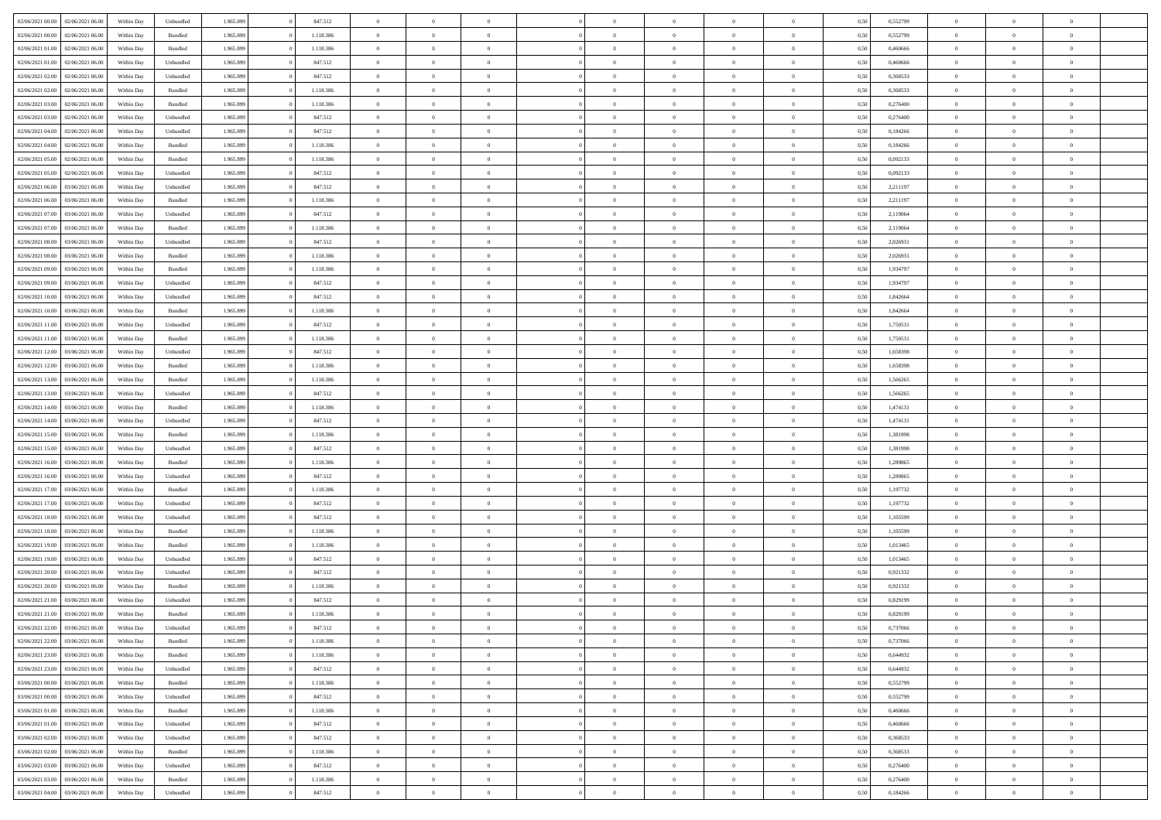| 02/06/2021 00:00 02/06/2021 06:00    | Within Day | Unbundled          | 1.965.899 | 847.512   | $\overline{0}$ | $\overline{0}$ | $\Omega$       | $\Omega$       | $\Omega$       |                | $\overline{0}$ | 0,50 | 0,552799 | $\mathbf{0}$   | $\Omega$       | $\Omega$       |  |
|--------------------------------------|------------|--------------------|-----------|-----------|----------------|----------------|----------------|----------------|----------------|----------------|----------------|------|----------|----------------|----------------|----------------|--|
| 02/06/2021 00:00<br>02/06/2021 06:00 | Within Day | $\mathbf B$ undled | 1.965.899 | 1.118.386 | $\bf{0}$       | $\overline{0}$ | $\overline{0}$ | $\theta$       | $\overline{0}$ | $\overline{0}$ | $\,$ 0         | 0,50 | 0,552799 | $\mathbf{0}$   | $\theta$       | $\bf{0}$       |  |
| 02/06/2021 01:00<br>02/06/2021 06:00 | Within Day | Bundled            | 1.965.899 | 1.118.386 | $\overline{0}$ | $\overline{0}$ | $\overline{0}$ | $\bf{0}$       | $\bf{0}$       | $\overline{0}$ | $\mathbf{0}$   | 0,50 | 0,460666 | $\bf{0}$       | $\bf{0}$       | $\bf{0}$       |  |
| 02/06/2021 01:00<br>02/06/2021 06:00 | Within Day | Unbundled          | 1.965.899 | 847.512   | $\overline{0}$ | $\overline{0}$ | $\overline{0}$ | $\overline{0}$ | $\overline{0}$ | $\overline{0}$ | $\overline{0}$ | 0.50 | 0.460666 | $\mathbf{0}$   | $\overline{0}$ | $\bf{0}$       |  |
| 02/06/2021 02:00<br>02/06/2021 06:00 | Within Day | Unbundled          | 1.965.899 | 847.512   | $\bf{0}$       | $\overline{0}$ | $\overline{0}$ | $\theta$       | $\overline{0}$ | $\overline{0}$ | $\bf{0}$       | 0,50 | 0,368533 | $\theta$       | $\theta$       | $\overline{0}$ |  |
| 02/06/2021 02:00<br>02/06/2021 06:00 | Within Day | Bundled            | 1.965.899 | 1.118.386 | $\overline{0}$ | $\overline{0}$ | $\overline{0}$ | $\bf{0}$       | $\overline{0}$ | $\overline{0}$ | $\overline{0}$ | 0,50 | 0,368533 | $\overline{0}$ | $\overline{0}$ | $\overline{0}$ |  |
| 02/06/2021 03:00<br>02/06/2021 06:00 | Within Day | Bundled            | 1.965.899 | 1.118.386 | $\overline{0}$ | $\overline{0}$ | $\overline{0}$ | $\overline{0}$ | $\overline{0}$ | $\overline{0}$ | $\mathbf{0}$   | 0.50 | 0.276400 | $\mathbf{0}$   | $\overline{0}$ | $\overline{0}$ |  |
| 02/06/2021 03:00<br>02/06/2021 06:00 | Within Day | Unbundled          | 1.965.899 | 847.512   | $\bf{0}$       | $\overline{0}$ | $\overline{0}$ | $\theta$       | $\overline{0}$ | $\overline{0}$ | $\bf{0}$       | 0,50 | 0,276400 | $\theta$       | $\theta$       | $\bf{0}$       |  |
|                                      |            |                    |           |           |                |                |                |                |                |                |                |      |          |                |                |                |  |
| 02/06/2021 04:00<br>02/06/2021 06.00 | Within Day | Unbundled          | 1.965.899 | 847.512   | $\overline{0}$ | $\overline{0}$ | $\overline{0}$ | $\bf{0}$       | $\bf{0}$       | $\overline{0}$ | $\bf{0}$       | 0,50 | 0,184266 | $\bf{0}$       | $\bf{0}$       | $\bf{0}$       |  |
| 02/06/2021 04:00<br>02/06/2021 06:00 | Within Day | Bundled            | 1.965.899 | 1.118.386 | $\overline{0}$ | $\overline{0}$ | $\overline{0}$ | $\overline{0}$ | $\overline{0}$ | $\overline{0}$ | $\overline{0}$ | 0.50 | 0,184266 | $\overline{0}$ | $\overline{0}$ | $\overline{0}$ |  |
| 02/06/2021 05:00<br>02/06/2021 06:00 | Within Day | Bundled            | 1.965.899 | 1.118.386 | $\bf{0}$       | $\overline{0}$ | $\overline{0}$ | $\overline{0}$ | $\overline{0}$ | $\overline{0}$ | $\,$ 0         | 0,50 | 0,092133 | $\theta$       | $\theta$       | $\bf{0}$       |  |
| 02/06/2021 05:00<br>02/06/2021 06:00 | Within Day | Unbundled          | 1.965.899 | 847.512   | $\overline{0}$ | $\overline{0}$ | $\overline{0}$ | $\bf{0}$       | $\bf{0}$       | $\overline{0}$ | $\mathbf{0}$   | 0,50 | 0,092133 | $\bf{0}$       | $\bf{0}$       | $\bf{0}$       |  |
| 02/06/2021 06:00<br>03/06/2021 06:00 | Within Day | Unbundled          | 1.965.899 | 847.512   | $\overline{0}$ | $\overline{0}$ | $\overline{0}$ | $\overline{0}$ | $\overline{0}$ | $\overline{0}$ | $\overline{0}$ | 0.50 | 2.211197 | $\mathbf{0}$   | $\overline{0}$ | $\bf{0}$       |  |
| 02/06/2021 06:00<br>03/06/2021 06:00 | Within Day | $\mathbf B$ undled | 1.965.899 | 1.118.386 | $\bf{0}$       | $\overline{0}$ | $\overline{0}$ | $\theta$       | $\overline{0}$ | $\overline{0}$ | $\,$ 0         | 0,50 | 2,211197 | $\theta$       | $\theta$       | $\overline{0}$ |  |
| 02/06/2021 07:00<br>03/06/2021 06:00 | Within Day | Unbundled          | 1.965.899 | 847.512   | $\overline{0}$ | $\overline{0}$ | $\overline{0}$ | $\bf{0}$       | $\overline{0}$ | $\overline{0}$ | $\overline{0}$ | 0,50 | 2,119064 | $\overline{0}$ | $\bf{0}$       | $\overline{0}$ |  |
| 02/06/2021 07:00<br>03/06/2021 06:00 | Within Day | Bundled            | 1.965.899 | 1.118.386 | $\overline{0}$ | $\overline{0}$ | $\overline{0}$ | $\overline{0}$ | $\overline{0}$ | $\overline{0}$ | $\mathbf{0}$   | 0.50 | 2.119064 | $\overline{0}$ | $\overline{0}$ | $\overline{0}$ |  |
| 02/06/2021 08:00<br>03/06/2021 06:00 | Within Day | Unbundled          | 1.965.899 | 847.512   | $\bf{0}$       | $\overline{0}$ | $\overline{0}$ | $\overline{0}$ | $\overline{0}$ | $\overline{0}$ | $\bf{0}$       | 0,50 | 2,026931 | $\theta$       | $\theta$       | $\bf{0}$       |  |
| 02/06/2021 08:00<br>03/06/2021 06:00 | Within Day | Bundled            | 1.965.899 | 1.118.386 | $\overline{0}$ | $\overline{0}$ | $\overline{0}$ | $\bf{0}$       | $\bf{0}$       | $\overline{0}$ | $\bf{0}$       | 0,50 | 2,026931 | $\bf{0}$       | $\bf{0}$       | $\bf{0}$       |  |
| 02/06/2021 09:00<br>03/06/2021 06:00 | Within Day | Bundled            | 1.965.899 | 1.118.386 | $\overline{0}$ | $\overline{0}$ | $\overline{0}$ | $\overline{0}$ | $\overline{0}$ | $\overline{0}$ | $\overline{0}$ | 0.50 | 1,934797 | $\overline{0}$ | $\overline{0}$ | $\overline{0}$ |  |
| 02/06/2021 09:00<br>03/06/2021 06:00 | Within Day | Unbundled          | 1.965.899 | 847.512   | $\bf{0}$       | $\overline{0}$ | $\overline{0}$ | $\overline{0}$ | $\overline{0}$ | $\overline{0}$ | $\,$ 0         | 0,50 | 1,934797 | $\theta$       | $\theta$       | $\bf{0}$       |  |
|                                      |            |                    |           |           |                |                |                |                |                |                |                |      |          |                |                |                |  |
| 02/06/2021 10:00<br>03/06/2021 06:00 | Within Day | Unbundled          | 1.965.899 | 847.512   | $\overline{0}$ | $\overline{0}$ | $\overline{0}$ | $\bf{0}$       | $\bf{0}$       | $\overline{0}$ | $\mathbf{0}$   | 0,50 | 1,842664 | $\bf{0}$       | $\bf{0}$       | $\bf{0}$       |  |
| 02/06/2021 10:00<br>03/06/2021 06:00 | Within Day | Bundled            | 1.965.899 | 1.118.386 | $\overline{0}$ | $\overline{0}$ | $\overline{0}$ | $\overline{0}$ | $\overline{0}$ | $\overline{0}$ | $\overline{0}$ | 0.50 | 1.842664 | $\overline{0}$ | $\overline{0}$ | $\bf{0}$       |  |
| 02/06/2021 11:00<br>03/06/2021 06:00 | Within Day | Unbundled          | 1.965.899 | 847.512   | $\bf{0}$       | $\overline{0}$ | $\overline{0}$ | $\overline{0}$ | $\overline{0}$ | $\overline{0}$ | $\,$ 0         | 0,50 | 1,750531 | $\mathbf{0}$   | $\theta$       | $\bf{0}$       |  |
| 02/06/2021 11:00<br>03/06/2021 06:00 | Within Day | Bundled            | 1.965.899 | 1.118.386 | $\overline{0}$ | $\overline{0}$ | $\overline{0}$ | $\bf{0}$       | $\overline{0}$ | $\overline{0}$ | $\overline{0}$ | 0,50 | 1,750531 | $\overline{0}$ | $\overline{0}$ | $\overline{0}$ |  |
| 02/06/2021 12:00<br>03/06/2021 06:00 | Within Day | Unbundled          | 1.965.899 | 847.512   | $\overline{0}$ | $\overline{0}$ | $\overline{0}$ | $\overline{0}$ | $\overline{0}$ | $\overline{0}$ | $\overline{0}$ | 0.50 | 1,658398 | $\overline{0}$ | $\overline{0}$ | $\overline{0}$ |  |
| 02/06/2021 12:00<br>03/06/2021 06:00 | Within Day | Bundled            | 1.965.899 | 1.118.386 | $\bf{0}$       | $\overline{0}$ | $\bf{0}$       | $\overline{0}$ | $\overline{0}$ | $\overline{0}$ | $\bf{0}$       | 0,50 | 1,658398 | $\theta$       | $\theta$       | $\bf{0}$       |  |
| 02/06/2021 13:00<br>03/06/2021 06:00 | Within Day | Bundled            | 1.965.899 | 1.118.386 | $\overline{0}$ | $\overline{0}$ | $\bf{0}$       | $\bf{0}$       | $\bf{0}$       | $\overline{0}$ | $\bf{0}$       | 0,50 | 1,566265 | $\bf{0}$       | $\bf{0}$       | $\bf{0}$       |  |
| 02/06/2021 13:00<br>03/06/2021 06:00 | Within Day | Unbundled          | 1.965.899 | 847.512   | $\overline{0}$ | $\overline{0}$ | $\overline{0}$ | $\overline{0}$ | $\overline{0}$ | $\overline{0}$ | $\overline{0}$ | 0.50 | 1.566265 | $\overline{0}$ | $\overline{0}$ | $\bf{0}$       |  |
| 02/06/2021 14:00<br>03/06/2021 06:00 | Within Day | Bundled            | 1.965.899 | 1.118.386 | $\bf{0}$       | $\overline{0}$ | $\overline{0}$ | $\overline{0}$ | $\overline{0}$ | $\overline{0}$ | $\,$ 0         | 0,50 | 1,474131 | $\,$ 0 $\,$    | $\theta$       | $\bf{0}$       |  |
| 02/06/2021 14:00<br>03/06/2021 06:00 | Within Day | Unbundled          | 1.965.899 | 847.512   | $\overline{0}$ | $\overline{0}$ | $\overline{0}$ | $\bf{0}$       | $\bf{0}$       | $\overline{0}$ | $\mathbf{0}$   | 0,50 | 1,474131 | $\overline{0}$ | $\bf{0}$       | $\bf{0}$       |  |
| 02/06/2021 15:00<br>03/06/2021 06.00 | Within Day | Bundled            | 1.965.899 | 1.118.386 | $\overline{0}$ | $\overline{0}$ | $\overline{0}$ | $\overline{0}$ | $\overline{0}$ | $\Omega$       | $\overline{0}$ | 0,50 | 1,381998 | $\bf{0}$       | $\Omega$       | $\Omega$       |  |
| 02/06/2021 15:00<br>03/06/2021 06:00 | Within Day | Unbundled          | 1.965.899 | 847.512   | $\bf{0}$       | $\overline{0}$ | $\overline{0}$ | $\theta$       | $\overline{0}$ | $\overline{0}$ | $\,$ 0         | 0,50 | 1,381998 | $\theta$       | $\theta$       | $\bf{0}$       |  |
| 02/06/2021 16:00<br>03/06/2021 06:00 | Within Day | Bundled            | 1.965.899 | 1.118.386 | $\overline{0}$ | $\overline{0}$ | $\overline{0}$ | $\bf{0}$       | $\overline{0}$ | $\overline{0}$ | $\overline{0}$ | 0,50 | 1,289865 | $\overline{0}$ | $\overline{0}$ | $\overline{0}$ |  |
|                                      |            |                    |           |           | $\overline{0}$ |                |                |                | $\overline{0}$ | $\Omega$       | $\overline{0}$ | 0.50 |          |                | $\Omega$       | $\Omega$       |  |
| 02/06/2021 16:00<br>03/06/2021 06:00 | Within Day | Unbundled          | 1.965.899 | 847.512   |                | $\overline{0}$ | $\overline{0}$ | $\overline{0}$ |                |                |                |      | 1,289865 | $\overline{0}$ |                |                |  |
| 02/06/2021 17:00<br>03/06/2021 06:00 | Within Day | Bundled            | 1.965.899 | 1.118.386 | $\bf{0}$       | $\overline{0}$ | $\bf{0}$       | $\overline{0}$ | $\overline{0}$ | $\overline{0}$ | $\bf{0}$       | 0,50 | 1,197732 | $\overline{0}$ | $\theta$       | $\bf{0}$       |  |
| 02/06/2021 17:00<br>03/06/2021 06:00 | Within Day | Unbundled          | 1.965.899 | 847.512   | $\overline{0}$ | $\overline{0}$ | $\bf{0}$       | $\bf{0}$       | $\bf{0}$       | $\overline{0}$ | $\bf{0}$       | 0,50 | 1,197732 | $\bf{0}$       | $\bf{0}$       | $\bf{0}$       |  |
| 02/06/2021 18:00<br>03/06/2021 06:00 | Within Day | Unbundled          | 1.965.899 | 847.512   | $\overline{0}$ | $\overline{0}$ | $\Omega$       | $\overline{0}$ | $\overline{0}$ | $\Omega$       | $\theta$       | 0.50 | 1.105599 | $\overline{0}$ | $\Omega$       | $\Omega$       |  |
| 02/06/2021 18:00<br>03/06/2021 06:00 | Within Day | Bundled            | 1.965.899 | 1.118.386 | $\bf{0}$       | $\overline{0}$ | $\bf{0}$       | $\overline{0}$ | $\overline{0}$ | $\overline{0}$ | $\,$ 0         | 0,50 | 1,105599 | $\,$ 0 $\,$    | $\theta$       | $\bf{0}$       |  |
| 02/06/2021 19:00<br>03/06/2021 06:00 | Within Day | Bundled            | 1.965.899 | 1.118.386 | $\overline{0}$ | $\overline{0}$ | $\overline{0}$ | $\bf{0}$       | $\bf{0}$       | $\overline{0}$ | $\mathbf{0}$   | 0,50 | 1,013465 | $\overline{0}$ | $\bf{0}$       | $\bf{0}$       |  |
| 02/06/2021 19:00<br>03/06/2021 06.00 | Within Day | Unbundled          | 1.965.899 | 847.512   | $\overline{0}$ | $\overline{0}$ | $\overline{0}$ | $\overline{0}$ | $\bf{0}$       | $\Omega$       | $\overline{0}$ | 0,50 | 1,013465 | $\overline{0}$ | $\overline{0}$ | $\Omega$       |  |
| 02/06/2021 20:00<br>03/06/2021 06:00 | Within Day | Unbundled          | 1.965.899 | 847.512   | $\bf{0}$       | $\overline{0}$ | $\bf{0}$       | $\overline{0}$ | $\overline{0}$ | $\overline{0}$ | $\,$ 0         | 0,50 | 0,921332 | $\,$ 0 $\,$    | $\theta$       | $\bf{0}$       |  |
| 02/06/2021 20:00<br>03/06/2021 06:00 | Within Day | Bundled            | 1.965.899 | 1.118.386 | $\overline{0}$ | $\overline{0}$ | $\bf{0}$       | $\bf{0}$       | $\overline{0}$ | $\overline{0}$ | $\overline{0}$ | 0,50 | 0,921332 | $\overline{0}$ | $\bf{0}$       | $\bf{0}$       |  |
| 02/06/2021 21:00<br>03/06/2021 06.00 | Within Day | Unbundled          | 1.965.899 | 847.512   | $\overline{0}$ | $\theta$       | $\Omega$       | $\overline{0}$ | $\overline{0}$ | $\Omega$       | $\overline{0}$ | 0.50 | 0,829199 | $\overline{0}$ | $\Omega$       | $\Omega$       |  |
| 02/06/2021 21:00 03/06/2021 06:00    | Within Day | Bundled            | 1.965.899 | 1.118.386 | $\bf{0}$       | $\overline{0}$ | $\bf{0}$       | $\bf{0}$       | $\bf{0}$       | $\overline{0}$ | $\,$ 0         | 0,50 | 0,829199 | $\bf{0}$       | $\,$ 0         | $\,$ 0         |  |
| 02/06/2021 22:00 03/06/2021 06:00    | Within Day | Unbundled          | 1.965.899 | 847.512   | $\bf{0}$       | $\bf{0}$       |                |                |                |                |                | 0,50 | 0,737066 | $\bf{0}$       | $\bf{0}$       |                |  |
| 02/06/2021 22:00 03/06/2021 06:00    | Within Day | Bundled            | 1.965.899 | 1.118.386 | $\overline{0}$ | $\overline{0}$ | $\theta$       | $\overline{0}$ | $\overline{0}$ | $\overline{0}$ | $\mathbf{0}$   | 0,50 | 0.737066 | $\overline{0}$ | $\theta$       | $\theta$       |  |
| 02/06/2021 23:00<br>03/06/2021 06:00 | Within Day | Bundled            | 1.965.899 | 1.118.386 | $\overline{0}$ | $\overline{0}$ | $\overline{0}$ | $\bf{0}$       | $\overline{0}$ | $\overline{0}$ | $\mathbf{0}$   | 0,50 | 0,644932 | $\,$ 0 $\,$    | $\overline{0}$ | $\,$ 0 $\,$    |  |
| 02/06/2021 23:00 03/06/2021 06:00    |            |                    |           |           |                |                |                |                |                |                |                |      |          |                |                |                |  |
|                                      | Within Day | Unbundled          | 1.965.899 | 847.512   | $\overline{0}$ | $\overline{0}$ | $\overline{0}$ | $\bf{0}$       | $\overline{0}$ | $\overline{0}$ | $\overline{0}$ | 0,50 | 0,644932 | $\overline{0}$ | $\overline{0}$ | $\overline{0}$ |  |
| 03/06/2021 06:00<br>03/06/2021 00:00 | Within Day | Bundled            | 1.965.899 | 1.118.386 | $\overline{0}$ | $\overline{0}$ | $\overline{0}$ | $\overline{0}$ | $\bf{0}$       | $\overline{0}$ | $\overline{0}$ | 0,50 | 0,552799 | $\overline{0}$ | $\overline{0}$ | $\overline{0}$ |  |
| 03/06/2021 00:00<br>03/06/2021 06:00 | Within Day | Unbundled          | 1.965.899 | 847.512   | $\overline{0}$ | $\overline{0}$ | $\overline{0}$ | $\overline{0}$ | $\overline{0}$ | $\overline{0}$ | $\mathbf{0}$   | 0,50 | 0,552799 | $\,$ 0 $\,$    | $\theta$       | $\bf{0}$       |  |
| 03/06/2021 01:00<br>03/06/2021 06:00 | Within Day | Bundled            | 1.965.899 | 1.118.386 | $\overline{0}$ | $\overline{0}$ | $\overline{0}$ | $\bf{0}$       | $\overline{0}$ | $\overline{0}$ | $\overline{0}$ | 0,50 | 0,460666 | $\overline{0}$ | $\overline{0}$ | $\overline{0}$ |  |
| 03/06/2021 01:00<br>03/06/2021 06:00 | Within Day | Unbundled          | 1.965.899 | 847.512   | $\overline{0}$ | $\overline{0}$ | $\overline{0}$ | $\overline{0}$ | $\overline{0}$ | $\overline{0}$ | $\overline{0}$ | 0.50 | 0.460666 | $\overline{0}$ | $\overline{0}$ | $\overline{0}$ |  |
| 03/06/2021 02:00<br>03/06/2021 06:00 | Within Day | Unbundled          | 1.965.899 | 847.512   | $\overline{0}$ | $\overline{0}$ | $\overline{0}$ | $\bf{0}$       | $\bf{0}$       | $\overline{0}$ | $\,$ 0 $\,$    | 0,50 | 0,368533 | $\,$ 0 $\,$    | $\theta$       | $\,$ 0         |  |
| 03/06/2021 06:00<br>03/06/2021 02:00 | Within Day | Bundled            | 1.965.899 | 1.118.386 | $\overline{0}$ | $\overline{0}$ | $\overline{0}$ | $\bf{0}$       | $\overline{0}$ | $\overline{0}$ | $\overline{0}$ | 0,50 | 0,368533 | $\bf{0}$       | $\bf{0}$       | $\overline{0}$ |  |
| 03/06/2021 03:00<br>03/06/2021 06:00 | Within Day | Unbundled          | 1.965.899 | 847.512   | $\overline{0}$ | $\overline{0}$ | $\overline{0}$ | $\overline{0}$ | $\overline{0}$ | $\overline{0}$ | $\overline{0}$ | 0.50 | 0,276400 | $\overline{0}$ | $\overline{0}$ | $\overline{0}$ |  |
| 03/06/2021 03:00<br>03/06/2021 06:00 | Within Day | Bundled            | 1.965.899 | 1.118.386 | $\overline{0}$ | $\overline{0}$ | $\overline{0}$ | $\bf{0}$       | $\bf{0}$       | $\overline{0}$ | $\,$ 0 $\,$    | 0,50 | 0,276400 | $\,$ 0 $\,$    | $\,0\,$        | $\,$ 0         |  |
| 03/06/2021 04:00 03/06/2021 06:00    | Within Day | Unbundled          | 1.965.899 | 847.512   | $\overline{0}$ | $\overline{0}$ | $\overline{0}$ | $\bf{0}$       | $\overline{0}$ | $\overline{0}$ | $\overline{0}$ | 0,50 | 0,184266 | $\overline{0}$ | $\bf{0}$       | $\overline{0}$ |  |
|                                      |            |                    |           |           |                |                |                |                |                |                |                |      |          |                |                |                |  |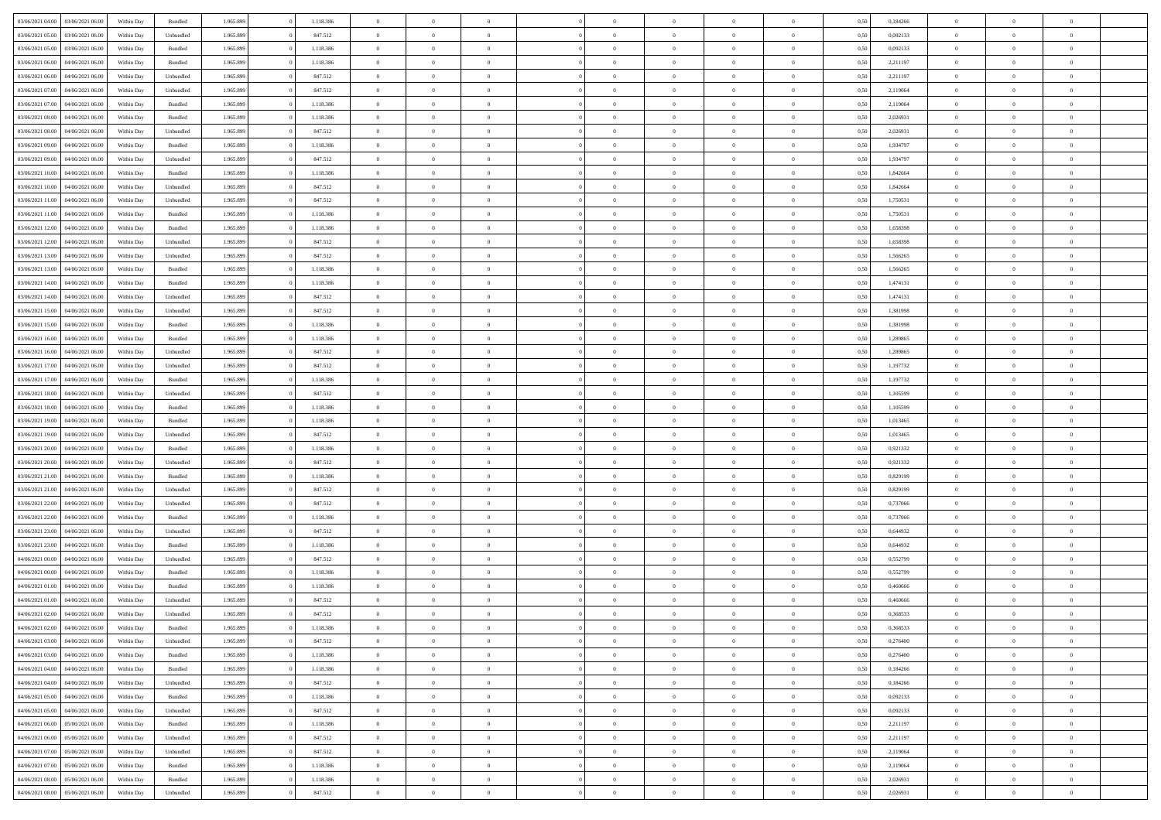| 03/06/2021 04:00                  | 03/06/2021 06:00 | Within Day | Bundled   | 1.965.899 | 1.118.386 | $\overline{0}$ | $\Omega$       |                | $\Omega$       | $\Omega$       | $\theta$       | $\theta$       | 0,50 | 0,184266 | $\theta$       | $\theta$       | $\theta$       |  |
|-----------------------------------|------------------|------------|-----------|-----------|-----------|----------------|----------------|----------------|----------------|----------------|----------------|----------------|------|----------|----------------|----------------|----------------|--|
|                                   |                  |            |           |           |           |                |                |                |                |                |                |                |      |          |                |                |                |  |
| 03/06/2021 05:00                  | 03/06/2021 06:00 | Within Day | Unbundled | 1.965.899 | 847.512   | $\overline{0}$ | $\theta$       | $\overline{0}$ | $\overline{0}$ | $\bf{0}$       | $\overline{0}$ | $\bf{0}$       | 0,50 | 0,092133 | $\theta$       | $\theta$       | $\overline{0}$ |  |
| 03/06/2021 05:00                  | 03/06/2021 06:00 | Within Day | Bundled   | 1.965.899 | 1.118.386 | $\overline{0}$ | $\overline{0}$ | $\overline{0}$ | $\bf{0}$       | $\bf{0}$       | $\bf{0}$       | $\mathbf{0}$   | 0,50 | 0,092133 | $\overline{0}$ | $\overline{0}$ | $\overline{0}$ |  |
| 03/06/2021 06:00                  | 04/06/2021 06:00 | Within Dav | Bundled   | 1.965.899 | 1.118.386 | $\overline{0}$ | $\overline{0}$ | $\overline{0}$ | $\overline{0}$ | $\bf{0}$       | $\overline{0}$ | $\overline{0}$ | 0.50 | 2.211197 | $\theta$       | $\theta$       | $\overline{0}$ |  |
| 03/06/2021 06:00                  | 04/06/2021 06.00 | Within Day | Unbundled | 1.965.899 | 847.512   | $\overline{0}$ | $\theta$       | $\overline{0}$ | $\overline{0}$ | $\bf{0}$       | $\overline{0}$ | $\bf{0}$       | 0,50 | 2,211197 | $\,$ 0 $\,$    | $\overline{0}$ | $\overline{0}$ |  |
| 03/06/2021 07:00                  | 04/06/2021 06.00 | Within Day | Unbundled | 1.965.899 | 847.512   | $\overline{0}$ | $\bf{0}$       | $\overline{0}$ | $\bf{0}$       | $\overline{0}$ | $\overline{0}$ | $\mathbf{0}$   | 0,50 | 2,119064 | $\overline{0}$ | $\overline{0}$ | $\bf{0}$       |  |
| 03/06/2021 07:00                  | 04/06/2021 06:00 | Within Dav | Bundled   | 1.965.899 | 1.118.386 | $\overline{0}$ | $\overline{0}$ | $\overline{0}$ | $\overline{0}$ | $\overline{0}$ | $\overline{0}$ | $\overline{0}$ | 0.50 | 2,119064 | $\theta$       | $\overline{0}$ | $\overline{0}$ |  |
|                                   |                  |            |           |           |           |                |                |                |                |                |                |                |      |          |                |                |                |  |
| 03/06/2021 08:00                  | 04/06/2021 06.00 | Within Day | Bundled   | 1.965.899 | 1.118.386 | $\overline{0}$ | $\theta$       | $\overline{0}$ | $\overline{0}$ | $\bf{0}$       | $\overline{0}$ | $\bf{0}$       | 0,50 | 2,026931 | $\theta$       | $\theta$       | $\overline{0}$ |  |
| 03/06/2021 08:00                  | 04/06/2021 06.00 | Within Day | Unbundled | 1.965.899 | 847.512   | $\overline{0}$ | $\overline{0}$ | $\overline{0}$ | $\bf{0}$       | $\bf{0}$       | $\bf{0}$       | $\bf{0}$       | 0,50 | 2,026931 | $\,0\,$        | $\overline{0}$ | $\overline{0}$ |  |
| 03/06/2021 09:00                  | 04/06/2021 06:00 | Within Dav | Bundled   | 1.965.899 | 1.118.386 | $\overline{0}$ | $\overline{0}$ | $\overline{0}$ | $\overline{0}$ | $\overline{0}$ | $\overline{0}$ | $\overline{0}$ | 0.50 | 1,934797 | $\theta$       | $\overline{0}$ | $\overline{0}$ |  |
| 03/06/2021 09:00                  | 04/06/2021 06.00 | Within Day | Unbundled | 1.965.899 | 847.512   | $\overline{0}$ | $\theta$       | $\overline{0}$ | $\overline{0}$ | $\bf{0}$       | $\overline{0}$ | $\bf{0}$       | 0,50 | 1,934797 | $\,$ 0 $\,$    | $\overline{0}$ | $\overline{0}$ |  |
| 03/06/2021 10:00                  | 04/06/2021 06.00 | Within Day | Bundled   | 1.965.899 | 1.118.386 | $\overline{0}$ | $\overline{0}$ | $\overline{0}$ | $\bf{0}$       | $\bf{0}$       | $\bf{0}$       | $\mathbf{0}$   | 0,50 | 1,842664 | $\overline{0}$ | $\overline{0}$ | $\overline{0}$ |  |
| 03/06/2021 10:00                  | 04/06/2021 06:00 | Within Day | Unbundled | 1.965.899 | 847.512   | $\overline{0}$ | $\overline{0}$ | $\overline{0}$ | $\overline{0}$ | $\bf{0}$       | $\overline{0}$ | $\overline{0}$ | 0.50 | 1.842664 | $\theta$       | $\theta$       | $\overline{0}$ |  |
| 03/06/2021 11:00                  | 04/06/2021 06.00 | Within Day | Unbundled | 1.965.899 | 847.512   | $\overline{0}$ | $\theta$       | $\overline{0}$ | $\overline{0}$ | $\bf{0}$       | $\overline{0}$ | $\bf{0}$       | 0,50 | 1,750531 | $\theta$       | $\overline{0}$ | $\overline{0}$ |  |
|                                   |                  |            |           |           |           |                |                |                |                |                |                |                |      |          |                |                |                |  |
| 03/06/2021 11:00                  | 04/06/2021 06.00 | Within Day | Bundled   | 1.965.899 | 1.118.386 | $\overline{0}$ | $\overline{0}$ | $\overline{0}$ | $\bf{0}$       | $\overline{0}$ | $\overline{0}$ | $\mathbf{0}$   | 0,50 | 1,750531 | $\overline{0}$ | $\overline{0}$ | $\bf{0}$       |  |
| 03/06/2021 12:00                  | 04/06/2021 06:00 | Within Dav | Bundled   | 1.965.899 | 1.118.386 | $\overline{0}$ | $\overline{0}$ | $\overline{0}$ | $\overline{0}$ | $\overline{0}$ | $\overline{0}$ | $\overline{0}$ | 0.50 | 1,658398 | $\theta$       | $\overline{0}$ | $\overline{0}$ |  |
| 03/06/2021 12:00                  | 04/06/2021 06.00 | Within Day | Unbundled | 1.965.899 | 847.512   | $\overline{0}$ | $\theta$       | $\overline{0}$ | $\overline{0}$ | $\bf{0}$       | $\overline{0}$ | $\bf{0}$       | 0,50 | 1,658398 | $\,$ 0 $\,$    | $\theta$       | $\overline{0}$ |  |
| 03/06/2021 13:00                  | 04/06/2021 06.00 | Within Day | Unbundled | 1.965.899 | 847.512   | $\overline{0}$ | $\overline{0}$ | $\overline{0}$ | $\bf{0}$       | $\bf{0}$       | $\bf{0}$       | $\mathbf{0}$   | 0,50 | 1,566265 | $\bf{0}$       | $\overline{0}$ | $\overline{0}$ |  |
| 03/06/2021 13:00                  | 04/06/2021 06:00 | Within Day | Bundled   | 1.965.899 | 1.118.386 | $\overline{0}$ | $\overline{0}$ | $\overline{0}$ | $\overline{0}$ | $\overline{0}$ | $\overline{0}$ | $\overline{0}$ | 0.50 | 1,566265 | $\theta$       | $\overline{0}$ | $\overline{0}$ |  |
| 03/06/2021 14:00                  | 04/06/2021 06.00 | Within Day | Bundled   | 1.965.899 | 1.118.386 | $\overline{0}$ | $\theta$       | $\overline{0}$ | $\overline{0}$ | $\bf{0}$       | $\overline{0}$ | $\bf{0}$       | 0,50 | 1,474131 | $\,$ 0 $\,$    | $\theta$       | $\overline{0}$ |  |
| 03/06/2021 14:00                  | 04/06/2021 06:00 | Within Day | Unbundled | 1.965.899 | 847.512   | $\overline{0}$ | $\overline{0}$ | $\overline{0}$ | $\bf{0}$       | $\bf{0}$       | $\bf{0}$       | $\bf{0}$       | 0,50 | 1,474131 | $\bf{0}$       | $\overline{0}$ | $\overline{0}$ |  |
| 03/06/2021 15:00                  | 04/06/2021 06:00 | Within Day | Unbundled | 1.965.899 | 847.512   | $\overline{0}$ | $\overline{0}$ | $\overline{0}$ | $\overline{0}$ | $\bf{0}$       | $\overline{0}$ | $\overline{0}$ | 0.50 | 1,381998 | $\theta$       | $\overline{0}$ | $\overline{0}$ |  |
|                                   |                  |            |           |           |           |                |                |                |                |                |                |                |      |          |                |                |                |  |
| 03/06/2021 15:00                  | 04/06/2021 06.00 | Within Day | Bundled   | 1.965.899 | 1.118.386 | $\overline{0}$ | $\theta$       | $\overline{0}$ | $\overline{0}$ | $\bf{0}$       | $\overline{0}$ | $\bf{0}$       | 0,50 | 1,381998 | $\,$ 0 $\,$    | $\overline{0}$ | $\overline{0}$ |  |
| 03/06/2021 16:00                  | 04/06/2021 06.00 | Within Day | Bundled   | 1.965.899 | 1.118.386 | $\overline{0}$ | $\overline{0}$ | $\overline{0}$ | $\bf{0}$       | $\overline{0}$ | $\overline{0}$ | $\mathbf{0}$   | 0,50 | 1,289865 | $\bf{0}$       | $\overline{0}$ | $\bf{0}$       |  |
| 03/06/2021 16:00                  | 04/06/2021 06:00 | Within Dav | Unbundled | 1.965.899 | 847.512   | $\overline{0}$ | $\overline{0}$ | $\overline{0}$ | $\overline{0}$ | $\overline{0}$ | $\overline{0}$ | $\overline{0}$ | 0.50 | 1,289865 | $\theta$       | $\overline{0}$ | $\overline{0}$ |  |
| 03/06/2021 17:00                  | 04/06/2021 06.00 | Within Day | Unbundled | 1.965.899 | 847.512   | $\overline{0}$ | $\theta$       | $\overline{0}$ | $\overline{0}$ | $\bf{0}$       | $\overline{0}$ | $\bf{0}$       | 0,50 | 1,197732 | $\theta$       | $\theta$       | $\overline{0}$ |  |
| 03/06/2021 17:00                  | 04/06/2021 06.00 | Within Day | Bundled   | 1.965.899 | 1.118.386 | $\overline{0}$ | $\overline{0}$ | $\overline{0}$ | $\bf{0}$       | $\bf{0}$       | $\bf{0}$       | $\bf{0}$       | 0,50 | 1,197732 | $\,0\,$        | $\overline{0}$ | $\overline{0}$ |  |
| 03/06/2021 18:00                  | 04/06/2021 06:00 | Within Day | Unbundled | 1.965.899 | 847.512   | $\overline{0}$ | $\overline{0}$ | $\overline{0}$ | $\overline{0}$ | $\overline{0}$ | $\overline{0}$ | $\overline{0}$ | 0.50 | 1,105599 | $\theta$       | $\overline{0}$ | $\overline{0}$ |  |
| 03/06/2021 18:00                  | 04/06/2021 06.00 | Within Day | Bundled   | 1.965.899 | 1.118.386 | $\overline{0}$ | $\theta$       | $\overline{0}$ | $\overline{0}$ | $\bf{0}$       | $\overline{0}$ | $\bf{0}$       | 0,50 | 1,105599 | $\,$ 0 $\,$    | $\overline{0}$ | $\overline{0}$ |  |
|                                   |                  |            |           |           |           |                | $\overline{0}$ |                |                | $\bf{0}$       |                |                |      |          |                | $\overline{0}$ | $\overline{0}$ |  |
| 03/06/2021 19:00                  | 04/06/2021 06:00 | Within Day | Bundled   | 1.965.899 | 1.118.386 | $\overline{0}$ |                | $\overline{0}$ | $\bf{0}$       |                | $\bf{0}$       | $\bf{0}$       | 0,50 | 1,013465 | $\bf{0}$       |                |                |  |
| 03/06/2021 19:00                  | 04/06/2021 06.00 | Within Day | Unbundled | 1.965.899 | 847.512   | $\bf{0}$       | $\Omega$       | $\overline{0}$ | $\Omega$       | $\Omega$       | $\overline{0}$ | $\overline{0}$ | 0,50 | 1,013465 | $\,0\,$        | $\theta$       | $\theta$       |  |
| 03/06/2021 20:00                  | 04/06/2021 06.00 | Within Day | Bundled   | 1.965.899 | 1.118.386 | $\overline{0}$ | $\theta$       | $\overline{0}$ | $\overline{0}$ | $\bf{0}$       | $\overline{0}$ | $\bf{0}$       | 0,50 | 0,921332 | $\,$ 0 $\,$    | $\theta$       | $\overline{0}$ |  |
| 03/06/2021 20:00                  | 04/06/2021 06:00 | Within Day | Unbundled | 1.965.899 | 847.512   | $\overline{0}$ | $\overline{0}$ | $\overline{0}$ | $\bf{0}$       | $\bf{0}$       | $\overline{0}$ | $\mathbf{0}$   | 0,50 | 0,921332 | $\bf{0}$       | $\overline{0}$ | $\bf{0}$       |  |
| 03/06/2021 21:00                  | 04/06/2021 06:00 | Within Day | Bundled   | 1.965.899 | 1.118.386 | $\overline{0}$ | $\Omega$       | $\Omega$       | $\Omega$       | $\bf{0}$       | $\overline{0}$ | $\overline{0}$ | 0.50 | 0,829199 | $\,0\,$        | $\theta$       | $\theta$       |  |
| 03/06/2021 21:00                  | 04/06/2021 06.00 | Within Day | Unbundled | 1.965.899 | 847.512   | $\overline{0}$ | $\theta$       | $\overline{0}$ | $\overline{0}$ | $\bf{0}$       | $\overline{0}$ | $\bf{0}$       | 0,50 | 0,829199 | $\,$ 0 $\,$    | $\overline{0}$ | $\overline{0}$ |  |
| 03/06/2021 22.00                  | 04/06/2021 06.00 | Within Day | Unbundled | 1.965.899 | 847.512   | $\overline{0}$ | $\overline{0}$ | $\overline{0}$ | $\bf{0}$       | $\bf{0}$       | $\bf{0}$       | $\bf{0}$       | 0,50 | 0,737066 | $\bf{0}$       | $\overline{0}$ | $\overline{0}$ |  |
| 03/06/2021 22.00                  | 04/06/2021 06:00 | Within Day | Bundled   | 1.965.899 | 1.118.386 | $\overline{0}$ | $\Omega$       | $\overline{0}$ | $\Omega$       | $\overline{0}$ | $\overline{0}$ | $\overline{0}$ | 0.50 | 0,737066 | $\,$ 0 $\,$    | $\theta$       | $\theta$       |  |
| 03/06/2021 23:00                  | 04/06/2021 06.00 |            |           | 1.965.899 | 847.512   | $\overline{0}$ | $\theta$       | $\overline{0}$ | $\overline{0}$ | $\bf{0}$       | $\overline{0}$ |                |      | 0,644932 | $\,$ 0 $\,$    | $\overline{0}$ | $\overline{0}$ |  |
|                                   |                  | Within Day | Unbundled |           |           |                |                |                |                |                |                | $\bf{0}$       | 0,50 |          |                |                |                |  |
| 03/06/2021 23.00                  | 04/06/2021 06.00 | Within Day | Bundled   | 1.965.899 | 1.118.386 | $\overline{0}$ | $\overline{0}$ | $\overline{0}$ | $\bf{0}$       | $\bf{0}$       | $\bf{0}$       | $\bf{0}$       | 0,50 | 0,644932 | $\overline{0}$ | $\overline{0}$ | $\overline{0}$ |  |
| 04/06/2021 00:00                  | 04/06/2021 06.00 | Within Day | Unbundled | 1.965.899 | 847.512   | $\overline{0}$ | $\Omega$       | $\overline{0}$ | $\Omega$       | $\overline{0}$ | $\overline{0}$ | $\overline{0}$ | 0,50 | 0,552799 | $\,0\,$        | $\theta$       | $\theta$       |  |
| 04/06/2021 00:00                  | 04/06/2021 06.00 | Within Day | Bundled   | 1.965.899 | 1.118.386 | $\overline{0}$ | $\theta$       | $\overline{0}$ | $\overline{0}$ | $\,$ 0         | $\overline{0}$ | $\bf{0}$       | 0,50 | 0,552799 | $\,$ 0 $\,$    | $\overline{0}$ | $\overline{0}$ |  |
| 04/06/2021 01.00                  | 04/06/2021 06.00 | Within Day | Bundled   | 1.965.899 | 1.118.386 | $\overline{0}$ | $\overline{0}$ | $\overline{0}$ | $\bf{0}$       | $\bf{0}$       | $\bf{0}$       | $\mathbf{0}$   | 0,50 | 0,460666 | $\overline{0}$ | $\overline{0}$ | $\bf{0}$       |  |
| 04/06/2021 01:00                  | 04/06/2021 06:00 | Within Day | Unbundled | 1.965.899 | 847.512   | $\overline{0}$ | $\Omega$       | $\Omega$       | $\Omega$       | $\Omega$       | $\Omega$       | $\overline{0}$ | 0.50 | 0.460666 | $\theta$       | $\theta$       | $\theta$       |  |
| 04/06/2021 02.00                  | 04/06/2021 06:00 | Within Day | Unbundled | 1.965.899 | 847.512   | $\overline{0}$ | $\,$ 0 $\,$    | $\overline{0}$ | $\bf{0}$       | $\,$ 0         | $\bf{0}$       | $\bf{0}$       | 0,50 | 0,368533 | $\,0\,$        | $\overline{0}$ | $\overline{0}$ |  |
| 04/06/2021 02:00 04/06/2021 06:00 |                  | Within Day | Bundled   | 1.965.899 | 1.118.386 | $\bf{0}$       | $\bf{0}$       |                |                |                |                |                | 0,50 | 0,368533 | $\bf{0}$       | $\overline{0}$ |                |  |
| 04/06/2021 03:00                  | 04/06/2021 06:00 | Within Day | Unbundled | 1.965.899 | 847.512   | $\overline{0}$ | $\overline{0}$ | $\overline{0}$ | $\Omega$       | $\overline{0}$ | $\overline{0}$ | $\overline{0}$ | 0.50 | 0,276400 | $\theta$       | $\theta$       | $\theta$       |  |
|                                   |                  |            |           |           |           |                |                |                |                |                |                |                |      |          |                |                |                |  |
| 04/06/2021 03:00                  | 04/06/2021 06:00 | Within Day | Bundled   | 1.965.899 | 1.118.386 | $\overline{0}$ | $\bf{0}$       | $\overline{0}$ | $\bf{0}$       | $\,$ 0 $\,$    | $\overline{0}$ | $\,$ 0 $\,$    | 0,50 | 0,276400 | $\,$ 0 $\,$    | $\,$ 0 $\,$    | $\,$ 0         |  |
| 04/06/2021 04:00                  | 04/06/2021 06:00 | Within Day | Bundled   | 1.965.899 | 1.118.386 | $\overline{0}$ | $\overline{0}$ | $\overline{0}$ | $\overline{0}$ | $\overline{0}$ | $\overline{0}$ | $\mathbf{0}$   | 0,50 | 0,184266 | $\overline{0}$ | $\bf{0}$       | $\overline{0}$ |  |
| 04/06/2021 04:00                  | 04/06/2021 06:00 | Within Day | Unbundled | 1.965.899 | 847.512   | $\overline{0}$ | $\overline{0}$ | $\overline{0}$ | $\Omega$       | $\overline{0}$ | $\overline{0}$ | $\overline{0}$ | 0,50 | 0,184266 | $\overline{0}$ | $\theta$       | $\overline{0}$ |  |
| 04/06/2021 05:00                  | 04/06/2021 06:00 | Within Day | Bundled   | 1.965.899 | 1.118.386 | $\overline{0}$ | $\,$ 0         | $\overline{0}$ | $\bf{0}$       | $\,$ 0 $\,$    | $\overline{0}$ | $\mathbf{0}$   | 0,50 | 0,092133 | $\,$ 0 $\,$    | $\overline{0}$ | $\overline{0}$ |  |
| 04/06/2021 05:00                  | 04/06/2021 06:00 | Within Day | Unbundled | 1.965.899 | 847.512   | $\overline{0}$ | $\overline{0}$ | $\overline{0}$ | $\overline{0}$ | $\overline{0}$ | $\overline{0}$ | $\mathbf{0}$   | 0,50 | 0,092133 | $\overline{0}$ | $\overline{0}$ | $\bf{0}$       |  |
| 04/06/2021 06:00                  | 05/06/2021 06:00 | Within Day | Bundled   | 1.965.899 | 1.118.386 | $\overline{0}$ | $\overline{0}$ | $\overline{0}$ | $\overline{0}$ | $\overline{0}$ | $\overline{0}$ | $\bf{0}$       | 0.50 | 2,211197 | $\overline{0}$ | $\theta$       | $\overline{0}$ |  |
| 04/06/2021 06:00                  | 05/06/2021 06:00 | Within Day | Unbundled | 1.965.899 | 847.512   | $\overline{0}$ | $\,$ 0         | $\overline{0}$ | $\bf{0}$       | $\bf{0}$       | $\bf{0}$       | $\bf{0}$       | 0,50 | 2,211197 | $\,$ 0 $\,$    | $\overline{0}$ | $\overline{0}$ |  |
| 04/06/2021 07:00                  | 05/06/2021 06:00 | Within Day | Unbundled | 1.965.899 | 847.512   | $\overline{0}$ | $\bf{0}$       | $\overline{0}$ | $\overline{0}$ | $\overline{0}$ | $\overline{0}$ | $\mathbf{0}$   | 0,50 | 2,119064 | $\overline{0}$ | $\overline{0}$ | $\bf{0}$       |  |
|                                   |                  |            |           |           |           |                |                |                |                |                |                |                |      |          |                |                |                |  |
| 04/06/2021 07:00                  | 05/06/2021 06:00 | Within Day | Bundled   | 1.965.899 | 1.118.386 | $\overline{0}$ | $\overline{0}$ | $\overline{0}$ | $\Omega$       | $\overline{0}$ | $\overline{0}$ | $\overline{0}$ | 0,50 | 2,119064 | $\overline{0}$ | $\overline{0}$ | $\overline{0}$ |  |
| 04/06/2021 08:00                  | 05/06/2021 06:00 | Within Day | Bundled   | 1.965.899 | 1.118.386 | $\overline{0}$ | $\bf{0}$       | $\overline{0}$ | $\bf{0}$       | $\bf{0}$       | $\bf{0}$       | $\mathbf{0}$   | 0,50 | 2,026931 | $\,$ 0 $\,$    | $\,$ 0 $\,$    | $\bf{0}$       |  |
| 04/06/2021 08:00                  | 05/06/2021 06:00 | Within Day | Unbundled | 1.965.899 | 847.512   | $\overline{0}$ | $\overline{0}$ | $\overline{0}$ | $\overline{0}$ | $\overline{0}$ | $\bf{0}$       | $\mathbf{0}$   | 0,50 | 2,026931 | $\overline{0}$ | $\bf{0}$       | $\overline{0}$ |  |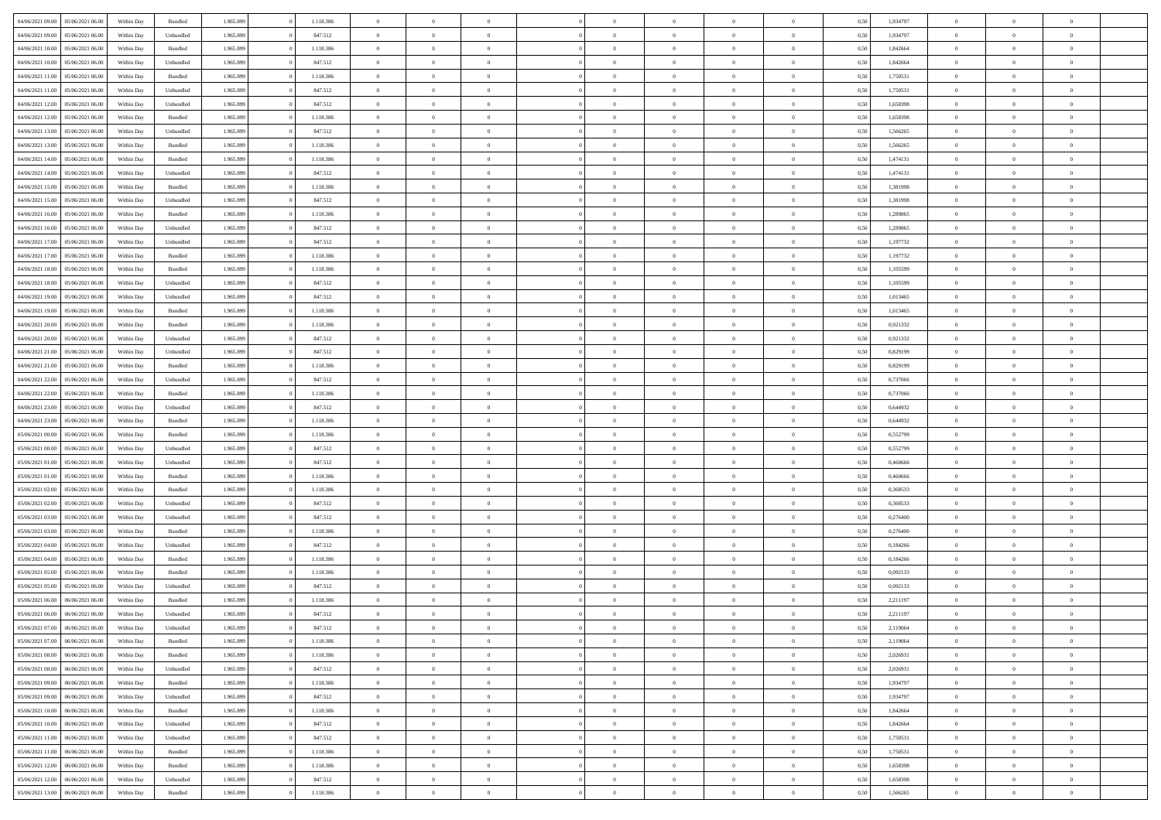|                                   |                  |            |           |           |           | $\overline{0}$ | $\Omega$       |                |                | $\Omega$       | $\theta$       | $\theta$       |      |          | $\theta$       |                | $\theta$       |  |
|-----------------------------------|------------------|------------|-----------|-----------|-----------|----------------|----------------|----------------|----------------|----------------|----------------|----------------|------|----------|----------------|----------------|----------------|--|
| 04/06/2021 09:00                  | 05/06/2021 06:00 | Within Day | Bundled   | 1.965.899 | 1.118.386 |                |                |                | $\Omega$       |                |                |                | 0,50 | 1,934797 |                | $\theta$       |                |  |
| 04/06/2021 09:00                  | 05/06/2021 06:00 | Within Day | Unbundled | 1.965.899 | 847.512   | $\overline{0}$ | $\theta$       | $\overline{0}$ | $\overline{0}$ | $\bf{0}$       | $\overline{0}$ | $\bf{0}$       | 0,50 | 1,934797 | $\theta$       | $\overline{0}$ | $\overline{0}$ |  |
| 04/06/2021 10:00                  | 05/06/2021 06:00 | Within Day | Bundled   | 1.965.899 | 1.118.386 | $\overline{0}$ | $\overline{0}$ | $\overline{0}$ | $\bf{0}$       | $\bf{0}$       | $\bf{0}$       | $\mathbf{0}$   | 0,50 | 1,842664 | $\bf{0}$       | $\overline{0}$ | $\bf{0}$       |  |
| 04/06/2021 10:00                  | 05/06/2021 06:00 | Within Day | Unbundled | 1.965.899 | 847.512   | $\overline{0}$ | $\overline{0}$ | $\overline{0}$ | $\overline{0}$ | $\bf{0}$       | $\overline{0}$ | $\overline{0}$ | 0.50 | 1.842664 | $\theta$       | $\theta$       | $\overline{0}$ |  |
|                                   |                  |            |           |           |           |                |                |                |                |                |                |                |      |          |                |                |                |  |
| 04/06/2021 11:00                  | 05/06/2021 06:00 | Within Day | Bundled   | 1.965.899 | 1.118.386 | $\overline{0}$ | $\theta$       | $\overline{0}$ | $\overline{0}$ | $\bf{0}$       | $\overline{0}$ | $\bf{0}$       | 0,50 | 1,750531 | $\,$ 0 $\,$    | $\overline{0}$ | $\overline{0}$ |  |
| 04/06/2021 11:00                  | 05/06/2021 06:00 | Within Day | Unbundled | 1.965.899 | 847.512   | $\overline{0}$ | $\overline{0}$ | $\overline{0}$ | $\bf{0}$       | $\overline{0}$ | $\overline{0}$ | $\mathbf{0}$   | 0,50 | 1,750531 | $\bf{0}$       | $\overline{0}$ | $\bf{0}$       |  |
| 04/06/2021 12:00                  | 05/06/2021 06:00 | Within Dav | Unbundled | 1.965.899 | 847.512   | $\overline{0}$ | $\overline{0}$ | $\overline{0}$ | $\overline{0}$ | $\overline{0}$ | $\overline{0}$ | $\overline{0}$ | 0.50 | 1,658398 | $\theta$       | $\overline{0}$ | $\overline{0}$ |  |
| 04/06/2021 12:00                  | 05/06/2021 06:00 | Within Day | Bundled   | 1.965.899 | 1.118.386 | $\overline{0}$ | $\theta$       | $\overline{0}$ | $\overline{0}$ | $\bf{0}$       | $\overline{0}$ | $\bf{0}$       | 0,50 | 1,658398 | $\theta$       | $\theta$       | $\overline{0}$ |  |
|                                   |                  |            |           |           |           |                |                |                |                |                |                |                |      |          |                |                |                |  |
| 04/06/2021 13:00                  | 05/06/2021 06:00 | Within Day | Unbundled | 1.965.899 | 847.512   | $\overline{0}$ | $\overline{0}$ | $\overline{0}$ | $\bf{0}$       | $\bf{0}$       | $\bf{0}$       | $\mathbf{0}$   | 0,50 | 1,566265 | $\,0\,$        | $\overline{0}$ | $\overline{0}$ |  |
| 04/06/2021 13:00                  | 05/06/2021 06:00 | Within Dav | Bundled   | 1.965.899 | 1.118.386 | $\overline{0}$ | $\overline{0}$ | $\overline{0}$ | $\overline{0}$ | $\overline{0}$ | $\overline{0}$ | $\overline{0}$ | 0.50 | 1,566265 | $\theta$       | $\overline{0}$ | $\overline{0}$ |  |
| 04/06/2021 14:00                  | 05/06/2021 06:00 | Within Day | Bundled   | 1.965.899 | 1.118.386 | $\overline{0}$ | $\theta$       | $\overline{0}$ | $\overline{0}$ | $\bf{0}$       | $\overline{0}$ | $\bf{0}$       | 0,50 | 1,474131 | $\,$ 0 $\,$    | $\overline{0}$ | $\overline{0}$ |  |
| 04/06/2021 14:00                  | 05/06/2021 06:00 | Within Day | Unbundled | 1.965.899 | 847.512   | $\overline{0}$ | $\overline{0}$ | $\overline{0}$ | $\bf{0}$       | $\bf{0}$       | $\bf{0}$       | $\mathbf{0}$   | 0,50 | 1,474131 | $\overline{0}$ | $\overline{0}$ | $\bf{0}$       |  |
| 04/06/2021 15:00                  | 05/06/2021 06:00 | Within Day | Bundled   | 1.965.899 | 1.118.386 | $\overline{0}$ | $\overline{0}$ | $\overline{0}$ | $\overline{0}$ | $\bf{0}$       | $\overline{0}$ | $\overline{0}$ | 0.50 | 1,381998 | $\theta$       | $\theta$       | $\overline{0}$ |  |
|                                   |                  |            |           |           |           | $\overline{0}$ | $\theta$       | $\overline{0}$ | $\overline{0}$ | $\bf{0}$       | $\overline{0}$ |                |      |          | $\theta$       | $\overline{0}$ | $\overline{0}$ |  |
| 04/06/2021 15:00                  | 05/06/2021 06:00 | Within Day | Unbundled | 1.965.899 | 847.512   |                |                |                |                |                |                | $\bf{0}$       | 0,50 | 1,381998 |                |                |                |  |
| 04/06/2021 16:00                  | 05/06/2021 06:00 | Within Day | Bundled   | 1.965.899 | 1.118.386 | $\overline{0}$ | $\overline{0}$ | $\overline{0}$ | $\bf{0}$       | $\overline{0}$ | $\overline{0}$ | $\mathbf{0}$   | 0,50 | 1,289865 | $\overline{0}$ | $\overline{0}$ | $\bf{0}$       |  |
| 04/06/2021 16:00                  | 05/06/2021 06:00 | Within Dav | Unbundled | 1.965.899 | 847.512   | $\overline{0}$ | $\overline{0}$ | $\overline{0}$ | $\overline{0}$ | $\overline{0}$ | $\overline{0}$ | $\overline{0}$ | 0.50 | 1,289865 | $\theta$       | $\overline{0}$ | $\overline{0}$ |  |
| 04/06/2021 17:00                  | 05/06/2021 06:00 | Within Day | Unbundled | 1.965.899 | 847.512   | $\overline{0}$ | $\theta$       | $\overline{0}$ | $\overline{0}$ | $\bf{0}$       | $\overline{0}$ | $\bf{0}$       | 0,50 | 1,197732 | $\,$ 0 $\,$    | $\overline{0}$ | $\overline{0}$ |  |
| 04/06/2021 17.00                  | 05/06/2021 06:00 | Within Day | Bundled   | 1.965.899 | 1.118.386 | $\overline{0}$ | $\overline{0}$ | $\overline{0}$ | $\bf{0}$       | $\bf{0}$       | $\bf{0}$       | $\mathbf{0}$   | 0,50 | 1,197732 | $\bf{0}$       | $\overline{0}$ | $\bf{0}$       |  |
|                                   |                  |            |           |           |           |                | $\overline{0}$ |                |                | $\overline{0}$ |                |                |      |          | $\theta$       | $\overline{0}$ | $\overline{0}$ |  |
| 04/06/2021 18:00                  | 05/06/2021 06:00 | Within Day | Bundled   | 1.965.899 | 1.118.386 | $\overline{0}$ |                | $\overline{0}$ | $\overline{0}$ |                | $\overline{0}$ | $\overline{0}$ | 0.50 | 1,105599 |                |                |                |  |
| 04/06/2021 18:00                  | 05/06/2021 06:00 | Within Day | Unbundled | 1.965.899 | 847.512   | $\overline{0}$ | $\theta$       | $\overline{0}$ | $\overline{0}$ | $\bf{0}$       | $\overline{0}$ | $\bf{0}$       | 0,50 | 1,105599 | $\,$ 0 $\,$    | $\overline{0}$ | $\overline{0}$ |  |
| 04/06/2021 19:00                  | 05/06/2021 06:00 | Within Day | Unbundled | 1.965.899 | 847.512   | $\overline{0}$ | $\overline{0}$ | $\overline{0}$ | $\bf{0}$       | $\bf{0}$       | $\bf{0}$       | $\mathbf{0}$   | 0,50 | 1,013465 | $\overline{0}$ | $\overline{0}$ | $\bf{0}$       |  |
| 04/06/2021 19:00                  | 05/06/2021 06:00 | Within Day | Bundled   | 1.965.899 | 1.118.386 | $\overline{0}$ | $\overline{0}$ | $\overline{0}$ | $\overline{0}$ | $\overline{0}$ | $\overline{0}$ | $\overline{0}$ | 0.50 | 1,013465 | $\theta$       | $\overline{0}$ | $\overline{0}$ |  |
| 04/06/2021 20:00                  | 05/06/2021 06:00 | Within Day | Bundled   | 1.965.899 | 1.118.386 | $\overline{0}$ | $\theta$       | $\overline{0}$ | $\overline{0}$ | $\bf{0}$       | $\overline{0}$ | $\bf{0}$       | 0,50 | 0,921332 | $\,$ 0 $\,$    | $\overline{0}$ | $\overline{0}$ |  |
|                                   |                  |            |           |           |           |                |                |                |                |                |                |                |      |          |                |                |                |  |
| 04/06/2021 20.00                  | 05/06/2021 06:00 | Within Day | Unbundled | 1.965.899 | 847.512   | $\overline{0}$ | $\overline{0}$ | $\overline{0}$ | $\overline{0}$ | $\overline{0}$ | $\overline{0}$ | $\mathbf{0}$   | 0,50 | 0,921332 | $\bf{0}$       | $\overline{0}$ | $\bf{0}$       |  |
| 04/06/2021 21:00                  | 05/06/2021 06:00 | Within Dav | Unbundled | 1.965.899 | 847.512   | $\overline{0}$ | $\overline{0}$ | $\overline{0}$ | $\overline{0}$ | $\overline{0}$ | $\overline{0}$ | $\overline{0}$ | 0.50 | 0.829199 | $\overline{0}$ | $\overline{0}$ | $\overline{0}$ |  |
| 04/06/2021 21:00                  | 05/06/2021 06:00 | Within Day | Bundled   | 1.965.899 | 1.118.386 | $\overline{0}$ | $\theta$       | $\overline{0}$ | $\overline{0}$ | $\bf{0}$       | $\overline{0}$ | $\bf{0}$       | 0,50 | 0,829199 | $\theta$       | $\overline{0}$ | $\overline{0}$ |  |
| 04/06/2021 22.00                  | 05/06/2021 06:00 | Within Day | Unbundled | 1.965.899 | 847.512   | $\overline{0}$ | $\overline{0}$ | $\overline{0}$ | $\overline{0}$ | $\bf{0}$       | $\overline{0}$ | $\mathbf{0}$   | 0,50 | 0,737066 | $\,0\,$        | $\overline{0}$ | $\overline{0}$ |  |
| 04/06/2021 22.00                  | 05/06/2021 06:00 | Within Day | Bundled   | 1.965.899 | 1.118.386 | $\overline{0}$ | $\overline{0}$ | $\overline{0}$ | $\overline{0}$ | $\overline{0}$ | $\overline{0}$ | $\overline{0}$ | 0.50 | 0,737066 | $\theta$       | $\overline{0}$ | $\overline{0}$ |  |
|                                   |                  |            |           |           |           |                |                |                |                |                |                |                |      |          |                |                |                |  |
| 04/06/2021 23:00                  | 05/06/2021 06:00 | Within Day | Unbundled | 1.965.899 | 847.512   | $\overline{0}$ | $\overline{0}$ | $\overline{0}$ | $\overline{0}$ | $\bf{0}$       | $\overline{0}$ | $\bf{0}$       | 0,50 | 0,644932 | $\,$ 0 $\,$    | $\overline{0}$ | $\overline{0}$ |  |
| 04/06/2021 23.00                  | 05/06/2021 06:00 | Within Day | Bundled   | 1.965.899 | 1.118.386 | $\overline{0}$ | $\overline{0}$ | $\overline{0}$ | $\overline{0}$ | $\bf{0}$       | $\overline{0}$ | $\bf{0}$       | 0,50 | 0,644932 | $\overline{0}$ | $\overline{0}$ | $\bf{0}$       |  |
| 05/06/2021 00:00                  | 05/06/2021 06:00 | Within Day | Bundled   | 1.965.899 | 1.118.386 | $\overline{0}$ | $\Omega$       | $\overline{0}$ | $\Omega$       | $\Omega$       | $\overline{0}$ | $\overline{0}$ | 0,50 | 0,552799 | $\,0\,$        | $\theta$       | $\theta$       |  |
| 05/06/2021 00:00                  | 05/06/2021 06:00 | Within Day | Unbundled | 1.965.899 | 847.512   | $\overline{0}$ | $\theta$       | $\overline{0}$ | $\overline{0}$ | $\bf{0}$       | $\overline{0}$ | $\bf{0}$       | 0,50 | 0,552799 | $\,$ 0 $\,$    | $\overline{0}$ | $\overline{0}$ |  |
| 05/06/2021 01:00                  | 05/06/2021 06:00 | Within Day | Unbundled | 1.965.899 | 847.512   | $\overline{0}$ | $\overline{0}$ | $\overline{0}$ | $\overline{0}$ | $\overline{0}$ | $\overline{0}$ | $\mathbf{0}$   | 0,50 | 0,460666 | $\overline{0}$ | $\overline{0}$ | $\bf{0}$       |  |
|                                   |                  |            |           |           |           |                |                |                |                |                |                |                |      |          |                |                |                |  |
| 05/06/2021 01:00                  | 05/06/2021 06:00 | Within Day | Bundled   | 1.965.899 | 1.118.386 | $\overline{0}$ | $\Omega$       | $\Omega$       | $\Omega$       | $\overline{0}$ | $\overline{0}$ | $\overline{0}$ | 0.50 | 0.460666 | $\,0\,$        | $\theta$       | $\theta$       |  |
| 05/06/2021 02:00                  | 05/06/2021 06:00 | Within Day | Bundled   | 1.965.899 | 1.118.386 | $\overline{0}$ | $\theta$       | $\overline{0}$ | $\overline{0}$ | $\bf{0}$       | $\overline{0}$ | $\bf{0}$       | 0,50 | 0,368533 | $\,$ 0 $\,$    | $\overline{0}$ | $\overline{0}$ |  |
| 05/06/2021 02.00                  | 05/06/2021 06:00 | Within Day | Unbundled | 1.965.899 | 847.512   | $\overline{0}$ | $\overline{0}$ | $\overline{0}$ | $\overline{0}$ | $\bf{0}$       | $\overline{0}$ | $\mathbf{0}$   | 0,50 | 0,368533 | $\bf{0}$       | $\overline{0}$ | $\bf{0}$       |  |
| 05/06/2021 03:00                  | 05/06/2021 06:00 | Within Day | Unbundled | 1.965.899 | 847.512   | $\overline{0}$ | $\Omega$       | $\overline{0}$ | $\Omega$       | $\overline{0}$ | $\overline{0}$ | $\overline{0}$ | 0.50 | 0,276400 | $\,$ 0 $\,$    | $\theta$       | $\theta$       |  |
| 05/06/2021 03:00                  | 05/06/2021 06:00 | Within Day | Bundled   | 1.965.899 | 1.118.386 | $\overline{0}$ | $\overline{0}$ | $\overline{0}$ | $\overline{0}$ | $\,$ 0         | $\overline{0}$ | $\bf{0}$       | 0,50 | 0,276400 | $\,$ 0 $\,$    | $\overline{0}$ | $\overline{0}$ |  |
|                                   |                  |            |           |           |           |                |                |                |                |                |                |                |      |          |                |                |                |  |
| 05/06/2021 04:00                  | 05/06/2021 06:00 | Within Day | Unbundled | 1.965.899 | 847.512   | $\overline{0}$ | $\overline{0}$ | $\overline{0}$ | $\overline{0}$ | $\bf{0}$       | $\overline{0}$ | $\mathbf{0}$   | 0,50 | 0,184266 | $\overline{0}$ | $\overline{0}$ | $\bf{0}$       |  |
| 05/06/2021 04:00                  | 05/06/2021 06:00 | Within Day | Bundled   | 1.965.899 | 1.118.386 | $\overline{0}$ | $\Omega$       | $\overline{0}$ | $\Omega$       | $\overline{0}$ | $\overline{0}$ | $\overline{0}$ | 0.50 | 0,184266 | $\,0\,$        | $\theta$       | $\theta$       |  |
| 05/06/2021 05:00                  | 05/06/2021 06:00 | Within Day | Bundled   | 1.965.899 | 1.118.386 | $\overline{0}$ | $\overline{0}$ | $\overline{0}$ | $\overline{0}$ | $\,$ 0         | $\overline{0}$ | $\bf{0}$       | 0,50 | 0,092133 | $\,$ 0 $\,$    | $\overline{0}$ | $\overline{0}$ |  |
| 05/06/2021 05:00                  | 05/06/2021 06:00 | Within Day | Unbundled | 1.965.899 | 847.512   | $\overline{0}$ | $\overline{0}$ | $\overline{0}$ | $\bf{0}$       | $\bf{0}$       | $\overline{0}$ | $\mathbf{0}$   | 0,50 | 0,092133 | $\overline{0}$ | $\overline{0}$ | $\bf{0}$       |  |
| 05/06/2021 06:00                  | 06/06/2021 06:00 | Within Day | Bundled   | 1.965.899 | 1.118.386 | $\overline{0}$ | $\Omega$       | $\Omega$       | $\Omega$       | $\Omega$       | $\Omega$       | $\overline{0}$ | 0.50 | 2,211197 | $\theta$       | $\theta$       | $\theta$       |  |
|                                   |                  |            |           |           |           |                |                |                |                |                |                |                |      |          |                |                |                |  |
| 05/06/2021 06:00                  | 06/06/2021 06:00 | Within Day | Unbundled | 1.965.899 | 847.512   | $\overline{0}$ | $\overline{0}$ | $\overline{0}$ | $\bf{0}$       | $\,$ 0         | $\bf{0}$       | $\bf{0}$       | 0,50 | 2,211197 | $\,0\,$        | $\,$ 0 $\,$    | $\overline{0}$ |  |
| 05/06/2021 07:00 06/06/2021 06:00 |                  | Within Day | Unbundled | 1.965.899 | 847.512   | $\bf{0}$       | $\bf{0}$       |                |                | $\bf{0}$       |                |                | 0,50 | 2,119064 | $\bf{0}$       | $\overline{0}$ |                |  |
| 05/06/2021 07:00                  | 06/06/2021 06:00 | Within Day | Bundled   | 1.965.899 | 1.118.386 | $\overline{0}$ | $\overline{0}$ | $\overline{0}$ | $\Omega$       | $\overline{0}$ | $\overline{0}$ | $\overline{0}$ | 0,50 | 2,119064 | $\theta$       | $\theta$       | $\theta$       |  |
| 05/06/2021 08:00                  | 06/06/2021 06:00 | Within Day | Bundled   | 1.965.899 | 1.118.386 | $\overline{0}$ | $\bf{0}$       | $\overline{0}$ | $\bf{0}$       | $\,$ 0 $\,$    | $\overline{0}$ | $\,$ 0 $\,$    | 0,50 | 2,026931 | $\,$ 0 $\,$    | $\,$ 0 $\,$    | $\,$ 0         |  |
| 05/06/2021 08:00                  | 06/06/2021 06:00 | Within Day | Unbundled | 1.965.899 | 847.512   | $\overline{0}$ | $\overline{0}$ | $\overline{0}$ | $\overline{0}$ | $\overline{0}$ | $\overline{0}$ | $\mathbf{0}$   | 0,50 | 2,026931 | $\overline{0}$ | $\bf{0}$       | $\overline{0}$ |  |
|                                   |                  |            |           |           |           |                |                |                |                |                |                |                |      |          |                |                |                |  |
| 05/06/2021 09:00                  | 06/06/2021 06:00 | Within Day | Bundled   | 1.965.899 | 1.118.386 | $\overline{0}$ | $\overline{0}$ | $\overline{0}$ | $\Omega$       | $\overline{0}$ | $\overline{0}$ | $\overline{0}$ | 0,50 | 1,934797 | $\overline{0}$ | $\theta$       | $\overline{0}$ |  |
| 05/06/2021 09:00                  | 06/06/2021 06:00 | Within Day | Unbundled | 1.965.899 | 847.512   | $\overline{0}$ | $\,$ 0         | $\overline{0}$ | $\bf{0}$       | $\,$ 0 $\,$    | $\overline{0}$ | $\,$ 0 $\,$    | 0,50 | 1,934797 | $\,$ 0 $\,$    | $\overline{0}$ | $\,$ 0         |  |
| 05/06/2021 10:00                  | 06/06/2021 06:00 | Within Day | Bundled   | 1.965.899 | 1.118.386 | $\overline{0}$ | $\overline{0}$ | $\overline{0}$ | $\overline{0}$ | $\overline{0}$ | $\overline{0}$ | $\mathbf{0}$   | 0,50 | 1,842664 | $\overline{0}$ | $\overline{0}$ | $\overline{0}$ |  |
| 05/06/2021 10:00                  | 06/06/2021 06:00 | Within Day | Unbundled | 1.965.899 | 847.512   | $\overline{0}$ | $\overline{0}$ | $\overline{0}$ | $\overline{0}$ | $\overline{0}$ | $\overline{0}$ | $\bf{0}$       | 0.50 | 1,842664 | $\overline{0}$ | $\theta$       | $\overline{0}$ |  |
| 05/06/2021 11:00                  | 06/06/2021 06:00 | Within Day | Unbundled | 1.965.899 | 847.512   | $\overline{0}$ | $\,$ 0         | $\overline{0}$ | $\overline{0}$ | $\bf{0}$       | $\overline{0}$ | $\bf{0}$       | 0,50 | 1,750531 | $\,$ 0 $\,$    | $\overline{0}$ | $\overline{0}$ |  |
|                                   |                  |            |           |           |           |                |                |                |                |                |                |                |      |          |                |                |                |  |
| 05/06/2021 11:00                  | 06/06/2021 06:00 | Within Day | Bundled   | 1.965.899 | 1.118.386 | $\overline{0}$ | $\bf{0}$       | $\overline{0}$ | $\overline{0}$ | $\overline{0}$ | $\overline{0}$ | $\mathbf{0}$   | 0,50 | 1,750531 | $\overline{0}$ | $\overline{0}$ | $\bf{0}$       |  |
| 05/06/2021 12:00                  | 06/06/2021 06:00 | Within Day | Bundled   | 1.965.899 | 1.118.386 | $\overline{0}$ | $\overline{0}$ | $\overline{0}$ | $\Omega$       | $\overline{0}$ | $\overline{0}$ | $\overline{0}$ | 0.50 | 1,658398 | $\overline{0}$ | $\overline{0}$ | $\overline{0}$ |  |
| 05/06/2021 12:00                  | 06/06/2021 06:00 | Within Day | Unbundled | 1.965.899 | 847.512   | $\overline{0}$ | $\bf{0}$       | $\overline{0}$ | $\bf{0}$       | $\bf{0}$       | $\overline{0}$ | $\mathbf{0}$   | 0,50 | 1,658398 | $\,$ 0 $\,$    | $\,$ 0 $\,$    | $\bf{0}$       |  |
| 05/06/2021 13:00                  | 06/06/2021 06:00 | Within Day | Bundled   | 1.965.899 | 1.118.386 | $\overline{0}$ | $\overline{0}$ | $\overline{0}$ | $\overline{0}$ | $\overline{0}$ | $\overline{0}$ | $\mathbf{0}$   | 0,50 | 1,566265 | $\overline{0}$ | $\bf{0}$       | $\overline{0}$ |  |
|                                   |                  |            |           |           |           |                |                |                |                |                |                |                |      |          |                |                |                |  |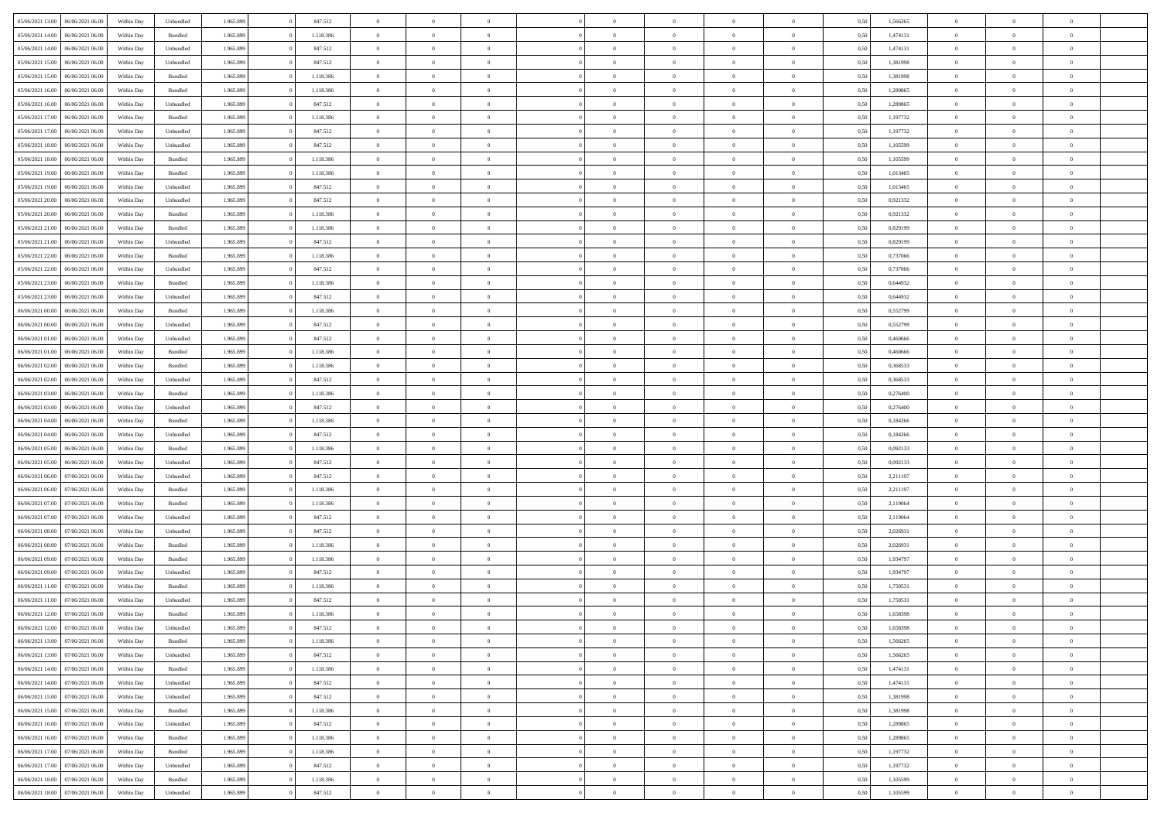|                                   |                  |            |           |           |           | $\overline{0}$ |                |                |                | $\Omega$       | $\Omega$       | $\theta$       |      |          | $\theta$       |                | $\theta$       |  |
|-----------------------------------|------------------|------------|-----------|-----------|-----------|----------------|----------------|----------------|----------------|----------------|----------------|----------------|------|----------|----------------|----------------|----------------|--|
| 05/06/2021 13:00                  | 06/06/2021 06:00 | Within Dav | Unbundled | 1.965.899 | 847.512   |                | $\theta$       |                | $\Omega$       |                |                |                | 0,50 | 1,566265 |                | $\theta$       |                |  |
| 05/06/2021 14:00                  | 06/06/2021 06:00 | Within Day | Bundled   | 1.965.899 | 1.118.386 | $\overline{0}$ | $\theta$       | $\overline{0}$ | $\overline{0}$ | $\bf{0}$       | $\overline{0}$ | $\bf{0}$       | 0,50 | 1,474131 | $\theta$       | $\theta$       | $\overline{0}$ |  |
| 05/06/2021 14:00                  | 06/06/2021 06:00 | Within Day | Unbundled | 1.965.899 | 847.512   | $\overline{0}$ | $\overline{0}$ | $\overline{0}$ | $\overline{0}$ | $\bf{0}$       | $\overline{0}$ | $\mathbf{0}$   | 0,50 | 1,474131 | $\bf{0}$       | $\overline{0}$ | $\overline{0}$ |  |
| 05/06/2021 15:00                  | 06/06/2021 06:00 | Within Dav | Unbundled | 1.965.899 | 847.512   | $\overline{0}$ | $\overline{0}$ | $\overline{0}$ | $\overline{0}$ | $\bf{0}$       | $\overline{0}$ | $\overline{0}$ | 0.50 | 1,381998 | $\theta$       | $\theta$       | $\overline{0}$ |  |
|                                   |                  |            |           |           |           | $\overline{0}$ | $\theta$       | $\overline{0}$ |                | $\bf{0}$       | $\overline{0}$ |                |      |          | $\theta$       | $\overline{0}$ | $\overline{0}$ |  |
| 05/06/2021 15:00                  | 06/06/2021 06:00 | Within Day | Bundled   | 1.965.899 | 1.118.386 |                |                |                | $\overline{0}$ |                |                | $\bf{0}$       | 0,50 | 1,381998 |                |                |                |  |
| 05/06/2021 16:00                  | 06/06/2021 06:00 | Within Day | Bundled   | 1.965.899 | 1.118.386 | $\overline{0}$ | $\bf{0}$       | $\overline{0}$ | $\bf{0}$       | $\overline{0}$ | $\overline{0}$ | $\mathbf{0}$   | 0,50 | 1,289865 | $\bf{0}$       | $\overline{0}$ | $\bf{0}$       |  |
| 05/06/2021 16:00                  | 06/06/2021 06:00 | Within Dav | Unbundled | 1.965.899 | 847.512   | $\overline{0}$ | $\overline{0}$ | $\overline{0}$ | $\overline{0}$ | $\overline{0}$ | $\overline{0}$ | $\overline{0}$ | 0.50 | 1,289865 | $\theta$       | $\overline{0}$ | $\overline{0}$ |  |
| 05/06/2021 17:00                  | 06/06/2021 06:00 | Within Day | Bundled   | 1.965.899 | 1.118.386 | $\overline{0}$ | $\theta$       | $\overline{0}$ | $\overline{0}$ | $\bf{0}$       | $\overline{0}$ | $\bf{0}$       | 0,50 | 1,197732 | $\theta$       | $\theta$       | $\overline{0}$ |  |
| 05/06/2021 17:00                  | 06/06/2021 06:00 | Within Day | Unbundled | 1.965.899 | 847.512   | $\overline{0}$ | $\overline{0}$ | $\overline{0}$ | $\bf{0}$       | $\bf{0}$       | $\bf{0}$       | $\bf{0}$       | 0,50 | 1,197732 | $\,0\,$        | $\overline{0}$ | $\overline{0}$ |  |
|                                   |                  |            |           |           |           |                | $\overline{0}$ |                |                | $\overline{0}$ |                |                |      |          | $\theta$       | $\overline{0}$ | $\overline{0}$ |  |
| 05/06/2021 18:00                  | 06/06/2021 06:00 | Within Dav | Unbundled | 1.965.899 | 847.512   | $\overline{0}$ |                | $\overline{0}$ | $\overline{0}$ |                | $\overline{0}$ | $\overline{0}$ | 0.50 | 1,105599 |                |                |                |  |
| 05/06/2021 18:00                  | 06/06/2021 06:00 | Within Day | Bundled   | 1.965.899 | 1.118.386 | $\overline{0}$ | $\theta$       | $\overline{0}$ | $\overline{0}$ | $\bf{0}$       | $\overline{0}$ | $\bf{0}$       | 0,50 | 1,105599 | $\,$ 0 $\,$    | $\overline{0}$ | $\overline{0}$ |  |
| 05/06/2021 19:00                  | 06/06/2021 06:00 | Within Day | Bundled   | 1.965.899 | 1.118.386 | $\overline{0}$ | $\overline{0}$ | $\overline{0}$ | $\bf{0}$       | $\bf{0}$       | $\bf{0}$       | $\mathbf{0}$   | 0,50 | 1,013465 | $\bf{0}$       | $\overline{0}$ | $\overline{0}$ |  |
| 05/06/2021 19:00                  | 06/06/2021 06:00 | Within Day | Unbundled | 1.965.899 | 847.512   | $\overline{0}$ | $\overline{0}$ | $\overline{0}$ | $\overline{0}$ | $\bf{0}$       | $\overline{0}$ | $\overline{0}$ | 0.50 | 1.013465 | $\theta$       | $\theta$       | $\overline{0}$ |  |
| 05/06/2021 20:00                  | 06/06/2021 06:00 | Within Day | Unbundled | 1.965.899 | 847.512   | $\overline{0}$ | $\theta$       | $\overline{0}$ | $\overline{0}$ | $\bf{0}$       | $\overline{0}$ | $\bf{0}$       | 0,50 | 0,921332 | $\theta$       | $\theta$       | $\overline{0}$ |  |
|                                   |                  |            |           |           |           |                |                |                |                |                |                |                |      |          |                |                |                |  |
| 05/06/2021 20:00                  | 06/06/2021 06:00 | Within Day | Bundled   | 1.965.899 | 1.118.386 | $\overline{0}$ | $\overline{0}$ | $\overline{0}$ | $\bf{0}$       | $\overline{0}$ | $\overline{0}$ | $\mathbf{0}$   | 0,50 | 0,921332 | $\bf{0}$       | $\overline{0}$ | $\bf{0}$       |  |
| 05/06/2021 21:00                  | 06/06/2021 06:00 | Within Dav | Bundled   | 1.965.899 | 1.118.386 | $\overline{0}$ | $\overline{0}$ | $\overline{0}$ | $\overline{0}$ | $\overline{0}$ | $\overline{0}$ | $\overline{0}$ | 0.50 | 0.829199 | $\theta$       | $\overline{0}$ | $\overline{0}$ |  |
| 05/06/2021 21:00                  | 06/06/2021 06:00 | Within Day | Unbundled | 1.965.899 | 847.512   | $\overline{0}$ | $\theta$       | $\overline{0}$ | $\overline{0}$ | $\bf{0}$       | $\overline{0}$ | $\bf{0}$       | 0,50 | 0,829199 | $\theta$       | $\theta$       | $\overline{0}$ |  |
| 05/06/2021 22.00                  | 06/06/2021 06:00 | Within Day | Bundled   | 1.965.899 | 1.118.386 | $\overline{0}$ | $\overline{0}$ | $\overline{0}$ | $\bf{0}$       | $\bf{0}$       | $\bf{0}$       | $\mathbf{0}$   | 0,50 | 0,737066 | $\,0\,$        | $\overline{0}$ | $\overline{0}$ |  |
| 05/06/2021 22.00                  | 06/06/2021 06:00 | Within Day | Unbundled | 1.965.899 | 847.512   | $\overline{0}$ | $\overline{0}$ | $\overline{0}$ | $\overline{0}$ | $\overline{0}$ | $\overline{0}$ | $\overline{0}$ | 0.50 | 0,737066 | $\theta$       | $\overline{0}$ | $\overline{0}$ |  |
| 05/06/2021 23:00                  | 06/06/2021 06:00 | Within Day | Bundled   | 1.965.899 | 1.118.386 | $\overline{0}$ | $\theta$       | $\overline{0}$ | $\overline{0}$ | $\bf{0}$       | $\overline{0}$ | $\bf{0}$       | 0,50 | 0,644932 | $\,$ 0 $\,$    | $\theta$       | $\overline{0}$ |  |
|                                   |                  |            |           |           |           |                |                |                |                |                |                |                |      |          |                |                |                |  |
| 05/06/2021 23.00                  | 06/06/2021 06:00 | Within Day | Unbundled | 1.965.899 | 847.512   | $\overline{0}$ | $\overline{0}$ | $\overline{0}$ | $\bf{0}$       | $\bf{0}$       | $\bf{0}$       | $\bf{0}$       | 0,50 | 0,644932 | $\bf{0}$       | $\overline{0}$ | $\overline{0}$ |  |
| 06/06/2021 00:00                  | 06/06/2021 06:00 | Within Day | Bundled   | 1.965.899 | 1.118.386 | $\overline{0}$ | $\overline{0}$ | $\overline{0}$ | $\overline{0}$ | $\bf{0}$       | $\overline{0}$ | $\overline{0}$ | 0.50 | 0,552799 | $\theta$       | $\overline{0}$ | $\overline{0}$ |  |
| 06/06/2021 00:00                  | 06/06/2021 06:00 | Within Day | Unbundled | 1.965.899 | 847.512   | $\overline{0}$ | $\theta$       | $\overline{0}$ | $\overline{0}$ | $\bf{0}$       | $\overline{0}$ | $\bf{0}$       | 0,50 | 0,552799 | $\,$ 0 $\,$    | $\overline{0}$ | $\overline{0}$ |  |
| 06/06/2021 01:00                  | 06/06/2021 06:00 | Within Day | Unbundled | 1.965.899 | 847.512   | $\overline{0}$ | $\bf{0}$       | $\overline{0}$ | $\bf{0}$       | $\overline{0}$ | $\overline{0}$ | $\mathbf{0}$   | 0,50 | 0,460666 | $\bf{0}$       | $\overline{0}$ | $\bf{0}$       |  |
| 06/06/2021 01:00                  | 06/06/2021 06:00 | Within Dav | Bundled   | 1.965.899 | 1.118.386 | $\overline{0}$ | $\overline{0}$ | $\overline{0}$ | $\overline{0}$ | $\overline{0}$ | $\overline{0}$ | $\overline{0}$ | 0.50 | 0,460666 | $\theta$       | $\overline{0}$ | $\overline{0}$ |  |
| 06/06/2021 02:00                  | 06/06/2021 06:00 | Within Day | Bundled   | 1.965.899 | 1.118.386 | $\overline{0}$ | $\theta$       | $\overline{0}$ | $\overline{0}$ | $\bf{0}$       | $\overline{0}$ | $\bf{0}$       | 0,50 | 0,368533 | $\theta$       | $\theta$       | $\overline{0}$ |  |
| 06/06/2021 02:00                  | 06/06/2021 06:00 | Within Day | Unbundled | 1.965.899 | 847.512   | $\overline{0}$ | $\overline{0}$ | $\overline{0}$ | $\bf{0}$       | $\bf{0}$       | $\bf{0}$       | $\bf{0}$       | 0,50 | 0,368533 | $\,0\,$        | $\overline{0}$ | $\overline{0}$ |  |
|                                   |                  |            |           |           |           |                | $\overline{0}$ |                |                | $\overline{0}$ |                |                |      |          | $\theta$       | $\overline{0}$ | $\overline{0}$ |  |
| 06/06/2021 03:00                  | 06/06/2021 06:00 | Within Day | Bundled   | 1.965.899 | 1.118.386 | $\overline{0}$ |                | $\overline{0}$ | $\overline{0}$ |                | $\overline{0}$ | $\overline{0}$ | 0.50 | 0,276400 |                |                |                |  |
| 06/06/2021 03:00                  | 06/06/2021 06:00 | Within Day | Unbundled | 1.965.899 | 847.512   | $\overline{0}$ | $\theta$       | $\overline{0}$ | $\overline{0}$ | $\bf{0}$       | $\overline{0}$ | $\bf{0}$       | 0,50 | 0,276400 | $\,$ 0 $\,$    | $\overline{0}$ | $\overline{0}$ |  |
| 06/06/2021 04:00                  | 06/06/2021 06:00 | Within Day | Bundled   | 1.965.899 | 1.118.386 | $\overline{0}$ | $\overline{0}$ | $\overline{0}$ | $\bf{0}$       | $\bf{0}$       | $\bf{0}$       | $\bf{0}$       | 0,50 | 0,184266 | $\overline{0}$ | $\overline{0}$ | $\overline{0}$ |  |
| 06/06/2021 04:00                  | 06/06/2021 06:00 | Within Day | Unbundled | 1.965.899 | 847.512   | $\overline{0}$ | $\Omega$       | $\overline{0}$ | $\Omega$       | $\Omega$       | $\overline{0}$ | $\overline{0}$ | 0,50 | 0,184266 | $\,0\,$        | $\theta$       | $\theta$       |  |
| 06/06/2021 05:00                  | 06/06/2021 06:00 | Within Day | Bundled   | 1.965.899 | 1.118.386 | $\overline{0}$ | $\theta$       | $\overline{0}$ | $\overline{0}$ | $\bf{0}$       | $\overline{0}$ | $\bf{0}$       | 0,50 | 0,092133 | $\,$ 0 $\,$    | $\theta$       | $\overline{0}$ |  |
| 06/06/2021 05:00                  | 06/06/2021 06:00 | Within Day | Unbundled | 1.965.899 | 847.512   | $\overline{0}$ | $\overline{0}$ | $\overline{0}$ | $\bf{0}$       | $\bf{0}$       | $\overline{0}$ | $\mathbf{0}$   | 0,50 | 0,092133 | $\overline{0}$ | $\overline{0}$ | $\bf{0}$       |  |
|                                   | 07/06/2021 06:00 |            |           |           | 847.512   | $\overline{0}$ | $\Omega$       | $\Omega$       | $\Omega$       | $\bf{0}$       | $\overline{0}$ | $\overline{0}$ | 0.50 |          | $\,0\,$        | $\theta$       | $\theta$       |  |
| 06/06/2021 06:00                  |                  | Within Day | Unbundled | 1.965.899 |           |                |                |                |                |                |                |                |      | 2,211197 |                |                |                |  |
| 06/06/2021 06:00                  | 07/06/2021 06:00 | Within Day | Bundled   | 1.965.899 | 1.118.386 | $\overline{0}$ | $\theta$       | $\overline{0}$ | $\overline{0}$ | $\bf{0}$       | $\overline{0}$ | $\bf{0}$       | 0,50 | 2,211197 | $\,$ 0 $\,$    | $\overline{0}$ | $\overline{0}$ |  |
| 06/06/2021 07:00                  | 07/06/2021 06:00 | Within Day | Bundled   | 1.965.899 | 1.118.386 | $\overline{0}$ | $\overline{0}$ | $\overline{0}$ | $\bf{0}$       | $\bf{0}$       | $\bf{0}$       | $\bf{0}$       | 0,50 | 2,119064 | $\bf{0}$       | $\overline{0}$ | $\overline{0}$ |  |
| 06/06/2021 07:00                  | 07/06/2021 06:00 | Within Day | Unbundled | 1.965.899 | 847.512   | $\overline{0}$ | $\Omega$       | $\overline{0}$ | $\Omega$       | $\overline{0}$ | $\overline{0}$ | $\overline{0}$ | 0.50 | 2,119064 | $\,$ 0 $\,$    | $\theta$       | $\theta$       |  |
| 06/06/2021 08:00                  | 07/06/2021 06:00 | Within Day | Unbundled | 1.965.899 | 847.512   | $\overline{0}$ | $\theta$       | $\overline{0}$ | $\overline{0}$ | $\,$ 0         | $\overline{0}$ | $\bf{0}$       | 0,50 | 2,026931 | $\,$ 0 $\,$    | $\overline{0}$ | $\overline{0}$ |  |
| 06/06/2021 08:00                  | 07/06/2021 06:00 | Within Day | Bundled   | 1.965.899 | 1.118.386 | $\overline{0}$ | $\overline{0}$ | $\overline{0}$ | $\overline{0}$ | $\bf{0}$       | $\overline{0}$ | $\bf{0}$       | 0,50 | 2,026931 | $\bf{0}$       | $\overline{0}$ | $\overline{0}$ |  |
|                                   |                  |            |           |           |           |                |                |                |                |                |                |                |      |          |                |                |                |  |
| 06/06/2021 09:00                  | 07/06/2021 06:00 | Within Day | Bundled   | 1.965.899 | 1.118.386 | $\overline{0}$ | $\Omega$       | $\overline{0}$ | $\Omega$       | $\overline{0}$ | $\overline{0}$ | $\overline{0}$ | 0,50 | 1,934797 | $\,0\,$        | $\theta$       | $\theta$       |  |
| 06/06/2021 09:00                  | 07/06/2021 06:00 | Within Day | Unbundled | 1.965.899 | 847.512   | $\overline{0}$ | $\theta$       | $\overline{0}$ | $\overline{0}$ | $\,$ 0         | $\overline{0}$ | $\bf{0}$       | 0,50 | 1,934797 | $\,$ 0 $\,$    | $\overline{0}$ | $\overline{0}$ |  |
| 06/06/2021 11:00                  | 07/06/2021 06:00 | Within Day | Bundled   | 1.965.899 | 1.118.386 | $\overline{0}$ | $\overline{0}$ | $\overline{0}$ | $\overline{0}$ | $\bf{0}$       | $\overline{0}$ | $\mathbf{0}$   | 0,50 | 1,750531 | $\overline{0}$ | $\overline{0}$ | $\bf{0}$       |  |
| 06/06/2021 11:00                  | 07/06/2021 06.00 | Within Day | Unbundled | 1.965.899 | 847.512   | $\overline{0}$ | $\Omega$       | $\Omega$       | $\Omega$       | $\Omega$       | $\Omega$       | $\overline{0}$ | 0.50 | 1,750531 | $\theta$       | $\theta$       | $\theta$       |  |
| 06/06/2021 12:00                  | 07/06/2021 06:00 | Within Day | Bundled   | 1.965.899 | 1.118.386 | $\overline{0}$ | $\overline{0}$ | $\overline{0}$ | $\bf{0}$       | $\,$ 0         | $\overline{0}$ | $\bf{0}$       | 0,50 | 1,658398 | $\,0\,$        | $\overline{0}$ | $\overline{0}$ |  |
| 06/06/2021 12:00 07/06/2021 06:00 |                  | Within Day | Unbundled | 1.965.899 | 847.512   | $\bf{0}$       | $\bf{0}$       |                |                |                |                |                | 0,50 | 1,658398 | $\bf{0}$       | $\overline{0}$ |                |  |
| 06/06/2021 13:00                  | 07/06/2021 06:00 | Within Day | Bundled   | 1.965.899 | 1.118.386 | $\overline{0}$ | $\overline{0}$ | $\overline{0}$ | $\Omega$       | $\overline{0}$ | $\overline{0}$ | $\overline{0}$ | 0,50 | 1.566265 | $\theta$       | $\theta$       | $\theta$       |  |
|                                   |                  |            |           |           |           |                | $\bf{0}$       |                |                | $\,$ 0 $\,$    |                |                |      |          | $\,$ 0 $\,$    | $\,$ 0 $\,$    | $\,$ 0         |  |
| 06/06/2021 13:00                  | 07/06/2021 06:00 | Within Day | Unbundled | 1.965.899 | 847.512   | $\overline{0}$ |                | $\overline{0}$ | $\overline{0}$ |                | $\overline{0}$ | $\,$ 0 $\,$    | 0,50 | 1,566265 |                |                |                |  |
| 06/06/2021 14:00                  | 07/06/2021 06:00 | Within Day | Bundled   | 1.965.899 | 1.118.386 | $\overline{0}$ | $\overline{0}$ | $\overline{0}$ | $\overline{0}$ | $\overline{0}$ | $\overline{0}$ | $\mathbf{0}$   | 0,50 | 1,474131 | $\overline{0}$ | $\overline{0}$ | $\overline{0}$ |  |
| 06/06/2021 14:00                  | 07/06/2021 06:00 | Within Day | Unbundled | 1.965.899 | 847.512   | $\overline{0}$ | $\overline{0}$ | $\overline{0}$ | $\overline{0}$ | $\overline{0}$ | $\overline{0}$ | $\overline{0}$ | 0,50 | 1,474131 | $\overline{0}$ | $\,$ 0 $\,$    | $\overline{0}$ |  |
| 06/06/2021 15:00                  | 07/06/2021 06:00 | Within Day | Unbundled | 1.965.899 | 847.512   | $\overline{0}$ | $\,$ 0         | $\overline{0}$ | $\overline{0}$ | $\,$ 0 $\,$    | $\overline{0}$ | $\,$ 0 $\,$    | 0,50 | 1,381998 | $\,$ 0 $\,$    | $\overline{0}$ | $\,$ 0         |  |
| 06/06/2021 15:00                  | 07/06/2021 06:00 | Within Day | Bundled   | 1.965.899 | 1.118.386 | $\overline{0}$ | $\overline{0}$ | $\overline{0}$ | $\overline{0}$ | $\overline{0}$ | $\overline{0}$ | $\mathbf{0}$   | 0,50 | 1,381998 | $\overline{0}$ | $\overline{0}$ | $\overline{0}$ |  |
| 06/06/2021 16:00                  | 07/06/2021 06:00 | Within Day | Unbundled | 1.965.899 | 847.512   | $\overline{0}$ | $\overline{0}$ | $\overline{0}$ | $\overline{0}$ | $\overline{0}$ | $\overline{0}$ | $\overline{0}$ | 0.50 | 1,289865 | $\overline{0}$ | $\theta$       | $\overline{0}$ |  |
| 06/06/2021 16:00                  | 07/06/2021 06:00 | Within Day | Bundled   | 1.965.899 | 1.118.386 | $\overline{0}$ | $\,$ 0         | $\overline{0}$ | $\overline{0}$ | $\bf{0}$       | $\overline{0}$ | $\bf{0}$       | 0,50 | 1,289865 | $\,$ 0 $\,$    | $\overline{0}$ | $\overline{0}$ |  |
|                                   |                  |            |           |           |           |                |                |                |                |                |                |                |      |          |                |                |                |  |
| 06/06/2021 17:00                  | 07/06/2021 06:00 | Within Day | Bundled   | 1.965.899 | 1.118.386 | $\overline{0}$ | $\overline{0}$ | $\overline{0}$ | $\overline{0}$ | $\overline{0}$ | $\overline{0}$ | $\mathbf{0}$   | 0,50 | 1,197732 | $\overline{0}$ | $\overline{0}$ | $\bf{0}$       |  |
| 06/06/2021 17:00                  | 07/06/2021 06:00 | Within Day | Unbundled | 1.965.899 | 847.512   | $\overline{0}$ | $\overline{0}$ | $\overline{0}$ | $\Omega$       | $\overline{0}$ | $\overline{0}$ | $\overline{0}$ | 0.50 | 1,197732 | $\overline{0}$ | $\overline{0}$ | $\overline{0}$ |  |
| 06/06/2021 18:00                  | 07/06/2021 06:00 | Within Day | Bundled   | 1.965.899 | 1.118.386 | $\overline{0}$ | $\bf{0}$       | $\overline{0}$ | $\bf{0}$       | $\bf{0}$       | $\overline{0}$ | $\mathbf{0}$   | 0,50 | 1,105599 | $\,$ 0 $\,$    | $\,$ 0 $\,$    | $\bf{0}$       |  |
| 06/06/2021 18:00                  | 07/06/2021 06:00 | Within Day | Unbundled | 1.965.899 | 847.512   | $\overline{0}$ | $\overline{0}$ | $\overline{0}$ | $\overline{0}$ | $\overline{0}$ | $\overline{0}$ | $\mathbf{0}$   | 0,50 | 1,105599 | $\overline{0}$ | $\bf{0}$       | $\overline{0}$ |  |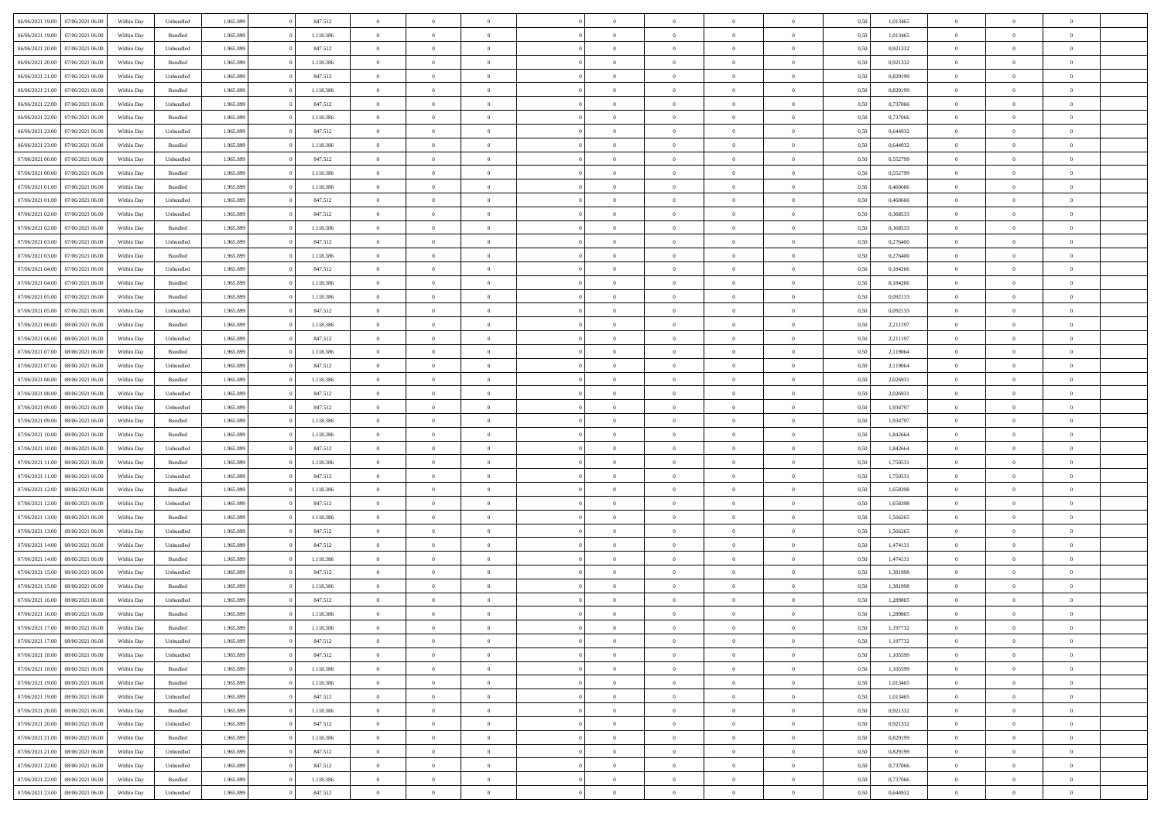| 06/06/2021 19:00 07/06/2021 06:00    | Within Day | Unbundled | 1.965.899 | 847.512   | $\overline{0}$ | $\overline{0}$ | $\Omega$       | $\Omega$       | $\Omega$       |                | $\overline{0}$ | 0,50 | 1,013465 | $\mathbf{0}$   | $\Omega$       | $\Omega$       |  |
|--------------------------------------|------------|-----------|-----------|-----------|----------------|----------------|----------------|----------------|----------------|----------------|----------------|------|----------|----------------|----------------|----------------|--|
| 06/06/2021 19:00<br>07/06/2021 06:00 | Within Day | Bundled   | 1.965.899 | 1.118.386 | $\bf{0}$       | $\overline{0}$ | $\overline{0}$ | $\theta$       | $\overline{0}$ | $\overline{0}$ | $\,$ 0         | 0,50 | 1,013465 | $\mathbf{0}$   | $\theta$       | $\bf{0}$       |  |
| 06/06/2021 20:00<br>07/06/2021 06:00 | Within Day | Unbundled | 1.965.899 | 847.512   | $\overline{0}$ | $\overline{0}$ | $\overline{0}$ | $\bf{0}$       | $\bf{0}$       | $\overline{0}$ | $\mathbf{0}$   | 0,50 | 0,921332 | $\bf{0}$       | $\bf{0}$       | $\bf{0}$       |  |
| 06/06/2021 20:00<br>07/06/2021 06:00 | Within Day | Bundled   | 1.965.899 | 1.118.386 | $\overline{0}$ | $\overline{0}$ | $\overline{0}$ | $\overline{0}$ | $\overline{0}$ | $\overline{0}$ | $\overline{0}$ | 0.50 | 0,921332 | $\mathbf{0}$   | $\overline{0}$ | $\bf{0}$       |  |
| 06/06/2021 21:00<br>07/06/2021 06:00 | Within Day | Unbundled | 1.965.899 | 847.512   | $\bf{0}$       | $\overline{0}$ | $\overline{0}$ | $\theta$       | $\overline{0}$ | $\overline{0}$ | $\bf{0}$       | 0,50 | 0,829199 | $\mathbf{0}$   | $\theta$       | $\overline{0}$ |  |
| 06/06/2021 21:00<br>07/06/2021 06:00 | Within Day | Bundled   | 1.965.899 | 1.118.386 | $\overline{0}$ | $\overline{0}$ | $\overline{0}$ | $\bf{0}$       | $\overline{0}$ | $\overline{0}$ | $\overline{0}$ | 0,50 | 0,829199 | $\overline{0}$ | $\overline{0}$ | $\overline{0}$ |  |
| 06/06/2021 22:00<br>07/06/2021 06:00 | Within Day | Unbundled | 1.965.899 | 847.512   | $\overline{0}$ | $\overline{0}$ | $\overline{0}$ | $\overline{0}$ | $\overline{0}$ | $\overline{0}$ | $\mathbf{0}$   | 0.50 | 0.737066 | $\overline{0}$ | $\overline{0}$ | $\overline{0}$ |  |
|                                      |            |           |           |           |                |                |                |                |                |                |                |      |          |                |                |                |  |
| 06/06/2021 22:00<br>07/06/2021 06:00 | Within Day | Bundled   | 1.965.899 | 1.118.386 | $\bf{0}$       | $\overline{0}$ | $\overline{0}$ | $\theta$       | $\overline{0}$ | $\overline{0}$ | $\bf{0}$       | 0,50 | 0,737066 | $\theta$       | $\theta$       | $\bf{0}$       |  |
| 06/06/2021 23:00<br>07/06/2021 06:00 | Within Day | Unbundled | 1.965.899 | 847.512   | $\overline{0}$ | $\overline{0}$ | $\bf{0}$       | $\bf{0}$       | $\bf{0}$       | $\overline{0}$ | $\mathbf{0}$   | 0,50 | 0,644932 | $\bf{0}$       | $\bf{0}$       | $\bf{0}$       |  |
| 06/06/2021 23:00<br>07/06/2021 06:00 | Within Day | Bundled   | 1.965.899 | 1.118.386 | $\overline{0}$ | $\overline{0}$ | $\overline{0}$ | $\overline{0}$ | $\overline{0}$ | $\overline{0}$ | $\overline{0}$ | 0.50 | 0,644932 | $\overline{0}$ | $\overline{0}$ | $\overline{0}$ |  |
| 07/06/2021 00:00<br>07/06/2021 06:00 | Within Day | Unbundled | 1.965.899 | 847.512   | $\bf{0}$       | $\overline{0}$ | $\overline{0}$ | $\overline{0}$ | $\overline{0}$ | $\overline{0}$ | $\,$ 0         | 0,50 | 0,552799 | $\theta$       | $\theta$       | $\bf{0}$       |  |
| 07/06/2021 00:00<br>07/06/2021 06:00 | Within Day | Bundled   | 1.965.899 | 1.118.386 | $\overline{0}$ | $\overline{0}$ | $\overline{0}$ | $\bf{0}$       | $\bf{0}$       | $\overline{0}$ | $\mathbf{0}$   | 0,50 | 0,552799 | $\bf{0}$       | $\bf{0}$       | $\bf{0}$       |  |
| 07/06/2021 01:00<br>07/06/2021 06:00 | Within Day | Bundled   | 1.965.899 | 1.118.386 | $\overline{0}$ | $\overline{0}$ | $\overline{0}$ | $\overline{0}$ | $\overline{0}$ | $\overline{0}$ | $\overline{0}$ | 0.50 | 0.460666 | $\mathbf{0}$   | $\overline{0}$ | $\bf{0}$       |  |
| 07/06/2021 01:00<br>07/06/2021 06:00 | Within Day | Unbundled | 1.965.899 | 847.512   | $\bf{0}$       | $\overline{0}$ | $\overline{0}$ | $\theta$       | $\overline{0}$ | $\overline{0}$ | $\,$ 0         | 0,50 | 0,460666 | $\theta$       | $\theta$       | $\overline{0}$ |  |
| 07/06/2021 02:00<br>07/06/2021 06:00 | Within Day | Unbundled | 1.965.899 | 847.512   | $\overline{0}$ | $\overline{0}$ | $\overline{0}$ | $\bf{0}$       | $\overline{0}$ | $\overline{0}$ | $\overline{0}$ | 0,50 | 0,368533 | $\overline{0}$ | $\overline{0}$ | $\overline{0}$ |  |
| 07/06/2021 02:00<br>07/06/2021 06:00 | Within Day | Bundled   | 1.965.899 | 1.118.386 | $\overline{0}$ | $\overline{0}$ | $\overline{0}$ | $\overline{0}$ | $\overline{0}$ | $\overline{0}$ | $\overline{0}$ | 0.50 | 0,368533 | $\overline{0}$ | $\overline{0}$ | $\overline{0}$ |  |
| 07/06/2021 03:00<br>07/06/2021 06:00 | Within Day | Unbundled | 1.965.899 | 847.512   | $\bf{0}$       | $\overline{0}$ | $\overline{0}$ | $\overline{0}$ | $\overline{0}$ | $\overline{0}$ | $\bf{0}$       | 0,50 | 0,276400 | $\theta$       | $\theta$       | $\bf{0}$       |  |
| 07/06/2021 03:00<br>07/06/2021 06:00 | Within Day | Bundled   | 1.965.899 | 1.118.386 | $\overline{0}$ | $\overline{0}$ | $\bf{0}$       | $\bf{0}$       | $\bf{0}$       | $\overline{0}$ | $\bf{0}$       | 0,50 | 0,276400 | $\bf{0}$       | $\bf{0}$       | $\bf{0}$       |  |
| 07/06/2021 04:00<br>07/06/2021 06:00 | Within Day | Unbundled | 1.965.899 | 847.512   | $\overline{0}$ | $\overline{0}$ | $\overline{0}$ | $\overline{0}$ | $\overline{0}$ | $\overline{0}$ | $\overline{0}$ | 0.50 | 0.184266 | $\overline{0}$ | $\overline{0}$ | $\overline{0}$ |  |
|                                      |            |           |           |           |                |                |                |                |                |                |                |      |          |                |                |                |  |
| 07/06/2021 04:00<br>07/06/2021 06:00 | Within Day | Bundled   | 1.965.899 | 1.118.386 | $\bf{0}$       | $\overline{0}$ | $\overline{0}$ | $\overline{0}$ | $\overline{0}$ | $\overline{0}$ | $\,$ 0         | 0,50 | 0,184266 | $\theta$       | $\theta$       | $\bf{0}$       |  |
| 07/06/2021 05:00<br>07/06/2021 06:00 | Within Day | Bundled   | 1.965.899 | 1.118.386 | $\overline{0}$ | $\overline{0}$ | $\overline{0}$ | $\bf{0}$       | $\bf{0}$       | $\overline{0}$ | $\mathbf{0}$   | 0,50 | 0,092133 | $\bf{0}$       | $\bf{0}$       | $\bf{0}$       |  |
| 07/06/2021 05:00<br>07/06/2021 06:00 | Within Day | Unbundled | 1.965.899 | 847.512   | $\overline{0}$ | $\overline{0}$ | $\overline{0}$ | $\overline{0}$ | $\overline{0}$ | $\overline{0}$ | $\overline{0}$ | 0.50 | 0,092133 | $\overline{0}$ | $\overline{0}$ | $\bf{0}$       |  |
| 07/06/2021 06:00<br>08/06/2021 06:00 | Within Day | Bundled   | 1.965.899 | 1.118.386 | $\bf{0}$       | $\overline{0}$ | $\overline{0}$ | $\overline{0}$ | $\overline{0}$ | $\overline{0}$ | $\,$ 0         | 0,50 | 2,211197 | $\mathbf{0}$   | $\theta$       | $\bf{0}$       |  |
| 07/06/2021 06:00<br>08/06/2021 06:00 | Within Day | Unbundled | 1.965.899 | 847.512   | $\overline{0}$ | $\overline{0}$ | $\overline{0}$ | $\bf{0}$       | $\overline{0}$ | $\overline{0}$ | $\overline{0}$ | 0,50 | 2,211197 | $\overline{0}$ | $\overline{0}$ | $\overline{0}$ |  |
| 07/06/2021 07:00<br>08/06/2021 06:00 | Within Day | Bundled   | 1.965.899 | 1.118.386 | $\overline{0}$ | $\overline{0}$ | $\overline{0}$ | $\overline{0}$ | $\overline{0}$ | $\overline{0}$ | $\overline{0}$ | 0.50 | 2.119064 | $\overline{0}$ | $\overline{0}$ | $\overline{0}$ |  |
| 07/06/2021 07:00<br>08/06/2021 06:00 | Within Day | Unbundled | 1.965.899 | 847.512   | $\bf{0}$       | $\overline{0}$ | $\bf{0}$       | $\overline{0}$ | $\overline{0}$ | $\overline{0}$ | $\bf{0}$       | 0,50 | 2,119064 | $\theta$       | $\theta$       | $\bf{0}$       |  |
| 07/06/2021 08:00<br>08/06/2021 06:00 | Within Day | Bundled   | 1.965.899 | 1.118.386 | $\overline{0}$ | $\overline{0}$ | $\bf{0}$       | $\bf{0}$       | $\bf{0}$       | $\overline{0}$ | $\bf{0}$       | 0,50 | 2,026931 | $\bf{0}$       | $\bf{0}$       | $\bf{0}$       |  |
| 07/06/2021 08:00<br>08/06/2021 06:00 | Within Day | Unbundled | 1.965.899 | 847.512   | $\overline{0}$ | $\overline{0}$ | $\overline{0}$ | $\overline{0}$ | $\overline{0}$ | $\overline{0}$ | $\overline{0}$ | 0.50 | 2.026931 | $\overline{0}$ | $\overline{0}$ | $\bf{0}$       |  |
| 07/06/2021 09:00<br>08/06/2021 06:00 | Within Day | Unbundled | 1.965.899 | 847.512   | $\bf{0}$       | $\overline{0}$ | $\overline{0}$ | $\overline{0}$ | $\overline{0}$ | $\overline{0}$ | $\,$ 0         | 0,50 | 1,934797 | $\,$ 0 $\,$    | $\theta$       | $\bf{0}$       |  |
| 07/06/2021 09:00<br>08/06/2021 06:00 | Within Day | Bundled   | 1.965.899 | 1.118.386 | $\overline{0}$ | $\overline{0}$ | $\overline{0}$ | $\bf{0}$       | $\bf{0}$       | $\overline{0}$ | $\mathbf{0}$   | 0,50 | 1,934797 | $\bf{0}$       | $\bf{0}$       | $\bf{0}$       |  |
|                                      |            |           |           |           |                | $\overline{0}$ | $\overline{0}$ | $\overline{0}$ | $\overline{0}$ | $\Omega$       | $\overline{0}$ |      |          | $\bf{0}$       | $\Omega$       | $\Omega$       |  |
| 07/06/2021 10:00<br>08/06/2021 06:00 | Within Day | Bundled   | 1.965.899 | 1.118.386 | $\overline{0}$ |                |                |                |                |                |                | 0,50 | 1,842664 |                |                |                |  |
| 07/06/2021 10:00<br>08/06/2021 06:00 | Within Day | Unbundled | 1.965.899 | 847.512   | $\bf{0}$       | $\overline{0}$ | $\overline{0}$ | $\theta$       | $\overline{0}$ | $\overline{0}$ | $\,$ 0         | 0,50 | 1,842664 | $\theta$       | $\theta$       | $\bf{0}$       |  |
| 07/06/2021 11:00<br>08/06/2021 06:00 | Within Day | Bundled   | 1.965.899 | 1.118.386 | $\overline{0}$ | $\overline{0}$ | $\overline{0}$ | $\bf{0}$       | $\overline{0}$ | $\overline{0}$ | $\overline{0}$ | 0,50 | 1,750531 | $\overline{0}$ | $\overline{0}$ | $\overline{0}$ |  |
| 07/06/2021 11:00<br>08/06/2021 06:00 | Within Day | Unbundled | 1.965.899 | 847.512   | $\overline{0}$ | $\overline{0}$ | $\overline{0}$ | $\overline{0}$ | $\overline{0}$ | $\Omega$       | $\overline{0}$ | 0.50 | 1,750531 | $\overline{0}$ | $\Omega$       | $\Omega$       |  |
| 07/06/2021 12:00<br>08/06/2021 06:00 | Within Day | Bundled   | 1.965.899 | 1.118.386 | $\bf{0}$       | $\overline{0}$ | $\overline{0}$ | $\overline{0}$ | $\overline{0}$ | $\overline{0}$ | $\bf{0}$       | 0,50 | 1,658398 | $\theta$       | $\theta$       | $\bf{0}$       |  |
| 07/06/2021 12:00<br>08/06/2021 06:00 | Within Day | Unbundled | 1.965.899 | 847.512   | $\overline{0}$ | $\overline{0}$ | $\overline{0}$ | $\bf{0}$       | $\bf{0}$       | $\overline{0}$ | $\bf{0}$       | 0,50 | 1,658398 | $\bf{0}$       | $\bf{0}$       | $\bf{0}$       |  |
| 07/06/2021 13:00<br>08/06/2021 06:00 | Within Day | Bundled   | 1.965.899 | 1.118.386 | $\overline{0}$ | $\overline{0}$ | $\Omega$       | $\overline{0}$ | $\overline{0}$ | $\Omega$       | $\theta$       | 0.50 | 1,566265 | $\overline{0}$ | $\Omega$       | $\Omega$       |  |
| 07/06/2021 13:00<br>08/06/2021 06:00 | Within Day | Unbundled | 1.965.899 | 847.512   | $\bf{0}$       | $\overline{0}$ | $\overline{0}$ | $\overline{0}$ | $\overline{0}$ | $\overline{0}$ | $\,$ 0         | 0,50 | 1,566265 | $\theta$       | $\theta$       | $\bf{0}$       |  |
| 07/06/2021 14:00<br>08/06/2021 06:00 | Within Day | Unbundled | 1.965.899 | 847.512   | $\overline{0}$ | $\overline{0}$ | $\overline{0}$ | $\bf{0}$       | $\bf{0}$       | $\overline{0}$ | $\mathbf{0}$   | 0,50 | 1,474131 | $\overline{0}$ | $\bf{0}$       | $\bf{0}$       |  |
| 07/06/2021 14:00<br>08/06/2021 06:00 | Within Day | Bundled   | 1.965.899 | 1.118.386 | $\overline{0}$ | $\overline{0}$ | $\overline{0}$ | $\overline{0}$ | $\bf{0}$       | $\Omega$       | $\overline{0}$ | 0,50 | 1,474131 | $\overline{0}$ | $\overline{0}$ | $\Omega$       |  |
| 07/06/2021 15:00<br>08/06/2021 06:00 | Within Day | Unbundled | 1.965.899 | 847.512   | $\bf{0}$       | $\overline{0}$ | $\overline{0}$ | $\overline{0}$ | $\overline{0}$ | $\overline{0}$ | $\,$ 0         | 0,50 | 1,381998 | $\,$ 0 $\,$    | $\theta$       | $\bf{0}$       |  |
| 07/06/2021 15:00<br>08/06/2021 06:00 | Within Day | Bundled   | 1.965.899 | 1.118.386 | $\overline{0}$ | $\overline{0}$ | $\overline{0}$ | $\bf{0}$       | $\overline{0}$ | $\overline{0}$ | $\overline{0}$ | 0,50 | 1,381998 | $\overline{0}$ | $\bf{0}$       | $\bf{0}$       |  |
| 07/06/2021 16:00<br>08/06/2021 06:00 | Within Day | Unbundled | 1.965.899 | 847.512   | $\overline{0}$ | $\theta$       | $\Omega$       | $\overline{0}$ | $\overline{0}$ | $\Omega$       | $\overline{0}$ | 0.50 | 1,289865 | $\bf{0}$       | $\Omega$       | $\Omega$       |  |
| 07/06/2021 16:00<br>08/06/2021 06:00 | Within Day | Bundled   | 1.965.899 | 1.118.386 | $\bf{0}$       | $\bf{0}$       | $\overline{0}$ | $\bf{0}$       | $\bf{0}$       | $\overline{0}$ | $\,$ 0         | 0,50 | 1,289865 | $\bf{0}$       | $\,$ 0         | $\,$ 0         |  |
| 07/06/2021 17:00 08/06/2021 06:00    | Within Day | Bundled   | 1.965.899 | 1.118.386 | $\bf{0}$       | $\bf{0}$       |                |                |                |                |                | 0,50 | 1,197732 | $\bf{0}$       | $\bf{0}$       |                |  |
|                                      |            |           | 1.965.899 | 847.512   | $\overline{0}$ | $\overline{0}$ | $\overline{0}$ | $\overline{0}$ | $\overline{0}$ | $\overline{0}$ | $\mathbf{0}$   |      |          | $\overline{0}$ | $\theta$       | $\overline{0}$ |  |
| 07/06/2021 17:00 08/06/2021 06:00    | Within Day | Unbundled |           |           |                |                |                |                |                |                |                | 0,50 | 1,197732 |                |                |                |  |
| 07/06/2021 18:00<br>08/06/2021 06:00 | Within Day | Unbundled | 1.965.899 | 847.512   | $\overline{0}$ | $\overline{0}$ | $\overline{0}$ | $\bf{0}$       | $\overline{0}$ | $\overline{0}$ | $\mathbf{0}$   | 0,50 | 1,105599 | $\,$ 0 $\,$    | $\overline{0}$ | $\,$ 0 $\,$    |  |
| 07/06/2021 18:00<br>08/06/2021 06:00 | Within Day | Bundled   | 1.965.899 | 1.118.386 | $\overline{0}$ | $\overline{0}$ | $\overline{0}$ | $\bf{0}$       | $\overline{0}$ | $\overline{0}$ | $\overline{0}$ | 0,50 | 1,105599 | $\overline{0}$ | $\overline{0}$ | $\overline{0}$ |  |
| 07/06/2021 19:00<br>08/06/2021 06:00 | Within Day | Bundled   | 1.965.899 | 1.118.386 | $\overline{0}$ | $\overline{0}$ | $\overline{0}$ | $\overline{0}$ | $\bf{0}$       | $\overline{0}$ | $\overline{0}$ | 0,50 | 1,013465 | $\overline{0}$ | $\overline{0}$ | $\overline{0}$ |  |
| 07/06/2021 19:00<br>08/06/2021 06:00 | Within Day | Unbundled | 1.965.899 | 847.512   | $\overline{0}$ | $\overline{0}$ | $\overline{0}$ | $\overline{0}$ | $\overline{0}$ | $\overline{0}$ | $\mathbf{0}$   | 0,50 | 1,013465 | $\,$ 0 $\,$    | $\theta$       | $\bf{0}$       |  |
| 07/06/2021 20:00<br>08/06/2021 06:00 | Within Day | Bundled   | 1.965.899 | 1.118.386 | $\overline{0}$ | $\overline{0}$ | $\overline{0}$ | $\overline{0}$ | $\overline{0}$ | $\overline{0}$ | $\overline{0}$ | 0,50 | 0,921332 | $\overline{0}$ | $\overline{0}$ | $\overline{0}$ |  |
| 07/06/2021 20:00<br>08/06/2021 06:00 | Within Day | Unbundled | 1.965.899 | 847.512   | $\overline{0}$ | $\overline{0}$ | $\overline{0}$ | $\overline{0}$ | $\overline{0}$ | $\overline{0}$ | $\overline{0}$ | 0,50 | 0,921332 | $\overline{0}$ | $\overline{0}$ | $\overline{0}$ |  |
| 07/06/2021 21:00<br>08/06/2021 06:00 | Within Day | Bundled   | 1.965.899 | 1.118.386 | $\overline{0}$ | $\overline{0}$ | $\overline{0}$ | $\bf{0}$       | $\bf{0}$       | $\overline{0}$ | $\,$ 0 $\,$    | 0,50 | 0,829199 | $\,$ 0 $\,$    | $\theta$       | $\,$ 0         |  |
| 08/06/2021 06:00<br>07/06/2021 21:00 | Within Day | Unbundled | 1.965.899 | 847.512   | $\overline{0}$ | $\overline{0}$ | $\overline{0}$ | $\bf{0}$       | $\overline{0}$ | $\overline{0}$ | $\overline{0}$ | 0,50 | 0,829199 | $\bf{0}$       | $\bf{0}$       | $\overline{0}$ |  |
| 07/06/2021 22:00<br>08/06/2021 06:00 | Within Day | Unbundled | 1.965.899 | 847.512   | $\overline{0}$ | $\overline{0}$ | $\overline{0}$ | $\overline{0}$ | $\overline{0}$ | $\overline{0}$ | $\overline{0}$ | 0,50 | 0,737066 | $\overline{0}$ | $\overline{0}$ | $\overline{0}$ |  |
| 07/06/2021 22:00<br>08/06/2021 06:00 | Within Day | Bundled   | 1.965.899 | 1.118.386 | $\overline{0}$ | $\overline{0}$ | $\overline{0}$ | $\bf{0}$       | $\bf{0}$       | $\overline{0}$ | $\,$ 0 $\,$    | 0,50 | 0,737066 | $\,$ 0 $\,$    | $\,0\,$        | $\,$ 0         |  |
|                                      |            |           |           |           |                |                |                |                |                |                |                |      |          |                |                |                |  |
| 07/06/2021 23:00   08/06/2021 06:00  | Within Day | Unbundled | 1.965.899 | 847.512   | $\overline{0}$ | $\overline{0}$ | $\overline{0}$ | $\bf{0}$       | $\overline{0}$ | $\overline{0}$ | $\overline{0}$ | 0,50 | 0,644932 | $\bf{0}$       | $\bf{0}$       | $\overline{0}$ |  |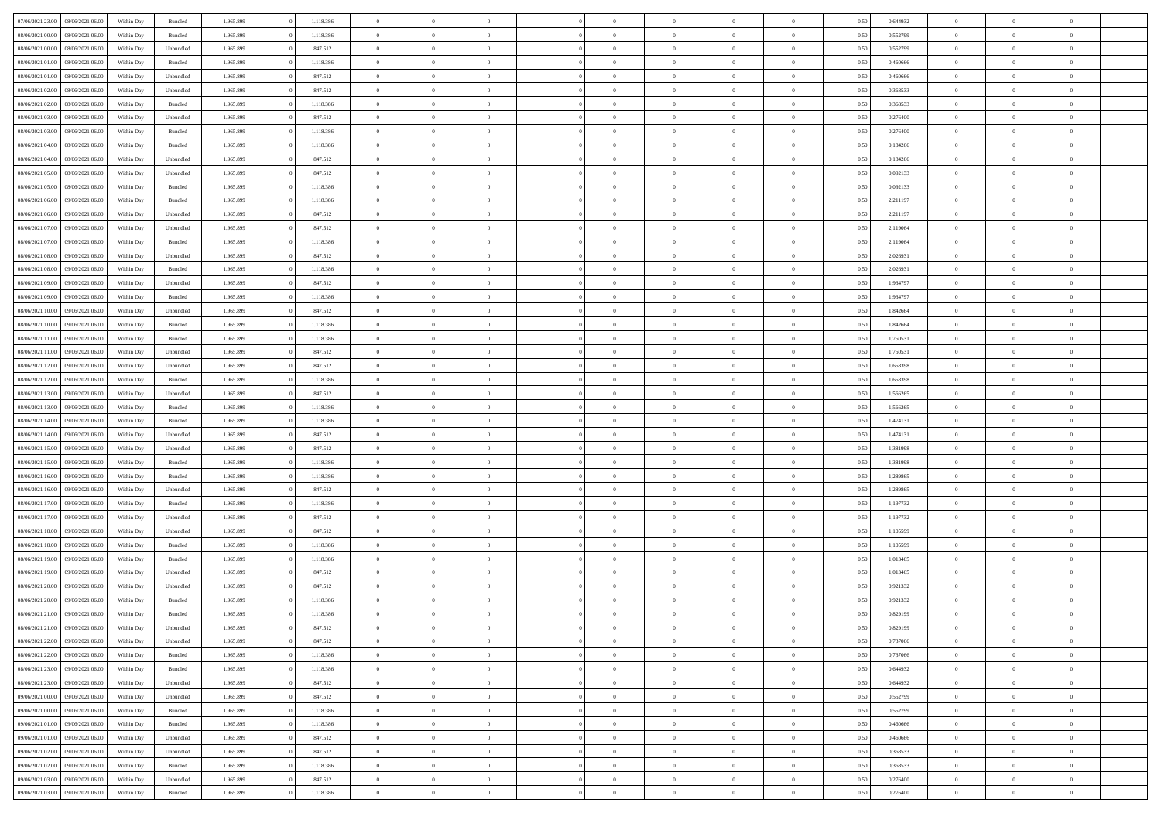| 07/06/2021 23:00 08/06/2021 06:00    | Within Day | Bundled   | 1.965.899 | 1.118.386 | $\overline{0}$ | $\overline{0}$ | $\Omega$       | $\Omega$       | $\Omega$       |                | $\overline{0}$ | 0,50 | 0,644932 | $\mathbf{0}$   | $\Omega$       | $\Omega$       |  |
|--------------------------------------|------------|-----------|-----------|-----------|----------------|----------------|----------------|----------------|----------------|----------------|----------------|------|----------|----------------|----------------|----------------|--|
| 08/06/2021 00:00<br>08/06/2021 06:00 | Within Day | Bundled   | 1.965.899 | 1.118.386 | $\bf{0}$       | $\overline{0}$ | $\overline{0}$ | $\theta$       | $\overline{0}$ | $\overline{0}$ | $\,$ 0         | 0,50 | 0,552799 | $\mathbf{0}$   | $\theta$       | $\bf{0}$       |  |
| 08/06/2021 00:00<br>08/06/2021 06:00 | Within Day | Unbundled | 1.965.899 | 847.512   | $\overline{0}$ | $\overline{0}$ | $\overline{0}$ | $\bf{0}$       | $\bf{0}$       | $\overline{0}$ | $\mathbf{0}$   | 0,50 | 0,552799 | $\overline{0}$ | $\bf{0}$       | $\bf{0}$       |  |
| 08/06/2021 01:00<br>08/06/2021 06:00 | Within Day | Bundled   | 1.965.899 | 1.118.386 | $\overline{0}$ | $\overline{0}$ | $\overline{0}$ | $\overline{0}$ | $\overline{0}$ | $\overline{0}$ | $\overline{0}$ | 0.50 | 0.460666 | $\mathbf{0}$   | $\overline{0}$ | $\bf{0}$       |  |
| 08/06/2021 01:00<br>08/06/2021 06:00 | Within Day | Unbundled | 1.965.899 | 847.512   | $\bf{0}$       | $\overline{0}$ | $\overline{0}$ | $\theta$       | $\overline{0}$ | $\overline{0}$ | $\bf{0}$       | 0,50 | 0,460666 | $\theta$       | $\theta$       | $\overline{0}$ |  |
| 08/06/2021 02:00<br>08/06/2021 06:00 | Within Day | Unbundled | 1.965.899 | 847.512   | $\overline{0}$ | $\overline{0}$ | $\overline{0}$ | $\bf{0}$       | $\overline{0}$ | $\overline{0}$ | $\overline{0}$ | 0,50 | 0,368533 | $\overline{0}$ | $\overline{0}$ | $\overline{0}$ |  |
| 08/06/2021 02:00<br>08/06/2021 06:00 | Within Day | Bundled   | 1.965.899 | 1.118.386 | $\overline{0}$ | $\overline{0}$ | $\overline{0}$ | $\overline{0}$ | $\overline{0}$ | $\overline{0}$ | $\mathbf{0}$   | 0.50 | 0,368533 | $\mathbf{0}$   | $\overline{0}$ | $\overline{0}$ |  |
| 08/06/2021 03:00<br>08/06/2021 06:00 | Within Day | Unbundled | 1.965.899 | 847.512   | $\bf{0}$       | $\overline{0}$ | $\overline{0}$ | $\theta$       | $\overline{0}$ | $\overline{0}$ | $\bf{0}$       | 0,50 | 0,276400 | $\theta$       | $\theta$       | $\bf{0}$       |  |
|                                      |            |           |           |           |                |                |                |                |                |                |                |      |          |                |                |                |  |
| 08/06/2021 03:00<br>08/06/2021 06:00 | Within Day | Bundled   | 1.965.899 | 1.118.386 | $\overline{0}$ | $\overline{0}$ | $\bf{0}$       | $\bf{0}$       | $\bf{0}$       | $\overline{0}$ | $\bf{0}$       | 0,50 | 0,276400 | $\bf{0}$       | $\bf{0}$       | $\bf{0}$       |  |
| 08/06/2021 04:00<br>08/06/2021 06:00 | Within Day | Bundled   | 1.965.899 | 1.118.386 | $\overline{0}$ | $\overline{0}$ | $\overline{0}$ | $\overline{0}$ | $\overline{0}$ | $\overline{0}$ | $\overline{0}$ | 0.50 | 0.184266 | $\overline{0}$ | $\overline{0}$ | $\overline{0}$ |  |
| 08/06/2021 04:00<br>08/06/2021 06:00 | Within Day | Unbundled | 1.965.899 | 847.512   | $\bf{0}$       | $\overline{0}$ | $\overline{0}$ | $\overline{0}$ | $\overline{0}$ | $\overline{0}$ | $\,$ 0         | 0,50 | 0,184266 | $\theta$       | $\theta$       | $\bf{0}$       |  |
| 08/06/2021 05:00<br>08/06/2021 06:00 | Within Day | Unbundled | 1.965.899 | 847.512   | $\overline{0}$ | $\overline{0}$ | $\overline{0}$ | $\bf{0}$       | $\bf{0}$       | $\overline{0}$ | $\mathbf{0}$   | 0,50 | 0,092133 | $\bf{0}$       | $\bf{0}$       | $\bf{0}$       |  |
| 08/06/2021 05:00<br>08/06/2021 06:00 | Within Day | Bundled   | 1.965.899 | 1.118.386 | $\overline{0}$ | $\overline{0}$ | $\overline{0}$ | $\overline{0}$ | $\overline{0}$ | $\overline{0}$ | $\overline{0}$ | 0.50 | 0.092133 | $\mathbf{0}$   | $\overline{0}$ | $\bf{0}$       |  |
| 08/06/2021 06:00<br>09/06/2021 06:00 | Within Day | Bundled   | 1.965.899 | 1.118.386 | $\bf{0}$       | $\overline{0}$ | $\overline{0}$ | $\theta$       | $\overline{0}$ | $\overline{0}$ | $\,$ 0         | 0,50 | 2,211197 | $\theta$       | $\theta$       | $\overline{0}$ |  |
| 08/06/2021 06:00<br>09/06/2021 06:00 | Within Day | Unbundled | 1.965.899 | 847.512   | $\overline{0}$ | $\overline{0}$ | $\overline{0}$ | $\bf{0}$       | $\overline{0}$ | $\overline{0}$ | $\overline{0}$ | 0,50 | 2,211197 | $\overline{0}$ | $\overline{0}$ | $\overline{0}$ |  |
| 08/06/2021 07:00<br>09/06/2021 06:00 | Within Day | Unbundled | 1.965.899 | 847.512   | $\overline{0}$ | $\overline{0}$ | $\overline{0}$ | $\overline{0}$ | $\overline{0}$ | $\overline{0}$ | $\mathbf{0}$   | 0.50 | 2.119064 | $\overline{0}$ | $\overline{0}$ | $\overline{0}$ |  |
| 08/06/2021 07:00<br>09/06/2021 06:00 | Within Day | Bundled   | 1.965.899 | 1.118.386 | $\bf{0}$       | $\overline{0}$ | $\overline{0}$ | $\overline{0}$ | $\overline{0}$ | $\overline{0}$ | $\bf{0}$       | 0,50 | 2,119064 | $\theta$       | $\theta$       | $\bf{0}$       |  |
| 08/06/2021 08:00<br>09/06/2021 06:00 | Within Day | Unbundled | 1.965.899 | 847.512   | $\overline{0}$ | $\overline{0}$ | $\bf{0}$       | $\bf{0}$       | $\bf{0}$       | $\overline{0}$ | $\mathbf{0}$   | 0,50 | 2,026931 | $\bf{0}$       | $\bf{0}$       | $\bf{0}$       |  |
| 08/06/2021 08:00<br>09/06/2021 06:00 | Within Day | Bundled   | 1.965.899 | 1.118.386 | $\overline{0}$ | $\overline{0}$ | $\overline{0}$ | $\overline{0}$ | $\overline{0}$ | $\overline{0}$ | $\overline{0}$ | 0.50 | 2.026931 | $\overline{0}$ | $\overline{0}$ | $\overline{0}$ |  |
| 08/06/2021 09:00<br>09/06/2021 06:00 | Within Day | Unbundled | 1.965.899 | 847.512   | $\bf{0}$       | $\overline{0}$ | $\overline{0}$ | $\overline{0}$ | $\overline{0}$ | $\overline{0}$ | $\,$ 0         | 0,50 | 1,934797 | $\theta$       | $\theta$       | $\bf{0}$       |  |
| 08/06/2021 09:00<br>09/06/2021 06:00 | Within Day | Bundled   | 1.965.899 | 1.118.386 | $\overline{0}$ | $\overline{0}$ | $\overline{0}$ | $\bf{0}$       | $\bf{0}$       | $\overline{0}$ | $\mathbf{0}$   | 0,50 | 1,934797 | $\bf{0}$       | $\bf{0}$       | $\bf{0}$       |  |
| 08/06/2021 10:00<br>09/06/2021 06:00 | Within Day | Unbundled | 1.965.899 | 847.512   | $\overline{0}$ | $\overline{0}$ | $\overline{0}$ | $\overline{0}$ | $\overline{0}$ | $\overline{0}$ | $\overline{0}$ | 0.50 | 1.842664 | $\overline{0}$ | $\overline{0}$ | $\bf{0}$       |  |
| 08/06/2021 10:00<br>09/06/2021 06:00 | Within Day | Bundled   | 1.965.899 | 1.118.386 | $\bf{0}$       | $\overline{0}$ | $\overline{0}$ | $\overline{0}$ | $\overline{0}$ | $\overline{0}$ | $\,$ 0         | 0,50 | 1,842664 | $\mathbf{0}$   | $\theta$       | $\bf{0}$       |  |
| 08/06/2021 11:00<br>09/06/2021 06:00 | Within Day | Bundled   | 1.965.899 | 1.118.386 | $\overline{0}$ | $\overline{0}$ | $\overline{0}$ | $\bf{0}$       | $\overline{0}$ | $\overline{0}$ | $\overline{0}$ | 0,50 | 1,750531 | $\overline{0}$ | $\overline{0}$ | $\overline{0}$ |  |
| 08/06/2021 11:00<br>09/06/2021 06:00 | Within Day | Unbundled | 1.965.899 | 847.512   | $\overline{0}$ | $\overline{0}$ | $\overline{0}$ | $\overline{0}$ | $\overline{0}$ | $\overline{0}$ | $\overline{0}$ | 0.50 | 1,750531 | $\overline{0}$ | $\overline{0}$ | $\overline{0}$ |  |
|                                      |            |           |           |           |                |                |                |                |                |                |                |      |          |                |                |                |  |
| 08/06/2021 12:00<br>09/06/2021 06:00 | Within Day | Unbundled | 1.965.899 | 847.512   | $\bf{0}$       | $\overline{0}$ | $\bf{0}$       | $\overline{0}$ | $\overline{0}$ | $\overline{0}$ | $\bf{0}$       | 0,50 | 1,658398 | $\theta$       | $\theta$       | $\bf{0}$       |  |
| 08/06/2021 12:00<br>09/06/2021 06:00 | Within Day | Bundled   | 1.965.899 | 1.118.386 | $\overline{0}$ | $\overline{0}$ | $\bf{0}$       | $\bf{0}$       | $\bf{0}$       | $\overline{0}$ | $\bf{0}$       | 0,50 | 1,658398 | $\bf{0}$       | $\bf{0}$       | $\bf{0}$       |  |
| 08/06/2021 13:00<br>09/06/2021 06:00 | Within Day | Unbundled | 1.965.899 | 847.512   | $\overline{0}$ | $\overline{0}$ | $\overline{0}$ | $\overline{0}$ | $\overline{0}$ | $\overline{0}$ | $\overline{0}$ | 0.50 | 1,566265 | $\overline{0}$ | $\overline{0}$ | $\bf{0}$       |  |
| 08/06/2021 13:00<br>09/06/2021 06:00 | Within Day | Bundled   | 1.965.899 | 1.118.386 | $\bf{0}$       | $\overline{0}$ | $\overline{0}$ | $\overline{0}$ | $\overline{0}$ | $\overline{0}$ | $\,$ 0         | 0,50 | 1,566265 | $\,$ 0 $\,$    | $\theta$       | $\bf{0}$       |  |
| 08/06/2021 14:00<br>09/06/2021 06:00 | Within Day | Bundled   | 1.965.899 | 1.118.386 | $\overline{0}$ | $\overline{0}$ | $\overline{0}$ | $\bf{0}$       | $\bf{0}$       | $\overline{0}$ | $\mathbf{0}$   | 0,50 | 1,474131 | $\overline{0}$ | $\bf{0}$       | $\bf{0}$       |  |
| 08/06/2021 14:00<br>09/06/2021 06:00 | Within Day | Unbundled | 1.965.899 | 847.512   | $\overline{0}$ | $\overline{0}$ | $\overline{0}$ | $\overline{0}$ | $\overline{0}$ | $\Omega$       | $\overline{0}$ | 0,50 | 1,474131 | $\bf{0}$       | $\Omega$       | $\Omega$       |  |
| 08/06/2021 15:00<br>09/06/2021 06:00 | Within Day | Unbundled | 1.965.899 | 847.512   | $\bf{0}$       | $\overline{0}$ | $\overline{0}$ | $\theta$       | $\overline{0}$ | $\overline{0}$ | $\,$ 0         | 0,50 | 1,381998 | $\theta$       | $\theta$       | $\bf{0}$       |  |
| 08/06/2021 15:00<br>09/06/2021 06:00 | Within Day | Bundled   | 1.965.899 | 1.118.386 | $\overline{0}$ | $\overline{0}$ | $\overline{0}$ | $\bf{0}$       | $\overline{0}$ | $\overline{0}$ | $\overline{0}$ | 0,50 | 1,381998 | $\overline{0}$ | $\overline{0}$ | $\overline{0}$ |  |
| 08/06/2021 16:00<br>09/06/2021 06.00 | Within Day | Bundled   | 1.965.899 | 1.118.386 | $\overline{0}$ | $\overline{0}$ | $\overline{0}$ | $\overline{0}$ | $\overline{0}$ | $\Omega$       | $\overline{0}$ | 0.50 | 1,289865 | $\overline{0}$ | $\Omega$       | $\Omega$       |  |
| 08/06/2021 16:00<br>09/06/2021 06:00 | Within Day | Unbundled | 1.965.899 | 847.512   | $\bf{0}$       | $\overline{0}$ | $\bf{0}$       | $\overline{0}$ | $\overline{0}$ | $\overline{0}$ | $\bf{0}$       | 0,50 | 1,289865 | $\overline{0}$ | $\theta$       | $\bf{0}$       |  |
| 08/06/2021 17:00<br>09/06/2021 06:00 | Within Day | Bundled   | 1.965.899 | 1.118.386 | $\overline{0}$ | $\overline{0}$ | $\bf{0}$       | $\bf{0}$       | $\bf{0}$       | $\overline{0}$ | $\bf{0}$       | 0,50 | 1,197732 | $\bf{0}$       | $\bf{0}$       | $\bf{0}$       |  |
| 08/06/2021 17:00<br>09/06/2021 06.00 | Within Day | Unbundled | 1.965.899 | 847.512   | $\overline{0}$ | $\overline{0}$ | $\Omega$       | $\overline{0}$ | $\overline{0}$ | $\Omega$       | $\theta$       | 0.50 | 1,197732 | $\overline{0}$ | $\Omega$       | $\Omega$       |  |
| 08/06/2021 18:00<br>09/06/2021 06:00 | Within Day | Unbundled | 1.965.899 | 847.512   | $\bf{0}$       | $\overline{0}$ | $\bf{0}$       | $\overline{0}$ | $\overline{0}$ | $\overline{0}$ | $\,$ 0         | 0,50 | 1,105599 | $\,$ 0 $\,$    | $\theta$       | $\bf{0}$       |  |
| 08/06/2021 18:00<br>09/06/2021 06:00 | Within Day | Bundled   | 1.965.899 | 1.118.386 | $\overline{0}$ | $\overline{0}$ | $\overline{0}$ | $\bf{0}$       | $\bf{0}$       | $\overline{0}$ | $\mathbf{0}$   | 0,50 | 1,105599 | $\overline{0}$ | $\bf{0}$       | $\bf{0}$       |  |
| 08/06/2021 19:00<br>09/06/2021 06.00 | Within Day | Bundled   | 1.965.899 | 1.118.386 | $\overline{0}$ | $\overline{0}$ | $\overline{0}$ | $\overline{0}$ | $\bf{0}$       | $\Omega$       | $\overline{0}$ | 0.50 | 1,013465 | $\overline{0}$ | $\overline{0}$ | $\Omega$       |  |
| 08/06/2021 19:00<br>09/06/2021 06:00 | Within Day | Unbundled | 1.965.899 | 847.512   | $\bf{0}$       | $\overline{0}$ | $\bf{0}$       | $\overline{0}$ | $\overline{0}$ | $\overline{0}$ | $\,$ 0         | 0,50 | 1,013465 | $\,0\,$        | $\theta$       | $\bf{0}$       |  |
| 08/06/2021 20:00<br>09/06/2021 06.00 | Within Day | Unbundled | 1.965.899 | 847.512   | $\overline{0}$ | $\overline{0}$ | $\bf{0}$       | $\bf{0}$       | $\overline{0}$ | $\overline{0}$ | $\overline{0}$ | 0,50 | 0,921332 | $\overline{0}$ | $\bf{0}$       | $\bf{0}$       |  |
| 08/06/2021 20:00<br>09/06/2021 06:00 | Within Day | Bundled   | 1.965.899 | 1.118.386 | $\overline{0}$ | $\theta$       | $\Omega$       | $\overline{0}$ | $\overline{0}$ | $\Omega$       | $\overline{0}$ | 0.50 | 0,921332 | $\bf{0}$       | $\Omega$       | $\Omega$       |  |
| 08/06/2021 21:00<br>09/06/2021 06:00 | Within Day | Bundled   | 1.965.899 | 1.118.386 | $\bf{0}$       | $\overline{0}$ | $\bf{0}$       | $\bf{0}$       | $\bf{0}$       | $\overline{0}$ | $\,$ 0         | 0,50 | 0,829199 | $\bf{0}$       | $\,$ 0         | $\bf{0}$       |  |
| 08/06/2021 21:00 09/06/2021 06:00    |            |           |           |           |                |                |                |                |                |                |                |      |          |                |                |                |  |
|                                      | Within Day | Unbundled | 1.965.899 | 847.512   | $\bf{0}$       | $\bf{0}$       |                | $\bf{0}$       |                |                |                | 0,50 | 0,829199 | $\bf{0}$       | $\bf{0}$       |                |  |
| 08/06/2021 22:00 09/06/2021 06:00    | Within Day | Unbundled | 1.965.899 | 847.512   | $\overline{0}$ | $\overline{0}$ | $\overline{0}$ | $\overline{0}$ | $\overline{0}$ | $\overline{0}$ | $\mathbf{0}$   | 0,50 | 0.737066 | $\overline{0}$ | $\theta$       | $\overline{0}$ |  |
| 08/06/2021 22:00<br>09/06/2021 06:00 | Within Day | Bundled   | 1.965.899 | 1.118.386 | $\overline{0}$ | $\overline{0}$ | $\overline{0}$ | $\bf{0}$       | $\overline{0}$ | $\overline{0}$ | $\mathbf{0}$   | 0,50 | 0,737066 | $\,0\,$        | $\overline{0}$ | $\,$ 0 $\,$    |  |
| 08/06/2021 23:00<br>09/06/2021 06:00 | Within Day | Bundled   | 1.965.899 | 1.118.386 | $\overline{0}$ | $\overline{0}$ | $\overline{0}$ | $\bf{0}$       | $\overline{0}$ | $\overline{0}$ | $\overline{0}$ | 0,50 | 0,644932 | $\overline{0}$ | $\overline{0}$ | $\overline{0}$ |  |
| 08/06/2021 23:00<br>09/06/2021 06:00 | Within Day | Unbundled | 1.965.899 | 847.512   | $\overline{0}$ | $\overline{0}$ | $\overline{0}$ | $\overline{0}$ | $\bf{0}$       | $\overline{0}$ | $\overline{0}$ | 0,50 | 0,644932 | $\overline{0}$ | $\overline{0}$ | $\overline{0}$ |  |
| 09/06/2021 00:00<br>09/06/2021 06:00 | Within Day | Unbundled | 1.965.899 | 847.512   | $\overline{0}$ | $\overline{0}$ | $\overline{0}$ | $\overline{0}$ | $\overline{0}$ | $\overline{0}$ | $\mathbf{0}$   | 0,50 | 0,552799 | $\,0\,$        | $\theta$       | $\bf{0}$       |  |
| 09/06/2021 00:00<br>09/06/2021 06:00 | Within Day | Bundled   | 1.965.899 | 1.118.386 | $\overline{0}$ | $\overline{0}$ | $\overline{0}$ | $\overline{0}$ | $\overline{0}$ | $\overline{0}$ | $\overline{0}$ | 0,50 | 0,552799 | $\overline{0}$ | $\overline{0}$ | $\overline{0}$ |  |
| 09/06/2021 01:00<br>09/06/2021 06:00 | Within Day | Bundled   | 1.965.899 | 1.118.386 | $\overline{0}$ | $\overline{0}$ | $\overline{0}$ | $\overline{0}$ | $\overline{0}$ | $\overline{0}$ | $\overline{0}$ | 0.50 | 0.460666 | $\overline{0}$ | $\overline{0}$ | $\overline{0}$ |  |
| 09/06/2021 01:00<br>09/06/2021 06:00 | Within Day | Unbundled | 1.965.899 | 847.512   | $\overline{0}$ | $\overline{0}$ | $\overline{0}$ | $\bf{0}$       | $\bf{0}$       | $\overline{0}$ | $\,$ 0 $\,$    | 0,50 | 0,460666 | $\,0\,$        | $\theta$       | $\,$ 0         |  |
| 09/06/2021 02:00<br>09/06/2021 06:00 | Within Day | Unbundled | 1.965.899 | 847.512   | $\overline{0}$ | $\overline{0}$ | $\overline{0}$ | $\bf{0}$       | $\overline{0}$ | $\overline{0}$ | $\overline{0}$ | 0,50 | 0,368533 | $\bf{0}$       | $\bf{0}$       | $\overline{0}$ |  |
| 09/06/2021 02:00<br>09/06/2021 06:00 | Within Day | Bundled   | 1.965.899 | 1.118.386 | $\overline{0}$ | $\overline{0}$ | $\overline{0}$ | $\overline{0}$ | $\overline{0}$ | $\overline{0}$ | $\overline{0}$ | 0,50 | 0.368533 | $\overline{0}$ | $\overline{0}$ | $\overline{0}$ |  |
| 09/06/2021 03:00<br>09/06/2021 06:00 | Within Day | Unbundled | 1.965.899 | 847.512   | $\overline{0}$ | $\overline{0}$ | $\overline{0}$ | $\bf{0}$       | $\bf{0}$       | $\overline{0}$ | $\,$ 0 $\,$    | 0,50 | 0,276400 | $\,0\,$        | $\,0\,$        | $\,$ 0         |  |
| 09/06/2021 03:00  09/06/2021 06:00   | Within Day | Bundled   | 1.965.899 | 1.118.386 | $\overline{0}$ | $\overline{0}$ | $\overline{0}$ | $\bf{0}$       | $\overline{0}$ | $\overline{0}$ | $\overline{0}$ | 0,50 | 0,276400 | $\overline{0}$ | $\bf{0}$       | $\overline{0}$ |  |
|                                      |            |           |           |           |                |                |                |                |                |                |                |      |          |                |                |                |  |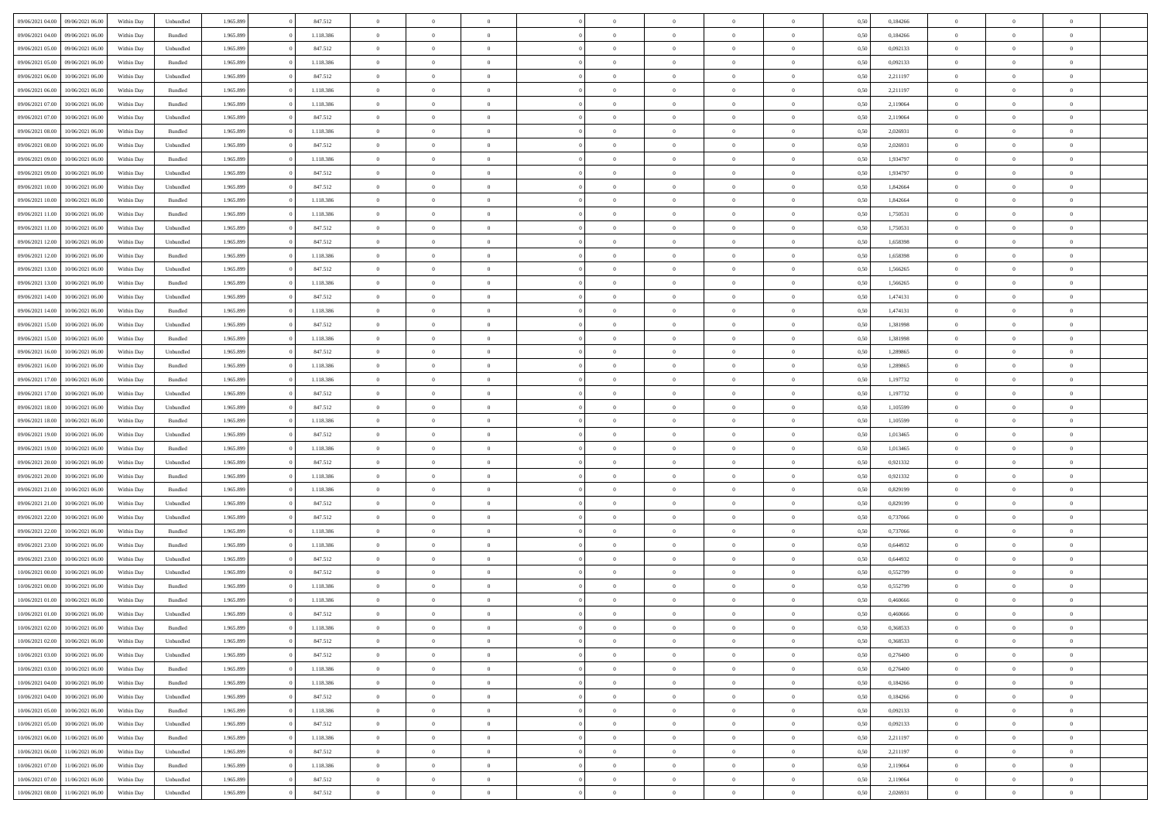| 09/06/2021 04:00 | 09/06/2021 06:00 | Within Dav | Unbundled | 1.965.899 | 847.512   | $\overline{0}$ | $\Omega$       |                | $\Omega$       | $\Omega$       | $\Omega$       | $\theta$       | 0,50 | 0,184266 | $\theta$       | $\theta$       | $\theta$       |  |
|------------------|------------------|------------|-----------|-----------|-----------|----------------|----------------|----------------|----------------|----------------|----------------|----------------|------|----------|----------------|----------------|----------------|--|
|                  |                  |            |           |           |           |                |                |                |                |                |                |                |      |          |                |                |                |  |
| 09/06/2021 04:00 | 09/06/2021 06:00 | Within Day | Bundled   | 1.965.899 | 1.118.386 | $\overline{0}$ | $\theta$       | $\overline{0}$ | $\overline{0}$ | $\bf{0}$       | $\overline{0}$ | $\bf{0}$       | 0,50 | 0,184266 | $\theta$       | $\theta$       | $\overline{0}$ |  |
| 09/06/2021 05:00 | 09/06/2021 06:00 | Within Day | Unbundled | 1.965.899 | 847.512   | $\overline{0}$ | $\overline{0}$ | $\overline{0}$ | $\overline{0}$ | $\bf{0}$       | $\overline{0}$ | $\mathbf{0}$   | 0,50 | 0,092133 | $\overline{0}$ | $\overline{0}$ | $\overline{0}$ |  |
| 09/06/2021 05:00 | 09/06/2021 06:00 | Within Dav | Bundled   | 1.965.899 | 1.118.386 | $\overline{0}$ | $\overline{0}$ | $\overline{0}$ | $\overline{0}$ | $\bf{0}$       | $\overline{0}$ | $\overline{0}$ | 0.50 | 0,092133 | $\theta$       | $\theta$       | $\overline{0}$ |  |
| 09/06/2021 06:00 | 10/06/2021 06:00 | Within Day | Unbundled | 1.965.899 | 847.512   | $\overline{0}$ | $\theta$       | $\overline{0}$ | $\overline{0}$ | $\bf{0}$       | $\overline{0}$ | $\bf{0}$       | 0,50 | 2,211197 | $\,$ 0 $\,$    | $\overline{0}$ | $\overline{0}$ |  |
|                  |                  |            |           |           |           |                |                |                |                |                |                |                |      |          |                |                |                |  |
| 09/06/2021 06:00 | 10/06/2021 06:00 | Within Day | Bundled   | 1.965.899 | 1.118.386 | $\overline{0}$ | $\bf{0}$       | $\overline{0}$ | $\overline{0}$ | $\overline{0}$ | $\overline{0}$ | $\mathbf{0}$   | 0,50 | 2,211197 | $\overline{0}$ | $\overline{0}$ | $\bf{0}$       |  |
| 09/06/2021 07:00 | 10/06/2021 06:00 | Within Dav | Bundled   | 1.965.899 | 1.118.386 | $\overline{0}$ | $\overline{0}$ | $\overline{0}$ | $\overline{0}$ | $\overline{0}$ | $\overline{0}$ | $\overline{0}$ | 0.50 | 2,119064 | $\theta$       | $\overline{0}$ | $\overline{0}$ |  |
| 09/06/2021 07:00 | 10/06/2021 06:00 | Within Day | Unbundled | 1.965.899 | 847.512   | $\overline{0}$ | $\theta$       | $\overline{0}$ | $\overline{0}$ | $\bf{0}$       | $\overline{0}$ | $\bf{0}$       | 0,50 | 2,119064 | $\theta$       | $\theta$       | $\overline{0}$ |  |
| 09/06/2021 08:00 | 10/06/2021 06:00 | Within Day | Bundled   | 1.965.899 | 1.118.386 | $\overline{0}$ | $\overline{0}$ | $\overline{0}$ | $\overline{0}$ | $\bf{0}$       | $\overline{0}$ | $\bf{0}$       | 0,50 | 2,026931 | $\,0\,$        | $\overline{0}$ | $\overline{0}$ |  |
| 09/06/2021 08:00 | 10/06/2021 06:00 | Within Dav | Unbundled | 1.965.899 | 847.512   | $\overline{0}$ | $\overline{0}$ | $\overline{0}$ | $\overline{0}$ | $\overline{0}$ | $\overline{0}$ | $\overline{0}$ | 0.50 | 2,026931 | $\theta$       | $\overline{0}$ | $\overline{0}$ |  |
| 09/06/2021 09:00 | 10/06/2021 06:00 | Within Day | Bundled   | 1.965.899 | 1.118.386 | $\overline{0}$ | $\theta$       | $\overline{0}$ | $\overline{0}$ | $\bf{0}$       | $\overline{0}$ | $\bf{0}$       | 0,50 | 1,934797 | $\,$ 0 $\,$    | $\overline{0}$ | $\overline{0}$ |  |
| 09/06/2021 09:00 | 10/06/2021 06:00 | Within Day | Unbundled | 1.965.899 | 847.512   | $\overline{0}$ | $\overline{0}$ | $\overline{0}$ | $\overline{0}$ | $\bf{0}$       | $\overline{0}$ | $\mathbf{0}$   | 0,50 | 1,934797 | $\overline{0}$ | $\overline{0}$ | $\overline{0}$ |  |
| 09/06/2021 10:00 | 10/06/2021 06:00 | Within Dav | Unbundled | 1.965.899 | 847.512   | $\overline{0}$ | $\overline{0}$ | $\overline{0}$ | $\overline{0}$ | $\bf{0}$       | $\overline{0}$ | $\overline{0}$ | 0.50 | 1.842664 | $\theta$       | $\theta$       | $\overline{0}$ |  |
|                  |                  |            |           |           |           |                |                |                |                |                |                |                |      |          |                |                |                |  |
| 09/06/2021 10:00 | 10/06/2021 06:00 | Within Day | Bundled   | 1.965.899 | 1.118.386 | $\overline{0}$ | $\theta$       | $\overline{0}$ | $\overline{0}$ | $\bf{0}$       | $\overline{0}$ | $\bf{0}$       | 0,50 | 1,842664 | $\theta$       | $\theta$       | $\overline{0}$ |  |
| 09/06/2021 11:00 | 10/06/2021 06:00 | Within Day | Bundled   | 1.965.899 | 1.118.386 | $\overline{0}$ | $\overline{0}$ | $\overline{0}$ | $\overline{0}$ | $\overline{0}$ | $\overline{0}$ | $\mathbf{0}$   | 0,50 | 1,750531 | $\overline{0}$ | $\overline{0}$ | $\bf{0}$       |  |
| 09/06/2021 11:00 | 10/06/2021 06:00 | Within Dav | Unbundled | 1.965.899 | 847.512   | $\overline{0}$ | $\overline{0}$ | $\overline{0}$ | $\overline{0}$ | $\overline{0}$ | $\overline{0}$ | $\overline{0}$ | 0.50 | 1,750531 | $\theta$       | $\overline{0}$ | $\overline{0}$ |  |
| 09/06/2021 12:00 | 10/06/2021 06:00 | Within Day | Unbundled | 1.965.899 | 847.512   | $\overline{0}$ | $\theta$       | $\overline{0}$ | $\overline{0}$ | $\bf{0}$       | $\overline{0}$ | $\bf{0}$       | 0,50 | 1,658398 | $\theta$       | $\theta$       | $\overline{0}$ |  |
| 09/06/2021 12:00 | 10/06/2021 06:00 | Within Day | Bundled   | 1.965.899 | 1.118.386 | $\overline{0}$ | $\overline{0}$ | $\overline{0}$ | $\overline{0}$ | $\bf{0}$       | $\bf{0}$       | $\mathbf{0}$   | 0,50 | 1,658398 | $\bf{0}$       | $\overline{0}$ | $\overline{0}$ |  |
| 09/06/2021 13:00 | 10/06/2021 06:00 | Within Day | Unbundled | 1.965.899 | 847.512   | $\overline{0}$ | $\overline{0}$ | $\overline{0}$ | $\overline{0}$ | $\overline{0}$ | $\overline{0}$ | $\overline{0}$ | 0.50 | 1,566265 | $\theta$       | $\overline{0}$ | $\overline{0}$ |  |
| 09/06/2021 13:00 | 10/06/2021 06:00 |            | Bundled   | 1.965.899 | 1.118.386 | $\overline{0}$ | $\theta$       | $\overline{0}$ | $\overline{0}$ | $\bf{0}$       | $\overline{0}$ |                |      | 1,566265 | $\,$ 0 $\,$    | $\theta$       | $\overline{0}$ |  |
|                  |                  | Within Day |           |           |           |                |                |                |                |                |                | $\bf{0}$       | 0,50 |          |                |                |                |  |
| 09/06/2021 14:00 | 10/06/2021 06:00 | Within Day | Unbundled | 1.965.899 | 847.512   | $\overline{0}$ | $\overline{0}$ | $\overline{0}$ | $\bf{0}$       | $\bf{0}$       | $\bf{0}$       | $\mathbf{0}$   | 0,50 | 1,474131 | $\bf{0}$       | $\overline{0}$ | $\overline{0}$ |  |
| 09/06/2021 14:00 | 10/06/2021 06:00 | Within Day | Bundled   | 1.965.899 | 1.118.386 | $\overline{0}$ | $\overline{0}$ | $\overline{0}$ | $\overline{0}$ | $\bf{0}$       | $\overline{0}$ | $\overline{0}$ | 0.50 | 1,474131 | $\theta$       | $\overline{0}$ | $\overline{0}$ |  |
| 09/06/2021 15:00 | 10/06/2021 06:00 | Within Day | Unbundled | 1.965.899 | 847.512   | $\overline{0}$ | $\theta$       | $\overline{0}$ | $\overline{0}$ | $\bf{0}$       | $\overline{0}$ | $\bf{0}$       | 0,50 | 1,381998 | $\,$ 0 $\,$    | $\overline{0}$ | $\overline{0}$ |  |
| 09/06/2021 15:00 | 10/06/2021 06:00 | Within Day | Bundled   | 1.965.899 | 1.118.386 | $\overline{0}$ | $\bf{0}$       | $\overline{0}$ | $\bf{0}$       | $\overline{0}$ | $\overline{0}$ | $\mathbf{0}$   | 0,50 | 1,381998 | $\overline{0}$ | $\overline{0}$ | $\bf{0}$       |  |
| 09/06/2021 16:00 | 10/06/2021 06:00 | Within Dav | Unbundled | 1.965.899 | 847.512   | $\overline{0}$ | $\overline{0}$ | $\overline{0}$ | $\overline{0}$ | $\overline{0}$ | $\overline{0}$ | $\overline{0}$ | 0.50 | 1,289865 | $\theta$       | $\overline{0}$ | $\overline{0}$ |  |
| 09/06/2021 16:00 | 10/06/2021 06:00 | Within Day | Bundled   | 1.965.899 | 1.118.386 | $\overline{0}$ | $\theta$       | $\overline{0}$ | $\overline{0}$ | $\bf{0}$       | $\overline{0}$ | $\bf{0}$       | 0,50 | 1,289865 | $\theta$       | $\theta$       | $\overline{0}$ |  |
| 09/06/2021 17:00 | 10/06/2021 06:00 | Within Day | Bundled   | 1.965.899 | 1.118.386 | $\overline{0}$ | $\overline{0}$ | $\overline{0}$ | $\bf{0}$       | $\bf{0}$       | $\bf{0}$       | $\bf{0}$       | 0,50 | 1,197732 | $\,0\,$        | $\overline{0}$ | $\overline{0}$ |  |
|                  |                  |            |           |           |           |                | $\overline{0}$ |                |                | $\overline{0}$ |                |                |      |          | $\theta$       | $\overline{0}$ | $\overline{0}$ |  |
| 09/06/2021 17:00 | 10/06/2021 06:00 | Within Day | Unbundled | 1.965.899 | 847.512   | $\overline{0}$ |                | $\overline{0}$ | $\overline{0}$ |                | $\overline{0}$ | $\overline{0}$ | 0.50 | 1,197732 |                |                |                |  |
| 09/06/2021 18:00 | 10/06/2021 06:00 | Within Day | Unbundled | 1.965.899 | 847.512   | $\overline{0}$ | $\theta$       | $\overline{0}$ | $\overline{0}$ | $\bf{0}$       | $\overline{0}$ | $\bf{0}$       | 0,50 | 1,105599 | $\,$ 0 $\,$    | $\overline{0}$ | $\overline{0}$ |  |
| 09/06/2021 18:00 | 10/06/2021 06:00 | Within Day | Bundled   | 1.965.899 | 1.118.386 | $\overline{0}$ | $\overline{0}$ | $\overline{0}$ | $\bf{0}$       | $\bf{0}$       | $\bf{0}$       | $\bf{0}$       | 0,50 | 1,105599 | $\overline{0}$ | $\overline{0}$ | $\overline{0}$ |  |
| 09/06/2021 19:00 | 10/06/2021 06:00 | Within Day | Unbundled | 1.965.899 | 847.512   | $\overline{0}$ | $\Omega$       | $\overline{0}$ | $\Omega$       | $\Omega$       | $\overline{0}$ | $\overline{0}$ | 0,50 | 1,013465 | $\,0\,$        | $\theta$       | $\theta$       |  |
| 09/06/2021 19:00 | 10/06/2021 06:00 | Within Day | Bundled   | 1.965.899 | 1.118.386 | $\overline{0}$ | $\theta$       | $\overline{0}$ | $\overline{0}$ | $\bf{0}$       | $\overline{0}$ | $\bf{0}$       | 0,50 | 1,013465 | $\,$ 0 $\,$    | $\theta$       | $\overline{0}$ |  |
| 09/06/2021 20:00 | 10/06/2021 06:00 | Within Day | Unbundled | 1.965.899 | 847.512   | $\overline{0}$ | $\overline{0}$ | $\overline{0}$ | $\bf{0}$       | $\bf{0}$       | $\overline{0}$ | $\mathbf{0}$   | 0,50 | 0,921332 | $\overline{0}$ | $\overline{0}$ | $\bf{0}$       |  |
| 09/06/2021 20:00 | 10/06/2021 06:00 | Within Day | Bundled   | 1.965.899 | 1.118.386 | $\overline{0}$ | $\Omega$       | $\Omega$       | $\Omega$       | $\bf{0}$       | $\overline{0}$ | $\overline{0}$ | 0.50 | 0,921332 | $\,0\,$        | $\theta$       | $\theta$       |  |
| 09/06/2021 21:00 | 10/06/2021 06:00 | Within Day | Bundled   | 1.965.899 | 1.118.386 | $\overline{0}$ | $\theta$       | $\overline{0}$ | $\overline{0}$ | $\bf{0}$       | $\overline{0}$ | $\bf{0}$       | 0,50 | 0,829199 | $\,$ 0 $\,$    | $\overline{0}$ | $\overline{0}$ |  |
|                  |                  |            |           |           |           |                |                |                |                |                |                |                |      |          |                |                |                |  |
| 09/06/2021 21:00 | 10/06/2021 06:00 | Within Day | Unbundled | 1.965.899 | 847.512   | $\overline{0}$ | $\overline{0}$ | $\overline{0}$ | $\bf{0}$       | $\bf{0}$       | $\bf{0}$       | $\bf{0}$       | 0,50 | 0,829199 | $\,0\,$        | $\overline{0}$ | $\overline{0}$ |  |
| 09/06/2021 22.00 | 10/06/2021 06:00 | Within Day | Unbundled | 1.965.899 | 847.512   | $\overline{0}$ | $\Omega$       | $\overline{0}$ | $\Omega$       | $\overline{0}$ | $\overline{0}$ | $\overline{0}$ | 0.50 | 0,737066 | $\theta$       | $\theta$       | $\theta$       |  |
| 09/06/2021 22.00 | 10/06/2021 06:00 | Within Day | Bundled   | 1.965.899 | 1.118.386 | $\overline{0}$ | $\theta$       | $\overline{0}$ | $\overline{0}$ | $\,$ 0         | $\overline{0}$ | $\bf{0}$       | 0,50 | 0,737066 | $\,$ 0 $\,$    | $\overline{0}$ | $\overline{0}$ |  |
| 09/06/2021 23.00 | 10/06/2021 06:00 | Within Day | Bundled   | 1.965.899 | 1.118.386 | $\overline{0}$ | $\overline{0}$ | $\overline{0}$ | $\bf{0}$       | $\bf{0}$       | $\bf{0}$       | $\bf{0}$       | 0,50 | 0,644932 | $\overline{0}$ | $\overline{0}$ | $\overline{0}$ |  |
| 09/06/2021 23:00 | 10/06/2021 06:00 | Within Day | Unbundled | 1.965.899 | 847.512   | $\overline{0}$ | $\Omega$       | $\overline{0}$ | $\Omega$       | $\overline{0}$ | $\overline{0}$ | $\overline{0}$ | 0,50 | 0.644932 | $\,0\,$        | $\theta$       | $\theta$       |  |
| 10/06/2021 00:00 | 10/06/2021 06:00 | Within Day | Unbundled | 1.965.899 | 847.512   | $\overline{0}$ | $\theta$       | $\overline{0}$ | $\overline{0}$ | $\,$ 0         | $\overline{0}$ | $\bf{0}$       | 0,50 | 0,552799 | $\,$ 0 $\,$    | $\overline{0}$ | $\overline{0}$ |  |
| 10/06/2021 00:00 | 10/06/2021 06:00 | Within Day | Bundled   | 1.965.899 | 1.118.386 | $\overline{0}$ | $\overline{0}$ | $\overline{0}$ | $\overline{0}$ | $\bf{0}$       | $\overline{0}$ | $\mathbf{0}$   | 0,50 | 0,552799 | $\overline{0}$ | $\overline{0}$ | $\bf{0}$       |  |
|                  | 10/06/2021 06:00 |            | Bundled   | 1.965.899 | 1.118.386 | $\overline{0}$ | $\Omega$       | $\Omega$       | $\Omega$       | $\Omega$       | $\Omega$       | $\overline{0}$ | 0.50 | 0.460666 | $\theta$       | $\theta$       | $\theta$       |  |
| 10/06/2021 01:00 |                  | Within Day |           |           |           |                |                |                |                |                |                |                |      |          |                |                |                |  |
| 10/06/2021 01:00 | 10/06/2021 06:00 | Within Day | Unbundled | 1.965.899 | 847.512   | $\overline{0}$ | $\overline{0}$ | $\overline{0}$ | $\bf{0}$       | $\,$ 0         | $\overline{0}$ | $\bf{0}$       | 0,50 | 0,460666 | $\,0\,$        | $\overline{0}$ | $\overline{0}$ |  |
| 10/06/2021 02:00 | 10/06/2021 06:00 | Within Day | Bundled   | 1.965.899 | 1.118.386 | $\bf{0}$       | $\bf{0}$       |                |                |                |                |                | 0,50 | 0,368533 | $\bf{0}$       | $\overline{0}$ |                |  |
| 10/06/2021 02:00 | 10/06/2021 06:00 | Within Day | Unbundled | 1.965.899 | 847.512   | $\overline{0}$ | $\overline{0}$ | $\overline{0}$ | $\Omega$       | $\overline{0}$ | $\overline{0}$ | $\overline{0}$ | 0.50 | 0.368533 | $\theta$       | $\theta$       | $\theta$       |  |
| 10/06/2021 03:00 | 10/06/2021 06:00 | Within Day | Unbundled | 1.965.899 | 847.512   | $\overline{0}$ | $\bf{0}$       | $\overline{0}$ | $\overline{0}$ | $\,$ 0 $\,$    | $\overline{0}$ | $\,$ 0 $\,$    | 0,50 | 0,276400 | $\,$ 0 $\,$    | $\,$ 0 $\,$    | $\,$ 0         |  |
| 10/06/2021 03:00 | 10/06/2021 06:00 | Within Day | Bundled   | 1.965.899 | 1.118.386 | $\overline{0}$ | $\overline{0}$ | $\overline{0}$ | $\overline{0}$ | $\overline{0}$ | $\overline{0}$ | $\mathbf{0}$   | 0,50 | 0,276400 | $\overline{0}$ | $\bf{0}$       | $\bf{0}$       |  |
| 10/06/2021 04:00 | 10/06/2021 06:00 | Within Day | Bundled   | 1.965.899 | 1.118.386 | $\overline{0}$ | $\overline{0}$ | $\overline{0}$ | $\Omega$       | $\overline{0}$ | $\overline{0}$ | $\overline{0}$ | 0,50 | 0,184266 | $\overline{0}$ | $\theta$       | $\overline{0}$ |  |
| 10/06/2021 04:00 | 10/06/2021 06:00 | Within Day | Unbundled | 1.965.899 | 847.512   | $\overline{0}$ | $\,$ 0         | $\overline{0}$ | $\overline{0}$ | $\,$ 0 $\,$    | $\overline{0}$ | $\mathbf{0}$   | 0,50 | 0,184266 | $\,$ 0 $\,$    | $\overline{0}$ | $\overline{0}$ |  |
|                  |                  |            |           |           |           |                |                |                |                |                |                |                |      |          |                |                |                |  |
| 10/06/2021 05:00 | 10/06/2021 06:00 | Within Day | Bundled   | 1.965.899 | 1.118.386 | $\overline{0}$ | $\overline{0}$ | $\overline{0}$ | $\overline{0}$ | $\overline{0}$ | $\overline{0}$ | $\mathbf{0}$   | 0,50 | 0,092133 | $\overline{0}$ | $\overline{0}$ | $\bf{0}$       |  |
| 10/06/2021 05:00 | 10/06/2021 06:00 | Within Day | Unbundled | 1.965.899 | 847.512   | $\overline{0}$ | $\overline{0}$ | $\overline{0}$ | $\overline{0}$ | $\overline{0}$ | $\overline{0}$ | $\bf{0}$       | 0.50 | 0,092133 | $\overline{0}$ | $\theta$       | $\overline{0}$ |  |
| 10/06/2021 06:00 | 11/06/2021 06:00 | Within Day | Bundled   | 1.965.899 | 1.118.386 | $\overline{0}$ | $\,$ 0         | $\overline{0}$ | $\overline{0}$ | $\bf{0}$       | $\overline{0}$ | $\bf{0}$       | 0,50 | 2,211197 | $\,$ 0 $\,$    | $\overline{0}$ | $\overline{0}$ |  |
| 10/06/2021 06:00 | 11/06/2021 06:00 | Within Day | Unbundled | 1.965.899 | 847.512   | $\overline{0}$ | $\bf{0}$       | $\overline{0}$ | $\overline{0}$ | $\overline{0}$ | $\overline{0}$ | $\mathbf{0}$   | 0,50 | 2,211197 | $\overline{0}$ | $\overline{0}$ | $\bf{0}$       |  |
| 10/06/2021 07:00 | 11/06/2021 06:00 | Within Day | Bundled   | 1.965.899 | 1.118.386 | $\overline{0}$ | $\overline{0}$ | $\overline{0}$ | $\Omega$       | $\overline{0}$ | $\overline{0}$ | $\overline{0}$ | 0.50 | 2,119064 | $\overline{0}$ | $\overline{0}$ | $\overline{0}$ |  |
| 10/06/2021 07:00 | 11/06/2021 06:00 | Within Day | Unbundled | 1.965.899 | 847.512   | $\overline{0}$ | $\bf{0}$       | $\overline{0}$ | $\bf{0}$       | $\bf{0}$       | $\overline{0}$ | $\mathbf{0}$   | 0,50 | 2,119064 | $\,$ 0 $\,$    | $\,$ 0 $\,$    | $\bf{0}$       |  |
| 10/06/2021 08:00 | 11/06/2021 06:00 | Within Day | Unbundled | 1.965.899 | 847.512   | $\overline{0}$ | $\overline{0}$ | $\overline{0}$ | $\overline{0}$ | $\overline{0}$ | $\overline{0}$ | $\mathbf{0}$   | 0,50 | 2,026931 | $\overline{0}$ | $\bf{0}$       | $\bf{0}$       |  |
|                  |                  |            |           |           |           |                |                |                |                |                |                |                |      |          |                |                |                |  |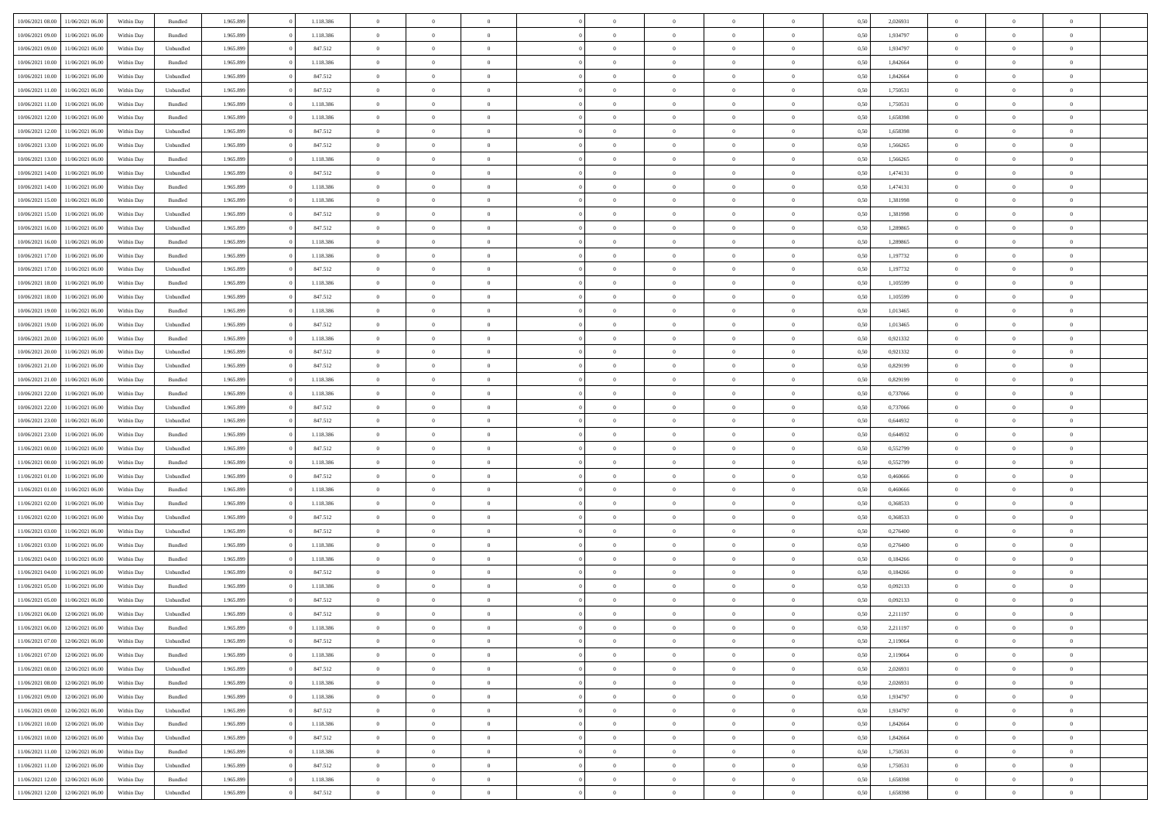| 10/06/2021 08:00                  | 11/06/2021 06:00 | Within Day | Bundled            | 1.965.899 | 1.118.386 | $\overline{0}$ | $\theta$       |                | $\Omega$       | $\Omega$       | $\theta$       | $\theta$       | 0,50 | 2,026931 | $\theta$       | $\overline{0}$ | $\theta$       |  |
|-----------------------------------|------------------|------------|--------------------|-----------|-----------|----------------|----------------|----------------|----------------|----------------|----------------|----------------|------|----------|----------------|----------------|----------------|--|
|                                   |                  |            |                    |           |           |                |                |                |                |                |                |                |      |          |                |                |                |  |
| 10/06/2021 09:00                  | 11/06/2021 06:00 | Within Day | Bundled            | 1.965.899 | 1.118.386 | $\overline{0}$ | $\theta$       | $\overline{0}$ | $\overline{0}$ | $\bf{0}$       | $\overline{0}$ | $\bf{0}$       | 0,50 | 1,934797 | $\theta$       | $\overline{0}$ | $\overline{0}$ |  |
| 10/06/2021 09:00                  | 11/06/2021 06:00 | Within Day | Unbundled          | 1.965.899 | 847.512   | $\overline{0}$ | $\bf{0}$       | $\overline{0}$ | $\bf{0}$       | $\bf{0}$       | $\bf{0}$       | $\mathbf{0}$   | 0,50 | 1,934797 | $\overline{0}$ | $\overline{0}$ | $\overline{0}$ |  |
| 10/06/2021 10:00                  | 11/06/2021 06:00 | Within Dav | Bundled            | 1.965.899 | 1.118.386 | $\overline{0}$ | $\overline{0}$ | $\overline{0}$ | $\overline{0}$ | $\bf{0}$       | $\overline{0}$ | $\overline{0}$ | 0.50 | 1.842664 | $\theta$       | $\theta$       | $\overline{0}$ |  |
| 10/06/2021 10:00                  | 11/06/2021 06:00 | Within Day | Unbundled          | 1.965.899 | 847.512   | $\overline{0}$ | $\theta$       | $\overline{0}$ | $\overline{0}$ | $\bf{0}$       | $\overline{0}$ | $\bf{0}$       | 0,50 | 1,842664 | $\,$ 0 $\,$    | $\overline{0}$ | $\overline{0}$ |  |
| 10/06/2021 11:00                  | 11/06/2021 06:00 | Within Day | Unbundled          | 1.965.899 | 847.512   | $\overline{0}$ | $\overline{0}$ | $\overline{0}$ | $\bf{0}$       | $\overline{0}$ | $\overline{0}$ | $\mathbf{0}$   | 0,50 | 1,750531 | $\overline{0}$ | $\overline{0}$ | $\bf{0}$       |  |
|                                   |                  |            |                    |           |           |                |                |                |                |                |                |                |      |          |                |                |                |  |
| 10/06/2021 11:00                  | 11/06/2021 06:00 | Within Dav | Bundled            | 1.965.899 | 1.118.386 | $\overline{0}$ | $\overline{0}$ | $\overline{0}$ | $\overline{0}$ | $\overline{0}$ | $\overline{0}$ | $\overline{0}$ | 0.50 | 1,750531 | $\theta$       | $\overline{0}$ | $\overline{0}$ |  |
| 10/06/2021 12:00                  | 11/06/2021 06:00 | Within Day | Bundled            | 1.965.899 | 1.118.386 | $\overline{0}$ | $\theta$       | $\overline{0}$ | $\overline{0}$ | $\bf{0}$       | $\overline{0}$ | $\bf{0}$       | 0,50 | 1,658398 | $\theta$       | $\theta$       | $\overline{0}$ |  |
| 10/06/2021 12:00                  | 11/06/2021 06:00 | Within Day | Unbundled          | 1.965.899 | 847.512   | $\overline{0}$ | $\overline{0}$ | $\overline{0}$ | $\bf{0}$       | $\bf{0}$       | $\bf{0}$       | $\mathbf{0}$   | 0,50 | 1,658398 | $\,0\,$        | $\overline{0}$ | $\overline{0}$ |  |
| 10/06/2021 13:00                  | 11/06/2021 06:00 | Within Dav | Unbundled          | 1.965.899 | 847.512   | $\overline{0}$ | $\overline{0}$ | $\overline{0}$ | $\overline{0}$ | $\overline{0}$ | $\overline{0}$ | $\overline{0}$ | 0.50 | 1,566265 | $\theta$       | $\overline{0}$ | $\overline{0}$ |  |
| 10/06/2021 13:00                  | 11/06/2021 06:00 | Within Day | Bundled            | 1.965.899 | 1.118.386 | $\overline{0}$ | $\theta$       | $\overline{0}$ | $\overline{0}$ | $\bf{0}$       | $\overline{0}$ | $\bf{0}$       | 0,50 | 1,566265 | $\,$ 0 $\,$    | $\overline{0}$ | $\overline{0}$ |  |
| 10/06/2021 14:00                  | 11/06/2021 06:00 | Within Day | Unbundled          | 1.965.899 | 847.512   | $\overline{0}$ | $\overline{0}$ | $\overline{0}$ | $\bf{0}$       | $\bf{0}$       | $\bf{0}$       | $\mathbf{0}$   | 0,50 | 1,474131 | $\overline{0}$ | $\overline{0}$ | $\bf{0}$       |  |
| 10/06/2021 14:00                  | 11/06/2021 06:00 | Within Day | Bundled            | 1.965.899 | 1.118.386 | $\overline{0}$ | $\overline{0}$ | $\overline{0}$ | $\overline{0}$ | $\overline{0}$ | $\overline{0}$ | $\overline{0}$ | 0.50 | 1,474131 | $\theta$       | $\theta$       | $\overline{0}$ |  |
| 10/06/2021 15:00                  | 11/06/2021 06:00 |            |                    | 1.965.899 | 1.118.386 | $\overline{0}$ | $\theta$       | $\overline{0}$ | $\overline{0}$ | $\bf{0}$       | $\overline{0}$ |                |      | 1,381998 | $\,$ 0 $\,$    | $\overline{0}$ | $\overline{0}$ |  |
|                                   |                  | Within Day | Bundled            |           |           |                |                |                |                |                |                | $\bf{0}$       | 0,50 |          |                |                |                |  |
| 10/06/2021 15:00                  | 11/06/2021 06:00 | Within Day | Unbundled          | 1.965.899 | 847.512   | $\overline{0}$ | $\overline{0}$ | $\overline{0}$ | $\bf{0}$       | $\overline{0}$ | $\overline{0}$ | $\mathbf{0}$   | 0,50 | 1,381998 | $\overline{0}$ | $\overline{0}$ | $\bf{0}$       |  |
| 10/06/2021 16:00                  | 11/06/2021 06:00 | Within Dav | Unbundled          | 1.965.899 | 847.512   | $\overline{0}$ | $\overline{0}$ | $\overline{0}$ | $\overline{0}$ | $\overline{0}$ | $\overline{0}$ | $\overline{0}$ | 0.50 | 1,289865 | $\overline{0}$ | $\overline{0}$ | $\overline{0}$ |  |
| 10/06/2021 16:00                  | 11/06/2021 06:00 | Within Day | Bundled            | 1.965.899 | 1.118.386 | $\overline{0}$ | $\theta$       | $\overline{0}$ | $\overline{0}$ | $\bf{0}$       | $\overline{0}$ | $\bf{0}$       | 0,50 | 1,289865 | $\,$ 0 $\,$    | $\overline{0}$ | $\overline{0}$ |  |
| 10/06/2021 17:00                  | 11/06/2021 06:00 | Within Day | Bundled            | 1.965.899 | 1.118.386 | $\overline{0}$ | $\overline{0}$ | $\overline{0}$ | $\bf{0}$       | $\bf{0}$       | $\bf{0}$       | $\mathbf{0}$   | 0,50 | 1,197732 | $\bf{0}$       | $\overline{0}$ | $\bf{0}$       |  |
| 10/06/2021 17:00                  | 11/06/2021 06:00 | Within Day | Unbundled          | 1.965.899 | 847.512   | $\overline{0}$ | $\overline{0}$ | $\overline{0}$ | $\overline{0}$ | $\overline{0}$ | $\overline{0}$ | $\overline{0}$ | 0.50 | 1,197732 | $\theta$       | $\overline{0}$ | $\overline{0}$ |  |
| 10/06/2021 18:00                  | 11/06/2021 06:00 | Within Day | Bundled            | 1.965.899 | 1.118.386 | $\overline{0}$ | $\theta$       | $\overline{0}$ | $\overline{0}$ | $\bf{0}$       | $\overline{0}$ | $\bf{0}$       | 0,50 | 1,105599 | $\,$ 0 $\,$    | $\overline{0}$ | $\overline{0}$ |  |
| 10/06/2021 18:00                  | 11/06/2021 06:00 | Within Day | Unbundled          | 1.965.899 | 847.512   | $\overline{0}$ | $\overline{0}$ | $\overline{0}$ | $\overline{0}$ | $\bf{0}$       | $\overline{0}$ | $\mathbf{0}$   | 0,50 | 1,105599 | $\overline{0}$ | $\overline{0}$ | $\bf{0}$       |  |
| 10/06/2021 19:00                  | 11/06/2021 06:00 | Within Day | Bundled            | 1.965.899 | 1.118.386 | $\overline{0}$ | $\overline{0}$ | $\overline{0}$ | $\overline{0}$ | $\overline{0}$ | $\overline{0}$ | $\overline{0}$ | 0.50 | 1,013465 | $\theta$       | $\overline{0}$ | $\overline{0}$ |  |
|                                   |                  |            |                    |           |           |                |                |                |                |                |                |                |      |          |                |                |                |  |
| 10/06/2021 19:00                  | 11/06/2021 06:00 | Within Day | Unbundled          | 1.965.899 | 847.512   | $\overline{0}$ | $\theta$       | $\overline{0}$ | $\overline{0}$ | $\bf{0}$       | $\overline{0}$ | $\,$ 0 $\,$    | 0,50 | 1,013465 | $\,$ 0 $\,$    | $\overline{0}$ | $\overline{0}$ |  |
| 10/06/2021 20:00                  | 11/06/2021 06:00 | Within Day | Bundled            | 1.965.899 | 1.118.386 | $\overline{0}$ | $\overline{0}$ | $\overline{0}$ | $\overline{0}$ | $\overline{0}$ | $\overline{0}$ | $\mathbf{0}$   | 0,50 | 0,921332 | $\overline{0}$ | $\overline{0}$ | $\bf{0}$       |  |
| 10/06/2021 20:00                  | 11/06/2021 06:00 | Within Day | Unbundled          | 1.965.899 | 847.512   | $\overline{0}$ | $\overline{0}$ | $\overline{0}$ | $\overline{0}$ | $\overline{0}$ | $\overline{0}$ | $\overline{0}$ | 0.50 | 0.921332 | $\overline{0}$ | $\overline{0}$ | $\overline{0}$ |  |
| 10/06/2021 21:00                  | 11/06/2021 06:00 | Within Day | Unbundled          | 1.965.899 | 847.512   | $\overline{0}$ | $\theta$       | $\overline{0}$ | $\overline{0}$ | $\bf{0}$       | $\overline{0}$ | $\bf{0}$       | 0,50 | 0,829199 | $\,$ 0 $\,$    | $\overline{0}$ | $\overline{0}$ |  |
| 10/06/2021 21:00                  | 11/06/2021 06:00 | Within Day | Bundled            | 1.965.899 | 1.118.386 | $\overline{0}$ | $\overline{0}$ | $\overline{0}$ | $\overline{0}$ | $\bf{0}$       | $\overline{0}$ | $\mathbf{0}$   | 0,50 | 0,829199 | $\,0\,$        | $\overline{0}$ | $\overline{0}$ |  |
| 10/06/2021 22.00                  | 11/06/2021 06:00 | Within Day | Bundled            | 1.965.899 | 1.118.386 | $\overline{0}$ | $\overline{0}$ | $\overline{0}$ | $\overline{0}$ | $\overline{0}$ | $\overline{0}$ | $\overline{0}$ | 0.50 | 0,737066 | $\theta$       | $\overline{0}$ | $\overline{0}$ |  |
| 10/06/2021 22:00                  | 11/06/2021 06:00 |            |                    | 1.965.899 | 847.512   | $\overline{0}$ | $\overline{0}$ | $\overline{0}$ | $\overline{0}$ | $\,$ 0         | $\overline{0}$ |                |      | 0,737066 | $\,$ 0 $\,$    | $\overline{0}$ | $\overline{0}$ |  |
|                                   |                  | Within Day | Unbundled          |           |           |                |                |                |                |                |                | $\bf{0}$       | 0,50 |          |                |                |                |  |
| 10/06/2021 23:00                  | 11/06/2021 06:00 | Within Day | Unbundled          | 1.965.899 | 847.512   | $\overline{0}$ | $\overline{0}$ | $\overline{0}$ | $\overline{0}$ | $\bf{0}$       | $\overline{0}$ | $\mathbf{0}$   | 0,50 | 0,644932 | $\overline{0}$ | $\overline{0}$ | $\bf{0}$       |  |
| 10/06/2021 23:00                  | 11/06/2021 06.00 | Within Day | Bundled            | 1.965.899 | 1.118.386 | $\overline{0}$ | $\theta$       | $\overline{0}$ | $\Omega$       | $\Omega$       | $\overline{0}$ | $\overline{0}$ | 0,50 | 0.644932 | $\,0\,$        | $\theta$       | $\theta$       |  |
| 11/06/2021 00:00                  | 11/06/2021 06:00 | Within Day | Unbundled          | 1.965.899 | 847.512   | $\overline{0}$ | $\overline{0}$ | $\overline{0}$ | $\overline{0}$ | $\bf{0}$       | $\overline{0}$ | $\bf{0}$       | 0,50 | 0,552799 | $\,$ 0 $\,$    | $\overline{0}$ | $\overline{0}$ |  |
| 11/06/2021 00:00                  | 11/06/2021 06:00 | Within Day | Bundled            | 1.965.899 | 1.118.386 | $\overline{0}$ | $\overline{0}$ | $\overline{0}$ | $\overline{0}$ | $\overline{0}$ | $\overline{0}$ | $\mathbf{0}$   | 0,50 | 0,552799 | $\overline{0}$ | $\overline{0}$ | $\bf{0}$       |  |
| 11/06/2021 01:00                  | 11/06/2021 06.00 | Within Day | Unbundled          | 1.965.899 | 847.512   | $\overline{0}$ | $\overline{0}$ | $\overline{0}$ | $\Omega$       | $\overline{0}$ | $\overline{0}$ | $\overline{0}$ | 0.50 | 0.460666 | $\,0\,$        | $\theta$       | $\theta$       |  |
| 11/06/2021 01:00                  | 11/06/2021 06:00 | Within Day | Bundled            | 1.965.899 | 1.118.386 | $\overline{0}$ | $\theta$       | $\overline{0}$ | $\overline{0}$ | $\bf{0}$       | $\overline{0}$ | $\bf{0}$       | 0,50 | 0,460666 | $\,$ 0 $\,$    | $\overline{0}$ | $\overline{0}$ |  |
| 11/06/2021 02:00                  | 11/06/2021 06:00 | Within Day | Bundled            | 1.965.899 | 1.118.386 | $\overline{0}$ | $\bf{0}$       | $\overline{0}$ | $\bf{0}$       | $\bf{0}$       | $\bf{0}$       | $\mathbf{0}$   | 0,50 | 0,368533 | $\bf{0}$       | $\overline{0}$ | $\bf{0}$       |  |
|                                   | 11/06/2021 06:00 |            |                    |           |           | $\overline{0}$ | $\overline{0}$ |                | $\Omega$       | $\overline{0}$ | $\overline{0}$ |                |      | 0.368533 | $\,$ 0 $\,$    | $\theta$       | $\theta$       |  |
| 11/06/2021 02:00                  |                  | Within Day | Unbundled          | 1.965.899 | 847.512   |                |                | $\overline{0}$ |                |                |                | $\overline{0}$ | 0.50 |          |                |                |                |  |
| 11/06/2021 03:00                  | 11/06/2021 06:00 | Within Day | Unbundled          | 1.965.899 | 847.512   | $\overline{0}$ | $\,$ 0         | $\overline{0}$ | $\overline{0}$ | $\,$ 0         | $\overline{0}$ | $\bf{0}$       | 0,50 | 0,276400 | $\,$ 0 $\,$    | $\overline{0}$ | $\overline{0}$ |  |
| 11/06/2021 03:00                  | 11/06/2021 06:00 | Within Day | Bundled            | 1.965.899 | 1.118.386 | $\overline{0}$ | $\overline{0}$ | $\overline{0}$ | $\bf{0}$       | $\bf{0}$       | $\overline{0}$ | $\mathbf{0}$   | 0,50 | 0,276400 | $\overline{0}$ | $\overline{0}$ | $\bf{0}$       |  |
| 11/06/2021 04:00                  | 11/06/2021 06.00 | Within Day | Bundled            | 1.965.899 | 1.118.386 | $\overline{0}$ | $\theta$       | $\overline{0}$ | $\Omega$       | $\bf{0}$       | $\overline{0}$ | $\overline{0}$ | 0,50 | 0,184266 | $\,0\,$        | $\theta$       | $\overline{0}$ |  |
| 11/06/2021 04:00                  | 11/06/2021 06:00 | Within Day | Unbundled          | 1.965.899 | 847.512   | $\overline{0}$ | $\overline{0}$ | $\overline{0}$ | $\overline{0}$ | $\,$ 0         | $\overline{0}$ | $\bf{0}$       | 0,50 | 0,184266 | $\,$ 0 $\,$    | $\overline{0}$ | $\overline{0}$ |  |
| 11/06/2021 05:00                  | 11/06/2021 06:00 | Within Day | Bundled            | 1.965.899 | 1.118.386 | $\overline{0}$ | $\overline{0}$ | $\overline{0}$ | $\bf{0}$       | $\bf{0}$       | $\overline{0}$ | $\mathbf{0}$   | 0,50 | 0,092133 | $\overline{0}$ | $\overline{0}$ | $\bf{0}$       |  |
| 11/06/2021 05:00                  | 11/06/2021 06.00 | Within Day | Unbundled          | 1.965.899 | 847.512   | $\overline{0}$ | $\Omega$       | $\Omega$       | $\Omega$       | $\Omega$       | $\overline{0}$ | $\overline{0}$ | 0.50 | 0.092133 | $\theta$       | $\theta$       | $\theta$       |  |
| 11/06/2021 06:00                  | 12/06/2021 06:00 | Within Day | Unbundled          | 1.965.899 | 847.512   | $\overline{0}$ | $\overline{0}$ | $\overline{0}$ | $\bf{0}$       | $\,$ 0         | $\bf{0}$       | $\bf{0}$       | 0,50 | 2,211197 | $\,0\,$        | $\,$ 0 $\,$    | $\overline{0}$ |  |
| 11/06/2021 06:00                  | 12/06/2021 06:00 | Within Day | $\mathbf B$ undled | 1.965.899 |           |                |                |                |                |                |                |                |      |          |                |                |                |  |
|                                   |                  |            |                    |           | 1.118.386 | $\overline{0}$ | $\bf{0}$       |                |                | $\bf{0}$       |                |                | 0,50 | 2,211197 | $\bf{0}$       | $\overline{0}$ |                |  |
| 11/06/2021 07:00                  | 12/06/2021 06:00 | Within Day | Unbundled          | 1.965.899 | 847.512   | $\overline{0}$ | $\overline{0}$ | $\overline{0}$ | $\Omega$       | $\overline{0}$ | $\overline{0}$ | $\overline{0}$ | 0,50 | 2,119064 | $\theta$       | $\theta$       | $\Omega$       |  |
| 11/06/2021 07:00                  | 12/06/2021 06:00 | Within Day | Bundled            | 1.965.899 | 1.118.386 | $\overline{0}$ | $\,$ 0         | $\overline{0}$ | $\bf{0}$       | $\,$ 0 $\,$    | $\overline{0}$ | $\,$ 0 $\,$    | 0,50 | 2,119064 | $\,$ 0 $\,$    | $\,$ 0 $\,$    | $\,$ 0         |  |
| 11/06/2021 08:00                  | 12/06/2021 06:00 | Within Day | Unbundled          | 1.965.899 | 847.512   | $\overline{0}$ | $\overline{0}$ | $\overline{0}$ | $\overline{0}$ | $\overline{0}$ | $\overline{0}$ | $\mathbf{0}$   | 0,50 | 2,026931 | $\overline{0}$ | $\bf{0}$       | $\bf{0}$       |  |
| 11/06/2021 08:00                  | 12/06/2021 06:00 | Within Day | Bundled            | 1.965.899 | 1.118.386 | $\overline{0}$ | $\overline{0}$ | $\overline{0}$ | $\Omega$       | $\overline{0}$ | $\overline{0}$ | $\overline{0}$ | 0,50 | 2,026931 | $\overline{0}$ | $\theta$       | $\overline{0}$ |  |
| 11/06/2021 09:00                  | 12/06/2021 06:00 | Within Day | Bundled            | 1.965.899 | 1.118.386 | $\overline{0}$ | $\,$ 0         | $\overline{0}$ | $\overline{0}$ | $\,$ 0 $\,$    | $\overline{0}$ | $\mathbf{0}$   | 0,50 | 1,934797 | $\,$ 0 $\,$    | $\overline{0}$ | $\overline{0}$ |  |
| 11/06/2021 09:00                  | 12/06/2021 06:00 | Within Day | Unbundled          | 1.965.899 | 847.512   | $\overline{0}$ | $\overline{0}$ | $\overline{0}$ | $\overline{0}$ | $\overline{0}$ | $\overline{0}$ | $\mathbf{0}$   | 0,50 | 1,934797 | $\overline{0}$ | $\overline{0}$ | $\bf{0}$       |  |
| 11/06/2021 10:00                  | 12/06/2021 06:00 | Within Day | Bundled            | 1.965.899 | 1.118.386 | $\overline{0}$ | $\overline{0}$ | $\overline{0}$ | $\overline{0}$ | $\overline{0}$ | $\overline{0}$ | $\bf{0}$       | 0.50 | 1,842664 | $\overline{0}$ | $\theta$       | $\overline{0}$ |  |
| 11/06/2021 10:00                  | 12/06/2021 06:00 | Within Day | Unbundled          | 1.965.899 | 847.512   | $\overline{0}$ | $\,$ 0         | $\overline{0}$ | $\bf{0}$       | $\bf{0}$       | $\bf{0}$       | $\bf{0}$       | 0,50 | 1,842664 | $\,$ 0 $\,$    | $\overline{0}$ | $\overline{0}$ |  |
|                                   |                  |            |                    |           |           |                |                |                |                |                |                |                |      |          |                |                |                |  |
| 11/06/2021 11:00                  | 12/06/2021 06:00 | Within Day | Bundled            | 1.965.899 | 1.118.386 | $\overline{0}$ | $\bf{0}$       | $\overline{0}$ | $\overline{0}$ | $\overline{0}$ | $\overline{0}$ | $\mathbf{0}$   | 0,50 | 1,750531 | $\overline{0}$ | $\overline{0}$ | $\bf{0}$       |  |
| 11/06/2021 11:00                  | 12/06/2021 06:00 | Within Day | Unbundled          | 1.965.899 | 847.512   | $\overline{0}$ | $\overline{0}$ | $\overline{0}$ | $\Omega$       | $\overline{0}$ | $\overline{0}$ | $\overline{0}$ | 0.50 | 1,750531 | $\overline{0}$ | $\overline{0}$ | $\overline{0}$ |  |
| 11/06/2021 12:00                  | 12/06/2021 06:00 | Within Day | Bundled            | 1.965.899 | 1.118.386 | $\overline{0}$ | $\bf{0}$       | $\overline{0}$ | $\overline{0}$ | $\bf{0}$       | $\bf{0}$       | $\mathbf{0}$   | 0,50 | 1,658398 | $\,$ 0 $\,$    | $\,$ 0 $\,$    | $\bf{0}$       |  |
| 11/06/2021 12:00 12/06/2021 06:00 |                  | Within Day | Unbundled          | 1.965.899 | 847.512   | $\overline{0}$ | $\overline{0}$ | $\overline{0}$ | $\overline{0}$ | $\overline{0}$ | $\bf{0}$       | $\mathbf{0}$   | 0,50 | 1,658398 | $\overline{0}$ | $\bf{0}$       | $\bf{0}$       |  |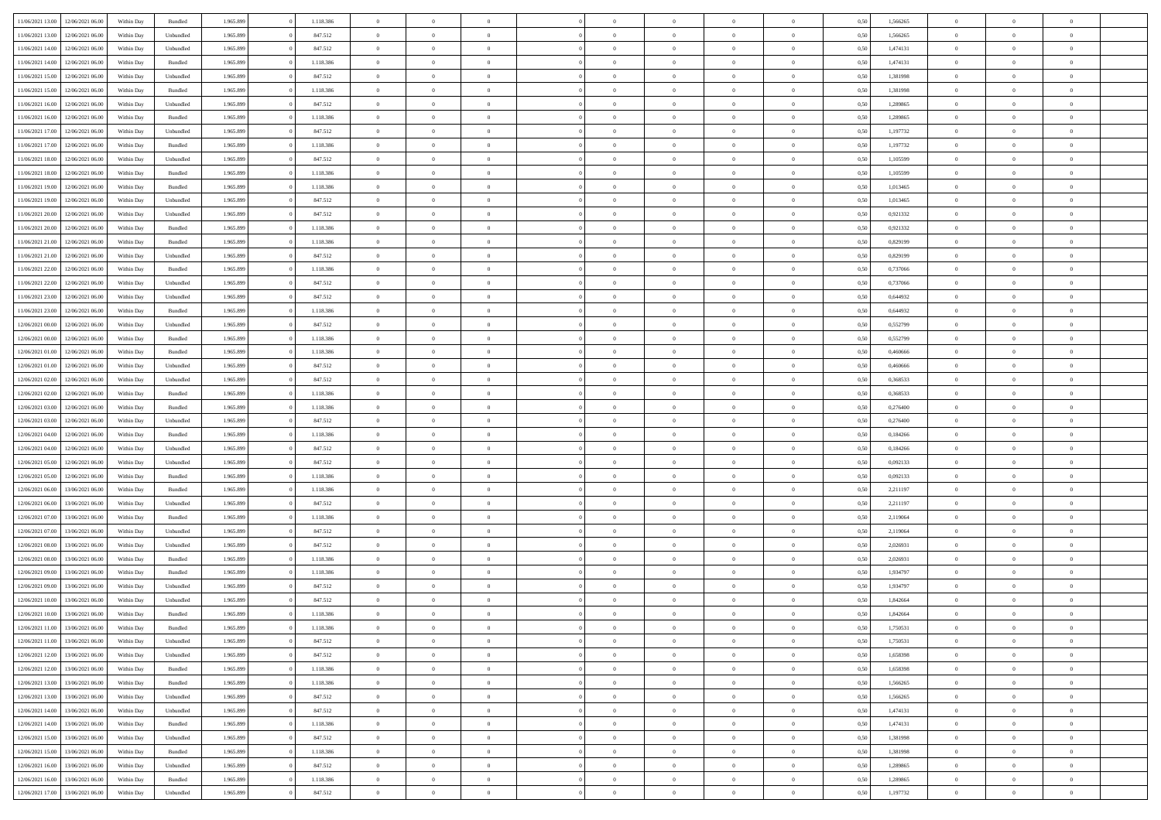| 11/06/2021 13:00                  | 12/06/2021 06:00 | Within Day | Bundled            | 1.965.899 | 1.118.386 | $\overline{0}$ | $\Omega$       |                | $\Omega$       | $\Omega$       | $\theta$       | $\theta$       | 0,50 | 1,566265 | $\theta$       | $\theta$       | $\theta$       |  |
|-----------------------------------|------------------|------------|--------------------|-----------|-----------|----------------|----------------|----------------|----------------|----------------|----------------|----------------|------|----------|----------------|----------------|----------------|--|
|                                   |                  |            |                    |           |           |                |                |                |                |                |                |                |      |          |                |                |                |  |
| 11/06/2021 13:00                  | 12/06/2021 06:00 | Within Day | Unbundled          | 1.965.899 | 847.512   | $\overline{0}$ | $\theta$       | $\overline{0}$ | $\overline{0}$ | $\bf{0}$       | $\overline{0}$ | $\bf{0}$       | 0,50 | 1,566265 | $\theta$       | $\theta$       | $\overline{0}$ |  |
| 11/06/2021 14:00                  | 12/06/2021 06:00 | Within Day | Unbundled          | 1.965.899 | 847.512   | $\overline{0}$ | $\overline{0}$ | $\overline{0}$ | $\overline{0}$ | $\bf{0}$       | $\overline{0}$ | $\mathbf{0}$   | 0,50 | 1,474131 | $\overline{0}$ | $\overline{0}$ | $\overline{0}$ |  |
| 11/06/2021 14:00                  | 12/06/2021 06:00 | Within Dav | Bundled            | 1.965.899 | 1.118.386 | $\overline{0}$ | $\overline{0}$ | $\overline{0}$ | $\overline{0}$ | $\bf{0}$       | $\overline{0}$ | $\overline{0}$ | 0.50 | 1,474131 | $\theta$       | $\theta$       | $\overline{0}$ |  |
| 11/06/2021 15:00                  | 12/06/2021 06:00 | Within Day | Unbundled          | 1.965.899 | 847.512   | $\overline{0}$ | $\theta$       | $\overline{0}$ | $\overline{0}$ | $\bf{0}$       | $\overline{0}$ | $\bf{0}$       | 0,50 | 1,381998 | $\theta$       | $\overline{0}$ | $\overline{0}$ |  |
| 11/06/2021 15:00                  | 12/06/2021 06:00 | Within Day | Bundled            | 1.965.899 | 1.118.386 | $\overline{0}$ | $\bf{0}$       | $\overline{0}$ | $\overline{0}$ | $\overline{0}$ | $\overline{0}$ | $\mathbf{0}$   | 0,50 | 1,381998 | $\overline{0}$ | $\overline{0}$ | $\bf{0}$       |  |
|                                   |                  |            |                    |           |           |                |                |                |                | $\overline{0}$ |                |                |      |          | $\theta$       | $\overline{0}$ | $\overline{0}$ |  |
| 11/06/2021 16:00                  | 12/06/2021 06:00 | Within Dav | Unbundled          | 1.965.899 | 847.512   | $\overline{0}$ | $\overline{0}$ | $\overline{0}$ | $\overline{0}$ |                | $\overline{0}$ | $\overline{0}$ | 0.50 | 1,289865 |                |                |                |  |
| 11/06/2021 16:00                  | 12/06/2021 06:00 | Within Day | Bundled            | 1.965.899 | 1.118.386 | $\overline{0}$ | $\theta$       | $\overline{0}$ | $\overline{0}$ | $\bf{0}$       | $\overline{0}$ | $\bf{0}$       | 0,50 | 1,289865 | $\theta$       | $\theta$       | $\overline{0}$ |  |
| 11/06/2021 17:00                  | 12/06/2021 06:00 | Within Day | Unbundled          | 1.965.899 | 847.512   | $\overline{0}$ | $\overline{0}$ | $\overline{0}$ | $\overline{0}$ | $\bf{0}$       | $\overline{0}$ | $\bf{0}$       | 0,50 | 1,197732 | $\,0\,$        | $\overline{0}$ | $\overline{0}$ |  |
| 11/06/2021 17:00                  | 12/06/2021 06:00 | Within Dav | Bundled            | 1.965.899 | 1.118.386 | $\overline{0}$ | $\overline{0}$ | $\overline{0}$ | $\overline{0}$ | $\overline{0}$ | $\overline{0}$ | $\overline{0}$ | 0.50 | 1,197732 | $\theta$       | $\overline{0}$ | $\overline{0}$ |  |
| 11/06/2021 18:00                  | 12/06/2021 06:00 | Within Day | Unbundled          | 1.965.899 | 847.512   | $\overline{0}$ | $\theta$       | $\overline{0}$ | $\overline{0}$ | $\bf{0}$       | $\overline{0}$ | $\bf{0}$       | 0,50 | 1,105599 | $\,$ 0 $\,$    | $\overline{0}$ | $\overline{0}$ |  |
| 11/06/2021 18:00                  | 12/06/2021 06:00 | Within Day | Bundled            | 1.965.899 | 1.118.386 | $\overline{0}$ | $\overline{0}$ | $\overline{0}$ | $\overline{0}$ | $\bf{0}$       | $\overline{0}$ | $\mathbf{0}$   | 0,50 | 1,105599 | $\overline{0}$ | $\overline{0}$ | $\overline{0}$ |  |
| 11/06/2021 19:00                  | 12/06/2021 06:00 | Within Day | Bundled            | 1.965.899 | 1.118.386 | $\overline{0}$ | $\overline{0}$ | $\overline{0}$ | $\overline{0}$ | $\bf{0}$       | $\overline{0}$ | $\overline{0}$ | 0.50 | 1.013465 | $\theta$       | $\theta$       | $\overline{0}$ |  |
|                                   |                  |            |                    |           |           | $\overline{0}$ | $\theta$       |                |                | $\bf{0}$       |                |                |      |          | $\theta$       | $\overline{0}$ |                |  |
| 11/06/2021 19:00                  | 12/06/2021 06:00 | Within Day | Unbundled          | 1.965.899 | 847.512   |                |                | $\overline{0}$ | $\overline{0}$ |                | $\overline{0}$ | $\bf{0}$       | 0,50 | 1,013465 |                |                | $\overline{0}$ |  |
| 11/06/2021 20:00                  | 12/06/2021 06:00 | Within Day | Unbundled          | 1.965.899 | 847.512   | $\overline{0}$ | $\overline{0}$ | $\overline{0}$ | $\overline{0}$ | $\overline{0}$ | $\overline{0}$ | $\mathbf{0}$   | 0,50 | 0,921332 | $\overline{0}$ | $\overline{0}$ | $\bf{0}$       |  |
| 11/06/2021 20:00                  | 12/06/2021 06:00 | Within Dav | Bundled            | 1.965.899 | 1.118.386 | $\overline{0}$ | $\overline{0}$ | $\overline{0}$ | $\overline{0}$ | $\overline{0}$ | $\overline{0}$ | $\overline{0}$ | 0.50 | 0.921332 | $\theta$       | $\overline{0}$ | $\overline{0}$ |  |
| 11/06/2021 21:00                  | 12/06/2021 06:00 | Within Day | Bundled            | 1.965.899 | 1.118.386 | $\overline{0}$ | $\theta$       | $\overline{0}$ | $\overline{0}$ | $\bf{0}$       | $\overline{0}$ | $\bf{0}$       | 0,50 | 0,829199 | $\,$ 0 $\,$    | $\theta$       | $\overline{0}$ |  |
| 11/06/2021 21:00                  | 12/06/2021 06:00 | Within Day | Unbundled          | 1.965.899 | 847.512   | $\overline{0}$ | $\overline{0}$ | $\overline{0}$ | $\overline{0}$ | $\bf{0}$       | $\overline{0}$ | $\mathbf{0}$   | 0,50 | 0,829199 | $\,0\,$        | $\overline{0}$ | $\overline{0}$ |  |
| 11/06/2021 22:00                  | 12/06/2021 06:00 | Within Day | Bundled            | 1.965.899 | 1.118.386 | $\overline{0}$ | $\overline{0}$ | $\overline{0}$ | $\overline{0}$ | $\overline{0}$ | $\overline{0}$ | $\overline{0}$ | 0.50 | 0,737066 | $\theta$       | $\overline{0}$ | $\overline{0}$ |  |
| 11/06/2021 22:00                  | 12/06/2021 06:00 | Within Day | Unbundled          | 1.965.899 | 847.512   | $\overline{0}$ | $\theta$       | $\overline{0}$ | $\overline{0}$ | $\bf{0}$       | $\overline{0}$ | $\bf{0}$       | 0,50 | 0,737066 | $\,$ 0 $\,$    | $\overline{0}$ | $\overline{0}$ |  |
|                                   |                  |            |                    |           |           |                |                |                |                |                |                |                |      |          |                |                |                |  |
| 11/06/2021 23:00                  | 12/06/2021 06:00 | Within Day | Unbundled          | 1.965.899 | 847.512   | $\overline{0}$ | $\overline{0}$ | $\overline{0}$ | $\bf{0}$       | $\bf{0}$       | $\bf{0}$       | $\bf{0}$       | 0,50 | 0,644932 | $\bf{0}$       | $\overline{0}$ | $\overline{0}$ |  |
| 11/06/2021 23:00                  | 12/06/2021 06:00 | Within Day | Bundled            | 1.965.899 | 1.118.386 | $\overline{0}$ | $\overline{0}$ | $\overline{0}$ | $\overline{0}$ | $\bf{0}$       | $\overline{0}$ | $\overline{0}$ | 0.50 | 0,644932 | $\theta$       | $\overline{0}$ | $\overline{0}$ |  |
| 12/06/2021 00:00                  | 12/06/2021 06:00 | Within Day | Unbundled          | 1.965.899 | 847.512   | $\overline{0}$ | $\theta$       | $\overline{0}$ | $\overline{0}$ | $\bf{0}$       | $\overline{0}$ | $\bf{0}$       | 0,50 | 0,552799 | $\,$ 0 $\,$    | $\overline{0}$ | $\overline{0}$ |  |
| 12/06/2021 00:00                  | 12/06/2021 06:00 | Within Day | Bundled            | 1.965.899 | 1.118.386 | $\overline{0}$ | $\overline{0}$ | $\overline{0}$ | $\bf{0}$       | $\overline{0}$ | $\overline{0}$ | $\mathbf{0}$   | 0,50 | 0,552799 | $\overline{0}$ | $\overline{0}$ | $\bf{0}$       |  |
| 12/06/2021 01:00                  | 12/06/2021 06:00 | Within Dav | Bundled            | 1.965.899 | 1.118.386 | $\overline{0}$ | $\overline{0}$ | $\overline{0}$ | $\overline{0}$ | $\overline{0}$ | $\overline{0}$ | $\overline{0}$ | 0.50 | 0.460666 | $\theta$       | $\overline{0}$ | $\overline{0}$ |  |
| 12/06/2021 01:00                  | 12/06/2021 06:00 | Within Day | Unbundled          | 1.965.899 | 847.512   | $\overline{0}$ | $\theta$       | $\overline{0}$ | $\overline{0}$ | $\bf{0}$       | $\overline{0}$ | $\bf{0}$       | 0,50 | 0,460666 | $\theta$       | $\theta$       | $\overline{0}$ |  |
| 12/06/2021 02:00                  | 12/06/2021 06:00 | Within Day | Unbundled          | 1.965.899 | 847.512   | $\overline{0}$ | $\overline{0}$ | $\overline{0}$ | $\bf{0}$       | $\bf{0}$       | $\bf{0}$       | $\bf{0}$       | 0,50 | 0,368533 | $\,0\,$        | $\overline{0}$ | $\overline{0}$ |  |
| 12/06/2021 02:00                  | 12/06/2021 06:00 |            | Bundled            | 1.965.899 | 1.118.386 | $\overline{0}$ | $\overline{0}$ | $\overline{0}$ | $\overline{0}$ | $\overline{0}$ | $\overline{0}$ | $\overline{0}$ | 0.50 | 0,368533 | $\theta$       | $\overline{0}$ | $\overline{0}$ |  |
|                                   |                  | Within Day |                    |           |           |                |                |                |                |                |                |                |      |          |                |                |                |  |
| 12/06/2021 03:00                  | 12/06/2021 06:00 | Within Day | Bundled            | 1.965.899 | 1.118.386 | $\overline{0}$ | $\theta$       | $\overline{0}$ | $\overline{0}$ | $\bf{0}$       | $\overline{0}$ | $\bf{0}$       | 0,50 | 0,276400 | $\,$ 0 $\,$    | $\overline{0}$ | $\overline{0}$ |  |
| 12/06/2021 03:00                  | 12/06/2021 06:00 | Within Day | Unbundled          | 1.965.899 | 847.512   | $\overline{0}$ | $\overline{0}$ | $\overline{0}$ | $\bf{0}$       | $\bf{0}$       | $\bf{0}$       | $\bf{0}$       | 0,50 | 0,276400 | $\overline{0}$ | $\overline{0}$ | $\overline{0}$ |  |
| 12/06/2021 04:00                  | 12/06/2021 06:00 | Within Day | Bundled            | 1.965.899 | 1.118.386 | $\overline{0}$ | $\Omega$       | $\overline{0}$ | $\Omega$       | $\Omega$       | $\overline{0}$ | $\overline{0}$ | 0,50 | 0,184266 | $\,0\,$        | $\theta$       | $\theta$       |  |
| 12/06/2021 04:00                  | 12/06/2021 06:00 | Within Day | Unbundled          | 1.965.899 | 847.512   | $\overline{0}$ | $\theta$       | $\overline{0}$ | $\overline{0}$ | $\bf{0}$       | $\overline{0}$ | $\bf{0}$       | 0,50 | 0,184266 | $\,$ 0 $\,$    | $\theta$       | $\overline{0}$ |  |
| 12/06/2021 05:00                  | 12/06/2021 06:00 | Within Day | Unbundled          | 1.965.899 | 847.512   | $\overline{0}$ | $\overline{0}$ | $\overline{0}$ | $\bf{0}$       | $\bf{0}$       | $\overline{0}$ | $\mathbf{0}$   | 0,50 | 0,092133 | $\overline{0}$ | $\overline{0}$ | $\bf{0}$       |  |
| 12/06/2021 05:00                  | 12/06/2021 06:00 | Within Day | Bundled            | 1.965.899 | 1.118.386 | $\overline{0}$ | $\Omega$       | $\Omega$       | $\Omega$       | $\bf{0}$       | $\overline{0}$ | $\overline{0}$ | 0.50 | 0.092133 | $\,0\,$        | $\theta$       | $\theta$       |  |
| 12/06/2021 06:00                  | 13/06/2021 06:00 | Within Day | Bundled            | 1.965.899 | 1.118.386 | $\overline{0}$ | $\theta$       | $\overline{0}$ | $\overline{0}$ | $\bf{0}$       | $\overline{0}$ | $\bf{0}$       | 0,50 | 2,211197 | $\,$ 0 $\,$    | $\overline{0}$ | $\overline{0}$ |  |
|                                   |                  |            |                    |           |           |                |                |                |                |                |                |                |      |          |                |                |                |  |
| 12/06/2021 06:00                  | 13/06/2021 06:00 | Within Day | Unbundled          | 1.965.899 | 847.512   | $\overline{0}$ | $\overline{0}$ | $\overline{0}$ | $\bf{0}$       | $\bf{0}$       | $\bf{0}$       | $\bf{0}$       | 0,50 | 2,211197 | $\bf{0}$       | $\overline{0}$ | $\overline{0}$ |  |
| 12/06/2021 07:00                  | 13/06/2021 06:00 | Within Day | Bundled            | 1.965.899 | 1.118.386 | $\overline{0}$ | $\Omega$       | $\overline{0}$ | $\Omega$       | $\overline{0}$ | $\overline{0}$ | $\overline{0}$ | 0.50 | 2,119064 | $\,$ 0 $\,$    | $\theta$       | $\theta$       |  |
| 12/06/2021 07:00                  | 13/06/2021 06:00 | Within Day | Unbundled          | 1.965.899 | 847.512   | $\overline{0}$ | $\theta$       | $\overline{0}$ | $\overline{0}$ | $\,$ 0         | $\overline{0}$ | $\bf{0}$       | 0,50 | 2,119064 | $\,$ 0 $\,$    | $\overline{0}$ | $\overline{0}$ |  |
| 12/06/2021 08:00                  | 13/06/2021 06:00 | Within Day | Unbundled          | 1.965.899 | 847.512   | $\overline{0}$ | $\overline{0}$ | $\overline{0}$ | $\bf{0}$       | $\bf{0}$       | $\bf{0}$       | $\bf{0}$       | 0,50 | 2,026931 | $\overline{0}$ | $\overline{0}$ | $\overline{0}$ |  |
| 12/06/2021 08:00                  | 13/06/2021 06:00 | Within Day | Bundled            | 1.965.899 | 1.118.386 | $\overline{0}$ | $\Omega$       | $\overline{0}$ | $\Omega$       | $\overline{0}$ | $\overline{0}$ | $\overline{0}$ | 0.50 | 2,026931 | $\,0\,$        | $\theta$       | $\theta$       |  |
| 12/06/2021 09:00                  | 13/06/2021 06:00 | Within Day | Bundled            | 1.965.899 | 1.118.386 | $\overline{0}$ | $\theta$       | $\overline{0}$ | $\overline{0}$ | $\,$ 0         | $\overline{0}$ | $\bf{0}$       | 0,50 | 1,934797 | $\,$ 0 $\,$    | $\overline{0}$ | $\overline{0}$ |  |
| 12/06/2021 09:00                  | 13/06/2021 06:00 | Within Day | Unbundled          | 1.965.899 | 847.512   | $\overline{0}$ | $\overline{0}$ | $\overline{0}$ | $\overline{0}$ | $\bf{0}$       | $\overline{0}$ | $\mathbf{0}$   | 0,50 | 1,934797 | $\overline{0}$ | $\overline{0}$ | $\bf{0}$       |  |
|                                   | 13/06/2021 06:00 |            | Unbundled          | 1.965.899 | 847.512   | $\overline{0}$ | $\Omega$       | $\Omega$       | $\Omega$       | $\Omega$       | $\Omega$       | $\overline{0}$ | 0.50 | 1.842664 | $\theta$       | $\theta$       | $\theta$       |  |
| 12/06/2021 10:00                  |                  | Within Day |                    |           |           |                |                |                |                |                |                |                |      |          |                |                |                |  |
| 12/06/2021 10:00                  | 13/06/2021 06:00 | Within Day | Bundled            | 1.965.899 | 1.118.386 | $\overline{0}$ | $\,$ 0 $\,$    | $\overline{0}$ | $\bf{0}$       | $\,$ 0         | $\overline{0}$ | $\bf{0}$       | 0,50 | 1,842664 | $\,0\,$        | $\overline{0}$ | $\overline{0}$ |  |
| 12/06/2021 11:00                  | 13/06/2021 06:00 | Within Day | $\mathbf B$ undled | 1.965.899 | 1.118.386 | $\bf{0}$       | $\bf{0}$       |                |                | $\bf{0}$       |                |                | 0,50 | 1,750531 | $\bf{0}$       | $\overline{0}$ |                |  |
| 12/06/2021 11:00                  | 13/06/2021 06:00 | Within Day | Unbundled          | 1.965.899 | 847.512   | $\overline{0}$ | $\overline{0}$ | $\overline{0}$ | $\Omega$       | $\overline{0}$ | $\overline{0}$ | $\overline{0}$ | 0,50 | 1,750531 | $\theta$       | $\theta$       | $\theta$       |  |
| 12/06/2021 12:00                  | 13/06/2021 06:00 | Within Day | Unbundled          | 1.965.899 | 847.512   | $\overline{0}$ | $\bf{0}$       | $\overline{0}$ | $\overline{0}$ | $\,$ 0 $\,$    | $\overline{0}$ | $\,$ 0 $\,$    | 0,50 | 1,658398 | $\,$ 0 $\,$    | $\,$ 0 $\,$    | $\,$ 0         |  |
| 12/06/2021 12:00                  | 13/06/2021 06:00 | Within Day | Bundled            | 1.965.899 | 1.118.386 | $\overline{0}$ | $\overline{0}$ | $\overline{0}$ | $\overline{0}$ | $\overline{0}$ | $\overline{0}$ | $\mathbf{0}$   | 0,50 | 1,658398 | $\overline{0}$ | $\bf{0}$       | $\overline{0}$ |  |
| 12/06/2021 13:00                  | 13/06/2021 06:00 | Within Day | $\mathbf B$ undled | 1.965.899 | 1.118.386 | $\overline{0}$ | $\overline{0}$ | $\overline{0}$ | $\Omega$       | $\overline{0}$ | $\overline{0}$ | $\overline{0}$ | 0,50 | 1,566265 | $\overline{0}$ | $\overline{0}$ | $\overline{0}$ |  |
| 12/06/2021 13:00                  | 13/06/2021 06:00 | Within Day | Unbundled          | 1.965.899 | 847.512   | $\overline{0}$ | $\,$ 0         | $\overline{0}$ | $\overline{0}$ | $\,$ 0 $\,$    | $\overline{0}$ | $\,$ 0 $\,$    | 0,50 | 1,566265 | $\,$ 0 $\,$    | $\overline{0}$ | $\overline{0}$ |  |
|                                   |                  |            |                    |           |           |                |                |                |                |                |                |                |      |          |                |                |                |  |
| 12/06/2021 14:00                  | 13/06/2021 06:00 | Within Day | Unbundled          | 1.965.899 | 847.512   | $\overline{0}$ | $\overline{0}$ | $\overline{0}$ | $\overline{0}$ | $\overline{0}$ | $\overline{0}$ | $\mathbf{0}$   | 0,50 | 1,474131 | $\overline{0}$ | $\overline{0}$ | $\overline{0}$ |  |
| 12/06/2021 14:00                  | 13/06/2021 06:00 | Within Day | Bundled            | 1.965.899 | 1.118.386 | $\overline{0}$ | $\overline{0}$ | $\overline{0}$ | $\overline{0}$ | $\overline{0}$ | $\overline{0}$ | $\bf{0}$       | 0.50 | 1,474131 | $\overline{0}$ | $\theta$       | $\overline{0}$ |  |
| 12/06/2021 15:00                  | 13/06/2021 06:00 | Within Day | Unbundled          | 1.965.899 | 847.512   | $\overline{0}$ | $\,$ 0         | $\overline{0}$ | $\overline{0}$ | $\bf{0}$       | $\overline{0}$ | $\bf{0}$       | 0,50 | 1,381998 | $\,$ 0 $\,$    | $\overline{0}$ | $\overline{0}$ |  |
| 12/06/2021 15:00                  | 13/06/2021 06:00 | Within Day | Bundled            | 1.965.899 | 1.118.386 | $\overline{0}$ | $\bf{0}$       | $\overline{0}$ | $\overline{0}$ | $\overline{0}$ | $\overline{0}$ | $\mathbf{0}$   | 0,50 | 1,381998 | $\overline{0}$ | $\overline{0}$ | $\bf{0}$       |  |
| 12/06/2021 16:00                  | 13/06/2021 06:00 | Within Day | Unbundled          | 1.965.899 | 847.512   | $\overline{0}$ | $\overline{0}$ | $\overline{0}$ | $\Omega$       | $\overline{0}$ | $\overline{0}$ | $\overline{0}$ | 0.50 | 1,289865 | $\overline{0}$ | $\overline{0}$ | $\overline{0}$ |  |
| 12/06/2021 16:00                  | 13/06/2021 06:00 | Within Day | Bundled            | 1.965.899 | 1.118.386 | $\overline{0}$ | $\bf{0}$       | $\overline{0}$ | $\bf{0}$       | $\bf{0}$       | $\overline{0}$ | $\mathbf{0}$   | 0,50 | 1,289865 | $\,$ 0 $\,$    | $\,$ 0 $\,$    | $\bf{0}$       |  |
| 12/06/2021 17:00 13/06/2021 06:00 |                  | Within Day | Unbundled          | 1.965.899 | 847.512   | $\overline{0}$ | $\overline{0}$ | $\overline{0}$ | $\overline{0}$ | $\overline{0}$ | $\overline{0}$ | $\mathbf{0}$   | 0,50 | 1,197732 | $\overline{0}$ | $\bf{0}$       | $\overline{0}$ |  |
|                                   |                  |            |                    |           |           |                |                |                |                |                |                |                |      |          |                |                |                |  |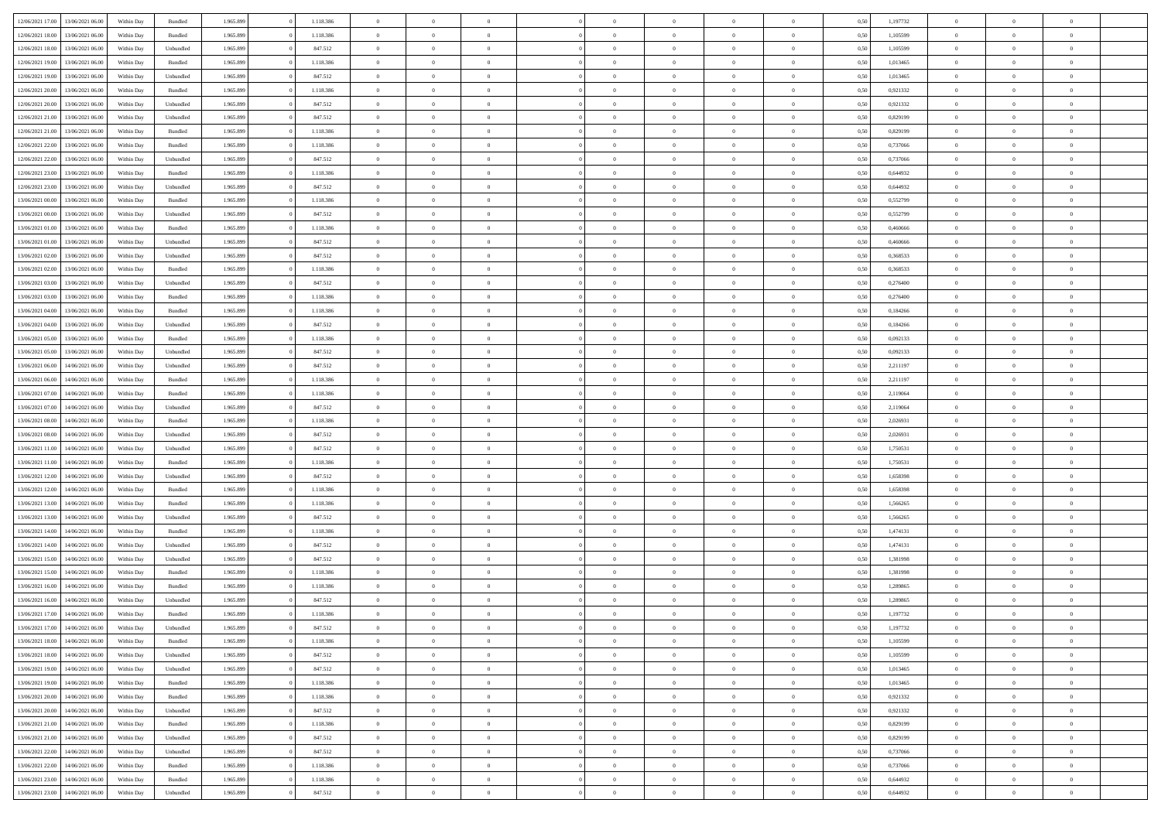| 12/06/2021 17:00 | 13/06/2021 06:00 | Within Day | Bundled            | 1.965.899 | 1.118.386 | $\overline{0}$ | $\theta$       |                | $\Omega$       | $\Omega$       | $\theta$       | $\theta$       | 0,50 | 1,197732 | $\theta$       | $\overline{0}$ | $\theta$       |  |
|------------------|------------------|------------|--------------------|-----------|-----------|----------------|----------------|----------------|----------------|----------------|----------------|----------------|------|----------|----------------|----------------|----------------|--|
|                  |                  |            |                    |           |           |                |                |                |                |                |                |                |      |          |                |                |                |  |
| 12/06/2021 18:00 | 13/06/2021 06:00 | Within Day | Bundled            | 1.965.899 | 1.118.386 | $\overline{0}$ | $\theta$       | $\overline{0}$ | $\overline{0}$ | $\bf{0}$       | $\overline{0}$ | $\bf{0}$       | 0,50 | 1,105599 | $\theta$       | $\overline{0}$ | $\overline{0}$ |  |
| 12/06/2021 18:00 | 13/06/2021 06:00 | Within Day | Unbundled          | 1.965.899 | 847.512   | $\overline{0}$ | $\bf{0}$       | $\overline{0}$ | $\bf{0}$       | $\bf{0}$       | $\bf{0}$       | $\mathbf{0}$   | 0,50 | 1,105599 | $\overline{0}$ | $\overline{0}$ | $\overline{0}$ |  |
| 12/06/2021 19:00 | 13/06/2021 06:00 | Within Dav | Bundled            | 1.965.899 | 1.118.386 | $\overline{0}$ | $\overline{0}$ | $\overline{0}$ | $\overline{0}$ | $\bf{0}$       | $\overline{0}$ | $\overline{0}$ | 0.50 | 1,013465 | $\theta$       | $\overline{0}$ | $\overline{0}$ |  |
| 12/06/2021 19:00 | 13/06/2021 06:00 | Within Day | Unbundled          | 1.965.899 | 847.512   | $\overline{0}$ | $\theta$       | $\overline{0}$ | $\overline{0}$ | $\bf{0}$       | $\overline{0}$ | $\bf{0}$       | 0,50 | 1,013465 | $\,$ 0 $\,$    | $\overline{0}$ | $\overline{0}$ |  |
| 12/06/2021 20:00 | 13/06/2021 06:00 | Within Day | Bundled            | 1.965.899 | 1.118.386 | $\overline{0}$ | $\overline{0}$ | $\overline{0}$ | $\bf{0}$       | $\overline{0}$ | $\overline{0}$ | $\mathbf{0}$   | 0,50 | 0,921332 | $\overline{0}$ | $\overline{0}$ | $\bf{0}$       |  |
|                  |                  |            |                    |           |           |                | $\overline{0}$ |                |                | $\overline{0}$ |                |                |      |          | $\theta$       | $\overline{0}$ | $\overline{0}$ |  |
| 12/06/2021 20:00 | 13/06/2021 06:00 | Within Dav | Unbundled          | 1.965.899 | 847.512   | $\overline{0}$ |                | $\overline{0}$ | $\overline{0}$ |                | $\overline{0}$ | $\overline{0}$ | 0.50 | 0.921332 |                |                |                |  |
| 12/06/2021 21:00 | 13/06/2021 06:00 | Within Day | Unbundled          | 1.965.899 | 847.512   | $\overline{0}$ | $\theta$       | $\overline{0}$ | $\overline{0}$ | $\bf{0}$       | $\overline{0}$ | $\bf{0}$       | 0,50 | 0,829199 | $\,$ 0 $\,$    | $\theta$       | $\overline{0}$ |  |
| 12/06/2021 21:00 | 13/06/2021 06:00 | Within Day | Bundled            | 1.965.899 | 1.118.386 | $\overline{0}$ | $\overline{0}$ | $\overline{0}$ | $\bf{0}$       | $\bf{0}$       | $\bf{0}$       | $\mathbf{0}$   | 0,50 | 0,829199 | $\,0\,$        | $\overline{0}$ | $\overline{0}$ |  |
| 12/06/2021 22:00 | 13/06/2021 06:00 | Within Dav | Bundled            | 1.965.899 | 1.118.386 | $\overline{0}$ | $\overline{0}$ | $\overline{0}$ | $\overline{0}$ | $\overline{0}$ | $\overline{0}$ | $\overline{0}$ | 0.50 | 0,737066 | $\theta$       | $\overline{0}$ | $\overline{0}$ |  |
| 12/06/2021 22:00 | 13/06/2021 06:00 | Within Day | Unbundled          | 1.965.899 | 847.512   | $\overline{0}$ | $\theta$       | $\overline{0}$ | $\overline{0}$ | $\bf{0}$       | $\overline{0}$ | $\bf{0}$       | 0,50 | 0,737066 | $\,$ 0 $\,$    | $\overline{0}$ | $\overline{0}$ |  |
| 12/06/2021 23:00 | 13/06/2021 06:00 | Within Day | Bundled            | 1.965.899 | 1.118.386 | $\overline{0}$ | $\overline{0}$ | $\overline{0}$ | $\bf{0}$       | $\bf{0}$       | $\bf{0}$       | $\mathbf{0}$   | 0,50 | 0,644932 | $\overline{0}$ | $\overline{0}$ | $\bf{0}$       |  |
| 12/06/2021 23:00 | 13/06/2021 06:00 | Within Day | Unbundled          | 1.965.899 | 847.512   | $\overline{0}$ | $\overline{0}$ | $\overline{0}$ | $\overline{0}$ | $\overline{0}$ | $\overline{0}$ | $\overline{0}$ | 0.50 | 0,644932 | $\theta$       | $\theta$       | $\overline{0}$ |  |
| 13/06/2021 00:00 | 13/06/2021 06:00 |            |                    | 1.965.899 | 1.118.386 | $\overline{0}$ | $\theta$       | $\overline{0}$ | $\overline{0}$ | $\bf{0}$       | $\overline{0}$ |                |      | 0,552799 | $\,$ 0 $\,$    | $\overline{0}$ | $\overline{0}$ |  |
|                  |                  | Within Day | Bundled            |           |           |                |                |                |                |                |                | $\bf{0}$       | 0,50 |          |                |                |                |  |
| 13/06/2021 00:00 | 13/06/2021 06:00 | Within Day | Unbundled          | 1.965.899 | 847.512   | $\overline{0}$ | $\overline{0}$ | $\overline{0}$ | $\bf{0}$       | $\overline{0}$ | $\overline{0}$ | $\mathbf{0}$   | 0,50 | 0,552799 | $\overline{0}$ | $\overline{0}$ | $\bf{0}$       |  |
| 13/06/2021 01:00 | 13/06/2021 06:00 | Within Dav | Bundled            | 1.965.899 | 1.118.386 | $\overline{0}$ | $\overline{0}$ | $\overline{0}$ | $\overline{0}$ | $\overline{0}$ | $\overline{0}$ | $\overline{0}$ | 0.50 | 0.460666 | $\overline{0}$ | $\overline{0}$ | $\overline{0}$ |  |
| 13/06/2021 01:00 | 13/06/2021 06:00 | Within Day | Unbundled          | 1.965.899 | 847.512   | $\overline{0}$ | $\theta$       | $\overline{0}$ | $\overline{0}$ | $\bf{0}$       | $\overline{0}$ | $\bf{0}$       | 0,50 | 0,460666 | $\,$ 0 $\,$    | $\overline{0}$ | $\overline{0}$ |  |
| 13/06/2021 02:00 | 13/06/2021 06:00 | Within Day | Unbundled          | 1.965.899 | 847.512   | $\overline{0}$ | $\overline{0}$ | $\overline{0}$ | $\bf{0}$       | $\bf{0}$       | $\bf{0}$       | $\mathbf{0}$   | 0,50 | 0,368533 | $\bf{0}$       | $\overline{0}$ | $\bf{0}$       |  |
| 13/06/2021 02:00 | 13/06/2021 06:00 | Within Day | Bundled            | 1.965.899 | 1.118.386 | $\overline{0}$ | $\overline{0}$ | $\overline{0}$ | $\overline{0}$ | $\overline{0}$ | $\overline{0}$ | $\overline{0}$ | 0.50 | 0,368533 | $\theta$       | $\overline{0}$ | $\overline{0}$ |  |
| 13/06/2021 03:00 | 13/06/2021 06:00 | Within Day | Unbundled          | 1.965.899 | 847.512   | $\overline{0}$ | $\theta$       | $\overline{0}$ | $\overline{0}$ | $\bf{0}$       | $\overline{0}$ | $\bf{0}$       | 0,50 | 0,276400 | $\,$ 0 $\,$    | $\overline{0}$ | $\overline{0}$ |  |
| 13/06/2021 03:00 | 13/06/2021 06:00 | Within Day | Bundled            | 1.965.899 | 1.118.386 | $\overline{0}$ | $\overline{0}$ | $\overline{0}$ | $\overline{0}$ | $\bf{0}$       | $\overline{0}$ | $\mathbf{0}$   | 0,50 | 0,276400 | $\overline{0}$ | $\overline{0}$ | $\bf{0}$       |  |
| 13/06/2021 04:00 | 13/06/2021 06:00 | Within Day | Bundled            | 1.965.899 | 1.118.386 | $\overline{0}$ | $\overline{0}$ | $\overline{0}$ | $\overline{0}$ | $\overline{0}$ | $\overline{0}$ | $\overline{0}$ | 0.50 | 0.184266 | $\theta$       | $\overline{0}$ | $\overline{0}$ |  |
|                  |                  |            |                    |           |           |                |                |                |                |                |                |                |      |          |                |                |                |  |
| 13/06/2021 04:00 | 13/06/2021 06:00 | Within Day | Unbundled          | 1.965.899 | 847.512   | $\overline{0}$ | $\theta$       | $\overline{0}$ | $\overline{0}$ | $\bf{0}$       | $\overline{0}$ | $\,$ 0 $\,$    | 0,50 | 0,184266 | $\,$ 0 $\,$    | $\overline{0}$ | $\overline{0}$ |  |
| 13/06/2021 05:00 | 13/06/2021 06:00 | Within Day | Bundled            | 1.965.899 | 1.118.386 | $\overline{0}$ | $\overline{0}$ | $\overline{0}$ | $\overline{0}$ | $\overline{0}$ | $\overline{0}$ | $\mathbf{0}$   | 0,50 | 0,092133 | $\overline{0}$ | $\overline{0}$ | $\bf{0}$       |  |
| 13/06/2021 05:00 | 13/06/2021 06:00 | Within Day | Unbundled          | 1.965.899 | 847.512   | $\overline{0}$ | $\overline{0}$ | $\overline{0}$ | $\overline{0}$ | $\overline{0}$ | $\overline{0}$ | $\overline{0}$ | 0.50 | 0,092133 | $\theta$       | $\overline{0}$ | $\overline{0}$ |  |
| 13/06/2021 06:00 | 14/06/2021 06:00 | Within Day | Unbundled          | 1.965.899 | 847.512   | $\overline{0}$ | $\theta$       | $\overline{0}$ | $\overline{0}$ | $\bf{0}$       | $\overline{0}$ | $\bf{0}$       | 0,50 | 2,211197 | $\,$ 0 $\,$    | $\overline{0}$ | $\overline{0}$ |  |
| 13/06/2021 06:00 | 14/06/2021 06:00 | Within Day | Bundled            | 1.965.899 | 1.118.386 | $\overline{0}$ | $\overline{0}$ | $\overline{0}$ | $\overline{0}$ | $\bf{0}$       | $\overline{0}$ | $\mathbf{0}$   | 0,50 | 2,211197 | $\,0\,$        | $\overline{0}$ | $\overline{0}$ |  |
| 13/06/2021 07:00 | 14/06/2021 06:00 | Within Day | Bundled            | 1.965.899 | 1.118.386 | $\overline{0}$ | $\overline{0}$ | $\overline{0}$ | $\overline{0}$ | $\overline{0}$ | $\overline{0}$ | $\overline{0}$ | 0.50 | 2,119064 | $\theta$       | $\overline{0}$ | $\overline{0}$ |  |
| 13/06/2021 07:00 | 14/06/2021 06:00 | Within Day | Unbundled          | 1.965.899 | 847.512   | $\overline{0}$ | $\overline{0}$ | $\overline{0}$ | $\overline{0}$ | $\,$ 0         | $\overline{0}$ | $\bf{0}$       | 0,50 | 2,119064 | $\,$ 0 $\,$    | $\overline{0}$ | $\overline{0}$ |  |
|                  |                  |            |                    |           |           |                |                |                |                |                |                |                |      |          |                |                |                |  |
| 13/06/2021 08:00 | 14/06/2021 06:00 | Within Day | Bundled            | 1.965.899 | 1.118.386 | $\overline{0}$ | $\overline{0}$ | $\overline{0}$ | $\overline{0}$ | $\overline{0}$ | $\overline{0}$ | $\mathbf{0}$   | 0,50 | 2,026931 | $\overline{0}$ | $\overline{0}$ | $\bf{0}$       |  |
| 13/06/2021 08:00 | 14/06/2021 06:00 | Within Day | Unbundled          | 1.965.899 | 847.512   | $\overline{0}$ | $\theta$       | $\overline{0}$ | $\Omega$       | $\bf{0}$       | $\overline{0}$ | $\overline{0}$ | 0,50 | 2,026931 | $\,0\,$        | $\theta$       | $\theta$       |  |
| 13/06/2021 11:00 | 14/06/2021 06:00 | Within Day | Unbundled          | 1.965.899 | 847.512   | $\overline{0}$ | $\overline{0}$ | $\overline{0}$ | $\overline{0}$ | $\bf{0}$       | $\overline{0}$ | $\bf{0}$       | 0,50 | 1,750531 | $\,$ 0 $\,$    | $\overline{0}$ | $\overline{0}$ |  |
| 13/06/2021 11:00 | 14/06/2021 06:00 | Within Day | Bundled            | 1.965.899 | 1.118.386 | $\overline{0}$ | $\overline{0}$ | $\overline{0}$ | $\bf{0}$       | $\overline{0}$ | $\overline{0}$ | $\mathbf{0}$   | 0,50 | 1,750531 | $\overline{0}$ | $\overline{0}$ | $\bf{0}$       |  |
| 13/06/2021 12:00 | 14/06/2021 06:00 | Within Day | Unbundled          | 1.965.899 | 847.512   | $\overline{0}$ | $\overline{0}$ | $\overline{0}$ | $\Omega$       | $\overline{0}$ | $\overline{0}$ | $\overline{0}$ | 0.50 | 1,658398 | $\,0\,$        | $\theta$       | $\overline{0}$ |  |
| 13/06/2021 12:00 | 14/06/2021 06:00 | Within Day | Bundled            | 1.965.899 | 1.118.386 | $\overline{0}$ | $\theta$       | $\overline{0}$ | $\overline{0}$ | $\,$ 0         | $\overline{0}$ | $\bf{0}$       | 0,50 | 1,658398 | $\,$ 0 $\,$    | $\overline{0}$ | $\overline{0}$ |  |
| 13/06/2021 13:00 | 14/06/2021 06:00 | Within Day | Bundled            | 1.965.899 | 1.118.386 | $\overline{0}$ | $\bf{0}$       | $\overline{0}$ | $\bf{0}$       | $\bf{0}$       | $\bf{0}$       | $\mathbf{0}$   | 0,50 | 1,566265 | $\bf{0}$       | $\overline{0}$ | $\bf{0}$       |  |
| 13/06/2021 13:00 | 14/06/2021 06:00 | Within Day | Unbundled          | 1.965.899 | 847.512   | $\overline{0}$ | $\overline{0}$ | $\overline{0}$ | $\Omega$       | $\overline{0}$ | $\overline{0}$ | $\overline{0}$ | 0.50 | 1.566265 | $\,$ 0 $\,$    | $\theta$       | $\theta$       |  |
| 13/06/2021 14:00 | 14/06/2021 06:00 |            | Bundled            | 1.965.899 | 1.118.386 | $\overline{0}$ | $\,$ 0         | $\overline{0}$ | $\overline{0}$ | $\,$ 0         | $\overline{0}$ |                |      | 1,474131 | $\,$ 0 $\,$    | $\overline{0}$ | $\overline{0}$ |  |
|                  |                  | Within Day |                    |           |           |                |                |                |                |                |                | $\bf{0}$       | 0,50 |          |                |                |                |  |
| 13/06/2021 14:00 | 14/06/2021 06:00 | Within Day | Unbundled          | 1.965.899 | 847.512   | $\overline{0}$ | $\overline{0}$ | $\overline{0}$ | $\bf{0}$       | $\bf{0}$       | $\overline{0}$ | $\mathbf{0}$   | 0,50 | 1,474131 | $\overline{0}$ | $\overline{0}$ | $\bf{0}$       |  |
| 13/06/2021 15:00 | 14/06/2021 06:00 | Within Day | Unbundled          | 1.965.899 | 847.512   | $\overline{0}$ | $\theta$       | $\overline{0}$ | $\Omega$       | $\bf{0}$       | $\overline{0}$ | $\overline{0}$ | 0,50 | 1,381998 | $\,0\,$        | $\theta$       | $\overline{0}$ |  |
| 13/06/2021 15:00 | 14/06/2021 06:00 | Within Day | Bundled            | 1.965.899 | 1.118.386 | $\overline{0}$ | $\overline{0}$ | $\overline{0}$ | $\overline{0}$ | $\,$ 0         | $\overline{0}$ | $\bf{0}$       | 0,50 | 1,381998 | $\,$ 0 $\,$    | $\overline{0}$ | $\overline{0}$ |  |
| 13/06/2021 16:00 | 14/06/2021 06:00 | Within Day | Bundled            | 1.965.899 | 1.118.386 | $\overline{0}$ | $\overline{0}$ | $\overline{0}$ | $\bf{0}$       | $\bf{0}$       | $\overline{0}$ | $\mathbf{0}$   | 0,50 | 1,289865 | $\overline{0}$ | $\overline{0}$ | $\bf{0}$       |  |
| 13/06/2021 16:00 | 14/06/2021 06.00 | Within Day | Unbundled          | 1.965.899 | 847.512   | $\overline{0}$ | $\Omega$       | $\Omega$       | $\Omega$       | $\Omega$       | $\overline{0}$ | $\overline{0}$ | 0.50 | 1,289865 | $\,0\,$        | $\theta$       | $\theta$       |  |
| 13/06/2021 17:00 | 14/06/2021 06:00 | Within Day | Bundled            | 1.965.899 | 1.118.386 | $\overline{0}$ | $\overline{0}$ | $\overline{0}$ | $\bf{0}$       | $\,$ 0         | $\bf{0}$       | $\bf{0}$       | 0,50 | 1,197732 | $\,0\,$        | $\,$ 0 $\,$    | $\overline{0}$ |  |
| 13/06/2021 17:00 | 14/06/2021 06:00 | Within Day | Unbundled          | 1.965.899 | 847.512   | $\bf{0}$       | $\bf{0}$       |                |                | $\bf{0}$       |                |                | 0,50 | 1,197732 | $\bf{0}$       | $\overline{0}$ |                |  |
| 13/06/2021 18:00 | 14/06/2021 06:00 |            | Bundled            | 1.965.899 | 1.118.386 | $\overline{0}$ | $\overline{0}$ | $\overline{0}$ | $\Omega$       | $\overline{0}$ | $\overline{0}$ | $\overline{0}$ |      | 1.105599 | $\theta$       | $\theta$       | $\Omega$       |  |
|                  |                  | Within Day |                    |           |           |                |                |                |                |                |                |                | 0,50 |          |                |                |                |  |
| 13/06/2021 18:00 | 14/06/2021 06:00 | Within Day | Unbundled          | 1.965.899 | 847.512   | $\overline{0}$ | $\,$ 0         | $\overline{0}$ | $\bf{0}$       | $\,$ 0 $\,$    | $\overline{0}$ | $\,$ 0 $\,$    | 0,50 | 1,105599 | $\,$ 0 $\,$    | $\,$ 0 $\,$    | $\,$ 0         |  |
| 13/06/2021 19:00 | 14/06/2021 06:00 | Within Day | Unbundled          | 1.965.899 | 847.512   | $\overline{0}$ | $\overline{0}$ | $\overline{0}$ | $\overline{0}$ | $\overline{0}$ | $\overline{0}$ | $\mathbf{0}$   | 0,50 | 1,013465 | $\overline{0}$ | $\bf{0}$       | $\bf{0}$       |  |
| 13/06/2021 19:00 | 14/06/2021 06:00 | Within Day | $\mathbf B$ undled | 1.965.899 | 1.118.386 | $\overline{0}$ | $\overline{0}$ | $\overline{0}$ | $\Omega$       | $\overline{0}$ | $\overline{0}$ | $\overline{0}$ | 0,50 | 1,013465 | $\overline{0}$ | $\theta$       | $\overline{0}$ |  |
| 13/06/2021 20:00 | 14/06/2021 06:00 | Within Day | Bundled            | 1.965.899 | 1.118.386 | $\overline{0}$ | $\,$ 0         | $\overline{0}$ | $\overline{0}$ | $\,$ 0 $\,$    | $\overline{0}$ | $\mathbf{0}$   | 0,50 | 0,921332 | $\,$ 0 $\,$    | $\overline{0}$ | $\overline{0}$ |  |
| 13/06/2021 20:00 | 14/06/2021 06:00 | Within Day | Unbundled          | 1.965.899 | 847.512   | $\overline{0}$ | $\overline{0}$ | $\overline{0}$ | $\overline{0}$ | $\overline{0}$ | $\overline{0}$ | $\mathbf{0}$   | 0,50 | 0,921332 | $\overline{0}$ | $\overline{0}$ | $\bf{0}$       |  |
| 13/06/2021 21:00 | 14/06/2021 06:00 | Within Day | Bundled            | 1.965.899 | 1.118.386 | $\overline{0}$ | $\overline{0}$ | $\overline{0}$ | $\Omega$       | $\overline{0}$ | $\overline{0}$ | $\bf{0}$       | 0.50 | 0,829199 | $\overline{0}$ | $\theta$       | $\overline{0}$ |  |
| 13/06/2021 21:00 | 14/06/2021 06:00 | Within Day | Unbundled          | 1.965.899 | 847.512   | $\overline{0}$ | $\,$ 0         | $\overline{0}$ | $\bf{0}$       | $\bf{0}$       | $\bf{0}$       | $\bf{0}$       | 0,50 | 0,829199 | $\,$ 0 $\,$    | $\overline{0}$ | $\overline{0}$ |  |
|                  | 14/06/2021 06:00 | Within Day | Unbundled          | 1.965.899 | 847.512   | $\overline{0}$ | $\bf{0}$       | $\overline{0}$ | $\overline{0}$ | $\overline{0}$ | $\overline{0}$ | $\mathbf{0}$   | 0,50 | 0,737066 | $\overline{0}$ | $\overline{0}$ | $\bf{0}$       |  |
| 13/06/2021 22:00 |                  |            |                    |           |           |                |                |                |                |                |                |                |      |          |                |                |                |  |
| 13/06/2021 22:00 | 14/06/2021 06:00 | Within Day | Bundled            | 1.965.899 | 1.118.386 | $\overline{0}$ | $\overline{0}$ | $\overline{0}$ | $\Omega$       | $\overline{0}$ | $\overline{0}$ | $\bf{0}$       | 0.50 | 0,737066 | $\overline{0}$ | $\overline{0}$ | $\overline{0}$ |  |
| 13/06/2021 23:00 | 14/06/2021 06:00 | Within Day | Bundled            | 1.965.899 | 1.118.386 | $\overline{0}$ | $\bf{0}$       | $\overline{0}$ | $\bf{0}$       | $\bf{0}$       | $\bf{0}$       | $\mathbf{0}$   | 0,50 | 0,644932 | $\,$ 0 $\,$    | $\,$ 0 $\,$    | $\bf{0}$       |  |
| 13/06/2021 23:00 | 14/06/2021 06:00 | Within Day | Unbundled          | 1.965.899 | 847.512   | $\overline{0}$ | $\overline{0}$ | $\overline{0}$ | $\overline{0}$ | $\overline{0}$ | $\overline{0}$ | $\mathbf{0}$   | 0,50 | 0,644932 | $\overline{0}$ | $\bf{0}$       | $\bf{0}$       |  |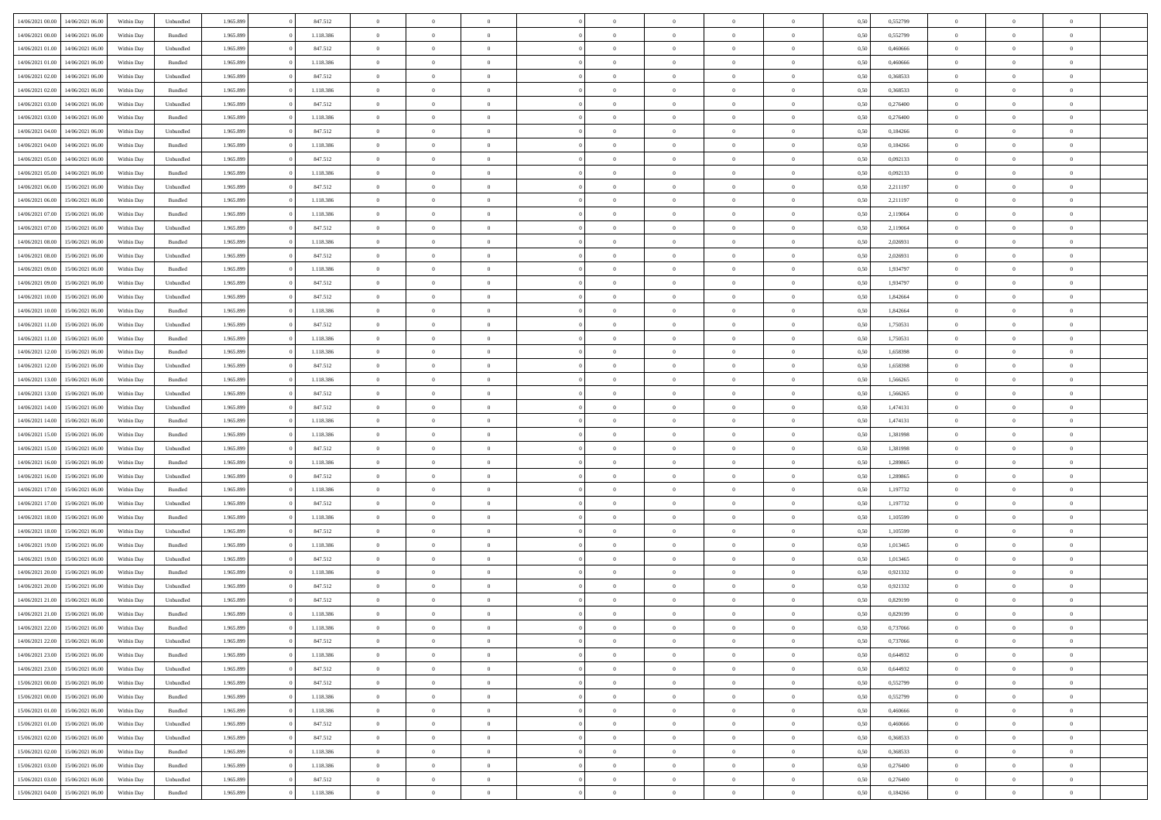| 14/06/2021 00:00 | 14/06/2021 06:00 | Within Dav | Unbundled          | 1.965.899 | 847.512   | $\overline{0}$ | $\theta$       |                | $\Omega$       | $\Omega$       | $\theta$       | $\theta$       | 0,50 | 0,552799 | $\theta$       | $\theta$       | $\theta$       |  |
|------------------|------------------|------------|--------------------|-----------|-----------|----------------|----------------|----------------|----------------|----------------|----------------|----------------|------|----------|----------------|----------------|----------------|--|
| 14/06/2021 00:00 | 14/06/2021 06:00 | Within Day | Bundled            | 1.965.899 | 1.118.386 | $\overline{0}$ | $\theta$       | $\overline{0}$ | $\overline{0}$ | $\bf{0}$       | $\overline{0}$ | $\bf{0}$       | 0,50 | 0,552799 | $\theta$       | $\overline{0}$ | $\overline{0}$ |  |
| 14/06/2021 01:00 | 14/06/2021 06:00 | Within Day | Unbundled          | 1.965.899 | 847.512   | $\overline{0}$ | $\bf{0}$       | $\overline{0}$ | $\overline{0}$ | $\bf{0}$       | $\overline{0}$ | $\mathbf{0}$   | 0,50 | 0,460666 | $\overline{0}$ | $\overline{0}$ | $\bf{0}$       |  |
|                  |                  |            |                    |           |           |                |                |                |                |                |                |                |      |          | $\theta$       |                |                |  |
| 14/06/2021 01:00 | 14/06/2021 06:00 | Within Dav | Bundled            | 1.965.899 | 1.118.386 | $\overline{0}$ | $\overline{0}$ | $\overline{0}$ | $\overline{0}$ | $\bf{0}$       | $\overline{0}$ | $\overline{0}$ | 0.50 | 0.460666 |                | $\theta$       | $\overline{0}$ |  |
| 14/06/2021 02:00 | 14/06/2021 06:00 | Within Day | Unbundled          | 1.965.899 | 847.512   | $\overline{0}$ | $\theta$       | $\overline{0}$ | $\overline{0}$ | $\bf{0}$       | $\overline{0}$ | $\bf{0}$       | 0,50 | 0,368533 | $\,$ 0 $\,$    | $\overline{0}$ | $\overline{0}$ |  |
| 14/06/2021 02:00 | 14/06/2021 06:00 | Within Day | Bundled            | 1.965.899 | 1.118.386 | $\overline{0}$ | $\overline{0}$ | $\overline{0}$ | $\overline{0}$ | $\overline{0}$ | $\overline{0}$ | $\mathbf{0}$   | 0,50 | 0,368533 | $\overline{0}$ | $\overline{0}$ | $\bf{0}$       |  |
| 14/06/2021 03:00 | 14/06/2021 06:00 | Within Dav | Unbundled          | 1.965.899 | 847.512   | $\overline{0}$ | $\overline{0}$ | $\overline{0}$ | $\overline{0}$ | $\overline{0}$ | $\overline{0}$ | $\overline{0}$ | 0.50 | 0,276400 | $\theta$       | $\overline{0}$ | $\overline{0}$ |  |
|                  |                  |            |                    |           |           |                |                |                |                |                |                |                |      |          |                |                |                |  |
| 14/06/2021 03:00 | 14/06/2021 06:00 | Within Day | Bundled            | 1.965.899 | 1.118.386 | $\overline{0}$ | $\theta$       | $\overline{0}$ | $\overline{0}$ | $\bf{0}$       | $\overline{0}$ | $\bf{0}$       | 0,50 | 0,276400 | $\theta$       | $\theta$       | $\overline{0}$ |  |
| 14/06/2021 04:00 | 14/06/2021 06:00 | Within Day | Unbundled          | 1.965.899 | 847.512   | $\overline{0}$ | $\overline{0}$ | $\overline{0}$ | $\overline{0}$ | $\bf{0}$       | $\overline{0}$ | $\mathbf{0}$   | 0,50 | 0,184266 | $\,0\,$        | $\overline{0}$ | $\overline{0}$ |  |
| 14/06/2021 04:00 | 14/06/2021 06:00 | Within Dav | Bundled            | 1.965.899 | 1.118.386 | $\overline{0}$ | $\overline{0}$ | $\overline{0}$ | $\overline{0}$ | $\overline{0}$ | $\overline{0}$ | $\overline{0}$ | 0.50 | 0,184266 | $\theta$       | $\overline{0}$ | $\overline{0}$ |  |
| 14/06/2021 05:00 | 14/06/2021 06:00 | Within Day | Unbundled          | 1.965.899 | 847.512   | $\overline{0}$ | $\theta$       | $\overline{0}$ | $\overline{0}$ | $\bf{0}$       | $\overline{0}$ | $\bf{0}$       | 0,50 | 0,092133 | $\,$ 0 $\,$    | $\overline{0}$ | $\overline{0}$ |  |
|                  |                  |            |                    |           |           |                |                |                |                |                |                |                |      |          |                |                |                |  |
| 14/06/2021 05:00 | 14/06/2021 06:00 | Within Day | Bundled            | 1.965.899 | 1.118.386 | $\overline{0}$ | $\overline{0}$ | $\overline{0}$ | $\overline{0}$ | $\bf{0}$       | $\overline{0}$ | $\mathbf{0}$   | 0,50 | 0,092133 | $\overline{0}$ | $\overline{0}$ | $\bf{0}$       |  |
| 14/06/2021 06:00 | 15/06/2021 06:00 | Within Day | Unbundled          | 1.965.899 | 847.512   | $\overline{0}$ | $\overline{0}$ | $\overline{0}$ | $\overline{0}$ | $\bf{0}$       | $\overline{0}$ | $\overline{0}$ | 0.50 | 2.211197 | $\theta$       | $\theta$       | $\overline{0}$ |  |
| 14/06/2021 06:00 | 15/06/2021 06:00 | Within Day | Bundled            | 1.965.899 | 1.118.386 | $\overline{0}$ | $\theta$       | $\overline{0}$ | $\overline{0}$ | $\bf{0}$       | $\overline{0}$ | $\bf{0}$       | 0,50 | 2,211197 | $\,$ 0 $\,$    | $\overline{0}$ | $\overline{0}$ |  |
| 14/06/2021 07:00 | 15/06/2021 06:00 | Within Day | Bundled            | 1.965.899 | 1.118.386 | $\overline{0}$ | $\overline{0}$ | $\overline{0}$ | $\overline{0}$ | $\overline{0}$ | $\overline{0}$ | $\mathbf{0}$   | 0,50 | 2,119064 | $\overline{0}$ | $\overline{0}$ | $\bf{0}$       |  |
| 14/06/2021 07:00 | 15/06/2021 06:00 | Within Dav | Unbundled          | 1.965.899 | 847.512   | $\overline{0}$ | $\overline{0}$ | $\overline{0}$ | $\overline{0}$ | $\overline{0}$ | $\overline{0}$ | $\overline{0}$ | 0.50 | 2,119064 | $\overline{0}$ | $\overline{0}$ | $\overline{0}$ |  |
|                  |                  |            |                    |           |           |                |                |                |                |                |                |                |      |          |                |                |                |  |
| 14/06/2021 08:00 | 15/06/2021 06:00 | Within Day | Bundled            | 1.965.899 | 1.118.386 | $\overline{0}$ | $\theta$       | $\overline{0}$ | $\overline{0}$ | $\bf{0}$       | $\overline{0}$ | $\bf{0}$       | 0,50 | 2,026931 | $\,$ 0 $\,$    | $\overline{0}$ | $\overline{0}$ |  |
| 14/06/2021 08:00 | 15/06/2021 06:00 | Within Day | Unbundled          | 1.965.899 | 847.512   | $\overline{0}$ | $\overline{0}$ | $\overline{0}$ | $\bf{0}$       | $\bf{0}$       | $\bf{0}$       | $\mathbf{0}$   | 0,50 | 2,026931 | $\bf{0}$       | $\overline{0}$ | $\bf{0}$       |  |
| 14/06/2021 09:00 | 15/06/2021 06:00 | Within Day | Bundled            | 1.965.899 | 1.118.386 | $\overline{0}$ | $\overline{0}$ | $\overline{0}$ | $\overline{0}$ | $\overline{0}$ | $\overline{0}$ | $\overline{0}$ | 0.50 | 1,934797 | $\theta$       | $\overline{0}$ | $\overline{0}$ |  |
| 14/06/2021 09:00 | 15/06/2021 06:00 | Within Day | Unbundled          | 1.965.899 | 847.512   | $\overline{0}$ | $\theta$       | $\overline{0}$ | $\overline{0}$ | $\bf{0}$       | $\overline{0}$ | $\bf{0}$       | 0,50 | 1,934797 | $\,$ 0 $\,$    | $\overline{0}$ | $\overline{0}$ |  |
|                  |                  |            |                    |           |           |                |                |                |                |                |                |                |      |          |                |                |                |  |
| 14/06/2021 10:00 | 15/06/2021 06:00 | Within Day | Unbundled          | 1.965.899 | 847.512   | $\overline{0}$ | $\overline{0}$ | $\overline{0}$ | $\bf{0}$       | $\bf{0}$       | $\bf{0}$       | $\mathbf{0}$   | 0,50 | 1,842664 | $\overline{0}$ | $\overline{0}$ | $\bf{0}$       |  |
| 14/06/2021 10:00 | 15/06/2021 06:00 | Within Day | Bundled            | 1.965.899 | 1.118.386 | $\overline{0}$ | $\overline{0}$ | $\overline{0}$ | $\overline{0}$ | $\overline{0}$ | $\overline{0}$ | $\overline{0}$ | 0.50 | 1.842664 | $\theta$       | $\overline{0}$ | $\overline{0}$ |  |
| 14/06/2021 11:00 | 15/06/2021 06:00 | Within Day | Unbundled          | 1.965.899 | 847.512   | $\overline{0}$ | $\theta$       | $\overline{0}$ | $\overline{0}$ | $\bf{0}$       | $\overline{0}$ | $\bf{0}$       | 0,50 | 1,750531 | $\,$ 0 $\,$    | $\overline{0}$ | $\overline{0}$ |  |
| 14/06/2021 11:00 | 15/06/2021 06:00 | Within Day | Bundled            | 1.965.899 | 1.118.386 | $\overline{0}$ | $\overline{0}$ | $\overline{0}$ | $\bf{0}$       | $\overline{0}$ | $\overline{0}$ | $\mathbf{0}$   | 0,50 | 1,750531 | $\overline{0}$ | $\overline{0}$ | $\bf{0}$       |  |
| 14/06/2021 12:00 | 15/06/2021 06:00 | Within Dav | Bundled            | 1.965.899 | 1.118.386 | $\overline{0}$ | $\overline{0}$ | $\overline{0}$ | $\overline{0}$ | $\overline{0}$ | $\overline{0}$ | $\overline{0}$ | 0.50 | 1,658398 | $\overline{0}$ | $\overline{0}$ | $\overline{0}$ |  |
|                  |                  |            |                    |           |           |                |                |                |                |                |                |                |      |          |                |                |                |  |
| 14/06/2021 12:00 | 15/06/2021 06:00 | Within Day | Unbundled          | 1.965.899 | 847.512   | $\overline{0}$ | $\theta$       | $\overline{0}$ | $\overline{0}$ | $\bf{0}$       | $\overline{0}$ | $\bf{0}$       | 0,50 | 1,658398 | $\,$ 0 $\,$    | $\overline{0}$ | $\overline{0}$ |  |
| 14/06/2021 13:00 | 15/06/2021 06:00 | Within Day | Bundled            | 1.965.899 | 1.118.386 | $\overline{0}$ | $\overline{0}$ | $\overline{0}$ | $\bf{0}$       | $\bf{0}$       | $\bf{0}$       | $\mathbf{0}$   | 0,50 | 1,566265 | $\,0\,$        | $\overline{0}$ | $\overline{0}$ |  |
| 14/06/2021 13:00 | 15/06/2021 06:00 | Within Day | Unbundled          | 1.965.899 | 847.512   | $\overline{0}$ | $\overline{0}$ | $\overline{0}$ | $\overline{0}$ | $\overline{0}$ | $\overline{0}$ | $\overline{0}$ | 0.50 | 1,566265 | $\theta$       | $\overline{0}$ | $\overline{0}$ |  |
| 14/06/2021 14:00 | 15/06/2021 06:00 | Within Day | Unbundled          | 1.965.899 | 847.512   | $\overline{0}$ | $\overline{0}$ | $\overline{0}$ | $\overline{0}$ | $\bf{0}$       | $\overline{0}$ | $\bf{0}$       | 0,50 | 1,474131 | $\,$ 0 $\,$    | $\overline{0}$ | $\overline{0}$ |  |
|                  |                  |            |                    |           |           |                |                |                |                |                |                |                |      |          |                |                |                |  |
| 14/06/2021 14:00 | 15/06/2021 06:00 | Within Day | Bundled            | 1.965.899 | 1.118.386 | $\overline{0}$ | $\overline{0}$ | $\overline{0}$ | $\bf{0}$       | $\bf{0}$       | $\bf{0}$       | $\bf{0}$       | 0,50 | 1,474131 | $\overline{0}$ | $\overline{0}$ | $\bf{0}$       |  |
| 14/06/2021 15:00 | 15/06/2021 06:00 | Within Day | Bundled            | 1.965.899 | 1.118.386 | $\overline{0}$ | $\Omega$       | $\overline{0}$ | $\Omega$       | $\Omega$       | $\overline{0}$ | $\overline{0}$ | 0,50 | 1,381998 | $\,0\,$        | $\theta$       | $\theta$       |  |
| 14/06/2021 15:00 | 15/06/2021 06:00 | Within Day | Unbundled          | 1.965.899 | 847.512   | $\overline{0}$ | $\theta$       | $\overline{0}$ | $\overline{0}$ | $\bf{0}$       | $\overline{0}$ | $\bf{0}$       | 0,50 | 1,381998 | $\,$ 0 $\,$    | $\overline{0}$ | $\overline{0}$ |  |
| 14/06/2021 16:00 | 15/06/2021 06:00 | Within Day | Bundled            | 1.965.899 | 1.118.386 | $\overline{0}$ | $\overline{0}$ | $\overline{0}$ | $\bf{0}$       | $\overline{0}$ | $\overline{0}$ | $\mathbf{0}$   | 0,50 | 1,289865 | $\overline{0}$ | $\overline{0}$ | $\bf{0}$       |  |
|                  |                  |            |                    |           |           | $\overline{0}$ | $\Omega$       | $\Omega$       | $\Omega$       | $\overline{0}$ | $\overline{0}$ | $\overline{0}$ | 0.50 |          | $\,0\,$        | $\theta$       | $\theta$       |  |
| 14/06/2021 16:00 | 15/06/2021 06:00 | Within Day | Unbundled          | 1.965.899 | 847.512   |                |                |                |                |                |                |                |      | 1,289865 |                |                |                |  |
| 14/06/2021 17:00 | 15/06/2021 06:00 | Within Day | Bundled            | 1.965.899 | 1.118.386 | $\overline{0}$ | $\theta$       | $\overline{0}$ | $\overline{0}$ | $\bf{0}$       | $\overline{0}$ | $\bf{0}$       | 0,50 | 1,197732 | $\,$ 0 $\,$    | $\overline{0}$ | $\overline{0}$ |  |
| 14/06/2021 17:00 | 15/06/2021 06:00 | Within Day | Unbundled          | 1.965.899 | 847.512   | $\overline{0}$ | $\overline{0}$ | $\overline{0}$ | $\overline{0}$ | $\bf{0}$       | $\overline{0}$ | $\mathbf{0}$   | 0,50 | 1,197732 | $\bf{0}$       | $\overline{0}$ | $\bf{0}$       |  |
| 14/06/2021 18:00 | 15/06/2021 06:00 | Within Day | Bundled            | 1.965.899 | 1.118.386 | $\overline{0}$ | $\Omega$       | $\overline{0}$ | $\Omega$       | $\overline{0}$ | $\overline{0}$ | $\overline{0}$ | 0.50 | 1.105599 | $\,$ 0 $\,$    | $\theta$       | $\theta$       |  |
| 14/06/2021 18:00 | 15/06/2021 06:00 | Within Day | Unbundled          | 1.965.899 | 847.512   | $\overline{0}$ | $\overline{0}$ | $\overline{0}$ | $\overline{0}$ | $\,$ 0         | $\overline{0}$ | $\bf{0}$       | 0,50 | 1,105599 | $\,$ 0 $\,$    | $\overline{0}$ | $\overline{0}$ |  |
|                  |                  |            |                    |           |           |                |                |                |                |                |                |                |      |          |                |                |                |  |
| 14/06/2021 19:00 | 15/06/2021 06:00 | Within Day | Bundled            | 1.965.899 | 1.118.386 | $\overline{0}$ | $\overline{0}$ | $\overline{0}$ | $\overline{0}$ | $\bf{0}$       | $\overline{0}$ | $\mathbf{0}$   | 0,50 | 1,013465 | $\overline{0}$ | $\overline{0}$ | $\bf{0}$       |  |
| 14/06/2021 19:00 | 15/06/2021 06:00 | Within Day | Unbundled          | 1.965.899 | 847.512   | $\overline{0}$ | $\Omega$       | $\overline{0}$ | $\Omega$       | $\overline{0}$ | $\overline{0}$ | $\overline{0}$ | 0,50 | 1,013465 | $\,0\,$        | $\theta$       | $\theta$       |  |
| 14/06/2021 20:00 | 15/06/2021 06:00 | Within Day | Bundled            | 1.965.899 | 1.118.386 | $\overline{0}$ | $\overline{0}$ | $\overline{0}$ | $\overline{0}$ | $\,$ 0         | $\overline{0}$ | $\bf{0}$       | 0,50 | 0,921332 | $\,$ 0 $\,$    | $\overline{0}$ | $\overline{0}$ |  |
| 14/06/2021 20:00 | 15/06/2021 06:00 | Within Day | Unbundled          | 1.965.899 | 847.512   | $\overline{0}$ | $\overline{0}$ | $\overline{0}$ | $\overline{0}$ | $\bf{0}$       | $\overline{0}$ | $\mathbf{0}$   | 0,50 | 0,921332 | $\overline{0}$ | $\overline{0}$ | $\bf{0}$       |  |
| 14/06/2021 21:00 | 15/06/2021 06:00 | Within Day | Unbundled          | 1.965.899 | 847.512   | $\overline{0}$ | $\Omega$       | $\Omega$       | $\Omega$       | $\Omega$       | $\Omega$       | $\overline{0}$ | 0.50 | 0,829199 | $\theta$       | $\theta$       | $\theta$       |  |
|                  |                  |            |                    |           |           |                |                |                |                |                |                |                |      |          |                |                |                |  |
| 14/06/2021 21:00 | 15/06/2021 06:00 | Within Day | Bundled            | 1.965.899 | 1.118.386 | $\overline{0}$ | $\overline{0}$ | $\overline{0}$ | $\bf{0}$       | $\,$ 0         | $\overline{0}$ | $\bf{0}$       | 0,50 | 0,829199 | $\,0\,$        | $\,$ 0 $\,$    | $\overline{0}$ |  |
| 14/06/2021 22:00 | 15/06/2021 06:00 | Within Day | $\mathbf B$ undled | 1.965.899 | 1.118.386 | $\overline{0}$ | $\bf{0}$       |                |                | $\bf{0}$       |                |                | 0,50 | 0,737066 | $\bf{0}$       | $\overline{0}$ |                |  |
| 14/06/2021 22.00 | 15/06/2021 06:00 | Within Day | Unbundled          | 1.965.899 | 847.512   | $\overline{0}$ | $\overline{0}$ | $\overline{0}$ | $\Omega$       | $\overline{0}$ | $\overline{0}$ | $\overline{0}$ | 0,50 | 0,737066 | $\theta$       | $\theta$       | $\theta$       |  |
| 14/06/2021 23:00 | 15/06/2021 06:00 | Within Day | Bundled            | 1.965.899 | 1.118.386 | $\overline{0}$ | $\,$ 0         | $\overline{0}$ | $\overline{0}$ | $\,$ 0 $\,$    | $\overline{0}$ | $\,$ 0 $\,$    | 0,50 | 0,644932 | $\,$ 0 $\,$    | $\,$ 0 $\,$    | $\,$ 0         |  |
|                  |                  |            |                    |           |           |                |                |                |                |                |                |                |      |          |                |                |                |  |
| 14/06/2021 23:00 | 15/06/2021 06:00 | Within Day | Unbundled          | 1.965.899 | 847.512   | $\overline{0}$ | $\overline{0}$ | $\overline{0}$ | $\overline{0}$ | $\overline{0}$ | $\overline{0}$ | $\mathbf{0}$   | 0,50 | 0,644932 | $\overline{0}$ | $\bf{0}$       | $\bf{0}$       |  |
| 15/06/2021 00:00 | 15/06/2021 06:00 | Within Day | Unbundled          | 1.965.899 | 847.512   | $\overline{0}$ | $\overline{0}$ | $\overline{0}$ | $\Omega$       | $\overline{0}$ | $\overline{0}$ | $\overline{0}$ | 0,50 | 0,552799 | $\overline{0}$ | $\theta$       | $\overline{0}$ |  |
| 15/06/2021 00:00 | 15/06/2021 06:00 | Within Day | Bundled            | 1.965.899 | 1.118.386 | $\overline{0}$ | $\,$ 0         | $\overline{0}$ | $\overline{0}$ | $\,$ 0 $\,$    | $\overline{0}$ | $\mathbf{0}$   | 0,50 | 0,552799 | $\,$ 0 $\,$    | $\overline{0}$ | $\overline{0}$ |  |
| 15/06/2021 01:00 | 15/06/2021 06:00 | Within Day | Bundled            | 1.965.899 | 1.118.386 | $\overline{0}$ | $\overline{0}$ | $\overline{0}$ | $\overline{0}$ | $\overline{0}$ | $\overline{0}$ | $\mathbf{0}$   | 0,50 | 0,460666 | $\overline{0}$ | $\overline{0}$ | $\bf{0}$       |  |
|                  |                  |            |                    |           |           |                | $\overline{0}$ | $\overline{0}$ | $\Omega$       | $\overline{0}$ | $\overline{0}$ |                | 0.50 | 0.460666 |                | $\theta$       | $\overline{0}$ |  |
| 15/06/2021 01:00 | 15/06/2021 06:00 | Within Day | Unbundled          | 1.965.899 | 847.512   | $\overline{0}$ |                |                |                |                |                | $\bf{0}$       |      |          | $\overline{0}$ |                |                |  |
| 15/06/2021 02:00 | 15/06/2021 06:00 | Within Day | Unbundled          | 1.965.899 | 847.512   | $\overline{0}$ | $\,$ 0         | $\overline{0}$ | $\overline{0}$ | $\bf{0}$       | $\overline{0}$ | $\bf{0}$       | 0,50 | 0,368533 | $\,$ 0 $\,$    | $\overline{0}$ | $\overline{0}$ |  |
| 15/06/2021 02:00 | 15/06/2021 06:00 | Within Day | Bundled            | 1.965.899 | 1.118.386 | $\overline{0}$ | $\bf{0}$       | $\overline{0}$ | $\overline{0}$ | $\overline{0}$ | $\overline{0}$ | $\mathbf{0}$   | 0,50 | 0,368533 | $\overline{0}$ | $\overline{0}$ | $\bf{0}$       |  |
| 15/06/2021 03:00 | 15/06/2021 06:00 | Within Day | Bundled            | 1.965.899 | 1.118.386 | $\overline{0}$ | $\overline{0}$ | $\overline{0}$ | $\Omega$       | $\overline{0}$ | $\overline{0}$ | $\overline{0}$ | 0.50 | 0,276400 | $\overline{0}$ | $\overline{0}$ | $\overline{0}$ |  |
| 15/06/2021 03:00 | 15/06/2021 06:00 | Within Day | Unbundled          | 1.965.899 | 847.512   | $\overline{0}$ | $\bf{0}$       | $\overline{0}$ | $\bf{0}$       | $\bf{0}$       | $\bf{0}$       | $\mathbf{0}$   | 0,50 | 0,276400 | $\,$ 0 $\,$    | $\,$ 0 $\,$    | $\bf{0}$       |  |
|                  |                  |            |                    |           |           |                |                |                |                |                |                |                |      |          |                |                |                |  |
| 15/06/2021 04:00 | 15/06/2021 06:00 | Within Day | Bundled            | 1.965.899 | 1.118.386 | $\overline{0}$ | $\overline{0}$ | $\overline{0}$ | $\overline{0}$ | $\overline{0}$ | $\bf{0}$       | $\mathbf{0}$   | 0,50 | 0,184266 | $\overline{0}$ | $\bf{0}$       | $\bf{0}$       |  |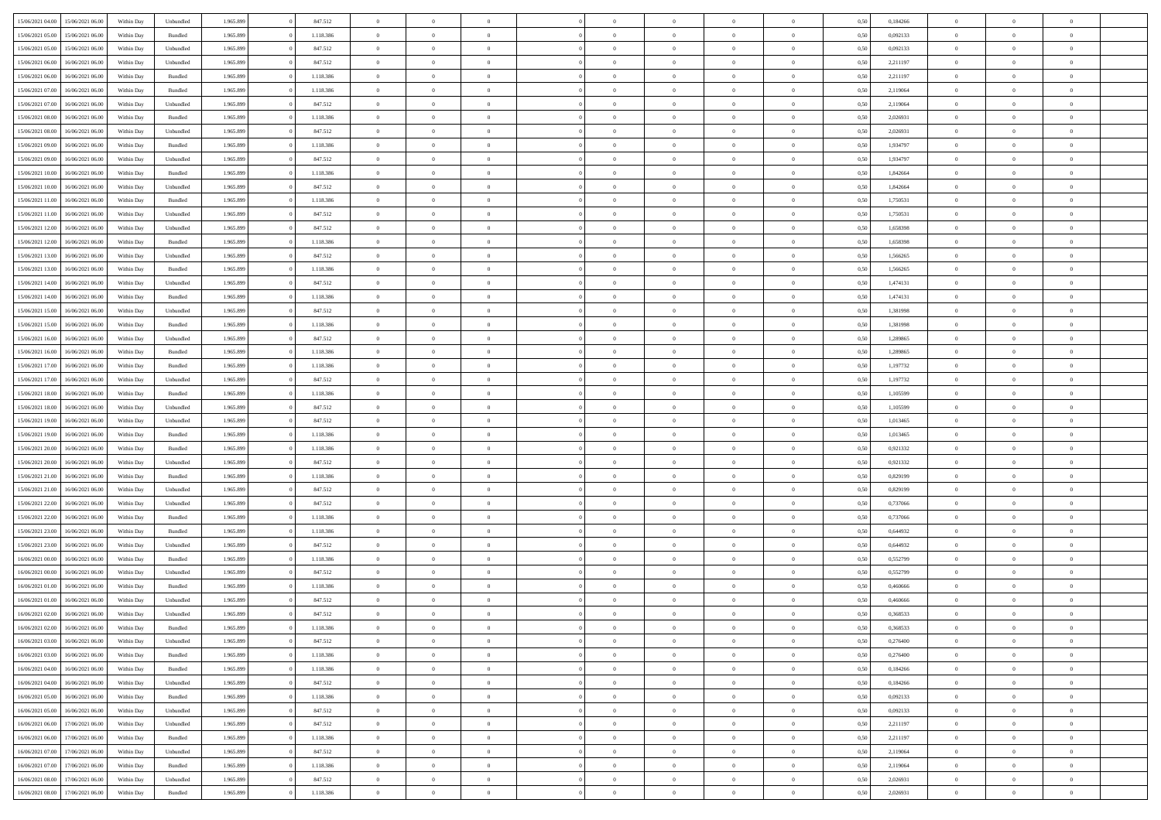|                                   |                  |            |                    |           |           | $\overline{0}$ | $\Omega$       |                |                | $\Omega$       | $\Omega$       | $\theta$       |      |          | $\theta$       |                | $\theta$       |  |
|-----------------------------------|------------------|------------|--------------------|-----------|-----------|----------------|----------------|----------------|----------------|----------------|----------------|----------------|------|----------|----------------|----------------|----------------|--|
| 15/06/2021 04:00                  | 15/06/2021 06:00 | Within Dav | Unbundled          | 1.965.899 | 847.512   |                |                |                | $\Omega$       |                |                |                | 0,50 | 0,184266 |                | $\theta$       |                |  |
| 15/06/2021 05:00                  | 15/06/2021 06:00 | Within Day | Bundled            | 1.965.899 | 1.118.386 | $\overline{0}$ | $\theta$       | $\overline{0}$ | $\overline{0}$ | $\bf{0}$       | $\overline{0}$ | $\bf{0}$       | 0,50 | 0,092133 | $\theta$       | $\theta$       | $\overline{0}$ |  |
| 15/06/2021 05:00                  | 15/06/2021 06:00 | Within Day | Unbundled          | 1.965.899 | 847.512   | $\overline{0}$ | $\overline{0}$ | $\overline{0}$ | $\bf{0}$       | $\bf{0}$       | $\bf{0}$       | $\mathbf{0}$   | 0,50 | 0,092133 | $\bf{0}$       | $\overline{0}$ | $\overline{0}$ |  |
| 15/06/2021 06:00                  | 16/06/2021 06:00 | Within Day | Unbundled          | 1.965.899 | 847.512   | $\overline{0}$ | $\overline{0}$ | $\overline{0}$ | $\overline{0}$ | $\bf{0}$       | $\overline{0}$ | $\overline{0}$ | 0.50 | 2.211197 | $\theta$       | $\theta$       | $\overline{0}$ |  |
| 15/06/2021 06:00                  | 16/06/2021 06:00 | Within Day | Bundled            | 1.965.899 | 1.118.386 | $\overline{0}$ | $\theta$       | $\overline{0}$ | $\overline{0}$ | $\bf{0}$       | $\overline{0}$ | $\bf{0}$       | 0,50 | 2,211197 | $\,$ 0 $\,$    | $\overline{0}$ | $\overline{0}$ |  |
|                                   |                  |            |                    |           |           |                |                |                |                |                |                |                |      |          |                |                |                |  |
| 15/06/2021 07:00                  | 16/06/2021 06:00 | Within Day | Bundled            | 1.965.899 | 1.118.386 | $\overline{0}$ | $\bf{0}$       | $\overline{0}$ | $\bf{0}$       | $\overline{0}$ | $\overline{0}$ | $\mathbf{0}$   | 0,50 | 2,119064 | $\overline{0}$ | $\overline{0}$ | $\bf{0}$       |  |
| 15/06/2021 07:00                  | 16/06/2021 06:00 | Within Dav | Unbundled          | 1.965.899 | 847.512   | $\overline{0}$ | $\overline{0}$ | $\overline{0}$ | $\overline{0}$ | $\overline{0}$ | $\overline{0}$ | $\overline{0}$ | 0.50 | 2,119064 | $\theta$       | $\overline{0}$ | $\overline{0}$ |  |
| 15/06/2021 08:00                  | 16/06/2021 06:00 | Within Day | Bundled            | 1.965.899 | 1.118.386 | $\overline{0}$ | $\theta$       | $\overline{0}$ | $\overline{0}$ | $\bf{0}$       | $\overline{0}$ | $\bf{0}$       | 0,50 | 2,026931 | $\theta$       | $\theta$       | $\overline{0}$ |  |
| 15/06/2021 08:00                  | 16/06/2021 06:00 | Within Day | Unbundled          | 1.965.899 | 847.512   | $\overline{0}$ | $\overline{0}$ | $\overline{0}$ | $\bf{0}$       | $\bf{0}$       | $\bf{0}$       | $\mathbf{0}$   | 0,50 | 2,026931 | $\,0\,$        | $\overline{0}$ | $\overline{0}$ |  |
| 15/06/2021 09:00                  | 16/06/2021 06:00 | Within Dav | Bundled            | 1.965.899 | 1.118.386 | $\overline{0}$ | $\overline{0}$ | $\overline{0}$ | $\overline{0}$ | $\overline{0}$ | $\overline{0}$ | $\overline{0}$ | 0.50 | 1,934797 | $\theta$       | $\overline{0}$ | $\overline{0}$ |  |
| 15/06/2021 09:00                  | 16/06/2021 06:00 | Within Day | Unbundled          | 1.965.899 | 847.512   | $\overline{0}$ | $\theta$       | $\overline{0}$ | $\overline{0}$ | $\bf{0}$       | $\overline{0}$ | $\bf{0}$       | 0,50 | 1,934797 | $\,$ 0 $\,$    | $\overline{0}$ | $\overline{0}$ |  |
|                                   |                  |            |                    |           |           |                | $\overline{0}$ |                |                | $\bf{0}$       |                |                |      |          |                | $\overline{0}$ | $\overline{0}$ |  |
| 15/06/2021 10:00                  | 16/06/2021 06:00 | Within Day | Bundled            | 1.965.899 | 1.118.386 | $\overline{0}$ |                | $\overline{0}$ | $\bf{0}$       |                | $\bf{0}$       | $\mathbf{0}$   | 0,50 | 1,842664 | $\overline{0}$ |                |                |  |
| 15/06/2021 10:00                  | 16/06/2021 06:00 | Within Day | Unbundled          | 1.965.899 | 847.512   | $\overline{0}$ | $\overline{0}$ | $\overline{0}$ | $\overline{0}$ | $\bf{0}$       | $\overline{0}$ | $\overline{0}$ | 0.50 | 1.842664 | $\theta$       | $\theta$       | $\overline{0}$ |  |
| 15/06/2021 11:00                  | 16/06/2021 06:00 | Within Day | Bundled            | 1.965.899 | 1.118.386 | $\overline{0}$ | $\theta$       | $\overline{0}$ | $\overline{0}$ | $\bf{0}$       | $\overline{0}$ | $\bf{0}$       | 0,50 | 1,750531 | $\theta$       | $\theta$       | $\overline{0}$ |  |
| 15/06/2021 11:00                  | 16/06/2021 06:00 | Within Day | Unbundled          | 1.965.899 | 847.512   | $\overline{0}$ | $\overline{0}$ | $\overline{0}$ | $\bf{0}$       | $\overline{0}$ | $\overline{0}$ | $\mathbf{0}$   | 0,50 | 1,750531 | $\overline{0}$ | $\overline{0}$ | $\bf{0}$       |  |
| 15/06/2021 12:00                  | 16/06/2021 06:00 | Within Dav | Unbundled          | 1.965.899 | 847.512   | $\overline{0}$ | $\overline{0}$ | $\overline{0}$ | $\overline{0}$ | $\overline{0}$ | $\overline{0}$ | $\overline{0}$ | 0.50 | 1,658398 | $\theta$       | $\overline{0}$ | $\overline{0}$ |  |
| 15/06/2021 12:00                  | 16/06/2021 06:00 | Within Day | Bundled            | 1.965.899 | 1.118.386 | $\overline{0}$ | $\theta$       | $\overline{0}$ | $\overline{0}$ | $\bf{0}$       | $\overline{0}$ | $\bf{0}$       | 0,50 | 1,658398 | $\theta$       | $\theta$       | $\overline{0}$ |  |
| 15/06/2021 13:00                  | 16/06/2021 06:00 | Within Day | Unbundled          | 1.965.899 | 847.512   | $\overline{0}$ | $\overline{0}$ | $\overline{0}$ | $\bf{0}$       | $\bf{0}$       | $\bf{0}$       | $\mathbf{0}$   | 0,50 | 1,566265 | $\,0\,$        | $\overline{0}$ | $\overline{0}$ |  |
| 15/06/2021 13:00                  | 16/06/2021 06:00 |            | Bundled            | 1.965.899 | 1.118.386 | $\overline{0}$ | $\overline{0}$ | $\overline{0}$ | $\overline{0}$ | $\overline{0}$ | $\overline{0}$ | $\overline{0}$ | 0.50 | 1,566265 | $\theta$       | $\overline{0}$ | $\overline{0}$ |  |
|                                   |                  | Within Day |                    |           |           |                |                |                |                |                |                |                |      |          |                |                |                |  |
| 15/06/2021 14:00                  | 16/06/2021 06:00 | Within Day | Unbundled          | 1.965.899 | 847.512   | $\overline{0}$ | $\theta$       | $\overline{0}$ | $\overline{0}$ | $\bf{0}$       | $\overline{0}$ | $\bf{0}$       | 0,50 | 1,474131 | $\,$ 0 $\,$    | $\theta$       | $\overline{0}$ |  |
| 15/06/2021 14:00                  | 16/06/2021 06:00 | Within Day | Bundled            | 1.965.899 | 1.118.386 | $\overline{0}$ | $\overline{0}$ | $\overline{0}$ | $\bf{0}$       | $\bf{0}$       | $\bf{0}$       | $\mathbf{0}$   | 0,50 | 1,474131 | $\bf{0}$       | $\overline{0}$ | $\overline{0}$ |  |
| 15/06/2021 15:00                  | 16/06/2021 06:00 | Within Day | Unbundled          | 1.965.899 | 847.512   | $\overline{0}$ | $\overline{0}$ | $\overline{0}$ | $\overline{0}$ | $\bf{0}$       | $\overline{0}$ | $\overline{0}$ | 0.50 | 1,381998 | $\theta$       | $\overline{0}$ | $\overline{0}$ |  |
| 15/06/2021 15:00                  | 16/06/2021 06:00 | Within Day | Bundled            | 1.965.899 | 1.118.386 | $\overline{0}$ | $\theta$       | $\overline{0}$ | $\overline{0}$ | $\bf{0}$       | $\overline{0}$ | $\bf{0}$       | 0,50 | 1,381998 | $\,$ 0 $\,$    | $\overline{0}$ | $\overline{0}$ |  |
| 15/06/2021 16:00                  | 16/06/2021 06:00 | Within Day | Unbundled          | 1.965.899 | 847.512   | $\overline{0}$ | $\bf{0}$       | $\overline{0}$ | $\overline{0}$ | $\overline{0}$ | $\overline{0}$ | $\mathbf{0}$   | 0,50 | 1,289865 | $\overline{0}$ | $\overline{0}$ | $\bf{0}$       |  |
| 15/06/2021 16:00                  | 16/06/2021 06:00 | Within Dav | Bundled            | 1.965.899 | 1.118.386 | $\overline{0}$ | $\overline{0}$ | $\overline{0}$ | $\overline{0}$ | $\overline{0}$ | $\overline{0}$ | $\overline{0}$ | 0.50 | 1,289865 | $\theta$       | $\overline{0}$ | $\overline{0}$ |  |
| 15/06/2021 17:00                  | 16/06/2021 06:00 | Within Day | Bundled            | 1.965.899 | 1.118.386 | $\overline{0}$ | $\theta$       | $\overline{0}$ | $\overline{0}$ | $\bf{0}$       | $\overline{0}$ | $\bf{0}$       | 0,50 | 1,197732 | $\theta$       | $\theta$       | $\overline{0}$ |  |
|                                   |                  |            |                    |           |           |                |                |                |                |                |                |                |      |          |                |                |                |  |
| 15/06/2021 17:00                  | 16/06/2021 06:00 | Within Day | Unbundled          | 1.965.899 | 847.512   | $\overline{0}$ | $\overline{0}$ | $\overline{0}$ | $\overline{0}$ | $\bf{0}$       | $\overline{0}$ | $\bf{0}$       | 0,50 | 1,197732 | $\,0\,$        | $\overline{0}$ | $\overline{0}$ |  |
| 15/06/2021 18:00                  | 16/06/2021 06:00 | Within Day | Bundled            | 1.965.899 | 1.118.386 | $\overline{0}$ | $\overline{0}$ | $\overline{0}$ | $\overline{0}$ | $\overline{0}$ | $\overline{0}$ | $\overline{0}$ | 0.50 | 1,105599 | $\theta$       | $\overline{0}$ | $\overline{0}$ |  |
| 15/06/2021 18:00                  | 16/06/2021 06:00 | Within Day | Unbundled          | 1.965.899 | 847.512   | $\overline{0}$ | $\theta$       | $\overline{0}$ | $\overline{0}$ | $\bf{0}$       | $\overline{0}$ | $\bf{0}$       | 0,50 | 1,105599 | $\,$ 0 $\,$    | $\overline{0}$ | $\overline{0}$ |  |
| 15/06/2021 19:00                  | 16/06/2021 06:00 | Within Day | Unbundled          | 1.965.899 | 847.512   | $\overline{0}$ | $\overline{0}$ | $\overline{0}$ | $\overline{0}$ | $\bf{0}$       | $\overline{0}$ | $\bf{0}$       | 0,50 | 1,013465 | $\overline{0}$ | $\overline{0}$ | $\overline{0}$ |  |
| 15/06/2021 19:00                  | 16/06/2021 06:00 | Within Day | Bundled            | 1.965.899 | 1.118.386 | $\overline{0}$ | $\Omega$       | $\overline{0}$ | $\Omega$       | $\Omega$       | $\overline{0}$ | $\overline{0}$ | 0,50 | 1,013465 | $\,0\,$        | $\theta$       | $\theta$       |  |
| 15/06/2021 20:00                  | 16/06/2021 06:00 | Within Day | Bundled            | 1.965.899 | 1.118.386 | $\overline{0}$ | $\theta$       | $\overline{0}$ | $\overline{0}$ | $\bf{0}$       | $\overline{0}$ | $\bf{0}$       | 0,50 | 0,921332 | $\,$ 0 $\,$    | $\theta$       | $\overline{0}$ |  |
|                                   | 16/06/2021 06:00 | Within Day | Unbundled          | 1.965.899 | 847.512   | $\overline{0}$ | $\overline{0}$ | $\overline{0}$ | $\overline{0}$ | $\bf{0}$       | $\overline{0}$ | $\mathbf{0}$   | 0,50 | 0,921332 | $\overline{0}$ | $\overline{0}$ | $\bf{0}$       |  |
| 15/06/2021 20:00                  |                  |            |                    |           |           |                |                |                |                |                |                |                |      |          |                |                |                |  |
| 15/06/2021 21:00                  | 16/06/2021 06:00 | Within Day | Bundled            | 1.965.899 | 1.118.386 | $\overline{0}$ | $\Omega$       | $\Omega$       | $\Omega$       | $\bf{0}$       | $\overline{0}$ | $\overline{0}$ | 0.50 | 0,829199 | $\,0\,$        | $\theta$       | $\theta$       |  |
| 15/06/2021 21:00                  | 16/06/2021 06:00 | Within Day | Unbundled          | 1.965.899 | 847.512   | $\overline{0}$ | $\theta$       | $\overline{0}$ | $\overline{0}$ | $\bf{0}$       | $\overline{0}$ | $\bf{0}$       | 0,50 | 0,829199 | $\,$ 0 $\,$    | $\theta$       | $\overline{0}$ |  |
| 15/06/2021 22:00                  | 16/06/2021 06:00 | Within Day | Unbundled          | 1.965.899 | 847.512   | $\overline{0}$ | $\overline{0}$ | $\overline{0}$ | $\overline{0}$ | $\bf{0}$       | $\overline{0}$ | $\bf{0}$       | 0,50 | 0,737066 | $\,0\,$        | $\overline{0}$ | $\overline{0}$ |  |
| 15/06/2021 22.00                  | 16/06/2021 06:00 | Within Day | Bundled            | 1.965.899 | 1.118.386 | $\overline{0}$ | $\Omega$       | $\overline{0}$ | $\Omega$       | $\overline{0}$ | $\overline{0}$ | $\overline{0}$ | 0.50 | 0,737066 | $\,0\,$        | $\theta$       | $\theta$       |  |
| 15/06/2021 23:00                  | 16/06/2021 06:00 | Within Day | Bundled            | 1.965.899 | 1.118.386 | $\overline{0}$ | $\theta$       | $\overline{0}$ | $\overline{0}$ | $\,$ 0         | $\overline{0}$ | $\bf{0}$       | 0,50 | 0,644932 | $\,$ 0 $\,$    | $\overline{0}$ | $\overline{0}$ |  |
| 15/06/2021 23.00                  | 16/06/2021 06:00 | Within Day | Unbundled          | 1.965.899 | 847.512   | $\overline{0}$ | $\overline{0}$ | $\overline{0}$ | $\bf{0}$       | $\bf{0}$       | $\bf{0}$       | $\mathbf{0}$   | 0,50 | 0,644932 | $\overline{0}$ | $\overline{0}$ | $\overline{0}$ |  |
| 16/06/2021 00:00                  | 16/06/2021 06:00 | Within Day | Bundled            | 1.965.899 | 1.118.386 | $\overline{0}$ | $\Omega$       | $\overline{0}$ | $\Omega$       | $\overline{0}$ | $\overline{0}$ | $\overline{0}$ | 0,50 | 0,552799 | $\,0\,$        | $\theta$       | $\theta$       |  |
|                                   |                  |            |                    |           |           |                | $\theta$       |                |                |                |                |                |      |          |                |                |                |  |
| 16/06/2021 00:00                  | 16/06/2021 06:00 | Within Day | Unbundled          | 1.965.899 | 847.512   | $\overline{0}$ |                | $\overline{0}$ | $\overline{0}$ | $\,$ 0         | $\overline{0}$ | $\bf{0}$       | 0,50 | 0,552799 | $\,$ 0 $\,$    | $\overline{0}$ | $\overline{0}$ |  |
| 16/06/2021 01:00                  | 16/06/2021 06:00 | Within Day | Bundled            | 1.965.899 | 1.118.386 | $\overline{0}$ | $\overline{0}$ | $\overline{0}$ | $\bf{0}$       | $\bf{0}$       | $\bf{0}$       | $\mathbf{0}$   | 0,50 | 0,460666 | $\overline{0}$ | $\overline{0}$ | $\bf{0}$       |  |
| 16/06/2021 01:00                  | 16/06/2021 06:00 | Within Day | Unbundled          | 1.965.899 | 847.512   | $\overline{0}$ | $\Omega$       | $\Omega$       | $\Omega$       | $\Omega$       | $\Omega$       | $\overline{0}$ | 0.50 | 0.460666 | $\theta$       | $\theta$       | $\theta$       |  |
| 16/06/2021 02:00                  | 16/06/2021 06:00 | Within Day | Unbundled          | 1.965.899 | 847.512   | $\overline{0}$ | $\,$ 0 $\,$    | $\overline{0}$ | $\bf{0}$       | $\,$ 0         | $\bf{0}$       | $\bf{0}$       | 0,50 | 0,368533 | $\,0\,$        | $\overline{0}$ | $\overline{0}$ |  |
| 16/06/2021 02:00                  | 16/06/2021 06:00 | Within Day | $\mathbf B$ undled | 1.965.899 | 1.118.386 | $\bf{0}$       | $\bf{0}$       |                |                | $\bf{0}$       |                |                | 0,50 | 0,368533 | $\bf{0}$       | $\overline{0}$ |                |  |
| 16/06/2021 03:00                  | 16/06/2021 06:00 | Within Day | Unbundled          | 1.965.899 | 847.512   | $\overline{0}$ | $\overline{0}$ | $\overline{0}$ | $\Omega$       | $\overline{0}$ | $\overline{0}$ | $\overline{0}$ | 0.50 | 0,276400 | $\theta$       | $\theta$       | $\theta$       |  |
| 16/06/2021 03:00                  | 16/06/2021 06:00 | Within Day | Bundled            | 1.965.899 | 1.118.386 | $\overline{0}$ | $\bf{0}$       | $\overline{0}$ | $\bf{0}$       | $\,$ 0 $\,$    | $\overline{0}$ | $\,$ 0 $\,$    | 0,50 | 0,276400 | $\,$ 0 $\,$    | $\,$ 0 $\,$    | $\,$ 0         |  |
| 16/06/2021 04:00                  | 16/06/2021 06:00 | Within Day | Bundled            | 1.965.899 | 1.118.386 | $\overline{0}$ | $\overline{0}$ | $\overline{0}$ | $\overline{0}$ | $\overline{0}$ | $\overline{0}$ | $\mathbf{0}$   | 0,50 | 0,184266 | $\overline{0}$ | $\bf{0}$       | $\bf{0}$       |  |
|                                   |                  |            |                    |           |           |                |                |                |                |                |                |                |      |          |                |                |                |  |
| 16/06/2021 04:00                  | 16/06/2021 06:00 | Within Day | Unbundled          | 1.965.899 | 847.512   | $\overline{0}$ | $\overline{0}$ | $\overline{0}$ | $\Omega$       | $\overline{0}$ | $\overline{0}$ | $\overline{0}$ | 0,50 | 0,184266 | $\overline{0}$ | $\theta$       | $\overline{0}$ |  |
| 16/06/2021 05:00                  | 16/06/2021 06:00 | Within Day | Bundled            | 1.965.899 | 1.118.386 | $\overline{0}$ | $\,$ 0         | $\overline{0}$ | $\overline{0}$ | $\,$ 0 $\,$    | $\overline{0}$ | $\mathbf{0}$   | 0,50 | 0,092133 | $\,$ 0 $\,$    | $\overline{0}$ | $\overline{0}$ |  |
| 16/06/2021 05:00                  | 16/06/2021 06:00 | Within Day | Unbundled          | 1.965.899 | 847.512   | $\overline{0}$ | $\overline{0}$ | $\overline{0}$ | $\overline{0}$ | $\overline{0}$ | $\overline{0}$ | $\mathbf{0}$   | 0,50 | 0,092133 | $\overline{0}$ | $\overline{0}$ | $\bf{0}$       |  |
| 16/06/2021 06:00                  | 17/06/2021 06:00 | Within Day | Unbundled          | 1.965.899 | 847.512   | $\overline{0}$ | $\overline{0}$ | $\overline{0}$ | $\Omega$       | $\overline{0}$ | $\overline{0}$ | $\bf{0}$       | 0.50 | 2,211197 | $\overline{0}$ | $\theta$       | $\overline{0}$ |  |
| 16/06/2021 06:00                  | 17/06/2021 06:00 | Within Day | Bundled            | 1.965.899 | 1.118.386 | $\overline{0}$ | $\,$ 0         | $\overline{0}$ | $\bf{0}$       | $\bf{0}$       | $\bf{0}$       | $\bf{0}$       | 0,50 | 2,211197 | $\,$ 0 $\,$    | $\overline{0}$ | $\overline{0}$ |  |
| 16/06/2021 07:00                  | 17/06/2021 06:00 | Within Day | Unbundled          | 1.965.899 | 847.512   | $\overline{0}$ | $\bf{0}$       | $\overline{0}$ | $\overline{0}$ | $\overline{0}$ | $\overline{0}$ | $\mathbf{0}$   | 0,50 | 2,119064 | $\overline{0}$ | $\overline{0}$ | $\bf{0}$       |  |
| 16/06/2021 07:00                  | 17/06/2021 06:00 | Within Day | Bundled            | 1.965.899 | 1.118.386 | $\overline{0}$ | $\overline{0}$ | $\overline{0}$ | $\Omega$       | $\overline{0}$ | $\overline{0}$ | $\overline{0}$ | 0.50 | 2,119064 | $\overline{0}$ | $\overline{0}$ | $\overline{0}$ |  |
|                                   |                  |            |                    |           |           |                |                |                |                |                |                |                |      |          |                |                |                |  |
| 16/06/2021 08:00                  | 17/06/2021 06:00 | Within Day | Unbundled          | 1.965.899 | 847.512   | $\overline{0}$ | $\bf{0}$       | $\overline{0}$ | $\bf{0}$       | $\bf{0}$       | $\bf{0}$       | $\mathbf{0}$   | 0,50 | 2,026931 | $\,$ 0 $\,$    | $\,$ 0 $\,$    | $\bf{0}$       |  |
| 16/06/2021 08:00 17/06/2021 06:00 |                  | Within Day | Bundled            | 1.965.899 | 1.118.386 | $\overline{0}$ | $\overline{0}$ | $\overline{0}$ | $\overline{0}$ | $\overline{0}$ | $\bf{0}$       | $\mathbf{0}$   | 0,50 | 2,026931 | $\overline{0}$ | $\bf{0}$       | $\bf{0}$       |  |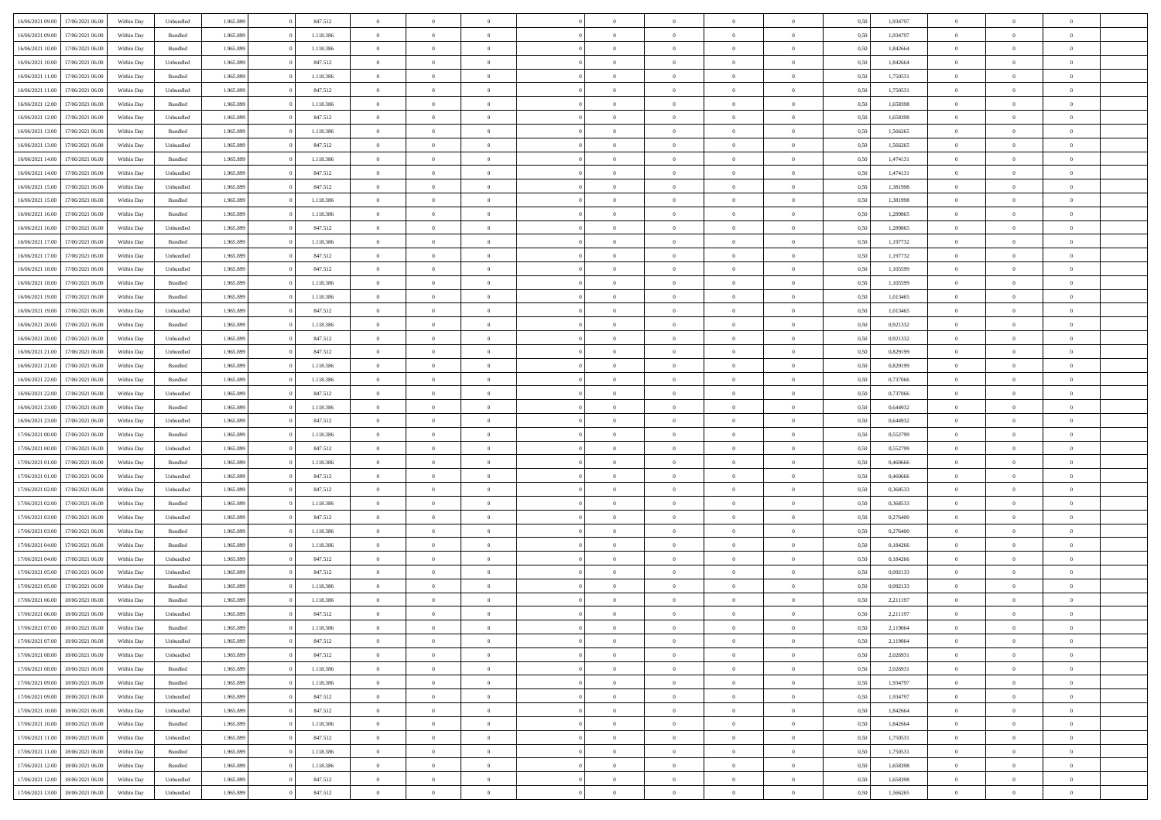|                  |                  |            |                    |           |           | $\overline{0}$ |                |                |                | $\Omega$       | $\theta$       | $\theta$       |      |          | $\theta$       |                | $\theta$       |  |
|------------------|------------------|------------|--------------------|-----------|-----------|----------------|----------------|----------------|----------------|----------------|----------------|----------------|------|----------|----------------|----------------|----------------|--|
| 16/06/2021 09:00 | 17/06/2021 06:00 | Within Dav | Unbundled          | 1.965.899 | 847.512   |                | $\theta$       |                | $\Omega$       |                |                |                | 0,50 | 1,934797 |                | $\theta$       |                |  |
| 16/06/2021 09:00 | 17/06/2021 06:00 | Within Day | Bundled            | 1.965.899 | 1.118.386 | $\overline{0}$ | $\theta$       | $\overline{0}$ | $\overline{0}$ | $\bf{0}$       | $\overline{0}$ | $\bf{0}$       | 0,50 | 1,934797 | $\theta$       | $\overline{0}$ | $\overline{0}$ |  |
| 16/06/2021 10:00 | 17/06/2021 06:00 | Within Day | Bundled            | 1.965.899 | 1.118.386 | $\overline{0}$ | $\bf{0}$       | $\overline{0}$ | $\bf{0}$       | $\bf{0}$       | $\bf{0}$       | $\mathbf{0}$   | 0,50 | 1,842664 | $\overline{0}$ | $\overline{0}$ | $\bf{0}$       |  |
| 16/06/2021 10:00 | 17/06/2021 06:00 | Within Day | Unbundled          | 1.965.899 | 847.512   | $\overline{0}$ | $\overline{0}$ | $\overline{0}$ | $\overline{0}$ | $\bf{0}$       | $\overline{0}$ | $\overline{0}$ | 0.50 | 1.842664 | $\theta$       | $\theta$       | $\overline{0}$ |  |
|                  |                  |            |                    |           |           |                |                |                |                |                |                |                |      |          |                |                |                |  |
| 16/06/2021 11:00 | 17/06/2021 06:00 | Within Day | Bundled            | 1.965.899 | 1.118.386 | $\overline{0}$ | $\theta$       | $\overline{0}$ | $\overline{0}$ | $\bf{0}$       | $\overline{0}$ | $\bf{0}$       | 0,50 | 1,750531 | $\,$ 0 $\,$    | $\overline{0}$ | $\overline{0}$ |  |
| 16/06/2021 11:00 | 17/06/2021 06:00 | Within Day | Unbundled          | 1.965.899 | 847.512   | $\overline{0}$ | $\overline{0}$ | $\overline{0}$ | $\bf{0}$       | $\overline{0}$ | $\overline{0}$ | $\mathbf{0}$   | 0,50 | 1,750531 | $\overline{0}$ | $\overline{0}$ | $\bf{0}$       |  |
| 16/06/2021 12:00 | 17/06/2021 06:00 | Within Dav | Bundled            | 1.965.899 | 1.118.386 | $\overline{0}$ | $\overline{0}$ | $\overline{0}$ | $\overline{0}$ | $\overline{0}$ | $\overline{0}$ | $\overline{0}$ | 0.50 | 1,658398 | $\theta$       | $\overline{0}$ | $\overline{0}$ |  |
| 16/06/2021 12:00 | 17/06/2021 06:00 | Within Day | Unbundled          | 1.965.899 | 847.512   | $\overline{0}$ | $\theta$       | $\overline{0}$ | $\overline{0}$ | $\bf{0}$       | $\overline{0}$ | $\bf{0}$       | 0,50 | 1,658398 | $\theta$       | $\theta$       | $\overline{0}$ |  |
|                  |                  |            |                    |           |           |                |                |                |                |                |                |                |      |          |                |                |                |  |
| 16/06/2021 13:00 | 17/06/2021 06:00 | Within Day | Bundled            | 1.965.899 | 1.118.386 | $\overline{0}$ | $\overline{0}$ | $\overline{0}$ | $\overline{0}$ | $\bf{0}$       | $\overline{0}$ | $\mathbf{0}$   | 0,50 | 1,566265 | $\,0\,$        | $\overline{0}$ | $\overline{0}$ |  |
| 16/06/2021 13:00 | 17/06/2021 06:00 | Within Dav | Unbundled          | 1.965.899 | 847.512   | $\overline{0}$ | $\overline{0}$ | $\overline{0}$ | $\overline{0}$ | $\overline{0}$ | $\overline{0}$ | $\overline{0}$ | 0.50 | 1,566265 | $\theta$       | $\overline{0}$ | $\overline{0}$ |  |
| 16/06/2021 14:00 | 17/06/2021 06:00 | Within Day | Bundled            | 1.965.899 | 1.118.386 | $\overline{0}$ | $\theta$       | $\overline{0}$ | $\overline{0}$ | $\bf{0}$       | $\overline{0}$ | $\bf{0}$       | 0,50 | 1,474131 | $\,$ 0 $\,$    | $\overline{0}$ | $\overline{0}$ |  |
| 16/06/2021 14:00 | 17/06/2021 06:00 | Within Day | Unbundled          | 1.965.899 | 847.512   | $\overline{0}$ | $\overline{0}$ | $\overline{0}$ | $\overline{0}$ | $\bf{0}$       | $\overline{0}$ | $\mathbf{0}$   | 0,50 | 1,474131 | $\overline{0}$ | $\overline{0}$ | $\bf{0}$       |  |
|                  |                  |            |                    |           |           |                |                |                |                |                |                |                |      |          |                |                |                |  |
| 16/06/2021 15:00 | 17/06/2021 06:00 | Within Day | Unbundled          | 1.965.899 | 847.512   | $\overline{0}$ | $\overline{0}$ | $\overline{0}$ | $\overline{0}$ | $\bf{0}$       | $\overline{0}$ | $\overline{0}$ | 0.50 | 1,381998 | $\theta$       | $\theta$       | $\overline{0}$ |  |
| 16/06/2021 15:00 | 17/06/2021 06:00 | Within Day | Bundled            | 1.965.899 | 1.118.386 | $\overline{0}$ | $\theta$       | $\overline{0}$ | $\overline{0}$ | $\bf{0}$       | $\overline{0}$ | $\bf{0}$       | 0,50 | 1,381998 | $\theta$       | $\overline{0}$ | $\overline{0}$ |  |
| 16/06/2021 16:00 | 17/06/2021 06:00 | Within Day | Bundled            | 1.965.899 | 1.118.386 | $\overline{0}$ | $\overline{0}$ | $\overline{0}$ | $\overline{0}$ | $\overline{0}$ | $\overline{0}$ | $\mathbf{0}$   | 0,50 | 1,289865 | $\overline{0}$ | $\overline{0}$ | $\bf{0}$       |  |
| 16/06/2021 16:00 | 17/06/2021 06:00 | Within Dav | Unbundled          | 1.965.899 | 847.512   | $\overline{0}$ | $\overline{0}$ | $\overline{0}$ | $\overline{0}$ | $\overline{0}$ | $\overline{0}$ | $\overline{0}$ | 0.50 | 1.289865 | $\theta$       | $\overline{0}$ | $\overline{0}$ |  |
|                  |                  |            |                    |           |           |                |                |                |                |                |                |                |      |          |                |                |                |  |
| 16/06/2021 17:00 | 17/06/2021 06:00 | Within Day | Bundled            | 1.965.899 | 1.118.386 | $\overline{0}$ | $\theta$       | $\overline{0}$ | $\overline{0}$ | $\bf{0}$       | $\overline{0}$ | $\bf{0}$       | 0,50 | 1,197732 | $\,$ 0 $\,$    | $\overline{0}$ | $\overline{0}$ |  |
| 16/06/2021 17:00 | 17/06/2021 06:00 | Within Day | Unbundled          | 1.965.899 | 847.512   | $\overline{0}$ | $\overline{0}$ | $\overline{0}$ | $\overline{0}$ | $\bf{0}$       | $\overline{0}$ | $\mathbf{0}$   | 0,50 | 1,197732 | $\bf{0}$       | $\overline{0}$ | $\bf{0}$       |  |
| 16/06/2021 18:00 | 17/06/2021 06:00 | Within Day | Unbundled          | 1.965.899 | 847.512   | $\overline{0}$ | $\overline{0}$ | $\overline{0}$ | $\overline{0}$ | $\overline{0}$ | $\overline{0}$ | $\overline{0}$ | 0.50 | 1,105599 | $\theta$       | $\overline{0}$ | $\overline{0}$ |  |
| 16/06/2021 18:00 | 17/06/2021 06:00 | Within Day | Bundled            | 1.965.899 | 1.118.386 | $\overline{0}$ | $\theta$       | $\overline{0}$ | $\overline{0}$ | $\bf{0}$       | $\overline{0}$ | $\bf{0}$       | 0,50 | 1,105599 | $\,$ 0 $\,$    | $\overline{0}$ | $\overline{0}$ |  |
|                  |                  |            |                    |           |           |                |                |                |                |                |                |                |      |          |                |                |                |  |
| 16/06/2021 19:00 | 17/06/2021 06:00 | Within Day | Bundled            | 1.965.899 | 1.118.386 | $\overline{0}$ | $\overline{0}$ | $\overline{0}$ | $\overline{0}$ | $\bf{0}$       | $\overline{0}$ | $\mathbf{0}$   | 0,50 | 1,013465 | $\bf{0}$       | $\overline{0}$ | $\bf{0}$       |  |
| 16/06/2021 19:00 | 17/06/2021 06:00 | Within Day | Unbundled          | 1.965.899 | 847.512   | $\overline{0}$ | $\overline{0}$ | $\overline{0}$ | $\overline{0}$ | $\overline{0}$ | $\overline{0}$ | $\overline{0}$ | 0.50 | 1,013465 | $\theta$       | $\overline{0}$ | $\overline{0}$ |  |
| 16/06/2021 20:00 | 17/06/2021 06:00 | Within Day | Bundled            | 1.965.899 | 1.118.386 | $\overline{0}$ | $\theta$       | $\overline{0}$ | $\overline{0}$ | $\bf{0}$       | $\overline{0}$ | $\bf{0}$       | 0,50 | 0,921332 | $\,$ 0 $\,$    | $\overline{0}$ | $\overline{0}$ |  |
| 16/06/2021 20:00 | 17/06/2021 06:00 | Within Day | Unbundled          | 1.965.899 | 847.512   | $\overline{0}$ | $\overline{0}$ | $\overline{0}$ | $\bf{0}$       | $\overline{0}$ | $\overline{0}$ | $\mathbf{0}$   | 0,50 | 0,921332 | $\overline{0}$ | $\overline{0}$ | $\bf{0}$       |  |
| 16/06/2021 21:00 | 17/06/2021 06:00 | Within Dav | Unbundled          | 1.965.899 | 847.512   | $\overline{0}$ | $\overline{0}$ | $\overline{0}$ | $\overline{0}$ | $\overline{0}$ | $\overline{0}$ | $\overline{0}$ | 0.50 | 0.829199 | $\theta$       | $\overline{0}$ | $\overline{0}$ |  |
|                  |                  |            |                    |           |           |                |                |                |                |                |                |                |      |          |                |                |                |  |
| 16/06/2021 21:00 | 17/06/2021 06:00 | Within Day | Bundled            | 1.965.899 | 1.118.386 | $\overline{0}$ | $\theta$       | $\overline{0}$ | $\overline{0}$ | $\bf{0}$       | $\overline{0}$ | $\bf{0}$       | 0,50 | 0,829199 | $\theta$       | $\overline{0}$ | $\overline{0}$ |  |
| 16/06/2021 22:00 | 17/06/2021 06:00 | Within Day | Bundled            | 1.965.899 | 1.118.386 | $\overline{0}$ | $\overline{0}$ | $\overline{0}$ | $\bf{0}$       | $\bf{0}$       | $\bf{0}$       | $\mathbf{0}$   | 0,50 | 0,737066 | $\,0\,$        | $\overline{0}$ | $\overline{0}$ |  |
| 16/06/2021 22.00 | 17/06/2021 06:00 | Within Day | Unbundled          | 1.965.899 | 847.512   | $\overline{0}$ | $\overline{0}$ | $\overline{0}$ | $\overline{0}$ | $\overline{0}$ | $\overline{0}$ | $\overline{0}$ | 0.50 | 0,737066 | $\theta$       | $\overline{0}$ | $\overline{0}$ |  |
| 16/06/2021 23:00 | 17/06/2021 06:00 | Within Day | Bundled            | 1.965.899 | 1.118.386 | $\overline{0}$ | $\overline{0}$ | $\overline{0}$ | $\overline{0}$ | $\bf{0}$       | $\overline{0}$ | $\bf{0}$       | 0,50 | 0,644932 | $\,$ 0 $\,$    | $\overline{0}$ | $\overline{0}$ |  |
|                  |                  |            |                    |           |           |                |                |                |                |                |                |                |      |          |                |                |                |  |
| 16/06/2021 23:00 | 17/06/2021 06:00 | Within Day | Unbundled          | 1.965.899 | 847.512   | $\overline{0}$ | $\overline{0}$ | $\overline{0}$ | $\bf{0}$       | $\bf{0}$       | $\bf{0}$       | $\mathbf{0}$   | 0,50 | 0,644932 | $\overline{0}$ | $\overline{0}$ | $\bf{0}$       |  |
| 17/06/2021 00:00 | 17/06/2021 06:00 | Within Day | Bundled            | 1.965.899 | 1.118.386 | $\overline{0}$ | $\Omega$       | $\overline{0}$ | $\Omega$       | $\Omega$       | $\overline{0}$ | $\overline{0}$ | 0,50 | 0,552799 | $\,0\,$        | $\theta$       | $\theta$       |  |
| 17/06/2021 00:00 | 17/06/2021 06:00 | Within Day | Unbundled          | 1.965.899 | 847.512   | $\overline{0}$ | $\theta$       | $\overline{0}$ | $\overline{0}$ | $\bf{0}$       | $\overline{0}$ | $\bf{0}$       | 0,50 | 0,552799 | $\,$ 0 $\,$    | $\overline{0}$ | $\overline{0}$ |  |
| 17/06/2021 01:00 | 17/06/2021 06:00 | Within Day | Bundled            | 1.965.899 | 1.118.386 | $\overline{0}$ | $\overline{0}$ | $\overline{0}$ | $\bf{0}$       | $\overline{0}$ | $\overline{0}$ | $\mathbf{0}$   | 0,50 | 0,460666 | $\overline{0}$ | $\overline{0}$ | $\bf{0}$       |  |
|                  |                  |            |                    |           |           | $\overline{0}$ | $\Omega$       |                | $\Omega$       | $\overline{0}$ | $\overline{0}$ |                |      |          |                | $\theta$       | $\theta$       |  |
| 17/06/2021 01:00 | 17/06/2021 06:00 | Within Day | Unbundled          | 1.965.899 | 847.512   |                |                | $\overline{0}$ |                |                |                | $\overline{0}$ | 0.50 | 0.460666 | $\,0\,$        |                |                |  |
| 17/06/2021 02:00 | 17/06/2021 06:00 | Within Day | Unbundled          | 1.965.899 | 847.512   | $\overline{0}$ | $\theta$       | $\overline{0}$ | $\overline{0}$ | $\bf{0}$       | $\overline{0}$ | $\bf{0}$       | 0,50 | 0,368533 | $\,$ 0 $\,$    | $\overline{0}$ | $\overline{0}$ |  |
| 17/06/2021 02:00 | 17/06/2021 06:00 | Within Day | Bundled            | 1.965.899 | 1.118.386 | $\overline{0}$ | $\bf{0}$       | $\overline{0}$ | $\bf{0}$       | $\bf{0}$       | $\bf{0}$       | $\mathbf{0}$   | 0,50 | 0,368533 | $\bf{0}$       | $\overline{0}$ | $\bf{0}$       |  |
| 17/06/2021 03:00 | 17/06/2021 06:00 | Within Day | Unbundled          | 1.965.899 | 847.512   | $\overline{0}$ | $\Omega$       | $\overline{0}$ | $\Omega$       | $\overline{0}$ | $\overline{0}$ | $\overline{0}$ | 0.50 | 0,276400 | $\,$ 0 $\,$    | $\theta$       | $\theta$       |  |
| 17/06/2021 03:00 | 17/06/2021 06:00 | Within Day | Bundled            | 1.965.899 | 1.118.386 | $\overline{0}$ | $\overline{0}$ | $\overline{0}$ | $\overline{0}$ | $\,$ 0         | $\overline{0}$ | $\bf{0}$       | 0,50 | 0,276400 | $\,$ 0 $\,$    | $\overline{0}$ | $\overline{0}$ |  |
|                  |                  |            |                    |           |           |                |                |                |                |                |                |                |      |          |                |                |                |  |
| 17/06/2021 04:00 | 17/06/2021 06:00 | Within Day | Bundled            | 1.965.899 | 1.118.386 | $\overline{0}$ | $\overline{0}$ | $\overline{0}$ | $\bf{0}$       | $\bf{0}$       | $\bf{0}$       | $\mathbf{0}$   | 0,50 | 0,184266 | $\overline{0}$ | $\overline{0}$ | $\bf{0}$       |  |
| 17/06/2021 04:00 | 17/06/2021 06:00 | Within Day | Unbundled          | 1.965.899 | 847.512   | $\overline{0}$ | $\Omega$       | $\overline{0}$ | $\Omega$       | $\overline{0}$ | $\overline{0}$ | $\overline{0}$ | 0.50 | 0,184266 | $\,0\,$        | $\theta$       | $\theta$       |  |
| 17/06/2021 05:00 | 17/06/2021 06:00 | Within Day | Unbundled          | 1.965.899 | 847.512   | $\overline{0}$ | $\overline{0}$ | $\overline{0}$ | $\overline{0}$ | $\,$ 0         | $\overline{0}$ | $\bf{0}$       | 0,50 | 0,092133 | $\,$ 0 $\,$    | $\overline{0}$ | $\overline{0}$ |  |
| 17/06/2021 05:00 | 17/06/2021 06:00 | Within Day | Bundled            | 1.965.899 | 1.118.386 | $\overline{0}$ | $\overline{0}$ | $\overline{0}$ | $\bf{0}$       | $\bf{0}$       | $\overline{0}$ | $\mathbf{0}$   | 0,50 | 0,092133 | $\overline{0}$ | $\overline{0}$ | $\bf{0}$       |  |
|                  | 18/06/2021 06:00 |            |                    |           |           | $\overline{0}$ | $\Omega$       | $\Omega$       | $\Omega$       | $\Omega$       | $\Omega$       | $\overline{0}$ | 0.50 |          | $\theta$       | $\theta$       | $\theta$       |  |
| 17/06/2021 06:00 |                  | Within Day | Bundled            | 1.965.899 | 1.118.386 |                |                |                |                |                |                |                |      | 2,211197 |                |                |                |  |
| 17/06/2021 06:00 | 18/06/2021 06:00 | Within Day | Unbundled          | 1.965.899 | 847.512   | $\overline{0}$ | $\overline{0}$ | $\overline{0}$ | $\bf{0}$       | $\,$ 0         | $\overline{0}$ | $\bf{0}$       | 0,50 | 2,211197 | $\,0\,$        | $\,$ 0 $\,$    | $\overline{0}$ |  |
| 17/06/2021 07:00 | 18/06/2021 06:00 | Within Day | $\mathbf B$ undled | 1.965.899 | 1.118.386 | $\overline{0}$ | $\bf{0}$       |                |                | $\bf{0}$       |                |                | 0,50 | 2,119064 | $\bf{0}$       | $\overline{0}$ |                |  |
| 17/06/2021 07:00 | 18/06/2021 06:00 | Within Day | Unbundled          | 1.965.899 | 847.512   | $\overline{0}$ | $\overline{0}$ | $\overline{0}$ | $\Omega$       | $\overline{0}$ | $\overline{0}$ | $\overline{0}$ | 0,50 | 2,119064 | $\theta$       | $\theta$       | $\Omega$       |  |
| 17/06/2021 08:00 | 18/06/2021 06:00 | Within Day | Unbundled          | 1.965.899 | 847.512   | $\overline{0}$ | $\bf{0}$       | $\overline{0}$ | $\overline{0}$ | $\,$ 0 $\,$    | $\overline{0}$ | $\,$ 0 $\,$    | 0,50 | 2,026931 | $\,$ 0 $\,$    | $\,$ 0 $\,$    | $\,$ 0         |  |
|                  |                  |            |                    |           |           |                |                |                |                |                |                |                |      |          |                |                |                |  |
| 17/06/2021 08:00 | 18/06/2021 06:00 | Within Day | Bundled            | 1.965.899 | 1.118.386 | $\overline{0}$ | $\overline{0}$ | $\overline{0}$ | $\overline{0}$ | $\overline{0}$ | $\overline{0}$ | $\mathbf{0}$   | 0,50 | 2,026931 | $\overline{0}$ | $\bf{0}$       | $\overline{0}$ |  |
| 17/06/2021 09:00 | 18/06/2021 06:00 | Within Day | $\mathbf B$ undled | 1.965.899 | 1.118.386 | $\overline{0}$ | $\overline{0}$ | $\overline{0}$ | $\Omega$       | $\overline{0}$ | $\overline{0}$ | $\overline{0}$ | 0,50 | 1,934797 | $\overline{0}$ | $\theta$       | $\overline{0}$ |  |
| 17/06/2021 09:00 | 18/06/2021 06:00 | Within Day | Unbundled          | 1.965.899 | 847.512   | $\overline{0}$ | $\,$ 0         | $\overline{0}$ | $\overline{0}$ | $\,$ 0 $\,$    | $\overline{0}$ | $\mathbf{0}$   | 0,50 | 1,934797 | $\,$ 0 $\,$    | $\overline{0}$ | $\overline{0}$ |  |
| 17/06/2021 10:00 | 18/06/2021 06:00 | Within Day | Unbundled          | 1.965.899 | 847.512   | $\overline{0}$ | $\overline{0}$ | $\overline{0}$ | $\overline{0}$ | $\overline{0}$ | $\overline{0}$ | $\mathbf{0}$   | 0,50 | 1,842664 | $\overline{0}$ | $\overline{0}$ | $\overline{0}$ |  |
|                  |                  |            |                    |           |           |                |                |                |                |                |                |                |      |          |                |                |                |  |
| 17/06/2021 10:00 | 18/06/2021 06:00 | Within Day | Bundled            | 1.965.899 | 1.118.386 | $\overline{0}$ | $\overline{0}$ | $\overline{0}$ | $\overline{0}$ | $\overline{0}$ | $\overline{0}$ | $\bf{0}$       | 0.50 | 1,842664 | $\overline{0}$ | $\theta$       | $\overline{0}$ |  |
| 17/06/2021 11:00 | 18/06/2021 06:00 | Within Day | Unbundled          | 1.965.899 | 847.512   | $\overline{0}$ | $\,$ 0         | $\overline{0}$ | $\overline{0}$ | $\bf{0}$       | $\overline{0}$ | $\bf{0}$       | 0,50 | 1,750531 | $\,$ 0 $\,$    | $\overline{0}$ | $\overline{0}$ |  |
| 17/06/2021 11:00 | 18/06/2021 06:00 | Within Day | Bundled            | 1.965.899 | 1.118.386 | $\overline{0}$ | $\bf{0}$       | $\overline{0}$ | $\overline{0}$ | $\overline{0}$ | $\overline{0}$ | $\mathbf{0}$   | 0,50 | 1,750531 | $\overline{0}$ | $\overline{0}$ | $\bf{0}$       |  |
| 17/06/2021 12:00 | 18/06/2021 06:00 | Within Day | Bundled            | 1.965.899 | 1.118.386 | $\overline{0}$ | $\overline{0}$ | $\overline{0}$ | $\Omega$       | $\overline{0}$ | $\overline{0}$ | $\overline{0}$ | 0.50 | 1,658398 | $\overline{0}$ | $\overline{0}$ | $\overline{0}$ |  |
| 17/06/2021 12:00 |                  |            |                    | 1.965.899 | 847.512   | $\overline{0}$ | $\bf{0}$       |                | $\bf{0}$       | $\bf{0}$       |                |                |      | 1,658398 | $\,$ 0 $\,$    | $\,$ 0 $\,$    | $\bf{0}$       |  |
|                  | 18/06/2021 06:00 | Within Day | Unbundled          |           |           |                |                | $\overline{0}$ |                |                | $\overline{0}$ | $\mathbf{0}$   | 0,50 |          |                |                |                |  |
| 17/06/2021 13:00 | 18/06/2021 06:00 | Within Day | Unbundled          | 1.965.899 | 847.512   | $\overline{0}$ | $\overline{0}$ | $\overline{0}$ | $\overline{0}$ | $\overline{0}$ | $\overline{0}$ | $\mathbf{0}$   | 0,50 | 1,566265 | $\overline{0}$ | $\bf{0}$       | $\overline{0}$ |  |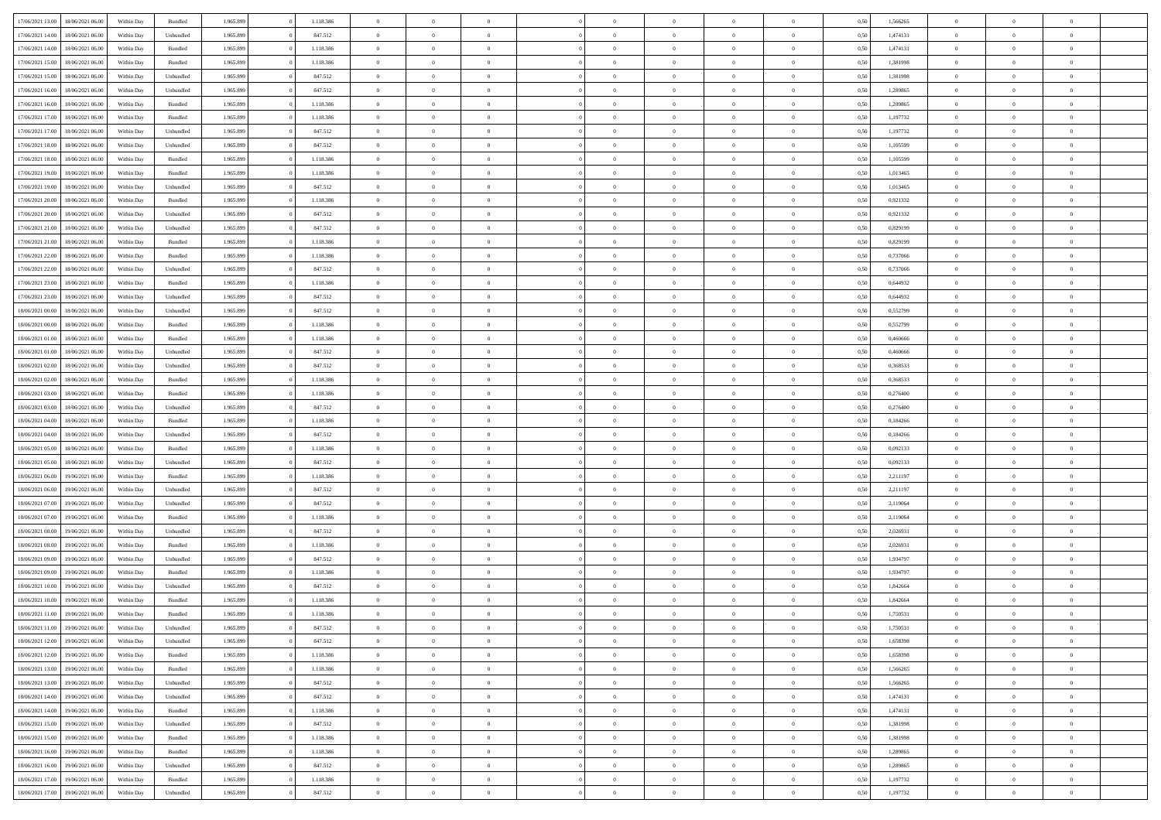| 17/06/2021 13:00 | 18/06/2021 06:00 | Within Day | Bundled   | 1.965.899 | 1.118.386 | $\overline{0}$ | $\theta$       |                | $\Omega$       | $\Omega$       | $\theta$       | $\theta$       | 0.50 | 1,566265 | $\theta$       | $\theta$       | $\theta$       |  |
|------------------|------------------|------------|-----------|-----------|-----------|----------------|----------------|----------------|----------------|----------------|----------------|----------------|------|----------|----------------|----------------|----------------|--|
|                  |                  |            |           |           |           |                |                |                |                |                |                |                |      |          |                |                |                |  |
| 17/06/2021 14:00 | 18/06/2021 06:00 | Within Day | Unbundled | 1.965.899 | 847.512   | $\overline{0}$ | $\theta$       | $\overline{0}$ | $\overline{0}$ | $\bf{0}$       | $\overline{0}$ | $\bf{0}$       | 0,50 | 1,474131 | $\theta$       | $\overline{0}$ | $\overline{0}$ |  |
| 17/06/2021 14:00 | 18/06/2021 06:00 | Within Day | Bundled   | 1.965.899 | 1.118.386 | $\overline{0}$ | $\overline{0}$ | $\overline{0}$ | $\overline{0}$ | $\bf{0}$       | $\overline{0}$ | $\mathbf{0}$   | 0,50 | 1,474131 | $\overline{0}$ | $\overline{0}$ | $\overline{0}$ |  |
| 17/06/2021 15:00 | 18/06/2021 06:00 | Within Dav | Bundled   | 1.965.899 | 1.118.386 | $\overline{0}$ | $\overline{0}$ | $\overline{0}$ | $\overline{0}$ | $\bf{0}$       | $\overline{0}$ | $\overline{0}$ | 0.50 | 1.381998 | $\theta$       | $\theta$       | $\overline{0}$ |  |
| 17/06/2021 15:00 | 18/06/2021 06:00 | Within Day | Unbundled | 1.965.899 | 847.512   | $\overline{0}$ | $\theta$       | $\overline{0}$ | $\overline{0}$ | $\bf{0}$       | $\overline{0}$ | $\bf{0}$       | 0,50 | 1,381998 | $\theta$       | $\overline{0}$ | $\overline{0}$ |  |
|                  |                  |            |           |           |           |                |                |                |                |                |                |                |      |          |                |                |                |  |
| 17/06/2021 16:00 | 18/06/2021 06:00 | Within Day | Unbundled | 1.965.899 | 847.512   | $\overline{0}$ | $\bf{0}$       | $\overline{0}$ | $\bf{0}$       | $\overline{0}$ | $\overline{0}$ | $\mathbf{0}$   | 0,50 | 1,289865 | $\overline{0}$ | $\overline{0}$ | $\bf{0}$       |  |
| 17/06/2021 16:00 | 18/06/2021 06:00 | Within Dav | Bundled   | 1.965.899 | 1.118.386 | $\overline{0}$ | $\overline{0}$ | $\overline{0}$ | $\overline{0}$ | $\overline{0}$ | $\overline{0}$ | $\overline{0}$ | 0.50 | 1,289865 | $\theta$       | $\overline{0}$ | $\overline{0}$ |  |
| 17/06/2021 17:00 | 18/06/2021 06:00 | Within Day | Bundled   | 1.965.899 | 1.118.386 | $\overline{0}$ | $\theta$       | $\overline{0}$ | $\overline{0}$ | $\bf{0}$       | $\overline{0}$ | $\bf{0}$       | 0,50 | 1,197732 | $\theta$       | $\theta$       | $\overline{0}$ |  |
| 17/06/2021 17:00 | 18/06/2021 06:00 | Within Day | Unbundled | 1.965.899 | 847.512   | $\overline{0}$ | $\overline{0}$ | $\overline{0}$ | $\bf{0}$       | $\bf{0}$       | $\bf{0}$       | $\bf{0}$       | 0,50 | 1,197732 | $\,0\,$        | $\overline{0}$ | $\overline{0}$ |  |
| 17/06/2021 18:00 | 18/06/2021 06:00 | Within Dav | Unbundled | 1.965.899 | 847.512   | $\overline{0}$ | $\overline{0}$ | $\overline{0}$ | $\overline{0}$ | $\overline{0}$ | $\overline{0}$ | $\overline{0}$ | 0.50 | 1,105599 | $\theta$       | $\overline{0}$ | $\overline{0}$ |  |
| 17/06/2021 18:00 | 18/06/2021 06:00 | Within Day | Bundled   | 1.965.899 | 1.118.386 | $\overline{0}$ | $\theta$       | $\overline{0}$ | $\overline{0}$ | $\bf{0}$       | $\overline{0}$ | $\bf{0}$       | 0,50 | 1,105599 | $\,$ 0 $\,$    | $\overline{0}$ | $\overline{0}$ |  |
| 17/06/2021 19:00 | 18/06/2021 06:00 | Within Day | Bundled   | 1.965.899 | 1.118.386 | $\overline{0}$ | $\overline{0}$ | $\overline{0}$ | $\bf{0}$       | $\bf{0}$       | $\bf{0}$       | $\mathbf{0}$   | 0,50 | 1,013465 | $\overline{0}$ | $\overline{0}$ | $\overline{0}$ |  |
|                  |                  |            |           |           |           |                |                |                |                |                |                |                |      |          | $\theta$       |                |                |  |
| 17/06/2021 19:00 | 18/06/2021 06:00 | Within Day | Unbundled | 1.965.899 | 847.512   | $\overline{0}$ | $\overline{0}$ | $\overline{0}$ | $\overline{0}$ | $\bf{0}$       | $\overline{0}$ | $\overline{0}$ | 0.50 | 1.013465 |                | $\theta$       | $\overline{0}$ |  |
| 17/06/2021 20:00 | 18/06/2021 06:00 | Within Day | Bundled   | 1.965.899 | 1.118.386 | $\overline{0}$ | $\theta$       | $\overline{0}$ | $\overline{0}$ | $\bf{0}$       | $\overline{0}$ | $\bf{0}$       | 0,50 | 0,921332 | $\theta$       | $\overline{0}$ | $\overline{0}$ |  |
| 17/06/2021 20:00 | 18/06/2021 06:00 | Within Day | Unbundled | 1.965.899 | 847.512   | $\overline{0}$ | $\overline{0}$ | $\overline{0}$ | $\bf{0}$       | $\overline{0}$ | $\overline{0}$ | $\mathbf{0}$   | 0,50 | 0,921332 | $\overline{0}$ | $\overline{0}$ | $\bf{0}$       |  |
| 17/06/2021 21:00 | 18/06/2021 06:00 | Within Dav | Unbundled | 1.965.899 | 847.512   | $\overline{0}$ | $\overline{0}$ | $\overline{0}$ | $\overline{0}$ | $\overline{0}$ | $\overline{0}$ | $\overline{0}$ | 0.50 | 0.829199 | $\theta$       | $\overline{0}$ | $\overline{0}$ |  |
| 17/06/2021 21:00 | 18/06/2021 06:00 | Within Day | Bundled   | 1.965.899 | 1.118.386 | $\overline{0}$ | $\theta$       | $\overline{0}$ | $\overline{0}$ | $\bf{0}$       | $\overline{0}$ | $\bf{0}$       | 0,50 | 0,829199 | $\,$ 0 $\,$    | $\theta$       | $\overline{0}$ |  |
| 17/06/2021 22:00 | 18/06/2021 06:00 | Within Day | Bundled   | 1.965.899 | 1.118.386 | $\overline{0}$ | $\overline{0}$ | $\overline{0}$ | $\bf{0}$       | $\bf{0}$       | $\bf{0}$       | $\mathbf{0}$   | 0,50 | 0,737066 | $\,0\,$        | $\overline{0}$ | $\overline{0}$ |  |
| 17/06/2021 22:00 | 18/06/2021 06:00 | Within Day | Unbundled | 1.965.899 | 847.512   | $\overline{0}$ | $\overline{0}$ | $\overline{0}$ | $\overline{0}$ | $\overline{0}$ | $\overline{0}$ | $\overline{0}$ | 0.50 | 0,737066 | $\theta$       | $\overline{0}$ | $\overline{0}$ |  |
|                  |                  |            |           |           |           |                |                |                |                |                |                |                |      |          |                |                |                |  |
| 17/06/2021 23:00 | 18/06/2021 06:00 | Within Day | Bundled   | 1.965.899 | 1.118.386 | $\overline{0}$ | $\theta$       | $\overline{0}$ | $\overline{0}$ | $\bf{0}$       | $\overline{0}$ | $\bf{0}$       | 0,50 | 0,644932 | $\,$ 0 $\,$    | $\theta$       | $\overline{0}$ |  |
| 17/06/2021 23.00 | 18/06/2021 06:00 | Within Day | Unbundled | 1.965.899 | 847.512   | $\overline{0}$ | $\overline{0}$ | $\overline{0}$ | $\bf{0}$       | $\bf{0}$       | $\bf{0}$       | $\bf{0}$       | 0,50 | 0,644932 | $\bf{0}$       | $\overline{0}$ | $\overline{0}$ |  |
| 18/06/2021 00:00 | 18/06/2021 06:00 | Within Day | Unbundled | 1.965.899 | 847.512   | $\overline{0}$ | $\overline{0}$ | $\overline{0}$ | $\overline{0}$ | $\bf{0}$       | $\overline{0}$ | $\overline{0}$ | 0.50 | 0,552799 | $\theta$       | $\overline{0}$ | $\overline{0}$ |  |
| 18/06/2021 00:00 | 18/06/2021 06:00 | Within Day | Bundled   | 1.965.899 | 1.118.386 | $\overline{0}$ | $\theta$       | $\overline{0}$ | $\overline{0}$ | $\bf{0}$       | $\overline{0}$ | $\bf{0}$       | 0,50 | 0,552799 | $\,$ 0 $\,$    | $\overline{0}$ | $\overline{0}$ |  |
| 18/06/2021 01:00 | 18/06/2021 06:00 | Within Day | Bundled   | 1.965.899 | 1.118.386 | $\overline{0}$ | $\bf{0}$       | $\overline{0}$ | $\bf{0}$       | $\overline{0}$ | $\overline{0}$ | $\mathbf{0}$   | 0,50 | 0,460666 | $\overline{0}$ | $\overline{0}$ | $\bf{0}$       |  |
| 18/06/2021 01:00 | 18/06/2021 06:00 | Within Dav | Unbundled | 1.965.899 | 847.512   | $\overline{0}$ | $\overline{0}$ | $\overline{0}$ | $\overline{0}$ | $\overline{0}$ | $\overline{0}$ | $\overline{0}$ | 0.50 | 0,460666 | $\theta$       | $\overline{0}$ | $\overline{0}$ |  |
| 18/06/2021 02:00 | 18/06/2021 06:00 | Within Day | Unbundled | 1.965.899 | 847.512   | $\overline{0}$ | $\theta$       | $\overline{0}$ | $\overline{0}$ | $\bf{0}$       | $\overline{0}$ | $\bf{0}$       | 0,50 | 0,368533 | $\theta$       | $\theta$       | $\overline{0}$ |  |
|                  |                  |            |           |           |           |                |                |                |                |                |                |                |      |          |                |                |                |  |
| 18/06/2021 02:00 | 18/06/2021 06:00 | Within Day | Bundled   | 1.965.899 | 1.118.386 | $\overline{0}$ | $\overline{0}$ | $\overline{0}$ | $\bf{0}$       | $\bf{0}$       | $\bf{0}$       | $\bf{0}$       | 0,50 | 0,368533 | $\,0\,$        | $\overline{0}$ | $\overline{0}$ |  |
| 18/06/2021 03:00 | 18/06/2021 06:00 | Within Day | Bundled   | 1.965.899 | 1.118.386 | $\overline{0}$ | $\overline{0}$ | $\overline{0}$ | $\overline{0}$ | $\overline{0}$ | $\overline{0}$ | $\overline{0}$ | 0.50 | 0,276400 | $\theta$       | $\overline{0}$ | $\overline{0}$ |  |
| 18/06/2021 03:00 | 18/06/2021 06:00 | Within Day | Unbundled | 1.965.899 | 847.512   | $\overline{0}$ | $\theta$       | $\overline{0}$ | $\overline{0}$ | $\bf{0}$       | $\overline{0}$ | $\bf{0}$       | 0,50 | 0,276400 | $\,$ 0 $\,$    | $\overline{0}$ | $\overline{0}$ |  |
| 18/06/2021 04:00 | 18/06/2021 06:00 | Within Day | Bundled   | 1.965.899 | 1.118.386 | $\overline{0}$ | $\overline{0}$ | $\overline{0}$ | $\overline{0}$ | $\bf{0}$       | $\overline{0}$ | $\bf{0}$       | 0,50 | 0,184266 | $\overline{0}$ | $\overline{0}$ | $\overline{0}$ |  |
| 18/06/2021 04:00 | 18/06/2021 06:00 | Within Day | Unbundled | 1.965.899 | 847.512   | $\overline{0}$ | $\Omega$       | $\overline{0}$ | $\Omega$       | $\Omega$       | $\overline{0}$ | $\overline{0}$ | 0,50 | 0,184266 | $\,0\,$        | $\theta$       | $\theta$       |  |
| 18/06/2021 05:00 | 18/06/2021 06:00 | Within Day | Bundled   | 1.965.899 | 1.118.386 | $\overline{0}$ | $\theta$       | $\overline{0}$ | $\overline{0}$ | $\bf{0}$       | $\overline{0}$ | $\bf{0}$       | 0,50 | 0,092133 | $\,$ 0 $\,$    | $\theta$       | $\overline{0}$ |  |
|                  |                  |            |           |           |           |                |                |                |                | $\bf{0}$       |                |                |      |          |                | $\overline{0}$ | $\bf{0}$       |  |
| 18/06/2021 05:00 | 18/06/2021 06:00 | Within Day | Unbundled | 1.965.899 | 847.512   | $\overline{0}$ | $\overline{0}$ | $\overline{0}$ | $\overline{0}$ |                | $\overline{0}$ | $\mathbf{0}$   | 0,50 | 0,092133 | $\overline{0}$ |                |                |  |
| 18/06/2021 06:00 | 19/06/2021 06:00 | Within Day | Bundled   | 1.965.899 | 1.118.386 | $\overline{0}$ | $\Omega$       | $\Omega$       | $\Omega$       | $\bf{0}$       | $\overline{0}$ | $\overline{0}$ | 0.50 | 2,211197 | $\,0\,$        | $\theta$       | $\theta$       |  |
| 18/06/2021 06:00 | 19/06/2021 06:00 | Within Day | Unbundled | 1.965.899 | 847.512   | $\overline{0}$ | $\theta$       | $\overline{0}$ | $\overline{0}$ | $\bf{0}$       | $\overline{0}$ | $\bf{0}$       | 0,50 | 2,211197 | $\,$ 0 $\,$    | $\overline{0}$ | $\overline{0}$ |  |
| 18/06/2021 07:00 | 19/06/2021 06:00 | Within Day | Unbundled | 1.965.899 | 847.512   | $\overline{0}$ | $\overline{0}$ | $\overline{0}$ | $\overline{0}$ | $\bf{0}$       | $\overline{0}$ | $\bf{0}$       | 0,50 | 2,119064 | $\bf{0}$       | $\overline{0}$ | $\overline{0}$ |  |
| 18/06/2021 07:00 | 19/06/2021 06:00 | Within Day | Bundled   | 1.965.899 | 1.118.386 | $\overline{0}$ | $\Omega$       | $\overline{0}$ | $\Omega$       | $\overline{0}$ | $\overline{0}$ | $\overline{0}$ | 0.50 | 2,119064 | $\,$ 0 $\,$    | $\theta$       | $\theta$       |  |
| 18/06/2021 08:00 | 19/06/2021 06:00 | Within Day | Unbundled | 1.965.899 | 847.512   | $\overline{0}$ | $\theta$       | $\overline{0}$ | $\overline{0}$ | $\,$ 0         | $\overline{0}$ | $\bf{0}$       | 0,50 | 2,026931 | $\,$ 0 $\,$    | $\overline{0}$ | $\overline{0}$ |  |
| 18/06/2021 08:00 | 19/06/2021 06:00 | Within Day | Bundled   | 1.965.899 | 1.118.386 | $\overline{0}$ | $\overline{0}$ | $\overline{0}$ | $\overline{0}$ | $\bf{0}$       | $\overline{0}$ | $\bf{0}$       | 0,50 | 2,026931 | $\overline{0}$ | $\overline{0}$ | $\overline{0}$ |  |
|                  | 19/06/2021 06:00 |            | Unbundled | 1.965.899 | 847.512   | $\overline{0}$ | $\Omega$       | $\overline{0}$ | $\Omega$       | $\overline{0}$ | $\overline{0}$ | $\overline{0}$ | 0,50 | 1,934797 | $\,0\,$        | $\theta$       | $\theta$       |  |
| 18/06/2021 09:00 |                  | Within Day |           |           |           |                | $\theta$       |                |                |                |                |                |      |          |                |                |                |  |
| 18/06/2021 09:00 | 19/06/2021 06:00 | Within Day | Bundled   | 1.965.899 | 1.118.386 | $\overline{0}$ |                | $\overline{0}$ | $\overline{0}$ | $\,$ 0         | $\overline{0}$ | $\bf{0}$       | 0,50 | 1,934797 | $\,$ 0 $\,$    | $\overline{0}$ | $\overline{0}$ |  |
| 18/06/2021 10:00 | 19/06/2021 06:00 | Within Day | Unbundled | 1.965.899 | 847.512   | $\overline{0}$ | $\overline{0}$ | $\overline{0}$ | $\overline{0}$ | $\bf{0}$       | $\bf{0}$       | $\mathbf{0}$   | 0,50 | 1,842664 | $\overline{0}$ | $\overline{0}$ | $\bf{0}$       |  |
| 18/06/2021 10:00 | 19/06/2021 06:00 | Within Day | Bundled   | 1.965.899 | 1.118.386 | $\overline{0}$ | $\Omega$       | $\Omega$       | $\Omega$       | $\Omega$       | $\Omega$       | $\overline{0}$ | 0.50 | 1.842664 | $\theta$       | $\theta$       | $\theta$       |  |
| 18/06/2021 11:00 | 19/06/2021 06:00 | Within Day | Bundled   | 1.965.899 | 1.118.386 | $\overline{0}$ | $\overline{0}$ | $\overline{0}$ | $\bf{0}$       | $\,$ 0         | $\bf{0}$       | $\bf{0}$       | 0,50 | 1,750531 | $\,0\,$        | $\overline{0}$ | $\overline{0}$ |  |
| 18/06/2021 11:00 | 19/06/2021 06:00 | Within Day | Unbundled | 1.965.899 | 847.512   | $\bf{0}$       | $\bf{0}$       |                |                | $\bf{0}$       |                |                | 0,50 | 1,750531 | $\bf{0}$       | $\overline{0}$ |                |  |
| 18/06/2021 12:00 | 19/06/2021 06:00 | Within Day | Unbundled | 1.965.899 | 847.512   | $\overline{0}$ | $\overline{0}$ | $\overline{0}$ | $\Omega$       | $\overline{0}$ | $\overline{0}$ | $\overline{0}$ | 0,50 | 1,658398 | $\theta$       | $\theta$       | $\Omega$       |  |
| 18/06/2021 12:00 | 19/06/2021 06:00 | Within Day | Bundled   | 1.965.899 | 1.118.386 | $\overline{0}$ | $\bf{0}$       | $\overline{0}$ | $\bf{0}$       | $\,$ 0 $\,$    | $\overline{0}$ | $\,$ 0 $\,$    | 0,50 | 1,658398 | $\,$ 0 $\,$    | $\,$ 0 $\,$    | $\,$ 0         |  |
| 18/06/2021 13:00 | 19/06/2021 06:00 | Within Day | Bundled   | 1.965.899 | 1.118.386 | $\overline{0}$ | $\overline{0}$ | $\overline{0}$ | $\overline{0}$ | $\overline{0}$ | $\overline{0}$ | $\mathbf{0}$   | 0,50 | 1,566265 | $\overline{0}$ | $\bf{0}$       | $\overline{0}$ |  |
|                  |                  |            |           |           |           |                |                |                |                |                |                |                |      |          |                |                |                |  |
| 18/06/2021 13:00 | 19/06/2021 06:00 | Within Day | Unbundled | 1.965.899 | 847.512   | $\overline{0}$ | $\overline{0}$ | $\overline{0}$ | $\Omega$       | $\overline{0}$ | $\overline{0}$ | $\overline{0}$ | 0,50 | 1,566265 | $\overline{0}$ | $\overline{0}$ | $\overline{0}$ |  |
| 18/06/2021 14:00 | 19/06/2021 06:00 | Within Day | Unbundled | 1.965.899 | 847.512   | $\overline{0}$ | $\,$ 0         | $\overline{0}$ | $\bf{0}$       | $\,$ 0 $\,$    | $\overline{0}$ | $\,$ 0 $\,$    | 0,50 | 1,474131 | $\,$ 0 $\,$    | $\overline{0}$ | $\overline{0}$ |  |
| 18/06/2021 14:00 | 19/06/2021 06:00 | Within Day | Bundled   | 1.965.899 | 1.118.386 | $\overline{0}$ | $\overline{0}$ | $\overline{0}$ | $\overline{0}$ | $\overline{0}$ | $\overline{0}$ | $\mathbf{0}$   | 0,50 | 1,474131 | $\overline{0}$ | $\overline{0}$ | $\overline{0}$ |  |
| 18/06/2021 15:00 | 19/06/2021 06:00 | Within Day | Unbundled | 1.965.899 | 847.512   | $\overline{0}$ | $\overline{0}$ | $\overline{0}$ | $\overline{0}$ | $\overline{0}$ | $\overline{0}$ | $\bf{0}$       | 0.50 | 1,381998 | $\overline{0}$ | $\theta$       | $\overline{0}$ |  |
| 18/06/2021 15:00 | 19/06/2021 06:00 | Within Day | Bundled   | 1.965.899 | 1.118.386 | $\overline{0}$ | $\,$ 0         | $\overline{0}$ | $\bf{0}$       | $\bf{0}$       | $\bf{0}$       | $\bf{0}$       | 0,50 | 1,381998 | $\,$ 0 $\,$    | $\overline{0}$ | $\overline{0}$ |  |
| 18/06/2021 16:00 | 19/06/2021 06:00 | Within Day | Bundled   | 1.965.899 | 1.118.386 | $\overline{0}$ | $\bf{0}$       | $\overline{0}$ | $\overline{0}$ | $\overline{0}$ | $\overline{0}$ | $\mathbf{0}$   | 0,50 | 1,289865 | $\overline{0}$ | $\overline{0}$ | $\bf{0}$       |  |
|                  |                  |            |           | 1.965.899 |           | $\overline{0}$ | $\overline{0}$ | $\overline{0}$ | $\Omega$       | $\overline{0}$ | $\overline{0}$ |                | 0.50 |          | $\overline{0}$ | $\overline{0}$ | $\overline{0}$ |  |
| 18/06/2021 16:00 | 19/06/2021 06:00 | Within Day | Unbundled |           | 847.512   |                |                |                |                |                |                | $\overline{0}$ |      | 1,289865 |                |                |                |  |
| 18/06/2021 17:00 | 19/06/2021 06:00 | Within Day | Bundled   | 1.965.899 | 1.118.386 | $\overline{0}$ | $\bf{0}$       | $\overline{0}$ | $\bf{0}$       | $\bf{0}$       | $\bf{0}$       | $\mathbf{0}$   | 0,50 | 1,197732 | $\,$ 0 $\,$    | $\,$ 0 $\,$    | $\bf{0}$       |  |
| 18/06/2021 17:00 | 19/06/2021 06:00 | Within Day | Unbundled | 1.965.899 | 847.512   | $\overline{0}$ | $\overline{0}$ | $\overline{0}$ | $\overline{0}$ | $\overline{0}$ | $\bf{0}$       | $\mathbf{0}$   | 0,50 | 1,197732 | $\overline{0}$ | $\bf{0}$       | $\overline{0}$ |  |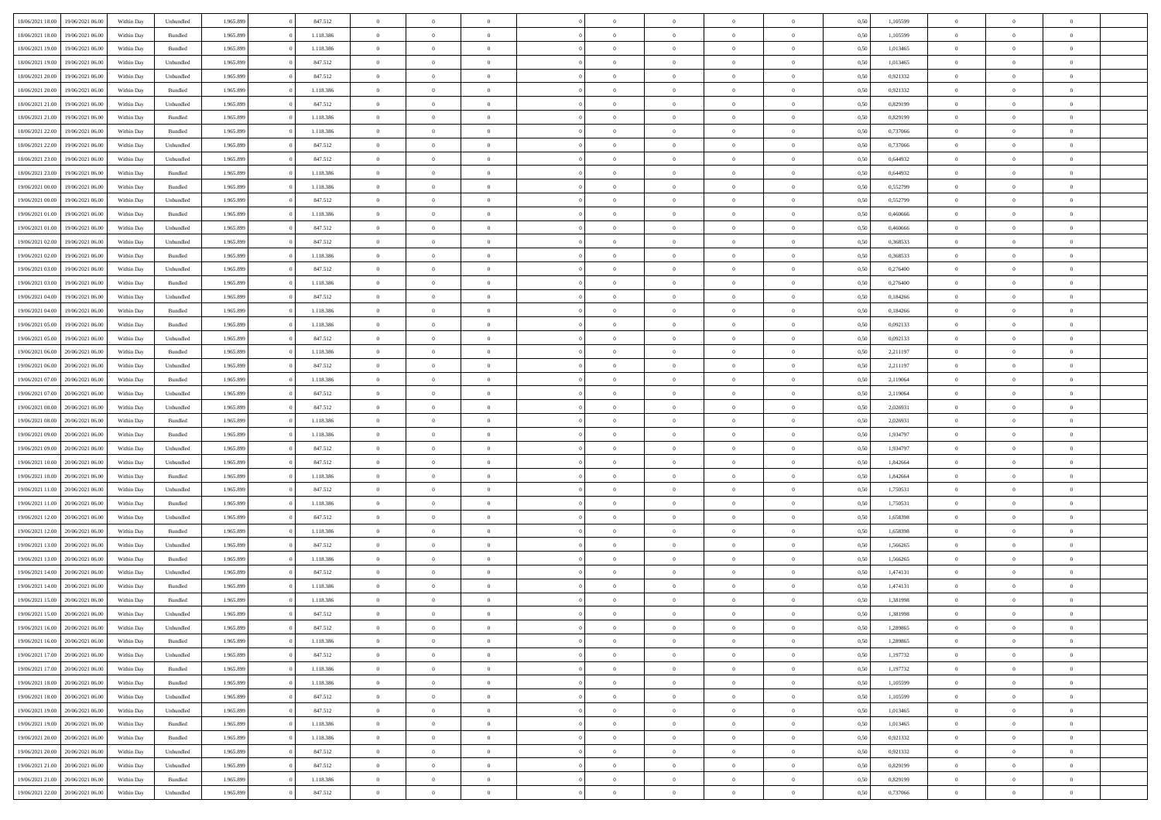| 18/06/2021 18:00<br>19/06/2021 06:00 | Within Day | Unbundled          | 1.965.899 | 847.512   | $\overline{0}$ | $\overline{0}$ | $\Omega$       | $\Omega$       | $\Omega$       |                | $\overline{0}$ | 0,50 | 1,105599 | $\mathbf{0}$   | $\Omega$       | $\Omega$       |  |
|--------------------------------------|------------|--------------------|-----------|-----------|----------------|----------------|----------------|----------------|----------------|----------------|----------------|------|----------|----------------|----------------|----------------|--|
| 18/06/2021 18:00<br>19/06/2021 06:00 | Within Day | $\mathbf B$ undled | 1.965.899 | 1.118.386 | $\bf{0}$       | $\overline{0}$ | $\overline{0}$ | $\theta$       | $\overline{0}$ | $\overline{0}$ | $\,$ 0         | 0,50 | 1,105599 | $\mathbf{0}$   | $\theta$       | $\bf{0}$       |  |
| 18/06/2021 19:00<br>19/06/2021 06:00 | Within Day | Bundled            | 1.965.899 | 1.118.386 | $\overline{0}$ | $\overline{0}$ | $\overline{0}$ | $\bf{0}$       | $\bf{0}$       | $\overline{0}$ | $\mathbf{0}$   | 0,50 | 1,013465 | $\bf{0}$       | $\bf{0}$       | $\bf{0}$       |  |
| 18/06/2021 19:00<br>19/06/2021 06:00 | Within Day | Unbundled          | 1.965.899 | 847.512   | $\overline{0}$ | $\overline{0}$ | $\overline{0}$ | $\overline{0}$ | $\overline{0}$ | $\overline{0}$ | $\overline{0}$ | 0.50 | 1.013465 | $\mathbf{0}$   | $\overline{0}$ | $\bf{0}$       |  |
|                                      |            |                    |           |           |                |                |                |                |                |                |                |      |          |                |                |                |  |
| 18/06/2021 20:00<br>19/06/2021 06:00 | Within Day | Unbundled          | 1.965.899 | 847.512   | $\bf{0}$       | $\overline{0}$ | $\overline{0}$ | $\theta$       | $\overline{0}$ | $\overline{0}$ | $\bf{0}$       | 0,50 | 0,921332 | $\theta$       | $\theta$       | $\overline{0}$ |  |
| 18/06/2021 20:00<br>19/06/2021 06:00 | Within Day | Bundled            | 1.965.899 | 1.118.386 | $\overline{0}$ | $\overline{0}$ | $\overline{0}$ | $\bf{0}$       | $\overline{0}$ | $\overline{0}$ | $\overline{0}$ | 0,50 | 0,921332 | $\overline{0}$ | $\overline{0}$ | $\overline{0}$ |  |
| 18/06/2021 21:00<br>19/06/2021 06:00 | Within Day | Unbundled          | 1.965.899 | 847.512   | $\overline{0}$ | $\overline{0}$ | $\overline{0}$ | $\overline{0}$ | $\overline{0}$ | $\overline{0}$ | $\mathbf{0}$   | 0.50 | 0.829199 | $\mathbf{0}$   | $\overline{0}$ | $\overline{0}$ |  |
| 18/06/2021 21:00<br>19/06/2021 06:00 | Within Day | Bundled            | 1.965.899 | 1.118.386 | $\bf{0}$       | $\overline{0}$ | $\overline{0}$ | $\theta$       | $\overline{0}$ | $\overline{0}$ | $\bf{0}$       | 0,50 | 0,829199 | $\theta$       | $\theta$       | $\bf{0}$       |  |
| 18/06/2021 22:00<br>19/06/2021 06:00 | Within Day | Bundled            | 1.965.899 | 1.118.386 | $\overline{0}$ | $\overline{0}$ | $\bf{0}$       | $\bf{0}$       | $\bf{0}$       | $\overline{0}$ | $\mathbf{0}$   | 0,50 | 0,737066 | $\bf{0}$       | $\bf{0}$       | $\bf{0}$       |  |
| 19/06/2021 06:00                     |            | Unbundled          | 1.965.899 | 847.512   | $\overline{0}$ | $\overline{0}$ | $\overline{0}$ | $\overline{0}$ | $\overline{0}$ | $\overline{0}$ | $\overline{0}$ | 0.50 | 0,737066 | $\overline{0}$ | $\overline{0}$ | $\overline{0}$ |  |
| 18/06/2021 22:00                     | Within Day |                    |           |           |                |                |                |                |                |                |                |      |          |                |                |                |  |
| 18/06/2021 23:00<br>19/06/2021 06:00 | Within Day | Unbundled          | 1.965.899 | 847.512   | $\bf{0}$       | $\overline{0}$ | $\overline{0}$ | $\overline{0}$ | $\overline{0}$ | $\overline{0}$ | $\,$ 0         | 0,50 | 0,644932 | $\theta$       | $\theta$       | $\bf{0}$       |  |
| 18/06/2021 23:00<br>19/06/2021 06:00 | Within Day | Bundled            | 1.965.899 | 1.118.386 | $\overline{0}$ | $\overline{0}$ | $\overline{0}$ | $\bf{0}$       | $\bf{0}$       | $\overline{0}$ | $\mathbf{0}$   | 0,50 | 0,644932 | $\bf{0}$       | $\bf{0}$       | $\bf{0}$       |  |
| 19/06/2021 00:00<br>19/06/2021 06:00 | Within Day | Bundled            | 1.965.899 | 1.118.386 | $\overline{0}$ | $\overline{0}$ | $\overline{0}$ | $\overline{0}$ | $\overline{0}$ | $\overline{0}$ | $\overline{0}$ | 0.50 | 0.552799 | $\mathbf{0}$   | $\overline{0}$ | $\bf{0}$       |  |
| 19/06/2021 00:00<br>19/06/2021 06:00 | Within Day | Unbundled          | 1.965.899 | 847.512   | $\bf{0}$       | $\overline{0}$ | $\overline{0}$ | $\theta$       | $\overline{0}$ | $\overline{0}$ | $\,$ 0         | 0,50 | 0,552799 | $\theta$       | $\theta$       | $\overline{0}$ |  |
|                                      |            |                    |           |           |                |                |                |                |                |                |                |      |          |                |                |                |  |
| 19/06/2021 01:00<br>19/06/2021 06:00 | Within Day | Bundled            | 1.965.899 | 1.118.386 | $\overline{0}$ | $\overline{0}$ | $\overline{0}$ | $\bf{0}$       | $\overline{0}$ | $\overline{0}$ | $\overline{0}$ | 0,50 | 0,460666 | $\overline{0}$ | $\bf{0}$       | $\overline{0}$ |  |
| 19/06/2021 01:00<br>19/06/2021 06:00 | Within Day | Unbundled          | 1.965.899 | 847.512   | $\overline{0}$ | $\overline{0}$ | $\overline{0}$ | $\overline{0}$ | $\overline{0}$ | $\overline{0}$ | $\mathbf{0}$   | 0.50 | 0.460666 | $\overline{0}$ | $\overline{0}$ | $\overline{0}$ |  |
| 19/06/2021 02:00<br>19/06/2021 06:00 | Within Day | Unbundled          | 1.965.899 | 847.512   | $\bf{0}$       | $\overline{0}$ | $\overline{0}$ | $\overline{0}$ | $\overline{0}$ | $\overline{0}$ | $\bf{0}$       | 0,50 | 0,368533 | $\theta$       | $\theta$       | $\bf{0}$       |  |
| 19/06/2021 02:00<br>19/06/2021 06:00 | Within Day | Bundled            | 1.965.899 | 1.118.386 | $\overline{0}$ | $\overline{0}$ | $\overline{0}$ | $\bf{0}$       | $\bf{0}$       | $\overline{0}$ | $\bf{0}$       | 0,50 | 0,368533 | $\bf{0}$       | $\bf{0}$       | $\bf{0}$       |  |
| 19/06/2021 03:00<br>19/06/2021 06:00 | Within Day | Unbundled          | 1.965.899 | 847.512   | $\overline{0}$ | $\overline{0}$ | $\overline{0}$ | $\overline{0}$ | $\overline{0}$ | $\overline{0}$ | $\overline{0}$ | 0.50 | 0.276400 | $\overline{0}$ | $\overline{0}$ | $\overline{0}$ |  |
| 19/06/2021 03:00<br>19/06/2021 06:00 | Within Day | Bundled            | 1.965.899 | 1.118.386 | $\bf{0}$       | $\overline{0}$ | $\overline{0}$ | $\overline{0}$ | $\overline{0}$ | $\overline{0}$ | $\,$ 0         | 0,50 | 0,276400 | $\theta$       | $\theta$       | $\bf{0}$       |  |
| 19/06/2021 04:00<br>19/06/2021 06:00 | Within Day | Unbundled          | 1.965.899 | 847.512   | $\overline{0}$ | $\overline{0}$ | $\overline{0}$ | $\bf{0}$       | $\bf{0}$       | $\overline{0}$ | $\mathbf{0}$   | 0,50 | 0,184266 | $\bf{0}$       | $\bf{0}$       | $\bf{0}$       |  |
|                                      |            |                    |           |           |                |                |                |                |                |                |                |      |          |                |                |                |  |
| 19/06/2021 04:00<br>19/06/2021 06:00 | Within Day | Bundled            | 1.965.899 | 1.118.386 | $\overline{0}$ | $\overline{0}$ | $\overline{0}$ | $\overline{0}$ | $\overline{0}$ | $\overline{0}$ | $\overline{0}$ | 0.50 | 0.184266 | $\overline{0}$ | $\overline{0}$ | $\bf{0}$       |  |
| 19/06/2021 05:00<br>19/06/2021 06:00 | Within Day | Bundled            | 1.965.899 | 1.118.386 | $\bf{0}$       | $\overline{0}$ | $\overline{0}$ | $\overline{0}$ | $\overline{0}$ | $\overline{0}$ | $\,$ 0         | 0,50 | 0,092133 | $\theta$       | $\theta$       | $\bf{0}$       |  |
| 19/06/2021 05:00<br>19/06/2021 06:00 | Within Day | Unbundled          | 1.965.899 | 847.512   | $\overline{0}$ | $\overline{0}$ | $\overline{0}$ | $\bf{0}$       | $\overline{0}$ | $\overline{0}$ | $\overline{0}$ | 0,50 | 0,092133 | $\overline{0}$ | $\overline{0}$ | $\overline{0}$ |  |
| 19/06/2021 06:00<br>20/06/2021 06:00 | Within Day | Bundled            | 1.965.899 | 1.118.386 | $\overline{0}$ | $\overline{0}$ | $\overline{0}$ | $\overline{0}$ | $\overline{0}$ | $\overline{0}$ | $\overline{0}$ | 0.50 | 2,211197 | $\overline{0}$ | $\overline{0}$ | $\overline{0}$ |  |
| 19/06/2021 06:00<br>20/06/2021 06:00 | Within Day | Unbundled          | 1.965.899 | 847.512   | $\bf{0}$       | $\overline{0}$ | $\overline{0}$ | $\overline{0}$ | $\overline{0}$ | $\overline{0}$ | $\bf{0}$       | 0,50 | 2,211197 | $\theta$       | $\theta$       | $\bf{0}$       |  |
| 19/06/2021 07:00<br>20/06/2021 06:00 | Within Day | Bundled            | 1.965.899 | 1.118.386 | $\overline{0}$ | $\overline{0}$ | $\overline{0}$ | $\bf{0}$       | $\bf{0}$       | $\overline{0}$ | $\bf{0}$       | 0,50 | 2,119064 | $\bf{0}$       | $\bf{0}$       | $\bf{0}$       |  |
| 20/06/2021 06:00                     |            | Unbundled          | 1.965.899 | 847.512   | $\overline{0}$ | $\overline{0}$ | $\overline{0}$ | $\overline{0}$ | $\overline{0}$ | $\overline{0}$ | $\overline{0}$ | 0.50 | 2.119064 | $\overline{0}$ | $\overline{0}$ | $\bf{0}$       |  |
| 19/06/2021 07:00                     | Within Day |                    |           |           |                |                |                |                |                |                |                |      |          |                |                |                |  |
| 19/06/2021 08:00<br>20/06/2021 06:00 | Within Day | Unbundled          | 1.965.899 | 847.512   | $\bf{0}$       | $\overline{0}$ | $\overline{0}$ | $\overline{0}$ | $\overline{0}$ | $\overline{0}$ | $\,$ 0         | 0,50 | 2,026931 | $\theta$       | $\theta$       | $\bf{0}$       |  |
| 19/06/2021 08:00<br>20/06/2021 06:00 | Within Day | Bundled            | 1.965.899 | 1.118.386 | $\overline{0}$ | $\overline{0}$ | $\overline{0}$ | $\bf{0}$       | $\bf{0}$       | $\overline{0}$ | $\mathbf{0}$   | 0,50 | 2,026931 | $\overline{0}$ | $\bf{0}$       | $\bf{0}$       |  |
| 19/06/2021 09:00<br>20/06/2021 06:00 | Within Day | Bundled            | 1.965.899 | 1.118.386 | $\overline{0}$ | $\overline{0}$ | $\overline{0}$ | $\overline{0}$ | $\overline{0}$ | $\Omega$       | $\overline{0}$ | 0,50 | 1,934797 | $\bf{0}$       | $\Omega$       | $\Omega$       |  |
| 19/06/2021 09:00<br>20/06/2021 06:00 | Within Day | Unbundled          | 1.965.899 | 847.512   | $\bf{0}$       | $\overline{0}$ | $\overline{0}$ | $\theta$       | $\overline{0}$ | $\overline{0}$ | $\,$ 0         | 0,50 | 1,934797 | $\theta$       | $\theta$       | $\bf{0}$       |  |
| 19/06/2021 10:00<br>20/06/2021 06:00 | Within Day | Unbundled          | 1.965.899 | 847.512   | $\overline{0}$ | $\overline{0}$ | $\overline{0}$ | $\bf{0}$       | $\overline{0}$ | $\overline{0}$ | $\overline{0}$ | 0,50 | 1,842664 | $\overline{0}$ | $\overline{0}$ | $\overline{0}$ |  |
| 19/06/2021 10:00<br>20/06/2021 06:00 | Within Day | Bundled            | 1.965.899 | 1.118.386 | $\overline{0}$ | $\overline{0}$ | $\overline{0}$ | $\overline{0}$ | $\overline{0}$ | $\Omega$       | $\overline{0}$ | 0.50 | 1,842664 | $\overline{0}$ | $\Omega$       | $\Omega$       |  |
| 19/06/2021 11:00<br>20/06/2021 06:00 | Within Day | Unbundled          | 1.965.899 | 847.512   | $\bf{0}$       | $\overline{0}$ | $\bf{0}$       | $\overline{0}$ | $\overline{0}$ | $\overline{0}$ | $\bf{0}$       | 0,50 | 1,750531 | $\theta$       | $\theta$       | $\bf{0}$       |  |
|                                      |            |                    |           |           |                |                |                |                |                |                |                |      |          |                |                |                |  |
| 19/06/2021 11:00<br>20/06/2021 06:00 | Within Day | Bundled            | 1.965.899 | 1.118.386 | $\overline{0}$ | $\overline{0}$ | $\bf{0}$       | $\bf{0}$       | $\bf{0}$       | $\overline{0}$ | $\bf{0}$       | 0,50 | 1,750531 | $\bf{0}$       | $\bf{0}$       | $\bf{0}$       |  |
| 19/06/2021 12:00<br>20/06/2021 06:00 | Within Day | Unbundled          | 1.965.899 | 847.512   | $\overline{0}$ | $\overline{0}$ | $\Omega$       | $\overline{0}$ | $\overline{0}$ | $\Omega$       | $\theta$       | 0.50 | 1,658398 | $\overline{0}$ | $\Omega$       | $\Omega$       |  |
| 19/06/2021 12:00<br>20/06/2021 06:00 | Within Day | $\mathbf B$ undled | 1.965.899 | 1.118.386 | $\bf{0}$       | $\overline{0}$ | $\bf{0}$       | $\overline{0}$ | $\overline{0}$ | $\overline{0}$ | $\,$ 0         | 0,50 | 1,658398 | $\,$ 0 $\,$    | $\theta$       | $\bf{0}$       |  |
| 19/06/2021 13:00<br>20/06/2021 06:00 | Within Day | Unbundled          | 1.965.899 | 847.512   | $\overline{0}$ | $\overline{0}$ | $\overline{0}$ | $\bf{0}$       | $\bf{0}$       | $\overline{0}$ | $\mathbf{0}$   | 0,50 | 1,566265 | $\overline{0}$ | $\bf{0}$       | $\bf{0}$       |  |
| 19/06/2021 13:00<br>20/06/2021 06:00 | Within Day | Bundled            | 1.965.899 | 1.118.386 | $\overline{0}$ | $\overline{0}$ | $\overline{0}$ | $\overline{0}$ | $\bf{0}$       | $\Omega$       | $\overline{0}$ | 0,50 | 1,566265 | $\overline{0}$ | $\overline{0}$ | $\Omega$       |  |
| 19/06/2021 14:00<br>20/06/2021 06:00 | Within Day | Unbundled          | 1.965.899 | 847.512   | $\bf{0}$       | $\overline{0}$ | $\bf{0}$       | $\overline{0}$ | $\overline{0}$ | $\overline{0}$ | $\,$ 0         | 0,50 | 1,474131 | $\,$ 0 $\,$    | $\theta$       | $\bf{0}$       |  |
| 19/06/2021 14:00<br>20/06/2021 06:00 | Within Day | Bundled            | 1.965.899 | 1.118.386 | $\overline{0}$ | $\overline{0}$ | $\bf{0}$       | $\bf{0}$       | $\overline{0}$ | $\overline{0}$ | $\overline{0}$ | 0,50 | 1,474131 | $\overline{0}$ | $\bf{0}$       | $\bf{0}$       |  |
|                                      |            |                    |           |           |                |                |                |                |                |                |                |      |          |                |                |                |  |
| 19/06/2021 15:00<br>20/06/2021 06:00 | Within Day | Bundled            | 1.965.899 | 1.118.386 | $\overline{0}$ | $\overline{0}$ | $\overline{0}$ | $\overline{0}$ | $\overline{0}$ | $\Omega$       | $\overline{0}$ | 0.50 | 1.381998 | $\bf{0}$       | $\Omega$       | $\Omega$       |  |
| 19/06/2021 15:00<br>20/06/2021 06:00 | Within Day | Unbundled          | 1.965.899 | 847.512   | $\bf{0}$       | $\overline{0}$ | $\bf{0}$       | $\bf{0}$       | $\bf{0}$       | $\overline{0}$ | $\,$ 0         | 0,50 | 1,381998 | $\bf{0}$       | $\,$ 0         | $\bf{0}$       |  |
| 19/06/2021 16:00 20/06/2021 06:00    | Within Day | Unbundled          | 1.965.899 | 847.512   | $\bf{0}$       | $\bf{0}$       |                |                |                |                |                | 0,50 | 1,289865 | $\bf{0}$       | $\bf{0}$       |                |  |
| 19/06/2021 16:00 20/06/2021 06:00    | Within Day | Bundled            | 1.965.899 | 1.118.386 | $\overline{0}$ | $\overline{0}$ | $\theta$       | $\overline{0}$ | $\overline{0}$ | $\overline{0}$ | $\mathbf{0}$   | 0,50 | 1,289865 | $\overline{0}$ | $\theta$       | $\theta$       |  |
| 19/06/2021 17:00<br>20/06/2021 06:00 | Within Day | Unbundled          | 1.965.899 | 847.512   | $\overline{0}$ | $\overline{0}$ | $\overline{0}$ | $\bf{0}$       | $\overline{0}$ | $\overline{0}$ | $\mathbf{0}$   | 0,50 | 1,197732 | $\,$ 0 $\,$    | $\overline{0}$ | $\,$ 0 $\,$    |  |
| 19/06/2021 17:00 20/06/2021 06:00    | Within Day | Bundled            | 1.965.899 | 1.118.386 | $\overline{0}$ | $\overline{0}$ | $\overline{0}$ | $\bf{0}$       | $\overline{0}$ | $\overline{0}$ | $\overline{0}$ | 0,50 | 1,197732 | $\overline{0}$ | $\overline{0}$ | $\overline{0}$ |  |
| 19/06/2021 18:00<br>20/06/2021 06:00 | Within Day | Bundled            | 1.965.899 | 1.118.386 | $\overline{0}$ | $\overline{0}$ | $\overline{0}$ | $\overline{0}$ | $\bf{0}$       | $\overline{0}$ | $\overline{0}$ | 0,50 | 1,105599 | $\overline{0}$ | $\overline{0}$ | $\overline{0}$ |  |
| 19/06/2021 18:00<br>20/06/2021 06:00 | Within Day | Unbundled          | 1.965.899 | 847.512   | $\overline{0}$ | $\overline{0}$ | $\overline{0}$ | $\overline{0}$ | $\overline{0}$ | $\overline{0}$ | $\mathbf{0}$   | 0,50 | 1,105599 | $\,$ 0 $\,$    | $\theta$       | $\bf{0}$       |  |
|                                      |            |                    |           |           |                |                |                |                |                |                |                |      |          |                |                |                |  |
| 19/06/2021 19:00<br>20/06/2021 06:00 | Within Day | Unbundled          | 1.965.899 | 847.512   | $\overline{0}$ | $\overline{0}$ | $\overline{0}$ | $\overline{0}$ | $\overline{0}$ | $\overline{0}$ | $\overline{0}$ | 0,50 | 1,013465 | $\overline{0}$ | $\overline{0}$ | $\overline{0}$ |  |
| 19/06/2021 19:00<br>20/06/2021 06:00 | Within Day | Bundled            | 1.965.899 | 1.118.386 | $\overline{0}$ | $\overline{0}$ | $\overline{0}$ | $\overline{0}$ | $\overline{0}$ | $\overline{0}$ | $\overline{0}$ | 0.50 | 1,013465 | $\overline{0}$ | $\overline{0}$ | $\overline{0}$ |  |
| 19/06/2021 20:00<br>20/06/2021 06:00 | Within Day | Bundled            | 1.965.899 | 1.118.386 | $\overline{0}$ | $\overline{0}$ | $\overline{0}$ | $\bf{0}$       | $\bf{0}$       | $\overline{0}$ | $\,$ 0 $\,$    | 0,50 | 0,921332 | $\,$ 0 $\,$    | $\,$ 0         | $\,$ 0         |  |
| 19/06/2021 20:00<br>20/06/2021 06:00 | Within Day | Unbundled          | 1.965.899 | 847.512   | $\overline{0}$ | $\overline{0}$ | $\overline{0}$ | $\bf{0}$       | $\overline{0}$ | $\overline{0}$ | $\overline{0}$ | 0,50 | 0,921332 | $\bf{0}$       | $\bf{0}$       | $\overline{0}$ |  |
| 19/06/2021 21:00<br>20/06/2021 06:00 | Within Day | Unbundled          | 1.965.899 | 847.512   | $\overline{0}$ | $\overline{0}$ | $\overline{0}$ | $\overline{0}$ | $\overline{0}$ | $\overline{0}$ | $\overline{0}$ | 0,50 | 0,829199 | $\overline{0}$ | $\overline{0}$ | $\overline{0}$ |  |
| 19/06/2021 21:00<br>20/06/2021 06:00 | Within Day | Bundled            | 1.965.899 | 1.118.386 | $\overline{0}$ | $\overline{0}$ | $\overline{0}$ | $\bf{0}$       | $\bf{0}$       | $\overline{0}$ | $\,$ 0 $\,$    | 0,50 | 0,829199 | $\,0\,$        | $\,0\,$        | $\,$ 0         |  |
|                                      |            |                    |           |           |                |                |                |                |                |                |                |      |          |                |                |                |  |
| 19/06/2021 22:00 20/06/2021 06:00    | Within Day | Unbundled          | 1.965.899 | 847.512   | $\overline{0}$ | $\overline{0}$ | $\overline{0}$ | $\bf{0}$       | $\overline{0}$ | $\overline{0}$ | $\overline{0}$ | 0,50 | 0,737066 | $\overline{0}$ | $\bf{0}$       | $\overline{0}$ |  |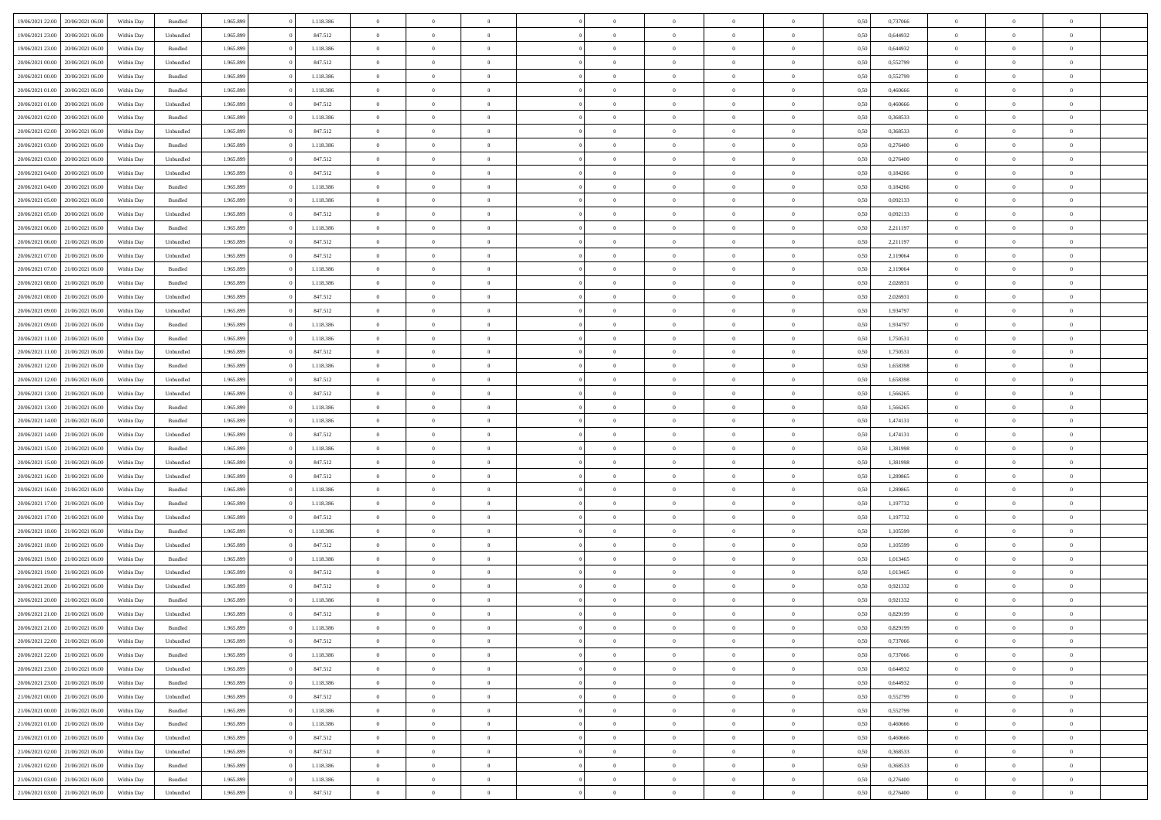| 19/06/2021 22:00 20/06/2021 06:00    | Within Day | Bundled   | 1.965.899 | 1.118.386 | $\overline{0}$ | $\overline{0}$ | $\Omega$       | $\Omega$       | $\Omega$       |                | $\overline{0}$ | 0,50 | 0,737066 | $\mathbf{0}$   | $\Omega$       | $\Omega$       |  |
|--------------------------------------|------------|-----------|-----------|-----------|----------------|----------------|----------------|----------------|----------------|----------------|----------------|------|----------|----------------|----------------|----------------|--|
| 19/06/2021 23:00<br>20/06/2021 06:00 | Within Day | Unbundled | 1.965.899 | 847.512   | $\bf{0}$       | $\overline{0}$ | $\overline{0}$ | $\theta$       | $\overline{0}$ | $\overline{0}$ | $\,$ 0         | 0,50 | 0,644932 | $\mathbf{0}$   | $\theta$       | $\bf{0}$       |  |
| 19/06/2021 23:00<br>20/06/2021 06:00 | Within Day | Bundled   | 1.965.899 | 1.118.386 | $\overline{0}$ | $\overline{0}$ | $\overline{0}$ | $\bf{0}$       | $\bf{0}$       | $\overline{0}$ | $\mathbf{0}$   | 0,50 | 0,644932 | $\bf{0}$       | $\bf{0}$       | $\bf{0}$       |  |
| 20/06/2021 00:00<br>20/06/2021 06:00 | Within Day | Unbundled | 1.965.899 | 847.512   | $\overline{0}$ | $\overline{0}$ | $\overline{0}$ | $\overline{0}$ | $\overline{0}$ | $\overline{0}$ | $\overline{0}$ | 0.50 | 0,552799 | $\mathbf{0}$   | $\overline{0}$ | $\bf{0}$       |  |
| 20/06/2021 00:00<br>20/06/2021 06:00 | Within Day | Bundled   | 1.965.899 | 1.118.386 | $\bf{0}$       | $\overline{0}$ | $\overline{0}$ | $\theta$       | $\overline{0}$ | $\overline{0}$ | $\bf{0}$       | 0,50 | 0,552799 | $\mathbf{0}$   | $\theta$       | $\overline{0}$ |  |
| 20/06/2021 01:00<br>20/06/2021 06:00 | Within Day | Bundled   | 1.965.899 | 1.118.386 | $\overline{0}$ | $\overline{0}$ | $\overline{0}$ | $\bf{0}$       | $\overline{0}$ | $\overline{0}$ | $\overline{0}$ | 0,50 | 0,460666 | $\overline{0}$ | $\overline{0}$ | $\overline{0}$ |  |
| 20/06/2021 01:00<br>20/06/2021 06:00 | Within Day | Unbundled | 1.965.899 | 847.512   | $\overline{0}$ | $\overline{0}$ | $\overline{0}$ | $\overline{0}$ | $\overline{0}$ | $\overline{0}$ | $\mathbf{0}$   | 0.50 | 0.460666 | $\mathbf{0}$   | $\overline{0}$ | $\overline{0}$ |  |
| 20/06/2021 02:00<br>20/06/2021 06:00 | Within Day | Bundled   | 1.965.899 | 1.118.386 | $\bf{0}$       | $\overline{0}$ | $\overline{0}$ | $\theta$       | $\overline{0}$ | $\overline{0}$ | $\bf{0}$       | 0,50 | 0,368533 | $\theta$       | $\theta$       | $\bf{0}$       |  |
|                                      |            |           |           |           |                |                |                |                |                |                |                |      |          |                |                |                |  |
| 20/06/2021 02:00<br>20/06/2021 06:00 | Within Day | Unbundled | 1.965.899 | 847.512   | $\overline{0}$ | $\overline{0}$ | $\overline{0}$ | $\bf{0}$       | $\bf{0}$       | $\overline{0}$ | $\mathbf{0}$   | 0,50 | 0,368533 | $\bf{0}$       | $\bf{0}$       | $\bf{0}$       |  |
| 20/06/2021 03:00<br>20/06/2021 06:00 | Within Day | Bundled   | 1.965.899 | 1.118.386 | $\overline{0}$ | $\overline{0}$ | $\overline{0}$ | $\overline{0}$ | $\overline{0}$ | $\overline{0}$ | $\overline{0}$ | 0.50 | 0.276400 | $\overline{0}$ | $\overline{0}$ | $\overline{0}$ |  |
| 20/06/2021 03:00<br>20/06/2021 06:00 | Within Day | Unbundled | 1.965.899 | 847.512   | $\bf{0}$       | $\overline{0}$ | $\overline{0}$ | $\overline{0}$ | $\overline{0}$ | $\overline{0}$ | $\,$ 0         | 0,50 | 0,276400 | $\theta$       | $\theta$       | $\bf{0}$       |  |
| 20/06/2021 04:00<br>20/06/2021 06:00 | Within Day | Unbundled | 1.965.899 | 847.512   | $\overline{0}$ | $\overline{0}$ | $\overline{0}$ | $\bf{0}$       | $\bf{0}$       | $\overline{0}$ | $\mathbf{0}$   | 0,50 | 0,184266 | $\bf{0}$       | $\bf{0}$       | $\bf{0}$       |  |
| 20/06/2021 04:00<br>20/06/2021 06:00 | Within Day | Bundled   | 1.965.899 | 1.118.386 | $\overline{0}$ | $\overline{0}$ | $\overline{0}$ | $\overline{0}$ | $\overline{0}$ | $\overline{0}$ | $\overline{0}$ | 0.50 | 0.184266 | $\mathbf{0}$   | $\overline{0}$ | $\bf{0}$       |  |
| 20/06/2021 05:00<br>20/06/2021 06:00 | Within Day | Bundled   | 1.965.899 | 1.118.386 | $\bf{0}$       | $\overline{0}$ | $\overline{0}$ | $\theta$       | $\overline{0}$ | $\overline{0}$ | $\,$ 0         | 0,50 | 0,092133 | $\theta$       | $\theta$       | $\overline{0}$ |  |
| 20/06/2021 05:00<br>20/06/2021 06:00 | Within Day | Unbundled | 1.965.899 | 847.512   | $\overline{0}$ | $\overline{0}$ | $\overline{0}$ | $\bf{0}$       | $\overline{0}$ | $\overline{0}$ | $\overline{0}$ | 0,50 | 0,092133 | $\overline{0}$ | $\overline{0}$ | $\overline{0}$ |  |
| 20/06/2021 06:00<br>21/06/2021 06:00 | Within Day | Bundled   | 1.965.899 | 1.118.386 | $\overline{0}$ | $\overline{0}$ | $\overline{0}$ | $\overline{0}$ | $\overline{0}$ | $\overline{0}$ | $\mathbf{0}$   | 0.50 | 2,211197 | $\overline{0}$ | $\overline{0}$ | $\overline{0}$ |  |
| 20/06/2021 06:00<br>21/06/2021 06:00 | Within Day | Unbundled | 1.965.899 | 847.512   | $\bf{0}$       | $\overline{0}$ | $\overline{0}$ | $\overline{0}$ | $\overline{0}$ | $\overline{0}$ | $\bf{0}$       | 0,50 | 2,211197 | $\theta$       | $\theta$       | $\bf{0}$       |  |
| 20/06/2021 07:00<br>21/06/2021 06:00 | Within Day | Unbundled | 1.965.899 | 847.512   | $\overline{0}$ | $\overline{0}$ | $\bf{0}$       | $\bf{0}$       | $\bf{0}$       | $\overline{0}$ | $\mathbf{0}$   | 0,50 | 2,119064 | $\bf{0}$       | $\bf{0}$       | $\bf{0}$       |  |
| 20/06/2021 07:00<br>21/06/2021 06:00 | Within Day | Bundled   | 1.965.899 | 1.118.386 | $\overline{0}$ | $\overline{0}$ | $\overline{0}$ | $\overline{0}$ | $\overline{0}$ | $\overline{0}$ | $\overline{0}$ | 0.50 | 2.119064 | $\overline{0}$ | $\overline{0}$ | $\overline{0}$ |  |
| 20/06/2021 08:00<br>21/06/2021 06:00 | Within Day | Bundled   | 1.965.899 | 1.118.386 | $\bf{0}$       | $\overline{0}$ | $\overline{0}$ | $\overline{0}$ | $\overline{0}$ | $\overline{0}$ | $\,$ 0         | 0,50 | 2,026931 | $\theta$       | $\theta$       | $\bf{0}$       |  |
|                                      |            |           |           |           |                |                |                |                |                |                |                |      |          |                |                |                |  |
| 20/06/2021 08:00<br>21/06/2021 06:00 | Within Day | Unbundled | 1.965.899 | 847.512   | $\overline{0}$ | $\overline{0}$ | $\overline{0}$ | $\bf{0}$       | $\bf{0}$       | $\overline{0}$ | $\mathbf{0}$   | 0,50 | 2,026931 | $\bf{0}$       | $\bf{0}$       | $\bf{0}$       |  |
| 20/06/2021 09:00<br>21/06/2021 06:00 | Within Day | Unbundled | 1.965.899 | 847.512   | $\overline{0}$ | $\overline{0}$ | $\overline{0}$ | $\overline{0}$ | $\overline{0}$ | $\overline{0}$ | $\overline{0}$ | 0.50 | 1,934797 | $\overline{0}$ | $\overline{0}$ | $\bf{0}$       |  |
| 20/06/2021 09:00<br>21/06/2021 06:00 | Within Day | Bundled   | 1.965.899 | 1.118.386 | $\bf{0}$       | $\overline{0}$ | $\overline{0}$ | $\overline{0}$ | $\overline{0}$ | $\overline{0}$ | $\,$ 0         | 0,50 | 1,934797 | $\mathbf{0}$   | $\theta$       | $\bf{0}$       |  |
| 20/06/2021 11:00<br>21/06/2021 06:00 | Within Day | Bundled   | 1.965.899 | 1.118.386 | $\overline{0}$ | $\overline{0}$ | $\overline{0}$ | $\bf{0}$       | $\overline{0}$ | $\overline{0}$ | $\overline{0}$ | 0,50 | 1,750531 | $\overline{0}$ | $\overline{0}$ | $\overline{0}$ |  |
| 20/06/2021 11:00<br>21/06/2021 06:00 | Within Day | Unbundled | 1.965.899 | 847.512   | $\overline{0}$ | $\overline{0}$ | $\overline{0}$ | $\overline{0}$ | $\overline{0}$ | $\overline{0}$ | $\overline{0}$ | 0.50 | 1,750531 | $\overline{0}$ | $\overline{0}$ | $\overline{0}$ |  |
| 20/06/2021 12:00<br>21/06/2021 06:00 | Within Day | Bundled   | 1.965.899 | 1.118.386 | $\bf{0}$       | $\overline{0}$ | $\bf{0}$       | $\overline{0}$ | $\overline{0}$ | $\overline{0}$ | $\bf{0}$       | 0,50 | 1,658398 | $\theta$       | $\theta$       | $\bf{0}$       |  |
| 20/06/2021 12:00<br>21/06/2021 06:00 | Within Day | Unbundled | 1.965.899 | 847.512   | $\overline{0}$ | $\overline{0}$ | $\bf{0}$       | $\bf{0}$       | $\bf{0}$       | $\overline{0}$ | $\mathbf{0}$   | 0,50 | 1,658398 | $\bf{0}$       | $\bf{0}$       | $\bf{0}$       |  |
| 20/06/2021 13:00<br>21/06/2021 06:00 | Within Day | Unbundled | 1.965.899 | 847.512   | $\overline{0}$ | $\overline{0}$ | $\overline{0}$ | $\overline{0}$ | $\overline{0}$ | $\overline{0}$ | $\overline{0}$ | 0.50 | 1,566265 | $\overline{0}$ | $\overline{0}$ | $\bf{0}$       |  |
| 20/06/2021 13:00<br>21/06/2021 06:00 | Within Day | Bundled   | 1.965.899 | 1.118.386 | $\bf{0}$       | $\overline{0}$ | $\overline{0}$ | $\overline{0}$ | $\overline{0}$ | $\overline{0}$ | $\,$ 0         | 0,50 | 1,566265 | $\,$ 0 $\,$    | $\theta$       | $\bf{0}$       |  |
| 20/06/2021 14:00<br>21/06/2021 06:00 | Within Day | Bundled   | 1.965.899 | 1.118.386 | $\overline{0}$ | $\overline{0}$ | $\overline{0}$ | $\bf{0}$       | $\bf{0}$       | $\overline{0}$ | $\mathbf{0}$   | 0,50 | 1,474131 | $\overline{0}$ | $\bf{0}$       | $\bf{0}$       |  |
| 20/06/2021 14:00<br>21/06/2021 06:00 | Within Day | Unbundled | 1.965.899 | 847.512   | $\overline{0}$ | $\overline{0}$ | $\overline{0}$ | $\overline{0}$ | $\overline{0}$ | $\Omega$       | $\overline{0}$ | 0,50 | 1,474131 | $\bf{0}$       | $\Omega$       | $\Omega$       |  |
| 20/06/2021 15:00<br>21/06/2021 06:00 | Within Day | Bundled   | 1.965.899 | 1.118.386 | $\bf{0}$       | $\overline{0}$ | $\overline{0}$ | $\theta$       | $\overline{0}$ | $\overline{0}$ | $\,$ 0         | 0,50 | 1,381998 | $\theta$       | $\theta$       | $\bf{0}$       |  |
| 20/06/2021 15:00<br>21/06/2021 06:00 | Within Day | Unbundled | 1.965.899 | 847.512   | $\overline{0}$ | $\overline{0}$ | $\overline{0}$ | $\bf{0}$       | $\overline{0}$ | $\overline{0}$ | $\overline{0}$ | 0,50 | 1,381998 | $\overline{0}$ | $\overline{0}$ | $\overline{0}$ |  |
|                                      |            |           |           |           |                |                |                |                |                |                |                |      |          |                |                |                |  |
| 20/06/2021 16:00<br>21/06/2021 06:00 | Within Day | Unbundled | 1.965.899 | 847.512   | $\overline{0}$ | $\overline{0}$ | $\overline{0}$ | $\overline{0}$ | $\overline{0}$ | $\Omega$       | $\overline{0}$ | 0.50 | 1,289865 | $\overline{0}$ | $\Omega$       | $\Omega$       |  |
| 20/06/2021 16:00<br>21/06/2021 06:00 | Within Day | Bundled   | 1.965.899 | 1.118.386 | $\bf{0}$       | $\overline{0}$ | $\bf{0}$       | $\overline{0}$ | $\overline{0}$ | $\overline{0}$ | $\bf{0}$       | 0,50 | 1,289865 | $\overline{0}$ | $\theta$       | $\bf{0}$       |  |
| 20/06/2021 17:00<br>21/06/2021 06:00 | Within Day | Bundled   | 1.965.899 | 1.118.386 | $\overline{0}$ | $\overline{0}$ | $\bf{0}$       | $\bf{0}$       | $\bf{0}$       | $\overline{0}$ | $\bf{0}$       | 0,50 | 1,197732 | $\bf{0}$       | $\bf{0}$       | $\bf{0}$       |  |
| 20/06/2021 17:00<br>21/06/2021 06:00 | Within Day | Unbundled | 1.965.899 | 847.512   | $\overline{0}$ | $\overline{0}$ | $\overline{0}$ | $\overline{0}$ | $\overline{0}$ | $\Omega$       | $\theta$       | 0.50 | 1,197732 | $\overline{0}$ | $\Omega$       | $\Omega$       |  |
| 20/06/2021 18:00<br>21/06/2021 06:00 | Within Day | Bundled   | 1.965.899 | 1.118.386 | $\bf{0}$       | $\overline{0}$ | $\bf{0}$       | $\overline{0}$ | $\overline{0}$ | $\overline{0}$ | $\,$ 0         | 0,50 | 1,105599 | $\,$ 0 $\,$    | $\theta$       | $\bf{0}$       |  |
| 20/06/2021 18:00<br>21/06/2021 06:00 | Within Day | Unbundled | 1.965.899 | 847.512   | $\overline{0}$ | $\overline{0}$ | $\overline{0}$ | $\bf{0}$       | $\bf{0}$       | $\overline{0}$ | $\mathbf{0}$   | 0,50 | 1,105599 | $\overline{0}$ | $\bf{0}$       | $\bf{0}$       |  |
| 20/06/2021 19:00<br>21/06/2021 06:00 | Within Day | Bundled   | 1.965.899 | 1.118.386 | $\overline{0}$ | $\overline{0}$ | $\overline{0}$ | $\overline{0}$ | $\bf{0}$       | $\Omega$       | $\overline{0}$ | 0.50 | 1,013465 | $\overline{0}$ | $\Omega$       | $\Omega$       |  |
| 20/06/2021 19:00<br>21/06/2021 06:00 | Within Day | Unbundled | 1.965.899 | 847.512   | $\bf{0}$       | $\overline{0}$ | $\bf{0}$       | $\overline{0}$ | $\overline{0}$ | $\overline{0}$ | $\,$ 0         | 0,50 | 1,013465 | $\,0\,$        | $\theta$       | $\bf{0}$       |  |
| 20/06/2021 20:00<br>21/06/2021 06:00 | Within Day | Unbundled | 1.965.899 | 847.512   | $\overline{0}$ | $\overline{0}$ | $\overline{0}$ | $\bf{0}$       | $\overline{0}$ | $\overline{0}$ | $\overline{0}$ | 0,50 | 0,921332 | $\overline{0}$ | $\bf{0}$       | $\bf{0}$       |  |
| 20/06/2021 20:00<br>21/06/2021 06.00 | Within Day | Bundled   | 1.965.899 | 1.118.386 | $\overline{0}$ | $\Omega$       | $\Omega$       | $\Omega$       | $\overline{0}$ | $\Omega$       | $\overline{0}$ | 0.50 | 0,921332 | $\bf{0}$       | $\Omega$       | $\Omega$       |  |
| 20/06/2021 21:00<br>21/06/2021 06:00 | Within Day | Unbundled | 1.965.899 | 847.512   | $\bf{0}$       | $\bf{0}$       | $\bf{0}$       | $\bf{0}$       | $\bf{0}$       | $\overline{0}$ | $\,$ 0         | 0,50 | 0,829199 | $\bf{0}$       | $\,$ 0         | $\bf{0}$       |  |
| 20/06/2021 21:00 21/06/2021 06:00    | Within Day | Bundled   | 1.965.899 | 1.118.386 | $\bf{0}$       | $\bf{0}$       |                | $\bf{0}$       |                |                |                | 0,50 | 0,829199 | $\bf{0}$       | $\bf{0}$       |                |  |
| 20/06/2021 22:00 21/06/2021 06:00    | Within Day | Unbundled | 1.965.899 | 847.512   | $\overline{0}$ | $\overline{0}$ | $\theta$       | $\overline{0}$ | $\overline{0}$ | $\overline{0}$ | $\mathbf{0}$   | 0,50 | 0.737066 | $\overline{0}$ | $\theta$       | $\theta$       |  |
| 20/06/2021 22.00 21/06/2021 06:00    | Within Day | Bundled   | 1.965.899 | 1.118.386 | $\overline{0}$ | $\overline{0}$ | $\overline{0}$ | $\bf{0}$       | $\overline{0}$ | $\overline{0}$ | $\mathbf{0}$   | 0,50 | 0,737066 | $\,0\,$        | $\overline{0}$ | $\,$ 0 $\,$    |  |
|                                      |            |           |           |           |                |                |                |                |                |                |                |      |          |                |                |                |  |
| 20/06/2021 23:00 21/06/2021 06:00    | Within Day | Unbundled | 1.965.899 | 847.512   | $\overline{0}$ | $\overline{0}$ | $\overline{0}$ | $\bf{0}$       | $\overline{0}$ | $\overline{0}$ | $\overline{0}$ | 0,50 | 0,644932 | $\overline{0}$ | $\overline{0}$ | $\overline{0}$ |  |
| 21/06/2021 06:00<br>20/06/2021 23:00 | Within Day | Bundled   | 1.965.899 | 1.118.386 | $\overline{0}$ | $\overline{0}$ | $\overline{0}$ | $\overline{0}$ | $\bf{0}$       | $\overline{0}$ | $\overline{0}$ | 0,50 | 0,644932 | $\overline{0}$ | $\overline{0}$ | $\overline{0}$ |  |
| 21/06/2021 00:00<br>21/06/2021 06:00 | Within Day | Unbundled | 1.965.899 | 847.512   | $\overline{0}$ | $\overline{0}$ | $\overline{0}$ | $\overline{0}$ | $\overline{0}$ | $\overline{0}$ | $\mathbf{0}$   | 0,50 | 0,552799 | $\,0\,$        | $\theta$       | $\bf{0}$       |  |
| 21/06/2021 00:00 21/06/2021 06:00    | Within Day | Bundled   | 1.965.899 | 1.118.386 | $\overline{0}$ | $\overline{0}$ | $\overline{0}$ | $\bf{0}$       | $\overline{0}$ | $\overline{0}$ | $\overline{0}$ | 0,50 | 0,552799 | $\overline{0}$ | $\overline{0}$ | $\overline{0}$ |  |
| 21/06/2021 01:00<br>21/06/2021 06:00 | Within Day | Bundled   | 1.965.899 | 1.118.386 | $\overline{0}$ | $\overline{0}$ | $\overline{0}$ | $\overline{0}$ | $\overline{0}$ | $\overline{0}$ | $\overline{0}$ | 0.50 | 0.460666 | $\overline{0}$ | $\overline{0}$ | $\overline{0}$ |  |
| 21/06/2021 01:00 21/06/2021 06:00    | Within Day | Unbundled | 1.965.899 | 847.512   | $\overline{0}$ | $\overline{0}$ | $\overline{0}$ | $\bf{0}$       | $\bf{0}$       | $\overline{0}$ | $\,$ 0 $\,$    | 0,50 | 0,460666 | $\,0\,$        | $\theta$       | $\,$ 0         |  |
| 21/06/2021 02:00 21/06/2021 06:00    | Within Day | Unbundled | 1.965.899 | 847.512   | $\overline{0}$ | $\overline{0}$ | $\overline{0}$ | $\bf{0}$       | $\overline{0}$ | $\overline{0}$ | $\overline{0}$ | 0,50 | 0,368533 | $\bf{0}$       | $\bf{0}$       | $\overline{0}$ |  |
| 21/06/2021 06:00<br>21/06/2021 02:00 | Within Day | Bundled   | 1.965.899 | 1.118.386 | $\overline{0}$ | $\overline{0}$ | $\overline{0}$ | $\overline{0}$ | $\overline{0}$ | $\overline{0}$ | $\overline{0}$ | 0,50 | 0.368533 | $\overline{0}$ | $\overline{0}$ | $\overline{0}$ |  |
| 21/06/2021 03:00<br>21/06/2021 06:00 | Within Day | Bundled   | 1.965.899 | 1.118.386 | $\overline{0}$ | $\overline{0}$ | $\overline{0}$ | $\bf{0}$       | $\bf{0}$       | $\bf{0}$       | $\,$ 0 $\,$    | 0,50 | 0,276400 | $\,0\,$        | $\,0\,$        | $\,$ 0         |  |
| 21/06/2021 03:00 21/06/2021 06:00    | Within Day | Unbundled | 1.965.899 | 847.512   | $\overline{0}$ | $\overline{0}$ | $\overline{0}$ | $\bf{0}$       | $\overline{0}$ | $\overline{0}$ | $\overline{0}$ | 0,50 | 0,276400 | $\bf{0}$       | $\bf{0}$       | $\overline{0}$ |  |
|                                      |            |           |           |           |                |                |                |                |                |                |                |      |          |                |                |                |  |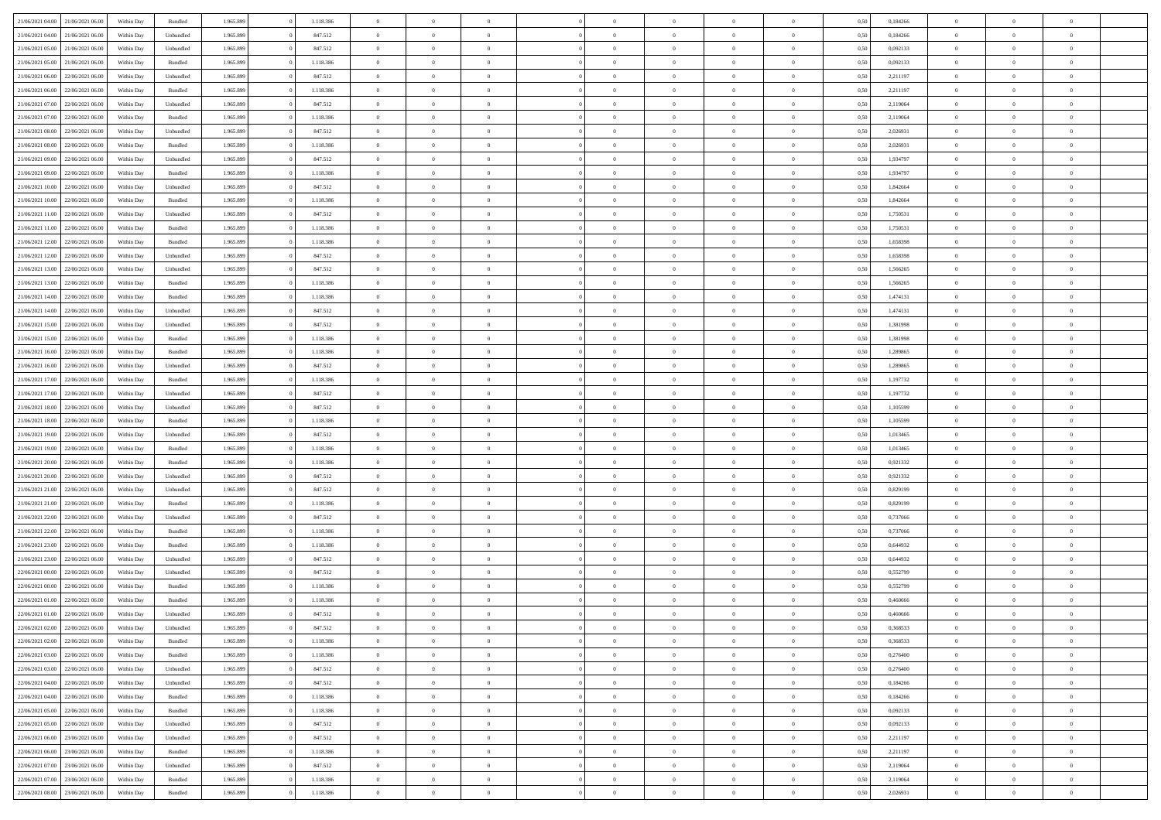| 21/06/2021 04:00                  | 21/06/2021 06:00 | Within Dav | Bundled   | 1.965.899 | 1.118.386 | $\overline{0}$ | $\Omega$       |                | $\Omega$       | $\Omega$       | $\Omega$       | $\theta$       | 0,50 | 0,184266 | $\theta$       | $\theta$       | $\theta$       |  |
|-----------------------------------|------------------|------------|-----------|-----------|-----------|----------------|----------------|----------------|----------------|----------------|----------------|----------------|------|----------|----------------|----------------|----------------|--|
|                                   |                  |            |           |           |           |                |                |                |                |                |                |                |      |          |                |                |                |  |
| 21/06/2021 04:00                  | 21/06/2021 06:00 | Within Day | Unbundled | 1.965.899 | 847.512   | $\overline{0}$ | $\theta$       | $\overline{0}$ | $\overline{0}$ | $\bf{0}$       | $\overline{0}$ | $\bf{0}$       | 0,50 | 0,184266 | $\theta$       | $\theta$       | $\overline{0}$ |  |
| 21/06/2021 05:00                  | 21/06/2021 06:00 | Within Day | Unbundled | 1.965.899 | 847.512   | $\overline{0}$ | $\overline{0}$ | $\overline{0}$ | $\bf{0}$       | $\bf{0}$       | $\bf{0}$       | $\mathbf{0}$   | 0,50 | 0,092133 | $\bf{0}$       | $\overline{0}$ | $\overline{0}$ |  |
| 21/06/2021 05:00                  | 21/06/2021 06:00 | Within Dav | Bundled   | 1.965.899 | 1.118.386 | $\overline{0}$ | $\overline{0}$ | $\overline{0}$ | $\overline{0}$ | $\bf{0}$       | $\overline{0}$ | $\overline{0}$ | 0.50 | 0,092133 | $\theta$       | $\theta$       | $\overline{0}$ |  |
|                                   |                  |            |           |           |           | $\overline{0}$ | $\theta$       | $\overline{0}$ |                | $\bf{0}$       | $\overline{0}$ |                |      |          | $\,$ 0 $\,$    | $\overline{0}$ | $\overline{0}$ |  |
| 21/06/2021 06:00                  | 22/06/2021 06:00 | Within Day | Unbundled | 1.965.899 | 847.512   |                |                |                | $\overline{0}$ |                |                | $\bf{0}$       | 0,50 | 2,211197 |                |                |                |  |
| 21/06/2021 06:00                  | 22/06/2021 06:00 | Within Day | Bundled   | 1.965.899 | 1.118.386 | $\overline{0}$ | $\overline{0}$ | $\overline{0}$ | $\bf{0}$       | $\overline{0}$ | $\overline{0}$ | $\mathbf{0}$   | 0,50 | 2,211197 | $\overline{0}$ | $\overline{0}$ | $\bf{0}$       |  |
| 21/06/2021 07:00                  | 22/06/2021 06:00 | Within Dav | Unbundled | 1.965.899 | 847.512   | $\overline{0}$ | $\overline{0}$ | $\overline{0}$ | $\overline{0}$ | $\overline{0}$ | $\overline{0}$ | $\overline{0}$ | 0.50 | 2,119064 | $\theta$       | $\overline{0}$ | $\overline{0}$ |  |
| 21/06/2021 07:00                  | 22/06/2021 06:00 | Within Day | Bundled   | 1.965.899 | 1.118.386 | $\overline{0}$ | $\theta$       | $\overline{0}$ | $\overline{0}$ | $\bf{0}$       | $\overline{0}$ | $\bf{0}$       | 0,50 | 2,119064 | $\theta$       | $\theta$       | $\overline{0}$ |  |
| 21/06/2021 08:00                  | 22/06/2021 06:00 | Within Day | Unbundled | 1.965.899 | 847.512   | $\overline{0}$ | $\overline{0}$ | $\overline{0}$ | $\bf{0}$       | $\bf{0}$       | $\bf{0}$       | $\mathbf{0}$   | 0,50 | 2,026931 | $\,0\,$        | $\overline{0}$ | $\overline{0}$ |  |
|                                   |                  |            |           |           |           |                | $\overline{0}$ |                |                | $\overline{0}$ |                |                |      |          | $\theta$       | $\overline{0}$ | $\overline{0}$ |  |
| 21/06/2021 08:00                  | 22/06/2021 06:00 | Within Dav | Bundled   | 1.965.899 | 1.118.386 | $\overline{0}$ |                | $\overline{0}$ | $\overline{0}$ |                | $\overline{0}$ | $\overline{0}$ | 0.50 | 2,026931 |                |                |                |  |
| 21/06/2021 09:00                  | 22/06/2021 06:00 | Within Day | Unbundled | 1.965.899 | 847.512   | $\overline{0}$ | $\theta$       | $\overline{0}$ | $\overline{0}$ | $\bf{0}$       | $\overline{0}$ | $\bf{0}$       | 0,50 | 1,934797 | $\,$ 0 $\,$    | $\overline{0}$ | $\overline{0}$ |  |
| 21/06/2021 09:00                  | 22/06/2021 06:00 | Within Day | Bundled   | 1.965.899 | 1.118.386 | $\overline{0}$ | $\overline{0}$ | $\overline{0}$ | $\bf{0}$       | $\bf{0}$       | $\bf{0}$       | $\mathbf{0}$   | 0,50 | 1,934797 | $\overline{0}$ | $\overline{0}$ | $\overline{0}$ |  |
| 21/06/2021 10:00                  | 22/06/2021 06:00 | Within Day | Unbundled | 1.965.899 | 847.512   | $\overline{0}$ | $\overline{0}$ | $\overline{0}$ | $\overline{0}$ | $\bf{0}$       | $\overline{0}$ | $\overline{0}$ | 0.50 | 1.842664 | $\theta$       | $\theta$       | $\overline{0}$ |  |
| 21/06/2021 10:00                  | 22/06/2021 06:00 | Within Day | Bundled   | 1.965.899 | 1.118.386 | $\overline{0}$ | $\theta$       | $\overline{0}$ | $\overline{0}$ | $\bf{0}$       | $\overline{0}$ | $\bf{0}$       | 0,50 | 1,842664 | $\theta$       | $\theta$       | $\overline{0}$ |  |
|                                   |                  |            |           |           |           |                |                |                |                |                |                |                |      |          |                |                |                |  |
| 21/06/2021 11:00                  | 22/06/2021 06:00 | Within Day | Unbundled | 1.965.899 | 847.512   | $\overline{0}$ | $\overline{0}$ | $\overline{0}$ | $\bf{0}$       | $\overline{0}$ | $\overline{0}$ | $\mathbf{0}$   | 0,50 | 1,750531 | $\overline{0}$ | $\overline{0}$ | $\bf{0}$       |  |
| 21/06/2021 11:00                  | 22/06/2021 06:00 | Within Dav | Bundled   | 1.965.899 | 1.118.386 | $\overline{0}$ | $\overline{0}$ | $\overline{0}$ | $\overline{0}$ | $\overline{0}$ | $\overline{0}$ | $\overline{0}$ | 0.50 | 1,750531 | $\theta$       | $\overline{0}$ | $\overline{0}$ |  |
| 21/06/2021 12:00                  | 22/06/2021 06:00 | Within Day | Bundled   | 1.965.899 | 1.118.386 | $\overline{0}$ | $\theta$       | $\overline{0}$ | $\overline{0}$ | $\bf{0}$       | $\overline{0}$ | $\bf{0}$       | 0,50 | 1,658398 | $\theta$       | $\theta$       | $\overline{0}$ |  |
| 21/06/2021 12:00                  | 22/06/2021 06:00 | Within Day | Unbundled | 1.965.899 | 847.512   | $\overline{0}$ | $\overline{0}$ | $\overline{0}$ | $\bf{0}$       | $\bf{0}$       | $\bf{0}$       | $\mathbf{0}$   | 0,50 | 1,658398 | $\bf{0}$       | $\overline{0}$ | $\overline{0}$ |  |
| 21/06/2021 13:00                  | 22/06/2021 06:00 | Within Day | Unbundled | 1.965.899 | 847.512   | $\overline{0}$ | $\overline{0}$ | $\overline{0}$ | $\overline{0}$ | $\overline{0}$ | $\overline{0}$ | $\overline{0}$ | 0.50 | 1,566265 | $\theta$       | $\overline{0}$ | $\overline{0}$ |  |
| 21/06/2021 13:00                  | 22/06/2021 06:00 | Within Day | Bundled   | 1.965.899 | 1.118.386 | $\overline{0}$ | $\theta$       | $\overline{0}$ | $\overline{0}$ | $\bf{0}$       | $\overline{0}$ | $\bf{0}$       | 0,50 | 1,566265 | $\,$ 0 $\,$    | $\theta$       | $\overline{0}$ |  |
|                                   |                  |            |           |           |           |                |                |                |                |                |                |                |      |          |                |                |                |  |
| 21/06/2021 14:00                  | 22/06/2021 06:00 | Within Day | Bundled   | 1.965.899 | 1.118.386 | $\overline{0}$ | $\overline{0}$ | $\overline{0}$ | $\bf{0}$       | $\bf{0}$       | $\bf{0}$       | $\mathbf{0}$   | 0,50 | 1,474131 | $\overline{0}$ | $\overline{0}$ | $\overline{0}$ |  |
| 21/06/2021 14:00                  | 22/06/2021 06:00 | Within Day | Unbundled | 1.965.899 | 847.512   | $\overline{0}$ | $\overline{0}$ | $\overline{0}$ | $\overline{0}$ | $\bf{0}$       | $\overline{0}$ | $\overline{0}$ | 0.50 | 1,474131 | $\theta$       | $\overline{0}$ | $\overline{0}$ |  |
| 21/06/2021 15:00                  | 22/06/2021 06:00 | Within Day | Unbundled | 1.965.899 | 847.512   | $\overline{0}$ | $\theta$       | $\overline{0}$ | $\overline{0}$ | $\bf{0}$       | $\overline{0}$ | $\bf{0}$       | 0,50 | 1,381998 | $\,$ 0 $\,$    | $\overline{0}$ | $\overline{0}$ |  |
| 21/06/2021 15:00                  | 22/06/2021 06:00 | Within Day | Bundled   | 1.965.899 | 1.118.386 | $\overline{0}$ | $\overline{0}$ | $\overline{0}$ | $\bf{0}$       | $\overline{0}$ | $\overline{0}$ | $\mathbf{0}$   | 0,50 | 1,381998 | $\overline{0}$ | $\overline{0}$ | $\bf{0}$       |  |
| 21/06/2021 16:00                  | 22/06/2021 06:00 | Within Dav | Bundled   | 1.965.899 | 1.118.386 | $\overline{0}$ | $\overline{0}$ | $\overline{0}$ | $\overline{0}$ | $\overline{0}$ | $\overline{0}$ | $\overline{0}$ | 0.50 | 1,289865 | $\theta$       | $\overline{0}$ | $\overline{0}$ |  |
| 21/06/2021 16:00                  | 22/06/2021 06:00 | Within Day | Unbundled | 1.965.899 | 847.512   | $\overline{0}$ | $\theta$       | $\overline{0}$ | $\overline{0}$ | $\bf{0}$       | $\overline{0}$ | $\bf{0}$       | 0,50 | 1,289865 | $\theta$       | $\theta$       | $\overline{0}$ |  |
| 21/06/2021 17:00                  | 22/06/2021 06:00 | Within Day | Bundled   | 1.965.899 | 1.118.386 | $\overline{0}$ | $\overline{0}$ | $\overline{0}$ | $\bf{0}$       | $\bf{0}$       | $\bf{0}$       | $\bf{0}$       | 0,50 | 1,197732 | $\,0\,$        | $\overline{0}$ | $\overline{0}$ |  |
|                                   |                  |            |           |           |           |                | $\overline{0}$ |                |                | $\overline{0}$ |                |                |      |          | $\theta$       | $\overline{0}$ | $\overline{0}$ |  |
| 21/06/2021 17:00                  | 22/06/2021 06:00 | Within Day | Unbundled | 1.965.899 | 847.512   | $\overline{0}$ |                | $\overline{0}$ | $\overline{0}$ |                | $\overline{0}$ | $\overline{0}$ | 0.50 | 1,197732 |                |                |                |  |
| 21/06/2021 18:00                  | 22/06/2021 06:00 | Within Day | Unbundled | 1.965.899 | 847.512   | $\overline{0}$ | $\theta$       | $\overline{0}$ | $\overline{0}$ | $\bf{0}$       | $\overline{0}$ | $\bf{0}$       | 0,50 | 1,105599 | $\,$ 0 $\,$    | $\overline{0}$ | $\overline{0}$ |  |
| 21/06/2021 18:00                  | 22/06/2021 06:00 | Within Day | Bundled   | 1.965.899 | 1.118.386 | $\overline{0}$ | $\overline{0}$ | $\overline{0}$ | $\bf{0}$       | $\bf{0}$       | $\bf{0}$       | $\bf{0}$       | 0,50 | 1,105599 | $\overline{0}$ | $\overline{0}$ | $\overline{0}$ |  |
| 21/06/2021 19:00                  | 22/06/2021 06:00 | Within Day | Unbundled | 1.965.899 | 847.512   | $\overline{0}$ | $\Omega$       | $\overline{0}$ | $\Omega$       | $\Omega$       | $\overline{0}$ | $\overline{0}$ | 0,50 | 1,013465 | $\,0\,$        | $\theta$       | $\theta$       |  |
| 21/06/2021 19:00                  | 22/06/2021 06:00 | Within Day | Bundled   | 1.965.899 | 1.118.386 | $\overline{0}$ | $\theta$       | $\overline{0}$ | $\overline{0}$ | $\bf{0}$       | $\overline{0}$ | $\bf{0}$       | 0,50 | 1,013465 | $\,$ 0 $\,$    | $\theta$       | $\overline{0}$ |  |
| 21/06/2021 20:00                  | 22/06/2021 06:00 | Within Day | Bundled   | 1.965.899 | 1.118.386 | $\overline{0}$ | $\overline{0}$ | $\overline{0}$ | $\bf{0}$       | $\bf{0}$       | $\overline{0}$ | $\mathbf{0}$   | 0,50 | 0,921332 | $\overline{0}$ | $\overline{0}$ | $\bf{0}$       |  |
| 21/06/2021 20:00                  | 22/06/2021 06:00 |            | Unbundled | 1.965.899 | 847.512   | $\overline{0}$ | $\Omega$       | $\Omega$       | $\Omega$       | $\bf{0}$       | $\overline{0}$ | $\overline{0}$ | 0.50 | 0,921332 | $\,0\,$        | $\theta$       | $\theta$       |  |
|                                   |                  | Within Day |           |           |           |                |                |                |                |                |                |                |      |          |                |                |                |  |
| 21/06/2021 21:00                  | 22/06/2021 06:00 | Within Day | Unbundled | 1.965.899 | 847.512   | $\overline{0}$ | $\theta$       | $\overline{0}$ | $\overline{0}$ | $\bf{0}$       | $\overline{0}$ | $\bf{0}$       | 0,50 | 0,829199 | $\,$ 0 $\,$    | $\theta$       | $\overline{0}$ |  |
| 21/06/2021 21:00                  | 22/06/2021 06:00 | Within Day | Bundled   | 1.965.899 | 1.118.386 | $\overline{0}$ | $\overline{0}$ | $\overline{0}$ | $\bf{0}$       | $\bf{0}$       | $\bf{0}$       | $\mathbf{0}$   | 0,50 | 0,829199 | $\bf{0}$       | $\overline{0}$ | $\overline{0}$ |  |
| 21/06/2021 22:00                  | 22/06/2021 06:00 | Within Day | Unbundled | 1.965.899 | 847.512   | $\overline{0}$ | $\Omega$       | $\overline{0}$ | $\Omega$       | $\overline{0}$ | $\overline{0}$ | $\overline{0}$ | 0.50 | 0,737066 | $\,$ 0 $\,$    | $\theta$       | $\theta$       |  |
| 21/06/2021 22:00                  | 22/06/2021 06:00 | Within Day | Bundled   | 1.965.899 | 1.118.386 | $\overline{0}$ | $\theta$       | $\overline{0}$ | $\overline{0}$ | $\,$ 0         | $\overline{0}$ | $\bf{0}$       | 0,50 | 0,737066 | $\,$ 0 $\,$    | $\overline{0}$ | $\overline{0}$ |  |
| 21/06/2021 23:00                  | 22/06/2021 06:00 | Within Day | Bundled   | 1.965.899 | 1.118.386 | $\overline{0}$ | $\overline{0}$ | $\overline{0}$ | $\bf{0}$       | $\bf{0}$       | $\bf{0}$       | $\mathbf{0}$   | 0,50 | 0,644932 | $\bf{0}$       | $\overline{0}$ | $\overline{0}$ |  |
| 21/06/2021 23:00                  | 22/06/2021 06:00 | Within Day | Unbundled | 1.965.899 | 847.512   | $\overline{0}$ | $\Omega$       | $\overline{0}$ | $\Omega$       | $\overline{0}$ | $\overline{0}$ | $\overline{0}$ | 0,50 | 0.644932 | $\,0\,$        | $\theta$       | $\theta$       |  |
|                                   |                  |            |           |           |           | $\overline{0}$ | $\theta$       | $\overline{0}$ | $\overline{0}$ |                | $\overline{0}$ |                |      |          | $\,$ 0 $\,$    | $\overline{0}$ | $\overline{0}$ |  |
| 22/06/2021 00:00                  | 22/06/2021 06:00 | Within Day | Unbundled | 1.965.899 | 847.512   |                |                |                |                | $\,$ 0         |                | $\bf{0}$       | 0,50 | 0,552799 |                |                |                |  |
| 22/06/2021 00:00                  | 22/06/2021 06:00 | Within Day | Bundled   | 1.965.899 | 1.118.386 | $\overline{0}$ | $\bf{0}$       | $\overline{0}$ | $\bf{0}$       | $\bf{0}$       | $\bf{0}$       | $\mathbf{0}$   | 0,50 | 0,552799 | $\bf{0}$       | $\overline{0}$ | $\bf{0}$       |  |
| 22/06/2021 01:00                  | 22/06/2021 06.00 | Within Day | Bundled   | 1.965.899 | 1.118.386 | $\overline{0}$ | $\Omega$       | $\Omega$       | $\Omega$       | $\Omega$       | $\Omega$       | $\overline{0}$ | 0.50 | 0.460666 | $\theta$       | $\theta$       | $\theta$       |  |
| 22/06/2021 01:00                  | 22/06/2021 06:00 | Within Day | Unbundled | 1.965.899 | 847.512   | $\overline{0}$ | $\overline{0}$ | $\overline{0}$ | $\bf{0}$       | $\,$ 0         | $\bf{0}$       | $\bf{0}$       | 0,50 | 0,460666 | $\,0\,$        | $\overline{0}$ | $\overline{0}$ |  |
| 22/06/2021 02:00                  | 22/06/2021 06:00 | Within Day | Unbundled | 1.965.899 | 847.512   | $\bf{0}$       | $\bf{0}$       |                |                | $\bf{0}$       |                |                | 0,50 | 0,368533 | $\bf{0}$       | $\overline{0}$ |                |  |
| 22/06/2021 02:00                  | 22/06/2021 06:00 | Within Day | Bundled   | 1.965.899 | 1.118.386 | $\overline{0}$ | $\overline{0}$ | $\overline{0}$ | $\Omega$       | $\overline{0}$ | $\overline{0}$ | $\overline{0}$ | 0.50 | 0.368533 | $\theta$       | $\theta$       | $\theta$       |  |
| 22/06/2021 03:00                  | 22/06/2021 06:00 | Within Day | Bundled   | 1.965.899 | 1.118.386 | $\overline{0}$ | $\bf{0}$       | $\overline{0}$ | $\bf{0}$       | $\,$ 0 $\,$    | $\overline{0}$ | $\,$ 0 $\,$    | 0,50 | 0,276400 | $\,$ 0 $\,$    | $\,$ 0 $\,$    | $\,$ 0         |  |
|                                   |                  |            |           |           |           |                |                |                |                |                |                |                |      |          |                |                |                |  |
| 22/06/2021 03:00                  | 22/06/2021 06:00 | Within Day | Unbundled | 1.965.899 | 847.512   | $\overline{0}$ | $\overline{0}$ | $\overline{0}$ | $\overline{0}$ | $\overline{0}$ | $\overline{0}$ | $\mathbf{0}$   | 0,50 | 0,276400 | $\overline{0}$ | $\bf{0}$       | $\bf{0}$       |  |
| 22/06/2021 04:00                  | 22/06/2021 06:00 | Within Day | Unbundled | 1.965.899 | 847.512   | $\overline{0}$ | $\overline{0}$ | $\overline{0}$ | $\Omega$       | $\overline{0}$ | $\overline{0}$ | $\overline{0}$ | 0,50 | 0,184266 | $\overline{0}$ | $\theta$       | $\overline{0}$ |  |
| 22/06/2021 04:00                  | 22/06/2021 06:00 | Within Day | Bundled   | 1.965.899 | 1.118.386 | $\overline{0}$ | $\,$ 0         | $\overline{0}$ | $\overline{0}$ | $\,$ 0 $\,$    | $\overline{0}$ | $\mathbf{0}$   | 0,50 | 0,184266 | $\,$ 0 $\,$    | $\overline{0}$ | $\overline{0}$ |  |
| 22/06/2021 05:00                  | 22/06/2021 06:00 | Within Day | Bundled   | 1.965.899 | 1.118.386 | $\overline{0}$ | $\overline{0}$ | $\overline{0}$ | $\overline{0}$ | $\overline{0}$ | $\overline{0}$ | $\mathbf{0}$   | 0,50 | 0,092133 | $\overline{0}$ | $\overline{0}$ | $\bf{0}$       |  |
| 22/06/2021 05:00                  | 22/06/2021 06:00 | Within Day | Unbundled | 1.965.899 | 847.512   | $\overline{0}$ | $\overline{0}$ | $\overline{0}$ | $\Omega$       | $\overline{0}$ | $\overline{0}$ | $\bf{0}$       | 0.50 | 0,092133 | $\overline{0}$ | $\theta$       | $\overline{0}$ |  |
| 22/06/2021 06:00                  | 23/06/2021 06:00 | Within Day | Unbundled | 1.965.899 | 847.512   | $\overline{0}$ | $\,$ 0         | $\overline{0}$ | $\bf{0}$       | $\bf{0}$       | $\bf{0}$       | $\bf{0}$       | 0,50 | 2,211197 | $\,$ 0 $\,$    | $\overline{0}$ | $\overline{0}$ |  |
| 22/06/2021 06:00                  | 23/06/2021 06:00 | Within Day | Bundled   | 1.965.899 | 1.118.386 | $\overline{0}$ | $\bf{0}$       | $\overline{0}$ | $\overline{0}$ | $\overline{0}$ | $\overline{0}$ | $\mathbf{0}$   | 0,50 | 2,211197 | $\overline{0}$ | $\overline{0}$ | $\bf{0}$       |  |
|                                   |                  |            |           |           |           |                |                |                |                |                |                |                |      |          |                |                |                |  |
| 22/06/2021 07:00                  | 23/06/2021 06:00 | Within Day | Unbundled | 1.965.899 | 847.512   | $\overline{0}$ | $\overline{0}$ | $\overline{0}$ | $\Omega$       | $\overline{0}$ | $\overline{0}$ | $\overline{0}$ | 0.50 | 2,119064 | $\overline{0}$ | $\overline{0}$ | $\overline{0}$ |  |
| 22/06/2021 07:00                  | 23/06/2021 06:00 | Within Day | Bundled   | 1.965.899 | 1.118.386 | $\overline{0}$ | $\bf{0}$       | $\overline{0}$ | $\bf{0}$       | $\bf{0}$       | $\bf{0}$       | $\mathbf{0}$   | 0,50 | 2,119064 | $\,$ 0 $\,$    | $\,$ 0 $\,$    | $\bf{0}$       |  |
| 22/06/2021 08:00 23/06/2021 06:00 |                  | Within Day | Bundled   | 1.965.899 | 1.118.386 | $\overline{0}$ | $\overline{0}$ | $\overline{0}$ | $\overline{0}$ | $\overline{0}$ | $\bf{0}$       | $\mathbf{0}$   | 0,50 | 2,026931 | $\overline{0}$ | $\bf{0}$       | $\bf{0}$       |  |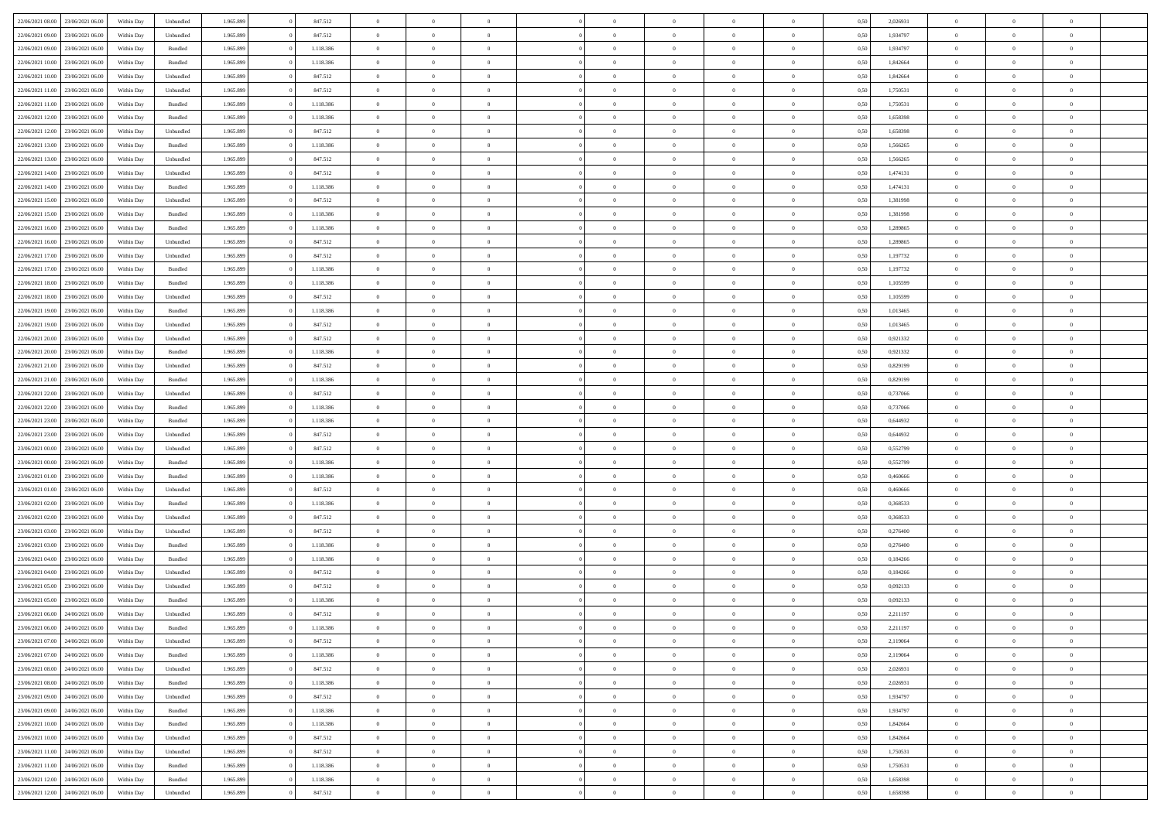| 22/06/2021 08:00 23/06/2021 06:00    | Within Day | Unbundled          | 1.965.899 | 847.512   | $\overline{0}$ | $\overline{0}$ | $\Omega$       | $\Omega$       | $\Omega$       |                | $\overline{0}$ | 0,50 | 2,026931 | $\mathbf{0}$   | $\Omega$       | $\Omega$       |  |
|--------------------------------------|------------|--------------------|-----------|-----------|----------------|----------------|----------------|----------------|----------------|----------------|----------------|------|----------|----------------|----------------|----------------|--|
| 22/06/2021 09:00<br>23/06/2021 06:00 | Within Day | Unbundled          | 1.965.899 | 847.512   | $\bf{0}$       | $\overline{0}$ | $\overline{0}$ | $\theta$       | $\overline{0}$ | $\overline{0}$ | $\,$ 0         | 0,50 | 1,934797 | $\mathbf{0}$   | $\theta$       | $\bf{0}$       |  |
| 22/06/2021 09:00<br>23/06/2021 06:00 | Within Day | Bundled            | 1.965.899 | 1.118.386 | $\overline{0}$ | $\overline{0}$ | $\overline{0}$ | $\bf{0}$       | $\bf{0}$       | $\overline{0}$ | $\mathbf{0}$   | 0,50 | 1,934797 | $\bf{0}$       | $\bf{0}$       | $\bf{0}$       |  |
| 22/06/2021 10:00<br>23/06/2021 06:00 | Within Day | Bundled            | 1.965.899 | 1.118.386 | $\overline{0}$ | $\overline{0}$ | $\overline{0}$ | $\overline{0}$ | $\overline{0}$ | $\overline{0}$ | $\overline{0}$ | 0.50 | 1.842664 | $\mathbf{0}$   | $\overline{0}$ | $\bf{0}$       |  |
| 22/06/2021 10:00<br>23/06/2021 06:00 | Within Day | Unbundled          | 1.965.899 | 847.512   | $\bf{0}$       | $\overline{0}$ | $\overline{0}$ | $\theta$       | $\overline{0}$ | $\overline{0}$ | $\bf{0}$       | 0,50 | 1,842664 | $\mathbf{0}$   | $\theta$       | $\overline{0}$ |  |
| 22/06/2021 11:00<br>23/06/2021 06:00 | Within Day | Unbundled          | 1.965.899 | 847.512   | $\overline{0}$ | $\overline{0}$ | $\overline{0}$ | $\bf{0}$       | $\overline{0}$ | $\overline{0}$ | $\overline{0}$ | 0,50 | 1,750531 | $\overline{0}$ | $\overline{0}$ | $\overline{0}$ |  |
| 22/06/2021 11:00<br>23/06/2021 06:00 | Within Day | Bundled            | 1.965.899 | 1.118.386 | $\overline{0}$ | $\overline{0}$ | $\overline{0}$ | $\overline{0}$ | $\overline{0}$ | $\overline{0}$ | $\overline{0}$ | 0.50 | 1,750531 | $\overline{0}$ | $\overline{0}$ | $\overline{0}$ |  |
|                                      |            |                    |           |           |                |                |                |                |                |                |                |      |          |                |                |                |  |
| 22/06/2021 12:00<br>23/06/2021 06:00 | Within Day | Bundled            | 1.965.899 | 1.118.386 | $\bf{0}$       | $\overline{0}$ | $\overline{0}$ | $\theta$       | $\overline{0}$ | $\overline{0}$ | $\,$ 0         | 0,50 | 1,658398 | $\theta$       | $\theta$       | $\bf{0}$       |  |
| 22/06/2021 12:00<br>23/06/2021 06:00 | Within Day | Unbundled          | 1.965.899 | 847.512   | $\overline{0}$ | $\overline{0}$ | $\overline{0}$ | $\bf{0}$       | $\bf{0}$       | $\overline{0}$ | $\mathbf{0}$   | 0,50 | 1,658398 | $\bf{0}$       | $\bf{0}$       | $\bf{0}$       |  |
| 22/06/2021 13:00<br>23/06/2021 06:00 | Within Day | Bundled            | 1.965.899 | 1.118.386 | $\overline{0}$ | $\overline{0}$ | $\overline{0}$ | $\overline{0}$ | $\overline{0}$ | $\overline{0}$ | $\overline{0}$ | 0.50 | 1,566265 | $\overline{0}$ | $\theta$       | $\overline{0}$ |  |
| 22/06/2021 13:00<br>23/06/2021 06:00 | Within Day | Unbundled          | 1.965.899 | 847.512   | $\bf{0}$       | $\overline{0}$ | $\overline{0}$ | $\overline{0}$ | $\overline{0}$ | $\overline{0}$ | $\,$ 0         | 0,50 | 1,566265 | $\,$ 0 $\,$    | $\theta$       | $\bf{0}$       |  |
| 22/06/2021 14:00<br>23/06/2021 06:00 | Within Day | Unbundled          | 1.965.899 | 847.512   | $\overline{0}$ | $\overline{0}$ | $\overline{0}$ | $\bf{0}$       | $\bf{0}$       | $\overline{0}$ | $\mathbf{0}$   | 0,50 | 1,474131 | $\overline{0}$ | $\bf{0}$       | $\bf{0}$       |  |
| 22/06/2021 14:00<br>23/06/2021 06:00 | Within Day | Bundled            | 1.965.899 | 1.118.386 | $\overline{0}$ | $\overline{0}$ | $\overline{0}$ | $\overline{0}$ | $\overline{0}$ | $\overline{0}$ | $\overline{0}$ | 0.50 | 1,474131 | $\mathbf{0}$   | $\overline{0}$ | $\bf{0}$       |  |
| 22/06/2021 15:00<br>23/06/2021 06:00 | Within Day | Unbundled          | 1.965.899 | 847.512   | $\bf{0}$       | $\overline{0}$ | $\overline{0}$ | $\theta$       | $\overline{0}$ | $\overline{0}$ | $\,$ 0         | 0,50 | 1,381998 | $\theta$       | $\theta$       | $\bf{0}$       |  |
| 22/06/2021 15:00<br>23/06/2021 06:00 | Within Day | Bundled            | 1.965.899 | 1.118.386 | $\overline{0}$ | $\overline{0}$ | $\overline{0}$ | $\bf{0}$       | $\overline{0}$ | $\overline{0}$ | $\overline{0}$ | 0,50 | 1,381998 | $\overline{0}$ | $\overline{0}$ | $\overline{0}$ |  |
| 22/06/2021 16:00<br>23/06/2021 06:00 | Within Day | Bundled            | 1.965.899 | 1.118.386 | $\overline{0}$ | $\overline{0}$ | $\overline{0}$ | $\overline{0}$ | $\overline{0}$ | $\overline{0}$ | $\overline{0}$ | 0.50 | 1.289865 | $\overline{0}$ | $\overline{0}$ | $\overline{0}$ |  |
| 22/06/2021 16:00<br>23/06/2021 06:00 | Within Day | Unbundled          | 1.965.899 | 847.512   | $\bf{0}$       | $\overline{0}$ | $\overline{0}$ | $\overline{0}$ | $\overline{0}$ | $\overline{0}$ | $\bf{0}$       | 0,50 | 1,289865 | $\theta$       | $\theta$       | $\bf{0}$       |  |
| 22/06/2021 17:00<br>23/06/2021 06:00 | Within Day | Unbundled          | 1.965.899 | 847.512   | $\overline{0}$ | $\overline{0}$ | $\bf{0}$       | $\bf{0}$       | $\bf{0}$       | $\overline{0}$ | $\mathbf{0}$   | 0,50 | 1,197732 | $\bf{0}$       | $\bf{0}$       | $\bf{0}$       |  |
| 23/06/2021 06:00                     |            | Bundled            | 1.965.899 | 1.118.386 | $\overline{0}$ | $\overline{0}$ | $\overline{0}$ | $\overline{0}$ | $\overline{0}$ | $\overline{0}$ | $\overline{0}$ | 0.50 | 1,197732 | $\overline{0}$ | $\overline{0}$ | $\overline{0}$ |  |
| 22/06/2021 17:00                     | Within Day |                    |           |           |                |                |                |                |                |                |                |      |          |                |                |                |  |
| 22/06/2021 18:00<br>23/06/2021 06:00 | Within Day | $\mathbf B$ undled | 1.965.899 | 1.118.386 | $\bf{0}$       | $\overline{0}$ | $\overline{0}$ | $\overline{0}$ | $\overline{0}$ | $\overline{0}$ | $\,$ 0         | 0,50 | 1,105599 | $\theta$       | $\theta$       | $\bf{0}$       |  |
| 22/06/2021 18:00<br>23/06/2021 06:00 | Within Day | Unbundled          | 1.965.899 | 847.512   | $\overline{0}$ | $\overline{0}$ | $\overline{0}$ | $\bf{0}$       | $\bf{0}$       | $\overline{0}$ | $\mathbf{0}$   | 0,50 | 1,105599 | $\bf{0}$       | $\bf{0}$       | $\bf{0}$       |  |
| 22/06/2021 19:00<br>23/06/2021 06:00 | Within Day | Bundled            | 1.965.899 | 1.118.386 | $\overline{0}$ | $\overline{0}$ | $\overline{0}$ | $\overline{0}$ | $\overline{0}$ | $\overline{0}$ | $\overline{0}$ | 0.50 | 1.013465 | $\overline{0}$ | $\overline{0}$ | $\bf{0}$       |  |
| 22/06/2021 19:00<br>23/06/2021 06:00 | Within Day | Unbundled          | 1.965.899 | 847.512   | $\bf{0}$       | $\overline{0}$ | $\overline{0}$ | $\overline{0}$ | $\overline{0}$ | $\overline{0}$ | $\,$ 0         | 0,50 | 1,013465 | $\mathbf{0}$   | $\theta$       | $\bf{0}$       |  |
| 22/06/2021 20:00<br>23/06/2021 06:00 | Within Day | Unbundled          | 1.965.899 | 847.512   | $\overline{0}$ | $\overline{0}$ | $\overline{0}$ | $\bf{0}$       | $\overline{0}$ | $\overline{0}$ | $\overline{0}$ | 0,50 | 0,921332 | $\overline{0}$ | $\overline{0}$ | $\overline{0}$ |  |
| 22/06/2021 20:00<br>23/06/2021 06:00 | Within Day | Bundled            | 1.965.899 | 1.118.386 | $\overline{0}$ | $\overline{0}$ | $\overline{0}$ | $\overline{0}$ | $\overline{0}$ | $\overline{0}$ | $\overline{0}$ | 0.50 | 0,921332 | $\overline{0}$ | $\overline{0}$ | $\overline{0}$ |  |
| 22/06/2021 21:00<br>23/06/2021 06:00 | Within Day | Unbundled          | 1.965.899 | 847.512   | $\bf{0}$       | $\overline{0}$ | $\bf{0}$       | $\overline{0}$ | $\overline{0}$ | $\overline{0}$ | $\bf{0}$       | 0,50 | 0,829199 | $\theta$       | $\theta$       | $\bf{0}$       |  |
| 22/06/2021 21:00<br>23/06/2021 06:00 | Within Day | Bundled            | 1.965.899 | 1.118.386 | $\overline{0}$ | $\overline{0}$ | $\bf{0}$       | $\bf{0}$       | $\bf{0}$       | $\overline{0}$ | $\mathbf{0}$   | 0,50 | 0,829199 | $\bf{0}$       | $\bf{0}$       | $\bf{0}$       |  |
| 22/06/2021 22:00<br>23/06/2021 06:00 | Within Day | Unbundled          | 1.965.899 | 847.512   | $\overline{0}$ | $\overline{0}$ | $\overline{0}$ | $\overline{0}$ | $\overline{0}$ | $\overline{0}$ | $\overline{0}$ | 0.50 | 0,737066 | $\overline{0}$ | $\overline{0}$ | $\overline{0}$ |  |
| 22/06/2021 22:00<br>23/06/2021 06:00 | Within Day | Bundled            | 1.965.899 | 1.118.386 | $\bf{0}$       | $\overline{0}$ | $\bf{0}$       | $\overline{0}$ | $\overline{0}$ | $\overline{0}$ | $\,$ 0         | 0,50 | 0,737066 | $\,$ 0 $\,$    | $\theta$       | $\bf{0}$       |  |
| 22/06/2021 23:00<br>23/06/2021 06:00 | Within Day | Bundled            | 1.965.899 | 1.118.386 | $\overline{0}$ | $\overline{0}$ | $\overline{0}$ | $\bf{0}$       | $\bf{0}$       | $\overline{0}$ | $\mathbf{0}$   | 0,50 | 0,644932 | $\overline{0}$ | $\bf{0}$       | $\bf{0}$       |  |
|                                      |            |                    |           |           |                |                |                |                |                |                |                |      |          |                |                |                |  |
| 22/06/2021 23:00<br>23/06/2021 06:00 | Within Day | Unbundled          | 1.965.899 | 847.512   | $\overline{0}$ | $\overline{0}$ | $\overline{0}$ | $\overline{0}$ | $\overline{0}$ | $\Omega$       | $\overline{0}$ | 0,50 | 0.644932 | $\bf{0}$       | $\theta$       | $\Omega$       |  |
| 23/06/2021 00:00<br>23/06/2021 06:00 | Within Day | Unbundled          | 1.965.899 | 847.512   | $\bf{0}$       | $\overline{0}$ | $\bf{0}$       | $\theta$       | $\overline{0}$ | $\overline{0}$ | $\,$ 0         | 0,50 | 0,552799 | $\theta$       | $\theta$       | $\bf{0}$       |  |
| 23/06/2021 00:00<br>23/06/2021 06:00 | Within Day | Bundled            | 1.965.899 | 1.118.386 | $\overline{0}$ | $\overline{0}$ | $\overline{0}$ | $\bf{0}$       | $\overline{0}$ | $\overline{0}$ | $\overline{0}$ | 0,50 | 0,552799 | $\overline{0}$ | $\overline{0}$ | $\overline{0}$ |  |
| 23/06/2021 01:00<br>23/06/2021 06:00 | Within Day | Bundled            | 1.965.899 | 1.118.386 | $\overline{0}$ | $\overline{0}$ | $\overline{0}$ | $\overline{0}$ | $\overline{0}$ | $\Omega$       | $\overline{0}$ | 0.50 | 0.460666 | $\overline{0}$ | $\overline{0}$ | $\Omega$       |  |
| 23/06/2021 01:00<br>23/06/2021 06:00 | Within Day | Unbundled          | 1.965.899 | 847.512   | $\bf{0}$       | $\overline{0}$ | $\bf{0}$       | $\overline{0}$ | $\overline{0}$ | $\overline{0}$ | $\bf{0}$       | 0,50 | 0,460666 | $\theta$       | $\theta$       | $\bf{0}$       |  |
| 23/06/2021 02:00<br>23/06/2021 06:00 | Within Day | Bundled            | 1.965.899 | 1.118.386 | $\overline{0}$ | $\overline{0}$ | $\bf{0}$       | $\bf{0}$       | $\bf{0}$       | $\overline{0}$ | $\bf{0}$       | 0,50 | 0,368533 | $\bf{0}$       | $\bf{0}$       | $\bf{0}$       |  |
| 23/06/2021 02:00<br>23/06/2021 06:00 | Within Day | Unbundled          | 1.965.899 | 847.512   | $\overline{0}$ | $\overline{0}$ | $\overline{0}$ | $\overline{0}$ | $\overline{0}$ | $\Omega$       | $\theta$       | 0.50 | 0.368533 | $\overline{0}$ | $\Omega$       | $\Omega$       |  |
| 23/06/2021 03:00<br>23/06/2021 06:00 | Within Day | Unbundled          | 1.965.899 | 847.512   | $\bf{0}$       | $\overline{0}$ | $\bf{0}$       | $\overline{0}$ | $\overline{0}$ | $\overline{0}$ | $\,$ 0         | 0,50 | 0,276400 | $\theta$       | $\theta$       | $\bf{0}$       |  |
| 23/06/2021 03:00<br>23/06/2021 06:00 | Within Day | Bundled            | 1.965.899 | 1.118.386 | $\overline{0}$ | $\overline{0}$ | $\overline{0}$ | $\bf{0}$       | $\bf{0}$       | $\overline{0}$ | $\mathbf{0}$   | 0,50 | 0,276400 | $\overline{0}$ | $\bf{0}$       | $\bf{0}$       |  |
| 23/06/2021 04:00<br>23/06/2021 06:00 | Within Day | Bundled            | 1.965.899 | 1.118.386 | $\overline{0}$ | $\overline{0}$ | $\overline{0}$ | $\overline{0}$ | $\bf{0}$       | $\Omega$       | $\overline{0}$ | 0.50 | 0,184266 | $\overline{0}$ | $\overline{0}$ | $\Omega$       |  |
| 23/06/2021 04:00<br>23/06/2021 06:00 | Within Day | Unbundled          | 1.965.899 | 847.512   | $\bf{0}$       | $\overline{0}$ | $\bf{0}$       | $\overline{0}$ | $\overline{0}$ | $\overline{0}$ | $\,$ 0         | 0,50 | 0,184266 | $\,$ 0 $\,$    | $\theta$       | $\bf{0}$       |  |
| 23/06/2021 05:00<br>23/06/2021 06:00 | Within Day | Unbundled          | 1.965.899 | 847.512   | $\overline{0}$ | $\overline{0}$ | $\bf{0}$       | $\bf{0}$       | $\overline{0}$ | $\overline{0}$ | $\overline{0}$ | 0,50 | 0,092133 | $\overline{0}$ | $\bf{0}$       | $\bf{0}$       |  |
| 23/06/2021 05:00<br>23/06/2021 06.00 | Within Day | Bundled            | 1.965.899 | 1.118.386 | $\overline{0}$ | $\overline{0}$ | $\overline{0}$ | $\overline{0}$ | $\overline{0}$ | $\Omega$       | $\overline{0}$ | 0.50 | 0.092133 | $\bf{0}$       | $\Omega$       | $\Omega$       |  |
| 23/06/2021 06:00<br>24/06/2021 06:00 | Within Day | Unbundled          | 1.965.899 | 847.512   | $\bf{0}$       | $\overline{0}$ | $\bf{0}$       | $\bf{0}$       | $\bf{0}$       | $\bf{0}$       | $\,$ 0 $\,$    | 0,50 | 2,211197 | $\bf{0}$       | $\,$ 0         | $\,$ 0         |  |
| 23/06/2021 06:00 24/06/2021 06:00    |            |                    |           |           |                |                |                |                |                |                |                |      |          |                |                |                |  |
|                                      | Within Day | Bundled            | 1.965.899 | 1.118.386 | $\bf{0}$       | $\bf{0}$       |                | $\bf{0}$       |                |                |                | 0,50 | 2,211197 | $\bf{0}$       | $\bf{0}$       |                |  |
| 23/06/2021 07:00 24/06/2021 06:00    | Within Day | Unbundled          | 1.965.899 | 847.512   | $\overline{0}$ | $\overline{0}$ | $\theta$       | $\overline{0}$ | $\overline{0}$ | $\overline{0}$ | $\mathbf{0}$   | 0,50 | 2,119064 | $\overline{0}$ | $\theta$       | $\theta$       |  |
| 23/06/2021 07:00<br>24/06/2021 06:00 | Within Day | Bundled            | 1.965.899 | 1.118.386 | $\overline{0}$ | $\overline{0}$ | $\overline{0}$ | $\bf{0}$       | $\overline{0}$ | $\overline{0}$ | $\mathbf{0}$   | 0,50 | 2,119064 | $\,$ 0 $\,$    | $\overline{0}$ | $\,$ 0 $\,$    |  |
| 23/06/2021 08:00<br>24/06/2021 06:00 | Within Day | Unbundled          | 1.965.899 | 847.512   | $\overline{0}$ | $\overline{0}$ | $\overline{0}$ | $\bf{0}$       | $\overline{0}$ | $\overline{0}$ | $\overline{0}$ | 0,50 | 2,026931 | $\overline{0}$ | $\overline{0}$ | $\overline{0}$ |  |
| 24/06/2021 06:00<br>23/06/2021 08:00 | Within Day | Bundled            | 1.965.899 | 1.118.386 | $\overline{0}$ | $\overline{0}$ | $\overline{0}$ | $\overline{0}$ | $\bf{0}$       | $\overline{0}$ | $\bf{0}$       | 0,50 | 2,026931 | $\overline{0}$ | $\overline{0}$ | $\overline{0}$ |  |
| 23/06/2021 09:00<br>24/06/2021 06:00 | Within Day | Unbundled          | 1.965.899 | 847.512   | $\overline{0}$ | $\overline{0}$ | $\overline{0}$ | $\overline{0}$ | $\overline{0}$ | $\overline{0}$ | $\,$ 0 $\,$    | 0,50 | 1,934797 | $\,$ 0 $\,$    | $\theta$       | $\bf{0}$       |  |
| 23/06/2021 09:00<br>24/06/2021 06:00 | Within Day | Bundled            | 1.965.899 | 1.118.386 | $\overline{0}$ | $\overline{0}$ | $\overline{0}$ | $\bf{0}$       | $\overline{0}$ | $\overline{0}$ | $\overline{0}$ | 0,50 | 1,934797 | $\overline{0}$ | $\overline{0}$ | $\overline{0}$ |  |
| 23/06/2021 10:00<br>24/06/2021 06:00 | Within Day | Bundled            | 1.965.899 | 1.118.386 | $\overline{0}$ | $\overline{0}$ | $\overline{0}$ | $\overline{0}$ | $\overline{0}$ | $\overline{0}$ | $\overline{0}$ | 0.50 | 1,842664 | $\overline{0}$ | $\overline{0}$ | $\overline{0}$ |  |
| 23/06/2021 10:00<br>24/06/2021 06:00 | Within Day | Unbundled          | 1.965.899 | 847.512   | $\overline{0}$ | $\overline{0}$ | $\overline{0}$ | $\bf{0}$       | $\bf{0}$       | $\overline{0}$ | $\,$ 0 $\,$    | 0,50 | 1,842664 | $\,$ 0 $\,$    | $\theta$       | $\,$ 0         |  |
| 23/06/2021 11:00 24/06/2021 06:00    | Within Day | Unbundled          | 1.965.899 | 847.512   | $\overline{0}$ | $\overline{0}$ | $\overline{0}$ | $\bf{0}$       | $\overline{0}$ | $\overline{0}$ | $\overline{0}$ | 0,50 | 1,750531 | $\bf{0}$       | $\bf{0}$       | $\overline{0}$ |  |
| 24/06/2021 06:00<br>23/06/2021 11:00 | Within Day | Bundled            | 1.965.899 | 1.118.386 | $\overline{0}$ | $\overline{0}$ | $\overline{0}$ | $\overline{0}$ | $\overline{0}$ | $\overline{0}$ | $\overline{0}$ | 0,50 | 1,750531 | $\overline{0}$ | $\overline{0}$ | $\overline{0}$ |  |
|                                      |            |                    |           |           |                | $\overline{0}$ |                |                |                |                |                |      |          | $\,$ 0 $\,$    | $\,0\,$        |                |  |
| 23/06/2021 12:00<br>24/06/2021 06:00 | Within Day | Bundled            | 1.965.899 | 1.118.386 | $\overline{0}$ |                | $\overline{0}$ | $\bf{0}$       | $\bf{0}$       | $\bf{0}$       | $\,$ 0 $\,$    | 0,50 | 1,658398 |                |                | $\,$ 0         |  |
| 23/06/2021 12:00 24/06/2021 06:00    | Within Day | Unbundled          | 1.965.899 | 847.512   | $\overline{0}$ | $\overline{0}$ | $\overline{0}$ | $\bf{0}$       | $\bf{0}$       | $\overline{0}$ | $\bf{0}$       | 0,50 | 1,658398 | $\bf{0}$       | $\bf{0}$       | $\overline{0}$ |  |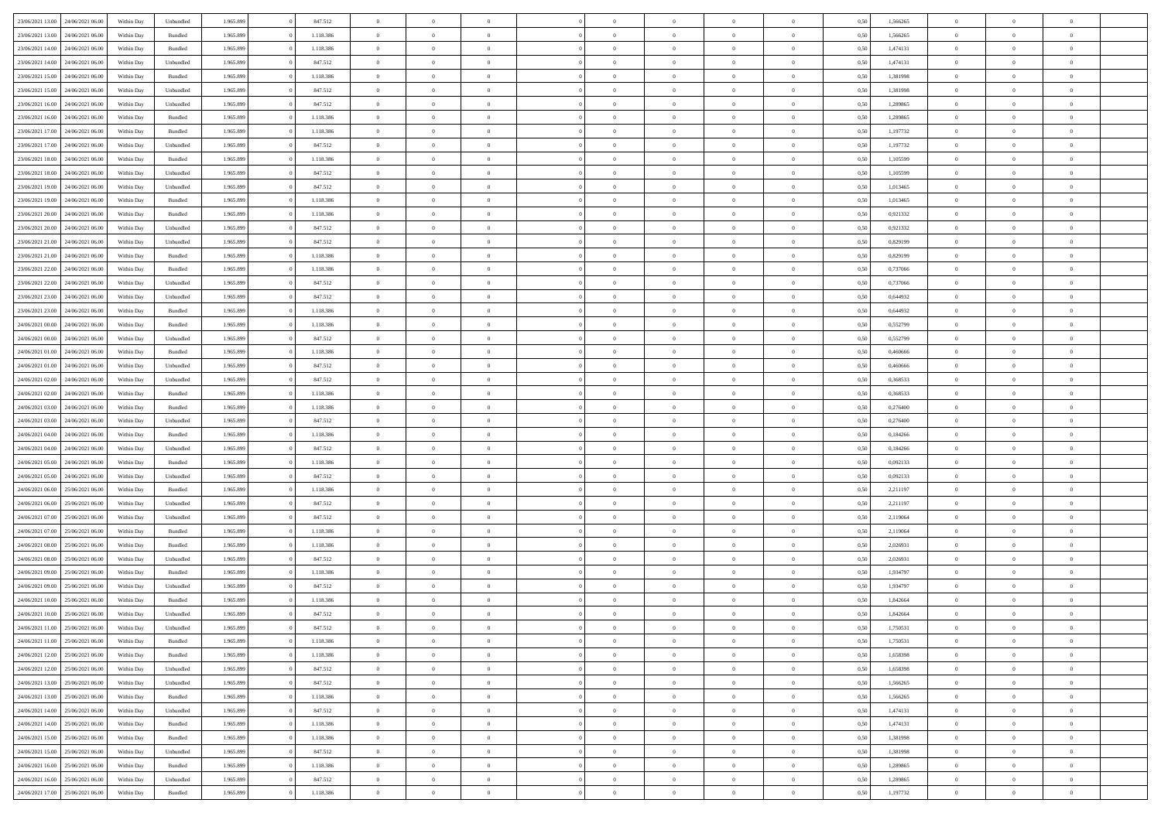|                                   |                  |            |           |           |           | $\overline{0}$ | $\Omega$       |                |                | $\Omega$       | $\Omega$       | $\theta$       |      |          | $\theta$       |                | $\theta$       |  |
|-----------------------------------|------------------|------------|-----------|-----------|-----------|----------------|----------------|----------------|----------------|----------------|----------------|----------------|------|----------|----------------|----------------|----------------|--|
| 23/06/2021 13:00                  | 24/06/2021 06:00 | Within Dav | Unbundled | 1.965.899 | 847.512   |                |                |                | $\Omega$       |                |                |                | 0,50 | 1,566265 |                | $\theta$       |                |  |
| 23/06/2021 13:00                  | 24/06/2021 06.00 | Within Day | Bundled   | 1.965.899 | 1.118.386 | $\overline{0}$ | $\theta$       | $\overline{0}$ | $\overline{0}$ | $\bf{0}$       | $\overline{0}$ | $\bf{0}$       | 0,50 | 1,566265 | $\theta$       | $\theta$       | $\overline{0}$ |  |
| 23/06/2021 14:00                  | 24/06/2021 06:00 | Within Day | Bundled   | 1.965.899 | 1.118.386 | $\overline{0}$ | $\overline{0}$ | $\overline{0}$ | $\bf{0}$       | $\bf{0}$       | $\bf{0}$       | $\mathbf{0}$   | 0,50 | 1,474131 | $\bf{0}$       | $\overline{0}$ | $\overline{0}$ |  |
| 23/06/2021 14:00                  | 24/06/2021 06:00 | Within Day | Unbundled | 1.965.899 | 847.512   | $\overline{0}$ | $\overline{0}$ | $\overline{0}$ | $\overline{0}$ | $\bf{0}$       | $\overline{0}$ | $\overline{0}$ | 0.50 | 1,474131 | $\theta$       | $\theta$       | $\overline{0}$ |  |
|                                   |                  |            |           |           |           |                |                |                |                |                |                |                |      |          |                |                |                |  |
| 23/06/2021 15:00                  | 24/06/2021 06.00 | Within Day | Bundled   | 1.965.899 | 1.118.386 | $\overline{0}$ | $\theta$       | $\overline{0}$ | $\overline{0}$ | $\bf{0}$       | $\overline{0}$ | $\bf{0}$       | 0,50 | 1,381998 | $\theta$       | $\overline{0}$ | $\overline{0}$ |  |
| 23/06/2021 15:00                  | 24/06/2021 06:00 | Within Day | Unbundled | 1.965.899 | 847.512   | $\overline{0}$ | $\bf{0}$       | $\overline{0}$ | $\bf{0}$       | $\overline{0}$ | $\overline{0}$ | $\mathbf{0}$   | 0,50 | 1,381998 | $\bf{0}$       | $\overline{0}$ | $\bf{0}$       |  |
| 23/06/2021 16:00                  | 24/06/2021 06:00 | Within Dav | Unbundled | 1.965.899 | 847.512   | $\overline{0}$ | $\overline{0}$ | $\overline{0}$ | $\overline{0}$ | $\overline{0}$ | $\overline{0}$ | $\overline{0}$ | 0.50 | 1,289865 | $\theta$       | $\overline{0}$ | $\overline{0}$ |  |
| 23/06/2021 16:00                  | 24/06/2021 06.00 | Within Day | Bundled   | 1.965.899 | 1.118.386 | $\overline{0}$ | $\theta$       | $\overline{0}$ | $\overline{0}$ | $\bf{0}$       | $\overline{0}$ | $\bf{0}$       | 0,50 | 1,289865 | $\theta$       | $\theta$       | $\overline{0}$ |  |
| 23/06/2021 17:00                  | 24/06/2021 06:00 | Within Day | Bundled   | 1.965.899 | 1.118.386 | $\overline{0}$ | $\overline{0}$ | $\overline{0}$ | $\bf{0}$       | $\bf{0}$       | $\bf{0}$       | $\bf{0}$       | 0,50 | 1,197732 | $\,0\,$        | $\overline{0}$ | $\overline{0}$ |  |
|                                   |                  |            |           |           |           |                |                |                |                |                |                |                |      |          |                |                |                |  |
| 23/06/2021 17:00                  | 24/06/2021 06.00 | Within Dav | Unbundled | 1.965.899 | 847.512   | $\overline{0}$ | $\overline{0}$ | $\overline{0}$ | $\overline{0}$ | $\overline{0}$ | $\overline{0}$ | $\overline{0}$ | 0.50 | 1,197732 | $\theta$       | $\overline{0}$ | $\overline{0}$ |  |
| 23/06/2021 18:00                  | 24/06/2021 06.00 | Within Day | Bundled   | 1.965.899 | 1.118.386 | $\overline{0}$ | $\theta$       | $\overline{0}$ | $\overline{0}$ | $\bf{0}$       | $\overline{0}$ | $\bf{0}$       | 0,50 | 1,105599 | $\,$ 0 $\,$    | $\overline{0}$ | $\overline{0}$ |  |
| 23/06/2021 18:00                  | 24/06/2021 06:00 | Within Day | Unbundled | 1.965.899 | 847.512   | $\overline{0}$ | $\overline{0}$ | $\overline{0}$ | $\bf{0}$       | $\bf{0}$       | $\bf{0}$       | $\mathbf{0}$   | 0,50 | 1,105599 | $\overline{0}$ | $\overline{0}$ | $\overline{0}$ |  |
| 23/06/2021 19:00                  | 24/06/2021 06:00 | Within Day | Unbundled | 1.965.899 | 847.512   | $\overline{0}$ | $\overline{0}$ | $\overline{0}$ | $\overline{0}$ | $\bf{0}$       | $\overline{0}$ | $\overline{0}$ | 0.50 | 1.013465 | $\theta$       | $\theta$       | $\overline{0}$ |  |
| 23/06/2021 19:00                  | 24/06/2021 06.00 | Within Day | Bundled   | 1.965.899 | 1.118.386 | $\overline{0}$ | $\theta$       | $\overline{0}$ | $\overline{0}$ | $\bf{0}$       | $\overline{0}$ | $\bf{0}$       | 0,50 | 1,013465 | $\theta$       | $\theta$       | $\overline{0}$ |  |
|                                   |                  |            |           |           |           |                |                |                |                |                |                |                |      |          |                |                |                |  |
| 23/06/2021 20:00                  | 24/06/2021 06:00 | Within Day | Bundled   | 1.965.899 | 1.118.386 | $\overline{0}$ | $\overline{0}$ | $\overline{0}$ | $\bf{0}$       | $\overline{0}$ | $\overline{0}$ | $\mathbf{0}$   | 0,50 | 0,921332 | $\overline{0}$ | $\overline{0}$ | $\bf{0}$       |  |
| 23/06/2021 20:00                  | 24/06/2021 06:00 | Within Dav | Unbundled | 1.965.899 | 847.512   | $\overline{0}$ | $\overline{0}$ | $\overline{0}$ | $\overline{0}$ | $\overline{0}$ | $\overline{0}$ | $\overline{0}$ | 0.50 | 0.921332 | $\theta$       | $\overline{0}$ | $\overline{0}$ |  |
| 23/06/2021 21:00                  | 24/06/2021 06.00 | Within Day | Unbundled | 1.965.899 | 847.512   | $\overline{0}$ | $\theta$       | $\overline{0}$ | $\overline{0}$ | $\bf{0}$       | $\overline{0}$ | $\bf{0}$       | 0,50 | 0,829199 | $\theta$       | $\theta$       | $\overline{0}$ |  |
| 23/06/2021 21:00                  | 24/06/2021 06:00 | Within Day | Bundled   | 1.965.899 | 1.118.386 | $\overline{0}$ | $\overline{0}$ | $\overline{0}$ | $\bf{0}$       | $\bf{0}$       | $\bf{0}$       | $\mathbf{0}$   | 0,50 | 0,829199 | $\,0\,$        | $\overline{0}$ | $\overline{0}$ |  |
| 23/06/2021 22:00                  | 24/06/2021 06:00 | Within Day | Bundled   | 1.965.899 | 1.118.386 | $\overline{0}$ | $\overline{0}$ | $\overline{0}$ | $\overline{0}$ | $\overline{0}$ | $\overline{0}$ | $\overline{0}$ | 0.50 | 0,737066 | $\theta$       | $\overline{0}$ | $\overline{0}$ |  |
|                                   |                  |            |           |           |           |                |                |                |                |                |                |                |      |          |                |                |                |  |
| 23/06/2021 22:00                  | 24/06/2021 06.00 | Within Day | Unbundled | 1.965.899 | 847.512   | $\overline{0}$ | $\theta$       | $\overline{0}$ | $\overline{0}$ | $\bf{0}$       | $\overline{0}$ | $\bf{0}$       | 0,50 | 0,737066 | $\,$ 0 $\,$    | $\theta$       | $\overline{0}$ |  |
| 23/06/2021 23:00                  | 24/06/2021 06:00 | Within Day | Unbundled | 1.965.899 | 847.512   | $\overline{0}$ | $\overline{0}$ | $\overline{0}$ | $\bf{0}$       | $\bf{0}$       | $\bf{0}$       | $\bf{0}$       | 0,50 | 0,644932 | $\bf{0}$       | $\overline{0}$ | $\overline{0}$ |  |
| 23/06/2021 23:00                  | 24/06/2021 06:00 | Within Day | Bundled   | 1.965.899 | 1.118.386 | $\overline{0}$ | $\overline{0}$ | $\overline{0}$ | $\overline{0}$ | $\bf{0}$       | $\overline{0}$ | $\overline{0}$ | 0.50 | 0,644932 | $\theta$       | $\overline{0}$ | $\overline{0}$ |  |
| 24/06/2021 00:00                  | 24/06/2021 06.00 | Within Day | Bundled   | 1.965.899 | 1.118.386 | $\overline{0}$ | $\theta$       | $\overline{0}$ | $\overline{0}$ | $\bf{0}$       | $\overline{0}$ | $\bf{0}$       | 0,50 | 0,552799 | $\,$ 0 $\,$    | $\overline{0}$ | $\overline{0}$ |  |
| 24/06/2021 00:00                  | 24/06/2021 06:00 | Within Day | Unbundled | 1.965.899 | 847.512   | $\overline{0}$ | $\bf{0}$       | $\overline{0}$ | $\bf{0}$       | $\overline{0}$ | $\overline{0}$ | $\mathbf{0}$   | 0,50 | 0,552799 | $\overline{0}$ | $\overline{0}$ | $\bf{0}$       |  |
|                                   |                  |            |           |           |           |                |                |                |                |                |                |                |      |          |                |                |                |  |
| 24/06/2021 01:00                  | 24/06/2021 06:00 | Within Day | Bundled   | 1.965.899 | 1.118.386 | $\overline{0}$ | $\overline{0}$ | $\overline{0}$ | $\overline{0}$ | $\overline{0}$ | $\overline{0}$ | $\overline{0}$ | 0.50 | 0.460666 | $\theta$       | $\overline{0}$ | $\overline{0}$ |  |
| 24/06/2021 01:00                  | 24/06/2021 06.00 | Within Day | Unbundled | 1.965.899 | 847.512   | $\overline{0}$ | $\theta$       | $\overline{0}$ | $\overline{0}$ | $\bf{0}$       | $\overline{0}$ | $\bf{0}$       | 0,50 | 0,460666 | $\theta$       | $\theta$       | $\overline{0}$ |  |
| 24/06/2021 02:00                  | 24/06/2021 06:00 | Within Day | Unbundled | 1.965.899 | 847.512   | $\overline{0}$ | $\overline{0}$ | $\overline{0}$ | $\bf{0}$       | $\bf{0}$       | $\bf{0}$       | $\bf{0}$       | 0,50 | 0,368533 | $\,0\,$        | $\overline{0}$ | $\overline{0}$ |  |
| 24/06/2021 02:00                  | 24/06/2021 06:00 | Within Day | Bundled   | 1.965.899 | 1.118.386 | $\overline{0}$ | $\overline{0}$ | $\overline{0}$ | $\overline{0}$ | $\overline{0}$ | $\overline{0}$ | $\overline{0}$ | 0.50 | 0,368533 | $\theta$       | $\overline{0}$ | $\overline{0}$ |  |
| 24/06/2021 03:00                  | 24/06/2021 06.00 | Within Day | Bundled   | 1.965.899 | 1.118.386 | $\overline{0}$ | $\theta$       | $\overline{0}$ | $\overline{0}$ | $\bf{0}$       | $\overline{0}$ | $\bf{0}$       | 0,50 | 0,276400 | $\,$ 0 $\,$    | $\overline{0}$ | $\overline{0}$ |  |
| 24/06/2021 03:00                  | 24/06/2021 06:00 | Within Day | Unbundled | 1.965.899 | 847.512   | $\overline{0}$ | $\overline{0}$ | $\overline{0}$ | $\bf{0}$       | $\bf{0}$       | $\bf{0}$       | $\bf{0}$       | 0,50 | 0,276400 | $\overline{0}$ | $\overline{0}$ | $\overline{0}$ |  |
|                                   |                  |            |           |           |           |                |                |                |                |                |                |                |      |          |                |                | $\theta$       |  |
| 24/06/2021 04:00                  | 24/06/2021 06.00 | Within Day | Bundled   | 1.965.899 | 1.118.386 | $\overline{0}$ | $\Omega$       | $\overline{0}$ | $\Omega$       | $\Omega$       | $\overline{0}$ | $\overline{0}$ | 0,50 | 0,184266 | $\,0\,$        | $\theta$       |                |  |
| 24/06/2021 04:00                  | 24/06/2021 06.00 | Within Day | Unbundled | 1.965.899 | 847.512   | $\overline{0}$ | $\theta$       | $\overline{0}$ | $\overline{0}$ | $\bf{0}$       | $\overline{0}$ | $\bf{0}$       | 0,50 | 0,184266 | $\,$ 0 $\,$    | $\theta$       | $\overline{0}$ |  |
| 24/06/2021 05:00                  | 24/06/2021 06:00 | Within Day | Bundled   | 1.965.899 | 1.118.386 | $\overline{0}$ | $\overline{0}$ | $\overline{0}$ | $\bf{0}$       | $\bf{0}$       | $\overline{0}$ | $\mathbf{0}$   | 0,50 | 0,092133 | $\bf{0}$       | $\overline{0}$ | $\bf{0}$       |  |
| 24/06/2021 05:00                  | 24/06/2021 06:00 | Within Day | Unbundled | 1.965.899 | 847.512   | $\overline{0}$ | $\Omega$       | $\Omega$       | $\Omega$       | $\bf{0}$       | $\overline{0}$ | $\overline{0}$ | 0.50 | 0.092133 | $\,0\,$        | $\theta$       | $\theta$       |  |
| 24/06/2021 06:00                  | 25/06/2021 06:00 | Within Day | Bundled   | 1.965.899 | 1.118.386 | $\overline{0}$ | $\theta$       | $\overline{0}$ | $\overline{0}$ | $\bf{0}$       | $\overline{0}$ | $\bf{0}$       | 0,50 | 2,211197 | $\,$ 0 $\,$    | $\theta$       | $\overline{0}$ |  |
| 24/06/2021 06:00                  | 25/06/2021 06:00 | Within Day | Unbundled | 1.965.899 | 847.512   | $\overline{0}$ | $\overline{0}$ | $\overline{0}$ | $\bf{0}$       | $\bf{0}$       | $\bf{0}$       | $\bf{0}$       | 0,50 | 2,211197 | $\bf{0}$       | $\overline{0}$ | $\overline{0}$ |  |
|                                   |                  |            |           |           |           |                |                |                |                |                |                |                |      |          |                |                |                |  |
| 24/06/2021 07:00                  | 25/06/2021 06:00 | Within Day | Unbundled | 1.965.899 | 847.512   | $\overline{0}$ | $\Omega$       | $\overline{0}$ | $\Omega$       | $\overline{0}$ | $\overline{0}$ | $\overline{0}$ | 0.50 | 2,119064 | $\,0\,$        | $\theta$       | $\theta$       |  |
| 24/06/2021 07:00                  | 25/06/2021 06:00 | Within Day | Bundled   | 1.965.899 | 1.118.386 | $\overline{0}$ | $\theta$       | $\overline{0}$ | $\overline{0}$ | $\,$ 0         | $\overline{0}$ | $\bf{0}$       | 0,50 | 2,119064 | $\,$ 0 $\,$    | $\overline{0}$ | $\overline{0}$ |  |
| 24/06/2021 08:00                  | 25/06/2021 06:00 | Within Day | Bundled   | 1.965.899 | 1.118.386 | $\overline{0}$ | $\overline{0}$ | $\overline{0}$ | $\bf{0}$       | $\bf{0}$       | $\bf{0}$       | $\bf{0}$       | 0,50 | 2,026931 | $\bf{0}$       | $\overline{0}$ | $\overline{0}$ |  |
| 24/06/2021 08:00                  | 25/06/2021 06:00 | Within Day | Unbundled | 1.965.899 | 847.512   | $\overline{0}$ | $\Omega$       | $\overline{0}$ | $\Omega$       | $\overline{0}$ | $\overline{0}$ | $\overline{0}$ | 0.50 | 2,026931 | $\,0\,$        | $\theta$       | $\theta$       |  |
| 24/06/2021 09:00                  | 25/06/2021 06:00 | Within Day | Bundled   | 1.965.899 | 1.118.386 | $\overline{0}$ | $\theta$       | $\overline{0}$ | $\overline{0}$ | $\,$ 0         | $\overline{0}$ | $\bf{0}$       | 0,50 | 1,934797 | $\,$ 0 $\,$    | $\overline{0}$ | $\overline{0}$ |  |
| 24/06/2021 09:00                  | 25/06/2021 06:00 | Within Day | Unbundled | 1.965.899 | 847.512   | $\overline{0}$ | $\overline{0}$ | $\overline{0}$ | $\bf{0}$       | $\bf{0}$       | $\bf{0}$       | $\mathbf{0}$   | 0,50 | 1,934797 | $\bf{0}$       | $\overline{0}$ | $\bf{0}$       |  |
|                                   |                  |            |           |           |           |                |                |                |                |                |                |                |      |          |                |                |                |  |
| 24/06/2021 10:00                  | 25/06/2021 06.00 | Within Day | Bundled   | 1.965.899 | 1.118.386 | $\overline{0}$ | $\Omega$       | $\Omega$       | $\Omega$       | $\Omega$       | $\Omega$       | $\overline{0}$ | 0.50 | 1.842664 | $\theta$       | $\theta$       | $\theta$       |  |
| 24/06/2021 10:00                  | 25/06/2021 06:00 | Within Day | Unbundled | 1.965.899 | 847.512   | $\overline{0}$ | $\overline{0}$ | $\overline{0}$ | $\bf{0}$       | $\,$ 0         | $\bf{0}$       | $\bf{0}$       | 0,50 | 1,842664 | $\,0\,$        | $\overline{0}$ | $\overline{0}$ |  |
| 24/06/2021 11:00                  | 25/06/2021 06:00 | Within Day | Unbundled | 1.965.899 | 847.512   | $\bf{0}$       | $\bf{0}$       |                |                |                |                |                | 0,50 | 1,750531 | $\bf{0}$       | $\overline{0}$ |                |  |
| 24/06/2021 11:00                  | 25/06/2021 06:00 | Within Day | Bundled   | 1.965.899 | 1.118.386 | $\overline{0}$ | $\overline{0}$ | $\overline{0}$ | $\Omega$       | $\overline{0}$ | $\overline{0}$ | $\overline{0}$ | 0,50 | 1,750531 | $\theta$       | $\theta$       | $\theta$       |  |
| 24/06/2021 12:00                  | 25/06/2021 06:00 | Within Day | Bundled   | 1.965.899 | 1.118.386 | $\overline{0}$ | $\bf{0}$       | $\overline{0}$ | $\bf{0}$       | $\,$ 0 $\,$    | $\overline{0}$ | $\,$ 0 $\,$    | 0,50 | 1,658398 | $\,$ 0 $\,$    | $\,$ 0 $\,$    | $\,$ 0         |  |
| 24/06/2021 12:00                  | 25/06/2021 06:00 | Within Day | Unbundled | 1.965.899 | 847.512   | $\overline{0}$ | $\overline{0}$ | $\overline{0}$ | $\overline{0}$ | $\overline{0}$ | $\overline{0}$ | $\mathbf{0}$   | 0,50 | 1,658398 | $\overline{0}$ | $\bf{0}$       | $\overline{0}$ |  |
|                                   |                  |            |           |           |           |                |                |                |                |                |                |                |      |          |                |                |                |  |
| 24/06/2021 13:00                  | 25/06/2021 06:00 | Within Day | Unbundled | 1.965.899 | 847.512   | $\overline{0}$ | $\overline{0}$ | $\overline{0}$ | $\Omega$       | $\overline{0}$ | $\overline{0}$ | $\overline{0}$ | 0,50 | 1,566265 | $\overline{0}$ | $\overline{0}$ | $\overline{0}$ |  |
| 24/06/2021 13:00                  | 25/06/2021 06:00 | Within Day | Bundled   | 1.965.899 | 1.118.386 | $\overline{0}$ | $\,$ 0         | $\overline{0}$ | $\bf{0}$       | $\,$ 0 $\,$    | $\overline{0}$ | $\,$ 0 $\,$    | 0,50 | 1,566265 | $\,$ 0 $\,$    | $\overline{0}$ | $\,$ 0         |  |
| 24/06/2021 14:00                  | 25/06/2021 06:00 | Within Day | Unbundled | 1.965.899 | 847.512   | $\overline{0}$ | $\overline{0}$ | $\overline{0}$ | $\overline{0}$ | $\overline{0}$ | $\overline{0}$ | $\mathbf{0}$   | 0,50 | 1,474131 | $\overline{0}$ | $\overline{0}$ | $\overline{0}$ |  |
| 24/06/2021 14:00                  | 25/06/2021 06:00 | Within Day | Bundled   | 1.965.899 | 1.118.386 | $\overline{0}$ | $\overline{0}$ | $\overline{0}$ | $\overline{0}$ | $\overline{0}$ | $\overline{0}$ | $\overline{0}$ | 0.50 | 1,474131 | $\overline{0}$ | $\theta$       | $\overline{0}$ |  |
| 24/06/2021 15:00                  | 25/06/2021 06:00 | Within Day | Bundled   | 1.965.899 | 1.118.386 | $\overline{0}$ | $\,$ 0         | $\overline{0}$ | $\bf{0}$       | $\bf{0}$       | $\bf{0}$       | $\bf{0}$       | 0,50 | 1,381998 | $\,$ 0 $\,$    | $\overline{0}$ | $\overline{0}$ |  |
|                                   |                  |            |           |           |           |                |                |                |                |                |                |                |      |          |                |                |                |  |
| 24/06/2021 15:00                  | 25/06/2021 06:00 | Within Day | Unbundled | 1.965.899 | 847.512   | $\overline{0}$ | $\bf{0}$       | $\overline{0}$ | $\overline{0}$ | $\overline{0}$ | $\overline{0}$ | $\mathbf{0}$   | 0,50 | 1,381998 | $\overline{0}$ | $\overline{0}$ | $\bf{0}$       |  |
| 24/06/2021 16:00                  | 25/06/2021 06:00 | Within Day | Bundled   | 1.965.899 | 1.118.386 | $\overline{0}$ | $\overline{0}$ | $\overline{0}$ | $\Omega$       | $\overline{0}$ | $\overline{0}$ | $\overline{0}$ | 0.50 | 1,289865 | $\overline{0}$ | $\overline{0}$ | $\overline{0}$ |  |
| 24/06/2021 16:00                  | 25/06/2021 06:00 | Within Day | Unbundled | 1.965.899 | 847.512   | $\overline{0}$ | $\bf{0}$       | $\overline{0}$ | $\bf{0}$       | $\bf{0}$       | $\bf{0}$       | $\mathbf{0}$   | 0,50 | 1,289865 | $\,$ 0 $\,$    | $\,$ 0 $\,$    | $\bf{0}$       |  |
| 24/06/2021 17:00 25/06/2021 06:00 |                  | Within Day | Bundled   | 1.965.899 | 1.118.386 | $\overline{0}$ | $\overline{0}$ | $\overline{0}$ | $\overline{0}$ | $\overline{0}$ | $\bf{0}$       | $\mathbf{0}$   | 0,50 | 1,197732 | $\overline{0}$ | $\bf{0}$       | $\overline{0}$ |  |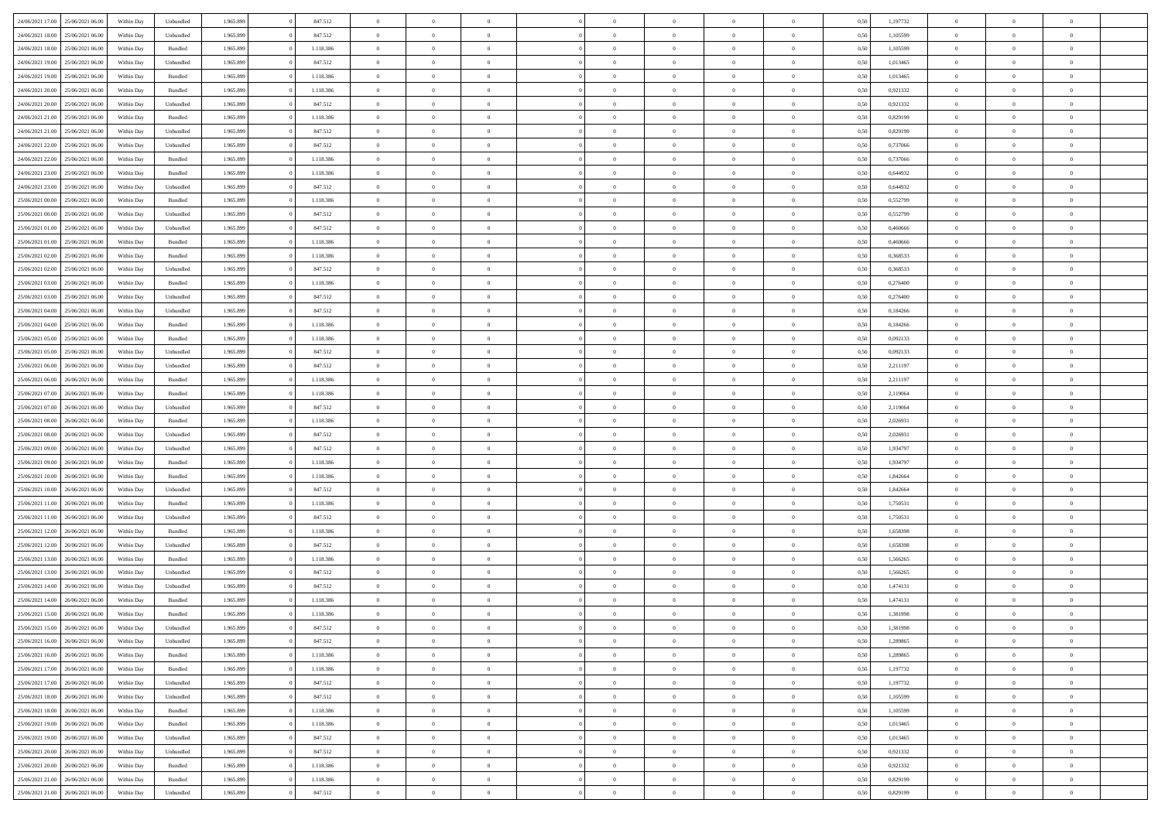| 24/06/2021 17:00 25/06/2021 06:00    | Within Day | Unbundled          | 1.965.899 | 847.512   | $\overline{0}$ | $\overline{0}$ | $\Omega$       | $\Omega$       | $\Omega$       |                | $\overline{0}$ | 0,50 | 1,197732 | $\mathbf{0}$   | $\Omega$       | $\Omega$       |  |
|--------------------------------------|------------|--------------------|-----------|-----------|----------------|----------------|----------------|----------------|----------------|----------------|----------------|------|----------|----------------|----------------|----------------|--|
| 24/06/2021 18:00<br>25/06/2021 06:00 | Within Day | Unbundled          | 1.965.899 | 847.512   | $\bf{0}$       | $\overline{0}$ | $\overline{0}$ | $\theta$       | $\overline{0}$ | $\overline{0}$ | $\,$ 0         | 0,50 | 1,105599 | $\theta$       | $\theta$       | $\bf{0}$       |  |
| 24/06/2021 18:00<br>25/06/2021 06:00 | Within Day | Bundled            | 1.965.899 | 1.118.386 | $\overline{0}$ | $\overline{0}$ | $\overline{0}$ | $\bf{0}$       | $\bf{0}$       | $\overline{0}$ | $\mathbf{0}$   | 0,50 | 1,105599 | $\bf{0}$       | $\bf{0}$       | $\bf{0}$       |  |
| 24/06/2021 19:00<br>25/06/2021 06:00 | Within Day | Unbundled          | 1.965.899 | 847.512   | $\overline{0}$ | $\overline{0}$ | $\overline{0}$ | $\overline{0}$ | $\overline{0}$ | $\overline{0}$ | $\overline{0}$ | 0.50 | 1.013465 | $\mathbf{0}$   | $\overline{0}$ | $\bf{0}$       |  |
| 24/06/2021 19:00<br>25/06/2021 06:00 | Within Day | Bundled            | 1.965.899 | 1.118.386 | $\bf{0}$       | $\overline{0}$ | $\overline{0}$ | $\theta$       | $\overline{0}$ | $\overline{0}$ | $\bf{0}$       | 0,50 | 1,013465 | $\theta$       | $\theta$       | $\overline{0}$ |  |
| 24/06/2021 20:00<br>25/06/2021 06:00 | Within Day | Bundled            | 1.965.899 | 1.118.386 | $\overline{0}$ | $\overline{0}$ | $\overline{0}$ | $\bf{0}$       | $\overline{0}$ | $\overline{0}$ | $\overline{0}$ | 0,50 | 0,921332 | $\overline{0}$ | $\overline{0}$ | $\overline{0}$ |  |
| 24/06/2021 20:00<br>25/06/2021 06:00 | Within Day | Unbundled          | 1.965.899 | 847.512   | $\overline{0}$ | $\overline{0}$ | $\overline{0}$ | $\overline{0}$ | $\overline{0}$ | $\overline{0}$ | $\mathbf{0}$   | 0.50 | 0,921332 | $\mathbf{0}$   | $\overline{0}$ | $\overline{0}$ |  |
| 24/06/2021 21:00<br>25/06/2021 06:00 | Within Day | Bundled            | 1.965.899 | 1.118.386 | $\bf{0}$       | $\overline{0}$ | $\overline{0}$ | $\theta$       | $\overline{0}$ | $\overline{0}$ | $\bf{0}$       | 0,50 | 0,829199 | $\theta$       | $\theta$       | $\bf{0}$       |  |
|                                      |            |                    |           |           |                |                |                |                |                |                |                |      |          |                |                |                |  |
| 24/06/2021 21:00<br>25/06/2021 06:00 | Within Day | Unbundled          | 1.965.899 | 847.512   | $\overline{0}$ | $\overline{0}$ | $\overline{0}$ | $\bf{0}$       | $\bf{0}$       | $\overline{0}$ | $\mathbf{0}$   | 0,50 | 0,829199 | $\bf{0}$       | $\bf{0}$       | $\bf{0}$       |  |
| 24/06/2021 22:00<br>25/06/2021 06:00 | Within Day | Unbundled          | 1.965.899 | 847.512   | $\overline{0}$ | $\overline{0}$ | $\overline{0}$ | $\overline{0}$ | $\overline{0}$ | $\overline{0}$ | $\overline{0}$ | 0.50 | 0,737066 | $\overline{0}$ | $\overline{0}$ | $\overline{0}$ |  |
| 24/06/2021 22:00<br>25/06/2021 06:00 | Within Day | $\mathbf B$ undled | 1.965.899 | 1.118.386 | $\bf{0}$       | $\overline{0}$ | $\overline{0}$ | $\overline{0}$ | $\overline{0}$ | $\overline{0}$ | $\,$ 0         | 0,50 | 0,737066 | $\theta$       | $\theta$       | $\bf{0}$       |  |
| 24/06/2021 23:00<br>25/06/2021 06:00 | Within Day | Bundled            | 1.965.899 | 1.118.386 | $\overline{0}$ | $\overline{0}$ | $\overline{0}$ | $\bf{0}$       | $\bf{0}$       | $\overline{0}$ | $\mathbf{0}$   | 0,50 | 0,644932 | $\bf{0}$       | $\bf{0}$       | $\bf{0}$       |  |
| 24/06/2021 23:00<br>25/06/2021 06:00 | Within Day | Unbundled          | 1.965.899 | 847.512   | $\overline{0}$ | $\overline{0}$ | $\overline{0}$ | $\overline{0}$ | $\overline{0}$ | $\overline{0}$ | $\overline{0}$ | 0.50 | 0.644932 | $\mathbf{0}$   | $\overline{0}$ | $\bf{0}$       |  |
| 25/06/2021 00:00<br>25/06/2021 06:00 | Within Day | Bundled            | 1.965.899 | 1.118.386 | $\bf{0}$       | $\overline{0}$ | $\overline{0}$ | $\theta$       | $\overline{0}$ | $\overline{0}$ | $\,$ 0         | 0,50 | 0,552799 | $\theta$       | $\theta$       | $\overline{0}$ |  |
| 25/06/2021 00:00<br>25/06/2021 06:00 | Within Day | Unbundled          | 1.965.899 | 847.512   | $\overline{0}$ | $\overline{0}$ | $\overline{0}$ | $\bf{0}$       | $\overline{0}$ | $\overline{0}$ | $\overline{0}$ | 0,50 | 0,552799 | $\overline{0}$ | $\bf{0}$       | $\overline{0}$ |  |
| 25/06/2021 01:00<br>25/06/2021 06:00 | Within Day | Unbundled          | 1.965.899 | 847.512   | $\overline{0}$ | $\overline{0}$ | $\overline{0}$ | $\overline{0}$ | $\overline{0}$ | $\overline{0}$ | $\mathbf{0}$   | 0.50 | 0.460666 | $\overline{0}$ | $\overline{0}$ | $\overline{0}$ |  |
| 25/06/2021 01:00<br>25/06/2021 06:00 | Within Day | Bundled            | 1.965.899 | 1.118.386 | $\bf{0}$       | $\overline{0}$ | $\overline{0}$ | $\overline{0}$ | $\overline{0}$ | $\overline{0}$ | $\bf{0}$       | 0,50 | 0,460666 | $\theta$       | $\theta$       | $\bf{0}$       |  |
| 25/06/2021 02:00<br>25/06/2021 06.00 | Within Day | Bundled            | 1.965.899 | 1.118.386 | $\overline{0}$ | $\overline{0}$ | $\bf{0}$       | $\bf{0}$       | $\bf{0}$       | $\overline{0}$ | $\mathbf{0}$   | 0,50 | 0,368533 | $\bf{0}$       | $\bf{0}$       | $\bf{0}$       |  |
| 25/06/2021 02:00<br>25/06/2021 06:00 | Within Day | Unbundled          | 1.965.899 | 847.512   | $\overline{0}$ | $\overline{0}$ | $\overline{0}$ | $\overline{0}$ | $\overline{0}$ | $\overline{0}$ | $\overline{0}$ | 0.50 | 0,368533 | $\overline{0}$ | $\overline{0}$ | $\overline{0}$ |  |
| 25/06/2021 03:00<br>25/06/2021 06:00 | Within Day | Bundled            | 1.965.899 | 1.118.386 | $\bf{0}$       | $\overline{0}$ | $\overline{0}$ | $\overline{0}$ | $\overline{0}$ | $\overline{0}$ | $\,$ 0         | 0,50 | 0,276400 | $\theta$       | $\theta$       | $\bf{0}$       |  |
|                                      |            |                    |           |           |                |                |                |                |                |                |                |      |          |                |                |                |  |
| 25/06/2021 03:00<br>25/06/2021 06:00 | Within Day | Unbundled          | 1.965.899 | 847.512   | $\overline{0}$ | $\overline{0}$ | $\overline{0}$ | $\bf{0}$       | $\bf{0}$       | $\overline{0}$ | $\mathbf{0}$   | 0,50 | 0,276400 | $\bf{0}$       | $\bf{0}$       | $\bf{0}$       |  |
| 25/06/2021 04:00<br>25/06/2021 06:00 | Within Day | Unbundled          | 1.965.899 | 847.512   | $\overline{0}$ | $\overline{0}$ | $\overline{0}$ | $\overline{0}$ | $\overline{0}$ | $\overline{0}$ | $\overline{0}$ | 0.50 | 0.184266 | $\overline{0}$ | $\overline{0}$ | $\bf{0}$       |  |
| 25/06/2021 04:00<br>25/06/2021 06:00 | Within Day | Bundled            | 1.965.899 | 1.118.386 | $\bf{0}$       | $\overline{0}$ | $\overline{0}$ | $\overline{0}$ | $\overline{0}$ | $\overline{0}$ | $\,$ 0         | 0,50 | 0,184266 | $\mathbf{0}$   | $\theta$       | $\bf{0}$       |  |
| 25/06/2021 05:00<br>25/06/2021 06:00 | Within Day | Bundled            | 1.965.899 | 1.118.386 | $\overline{0}$ | $\overline{0}$ | $\overline{0}$ | $\bf{0}$       | $\overline{0}$ | $\overline{0}$ | $\overline{0}$ | 0,50 | 0,092133 | $\overline{0}$ | $\overline{0}$ | $\overline{0}$ |  |
| 25/06/2021 05:00<br>25/06/2021 06:00 | Within Day | Unbundled          | 1.965.899 | 847.512   | $\overline{0}$ | $\overline{0}$ | $\overline{0}$ | $\overline{0}$ | $\overline{0}$ | $\overline{0}$ | $\overline{0}$ | 0.50 | 0,092133 | $\overline{0}$ | $\overline{0}$ | $\overline{0}$ |  |
| 25/06/2021 06:00<br>26/06/2021 06:00 | Within Day | Unbundled          | 1.965.899 | 847.512   | $\bf{0}$       | $\overline{0}$ | $\bf{0}$       | $\overline{0}$ | $\overline{0}$ | $\overline{0}$ | $\bf{0}$       | 0,50 | 2,211197 | $\theta$       | $\theta$       | $\bf{0}$       |  |
| 25/06/2021 06:00<br>26/06/2021 06.00 | Within Day | Bundled            | 1.965.899 | 1.118.386 | $\overline{0}$ | $\overline{0}$ | $\overline{0}$ | $\bf{0}$       | $\bf{0}$       | $\overline{0}$ | $\mathbf{0}$   | 0,50 | 2,211197 | $\bf{0}$       | $\bf{0}$       | $\bf{0}$       |  |
| 25/06/2021 07:00<br>26/06/2021 06:00 | Within Day | Bundled            | 1.965.899 | 1.118.386 | $\overline{0}$ | $\overline{0}$ | $\overline{0}$ | $\overline{0}$ | $\overline{0}$ | $\overline{0}$ | $\overline{0}$ | 0.50 | 2.119064 | $\overline{0}$ | $\overline{0}$ | $\bf{0}$       |  |
| 25/06/2021 07:00<br>26/06/2021 06:00 | Within Day | Unbundled          | 1.965.899 | 847.512   | $\bf{0}$       | $\overline{0}$ | $\bf{0}$       | $\overline{0}$ | $\overline{0}$ | $\overline{0}$ | $\,$ 0         | 0,50 | 2,119064 | $\theta$       | $\theta$       | $\bf{0}$       |  |
| 25/06/2021 08:00<br>26/06/2021 06.00 | Within Day | Bundled            | 1.965.899 | 1.118.386 | $\overline{0}$ | $\overline{0}$ | $\overline{0}$ | $\bf{0}$       | $\bf{0}$       | $\overline{0}$ | $\mathbf{0}$   | 0,50 | 2,026931 | $\overline{0}$ | $\bf{0}$       | $\bf{0}$       |  |
| 25/06/2021 08:00<br>26/06/2021 06.00 | Within Day | Unbundled          | 1.965.899 | 847.512   | $\overline{0}$ | $\overline{0}$ | $\overline{0}$ | $\overline{0}$ | $\overline{0}$ | $\Omega$       | $\overline{0}$ | 0,50 | 2,026931 | $\bf{0}$       | $\Omega$       | $\Omega$       |  |
| 25/06/2021 09:00<br>26/06/2021 06:00 | Within Day | Unbundled          | 1.965.899 | 847.512   | $\bf{0}$       | $\overline{0}$ | $\bf{0}$       | $\theta$       | $\overline{0}$ | $\overline{0}$ | $\,$ 0         | 0,50 | 1,934797 | $\theta$       | $\theta$       | $\bf{0}$       |  |
| 25/06/2021 09:00<br>26/06/2021 06.00 | Within Day | Bundled            | 1.965.899 | 1.118.386 | $\overline{0}$ | $\overline{0}$ | $\overline{0}$ | $\bf{0}$       | $\overline{0}$ | $\overline{0}$ | $\overline{0}$ | 0,50 | 1,934797 | $\overline{0}$ | $\bf{0}$       | $\overline{0}$ |  |
|                                      |            |                    |           |           | $\overline{0}$ |                |                |                | $\overline{0}$ | $\Omega$       | $\overline{0}$ | 0.50 |          |                | $\Omega$       | $\Omega$       |  |
| 25/06/2021 10:00<br>26/06/2021 06.00 | Within Day | Bundled            | 1.965.899 | 1.118.386 |                | $\overline{0}$ | $\overline{0}$ | $\overline{0}$ |                |                |                |      | 1,842664 | $\overline{0}$ |                |                |  |
| 25/06/2021 10:00<br>26/06/2021 06:00 | Within Day | Unbundled          | 1.965.899 | 847.512   | $\bf{0}$       | $\overline{0}$ | $\bf{0}$       | $\overline{0}$ | $\overline{0}$ | $\overline{0}$ | $\bf{0}$       | 0,50 | 1,842664 | $\theta$       | $\theta$       | $\bf{0}$       |  |
| 25/06/2021 11:00<br>26/06/2021 06.00 | Within Day | Bundled            | 1.965.899 | 1.118.386 | $\overline{0}$ | $\overline{0}$ | $\bf{0}$       | $\bf{0}$       | $\bf{0}$       | $\overline{0}$ | $\mathbf{0}$   | 0,50 | 1,750531 | $\bf{0}$       | $\bf{0}$       | $\bf{0}$       |  |
| 25/06/2021 11:00<br>26/06/2021 06.00 | Within Day | Unbundled          | 1.965.899 | 847.512   | $\overline{0}$ | $\overline{0}$ | $\overline{0}$ | $\overline{0}$ | $\overline{0}$ | $\Omega$       | $\theta$       | 0.50 | 1.750531 | $\overline{0}$ | $\Omega$       | $\Omega$       |  |
| 25/06/2021 12:00<br>26/06/2021 06:00 | Within Day | $\mathbf B$ undled | 1.965.899 | 1.118.386 | $\bf{0}$       | $\overline{0}$ | $\bf{0}$       | $\overline{0}$ | $\overline{0}$ | $\overline{0}$ | $\,$ 0         | 0,50 | 1,658398 | $\theta$       | $\theta$       | $\bf{0}$       |  |
| 25/06/2021 12:00<br>26/06/2021 06.00 | Within Day | Unbundled          | 1.965.899 | 847.512   | $\overline{0}$ | $\overline{0}$ | $\overline{0}$ | $\bf{0}$       | $\bf{0}$       | $\overline{0}$ | $\mathbf{0}$   | 0,50 | 1,658398 | $\overline{0}$ | $\bf{0}$       | $\bf{0}$       |  |
| 25/06/2021 13:00<br>26/06/2021 06.00 | Within Day | Bundled            | 1.965.899 | 1.118.386 | $\overline{0}$ | $\overline{0}$ | $\overline{0}$ | $\overline{0}$ | $\bf{0}$       | $\Omega$       | $\overline{0}$ | 0,50 | 1,566265 | $\overline{0}$ | $\theta$       | $\Omega$       |  |
| 25/06/2021 13:00<br>26/06/2021 06:00 | Within Day | Unbundled          | 1.965.899 | 847.512   | $\bf{0}$       | $\overline{0}$ | $\bf{0}$       | $\overline{0}$ | $\overline{0}$ | $\overline{0}$ | $\,$ 0         | 0,50 | 1,566265 | $\,$ 0 $\,$    | $\theta$       | $\bf{0}$       |  |
| 25/06/2021 14:00<br>26/06/2021 06.00 | Within Day | Unbundled          | 1.965.899 | 847.512   | $\overline{0}$ | $\overline{0}$ | $\overline{0}$ | $\bf{0}$       | $\overline{0}$ | $\overline{0}$ | $\overline{0}$ | 0,50 | 1,474131 | $\overline{0}$ | $\bf{0}$       | $\bf{0}$       |  |
| 25/06/2021 14:00<br>26/06/2021 06.00 | Within Day | Bundled            | 1.965.899 | 1.118.386 | $\overline{0}$ | $\Omega$       | $\Omega$       | $\Omega$       | $\overline{0}$ | $\Omega$       | $\overline{0}$ | 0.50 | 1,474131 | $\overline{0}$ | $\Omega$       | $\Omega$       |  |
| 25/06/2021 15:00<br>26/06/2021 06:00 | Within Day | Bundled            | 1.965.899 | 1.118.386 | $\bf{0}$       | $\bf{0}$       | $\bf{0}$       | $\bf{0}$       | $\bf{0}$       | $\overline{0}$ | $\,$ 0         | 0,50 | 1,381998 | $\bf{0}$       | $\,$ 0         | $\bf{0}$       |  |
| 25/06/2021 15:00<br>26/06/2021 06:00 | Within Day | Unbundled          | 1.965.899 | 847.512   | $\bf{0}$       | $\bf{0}$       |                | $\bf{0}$       |                |                |                | 0,50 | 1,381998 | $\bf{0}$       | $\bf{0}$       |                |  |
| 25/06/2021 16:00 26/06/2021 06:00    | Within Day | Unbundled          | 1.965.899 | 847.512   | $\overline{0}$ | $\overline{0}$ | $\overline{0}$ | $\overline{0}$ | $\overline{0}$ | $\overline{0}$ | $\mathbf{0}$   | 0,50 | 1,289865 | $\overline{0}$ | $\theta$       | $\overline{0}$ |  |
| 25/06/2021 16:00<br>26/06/2021 06:00 | Within Day | Bundled            | 1.965.899 | 1.118.386 | $\overline{0}$ | $\overline{0}$ | $\overline{0}$ | $\bf{0}$       | $\overline{0}$ | $\overline{0}$ | $\mathbf{0}$   | 0,50 | 1,289865 | $\,$ 0 $\,$    | $\overline{0}$ | $\,$ 0 $\,$    |  |
| 25/06/2021 17:00<br>26/06/2021 06:00 | Within Day | Bundled            | 1.965.899 | 1.118.386 | $\overline{0}$ | $\overline{0}$ | $\overline{0}$ | $\bf{0}$       | $\overline{0}$ | $\overline{0}$ | $\overline{0}$ | 0,50 | 1,197732 | $\overline{0}$ | $\overline{0}$ | $\overline{0}$ |  |
|                                      |            |                    |           |           |                |                |                |                |                |                |                |      |          |                |                |                |  |
| 25/06/2021 17:00<br>26/06/2021 06:00 | Within Day | Unbundled          | 1.965.899 | 847.512   | $\overline{0}$ | $\overline{0}$ | $\overline{0}$ | $\overline{0}$ | $\bf{0}$       | $\overline{0}$ | $\overline{0}$ | 0,50 | 1,197732 | $\,$ 0         | $\overline{0}$ | $\overline{0}$ |  |
| 25/06/2021 18:00<br>26/06/2021 06:00 | Within Day | Unbundled          | 1.965.899 | 847.512   | $\overline{0}$ | $\overline{0}$ | $\overline{0}$ | $\overline{0}$ | $\overline{0}$ | $\overline{0}$ | $\mathbf{0}$   | 0,50 | 1,105599 | $\,$ 0 $\,$    | $\theta$       | $\bf{0}$       |  |
| 25/06/2021 18:00<br>26/06/2021 06:00 | Within Day | Bundled            | 1.965.899 | 1.118.386 | $\overline{0}$ | $\overline{0}$ | $\overline{0}$ | $\bf{0}$       | $\overline{0}$ | $\overline{0}$ | $\overline{0}$ | 0,50 | 1,105599 | $\overline{0}$ | $\overline{0}$ | $\overline{0}$ |  |
| 25/06/2021 19:00<br>26/06/2021 06:00 | Within Day | Bundled            | 1.965.899 | 1.118.386 | $\overline{0}$ | $\overline{0}$ | $\overline{0}$ | $\overline{0}$ | $\overline{0}$ | $\overline{0}$ | $\mathbf{0}$   | 0,50 | 1,013465 | $\overline{0}$ | $\overline{0}$ | $\overline{0}$ |  |
| 25/06/2021 19:00<br>26/06/2021 06:00 | Within Day | Unbundled          | 1.965.899 | 847.512   | $\overline{0}$ | $\overline{0}$ | $\overline{0}$ | $\bf{0}$       | $\bf{0}$       | $\overline{0}$ | $\,$ 0 $\,$    | 0,50 | 1,013465 | $\,$ 0 $\,$    | $\,$ 0         | $\,$ 0         |  |
| 25/06/2021 20:00<br>26/06/2021 06:00 | Within Day | Unbundled          | 1.965.899 | 847.512   | $\overline{0}$ | $\overline{0}$ | $\overline{0}$ | $\bf{0}$       | $\overline{0}$ | $\overline{0}$ | $\overline{0}$ | 0,50 | 0,921332 | $\bf{0}$       | $\bf{0}$       | $\overline{0}$ |  |
| 25/06/2021 20:00<br>26/06/2021 06:00 | Within Day | Bundled            | 1.965.899 | 1.118.386 | $\overline{0}$ | $\overline{0}$ | $\overline{0}$ | $\overline{0}$ | $\overline{0}$ | $\overline{0}$ | $\overline{0}$ | 0,50 | 0,921332 | $\overline{0}$ | $\overline{0}$ | $\overline{0}$ |  |
| 25/06/2021 21:00<br>26/06/2021 06:00 | Within Day | Bundled            | 1.965.899 | 1.118.386 | $\overline{0}$ | $\overline{0}$ | $\overline{0}$ | $\bf{0}$       | $\bf{0}$       | $\overline{0}$ | $\,$ 0 $\,$    | 0,50 | 0,829199 | $\,0\,$        | $\,0\,$        | $\,$ 0         |  |
| 25/06/2021 21:00 26/06/2021 06:00    | Within Day | Unbundled          | 1.965.899 | 847.512   | $\overline{0}$ | $\overline{0}$ | $\overline{0}$ | $\bf{0}$       | $\overline{0}$ | $\overline{0}$ | $\overline{0}$ | 0,50 | 0,829199 | $\overline{0}$ | $\bf{0}$       | $\overline{0}$ |  |
|                                      |            |                    |           |           |                |                |                |                |                |                |                |      |          |                |                |                |  |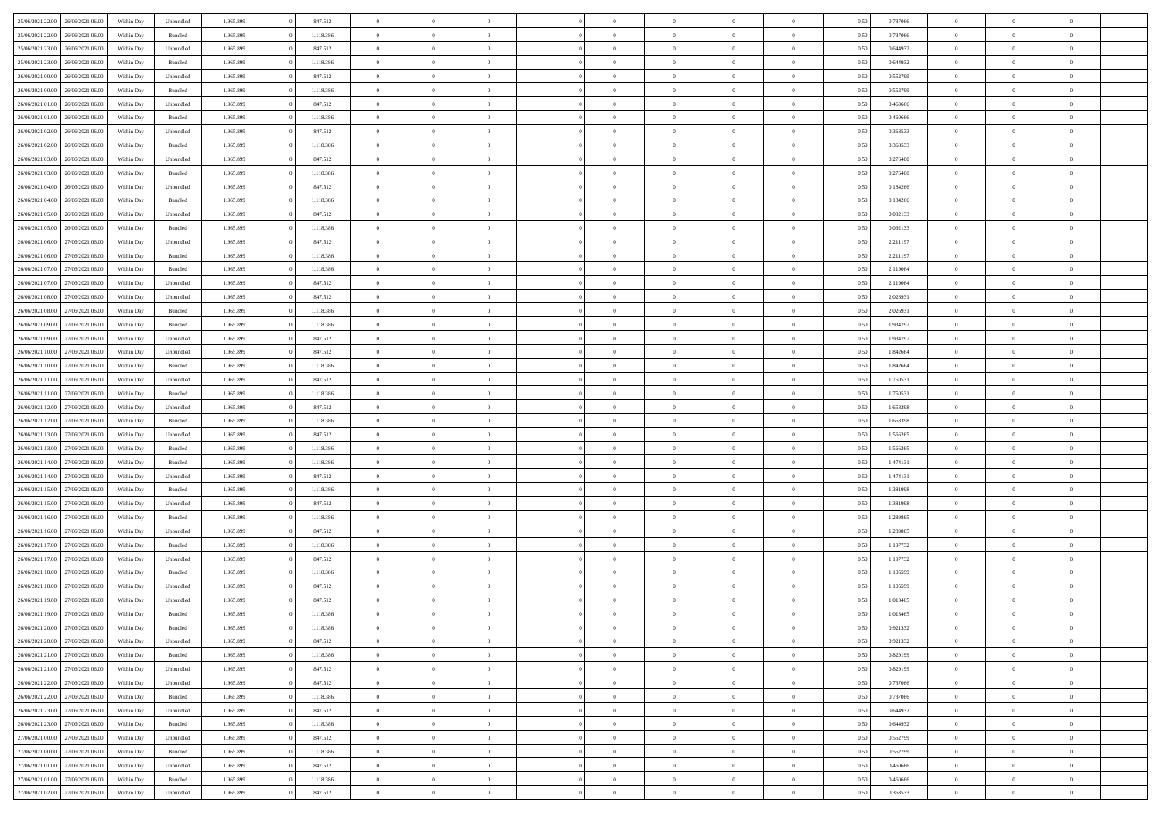| 25/06/2021 22:00 26/06/2021 06:00    | Within Day | Unbundled | 1.965.899 | 847.512   | $\overline{0}$ | $\overline{0}$ | $\overline{0}$ | $\theta$       | $\theta$                        |                | $\overline{0}$ | 0,50 | 0,737066 | $\overline{0}$ | $\theta$       | $\theta$       |  |
|--------------------------------------|------------|-----------|-----------|-----------|----------------|----------------|----------------|----------------|---------------------------------|----------------|----------------|------|----------|----------------|----------------|----------------|--|
|                                      |            |           |           |           |                |                |                |                |                                 |                |                |      |          |                |                |                |  |
| 25/06/2021 22:00<br>26/06/2021 06.00 | Within Day | Bundled   | 1.965.899 | 1.118.386 | $\bf{0}$       | $\bf{0}$       | $\bf{0}$       | $\bf{0}$       | $\bf{0}$                        | $\overline{0}$ | $\bf{0}$       | 0,50 | 0,737066 | $\bf{0}$       | $\theta$       | $\overline{0}$ |  |
| 25/06/2021 23:00<br>26/06/2021 06:00 | Within Day | Unbundled | 1.965.899 | 847.512   | $\overline{0}$ | $\overline{0}$ | $\overline{0}$ | $\bf{0}$       | $\bf{0}$                        | $\overline{0}$ | $\mathbf{0}$   | 0,50 | 0.644932 | $\bf{0}$       | $\overline{0}$ | $\overline{0}$ |  |
| 25/06/2021 23:00<br>26/06/2021 06:00 | Within Day | Bundled   | 1.965.899 | 1.118.386 | $\bf{0}$       | $\overline{0}$ | $\overline{0}$ | $\overline{0}$ | $\overline{0}$                  | $\overline{0}$ | $\bf{0}$       | 0,50 | 0,644932 | $\,$ 0 $\,$    | $\overline{0}$ | $\bf{0}$       |  |
| 26/06/2021 00:00<br>26/06/2021 06.00 | Within Day | Unbundled | 1.965.899 | 847.512   | $\bf{0}$       | $\overline{0}$ | $\bf{0}$       | $\bf{0}$       | $\overline{0}$                  | $\overline{0}$ | $\bf{0}$       | 0,50 | 0,552799 | $\,$ 0 $\,$    | $\theta$       | $\overline{0}$ |  |
| 26/06/2021 00:00<br>26/06/2021 06.00 | Within Day | Bundled   | 1.965.899 | 1.118.386 | $\overline{0}$ | $\overline{0}$ | $\overline{0}$ | $\bf{0}$       | $\bf{0}$                        | $\overline{0}$ | $\theta$       | 0.50 | 0.552799 | $\bf{0}$       | $\theta$       | $\overline{0}$ |  |
|                                      |            |           |           |           |                |                | $\overline{0}$ |                |                                 | $\overline{0}$ |                |      |          |                | $\overline{0}$ | $\bf{0}$       |  |
| 26/06/2021 01:00<br>26/06/2021 06.00 | Within Day | Unbundled | 1.965.899 | 847.512   | $\bf{0}$       | $\overline{0}$ |                | $\overline{0}$ | $\bf{0}$                        |                | $\bf{0}$       | 0,50 | 0,460666 | $\bf{0}$       |                |                |  |
| 26/06/2021 01:00<br>26/06/2021 06.00 | Within Day | Bundled   | 1.965.899 | 1.118.386 | $\bf{0}$       | $\bf{0}$       | $\bf{0}$       | $\bf{0}$       | $\overline{0}$                  | $\overline{0}$ | $\bf{0}$       | 0,50 | 0,460666 | $\,$ 0 $\,$    | $\theta$       | $\bf{0}$       |  |
| 26/06/2021 02:00<br>26/06/2021 06:00 | Within Day | Unbundled | 1.965.899 | 847.512   | $\overline{0}$ | $\overline{0}$ | $\overline{0}$ | $\bf{0}$       | $\overline{0}$                  | $\overline{0}$ | $\bf{0}$       | 0.50 | 0.368533 | $\bf{0}$       | $\overline{0}$ | $\bf{0}$       |  |
| 26/06/2021 02:00<br>26/06/2021 06:00 | Within Day | Bundled   | 1.965.899 | 1.118.386 | $\bf{0}$       | $\overline{0}$ | $\bf{0}$       | $\bf{0}$       | $\bf{0}$                        | $\overline{0}$ | $\bf{0}$       | 0,50 | 0,368533 | $\,0\,$        | $\overline{0}$ | $\bf{0}$       |  |
| 26/06/2021 03:00<br>26/06/2021 06.00 | Within Day | Unbundled | 1.965.899 | 847.512   | $\bf{0}$       | $\overline{0}$ | $\bf{0}$       | $\bf{0}$       | $\overline{0}$                  | $\overline{0}$ | $\bf{0}$       | 0,50 | 0,276400 | $\bf{0}$       | $\theta$       | $\bf{0}$       |  |
| 26/06/2021 03:00<br>26/06/2021 06.00 | Within Day | Bundled   | 1.965.899 | 1.118.386 | $\overline{0}$ | $\overline{0}$ | $\overline{0}$ | $\bf{0}$       | $\bf{0}$                        | $\overline{0}$ | $\,$ 0 $\,$    | 0,50 | 0,276400 | $\bf{0}$       | $\overline{0}$ | $\bf{0}$       |  |
| 26/06/2021 04:00<br>26/06/2021 06:00 | Within Day | Unbundled | 1.965.899 | 847.512   | $\bf{0}$       | $\overline{0}$ | $\overline{0}$ | $\overline{0}$ | $\overline{0}$                  | $\overline{0}$ | $\,$ 0         | 0,50 | 0,184266 | $\,0\,$        | $\theta$       | $\bf{0}$       |  |
|                                      |            |           |           |           | $\bf{0}$       | $\overline{0}$ | $\bf{0}$       |                |                                 | $\overline{0}$ | $\bf{0}$       |      |          |                | $\theta$       | $\overline{0}$ |  |
| 26/06/2021 04:00<br>26/06/2021 06.00 | Within Day | Bundled   | 1.965.899 | 1.118.386 |                |                |                | $\bf{0}$       | $\bf{0}$                        |                |                | 0,50 | 0,184266 | $\bf{0}$       |                |                |  |
| 26/06/2021 05:00<br>26/06/2021 06.00 | Within Day | Unbundled | 1.965.899 | 847.512   | $\overline{0}$ | $\overline{0}$ | $\overline{0}$ | $\bf{0}$       | $\overline{0}$                  | $\overline{0}$ | $\theta$       | 0.50 | 0.092133 | $\bf{0}$       | $\theta$       | $\overline{0}$ |  |
| 26/06/2021 05:00<br>26/06/2021 06:00 | Within Day | Bundled   | 1.965.899 | 1.118.386 | $\bf{0}$       | $\overline{0}$ | $\overline{0}$ | $\overline{0}$ | $\overline{0}$                  | $\overline{0}$ | $\bf{0}$       | 0,50 | 0,092133 | $\bf{0}$       | $\overline{0}$ | $\bf{0}$       |  |
| 26/06/2021 06:00<br>27/06/2021 06.00 | Within Day | Unbundled | 1.965.899 | 847.512   | $\bf{0}$       | $\overline{0}$ | $\bf{0}$       | $\bf{0}$       | $\overline{0}$                  | $\overline{0}$ | $\bf{0}$       | 0,50 | 2,211197 | $\bf{0}$       | $\theta$       | $\bf{0}$       |  |
| 26/06/2021 06:00<br>27/06/2021 06:00 | Within Day | Bundled   | 1.965.899 | 1.118.386 | $\overline{0}$ | $\overline{0}$ | $\overline{0}$ | $\bf{0}$       | $\bf{0}$                        | $\overline{0}$ | $\bf{0}$       | 0,50 | 2,211197 | $\bf{0}$       | $\overline{0}$ | $\bf{0}$       |  |
| 26/06/2021 07:00<br>27/06/2021 06:00 | Within Day | Bundled   | 1.965.899 | 1.118.386 | $\bf{0}$       | $\overline{0}$ | $\bf{0}$       | $\overline{0}$ | $\bf{0}$                        | $\overline{0}$ | $\bf{0}$       | 0,50 | 2,119064 | $\,$ 0 $\,$    | $\bf{0}$       | $\bf{0}$       |  |
| 26/06/2021 07:00<br>27/06/2021 06.00 | Within Day | Unbundled | 1.965.899 | 847.512   | $\bf{0}$       | $\bf{0}$       | $\bf{0}$       | $\bf{0}$       | $\bf{0}$                        | $\overline{0}$ | $\bf{0}$       | 0,50 | 2,119064 | $\bf{0}$       | $\,$ 0         | $\bf{0}$       |  |
|                                      |            |           |           |           |                |                |                |                |                                 | $\overline{0}$ |                |      |          |                | $\overline{0}$ |                |  |
| 26/06/2021 08:00<br>27/06/2021 06:00 | Within Day | Unbundled | 1.965.899 | 847.512   | $\overline{0}$ | $\overline{0}$ | $\overline{0}$ | $\bf{0}$       | $\bf{0}$                        |                | $\,$ 0 $\,$    | 0,50 | 2,026931 | $\bf{0}$       |                | $\bf{0}$       |  |
| 26/06/2021 08:00<br>27/06/2021 06:00 | Within Day | Bundled   | 1.965.899 | 1.118.386 | $\bf{0}$       | $\overline{0}$ | $\overline{0}$ | $\overline{0}$ | $\overline{0}$                  | $\overline{0}$ | $\,$ 0         | 0,50 | 2,026931 | $\,$ 0 $\,$    | $\overline{0}$ | $\bf{0}$       |  |
| 26/06/2021 09:00<br>27/06/2021 06.00 | Within Day | Bundled   | 1.965.899 | 1.118.386 | $\bf{0}$       | $\overline{0}$ | $\bf{0}$       | $\overline{0}$ | $\overline{0}$                  | $\overline{0}$ | $\bf{0}$       | 0,50 | 1,934797 | $\bf{0}$       | $\theta$       | $\bf{0}$       |  |
| 26/06/2021 09:00<br>27/06/2021 06:00 | Within Day | Unbundled | 1.965.899 | 847.512   | $\overline{0}$ | $\overline{0}$ | $\overline{0}$ | $\overline{0}$ | $\bf{0}$                        | $\overline{0}$ | $\theta$       | 0,50 | 1.934797 | $\bf{0}$       | $\theta$       | $\overline{0}$ |  |
| 26/06/2021 10:00<br>27/06/2021 06:00 | Within Day | Unbundled | 1.965.899 | 847.512   | $\bf{0}$       | $\overline{0}$ | $\overline{0}$ | $\overline{0}$ | $\bf{0}$                        | $\overline{0}$ | $\bf{0}$       | 0,50 | 1,842664 | $\bf{0}$       | $\overline{0}$ | $\bf{0}$       |  |
| 26/06/2021 10:00<br>27/06/2021 06.00 | Within Day | Bundled   | 1.965.899 | 1.118.386 | $\bf{0}$       | $\overline{0}$ | $\bf{0}$       | $\bf{0}$       | $\overline{0}$                  | $\overline{0}$ | $\bf{0}$       | 0,50 | 1,842664 | $\,$ 0 $\,$    | $\theta$       | $\overline{0}$ |  |
| 26/06/2021 11:00<br>27/06/2021 06:00 | Within Day | Unbundled | 1.965.899 | 847.512   | $\overline{0}$ | $\overline{0}$ | $\overline{0}$ | $\bf{0}$       | $\bf{0}$                        | $\overline{0}$ | $\bf{0}$       | 0,50 | 1.750531 | $\bf{0}$       | $\overline{0}$ | $\bf{0}$       |  |
| 26/06/2021 11:00<br>27/06/2021 06:00 | Within Day | Bundled   | 1.965.899 | 1.118.386 | $\bf{0}$       | $\overline{0}$ | $\bf{0}$       | $\overline{0}$ | $\bf{0}$                        | $\overline{0}$ | $\bf{0}$       | 0,50 | 1,750531 | $\,$ 0 $\,$    | $\overline{0}$ | $\bf{0}$       |  |
|                                      |            |           |           |           |                |                |                |                |                                 |                |                |      |          |                |                |                |  |
| 26/06/2021 12:00<br>27/06/2021 06.00 | Within Day | Unbundled | 1.965.899 | 847.512   | $\bf{0}$       | $\overline{0}$ | $\bf{0}$       | $\overline{0}$ | $\bf{0}$                        | $\overline{0}$ | $\bf{0}$       | 0,50 | 1,658398 | $\bf{0}$       | $\,$ 0         | $\,$ 0         |  |
| 26/06/2021 12:00<br>27/06/2021 06:00 | Within Day | Bundled   | 1.965.899 | 1.118.386 | $\overline{0}$ | $\overline{0}$ | $\overline{0}$ | $\bf{0}$       | $\bf{0}$                        | $\overline{0}$ | $\,$ 0 $\,$    | 0,50 | 1.658398 | $\bf{0}$       | $\overline{0}$ | $\bf{0}$       |  |
| 26/06/2021 13:00<br>27/06/2021 06:00 | Within Day | Unbundled | 1.965.899 | 847.512   | $\overline{0}$ | $\overline{0}$ | $\overline{0}$ | $\overline{0}$ | $\overline{0}$                  | $\overline{0}$ | $\overline{0}$ | 0,50 | 1.566265 | $\mathbf{0}$   | $\overline{0}$ | $\bf{0}$       |  |
| 26/06/2021 13:00<br>27/06/2021 06.00 | Within Day | Bundled   | 1.965.899 | 1.118.386 | $\bf{0}$       | $\bf{0}$       | $\bf{0}$       | $\bf{0}$       | $\overline{0}$                  | $\overline{0}$ | $\bf{0}$       | 0,50 | 1,566265 | $\bf{0}$       | $\theta$       | $\bf{0}$       |  |
| 26/06/2021 14:00<br>27/06/2021 06:00 | Within Day | Bundled   | 1.965.899 | 1.118.386 | $\overline{0}$ | $\overline{0}$ | $\overline{0}$ | $\overline{0}$ | $\overline{0}$                  | $\overline{0}$ | $\theta$       | 0,50 | 1.474131 | $\bf{0}$       | $\theta$       | $\bf{0}$       |  |
| 26/06/2021 14:00<br>27/06/2021 06:00 | Within Day | Unbundled | 1.965.899 | 847.512   | $\overline{0}$ | $\overline{0}$ | $\overline{0}$ | $\overline{0}$ | $\overline{0}$                  | $\theta$       | $\overline{0}$ | 0.50 | 1,474131 | $\mathbf{0}$   | $\theta$       | $\bf{0}$       |  |
| 26/06/2021 15:00<br>27/06/2021 06.00 | Within Day | Bundled   | 1.965.899 | 1.118.386 | $\bf{0}$       | $\bf{0}$       | $\bf{0}$       | $\bf{0}$       | $\overline{0}$                  | $\overline{0}$ | $\bf{0}$       | 0,50 | 1,381998 | $\bf{0}$       | $\theta$       | $\bf{0}$       |  |
| 26/06/2021 15:00<br>27/06/2021 06:00 |            | Unbundled | 1.965.899 | 847.512   | $\overline{0}$ | $\overline{0}$ | $\overline{0}$ | $\bf{0}$       | $\bf{0}$                        | $\overline{0}$ | $\bf{0}$       | 0,50 | 1.381998 | $\bf{0}$       | $\overline{0}$ | $\bf{0}$       |  |
|                                      | Within Day |           |           |           |                |                |                |                |                                 |                |                |      |          |                |                |                |  |
| 26/06/2021 16:00<br>27/06/2021 06:00 | Within Day | Bundled   | 1.965.899 | 1.118.386 | $\overline{0}$ | $\overline{0}$ | $\overline{0}$ | $\overline{0}$ | $\overline{0}$                  | $\overline{0}$ | $\overline{0}$ | 0.50 | 1.289865 | $\mathbf{0}$   | $\overline{0}$ | $\bf{0}$       |  |
| 26/06/2021 16:00<br>27/06/2021 06.00 | Within Day | Unbundled | 1.965.899 | 847.512   | $\bf{0}$       | $\overline{0}$ | $\bf{0}$       | $\overline{0}$ | $\bf{0}$                        | $\overline{0}$ | $\bf{0}$       | 0,50 | 1,289865 | $\bf{0}$       | $\bf{0}$       | $\bf{0}$       |  |
| 26/06/2021 17:00<br>27/06/2021 06:00 | Within Day | Bundled   | 1.965.899 | 1.118.386 | $\overline{0}$ | $\overline{0}$ | $\overline{0}$ | $\bf{0}$       | $\bf{0}$                        | $\overline{0}$ | $\,$ 0 $\,$    | 0,50 | 1,197732 | $\bf{0}$       | $\overline{0}$ | $\bf{0}$       |  |
| 26/06/2021 17:00<br>27/06/2021 06:00 | Within Day | Unbundled | 1.965.899 | 847.512   | $\overline{0}$ | $\overline{0}$ | $\overline{0}$ | $\overline{0}$ | $\overline{0}$                  | $\theta$       | $\overline{0}$ | 0,50 | 1,197732 | $\mathbf{0}$   | $\theta$       | $\bf{0}$       |  |
| 26/06/2021 18:00<br>27/06/2021 06.00 | Within Day | Bundled   | 1.965.899 | 1.118.386 | $\bf{0}$       | $\bf{0}$       | $\bf{0}$       | $\overline{0}$ | $\bf{0}$                        | $\overline{0}$ | $\bf{0}$       | 0,50 | 1,105599 | $\bf{0}$       | $\theta$       | $\bf{0}$       |  |
| 26/06/2021 18:00<br>27/06/2021 06.00 | Within Day | Unbundled | 1.965.899 | 847.512   | $\overline{0}$ | $\overline{0}$ | $\overline{0}$ | $\overline{0}$ | $\overline{0}$                  | $\overline{0}$ | $\theta$       | 0,50 | 1.105599 | $\bf{0}$       | $\theta$       | $\overline{0}$ |  |
| 26/06/2021 19:00<br>27/06/2021 06:00 | Within Dav | Unbundled | 1.965.899 | 847.512   | $\overline{0}$ | $\overline{0}$ | $\overline{0}$ | $\overline{0}$ | $\overline{0}$                  | $\Omega$       | $\overline{0}$ | 0.50 | 1,013465 | $\mathbf{0}$   | $\theta$       | $\bf{0}$       |  |
| 26/06/2021 19:00<br>27/06/2021 06:00 | Within Day | Bundled   | 1.965.899 | 1.118.386 | $\bf{0}$       | $\bf{0}$       | $\bf{0}$       | $\overline{0}$ | $\bf{0}$                        | $\overline{0}$ | $\bf{0}$       | 0,50 | 1,013465 | $\bf{0}$       | $\,$ 0         | $\,$ 0         |  |
| 26/06/2021 20:00 27/06/2021 06:00    |            | Bundled   | 1.965.899 | 1.118.386 |                | $\theta$       |                |                |                                 |                | $\Omega$       |      |          | $\theta$       | $\theta$       |                |  |
|                                      | Within Day |           |           |           | $\bf{0}$       |                |                | $\bf{0}$       |                                 |                |                | 0,50 | 0,921332 |                |                |                |  |
| 26/06/2021 20:00 27/06/2021 06:00    | Within Day | Unbundled | 1.965.899 | 847.512   | $\overline{0}$ | $\overline{0}$ | $\overline{0}$ | $\overline{0}$ | $\overline{0}$                  | $\overline{0}$ | $\mathbf{0}$   | 0,50 | 0,921332 | $\mathbf{0}$   | $\theta$       | $\overline{0}$ |  |
| 26/06/2021 21:00<br>27/06/2021 06:00 | Within Day | Bundled   | 1.965.899 | 1.118.386 | $\overline{0}$ | $\overline{0}$ | $\overline{0}$ | $\bf{0}$       | $\overline{0}$                  | $\overline{0}$ | $\,$ 0 $\,$    | 0,50 | 0,829199 | $\overline{0}$ | $\bf{0}$       | $\overline{0}$ |  |
| 26/06/2021 21:00 27/06/2021 06:00    | Within Day | Unbundled | 1.965.899 | 847.512   | $\overline{0}$ | $\overline{0}$ | $\overline{0}$ | $\,$ 0 $\,$    | $\bf{0}$                        | $\overline{0}$ | $\,$ 0 $\,$    | 0.50 | 0,829199 | $\overline{0}$ | $\,$ 0 $\,$    | $\,$ 0 $\,$    |  |
| 26/06/2021 22:00 27/06/2021 06:00    | Within Day | Unbundled | 1.965.899 | 847.512   | $\overline{0}$ | $\overline{0}$ | $\overline{0}$ | $\overline{0}$ | $\overline{0}$                  | $\overline{0}$ | $\overline{0}$ | 0,50 | 0,737066 | $\overline{0}$ | $\theta$       | $\overline{0}$ |  |
| 26/06/2021 22:00<br>27/06/2021 06:00 | Within Day | Bundled   | 1.965.899 | 1.118.386 | $\overline{0}$ | $\overline{0}$ | $\overline{0}$ | $\overline{0}$ | $\overline{0}$                  | $\overline{0}$ | $\,$ 0 $\,$    | 0,50 | 0,737066 | $\overline{0}$ | $\bf{0}$       | $\bf{0}$       |  |
| 26/06/2021 23:00<br>27/06/2021 06:00 | Within Day | Unbundled | 1.965.899 | 847.512   | $\overline{0}$ | $\overline{0}$ | $\overline{0}$ | $\bf{0}$       | $\bf{0}$                        | $\overline{0}$ | $\,$ 0 $\,$    | 0.50 | 0.644932 | $\bf{0}$       | $\overline{0}$ | $\overline{0}$ |  |
| 26/06/2021 23:00<br>27/06/2021 06:00 | Within Day | Bundled   | 1.965.899 | 1.118.386 | $\overline{0}$ | $\overline{0}$ | $\overline{0}$ | $\overline{0}$ | $\overline{0}$                  | $\overline{0}$ | $\overline{0}$ | 0,50 | 0,644932 | $\overline{0}$ | $\theta$       | $\overline{0}$ |  |
|                                      |            |           |           |           |                |                |                |                |                                 |                |                |      |          |                |                |                |  |
| 27/06/2021 00:00<br>27/06/2021 06:00 | Within Day | Unbundled | 1.965.899 | 847.512   | $\overline{0}$ | $\overline{0}$ | $\overline{0}$ | $\bf{0}$       | $\hspace{0.1mm}0\hspace{0.1mm}$ | $\overline{0}$ | $\mathbf{0}$   | 0,50 | 0,552799 | $\overline{0}$ | $\bf{0}$       | $\overline{0}$ |  |
| 27/06/2021 00:00 27/06/2021 06:00    | Within Day | Bundled   | 1.965.899 | 1.118.386 | $\overline{0}$ | $\overline{0}$ | $\overline{0}$ | $\bf{0}$       | $\hspace{0.1mm}0\hspace{0.1mm}$ | $\overline{0}$ | $\mathbf{0}$   | 0.50 | 0.552799 | $\bf{0}$       | $\overline{0}$ | $\mathbf{0}$   |  |
| 27/06/2021 01:00 27/06/2021 06:00    | Within Day | Unbundled | 1.965.899 | 847.512   | $\overline{0}$ | $\overline{0}$ | $\overline{0}$ | $\overline{0}$ | $\overline{0}$                  | $\overline{0}$ | $\overline{0}$ | 0,50 | 0,460666 | $\overline{0}$ | $\theta$       | $\overline{0}$ |  |
| 27/06/2021 01:00<br>27/06/2021 06:00 | Within Day | Bundled   | 1.965.899 | 1.118.386 | $\overline{0}$ | $\overline{0}$ | $\overline{0}$ | $\bf{0}$       | $\bf{0}$                        | $\overline{0}$ | $\,$ 0 $\,$    | 0,50 | 0,460666 | $\overline{0}$ | $\bf{0}$       | $\bf{0}$       |  |
| 27/06/2021 02:00 27/06/2021 06:00    | Within Day | Unbundled | 1.965.899 | 847.512   | $\,$ 0 $\,$    | $\overline{0}$ | $\overline{0}$ | $\bf{0}$       | $\,$ 0 $\,$                     | $\overline{0}$ | $\,0\,$        | 0,50 | 0,368533 | $\,$ 0 $\,$    | $\,$ 0 $\,$    | $\,$ 0 $\,$    |  |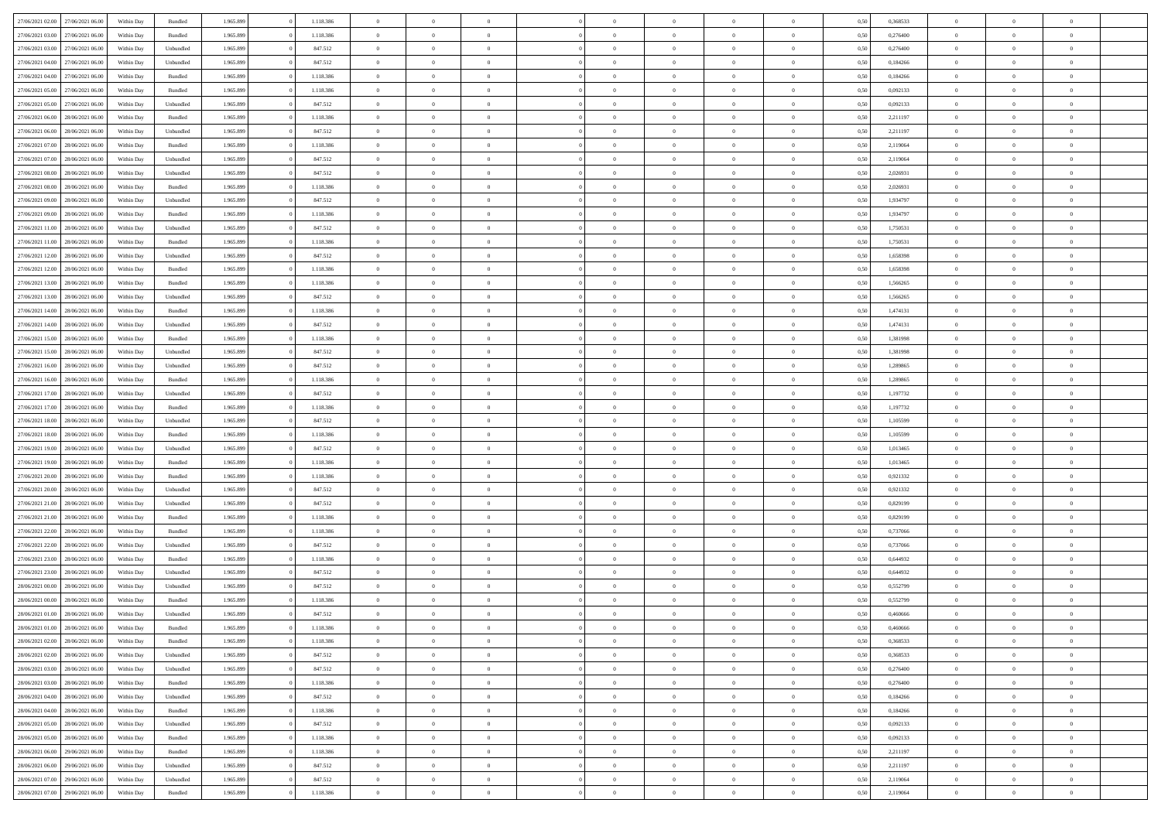| 27/06/2021 02:00 | 27/06/2021 06:00 | Within Day | Bundled            | 1.965.899 | 1.118.386 | $\overline{0}$ | $\theta$       |                | $\Omega$       | $\Omega$       | $\Omega$       | $\theta$       | 0.50 | 0,368533 | $\theta$       | $\theta$       | $\theta$       |  |
|------------------|------------------|------------|--------------------|-----------|-----------|----------------|----------------|----------------|----------------|----------------|----------------|----------------|------|----------|----------------|----------------|----------------|--|
|                  |                  |            |                    |           |           |                |                |                |                |                |                |                |      |          |                |                |                |  |
| 27/06/2021 03:00 | 27/06/2021 06.00 | Within Day | Bundled            | 1.965.899 | 1.118.386 | $\overline{0}$ | $\theta$       | $\overline{0}$ | $\overline{0}$ | $\bf{0}$       | $\overline{0}$ | $\bf{0}$       | 0,50 | 0,276400 | $\theta$       | $\theta$       | $\overline{0}$ |  |
| 27/06/2021 03:00 | 27/06/2021 06:00 | Within Day | Unbundled          | 1.965.899 | 847.512   | $\overline{0}$ | $\overline{0}$ | $\overline{0}$ | $\bf{0}$       | $\bf{0}$       | $\bf{0}$       | $\bf{0}$       | 0,50 | 0,276400 | $\bf{0}$       | $\overline{0}$ | $\overline{0}$ |  |
| 27/06/2021 04:00 | 27/06/2021 06:00 | Within Day | Unbundled          | 1.965.899 | 847.512   | $\overline{0}$ | $\overline{0}$ | $\overline{0}$ | $\overline{0}$ | $\bf{0}$       | $\overline{0}$ | $\overline{0}$ | 0.50 | 0.184266 | $\theta$       | $\theta$       | $\overline{0}$ |  |
| 27/06/2021 04:00 | 27/06/2021 06.00 | Within Day | Bundled            | 1.965.899 | 1.118.386 | $\overline{0}$ | $\theta$       | $\overline{0}$ | $\overline{0}$ | $\bf{0}$       | $\overline{0}$ | $\bf{0}$       | 0,50 | 0,184266 | $\theta$       | $\overline{0}$ | $\overline{0}$ |  |
| 27/06/2021 05:00 | 27/06/2021 06:00 | Within Day | Bundled            | 1.965.899 | 1.118.386 | $\overline{0}$ | $\bf{0}$       | $\overline{0}$ | $\bf{0}$       | $\overline{0}$ | $\overline{0}$ | $\mathbf{0}$   | 0,50 | 0,092133 | $\overline{0}$ | $\overline{0}$ | $\bf{0}$       |  |
|                  |                  |            |                    |           |           |                |                |                |                | $\overline{0}$ |                |                |      |          | $\theta$       | $\overline{0}$ | $\overline{0}$ |  |
| 27/06/2021 05:00 | 27/06/2021 06:00 | Within Dav | Unbundled          | 1.965.899 | 847.512   | $\overline{0}$ | $\overline{0}$ | $\overline{0}$ | $\overline{0}$ |                | $\overline{0}$ | $\overline{0}$ | 0.50 | 0,092133 |                |                |                |  |
| 27/06/2021 06:00 | 28/06/2021 06:00 | Within Day | Bundled            | 1.965.899 | 1.118.386 | $\overline{0}$ | $\theta$       | $\overline{0}$ | $\overline{0}$ | $\bf{0}$       | $\overline{0}$ | $\bf{0}$       | 0,50 | 2,211197 | $\theta$       | $\theta$       | $\overline{0}$ |  |
| 27/06/2021 06:00 | 28/06/2021 06:00 | Within Day | Unbundled          | 1.965.899 | 847.512   | $\overline{0}$ | $\overline{0}$ | $\overline{0}$ | $\bf{0}$       | $\bf{0}$       | $\bf{0}$       | $\bf{0}$       | 0,50 | 2,211197 | $\,0\,$        | $\overline{0}$ | $\overline{0}$ |  |
| 27/06/2021 07:00 | 28/06/2021 06:00 | Within Dav | Bundled            | 1.965.899 | 1.118.386 | $\overline{0}$ | $\overline{0}$ | $\overline{0}$ | $\overline{0}$ | $\overline{0}$ | $\overline{0}$ | $\overline{0}$ | 0.50 | 2,119064 | $\theta$       | $\overline{0}$ | $\overline{0}$ |  |
| 27/06/2021 07:00 | 28/06/2021 06:00 | Within Day | Unbundled          | 1.965.899 | 847.512   | $\overline{0}$ | $\theta$       | $\overline{0}$ | $\overline{0}$ | $\bf{0}$       | $\overline{0}$ | $\bf{0}$       | 0,50 | 2,119064 | $\,$ 0 $\,$    | $\overline{0}$ | $\overline{0}$ |  |
| 27/06/2021 08:00 | 28/06/2021 06:00 | Within Day | Unbundled          | 1.965.899 | 847.512   | $\overline{0}$ | $\overline{0}$ | $\overline{0}$ | $\bf{0}$       | $\bf{0}$       | $\bf{0}$       | $\mathbf{0}$   | 0,50 | 2,026931 | $\bf{0}$       | $\overline{0}$ | $\overline{0}$ |  |
| 27/06/2021 08:00 | 28/06/2021 06:00 | Within Day | Bundled            | 1.965.899 | 1.118.386 | $\overline{0}$ | $\overline{0}$ | $\overline{0}$ | $\overline{0}$ | $\bf{0}$       | $\overline{0}$ | $\overline{0}$ | 0.50 | 2.026931 | $\theta$       | $\theta$       | $\overline{0}$ |  |
|                  |                  |            |                    |           |           | $\overline{0}$ | $\theta$       | $\overline{0}$ | $\overline{0}$ | $\bf{0}$       | $\overline{0}$ |                |      |          | $\theta$       | $\theta$       | $\overline{0}$ |  |
| 27/06/2021 09:00 | 28/06/2021 06:00 | Within Day | Unbundled          | 1.965.899 | 847.512   |                |                |                |                |                |                | $\bf{0}$       | 0,50 | 1,934797 |                |                |                |  |
| 27/06/2021 09:00 | 28/06/2021 06:00 | Within Day | Bundled            | 1.965.899 | 1.118.386 | $\overline{0}$ | $\overline{0}$ | $\overline{0}$ | $\bf{0}$       | $\overline{0}$ | $\overline{0}$ | $\mathbf{0}$   | 0,50 | 1,934797 | $\bf{0}$       | $\overline{0}$ | $\bf{0}$       |  |
| 27/06/2021 11:00 | 28/06/2021 06:00 | Within Dav | Unbundled          | 1.965.899 | 847.512   | $\overline{0}$ | $\overline{0}$ | $\overline{0}$ | $\overline{0}$ | $\overline{0}$ | $\overline{0}$ | $\overline{0}$ | 0.50 | 1,750531 | $\theta$       | $\overline{0}$ | $\overline{0}$ |  |
| 27/06/2021 11:00 | 28/06/2021 06:00 | Within Day | Bundled            | 1.965.899 | 1.118.386 | $\overline{0}$ | $\theta$       | $\overline{0}$ | $\overline{0}$ | $\bf{0}$       | $\overline{0}$ | $\bf{0}$       | 0,50 | 1,750531 | $\theta$       | $\theta$       | $\overline{0}$ |  |
| 27/06/2021 12:00 | 28/06/2021 06:00 | Within Day | Unbundled          | 1.965.899 | 847.512   | $\overline{0}$ | $\overline{0}$ | $\overline{0}$ | $\overline{0}$ | $\bf{0}$       | $\overline{0}$ | $\mathbf{0}$   | 0,50 | 1,658398 | $\bf{0}$       | $\overline{0}$ | $\overline{0}$ |  |
| 27/06/2021 12:00 | 28/06/2021 06:00 | Within Dav | Bundled            | 1.965.899 | 1.118.386 | $\overline{0}$ | $\overline{0}$ | $\overline{0}$ | $\overline{0}$ | $\overline{0}$ | $\overline{0}$ | $\overline{0}$ | 0.50 | 1,658398 | $\theta$       | $\overline{0}$ | $\overline{0}$ |  |
| 27/06/2021 13:00 | 28/06/2021 06:00 | Within Day | Bundled            | 1.965.899 | 1.118.386 | $\overline{0}$ | $\theta$       | $\overline{0}$ | $\overline{0}$ | $\bf{0}$       | $\overline{0}$ | $\bf{0}$       | 0,50 | 1,566265 | $\,$ 0 $\,$    | $\theta$       | $\overline{0}$ |  |
|                  |                  |            |                    |           |           |                | $\overline{0}$ |                |                | $\bf{0}$       |                |                |      |          | $\bf{0}$       | $\overline{0}$ | $\overline{0}$ |  |
| 27/06/2021 13:00 | 28/06/2021 06:00 | Within Day | Unbundled          | 1.965.899 | 847.512   | $\overline{0}$ |                | $\overline{0}$ | $\overline{0}$ |                | $\overline{0}$ | $\bf{0}$       | 0,50 | 1,566265 |                |                |                |  |
| 27/06/2021 14:00 | 28/06/2021 06:00 | Within Day | Bundled            | 1.965.899 | 1.118.386 | $\overline{0}$ | $\overline{0}$ | $\overline{0}$ | $\overline{0}$ | $\bf{0}$       | $\overline{0}$ | $\overline{0}$ | 0.50 | 1,474131 | $\theta$       | $\overline{0}$ | $\overline{0}$ |  |
| 27/06/2021 14:00 | 28/06/2021 06:00 | Within Day | Unbundled          | 1.965.899 | 847.512   | $\overline{0}$ | $\theta$       | $\overline{0}$ | $\overline{0}$ | $\bf{0}$       | $\overline{0}$ | $\bf{0}$       | 0,50 | 1,474131 | $\,$ 0 $\,$    | $\overline{0}$ | $\overline{0}$ |  |
| 27/06/2021 15:00 | 28/06/2021 06:00 | Within Day | Bundled            | 1.965.899 | 1.118.386 | $\overline{0}$ | $\bf{0}$       | $\overline{0}$ | $\overline{0}$ | $\overline{0}$ | $\overline{0}$ | $\mathbf{0}$   | 0,50 | 1,381998 | $\overline{0}$ | $\overline{0}$ | $\bf{0}$       |  |
| 27/06/2021 15:00 | 28/06/2021 06:00 | Within Day | Unbundled          | 1.965.899 | 847.512   | $\overline{0}$ | $\overline{0}$ | $\overline{0}$ | $\overline{0}$ | $\overline{0}$ | $\overline{0}$ | $\overline{0}$ | 0.50 | 1,381998 | $\theta$       | $\overline{0}$ | $\overline{0}$ |  |
| 27/06/2021 16:00 | 28/06/2021 06:00 | Within Day | Unbundled          | 1.965.899 | 847.512   | $\overline{0}$ | $\theta$       | $\overline{0}$ | $\overline{0}$ | $\bf{0}$       | $\overline{0}$ | $\bf{0}$       | 0,50 | 1,289865 | $\theta$       | $\theta$       | $\overline{0}$ |  |
| 27/06/2021 16:00 | 28/06/2021 06:00 | Within Day | Bundled            | 1.965.899 | 1.118.386 | $\overline{0}$ | $\overline{0}$ | $\overline{0}$ | $\overline{0}$ | $\bf{0}$       | $\overline{0}$ | $\bf{0}$       | 0,50 | 1,289865 | $\,0\,$        | $\overline{0}$ | $\overline{0}$ |  |
| 27/06/2021 17:00 | 28/06/2021 06:00 | Within Day | Unbundled          | 1.965.899 | 847.512   | $\overline{0}$ | $\overline{0}$ | $\overline{0}$ | $\overline{0}$ | $\overline{0}$ | $\overline{0}$ | $\overline{0}$ | 0.50 | 1,197732 | $\theta$       | $\overline{0}$ | $\overline{0}$ |  |
|                  |                  |            |                    |           |           |                |                |                |                |                |                |                |      |          |                |                |                |  |
| 27/06/2021 17:00 | 28/06/2021 06:00 | Within Day | Bundled            | 1.965.899 | 1.118.386 | $\overline{0}$ | $\theta$       | $\overline{0}$ | $\overline{0}$ | $\bf{0}$       | $\overline{0}$ | $\bf{0}$       | 0,50 | 1,197732 | $\,$ 0 $\,$    | $\overline{0}$ | $\overline{0}$ |  |
| 27/06/2021 18:00 | 28/06/2021 06:00 | Within Day | Unbundled          | 1.965.899 | 847.512   | $\overline{0}$ | $\overline{0}$ | $\overline{0}$ | $\overline{0}$ | $\bf{0}$       | $\overline{0}$ | $\bf{0}$       | 0,50 | 1,105599 | $\overline{0}$ | $\overline{0}$ | $\overline{0}$ |  |
| 27/06/2021 18:00 | 28/06/2021 06:00 | Within Day | Bundled            | 1.965.899 | 1.118.386 | $\overline{0}$ | $\Omega$       | $\overline{0}$ | $\Omega$       | $\Omega$       | $\overline{0}$ | $\overline{0}$ | 0,50 | 1,105599 | $\,0\,$        | $\theta$       | $\theta$       |  |
| 27/06/2021 19:00 | 28/06/2021 06:00 | Within Day | Unbundled          | 1.965.899 | 847.512   | $\overline{0}$ | $\theta$       | $\overline{0}$ | $\overline{0}$ | $\bf{0}$       | $\overline{0}$ | $\bf{0}$       | 0,50 | 1,013465 | $\,$ 0 $\,$    | $\theta$       | $\overline{0}$ |  |
| 27/06/2021 19:00 | 28/06/2021 06:00 | Within Day | Bundled            | 1.965.899 | 1.118.386 | $\overline{0}$ | $\overline{0}$ | $\overline{0}$ | $\overline{0}$ | $\bf{0}$       | $\overline{0}$ | $\mathbf{0}$   | 0,50 | 1,013465 | $\overline{0}$ | $\overline{0}$ | $\bf{0}$       |  |
| 27/06/2021 20:00 | 28/06/2021 06:00 | Within Day | Bundled            | 1.965.899 | 1.118.386 | $\overline{0}$ | $\Omega$       | $\Omega$       | $\Omega$       | $\bf{0}$       | $\overline{0}$ | $\overline{0}$ | 0.50 | 0,921332 | $\,0\,$        | $\theta$       | $\theta$       |  |
| 27/06/2021 20:00 | 28/06/2021 06:00 | Within Day | Unbundled          | 1.965.899 | 847.512   | $\overline{0}$ | $\theta$       | $\overline{0}$ | $\overline{0}$ | $\bf{0}$       | $\overline{0}$ | $\bf{0}$       | 0,50 | 0,921332 | $\,$ 0 $\,$    | $\theta$       | $\overline{0}$ |  |
| 27/06/2021 21:00 | 28/06/2021 06:00 | Within Day | Unbundled          | 1.965.899 | 847.512   | $\overline{0}$ | $\overline{0}$ | $\overline{0}$ | $\overline{0}$ | $\bf{0}$       | $\overline{0}$ | $\bf{0}$       | 0,50 | 0,829199 | $\bf{0}$       | $\overline{0}$ | $\overline{0}$ |  |
|                  |                  |            |                    |           |           |                |                |                |                |                |                |                |      |          |                |                |                |  |
| 27/06/2021 21:00 | 28/06/2021 06:00 | Within Day | Bundled            | 1.965.899 | 1.118.386 | $\overline{0}$ | $\Omega$       | $\overline{0}$ | $\Omega$       | $\theta$       | $\overline{0}$ | $\overline{0}$ | 0.50 | 0,829199 | $\,$ 0 $\,$    | $\theta$       | $\theta$       |  |
| 27/06/2021 22:00 | 28/06/2021 06:00 | Within Day | Bundled            | 1.965.899 | 1.118.386 | $\overline{0}$ | $\theta$       | $\overline{0}$ | $\overline{0}$ | $\bf{0}$       | $\overline{0}$ | $\bf{0}$       | 0,50 | 0,737066 | $\,$ 0 $\,$    | $\overline{0}$ | $\overline{0}$ |  |
| 27/06/2021 22:00 | 28/06/2021 06:00 | Within Day | Unbundled          | 1.965.899 | 847.512   | $\overline{0}$ | $\overline{0}$ | $\overline{0}$ | $\overline{0}$ | $\bf{0}$       | $\overline{0}$ | $\bf{0}$       | 0,50 | 0,737066 | $\bf{0}$       | $\overline{0}$ | $\overline{0}$ |  |
| 27/06/2021 23:00 | 28/06/2021 06:00 | Within Day | Bundled            | 1.965.899 | 1.118.386 | $\overline{0}$ | $\Omega$       | $\overline{0}$ | $\Omega$       | $\overline{0}$ | $\overline{0}$ | $\overline{0}$ | 0.50 | 0.644932 | $\,0\,$        | $\theta$       | $\theta$       |  |
| 27/06/2021 23:00 | 28/06/2021 06:00 | Within Day | Unbundled          | 1.965.899 | 847.512   | $\overline{0}$ | $\theta$       | $\overline{0}$ | $\overline{0}$ | $\,$ 0         | $\overline{0}$ | $\bf{0}$       | 0,50 | 0,644932 | $\,$ 0 $\,$    | $\overline{0}$ | $\overline{0}$ |  |
| 28/06/2021 00:00 | 28/06/2021 06:00 | Within Day | Unbundled          | 1.965.899 | 847.512   | $\overline{0}$ | $\overline{0}$ | $\overline{0}$ | $\overline{0}$ | $\bf{0}$       | $\bf{0}$       | $\mathbf{0}$   | 0,50 | 0,552799 | $\overline{0}$ | $\overline{0}$ | $\bf{0}$       |  |
| 28/06/2021 00:00 | 28/06/2021 06:00 | Within Day | Bundled            | 1.965.899 | 1.118.386 | $\overline{0}$ | $\Omega$       | $\Omega$       | $\Omega$       | $\Omega$       | $\Omega$       | $\overline{0}$ | 0.50 | 0.552799 | $\theta$       | $\theta$       | $\theta$       |  |
| 28/06/2021 01:00 | 28/06/2021 06:00 | Within Day | Unbundled          | 1.965.899 | 847.512   | $\overline{0}$ | $\,$ 0 $\,$    | $\overline{0}$ | $\bf{0}$       | $\,$ 0         | $\bf{0}$       | $\bf{0}$       | 0,50 | 0,460666 | $\,0\,$        | $\overline{0}$ | $\overline{0}$ |  |
| 28/06/2021 01:00 | 28/06/2021 06:00 | Within Day | $\mathbf B$ undled | 1.965.899 | 1.118.386 | $\bf{0}$       | $\bf{0}$       |                |                |                |                |                | 0,50 | 0,460666 | $\bf{0}$       | $\overline{0}$ |                |  |
|                  |                  |            |                    |           |           |                |                |                |                |                |                |                |      |          |                |                |                |  |
| 28/06/2021 02:00 | 28/06/2021 06:00 | Within Day | Bundled            | 1.965.899 | 1.118.386 | $\overline{0}$ | $\overline{0}$ | $\overline{0}$ | $\Omega$       | $\overline{0}$ | $\overline{0}$ | $\overline{0}$ | 0,50 | 0.368533 | $\theta$       | $\theta$       | $\theta$       |  |
| 28/06/2021 02:00 | 28/06/2021 06:00 | Within Day | Unbundled          | 1.965.899 | 847.512   | $\overline{0}$ | $\bf{0}$       | $\overline{0}$ | $\bf{0}$       | $\,$ 0 $\,$    | $\overline{0}$ | $\,$ 0 $\,$    | 0,50 | 0,368533 | $\,$ 0 $\,$    | $\,$ 0 $\,$    | $\,$ 0         |  |
| 28/06/2021 03:00 | 28/06/2021 06:00 | Within Day | Unbundled          | 1.965.899 | 847.512   | $\overline{0}$ | $\overline{0}$ | $\overline{0}$ | $\overline{0}$ | $\overline{0}$ | $\overline{0}$ | $\mathbf{0}$   | 0,50 | 0,276400 | $\overline{0}$ | $\bf{0}$       | $\bf{0}$       |  |
| 28/06/2021 03:00 | 28/06/2021 06:00 | Within Day | $\mathbf B$ undled | 1.965.899 | 1.118.386 | $\overline{0}$ | $\overline{0}$ | $\overline{0}$ | $\Omega$       | $\overline{0}$ | $\overline{0}$ | $\overline{0}$ | 0,50 | 0,276400 | $\overline{0}$ | $\theta$       | $\overline{0}$ |  |
| 28/06/2021 04:00 | 28/06/2021 06:00 | Within Day | Unbundled          | 1.965.899 | 847.512   | $\overline{0}$ | $\,$ 0         | $\overline{0}$ | $\overline{0}$ | $\,$ 0 $\,$    | $\overline{0}$ | $\mathbf{0}$   | 0,50 | 0,184266 | $\,$ 0 $\,$    | $\overline{0}$ | $\overline{0}$ |  |
| 28/06/2021 04:00 | 28/06/2021 06:00 | Within Day | Bundled            | 1.965.899 | 1.118.386 | $\overline{0}$ | $\overline{0}$ | $\overline{0}$ | $\overline{0}$ | $\overline{0}$ | $\overline{0}$ | $\mathbf{0}$   | 0,50 | 0,184266 | $\overline{0}$ | $\overline{0}$ | $\bf{0}$       |  |
| 28/06/2021 05:00 | 28/06/2021 06:00 | Within Day | Unbundled          | 1.965.899 | 847.512   | $\overline{0}$ | $\overline{0}$ | $\overline{0}$ | $\overline{0}$ | $\overline{0}$ | $\overline{0}$ | $\bf{0}$       | 0.50 | 0,092133 | $\overline{0}$ | $\theta$       | $\overline{0}$ |  |
|                  |                  |            |                    |           |           |                |                |                |                |                |                |                |      |          |                |                |                |  |
| 28/06/2021 05:00 | 28/06/2021 06:00 | Within Day | Bundled            | 1.965.899 | 1.118.386 | $\overline{0}$ | $\,$ 0         | $\overline{0}$ | $\bf{0}$       | $\bf{0}$       | $\overline{0}$ | $\bf{0}$       | 0,50 | 0,092133 | $\,$ 0 $\,$    | $\overline{0}$ | $\overline{0}$ |  |
| 28/06/2021 06:00 | 29/06/2021 06:00 | Within Day | Bundled            | 1.965.899 | 1.118.386 | $\overline{0}$ | $\bf{0}$       | $\overline{0}$ | $\overline{0}$ | $\overline{0}$ | $\overline{0}$ | $\mathbf{0}$   | 0,50 | 2,211197 | $\overline{0}$ | $\overline{0}$ | $\bf{0}$       |  |
| 28/06/2021 06:00 | 29/06/2021 06:00 | Within Day | Unbundled          | 1.965.899 | 847.512   | $\overline{0}$ | $\overline{0}$ | $\overline{0}$ | $\Omega$       | $\overline{0}$ | $\overline{0}$ | $\overline{0}$ | 0.50 | 2,211197 | $\overline{0}$ | $\overline{0}$ | $\overline{0}$ |  |
| 28/06/2021 07:00 | 29/06/2021 06.00 | Within Day | Unbundled          | 1.965.899 | 847.512   | $\overline{0}$ | $\bf{0}$       | $\overline{0}$ | $\bf{0}$       | $\bf{0}$       | $\overline{0}$ | $\mathbf{0}$   | 0,50 | 2,119064 | $\,$ 0 $\,$    | $\,$ 0 $\,$    | $\bf{0}$       |  |
| 28/06/2021 07:00 | 29/06/2021 06:00 | Within Day | Bundled            | 1.965.899 | 1.118.386 | $\overline{0}$ | $\overline{0}$ | $\overline{0}$ | $\overline{0}$ | $\overline{0}$ | $\overline{0}$ | $\mathbf{0}$   | 0,50 | 2,119064 | $\overline{0}$ | $\bf{0}$       | $\bf{0}$       |  |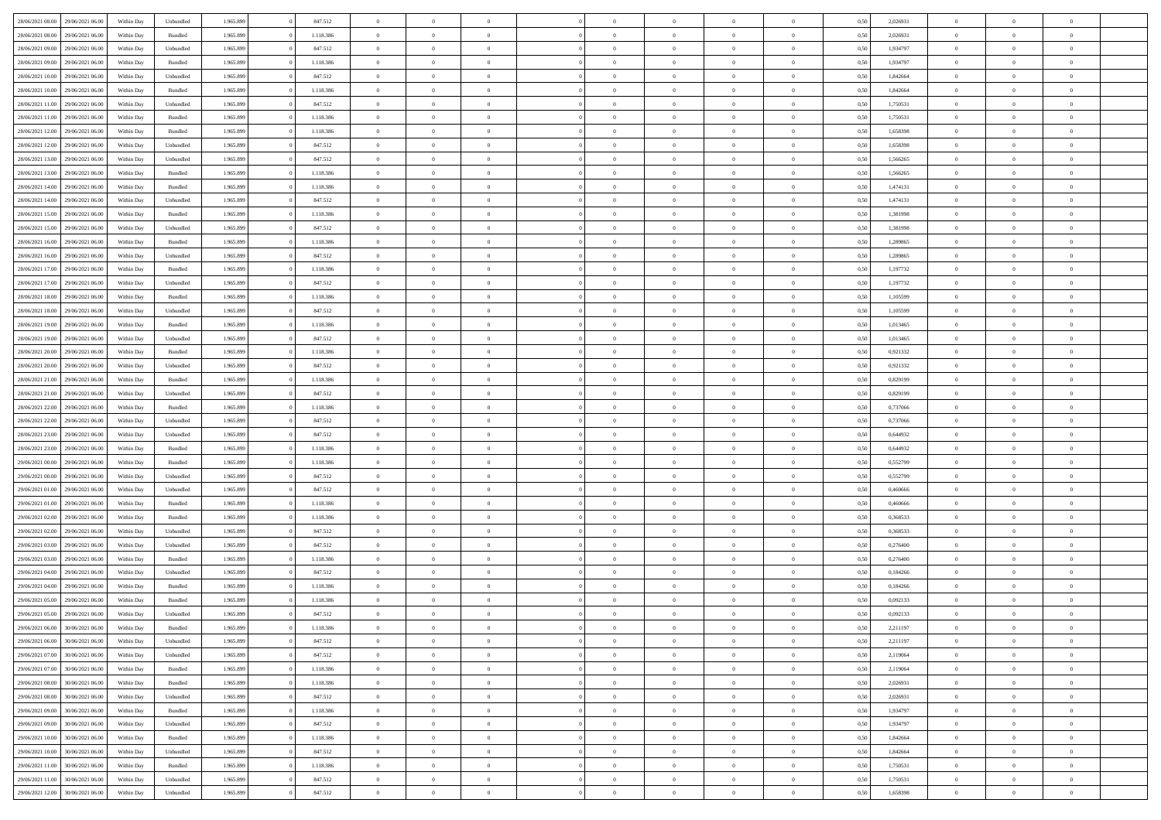| 28/06/2021 08:00 29/06/2021 06:00    | Within Day | Unbundled          | 1.965.899 | 847.512   | $\overline{0}$ | $\overline{0}$ | $\Omega$       | $\Omega$       | $\Omega$       |                | $\overline{0}$ | 0,50 | 2,026931 | $\mathbf{0}$   | $\Omega$       | $\Omega$       |  |
|--------------------------------------|------------|--------------------|-----------|-----------|----------------|----------------|----------------|----------------|----------------|----------------|----------------|------|----------|----------------|----------------|----------------|--|
| 28/06/2021 08:00<br>29/06/2021 06:00 | Within Day | Bundled            | 1.965.899 | 1.118.386 | $\bf{0}$       | $\overline{0}$ | $\overline{0}$ | $\theta$       | $\overline{0}$ | $\overline{0}$ | $\,$ 0         | 0,50 | 2,026931 | $\mathbf{0}$   | $\theta$       | $\bf{0}$       |  |
| 28/06/2021 09:00<br>29/06/2021 06.00 | Within Day | Unbundled          | 1.965.899 | 847.512   | $\overline{0}$ | $\overline{0}$ | $\overline{0}$ | $\bf{0}$       | $\bf{0}$       | $\overline{0}$ | $\mathbf{0}$   | 0,50 | 1,934797 | $\bf{0}$       | $\bf{0}$       | $\bf{0}$       |  |
| 28/06/2021 09:00<br>29/06/2021 06:00 | Within Day | Bundled            | 1.965.899 | 1.118.386 | $\overline{0}$ | $\overline{0}$ | $\overline{0}$ | $\overline{0}$ | $\overline{0}$ | $\overline{0}$ | $\overline{0}$ | 0.50 | 1,934797 | $\mathbf{0}$   | $\overline{0}$ | $\bf{0}$       |  |
|                                      |            |                    |           |           |                | $\overline{0}$ | $\overline{0}$ | $\theta$       | $\overline{0}$ | $\overline{0}$ |                |      |          | $\mathbf{0}$   | $\theta$       | $\overline{0}$ |  |
| 28/06/2021 10:00<br>29/06/2021 06:00 | Within Day | Unbundled          | 1.965.899 | 847.512   | $\bf{0}$       |                |                |                |                |                | $\bf{0}$       | 0,50 | 1,842664 |                |                |                |  |
| 28/06/2021 10:00<br>29/06/2021 06.00 | Within Day | Bundled            | 1.965.899 | 1.118.386 | $\overline{0}$ | $\overline{0}$ | $\overline{0}$ | $\bf{0}$       | $\overline{0}$ | $\overline{0}$ | $\overline{0}$ | 0,50 | 1,842664 | $\overline{0}$ | $\overline{0}$ | $\overline{0}$ |  |
| 28/06/2021 11:00<br>29/06/2021 06:00 | Within Day | Unbundled          | 1.965.899 | 847.512   | $\overline{0}$ | $\overline{0}$ | $\overline{0}$ | $\overline{0}$ | $\overline{0}$ | $\overline{0}$ | $\mathbf{0}$   | 0.50 | 1,750531 | $\mathbf{0}$   | $\overline{0}$ | $\overline{0}$ |  |
| 28/06/2021 11:00<br>29/06/2021 06:00 | Within Day | Bundled            | 1.965.899 | 1.118.386 | $\bf{0}$       | $\overline{0}$ | $\overline{0}$ | $\theta$       | $\overline{0}$ | $\overline{0}$ | $\bf{0}$       | 0,50 | 1,750531 | $\theta$       | $\theta$       | $\bf{0}$       |  |
| 28/06/2021 12:00<br>29/06/2021 06.00 | Within Day | Bundled            | 1.965.899 | 1.118.386 | $\overline{0}$ | $\overline{0}$ | $\overline{0}$ | $\bf{0}$       | $\bf{0}$       | $\overline{0}$ | $\mathbf{0}$   | 0,50 | 1,658398 | $\bf{0}$       | $\bf{0}$       | $\bf{0}$       |  |
| 28/06/2021 12:00<br>29/06/2021 06:00 | Within Day | Unbundled          | 1.965.899 | 847.512   | $\overline{0}$ | $\overline{0}$ | $\overline{0}$ | $\overline{0}$ | $\overline{0}$ | $\overline{0}$ | $\overline{0}$ | 0.50 | 1,658398 | $\overline{0}$ | $\overline{0}$ | $\overline{0}$ |  |
| 28/06/2021 13:00<br>29/06/2021 06:00 | Within Day | Unbundled          | 1.965.899 | 847.512   | $\bf{0}$       | $\overline{0}$ | $\overline{0}$ | $\overline{0}$ | $\overline{0}$ | $\overline{0}$ | $\,$ 0         | 0,50 | 1,566265 | $\mathbf{0}$   | $\theta$       | $\bf{0}$       |  |
|                                      |            |                    |           |           |                |                |                |                |                |                |                |      |          |                |                |                |  |
| 28/06/2021 13:00<br>29/06/2021 06:00 | Within Day | Bundled            | 1.965.899 | 1.118.386 | $\overline{0}$ | $\overline{0}$ | $\overline{0}$ | $\bf{0}$       | $\bf{0}$       | $\overline{0}$ | $\mathbf{0}$   | 0,50 | 1,566265 | $\bf{0}$       | $\bf{0}$       | $\bf{0}$       |  |
| 28/06/2021 14:00<br>29/06/2021 06:00 | Within Day | Bundled            | 1.965.899 | 1.118.386 | $\overline{0}$ | $\overline{0}$ | $\overline{0}$ | $\overline{0}$ | $\overline{0}$ | $\overline{0}$ | $\overline{0}$ | 0.50 | 1.474131 | $\mathbf{0}$   | $\overline{0}$ | $\bf{0}$       |  |
| 28/06/2021 14:00<br>29/06/2021 06:00 | Within Day | Unbundled          | 1.965.899 | 847.512   | $\bf{0}$       | $\overline{0}$ | $\overline{0}$ | $\theta$       | $\overline{0}$ | $\overline{0}$ | $\,$ 0         | 0,50 | 1,474131 | $\theta$       | $\theta$       | $\overline{0}$ |  |
| 28/06/2021 15:00<br>29/06/2021 06.00 | Within Day | Bundled            | 1.965.899 | 1.118.386 | $\overline{0}$ | $\overline{0}$ | $\overline{0}$ | $\bf{0}$       | $\overline{0}$ | $\overline{0}$ | $\overline{0}$ | 0,50 | 1,381998 | $\overline{0}$ | $\bf{0}$       | $\overline{0}$ |  |
| 28/06/2021 15:00<br>29/06/2021 06:00 | Within Day | Unbundled          | 1.965.899 | 847.512   | $\overline{0}$ | $\overline{0}$ | $\overline{0}$ | $\overline{0}$ | $\overline{0}$ | $\overline{0}$ | $\mathbf{0}$   | 0.50 | 1,381998 | $\overline{0}$ | $\overline{0}$ | $\overline{0}$ |  |
| 28/06/2021 16:00<br>29/06/2021 06:00 | Within Day | Bundled            | 1.965.899 | 1.118.386 | $\bf{0}$       | $\overline{0}$ | $\overline{0}$ | $\overline{0}$ | $\overline{0}$ | $\overline{0}$ | $\bf{0}$       | 0,50 | 1,289865 | $\theta$       | $\theta$       | $\bf{0}$       |  |
| 28/06/2021 16:00<br>29/06/2021 06.00 | Within Day | Unbundled          | 1.965.899 | 847.512   | $\overline{0}$ | $\overline{0}$ | $\overline{0}$ | $\bf{0}$       | $\bf{0}$       | $\overline{0}$ | $\mathbf{0}$   | 0,50 | 1,289865 | $\bf{0}$       | $\bf{0}$       | $\bf{0}$       |  |
| 29/06/2021 06:00                     |            | Bundled            | 1.965.899 | 1.118.386 | $\overline{0}$ | $\overline{0}$ | $\overline{0}$ | $\overline{0}$ | $\overline{0}$ | $\overline{0}$ | $\overline{0}$ | 0.50 | 1,197732 | $\overline{0}$ | $\overline{0}$ | $\overline{0}$ |  |
| 28/06/2021 17:00                     | Within Day |                    |           |           |                |                |                |                |                |                |                |      |          |                |                |                |  |
| 28/06/2021 17:00<br>29/06/2021 06:00 | Within Day | Unbundled          | 1.965.899 | 847.512   | $\bf{0}$       | $\overline{0}$ | $\overline{0}$ | $\overline{0}$ | $\overline{0}$ | $\overline{0}$ | $\,$ 0         | 0,50 | 1,197732 | $\theta$       | $\theta$       | $\bf{0}$       |  |
| 28/06/2021 18:00<br>29/06/2021 06:00 | Within Day | Bundled            | 1.965.899 | 1.118.386 | $\overline{0}$ | $\overline{0}$ | $\overline{0}$ | $\bf{0}$       | $\bf{0}$       | $\overline{0}$ | $\mathbf{0}$   | 0,50 | 1,105599 | $\bf{0}$       | $\bf{0}$       | $\bf{0}$       |  |
| 28/06/2021 18:00<br>29/06/2021 06:00 | Within Day | Unbundled          | 1.965.899 | 847.512   | $\overline{0}$ | $\overline{0}$ | $\overline{0}$ | $\overline{0}$ | $\overline{0}$ | $\overline{0}$ | $\overline{0}$ | 0.50 | 1,105599 | $\overline{0}$ | $\overline{0}$ | $\bf{0}$       |  |
| 28/06/2021 19:00<br>29/06/2021 06:00 | Within Day | $\mathbf B$ undled | 1.965.899 | 1.118.386 | $\bf{0}$       | $\overline{0}$ | $\overline{0}$ | $\overline{0}$ | $\overline{0}$ | $\overline{0}$ | $\,$ 0         | 0,50 | 1,013465 | $\mathbf{0}$   | $\theta$       | $\bf{0}$       |  |
| 28/06/2021 19:00<br>29/06/2021 06.00 | Within Day | Unbundled          | 1.965.899 | 847.512   | $\overline{0}$ | $\overline{0}$ | $\overline{0}$ | $\bf{0}$       | $\overline{0}$ | $\overline{0}$ | $\overline{0}$ | 0,50 | 1,013465 | $\overline{0}$ | $\overline{0}$ | $\overline{0}$ |  |
| 28/06/2021 20:00<br>29/06/2021 06:00 | Within Day | Bundled            | 1.965.899 | 1.118.386 | $\overline{0}$ | $\overline{0}$ | $\overline{0}$ | $\overline{0}$ | $\overline{0}$ | $\overline{0}$ | $\overline{0}$ | 0.50 | 0,921332 | $\overline{0}$ | $\overline{0}$ | $\overline{0}$ |  |
| 28/06/2021 20:00<br>29/06/2021 06:00 | Within Day | Unbundled          | 1.965.899 | 847.512   | $\bf{0}$       | $\overline{0}$ | $\bf{0}$       | $\overline{0}$ | $\overline{0}$ | $\overline{0}$ | $\bf{0}$       | 0,50 | 0,921332 | $\theta$       | $\theta$       | $\bf{0}$       |  |
|                                      |            |                    |           |           |                |                |                |                |                |                |                |      |          |                |                |                |  |
| 28/06/2021 21:00<br>29/06/2021 06.00 | Within Day | Bundled            | 1.965.899 | 1.118.386 | $\overline{0}$ | $\overline{0}$ | $\bf{0}$       | $\bf{0}$       | $\bf{0}$       | $\overline{0}$ | $\bf{0}$       | 0,50 | 0,829199 | $\bf{0}$       | $\bf{0}$       | $\bf{0}$       |  |
| 28/06/2021 21:00<br>29/06/2021 06:00 | Within Day | Unbundled          | 1.965.899 | 847.512   | $\overline{0}$ | $\overline{0}$ | $\overline{0}$ | $\overline{0}$ | $\overline{0}$ | $\overline{0}$ | $\overline{0}$ | 0.50 | 0,829199 | $\overline{0}$ | $\overline{0}$ | $\bf{0}$       |  |
| 28/06/2021 22:00<br>29/06/2021 06:00 | Within Day | Bundled            | 1.965.899 | 1.118.386 | $\bf{0}$       | $\overline{0}$ | $\overline{0}$ | $\overline{0}$ | $\overline{0}$ | $\overline{0}$ | $\,$ 0         | 0,50 | 0,737066 | $\,$ 0 $\,$    | $\theta$       | $\bf{0}$       |  |
| 28/06/2021 22:00<br>29/06/2021 06.00 | Within Day | Unbundled          | 1.965.899 | 847.512   | $\overline{0}$ | $\overline{0}$ | $\overline{0}$ | $\bf{0}$       | $\bf{0}$       | $\overline{0}$ | $\mathbf{0}$   | 0,50 | 0,737066 | $\overline{0}$ | $\bf{0}$       | $\bf{0}$       |  |
| 28/06/2021 23:00<br>29/06/2021 06.00 | Within Day | Unbundled          | 1.965.899 | 847.512   | $\overline{0}$ | $\overline{0}$ | $\overline{0}$ | $\overline{0}$ | $\overline{0}$ | $\Omega$       | $\overline{0}$ | 0.50 | 0.644932 | $\bf{0}$       | $\Omega$       | $\Omega$       |  |
| 28/06/2021 23:00<br>29/06/2021 06:00 | Within Day | Bundled            | 1.965.899 | 1.118.386 | $\bf{0}$       | $\overline{0}$ | $\overline{0}$ | $\theta$       | $\overline{0}$ | $\overline{0}$ | $\,$ 0         | 0,50 | 0,644932 | $\theta$       | $\theta$       | $\bf{0}$       |  |
| 29/06/2021 00:00<br>29/06/2021 06.00 | Within Day | Bundled            | 1.965.899 | 1.118.386 | $\overline{0}$ | $\overline{0}$ | $\overline{0}$ | $\bf{0}$       | $\overline{0}$ | $\overline{0}$ | $\overline{0}$ | 0,50 | 0,552799 | $\overline{0}$ | $\overline{0}$ | $\overline{0}$ |  |
|                                      |            |                    |           |           |                |                |                |                |                |                |                |      |          |                |                |                |  |
| 29/06/2021 00:00<br>29/06/2021 06.00 | Within Day | Unbundled          | 1.965.899 | 847.512   | $\overline{0}$ | $\overline{0}$ | $\overline{0}$ | $\overline{0}$ | $\overline{0}$ | $\Omega$       | $\overline{0}$ | 0.50 | 0,552799 | $\overline{0}$ | $\Omega$       | $\Omega$       |  |
| 29/06/2021 01:00<br>29/06/2021 06:00 | Within Day | Unbundled          | 1.965.899 | 847.512   | $\bf{0}$       | $\overline{0}$ | $\bf{0}$       | $\overline{0}$ | $\overline{0}$ | $\overline{0}$ | $\bf{0}$       | 0,50 | 0,460666 | $\theta$       | $\theta$       | $\bf{0}$       |  |
| 29/06/2021 01:00<br>29/06/2021 06.00 | Within Day | Bundled            | 1.965.899 | 1.118.386 | $\overline{0}$ | $\overline{0}$ | $\bf{0}$       | $\bf{0}$       | $\bf{0}$       | $\overline{0}$ | $\bf{0}$       | 0,50 | 0,460666 | $\bf{0}$       | $\bf{0}$       | $\bf{0}$       |  |
| 29/06/2021 02:00<br>29/06/2021 06.00 | Within Day | Bundled            | 1.965.899 | 1.118.386 | $\overline{0}$ | $\overline{0}$ | $\overline{0}$ | $\overline{0}$ | $\overline{0}$ | $\Omega$       | $\theta$       | 0.50 | 0.368533 | $\overline{0}$ | $\Omega$       | $\Omega$       |  |
| 29/06/2021 02:00<br>29/06/2021 06:00 | Within Day | Unbundled          | 1.965.899 | 847.512   | $\bf{0}$       | $\overline{0}$ | $\bf{0}$       | $\overline{0}$ | $\overline{0}$ | $\overline{0}$ | $\,$ 0         | 0,50 | 0,368533 | $\theta$       | $\theta$       | $\bf{0}$       |  |
| 29/06/2021 03:00<br>29/06/2021 06.00 | Within Day | Unbundled          | 1.965.899 | 847.512   | $\overline{0}$ | $\overline{0}$ | $\overline{0}$ | $\bf{0}$       | $\bf{0}$       | $\overline{0}$ | $\mathbf{0}$   | 0,50 | 0,276400 | $\overline{0}$ | $\bf{0}$       | $\bf{0}$       |  |
| 29/06/2021 03:00<br>29/06/2021 06.00 | Within Day | Bundled            | 1.965.899 | 1.118.386 | $\overline{0}$ | $\overline{0}$ | $\overline{0}$ | $\overline{0}$ | $\bf{0}$       | $\Omega$       | $\overline{0}$ | 0.50 | 0,276400 | $\overline{0}$ | $\theta$       | $\Omega$       |  |
| 29/06/2021 04:00<br>29/06/2021 06:00 | Within Day | Unbundled          | 1.965.899 | 847.512   | $\bf{0}$       | $\overline{0}$ | $\bf{0}$       | $\overline{0}$ | $\overline{0}$ | $\overline{0}$ | $\,$ 0         | 0,50 | 0,184266 | $\,0\,$        | $\theta$       | $\bf{0}$       |  |
|                                      |            |                    |           |           |                |                |                |                |                |                |                |      |          |                |                |                |  |
| 29/06/2021 04:00<br>29/06/2021 06.00 | Within Day | Bundled            | 1.965.899 | 1.118.386 | $\overline{0}$ | $\overline{0}$ | $\bf{0}$       | $\bf{0}$       | $\overline{0}$ | $\overline{0}$ | $\overline{0}$ | 0,50 | 0,184266 | $\overline{0}$ | $\bf{0}$       | $\bf{0}$       |  |
| 29/06/2021 05:00<br>29/06/2021 06.00 | Within Day | Bundled            | 1.965.899 | 1.118.386 | $\overline{0}$ | $\Omega$       | $\Omega$       | $\overline{0}$ | $\overline{0}$ | $\Omega$       | $\overline{0}$ | 0.50 | 0.092133 | $\bf{0}$       | $\Omega$       | $\Omega$       |  |
| 29/06/2021 05:00<br>29/06/2021 06:00 | Within Day | Unbundled          | 1.965.899 | 847.512   | $\bf{0}$       | $\bf{0}$       | $\bf{0}$       | $\bf{0}$       | $\bf{0}$       | $\overline{0}$ | $\,$ 0         | 0,50 | 0,092133 | $\bf{0}$       | $\,$ 0         | $\,$ 0         |  |
| 29/06/2021 06:00<br>30/06/2021 06:00 | Within Day | Bundled            | 1.965.899 | 1.118.386 | $\bf{0}$       | $\bf{0}$       |                | $\bf{0}$       |                |                |                | 0,50 | 2,211197 | $\bf{0}$       | $\bf{0}$       |                |  |
| 29/06/2021 06:00 30/06/2021 06:00    | Within Day | Unbundled          | 1.965.899 | 847.512   | $\overline{0}$ | $\overline{0}$ | $\overline{0}$ | $\overline{0}$ | $\overline{0}$ | $\overline{0}$ | $\mathbf{0}$   | 0,50 | 2,211197 | $\overline{0}$ | $\theta$       | $\overline{0}$ |  |
| 29/06/2021 07:00<br>30/06/2021 06:00 | Within Day | Unbundled          | 1.965.899 | 847.512   | $\overline{0}$ | $\overline{0}$ | $\overline{0}$ | $\bf{0}$       | $\overline{0}$ | $\overline{0}$ | $\mathbf{0}$   | 0,50 | 2,119064 | $\,0\,$        | $\overline{0}$ | $\,$ 0 $\,$    |  |
| 29/06/2021 07:00<br>30/06/2021 06:00 | Within Day | Bundled            | 1.965.899 | 1.118.386 | $\overline{0}$ | $\overline{0}$ | $\overline{0}$ | $\bf{0}$       | $\overline{0}$ | $\overline{0}$ | $\overline{0}$ | 0,50 | 2,119064 | $\overline{0}$ | $\overline{0}$ | $\overline{0}$ |  |
| 29/06/2021 08:00<br>30/06/2021 06:00 | Within Day | Bundled            | 1.965.899 | 1.118.386 | $\overline{0}$ | $\overline{0}$ | $\overline{0}$ | $\overline{0}$ | $\bf{0}$       | $\overline{0}$ | $\overline{0}$ | 0,50 | 2,026931 | $\overline{0}$ | $\overline{0}$ | $\overline{0}$ |  |
|                                      |            |                    |           |           |                |                |                |                |                |                |                |      |          |                | $\theta$       |                |  |
| 29/06/2021 08:00<br>30/06/2021 06:00 | Within Day | Unbundled          | 1.965.899 | 847.512   | $\overline{0}$ | $\overline{0}$ | $\overline{0}$ | $\overline{0}$ | $\overline{0}$ | $\overline{0}$ | $\mathbf{0}$   | 0,50 | 2,026931 | $\,0\,$        |                | $\bf{0}$       |  |
| 29/06/2021 09:00<br>30/06/2021 06:00 | Within Day | Bundled            | 1.965.899 | 1.118.386 | $\overline{0}$ | $\overline{0}$ | $\overline{0}$ | $\bf{0}$       | $\overline{0}$ | $\overline{0}$ | $\overline{0}$ | 0,50 | 1,934797 | $\overline{0}$ | $\overline{0}$ | $\overline{0}$ |  |
| 29/06/2021 09:00<br>30/06/2021 06:00 | Within Day | Unbundled          | 1.965.899 | 847.512   | $\overline{0}$ | $\overline{0}$ | $\overline{0}$ | $\overline{0}$ | $\overline{0}$ | $\overline{0}$ | $\overline{0}$ | 0,50 | 1,934797 | $\overline{0}$ | $\overline{0}$ | $\overline{0}$ |  |
| 29/06/2021 10:00<br>30/06/2021 06:00 | Within Day | Bundled            | 1.965.899 | 1.118.386 | $\overline{0}$ | $\overline{0}$ | $\overline{0}$ | $\bf{0}$       | $\bf{0}$       | $\overline{0}$ | $\,$ 0 $\,$    | 0,50 | 1,842664 | $\,0\,$        | $\theta$       | $\,$ 0         |  |
| 29/06/2021 10:00<br>30/06/2021 06:00 | Within Day | Unbundled          | 1.965.899 | 847.512   | $\overline{0}$ | $\overline{0}$ | $\overline{0}$ | $\bf{0}$       | $\overline{0}$ | $\overline{0}$ | $\overline{0}$ | 0,50 | 1,842664 | $\bf{0}$       | $\bf{0}$       | $\overline{0}$ |  |
| 29/06/2021 11:00<br>30/06/2021 06:00 | Within Day | Bundled            | 1.965.899 | 1.118.386 | $\overline{0}$ | $\overline{0}$ | $\overline{0}$ | $\overline{0}$ | $\overline{0}$ | $\overline{0}$ | $\overline{0}$ | 0,50 | 1,750531 | $\overline{0}$ | $\overline{0}$ | $\overline{0}$ |  |
| 29/06/2021 11:00<br>30/06/2021 06:00 | Within Day | Unbundled          | 1.965.899 | 847.512   | $\overline{0}$ | $\overline{0}$ | $\overline{0}$ | $\bf{0}$       | $\bf{0}$       | $\bf{0}$       | $\,$ 0 $\,$    | 0,50 | 1,750531 | $\,0\,$        | $\,0\,$        | $\,$ 0         |  |
|                                      |            |                    |           |           |                |                |                |                |                |                |                |      |          |                |                |                |  |
| 29/06/2021 12:00 30/06/2021 06:00    | Within Day | Unbundled          | 1.965.899 | 847.512   | $\overline{0}$ | $\overline{0}$ | $\overline{0}$ | $\bf{0}$       | $\overline{0}$ | $\overline{0}$ | $\overline{0}$ | 0,50 | 1,658398 | $\overline{0}$ | $\bf{0}$       | $\overline{0}$ |  |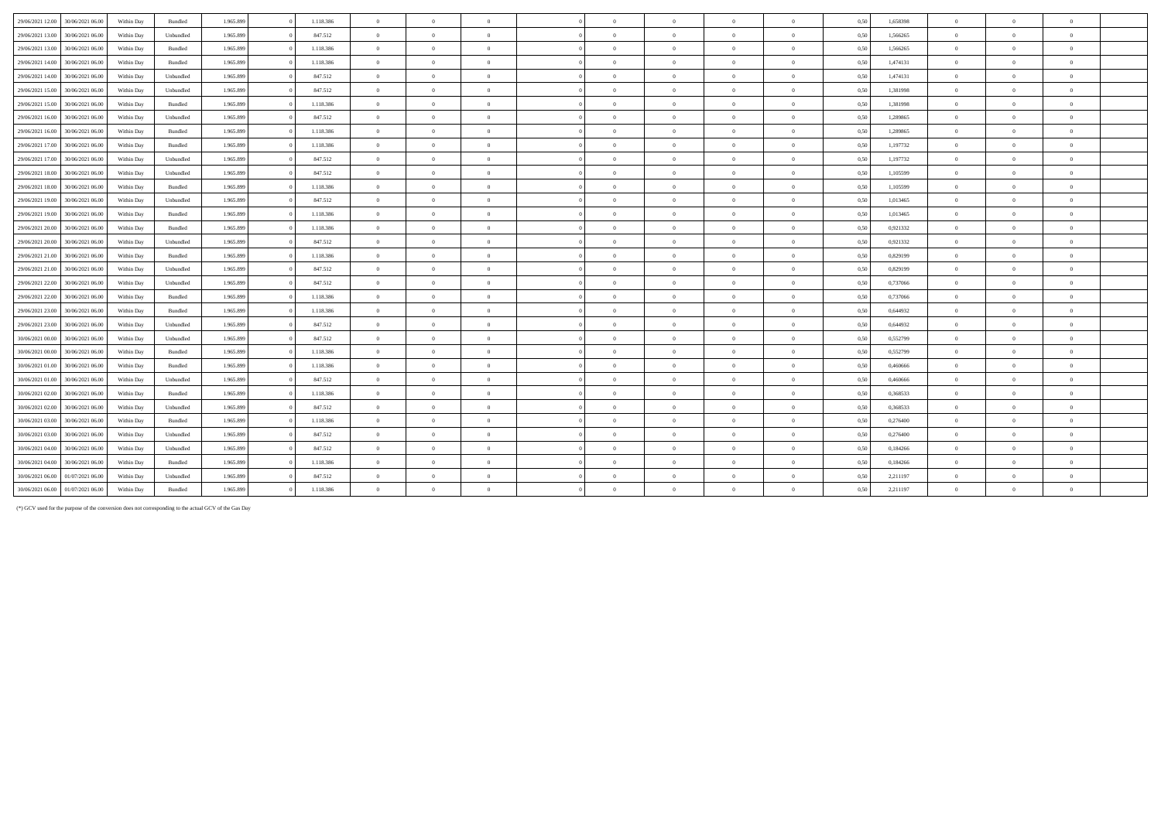| 29/06/2021 12:00 | 30/06/2021 06:00 | Within Day | Bundled   | 1.965.899 | 1.118.386 | $\overline{0}$ | $\Omega$       | $\overline{0}$ | $\Omega$       | $\overline{0}$ | $\overline{0}$ | $\overline{0}$ | 0,50 | 1,658398 | $\overline{0}$ | $\Omega$       |              |  |
|------------------|------------------|------------|-----------|-----------|-----------|----------------|----------------|----------------|----------------|----------------|----------------|----------------|------|----------|----------------|----------------|--------------|--|
| 29/06/2021 13:00 | 30/06/2021 06:00 | Within Day | Unbundled | 1.965.899 | 847.512   | $\overline{0}$ | $\overline{0}$ | $\overline{0}$ | $\overline{0}$ | $\mathbf{0}$   | $\Omega$       | $\overline{0}$ | 0,50 | 1.566265 | $\overline{0}$ | $\Omega$       | $\theta$     |  |
| 29/06/2021 13:00 | 30/06/2021 06:00 | Within Day | Bundled   | 1.965.899 | 1.118.386 | $\overline{0}$ | $\Omega$       | $\Omega$       | $\sqrt{2}$     | $\theta$       | $\Omega$       | $\mathbf{a}$   | 0,50 | 1,566265 | $\overline{0}$ |                |              |  |
| 29/06/2021 14:00 | 30/06/2021 06:00 | Within Day | Bundled   | 1.965.899 | 1.118.386 | $\overline{0}$ | $\overline{0}$ | $\Omega$       | $\theta$       | $\overline{0}$ | $\theta$       | $\theta$       | 0,50 | 1,474131 | $\overline{0}$ | $\Omega$       | $\theta$     |  |
| 29/06/2021 14:00 | 30/06/2021 06:00 | Within Day | Unbundled | 1.965.899 | 847.512   | $\overline{0}$ | $\overline{0}$ | $\overline{0}$ | $\Omega$       | $\overline{0}$ | $\overline{0}$ | $\theta$       | 0,50 | 1,474131 | $\overline{0}$ | $\Omega$       | $\mathbf{a}$ |  |
| 29/06/2021 15:00 | 30/06/2021 06:00 | Within Day | Unbundled | 1.965.899 | 847.512   | $\overline{0}$ | $\overline{0}$ | $\overline{0}$ | $\Omega$       | $\overline{0}$ | $\overline{0}$ | $\overline{0}$ | 0,50 | 1,381998 | $\overline{0}$ | $\overline{0}$ | $\theta$     |  |
| 29/06/2021 15:00 | 30/06/2021 06:00 | Within Day | Bundled   | 1.965.899 | 1.118.386 | $\overline{0}$ | $\overline{0}$ | $\overline{0}$ | $\Omega$       | $\overline{0}$ | $\overline{0}$ | $\overline{0}$ | 0,50 | 1,381998 | $\overline{0}$ | $\Omega$       | $\theta$     |  |
| 29/06/2021 16:00 | 30/06/2021 06:00 | Within Day | Unbundled | 1.965.899 | 847.512   | $\overline{0}$ | $\overline{0}$ | $\overline{0}$ | $\theta$       | $\bf{0}$       | $\theta$       | $\theta$       | 0,50 | 1,289865 | $\overline{0}$ | $\Omega$       |              |  |
| 29/06/2021 16:00 | 30/06/2021 06:00 | Within Day | Bundled   | 1.965.899 | 1.118.386 | $\overline{0}$ | $\Omega$       | $\overline{0}$ | $\Omega$       | $\theta$       | $\Omega$       | $\theta$       | 0,50 | 1,289865 | $\overline{0}$ | $\Omega$       |              |  |
| 29/06/2021 17:00 | 30/06/2021 06:00 | Within Day | Bundled   | 1.965.899 | 1.118.386 | $\overline{0}$ | $\overline{0}$ | $\overline{0}$ | $\Omega$       | $\overline{0}$ | $\overline{0}$ | $\overline{0}$ | 0,50 | 1,197732 | $\overline{0}$ | $\Omega$       |              |  |
| 29/06/2021 17:00 | 30/06/2021 06:00 | Within Day | Unbundled | 1.965.899 | 847.512   | $\overline{0}$ | $\overline{0}$ | $\overline{0}$ | $\Omega$       | $\overline{0}$ | $\overline{0}$ | $\theta$       | 0,50 | 1,197732 | $\overline{0}$ | $\Omega$       | $\theta$     |  |
| 29/06/2021 18:00 | 30/06/2021 06:00 | Within Day | Unbundled | 1.965.899 | 847.512   | $\overline{0}$ | $\overline{0}$ | $\Omega$       | $\theta$       | $\bf{0}$       | $\theta$       | $\mathbf{a}$   | 0.50 | 1,105599 | $\overline{0}$ | $\Omega$       | $\sqrt{ }$   |  |
| 29/06/2021 18:00 | 30/06/2021 06:00 | Within Day | Bundled   | 1.965.899 | 1.118.386 | $\overline{0}$ | $\overline{0}$ | $\Omega$       | $\sqrt{2}$     | $\bf{0}$       | $\theta$       | $\theta$       | 0,50 | 1,105599 | $\overline{0}$ | $\Omega$       | $\theta$     |  |
| 29/06/2021 19:00 | 30/06/2021 06:00 | Within Day | Unbundled | 1.965.899 | 847.512   | $\overline{0}$ | $\theta$       | $\overline{0}$ | $\sqrt{2}$     | $\theta$       | $\Omega$       | $\theta$       | 0,50 | 1,013465 | $\overline{0}$ | $\Omega$       |              |  |
| 29/06/2021 19:00 | 30/06/2021 06:00 | Within Day | Bundled   | 1.965.899 | 1.118.386 | $\overline{0}$ | $\overline{0}$ | $\overline{0}$ | $\theta$       | $\bf{0}$       | $\overline{0}$ | $\overline{0}$ | 0,50 | 1,013465 | $\overline{0}$ | $\overline{0}$ | $\theta$     |  |
| 29/06/2021 20:00 | 30/06/2021 06.00 | Within Day | Bundled   | 1.965.899 | 1.118.386 | $\overline{0}$ | $\overline{0}$ | $\overline{0}$ | $\Omega$       | $\overline{0}$ | $\overline{0}$ | $\overline{0}$ | 0,50 | 0,921332 | $\overline{0}$ | $\overline{0}$ | $\theta$     |  |
| 29/06/2021 20:00 | 30/06/2021 06:00 | Within Day | Unbundled | 1.965.899 | 847.512   | $\overline{0}$ | $\overline{0}$ | $\overline{0}$ | $\Omega$       | $\bf{0}$       | $\theta$       | $\overline{0}$ | 0,50 | 0,921332 | $\overline{0}$ | $\Omega$       | $\mathbf{a}$ |  |
| 29/06/2021 21:00 | 30/06/2021 06:00 | Within Day | Bundled   | 1.965.899 | 1.118.386 | $\overline{0}$ | $\overline{0}$ | $\overline{0}$ | $\theta$       | $\overline{0}$ | $\theta$       | $\theta$       | 0.50 | 0,829199 | $\overline{0}$ | $\Omega$       |              |  |
| 29/06/2021 21:00 | 30/06/2021 06:00 | Within Day | Unbundled | 1.965.899 | 847.512   | $\overline{0}$ | $\theta$       | $\overline{0}$ | $\Omega$       | $\theta$       | $\overline{0}$ | $\overline{0}$ | 0,50 | 0,829199 | $\overline{0}$ | $\Omega$       | $\sqrt{2}$   |  |
| 29/06/2021 22.00 | 30/06/2021 06:00 | Within Day | Unbundled | 1.965.899 | 847.512   | $\overline{0}$ | $\overline{0}$ | $\overline{0}$ | $\theta$       | $\bf{0}$       | $\overline{0}$ | $\overline{0}$ | 0,50 | 0,737066 | $\overline{0}$ | $\overline{0}$ | $\mathbf{a}$ |  |
| 29/06/2021 22.00 | 30/06/2021 06:00 | Within Day | Bundled   | 1.965.899 | 1.118.386 | $\overline{0}$ | $\overline{0}$ | $\overline{0}$ | $\theta$       | $\theta$       | $\Omega$       | $\theta$       | 0.50 | 0.737066 | $\overline{0}$ | $\Omega$       |              |  |
| 29/06/2021 23:00 | 30/06/2021 06:00 | Within Day | Bundled   | 1.965.899 | 1.118.386 | $\overline{0}$ | $\Omega$       | $\Omega$       | $\sqrt{2}$     | $\theta$       | $\Omega$       | $\mathbf{a}$   | 0,50 | 0,644932 | $\overline{0}$ | $\Omega$       | $\mathbf{a}$ |  |
| 29/06/2021 23:00 | 30/06/2021 06:00 | Within Day | Unbundled | 1.965.899 | 847.512   | $\overline{0}$ | $\overline{0}$ | $\overline{0}$ | $\Omega$       | $\overline{0}$ | $\theta$       | $\Omega$       | 0.50 | 0.644932 | $\overline{0}$ |                |              |  |
| 30/06/2021 00:00 | 30/06/2021 06:00 | Within Day | Unbundled | 1.965.899 | 847.512   | $\overline{0}$ | $\overline{0}$ | $\overline{0}$ | $\sqrt{2}$     | $\bf{0}$       | $\overline{0}$ | $\overline{0}$ | 0,50 | 0,552799 | $\overline{0}$ | $\overline{0}$ | $\theta$     |  |
| 30/06/2021 00:00 | 30/06/2021 06:00 | Within Day | Bundled   | 1.965.899 | 1.118.386 | $\overline{0}$ | $\overline{0}$ | $\overline{0}$ | $\overline{0}$ | $\bf{0}$       | $\overline{0}$ | $\overline{0}$ | 0,50 | 0,552799 | $\overline{0}$ | $\overline{0}$ | $\mathbf{0}$ |  |
| 30/06/2021 01:00 | 30/06/2021 06:00 | Within Day | Bundled   | 1.965.899 | 1.118.386 | $\overline{0}$ | $\overline{0}$ | $\overline{0}$ | $\theta$       | $\bf{0}$       | $\overline{0}$ | $\overline{0}$ | 0.50 | 0.460666 | $\overline{0}$ | $\Omega$       | $\theta$     |  |
| 30/06/2021 01:00 | 30/06/2021 06:00 | Within Day | Unbundled | 1.965.899 | 847.512   | $\overline{0}$ | $\overline{0}$ | $\overline{0}$ | $\theta$       | $\bf{0}$       | $\overline{0}$ | $\overline{0}$ | 0,50 | 0,460666 | $\overline{0}$ | $\Omega$       |              |  |
| 30/06/2021 02:00 | 30/06/2021 06:00 | Within Day | Bundled   | 1.965.899 | 1.118.386 | $\overline{0}$ | $\overline{0}$ | $\overline{0}$ | $\theta$       | $\overline{0}$ | $\theta$       | $\overline{0}$ | 0.50 | 0.368533 | $\overline{0}$ | $\Omega$       |              |  |
| 30/06/2021 02:00 | 30/06/2021 06:00 | Within Day | Unbundled | 1.965.899 | 847.512   | $\overline{0}$ | $\overline{0}$ | $\overline{0}$ | $\sqrt{2}$     | $\overline{0}$ | $\overline{0}$ | $\overline{0}$ | 0,50 | 0,368533 | $\overline{0}$ | $\Omega$       | $\theta$     |  |
| 30/06/2021 03:00 | 30/06/2021 06:00 | Within Day | Bundled   | 1.965.899 | 1.118.386 | $\overline{0}$ | $\theta$       | $\overline{0}$ | $\overline{0}$ | $\mathbf{0}$   | $\Omega$       | $\overline{0}$ | 0.50 | 0.276400 | $\overline{0}$ | $\Omega$       | $\theta$     |  |
| 30/06/2021 03:00 | 30/06/2021 06:00 | Within Day | Unbundled | 1.965.899 | 847.512   | $\overline{0}$ | $\Omega$       | $\Omega$       | $\Omega$       | $\theta$       | $\Omega$       | $\theta$       | 0,50 | 0,276400 | $\overline{0}$ | $\Omega$       |              |  |
| 30/06/2021 04:00 | 30/06/2021 06:00 | Within Day | Unbundled | 1.965.899 | 847.512   | $\overline{0}$ | $\overline{0}$ | $\overline{0}$ | $\sqrt{2}$     | $\overline{0}$ | $\overline{0}$ | $\theta$       | 0,50 | 0,184266 | $\overline{0}$ |                |              |  |
| 30/06/2021 04:00 | 30/06/2021 06:00 | Within Day | Bundled   | 1.965.899 | 1.118.386 | $\overline{0}$ | $\theta$       | $\overline{0}$ | $\theta$       | $\theta$       | $\Omega$       | $\theta$       | 0,50 | 0,184266 | $\overline{0}$ | $\Omega$       |              |  |
| 30/06/2021 06:00 | 01/07/2021 06.00 | Within Day | Unbundled | 1.965.899 | 847.512   | $\overline{0}$ | $\Omega$       | $\Omega$       | $\theta$       | $\theta$       | $\theta$       | $\theta$       | 0,50 | 2,211197 | $\overline{0}$ | $\Omega$       | $\theta$     |  |
| 30/06/2021 06:00 | 01/07/2021 06:00 | Within Day | Bundled   | 1.965.899 | 1.118.386 | $\overline{0}$ | $\Omega$       | $\Omega$       | $\Omega$       | $\Omega$       | $\Omega$       |                | 0,50 | 2,211197 | $\overline{0}$ | $\Omega$       |              |  |

(\*) GCV used for the purpose of the conversion does not corresponding to the actual GCV of the Gas Day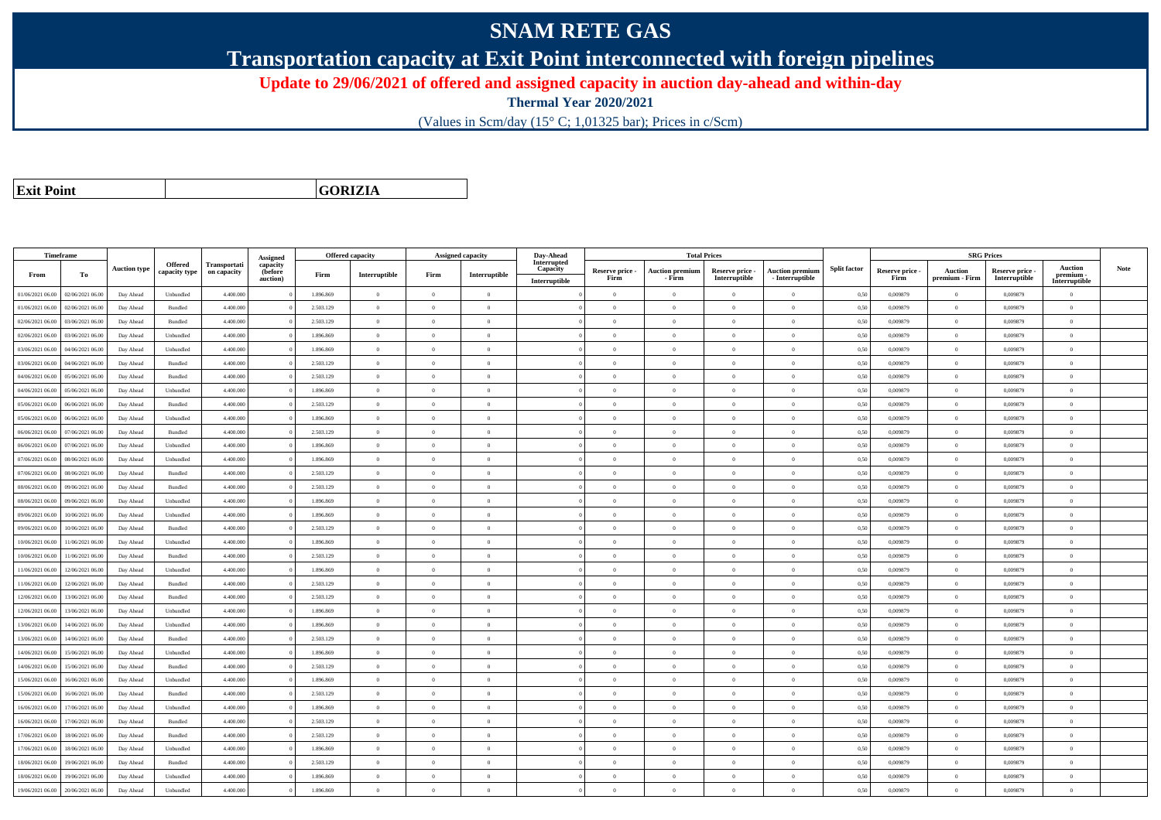## **SNAM RETE GAS**

**Transportation capacity at Exit Point interconnected with foreign pipelines**

**Update to 29/06/2021 of offered and assigned capacity in auction day-ahead and within-day**

**Thermal Year 2020/2021**

(Values in Scm/day (15° C; 1,01325 bar); Prices in c/Scm)

**Exit Point**

**GORIZIA**

|                  | Timeframe        |                     |                          |                                    | Assigned                        |           | <b>Offered capacity</b> |                | <b>Assigned capacity</b> | Day-Ahead                                |                         |                                  | <b>Total Prices</b>              |                                           |                     |                         |                           | <b>SRG Prices</b>                |                                              |      |
|------------------|------------------|---------------------|--------------------------|------------------------------------|---------------------------------|-----------|-------------------------|----------------|--------------------------|------------------------------------------|-------------------------|----------------------------------|----------------------------------|-------------------------------------------|---------------------|-------------------------|---------------------------|----------------------------------|----------------------------------------------|------|
| From             | To               | <b>Auction type</b> | Offered<br>capacity type | <b>Transportati</b><br>on capacity | capacity<br>(before<br>auction) | Firm      | Interruptible           | Firm           | Interruptible            | Interrupted<br>Capacity<br>Interruptible | Reserve price -<br>Firm | <b>Auction premiun</b><br>- Firm | Reserve price -<br>Interruptible | <b>Auction premium</b><br>- Interruptible | <b>Split factor</b> | Reserve price -<br>Firm | Auction<br>premium - Firm | Reserve price -<br>Interruptible | <b>Auction</b><br>premium -<br>Interruptible | Note |
| 01/06/2021 06:00 | 02/06/2021 06:00 | Day Ahead           | Unbundled                | 4.400.000                          |                                 | 1.896.869 | $\overline{0}$          | $\overline{0}$ | $\overline{0}$           |                                          | $\overline{0}$          | $\overline{0}$                   | $\overline{0}$                   | $\overline{0}$                            | 0,50                | 0,009879                | $\overline{0}$            | 0,009879                         | $\overline{0}$                               |      |
| 01/06/2021 06:00 | 02/06/2021 06:00 | Day Ahead           | Bundled                  | 4.400,000                          |                                 | 2.503.129 | $\overline{0}$          | $\Omega$       | $\Omega$                 |                                          | $\theta$                | $\theta$                         | $\Omega$                         | $\Omega$                                  | 0,50                | 0.009879                | $\Omega$                  | 0.009879                         | $\theta$                                     |      |
| 02/06/2021 06:00 | 03/06/2021 06:00 | Day Ahead           | Bundled                  | 4.400.000                          |                                 | 2.503.129 | $\overline{0}$          | $\overline{0}$ | $\theta$                 |                                          | $\theta$                | $\theta$                         | $\overline{0}$                   | $\bf{0}$                                  | 0,50                | 0,009879                | $\overline{0}$            | 0,009879                         | $\overline{0}$                               |      |
| 02/06/2021 06:00 | 03/06/2021 06:00 | Day Ahead           | Unbundled                | 4.400.000                          |                                 | 1.896.869 | $\overline{0}$          | $\overline{0}$ | $\overline{0}$           |                                          | $\theta$                | $\theta$                         | $\overline{0}$                   | $\bf{0}$                                  | 0,50                | 0,009879                | $\mathbf{0}$              | 0,009879                         | $\overline{0}$                               |      |
| 03/06/2021 06:00 | 04/06/2021 06:00 | Day Ahead           | Unbundled                | 4.400.000                          |                                 | 1.896.869 | $\,$ 0 $\,$             | $\overline{0}$ | $\overline{0}$           |                                          | $\overline{0}$          | $\theta$                         | $\overline{0}$                   | $\overline{0}$                            | 0,50                | 0.009879                | $\,$ 0 $\,$               | 0.009879                         | $\theta$                                     |      |
| 03/06/2021 06:00 | 04/06/2021 06.00 | Day Ahead           | Bundled                  | 4.400.000                          |                                 | 2.503.129 | $\overline{0}$          | $\Omega$       | $\Omega$                 |                                          | $\Omega$                | $\Omega$                         | $\Omega$                         | $\bf{0}$                                  | 0,50                | 0,009879                | $\mathbf{0}$              | 0,009879                         | $\theta$                                     |      |
| 04/06/2021 06:00 | 05/06/2021 06:00 | Day Ahead           | Bundled                  | 4,400,000                          |                                 | 2.503.129 | $\overline{0}$          | $\overline{0}$ | $\Omega$                 |                                          | $\Omega$                | $\theta$                         | $\overline{0}$                   | $\theta$                                  | 0,50                | 0.009879                | $\overline{0}$            | 0.009879                         | $\theta$                                     |      |
| 04/06/2021 06:00 | 05/06/2021 06:00 | Day Ahead           | Unbundled                | 4.400.000                          |                                 | 1.896.869 | $\overline{0}$          | $\Omega$       | $\Omega$                 |                                          | $\theta$                | $\theta$                         | $\overline{0}$                   | $\bf{0}$                                  | 0,50                | 0,009879                | $\mathbf{0}$              | 0,009879                         | $\theta$                                     |      |
| 05/06/2021 06:00 | 06/06/2021 06:00 | Day Ahead           | Bundled                  | 4.400,000                          |                                 | 2.503.129 | $\overline{0}$          | $\Omega$       | $\Omega$                 |                                          | $\theta$                | $\theta$                         | $\theta$                         | $\theta$                                  | 0.50                | 0.009879                | $\Omega$                  | 0.009879                         | $\theta$                                     |      |
| 05/06/2021 06:00 | 06/06/2021 06:00 | Day Ahead           | Unbundled                | 4.400.000                          |                                 | 1.896.869 | $\overline{0}$          | $\overline{0}$ | $\Omega$                 |                                          | $\theta$                | $\theta$                         | $\theta$                         | $\bf{0}$                                  | 0,50                | 0,009879                | $\mathbf{0}$              | 0,009879                         | $\overline{0}$                               |      |
| 06/06/2021 06:00 | 07/06/2021 06.00 | Day Ahead           | Bundled                  | 4.400.000                          |                                 | 2.503.129 | $\overline{0}$          | $\overline{0}$ | $\theta$                 |                                          | $\theta$                | $\overline{0}$                   | $\overline{0}$                   | $\bf{0}$                                  | 0,50                | 0,009879                | $\overline{0}$            | 0.009879                         | $\overline{0}$                               |      |
| 06/06/2021 06:00 | 07/06/2021 06:00 | Day Ahead           | Unbundled                | 4,400,000                          |                                 | 1.896.869 | $\overline{0}$          | $\Omega$       | $\Omega$                 |                                          | $\overline{0}$          | $\theta$                         | $\overline{0}$                   | $\overline{0}$                            | 0,50                | 0.009879                | $\,0\,$                   | 0.009879                         | $\theta$                                     |      |
| 07/06/2021 06:00 | 08/06/2021 06:00 | Day Ahead           | Unbundled                | 4.400.000                          |                                 | 1.896.869 | $\overline{0}$          | $\overline{0}$ | $\overline{0}$           |                                          | $\theta$                | $\theta$                         | $\overline{0}$                   | $\bf{0}$                                  | 0,50                | 0,009879                | $\theta$                  | 0,009879                         | $\overline{0}$                               |      |
| 07/06/2021 06:00 | 08/06/2021 06:00 | Day Ahead           | Bundled                  | 4.400.000                          |                                 | 2.503.129 | $\overline{0}$          | $\overline{0}$ | $\overline{0}$           |                                          | $\theta$                | $\theta$                         | $\overline{0}$                   | $\bf{0}$                                  | 0,50                | 0,009879                | $\mathbf{0}$              | 0,009879                         | $\overline{0}$                               |      |
| 08/06/2021 06:00 | 09/06/2021 06:00 | Day Ahead           | Bundled                  | 4.400.000                          |                                 | 2.503.129 | $\overline{0}$          | $\Omega$       | $\Omega$                 |                                          | $\theta$                | $\theta$                         | $\overline{0}$                   | $\bf{0}$                                  | 0,50                | 0,009879                | $\mathbf{0}$              | 0,009879                         | $\theta$                                     |      |
| 08/06/2021 06:00 | 09/06/2021 06:00 | Day Ahead           | Unbundled                | 4.400.000                          |                                 | 1.896.869 | $\overline{0}$          | $\Omega$       | $\Omega$                 |                                          | $\Omega$                | $\theta$                         | $\Omega$                         | $\Omega$                                  | 0,50                | 0,009879                | $\mathbf{0}$              | 0,009879                         | $\theta$                                     |      |
| 09/06/2021 06:00 | 10/06/2021 06:00 | Day Ahead           | Unbundled                | 4,400,000                          |                                 | 1.896.869 | $\overline{0}$          | $\overline{0}$ | $\Omega$                 |                                          | $\Omega$                | $\theta$                         | $\overline{0}$                   | $\theta$                                  | 0,50                | 0.009879                | $\overline{0}$            | 0.009879                         | $\theta$                                     |      |
| 09/06/2021 06:00 | 10/06/2021 06:00 | Day Ahead           | Bundled                  | 4.400.000                          |                                 | 2.503.129 | $\overline{0}$          | $\overline{0}$ | $\overline{0}$           |                                          | $\theta$                | $\theta$                         | $\overline{0}$                   | $\bf{0}$                                  | 0,50                | 0,009879                | $\mathbf{0}$              | 0,009879                         | $\overline{0}$                               |      |
| 10/06/2021 06:00 | 11/06/2021 06:00 | Day Ahead           | Unbundled                | 4,400,000                          |                                 | 1.896.869 | $\overline{0}$          | $\Omega$       | $\Omega$                 |                                          | $\theta$                | $\theta$                         | $\theta$                         | $\theta$                                  | 0.50                | 0.009879                | $\Omega$                  | 0.009879                         | $\theta$                                     |      |
| 10/06/2021 06:00 | 11/06/2021 06:00 | Day Ahead           | Bundled                  | 4,400,000                          |                                 | 2.503.129 | $\overline{0}$          | $\overline{0}$ | $\Omega$                 |                                          | $\Omega$                | $\theta$                         | $\Omega$                         | $\theta$                                  | 0.50                | 0.009879                | $\overline{0}$            | 0.009879                         | $\theta$                                     |      |
| 11/06/2021 06:00 | 12/06/2021 06:00 | Day Ahead           | Unbundled                | 4.400.000                          |                                 | 1.896.869 | $\overline{0}$          | $\Omega$       | $\theta$                 |                                          | $\theta$                | $\theta$                         | $\Omega$                         | $\theta$                                  | 0,50                | 0,009879                | $\Omega$                  | 0.009879                         | $\theta$                                     |      |
| 11/06/2021 06:00 | 12/06/2021 06:00 | Day Ahead           | Bundled                  | 4,400,000                          |                                 | 2.503.129 | $\overline{0}$          | $\Omega$       | $\Omega$                 |                                          | $\theta$                | $\theta$                         | $\theta$                         | $\Omega$                                  | 0,50                | 0.009879                | $\mathbf{0}$              | 0.009879                         | $\theta$                                     |      |
| 12/06/2021 06:00 | 13/06/2021 06:00 | Day Ahead           | Bundled                  | 4.400.000                          |                                 | 2.503.129 | $\overline{0}$          | $\overline{0}$ | $\Omega$                 |                                          | $\theta$                | $\mathbf{a}$                     | $\overline{0}$                   | $\bf{0}$                                  | 0,50                | 0,009879                | $\overline{0}$            | 0,009879                         | $\overline{0}$                               |      |
| 12/06/2021 06:00 | 13/06/2021 06:00 | Day Ahead           | Unbundled                | 4.400.000                          |                                 | 1.896.869 | $\overline{0}$          | $\overline{0}$ | $\overline{0}$           |                                          | $\theta$                | $\theta$                         | $\overline{0}$                   | $\overline{0}$                            | 0,50                | 0,009879                | $\mathbf{0}$              | 0,009879                         | $\overline{0}$                               |      |
| 13/06/2021 06:00 | 14/06/2021 06:00 | Day Ahead           | Unbundled                | 4.400.000                          |                                 | 1.896.869 | $\,$ 0 $\,$             | $\overline{0}$ | $\overline{0}$           |                                          | $\overline{0}$          | $\theta$                         | $\overline{0}$                   | $\overline{0}$                            | 0,50                | 0,009879                | $\bf{0}$                  | 0,009879                         | $\overline{0}$                               |      |
| 13/06/2021 06:00 | 14/06/2021 06.00 | Day Ahead           | Bundled                  | 4.400.000                          |                                 | 2.503.129 | $\overline{0}$          | $\overline{0}$ | $\overline{0}$           |                                          | $\theta$                | $\theta$                         | $\theta$                         | $\bf{0}$                                  | 0,50                | 0,009879                | $\overline{0}$            | 0,009879                         | $\overline{0}$                               |      |
| 14/06/2021 06:00 | 15/06/2021 06:00 | Day Ahead           | Unbundled                | 4,400,000                          |                                 | 1.896.869 | $\overline{0}$          | $\Omega$       | $\Omega$                 |                                          | $\theta$                | $\theta$                         | $\Omega$                         | $\theta$                                  | 0,50                | 0.009879                | $\mathbf{0}$              | 0.009879                         | $\theta$                                     |      |
| 14/06/2021 06:00 | 15/06/2021 06:00 | Day Ahead           | Bundled                  | 4.400.000                          |                                 | 2.503.129 | $\overline{0}$          | $\overline{0}$ | $\Omega$                 |                                          | $\theta$                | $\theta$                         | $\overline{0}$                   | $\bf{0}$                                  | 0,50                | 0,009879                | $\mathbf{0}$              | 0,009879                         | $\overline{0}$                               |      |
| 15/06/2021 06:00 | 16/06/2021 06:00 | Day Ahead           | Unbundled                | 4.400.000                          |                                 | 1.896.869 | $\overline{0}$          | $\Omega$       | $\Omega$                 |                                          | $\Omega$                | $\theta$                         | $\Omega$                         | $\Omega$                                  | 0,50                | 0,009879                | $\theta$                  | 0,009879                         | $\theta$                                     |      |
| 15/06/2021 06:00 | 16/06/2021 06:00 | Day Ahead           | Bundled                  | 4.400,000                          |                                 | 2.503.129 | $\overline{0}$          | $\overline{0}$ | $\Omega$                 |                                          | $\Omega$                | $\theta$                         | $\overline{0}$                   | $\theta$                                  | 0,50                | 0.009879                | $\overline{0}$            | 0.009879                         | $\theta$                                     |      |
| 16/06/2021 06:00 | 17/06/2021 06:00 | Day Ahead           | Unbundled                | 4.400.000                          |                                 | 1.896.869 | $\overline{0}$          | $\overline{0}$ | $\theta$                 |                                          | $\theta$                | $\theta$                         | $\overline{0}$                   | $\bf{0}$                                  | 0,50                | 0,009879                | $\mathbf{0}$              | 0.009879                         | $\theta$                                     |      |
| 16/06/2021 06:00 | 17/06/2021 06:00 | Day Ahead           | Bundled                  | 4,400,000                          |                                 | 2.503.129 | $\overline{0}$          | $\overline{0}$ | $\overline{0}$           |                                          | $\theta$                | $\overline{0}$                   | $\overline{0}$                   | $\overline{0}$                            | 0.50                | 0.009879                | $\mathbf{0}$              | 0.009879                         | $\overline{0}$                               |      |
| 17/06/2021 06:00 | 18/06/2021 06:00 | Day Ahead           | Bundled                  | 4.400.000                          |                                 | 2.503.129 | $\overline{0}$          | $\overline{0}$ | $\overline{0}$           |                                          | $\theta$                | $\theta$                         | $\overline{0}$                   | $\bf{0}$                                  | 0,50                | 0,009879                | $\mathbf{0}$              | 0,009879                         | $\overline{0}$                               |      |
| 17/06/2021 06:00 | 18/06/2021 06:00 | Day Ahead           | Unbundled                | 4.400.000                          |                                 | 1.896.869 | $\overline{0}$          | $\overline{0}$ | $\overline{0}$           |                                          | $\theta$                | $\theta$                         | $\overline{0}$                   | $\bf{0}$                                  | 0,50                | 0,009879                | $\mathbf{0}$              | 0,009879                         | $\overline{0}$                               |      |
| 18/06/2021 06:00 | 19/06/2021 06:00 | Day Ahead           | Bundled                  | 4.400.000                          |                                 | 2.503.129 | $\overline{0}$          | $\Omega$       | $\Omega$                 |                                          | $\theta$                | $\theta$                         | $\Omega$                         | $\Omega$                                  | 0,50                | 0.009879                | $\mathbf{0}$              | 0.009879                         | $\theta$                                     |      |
| 18/06/2021 06:00 | 19/06/2021 06.0  | Day Ahead           | Unbundled                | 4.400.000                          |                                 | 1.896.869 | $\overline{0}$          | $\overline{0}$ | $\theta$                 |                                          | $\theta$                | $\theta$                         | $\overline{0}$                   | $\bf{0}$                                  | 0,50                | 0,009879                | $\theta$                  | 0,009879                         | $\overline{0}$                               |      |
| 19/06/2021 06:00 | 20/06/2021 06:00 | Day Ahead           | Unbundled                | 4,400,000                          |                                 | 1.896.869 | $\Omega$                | $\Omega$       | $\Omega$                 |                                          | $\theta$                | $\theta$                         | $\Omega$                         | $\theta$                                  | 0,50                | 0.009879                | $\mathbf{0}$              | 0.009879                         | $\theta$                                     |      |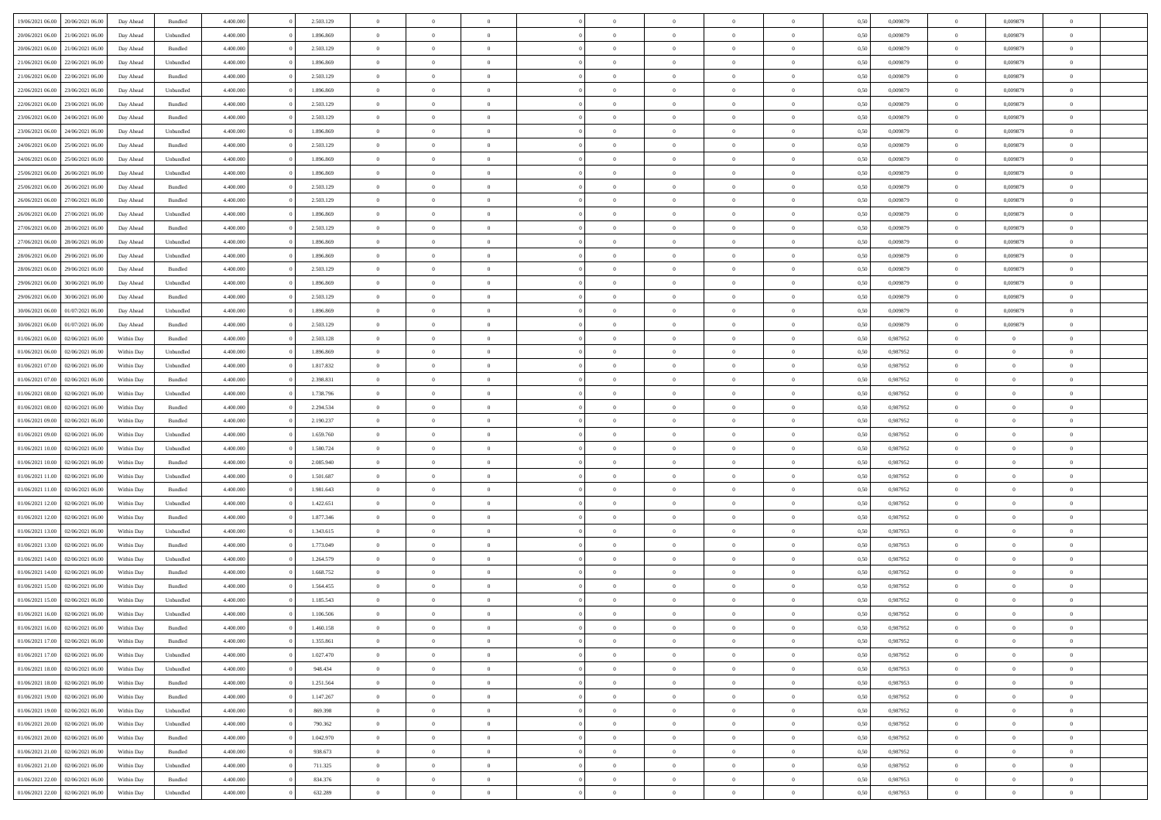| 19/06/2021 06:00 | 20/06/2021 06:00 | Day Ahead  | Bundled   | 4.400.000 | 2.503.129 | $\overline{0}$ | $\Omega$       |                |                | $\Omega$       | $\Omega$       | $\Omega$       | 0,50 | 0,009879 | $\mathbf{0}$   | 0,009879       | $\Omega$       |  |
|------------------|------------------|------------|-----------|-----------|-----------|----------------|----------------|----------------|----------------|----------------|----------------|----------------|------|----------|----------------|----------------|----------------|--|
| 20/06/2021 06:00 | 21/06/2021 06:00 | Day Ahead  | Unbundled | 4.400.000 | 1.896.869 | $\overline{0}$ | $\overline{0}$ | $\overline{0}$ |                | $\overline{0}$ | $\overline{0}$ | $\theta$       | 0,50 | 0,009879 | $\bf{0}$       | 0,009879       | $\bf{0}$       |  |
| 20/06/2021 06:00 | 21/06/2021 06:00 | Day Ahead  | Bundled   | 4.400.000 | 2.503.129 | $\overline{0}$ | $\bf{0}$       | $\overline{0}$ | $\overline{0}$ | $\bf{0}$       | $\overline{0}$ | $\bf{0}$       | 0,50 | 0,009879 | $\bf{0}$       | 0,009879       | $\bf{0}$       |  |
| 21/06/2021 06:00 | 22/06/2021 06:00 | Day Ahead  | Unbundled | 4.400.000 | 1.896.869 | $\overline{0}$ | $\overline{0}$ | $\overline{0}$ | $^{\circ}$     | $\overline{0}$ | $\overline{0}$ | $\bf{0}$       | 0.50 | 0,009879 | $\mathbf{0}$   | 0.009879       | $\overline{0}$ |  |
|                  |                  |            |           |           |           |                |                |                |                |                |                |                |      |          |                |                |                |  |
| 21/06/2021 06:00 | 22/06/2021 06:00 | Day Ahead  | Bundled   | 4.400.000 | 2.503.129 | $\overline{0}$ | $\overline{0}$ | $\overline{0}$ |                | $\overline{0}$ | $\overline{0}$ | $\theta$       | 0,50 | 0,009879 | $\bf{0}$       | 0,009879       | $\overline{0}$ |  |
| 22/06/2021 06:00 | 23/06/2021 06:00 | Day Ahead  | Unbundled | 4.400.000 | 1.896.869 | $\overline{0}$ | $\bf{0}$       | $\overline{0}$ | $\overline{0}$ | $\bf{0}$       | $\overline{0}$ | $\bf{0}$       | 0,50 | 0,009879 | $\overline{0}$ | 0,009879       | $\bf{0}$       |  |
| 22/06/2021 06:00 | 23/06/2021 06:00 | Day Ahead  | Bundled   | 4.400.000 | 2.503.129 | $\overline{0}$ | $\overline{0}$ | $\overline{0}$ | $\Omega$       | $\overline{0}$ | $\overline{0}$ | $\bf{0}$       | 0,50 | 0,009879 | $\overline{0}$ | 0,009879       | $\overline{0}$ |  |
| 23/06/2021 06:00 | 24/06/2021 06.00 | Day Ahead  | Bundled   | 4.400.000 | 2.503.129 | $\overline{0}$ | $\overline{0}$ | $\overline{0}$ |                | $\overline{0}$ | $\overline{0}$ | $\theta$       | 0,50 | 0,009879 | $\bf{0}$       | 0,009879       | $\overline{0}$ |  |
|                  |                  |            |           |           |           |                |                |                |                |                |                |                |      |          |                |                |                |  |
| 23/06/2021 06:00 | 24/06/2021 06:00 | Day Ahead  | Unbundled | 4.400.000 | 1.896.869 | $\overline{0}$ | $\overline{0}$ | $\overline{0}$ | $\overline{0}$ | $\bf{0}$       | $\overline{0}$ | $\bf{0}$       | 0,50 | 0,009879 | $\bf{0}$       | 0,009879       | $\bf{0}$       |  |
| 24/06/2021 06:00 | 25/06/2021 06:00 | Day Ahead  | Bundled   | 4.400.000 | 2.503.129 | $\overline{0}$ | $\overline{0}$ | $\overline{0}$ | $\Omega$       | $\overline{0}$ | $\overline{0}$ | $\bf{0}$       | 0.50 | 0,009879 | $\overline{0}$ | 0,009879       | $\overline{0}$ |  |
| 24/06/2021 06:00 | 25/06/2021 06:00 | Day Ahead  | Unbundled | 4.400.000 | 1.896.869 | $\overline{0}$ | $\overline{0}$ | $\overline{0}$ | $\overline{0}$ | $\overline{0}$ | $\overline{0}$ | $\theta$       | 0,50 | 0,009879 | $\,$ 0 $\,$    | 0,009879       | $\overline{0}$ |  |
| 25/06/2021 06:00 | 26/06/2021 06:00 | Day Ahead  | Unbundled | 4.400.000 | 1.896.869 | $\overline{0}$ | $\bf{0}$       | $\overline{0}$ | $\overline{0}$ | $\bf{0}$       | $\overline{0}$ | $\bf{0}$       | 0,50 | 0,009879 | $\bf{0}$       | 0,009879       | $\bf{0}$       |  |
| 25/06/2021 06:00 | 26/06/2021 06:00 | Day Ahead  | Bundled   | 4.400.000 | 2.503.129 | $\overline{0}$ | $\overline{0}$ | $\overline{0}$ | $^{\circ}$     | $\overline{0}$ | $\overline{0}$ | $\bf{0}$       | 0.50 | 0,009879 | $\mathbf{0}$   | 0.009879       | $\overline{0}$ |  |
|                  |                  |            |           |           |           |                |                |                |                |                |                |                |      |          |                |                |                |  |
| 26/06/2021 06:00 | 27/06/2021 06.00 | Day Ahead  | Bundled   | 4.400.000 | 2.503.129 | $\overline{0}$ | $\overline{0}$ | $\overline{0}$ |                | $\overline{0}$ | $\overline{0}$ | $\theta$       | 0,50 | 0,009879 | $\bf{0}$       | 0,009879       | $\overline{0}$ |  |
| 26/06/2021 06:00 | 27/06/2021 06:00 | Day Ahead  | Unbundled | 4.400.000 | 1.896.869 | $\overline{0}$ | $\bf{0}$       | $\overline{0}$ | $\overline{0}$ | $\bf{0}$       | $\overline{0}$ | $\bf{0}$       | 0,50 | 0,009879 | $\overline{0}$ | 0,009879       | $\bf{0}$       |  |
| 27/06/2021 06:00 | 28/06/2021 06:00 | Day Ahead  | Bundled   | 4.400.000 | 2.503.129 | $\overline{0}$ | $\overline{0}$ | $\overline{0}$ | $\Omega$       | $\overline{0}$ | $\overline{0}$ | $\bf{0}$       | 0.50 | 0,009879 | $\overline{0}$ | 0,009879       | $\overline{0}$ |  |
| 27/06/2021 06:00 | 28/06/2021 06:00 | Day Ahead  | Unbundled | 4.400.000 | 1.896.869 | $\overline{0}$ | $\overline{0}$ | $\overline{0}$ | $\overline{0}$ | $\overline{0}$ | $\overline{0}$ | $\theta$       | 0,50 | 0,009879 | $\bf{0}$       | 0,009879       | $\overline{0}$ |  |
|                  |                  |            |           |           |           |                |                |                |                |                |                |                |      |          |                |                |                |  |
| 28/06/2021 06:00 | 29/06/2021 06:00 | Day Ahead  | Unbundled | 4.400.000 | 1.896.869 | $\overline{0}$ | $\overline{0}$ | $\overline{0}$ | $\overline{0}$ | $\bf{0}$       | $\overline{0}$ | $\bf{0}$       | 0,50 | 0,009879 | $\bf{0}$       | 0,009879       | $\bf{0}$       |  |
| 28/06/2021 06:00 | 29/06/2021 06:00 | Day Ahead  | Bundled   | 4.400.000 | 2.503.129 | $\overline{0}$ | $\overline{0}$ | $\overline{0}$ | $\Omega$       | $\overline{0}$ | $\overline{0}$ | $\bf{0}$       | 0.50 | 0,009879 | $\mathbf{0}$   | 0,009879       | $\overline{0}$ |  |
| 29/06/2021 06:00 | 30/06/2021 06:00 | Day Ahead  | Unbundled | 4.400.000 | 1.896.869 | $\overline{0}$ | $\overline{0}$ | $\overline{0}$ | $\overline{0}$ | $\overline{0}$ | $\overline{0}$ | $\theta$       | 0,50 | 0,009879 | $\,$ 0 $\,$    | 0,009879       | $\bf{0}$       |  |
| 29/06/2021 06:00 | 30/06/2021 06:00 | Day Ahead  | Bundled   | 4.400.000 | 2.503.129 | $\overline{0}$ | $\bf{0}$       | $\overline{0}$ | $\overline{0}$ | $\bf{0}$       | $\overline{0}$ | $\bf{0}$       | 0,50 | 0,009879 | $\bf{0}$       | 0,009879       | $\bf{0}$       |  |
| 30/06/2021 06:00 | 01/07/2021 06:00 |            | Unbundled | 4.400.000 | 1.896.869 | $\overline{0}$ | $\overline{0}$ | $\overline{0}$ | $^{\circ}$     | $\overline{0}$ | $\overline{0}$ | $\bf{0}$       | 0.50 | 0,009879 | $\mathbf{0}$   | 0.009879       | $\overline{0}$ |  |
|                  |                  | Day Ahead  |           |           |           |                |                |                |                |                |                |                |      |          |                |                |                |  |
| 30/06/2021 06:00 | 01/07/2021 06:00 | Day Ahead  | Bundled   | 4.400.000 | 2.503.129 | $\overline{0}$ | $\overline{0}$ | $\overline{0}$ |                | $\overline{0}$ | $\overline{0}$ | $\theta$       | 0,50 | 0,009879 | $\bf{0}$       | 0,009879       | $\overline{0}$ |  |
| 01/06/2021 06:00 | 02/06/2021 06:00 | Within Day | Bundled   | 4.400.000 | 2.503.128 | $\overline{0}$ | $\bf{0}$       | $\overline{0}$ | $\overline{0}$ | $\bf{0}$       | $\overline{0}$ | $\bf{0}$       | 0,50 | 0,987952 | $\bf{0}$       | $\bf{0}$       | $\bf{0}$       |  |
| 01/06/2021 06:00 | 02/06/2021 06:00 | Within Day | Unbundled | 4.400.000 | 1.896.869 | $\overline{0}$ | $\overline{0}$ | $\overline{0}$ | $^{\circ}$     | $\overline{0}$ | $\overline{0}$ | $\overline{0}$ | 0.50 | 0,987952 | $\mathbf{0}$   | $\overline{0}$ | $\overline{0}$ |  |
| 01/06/2021 07:00 | 02/06/2021 06:00 | Within Day | Unbundled | 4.400.000 | 1.817.832 | $\overline{0}$ | $\overline{0}$ | $\overline{0}$ | $\overline{0}$ | $\overline{0}$ | $\overline{0}$ | $\theta$       | 0,50 | 0,987952 | $\bf{0}$       | $\overline{0}$ | $\overline{0}$ |  |
|                  |                  |            |           |           |           |                |                |                |                |                |                |                |      |          |                |                |                |  |
| 01/06/2021 07:00 | 02/06/2021 06:00 | Within Day | Bundled   | 4.400.000 | 2.398.831 | $\overline{0}$ | $\overline{0}$ | $\overline{0}$ | $\overline{0}$ | $\,$ 0 $\,$    | $\overline{0}$ | $\bf{0}$       | 0,50 | 0,987952 | $\bf{0}$       | $\overline{0}$ | $\bf{0}$       |  |
| 01/06/2021 08:00 | 02/06/2021 06:00 | Within Day | Unbundled | 4.400,000 | 1.738.796 | $\overline{0}$ | $\overline{0}$ | $\overline{0}$ | $\Omega$       | $\overline{0}$ | $\overline{0}$ | $\overline{0}$ | 0.50 | 0,987952 | $\mathbf{0}$   | $\overline{0}$ | $\overline{0}$ |  |
| 01/06/2021 08:00 | 02/06/2021 06:00 | Within Day | Bundled   | 4.400.000 | 2.294.534 | $\overline{0}$ | $\overline{0}$ | $\overline{0}$ | $\overline{0}$ | $\overline{0}$ | $\overline{0}$ | $\theta$       | 0,50 | 0,987952 | $\bf{0}$       | $\overline{0}$ | $\bf{0}$       |  |
| 01/06/2021 09:00 | 02/06/2021 06:00 | Within Day | Bundled   | 4.400.000 | 2.190.237 | $\overline{0}$ | $\bf{0}$       | $\overline{0}$ | $\overline{0}$ | $\bf{0}$       | $\overline{0}$ | $\bf{0}$       | 0,50 | 0,987952 | $\bf{0}$       | $\bf{0}$       | $\bf{0}$       |  |
|                  |                  |            |           |           |           |                |                |                |                |                |                |                |      |          |                |                |                |  |
| 01/06/2021 09:00 | 02/06/2021 06.00 | Within Day | Unbundled | 4,400,000 | 1.659.760 | $\overline{0}$ | $\Omega$       | $\Omega$       | $^{\circ}$     | $\theta$       | $\overline{0}$ | $\theta$       | 0.50 | 0,987952 | $\bf{0}$       | $\Omega$       | $\Omega$       |  |
| 01/06/2021 10:00 | 02/06/2021 06:00 | Within Day | Unbundled | 4.400.000 | 1.580.724 | $\overline{0}$ | $\overline{0}$ | $\overline{0}$ |                | $\overline{0}$ | $\overline{0}$ | $\theta$       | 0,50 | 0,987952 | $\bf{0}$       | $\overline{0}$ | $\overline{0}$ |  |
| 01/06/2021 10:00 | 02/06/2021 06:00 | Within Day | Bundled   | 4.400.000 | 2.085.940 | $\overline{0}$ | $\bf{0}$       | $\overline{0}$ | $\overline{0}$ | $\bf{0}$       | $\overline{0}$ | $\bf{0}$       | 0,50 | 0,987952 | $\bf{0}$       | $\bf{0}$       | $\bf{0}$       |  |
| 01/06/2021 11:00 | 02/06/2021 06:00 | Within Day | Unbundled | 4.400,000 | 1.501.687 | $\overline{0}$ | $\Omega$       | $\Omega$       | $\Omega$       | $\theta$       | $\overline{0}$ | $\mathbf{0}$   | 0.50 | 0,987952 | $\mathbf{0}$   | $\overline{0}$ | $\theta$       |  |
| 01/06/2021 11:00 | 02/06/2021 06.00 | Within Day | Bundled   | 4.400.000 | 1.981.643 | $\overline{0}$ | $\overline{0}$ | $\overline{0}$ | $\overline{0}$ | $\overline{0}$ | $\overline{0}$ | $\theta$       | 0,50 | 0,987952 | $\bf{0}$       | $\overline{0}$ | $\bf{0}$       |  |
|                  |                  |            |           |           |           |                |                |                |                |                |                |                |      |          |                |                |                |  |
| 01/06/2021 12:00 | 02/06/2021 06:00 | Within Day | Unbundled | 4.400.000 | 1.422.651 | $\overline{0}$ | $\bf{0}$       | $\overline{0}$ | $\overline{0}$ | $\bf{0}$       | $\overline{0}$ | $\bf{0}$       | 0,50 | 0,987952 | $\bf{0}$       | $\overline{0}$ | $\bf{0}$       |  |
| 01/06/2021 12:00 | 02/06/2021 06:00 | Within Day | Bundled   | 4,400,000 | 1.877.346 | $\overline{0}$ | $\Omega$       | $\Omega$       | $\Omega$       | $\theta$       | $\overline{0}$ | $\mathbf{0}$   | 0.50 | 0.987952 | $\mathbf{0}$   | $\Omega$       | $\theta$       |  |
| 01/06/2021 13:00 | 02/06/2021 06:00 | Within Day | Unbundled | 4.400.000 | 1.343.615 | $\overline{0}$ | $\overline{0}$ | $\overline{0}$ | $\overline{0}$ | $\overline{0}$ | $\overline{0}$ | $\theta$       | 0,50 | 0,987953 | $\,$ 0 $\,$    | $\overline{0}$ | $\bf{0}$       |  |
| 01/06/2021 13:00 | 02/06/2021 06:00 | Within Day | Bundled   | 4.400.000 | 1.773.049 | $\overline{0}$ | $\bf{0}$       | $\overline{0}$ | $\overline{0}$ | $\bf{0}$       | $\overline{0}$ | $\bf{0}$       | 0,50 | 0,987953 | $\bf{0}$       | $\bf{0}$       | $\bf{0}$       |  |
|                  |                  |            |           | 4.400,000 |           | $\overline{0}$ | $\Omega$       | $\Omega$       | $^{\circ}$     | $\Omega$       | $\overline{0}$ | $\theta$       | 0.50 |          | $\bf{0}$       | $\overline{0}$ | $\Omega$       |  |
| 01/06/2021 14:00 | 02/06/2021 06:00 | Within Day | Unbundled |           | 1.264.579 |                |                |                |                |                |                |                |      | 0,987952 |                |                |                |  |
| 01/06/2021 14:00 | 02/06/2021 06:00 | Within Day | Bundled   | 4.400.000 | 1.668.752 | $\overline{0}$ | $\overline{0}$ | $\overline{0}$ | $\overline{0}$ | $\overline{0}$ | $\overline{0}$ | $\overline{0}$ | 0,50 | 0,987952 | $\,$ 0 $\,$    | $\overline{0}$ | $\overline{0}$ |  |
| 01/06/2021 15:00 | 02/06/2021 06:00 | Within Day | Bundled   | 4.400.000 | 1.564.455 | $\overline{0}$ | $\bf{0}$       | $\overline{0}$ | $\overline{0}$ | $\bf{0}$       | $\overline{0}$ | $\bf{0}$       | 0,50 | 0,987952 | $\bf{0}$       | $\bf{0}$       | $\bf{0}$       |  |
| 01/06/2021 15:00 | 02/06/2021 06:00 | Within Day | Unbundled | 4,400,000 | 1.185.543 | $\overline{0}$ | $\Omega$       | $\Omega$       | $^{\circ}$     | $\Omega$       | $\overline{0}$ | $\theta$       | 0.50 | 0.987952 | $\overline{0}$ | $\Omega$       | $\theta$       |  |
| 01/06/2021 16:00 | 02/06/2021 06:00 | Within Day | Unbundled | 4.400.000 | 1.106.506 | $\overline{0}$ | $\bf{0}$       | $\overline{0}$ | $\overline{0}$ | $\bf{0}$       | $\overline{0}$ | $\bf{0}$       | 0,50 | 0,987952 | $\bf{0}$       | $\bf{0}$       | $\bf{0}$       |  |
|                  |                  |            |           |           |           |                |                |                |                |                |                |                |      |          |                |                |                |  |
| 01/06/2021 16:00 | 02/06/2021 06:00 | Within Day | Bundled   | 4.400.000 | 1.460.158 | $\bf{0}$       | $\bf{0}$       |                |                |                |                |                | 0,50 | 0,987952 | $\bf{0}$       |                |                |  |
| 01/06/2021 17:00 | 02/06/2021 06:00 | Within Day | Bundled   | 4.400.000 | 1.355.861 | $\overline{0}$ | $\overline{0}$ | $\Omega$       | $\Omega$       | $\overline{0}$ | $\overline{0}$ | $\theta$       | 0.50 | 0,987952 | $\overline{0}$ | $\overline{0}$ | $\overline{0}$ |  |
| 01/06/2021 17:00 | 02/06/2021 06:00 | Within Day | Unbundled | 4.400.000 | 1.027.470 | $\overline{0}$ | $\,$ 0 $\,$    | $\overline{0}$ | $\overline{0}$ | $\,$ 0         | $\overline{0}$ | $\bf{0}$       | 0,50 | 0,987952 | $\bf{0}$       | $\,$ 0 $\,$    | $\bf{0}$       |  |
| 01/06/2021 18:00 | 02/06/2021 06:00 | Within Day | Unbundled | 4.400.000 | 948.434   | $\overline{0}$ | $\overline{0}$ | $\overline{0}$ | $\overline{0}$ | $\overline{0}$ | $\overline{0}$ | $\bf{0}$       | 0,50 | 0,987953 | $\overline{0}$ | $\overline{0}$ | $\bf{0}$       |  |
|                  |                  |            |           |           |           | $\overline{0}$ | $\overline{0}$ | $\overline{0}$ | $\Omega$       | $\overline{0}$ |                | $\mathbf{0}$   | 0.50 |          |                | $\bf{0}$       |                |  |
| 01/06/2021 18:00 | 02/06/2021 06:00 | Within Day | Bundled   | 4.400.000 | 1.251.564 |                |                |                |                |                | $\overline{0}$ |                |      | 0,987953 | $\,$ 0 $\,$    |                | $\bf{0}$       |  |
| 01/06/2021 19:00 | 02/06/2021 06:00 | Within Day | Bundled   | 4.400.000 | 1.147.267 | $\overline{0}$ | $\,$ 0 $\,$    | $\overline{0}$ | $\overline{0}$ | $\,$ 0         | $\overline{0}$ | $\bf{0}$       | 0,50 | 0,987952 | $\bf{0}$       | $\overline{0}$ | $\bf{0}$       |  |
| 01/06/2021 19:00 | 02/06/2021 06:00 | Within Day | Unbundled | 4.400.000 | 869.398   | $\overline{0}$ | $\overline{0}$ | $\overline{0}$ | $\overline{0}$ | $\overline{0}$ | $\overline{0}$ | $\bf{0}$       | 0,50 | 0,987952 | $\overline{0}$ | $\overline{0}$ | $\bf{0}$       |  |
| 01/06/2021 20:00 | 02/06/2021 06:00 | Within Day | Unbundled | 4.400.000 | 790.362   | $\overline{0}$ | $\overline{0}$ | $\overline{0}$ | $\Omega$       | $\overline{0}$ | $\overline{0}$ | $\mathbf{0}$   | 0.50 | 0,987952 | $\overline{0}$ | $\bf{0}$       | $\overline{0}$ |  |
| 01/06/2021 20:00 | 02/06/2021 06:00 | Within Day | Bundled   | 4.400.000 | 1.042.970 | $\overline{0}$ | $\,$ 0 $\,$    | $\overline{0}$ | $\overline{0}$ | $\bf{0}$       | $\overline{0}$ | $\bf{0}$       | 0,50 | 0,987952 | $\,$ 0 $\,$    | $\bf{0}$       | $\bf{0}$       |  |
|                  |                  |            |           |           |           |                |                |                |                |                |                |                |      |          |                |                |                |  |
| 01/06/2021 21:00 | 02/06/2021 06:00 | Within Day | Bundled   | 4.400.000 | 938.673   | $\overline{0}$ | $\overline{0}$ | $\overline{0}$ | $\overline{0}$ | $\bf{0}$       | $\overline{0}$ | $\bf{0}$       | 0,50 | 0,987952 | $\overline{0}$ | $\bf{0}$       | $\bf{0}$       |  |
| 01/06/2021 21:00 | 02/06/2021 06:00 | Within Day | Unbundled | 4.400,000 | 711.325   | $\overline{0}$ | $\overline{0}$ | $\overline{0}$ | $\Omega$       | $\overline{0}$ | $\overline{0}$ | $\mathbf{0}$   | 0.50 | 0,987952 | $\bf{0}$       | $\overline{0}$ | $\overline{0}$ |  |
| 01/06/2021 22:00 | 02/06/2021 06:00 | Within Day | Bundled   | 4.400.000 | 834.376   | $\overline{0}$ | $\,$ 0 $\,$    | $\overline{0}$ | $\overline{0}$ | $\,$ 0 $\,$    | $\overline{0}$ | $\bf{0}$       | 0,50 | 0,987953 | $\,$ 0 $\,$    | $\,$ 0 $\,$    | $\bf{0}$       |  |
| 01/06/2021 22.00 | 02/06/2021 06:00 | Within Day | Unbundled | 4.400.000 | 632.289   | $\overline{0}$ | $\overline{0}$ | $\overline{0}$ | $\overline{0}$ | $\bf{0}$       | $\overline{0}$ | $\bf{0}$       | 0,50 | 0,987953 | $\overline{0}$ | $\overline{0}$ | $\bf{0}$       |  |
|                  |                  |            |           |           |           |                |                |                |                |                |                |                |      |          |                |                |                |  |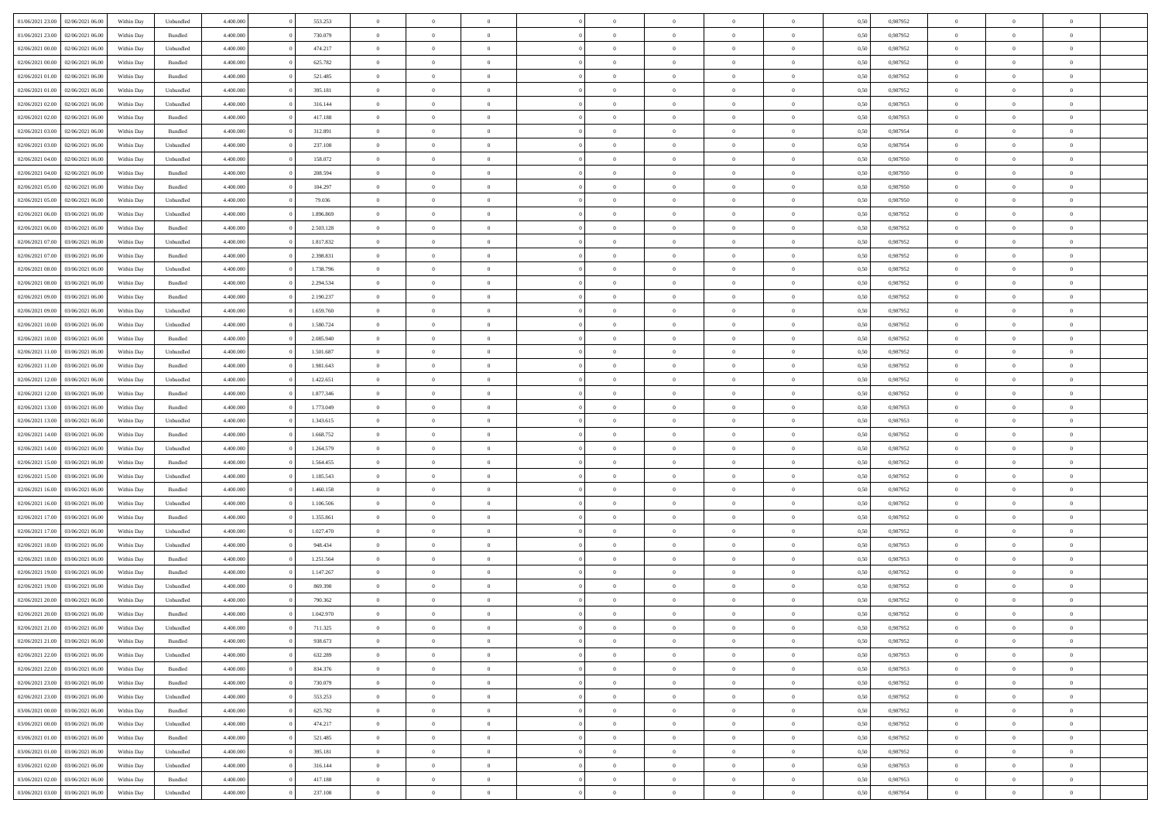| 01/06/2021 23:00 | 02/06/2021 06:00 | Within Day | Unbundled | 4.400.000 | 553.253   | $\overline{0}$ | $\theta$       |                | $\Omega$       | $\Omega$       | $\theta$       | $\theta$       | 0,50 | 0,987952 | $\theta$       | $\overline{0}$ | $\theta$       |  |
|------------------|------------------|------------|-----------|-----------|-----------|----------------|----------------|----------------|----------------|----------------|----------------|----------------|------|----------|----------------|----------------|----------------|--|
| 01/06/2021 23:00 | 02/06/2021 06:00 | Within Day | Bundled   | 4.400.000 | 730.079   | $\overline{0}$ | $\theta$       | $\overline{0}$ | $\overline{0}$ | $\bf{0}$       | $\overline{0}$ | $\bf{0}$       | 0,50 | 0,987952 | $\theta$       | $\overline{0}$ | $\overline{0}$ |  |
| 02/06/2021 00:00 | 02/06/2021 06:00 | Within Day | Unbundled | 4.400.000 | 474.217   | $\overline{0}$ | $\bf{0}$       | $\overline{0}$ | $\bf{0}$       | $\bf{0}$       | $\bf{0}$       | $\mathbf{0}$   | 0,50 | 0,987952 | $\overline{0}$ | $\overline{0}$ | $\bf{0}$       |  |
|                  |                  |            |           |           |           |                |                |                |                |                |                |                |      |          | $\theta$       |                |                |  |
| 02/06/2021 00:00 | 02/06/2021 06:00 | Within Dav | Bundled   | 4.400.000 | 625.782   | $\overline{0}$ | $\overline{0}$ | $\overline{0}$ | $\overline{0}$ | $\bf{0}$       | $\overline{0}$ | $\overline{0}$ | 0.50 | 0,987952 |                | $\theta$       | $\overline{0}$ |  |
| 02/06/2021 01:00 | 02/06/2021 06:00 | Within Day | Bundled   | 4.400.000 | 521.485   | $\overline{0}$ | $\theta$       | $\overline{0}$ | $\overline{0}$ | $\bf{0}$       | $\overline{0}$ | $\bf{0}$       | 0,50 | 0,987952 | $\theta$       | $\overline{0}$ | $\overline{0}$ |  |
| 02/06/2021 01:00 | 02/06/2021 06:00 | Within Day | Unbundled | 4.400.000 | 395.181   | $\overline{0}$ | $\overline{0}$ | $\overline{0}$ | $\bf{0}$       | $\overline{0}$ | $\overline{0}$ | $\mathbf{0}$   | 0,50 | 0,987952 | $\overline{0}$ | $\overline{0}$ | $\bf{0}$       |  |
| 02/06/2021 02:00 | 02/06/2021 06:00 | Within Dav | Unbundled | 4.400.000 | 316.144   | $\overline{0}$ | $\overline{0}$ | $\overline{0}$ | $\overline{0}$ | $\overline{0}$ | $\overline{0}$ | $\overline{0}$ | 0.50 | 0,987953 | $\theta$       | $\overline{0}$ | $\overline{0}$ |  |
|                  |                  |            |           |           |           |                |                |                |                |                |                |                |      |          |                |                |                |  |
| 02/06/2021 02:00 | 02/06/2021 06:00 | Within Day | Bundled   | 4.400.000 | 417.188   | $\overline{0}$ | $\theta$       | $\overline{0}$ | $\overline{0}$ | $\bf{0}$       | $\overline{0}$ | $\bf{0}$       | 0,50 | 0,987953 | $\theta$       | $\theta$       | $\overline{0}$ |  |
| 02/06/2021 03:00 | 02/06/2021 06:00 | Within Day | Bundled   | 4.400.000 | 312.891   | $\overline{0}$ | $\overline{0}$ | $\overline{0}$ | $\bf{0}$       | $\bf{0}$       | $\bf{0}$       | $\bf{0}$       | 0,50 | 0,987954 | $\,0\,$        | $\overline{0}$ | $\overline{0}$ |  |
| 02/06/2021 03:00 | 02/06/2021 06:00 | Within Dav | Unbundled | 4.400.000 | 237.108   | $\overline{0}$ | $\overline{0}$ | $\overline{0}$ | $\overline{0}$ | $\overline{0}$ | $\overline{0}$ | $\overline{0}$ | 0.50 | 0,987954 | $\theta$       | $\overline{0}$ | $\overline{0}$ |  |
|                  |                  |            |           |           |           |                |                |                |                |                |                |                |      |          |                |                |                |  |
| 02/06/2021 04:00 | 02/06/2021 06:00 | Within Day | Unbundled | 4.400.000 | 158.072   | $\overline{0}$ | $\theta$       | $\overline{0}$ | $\overline{0}$ | $\bf{0}$       | $\overline{0}$ | $\bf{0}$       | 0,50 | 0,987950 | $\,$ 0 $\,$    | $\overline{0}$ | $\overline{0}$ |  |
| 02/06/2021 04:00 | 02/06/2021 06:00 | Within Day | Bundled   | 4.400.000 | 208.594   | $\overline{0}$ | $\overline{0}$ | $\overline{0}$ | $\bf{0}$       | $\bf{0}$       | $\bf{0}$       | $\mathbf{0}$   | 0,50 | 0,987950 | $\overline{0}$ | $\overline{0}$ | $\bf{0}$       |  |
| 02/06/2021 05:00 | 02/06/2021 06:00 | Within Day | Bundled   | 4.400.000 | 104.297   | $\overline{0}$ | $\overline{0}$ | $\overline{0}$ | $\overline{0}$ | $\bf{0}$       | $\overline{0}$ | $\overline{0}$ | 0.50 | 0,987950 | $\theta$       | $\theta$       | $\overline{0}$ |  |
| 02/06/2021 05:00 | 02/06/2021 06:00 | Within Day | Unbundled | 4.400.000 | 79.036    | $\overline{0}$ | $\theta$       | $\overline{0}$ | $\overline{0}$ | $\bf{0}$       | $\overline{0}$ | $\bf{0}$       | 0,50 | 0,987950 | $\theta$       | $\overline{0}$ | $\overline{0}$ |  |
|                  |                  |            |           |           |           |                |                |                |                |                |                |                |      |          |                |                |                |  |
| 02/06/2021 06.00 | 03/06/2021 06:00 | Within Day | Unbundled | 4.400.000 | 1.896.869 | $\overline{0}$ | $\overline{0}$ | $\overline{0}$ | $\bf{0}$       | $\overline{0}$ | $\overline{0}$ | $\mathbf{0}$   | 0,50 | 0,987952 | $\bf{0}$       | $\overline{0}$ | $\bf{0}$       |  |
| 02/06/2021 06:00 | 03/06/2021 06:00 | Within Dav | Bundled   | 4.400.000 | 2.503.128 | $\overline{0}$ | $\overline{0}$ | $\overline{0}$ | $\overline{0}$ | $\overline{0}$ | $\overline{0}$ | $\overline{0}$ | 0.50 | 0,987952 | $\theta$       | $\overline{0}$ | $\overline{0}$ |  |
| 02/06/2021 07:00 | 03/06/2021 06:00 | Within Day | Unbundled | 4.400.000 | 1.817.832 | $\overline{0}$ | $\theta$       | $\overline{0}$ | $\overline{0}$ | $\bf{0}$       | $\overline{0}$ | $\bf{0}$       | 0,50 | 0,987952 | $\theta$       | $\theta$       | $\overline{0}$ |  |
|                  |                  |            |           |           |           |                |                |                |                |                |                |                |      |          |                |                |                |  |
| 02/06/2021 07:00 | 03/06/2021 06:00 | Within Day | Bundled   | 4.400.000 | 2.398.831 | $\overline{0}$ | $\overline{0}$ | $\overline{0}$ | $\bf{0}$       | $\bf{0}$       | $\bf{0}$       | $\mathbf{0}$   | 0,50 | 0,987952 | $\,0\,$        | $\overline{0}$ | $\overline{0}$ |  |
| 02/06/2021 08:00 | 03/06/2021 06:00 | Within Dav | Unbundled | 4.400.000 | 1.738.796 | $\overline{0}$ | $\overline{0}$ | $\overline{0}$ | $\overline{0}$ | $\overline{0}$ | $\overline{0}$ | $\overline{0}$ | 0.50 | 0,987952 | $\theta$       | $\overline{0}$ | $\overline{0}$ |  |
| 02/06/2021 08:00 | 03/06/2021 06:00 | Within Day | Bundled   | 4.400.000 | 2.294.534 | $\overline{0}$ | $\theta$       | $\overline{0}$ | $\overline{0}$ | $\bf{0}$       | $\overline{0}$ | $\bf{0}$       | 0,50 | 0,987952 | $\,$ 0 $\,$    | $\overline{0}$ | $\overline{0}$ |  |
| 02/06/2021 09:00 | 03/06/2021 06:00 | Within Day | Bundled   | 4.400.000 | 2.190.237 | $\overline{0}$ | $\overline{0}$ | $\overline{0}$ | $\bf{0}$       | $\bf{0}$       | $\bf{0}$       | $\bf{0}$       | 0,50 | 0,987952 | $\bf{0}$       | $\overline{0}$ | $\bf{0}$       |  |
|                  |                  |            |           |           |           |                |                |                |                |                |                |                |      |          |                |                |                |  |
| 02/06/2021 09:00 | 03/06/2021 06:00 | Within Day | Unbundled | 4.400.000 | 1.659.760 | $\overline{0}$ | $\overline{0}$ | $\overline{0}$ | $\overline{0}$ | $\bf{0}$       | $\overline{0}$ | $\overline{0}$ | 0.50 | 0,987952 | $\theta$       | $\overline{0}$ | $\overline{0}$ |  |
| 02/06/2021 10:00 | 03/06/2021 06:00 | Within Day | Unbundled | 4.400.000 | 1.580.724 | $\overline{0}$ | $\theta$       | $\overline{0}$ | $\overline{0}$ | $\bf{0}$       | $\overline{0}$ | $\bf{0}$       | 0,50 | 0,987952 | $\,$ 0 $\,$    | $\overline{0}$ | $\overline{0}$ |  |
| 02/06/2021 10:00 | 03/06/2021 06:00 | Within Day | Bundled   | 4.400.000 | 2.085.940 | $\overline{0}$ | $\overline{0}$ | $\overline{0}$ | $\bf{0}$       | $\overline{0}$ | $\overline{0}$ | $\mathbf{0}$   | 0,50 | 0,987952 | $\bf{0}$       | $\overline{0}$ | $\bf{0}$       |  |
| 02/06/2021 11:00 | 03/06/2021 06:00 | Within Dav | Unbundled | 4.400.000 | 1.501.687 | $\overline{0}$ | $\overline{0}$ | $\overline{0}$ | $\overline{0}$ | $\overline{0}$ | $\overline{0}$ | $\overline{0}$ | 0.50 | 0,987952 | $\theta$       | $\overline{0}$ | $\overline{0}$ |  |
|                  |                  |            |           |           |           |                |                |                |                |                |                |                |      |          |                |                |                |  |
| 02/06/2021 11:00 | 03/06/2021 06:00 | Within Day | Bundled   | 4.400.000 | 1.981.643 | $\overline{0}$ | $\theta$       | $\overline{0}$ | $\overline{0}$ | $\bf{0}$       | $\overline{0}$ | $\bf{0}$       | 0,50 | 0,987952 | $\theta$       | $\theta$       | $\overline{0}$ |  |
| 02/06/2021 12:00 | 03/06/2021 06:00 | Within Day | Unbundled | 4.400.000 | 1.422.651 | $\overline{0}$ | $\overline{0}$ | $\overline{0}$ | $\bf{0}$       | $\bf{0}$       | $\bf{0}$       | $\bf{0}$       | 0,50 | 0,987952 | $\,0\,$        | $\overline{0}$ | $\overline{0}$ |  |
| 02/06/2021 12:00 | 03/06/2021 06:00 | Within Day | Bundled   | 4.400.000 | 1.877.346 | $\overline{0}$ | $\overline{0}$ | $\overline{0}$ | $\overline{0}$ | $\overline{0}$ | $\overline{0}$ | $\overline{0}$ | 0.50 | 0,987952 | $\theta$       | $\overline{0}$ | $\overline{0}$ |  |
| 02/06/2021 13:00 | 03/06/2021 06:00 | Within Day | Bundled   | 4.400.000 | 1.773.049 | $\overline{0}$ | $\theta$       | $\overline{0}$ | $\overline{0}$ | $\bf{0}$       | $\overline{0}$ | $\bf{0}$       | 0,50 | 0,987953 | $\,$ 0 $\,$    | $\overline{0}$ | $\overline{0}$ |  |
|                  |                  |            |           |           |           |                |                |                |                |                |                |                |      |          |                |                |                |  |
| 02/06/2021 13:00 | 03/06/2021 06:00 | Within Day | Unbundled | 4.400.000 | 1.343.615 | $\overline{0}$ | $\overline{0}$ | $\overline{0}$ | $\bf{0}$       | $\bf{0}$       | $\bf{0}$       | $\bf{0}$       | 0,50 | 0,987953 | $\bf{0}$       | $\overline{0}$ | $\bf{0}$       |  |
| 02/06/2021 14:00 | 03/06/2021 06:00 | Within Day | Bundled   | 4.400,000 | 1.668.752 | $\overline{0}$ | $\Omega$       | $\Omega$       | $\Omega$       | $\Omega$       | $\overline{0}$ | $\overline{0}$ | 0,50 | 0,987952 | $\,0\,$        | $\theta$       | $\theta$       |  |
| 02/06/2021 14:00 | 03/06/2021 06:00 | Within Day | Unbundled | 4.400.000 | 1.264.579 | $\overline{0}$ | $\theta$       | $\overline{0}$ | $\overline{0}$ | $\bf{0}$       | $\overline{0}$ | $\bf{0}$       | 0,50 | 0,987952 | $\theta$       | $\overline{0}$ | $\overline{0}$ |  |
| 02/06/2021 15:00 | 03/06/2021 06:00 | Within Day | Bundled   | 4.400.000 | 1.564.455 | $\overline{0}$ | $\overline{0}$ | $\overline{0}$ | $\bf{0}$       | $\overline{0}$ | $\overline{0}$ | $\mathbf{0}$   | 0,50 | 0,987952 | $\overline{0}$ | $\overline{0}$ | $\bf{0}$       |  |
|                  |                  |            |           |           |           |                |                |                |                |                |                |                |      |          |                |                |                |  |
| 02/06/2021 15:00 | 03/06/2021 06:00 | Within Day | Unbundled | 4.400,000 | 1.185.543 | $\overline{0}$ | $\Omega$       | $\Omega$       | $\Omega$       | $\bf{0}$       | $\overline{0}$ | $\overline{0}$ | 0.50 | 0,987952 | $\,0\,$        | $\theta$       | $\theta$       |  |
| 02/06/2021 16:00 | 03/06/2021 06:00 | Within Day | Bundled   | 4.400.000 | 1.460.158 | $\overline{0}$ | $\theta$       | $\overline{0}$ | $\overline{0}$ | $\bf{0}$       | $\overline{0}$ | $\bf{0}$       | 0,50 | 0,987952 | $\,$ 0 $\,$    | $\overline{0}$ | $\overline{0}$ |  |
| 02/06/2021 16:00 | 03/06/2021 06:00 | Within Day | Unbundled | 4.400.000 | 1.106.506 | $\overline{0}$ | $\overline{0}$ | $\overline{0}$ | $\bf{0}$       | $\bf{0}$       | $\bf{0}$       | $\bf{0}$       | 0,50 | 0,987952 | $\bf{0}$       | $\overline{0}$ | $\bf{0}$       |  |
|                  | 03/06/2021 06:00 |            |           | 4.400,000 | 1.355.861 | $\overline{0}$ | $\Omega$       | $\Omega$       | $\Omega$       | $\theta$       | $\overline{0}$ |                |      | 0.987952 | $\,$ 0 $\,$    | $\theta$       | $\theta$       |  |
| 02/06/2021 17:00 |                  | Within Day | Bundled   |           |           |                |                |                |                |                |                | $\overline{0}$ | 0.50 |          |                |                |                |  |
| 02/06/2021 17:00 | 03/06/2021 06:00 | Within Day | Unbundled | 4.400.000 | 1.027.470 | $\overline{0}$ | $\theta$       | $\overline{0}$ | $\overline{0}$ | $\bf{0}$       | $\overline{0}$ | $\bf{0}$       | 0,50 | 0,987952 | $\,$ 0 $\,$    | $\overline{0}$ | $\overline{0}$ |  |
| 02/06/2021 18:00 | 03/06/2021 06:00 | Within Day | Unbundled | 4.400.000 | 948.434   | $\overline{0}$ | $\bf{0}$       | $\overline{0}$ | $\bf{0}$       | $\bf{0}$       | $\bf{0}$       | $\mathbf{0}$   | 0,50 | 0,987953 | $\overline{0}$ | $\overline{0}$ | $\bf{0}$       |  |
| 02/06/2021 18:00 | 03/06/2021 06:00 | Within Day | Bundled   | 4.400,000 | 1.251.564 | $\overline{0}$ | $\Omega$       | $\Omega$       | $\Omega$       | $\overline{0}$ | $\overline{0}$ | $\overline{0}$ | 0.50 | 0,987953 | $\,0\,$        | $\theta$       | $\theta$       |  |
| 02/06/2021 19:00 | 03/06/2021 06:00 | Within Day | Bundled   | 4.400.000 | 1.147.267 | $\overline{0}$ | $\overline{0}$ | $\overline{0}$ | $\overline{0}$ | $\bf{0}$       | $\overline{0}$ | $\bf{0}$       | 0,50 | 0,987952 | $\,$ 0 $\,$    | $\overline{0}$ | $\overline{0}$ |  |
|                  |                  |            |           |           |           |                |                |                |                |                |                |                |      |          |                |                |                |  |
| 02/06/2021 19:00 | 03/06/2021 06:00 | Within Day | Unbundled | 4.400.000 | 869.398   | $\overline{0}$ | $\overline{0}$ | $\overline{0}$ | $\bf{0}$       | $\bf{0}$       | $\bf{0}$       | $\mathbf{0}$   | 0,50 | 0,987952 | $\bf{0}$       | $\overline{0}$ | $\bf{0}$       |  |
| 02/06/2021 20:00 | 03/06/2021 06:00 | Within Day | Unbundled | 4.400,000 | 790,362   | $\overline{0}$ | $\Omega$       | $\Omega$       | $\Omega$       | $\Omega$       | $\Omega$       | $\overline{0}$ | 0.50 | 0.987952 | $\theta$       | $\theta$       | $\theta$       |  |
| 02/06/2021 20:00 | 03/06/2021 06:00 | Within Day | Bundled   | 4.400.000 | 1.042.970 | $\overline{0}$ | $\overline{0}$ | $\overline{0}$ | $\bf{0}$       | $\,$ 0         | $\overline{0}$ | $\bf{0}$       | 0,50 | 0,987952 | $\,0\,$        | $\,$ 0 $\,$    | $\overline{0}$ |  |
| 02/06/2021 21:00 | 03/06/2021 06:00 | Within Day | Unbundled | 4.400.000 | 711.325   | $\bf{0}$       | $\bf{0}$       |                |                | $\bf{0}$       |                |                | 0,50 | 0,987952 | $\bf{0}$       | $\overline{0}$ |                |  |
|                  |                  |            |           |           |           |                |                |                |                |                |                |                |      |          |                |                |                |  |
| 02/06/2021 21:00 | 03/06/2021 06:00 | Within Day | Bundled   | 4.400.000 | 938.673   | $\overline{0}$ | $\overline{0}$ | $\overline{0}$ | $\Omega$       | $\overline{0}$ | $\overline{0}$ | $\overline{0}$ | 0.50 | 0.987952 | $\theta$       | $\theta$       | $\theta$       |  |
| 02/06/2021 22.00 | 03/06/2021 06:00 | Within Day | Unbundled | 4.400.000 | 632.289   | $\overline{0}$ | $\bf{0}$       | $\overline{0}$ | $\overline{0}$ | $\,$ 0 $\,$    | $\overline{0}$ | $\,$ 0 $\,$    | 0,50 | 0,987953 | $\,$ 0 $\,$    | $\,$ 0 $\,$    | $\,$ 0         |  |
| 02/06/2021 22.00 | 03/06/2021 06:00 | Within Day | Bundled   | 4.400.000 | 834.376   | $\overline{0}$ | $\overline{0}$ | $\overline{0}$ | $\overline{0}$ | $\overline{0}$ | $\overline{0}$ | $\mathbf{0}$   | 0,50 | 0,987953 | $\overline{0}$ | $\overline{0}$ | $\overline{0}$ |  |
|                  |                  |            |           | 4.400,000 |           | $\overline{0}$ | $\overline{0}$ |                | $\Omega$       | $\overline{0}$ | $\overline{0}$ |                |      |          |                | $\theta$       | $\overline{0}$ |  |
| 02/06/2021 23:00 | 03/06/2021 06:00 | Within Day | Bundled   |           | 730.079   |                |                | $\overline{0}$ |                |                |                | $\overline{0}$ | 0,50 | 0,987952 | $\overline{0}$ |                |                |  |
| 02/06/2021 23:00 | 03/06/2021 06:00 | Within Day | Unbundled | 4.400.000 | 553.253   | $\overline{0}$ | $\,$ 0         | $\overline{0}$ | $\overline{0}$ | $\,$ 0 $\,$    | $\overline{0}$ | $\mathbf{0}$   | 0,50 | 0,987952 | $\,$ 0 $\,$    | $\overline{0}$ | $\,$ 0         |  |
| 03/06/2021 00:00 | 03/06/2021 06:00 | Within Day | Bundled   | 4.400.000 | 625.782   | $\overline{0}$ | $\overline{0}$ | $\overline{0}$ | $\overline{0}$ | $\overline{0}$ | $\overline{0}$ | $\mathbf{0}$   | 0,50 | 0,987952 | $\overline{0}$ | $\overline{0}$ | $\overline{0}$ |  |
| 03/06/2021 00:00 | 03/06/2021 06:00 | Within Day | Unbundled | 4.400.000 | 474.217   | $\overline{0}$ | $\overline{0}$ | $\overline{0}$ | $\overline{0}$ | $\overline{0}$ | $\overline{0}$ | $\overline{0}$ | 0.50 | 0,987952 | $\overline{0}$ | $\theta$       | $\overline{0}$ |  |
|                  |                  |            |           |           |           |                |                |                |                |                |                |                |      |          |                |                |                |  |
| 03/06/2021 01:00 | 03/06/2021 06:00 | Within Day | Bundled   | 4.400.000 | 521.485   | $\overline{0}$ | $\,$ 0         | $\overline{0}$ | $\overline{0}$ | $\bf{0}$       | $\overline{0}$ | $\bf{0}$       | 0,50 | 0,987952 | $\,$ 0 $\,$    | $\overline{0}$ | $\overline{0}$ |  |
| 03/06/2021 01:00 | 03/06/2021 06:00 | Within Day | Unbundled | 4.400.000 | 395.181   | $\overline{0}$ | $\bf{0}$       | $\overline{0}$ | $\overline{0}$ | $\overline{0}$ | $\overline{0}$ | $\mathbf{0}$   | 0,50 | 0,987952 | $\overline{0}$ | $\overline{0}$ | $\bf{0}$       |  |
| 03/06/2021 02:00 | 03/06/2021 06:00 | Within Day | Unbundled | 4.400,000 | 316.144   | $\overline{0}$ | $\overline{0}$ | $\overline{0}$ | $\Omega$       | $\overline{0}$ | $\overline{0}$ | $\overline{0}$ | 0.50 | 0,987953 | $\overline{0}$ | $\overline{0}$ | $\overline{0}$ |  |
| 03/06/2021 02:00 | 03/06/2021 06:00 | Within Day | Bundled   | 4.400.000 | 417.188   | $\overline{0}$ | $\bf{0}$       | $\overline{0}$ | $\overline{0}$ | $\bf{0}$       | $\overline{0}$ | $\mathbf{0}$   | 0,50 | 0,987953 | $\,$ 0 $\,$    | $\,$ 0 $\,$    | $\bf{0}$       |  |
|                  |                  |            |           |           |           |                |                |                |                |                |                |                |      |          |                |                |                |  |
| 03/06/2021 03:00 | 03/06/2021 06:00 | Within Day | Unbundled | 4.400.000 | 237.108   | $\overline{0}$ | $\bf{0}$       | $\overline{0}$ | $\overline{0}$ | $\bf{0}$       | $\overline{0}$ | $\bf{0}$       | 0,50 | 0,987954 | $\overline{0}$ | $\overline{0}$ | $\bf{0}$       |  |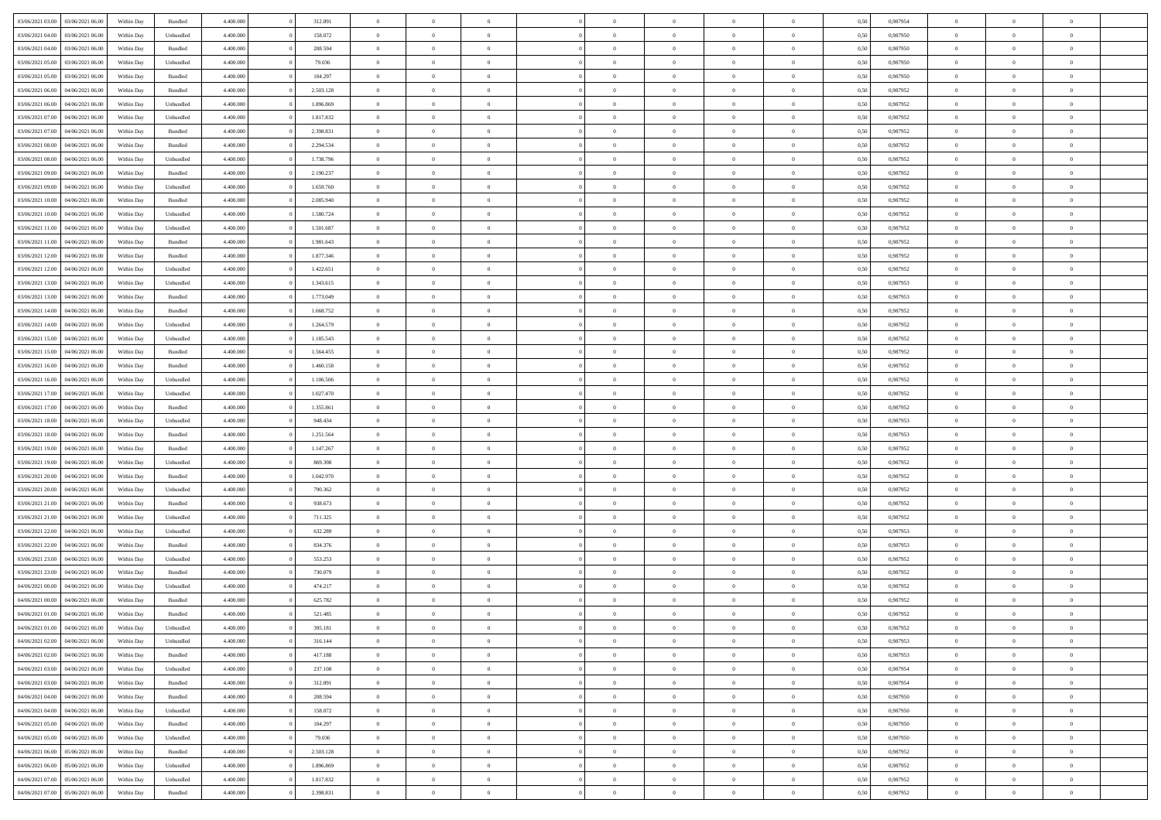| 03/06/2021 03:00 03/06/2021 06:00    | Within Day | Bundled   | 4.400.000 | 312.891   | $\overline{0}$ | $\overline{0}$ | $\Omega$       | $\Omega$       | $\theta$       | $\Omega$       | $\overline{0}$ | 0,50 | 0,987954 | $\theta$       | $\theta$       | $\theta$       |  |
|--------------------------------------|------------|-----------|-----------|-----------|----------------|----------------|----------------|----------------|----------------|----------------|----------------|------|----------|----------------|----------------|----------------|--|
| 03/06/2021 04:00<br>03/06/2021 06:00 | Within Day | Unbundled | 4.400.000 | 158.072   | $\overline{0}$ | $\overline{0}$ | $\overline{0}$ | $\overline{0}$ | $\theta$       | $\overline{0}$ | $\bf{0}$       | 0,50 | 0,987950 | $\theta$       | $\theta$       | $\overline{0}$ |  |
| 03/06/2021 04:00<br>03/06/2021 06:00 | Within Day | Bundled   | 4.400.000 | 208.594   | $\overline{0}$ | $\bf{0}$       | $\overline{0}$ | $\overline{0}$ | $\overline{0}$ | $\overline{0}$ | $\bf{0}$       | 0,50 | 0,987950 | $\bf{0}$       | $\overline{0}$ | $\overline{0}$ |  |
| 03/06/2021 05:00<br>03/06/2021 06:00 | Within Day | Unbundled | 4.400.000 | 79.036    | $\overline{0}$ | $\overline{0}$ | $\overline{0}$ | $\overline{0}$ | $\theta$       | $\overline{0}$ | $\overline{0}$ | 0.50 | 0.987950 | $\theta$       | $\theta$       | $\overline{0}$ |  |
| 03/06/2021 05:00<br>03/06/2021 06:00 | Within Day | Bundled   | 4.400.000 | 104.297   | $\overline{0}$ | $\overline{0}$ | $\overline{0}$ | $\overline{0}$ | $\theta$       | $\overline{0}$ | $\bf{0}$       | 0,50 | 0,987950 | $\theta$       | $\theta$       | $\overline{0}$ |  |
|                                      |            |           |           |           |                |                |                |                |                |                |                |      |          |                |                |                |  |
| 03/06/2021 06:00<br>04/06/2021 06:00 | Within Day | Bundled   | 4.400.000 | 2.503.128 | $\overline{0}$ | $\bf{0}$       | $\overline{0}$ | $\overline{0}$ | $\overline{0}$ | $\overline{0}$ | $\bf{0}$       | 0,50 | 0,987952 | $\overline{0}$ | $\overline{0}$ | $\bf{0}$       |  |
| 03/06/2021 06:00<br>04/06/2021 06:00 | Within Day | Unbundled | 4.400.000 | 1.896.869 | $\overline{0}$ | $\overline{0}$ | $\overline{0}$ | $\overline{0}$ | $\overline{0}$ | $\overline{0}$ | $\overline{0}$ | 0.5( | 0,987952 | $\theta$       | $\theta$       | $\overline{0}$ |  |
| 03/06/2021 07:00<br>04/06/2021 06:00 | Within Day | Unbundled | 4.400.000 | 1.817.832 | $\overline{0}$ | $\theta$       | $\overline{0}$ | $\overline{0}$ | $\theta$       | $\overline{0}$ | $\bf{0}$       | 0,50 | 0,987952 | $\theta$       | $\theta$       | $\overline{0}$ |  |
| 03/06/2021 07:00<br>04/06/2021 06:00 | Within Day | Bundled   | 4.400.000 | 2.398.831 | $\overline{0}$ | $\bf{0}$       | $\overline{0}$ | $\overline{0}$ | $\overline{0}$ | $\overline{0}$ | $\bf{0}$       | 0,50 | 0,987952 | $\bf{0}$       | $\bf{0}$       | $\overline{0}$ |  |
| 03/06/2021 08:00<br>04/06/2021 06:00 | Within Day | Bundled   | 4.400.000 | 2.294.534 | $\overline{0}$ | $\overline{0}$ | $\overline{0}$ | $\overline{0}$ | $\overline{0}$ | $\overline{0}$ | $\overline{0}$ | 0.5( | 0,987952 | $\theta$       | $\theta$       | $\overline{0}$ |  |
| 03/06/2021 08:00<br>04/06/2021 06:00 | Within Day | Unbundled | 4.400.000 | 1.738.796 | $\bf{0}$       | $\overline{0}$ | $\overline{0}$ | $\overline{0}$ | $\theta$       | $\overline{0}$ | $\bf{0}$       | 0,50 | 0,987952 | $\theta$       | $\theta$       | $\overline{0}$ |  |
| 03/06/2021 09:00<br>04/06/2021 06:00 | Within Day | Bundled   | 4.400.000 | 2.190.237 | $\overline{0}$ | $\bf{0}$       | $\overline{0}$ | $\overline{0}$ | $\bf{0}$       | $\overline{0}$ | $\bf{0}$       | 0,50 | 0,987952 | $\bf{0}$       | $\overline{0}$ | $\overline{0}$ |  |
| 03/06/2021 09:00<br>04/06/2021 06:00 | Within Day | Unbundled | 4.400.000 | 1.659.760 | $\overline{0}$ | $\overline{0}$ | $\overline{0}$ | $\overline{0}$ | $\overline{0}$ | $\overline{0}$ | $\overline{0}$ | 0.5( | 0,987952 | $\theta$       | $\theta$       | $\overline{0}$ |  |
| 03/06/2021 10:00<br>04/06/2021 06:00 | Within Day | Bundled   | 4.400.000 | 2.085.940 | $\overline{0}$ | $\theta$       | $\overline{0}$ | $\overline{0}$ | $\theta$       | $\overline{0}$ | $\bf{0}$       | 0,50 | 0,987952 | $\theta$       | $\theta$       | $\overline{0}$ |  |
| 03/06/2021 10:00<br>04/06/2021 06:00 | Within Day | Unbundled | 4.400.000 | 1.580.724 | $\overline{0}$ | $\bf{0}$       | $\overline{0}$ | $\overline{0}$ | $\overline{0}$ | $\overline{0}$ | $\bf{0}$       | 0,50 | 0,987952 | $\bf{0}$       | $\overline{0}$ | $\bf{0}$       |  |
| 03/06/2021 11:00<br>04/06/2021 06:00 | Within Day | Unbundled | 4.400.000 | 1.501.687 | $\overline{0}$ | $\overline{0}$ | $\overline{0}$ | $\overline{0}$ | $\overline{0}$ | $\overline{0}$ | $\overline{0}$ | 0.5( | 0,987952 | $\theta$       | $\theta$       | $\overline{0}$ |  |
|                                      |            |           |           |           | $\overline{0}$ | $\theta$       | $\overline{0}$ | $\overline{0}$ | $\theta$       | $\overline{0}$ |                |      |          | $\theta$       | $\theta$       | $\overline{0}$ |  |
| 03/06/2021 11:00<br>04/06/2021 06:00 | Within Day | Bundled   | 4.400.000 | 1.981.643 |                |                |                |                |                |                | $\bf{0}$       | 0,50 | 0,987952 |                |                |                |  |
| 03/06/2021 12:00<br>04/06/2021 06:00 | Within Day | Bundled   | 4.400.000 | 1.877.346 | $\overline{0}$ | $\bf{0}$       | $\overline{0}$ | $\overline{0}$ | $\overline{0}$ | $\overline{0}$ | $\bf{0}$       | 0,50 | 0,987952 | $\bf{0}$       | $\overline{0}$ | $\overline{0}$ |  |
| 03/06/2021 12:00<br>04/06/2021 06:00 | Within Day | Unbundled | 4.400.000 | 1.422.651 | $\overline{0}$ | $\overline{0}$ | $\overline{0}$ | $\overline{0}$ | $\overline{0}$ | $\overline{0}$ | $\overline{0}$ | 0.50 | 0,987952 | $\theta$       | $\theta$       | $\overline{0}$ |  |
| 03/06/2021 13:00<br>04/06/2021 06:00 | Within Day | Unbundled | 4.400.000 | 1.343.615 | $\bf{0}$       | $\overline{0}$ | $\overline{0}$ | $\overline{0}$ | $\theta$       | $\overline{0}$ | $\bf{0}$       | 0,50 | 0,987953 | $\theta$       | $\theta$       | $\overline{0}$ |  |
| 03/06/2021 13:00<br>04/06/2021 06:00 | Within Day | Bundled   | 4.400.000 | 1.773.049 | $\overline{0}$ | $\bf{0}$       | $\overline{0}$ | $\overline{0}$ | $\overline{0}$ | $\overline{0}$ | $\bf{0}$       | 0,50 | 0,987953 | $\bf{0}$       | $\overline{0}$ | $\overline{0}$ |  |
| 03/06/2021 14:00<br>04/06/2021 06:00 | Within Day | Bundled   | 4.400.000 | 1.668.752 | $\overline{0}$ | $\overline{0}$ | $\overline{0}$ | $\overline{0}$ | $\overline{0}$ | $\overline{0}$ | $\overline{0}$ | 0.5( | 0.987952 | $\theta$       | $\theta$       | $\overline{0}$ |  |
| 03/06/2021 14:00<br>04/06/2021 06:00 | Within Day | Unbundled | 4.400.000 | 1.264.579 | $\overline{0}$ | $\overline{0}$ | $\overline{0}$ | $\overline{0}$ | $\theta$       | $\overline{0}$ | $\bf{0}$       | 0,50 | 0,987952 | $\theta$       | $\theta$       | $\overline{0}$ |  |
| 03/06/2021 15:00<br>04/06/2021 06:00 | Within Day | Unbundled | 4.400.000 | 1.185.543 | $\overline{0}$ | $\bf{0}$       | $\overline{0}$ | $\overline{0}$ | $\overline{0}$ | $\overline{0}$ | $\bf{0}$       | 0,50 | 0,987952 | $\overline{0}$ | $\overline{0}$ | $\bf{0}$       |  |
| 03/06/2021 15:00<br>04/06/2021 06:00 | Within Day | Bundled   | 4.400.000 | 1.564.455 | $\overline{0}$ | $\overline{0}$ | $\overline{0}$ | $\overline{0}$ | $\overline{0}$ | $\overline{0}$ | $\overline{0}$ | 0.5( | 0,987952 | $\theta$       | $\theta$       | $\overline{0}$ |  |
| 03/06/2021 16:00<br>04/06/2021 06:00 | Within Day | Bundled   | 4.400.000 | 1.460.158 | $\overline{0}$ | $\overline{0}$ | $\overline{0}$ | $\overline{0}$ | $\theta$       | $\overline{0}$ | $\bf{0}$       | 0,50 | 0,987952 | $\theta$       | $\theta$       | $\overline{0}$ |  |
| 03/06/2021 16:00<br>04/06/2021 06:00 | Within Day | Unbundled | 4.400.000 | 1.106.506 | $\overline{0}$ | $\bf{0}$       | $\overline{0}$ | $\overline{0}$ | $\overline{0}$ | $\overline{0}$ | $\bf{0}$       | 0,50 | 0,987952 | $\bf{0}$       | $\bf{0}$       | $\overline{0}$ |  |
| 03/06/2021 17:00<br>04/06/2021 06:00 | Within Day | Unbundled | 4.400.000 | 1.027.470 | $\overline{0}$ | $\overline{0}$ | $\overline{0}$ | $\overline{0}$ | $\overline{0}$ | $\overline{0}$ | $\overline{0}$ | 0.5( | 0,987952 | $\theta$       | $\theta$       | $\overline{0}$ |  |
| 03/06/2021 17:00<br>04/06/2021 06:00 | Within Day | Bundled   | 4.400.000 | 1.355.861 | $\bf{0}$       | $\overline{0}$ | $\overline{0}$ | $\overline{0}$ | $\theta$       | $\overline{0}$ | $\bf{0}$       | 0,50 | 0,987952 | $\theta$       | $\theta$       | $\overline{0}$ |  |
| 03/06/2021 18:00<br>04/06/2021 06:00 | Within Day | Unbundled | 4.400.000 | 948.434   | $\overline{0}$ | $\bf{0}$       | $\overline{0}$ | $\overline{0}$ | $\bf{0}$       | $\overline{0}$ | $\bf{0}$       | 0,50 | 0,987953 | $\bf{0}$       | $\overline{0}$ | $\overline{0}$ |  |
|                                      |            |           |           |           |                |                |                |                |                |                |                |      |          |                |                |                |  |
| 03/06/2021 18:00<br>04/06/2021 06.00 | Within Day | Bundled   | 4,400,000 | 1.251.564 | $\overline{0}$ | $\overline{0}$ | $\Omega$       | $\Omega$       | $\Omega$       | $\theta$       | $\overline{0}$ | 0.50 | 0,987953 | $\,$ 0 $\,$    | $\Omega$       | $\theta$       |  |
| 03/06/2021 19:00<br>04/06/2021 06:00 | Within Day | Bundled   | 4.400.000 | 1.147.267 | $\bf{0}$       | $\overline{0}$ | $\overline{0}$ | $\overline{0}$ | $\theta$       | $\overline{0}$ | $\bf{0}$       | 0,50 | 0,987952 | $\theta$       | $\theta$       | $\overline{0}$ |  |
| 03/06/2021 19:00<br>04/06/2021 06:00 | Within Day | Unbundled | 4.400.000 | 869.398   | $\overline{0}$ | $\bf{0}$       | $\overline{0}$ | $\overline{0}$ | $\bf{0}$       | $\overline{0}$ | $\bf{0}$       | 0,50 | 0,987952 | $\bf{0}$       | $\overline{0}$ | $\bf{0}$       |  |
| 03/06/2021 20:00<br>04/06/2021 06.00 | Within Day | Bundled   | 4,400,000 | 1.042.970 | $\overline{0}$ | $\overline{0}$ | $\Omega$       | $\Omega$       | $\overline{0}$ | $\Omega$       | $\overline{0}$ | 0.50 | 0,987952 | $\theta$       | $\overline{0}$ | $\theta$       |  |
| 03/06/2021 20:00<br>04/06/2021 06:00 | Within Day | Unbundled | 4.400.000 | 790.362   | $\bf{0}$       | $\overline{0}$ | $\overline{0}$ | $\overline{0}$ | $\theta$       | $\overline{0}$ | $\bf{0}$       | 0,50 | 0,987952 | $\theta$       | $\theta$       | $\overline{0}$ |  |
| 03/06/2021 21:00<br>04/06/2021 06:00 | Within Day | Bundled   | 4.400.000 | 938.673   | $\overline{0}$ | $\bf{0}$       | $\overline{0}$ | $\overline{0}$ | $\overline{0}$ | $\overline{0}$ | $\bf{0}$       | 0,50 | 0,987952 | $\bf{0}$       | $\overline{0}$ | $\overline{0}$ |  |
| 03/06/2021 21:00<br>04/06/2021 06:00 | Within Day | Unbundled | 4,400,000 | 711.325   | $\overline{0}$ | $\overline{0}$ | $\Omega$       | $\Omega$       | $\Omega$       | $\Omega$       | $\overline{0}$ | 0.50 | 0.987952 | $\theta$       | $\Omega$       | $\theta$       |  |
| 03/06/2021 22:00<br>04/06/2021 06:00 | Within Day | Unbundled | 4.400.000 | 632.289   | $\bf{0}$       | $\overline{0}$ | $\overline{0}$ | $\overline{0}$ | $\theta$       | $\overline{0}$ | $\bf{0}$       | 0,50 | 0,987953 | $\theta$       | $\theta$       | $\overline{0}$ |  |
| 03/06/2021 22:00<br>04/06/2021 06:00 | Within Day | Bundled   | 4.400.000 | 834.376   | $\overline{0}$ | $\bf{0}$       | $\overline{0}$ | $\overline{0}$ | $\overline{0}$ | $\overline{0}$ | $\bf{0}$       | 0,50 | 0,987953 | $\bf{0}$       | $\overline{0}$ | $\overline{0}$ |  |
| 03/06/2021 23:00<br>04/06/2021 06.00 | Within Day | Unbundled | 4,400,000 | 553.253   | $\overline{0}$ | $\overline{0}$ | $\Omega$       | $\Omega$       | $\theta$       | $\Omega$       | $\overline{0}$ | 0.50 | 0,987952 | $\,$ 0 $\,$    | $\overline{0}$ | $\theta$       |  |
| 03/06/2021 23:00<br>04/06/2021 06:00 | Within Day | Bundled   | 4.400.000 | 730.079   | $\bf{0}$       | $\overline{0}$ | $\overline{0}$ | $\overline{0}$ | $\theta$       | $\overline{0}$ | $\bf{0}$       | 0,50 | 0,987952 | $\theta$       | $\theta$       | $\overline{0}$ |  |
| 04/06/2021 00:00<br>04/06/2021 06.00 | Within Day | Unbundled | 4.400.000 | 474.217   | $\overline{0}$ | $\bf{0}$       | $\overline{0}$ | $\overline{0}$ | $\bf{0}$       | $\overline{0}$ | $\bf{0}$       | 0,50 | 0,987952 | $\overline{0}$ | $\overline{0}$ | $\bf{0}$       |  |
| 04/06/2021 00:00<br>04/06/2021 06.00 | Within Day | Bundled   | 4,400,000 | 625.782   | $\overline{0}$ | $\Omega$       | $\Omega$       | $\Omega$       | $\Omega$       | $\theta$       | $\overline{0}$ | 0.50 | 0.987952 | $\theta$       | $\Omega$       | $\theta$       |  |
| 04/06/2021 01:00 04/06/2021 06:00    | Within Day | Bundled   | 4.400.000 | 521.485   | $\bf{0}$       | $\bf{0}$       | $\overline{0}$ | $\overline{0}$ | $\bf{0}$       | $\bf{0}$       | $\bf{0}$       | 0,50 | 0,987952 | $\bf{0}$       | $\bf{0}$       | $\overline{0}$ |  |
| 04/06/2021 01:00 04/06/2021 06:00    | Within Day | Unbundled | 4.400.000 | 395.181   |                |                |                |                |                |                |                | 0,50 | 0,987952 | $\bf{0}$       | $\bf{0}$       |                |  |
|                                      |            |           |           |           |                |                |                |                |                |                |                |      |          |                |                |                |  |
| 04/06/2021 02:00 04/06/2021 06:00    | Within Day | Unbundled | 4.400.000 | 316.144   | $\theta$       | $\overline{0}$ | $\Omega$       | $\theta$       | $\overline{0}$ | $\theta$       | $\overline{0}$ | 0.50 | 0.987953 | $\theta$       | $\theta$       | $\theta$       |  |
| 04/06/2021 02:00<br>04/06/2021 06:00 | Within Day | Bundled   | 4.400.000 | 417.188   | $\overline{0}$ | $\overline{0}$ | $\overline{0}$ | $\overline{0}$ | $\,$ 0 $\,$    | $\overline{0}$ | $\,$ 0 $\,$    | 0,50 | 0,987953 | $\,$ 0 $\,$    | $\,$ 0 $\,$    | $\,$ 0         |  |
| 04/06/2021 06:00<br>04/06/2021 03:00 | Within Day | Unbundled | 4.400.000 | 237.108   | $\overline{0}$ | $\overline{0}$ | $\overline{0}$ | $\overline{0}$ | $\overline{0}$ | $\overline{0}$ | $\bf{0}$       | 0,50 | 0,987954 | $\overline{0}$ | $\bf{0}$       | $\overline{0}$ |  |
| 04/06/2021 06:00<br>04/06/2021 03:00 | Within Day | Bundled   | 4.400.000 | 312.891   | $\overline{0}$ | $\bf{0}$       | $\overline{0}$ | $\overline{0}$ | $\overline{0}$ | $\overline{0}$ | $\bf{0}$       | 0,50 | 0,987954 | $\bf{0}$       | $\theta$       | $\overline{0}$ |  |
| 04/06/2021 04:00<br>04/06/2021 06:00 | Within Day | Bundled   | 4.400.000 | 208.594   | $\overline{0}$ | $\overline{0}$ | $\overline{0}$ | $\overline{0}$ | $\overline{0}$ | $\overline{0}$ | $\bf{0}$       | 0,50 | 0,987950 | $\,$ 0 $\,$    | $\,$ 0 $\,$    | $\overline{0}$ |  |
| 04/06/2021 04:00<br>04/06/2021 06:00 | Within Day | Unbundled | 4.400.000 | 158.072   | $\overline{0}$ | $\overline{0}$ | $\overline{0}$ | $\overline{0}$ | $\mathbf{0}$   | $\overline{0}$ | $\mathbf{0}$   | 0,50 | 0,987950 | $\overline{0}$ | $\overline{0}$ | $\overline{0}$ |  |
| 04/06/2021 05:00<br>04/06/2021 06:00 | Within Day | Bundled   | 4.400.000 | 104.297   | $\overline{0}$ | $\bf{0}$       | $\overline{0}$ | $\overline{0}$ | $\overline{0}$ | $\overline{0}$ | $\bf{0}$       | 0.50 | 0,987950 | $\overline{0}$ | $\theta$       | $\overline{0}$ |  |
| 04/06/2021 05:00<br>04/06/2021 06:00 | Within Day | Unbundled | 4.400.000 | 79.036    | $\overline{0}$ | $\overline{0}$ | $\overline{0}$ | $\overline{0}$ | $\overline{0}$ | $\bf{0}$       | $\bf{0}$       | 0,50 | 0,987950 | $\,$ 0 $\,$    | $\,$ 0 $\,$    | $\overline{0}$ |  |
| 05/06/2021 06:00<br>04/06/2021 06:00 | Within Day | Bundled   | 4.400.000 | 2.503.128 | $\overline{0}$ | $\bf{0}$       | $\overline{0}$ | $\overline{0}$ | $\overline{0}$ | $\overline{0}$ | $\bf{0}$       | 0,50 | 0,987952 | $\overline{0}$ | $\overline{0}$ | $\bf{0}$       |  |
| 04/06/2021 06:00<br>05/06/2021 06:00 | Within Day | Unbundled | 4.400.000 | 1.896.869 | $\overline{0}$ | $\overline{0}$ | $\overline{0}$ | $\overline{0}$ | $\overline{0}$ | $\overline{0}$ | $\bf{0}$       | 0.50 | 0,987952 | $\overline{0}$ | $\overline{0}$ | $\overline{0}$ |  |
| 04/06/2021 07:00<br>05/06/2021 06:00 | Within Day | Unbundled | 4.400.000 | 1.817.832 | $\overline{0}$ | $\,$ 0         | $\overline{0}$ | $\overline{0}$ | $\bf{0}$       | $\bf{0}$       | $\bf{0}$       | 0,50 | 0,987952 | $\,$ 0 $\,$    | $\,$ 0 $\,$    | $\bf{0}$       |  |
|                                      |            |           | 4.400.000 |           |                |                |                |                |                |                |                |      |          |                |                |                |  |
| 04/06/2021 07:00  05/06/2021 06:00   | Within Day | Bundled   |           | 2.398.831 | $\overline{0}$ | $\bf{0}$       | $\overline{0}$ | $\overline{0}$ | $\overline{0}$ | $\overline{0}$ | $\bf{0}$       | 0,50 | 0,987952 | $\overline{0}$ | $\bf{0}$       | $\overline{0}$ |  |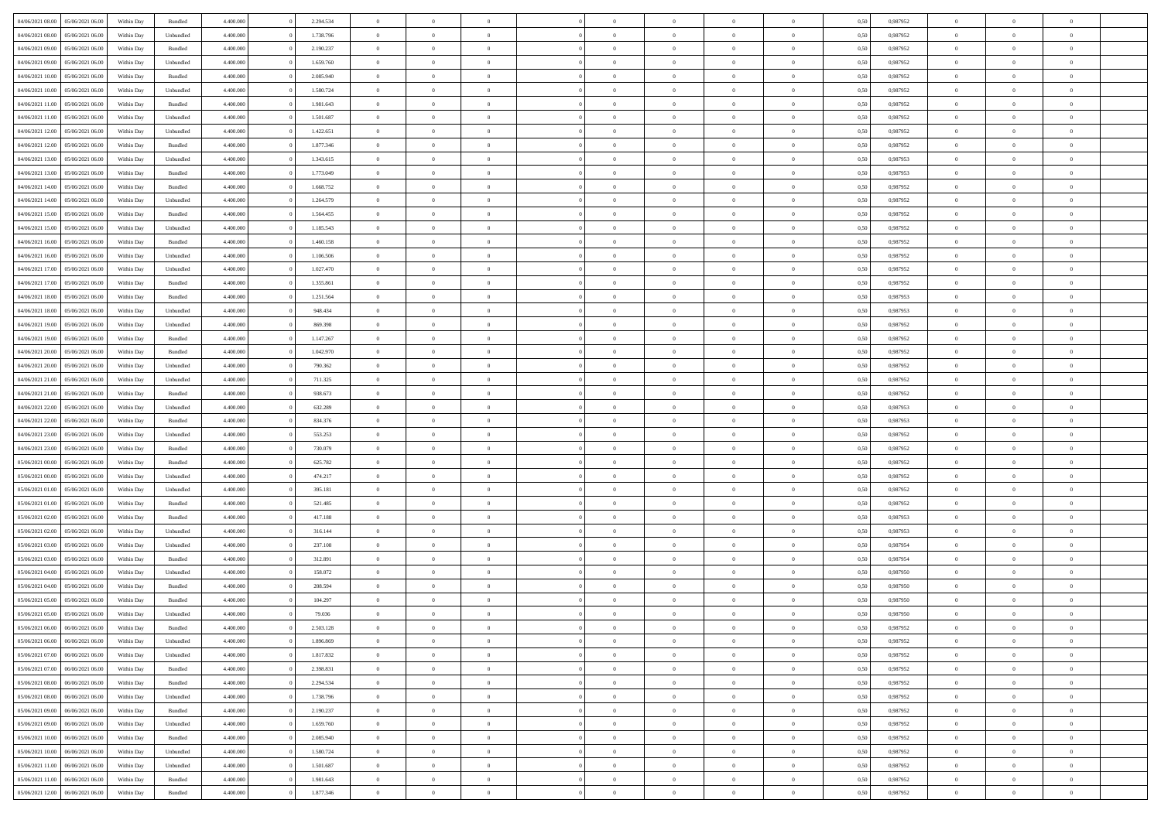| 04/06/2021 08:00 05/06/2021 06:00    | Within Day | Bundled   | 4.400.000 | 2.294.534 | $\overline{0}$ | $\overline{0}$ | $\Omega$       | $\Omega$       | $\theta$       | $\Omega$       | $\theta$       | 0,50 | 0,987952 | $\theta$                | $\theta$                   | $\theta$       |  |
|--------------------------------------|------------|-----------|-----------|-----------|----------------|----------------|----------------|----------------|----------------|----------------|----------------|------|----------|-------------------------|----------------------------|----------------|--|
| 04/06/2021 08:00<br>05/06/2021 06:00 | Within Day | Unbundled | 4.400.000 | 1.738.796 | $\overline{0}$ | $\overline{0}$ | $\overline{0}$ | $\overline{0}$ | $\theta$       | $\overline{0}$ | $\bf{0}$       | 0,50 | 0,987952 | $\theta$                | $\theta$                   | $\overline{0}$ |  |
| 04/06/2021 09:00<br>05/06/2021 06:00 | Within Day | Bundled   | 4.400.000 | 2.190.237 | $\overline{0}$ | $\bf{0}$       | $\overline{0}$ | $\overline{0}$ | $\overline{0}$ | $\overline{0}$ | $\bf{0}$       | 0,50 | 0,987952 | $\bf{0}$                | $\overline{0}$             | $\overline{0}$ |  |
| 04/06/2021 09:00<br>05/06/2021 06:00 | Within Day | Unbundled | 4.400.000 | 1.659.760 | $\overline{0}$ | $\overline{0}$ | $\overline{0}$ | $\overline{0}$ | $\theta$       | $\overline{0}$ | $\overline{0}$ | 0.50 | 0,987952 | $\theta$                | $\theta$                   | $\overline{0}$ |  |
| 04/06/2021 10:00<br>05/06/2021 06:00 | Within Day | Bundled   | 4.400.000 | 2.085.940 | $\overline{0}$ | $\overline{0}$ | $\overline{0}$ | $\overline{0}$ | $\theta$       | $\overline{0}$ | $\bf{0}$       | 0,50 | 0,987952 | $\theta$                | $\theta$                   | $\overline{0}$ |  |
| 04/06/2021 10:00<br>05/06/2021 06:00 | Within Day | Unbundled | 4.400.000 | 1.580.724 | $\overline{0}$ | $\bf{0}$       | $\overline{0}$ | $\overline{0}$ | $\overline{0}$ | $\overline{0}$ | $\bf{0}$       | 0,50 | 0,987952 | $\overline{0}$          | $\overline{0}$             | $\bf{0}$       |  |
| 04/06/2021 11:00<br>05/06/2021 06:00 | Within Day | Bundled   | 4.400.000 | 1.981.643 | $\overline{0}$ | $\overline{0}$ | $\overline{0}$ | $\overline{0}$ | $\overline{0}$ | $\overline{0}$ | $\overline{0}$ | 0.5( | 0,987952 | $\theta$                | $\theta$                   | $\overline{0}$ |  |
|                                      |            |           |           |           |                |                |                |                |                |                |                |      |          |                         |                            |                |  |
| 04/06/2021 11:00<br>05/06/2021 06:00 | Within Day | Unbundled | 4.400.000 | 1.501.687 | $\bf{0}$       | $\theta$       | $\overline{0}$ | $\overline{0}$ | $\theta$       | $\overline{0}$ | $\bf{0}$       | 0,50 | 0,987952 | $\theta$                | $\theta$                   | $\overline{0}$ |  |
| 04/06/2021 12:00<br>05/06/2021 06:00 | Within Day | Unbundled | 4.400.000 | 1.422.651 | $\overline{0}$ | $\bf{0}$       | $\overline{0}$ | $\overline{0}$ | $\overline{0}$ | $\overline{0}$ | $\bf{0}$       | 0,50 | 0,987952 | $\bf{0}$                | $\bf{0}$                   | $\overline{0}$ |  |
| 04/06/2021 12:00<br>05/06/2021 06:00 | Within Day | Bundled   | 4.400.000 | 1.877.346 | $\overline{0}$ | $\overline{0}$ | $\overline{0}$ | $\overline{0}$ | $\overline{0}$ | $\overline{0}$ | $\overline{0}$ | 0.5( | 0,987952 | $\theta$                | $\theta$                   | $\overline{0}$ |  |
| 04/06/2021 13:00<br>05/06/2021 06:00 | Within Day | Unbundled | 4.400.000 | 1.343.615 | $\bf{0}$       | $\overline{0}$ | $\overline{0}$ | $\overline{0}$ | $\theta$       | $\overline{0}$ | $\bf{0}$       | 0,50 | 0,987953 | $\theta$                | $\theta$                   | $\overline{0}$ |  |
| 04/06/2021 13:00<br>05/06/2021 06:00 | Within Day | Bundled   | 4.400.000 | 1.773.049 | $\overline{0}$ | $\bf{0}$       | $\overline{0}$ | $\overline{0}$ | $\bf{0}$       | $\overline{0}$ | $\bf{0}$       | 0,50 | 0,987953 | $\bf{0}$                | $\overline{0}$             | $\overline{0}$ |  |
| 04/06/2021 14:00<br>05/06/2021 06:00 | Within Day | Bundled   | 4.400.000 | 1.668.752 | $\overline{0}$ | $\overline{0}$ | $\overline{0}$ | $\overline{0}$ | $\overline{0}$ | $\overline{0}$ | $\overline{0}$ | 0.5( | 0,987952 | $\theta$                | $\theta$                   | $\overline{0}$ |  |
| 04/06/2021 14:00<br>05/06/2021 06:00 | Within Day | Unbundled | 4.400.000 | 1.264.579 | $\overline{0}$ | $\overline{0}$ | $\overline{0}$ | $\overline{0}$ | $\theta$       | $\overline{0}$ | $\,$ 0 $\,$    | 0,50 | 0,987952 | $\theta$                | $\theta$                   | $\overline{0}$ |  |
| 04/06/2021 15:00<br>05/06/2021 06:00 | Within Day | Bundled   | 4.400.000 | 1.564.455 | $\overline{0}$ | $\bf{0}$       | $\overline{0}$ | $\overline{0}$ | $\overline{0}$ | $\overline{0}$ | $\bf{0}$       | 0,50 | 0,987952 | $\bf{0}$                | $\overline{0}$             | $\bf{0}$       |  |
| 04/06/2021 15:00<br>05/06/2021 06:00 | Within Day | Unbundled | 4.400.000 | 1.185.543 | $\overline{0}$ | $\overline{0}$ | $\overline{0}$ | $\overline{0}$ | $\overline{0}$ | $\overline{0}$ | $\overline{0}$ | 0.5( | 0,987952 | $\theta$                | $\theta$                   | $\overline{0}$ |  |
| 04/06/2021 16:00<br>05/06/2021 06:00 | Within Day | Bundled   | 4.400.000 | 1.460.158 | $\bf{0}$       | $\overline{0}$ | $\overline{0}$ | $\overline{0}$ | $\theta$       | $\overline{0}$ | $\bf{0}$       | 0,50 | 0,987952 | $\theta$                | $\theta$                   | $\overline{0}$ |  |
| 04/06/2021 16:00<br>05/06/2021 06:00 | Within Day | Unbundled | 4.400.000 | 1.106.506 | $\overline{0}$ | $\bf{0}$       | $\overline{0}$ | $\overline{0}$ | $\overline{0}$ | $\overline{0}$ | $\bf{0}$       | 0,50 | 0,987952 | $\bf{0}$                | $\overline{0}$             | $\overline{0}$ |  |
| 04/06/2021 17:00<br>05/06/2021 06:00 | Within Day | Unbundled | 4.400.000 | 1.027.470 | $\overline{0}$ | $\overline{0}$ | $\overline{0}$ | $\overline{0}$ | $\overline{0}$ | $\overline{0}$ | $\overline{0}$ | 0.50 | 0,987952 | $\theta$                | $\theta$                   | $\overline{0}$ |  |
| 04/06/2021 17:00<br>05/06/2021 06:00 | Within Day | Bundled   | 4.400.000 | 1.355.861 | $\bf{0}$       | $\overline{0}$ | $\overline{0}$ | $\overline{0}$ | $\theta$       | $\overline{0}$ | $\bf{0}$       | 0,50 | 0,987952 | $\theta$                | $\theta$                   | $\overline{0}$ |  |
| 04/06/2021 18:00<br>05/06/2021 06:00 | Within Day | Bundled   | 4.400.000 | 1.251.564 | $\overline{0}$ | $\bf{0}$       | $\overline{0}$ | $\overline{0}$ | $\overline{0}$ | $\overline{0}$ | $\bf{0}$       | 0,50 | 0,987953 | $\bf{0}$                | $\overline{0}$             | $\overline{0}$ |  |
| 04/06/2021 18:00<br>05/06/2021 06:00 | Within Day | Unbundled | 4.400.000 | 948.434   | $\overline{0}$ | $\overline{0}$ | $\overline{0}$ | $\overline{0}$ | $\overline{0}$ | $\overline{0}$ | $\overline{0}$ | 0.5( | 0.987953 | $\theta$                | $\theta$                   | $\overline{0}$ |  |
|                                      |            |           |           |           |                |                |                |                |                |                |                |      |          | $\theta$                | $\theta$                   |                |  |
| 04/06/2021 19:00<br>05/06/2021 06:00 | Within Day | Unbundled | 4.400.000 | 869.398   | $\bf{0}$       | $\overline{0}$ | $\overline{0}$ | $\overline{0}$ | $\theta$       | $\overline{0}$ | $\bf{0}$       | 0,50 | 0,987952 |                         |                            | $\overline{0}$ |  |
| 04/06/2021 19:00<br>05/06/2021 06:00 | Within Day | Bundled   | 4.400.000 | 1.147.267 | $\overline{0}$ | $\bf{0}$       | $\overline{0}$ | $\overline{0}$ | $\overline{0}$ | $\overline{0}$ | $\bf{0}$       | 0,50 | 0,987952 | $\overline{0}$          | $\overline{0}$             | $\bf{0}$       |  |
| 04/06/2021 20:00<br>05/06/2021 06:00 | Within Day | Bundled   | 4.400.000 | 1.042.970 | $\overline{0}$ | $\overline{0}$ | $\overline{0}$ | $\overline{0}$ | $\overline{0}$ | $\overline{0}$ | $\overline{0}$ | 0.5( | 0,987952 | $\theta$                | $\theta$                   | $\overline{0}$ |  |
| 04/06/2021 20:00<br>05/06/2021 06:00 | Within Day | Unbundled | 4.400.000 | 790.362   | $\overline{0}$ | $\overline{0}$ | $\overline{0}$ | $\overline{0}$ | $\theta$       | $\overline{0}$ | $\bf{0}$       | 0,50 | 0,987952 | $\theta$                | $\theta$                   | $\overline{0}$ |  |
| 04/06/2021 21:00<br>05/06/2021 06:00 | Within Day | Unbundled | 4.400.000 | 711.325   | $\overline{0}$ | $\bf{0}$       | $\overline{0}$ | $\overline{0}$ | $\overline{0}$ | $\bf{0}$       | $\bf{0}$       | 0,50 | 0,987952 | $\bf{0}$                | $\bf{0}$                   | $\overline{0}$ |  |
| 04/06/2021 21:00<br>05/06/2021 06:00 | Within Day | Bundled   | 4.400.000 | 938.673   | $\overline{0}$ | $\overline{0}$ | $\overline{0}$ | $\overline{0}$ | $\overline{0}$ | $\overline{0}$ | $\overline{0}$ | 0.5( | 0,987952 | $\theta$                | $\theta$                   | $\overline{0}$ |  |
| 04/06/2021 22:00<br>05/06/2021 06:00 | Within Day | Unbundled | 4.400.000 | 632.289   | $\bf{0}$       | $\overline{0}$ | $\overline{0}$ | $\overline{0}$ | $\theta$       | $\overline{0}$ | $\bf{0}$       | 0,50 | 0,987953 | $\theta$                | $\theta$                   | $\overline{0}$ |  |
| 04/06/2021 22:00<br>05/06/2021 06:00 | Within Day | Bundled   | 4.400.000 | 834.376   | $\overline{0}$ | $\bf{0}$       | $\overline{0}$ | $\overline{0}$ | $\bf{0}$       | $\overline{0}$ | $\bf{0}$       | 0,50 | 0,987953 | $\bf{0}$                | $\overline{0}$             | $\overline{0}$ |  |
| 04/06/2021 23:00<br>05/06/2021 06:00 | Within Day | Unbundled | 4,400,000 | 553.253   | $\overline{0}$ | $\overline{0}$ | $\Omega$       | $\Omega$       | $\Omega$       | $\theta$       | $\overline{0}$ | 0.50 | 0,987952 | $\,$ 0 $\,$             | $\Omega$                   | $\theta$       |  |
| 04/06/2021 23:00<br>05/06/2021 06:00 | Within Day | Bundled   | 4.400.000 | 730.079   | $\overline{0}$ | $\overline{0}$ | $\overline{0}$ | $\overline{0}$ | $\theta$       | $\overline{0}$ | $\bf{0}$       | 0,50 | 0,987952 | $\theta$                | $\theta$                   | $\overline{0}$ |  |
| 05/06/2021 00:00<br>05/06/2021 06:00 | Within Day | Bundled   | 4.400.000 | 625.782   | $\overline{0}$ | $\bf{0}$       | $\overline{0}$ | $\overline{0}$ | $\bf{0}$       | $\overline{0}$ | $\bf{0}$       | 0,50 | 0,987952 | $\bf{0}$                | $\overline{0}$             | $\bf{0}$       |  |
| 05/06/2021 00:00<br>05/06/2021 06:00 | Within Day | Unbundled | 4,400,000 | 474.217   | $\overline{0}$ | $\overline{0}$ | $\Omega$       | $\Omega$       | $\overline{0}$ | $\Omega$       | $\overline{0}$ | 0.50 | 0,987952 | $\theta$                | $\theta$                   | $\theta$       |  |
| 05/06/2021 01:00<br>05/06/2021 06:00 | Within Day | Unbundled | 4.400.000 | 395.181   | $\bf{0}$       | $\overline{0}$ | $\overline{0}$ | $\overline{0}$ | $\theta$       | $\overline{0}$ | $\bf{0}$       | 0,50 | 0,987952 | $\theta$                | $\theta$                   | $\overline{0}$ |  |
| 05/06/2021 01:00<br>05/06/2021 06:00 | Within Day | Bundled   | 4.400.000 | 521.485   | $\overline{0}$ | $\bf{0}$       | $\overline{0}$ | $\overline{0}$ | $\overline{0}$ | $\bf{0}$       | $\bf{0}$       | 0,50 | 0,987952 | $\bf{0}$                | $\overline{0}$             | $\overline{0}$ |  |
| 05/06/2021 02:00<br>05/06/2021 06:00 | Within Day | Bundled   | 4,400,000 | 417.188   | $\overline{0}$ | $\overline{0}$ | $\Omega$       | $\Omega$       | $\Omega$       | $\Omega$       | $\overline{0}$ | 0.50 | 0.987953 | $\theta$                | $\Omega$                   | $\theta$       |  |
| 05/06/2021 02:00<br>05/06/2021 06:00 | Within Day | Unbundled | 4.400.000 | 316.144   | $\bf{0}$       | $\overline{0}$ | $\overline{0}$ | $\overline{0}$ | $\theta$       | $\overline{0}$ | $\bf{0}$       | 0,50 | 0,987953 | $\theta$                | $\theta$                   | $\overline{0}$ |  |
| 05/06/2021 03:00<br>05/06/2021 06:00 | Within Day | Unbundled | 4.400.000 | 237.108   | $\overline{0}$ | $\bf{0}$       | $\overline{0}$ | $\overline{0}$ | $\overline{0}$ | $\overline{0}$ | $\bf{0}$       | 0,50 | 0,987954 | $\bf{0}$                | $\overline{0}$             | $\overline{0}$ |  |
|                                      |            |           |           |           |                |                |                |                |                |                |                |      |          |                         |                            |                |  |
| 05/06/2021 03:00<br>05/06/2021 06:00 | Within Day | Bundled   | 4,400,000 | 312.891   | $\overline{0}$ | $\overline{0}$ | $\Omega$       | $\Omega$       | $\theta$       | $\Omega$       | $\overline{0}$ | 0.50 | 0,987954 | $\,$ 0 $\,$<br>$\theta$ | $\overline{0}$<br>$\theta$ | $\theta$       |  |
| 05/06/2021 04:00<br>05/06/2021 06:00 | Within Day | Unbundled | 4.400.000 | 158.072   | $\bf{0}$       | $\overline{0}$ | $\overline{0}$ | $\overline{0}$ | $\theta$       | $\overline{0}$ | $\bf{0}$       | 0,50 | 0,987950 |                         |                            | $\overline{0}$ |  |
| 05/06/2021 04:00<br>05/06/2021 06:00 | Within Day | Bundled   | 4.400.000 | 208.594   | $\overline{0}$ | $\bf{0}$       | $\overline{0}$ | $\overline{0}$ | $\bf{0}$       | $\overline{0}$ | $\bf{0}$       | 0,50 | 0,987950 | $\overline{0}$          | $\overline{0}$             | $\bf{0}$       |  |
| 05/06/2021 05:00<br>05/06/2021 06:00 | Within Day | Bundled   | 4,400,000 | 104.297   | $\overline{0}$ | $\Omega$       | $\Omega$       | $\Omega$       | $\Omega$       | $\theta$       | $\overline{0}$ | 0.50 | 0.987950 | $\theta$                | $\Omega$                   | $\theta$       |  |
| 05/06/2021 05:00<br>05/06/2021 06:00 | Within Day | Unbundled | 4.400.000 | 79.036    | $\bf{0}$       | $\bf{0}$       | $\overline{0}$ | $\overline{0}$ | $\bf{0}$       | $\overline{0}$ | $\bf{0}$       | 0,50 | 0,987950 | $\bf{0}$                | $\,$ 0 $\,$                | $\overline{0}$ |  |
| 05/06/2021 06:00 06/06/2021 06:00    | Within Day | Bundled   | 4.400.000 | 2.503.128 | $\bf{0}$       |                |                |                |                |                |                | 0,50 | 0,987952 | $\bf{0}$                | $\bf{0}$                   |                |  |
| 05/06/2021 06:00 06/06/2021 06:00    | Within Day | Unbundled | 4.400.000 | 1.896.869 | $\Omega$       | $\overline{0}$ | $\Omega$       | $\theta$       | $\Omega$       | $\theta$       | $\overline{0}$ | 0.50 | 0.987952 | $\theta$                | $\theta$                   | $\theta$       |  |
| 05/06/2021 07:00<br>06/06/2021 06:00 | Within Day | Unbundled | 4.400.000 | 1.817.832 | $\overline{0}$ | $\overline{0}$ | $\overline{0}$ | $\overline{0}$ | $\overline{0}$ | $\overline{0}$ | $\,$ 0 $\,$    | 0,50 | 0,987952 | $\,$ 0 $\,$             | $\,$ 0 $\,$                | $\,$ 0         |  |
| 05/06/2021 07:00<br>06/06/2021 06:00 | Within Day | Bundled   | 4.400.000 | 2.398.831 | $\overline{0}$ | $\overline{0}$ | $\overline{0}$ | $\overline{0}$ | $\overline{0}$ | $\overline{0}$ | $\bf{0}$       | 0,50 | 0,987952 | $\overline{0}$          | $\bf{0}$                   | $\overline{0}$ |  |
| 05/06/2021 08:00<br>06/06/2021 06:00 | Within Day | Bundled   | 4.400.000 | 2.294.534 | $\overline{0}$ | $\bf{0}$       | $\overline{0}$ | $\overline{0}$ | $\overline{0}$ | $\overline{0}$ | $\bf{0}$       | 0,50 | 0,987952 | $\bf{0}$                | $\theta$                   | $\overline{0}$ |  |
| 05/06/2021 08:00<br>06/06/2021 06:00 | Within Day | Unbundled | 4.400.000 | 1.738.796 | $\overline{0}$ | $\overline{0}$ | $\overline{0}$ | $\overline{0}$ | $\overline{0}$ | $\overline{0}$ | $\bf{0}$       | 0,50 | 0,987952 | $\,$ 0 $\,$             | $\,$ 0 $\,$                | $\overline{0}$ |  |
| 05/06/2021 09:00<br>06/06/2021 06:00 | Within Day | Bundled   | 4.400.000 | 2.190.237 | $\overline{0}$ | $\overline{0}$ | $\overline{0}$ | $\overline{0}$ | $\bf{0}$       | $\overline{0}$ | $\bf{0}$       | 0,50 | 0,987952 | $\overline{0}$          | $\overline{0}$             | $\overline{0}$ |  |
| 05/06/2021 09:00<br>06/06/2021 06:00 | Within Day | Unbundled | 4.400.000 | 1.659.760 | $\overline{0}$ | $\bf{0}$       | $\overline{0}$ | $\overline{0}$ | $\overline{0}$ | $\overline{0}$ | $\bf{0}$       | 0.50 | 0,987952 | $\overline{0}$          | $\theta$                   | $\overline{0}$ |  |
| 05/06/2021 10:00<br>06/06/2021 06:00 | Within Day | Bundled   | 4.400.000 | 2.085.940 | $\overline{0}$ | $\,$ 0         | $\overline{0}$ | $\overline{0}$ | $\overline{0}$ | $\overline{0}$ | $\bf{0}$       | 0,50 | 0,987952 | $\,$ 0 $\,$             | $\bf{0}$                   | $\overline{0}$ |  |
| 05/06/2021 10:00<br>06/06/2021 06:00 | Within Day | Unbundled | 4.400.000 | 1.580.724 | $\overline{0}$ | $\bf{0}$       | $\overline{0}$ | $\overline{0}$ | $\overline{0}$ | $\overline{0}$ | $\bf{0}$       | 0,50 | 0,987952 | $\overline{0}$          | $\overline{0}$             | $\bf{0}$       |  |
| 05/06/2021 11:00<br>06/06/2021 06:00 | Within Day | Unbundled | 4.400.000 | 1.501.687 | $\overline{0}$ | $\overline{0}$ | $\overline{0}$ | $\overline{0}$ | $\overline{0}$ | $\overline{0}$ | $\bf{0}$       | 0.50 | 0,987952 | $\overline{0}$          | $\overline{0}$             | $\overline{0}$ |  |
| 05/06/2021 11:00<br>06/06/2021 06:00 |            | Bundled   | 4.400.000 | 1.981.643 | $\overline{0}$ | $\,$ 0         |                |                | $\overline{0}$ |                |                |      | 0,987952 | $\,$ 0 $\,$             | $\,$ 0 $\,$                | $\overline{0}$ |  |
|                                      | Within Day |           |           |           |                |                | $\overline{0}$ | $\overline{0}$ |                | $\overline{0}$ | $\bf{0}$       | 0,50 |          |                         |                            |                |  |
| 05/06/2021 12:00   06/06/2021 06:00  | Within Day | Bundled   | 4.400.000 | 1.877.346 | $\overline{0}$ | $\bf{0}$       | $\overline{0}$ | $\overline{0}$ | $\overline{0}$ | $\overline{0}$ | $\bf{0}$       | 0,50 | 0,987952 | $\overline{0}$          | $\bf{0}$                   | $\overline{0}$ |  |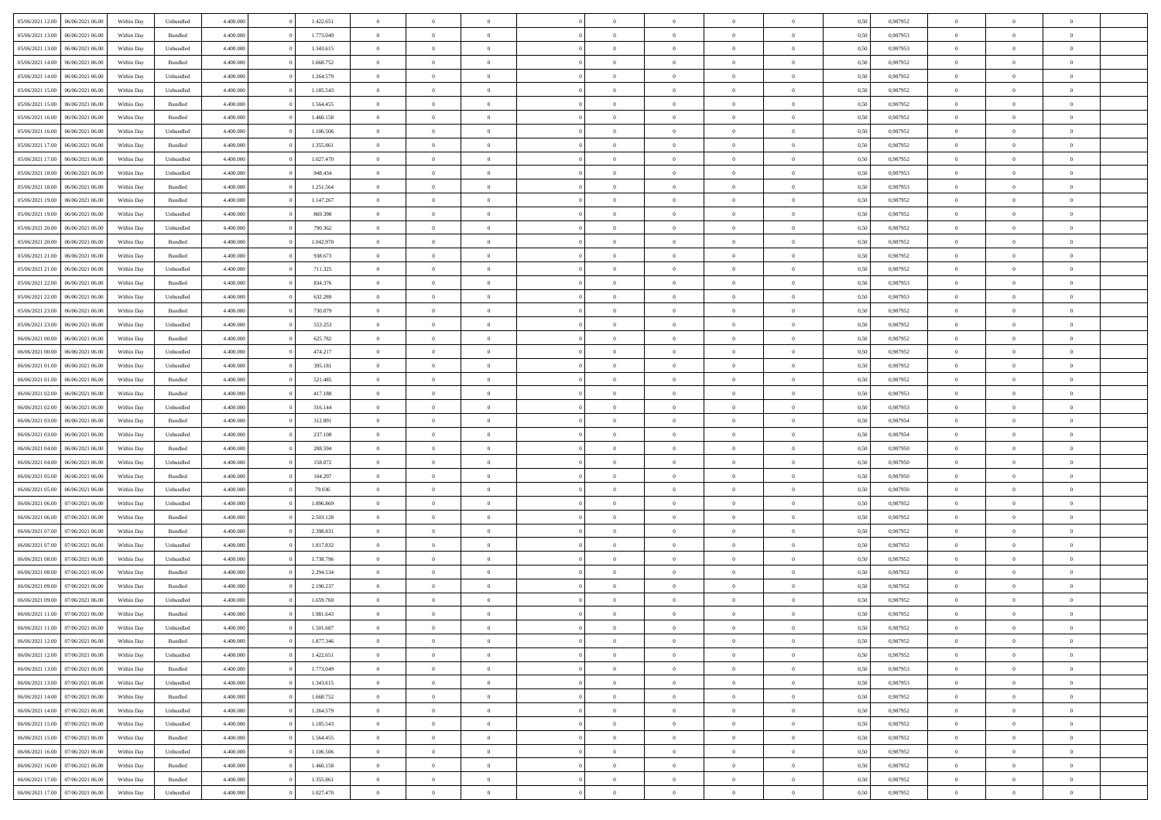| 05/06/2021 12:00                  | 06/06/2021 06:00 | Within Day | Unbundled | 4.400.000 | 1.422.651 | $\overline{0}$             | $\theta$       |                | $\overline{0}$ | $\bf{0}$       | $\overline{0}$ | $\theta$       | 0,50 | 0,987952 | $\theta$       | $\theta$       | $\sqrt{a}$               |  |
|-----------------------------------|------------------|------------|-----------|-----------|-----------|----------------------------|----------------|----------------|----------------|----------------|----------------|----------------|------|----------|----------------|----------------|--------------------------|--|
| 05/06/2021 13:00                  | 06/06/2021 06.00 | Within Day | Bundled   | 4.400.000 | 1.773.049 | $\overline{0}$             | $\overline{0}$ | $\overline{0}$ | $\overline{0}$ | $\,$ 0         | $\overline{0}$ | $\bf{0}$       | 0,50 | 0,987953 | $\,$ 0 $\,$    | $\overline{0}$ | $\overline{0}$           |  |
|                                   |                  |            |           |           |           |                            |                |                |                |                |                |                |      |          |                |                |                          |  |
| 05/06/2021 13:00                  | 06/06/2021 06:00 | Within Day | Unbundled | 4.400,000 | 1.343.615 | $\overline{0}$             | $\overline{0}$ | $\overline{0}$ | $\overline{0}$ | $\bf{0}$       | $\overline{0}$ | $\mathbf{0}$   | 0.50 | 0.987953 | $\bf{0}$       | $\overline{0}$ | $\overline{0}$           |  |
| 05/06/2021 14:00                  | 06/06/2021 06:00 | Within Day | Bundled   | 4.400.000 | 1.668.752 | $\overline{0}$             | $\overline{0}$ | $\overline{0}$ | $\overline{0}$ | $\,$ 0         | $\overline{0}$ | $\overline{0}$ | 0,50 | 0,987952 | $\,$ 0 $\,$    | $\overline{0}$ | $\overline{0}$           |  |
| 05/06/2021 14:00                  | 06/06/2021 06.00 | Within Day | Unbundled | 4.400.000 | 1.264.579 | $\overline{0}$             | $\theta$       | $\overline{0}$ |                | $\overline{0}$ | $\overline{0}$ | $\bf{0}$       | 0,50 | 0,987952 | $\,$ 0 $\,$    | $\overline{0}$ | $\overline{0}$           |  |
| 05/06/2021 15:00                  | 06/06/2021 06:00 | Within Day | Unbundled | 4.400,000 | 1.185.543 | $\overline{0}$             | $\overline{0}$ | $\overline{0}$ | $\overline{0}$ | $\bf{0}$       | $\overline{0}$ | $\overline{0}$ | 0.50 | 0.987952 | $\,0\,$        | $\theta$       | $\overline{0}$           |  |
| 05/06/2021 15:00                  | 06/06/2021 06:00 | Within Day | Bundled   | 4.400.000 | 1.564.455 | $\overline{0}$             | $\overline{0}$ | $\overline{0}$ | $\overline{0}$ | $\,$ 0         | $\overline{0}$ | $\overline{0}$ | 0,50 | 0,987952 | $\,$ 0 $\,$    | $\theta$       | $\overline{0}$           |  |
| 05/06/2021 16:00                  | 06/06/2021 06.00 | Within Day | Bundled   | 4.400.000 | 1.460.158 | $\overline{0}$             | $\theta$       | $\overline{0}$ | $\overline{0}$ | $\bf{0}$       | $\overline{0}$ | $\bf{0}$       | 0,50 | 0,987952 | $\,$ 0 $\,$    | $\overline{0}$ | $\overline{0}$           |  |
| 05/06/2021 16:00                  | 06/06/2021 06:00 | Within Day | Unbundled | 4.400,000 | 1.106.506 | $\overline{0}$             | $\overline{0}$ | $\overline{0}$ | $\overline{0}$ | $\bf{0}$       | $\overline{0}$ | $\bf{0}$       | 0.50 | 0.987952 | $\,0\,$        | $\overline{0}$ | $\overline{0}$           |  |
| 05/06/2021 17:00                  | 06/06/2021 06:00 | Within Day | Bundled   | 4.400.000 | 1.355.861 | $\overline{0}$             | $\overline{0}$ | $\overline{0}$ | $\overline{0}$ | $\,$ 0         | $\overline{0}$ | $\bf{0}$       | 0,50 | 0,987952 | $\,$ 0 $\,$    | $\overline{0}$ | $\overline{0}$           |  |
| 05/06/2021 17:00                  | 06/06/2021 06.00 | Within Day | Unbundled | 4.400.000 | 1.027.470 | $\overline{0}$             | $\theta$       | $\overline{0}$ | $\overline{0}$ | $\,$ 0         | $\overline{0}$ | $\bf{0}$       | 0,50 | 0,987952 | $\,$ 0 $\,$    | $\overline{0}$ | $\overline{0}$           |  |
| 05/06/2021 18:00                  | 06/06/2021 06:00 | Within Day | Unbundled | 4.400,000 | 948.434   | $\overline{0}$             | $\overline{0}$ | $\overline{0}$ | $\overline{0}$ | $\bf{0}$       | $\overline{0}$ | $\mathbf{0}$   | 0.50 | 0.987953 | $\bf{0}$       | $\overline{0}$ | $\overline{\phantom{a}}$ |  |
|                                   |                  |            |           |           |           |                            |                |                |                |                |                |                |      |          |                |                |                          |  |
| 05/06/2021 18:00                  | 06/06/2021 06:00 | Within Day | Bundled   | 4.400.000 | 1.251.564 | $\overline{0}$             | $\overline{0}$ | $\overline{0}$ | $\overline{0}$ | $\,$ 0         | $\overline{0}$ | $\overline{0}$ | 0,50 | 0,987953 | $\,$ 0 $\,$    | $\overline{0}$ | $\overline{0}$           |  |
| 05/06/2021 19:00                  | 06/06/2021 06.00 | Within Day | Bundled   | 4.400.000 | 1.147.267 | $\overline{0}$             | $\theta$       | $\overline{0}$ | $\overline{0}$ | $\overline{0}$ | $\overline{0}$ | $\bf{0}$       | 0,50 | 0,987952 | $\,$ 0 $\,$    | $\overline{0}$ | $\overline{0}$           |  |
| 05/06/2021 19:00                  | 06/06/2021 06:00 | Within Day | Unbundled | 4.400,000 | 869,398   | $\overline{0}$             | $\overline{0}$ | $\overline{0}$ | $\overline{0}$ | $\,$ 0         | $\overline{0}$ | $\bf{0}$       | 0.50 | 0.987952 | $\,0\,$        | $\theta$       | $\overline{0}$           |  |
| 05/06/2021 20:00                  | 06/06/2021 06:00 | Within Day | Unbundled | 4.400.000 | 790.362   | $\overline{0}$             | $\overline{0}$ | $\overline{0}$ | $\overline{0}$ | $\,$ 0         | $\overline{0}$ | $\bf{0}$       | 0,50 | 0,987952 | $\,$ 0 $\,$    | $\theta$       | $\overline{0}$           |  |
| 05/06/2021 20:00                  | 06/06/2021 06.00 | Within Day | Bundled   | 4.400.000 | 1.042.970 | $\overline{0}$             | $\theta$       | $\overline{0}$ |                | $\bf{0}$       | $\overline{0}$ | $\bf{0}$       | 0,50 | 0,987952 | $\,$ 0 $\,$    | $\overline{0}$ | $\overline{0}$           |  |
| 05/06/2021 21:00                  | 06/06/2021 06:00 | Within Day | Bundled   | 4.400,000 | 938.673   | $\overline{0}$             | $\overline{0}$ | $\overline{0}$ | $\overline{0}$ | $\bf{0}$       | $\overline{0}$ | $\bf{0}$       | 0.50 | 0.987952 | $\,0\,$        | $\overline{0}$ | $\overline{0}$           |  |
| 05/06/2021 21:00                  | 06/06/2021 06:00 | Within Day | Unbundled | 4.400.000 | 711.325   | $\overline{0}$             | $\overline{0}$ | $\overline{0}$ | $\overline{0}$ | $\,$ 0         | $\overline{0}$ | $\bf{0}$       | 0,50 | 0,987952 | $\,$ 0 $\,$    | $\overline{0}$ | $\overline{0}$           |  |
| 05/06/2021 22.00                  | 06/06/2021 06.00 | Within Day | Bundled   | 4.400.000 | 834.376   | $\overline{0}$             | $\theta$       | $\overline{0}$ | $\overline{0}$ | $\,$ 0         | $\bf{0}$       | $\bf{0}$       | 0,50 | 0,987953 | $\,$ 0 $\,$    | $\overline{0}$ | $\overline{0}$           |  |
| 05/06/2021 22:00                  | 06/06/2021 06:00 | Within Day | Unbundled | 4.400,000 | 632.289   | $\overline{0}$             | $\overline{0}$ | $\overline{0}$ | $\overline{0}$ | $\bf{0}$       | $\overline{0}$ | $\mathbf{0}$   | 0.50 | 0.987953 | $\bf{0}$       | $\overline{0}$ | $\overline{\phantom{a}}$ |  |
| 05/06/2021 23:00                  | 06/06/2021 06:00 | Within Day | Bundled   | 4.400.000 | 730.079   | $\overline{0}$             | $\overline{0}$ | $\overline{0}$ | $\overline{0}$ | $\bf{0}$       | $\overline{0}$ | $\overline{0}$ | 0,50 | 0,987952 | $\,$ 0 $\,$    | $\overline{0}$ | $\overline{0}$           |  |
| 05/06/2021 23:00                  | 06/06/2021 06.00 | Within Day | Unbundled | 4.400.000 | 553.253   | $\overline{0}$             | $\theta$       | $\overline{0}$ | $\overline{0}$ | $\bf{0}$       | $\overline{0}$ | $\bf{0}$       | 0,50 | 0,987952 | $\,$ 0 $\,$    | $\overline{0}$ | $\overline{0}$           |  |
|                                   |                  |            |           |           |           |                            |                |                |                |                |                |                |      |          |                |                |                          |  |
| 06/06/2021 00:00                  | 06/06/2021 06:00 | Within Day | Bundled   | 4.400,000 | 625.782   | $\overline{0}$             | $\overline{0}$ | $\overline{0}$ | $\overline{0}$ | $\bf{0}$       | $\overline{0}$ | $\bf{0}$       | 0.50 | 0.987952 | $\,0\,$        | $\theta$       | $\overline{0}$           |  |
| 06/06/2021 00:00                  | 06/06/2021 06:00 | Within Day | Unbundled | 4.400.000 | 474.217   | $\overline{0}$             | $\overline{0}$ | $\overline{0}$ | $\overline{0}$ | $\,$ 0         | $\overline{0}$ | $\overline{0}$ | 0,50 | 0,987952 | $\,0\,$        | $\theta$       | $\overline{0}$           |  |
| 06/06/2021 01:00                  | 06/06/2021 06.00 | Within Day | Unbundled | 4.400.000 | 395.181   | $\overline{0}$             | $\theta$       | $\overline{0}$ |                | $\bf{0}$       | $\overline{0}$ | $\bf{0}$       | 0,50 | 0,987952 | $\,$ 0 $\,$    | $\overline{0}$ | $\overline{0}$           |  |
| 06/06/2021 01:00                  | 06/06/2021 06:00 | Within Day | Bundled   | 4.400,000 | 521.485   | $\overline{0}$             | $\overline{0}$ | $\overline{0}$ | $\overline{0}$ | $\bf{0}$       | $\overline{0}$ | $\bf{0}$       | 0.50 | 0.987952 | $\,0\,$        | $\overline{0}$ | $\overline{0}$           |  |
| 06/06/2021 02:00                  | 06/06/2021 06:00 | Within Day | Bundled   | 4.400.000 | 417.188   | $\overline{0}$             | $\overline{0}$ | $\overline{0}$ | $\overline{0}$ | $\,$ 0         | $\overline{0}$ | $\bf{0}$       | 0,50 | 0,987953 | $\,$ 0 $\,$    | $\overline{0}$ | $\overline{0}$           |  |
| 06/06/2021 02:00                  | 06/06/2021 06.00 | Within Day | Unbundled | 4.400.000 | 316.144   | $\overline{0}$             | $\overline{0}$ | $\overline{0}$ | $\overline{0}$ | $\,$ 0         | $\bf{0}$       | $\bf{0}$       | 0,50 | 0,987953 | $\,$ 0 $\,$    | $\overline{0}$ | $\overline{0}$           |  |
| 06/06/2021 03:00                  | 06/06/2021 06:00 | Within Day | Bundled   | 4.400,000 | 312.891   | $\overline{0}$             | $\overline{0}$ | $\overline{0}$ | $\overline{0}$ | $\bf{0}$       | $\overline{0}$ | $\mathbf{0}$   | 0.50 | 0.987954 | $\bf{0}$       | $\overline{0}$ | $\overline{\phantom{a}}$ |  |
| 06/06/2021 03:00                  | 06/06/2021 06:00 | Within Dav | Unbundled | 4.400.000 | 237.108   | $\overline{0}$             | $\overline{0}$ | $\overline{0}$ | $\overline{0}$ | $\mathbf{0}$   | $\overline{0}$ | $\overline{0}$ | 0.50 | 0,987954 | $\theta$       | $\overline{0}$ | $\overline{0}$           |  |
| 06/06/2021 04:00                  | 06/06/2021 06.00 | Within Day | Bundled   | 4.400.000 | 208.594   | $\overline{0}$             | $\theta$       | $\overline{0}$ | $\overline{0}$ | $\bf{0}$       | $\overline{0}$ | $\bf{0}$       | 0,50 | 0,987950 | $\,$ 0 $\,$    | $\overline{0}$ | $\overline{0}$           |  |
| 06/06/2021 04:00                  | 06/06/2021 06:00 | Within Day | Unbundled | 4.400,000 | 158,072   | $\overline{0}$             | $\overline{0}$ | $\overline{0}$ | $\overline{0}$ | $\,$ 0         | $\overline{0}$ | $\bf{0}$       | 0.50 | 0.987950 | $\,0\,$        | $\theta$       | $\overline{0}$           |  |
| 06/06/2021 05:00                  | 06/06/2021 06:00 | Within Dav | Bundled   | 4.400.000 | 104.297   | $\overline{0}$             | $\overline{0}$ | $\Omega$       | $\overline{0}$ | $\bf{0}$       | $\overline{0}$ | $\overline{0}$ | 0.50 | 0,987950 | $\theta$       | $\overline{0}$ | $\overline{0}$           |  |
|                                   |                  |            |           |           |           |                            |                |                |                |                |                |                |      |          |                |                |                          |  |
| 06/06/2021 05:00                  | 06/06/2021 06.00 | Within Day | Unbundled | 4.400.000 | 79.036    | $\overline{0}$             | $\theta$       | $\overline{0}$ | $\overline{0}$ | $\,$ 0         | $\overline{0}$ | $\bf{0}$       | 0,50 | 0,987950 | $\,$ 0 $\,$    | $\overline{0}$ | $\overline{0}$           |  |
| 06/06/2021 06:00                  | 07/06/2021 06:00 | Within Day | Unbundled | 4.400,000 | 1.896.869 | $\overline{0}$             | $\overline{0}$ | $\overline{0}$ | $\overline{0}$ | $\bf{0}$       | $\overline{0}$ | $\bf{0}$       | 0.50 | 0.987952 | $\,0\,$        | $\overline{0}$ | $\overline{0}$           |  |
| 06/06/2021 06:00                  | 07/06/2021 06:00 | Within Dav | Bundled   | 4.400.000 | 2.503.128 | $\overline{0}$             | $\overline{0}$ | $\overline{0}$ | $\overline{0}$ | $\overline{0}$ | $\overline{0}$ | $\overline{0}$ | 0.50 | 0,987952 | $\theta$       | $\overline{0}$ | $\overline{0}$           |  |
| 06/06/2021 07:00                  | 07/06/2021 06.00 | Within Day | Bundled   | 4.400.000 | 2.398.831 | $\overline{0}$             | $\overline{0}$ | $\overline{0}$ | $\overline{0}$ | $\bf{0}$       | $\overline{0}$ | $\bf{0}$       | 0,50 | 0,987952 | $\,$ 0 $\,$    | $\overline{0}$ | $\overline{0}$           |  |
| 06/06/2021 07:00                  | 07/06/2021 06:00 | Within Day | Unbundled | 4.400,000 | 1.817.832 | $\overline{0}$             | $\overline{0}$ | $\overline{0}$ | $\overline{0}$ | $\bf{0}$       | $\overline{0}$ | $\mathbf{0}$   | 0.50 | 0.987952 | $\bf{0}$       | $\overline{0}$ | $\overline{0}$           |  |
| 06/06/2021 08:00                  | 07/06/2021 06:00 | Within Dav | Unbundled | 4.400.000 | 1.738.796 | $\overline{0}$             | $\overline{0}$ | $\Omega$       | $\overline{0}$ | $\mathbf{0}$   | $\overline{0}$ | $\overline{0}$ | 0.50 | 0,987952 | $\theta$       | $\overline{0}$ | $\overline{0}$           |  |
| 06/06/2021 08:00                  | 07/06/2021 06.00 | Within Day | Bundled   | 4.400.000 | 2.294.534 | $\overline{0}$             | $\theta$       | $\overline{0}$ | $\overline{0}$ | $\,$ 0         | $\overline{0}$ | $\bf{0}$       | 0,50 | 0,987952 | $\,$ 0 $\,$    | $\overline{0}$ | $\overline{0}$           |  |
| 06/06/2021 09:00                  | 07/06/2021 06:00 | Within Day | Bundled   | 4.400,000 | 2.190.237 | $\overline{0}$             | $\theta$       | $\overline{0}$ | $\overline{0}$ | $\overline{0}$ | $\Omega$       | $\overline{0}$ | 0.50 | 0,987952 | $\,0\,$        | $\theta$       | $\theta$                 |  |
| 06/06/2021 09:00                  | 07/06/2021 06:00 | Within Dav | Unbundled | 4.400.000 | 1.659.760 | $\overline{0}$             | $\Omega$       | $\Omega$       | $\Omega$       | $\bf{0}$       | $\overline{0}$ | $\bf{0}$       | 0.50 | 0,987952 | $\theta$       | $\theta$       | $\overline{0}$           |  |
| 06/06/2021 11:00                  | 07/06/2021 06:00 | Within Day | Bundled   | 4.400.000 | 1.981.643 | $\overline{0}$             | $\,$ 0 $\,$    | $\overline{0}$ | $\overline{0}$ | $\,$ 0         | $\overline{0}$ | $\bf{0}$       | 0,50 | 0,987952 | $\,$ 0 $\,$    | $\overline{0}$ | $\overline{0}$           |  |
| 06/06/2021 11:00                  | 07/06/2021 06:00 | Within Day | Unbundled | 4.400.000 | 1.501.687 |                            | $\theta$       |                |                |                |                |                | 0,50 | 0,987952 | $\bf{0}$       | $\theta$       |                          |  |
| 06/06/2021 12:00 07/06/2021 06:00 |                  | Within Day | Bundled   | 4.400.000 | 1.877.346 | $\bf{0}$<br>$\overline{0}$ | $\overline{0}$ | $\overline{0}$ | $\overline{0}$ | $\overline{0}$ | $\overline{0}$ | $\overline{0}$ | 0,50 | 0,987952 | $\theta$       | $\overline{0}$ | $\overline{0}$           |  |
|                                   |                  |            |           |           |           |                            |                |                |                |                |                |                |      |          |                |                |                          |  |
| 06/06/2021 12:00                  | 07/06/2021 06:00 | Within Day | Unbundled | 4.400.000 | 1.422.651 | $\overline{0}$             | $\overline{0}$ | $\overline{0}$ | $\overline{0}$ | $\overline{0}$ | $\overline{0}$ | $\bf{0}$       | 0,50 | 0,987952 | $\overline{0}$ | $\overline{0}$ | $\bf{0}$                 |  |
| 06/06/2021 13:00                  | 07/06/2021 06:00 | Within Day | Bundled   | 4.400.000 | 1.773.049 | $\overline{0}$             | $\overline{0}$ | $\overline{0}$ | $\overline{0}$ | $\overline{0}$ | $\overline{0}$ | $\mathbf{0}$   | 0.50 | 0.987953 | $\overline{0}$ | $\bf{0}$       | $\bf{0}$                 |  |
| 06/06/2021 13:00                  | 07/06/2021 06:00 | Within Day | Unbundled | 4.400.000 | 1.343.615 | $\overline{0}$             | $\overline{0}$ | $\overline{0}$ | $\overline{0}$ | $\overline{0}$ | $\overline{0}$ | $\overline{0}$ | 0,50 | 0,987953 | $\overline{0}$ | $\theta$       | $\overline{0}$           |  |
| 06/06/2021 14:00                  | 07/06/2021 06:00 | Within Day | Bundled   | 4.400.000 | 1.668.752 | $\overline{0}$             | $\overline{0}$ | $\overline{0}$ | $\overline{0}$ | $\bf{0}$       | $\bf{0}$       | $\bf{0}$       | 0,50 | 0,987952 | $\bf{0}$       | $\overline{0}$ | $\overline{0}$           |  |
| 06/06/2021 14:00                  | 07/06/2021 06:00 | Within Day | Unbundled | 4.400,000 | 1.264.579 | $\overline{0}$             | $\overline{0}$ | $\overline{0}$ | $\overline{0}$ | $\bf{0}$       | $\overline{0}$ | $\mathbf{0}$   | 0.50 | 0.987952 | $\,$ 0 $\,$    | $\overline{0}$ | $\overline{0}$           |  |
| 06/06/2021 15:00                  | 07/06/2021 06:00 | Within Day | Unbundled | 4.400.000 | 1.185.543 | $\overline{0}$             | $\overline{0}$ | $\overline{0}$ | $\overline{0}$ | $\overline{0}$ | $\overline{0}$ | $\overline{0}$ | 0,50 | 0,987952 | $\overline{0}$ | $\overline{0}$ | $\overline{0}$           |  |
| 06/06/2021 15:00                  | 07/06/2021 06:00 | Within Day | Bundled   | 4.400.000 | 1.564.455 | $\overline{0}$             | $\,$ 0         | $\overline{0}$ | $\bf{0}$       | $\overline{0}$ | $\overline{0}$ | $\bf{0}$       | 0,50 | 0,987952 | $\,$ 0 $\,$    | $\overline{0}$ | $\overline{0}$           |  |
| 06/06/2021 16:00                  | 07/06/2021 06:00 | Within Day | Unbundled | 4.400.000 | 1.106.506 | $\overline{0}$             | $\overline{0}$ | $\overline{0}$ | $\overline{0}$ | $\bf{0}$       | $\overline{0}$ | $\mathbf{0}$   | 0.50 | 0.987952 | $\mathbf{0}$   | $\bf{0}$       | $\overline{0}$           |  |
| 06/06/2021 16:00                  | 07/06/2021 06:00 | Within Dav | Bundled   | 4.400.000 | 1.460.158 | $\overline{0}$             | $\overline{0}$ | $\overline{0}$ | $\overline{0}$ | $\overline{0}$ | $\overline{0}$ | $\overline{0}$ | 0,50 | 0,987952 | $\overline{0}$ | $\overline{0}$ | $\overline{0}$           |  |
| 06/06/2021 17.00                  | 07/06/2021 06:00 | Within Day | Bundled   | 4.400.000 | 1.355.861 | $\overline{0}$             | $\bf{0}$       | $\overline{0}$ | $\bf{0}$       | $\bf{0}$       | $\bf{0}$       | $\bf{0}$       | 0,50 | 0,987952 | $\bf{0}$       | $\overline{0}$ | $\bf{0}$                 |  |
|                                   |                  |            |           |           |           |                            |                |                |                |                |                |                |      |          |                |                |                          |  |
| 06/06/2021 17:00 07/06/2021 06:00 |                  | Within Day | Unbundled | 4.400.000 | 1.027.470 | $\,$ 0 $\,$                | $\,$ 0 $\,$    | $\overline{0}$ | $\overline{0}$ | $\,$ 0 $\,$    | $\,$ 0 $\,$    | $\,$ 0 $\,$    | 0,50 | 0,987952 | $\mathbf{0}^-$ | $\,$ 0 $\,$    | $\,$ 0 $\,$              |  |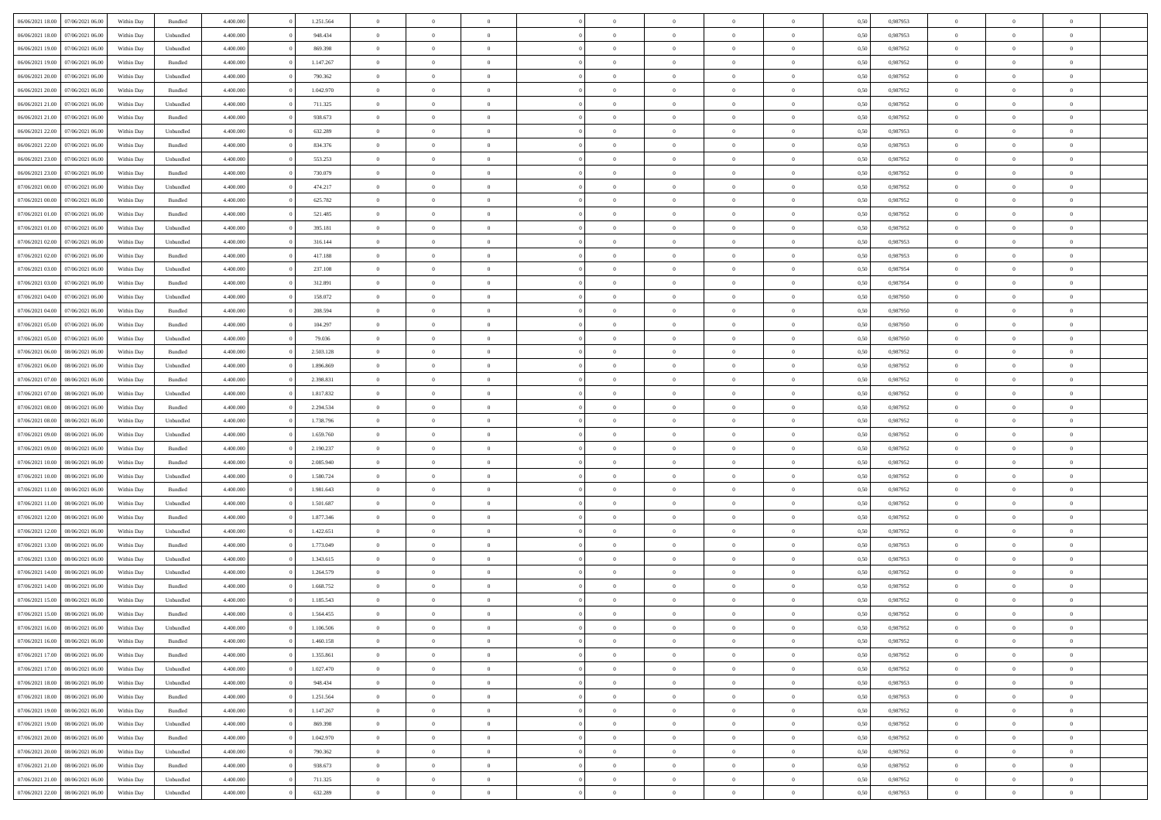| 06/06/2021 18:00 | 07/06/2021 06:00                  | Within Day | Bundled   | 4.400.000 | 1.251.564 | $\overline{0}$ | $\Omega$       |                | $\Omega$       | $\Omega$       | $\theta$       | $\theta$       | 0,50 | 0.987953 | $\theta$       | $\theta$       | $\theta$       |  |
|------------------|-----------------------------------|------------|-----------|-----------|-----------|----------------|----------------|----------------|----------------|----------------|----------------|----------------|------|----------|----------------|----------------|----------------|--|
| 06/06/2021 18:00 | 07/06/2021 06:00                  | Within Day | Unbundled | 4.400.000 | 948.434   | $\overline{0}$ | $\theta$       | $\overline{0}$ | $\overline{0}$ | $\bf{0}$       | $\overline{0}$ | $\bf{0}$       | 0,50 | 0,987953 | $\theta$       | $\overline{0}$ | $\overline{0}$ |  |
| 06/06/2021 19:00 | 07/06/2021 06:00                  | Within Day | Unbundled | 4.400.000 | 869.398   | $\overline{0}$ | $\overline{0}$ | $\overline{0}$ | $\bf{0}$       | $\bf{0}$       | $\bf{0}$       | $\mathbf{0}$   | 0,50 | 0,987952 | $\overline{0}$ | $\overline{0}$ | $\overline{0}$ |  |
| 06/06/2021 19:00 | 07/06/2021 06:00                  | Within Dav | Bundled   | 4.400.000 | 1.147.267 | $\overline{0}$ | $\overline{0}$ | $\overline{0}$ | $\overline{0}$ | $\bf{0}$       | $\overline{0}$ | $\overline{0}$ | 0.50 | 0,987952 | $\theta$       | $\theta$       | $\overline{0}$ |  |
| 06/06/2021 20:00 | 07/06/2021 06:00                  | Within Day | Unbundled | 4.400.000 | 790.362   | $\overline{0}$ | $\theta$       | $\overline{0}$ | $\overline{0}$ | $\bf{0}$       | $\overline{0}$ | $\bf{0}$       | 0,50 | 0,987952 | $\theta$       | $\overline{0}$ | $\overline{0}$ |  |
|                  |                                   |            |           |           |           |                |                |                |                |                |                |                |      |          |                |                |                |  |
| 06/06/2021 20:00 | 07/06/2021 06:00                  | Within Day | Bundled   | 4.400.000 | 1.042.970 | $\overline{0}$ | $\overline{0}$ | $\overline{0}$ | $\bf{0}$       | $\overline{0}$ | $\overline{0}$ | $\mathbf{0}$   | 0,50 | 0,987952 | $\overline{0}$ | $\overline{0}$ | $\bf{0}$       |  |
| 06/06/2021 21:00 | 07/06/2021 06:00                  | Within Dav | Unbundled | 4.400.000 | 711.325   | $\overline{0}$ | $\overline{0}$ | $\overline{0}$ | $\overline{0}$ | $\overline{0}$ | $\overline{0}$ | $\overline{0}$ | 0.50 | 0,987952 | $\theta$       | $\overline{0}$ | $\overline{0}$ |  |
| 06/06/2021 21:00 | 07/06/2021 06:00                  | Within Day | Bundled   | 4.400.000 | 938.673   | $\overline{0}$ | $\theta$       | $\overline{0}$ | $\overline{0}$ | $\bf{0}$       | $\overline{0}$ | $\bf{0}$       | 0,50 | 0,987952 | $\theta$       | $\theta$       | $\overline{0}$ |  |
| 06/06/2021 22.00 | 07/06/2021 06:00                  | Within Day | Unbundled | 4.400.000 | 632.289   | $\overline{0}$ | $\overline{0}$ | $\overline{0}$ | $\bf{0}$       | $\bf{0}$       | $\bf{0}$       | $\mathbf{0}$   | 0,50 | 0,987953 | $\,0\,$        | $\overline{0}$ | $\overline{0}$ |  |
| 06/06/2021 22:00 | 07/06/2021 06:00                  | Within Dav | Bundled   | 4.400.000 | 834.376   | $\overline{0}$ | $\overline{0}$ | $\overline{0}$ | $\overline{0}$ | $\overline{0}$ | $\overline{0}$ | $\overline{0}$ | 0.50 | 0,987953 | $\theta$       | $\overline{0}$ | $\overline{0}$ |  |
| 06/06/2021 23:00 | 07/06/2021 06:00                  | Within Day | Unbundled | 4.400.000 | 553.253   | $\overline{0}$ | $\theta$       | $\overline{0}$ | $\overline{0}$ | $\bf{0}$       | $\overline{0}$ | $\bf{0}$       | 0,50 | 0,987952 | $\,$ 0 $\,$    | $\overline{0}$ | $\overline{0}$ |  |
| 06/06/2021 23.00 | 07/06/2021 06:00                  | Within Day | Bundled   | 4.400.000 | 730.079   | $\overline{0}$ | $\overline{0}$ | $\overline{0}$ | $\overline{0}$ | $\bf{0}$       | $\overline{0}$ | $\mathbf{0}$   | 0,50 | 0,987952 | $\overline{0}$ | $\overline{0}$ | $\bf{0}$       |  |
|                  |                                   |            |           |           |           |                |                |                |                |                |                |                |      |          |                |                |                |  |
| 07/06/2021 00:00 | 07/06/2021 06:00                  | Within Day | Unbundled | 4.400.000 | 474.217   | $\overline{0}$ | $\overline{0}$ | $\overline{0}$ | $\overline{0}$ | $\bf{0}$       | $\overline{0}$ | $\overline{0}$ | 0.50 | 0,987952 | $\theta$       | $\theta$       | $\overline{0}$ |  |
| 07/06/2021 00:00 | 07/06/2021 06.00                  | Within Day | Bundled   | 4.400.000 | 625.782   | $\overline{0}$ | $\theta$       | $\overline{0}$ | $\overline{0}$ | $\bf{0}$       | $\overline{0}$ | $\bf{0}$       | 0,50 | 0,987952 | $\theta$       | $\overline{0}$ | $\overline{0}$ |  |
| 07/06/2021 01:00 | 07/06/2021 06:00                  | Within Day | Bundled   | 4.400.000 | 521.485   | $\overline{0}$ | $\overline{0}$ | $\overline{0}$ | $\overline{0}$ | $\overline{0}$ | $\overline{0}$ | $\mathbf{0}$   | 0,50 | 0,987952 | $\overline{0}$ | $\overline{0}$ | $\bf{0}$       |  |
| 07/06/2021 01:00 | 07/06/2021 06:00                  | Within Dav | Unbundled | 4.400.000 | 395.181   | $\overline{0}$ | $\overline{0}$ | $\overline{0}$ | $\overline{0}$ | $\overline{0}$ | $\overline{0}$ | $\overline{0}$ | 0.50 | 0,987952 | $\theta$       | $\overline{0}$ | $\overline{0}$ |  |
| 07/06/2021 02:00 | 07/06/2021 06:00                  | Within Day | Unbundled | 4.400.000 | 316.144   | $\overline{0}$ | $\theta$       | $\overline{0}$ | $\overline{0}$ | $\bf{0}$       | $\overline{0}$ | $\bf{0}$       | 0,50 | 0,987953 | $\theta$       | $\overline{0}$ | $\overline{0}$ |  |
| 07/06/2021 02.00 | 07/06/2021 06:00                  | Within Day | Bundled   | 4.400.000 | 417.188   | $\overline{0}$ | $\overline{0}$ | $\overline{0}$ | $\overline{0}$ | $\bf{0}$       | $\overline{0}$ | $\mathbf{0}$   | 0,50 | 0,987953 | $\,0\,$        | $\overline{0}$ | $\bf{0}$       |  |
| 07/06/2021 03:00 | 07/06/2021 06:00                  | Within Day | Unbundled | 4.400.000 | 237.108   | $\overline{0}$ | $\overline{0}$ | $\overline{0}$ | $\overline{0}$ | $\overline{0}$ | $\overline{0}$ | $\overline{0}$ | 0.50 | 0,987954 | $\theta$       | $\overline{0}$ | $\overline{0}$ |  |
|                  |                                   |            |           |           |           | $\overline{0}$ | $\theta$       | $\overline{0}$ |                | $\bf{0}$       | $\overline{0}$ |                |      |          |                |                | $\overline{0}$ |  |
| 07/06/2021 03:00 | 07/06/2021 06:00                  | Within Day | Bundled   | 4.400.000 | 312.891   |                |                |                | $\overline{0}$ |                |                | $\bf{0}$       | 0,50 | 0,987954 | $\,$ 0 $\,$    | $\overline{0}$ |                |  |
| 07/06/2021 04:00 | 07/06/2021 06:00                  | Within Day | Unbundled | 4.400.000 | 158.072   | $\overline{0}$ | $\overline{0}$ | $\overline{0}$ | $\overline{0}$ | $\bf{0}$       | $\overline{0}$ | $\mathbf{0}$   | 0,50 | 0,987950 | $\bf{0}$       | $\overline{0}$ | $\bf{0}$       |  |
| 07/06/2021 04:00 | 07/06/2021 06:00                  | Within Day | Bundled   | 4.400.000 | 208,594   | $\overline{0}$ | $\overline{0}$ | $\overline{0}$ | $\overline{0}$ | $\overline{0}$ | $\overline{0}$ | $\overline{0}$ | 0.50 | 0,987950 | $\theta$       | $\overline{0}$ | $\overline{0}$ |  |
| 07/06/2021 05:00 | 07/06/2021 06:00                  | Within Day | Bundled   | 4.400.000 | 104.297   | $\overline{0}$ | $\theta$       | $\overline{0}$ | $\overline{0}$ | $\bf{0}$       | $\overline{0}$ | $\bf{0}$       | 0,50 | 0,987950 | $\,$ 0 $\,$    | $\overline{0}$ | $\overline{0}$ |  |
| 07/06/2021 05:00 | 07/06/2021 06:00                  | Within Day | Unbundled | 4.400.000 | 79.036    | $\overline{0}$ | $\overline{0}$ | $\overline{0}$ | $\overline{0}$ | $\overline{0}$ | $\overline{0}$ | $\mathbf{0}$   | 0,50 | 0,987950 | $\overline{0}$ | $\overline{0}$ | $\bf{0}$       |  |
| 07/06/2021 06:00 | 08/06/2021 06:00                  | Within Dav | Bundled   | 4.400.000 | 2.503.128 | $\overline{0}$ | $\overline{0}$ | $\overline{0}$ | $\overline{0}$ | $\overline{0}$ | $\overline{0}$ | $\overline{0}$ | 0.50 | 0,987952 | $\theta$       | $\overline{0}$ | $\overline{0}$ |  |
| 07/06/2021 06:00 | 08/06/2021 06:00                  | Within Day | Unbundled | 4.400.000 | 1.896.869 | $\overline{0}$ | $\theta$       | $\overline{0}$ | $\overline{0}$ | $\bf{0}$       | $\overline{0}$ | $\bf{0}$       | 0,50 | 0,987952 | $\theta$       | $\overline{0}$ | $\overline{0}$ |  |
| 07/06/2021 07:00 | 08/06/2021 06:00                  | Within Day | Bundled   | 4.400.000 | 2.398.831 | $\overline{0}$ | $\overline{0}$ | $\overline{0}$ | $\overline{0}$ | $\bf{0}$       | $\overline{0}$ | $\bf{0}$       | 0,50 | 0,987952 | $\,0\,$        | $\overline{0}$ | $\overline{0}$ |  |
|                  |                                   |            |           |           |           |                |                |                |                |                |                |                |      |          |                |                |                |  |
| 07/06/2021 07:00 | 08/06/2021 06:00                  | Within Day | Unbundled | 4.400.000 | 1.817.832 | $\overline{0}$ | $\overline{0}$ | $\overline{0}$ | $\overline{0}$ | $\overline{0}$ | $\overline{0}$ | $\overline{0}$ | 0.50 | 0,987952 | $\theta$       | $\overline{0}$ | $\overline{0}$ |  |
| 07/06/2021 08:00 | 08/06/2021 06:00                  | Within Day | Bundled   | 4.400.000 | 2.294.534 | $\overline{0}$ | $\theta$       | $\overline{0}$ | $\overline{0}$ | $\bf{0}$       | $\overline{0}$ | $\bf{0}$       | 0,50 | 0,987952 | $\,$ 0 $\,$    | $\overline{0}$ | $\overline{0}$ |  |
| 07/06/2021 08:00 | 08/06/2021 06:00                  | Within Day | Unbundled | 4.400.000 | 1.738.796 | $\overline{0}$ | $\overline{0}$ | $\overline{0}$ | $\overline{0}$ | $\bf{0}$       | $\overline{0}$ | $\bf{0}$       | 0,50 | 0,987952 | $\bf{0}$       | $\overline{0}$ | $\bf{0}$       |  |
| 07/06/2021 09:00 | 08/06/2021 06:00                  | Within Day | Unbundled | 4.400,000 | 1.659.760 | $\bf{0}$       | $\Omega$       | $\overline{0}$ | $\Omega$       | $\Omega$       | $\overline{0}$ | $\overline{0}$ | 0,50 | 0,987952 | $\,0\,$        | $\theta$       | $\theta$       |  |
| 07/06/2021 09:00 | 08/06/2021 06:00                  | Within Day | Bundled   | 4.400.000 | 2.190.237 | $\overline{0}$ | $\theta$       | $\overline{0}$ | $\overline{0}$ | $\bf{0}$       | $\overline{0}$ | $\bf{0}$       | 0,50 | 0,987952 | $\,$ 0 $\,$    | $\overline{0}$ | $\overline{0}$ |  |
| 07/06/2021 10:00 | 08/06/2021 06:00                  | Within Day | Bundled   | 4.400.000 | 2.085.940 | $\overline{0}$ | $\overline{0}$ | $\overline{0}$ | $\overline{0}$ | $\overline{0}$ | $\overline{0}$ | $\mathbf{0}$   | 0,50 | 0,987952 | $\bf{0}$       | $\overline{0}$ | $\bf{0}$       |  |
| 07/06/2021 10:00 | 08/06/2021 06:00                  | Within Day | Unbundled | 4.400,000 | 1.580.724 | $\overline{0}$ | $\Omega$       | $\Omega$       | $\Omega$       | $\overline{0}$ | $\overline{0}$ | $\overline{0}$ | 0.50 | 0,987952 | $\,0\,$        | $\theta$       | $\theta$       |  |
| 07/06/2021 11:00 | 08/06/2021 06:00                  | Within Day | Bundled   | 4.400.000 | 1.981.643 | $\overline{0}$ | $\theta$       | $\overline{0}$ | $\overline{0}$ | $\bf{0}$       | $\overline{0}$ | $\bf{0}$       | 0,50 | 0,987952 | $\,$ 0 $\,$    | $\overline{0}$ | $\overline{0}$ |  |
|                  |                                   |            |           |           |           |                |                |                |                |                |                |                |      |          |                |                |                |  |
| 07/06/2021 11:00 | 08/06/2021 06:00                  | Within Day | Unbundled | 4.400.000 | 1.501.687 | $\overline{0}$ | $\overline{0}$ | $\overline{0}$ | $\overline{0}$ | $\bf{0}$       | $\overline{0}$ | $\mathbf{0}$   | 0,50 | 0,987952 | $\bf{0}$       | $\overline{0}$ | $\bf{0}$       |  |
| 07/06/2021 12:00 | 08/06/2021 06:00                  | Within Day | Bundled   | 4.400,000 | 1.877.346 | $\overline{0}$ | $\Omega$       | $\overline{0}$ | $\Omega$       | $\overline{0}$ | $\overline{0}$ | $\overline{0}$ | 0.50 | 0.987952 | $\,$ 0 $\,$    | $\theta$       | $\theta$       |  |
| 07/06/2021 12:00 | 08/06/2021 06:00                  | Within Day | Unbundled | 4.400.000 | 1.422.651 | $\overline{0}$ | $\overline{0}$ | $\overline{0}$ | $\overline{0}$ | $\,$ 0         | $\overline{0}$ | $\bf{0}$       | 0,50 | 0,987952 | $\,$ 0 $\,$    | $\overline{0}$ | $\overline{0}$ |  |
| 07/06/2021 13:00 | 08/06/2021 06:00                  | Within Day | Bundled   | 4.400.000 | 1.773.049 | $\overline{0}$ | $\overline{0}$ | $\overline{0}$ | $\bf{0}$       | $\bf{0}$       | $\bf{0}$       | $\mathbf{0}$   | 0,50 | 0,987953 | $\bf{0}$       | $\overline{0}$ | $\bf{0}$       |  |
| 07/06/2021 13:00 | 08/06/2021 06:00                  | Within Day | Unbundled | 4.400,000 | 1.343.615 | $\overline{0}$ | $\Omega$       | $\overline{0}$ | $\Omega$       | $\overline{0}$ | $\overline{0}$ | $\overline{0}$ | 0.50 | 0,987953 | $\,0\,$        | $\theta$       | $\theta$       |  |
| 07/06/2021 14:00 | 08/06/2021 06:00                  | Within Day | Unbundled | 4.400.000 | 1.264.579 | $\overline{0}$ | $\overline{0}$ | $\overline{0}$ | $\overline{0}$ | $\,$ 0         | $\overline{0}$ | $\bf{0}$       | 0,50 | 0,987952 | $\,$ 0 $\,$    | $\overline{0}$ | $\overline{0}$ |  |
| 07/06/2021 14:00 | 08/06/2021 06:00                  | Within Day | Bundled   | 4.400.000 | 1.668.752 | $\overline{0}$ | $\overline{0}$ | $\overline{0}$ | $\bf{0}$       | $\bf{0}$       | $\overline{0}$ | $\mathbf{0}$   | 0,50 | 0,987952 | $\bf{0}$       | $\overline{0}$ | $\bf{0}$       |  |
| 07/06/2021 15:00 | 08/06/2021 06:00                  | Within Day | Unbundled | 4.400,000 | 1.185.543 | $\overline{0}$ | $\Omega$       | $\Omega$       | $\Omega$       | $\Omega$       | $\Omega$       | $\overline{0}$ | 0.50 | 0.987952 | $\theta$       | $\theta$       | $\theta$       |  |
| 07/06/2021 15:00 | 08/06/2021 06:00                  | Within Day | Bundled   | 4.400.000 | 1.564.455 | $\overline{0}$ | $\overline{0}$ | $\overline{0}$ | $\bf{0}$       | $\,$ 0         | $\bf{0}$       | $\bf{0}$       | 0,50 | 0,987952 | $\,0\,$        | $\,$ 0 $\,$    | $\overline{0}$ |  |
|                  |                                   |            |           |           |           |                |                |                |                |                |                |                |      |          |                |                |                |  |
|                  | 07/06/2021 16:00 08/06/2021 06:00 | Within Day | Unbundled | 4.400.000 | 1.106.506 | $\overline{0}$ | $\bf{0}$       |                |                | $\bf{0}$       |                |                | 0,50 | 0,987952 | $\bf{0}$       | $\overline{0}$ |                |  |
| 07/06/2021 16:00 | 08/06/2021 06:00                  | Within Day | Bundled   | 4.400.000 | 1.460.158 | $\overline{0}$ | $\overline{0}$ | $\overline{0}$ | $\Omega$       | $\overline{0}$ | $\overline{0}$ | $\overline{0}$ | 0.50 | 0.987952 | $\theta$       | $\theta$       | $\theta$       |  |
| 07/06/2021 17:00 | 08/06/2021 06:00                  | Within Day | Bundled   | 4.400.000 | 1.355.861 | $\overline{0}$ | $\,$ 0         | $\overline{0}$ | $\bf{0}$       | $\,$ 0 $\,$    | $\overline{0}$ | $\,$ 0 $\,$    | 0,50 | 0,987952 | $\,$ 0 $\,$    | $\,$ 0 $\,$    | $\,$ 0         |  |
| 07/06/2021 17:00 | 08/06/2021 06:00                  | Within Day | Unbundled | 4.400.000 | 1.027.470 | $\overline{0}$ | $\overline{0}$ | $\overline{0}$ | $\overline{0}$ | $\overline{0}$ | $\overline{0}$ | $\mathbf{0}$   | 0,50 | 0,987952 | $\overline{0}$ | $\bf{0}$       | $\bf{0}$       |  |
| 07/06/2021 18:00 | 08/06/2021 06:00                  | Within Day | Unbundled | 4.400,000 | 948.434   | $\overline{0}$ | $\overline{0}$ | $\overline{0}$ | $\Omega$       | $\overline{0}$ | $\overline{0}$ | $\overline{0}$ | 0,50 | 0,987953 | $\overline{0}$ | $\theta$       | $\overline{0}$ |  |
| 07/06/2021 18:00 | 08/06/2021 06:00                  | Within Day | Bundled   | 4.400.000 | 1.251.564 | $\overline{0}$ | $\,$ 0         | $\overline{0}$ | $\overline{0}$ | $\,$ 0 $\,$    | $\overline{0}$ | $\mathbf{0}$   | 0,50 | 0,987953 | $\,$ 0 $\,$    | $\overline{0}$ | $\overline{0}$ |  |
| 07/06/2021 19:00 | 08/06/2021 06:00                  | Within Day | Bundled   | 4.400.000 | 1.147.267 | $\overline{0}$ | $\overline{0}$ | $\overline{0}$ | $\overline{0}$ | $\overline{0}$ | $\overline{0}$ | $\mathbf{0}$   | 0,50 | 0,987952 | $\overline{0}$ | $\overline{0}$ | $\bf{0}$       |  |
|                  |                                   |            |           |           |           |                |                |                |                |                |                |                |      |          |                |                |                |  |
| 07/06/2021 19:00 | 08/06/2021 06:00                  | Within Day | Unbundled | 4.400.000 | 869,398   | $\overline{0}$ | $\overline{0}$ | $\overline{0}$ | $\overline{0}$ | $\overline{0}$ | $\overline{0}$ | $\bf{0}$       | 0.50 | 0,987952 | $\overline{0}$ | $\theta$       | $\overline{0}$ |  |
| 07/06/2021 20:00 | 08/06/2021 06:00                  | Within Day | Bundled   | 4.400.000 | 1.042.970 | $\overline{0}$ | $\,$ 0         | $\overline{0}$ | $\overline{0}$ | $\bf{0}$       | $\overline{0}$ | $\bf{0}$       | 0,50 | 0,987952 | $\,$ 0 $\,$    | $\overline{0}$ | $\overline{0}$ |  |
| 07/06/2021 20.00 | 08/06/2021 06:00                  | Within Day | Unbundled | 4.400.000 | 790.362   | $\overline{0}$ | $\bf{0}$       | $\overline{0}$ | $\overline{0}$ | $\overline{0}$ | $\overline{0}$ | $\mathbf{0}$   | 0,50 | 0,987952 | $\overline{0}$ | $\overline{0}$ | $\bf{0}$       |  |
| 07/06/2021 21:00 | 08/06/2021 06:00                  | Within Day | Bundled   | 4.400,000 | 938.673   | $\overline{0}$ | $\overline{0}$ | $\overline{0}$ | $\Omega$       | $\overline{0}$ | $\overline{0}$ | $\overline{0}$ | 0.50 | 0,987952 | $\overline{0}$ | $\overline{0}$ | $\overline{0}$ |  |
| 07/06/2021 21:00 | 08/06/2021 06:00                  | Within Day | Unbundled | 4.400.000 | 711.325   | $\overline{0}$ | $\bf{0}$       | $\overline{0}$ | $\overline{0}$ | $\bf{0}$       | $\overline{0}$ | $\mathbf{0}$   | 0,50 | 0,987952 | $\,$ 0 $\,$    | $\,$ 0 $\,$    | $\bf{0}$       |  |
| 07/06/2021 22.00 | 08/06/2021 06:00                  | Within Day | Unbundled | 4.400.000 | 632.289   | $\overline{0}$ | $\bf{0}$       | $\overline{0}$ | $\overline{0}$ | $\bf{0}$       | $\overline{0}$ | $\bf{0}$       | 0,50 | 0,987953 | $\overline{0}$ | $\overline{0}$ | $\bf{0}$       |  |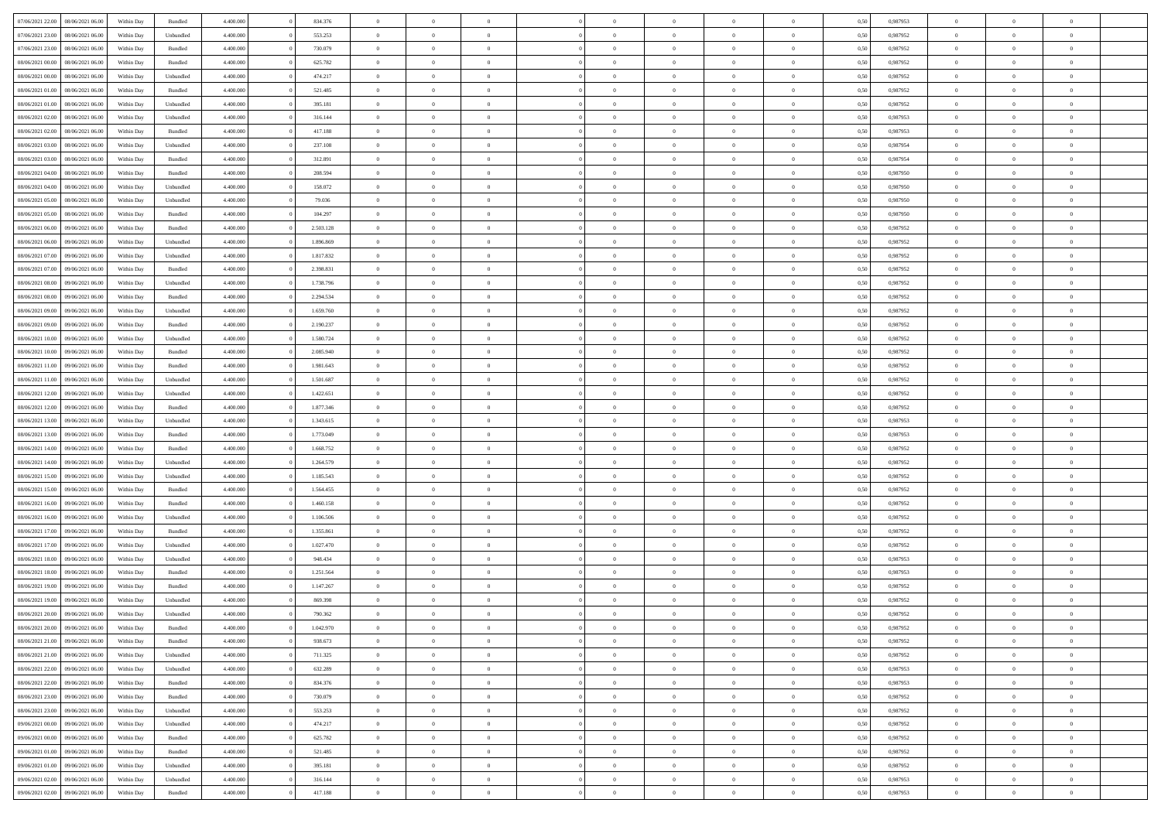| 07/06/2021 22:00 08/06/2021 06:00    | Within Day | Bundled   | 4.400.000 | 834.376   | $\overline{0}$ | $\overline{0}$ | $\Omega$       | $\Omega$       | $\theta$       | $\Omega$       | $\overline{0}$ | 0,50 | 0,987953 | $\theta$       | $\theta$       | $\theta$       |  |
|--------------------------------------|------------|-----------|-----------|-----------|----------------|----------------|----------------|----------------|----------------|----------------|----------------|------|----------|----------------|----------------|----------------|--|
| 07/06/2021 23:00<br>08/06/2021 06:00 | Within Day | Unbundled | 4.400.000 | 553.253   | $\overline{0}$ | $\overline{0}$ | $\overline{0}$ | $\overline{0}$ | $\theta$       | $\overline{0}$ | $\bf{0}$       | 0,50 | 0,987952 | $\theta$       | $\theta$       | $\overline{0}$ |  |
| 07/06/2021 23:00<br>08/06/2021 06:00 | Within Day | Bundled   | 4.400.000 | 730.079   | $\overline{0}$ | $\bf{0}$       | $\overline{0}$ | $\overline{0}$ | $\overline{0}$ | $\overline{0}$ | $\bf{0}$       | 0,50 | 0,987952 | $\bf{0}$       | $\overline{0}$ | $\overline{0}$ |  |
| 08/06/2021 00:00<br>08/06/2021 06:00 | Within Day | Bundled   | 4.400.000 | 625.782   | $\overline{0}$ | $\overline{0}$ | $\overline{0}$ | $\overline{0}$ | $\theta$       | $\overline{0}$ | $\overline{0}$ | 0.50 | 0,987952 | $\theta$       | $\theta$       | $\overline{0}$ |  |
| 08/06/2021 00:00<br>08/06/2021 06:00 | Within Day | Unbundled | 4.400.000 | 474.217   | $\overline{0}$ | $\overline{0}$ | $\overline{0}$ | $\overline{0}$ | $\theta$       | $\overline{0}$ | $\bf{0}$       | 0,50 | 0,987952 | $\theta$       | $\theta$       | $\overline{0}$ |  |
| 08/06/2021 01:00<br>08/06/2021 06:00 | Within Day | Bundled   | 4.400.000 | 521.485   | $\overline{0}$ | $\bf{0}$       | $\overline{0}$ | $\overline{0}$ | $\overline{0}$ | $\overline{0}$ | $\bf{0}$       | 0,50 | 0,987952 | $\bf{0}$       | $\overline{0}$ | $\bf{0}$       |  |
| 08/06/2021 01:00<br>08/06/2021 06:00 | Within Day | Unbundled | 4.400.000 | 395.181   | $\overline{0}$ | $\overline{0}$ | $\overline{0}$ | $\overline{0}$ | $\overline{0}$ | $\overline{0}$ | $\overline{0}$ | 0.5( | 0,987952 | $\theta$       | $\theta$       | $\overline{0}$ |  |
|                                      |            |           |           |           |                |                |                |                |                |                |                |      |          |                |                |                |  |
| 08/06/2021 02:00<br>08/06/2021 06:00 | Within Day | Unbundled | 4.400.000 | 316.144   | $\bf{0}$       | $\theta$       | $\overline{0}$ | $\overline{0}$ | $\theta$       | $\overline{0}$ | $\bf{0}$       | 0,50 | 0,987953 | $\theta$       | $\theta$       | $\overline{0}$ |  |
| 08/06/2021 02:00<br>08/06/2021 06:00 | Within Day | Bundled   | 4.400.000 | 417.188   | $\overline{0}$ | $\bf{0}$       | $\overline{0}$ | $\overline{0}$ | $\overline{0}$ | $\overline{0}$ | $\bf{0}$       | 0,50 | 0,987953 | $\bf{0}$       | $\bf{0}$       | $\overline{0}$ |  |
| 08/06/2021 03:00<br>08/06/2021 06:00 | Within Day | Unbundled | 4.400.000 | 237.108   | $\overline{0}$ | $\overline{0}$ | $\overline{0}$ | $\overline{0}$ | $\overline{0}$ | $\overline{0}$ | $\overline{0}$ | 0.50 | 0,987954 | $\theta$       | $\theta$       | $\overline{0}$ |  |
| 08/06/2021 03:00<br>08/06/2021 06:00 | Within Day | Bundled   | 4.400.000 | 312.891   | $\bf{0}$       | $\overline{0}$ | $\overline{0}$ | $\overline{0}$ | $\theta$       | $\overline{0}$ | $\bf{0}$       | 0,50 | 0,987954 | $\theta$       | $\theta$       | $\overline{0}$ |  |
| 08/06/2021 04:00<br>08/06/2021 06:00 | Within Day | Bundled   | 4.400.000 | 208.594   | $\overline{0}$ | $\bf{0}$       | $\overline{0}$ | $\overline{0}$ | $\bf{0}$       | $\overline{0}$ | $\bf{0}$       | 0,50 | 0,987950 | $\bf{0}$       | $\overline{0}$ | $\overline{0}$ |  |
| 08/06/2021 04:00<br>08/06/2021 06:00 | Within Day | Unbundled | 4.400.000 | 158.072   | $\overline{0}$ | $\overline{0}$ | $\overline{0}$ | $\overline{0}$ | $\overline{0}$ | $\overline{0}$ | $\overline{0}$ | 0.5( | 0.987950 | $\theta$       | $\theta$       | $\overline{0}$ |  |
| 08/06/2021 05:00<br>08/06/2021 06:00 | Within Day | Unbundled | 4.400.000 | 79.036    | $\overline{0}$ | $\overline{0}$ | $\overline{0}$ | $\overline{0}$ | $\theta$       | $\overline{0}$ | $\bf{0}$       | 0,50 | 0,987950 | $\theta$       | $\theta$       | $\overline{0}$ |  |
| 08/06/2021 05:00<br>08/06/2021 06:00 | Within Day | Bundled   | 4.400.000 | 104.297   | $\overline{0}$ | $\bf{0}$       | $\overline{0}$ | $\overline{0}$ | $\overline{0}$ | $\overline{0}$ | $\bf{0}$       | 0,50 | 0,987950 | $\bf{0}$       | $\overline{0}$ | $\bf{0}$       |  |
| 08/06/2021 06:00<br>09/06/2021 06:00 | Within Day | Bundled   | 4.400.000 | 2.503.128 | $\overline{0}$ | $\overline{0}$ | $\overline{0}$ | $\overline{0}$ | $\overline{0}$ | $\overline{0}$ | $\overline{0}$ | 0.5( | 0,987952 | $\theta$       | $\theta$       | $\overline{0}$ |  |
| 08/06/2021 06:00<br>09/06/2021 06:00 | Within Day | Unbundled | 4.400.000 | 1.896.869 | $\bf{0}$       | $\overline{0}$ | $\overline{0}$ | $\overline{0}$ | $\theta$       | $\overline{0}$ | $\bf{0}$       | 0,50 | 0,987952 | $\theta$       | $\theta$       | $\overline{0}$ |  |
| 08/06/2021 07:00<br>09/06/2021 06:00 | Within Day | Unbundled | 4.400.000 | 1.817.832 | $\overline{0}$ | $\bf{0}$       | $\overline{0}$ | $\overline{0}$ | $\overline{0}$ | $\overline{0}$ | $\bf{0}$       | 0,50 | 0,987952 | $\bf{0}$       | $\overline{0}$ | $\overline{0}$ |  |
| 08/06/2021 07:00<br>09/06/2021 06:00 | Within Day | Bundled   | 4.400.000 | 2.398.831 | $\overline{0}$ | $\overline{0}$ | $\overline{0}$ | $\overline{0}$ | $\overline{0}$ | $\overline{0}$ | $\overline{0}$ | 0.50 | 0,987952 | $\theta$       | $\theta$       | $\overline{0}$ |  |
| 08/06/2021 08:00<br>09/06/2021 06:00 | Within Day | Unbundled | 4.400.000 | 1.738.796 | $\bf{0}$       | $\overline{0}$ | $\overline{0}$ | $\overline{0}$ | $\theta$       | $\overline{0}$ | $\bf{0}$       | 0,50 | 0,987952 | $\theta$       | $\theta$       | $\overline{0}$ |  |
| 08/06/2021 08:00<br>09/06/2021 06:00 | Within Day | Bundled   | 4.400.000 | 2.294.534 | $\overline{0}$ | $\bf{0}$       | $\overline{0}$ | $\overline{0}$ | $\overline{0}$ | $\overline{0}$ | $\bf{0}$       | 0,50 | 0,987952 | $\bf{0}$       | $\overline{0}$ | $\overline{0}$ |  |
| 08/06/2021 09:00<br>09/06/2021 06:00 | Within Day | Unbundled | 4.400.000 | 1.659.760 | $\overline{0}$ | $\overline{0}$ | $\overline{0}$ | $\overline{0}$ | $\overline{0}$ | $\overline{0}$ | $\overline{0}$ | 0.5( | 0.987952 | $\theta$       | $\theta$       | $\overline{0}$ |  |
| 08/06/2021 09:00<br>09/06/2021 06:00 | Within Day | Bundled   | 4.400.000 | 2.190.237 | $\overline{0}$ | $\overline{0}$ | $\overline{0}$ | $\overline{0}$ | $\theta$       | $\overline{0}$ | $\bf{0}$       | 0,50 | 0,987952 | $\theta$       | $\theta$       | $\overline{0}$ |  |
| 08/06/2021 10:00<br>09/06/2021 06:00 | Within Day | Unbundled | 4.400.000 | 1.580.724 | $\overline{0}$ | $\bf{0}$       | $\overline{0}$ | $\overline{0}$ | $\overline{0}$ | $\overline{0}$ | $\bf{0}$       | 0,50 | 0,987952 | $\bf{0}$       | $\overline{0}$ | $\bf{0}$       |  |
| 08/06/2021 10:00<br>09/06/2021 06:00 | Within Day | Bundled   | 4.400.000 | 2.085.940 | $\overline{0}$ | $\overline{0}$ | $\overline{0}$ | $\overline{0}$ | $\overline{0}$ | $\overline{0}$ | $\overline{0}$ | 0.5( | 0,987952 | $\theta$       | $\theta$       | $\overline{0}$ |  |
| 08/06/2021 11:00<br>09/06/2021 06:00 | Within Day | Bundled   | 4.400.000 | 1.981.643 | $\overline{0}$ | $\overline{0}$ | $\overline{0}$ | $\overline{0}$ | $\theta$       | $\overline{0}$ | $\bf{0}$       | 0,50 | 0,987952 | $\theta$       | $\theta$       | $\overline{0}$ |  |
| 08/06/2021 11:00<br>09/06/2021 06:00 | Within Day | Unbundled | 4.400.000 | 1.501.687 | $\overline{0}$ | $\bf{0}$       | $\overline{0}$ | $\overline{0}$ | $\overline{0}$ | $\overline{0}$ | $\bf{0}$       | 0,50 | 0,987952 | $\bf{0}$       | $\bf{0}$       | $\overline{0}$ |  |
| 08/06/2021 12:00<br>09/06/2021 06:00 | Within Day | Unbundled | 4.400.000 | 1.422.651 | $\overline{0}$ | $\overline{0}$ | $\overline{0}$ | $\overline{0}$ | $\overline{0}$ | $\overline{0}$ | $\overline{0}$ | 0.5( | 0,987952 | $\theta$       | $\theta$       | $\overline{0}$ |  |
| 08/06/2021 12:00<br>09/06/2021 06:00 | Within Day | Bundled   | 4.400.000 | 1.877.346 | $\bf{0}$       | $\overline{0}$ | $\overline{0}$ | $\overline{0}$ | $\theta$       | $\overline{0}$ | $\bf{0}$       | 0,50 | 0,987952 | $\theta$       | $\theta$       | $\overline{0}$ |  |
| 08/06/2021 13:00<br>09/06/2021 06:00 | Within Day | Unbundled | 4.400.000 | 1.343.615 | $\overline{0}$ | $\bf{0}$       | $\overline{0}$ | $\overline{0}$ | $\bf{0}$       | $\overline{0}$ | $\bf{0}$       | 0,50 | 0,987953 | $\bf{0}$       | $\overline{0}$ | $\overline{0}$ |  |
| 08/06/2021 13:00<br>09/06/2021 06.00 | Within Day | Bundled   | 4,400,000 | 1.773.049 | $\overline{0}$ | $\overline{0}$ | $\Omega$       | $\Omega$       | $\Omega$       | $\theta$       | $\overline{0}$ | 0.50 | 0,987953 | $\,$ 0 $\,$    | $\Omega$       | $\theta$       |  |
| 08/06/2021 14:00<br>09/06/2021 06:00 | Within Day | Bundled   | 4.400.000 | 1.668.752 | $\bf{0}$       | $\overline{0}$ | $\overline{0}$ | $\overline{0}$ | $\theta$       | $\overline{0}$ | $\bf{0}$       | 0,50 | 0,987952 | $\theta$       | $\theta$       | $\overline{0}$ |  |
| 08/06/2021 14:00<br>09/06/2021 06:00 | Within Day | Unbundled | 4.400.000 | 1.264.579 | $\overline{0}$ | $\bf{0}$       | $\overline{0}$ | $\overline{0}$ | $\bf{0}$       | $\overline{0}$ | $\bf{0}$       | 0,50 | 0,987952 | $\bf{0}$       | $\overline{0}$ | $\bf{0}$       |  |
| 08/06/2021 15:00<br>09/06/2021 06.00 | Within Day | Unbundled | 4,400,000 | 1.185.543 | $\overline{0}$ | $\overline{0}$ | $\Omega$       | $\Omega$       | $\overline{0}$ | $\Omega$       | $\overline{0}$ | 0.50 | 0,987952 | $\theta$       | $\Omega$       | $\theta$       |  |
| 08/06/2021 15:00<br>09/06/2021 06:00 | Within Day | Bundled   | 4.400.000 | 1.564.455 | $\bf{0}$       | $\overline{0}$ | $\overline{0}$ | $\overline{0}$ | $\theta$       | $\overline{0}$ | $\bf{0}$       | 0,50 | 0,987952 | $\theta$       | $\theta$       | $\overline{0}$ |  |
| 08/06/2021 16:00<br>09/06/2021 06:00 | Within Day | Bundled   | 4.400.000 | 1.460.158 | $\overline{0}$ | $\bf{0}$       | $\overline{0}$ | $\overline{0}$ | $\overline{0}$ | $\overline{0}$ | $\bf{0}$       | 0,50 | 0,987952 | $\bf{0}$       | $\overline{0}$ | $\overline{0}$ |  |
| 08/06/2021 16:00<br>09/06/2021 06:00 | Within Day | Unbundled | 4,400,000 | 1.106.506 | $\overline{0}$ | $\theta$       | $\Omega$       | $\Omega$       | $\Omega$       | $\Omega$       | $\overline{0}$ | 0.50 | 0.987952 | $\theta$       | $\Omega$       | $\theta$       |  |
| 08/06/2021 17:00<br>09/06/2021 06:00 | Within Day | Bundled   | 4.400.000 | 1.355.861 | $\bf{0}$       | $\overline{0}$ | $\overline{0}$ | $\overline{0}$ | $\theta$       | $\overline{0}$ | $\bf{0}$       | 0,50 | 0,987952 | $\theta$       | $\theta$       | $\overline{0}$ |  |
| 08/06/2021 17:00<br>09/06/2021 06:00 | Within Day | Unbundled | 4.400.000 | 1.027.470 | $\overline{0}$ | $\bf{0}$       | $\overline{0}$ | $\overline{0}$ | $\overline{0}$ | $\overline{0}$ | $\bf{0}$       | 0,50 | 0,987952 | $\bf{0}$       | $\overline{0}$ | $\overline{0}$ |  |
| 08/06/2021 18:00<br>09/06/2021 06.00 | Within Day | Unbundled | 4,400,000 | 948.434   | $\overline{0}$ | $\overline{0}$ | $\Omega$       | $\Omega$       | $\theta$       | $\Omega$       | $\overline{0}$ | 0.50 | 0,987953 | $\,$ 0 $\,$    | $\overline{0}$ | $\theta$       |  |
| 08/06/2021 18:00<br>09/06/2021 06:00 | Within Day | Bundled   | 4.400.000 | 1.251.564 | $\bf{0}$       | $\overline{0}$ | $\overline{0}$ | $\overline{0}$ | $\theta$       | $\overline{0}$ | $\bf{0}$       | 0,50 | 0,987953 | $\theta$       | $\theta$       | $\overline{0}$ |  |
| 08/06/2021 19:00<br>09/06/2021 06:00 | Within Day | Bundled   | 4.400.000 | 1.147.267 | $\overline{0}$ | $\bf{0}$       | $\overline{0}$ | $\overline{0}$ | $\bf{0}$       | $\overline{0}$ | $\bf{0}$       | 0,50 | 0,987952 | $\bf{0}$       | $\overline{0}$ | $\bf{0}$       |  |
| 08/06/2021 19:00<br>09/06/2021 06.00 | Within Day | Unbundled | 4,400,000 | 869,398   | $\overline{0}$ | $\Omega$       | $\Omega$       | $\Omega$       | $\Omega$       | $\theta$       | $\overline{0}$ | 0.50 | 0.987952 | $\theta$       | $\overline{0}$ | $\theta$       |  |
| 08/06/2021 20:00<br>09/06/2021 06:00 | Within Day | Unbundled | 4.400.000 | 790.362   | $\bf{0}$       | $\bf{0}$       | $\overline{0}$ | $\overline{0}$ | $\bf{0}$       | $\bf{0}$       | $\bf{0}$       | 0,50 | 0,987952 | $\bf{0}$       | $\,$ 0 $\,$    | $\overline{0}$ |  |
| 08/06/2021 20:00 09/06/2021 06:00    | Within Day | Bundled   | 4.400.000 | 1.042.970 | $\bf{0}$       | $\bf{0}$       |                |                |                |                |                | 0,50 | 0,987952 | $\bf{0}$       | $\bf{0}$       |                |  |
| 08/06/2021 21:00 09/06/2021 06:00    | Within Day | Bundled   | 4.400.000 | 938.673   | $\theta$       | $\overline{0}$ | $\Omega$       | $\theta$       | $\overline{0}$ | $\overline{0}$ | $\overline{0}$ | 0.50 | 0.987952 | $\theta$       | $\theta$       | $\theta$       |  |
| 08/06/2021 21:00<br>09/06/2021 06:00 | Within Day | Unbundled | 4.400.000 | 711.325   | $\overline{0}$ | $\overline{0}$ | $\overline{0}$ | $\overline{0}$ | $\,$ 0 $\,$    | $\overline{0}$ | $\,$ 0 $\,$    | 0,50 | 0,987952 | $\,$ 0 $\,$    | $\,$ 0 $\,$    | $\,$ 0         |  |
| 08/06/2021 22:00<br>09/06/2021 06:00 | Within Day | Unbundled | 4.400.000 | 632.289   | $\overline{0}$ | $\overline{0}$ | $\overline{0}$ | $\overline{0}$ | $\bf{0}$       | $\overline{0}$ | $\bf{0}$       | 0,50 | 0,987953 | $\overline{0}$ | $\overline{0}$ | $\overline{0}$ |  |
| 08/06/2021 22:00<br>09/06/2021 06:00 | Within Day | Bundled   | 4.400.000 | 834.376   | $\overline{0}$ | $\bf{0}$       | $\overline{0}$ | $\overline{0}$ | $\overline{0}$ | $\overline{0}$ | $\bf{0}$       | 0,50 | 0,987953 | $\overline{0}$ | $\theta$       | $\overline{0}$ |  |
| 08/06/2021 23:00<br>09/06/2021 06:00 | Within Day | Bundled   | 4.400.000 | 730.079   | $\overline{0}$ | $\overline{0}$ | $\overline{0}$ | $\overline{0}$ | $\overline{0}$ | $\overline{0}$ | $\,$ 0 $\,$    | 0,50 | 0,987952 | $\,$ 0 $\,$    | $\,$ 0 $\,$    | $\overline{0}$ |  |
| 08/06/2021 23:00<br>09/06/2021 06:00 | Within Day | Unbundled | 4.400.000 | 553.253   | $\overline{0}$ | $\overline{0}$ | $\overline{0}$ | $\overline{0}$ | $\overline{0}$ | $\overline{0}$ | $\bf{0}$       | 0,50 | 0,987952 | $\overline{0}$ | $\overline{0}$ | $\overline{0}$ |  |
| 09/06/2021 00:00<br>09/06/2021 06:00 | Within Day | Unbundled | 4.400.000 | 474.217   | $\overline{0}$ | $\bf{0}$       | $\overline{0}$ | $\overline{0}$ | $\overline{0}$ | $\overline{0}$ | $\bf{0}$       | 0.50 | 0,987952 | $\overline{0}$ | $\theta$       | $\overline{0}$ |  |
| 09/06/2021 00:00<br>09/06/2021 06:00 | Within Day | Bundled   | 4.400.000 | 625.782   | $\overline{0}$ | $\overline{0}$ | $\overline{0}$ | $\overline{0}$ | $\overline{0}$ | $\bf{0}$       | $\bf{0}$       | 0,50 | 0,987952 | $\,$ 0 $\,$    | $\,$ 0 $\,$    | $\overline{0}$ |  |
| 09/06/2021 01:00<br>09/06/2021 06:00 | Within Day | Bundled   | 4.400.000 | 521.485   | $\overline{0}$ | $\bf{0}$       | $\overline{0}$ | $\overline{0}$ | $\overline{0}$ | $\overline{0}$ | $\bf{0}$       | 0,50 | 0,987952 | $\bf{0}$       | $\overline{0}$ | $\bf{0}$       |  |
| 09/06/2021 01:00<br>09/06/2021 06:00 | Within Day | Unbundled | 4.400.000 | 395.181   | $\overline{0}$ | $\overline{0}$ | $\overline{0}$ | $\overline{0}$ | $\overline{0}$ | $\overline{0}$ | $\bf{0}$       | 0.50 | 0,987952 | $\overline{0}$ | $\overline{0}$ | $\overline{0}$ |  |
| 09/06/2021 02:00<br>09/06/2021 06:00 | Within Day | Unbundled | 4.400.000 | 316.144   | $\overline{0}$ | $\overline{0}$ | $\overline{0}$ | $\overline{0}$ | $\bf{0}$       | $\bf{0}$       | $\,$ 0 $\,$    | 0,50 | 0,987953 | $\,$ 0 $\,$    | $\,$ 0 $\,$    | $\bf{0}$       |  |
|                                      |            |           |           |           |                |                |                |                |                |                |                |      |          |                |                |                |  |
| 09/06/2021 02:00 09/06/2021 06:00    | Within Day | Bundled   | 4.400.000 | 417.188   | $\overline{0}$ | $\bf{0}$       | $\overline{0}$ | $\overline{0}$ | $\overline{0}$ | $\overline{0}$ | $\bf{0}$       | 0,50 | 0,987953 | $\overline{0}$ | $\bf{0}$       | $\overline{0}$ |  |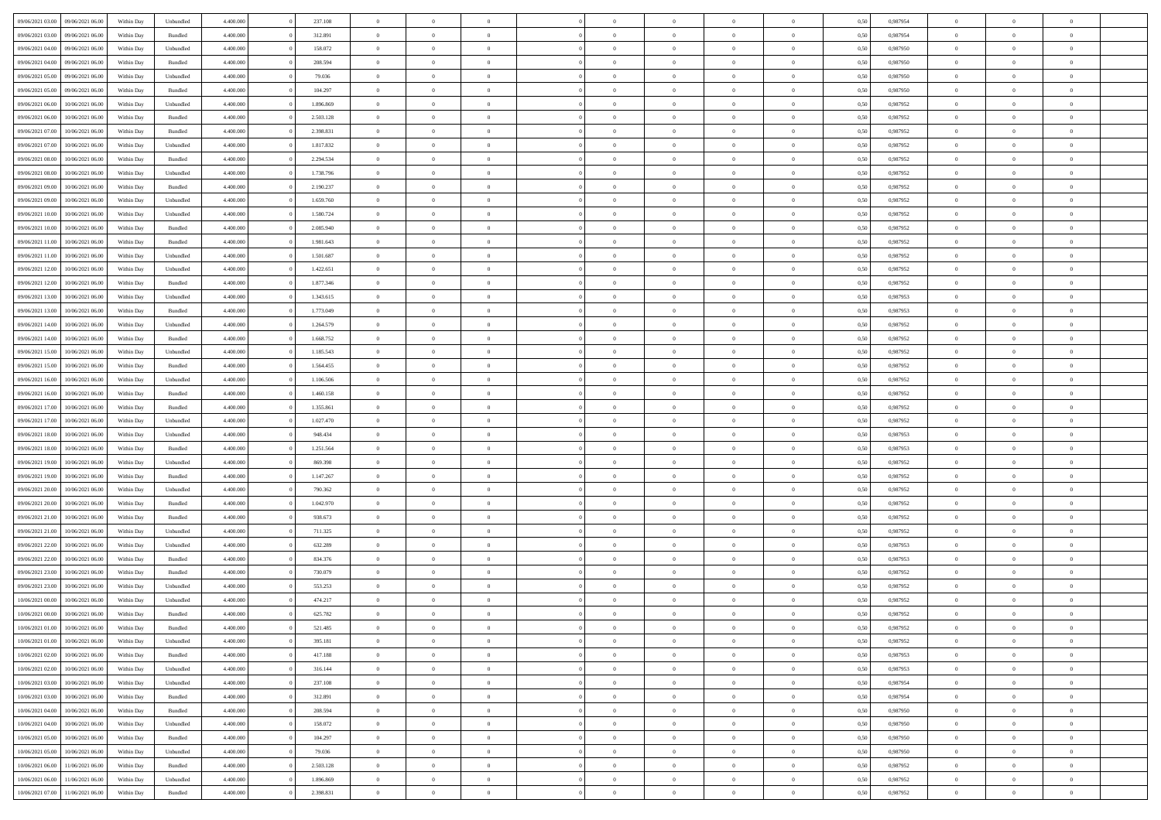| 09/06/2021 03:00 09/06/2021 06:00                        | Within Day               | Unbundled            | 4.400.000 | 237.108   | $\overline{0}$ | $\overline{0}$ | $\Omega$       | $\Omega$       | $\theta$       | $\Omega$       | $\overline{0}$ | 0,50 | 0,987954 | $\theta$       | $\theta$       | $\theta$       |  |
|----------------------------------------------------------|--------------------------|----------------------|-----------|-----------|----------------|----------------|----------------|----------------|----------------|----------------|----------------|------|----------|----------------|----------------|----------------|--|
| 09/06/2021 03:00<br>09/06/2021 06:00                     | Within Day               | Bundled              | 4.400.000 | 312.891   | $\overline{0}$ | $\overline{0}$ | $\overline{0}$ | $\overline{0}$ | $\theta$       | $\overline{0}$ | $\bf{0}$       | 0,50 | 0,987954 | $\theta$       | $\theta$       | $\overline{0}$ |  |
| 09/06/2021 04:00<br>09/06/2021 06:00                     | Within Day               | Unbundled            | 4.400.000 | 158.072   | $\overline{0}$ | $\bf{0}$       | $\overline{0}$ | $\overline{0}$ | $\overline{0}$ | $\overline{0}$ | $\bf{0}$       | 0,50 | 0,987950 | $\bf{0}$       | $\overline{0}$ | $\overline{0}$ |  |
| 09/06/2021 04:00<br>09/06/2021 06:00                     | Within Day               | Bundled              | 4.400.000 | 208,594   | $\overline{0}$ | $\overline{0}$ | $\overline{0}$ | $\overline{0}$ | $\theta$       | $\overline{0}$ | $\overline{0}$ | 0.50 | 0.987950 | $\theta$       | $\theta$       | $\overline{0}$ |  |
| 09/06/2021 05:00<br>09/06/2021 06:00                     | Within Day               | Unbundled            | 4.400.000 | 79.036    | $\overline{0}$ | $\overline{0}$ | $\overline{0}$ | $\overline{0}$ | $\theta$       | $\overline{0}$ | $\bf{0}$       | 0,50 | 0,987950 | $\theta$       | $\theta$       | $\overline{0}$ |  |
| 09/06/2021 05:00<br>09/06/2021 06:00                     | Within Day               | Bundled              | 4.400.000 | 104.297   | $\overline{0}$ | $\bf{0}$       | $\overline{0}$ | $\overline{0}$ | $\overline{0}$ | $\overline{0}$ | $\bf{0}$       | 0,50 | 0,987950 | $\bf{0}$       | $\overline{0}$ | $\bf{0}$       |  |
| 09/06/2021 06:00<br>10/06/2021 06:00                     | Within Day               | Unbundled            | 4.400.000 | 1.896.869 | $\overline{0}$ | $\overline{0}$ | $\overline{0}$ | $\overline{0}$ | $\overline{0}$ | $\overline{0}$ | $\overline{0}$ | 0.5( | 0,987952 | $\theta$       | $\theta$       | $\overline{0}$ |  |
| 09/06/2021 06:00<br>10/06/2021 06:00                     | Within Day               | Bundled              | 4.400.000 | 2.503.128 | $\overline{0}$ | $\theta$       | $\overline{0}$ | $\overline{0}$ | $\theta$       | $\overline{0}$ | $\bf{0}$       | 0,50 | 0,987952 | $\theta$       | $\theta$       | $\overline{0}$ |  |
|                                                          |                          |                      |           |           |                |                |                |                |                |                |                |      |          |                |                |                |  |
| 09/06/2021 07:00<br>10/06/2021 06:00                     | Within Day               | Bundled              | 4.400.000 | 2.398.831 | $\overline{0}$ | $\bf{0}$       | $\overline{0}$ | $\overline{0}$ | $\overline{0}$ | $\overline{0}$ | $\bf{0}$       | 0,50 | 0,987952 | $\bf{0}$       | $\bf{0}$       | $\overline{0}$ |  |
| 09/06/2021 07:00<br>10/06/2021 06:00                     | Within Day               | Unbundled            | 4.400.000 | 1.817.832 | $\overline{0}$ | $\overline{0}$ | $\overline{0}$ | $\overline{0}$ | $\overline{0}$ | $\overline{0}$ | $\overline{0}$ | 0.50 | 0,987952 | $\theta$       | $\theta$       | $\overline{0}$ |  |
| 09/06/2021 08:00<br>10/06/2021 06:00                     | Within Day               | Bundled              | 4.400.000 | 2.294.534 | $\bf{0}$       | $\overline{0}$ | $\overline{0}$ | $\overline{0}$ | $\theta$       | $\overline{0}$ | $\bf{0}$       | 0,50 | 0,987952 | $\theta$       | $\theta$       | $\overline{0}$ |  |
| 09/06/2021 08:00<br>10/06/2021 06:00                     | Within Day               | Unbundled            | 4.400.000 | 1.738.796 | $\overline{0}$ | $\bf{0}$       | $\overline{0}$ | $\overline{0}$ | $\bf{0}$       | $\overline{0}$ | $\bf{0}$       | 0,50 | 0,987952 | $\bf{0}$       | $\overline{0}$ | $\overline{0}$ |  |
| 09/06/2021 09:00<br>10/06/2021 06:00                     | Within Day               | Bundled              | 4.400.000 | 2.190.237 | $\overline{0}$ | $\overline{0}$ | $\overline{0}$ | $\overline{0}$ | $\overline{0}$ | $\overline{0}$ | $\overline{0}$ | 0.5( | 0,987952 | $\theta$       | $\theta$       | $\overline{0}$ |  |
| 09/06/2021 09:00<br>10/06/2021 06:00                     | Within Day               | Unbundled            | 4.400.000 | 1.659.760 | $\overline{0}$ | $\overline{0}$ | $\overline{0}$ | $\overline{0}$ | $\theta$       | $\overline{0}$ | $\,$ 0 $\,$    | 0,50 | 0,987952 | $\theta$       | $\theta$       | $\overline{0}$ |  |
| 09/06/2021 10:00<br>10/06/2021 06:00                     | Within Day               | Unbundled            | 4.400.000 | 1.580.724 | $\overline{0}$ | $\bf{0}$       | $\overline{0}$ | $\overline{0}$ | $\overline{0}$ | $\overline{0}$ | $\bf{0}$       | 0,50 | 0,987952 | $\bf{0}$       | $\overline{0}$ | $\bf{0}$       |  |
| 09/06/2021 10:00<br>10/06/2021 06:00                     | Within Day               | Bundled              | 4.400.000 | 2.085.940 | $\overline{0}$ | $\overline{0}$ | $\overline{0}$ | $\overline{0}$ | $\overline{0}$ | $\overline{0}$ | $\overline{0}$ | 0.5( | 0,987952 | $\theta$       | $\theta$       | $\overline{0}$ |  |
| 09/06/2021 11:00<br>10/06/2021 06:00                     | Within Day               | Bundled              | 4.400.000 | 1.981.643 | $\bf{0}$       | $\theta$       | $\overline{0}$ | $\overline{0}$ | $\theta$       | $\overline{0}$ | $\bf{0}$       | 0,50 | 0,987952 | $\theta$       | $\theta$       | $\overline{0}$ |  |
| 09/06/2021 11:00<br>10/06/2021 06:00                     | Within Day               | Unbundled            | 4.400.000 | 1.501.687 | $\overline{0}$ | $\bf{0}$       | $\overline{0}$ | $\overline{0}$ | $\overline{0}$ | $\overline{0}$ | $\bf{0}$       | 0,50 | 0,987952 | $\bf{0}$       | $\overline{0}$ | $\overline{0}$ |  |
| 09/06/2021 12:00<br>10/06/2021 06:00                     | Within Day               | Unbundled            | 4.400.000 | 1.422.651 | $\overline{0}$ | $\overline{0}$ | $\overline{0}$ | $\overline{0}$ | $\overline{0}$ | $\overline{0}$ | $\overline{0}$ | 0.50 | 0,987952 | $\theta$       | $\theta$       | $\overline{0}$ |  |
| 09/06/2021 12:00<br>10/06/2021 06:00                     | Within Day               | Bundled              | 4.400.000 | 1.877.346 | $\bf{0}$       | $\overline{0}$ | $\overline{0}$ | $\overline{0}$ | $\theta$       | $\overline{0}$ | $\bf{0}$       | 0,50 | 0,987952 | $\theta$       | $\theta$       | $\overline{0}$ |  |
| 09/06/2021 13:00<br>10/06/2021 06:00                     | Within Day               | Unbundled            | 4.400.000 | 1.343.615 | $\overline{0}$ | $\bf{0}$       | $\overline{0}$ | $\overline{0}$ | $\overline{0}$ | $\overline{0}$ | $\bf{0}$       | 0,50 | 0,987953 | $\bf{0}$       | $\overline{0}$ | $\overline{0}$ |  |
| 09/06/2021 13:00<br>10/06/2021 06:00                     | Within Day               | Bundled              | 4.400.000 | 1.773.049 | $\overline{0}$ | $\overline{0}$ | $\overline{0}$ | $\overline{0}$ | $\overline{0}$ | $\overline{0}$ | $\overline{0}$ | 0.5( | 0.987953 | $\theta$       | $\theta$       | $\overline{0}$ |  |
| 09/06/2021 14:00<br>10/06/2021 06:00                     | Within Day               | Unbundled            | 4.400.000 | 1.264.579 | $\overline{0}$ | $\overline{0}$ | $\overline{0}$ | $\overline{0}$ | $\theta$       | $\overline{0}$ | $\bf{0}$       | 0,50 | 0,987952 | $\theta$       | $\theta$       | $\overline{0}$ |  |
| 09/06/2021 14:00<br>10/06/2021 06:00                     | Within Day               | Bundled              | 4.400.000 | 1.668.752 | $\overline{0}$ | $\bf{0}$       | $\overline{0}$ | $\overline{0}$ | $\overline{0}$ | $\overline{0}$ | $\bf{0}$       | 0,50 | 0,987952 | $\bf{0}$       | $\overline{0}$ | $\bf{0}$       |  |
| 09/06/2021 15:00<br>10/06/2021 06:00                     | Within Day               | Unbundled            | 4.400.000 | 1.185.543 | $\overline{0}$ | $\overline{0}$ | $\overline{0}$ | $\overline{0}$ | $\overline{0}$ | $\overline{0}$ | $\overline{0}$ | 0.5( | 0,987952 | $\theta$       | $\theta$       | $\overline{0}$ |  |
| 09/06/2021 15:00<br>10/06/2021 06:00                     | Within Day               | Bundled              | 4.400.000 | 1.564.455 | $\overline{0}$ | $\overline{0}$ | $\overline{0}$ | $\overline{0}$ | $\theta$       | $\overline{0}$ | $\bf{0}$       | 0,50 | 0,987952 | $\theta$       | $\theta$       | $\overline{0}$ |  |
| 09/06/2021 16:00<br>10/06/2021 06:00                     | Within Day               | Unbundled            | 4.400.000 | 1.106.506 | $\overline{0}$ | $\bf{0}$       | $\overline{0}$ | $\overline{0}$ | $\overline{0}$ | $\overline{0}$ | $\bf{0}$       | 0,50 | 0,987952 | $\bf{0}$       | $\bf{0}$       | $\overline{0}$ |  |
| 09/06/2021 16:00<br>10/06/2021 06:00                     | Within Day               | Bundled              | 4.400.000 | 1.460.158 | $\overline{0}$ | $\overline{0}$ | $\overline{0}$ | $\overline{0}$ | $\overline{0}$ | $\overline{0}$ | $\overline{0}$ | 0.5( | 0,987952 | $\theta$       | $\theta$       | $\overline{0}$ |  |
| 09/06/2021 17:00<br>10/06/2021 06:00                     | Within Day               | Bundled              | 4.400.000 | 1.355.861 | $\bf{0}$       | $\overline{0}$ | $\overline{0}$ | $\overline{0}$ | $\theta$       | $\overline{0}$ | $\bf{0}$       | 0,50 | 0,987952 | $\theta$       | $\theta$       | $\overline{0}$ |  |
| 09/06/2021 17:00<br>10/06/2021 06:00                     | Within Day               | Unbundled            | 4.400.000 | 1.027.470 | $\overline{0}$ | $\bf{0}$       | $\overline{0}$ | $\overline{0}$ | $\bf{0}$       | $\overline{0}$ | $\bf{0}$       | 0,50 | 0,987952 | $\bf{0}$       | $\overline{0}$ | $\overline{0}$ |  |
| 09/06/2021 18:00<br>10/06/2021 06:00                     | Within Day               | Unbundled            | 4,400,000 | 948.434   | $\overline{0}$ | $\overline{0}$ | $\Omega$       | $\Omega$       | $\Omega$       | $\Omega$       | $\overline{0}$ | 0.50 | 0,987953 | $\,$ 0 $\,$    | $\overline{0}$ | $\theta$       |  |
| 09/06/2021 18:00<br>10/06/2021 06:00                     | Within Day               | Bundled              | 4.400.000 | 1.251.564 | $\bf{0}$       | $\overline{0}$ | $\overline{0}$ | $\overline{0}$ | $\theta$       | $\overline{0}$ | $\bf{0}$       | 0,50 | 0,987953 | $\theta$       | $\theta$       | $\overline{0}$ |  |
| 09/06/2021 19:00<br>10/06/2021 06:00                     | Within Day               | Unbundled            | 4.400.000 | 869.398   | $\overline{0}$ | $\bf{0}$       | $\overline{0}$ | $\overline{0}$ | $\bf{0}$       | $\overline{0}$ | $\bf{0}$       | 0,50 | 0,987952 | $\bf{0}$       | $\overline{0}$ | $\bf{0}$       |  |
| 09/06/2021 19:00<br>10/06/2021 06:00                     | Within Day               | Bundled              | 4,400,000 | 1.147.267 | $\overline{0}$ | $\overline{0}$ | $\Omega$       | $\Omega$       | $\overline{0}$ | $\Omega$       | $\overline{0}$ | 0.50 | 0,987952 | $\overline{0}$ | $\theta$       | $\theta$       |  |
| 09/06/2021 20:00<br>10/06/2021 06:00                     | Within Day               | Unbundled            | 4.400.000 | 790.362   | $\bf{0}$       | $\overline{0}$ | $\overline{0}$ | $\overline{0}$ | $\theta$       | $\overline{0}$ | $\bf{0}$       | 0,50 | 0,987952 | $\theta$       | $\theta$       | $\overline{0}$ |  |
| 09/06/2021 20:00<br>10/06/2021 06:00                     | Within Day               | Bundled              | 4.400.000 | 1.042.970 | $\overline{0}$ | $\bf{0}$       | $\overline{0}$ | $\overline{0}$ | $\overline{0}$ | $\bf{0}$       | $\bf{0}$       | 0,50 | 0,987952 | $\bf{0}$       | $\overline{0}$ | $\overline{0}$ |  |
| 10/06/2021 06:00                                         |                          |                      | 4,400,000 | 938.673   | $\overline{0}$ | $\overline{0}$ | $\Omega$       | $\Omega$       | $\Omega$       | $\Omega$       | $\overline{0}$ | 0.50 | 0.987952 | $\theta$       | $\Omega$       | $\theta$       |  |
| 09/06/2021 21:00<br>09/06/2021 21:00<br>10/06/2021 06:00 | Within Day<br>Within Day | Bundled<br>Unbundled | 4.400.000 | 711.325   | $\bf{0}$       | $\overline{0}$ | $\overline{0}$ | $\overline{0}$ | $\theta$       | $\overline{0}$ | $\bf{0}$       | 0,50 | 0,987952 | $\theta$       | $\theta$       | $\overline{0}$ |  |
|                                                          |                          |                      |           |           |                |                |                |                |                |                |                |      |          |                |                |                |  |
| 09/06/2021 22.00<br>10/06/2021 06:00                     | Within Day               | Unbundled            | 4.400.000 | 632.289   | $\overline{0}$ | $\bf{0}$       | $\overline{0}$ | $\overline{0}$ | $\overline{0}$ | $\overline{0}$ | $\bf{0}$       | 0,50 | 0,987953 | $\bf{0}$       | $\overline{0}$ | $\overline{0}$ |  |
| 09/06/2021 22.00<br>10/06/2021 06:00                     | Within Day               | Bundled              | 4,400,000 | 834.376   | $\overline{0}$ | $\overline{0}$ | $\Omega$       | $\Omega$       | $\theta$       | $\Omega$       | $\overline{0}$ | 0.50 | 0,987953 | $\,$ 0 $\,$    | $\overline{0}$ | $\theta$       |  |
| 09/06/2021 23:00<br>10/06/2021 06:00                     | Within Day               | Bundled              | 4.400.000 | 730.079   | $\bf{0}$       | $\overline{0}$ | $\overline{0}$ | $\overline{0}$ | $\theta$       | $\overline{0}$ | $\bf{0}$       | 0,50 | 0,987952 | $\theta$       | $\theta$       | $\overline{0}$ |  |
| 09/06/2021 23:00<br>10/06/2021 06:00                     | Within Day               | Unbundled            | 4.400.000 | 553.253   | $\overline{0}$ | $\bf{0}$       | $\overline{0}$ | $\overline{0}$ | $\bf{0}$       | $\overline{0}$ | $\bf{0}$       | 0,50 | 0,987952 | $\bf{0}$       | $\overline{0}$ | $\bf{0}$       |  |
| 10/06/2021 00:00<br>10/06/2021 06:00                     | Within Day               | Unbundled            | 4,400,000 | 474.217   | $\overline{0}$ | $\Omega$       | $\Omega$       | $\Omega$       | $\Omega$       | $\theta$       | $\overline{0}$ | 0.50 | 0.987952 | $\theta$       | $\overline{0}$ | $\theta$       |  |
| 10/06/2021 00:00<br>10/06/2021 06:00                     | Within Day               | Bundled              | 4.400.000 | 625.782   | $\bf{0}$       | $\bf{0}$       | $\overline{0}$ | $\overline{0}$ | $\bf{0}$       | $\overline{0}$ | $\bf{0}$       | 0,50 | 0,987952 | $\bf{0}$       | $\,$ 0 $\,$    | $\overline{0}$ |  |
| 10/06/2021 01:00 10/06/2021 06:00                        | Within Day               | Bundled              | 4.400.000 | 521.485   |                | $\bf{0}$       |                |                |                |                |                | 0,50 | 0,987952 | $\bf{0}$       | $\bf{0}$       |                |  |
| 10/06/2021 01:00 10/06/2021 06:00                        | Within Day               | Unbundled            | 4.400.000 | 395.181   | $\theta$       | $\overline{0}$ | $\Omega$       | $\theta$       | $\overline{0}$ | $\overline{0}$ | $\overline{0}$ | 0.50 | 0.987952 | $\theta$       | $\theta$       | $\theta$       |  |
| 10/06/2021 02:00<br>10/06/2021 06:00                     | Within Day               | Bundled              | 4.400.000 | 417.188   | $\overline{0}$ | $\overline{0}$ | $\overline{0}$ | $\overline{0}$ | $\,$ 0 $\,$    | $\overline{0}$ | $\,$ 0 $\,$    | 0,50 | 0,987953 | $\,$ 0 $\,$    | $\,$ 0 $\,$    | $\,$ 0         |  |
| 10/06/2021 02:00<br>10/06/2021 06:00                     | Within Day               | Unbundled            | 4.400.000 | 316.144   | $\overline{0}$ | $\overline{0}$ | $\overline{0}$ | $\overline{0}$ | $\overline{0}$ | $\overline{0}$ | $\bf{0}$       | 0,50 | 0,987953 | $\overline{0}$ | $\overline{0}$ | $\overline{0}$ |  |
| 10/06/2021 03:00<br>10/06/2021 06:00                     | Within Day               | Unbundled            | 4.400.000 | 237.108   | $\overline{0}$ | $\bf{0}$       | $\overline{0}$ | $\overline{0}$ | $\overline{0}$ | $\overline{0}$ | $\bf{0}$       | 0,50 | 0,987954 | $\bf{0}$       | $\theta$       | $\overline{0}$ |  |
| 10/06/2021 03:00<br>10/06/2021 06:00                     | Within Day               | Bundled              | 4.400.000 | 312.891   | $\overline{0}$ | $\overline{0}$ | $\overline{0}$ | $\overline{0}$ | $\overline{0}$ | $\overline{0}$ | $\bf{0}$       | 0,50 | 0,987954 | $\,$ 0 $\,$    | $\,$ 0 $\,$    | $\overline{0}$ |  |
| 10/06/2021 04:00<br>10/06/2021 06:00                     | Within Day               | Bundled              | 4.400.000 | 208.594   | $\overline{0}$ | $\overline{0}$ | $\overline{0}$ | $\overline{0}$ | $\mathbf{0}$   | $\overline{0}$ | $\mathbf{0}$   | 0,50 | 0,987950 | $\overline{0}$ | $\overline{0}$ | $\overline{0}$ |  |
| 10/06/2021 04:00<br>10/06/2021 06:00                     | Within Day               | Unbundled            | 4.400.000 | 158.072   | $\overline{0}$ | $\bf{0}$       | $\overline{0}$ | $\overline{0}$ | $\overline{0}$ | $\overline{0}$ | $\bf{0}$       | 0.50 | 0,987950 | $\overline{0}$ | $\theta$       | $\overline{0}$ |  |
| 10/06/2021 05:00<br>10/06/2021 06:00                     | Within Day               | Bundled              | 4.400.000 | 104.297   | $\overline{0}$ | $\overline{0}$ | $\overline{0}$ | $\overline{0}$ | $\overline{0}$ | $\overline{0}$ | $\bf{0}$       | 0,50 | 0,987950 | $\,$ 0 $\,$    | $\,$ 0 $\,$    | $\overline{0}$ |  |
| 10/06/2021 05:00<br>10/06/2021 06:00                     | Within Day               | Unbundled            | 4.400.000 | 79.036    | $\overline{0}$ | $\bf{0}$       | $\overline{0}$ | $\overline{0}$ | $\overline{0}$ | $\overline{0}$ | $\bf{0}$       | 0,50 | 0,987950 | $\bf{0}$       | $\overline{0}$ | $\bf{0}$       |  |
| 10/06/2021 06:00<br>11/06/2021 06:00                     | Within Day               | Bundled              | 4.400.000 | 2.503.128 | $\overline{0}$ | $\overline{0}$ | $\overline{0}$ | $\overline{0}$ | $\overline{0}$ | $\overline{0}$ | $\bf{0}$       | 0.50 | 0,987952 | $\overline{0}$ | $\overline{0}$ | $\overline{0}$ |  |
| 10/06/2021 06:00<br>11/06/2021 06:00                     | Within Day               | Unbundled            | 4.400.000 | 1.896.869 | $\overline{0}$ | $\,$ 0         | $\overline{0}$ | $\overline{0}$ | $\bf{0}$       | $\overline{0}$ | $\bf{0}$       | 0,50 | 0,987952 | $\,$ 0 $\,$    | $\,$ 0 $\,$    | $\bf{0}$       |  |
| 10/06/2021 07:00 11/06/2021 06:00                        | Within Day               | Bundled              | 4.400.000 | 2.398.831 | $\overline{0}$ | $\bf{0}$       | $\overline{0}$ | $\overline{0}$ | $\overline{0}$ | $\overline{0}$ | $\bf{0}$       | 0,50 | 0,987952 | $\bf{0}$       | $\overline{0}$ | $\bf{0}$       |  |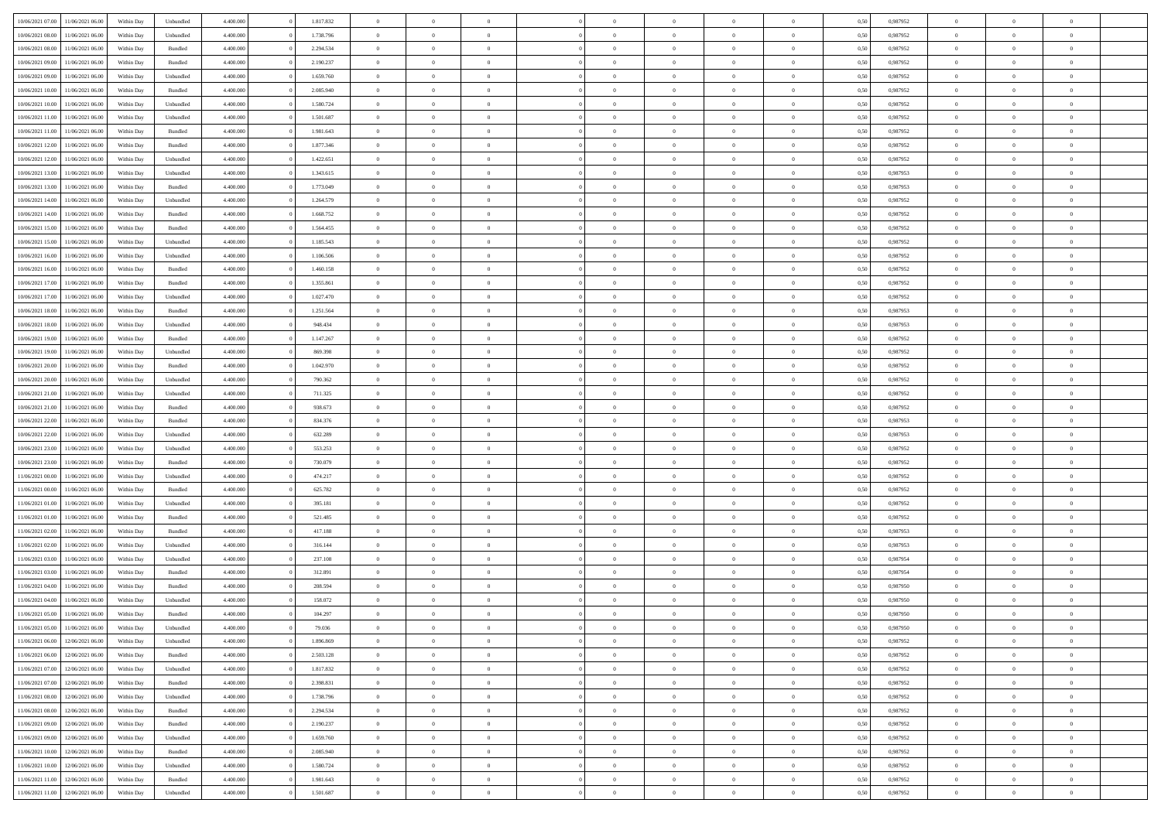| 10/06/2021 07:00 11/06/2021 06:00            | Within Day | Unbundled         | 4.400.000 | 1.817.832 | $\overline{0}$ | $\overline{0}$ |                | $\overline{0}$ | $\theta$       |                | $\theta$       | 0,50 | 0,987952 | $\theta$       | $\theta$       | $\overline{0}$ |  |
|----------------------------------------------|------------|-------------------|-----------|-----------|----------------|----------------|----------------|----------------|----------------|----------------|----------------|------|----------|----------------|----------------|----------------|--|
|                                              |            |                   |           |           |                |                |                |                |                |                |                |      |          |                |                |                |  |
| 10/06/2021 08:00<br>11/06/2021 06:00         | Within Day | Unbundled         | 4.400.00  | 1.738.796 | $\bf{0}$       | $\bf{0}$       | $\bf{0}$       | $\bf{0}$       | $\overline{0}$ | $\overline{0}$ | $\bf{0}$       | 0,50 | 0,987952 | $\,$ 0 $\,$    | $\bf{0}$       | $\overline{0}$ |  |
| 10/06/2021 08:00<br>11/06/2021 06:00         | Within Day | Bundled           | 4,400,000 | 2.294.534 | $\overline{0}$ | $\bf{0}$       | $\overline{0}$ | $\bf{0}$       | $\bf{0}$       | $\overline{0}$ | $\bf{0}$       | 0.50 | 0.987952 | $\bf{0}$       | $\overline{0}$ | $\bf{0}$       |  |
| 10/06/2021 09:00<br>11/06/2021 06:00         | Within Day | Bundled           | 4.400.000 | 2.190.237 | $\overline{0}$ | $\overline{0}$ | $\overline{0}$ | $\overline{0}$ | $\theta$       | $\overline{0}$ | $\bf{0}$       | 0,50 | 0,987952 | $\,$ 0 $\,$    | $\,$ 0 $\,$    | $\overline{0}$ |  |
|                                              |            |                   |           |           |                |                |                |                |                |                |                |      |          |                |                |                |  |
| 10/06/2021 09:00<br>11/06/2021 06:00         | Within Day | Unbundled         | 4.400.00  | 1.659.760 | $\bf{0}$       | $\overline{0}$ | $\bf{0}$       | $\overline{0}$ | $\theta$       | $\overline{0}$ | $\bf{0}$       | 0,50 | 0,987952 | $\,$ 0 $\,$    | $\bf{0}$       | $\overline{0}$ |  |
| 10/06/2021 10:00<br>11/06/2021 06:00         | Within Day | Bundled           | 4,400,000 | 2.085.940 | $\overline{0}$ | $\overline{0}$ | $\overline{0}$ | $\bf{0}$       | $\overline{0}$ | $\theta$       | $\bf{0}$       | 0.50 | 0,987952 | $\bf{0}$       | $\theta$       | $\overline{0}$ |  |
| 10/06/2021 10:00<br>11/06/2021 06:00         | Within Day | Unbundled         | 4.400.000 | 1.580.724 | $\overline{0}$ | $\overline{0}$ | $\overline{0}$ | $\overline{0}$ | $\overline{0}$ | $\overline{0}$ | $\bf{0}$       | 0,50 | 0,987952 | $\,$ 0 $\,$    | $\theta$       | $\overline{0}$ |  |
| 10/06/2021 11:00<br>11/06/2021 06:00         | Within Day | Unbundled         | 4.400.000 | 1.501.687 | $\bf{0}$       | $\overline{0}$ | $\bf{0}$       | $\overline{0}$ | $\overline{0}$ | $\overline{0}$ | $\bf{0}$       | 0,50 | 0,987952 | $\,$ 0 $\,$    | $\bf{0}$       | $\overline{0}$ |  |
| 10/06/2021 11:00<br>11/06/2021 06:00         | Within Day | Bundled           | 4,400,000 | 1.981.643 | $\overline{0}$ | $\bf{0}$       | $\overline{0}$ | $\bf{0}$       | $\overline{0}$ | $\overline{0}$ | $\bf{0}$       | 0.50 | 0.987952 | $\bf{0}$       | $\overline{0}$ | $\overline{0}$ |  |
|                                              |            |                   |           |           |                |                |                |                |                |                |                |      |          |                |                |                |  |
| 10/06/2021 12:00<br>11/06/2021 06:00         | Within Day | Bundled           | 4.400.000 | 1.877.346 | $\overline{0}$ | $\bf{0}$       | $\overline{0}$ | $\overline{0}$ | $\overline{0}$ | $\overline{0}$ | $\bf{0}$       | 0,50 | 0,987952 | $\,$ 0 $\,$    | $\bf{0}$       | $\overline{0}$ |  |
| 10/06/2021 12:00<br>11/06/2021 06:00         | Within Day | Unbundled         | 4.400.00  | 1.422.651 | $\bf{0}$       | $\overline{0}$ | $\bf{0}$       | $\bf{0}$       | $\bf{0}$       | $\overline{0}$ | $\bf{0}$       | 0,50 | 0,987952 | $\,$ 0 $\,$    | $\bf{0}$       | $\overline{0}$ |  |
| 10/06/2021 13:00<br>11/06/2021 06:00         | Within Day | Unbundled         | 4,400,000 | 1.343.615 | $\overline{0}$ | $\bf{0}$       | $\overline{0}$ | $\overline{0}$ | $\bf{0}$       | $\overline{0}$ | $\bf{0}$       | 0.50 | 0.987953 | $\bf{0}$       | $\overline{0}$ | $\bf{0}$       |  |
| 10/06/2021 13:00<br>11/06/2021 06:00         | Within Day | Bundled           | 4.400.000 | 1.773.049 | $\overline{0}$ | $\overline{0}$ | $\overline{0}$ | $\overline{0}$ | $\theta$       | $\overline{0}$ | $\bf{0}$       | 0,50 | 0,987953 | $\,$ 0 $\,$    | $\,$ 0 $\,$    | $\overline{0}$ |  |
| 10/06/2021 14:00<br>11/06/2021 06:00         | Within Day | Unbundled         | 4.400.000 | 1.264.579 | $\bf{0}$       | $\overline{0}$ | $\bf{0}$       | $\bf{0}$       | $\theta$       | $\overline{0}$ | $\bf{0}$       | 0,50 | 0,987952 | $\,$ 0 $\,$    | $\bf{0}$       | $\overline{0}$ |  |
|                                              |            |                   |           |           |                |                |                |                |                |                |                |      |          |                |                |                |  |
| 10/06/2021 14:00<br>11/06/2021 06:00         | Within Day | Bundled           | 4,400,000 | 1.668.752 | $\overline{0}$ | $\overline{0}$ | $\overline{0}$ | $\bf{0}$       | $\overline{0}$ | $\theta$       | $\bf{0}$       | 0.50 | 0,987952 | $\theta$       | $\theta$       | $\overline{0}$ |  |
| 10/06/2021 15:00<br>11/06/2021 06:00         | Within Day | Bundled           | 4.400.000 | 1.564.455 | $\overline{0}$ | $\bf{0}$       | $\overline{0}$ | $\overline{0}$ | $\overline{0}$ | $\overline{0}$ | $\bf{0}$       | 0,50 | 0,987952 | $\,$ 0 $\,$    | $\theta$       | $\overline{0}$ |  |
| 10/06/2021 15:00<br>11/06/2021 06:00         | Within Day | Unbundled         | 4.400.000 | 1.185.543 | $\bf{0}$       | $\overline{0}$ | $\bf{0}$       | $\overline{0}$ | $\overline{0}$ | $\overline{0}$ | $\bf{0}$       | 0,50 | 0,987952 | $\,$ 0 $\,$    | $\bf{0}$       | $\overline{0}$ |  |
| 10/06/2021 16:00<br>11/06/2021 06:00         | Within Day | Unbundled         | 4,400,000 | 1.106.506 | $\overline{0}$ | $\bf{0}$       | $\overline{0}$ | $\bf{0}$       | $\bf{0}$       | $\overline{0}$ | $\bf{0}$       | 0.50 | 0.987952 | $\bf{0}$       | $\overline{0}$ | $\bf{0}$       |  |
| 10/06/2021 16:00<br>11/06/2021 06:00         | Within Day | Bundled           | 4.400.000 | 1.460.158 | $\overline{0}$ | $\bf{0}$       | $\overline{0}$ | $\overline{0}$ | $\overline{0}$ | $\overline{0}$ | $\bf{0}$       | 0,50 | 0,987952 | $\,$ 0 $\,$    | $\bf{0}$       | $\overline{0}$ |  |
| 10/06/2021 17:00<br>11/06/2021 06:00         | Within Day | Bundled           | 4.400.00  | 1.355.861 | $\bf{0}$       | $\bf{0}$       | $\bf{0}$       | $\bf{0}$       | $\overline{0}$ | $\overline{0}$ | $\bf{0}$       | 0,50 | 0,987952 | $\,$ 0 $\,$    | $\bf{0}$       | $\overline{0}$ |  |
|                                              |            |                   | 4,400,000 |           |                |                |                |                |                | $\overline{0}$ |                |      | 0.987952 |                |                |                |  |
| 10/06/2021 17:00<br>11/06/2021 06:00         | Within Day | Unbundled         |           | 1.027.470 | $\overline{0}$ | $\bf{0}$       | $\overline{0}$ | $\overline{0}$ | $\bf{0}$       |                | $\bf{0}$       | 0.50 |          | $\bf{0}$       | $\overline{0}$ | $\bf{0}$       |  |
| 10/06/2021 18:00<br>11/06/2021 06:00         | Within Day | Bundled           | 4.400.000 | 1.251.564 | $\overline{0}$ | $\overline{0}$ | $\overline{0}$ | $\overline{0}$ | $\theta$       | $\overline{0}$ | $\bf{0}$       | 0,50 | 0,987953 | $\,$ 0 $\,$    | $\theta$       | $\overline{0}$ |  |
| 10/06/2021 18:00<br>11/06/2021 06:00         | Within Day | Unbundled         | 4.400.000 | 948.434   | $\bf{0}$       | $\overline{0}$ | $\bf{0}$       | $\bf{0}$       | $\overline{0}$ | $\overline{0}$ | $\bf{0}$       | 0,50 | 0,987953 | $\,$ 0 $\,$    | $\bf{0}$       | $\overline{0}$ |  |
| 10/06/2021 19:00<br>11/06/2021 06:00         | Within Day | Bundled           | 4,400,000 | 1.147.267 | $\overline{0}$ | $\overline{0}$ | $\overline{0}$ | $\overline{0}$ | $\overline{0}$ | $\theta$       | $\bf{0}$       | 0.50 | 0,987952 | $\bf{0}$       | $\theta$       | $\overline{0}$ |  |
| 10/06/2021 19:00<br>11/06/2021 06:00         | Within Day | Unbundled         | 4.400.000 | 869.398   | $\bf{0}$       | $\overline{0}$ | $\overline{0}$ | $\overline{0}$ | $\overline{0}$ | $\overline{0}$ | $\bf{0}$       | 0,50 | 0,987952 | $\,$ 0 $\,$    | $\theta$       | $\overline{0}$ |  |
| 10/06/2021 20:00<br>11/06/2021 06:00         | Within Day | Bundled           | 4.400.000 | 1.042.970 | $\bf{0}$       | $\overline{0}$ | $\bf{0}$       | $\overline{0}$ | $\overline{0}$ | $\overline{0}$ | $\bf{0}$       | 0,50 | 0,987952 | $\,$ 0 $\,$    | $\bf{0}$       | $\overline{0}$ |  |
| 10/06/2021 20:00<br>11/06/2021 06:00         | Within Day | Unbundled         | 4,400,000 | 790,362   | $\overline{0}$ | $\bf{0}$       | $\overline{0}$ | $\bf{0}$       | $\overline{0}$ | $\overline{0}$ | $\bf{0}$       | 0.50 | 0.987952 | $\bf{0}$       | $\overline{0}$ | $\overline{0}$ |  |
| 10/06/2021 21:00<br>11/06/2021 06:00         |            |                   | 4.400.000 |           | $\overline{0}$ | $\bf{0}$       | $\overline{0}$ | $\overline{0}$ | $\overline{0}$ | $\overline{0}$ |                |      |          | $\,$ 0 $\,$    | $\bf{0}$       | $\overline{0}$ |  |
|                                              | Within Day | Unbundled         |           | 711.325   |                |                |                |                |                |                | $\bf{0}$       | 0,50 | 0,987952 |                |                |                |  |
| 10/06/2021 21:00<br>11/06/2021 06:00         | Within Day | Bundled           | 4.400.00  | 938.673   | $\bf{0}$       | $\bf{0}$       | $\bf{0}$       | $\bf{0}$       | $\overline{0}$ | $\overline{0}$ | $\bf{0}$       | 0,50 | 0,987952 | $\,$ 0 $\,$    | $\bf{0}$       | $\overline{0}$ |  |
| 10/06/2021 22:00<br>11/06/2021 06:00         | Within Day | Bundled           | 4,400,000 | 834.376   | $\overline{0}$ | $\bf{0}$       | $\overline{0}$ | $\overline{0}$ | $\bf{0}$       | $\overline{0}$ | $\bf{0}$       | 0.50 | 0.987953 | $\bf{0}$       | $\overline{0}$ | $\bf{0}$       |  |
| 10/06/2021 22:00<br>11/06/2021 06:00         | Within Day | Unbundled         | 4.400.000 | 632.289   | $\overline{0}$ | $\overline{0}$ | $\overline{0}$ | $\overline{0}$ | $\overline{0}$ | $\overline{0}$ | $\bf{0}$       | 0.50 | 0,987953 | $\theta$       | $\theta$       | $\overline{0}$ |  |
| 10/06/2021 23:00<br>11/06/2021 06:00         | Within Day | Unbundled         | 4.400.000 | 553.253   | $\bf{0}$       | $\overline{0}$ | $\bf{0}$       | $\bf{0}$       | $\overline{0}$ | $\overline{0}$ | $\bf{0}$       | 0,50 | 0,987952 | $\,$ 0 $\,$    | $\bf{0}$       | $\overline{0}$ |  |
| 10/06/2021 23:00<br>11/06/2021 06:00         | Within Day | Bundled           | 4,400,000 | 730.079   | $\overline{0}$ | $\bf{0}$       | $\overline{0}$ | $\bf{0}$       | $\overline{0}$ | $\overline{0}$ | $\bf{0}$       | 0.50 | 0,987952 | $\bf{0}$       | $\theta$       | $\overline{0}$ |  |
| 11/06/2021 00:00<br>11/06/2021 06:00         | Within Dav | Unbundled         | 4.400.000 | 474.217   | $\overline{0}$ | $\overline{0}$ | $\overline{0}$ | $\overline{0}$ | $\overline{0}$ | $\overline{0}$ | $\overline{0}$ | 0.50 | 0,987952 | $\theta$       | $\theta$       | $\overline{0}$ |  |
| 11/06/2021 00:00<br>11/06/2021 06:00         | Within Day | Bundled           | 4.400.000 | 625.782   | $\bf{0}$       | $\bf{0}$       | $\bf{0}$       | $\bf{0}$       | $\overline{0}$ | $\overline{0}$ | $\bf{0}$       | 0,50 | 0,987952 | $\,$ 0 $\,$    | $\bf{0}$       | $\overline{0}$ |  |
|                                              |            |                   |           |           |                |                |                |                |                |                |                |      |          |                |                |                |  |
| 11/06/2021 01:00<br>11/06/2021 06:00         | Within Day | Unbundled         | 4,400,000 | 395.181   | $\overline{0}$ | $\bf{0}$       | $\overline{0}$ | $\bf{0}$       | $\overline{0}$ | $\overline{0}$ | $\bf{0}$       | 0.50 | 0.987952 | $\bf{0}$       | $\overline{0}$ | $\overline{0}$ |  |
| 11/06/2021 01:00<br>11/06/2021 06:00         | Within Day | Bundled           | 4.400.000 | 521.485   | $\overline{0}$ | $\overline{0}$ | $\overline{0}$ | $\overline{0}$ | $\overline{0}$ | $\overline{0}$ | $\overline{0}$ | 0.50 | 0,987952 | $\theta$       | $\theta$       | $\overline{0}$ |  |
| 11/06/2021 02:00<br>11/06/2021 06:00         | Within Day | Bundled           | 4.400.000 | 417.188   | $\bf{0}$       | $\bf{0}$       | $\bf{0}$       | $\overline{0}$ | $\overline{0}$ | $\bf{0}$       | $\bf{0}$       | 0,50 | 0,987953 | $\,$ 0 $\,$    | $\bf{0}$       | $\overline{0}$ |  |
| $11/06/2021\ 02.00$<br>11/06/2021 06:00      | Within Day | Unbundled         | 4,400,000 | 316.144   | $\overline{0}$ | $\bf{0}$       | $\overline{0}$ | $\overline{0}$ | $\bf{0}$       | $\overline{0}$ | $\bf{0}$       | 0.50 | 0.987953 | $\bf{0}$       | $\overline{0}$ | $\bf{0}$       |  |
| 11/06/2021 03:00<br>11/06/2021 06:00         | Within Day | Unbundled         | 4.400.000 | 237.108   | $\overline{0}$ | $\overline{0}$ | $\overline{0}$ | $\overline{0}$ | $\overline{0}$ | $\overline{0}$ | $\bf{0}$       | 0.50 | 0,987954 | $\theta$       | $\theta$       | $\overline{0}$ |  |
| 11/06/2021 03:00<br>11/06/2021 06:00         | Within Day | Bundled           | 4.400.000 | 312.891   | $\bf{0}$       | $\bf{0}$       | $\bf{0}$       | $\overline{0}$ | $\overline{0}$ | $\overline{0}$ | $\bf{0}$       | 0,50 | 0,987954 | $\,$ 0 $\,$    | $\bf{0}$       | $\overline{0}$ |  |
| 11/06/2021 06:00                             |            | Bundled           | 4,400,000 | 208,594   | $\overline{0}$ | $\overline{0}$ | $\Omega$       | $\overline{0}$ | $\overline{0}$ | $\Omega$       | $\bf{0}$       | 0.50 | 0.987950 | $\bf{0}$       | $\theta$       | $\overline{0}$ |  |
| 11/06/2021 04:00                             | Within Day |                   |           |           |                |                |                |                |                |                |                |      |          |                |                |                |  |
| 11/06/2021 04:00<br>11/06/2021 06:00         | Within Dav | Unbundled         | 4.400.000 | 158.072   | $\overline{0}$ | $\overline{0}$ | $\overline{0}$ | $\overline{0}$ | $\theta$       | $\overline{0}$ | $\overline{0}$ | 0.50 | 0,987950 | $\theta$       | $\theta$       | $\overline{0}$ |  |
| 11/06/2021 05:00<br>11/06/2021 06:00         | Within Day | Bundled           | 4.400.000 | 104.297   | $\bf{0}$       | $\bf{0}$       | $\bf{0}$       | $\bf{0}$       | $\bf{0}$       | $\overline{0}$ | $\bf{0}$       | 0,50 | 0,987950 | $\,$ 0 $\,$    | $\bf{0}$       | $\overline{0}$ |  |
| $11/06/2021\;05.00 \qquad 11/06/2021\;06.00$ | Within Day | ${\sf Unbundred}$ | 4.400.000 | 79.036    | $\overline{0}$ | $\Omega$       |                | $\Omega$       | $\theta$       |                | $^{\circ}$     | 0,50 | 0,987950 | $\bf{0}$       | $\bf{0}$       |                |  |
| 11/06/2021 06:00 12/06/2021 06:00            | Within Day | Unbundled         | 4.400.000 | 1.896.869 | $\overline{0}$ | $\overline{0}$ | $\overline{0}$ | $\overline{0}$ | $\overline{0}$ | $\overline{0}$ | $\bf{0}$       | 0,50 | 0,987952 | $\theta$       | $\overline{0}$ | $\overline{0}$ |  |
| 11/06/2021 06:00<br>12/06/2021 06:00         | Within Day | Bundled           | 4.400.000 | 2.503.128 | $\overline{0}$ | $\bf{0}$       | $\overline{0}$ | $\overline{0}$ | $\bf{0}$       | $\overline{0}$ | $\bf{0}$       | 0,50 | 0,987952 | $\bf{0}$       | $\overline{0}$ | $\bf{0}$       |  |
| 11/06/2021 07:00 12/06/2021 06:00            | Within Day | Unbundled         | 4.400.000 | 1.817.832 | $\overline{0}$ | $\overline{0}$ | $\overline{0}$ | $\overline{0}$ | $\mathbf{0}$   | $\overline{0}$ | $\,$ 0 $\,$    | 0.50 | 0.987952 | $\overline{0}$ | $\bf{0}$       | $\bf{0}$       |  |
| 11/06/2021 07:00 12/06/2021 06:00            | Within Day | Bundled           | 4.400.000 | 2.398.831 | $\overline{0}$ | $\overline{0}$ | $\overline{0}$ | $\overline{0}$ | $\overline{0}$ | $\overline{0}$ | $\bf{0}$       | 0,50 | 0,987952 | $\overline{0}$ | $\theta$       | $\overline{0}$ |  |
|                                              |            |                   |           |           |                |                |                |                |                |                |                |      |          |                |                |                |  |
| 11/06/2021 08:00<br>12/06/2021 06:00         | Within Day | Unbundled         | 4.400.000 | 1.738.796 | $\overline{0}$ | $\bf{0}$       | $\overline{0}$ | $\overline{0}$ | $\bf{0}$       | $\overline{0}$ | $\bf{0}$       | 0,50 | 0,987952 | $\bf{0}$       | $\overline{0}$ | $\overline{0}$ |  |
| 11/06/2021 08:00<br>12/06/2021 06:00         | Within Day | Bundled           | 4.400.000 | 2.294.534 | $\overline{0}$ | $\bf{0}$       | $\overline{0}$ | $\overline{0}$ | $\bf{0}$       | $\overline{0}$ | $\bf{0}$       | 0.50 | 0.987952 | $\,$ 0 $\,$    | $\theta$       | $\,$ 0         |  |
| 11/06/2021 09:00<br>12/06/2021 06:00         | Within Day | Bundled           | 4.400.000 | 2.190.237 | $\overline{0}$ | $\overline{0}$ | $\overline{0}$ | $\overline{0}$ | $\overline{0}$ | $\overline{0}$ | $\bf{0}$       | 0,50 | 0,987952 | $\overline{0}$ | $\theta$       | $\overline{0}$ |  |
| 11/06/2021 09:00<br>12/06/2021 06:00         | Within Day | Unbundled         | 4.400.000 | 1.659.760 | $\overline{0}$ | $\overline{0}$ | $\overline{0}$ | $\overline{0}$ | $\overline{0}$ | $\overline{0}$ | $\bf{0}$       | 0,50 | 0,987952 | $\bf{0}$       | $\overline{0}$ | $\,$ 0         |  |
| 12/06/2021 06:00<br>11/06/2021 10:00         | Within Day | Bundled           | 4.400.000 | 2.085.940 | $\overline{0}$ | $\overline{0}$ | $\overline{0}$ | $\overline{0}$ | $\overline{0}$ | $\overline{0}$ | $\bf{0}$       | 0.50 | 0.987952 | $\mathbf{0}$   | $\bf{0}$       | $\,$ 0         |  |
| 11/06/2021 10:00 12/06/2021 06:00            | Within Day | Unbundled         | 4.400.000 | 1.580.724 | $\overline{0}$ | $\overline{0}$ | $\overline{0}$ | $\overline{0}$ | $\overline{0}$ | $\overline{0}$ | $\bf{0}$       | 0,50 | 0,987952 | $\overline{0}$ | $\theta$       | $\overline{0}$ |  |
| 11/06/2021 11:00<br>12/06/2021 06:00         | Within Day | Bundled           | 4.400.000 | 1.981.643 | $\overline{0}$ | $\bf{0}$       | $\overline{0}$ | $\overline{0}$ | $\overline{0}$ | $\overline{0}$ | $\bf{0}$       | 0,50 | 0,987952 | $\bf{0}$       | $\overline{0}$ | $\bf{0}$       |  |
|                                              |            |                   |           |           |                |                |                |                |                |                |                |      |          |                |                |                |  |
| 11/06/2021 11:00 12/06/2021 06:00            | Within Day | ${\sf Unbundred}$ | 4.400.000 | 1.501.687 | $\,$ 0 $\,$    | $\bf{0}$       | $\overline{0}$ | $\overline{0}$ | $\,$ 0 $\,$    | $\,$ 0 $\,$    | $\,$ 0 $\,$    | 0,50 | 0,987952 | $\,$ 0 $\,$    | $\,$ 0 $\,$    | $\,$ 0 $\,$    |  |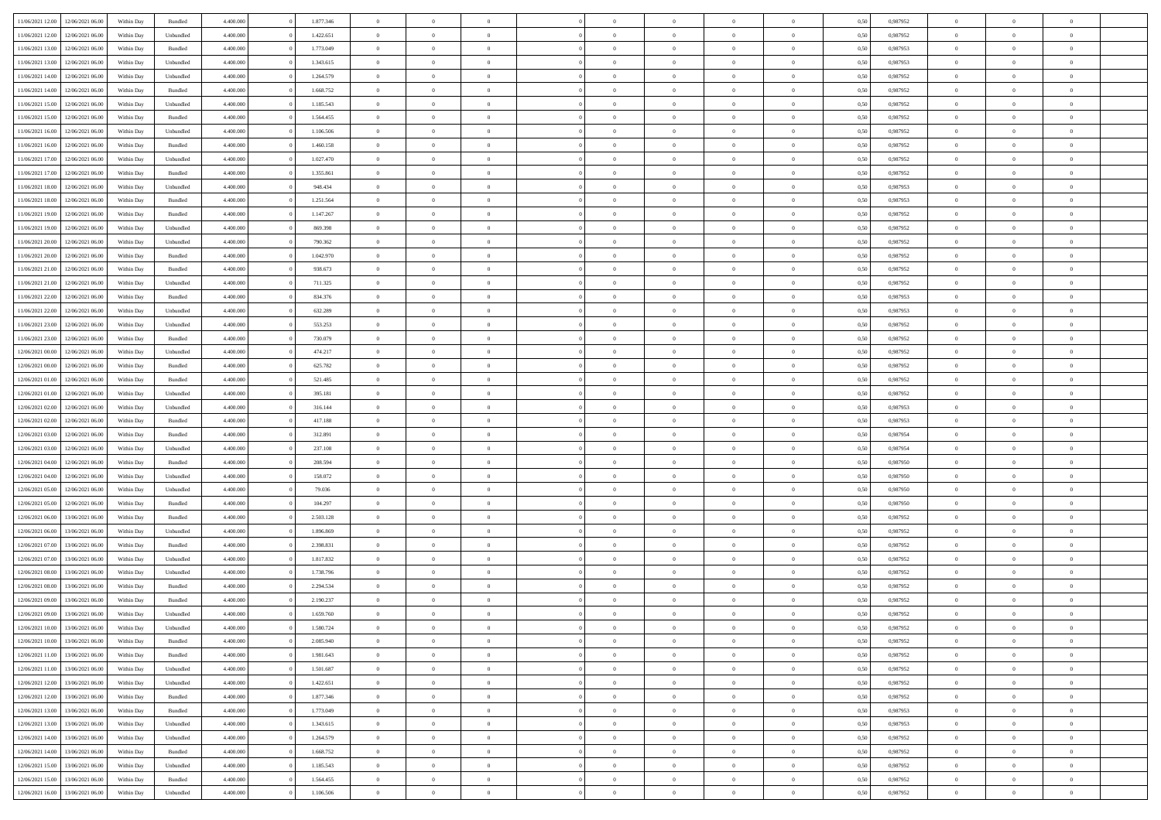| 11/06/2021 12:00                  | 12/06/2021 06:00 | Within Day | Bundled   | 4.400.000 | 1.877.346 | $\overline{0}$ | $\Omega$       |                | $\Omega$       | $\Omega$       | $\theta$       | $\theta$       | 0,50 | 0,987952 | $\theta$       | $\theta$       | $\theta$       |  |
|-----------------------------------|------------------|------------|-----------|-----------|-----------|----------------|----------------|----------------|----------------|----------------|----------------|----------------|------|----------|----------------|----------------|----------------|--|
|                                   |                  |            |           |           |           |                |                |                |                |                |                |                |      |          |                |                |                |  |
| 11/06/2021 12:00                  | 12/06/2021 06:00 | Within Day | Unbundled | 4.400.000 | 1.422.651 | $\overline{0}$ | $\theta$       | $\overline{0}$ | $\overline{0}$ | $\bf{0}$       | $\overline{0}$ | $\bf{0}$       | 0,50 | 0,987952 | $\theta$       | $\overline{0}$ | $\overline{0}$ |  |
| 11/06/2021 13:00                  | 12/06/2021 06:00 | Within Day | Bundled   | 4.400.000 | 1.773.049 | $\overline{0}$ | $\bf{0}$       | $\overline{0}$ | $\bf{0}$       | $\bf{0}$       | $\bf{0}$       | $\mathbf{0}$   | 0,50 | 0,987953 | $\overline{0}$ | $\overline{0}$ | $\bf{0}$       |  |
| 11/06/2021 13:00                  | 12/06/2021 06:00 | Within Day | Unbundled | 4.400.000 | 1.343.615 | $\overline{0}$ | $\overline{0}$ | $\overline{0}$ | $\overline{0}$ | $\bf{0}$       | $\overline{0}$ | $\overline{0}$ | 0.50 | 0,987953 | $\theta$       | $\theta$       | $\overline{0}$ |  |
| 11/06/2021 14:00                  | 12/06/2021 06:00 | Within Day | Unbundled | 4.400.000 | 1.264.579 | $\overline{0}$ | $\theta$       | $\overline{0}$ | $\overline{0}$ | $\bf{0}$       | $\overline{0}$ | $\bf{0}$       | 0,50 | 0,987952 | $\theta$       | $\overline{0}$ | $\overline{0}$ |  |
| 11/06/2021 14:00                  | 12/06/2021 06:00 | Within Day | Bundled   | 4.400.000 | 1.668.752 | $\overline{0}$ | $\overline{0}$ | $\overline{0}$ | $\bf{0}$       | $\overline{0}$ | $\overline{0}$ | $\mathbf{0}$   | 0,50 | 0,987952 | $\overline{0}$ | $\overline{0}$ | $\bf{0}$       |  |
| 11/06/2021 15:00                  | 12/06/2021 06:00 | Within Dav | Unbundled | 4.400.000 | 1.185.543 | $\overline{0}$ | $\overline{0}$ | $\overline{0}$ |                | $\overline{0}$ | $\overline{0}$ | $\overline{0}$ | 0.50 | 0,987952 | $\theta$       | $\overline{0}$ | $\overline{0}$ |  |
|                                   |                  |            |           |           |           |                |                |                | $\overline{0}$ |                |                |                |      |          |                |                |                |  |
| 11/06/2021 15:00                  | 12/06/2021 06:00 | Within Day | Bundled   | 4.400.000 | 1.564.455 | $\overline{0}$ | $\theta$       | $\overline{0}$ | $\overline{0}$ | $\bf{0}$       | $\overline{0}$ | $\bf{0}$       | 0,50 | 0,987952 | $\theta$       | $\theta$       | $\overline{0}$ |  |
| 11/06/2021 16:00                  | 12/06/2021 06:00 | Within Day | Unbundled | 4.400.000 | 1.106.506 | $\overline{0}$ | $\overline{0}$ | $\overline{0}$ | $\bf{0}$       | $\bf{0}$       | $\bf{0}$       | $\bf{0}$       | 0,50 | 0,987952 | $\,0\,$        | $\overline{0}$ | $\overline{0}$ |  |
| 11/06/2021 16:00                  | 12/06/2021 06:00 | Within Dav | Bundled   | 4.400.000 | 1.460.158 | $\overline{0}$ | $\overline{0}$ | $\overline{0}$ | $\overline{0}$ | $\overline{0}$ | $\overline{0}$ | $\overline{0}$ | 0.50 | 0,987952 | $\theta$       | $\overline{0}$ | $\overline{0}$ |  |
| 11/06/2021 17:00                  | 12/06/2021 06:00 | Within Day | Unbundled | 4.400.000 | 1.027.470 | $\overline{0}$ | $\theta$       | $\overline{0}$ | $\overline{0}$ | $\bf{0}$       | $\overline{0}$ | $\bf{0}$       | 0,50 | 0,987952 | $\,$ 0 $\,$    | $\overline{0}$ | $\overline{0}$ |  |
| 11/06/2021 17:00                  | 12/06/2021 06:00 | Within Day | Bundled   | 4.400.000 | 1.355.861 | $\overline{0}$ | $\bf{0}$       | $\overline{0}$ | $\bf{0}$       | $\bf{0}$       | $\bf{0}$       | $\mathbf{0}$   | 0,50 | 0,987952 | $\overline{0}$ | $\overline{0}$ | $\bf{0}$       |  |
| 11/06/2021 18:00                  | 12/06/2021 06:00 | Within Day | Unbundled | 4.400.000 | 948,434   | $\overline{0}$ | $\overline{0}$ | $\overline{0}$ | $\overline{0}$ | $\bf{0}$       | $\overline{0}$ | $\overline{0}$ | 0.50 | 0,987953 | $\theta$       | $\theta$       | $\overline{0}$ |  |
|                                   |                  |            |           |           |           | $\overline{0}$ | $\theta$       | $\overline{0}$ | $\overline{0}$ | $\bf{0}$       | $\overline{0}$ |                |      |          | $\theta$       | $\overline{0}$ | $\overline{0}$ |  |
| 11/06/2021 18:00                  | 12/06/2021 06:00 | Within Day | Bundled   | 4.400.000 | 1.251.564 |                |                |                |                |                |                | $\bf{0}$       | 0,50 | 0,987953 |                |                |                |  |
| 11/06/2021 19:00                  | 12/06/2021 06:00 | Within Day | Bundled   | 4.400.000 | 1.147.267 | $\overline{0}$ | $\overline{0}$ | $\overline{0}$ | $\bf{0}$       | $\overline{0}$ | $\overline{0}$ | $\mathbf{0}$   | 0,50 | 0,987952 | $\overline{0}$ | $\overline{0}$ | $\bf{0}$       |  |
| 11/06/2021 19:00                  | 12/06/2021 06:00 | Within Dav | Unbundled | 4.400.000 | 869.398   | $\overline{0}$ | $\overline{0}$ | $\overline{0}$ | $\overline{0}$ | $\overline{0}$ | $\overline{0}$ | $\overline{0}$ | 0.50 | 0,987952 | $\theta$       | $\overline{0}$ | $\overline{0}$ |  |
| 11/06/2021 20:00                  | 12/06/2021 06:00 | Within Day | Unbundled | 4.400.000 | 790.362   | $\overline{0}$ | $\theta$       | $\overline{0}$ | $\overline{0}$ | $\bf{0}$       | $\overline{0}$ | $\bf{0}$       | 0,50 | 0,987952 | $\theta$       | $\theta$       | $\overline{0}$ |  |
| 11/06/2021 20:00                  | 12/06/2021 06:00 | Within Day | Bundled   | 4.400.000 | 1.042.970 | $\overline{0}$ | $\overline{0}$ | $\overline{0}$ | $\bf{0}$       | $\bf{0}$       | $\bf{0}$       | $\mathbf{0}$   | 0,50 | 0,987952 | $\,0\,$        | $\overline{0}$ | $\bf{0}$       |  |
| 11/06/2021 21:00                  | 12/06/2021 06:00 | Within Dav | Bundled   | 4.400.000 | 938.673   | $\overline{0}$ | $\overline{0}$ | $\overline{0}$ | $\overline{0}$ | $\overline{0}$ | $\overline{0}$ | $\overline{0}$ | 0.50 | 0,987952 | $\theta$       | $\overline{0}$ | $\overline{0}$ |  |
| 11/06/2021 21:00                  | 12/06/2021 06:00 | Within Day | Unbundled | 4.400.000 | 711.325   | $\overline{0}$ | $\theta$       | $\overline{0}$ | $\overline{0}$ | $\bf{0}$       | $\overline{0}$ | $\bf{0}$       | 0,50 | 0,987952 | $\,$ 0 $\,$    | $\overline{0}$ | $\overline{0}$ |  |
|                                   |                  |            |           |           |           |                |                |                |                |                |                |                |      |          |                |                |                |  |
| 11/06/2021 22.00                  | 12/06/2021 06:00 | Within Day | Bundled   | 4.400.000 | 834.376   | $\overline{0}$ | $\overline{0}$ | $\overline{0}$ | $\bf{0}$       | $\bf{0}$       | $\bf{0}$       | $\mathbf{0}$   | 0,50 | 0,987953 | $\bf{0}$       | $\overline{0}$ | $\bf{0}$       |  |
| 11/06/2021 22:00                  | 12/06/2021 06:00 | Within Day | Unbundled | 4.400.000 | 632.289   | $\overline{0}$ | $\overline{0}$ | $\overline{0}$ | $\overline{0}$ | $\overline{0}$ | $\overline{0}$ | $\overline{0}$ | 0.50 | 0,987953 | $\theta$       | $\overline{0}$ | $\overline{0}$ |  |
| 11/06/2021 23:00                  | 12/06/2021 06:00 | Within Day | Unbundled | 4.400.000 | 553.253   | $\overline{0}$ | $\theta$       | $\overline{0}$ | $\overline{0}$ | $\bf{0}$       | $\overline{0}$ | $\bf{0}$       | 0,50 | 0,987952 | $\,$ 0 $\,$    | $\overline{0}$ | $\overline{0}$ |  |
| 11/06/2021 23:00                  | 12/06/2021 06:00 | Within Day | Bundled   | 4.400.000 | 730.079   | $\overline{0}$ | $\overline{0}$ | $\overline{0}$ | $\bf{0}$       | $\overline{0}$ | $\overline{0}$ | $\mathbf{0}$   | 0,50 | 0,987952 | $\bf{0}$       | $\overline{0}$ | $\bf{0}$       |  |
| 12/06/2021 00:00                  | 12/06/2021 06:00 | Within Day | Unbundled | 4.400.000 | 474.217   | $\overline{0}$ | $\overline{0}$ | $\overline{0}$ | $\overline{0}$ | $\overline{0}$ | $\overline{0}$ | $\overline{0}$ | 0.50 | 0,987952 | $\theta$       | $\overline{0}$ | $\overline{0}$ |  |
| 12/06/2021 00:00                  | 12/06/2021 06:00 | Within Day | Bundled   | 4.400.000 | 625.782   | $\overline{0}$ | $\theta$       | $\overline{0}$ | $\overline{0}$ | $\bf{0}$       | $\overline{0}$ | $\bf{0}$       | 0,50 | 0,987952 | $\theta$       | $\theta$       | $\overline{0}$ |  |
| 12/06/2021 01:00                  | 12/06/2021 06:00 | Within Day | Bundled   | 4.400.000 | 521.485   | $\overline{0}$ | $\overline{0}$ | $\overline{0}$ | $\bf{0}$       | $\bf{0}$       | $\bf{0}$       | $\bf{0}$       | 0,50 | 0,987952 | $\,0\,$        | $\overline{0}$ | $\overline{0}$ |  |
|                                   | 12/06/2021 06:00 |            | Unbundled | 4.400.000 | 395.181   | $\overline{0}$ | $\overline{0}$ | $\overline{0}$ | $\overline{0}$ | $\overline{0}$ | $\overline{0}$ | $\overline{0}$ | 0.50 | 0,987952 | $\theta$       | $\overline{0}$ | $\overline{0}$ |  |
| 12/06/2021 01:00                  |                  | Within Day |           |           |           |                |                |                |                |                |                |                |      |          |                |                |                |  |
| 12/06/2021 02:00                  | 12/06/2021 06:00 | Within Day | Unbundled | 4.400.000 | 316.144   | $\overline{0}$ | $\theta$       | $\overline{0}$ | $\overline{0}$ | $\bf{0}$       | $\overline{0}$ | $\bf{0}$       | 0,50 | 0,987953 | $\,$ 0 $\,$    | $\overline{0}$ | $\overline{0}$ |  |
| 12/06/2021 02:00                  | 12/06/2021 06:00 | Within Day | Bundled   | 4.400.000 | 417.188   | $\overline{0}$ | $\overline{0}$ | $\overline{0}$ | $\bf{0}$       | $\bf{0}$       | $\bf{0}$       | $\bf{0}$       | 0,50 | 0,987953 | $\bf{0}$       | $\overline{0}$ | $\bf{0}$       |  |
| 12/06/2021 03:00                  | 12/06/2021 06:00 | Within Day | Bundled   | 4.400,000 | 312.891   | $\bf{0}$       | $\Omega$       | $\Omega$       | $\Omega$       | $\Omega$       | $\overline{0}$ | $\overline{0}$ | 0,50 | 0,987954 | $\,0\,$        | $\theta$       | $\theta$       |  |
| 12/06/2021 03:00                  | 12/06/2021 06:00 | Within Day | Unbundled | 4.400.000 | 237.108   | $\overline{0}$ | $\theta$       | $\overline{0}$ | $\overline{0}$ | $\bf{0}$       | $\overline{0}$ | $\bf{0}$       | 0,50 | 0,987954 | $\theta$       | $\overline{0}$ | $\overline{0}$ |  |
| 12/06/2021 04:00                  | 12/06/2021 06:00 | Within Day | Bundled   | 4.400.000 | 208.594   | $\overline{0}$ | $\overline{0}$ | $\overline{0}$ | $\overline{0}$ | $\overline{0}$ | $\overline{0}$ | $\mathbf{0}$   | 0,50 | 0,987950 | $\bf{0}$       | $\overline{0}$ | $\bf{0}$       |  |
| 12/06/2021 04:00                  | 12/06/2021 06:00 | Within Day | Unbundled | 4.400,000 | 158,072   | $\overline{0}$ | $\Omega$       | $\Omega$       | $\Omega$       | $\bf{0}$       | $\overline{0}$ | $\overline{0}$ | 0.50 | 0,987950 | $\,0\,$        | $\theta$       | $\theta$       |  |
| 12/06/2021 05:00                  | 12/06/2021 06:00 | Within Day | Unbundled | 4.400.000 | 79.036    | $\overline{0}$ | $\theta$       | $\overline{0}$ | $\overline{0}$ | $\bf{0}$       | $\overline{0}$ | $\bf{0}$       | 0,50 | 0,987950 | $\,$ 0 $\,$    | $\overline{0}$ | $\overline{0}$ |  |
|                                   |                  |            |           |           |           |                |                |                |                |                |                |                |      |          |                |                |                |  |
| 12/06/2021 05:00                  | 12/06/2021 06:00 | Within Day | Bundled   | 4.400.000 | 104.297   | $\overline{0}$ | $\overline{0}$ | $\overline{0}$ | $\overline{0}$ | $\bf{0}$       | $\overline{0}$ | $\bf{0}$       | 0,50 | 0,987950 | $\bf{0}$       | $\overline{0}$ | $\bf{0}$       |  |
| 12/06/2021 06:00                  | 13/06/2021 06:00 | Within Day | Bundled   | 4.400,000 | 2.503.128 | $\overline{0}$ | $\Omega$       | $\Omega$       | $\Omega$       | $\overline{0}$ | $\overline{0}$ | $\overline{0}$ | 0.50 | 0.987952 | $\,$ 0 $\,$    | $\theta$       | $\theta$       |  |
| 12/06/2021 06:00                  | 13/06/2021 06:00 | Within Day | Unbundled | 4.400.000 | 1.896.869 | $\overline{0}$ | $\theta$       | $\overline{0}$ | $\overline{0}$ | $\,$ 0         | $\overline{0}$ | $\bf{0}$       | 0,50 | 0,987952 | $\,$ 0 $\,$    | $\overline{0}$ | $\overline{0}$ |  |
| 12/06/2021 07:00                  | 13/06/2021 06:00 | Within Day | Bundled   | 4.400.000 | 2.398.831 | $\overline{0}$ | $\bf{0}$       | $\overline{0}$ | $\bf{0}$       | $\bf{0}$       | $\bf{0}$       | $\mathbf{0}$   | 0,50 | 0,987952 | $\bf{0}$       | $\overline{0}$ | $\bf{0}$       |  |
| 12/06/2021 07:00                  | 13/06/2021 06:00 | Within Day | Unbundled | 4.400,000 | 1.817.832 | $\overline{0}$ | $\Omega$       | $\overline{0}$ | $\Omega$       | $\overline{0}$ | $\overline{0}$ | $\overline{0}$ | 0.50 | 0,987952 | $\,0\,$        | $\theta$       | $\theta$       |  |
| 12/06/2021 08:00                  | 13/06/2021 06:00 | Within Day | Unbundled | 4.400.000 | 1.738.796 | $\overline{0}$ | $\overline{0}$ | $\overline{0}$ | $\overline{0}$ | $\,$ 0         | $\overline{0}$ | $\bf{0}$       | 0,50 | 0,987952 | $\,$ 0 $\,$    | $\overline{0}$ | $\overline{0}$ |  |
| 12/06/2021 08:00                  | 13/06/2021 06:00 | Within Day | Bundled   | 4.400.000 | 2.294.534 | $\overline{0}$ | $\overline{0}$ | $\overline{0}$ | $\bf{0}$       | $\bf{0}$       | $\bf{0}$       | $\mathbf{0}$   | 0,50 | 0,987952 | $\bf{0}$       | $\overline{0}$ | $\bf{0}$       |  |
|                                   | 13/06/2021 06:00 |            | Bundled   | 4.400,000 | 2.190.237 | $\overline{0}$ | $\Omega$       | $\Omega$       | $\Omega$       | $\Omega$       | $\Omega$       | $\overline{0}$ | 0.50 | 0.987952 | $\theta$       | $\theta$       | $\theta$       |  |
| 12/06/2021 09:00                  |                  | Within Day |           |           |           |                |                |                |                |                |                |                |      |          |                |                |                |  |
| 12/06/2021 09:00                  | 13/06/2021 06:00 | Within Day | Unbundled | 4.400.000 | 1.659.760 | $\overline{0}$ | $\overline{0}$ | $\overline{0}$ | $\bf{0}$       | $\,$ 0         | $\bf{0}$       | $\bf{0}$       | 0,50 | 0,987952 | $\,0\,$        | $\,$ 0 $\,$    | $\overline{0}$ |  |
| 12/06/2021 10:00                  | 13/06/2021 06:00 | Within Day | Unbundled | 4.400.000 | 1.580.724 | $\overline{0}$ | $\bf{0}$       |                |                | $\bf{0}$       |                |                | 0,50 | 0,987952 | $\bf{0}$       | $\overline{0}$ |                |  |
| 12/06/2021 10:00                  | 13/06/2021 06:00 | Within Day | Bundled   | 4.400.000 | 2.085.940 | $\overline{0}$ | $\overline{0}$ | $\overline{0}$ | $\Omega$       | $\overline{0}$ | $\overline{0}$ | $\overline{0}$ | 0.50 | 0.987952 | $\theta$       | $\theta$       | $\theta$       |  |
| 12/06/2021 11:00                  | 13/06/2021 06:00 | Within Day | Bundled   | 4.400.000 | 1.981.643 | $\overline{0}$ | $\,$ 0         | $\overline{0}$ | $\bf{0}$       | $\,$ 0 $\,$    | $\overline{0}$ | $\mathbf{0}$   | 0,50 | 0,987952 | $\,$ 0 $\,$    | $\,$ 0 $\,$    | $\,$ 0         |  |
| 12/06/2021 11:00                  | 13/06/2021 06:00 | Within Day | Unbundled | 4.400.000 | 1.501.687 | $\overline{0}$ | $\overline{0}$ | $\overline{0}$ | $\overline{0}$ | $\overline{0}$ | $\overline{0}$ | $\mathbf{0}$   | 0,50 | 0,987952 | $\overline{0}$ | $\bf{0}$       | $\bf{0}$       |  |
| 12/06/2021 12:00                  | 13/06/2021 06:00 | Within Day | Unbundled | 4.400,000 | 1.422.651 | $\overline{0}$ | $\overline{0}$ | $\overline{0}$ | $\Omega$       | $\overline{0}$ | $\overline{0}$ | $\overline{0}$ | 0,50 | 0,987952 | $\overline{0}$ | $\theta$       | $\overline{0}$ |  |
| 12/06/2021 12:00                  | 13/06/2021 06:00 | Within Day | Bundled   | 4.400.000 | 1.877.346 | $\overline{0}$ | $\,$ 0         | $\overline{0}$ | $\overline{0}$ | $\,$ 0 $\,$    | $\overline{0}$ | $\mathbf{0}$   | 0,50 | 0,987952 | $\,$ 0 $\,$    | $\overline{0}$ | $\overline{0}$ |  |
|                                   |                  |            |           |           |           |                |                |                |                |                |                |                |      |          |                |                |                |  |
| 12/06/2021 13:00                  | 13/06/2021 06:00 | Within Day | Bundled   | 4.400.000 | 1.773.049 | $\overline{0}$ | $\overline{0}$ | $\overline{0}$ | $\overline{0}$ | $\overline{0}$ | $\overline{0}$ | $\mathbf{0}$   | 0,50 | 0,987953 | $\overline{0}$ | $\overline{0}$ | $\bf{0}$       |  |
| 12/06/2021 13:00                  | 13/06/2021 06:00 | Within Day | Unbundled | 4.400.000 | 1.343.615 | $\overline{0}$ | $\overline{0}$ | $\overline{0}$ | $\Omega$       | $\overline{0}$ | $\overline{0}$ | $\bf{0}$       | 0.50 | 0,987953 | $\overline{0}$ | $\theta$       | $\overline{0}$ |  |
| 12/06/2021 14:00                  | 13/06/2021 06:00 | Within Day | Unbundled | 4.400.000 | 1.264.579 | $\overline{0}$ | $\,$ 0         | $\overline{0}$ | $\bf{0}$       | $\bf{0}$       | $\bf{0}$       | $\bf{0}$       | 0,50 | 0,987952 | $\,$ 0 $\,$    | $\overline{0}$ | $\overline{0}$ |  |
| 12/06/2021 14:00                  | 13/06/2021 06:00 | Within Day | Bundled   | 4.400.000 | 1.668.752 | $\overline{0}$ | $\bf{0}$       | $\overline{0}$ | $\overline{0}$ | $\overline{0}$ | $\overline{0}$ | $\mathbf{0}$   | 0,50 | 0,987952 | $\overline{0}$ | $\overline{0}$ | $\bf{0}$       |  |
| 12/06/2021 15:00                  | 13/06/2021 06:00 | Within Day | Unbundled | 4.400,000 | 1.185.543 | $\overline{0}$ | $\overline{0}$ | $\overline{0}$ | $\Omega$       | $\overline{0}$ | $\overline{0}$ | $\bf{0}$       | 0.50 | 0,987952 | $\overline{0}$ | $\overline{0}$ | $\overline{0}$ |  |
| 12/06/2021 15:00                  | 13/06/2021 06:00 | Within Day | Bundled   | 4.400.000 | 1.564.455 | $\overline{0}$ | $\bf{0}$       | $\overline{0}$ | $\overline{0}$ | $\bf{0}$       | $\bf{0}$       | $\mathbf{0}$   | 0,50 | 0,987952 | $\,$ 0 $\,$    | $\,$ 0 $\,$    | $\bf{0}$       |  |
| 12/06/2021 16:00 13/06/2021 06:00 |                  | Within Day | Unbundled | 4.400.000 | 1.106.506 | $\overline{0}$ | $\overline{0}$ | $\overline{0}$ | $\overline{0}$ | $\overline{0}$ | $\bf{0}$       | $\mathbf{0}$   | 0,50 | 0,987952 | $\overline{0}$ | $\bf{0}$       | $\bf{0}$       |  |
|                                   |                  |            |           |           |           |                |                |                |                |                |                |                |      |          |                |                |                |  |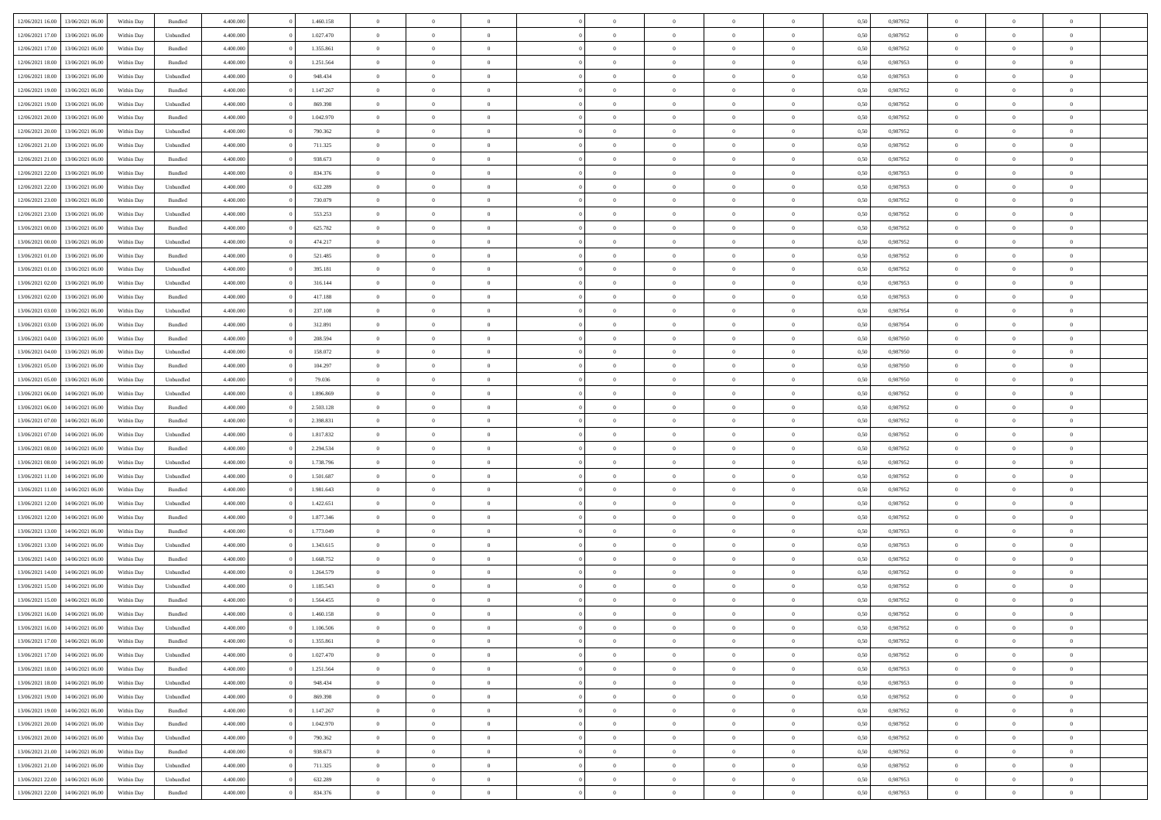| 12/06/2021 16:00 | 13/06/2021 06:00 | Within Day | Bundled   | 4.400.000 | 1.460.158 | $\overline{0}$ | $\Omega$       |                | $\Omega$       | $\Omega$       | $\theta$       | $\theta$       | 0,50 | 0,987952 | $\theta$       | $\theta$       | $\overline{0}$ |  |
|------------------|------------------|------------|-----------|-----------|-----------|----------------|----------------|----------------|----------------|----------------|----------------|----------------|------|----------|----------------|----------------|----------------|--|
|                  |                  |            |           |           |           |                |                |                |                |                |                |                |      |          |                |                |                |  |
| 12/06/2021 17:00 | 13/06/2021 06:00 | Within Day | Unbundled | 4.400.000 | 1.027.470 | $\overline{0}$ | $\theta$       | $\overline{0}$ | $\overline{0}$ | $\bf{0}$       | $\overline{0}$ | $\bf{0}$       | 0,50 | 0,987952 | $\theta$       | $\overline{0}$ | $\overline{0}$ |  |
| 12/06/2021 17:00 | 13/06/2021 06:00 | Within Day | Bundled   | 4.400.000 | 1.355.861 | $\overline{0}$ | $\bf{0}$       | $\overline{0}$ | $\bf{0}$       | $\bf{0}$       | $\bf{0}$       | $\mathbf{0}$   | 0,50 | 0,987952 | $\bf{0}$       | $\overline{0}$ | $\bf{0}$       |  |
| 12/06/2021 18:00 | 13/06/2021 06:00 | Within Dav | Bundled   | 4.400.000 | 1.251.564 | $\overline{0}$ | $\overline{0}$ | $\overline{0}$ | $\overline{0}$ | $\bf{0}$       | $\overline{0}$ | $\overline{0}$ | 0.50 | 0,987953 | $\theta$       | $\theta$       | $\overline{0}$ |  |
| 12/06/2021 18:00 | 13/06/2021 06:00 | Within Day | Unbundled | 4.400.000 | 948.434   | $\overline{0}$ | $\theta$       | $\overline{0}$ | $\overline{0}$ | $\bf{0}$       | $\overline{0}$ | $\bf{0}$       | 0,50 | 0,987953 | $\theta$       | $\overline{0}$ | $\overline{0}$ |  |
| 12/06/2021 19:00 | 13/06/2021 06:00 | Within Day | Bundled   | 4.400.000 | 1.147.267 | $\overline{0}$ | $\overline{0}$ | $\overline{0}$ | $\bf{0}$       | $\overline{0}$ | $\overline{0}$ | $\mathbf{0}$   | 0,50 | 0,987952 | $\bf{0}$       | $\overline{0}$ | $\bf{0}$       |  |
| 12/06/2021 19:00 | 13/06/2021 06:00 | Within Dav | Unbundled | 4.400.000 | 869.398   | $\overline{0}$ | $\overline{0}$ | $\overline{0}$ | $\overline{0}$ | $\overline{0}$ | $\overline{0}$ | $\overline{0}$ | 0.50 | 0,987952 | $\theta$       | $\overline{0}$ | $\overline{0}$ |  |
|                  |                  |            |           |           |           |                |                |                |                |                |                |                |      |          |                |                |                |  |
| 12/06/2021 20:00 | 13/06/2021 06:00 | Within Day | Bundled   | 4.400.000 | 1.042.970 | $\overline{0}$ | $\theta$       | $\overline{0}$ | $\overline{0}$ | $\bf{0}$       | $\overline{0}$ | $\bf{0}$       | 0,50 | 0,987952 | $\theta$       | $\theta$       | $\overline{0}$ |  |
| 12/06/2021 20:00 | 13/06/2021 06:00 | Within Day | Unbundled | 4.400.000 | 790.362   | $\overline{0}$ | $\overline{0}$ | $\overline{0}$ | $\bf{0}$       | $\bf{0}$       | $\bf{0}$       | $\mathbf{0}$   | 0,50 | 0,987952 | $\,0\,$        | $\overline{0}$ | $\overline{0}$ |  |
| 12/06/2021 21:00 | 13/06/2021 06:00 | Within Dav | Unbundled | 4.400.000 | 711.325   | $\overline{0}$ | $\overline{0}$ | $\overline{0}$ | $\overline{0}$ | $\overline{0}$ | $\overline{0}$ | $\overline{0}$ | 0.50 | 0,987952 | $\theta$       | $\overline{0}$ | $\overline{0}$ |  |
| 12/06/2021 21:00 | 13/06/2021 06:00 | Within Day | Bundled   | 4.400.000 | 938.673   | $\overline{0}$ | $\theta$       | $\overline{0}$ | $\overline{0}$ | $\bf{0}$       | $\overline{0}$ | $\bf{0}$       | 0,50 | 0,987952 | $\,$ 0 $\,$    | $\overline{0}$ | $\overline{0}$ |  |
| 12/06/2021 22:00 | 13/06/2021 06:00 | Within Day | Bundled   | 4.400.000 | 834.376   | $\overline{0}$ | $\overline{0}$ | $\overline{0}$ | $\bf{0}$       | $\bf{0}$       | $\bf{0}$       | $\mathbf{0}$   | 0,50 | 0,987953 | $\bf{0}$       | $\overline{0}$ | $\bf{0}$       |  |
| 12/06/2021 22:00 | 13/06/2021 06:00 | Within Day | Unbundled | 4.400.000 | 632.289   | $\overline{0}$ | $\overline{0}$ | $\overline{0}$ | $\overline{0}$ | $\bf{0}$       | $\overline{0}$ | $\overline{0}$ | 0.50 | 0,987953 | $\theta$       | $\theta$       | $\overline{0}$ |  |
| 12/06/2021 23:00 | 13/06/2021 06:00 | Within Day | Bundled   | 4.400.000 | 730.079   | $\overline{0}$ | $\theta$       | $\overline{0}$ | $\overline{0}$ | $\bf{0}$       | $\overline{0}$ | $\bf{0}$       | 0,50 | 0,987952 | $\theta$       | $\overline{0}$ | $\overline{0}$ |  |
|                  |                  |            |           |           |           |                |                |                |                |                |                |                |      |          |                |                |                |  |
| 12/06/2021 23:00 | 13/06/2021 06:00 | Within Day | Unbundled | 4.400.000 | 553.253   | $\overline{0}$ | $\overline{0}$ | $\overline{0}$ | $\bf{0}$       | $\overline{0}$ | $\overline{0}$ | $\mathbf{0}$   | 0,50 | 0,987952 | $\bf{0}$       | $\overline{0}$ | $\bf{0}$       |  |
| 13/06/2021 00:00 | 13/06/2021 06:00 | Within Dav | Bundled   | 4.400.000 | 625.782   | $\overline{0}$ | $\overline{0}$ | $\overline{0}$ | $\overline{0}$ | $\overline{0}$ | $\overline{0}$ | $\overline{0}$ | 0.50 | 0,987952 | $\theta$       | $\overline{0}$ | $\overline{0}$ |  |
| 13/06/2021 00:00 | 13/06/2021 06:00 | Within Day | Unbundled | 4.400.000 | 474.217   | $\overline{0}$ | $\theta$       | $\overline{0}$ | $\overline{0}$ | $\bf{0}$       | $\overline{0}$ | $\bf{0}$       | 0,50 | 0,987952 | $\theta$       | $\overline{0}$ | $\overline{0}$ |  |
| 13/06/2021 01:00 | 13/06/2021 06:00 | Within Day | Bundled   | 4.400.000 | 521.485   | $\overline{0}$ | $\overline{0}$ | $\overline{0}$ | $\bf{0}$       | $\bf{0}$       | $\bf{0}$       | $\mathbf{0}$   | 0,50 | 0,987952 | $\bf{0}$       | $\overline{0}$ | $\bf{0}$       |  |
| 13/06/2021 01:00 | 13/06/2021 06:00 | Within Day | Unbundled | 4.400.000 | 395.181   | $\overline{0}$ | $\overline{0}$ | $\overline{0}$ | $\overline{0}$ | $\overline{0}$ | $\overline{0}$ | $\overline{0}$ | 0.50 | 0,987952 | $\theta$       | $\overline{0}$ | $\overline{0}$ |  |
| 13/06/2021 02:00 | 13/06/2021 06:00 | Within Day | Unbundled | 4.400.000 | 316.144   | $\overline{0}$ | $\theta$       | $\overline{0}$ | $\overline{0}$ | $\bf{0}$       | $\overline{0}$ | $\bf{0}$       | 0,50 | 0,987953 | $\,$ 0 $\,$    | $\overline{0}$ | $\overline{0}$ |  |
| 13/06/2021 02:00 | 13/06/2021 06:00 | Within Day | Bundled   | 4.400.000 | 417.188   | $\overline{0}$ | $\overline{0}$ | $\overline{0}$ | $\bf{0}$       | $\bf{0}$       | $\bf{0}$       | $\mathbf{0}$   | 0,50 | 0,987953 | $\overline{0}$ | $\overline{0}$ | $\bf{0}$       |  |
|                  |                  |            |           |           |           |                |                |                |                |                |                |                |      |          | $\theta$       |                |                |  |
| 13/06/2021 03:00 | 13/06/2021 06:00 | Within Day | Unbundled | 4.400.000 | 237.108   | $\overline{0}$ | $\overline{0}$ | $\overline{0}$ | $\overline{0}$ | $\overline{0}$ | $\overline{0}$ | $\overline{0}$ | 0.50 | 0,987954 |                | $\overline{0}$ | $\overline{0}$ |  |
| 13/06/2021 03:00 | 13/06/2021 06:00 | Within Day | Bundled   | 4.400.000 | 312.891   | $\overline{0}$ | $\theta$       | $\overline{0}$ | $\overline{0}$ | $\bf{0}$       | $\overline{0}$ | $\bf{0}$       | 0,50 | 0,987954 | $\,$ 0 $\,$    | $\overline{0}$ | $\overline{0}$ |  |
| 13/06/2021 04:00 | 13/06/2021 06:00 | Within Day | Bundled   | 4.400.000 | 208.594   | $\overline{0}$ | $\overline{0}$ | $\overline{0}$ | $\bf{0}$       | $\overline{0}$ | $\overline{0}$ | $\mathbf{0}$   | 0,50 | 0,987950 | $\overline{0}$ | $\overline{0}$ | $\bf{0}$       |  |
| 13/06/2021 04:00 | 13/06/2021 06:00 | Within Dav | Unbundled | 4.400.000 | 158.072   | $\overline{0}$ | $\overline{0}$ | $\overline{0}$ | $\overline{0}$ | $\overline{0}$ | $\overline{0}$ | $\overline{0}$ | 0.50 | 0,987950 | $\overline{0}$ | $\overline{0}$ | $\overline{0}$ |  |
| 13/06/2021 05:00 | 13/06/2021 06:00 | Within Day | Bundled   | 4.400.000 | 104.297   | $\overline{0}$ | $\theta$       | $\overline{0}$ | $\overline{0}$ | $\bf{0}$       | $\overline{0}$ | $\bf{0}$       | 0,50 | 0,987950 | $\,$ 0 $\,$    | $\overline{0}$ | $\overline{0}$ |  |
| 13/06/2021 05:00 | 13/06/2021 06:00 | Within Day | Unbundled | 4.400.000 | 79.036    | $\overline{0}$ | $\overline{0}$ | $\overline{0}$ | $\bf{0}$       | $\bf{0}$       | $\bf{0}$       | $\bf{0}$       | 0,50 | 0,987950 | $\,0\,$        | $\overline{0}$ | $\overline{0}$ |  |
| 13/06/2021 06:00 | 14/06/2021 06:00 | Within Day | Unbundled | 4.400.000 | 1.896.869 | $\overline{0}$ | $\overline{0}$ | $\overline{0}$ | $\overline{0}$ | $\overline{0}$ | $\overline{0}$ | $\overline{0}$ | 0.50 | 0,987952 | $\theta$       | $\overline{0}$ | $\overline{0}$ |  |
|                  |                  |            |           |           |           | $\overline{0}$ |                |                |                |                |                |                |      |          |                |                |                |  |
| 13/06/2021 06:00 | 14/06/2021 06:00 | Within Day | Bundled   | 4.400.000 | 2.503.128 |                | $\theta$       | $\overline{0}$ | $\overline{0}$ | $\bf{0}$       | $\overline{0}$ | $\bf{0}$       | 0,50 | 0,987952 | $\,$ 0 $\,$    | $\overline{0}$ | $\overline{0}$ |  |
| 13/06/2021 07:00 | 14/06/2021 06:00 | Within Day | Bundled   | 4.400.000 | 2.398.831 | $\overline{0}$ | $\overline{0}$ | $\overline{0}$ | $\bf{0}$       | $\bf{0}$       | $\bf{0}$       | $\bf{0}$       | 0,50 | 0,987952 | $\bf{0}$       | $\overline{0}$ | $\bf{0}$       |  |
| 13/06/2021 07:00 | 14/06/2021 06:00 | Within Day | Unbundled | 4.400.000 | 1.817.832 | $\bf{0}$       | $\Omega$       | $\overline{0}$ | $\Omega$       | $\Omega$       | $\overline{0}$ | $\overline{0}$ | 0,50 | 0,987952 | $\,0\,$        | $\theta$       | $\theta$       |  |
| 13/06/2021 08:00 | 14/06/2021 06:00 | Within Day | Bundled   | 4.400.000 | 2.294.534 | $\overline{0}$ | $\theta$       | $\overline{0}$ | $\overline{0}$ | $\bf{0}$       | $\overline{0}$ | $\bf{0}$       | 0,50 | 0,987952 | $\,$ 0 $\,$    | $\overline{0}$ | $\overline{0}$ |  |
| 13/06/2021 08:00 | 14/06/2021 06:00 | Within Day | Unbundled | 4.400.000 | 1.738.796 | $\overline{0}$ | $\overline{0}$ | $\overline{0}$ | $\bf{0}$       | $\overline{0}$ | $\overline{0}$ | $\mathbf{0}$   | 0,50 | 0,987952 | $\bf{0}$       | $\overline{0}$ | $\bf{0}$       |  |
| 13/06/2021 11:00 | 14/06/2021 06:00 | Within Day | Unbundled | 4.400,000 | 1.501.687 | $\overline{0}$ | $\Omega$       | $\Omega$       | $\Omega$       | $\overline{0}$ | $\overline{0}$ | $\overline{0}$ | 0.50 | 0,987952 | $\,0\,$        | $\theta$       | $\theta$       |  |
| 13/06/2021 11:00 | 14/06/2021 06:00 | Within Day | Bundled   | 4.400.000 | 1.981.643 | $\overline{0}$ | $\theta$       | $\overline{0}$ | $\overline{0}$ | $\bf{0}$       | $\overline{0}$ | $\bf{0}$       | 0,50 | 0,987952 | $\,$ 0 $\,$    | $\overline{0}$ | $\overline{0}$ |  |
| 13/06/2021 12:00 | 14/06/2021 06:00 | Within Day | Unbundled | 4.400.000 | 1.422.651 | $\overline{0}$ | $\overline{0}$ | $\overline{0}$ | $\bf{0}$       | $\bf{0}$       | $\bf{0}$       | $\mathbf{0}$   | 0,50 | 0,987952 | $\bf{0}$       | $\overline{0}$ | $\bf{0}$       |  |
|                  |                  |            |           |           |           |                |                |                |                |                |                |                |      |          |                |                |                |  |
| 13/06/2021 12:00 | 14/06/2021 06:00 | Within Day | Bundled   | 4.400,000 | 1.877.346 | $\overline{0}$ | $\Omega$       | $\overline{0}$ | $\Omega$       | $\overline{0}$ | $\overline{0}$ | $\overline{0}$ | 0.50 | 0.987952 | $\,$ 0 $\,$    | $\theta$       | $\theta$       |  |
| 13/06/2021 13:00 | 14/06/2021 06:00 | Within Day | Bundled   | 4.400.000 | 1.773.049 | $\overline{0}$ | $\overline{0}$ | $\overline{0}$ | $\overline{0}$ | $\,$ 0         | $\overline{0}$ | $\bf{0}$       | 0,50 | 0,987953 | $\,$ 0 $\,$    | $\overline{0}$ | $\overline{0}$ |  |
| 13/06/2021 13:00 | 14/06/2021 06:00 | Within Day | Unbundled | 4.400.000 | 1.343.615 | $\overline{0}$ | $\overline{0}$ | $\overline{0}$ | $\bf{0}$       | $\bf{0}$       | $\bf{0}$       | $\mathbf{0}$   | 0,50 | 0,987953 | $\bf{0}$       | $\overline{0}$ | $\bf{0}$       |  |
| 13/06/2021 14:00 | 14/06/2021 06:00 | Within Day | Bundled   | 4.400,000 | 1.668.752 | $\overline{0}$ | $\Omega$       | $\overline{0}$ | $\Omega$       | $\overline{0}$ | $\overline{0}$ | $\overline{0}$ | 0,50 | 0,987952 | $\,0\,$        | $\theta$       | $\theta$       |  |
| 13/06/2021 14:00 | 14/06/2021 06:00 | Within Day | Unbundled | 4.400.000 | 1.264.579 | $\overline{0}$ | $\overline{0}$ | $\overline{0}$ | $\overline{0}$ | $\,$ 0         | $\overline{0}$ | $\bf{0}$       | 0,50 | 0,987952 | $\,$ 0 $\,$    | $\overline{0}$ | $\overline{0}$ |  |
| 13/06/2021 15:00 | 14/06/2021 06:00 | Within Day | Unbundled | 4.400.000 | 1.185.543 | $\overline{0}$ | $\overline{0}$ | $\overline{0}$ | $\bf{0}$       | $\bf{0}$       | $\overline{0}$ | $\mathbf{0}$   | 0,50 | 0,987952 | $\overline{0}$ | $\overline{0}$ | $\bf{0}$       |  |
| 13/06/2021 15:00 | 14/06/2021 06.00 | Within Day | Bundled   | 4.400,000 | 1.564.455 | $\overline{0}$ | $\Omega$       | $\Omega$       | $\Omega$       | $\Omega$       | $\Omega$       | $\overline{0}$ | 0.50 | 0.987952 | $\theta$       | $\theta$       | $\theta$       |  |
| 13/06/2021 16:00 | 14/06/2021 06:00 | Within Day | Bundled   | 4.400.000 | 1.460.158 | $\overline{0}$ | $\overline{0}$ | $\overline{0}$ | $\bf{0}$       | $\,$ 0         | $\bf{0}$       | $\bf{0}$       | 0,50 | 0,987952 | $\,0\,$        | $\,$ 0 $\,$    | $\overline{0}$ |  |
|                  |                  |            |           |           |           |                |                |                |                |                |                |                |      |          |                |                |                |  |
| 13/06/2021 16:00 | 14/06/2021 06:00 | Within Day | Unbundled | 4.400.000 | 1.106.506 | $\overline{0}$ | $\bf{0}$       |                |                | $\bf{0}$       |                |                | 0,50 | 0,987952 | $\bf{0}$       | $\overline{0}$ |                |  |
| 13/06/2021 17:00 | 14/06/2021 06:00 | Within Day | Bundled   | 4.400.000 | 1.355.861 | $\overline{0}$ | $\overline{0}$ | $\overline{0}$ | $\Omega$       | $\overline{0}$ | $\overline{0}$ | $\overline{0}$ | 0.50 | 0.987952 | $\theta$       | $\theta$       | $\theta$       |  |
| 13/06/2021 17:00 | 14/06/2021 06:00 | Within Day | Unbundled | 4.400.000 | 1.027.470 | $\overline{0}$ | $\bf{0}$       | $\overline{0}$ | $\bf{0}$       | $\,$ 0 $\,$    | $\overline{0}$ | $\,$ 0 $\,$    | 0,50 | 0,987952 | $\,$ 0 $\,$    | $\,$ 0 $\,$    | $\,$ 0         |  |
| 13/06/2021 18:00 | 14/06/2021 06:00 | Within Day | Bundled   | 4.400.000 | 1.251.564 | $\overline{0}$ | $\overline{0}$ | $\overline{0}$ | $\overline{0}$ | $\overline{0}$ | $\overline{0}$ | $\mathbf{0}$   | 0,50 | 0,987953 | $\overline{0}$ | $\bf{0}$       | $\bf{0}$       |  |
| 13/06/2021 18:00 | 14/06/2021 06:00 | Within Day | Unbundled | 4.400.000 | 948,434   | $\overline{0}$ | $\overline{0}$ | $\overline{0}$ | $\Omega$       | $\overline{0}$ | $\overline{0}$ | $\overline{0}$ | 0,50 | 0,987953 | $\overline{0}$ | $\,$ 0 $\,$    | $\overline{0}$ |  |
| 13/06/2021 19:00 | 14/06/2021 06:00 | Within Day | Unbundled | 4.400.000 | 869.398   | $\overline{0}$ | $\,$ 0         | $\overline{0}$ | $\bf{0}$       | $\,$ 0 $\,$    | $\overline{0}$ | $\mathbf{0}$   | 0,50 | 0,987952 | $\,$ 0 $\,$    | $\overline{0}$ | $\overline{0}$ |  |
| 13/06/2021 19:00 | 14/06/2021 06:00 | Within Day | Bundled   | 4.400.000 | 1.147.267 | $\overline{0}$ | $\overline{0}$ | $\overline{0}$ | $\overline{0}$ | $\overline{0}$ | $\overline{0}$ | $\mathbf{0}$   | 0,50 | 0,987952 | $\overline{0}$ | $\overline{0}$ | $\bf{0}$       |  |
|                  |                  |            |           |           |           |                |                |                |                |                |                |                |      |          |                |                |                |  |
| 13/06/2021 20:00 | 14/06/2021 06:00 | Within Day | Bundled   | 4.400.000 | 1.042.970 | $\overline{0}$ | $\overline{0}$ | $\overline{0}$ | $\overline{0}$ | $\overline{0}$ | $\overline{0}$ | $\bf{0}$       | 0.50 | 0,987952 | $\overline{0}$ | $\theta$       | $\overline{0}$ |  |
| 13/06/2021 20:00 | 14/06/2021 06:00 | Within Day | Unbundled | 4.400.000 | 790.362   | $\overline{0}$ | $\,$ 0         | $\overline{0}$ | $\bf{0}$       | $\bf{0}$       | $\bf{0}$       | $\bf{0}$       | 0,50 | 0,987952 | $\,$ 0 $\,$    | $\overline{0}$ | $\overline{0}$ |  |
| 13/06/2021 21:00 | 14/06/2021 06:00 | Within Day | Bundled   | 4.400.000 | 938.673   | $\overline{0}$ | $\bf{0}$       | $\overline{0}$ | $\overline{0}$ | $\overline{0}$ | $\overline{0}$ | $\mathbf{0}$   | 0,50 | 0,987952 | $\overline{0}$ | $\overline{0}$ | $\bf{0}$       |  |
| 13/06/2021 21:00 | 14/06/2021 06:00 | Within Day | Unbundled | 4.400,000 | 711.325   | $\overline{0}$ | $\overline{0}$ | $\overline{0}$ | $\Omega$       | $\overline{0}$ | $\overline{0}$ | $\overline{0}$ | 0.50 | 0,987952 | $\overline{0}$ | $\overline{0}$ | $\overline{0}$ |  |
| 13/06/2021 22:00 | 14/06/2021 06:00 | Within Day | Unbundled | 4.400.000 | 632.289   | $\overline{0}$ | $\bf{0}$       | $\overline{0}$ | $\bf{0}$       | $\bf{0}$       | $\bf{0}$       | $\mathbf{0}$   | 0,50 | 0,987953 | $\,$ 0 $\,$    | $\,$ 0 $\,$    | $\bf{0}$       |  |
| 13/06/2021 22:00 | 14/06/2021 06:00 | Within Day | Bundled   | 4.400.000 | 834.376   | $\overline{0}$ | $\overline{0}$ | $\overline{0}$ | $\overline{0}$ | $\overline{0}$ | $\bf{0}$       | $\mathbf{0}$   | 0,50 | 0,987953 | $\overline{0}$ | $\bf{0}$       | $\overline{0}$ |  |
|                  |                  |            |           |           |           |                |                |                |                |                |                |                |      |          |                |                |                |  |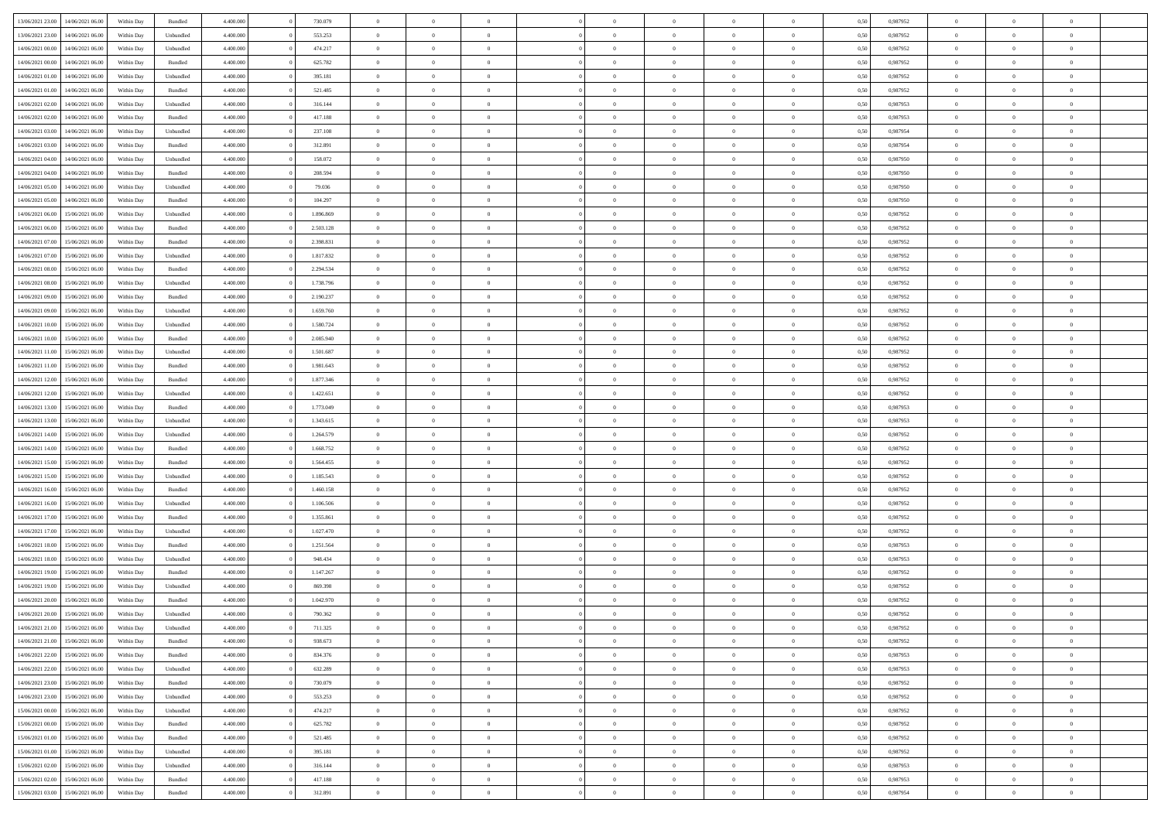| 13/06/2021 23:00 14/06/2021 06:00              |            |                   | 4.400.000 | 730.079   | $\overline{0}$ | $\overline{0}$ |                | $\overline{0}$ | $\theta$       |                | $\theta$       | 0,50 | 0,987952 | $\theta$       | $\theta$       | $\overline{0}$ |  |
|------------------------------------------------|------------|-------------------|-----------|-----------|----------------|----------------|----------------|----------------|----------------|----------------|----------------|------|----------|----------------|----------------|----------------|--|
|                                                | Within Day | Bundled           |           |           |                |                |                |                |                |                |                |      |          |                |                |                |  |
| 13/06/2021 23:00<br>14/06/2021 06:00           | Within Day | Unbundled         | 4.400.00  | 553.253   | $\bf{0}$       | $\bf{0}$       | $\bf{0}$       | $\overline{0}$ | $\overline{0}$ | $\overline{0}$ | $\bf{0}$       | 0,50 | 0,987952 | $\,$ 0 $\,$    | $\bf{0}$       | $\overline{0}$ |  |
| $14/06/2021\ 00.00$<br>14/06/2021 06:00        | Within Day | Unbundled         | 4,400,000 | 474.217   | $\overline{0}$ | $\bf{0}$       | $\overline{0}$ | $\bf{0}$       | $\bf{0}$       | $\overline{0}$ | $\bf{0}$       | 0.50 | 0,987952 | $\bf{0}$       | $\overline{0}$ | $\overline{0}$ |  |
| 14/06/2021 00:00<br>14/06/2021 06:00           | Within Day | Bundled           | 4.400.000 | 625.782   | $\overline{0}$ | $\overline{0}$ | $\overline{0}$ | $\overline{0}$ | $\theta$       | $\overline{0}$ | $\bf{0}$       | 0,50 | 0,987952 | $\,$ 0 $\,$    | $\,$ 0 $\,$    | $\overline{0}$ |  |
|                                                |            |                   |           |           |                |                |                |                |                |                |                |      |          |                |                |                |  |
| 14/06/2021 01:00<br>14/06/2021 06:00           | Within Day | Unbundled         | 4.400.00  | 395.181   | $\bf{0}$       | $\overline{0}$ | $\bf{0}$       | $\overline{0}$ | $\theta$       | $\overline{0}$ | $\bf{0}$       | 0,50 | 0,987952 | $\,$ 0 $\,$    | $\bf{0}$       | $\overline{0}$ |  |
| 14/06/2021 01:00<br>14/06/2021 06.00           | Within Day | Bundled           | 4,400,000 | 521.485   | $\overline{0}$ | $\overline{0}$ | $\overline{0}$ | $\overline{0}$ | $\overline{0}$ | $\theta$       | $\bf{0}$       | 0.50 | 0,987952 | $\,$ 0 $\,$    | $\theta$       | $\overline{0}$ |  |
| 14/06/2021 02:00<br>14/06/2021 06.00           | Within Day | Unbundled         | 4.400.000 | 316.144   | $\bf{0}$       | $\overline{0}$ | $\overline{0}$ | $\overline{0}$ | $\overline{0}$ | $\overline{0}$ | $\bf{0}$       | 0,50 | 0,987953 | $\,$ 0 $\,$    | $\theta$       | $\overline{0}$ |  |
| 14/06/2021 02:00<br>14/06/2021 06:00           | Within Day | Bundled           | 4.400.000 | 417.188   | $\bf{0}$       | $\overline{0}$ | $\bf{0}$       | $\overline{0}$ | $\overline{0}$ | $\overline{0}$ | $\bf{0}$       | 0,50 | 0,987953 | $\,$ 0 $\,$    | $\bf{0}$       | $\overline{0}$ |  |
| 14/06/2021 03:00<br>14/06/2021 06:00           | Within Day | Unbundled         | 4,400,000 | 237.108   | $\overline{0}$ | $\bf{0}$       | $\overline{0}$ | $\bf{0}$       | $\overline{0}$ | $\overline{0}$ | $\bf{0}$       | 0.50 | 0.987954 | $\theta$       | $\overline{0}$ | $\overline{0}$ |  |
|                                                |            |                   |           |           |                |                |                |                |                |                |                |      |          |                |                |                |  |
| 14/06/2021 03:00<br>14/06/2021 06:00           | Within Day | Bundled           | 4.400.000 | 312.891   | $\bf{0}$       | $\bf{0}$       | $\overline{0}$ | $\overline{0}$ | $\overline{0}$ | $\overline{0}$ | $\bf{0}$       | 0,50 | 0,987954 | $\,$ 0 $\,$    | $\bf{0}$       | $\overline{0}$ |  |
| 14/06/2021 04:00<br>14/06/2021 06:00           | Within Day | Unbundled         | 4.400.00  | 158.072   | $\bf{0}$       | $\overline{0}$ | $\bf{0}$       | $\bf{0}$       | $\bf{0}$       | $\overline{0}$ | $\bf{0}$       | 0,50 | 0,987950 | $\,$ 0 $\,$    | $\bf{0}$       | $\overline{0}$ |  |
| 14/06/2021 04:00<br>14/06/2021 06:00           | Within Day | Bundled           | 4,400,000 | 208,594   | $\overline{0}$ | $\bf{0}$       | $\overline{0}$ | $\overline{0}$ | $\bf{0}$       | $\overline{0}$ | $\bf{0}$       | 0.50 | 0.987950 | $\bf{0}$       | $\overline{0}$ | $\bf{0}$       |  |
| 14/06/2021 05:00<br>14/06/2021 06:00           | Within Day | Unbundled         | 4.400.000 | 79.036    | $\bf{0}$       | $\overline{0}$ | $\overline{0}$ | $\overline{0}$ | $\theta$       | $\overline{0}$ | $\bf{0}$       | 0,50 | 0,987950 | $\,$ 0 $\,$    | $\theta$       | $\overline{0}$ |  |
|                                                |            |                   |           |           |                | $\overline{0}$ |                |                | $\theta$       | $\overline{0}$ |                |      |          | $\,$ 0 $\,$    | $\bf{0}$       | $\overline{0}$ |  |
| 14/06/2021 05:00<br>14/06/2021 06:00           | Within Day | Bundled           | 4.400.00  | 104.297   | $\bf{0}$       |                | $\bf{0}$       | $\bf{0}$       |                |                | $\bf{0}$       | 0,50 | 0,987950 |                |                |                |  |
| 14/06/2021 06:00<br>15/06/2021 06:00           | Within Day | Unbundled         | 4,400,000 | 1.896.869 | $\overline{0}$ | $\overline{0}$ | $\overline{0}$ | $\bf{0}$       | $\theta$       | $\Omega$       | $\bf{0}$       | 0.50 | 0,987952 | $\theta$       | $\theta$       | $\overline{0}$ |  |
| 14/06/2021 06:00<br>15/06/2021 06:00           | Within Day | Bundled           | 4.400.000 | 2.503.128 | $\bf{0}$       | $\overline{0}$ | $\overline{0}$ | $\overline{0}$ | $\overline{0}$ | $\overline{0}$ | $\bf{0}$       | 0,50 | 0,987952 | $\,$ 0 $\,$    | $\theta$       | $\overline{0}$ |  |
| 14/06/2021 07:00<br>15/06/2021 06:00           | Within Day | Bundled           | 4.400.000 | 2.398.831 | $\bf{0}$       | $\overline{0}$ | $\bf{0}$       | $\overline{0}$ | $\bf{0}$       | $\overline{0}$ | $\bf{0}$       | 0,50 | 0,987952 | $\,$ 0 $\,$    | $\bf{0}$       | $\overline{0}$ |  |
| 14/06/2021 07:00<br>15/06/2021 06:00           | Within Day | Unbundled         | 4,400,000 | 1.817.832 | $\overline{0}$ | $\bf{0}$       | $\overline{0}$ | $\bf{0}$       | $\overline{0}$ | $\overline{0}$ | $\bf{0}$       | 0.50 | 0.987952 | $\bf{0}$       | $\overline{0}$ | $\overline{0}$ |  |
|                                                |            |                   |           |           |                |                |                |                |                |                |                |      |          |                |                |                |  |
| 14/06/2021 08:00<br>15/06/2021 06:00           | Within Day | Bundled           | 4.400.000 | 2.294.534 | $\bf{0}$       | $\bf{0}$       | $\overline{0}$ | $\overline{0}$ | $\overline{0}$ | $\overline{0}$ | $\bf{0}$       | 0,50 | 0,987952 | $\,$ 0 $\,$    | $\bf{0}$       | $\overline{0}$ |  |
| 14/06/2021 08:00<br>15/06/2021 06:00           | Within Day | Unbundled         | 4.400.00  | 1.738.796 | $\bf{0}$       | $\bf{0}$       | $\bf{0}$       | $\bf{0}$       | $\overline{0}$ | $\overline{0}$ | $\bf{0}$       | 0,50 | 0,987952 | $\,$ 0 $\,$    | $\bf{0}$       | $\overline{0}$ |  |
| 14/06/2021 09:00<br>15/06/2021 06:00           | Within Day | Bundled           | 4,400,000 | 2.190.237 | $\overline{0}$ | $\bf{0}$       | $\overline{0}$ | $\overline{0}$ | $\bf{0}$       | $\overline{0}$ | $\bf{0}$       | 0.50 | 0.987952 | $\bf{0}$       | $\overline{0}$ | $\bf{0}$       |  |
| 14/06/2021 09:00<br>15/06/2021 06:00           | Within Day | Unbundled         | 4.400.000 | 1.659.760 | $\overline{0}$ | $\overline{0}$ | $\overline{0}$ | $\overline{0}$ | $\theta$       | $\overline{0}$ | $\bf{0}$       | 0,50 | 0,987952 | $\,$ 0 $\,$    | $\theta$       | $\overline{0}$ |  |
| 14/06/2021 10:00<br>15/06/2021 06:00           | Within Day | Unbundled         | 4.400.000 | 1.580.724 | $\bf{0}$       | $\overline{0}$ | $\bf{0}$       | $\bf{0}$       | $\,$ 0 $\,$    | $\overline{0}$ | $\bf{0}$       | 0,50 | 0,987952 | $\,$ 0 $\,$    | $\bf{0}$       | $\overline{0}$ |  |
|                                                |            |                   |           |           |                |                |                |                |                |                |                |      |          |                |                |                |  |
| 14/06/2021 10:00<br>15/06/2021 06:00           | Within Day | Bundled           | 4,400,000 | 2.085.940 | $\overline{0}$ | $\overline{0}$ | $\overline{0}$ | $\overline{0}$ | $\overline{0}$ | $\Omega$       | $\bf{0}$       | 0.50 | 0,987952 | $\bf{0}$       | $\theta$       | $\overline{0}$ |  |
| 14/06/2021 11:00<br>15/06/2021 06:00           | Within Day | Unbundled         | 4.400.000 | 1.501.687 | $\bf{0}$       | $\overline{0}$ | $\overline{0}$ | $\overline{0}$ | $\overline{0}$ | $\overline{0}$ | $\bf{0}$       | 0,50 | 0,987952 | $\,$ 0 $\,$    | $\theta$       | $\overline{0}$ |  |
| 14/06/2021 11:00<br>15/06/2021 06:00           | Within Day | Bundled           | 4.400.000 | 1.981.643 | $\bf{0}$       | $\overline{0}$ | $\bf{0}$       | $\overline{0}$ | $\bf{0}$       | $\overline{0}$ | $\bf{0}$       | 0,50 | 0,987952 | $\,$ 0 $\,$    | $\theta$       | $\overline{0}$ |  |
| 14/06/2021 12:00<br>15/06/2021 06:00           | Within Day | Bundled           | 4,400,000 | 1,877,346 | $\overline{0}$ | $\bf{0}$       | $\overline{0}$ | $\bf{0}$       | $\overline{0}$ | $\overline{0}$ | $\bf{0}$       | 0.50 | 0.987952 | $\bf{0}$       | $\overline{0}$ | $\overline{0}$ |  |
| 14/06/2021 12:00<br>15/06/2021 06:00           | Within Day | Unbundled         | 4.400.000 | 1.422.651 | $\bf{0}$       | $\bf{0}$       | $\overline{0}$ | $\overline{0}$ | $\overline{0}$ | $\overline{0}$ | $\bf{0}$       | 0,50 | 0,987952 | $\,$ 0 $\,$    | $\bf{0}$       | $\overline{0}$ |  |
|                                                |            |                   |           |           |                |                |                |                |                |                |                |      |          |                |                |                |  |
| 14/06/2021 13:00<br>15/06/2021 06:00           | Within Day | Bundled           | 4.400.00  | 1.773.049 | $\bf{0}$       | $\bf{0}$       | $\bf{0}$       | $\bf{0}$       | $\overline{0}$ | $\overline{0}$ | $\bf{0}$       | 0,50 | 0,987953 | $\,$ 0 $\,$    | $\bf{0}$       | $\overline{0}$ |  |
| 14/06/2021 13:00<br>15/06/2021 06:00           | Within Day | Unbundled         | 4,400,000 | 1.343.615 | $\overline{0}$ | $\bf{0}$       | $\overline{0}$ | $\overline{0}$ | $\bf{0}$       | $\overline{0}$ | $\bf{0}$       | 0.50 | 0.987953 | $\bf{0}$       | $\overline{0}$ | $\bf{0}$       |  |
| 14/06/2021 14:00<br>15/06/2021 06:00           | Within Day | Unbundled         | 4.400.000 | 1.264.579 | $\overline{0}$ | $\overline{0}$ | $\overline{0}$ | $\overline{0}$ | $\overline{0}$ | $\overline{0}$ | $\bf{0}$       | 0.50 | 0,987952 | $\theta$       | $\theta$       | $\overline{0}$ |  |
| 14/06/2021 14:00<br>15/06/2021 06:00           | Within Day | Bundled           | 4.400.000 | 1.668.752 | $\bf{0}$       | $\overline{0}$ | $\bf{0}$       | $\bf{0}$       | $\,$ 0 $\,$    | $\overline{0}$ | $\bf{0}$       | 0,50 | 0,987952 | $\,$ 0 $\,$    | $\bf{0}$       | $\overline{0}$ |  |
| 14/06/2021 15:00<br>15/06/2021 06:00           | Within Day | Bundled           | 4,400,000 | 1.564.455 | $\overline{0}$ | $\overline{0}$ | $\overline{0}$ | $\bf{0}$       | $\overline{0}$ | $\Omega$       | $\bf{0}$       | 0.50 | 0,987952 | $\bf{0}$       | $\theta$       | $\overline{0}$ |  |
|                                                |            |                   |           |           |                |                |                |                |                |                |                |      |          |                |                |                |  |
| 14/06/2021 15:00<br>15/06/2021 06:00           | Within Day | Unbundled         | 4.400.000 | 1.185.543 | $\overline{0}$ | $\overline{0}$ | $\overline{0}$ | $\overline{0}$ | $\overline{0}$ | $\overline{0}$ | $\overline{0}$ | 0.50 | 0,987952 | $\theta$       | $\theta$       | $\overline{0}$ |  |
| 14/06/2021 16:00<br>15/06/2021 06:00           | Within Day | Bundled           | 4.400.000 | 1.460.158 | $\bf{0}$       | $\overline{0}$ | $\bf{0}$       | $\bf{0}$       | $\bf{0}$       | $\overline{0}$ | $\bf{0}$       | 0,50 | 0,987952 | $\,$ 0 $\,$    | $\bf{0}$       | $\overline{0}$ |  |
| 14/06/2021 16:00<br>15/06/2021 06:00           | Within Day | Unbundled         | 4,400,000 | 1.106.506 | $\overline{0}$ | $\bf{0}$       | $\overline{0}$ | $\bf{0}$       | $\overline{0}$ | $\overline{0}$ | $\bf{0}$       | 0.50 | 0.987952 | $\bf{0}$       | $\overline{0}$ | $\overline{0}$ |  |
| 14/06/2021 17:00<br>15/06/2021 06:00           | Within Day | Bundled           | 4.400.000 | 1.355.861 | $\overline{0}$ | $\overline{0}$ | $\overline{0}$ | $\overline{0}$ | $\overline{0}$ | $\overline{0}$ | $\overline{0}$ | 0.50 | 0,987952 | $\theta$       | $\theta$       | $\overline{0}$ |  |
| 14/06/2021 17:00<br>15/06/2021 06:00           | Within Day | Unbundled         | 4.400.00  | 1.027.470 | $\bf{0}$       | $\bf{0}$       | $\bf{0}$       | $\bf{0}$       | $\overline{0}$ | $\overline{0}$ | $\bf{0}$       | 0,50 | 0,987952 | $\,$ 0 $\,$    | $\bf{0}$       | $\overline{0}$ |  |
|                                                |            |                   |           |           |                |                |                |                |                |                |                |      |          |                |                |                |  |
| $14/06/2021\ 18.00$<br>15/06/2021 06:00        | Within Day | Bundled           | 4,400,000 | 1.251.564 | $\overline{0}$ | $\bf{0}$       | $\overline{0}$ | $\overline{0}$ | $\bf{0}$       | $\overline{0}$ | $\bf{0}$       | 0.50 | 0.987953 | $\bf{0}$       | $\overline{0}$ | $\overline{0}$ |  |
| 14/06/2021 18:00<br>15/06/2021 06:00           | Within Day | Unbundled         | 4.400.000 | 948.434   | $\overline{0}$ | $\overline{0}$ | $\overline{0}$ | $\overline{0}$ | $\overline{0}$ | $\overline{0}$ | $\overline{0}$ | 0.50 | 0,987953 | $\theta$       | $\theta$       | $\overline{0}$ |  |
| 14/06/2021 19:00<br>15/06/2021 06:00           | Within Day | Bundled           | 4.400.000 | 1.147.267 | $\bf{0}$       | $\overline{0}$ | $\bf{0}$       | $\bf{0}$       | $\overline{0}$ | $\overline{0}$ | $\bf{0}$       | 0,50 | 0,987952 | $\,$ 0 $\,$    | $\bf{0}$       | $\overline{0}$ |  |
| 14/06/2021 19:00<br>15/06/2021 06:00           | Within Day | Unbundled         | 4,400,000 | 869,398   | $\overline{0}$ | $\overline{0}$ | $\Omega$       | $\overline{0}$ | $\overline{0}$ | $\Omega$       | $\bf{0}$       | 0.50 | 0,987952 | $\bf{0}$       | $\theta$       | $\overline{0}$ |  |
| 14/06/2021 20:00<br>15/06/2021 06:00           | Within Dav | Bundled           | 4.400.000 | 1.042.970 | $\overline{0}$ | $\overline{0}$ | $\Omega$       | $\overline{0}$ | $\theta$       | $\overline{0}$ | $\overline{0}$ | 0.50 | 0,987952 | $\theta$       | $\theta$       | $\overline{0}$ |  |
| 14/06/2021 20:00<br>15/06/2021 06:00           | Within Day | Unbundled         | 4.400.000 | 790.362   | $\bf{0}$       | $\bf{0}$       | $\overline{0}$ | $\bf{0}$       | $\bf{0}$       | $\overline{0}$ | $\bf{0}$       | 0,50 | 0,987952 | $\,$ 0 $\,$    | $\bf{0}$       | $\overline{0}$ |  |
|                                                |            |                   |           |           |                |                |                |                |                |                |                |      |          |                |                |                |  |
| $14/06/2021\; 21.00 \qquad 15/06/2021\; 06.00$ | Within Day | ${\sf Unbundred}$ | 4.400.000 | 711.325   | $\overline{0}$ | $\Omega$       |                | $\Omega$       | $\Omega$       |                |                | 0,50 | 0,987952 | $\theta$       | $\bf{0}$       |                |  |
| 14/06/2021 21:00 15/06/2021 06:00              | Within Day | Bundled           | 4.400.000 | 938.673   | $\overline{0}$ | $\overline{0}$ | $\overline{0}$ | $\overline{0}$ | $\overline{0}$ | $\overline{0}$ | $\bf{0}$       | 0,50 | 0,987952 | $\theta$       | $\overline{0}$ | $\overline{0}$ |  |
| 14/06/2021 22:00<br>15/06/2021 06:00           | Within Day | Bundled           | 4.400.000 | 834.376   | $\overline{0}$ | $\bf{0}$       | $\overline{0}$ | $\overline{0}$ | $\bf{0}$       | $\overline{0}$ | $\bf{0}$       | 0,50 | 0,987953 | $\overline{0}$ | $\overline{0}$ | $\bf{0}$       |  |
| 14/06/2021 22:00 15/06/2021 06:00              | Within Day | Unbundled         | 4.400.000 | 632.289   | $\overline{0}$ | $\overline{0}$ | $\overline{0}$ | $\overline{0}$ | $\mathbf{0}$   | $\overline{0}$ | $\,$ 0 $\,$    | 0.50 | 0.987953 | $\overline{0}$ | $\overline{0}$ | $\overline{0}$ |  |
|                                                |            |                   |           |           |                |                |                |                |                |                |                |      |          |                |                |                |  |
| 14/06/2021 23:00 15/06/2021 06:00              | Within Day | Bundled           | 4.400.000 | 730.079   | $\overline{0}$ | $\overline{0}$ | $\overline{0}$ | $\overline{0}$ | $\overline{0}$ | $\overline{0}$ | $\bf{0}$       | 0,50 | 0,987952 | $\overline{0}$ | $\overline{0}$ | $\overline{0}$ |  |
| 14/06/2021 23:00<br>15/06/2021 06:00           | Within Day | Unbundled         | 4.400.000 | 553.253   | $\overline{0}$ | $\bf{0}$       | $\overline{0}$ | $\overline{0}$ | $\bf{0}$       | $\overline{0}$ | $\bf{0}$       | 0,50 | 0,987952 | $\bf{0}$       | $\overline{0}$ | $\overline{0}$ |  |
| 15/06/2021 00:00<br>15/06/2021 06:00           | Within Day | Unbundled         | 4.400.000 | 474.217   | $\overline{0}$ | $\bf{0}$       | $\overline{0}$ | $\overline{0}$ | $\bf{0}$       | $\overline{0}$ | $\bf{0}$       | 0.50 | 0.987952 | $\,$ 0 $\,$    | $\overline{0}$ | $\,$ 0         |  |
| 15/06/2021 00:00<br>15/06/2021 06:00           | Within Day | Bundled           | 4.400.000 | 625.782   | $\overline{0}$ | $\overline{0}$ | $\overline{0}$ | $\overline{0}$ | $\overline{0}$ | $\overline{0}$ | $\bf{0}$       | 0,50 | 0,987952 | $\overline{0}$ | $\overline{0}$ | $\overline{0}$ |  |
| 15/06/2021 01:00<br>15/06/2021 06:00           | Within Day | Bundled           | 4.400.000 | 521.485   | $\overline{0}$ | $\overline{0}$ | $\overline{0}$ | $\overline{0}$ | $\overline{0}$ | $\overline{0}$ | $\bf{0}$       | 0,50 | 0,987952 | $\bf{0}$       | $\overline{0}$ | $\,$ 0         |  |
| 15/06/2021 01:00 15/06/2021 06:00              |            |                   |           |           |                |                |                |                |                |                |                |      |          |                |                |                |  |
|                                                | Within Day | Unbundled         | 4.400.000 | 395.181   | $\overline{0}$ | $\overline{0}$ | $\overline{0}$ | $\overline{0}$ | $\overline{0}$ | $\overline{0}$ | $\bf{0}$       | 0.50 | 0.987952 | $\mathbf{0}$   | $\bf{0}$       | $\,$ 0         |  |
| 15/06/2021 02:00 15/06/2021 06:00              | Within Day | Unbundled         | 4.400.000 | 316.144   | $\overline{0}$ | $\overline{0}$ | $\overline{0}$ | $\overline{0}$ | $\overline{0}$ | $\overline{0}$ | $\bf{0}$       | 0,50 | 0,987953 | $\overline{0}$ | $\overline{0}$ | $\overline{0}$ |  |
| 15/06/2021 02:00<br>15/06/2021 06:00           | Within Day | Bundled           | 4.400.000 | 417.188   | $\overline{0}$ | $\bf{0}$       | $\overline{0}$ | $\overline{0}$ | $\bf{0}$       | $\overline{0}$ | $\bf{0}$       | 0,50 | 0,987953 | $\bf{0}$       | $\overline{0}$ | $\bf{0}$       |  |
| 15/06/2021 03:00 15/06/2021 06:00              | Within Day | Bundled           | 4.400.000 | 312.891   | $\,$ 0 $\,$    | $\bf{0}$       | $\overline{0}$ | $\overline{0}$ | $\,$ 0 $\,$    | $\,$ 0 $\,$    | $\,$ 0 $\,$    | 0,50 | 0,987954 | $\,$ 0 $\,$    | $\,$ 0 $\,$    | $\,$ 0 $\,$    |  |
|                                                |            |                   |           |           |                |                |                |                |                |                |                |      |          |                |                |                |  |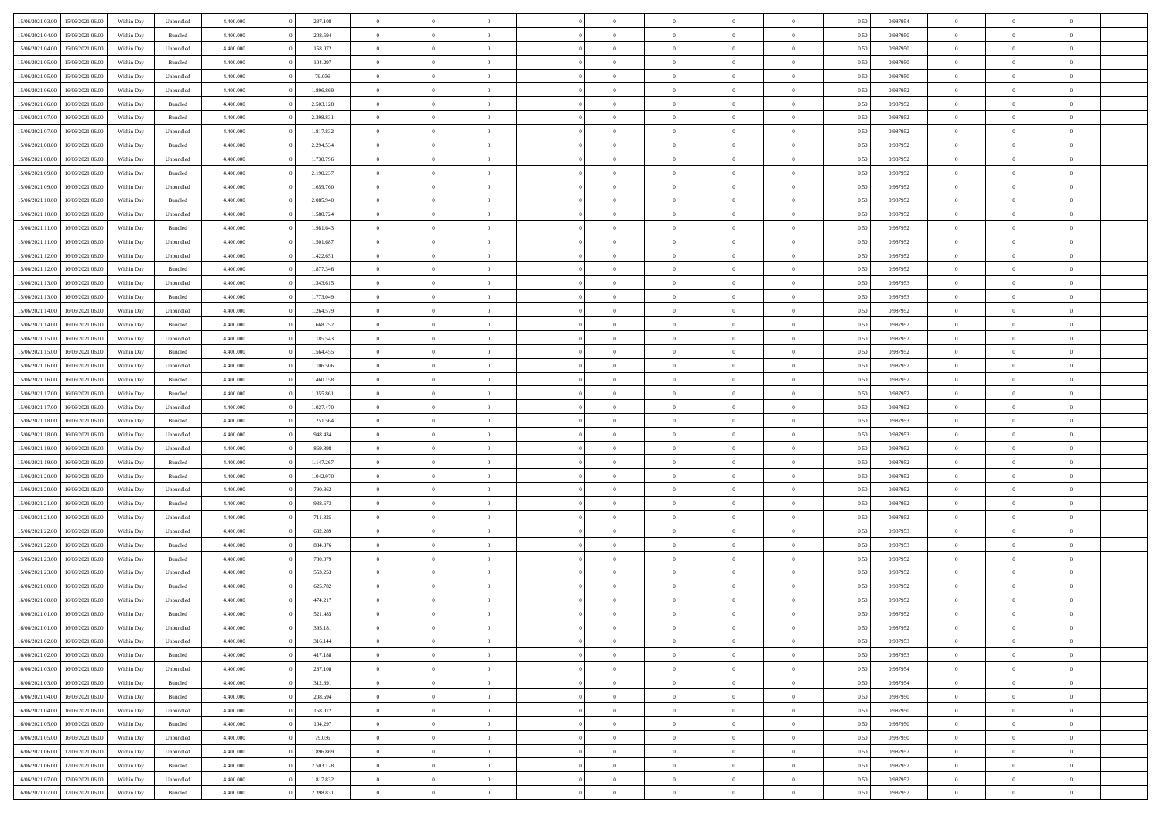| 15/06/2021 03:00 | 15/06/2021 06:00 | Within Day | Unbundled | 4.400.000 | 237.108   | $\overline{0}$ | $\Omega$       |                | $\Omega$       | $\Omega$       | $\Omega$       | $\theta$       | 0.50 | 0.987954 | $\theta$       | $\theta$       | $\theta$       |  |
|------------------|------------------|------------|-----------|-----------|-----------|----------------|----------------|----------------|----------------|----------------|----------------|----------------|------|----------|----------------|----------------|----------------|--|
| 15/06/2021 04:00 | 15/06/2021 06:00 | Within Day | Bundled   | 4.400.000 | 208.594   | $\overline{0}$ | $\theta$       | $\overline{0}$ | $\overline{0}$ | $\bf{0}$       | $\overline{0}$ | $\bf{0}$       | 0,50 | 0,987950 | $\theta$       | $\theta$       | $\overline{0}$ |  |
| 15/06/2021 04:00 | 15/06/2021 06:00 | Within Day | Unbundled | 4.400.000 | 158.072   | $\overline{0}$ | $\overline{0}$ | $\overline{0}$ | $\bf{0}$       | $\bf{0}$       | $\bf{0}$       | $\bf{0}$       | 0,50 | 0,987950 | $\overline{0}$ | $\overline{0}$ | $\overline{0}$ |  |
| 15/06/2021 05:00 | 15/06/2021 06:00 | Within Dav | Bundled   | 4.400.000 | 104.297   | $\overline{0}$ | $\overline{0}$ | $\overline{0}$ | $\overline{0}$ | $\bf{0}$       | $\overline{0}$ | $\overline{0}$ | 0.50 | 0,987950 | $\theta$       | $\theta$       | $\overline{0}$ |  |
| 15/06/2021 05:00 | 15/06/2021 06:00 | Within Day | Unbundled | 4.400.000 | 79.036    | $\overline{0}$ | $\theta$       | $\overline{0}$ | $\overline{0}$ | $\bf{0}$       | $\overline{0}$ | $\bf{0}$       | 0,50 | 0,987950 | $\theta$       | $\theta$       | $\overline{0}$ |  |
|                  |                  |            |           |           |           |                |                |                |                |                |                |                |      |          |                |                |                |  |
| 15/06/2021 06:00 | 16/06/2021 06:00 | Within Day | Unbundled | 4.400.000 | 1.896.869 | $\overline{0}$ | $\bf{0}$       | $\overline{0}$ | $\bf{0}$       | $\overline{0}$ | $\overline{0}$ | $\mathbf{0}$   | 0,50 | 0,987952 | $\overline{0}$ | $\overline{0}$ | $\bf{0}$       |  |
| 15/06/2021 06:00 | 16/06/2021 06:00 | Within Dav | Bundled   | 4.400.000 | 2.503.128 | $\overline{0}$ | $\overline{0}$ | $\overline{0}$ | $\overline{0}$ | $\overline{0}$ | $\overline{0}$ | $\overline{0}$ | 0.50 | 0,987952 | $\theta$       | $\overline{0}$ | $\overline{0}$ |  |
| 15/06/2021 07:00 | 16/06/2021 06:00 | Within Day | Bundled   | 4.400.000 | 2.398.831 | $\overline{0}$ | $\theta$       | $\overline{0}$ | $\overline{0}$ | $\bf{0}$       | $\overline{0}$ | $\bf{0}$       | 0,50 | 0,987952 | $\theta$       | $\theta$       | $\overline{0}$ |  |
| 15/06/2021 07:00 | 16/06/2021 06:00 | Within Day | Unbundled | 4.400.000 | 1.817.832 | $\overline{0}$ | $\overline{0}$ | $\overline{0}$ | $\bf{0}$       | $\bf{0}$       | $\bf{0}$       | $\bf{0}$       | 0,50 | 0,987952 | $\,0\,$        | $\overline{0}$ | $\overline{0}$ |  |
| 15/06/2021 08:00 | 16/06/2021 06:00 | Within Dav | Bundled   | 4.400.000 | 2.294.534 | $\overline{0}$ | $\overline{0}$ | $\overline{0}$ | $\overline{0}$ | $\overline{0}$ | $\overline{0}$ | $\overline{0}$ | 0.50 | 0,987952 | $\theta$       | $\overline{0}$ | $\overline{0}$ |  |
| 15/06/2021 08:00 | 16/06/2021 06:00 | Within Day | Unbundled | 4.400.000 | 1.738.796 | $\overline{0}$ | $\theta$       | $\overline{0}$ | $\overline{0}$ | $\bf{0}$       | $\overline{0}$ | $\bf{0}$       | 0,50 | 0,987952 | $\,$ 0 $\,$    | $\overline{0}$ | $\overline{0}$ |  |
| 15/06/2021 09:00 | 16/06/2021 06:00 | Within Day | Bundled   | 4.400.000 | 2.190.237 | $\overline{0}$ | $\overline{0}$ | $\overline{0}$ | $\bf{0}$       | $\bf{0}$       | $\bf{0}$       | $\bf{0}$       | 0,50 | 0,987952 | $\overline{0}$ | $\overline{0}$ | $\overline{0}$ |  |
|                  |                  |            |           |           |           |                |                |                |                |                |                |                |      |          |                |                |                |  |
| 15/06/2021 09:00 | 16/06/2021 06:00 | Within Day | Unbundled | 4.400.000 | 1.659.760 | $\overline{0}$ | $\overline{0}$ | $\overline{0}$ | $\overline{0}$ | $\bf{0}$       | $\overline{0}$ | $\overline{0}$ | 0.50 | 0,987952 | $\theta$       | $\theta$       | $\overline{0}$ |  |
| 15/06/2021 10:00 | 16/06/2021 06:00 | Within Day | Bundled   | 4.400.000 | 2.085.940 | $\overline{0}$ | $\theta$       | $\overline{0}$ | $\overline{0}$ | $\bf{0}$       | $\overline{0}$ | $\bf{0}$       | 0,50 | 0,987952 | $\theta$       | $\theta$       | $\overline{0}$ |  |
| 15/06/2021 10:00 | 16/06/2021 06:00 | Within Day | Unbundled | 4.400.000 | 1.580.724 | $\overline{0}$ | $\bf{0}$       | $\overline{0}$ | $\bf{0}$       | $\overline{0}$ | $\overline{0}$ | $\mathbf{0}$   | 0,50 | 0,987952 | $\overline{0}$ | $\overline{0}$ | $\bf{0}$       |  |
| 15/06/2021 11:00 | 16/06/2021 06:00 | Within Dav | Bundled   | 4.400.000 | 1.981.643 | $\overline{0}$ | $\overline{0}$ | $\overline{0}$ | $\overline{0}$ | $\overline{0}$ | $\overline{0}$ | $\overline{0}$ | 0.50 | 0,987952 | $\theta$       | $\overline{0}$ | $\overline{0}$ |  |
| 15/06/2021 11:00 | 16/06/2021 06:00 | Within Day | Unbundled | 4.400.000 | 1.501.687 | $\overline{0}$ | $\theta$       | $\overline{0}$ | $\overline{0}$ | $\bf{0}$       | $\overline{0}$ | $\bf{0}$       | 0,50 | 0,987952 | $\theta$       | $\theta$       | $\overline{0}$ |  |
| 15/06/2021 12:00 | 16/06/2021 06:00 | Within Day | Unbundled | 4.400.000 | 1.422.651 | $\overline{0}$ | $\overline{0}$ | $\overline{0}$ | $\bf{0}$       | $\bf{0}$       | $\bf{0}$       | $\bf{0}$       | 0,50 | 0,987952 | $\,0\,$        | $\overline{0}$ | $\overline{0}$ |  |
| 15/06/2021 12:00 | 16/06/2021 06:00 | Within Day | Bundled   | 4.400.000 | 1.877.346 | $\overline{0}$ | $\overline{0}$ | $\overline{0}$ | $\overline{0}$ | $\overline{0}$ | $\overline{0}$ | $\overline{0}$ | 0.50 | 0,987952 | $\theta$       | $\overline{0}$ | $\overline{0}$ |  |
|                  |                  |            |           |           |           | $\overline{0}$ |                |                |                |                |                |                |      |          |                |                |                |  |
| 15/06/2021 13:00 | 16/06/2021 06:00 | Within Day | Unbundled | 4.400.000 | 1.343.615 |                | $\theta$       | $\overline{0}$ | $\overline{0}$ | $\bf{0}$       | $\overline{0}$ | $\bf{0}$       | 0,50 | 0,987953 | $\,$ 0 $\,$    | $\theta$       | $\overline{0}$ |  |
| 15/06/2021 13:00 | 16/06/2021 06:00 | Within Day | Bundled   | 4.400.000 | 1.773.049 | $\overline{0}$ | $\overline{0}$ | $\overline{0}$ | $\bf{0}$       | $\bf{0}$       | $\bf{0}$       | $\bf{0}$       | 0,50 | 0,987953 | $\,0\,$        | $\overline{0}$ | $\overline{0}$ |  |
| 15/06/2021 14:00 | 16/06/2021 06:00 | Within Day | Unbundled | 4.400.000 | 1.264.579 | $\overline{0}$ | $\overline{0}$ | $\overline{0}$ | $\overline{0}$ | $\bf{0}$       | $\overline{0}$ | $\overline{0}$ | 0.50 | 0,987952 | $\theta$       | $\theta$       | $\overline{0}$ |  |
| 15/06/2021 14:00 | 16/06/2021 06:00 | Within Day | Bundled   | 4.400.000 | 1.668.752 | $\overline{0}$ | $\theta$       | $\overline{0}$ | $\overline{0}$ | $\bf{0}$       | $\overline{0}$ | $\bf{0}$       | 0,50 | 0,987952 | $\,$ 0 $\,$    | $\overline{0}$ | $\overline{0}$ |  |
| 15/06/2021 15:00 | 16/06/2021 06:00 | Within Day | Unbundled | 4.400.000 | 1.185.543 | $\overline{0}$ | $\bf{0}$       | $\overline{0}$ | $\bf{0}$       | $\overline{0}$ | $\overline{0}$ | $\mathbf{0}$   | 0,50 | 0,987952 | $\bf{0}$       | $\overline{0}$ | $\bf{0}$       |  |
| 15/06/2021 15:00 | 16/06/2021 06:00 | Within Dav | Bundled   | 4.400.000 | 1.564.455 | $\overline{0}$ | $\overline{0}$ | $\overline{0}$ | $\overline{0}$ | $\overline{0}$ | $\overline{0}$ | $\overline{0}$ | 0.50 | 0,987952 | $\theta$       | $\overline{0}$ | $\overline{0}$ |  |
| 15/06/2021 16:00 | 16/06/2021 06:00 | Within Day | Unbundled | 4.400.000 | 1.106.506 | $\overline{0}$ | $\theta$       | $\overline{0}$ | $\overline{0}$ | $\bf{0}$       | $\overline{0}$ | $\bf{0}$       | 0,50 | 0,987952 | $\theta$       | $\theta$       | $\overline{0}$ |  |
|                  |                  |            |           |           |           |                |                |                |                |                |                |                |      |          |                |                |                |  |
| 15/06/2021 16:00 | 16/06/2021 06:00 | Within Day | Bundled   | 4.400.000 | 1.460.158 | $\overline{0}$ | $\overline{0}$ | $\overline{0}$ | $\bf{0}$       | $\bf{0}$       | $\bf{0}$       | $\bf{0}$       | 0,50 | 0,987952 | $\,0\,$        | $\overline{0}$ | $\overline{0}$ |  |
| 15/06/2021 17:00 | 16/06/2021 06:00 | Within Day | Bundled   | 4.400.000 | 1.355.861 | $\overline{0}$ | $\overline{0}$ | $\overline{0}$ | $\overline{0}$ | $\overline{0}$ | $\overline{0}$ | $\overline{0}$ | 0.50 | 0,987952 | $\theta$       | $\overline{0}$ | $\overline{0}$ |  |
| 15/06/2021 17:00 | 16/06/2021 06:00 | Within Day | Unbundled | 4.400.000 | 1.027.470 | $\overline{0}$ | $\theta$       | $\overline{0}$ | $\overline{0}$ | $\bf{0}$       | $\overline{0}$ | $\bf{0}$       | 0,50 | 0,987952 | $\,$ 0 $\,$    | $\overline{0}$ | $\overline{0}$ |  |
| 15/06/2021 18:00 | 16/06/2021 06:00 | Within Day | Bundled   | 4.400.000 | 1.251.564 | $\overline{0}$ | $\overline{0}$ | $\overline{0}$ | $\bf{0}$       | $\bf{0}$       | $\bf{0}$       | $\bf{0}$       | 0,50 | 0,987953 | $\bf{0}$       | $\overline{0}$ | $\overline{0}$ |  |
| 15/06/2021 18:00 | 16/06/2021 06:00 | Within Day | Unbundled | 4.400,000 | 948,434   | $\overline{0}$ | $\Omega$       | $\Omega$       | $\Omega$       | $\Omega$       | $\Omega$       | $\overline{0}$ | 0.50 | 0,987953 | $\,0\,$        | $\theta$       | $\theta$       |  |
| 15/06/2021 19:00 | 16/06/2021 06:00 | Within Day | Unbundled | 4.400.000 | 869.398   | $\overline{0}$ | $\theta$       | $\overline{0}$ | $\overline{0}$ | $\bf{0}$       | $\overline{0}$ | $\bf{0}$       | 0,50 | 0,987952 | $\theta$       | $\theta$       | $\overline{0}$ |  |
| 15/06/2021 19:00 | 16/06/2021 06:00 | Within Day | Bundled   | 4.400.000 | 1.147.267 | $\overline{0}$ | $\overline{0}$ | $\overline{0}$ | $\bf{0}$       | $\bf{0}$       | $\overline{0}$ | $\mathbf{0}$   | 0,50 | 0,987952 | $\overline{0}$ | $\overline{0}$ | $\bf{0}$       |  |
|                  | 16/06/2021 06:00 |            | Bundled   | 4.400,000 | 1.042.970 | $\overline{0}$ | $\Omega$       | $\Omega$       | $\Omega$       | $\bf{0}$       | $\overline{0}$ | $\overline{0}$ | 0.50 | 0,987952 | $\theta$       | $\theta$       | $\theta$       |  |
| 15/06/2021 20:00 |                  | Within Day |           |           |           |                |                |                |                |                |                |                |      |          |                |                |                |  |
| 15/06/2021 20:00 | 16/06/2021 06:00 | Within Day | Unbundled | 4.400.000 | 790.362   | $\overline{0}$ | $\theta$       | $\overline{0}$ | $\overline{0}$ | $\bf{0}$       | $\overline{0}$ | $\bf{0}$       | 0,50 | 0,987952 | $\,$ 0 $\,$    | $\theta$       | $\overline{0}$ |  |
| 15/06/2021 21:00 | 16/06/2021 06:00 | Within Day | Bundled   | 4.400.000 | 938.673   | $\overline{0}$ | $\overline{0}$ | $\overline{0}$ | $\bf{0}$       | $\bf{0}$       | $\bf{0}$       | $\bf{0}$       | 0,50 | 0,987952 | $\,0\,$        | $\overline{0}$ | $\overline{0}$ |  |
| 15/06/2021 21:00 | 16/06/2021 06:00 | Within Day | Unbundled | 4.400,000 | 711.325   | $\overline{0}$ | $\Omega$       | $\Omega$       | $\Omega$       | $\theta$       | $\theta$       | $\overline{0}$ | 0.50 | 0.987952 | $\theta$       | $\theta$       | $\theta$       |  |
| 15/06/2021 22:00 | 16/06/2021 06:00 | Within Day | Unbundled | 4.400.000 | 632.289   | $\overline{0}$ | $\theta$       | $\overline{0}$ | $\overline{0}$ | $\bf{0}$       | $\overline{0}$ | $\bf{0}$       | 0,50 | 0,987953 | $\,$ 0 $\,$    | $\overline{0}$ | $\overline{0}$ |  |
| 15/06/2021 22.00 | 16/06/2021 06:00 | Within Day | Bundled   | 4.400.000 | 834.376   | $\overline{0}$ | $\overline{0}$ | $\overline{0}$ | $\overline{0}$ | $\bf{0}$       | $\overline{0}$ | $\bf{0}$       | 0,50 | 0,987953 | $\overline{0}$ | $\overline{0}$ | $\overline{0}$ |  |
| 15/06/2021 23:00 | 16/06/2021 06:00 | Within Day | Bundled   | 4.400,000 | 730.079   | $\overline{0}$ | $\Omega$       | $\Omega$       | $\Omega$       | $\Omega$       | $\overline{0}$ | $\overline{0}$ | 0.50 | 0,987952 | $\,0\,$        | $\theta$       | $\theta$       |  |
| 15/06/2021 23:00 | 16/06/2021 06:00 | Within Day | Unbundled | 4.400.000 | 553.253   | $\overline{0}$ | $\theta$       | $\overline{0}$ | $\overline{0}$ | $\bf{0}$       | $\overline{0}$ | $\bf{0}$       | 0,50 | 0,987952 | $\,$ 0 $\,$    | $\overline{0}$ | $\overline{0}$ |  |
| 16/06/2021 00:00 | 16/06/2021 06:00 | Within Day | Bundled   | 4.400.000 | 625.782   | $\overline{0}$ | $\overline{0}$ | $\overline{0}$ | $\overline{0}$ | $\bf{0}$       | $\overline{0}$ | $\mathbf{0}$   | 0,50 | 0,987952 | $\overline{0}$ | $\overline{0}$ | $\bf{0}$       |  |
|                  |                  |            |           |           |           |                |                |                |                |                |                |                |      |          |                |                |                |  |
| 16/06/2021 00:00 | 16/06/2021 06:00 | Within Day | Unbundled | 4.400,000 | 474.217   | $\overline{0}$ | $\Omega$       | $\Omega$       | $\Omega$       | $\Omega$       | $\Omega$       | $\overline{0}$ | 0.50 | 0.987952 | $\theta$       | $\theta$       | $\theta$       |  |
| 16/06/2021 01:00 | 16/06/2021 06:00 | Within Day | Bundled   | 4.400.000 | 521.485   | $\overline{0}$ | $\overline{0}$ | $\overline{0}$ | $\bf{0}$       | $\,$ 0         | $\overline{0}$ | $\bf{0}$       | 0,50 | 0,987952 | $\,0\,$        | $\overline{0}$ | $\overline{0}$ |  |
| 16/06/2021 01:00 | 16/06/2021 06:00 | Within Day | Unbundled | 4.400.000 | 395.181   | $\bf{0}$       | $\bf{0}$       |                |                |                |                |                | 0,50 | 0,987952 | $\bf{0}$       | $\overline{0}$ |                |  |
| 16/06/2021 02:00 | 16/06/2021 06:00 | Within Day | Unbundled | 4.400.000 | 316,144   | $\overline{0}$ | $\overline{0}$ | $\overline{0}$ | $\Omega$       | $\overline{0}$ | $\overline{0}$ | $\overline{0}$ | 0.50 | 0.987953 | $\theta$       | $\theta$       | $\theta$       |  |
| 16/06/2021 02:00 | 16/06/2021 06:00 | Within Day | Bundled   | 4.400.000 | 417.188   | $\overline{0}$ | $\bf{0}$       | $\overline{0}$ | $\overline{0}$ | $\,$ 0 $\,$    | $\overline{0}$ | $\,$ 0 $\,$    | 0,50 | 0,987953 | $\,$ 0 $\,$    | $\,$ 0 $\,$    | $\,$ 0         |  |
| 16/06/2021 03:00 | 16/06/2021 06:00 | Within Day | Unbundled | 4.400.000 | 237.108   | $\overline{0}$ | $\overline{0}$ | $\overline{0}$ | $\overline{0}$ | $\overline{0}$ | $\overline{0}$ | $\mathbf{0}$   | 0,50 | 0,987954 | $\overline{0}$ | $\bf{0}$       | $\overline{0}$ |  |
| 16/06/2021 03:00 | 16/06/2021 06:00 | Within Day | Bundled   | 4.400.000 | 312.891   | $\overline{0}$ | $\overline{0}$ | $\overline{0}$ | $\Omega$       | $\overline{0}$ | $\overline{0}$ | $\overline{0}$ | 0,50 | 0,987954 | $\overline{0}$ | $\theta$       | $\overline{0}$ |  |
| 16/06/2021 04:00 | 16/06/2021 06:00 | Within Day | Bundled   | 4.400.000 | 208.594   | $\overline{0}$ | $\,$ 0         | $\overline{0}$ | $\overline{0}$ | $\,$ 0 $\,$    | $\overline{0}$ | $\mathbf{0}$   | 0,50 | 0,987950 | $\,$ 0 $\,$    | $\overline{0}$ | $\overline{0}$ |  |
|                  |                  |            |           |           |           |                |                |                |                |                |                |                |      |          |                |                |                |  |
| 16/06/2021 04:00 | 16/06/2021 06:00 | Within Day | Unbundled | 4.400.000 | 158.072   | $\overline{0}$ | $\overline{0}$ | $\overline{0}$ | $\overline{0}$ | $\overline{0}$ | $\overline{0}$ | $\mathbf{0}$   | 0,50 | 0,987950 | $\overline{0}$ | $\overline{0}$ | $\bf{0}$       |  |
| 16/06/2021 05:00 | 16/06/2021 06:00 | Within Day | Bundled   | 4.400,000 | 104.297   | $\overline{0}$ | $\overline{0}$ | $\overline{0}$ | $\overline{0}$ | $\overline{0}$ | $\overline{0}$ | $\bf{0}$       | 0.50 | 0,987950 | $\overline{0}$ | $\theta$       | $\overline{0}$ |  |
| 16/06/2021 05:00 | 16/06/2021 06:00 | Within Day | Unbundled | 4.400.000 | 79.036    | $\overline{0}$ | $\,$ 0         | $\overline{0}$ | $\overline{0}$ | $\bf{0}$       | $\overline{0}$ | $\bf{0}$       | 0,50 | 0,987950 | $\,$ 0 $\,$    | $\overline{0}$ | $\overline{0}$ |  |
| 16/06/2021 06:00 | 17/06/2021 06:00 | Within Day | Unbundled | 4.400.000 | 1.896.869 | $\overline{0}$ | $\bf{0}$       | $\overline{0}$ | $\overline{0}$ | $\overline{0}$ | $\overline{0}$ | $\mathbf{0}$   | 0,50 | 0,987952 | $\overline{0}$ | $\overline{0}$ | $\bf{0}$       |  |
| 16/06/2021 06:00 | 17/06/2021 06:00 | Within Day | Bundled   | 4.400,000 | 2.503.128 | $\overline{0}$ | $\overline{0}$ | $\overline{0}$ | $\Omega$       | $\overline{0}$ | $\overline{0}$ | $\overline{0}$ | 0.50 | 0,987952 | $\overline{0}$ | $\overline{0}$ | $\overline{0}$ |  |
| 16/06/2021 07:00 | 17/06/2021 06:00 | Within Day | Unbundled | 4.400.000 | 1.817.832 | $\overline{0}$ | $\bf{0}$       | $\overline{0}$ | $\overline{0}$ | $\bf{0}$       | $\bf{0}$       | $\mathbf{0}$   | 0,50 | 0,987952 | $\,$ 0 $\,$    | $\,$ 0 $\,$    | $\bf{0}$       |  |
|                  |                  |            |           |           |           |                | $\bf{0}$       |                |                | $\bf{0}$       |                |                |      |          |                | $\overline{0}$ |                |  |
| 16/06/2021 07:00 | 17/06/2021 06:00 | Within Day | Bundled   | 4.400.000 | 2.398.831 | $\overline{0}$ |                | $\overline{0}$ | $\bf{0}$       |                | $\bf{0}$       | $\bf{0}$       | 0,50 | 0,987952 | $\overline{0}$ |                | $\bf{0}$       |  |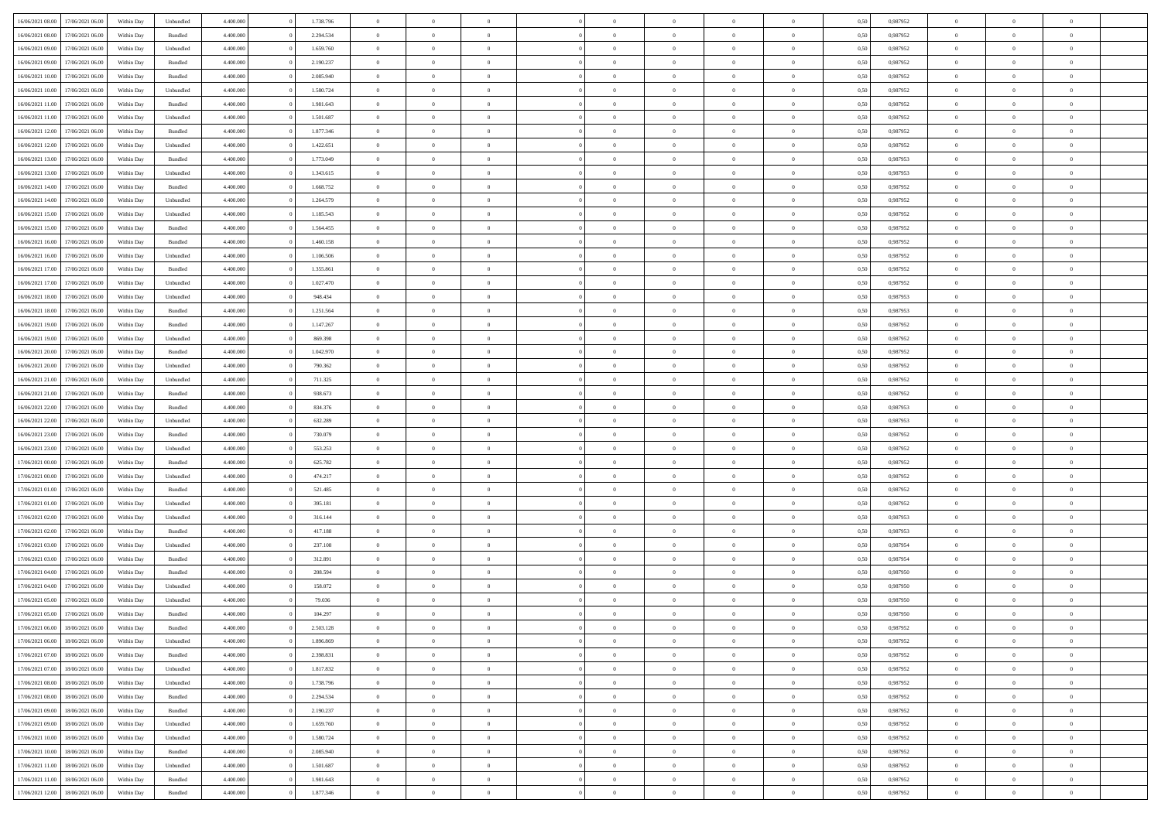| 16/06/2021 08:00 | 17/06/2021 06:00 | Within Day | Unbundled          | 4.400.000 | 1.738.796 | $\overline{0}$ | $\theta$       |                | $\Omega$       | $\Omega$       | $\theta$       | $\theta$       | 0,50 | 0,987952 | $\theta$       | $\overline{0}$ | $\theta$       |  |
|------------------|------------------|------------|--------------------|-----------|-----------|----------------|----------------|----------------|----------------|----------------|----------------|----------------|------|----------|----------------|----------------|----------------|--|
|                  |                  |            |                    |           |           |                |                |                |                |                |                |                |      |          |                |                |                |  |
| 16/06/2021 08:00 | 17/06/2021 06:00 | Within Day | Bundled            | 4.400.000 | 2.294.534 | $\overline{0}$ | $\theta$       | $\overline{0}$ | $\overline{0}$ | $\bf{0}$       | $\overline{0}$ | $\bf{0}$       | 0,50 | 0,987952 | $\theta$       | $\overline{0}$ | $\overline{0}$ |  |
| 16/06/2021 09:00 | 17/06/2021 06:00 | Within Day | Unbundled          | 4.400.000 | 1.659.760 | $\overline{0}$ | $\bf{0}$       | $\overline{0}$ | $\bf{0}$       | $\bf{0}$       | $\bf{0}$       | $\mathbf{0}$   | 0,50 | 0,987952 | $\overline{0}$ | $\overline{0}$ | $\bf{0}$       |  |
| 16/06/2021 09:00 | 17/06/2021 06:00 | Within Dav | Bundled            | 4.400.000 | 2.190.237 | $\overline{0}$ | $\overline{0}$ | $\overline{0}$ | $\overline{0}$ | $\bf{0}$       | $\overline{0}$ | $\overline{0}$ | 0.50 | 0,987952 | $\theta$       | $\theta$       | $\overline{0}$ |  |
| 16/06/2021 10:00 | 17/06/2021 06:00 | Within Day | Bundled            | 4.400.000 | 2.085.940 | $\overline{0}$ | $\theta$       | $\overline{0}$ | $\overline{0}$ | $\bf{0}$       | $\overline{0}$ | $\bf{0}$       | 0,50 | 0,987952 | $\theta$       | $\overline{0}$ | $\overline{0}$ |  |
| 16/06/2021 10:00 | 17/06/2021 06:00 | Within Day | Unbundled          | 4.400.000 | 1.580.724 | $\overline{0}$ | $\overline{0}$ | $\overline{0}$ | $\bf{0}$       | $\overline{0}$ | $\overline{0}$ | $\mathbf{0}$   | 0,50 | 0,987952 | $\overline{0}$ | $\overline{0}$ | $\bf{0}$       |  |
| 16/06/2021 11:00 | 17/06/2021 06:00 | Within Dav | Bundled            | 4.400.000 | 1.981.643 | $\overline{0}$ | $\overline{0}$ | $\overline{0}$ |                | $\overline{0}$ | $\overline{0}$ | $\overline{0}$ | 0.50 | 0,987952 | $\theta$       | $\overline{0}$ | $\overline{0}$ |  |
|                  |                  |            |                    |           |           |                |                |                | $\overline{0}$ |                |                |                |      |          |                |                |                |  |
| 16/06/2021 11:00 | 17/06/2021 06:00 | Within Day | Unbundled          | 4.400.000 | 1.501.687 | $\overline{0}$ | $\theta$       | $\overline{0}$ | $\overline{0}$ | $\bf{0}$       | $\overline{0}$ | $\bf{0}$       | 0,50 | 0,987952 | $\theta$       | $\theta$       | $\overline{0}$ |  |
| 16/06/2021 12:00 | 17/06/2021 06:00 | Within Day | Bundled            | 4.400.000 | 1.877.346 | $\overline{0}$ | $\overline{0}$ | $\overline{0}$ | $\bf{0}$       | $\bf{0}$       | $\bf{0}$       | $\bf{0}$       | 0,50 | 0,987952 | $\,0\,$        | $\overline{0}$ | $\overline{0}$ |  |
| 16/06/2021 12:00 | 17/06/2021 06:00 | Within Dav | Unbundled          | 4.400.000 | 1.422.651 | $\overline{0}$ | $\overline{0}$ | $\overline{0}$ | $\overline{0}$ | $\overline{0}$ | $\overline{0}$ | $\overline{0}$ | 0.50 | 0,987952 | $\theta$       | $\overline{0}$ | $\overline{0}$ |  |
| 16/06/2021 13:00 | 17/06/2021 06:00 | Within Day | Bundled            | 4.400.000 | 1.773.049 | $\overline{0}$ | $\theta$       | $\overline{0}$ | $\overline{0}$ | $\bf{0}$       | $\overline{0}$ | $\bf{0}$       | 0,50 | 0,987953 | $\,$ 0 $\,$    | $\overline{0}$ | $\overline{0}$ |  |
| 16/06/2021 13:00 | 17/06/2021 06:00 | Within Day | Unbundled          | 4.400.000 | 1.343.615 | $\overline{0}$ | $\bf{0}$       | $\overline{0}$ | $\overline{0}$ | $\bf{0}$       | $\overline{0}$ | $\mathbf{0}$   | 0,50 | 0,987953 | $\bf{0}$       | $\overline{0}$ | $\bf{0}$       |  |
| 16/06/2021 14:00 | 17/06/2021 06:00 | Within Day | Bundled            | 4.400.000 | 1.668.752 | $\overline{0}$ | $\overline{0}$ | $\overline{0}$ | $\overline{0}$ | $\bf{0}$       | $\overline{0}$ | $\overline{0}$ | 0.50 | 0,987952 | $\theta$       | $\theta$       | $\overline{0}$ |  |
|                  |                  |            |                    |           |           | $\overline{0}$ | $\theta$       | $\overline{0}$ | $\overline{0}$ | $\bf{0}$       | $\overline{0}$ |                |      |          | $\theta$       | $\overline{0}$ | $\overline{0}$ |  |
| 16/06/2021 14:00 | 17/06/2021 06:00 | Within Day | Unbundled          | 4.400.000 | 1.264.579 |                |                |                |                |                |                | $\bf{0}$       | 0,50 | 0,987952 |                |                |                |  |
| 16/06/2021 15:00 | 17/06/2021 06:00 | Within Day | Unbundled          | 4.400.000 | 1.185.543 | $\overline{0}$ | $\overline{0}$ | $\overline{0}$ | $\overline{0}$ | $\overline{0}$ | $\overline{0}$ | $\mathbf{0}$   | 0,50 | 0,987952 | $\bf{0}$       | $\overline{0}$ | $\bf{0}$       |  |
| 16/06/2021 15:00 | 17/06/2021 06:00 | Within Dav | Bundled            | 4.400.000 | 1.564.455 | $\overline{0}$ | $\overline{0}$ | $\overline{0}$ | $\overline{0}$ | $\overline{0}$ | $\overline{0}$ | $\overline{0}$ | 0.50 | 0,987952 | $\theta$       | $\overline{0}$ | $\overline{0}$ |  |
| 16/06/2021 16:00 | 17/06/2021 06:00 | Within Day | Bundled            | 4.400.000 | 1.460.158 | $\overline{0}$ | $\theta$       | $\overline{0}$ | $\overline{0}$ | $\bf{0}$       | $\overline{0}$ | $\bf{0}$       | 0,50 | 0,987952 | $\theta$       | $\theta$       | $\overline{0}$ |  |
| 16/06/2021 16:00 | 17/06/2021 06:00 | Within Day | Unbundled          | 4.400.000 | 1.106.506 | $\overline{0}$ | $\overline{0}$ | $\overline{0}$ | $\overline{0}$ | $\bf{0}$       | $\overline{0}$ | $\mathbf{0}$   | 0,50 | 0,987952 | $\,0\,$        | $\overline{0}$ | $\bf{0}$       |  |
| 16/06/2021 17:00 | 17/06/2021 06:00 | Within Day | Bundled            | 4.400.000 | 1.355.861 | $\overline{0}$ | $\overline{0}$ | $\overline{0}$ | $\overline{0}$ | $\overline{0}$ | $\overline{0}$ | $\overline{0}$ | 0.50 | 0,987952 | $\theta$       | $\overline{0}$ | $\overline{0}$ |  |
| 16/06/2021 17:00 | 17/06/2021 06:00 | Within Day | Unbundled          | 4.400.000 | 1.027.470 | $\overline{0}$ | $\theta$       | $\overline{0}$ | $\overline{0}$ | $\bf{0}$       | $\overline{0}$ | $\bf{0}$       | 0,50 | 0,987952 | $\,$ 0 $\,$    | $\overline{0}$ | $\overline{0}$ |  |
|                  |                  |            |                    |           |           |                |                |                |                |                |                |                |      |          |                |                |                |  |
| 16/06/2021 18:00 | 17/06/2021 06:00 | Within Day | Unbundled          | 4.400.000 | 948.434   | $\overline{0}$ | $\overline{0}$ | $\overline{0}$ | $\overline{0}$ | $\bf{0}$       | $\overline{0}$ | $\mathbf{0}$   | 0,50 | 0,987953 | $\bf{0}$       | $\overline{0}$ | $\bf{0}$       |  |
| 16/06/2021 18:00 | 17/06/2021 06:00 | Within Day | Bundled            | 4.400.000 | 1.251.564 | $\overline{0}$ | $\overline{0}$ | $\overline{0}$ | $\overline{0}$ | $\overline{0}$ | $\overline{0}$ | $\overline{0}$ | 0.50 | 0,987953 | $\theta$       | $\overline{0}$ | $\overline{0}$ |  |
| 16/06/2021 19:00 | 17/06/2021 06:00 | Within Day | Bundled            | 4.400.000 | 1.147.267 | $\overline{0}$ | $\theta$       | $\overline{0}$ | $\overline{0}$ | $\bf{0}$       | $\overline{0}$ | $\bf{0}$       | 0,50 | 0,987952 | $\,$ 0 $\,$    | $\overline{0}$ | $\overline{0}$ |  |
| 16/06/2021 19:00 | 17/06/2021 06:00 | Within Day | Unbundled          | 4.400.000 | 869.398   | $\overline{0}$ | $\overline{0}$ | $\overline{0}$ | $\overline{0}$ | $\overline{0}$ | $\overline{0}$ | $\mathbf{0}$   | 0,50 | 0,987952 | $\bf{0}$       | $\overline{0}$ | $\bf{0}$       |  |
| 16/06/2021 20:00 | 17/06/2021 06:00 | Within Dav | Bundled            | 4.400.000 | 1.042.970 | $\overline{0}$ | $\overline{0}$ | $\overline{0}$ | $\overline{0}$ | $\overline{0}$ | $\overline{0}$ | $\overline{0}$ | 0.50 | 0,987952 | $\theta$       | $\overline{0}$ | $\overline{0}$ |  |
| 16/06/2021 20:00 | 17/06/2021 06:00 | Within Day | Unbundled          | 4.400.000 | 790.362   | $\overline{0}$ | $\theta$       | $\overline{0}$ | $\overline{0}$ | $\bf{0}$       | $\overline{0}$ | $\bf{0}$       | 0,50 | 0,987952 | $\theta$       | $\overline{0}$ | $\overline{0}$ |  |
| 16/06/2021 21:00 | 17/06/2021 06:00 | Within Day | Unbundled          | 4.400.000 | 711.325   | $\overline{0}$ | $\overline{0}$ | $\overline{0}$ | $\overline{0}$ | $\bf{0}$       | $\overline{0}$ | $\bf{0}$       | 0,50 | 0,987952 | $\,0\,$        | $\overline{0}$ | $\overline{0}$ |  |
|                  | 17/06/2021 06:00 |            | Bundled            | 4.400.000 | 938.673   | $\overline{0}$ | $\overline{0}$ | $\overline{0}$ | $\overline{0}$ | $\overline{0}$ | $\overline{0}$ | $\overline{0}$ | 0.50 | 0,987952 | $\theta$       | $\overline{0}$ | $\overline{0}$ |  |
| 16/06/2021 21:00 |                  | Within Day |                    |           |           |                |                |                |                |                |                |                |      |          |                |                |                |  |
| 16/06/2021 22:00 | 17/06/2021 06:00 | Within Day | Bundled            | 4.400.000 | 834.376   | $\overline{0}$ | $\theta$       | $\overline{0}$ | $\overline{0}$ | $\bf{0}$       | $\overline{0}$ | $\bf{0}$       | 0,50 | 0,987953 | $\,$ 0 $\,$    | $\overline{0}$ | $\overline{0}$ |  |
| 16/06/2021 22:00 | 17/06/2021 06:00 | Within Day | Unbundled          | 4.400.000 | 632.289   | $\overline{0}$ | $\overline{0}$ | $\overline{0}$ | $\overline{0}$ | $\bf{0}$       | $\overline{0}$ | $\bf{0}$       | 0,50 | 0,987953 | $\bf{0}$       | $\overline{0}$ | $\bf{0}$       |  |
| 16/06/2021 23:00 | 17/06/2021 06:00 | Within Day | Bundled            | 4.400,000 | 730.079   | $\overline{0}$ | $\Omega$       | $\Omega$       | $\Omega$       | $\Omega$       | $\overline{0}$ | $\overline{0}$ | 0,50 | 0,987952 | $\,0\,$        | $\theta$       | $\theta$       |  |
| 16/06/2021 23:00 | 17/06/2021 06:00 | Within Day | Unbundled          | 4.400.000 | 553.253   | $\overline{0}$ | $\theta$       | $\overline{0}$ | $\overline{0}$ | $\bf{0}$       | $\overline{0}$ | $\bf{0}$       | 0,50 | 0,987952 | $\theta$       | $\overline{0}$ | $\overline{0}$ |  |
| 17/06/2021 00:00 | 17/06/2021 06:00 | Within Day | Bundled            | 4.400.000 | 625.782   | $\overline{0}$ | $\overline{0}$ | $\overline{0}$ | $\overline{0}$ | $\overline{0}$ | $\overline{0}$ | $\mathbf{0}$   | 0,50 | 0,987952 | $\bf{0}$       | $\overline{0}$ | $\bf{0}$       |  |
| 17/06/2021 00:00 | 17/06/2021 06:00 | Within Day | Unbundled          | 4.400,000 | 474.217   | $\overline{0}$ | $\Omega$       | $\Omega$       | $\Omega$       | $\bf{0}$       | $\overline{0}$ | $\overline{0}$ | 0.50 | 0,987952 | $\,0\,$        | $\theta$       | $\theta$       |  |
| 17/06/2021 01:00 | 17/06/2021 06:00 | Within Day | Bundled            | 4.400.000 | 521.485   | $\overline{0}$ | $\theta$       | $\overline{0}$ | $\overline{0}$ | $\bf{0}$       | $\overline{0}$ | $\bf{0}$       | 0,50 | 0,987952 | $\,$ 0 $\,$    | $\overline{0}$ | $\overline{0}$ |  |
|                  |                  |            |                    |           |           |                |                |                |                |                |                |                |      |          |                |                |                |  |
| 17/06/2021 01:00 | 17/06/2021 06:00 | Within Day | Unbundled          | 4.400.000 | 395.181   | $\overline{0}$ | $\overline{0}$ | $\overline{0}$ | $\overline{0}$ | $\bf{0}$       | $\overline{0}$ | $\bf{0}$       | 0,50 | 0,987952 | $\bf{0}$       | $\overline{0}$ | $\bf{0}$       |  |
| 17/06/2021 02:00 | 17/06/2021 06:00 | Within Day | Unbundled          | 4.400,000 | 316.144   | $\overline{0}$ | $\Omega$       | $\Omega$       | $\Omega$       | $\theta$       | $\overline{0}$ | $\overline{0}$ | 0.50 | 0.987953 | $\,$ 0 $\,$    | $\theta$       | $\theta$       |  |
| 17/06/2021 02:00 | 17/06/2021 06:00 | Within Day | Bundled            | 4.400.000 | 417.188   | $\overline{0}$ | $\overline{0}$ | $\overline{0}$ | $\overline{0}$ | $\bf{0}$       | $\overline{0}$ | $\bf{0}$       | 0,50 | 0,987953 | $\,$ 0 $\,$    | $\overline{0}$ | $\overline{0}$ |  |
| 17/06/2021 03:00 | 17/06/2021 06:00 | Within Day | Unbundled          | 4.400.000 | 237.108   | $\overline{0}$ | $\overline{0}$ | $\overline{0}$ | $\bf{0}$       | $\bf{0}$       | $\bf{0}$       | $\mathbf{0}$   | 0,50 | 0,987954 | $\bf{0}$       | $\overline{0}$ | $\bf{0}$       |  |
| 17/06/2021 03:00 | 17/06/2021 06:00 | Within Day | Bundled            | 4.400,000 | 312.891   | $\overline{0}$ | $\Omega$       | $\overline{0}$ | $\Omega$       | $\overline{0}$ | $\overline{0}$ | $\overline{0}$ | 0.50 | 0,987954 | $\,0\,$        | $\theta$       | $\theta$       |  |
| 17/06/2021 04:00 | 17/06/2021 06:00 | Within Day | Bundled            | 4.400.000 | 208.594   | $\overline{0}$ | $\overline{0}$ | $\overline{0}$ | $\overline{0}$ | $\,$ 0         | $\overline{0}$ | $\bf{0}$       | 0,50 | 0,987950 | $\,$ 0 $\,$    | $\overline{0}$ | $\overline{0}$ |  |
| 17/06/2021 04:00 | 17/06/2021 06:00 | Within Day | Unbundled          | 4.400.000 | 158.072   | $\overline{0}$ | $\overline{0}$ | $\overline{0}$ | $\bf{0}$       | $\bf{0}$       | $\overline{0}$ | $\mathbf{0}$   | 0,50 | 0,987950 | $\bf{0}$       | $\overline{0}$ | $\bf{0}$       |  |
| 17/06/2021 05:00 | 17/06/2021 06:00 | Within Day | Unbundled          | 4.400,000 | 79.036    | $\overline{0}$ | $\Omega$       | $\Omega$       | $\Omega$       | $\Omega$       | $\Omega$       | $\overline{0}$ | 0.50 | 0.987950 | $\theta$       | $\theta$       | $\theta$       |  |
| 17/06/2021 05:00 | 17/06/2021 06:00 |            |                    | 4.400.000 | 104.297   | $\overline{0}$ | $\overline{0}$ | $\overline{0}$ | $\bf{0}$       | $\,$ 0         |                |                |      | 0,987950 | $\,0\,$        | $\,0\,$        | $\overline{0}$ |  |
|                  |                  | Within Day | Bundled            |           |           |                |                |                |                |                | $\bf{0}$       | $\bf{0}$       | 0,50 |          |                |                |                |  |
| 17/06/2021 06:00 | 18/06/2021 06:00 | Within Day | $\mathbf B$ undled | 4.400.000 | 2.503.128 | $\overline{0}$ | $\bf{0}$       |                |                | $\bf{0}$       |                |                | 0,50 | 0,987952 | $\bf{0}$       | $\overline{0}$ |                |  |
| 17/06/2021 06:00 | 18/06/2021 06:00 | Within Day | Unbundled          | 4.400.000 | 1.896.869 | $\overline{0}$ | $\overline{0}$ | $\overline{0}$ | $\Omega$       | $\overline{0}$ | $\overline{0}$ | $\overline{0}$ | 0.50 | 0.987952 | $\theta$       | $\theta$       | $\theta$       |  |
| 17/06/2021 07:00 | 18/06/2021 06:00 | Within Day | Bundled            | 4.400.000 | 2.398.831 | $\overline{0}$ | $\,$ 0         | $\overline{0}$ | $\bf{0}$       | $\,$ 0 $\,$    | $\overline{0}$ | $\mathbf{0}$   | 0,50 | 0,987952 | $\,$ 0 $\,$    | $\,$ 0 $\,$    | $\,$ 0         |  |
| 17/06/2021 07:00 | 18/06/2021 06:00 | Within Day | Unbundled          | 4.400.000 | 1.817.832 | $\overline{0}$ | $\overline{0}$ | $\overline{0}$ | $\overline{0}$ | $\overline{0}$ | $\overline{0}$ | $\mathbf{0}$   | 0,50 | 0,987952 | $\overline{0}$ | $\bf{0}$       | $\bf{0}$       |  |
| 17/06/2021 08:00 | 18/06/2021 06:00 | Within Day | Unbundled          | 4.400,000 | 1.738.796 | $\overline{0}$ | $\overline{0}$ | $\overline{0}$ | $\Omega$       | $\overline{0}$ | $\overline{0}$ | $\overline{0}$ | 0,50 | 0,987952 | $\overline{0}$ | $\theta$       | $\overline{0}$ |  |
| 17/06/2021 08:00 | 18/06/2021 06:00 | Within Day | Bundled            | 4.400.000 | 2.294.534 | $\overline{0}$ | $\,$ 0         | $\overline{0}$ | $\overline{0}$ | $\,$ 0 $\,$    | $\overline{0}$ | $\mathbf{0}$   | 0,50 | 0,987952 | $\,$ 0 $\,$    | $\overline{0}$ | $\overline{0}$ |  |
|                  |                  |            |                    |           |           |                |                |                |                |                |                |                |      |          |                |                |                |  |
| 17/06/2021 09:00 | 18/06/2021 06:00 | Within Day | Bundled            | 4.400.000 | 2.190.237 | $\overline{0}$ | $\overline{0}$ | $\overline{0}$ | $\overline{0}$ | $\overline{0}$ | $\overline{0}$ | $\mathbf{0}$   | 0,50 | 0,987952 | $\overline{0}$ | $\overline{0}$ | $\bf{0}$       |  |
| 17/06/2021 09:00 | 18/06/2021 06:00 | Within Day | Unbundled          | 4.400.000 | 1.659.760 | $\overline{0}$ | $\overline{0}$ | $\overline{0}$ | $\Omega$       | $\overline{0}$ | $\overline{0}$ | $\bf{0}$       | 0.50 | 0,987952 | $\overline{0}$ | $\theta$       | $\overline{0}$ |  |
| 17/06/2021 10:00 | 18/06/2021 06:00 | Within Day | Unbundled          | 4.400.000 | 1.580.724 | $\overline{0}$ | $\,$ 0         | $\overline{0}$ | $\bf{0}$       | $\bf{0}$       | $\bf{0}$       | $\bf{0}$       | 0,50 | 0,987952 | $\,$ 0 $\,$    | $\overline{0}$ | $\overline{0}$ |  |
| 17/06/2021 10:00 | 18/06/2021 06:00 | Within Day | Bundled            | 4.400.000 | 2.085.940 | $\overline{0}$ | $\bf{0}$       | $\overline{0}$ | $\overline{0}$ | $\overline{0}$ | $\overline{0}$ | $\mathbf{0}$   | 0,50 | 0,987952 | $\overline{0}$ | $\overline{0}$ | $\bf{0}$       |  |
| 17/06/2021 11:00 | 18/06/2021 06:00 | Within Day | Unbundled          | 4.400,000 | 1.501.687 | $\overline{0}$ | $\overline{0}$ | $\overline{0}$ | $\Omega$       | $\overline{0}$ | $\overline{0}$ | $\bf{0}$       | 0.50 | 0,987952 | $\overline{0}$ | $\overline{0}$ | $\overline{0}$ |  |
| 17/06/2021 11:00 | 18/06/2021 06:00 | Within Day | Bundled            | 4.400.000 | 1.981.643 | $\overline{0}$ | $\bf{0}$       | $\overline{0}$ | $\overline{0}$ | $\bf{0}$       | $\bf{0}$       | $\mathbf{0}$   | 0,50 | 0,987952 | $\,$ 0 $\,$    | $\,$ 0 $\,$    | $\bf{0}$       |  |
| 17/06/2021 12:00 | 18/06/2021 06:00 | Within Day | Bundled            | 4.400.000 | 1.877.346 | $\overline{0}$ | $\overline{0}$ | $\overline{0}$ | $\overline{0}$ | $\overline{0}$ | $\bf{0}$       | $\mathbf{0}$   | 0,50 | 0,987952 | $\overline{0}$ | $\bf{0}$       | $\bf{0}$       |  |
|                  |                  |            |                    |           |           |                |                |                |                |                |                |                |      |          |                |                |                |  |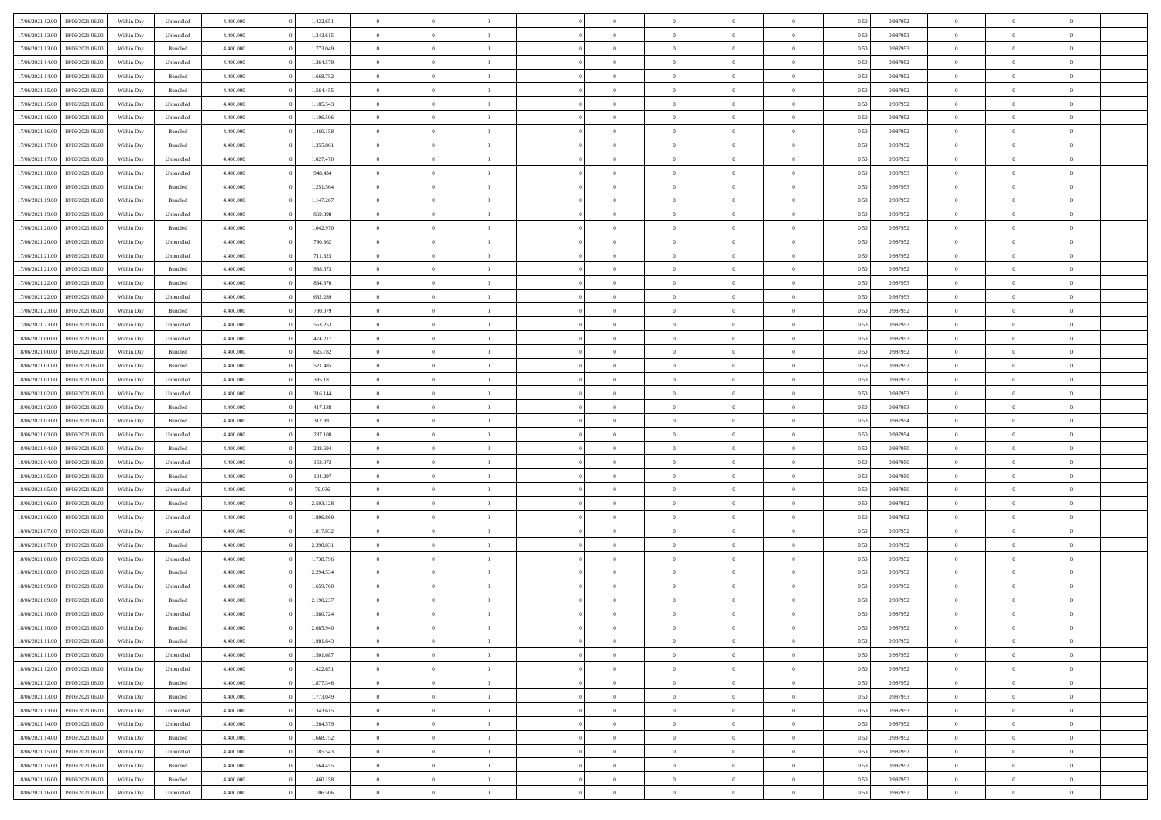| 17/06/2021 12:00                  | 18/06/2021 06:00 | Within Day | Unbundled          | 4.400.000 | 1.422.651 | $\overline{0}$ | $\theta$       |                | $\overline{0}$ | $\bf{0}$       | $\overline{0}$ | $\theta$       | 0,50 | 0,987952 | $\theta$       | $\theta$       | $\overline{0}$           |  |
|-----------------------------------|------------------|------------|--------------------|-----------|-----------|----------------|----------------|----------------|----------------|----------------|----------------|----------------|------|----------|----------------|----------------|--------------------------|--|
| 17/06/2021 13:00                  | 18/06/2021 06:00 | Within Day | Unbundled          | 4.400.000 | 1.343.615 | $\overline{0}$ | $\overline{0}$ | $\overline{0}$ | $\overline{0}$ | $\,$ 0         | $\bf{0}$       | $\bf{0}$       | 0,50 | 0,987953 | $\,$ 0 $\,$    | $\overline{0}$ | $\overline{0}$           |  |
|                                   |                  |            |                    |           | 1.773.049 |                |                |                |                |                |                |                |      |          |                |                |                          |  |
| 17/06/2021 13:00                  | 18/06/2021 06:00 | Within Day | Bundled            | 4.400,000 |           | $\overline{0}$ | $\overline{0}$ | $\overline{0}$ | $\overline{0}$ | $\bf{0}$       | $\overline{0}$ | $\mathbf{0}$   | 0.50 | 0.987953 | $\bf{0}$       | $\overline{0}$ | $\overline{0}$           |  |
| 17/06/2021 14:00                  | 18/06/2021 06:00 | Within Day | Unbundled          | 4.400.000 | 1.264.579 | $\overline{0}$ | $\overline{0}$ | $\overline{0}$ | $\overline{0}$ | $\,$ 0         | $\overline{0}$ | $\overline{0}$ | 0,50 | 0,987952 | $\,$ 0 $\,$    | $\overline{0}$ | $\overline{0}$           |  |
| 17/06/2021 14:00                  | 18/06/2021 06:00 | Within Day | Bundled            | 4.400.000 | 1.668.752 | $\overline{0}$ | $\theta$       | $\overline{0}$ |                | $\overline{0}$ | $\overline{0}$ | $\bf{0}$       | 0,50 | 0,987952 | $\,$ 0 $\,$    | $\overline{0}$ | $\overline{0}$           |  |
| 17/06/2021 15:00                  | 18/06/2021 06:00 | Within Day | Bundled            | 4.400,000 | 1.564.455 | $\overline{0}$ | $\overline{0}$ | $\overline{0}$ | $\overline{0}$ | $\bf{0}$       | $\overline{0}$ | $\overline{0}$ | 0.50 | 0.987952 | $\,0\,$        | $\theta$       | $\overline{0}$           |  |
| 17/06/2021 15:00                  | 18/06/2021 06:00 | Within Day | Unbundled          | 4.400.000 | 1.185.543 | $\overline{0}$ | $\overline{0}$ | $\overline{0}$ | $\overline{0}$ | $\,$ 0         | $\overline{0}$ | $\overline{0}$ | 0,50 | 0,987952 | $\,$ 0 $\,$    | $\theta$       | $\overline{0}$           |  |
| 17/06/2021 16:00                  | 18/06/2021 06:00 | Within Day | Unbundled          | 4.400.000 | 1.106.506 | $\overline{0}$ | $\theta$       | $\overline{0}$ | $\overline{0}$ | $\,$ 0         | $\bf{0}$       | $\bf{0}$       | 0,50 | 0,987952 | $\,$ 0 $\,$    | $\overline{0}$ | $\overline{0}$           |  |
| 17/06/2021 16:00                  | 18/06/2021 06:00 | Within Day | Bundled            | 4.400,000 | 1.460.158 | $\overline{0}$ | $\overline{0}$ | $\overline{0}$ | $\overline{0}$ | $\bf{0}$       | $\overline{0}$ | $\bf{0}$       | 0.50 | 0.987952 | $\,0\,$        | $\overline{0}$ | $\overline{0}$           |  |
| 17/06/2021 17:00                  | 18/06/2021 06:00 | Within Day | Bundled            | 4.400.000 | 1.355.861 | $\overline{0}$ | $\overline{0}$ | $\overline{0}$ | $\overline{0}$ | $\,$ 0         | $\overline{0}$ | $\bf{0}$       | 0,50 | 0,987952 | $\,$ 0 $\,$    | $\overline{0}$ | $\overline{0}$           |  |
| 17/06/2021 17:00                  | 18/06/2021 06:00 | Within Day | Unbundled          | 4.400.000 | 1.027.470 | $\overline{0}$ | $\theta$       | $\overline{0}$ | $\overline{0}$ | $\,$ 0         | $\overline{0}$ | $\bf{0}$       | 0,50 | 0,987952 | $\,$ 0 $\,$    | $\overline{0}$ | $\overline{0}$           |  |
|                                   |                  |            |                    |           |           |                |                |                |                |                |                |                |      |          |                |                |                          |  |
| 17/06/2021 18:00                  | 18/06/2021 06:00 | Within Day | Unbundled          | 4.400,000 | 948.434   | $\overline{0}$ | $\overline{0}$ | $\overline{0}$ | $\overline{0}$ | $\bf{0}$       | $\overline{0}$ | $\mathbf{0}$   | 0.50 | 0.987953 | $\bf{0}$       | $\overline{0}$ | $\overline{\phantom{a}}$ |  |
| 17/06/2021 18:00                  | 18/06/2021 06:00 | Within Day | Bundled            | 4.400.000 | 1.251.564 | $\overline{0}$ | $\overline{0}$ | $\overline{0}$ | $\overline{0}$ | $\,$ 0         | $\overline{0}$ | $\overline{0}$ | 0,50 | 0,987953 | $\,$ 0 $\,$    | $\overline{0}$ | $\overline{0}$           |  |
| 17/06/2021 19:00                  | 18/06/2021 06:00 | Within Day | Bundled            | 4.400.000 | 1.147.267 | $\overline{0}$ | $\theta$       | $\overline{0}$ | $\overline{0}$ | $\overline{0}$ | $\overline{0}$ | $\bf{0}$       | 0,50 | 0,987952 | $\,$ 0 $\,$    | $\overline{0}$ | $\overline{0}$           |  |
| 17/06/2021 19:00                  | 18/06/2021 06:00 | Within Day | Unbundled          | 4.400,000 | 869,398   | $\overline{0}$ | $\overline{0}$ | $\overline{0}$ | $\overline{0}$ | $\,$ 0         | $\overline{0}$ | $\bf{0}$       | 0.50 | 0.987952 | $\,0\,$        | $\theta$       | $\overline{0}$           |  |
| 17/06/2021 20:00                  | 18/06/2021 06:00 | Within Day | Bundled            | 4.400.000 | 1.042.970 | $\overline{0}$ | $\overline{0}$ | $\overline{0}$ | $\overline{0}$ | $\,$ 0         | $\overline{0}$ | $\bf{0}$       | 0,50 | 0,987952 | $\,$ 0 $\,$    | $\theta$       | $\overline{0}$           |  |
| 17/06/2021 20:00                  | 18/06/2021 06:00 | Within Day | Unbundled          | 4.400.000 | 790.362   | $\overline{0}$ | $\theta$       | $\overline{0}$ |                | $\bf{0}$       | $\overline{0}$ | $\bf{0}$       | 0,50 | 0,987952 | $\,$ 0 $\,$    | $\overline{0}$ | $\overline{0}$           |  |
| 17/06/2021 21:00                  | 18/06/2021 06:00 | Within Day | Unbundled          | 4.400,000 | 711.325   | $\overline{0}$ | $\overline{0}$ | $\overline{0}$ | $\overline{0}$ | $\bf{0}$       | $\overline{0}$ | $\bf{0}$       | 0.50 | 0.987952 | $\,0\,$        | $\overline{0}$ | $\overline{0}$           |  |
| 17/06/2021 21:00                  | 18/06/2021 06:00 | Within Day | Bundled            | 4.400.000 | 938.673   | $\overline{0}$ | $\overline{0}$ | $\overline{0}$ | $\overline{0}$ | $\bf{0}$       | $\overline{0}$ | $\bf{0}$       | 0,50 | 0,987952 | $\,$ 0 $\,$    | $\overline{0}$ | $\overline{0}$           |  |
|                                   | 18/06/2021 06:00 | Within Day | Bundled            | 4.400.000 | 834.376   | $\bf{0}$       | $\theta$       | $\overline{0}$ | $\overline{0}$ | $\,$ 0         | $\bf{0}$       | $\bf{0}$       | 0,50 | 0,987953 | $\,$ 0 $\,$    | $\overline{0}$ | $\overline{0}$           |  |
| 17/06/2021 22:00                  |                  |            |                    |           |           |                |                |                |                |                |                |                |      |          |                |                |                          |  |
| 17/06/2021 22:00                  | 18/06/2021 06:00 | Within Day | Unbundled          | 4.400,000 | 632.289   | $\overline{0}$ | $\overline{0}$ | $\overline{0}$ | $\overline{0}$ | $\bf{0}$       | $\overline{0}$ | $\mathbf{0}$   | 0.50 | 0.987953 | $\bf{0}$       | $\overline{0}$ | $\overline{0}$           |  |
| 17/06/2021 23:00                  | 18/06/2021 06:00 | Within Day | Bundled            | 4.400.000 | 730.079   | $\overline{0}$ | $\overline{0}$ | $\overline{0}$ | $\overline{0}$ | $\bf{0}$       | $\overline{0}$ | $\overline{0}$ | 0,50 | 0,987952 | $\,$ 0 $\,$    | $\overline{0}$ | $\overline{0}$           |  |
| 17/06/2021 23:00                  | 18/06/2021 06:00 | Within Day | Unbundled          | 4.400.000 | 553.253   | $\overline{0}$ | $\theta$       | $\overline{0}$ | $\overline{0}$ | $\,$ 0         | $\overline{0}$ | $\bf{0}$       | 0,50 | 0,987952 | $\,$ 0 $\,$    | $\overline{0}$ | $\overline{0}$           |  |
| 18/06/2021 00:00                  | 18/06/2021 06:00 | Within Day | Unbundled          | 4.400,000 | 474.217   | $\overline{0}$ | $\overline{0}$ | $\overline{0}$ | $\overline{0}$ | $\bf{0}$       | $\overline{0}$ | $\bf{0}$       | 0.50 | 0.987952 | $\,0\,$        | $\theta$       | $\overline{0}$           |  |
| 18/06/2021 00:00                  | 18/06/2021 06:00 | Within Day | Bundled            | 4.400.000 | 625.782   | $\overline{0}$ | $\overline{0}$ | $\overline{0}$ | $\overline{0}$ | $\,$ 0         | $\overline{0}$ | $\overline{0}$ | 0,50 | 0,987952 | $\,0\,$        | $\theta$       | $\overline{0}$           |  |
| 18/06/2021 01:00                  | 18/06/2021 06:00 | Within Day | Bundled            | 4.400.000 | 521.485   | $\overline{0}$ | $\theta$       | $\overline{0}$ |                | $\bf{0}$       | $\overline{0}$ | $\bf{0}$       | 0,50 | 0,987952 | $\,$ 0 $\,$    | $\overline{0}$ | $\overline{0}$           |  |
| 18/06/2021 01:00                  | 18/06/2021 06:00 | Within Day | Unbundled          | 4.400,000 | 395.181   | $\overline{0}$ | $\overline{0}$ | $\overline{0}$ | $\overline{0}$ | $\bf{0}$       | $\overline{0}$ | $\bf{0}$       | 0.50 | 0.987952 | $\,0\,$        | $\overline{0}$ | $\overline{0}$           |  |
| 18/06/2021 02:00                  | 18/06/2021 06:00 | Within Day | Unbundled          | 4.400.000 | 316.144   | $\overline{0}$ | $\overline{0}$ | $\overline{0}$ | $\overline{0}$ | $\,$ 0         | $\overline{0}$ | $\bf{0}$       | 0,50 | 0,987953 | $\,$ 0 $\,$    | $\overline{0}$ | $\overline{0}$           |  |
|                                   | 18/06/2021 06:00 | Within Day | Bundled            | 4.400.000 | 417.188   | $\bf{0}$       | $\overline{0}$ | $\overline{0}$ | $\overline{0}$ | $\bf{0}$       | $\bf{0}$       | $\bf{0}$       | 0,50 | 0,987953 | $\,$ 0 $\,$    | $\overline{0}$ | $\overline{0}$           |  |
| 18/06/2021 02:00                  |                  |            |                    |           |           |                |                |                |                |                |                |                |      |          |                |                |                          |  |
| 18/06/2021 03:00                  | 18/06/2021 06:00 | Within Day | Bundled            | 4.400,000 | 312.891   | $\overline{0}$ | $\overline{0}$ | $\overline{0}$ | $\overline{0}$ | $\bf{0}$       | $\overline{0}$ | $\mathbf{0}$   | 0.50 | 0.987954 | $\bf{0}$       | $\overline{0}$ | $\overline{\phantom{a}}$ |  |
| 18/06/2021 03:00                  | 18/06/2021 06:00 | Within Dav | Unbundled          | 4.400.000 | 237.108   | $\overline{0}$ | $\overline{0}$ | $\overline{0}$ | $\overline{0}$ | $\mathbf{0}$   | $\overline{0}$ | $\overline{0}$ | 0.50 | 0,987954 | $\theta$       | $\overline{0}$ | $\overline{0}$           |  |
| 18/06/2021 04:00                  | 18/06/2021 06:00 | Within Day | Bundled            | 4.400.000 | 208.594   | $\overline{0}$ | $\theta$       | $\overline{0}$ | $\overline{0}$ | $\bf{0}$       | $\overline{0}$ | $\bf{0}$       | 0,50 | 0,987950 | $\,$ 0 $\,$    | $\overline{0}$ | $\overline{0}$           |  |
| 18/06/2021 04:00                  | 18/06/2021 06:00 | Within Day | Unbundled          | 4.400,000 | 158,072   | $\overline{0}$ | $\overline{0}$ | $\overline{0}$ | $\overline{0}$ | $\,$ 0         | $\overline{0}$ | $\bf{0}$       | 0.50 | 0.987950 | $\,0\,$        | $\theta$       | $\overline{0}$           |  |
| 18/06/2021 05:00                  | 18/06/2021 06:00 | Within Dav | Bundled            | 4.400.000 | 104.297   | $\overline{0}$ | $\overline{0}$ | $\Omega$       | $\overline{0}$ | $\mathbf{0}$   | $\overline{0}$ | $\overline{0}$ | 0.50 | 0,987950 | $\theta$       | $\overline{0}$ | $\overline{0}$           |  |
| 18/06/2021 05:00                  | 18/06/2021 06:00 | Within Day | Unbundled          | 4.400.000 | 79.036    | $\overline{0}$ | $\theta$       | $\overline{0}$ | $\overline{0}$ | $\,$ 0         | $\overline{0}$ | $\bf{0}$       | 0,50 | 0,987950 | $\,$ 0 $\,$    | $\overline{0}$ | $\overline{0}$           |  |
| 18/06/2021 06:00                  | 19/06/2021 06:00 | Within Day | Bundled            | 4.400,000 | 2.503.128 | $\overline{0}$ | $\overline{0}$ | $\overline{0}$ | $\overline{0}$ | $\bf{0}$       | $\overline{0}$ | $\bf{0}$       | 0.50 | 0.987952 | $\,0\,$        | $\overline{0}$ | $\overline{0}$           |  |
| 18/06/2021 06:00                  | 19/06/2021 06:00 | Within Dav | Unbundled          | 4.400.000 | 1.896.869 | $\overline{0}$ | $\overline{0}$ | $\overline{0}$ | $\overline{0}$ | $\overline{0}$ | $\overline{0}$ | $\overline{0}$ | 0.50 | 0,987952 | $\theta$       | $\overline{0}$ | $\overline{0}$           |  |
| 18/06/2021 07:00                  | 19/06/2021 06.00 | Within Day | Unbundled          | 4.400.000 | 1.817.832 | $\bf{0}$       | $\overline{0}$ | $\overline{0}$ | $\overline{0}$ | $\bf{0}$       | $\bf{0}$       | $\bf{0}$       | 0,50 | 0,987952 | $\,$ 0 $\,$    | $\overline{0}$ | $\overline{0}$           |  |
|                                   |                  |            |                    |           |           |                |                |                |                |                |                |                |      |          |                |                |                          |  |
| 18/06/2021 07:00                  | 19/06/2021 06:00 | Within Day | Bundled            | 4.400,000 | 2.398.831 | $\overline{0}$ | $\overline{0}$ | $\overline{0}$ | $\overline{0}$ | $\bf{0}$       | $\overline{0}$ | $\mathbf{0}$   | 0.50 | 0.987952 | $\bf{0}$       | $\overline{0}$ | $\overline{0}$           |  |
| 18/06/2021 08:00                  | 19/06/2021 06:00 | Within Dav | Unbundled          | 4.400.000 | 1.738.796 | $\overline{0}$ | $\overline{0}$ | $\Omega$       | $\overline{0}$ | $\mathbf{0}$   | $\overline{0}$ | $\overline{0}$ | 0.50 | 0,987952 | $\theta$       | $\overline{0}$ | $\overline{0}$           |  |
| 18/06/2021 08:00                  | 19/06/2021 06.00 | Within Day | Bundled            | 4.400.000 | 2.294.534 | $\overline{0}$ | $\theta$       | $\overline{0}$ | $\overline{0}$ | $\,$ 0         | $\overline{0}$ | $\bf{0}$       | 0,50 | 0,987952 | $\,$ 0 $\,$    | $\overline{0}$ | $\overline{0}$           |  |
| 18/06/2021 09:00                  | 19/06/2021 06:00 | Within Day | Unbundled          | 4.400,000 | 1.659.760 | $\overline{0}$ | $\theta$       | $\overline{0}$ | $\overline{0}$ | $\bf{0}$       | $\Omega$       | $\overline{0}$ | 0.50 | 0,987952 | $\,0\,$        | $\theta$       | $\overline{0}$           |  |
| 18/06/2021 09:00                  | 19/06/2021 06:00 | Within Dav | Bundled            | 4.400.000 | 2.190.237 | $\overline{0}$ | $\Omega$       | $\Omega$       | $\Omega$       | $\bf{0}$       | $\overline{0}$ | $\bf{0}$       | 0.50 | 0,987952 | $\theta$       | $\theta$       | $\overline{0}$           |  |
| 18/06/2021 10:00                  | 19/06/2021 06:00 | Within Day | Unbundled          | 4.400.000 | 1.580.724 | $\overline{0}$ | $\,$ 0 $\,$    | $\overline{0}$ | $\overline{0}$ | $\,$ 0         | $\bf{0}$       | $\bf{0}$       | 0,50 | 0,987952 | $\,$ 0 $\,$    | $\overline{0}$ | $\overline{0}$           |  |
| 18/06/2021 10:00                  | 19/06/2021 06:00 | Within Day | $\mathbf B$ undled | 4.400.000 | 2.085.940 | $\bf{0}$       | $\theta$       |                | $\Omega$       |                |                |                | 0,50 | 0,987952 | $\bf{0}$       | $\theta$       |                          |  |
| 18/06/2021 11:00                  | 19/06/2021 06:00 | Within Day | Bundled            | 4.400.000 | 1.981.643 | $\overline{0}$ | $\overline{0}$ | $\overline{0}$ | $\overline{0}$ | $\overline{0}$ | $\overline{0}$ | $\mathbf{0}$   | 0,50 | 0,987952 | $\theta$       | $\overline{0}$ | $\overline{0}$           |  |
| 18/06/2021 11:00                  | 19/06/2021 06:00 | Within Day | Unbundled          | 4.400.000 | 1.501.687 | $\overline{0}$ | $\overline{0}$ | $\overline{0}$ | $\bf{0}$       | $\overline{0}$ | $\overline{0}$ | $\bf{0}$       | 0,50 | 0,987952 | $\overline{0}$ | $\overline{0}$ | $\bf{0}$                 |  |
| 18/06/2021 12:00                  |                  |            |                    | 4.400.000 | 1.422.651 | $\overline{0}$ | $\overline{0}$ | $\overline{0}$ | $\overline{0}$ | $\overline{0}$ | $\overline{0}$ |                | 0.50 | 0.987952 | $\overline{0}$ | $\bf{0}$       | $\bf{0}$                 |  |
|                                   | 19/06/2021 06:00 | Within Day | Unbundled          |           |           |                |                |                |                |                |                | $\mathbf{0}$   |      |          |                |                |                          |  |
| 18/06/2021 12:00                  | 19/06/2021 06:00 | Within Day | Bundled            | 4.400.000 | 1.877.346 | $\overline{0}$ | $\overline{0}$ | $\overline{0}$ | $\overline{0}$ | $\overline{0}$ | $\overline{0}$ | $\mathbf{0}$   | 0,50 | 0,987952 | $\overline{0}$ | $\theta$       | $\overline{0}$           |  |
| 18/06/2021 13:00                  | 19/06/2021 06:00 | Within Day | Bundled            | 4.400.000 | 1.773.049 | $\overline{0}$ | $\overline{0}$ | $\overline{0}$ | $\overline{0}$ | $\bf{0}$       | $\bf{0}$       | $\bf{0}$       | 0,50 | 0,987953 | $\,$ 0 $\,$    | $\overline{0}$ | $\overline{0}$           |  |
| 18/06/2021 13:00                  | 19/06/2021 06:00 | Within Day | Unbundled          | 4.400,000 | 1.343.615 | $\overline{0}$ | $\overline{0}$ | $\overline{0}$ | $\overline{0}$ | $\bf{0}$       | $\overline{0}$ | $\mathbf{0}$   | 0.50 | 0.987953 | $\,$ 0 $\,$    | $\overline{0}$ | $\overline{0}$           |  |
| 18/06/2021 14:00                  | 19/06/2021 06:00 | Within Day | Unbundled          | 4.400.000 | 1.264.579 | $\overline{0}$ | $\overline{0}$ | $\overline{0}$ | $\overline{0}$ | $\overline{0}$ | $\overline{0}$ | $\overline{0}$ | 0,50 | 0,987952 | $\overline{0}$ | $\overline{0}$ | $\overline{0}$           |  |
| 18/06/2021 14:00                  | 19/06/2021 06:00 | Within Day | Bundled            | 4.400.000 | 1.668.752 | $\overline{0}$ | $\,$ 0         | $\overline{0}$ | $\bf{0}$       | $\overline{0}$ | $\overline{0}$ | $\bf{0}$       | 0,50 | 0,987952 | $\,$ 0 $\,$    | $\overline{0}$ | $\overline{0}$           |  |
| 18/06/2021 15:00                  | 19/06/2021 06:00 | Within Day | Unbundled          | 4.400.000 | 1.185.543 | $\overline{0}$ | $\overline{0}$ | $\overline{0}$ | $\overline{0}$ | $\bf{0}$       | $\overline{0}$ | $\mathbf{0}$   | 0.50 | 0.987952 | $\mathbf{0}$   | $\bf{0}$       | $\bf{0}$                 |  |
| 18/06/2021 15:00                  | 19/06/2021 06:00 | Within Day | Bundled            | 4.400.000 | 1.564.455 | $\overline{0}$ | $\overline{0}$ | $\overline{0}$ | $\overline{0}$ | $\overline{0}$ | $\overline{0}$ | $\overline{0}$ | 0,50 | 0,987952 | $\overline{0}$ | $\overline{0}$ | $\overline{0}$           |  |
| 18/06/2021 16:00                  | 19/06/2021 06:00 | Within Day | Bundled            | 4.400.000 | 1.460.158 | $\overline{0}$ | $\bf{0}$       | $\overline{0}$ | $\bf{0}$       | $\bf{0}$       | $\bf{0}$       | $\bf{0}$       | 0,50 | 0,987952 | $\bf{0}$       | $\overline{0}$ | $\bf{0}$                 |  |
|                                   |                  |            |                    |           |           |                |                |                |                |                |                |                |      |          |                |                |                          |  |
| 18/06/2021 16:00 19/06/2021 06:00 |                  | Within Day | Unbundled          | 4.400.000 | 1.106.506 | $\,$ 0 $\,$    | $\,$ 0 $\,$    | $\overline{0}$ | $\overline{0}$ | $\,$ 0 $\,$    | $\,$ 0 $\,$    | $\,$ 0 $\,$    | 0,50 | 0,987952 | $\mathbf{0}^-$ | $\,$ 0 $\,$    | $\,$ 0 $\,$              |  |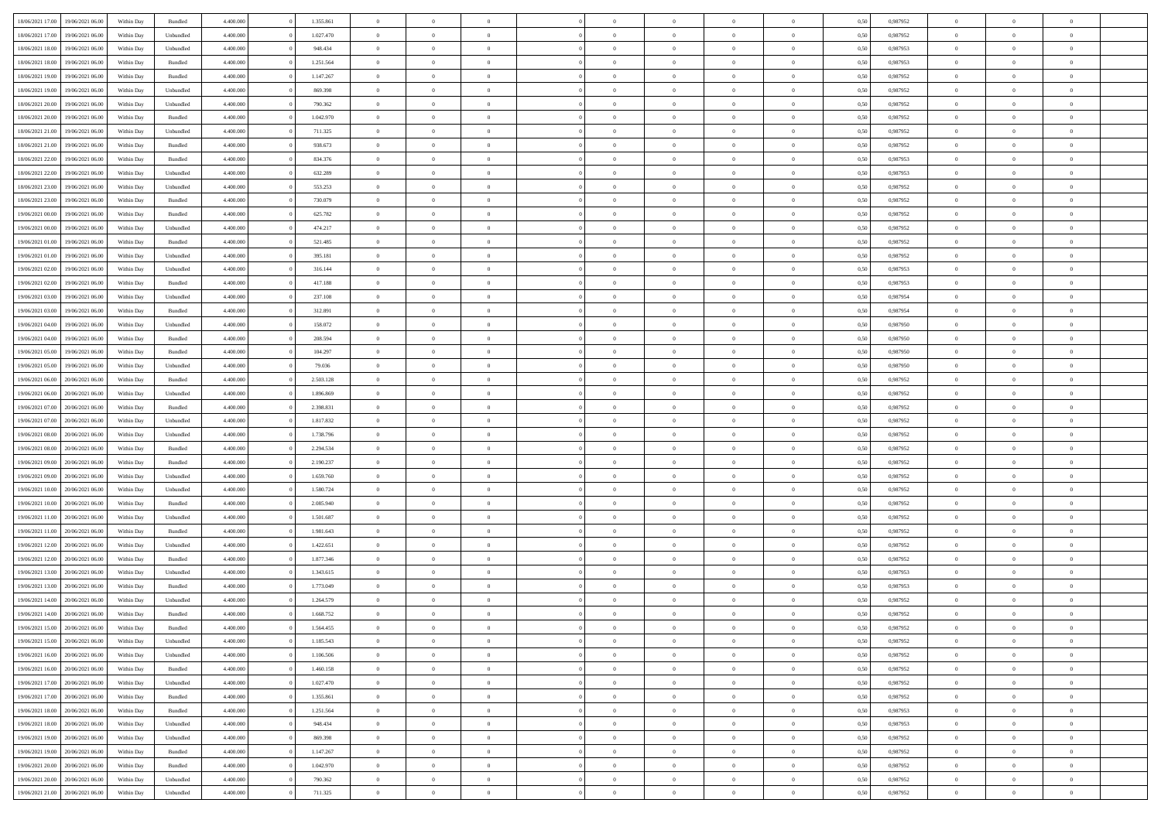| 18/06/2021 17:00 19/06/2021 06:00                        | Within Day | Bundled   | 4.400.000 | 1.355.861 | $\overline{0}$ | $\overline{0}$ | $\Omega$       | $\Omega$       | $\theta$       | $\Omega$       | $\overline{0}$ | 0,50 | 0,987952 | $\theta$                         | $\theta$                         | $\overline{0}$             |  |
|----------------------------------------------------------|------------|-----------|-----------|-----------|----------------|----------------|----------------|----------------|----------------|----------------|----------------|------|----------|----------------------------------|----------------------------------|----------------------------|--|
| 18/06/2021 17:00<br>19/06/2021 06:00                     | Within Day | Unbundled | 4.400.000 | 1.027.470 | $\overline{0}$ | $\overline{0}$ | $\overline{0}$ | $\overline{0}$ | $\theta$       | $\overline{0}$ | $\bf{0}$       | 0,50 | 0,987952 | $\theta$                         | $\theta$                         | $\overline{0}$             |  |
| 18/06/2021 18:00<br>19/06/2021 06:00                     | Within Day | Unbundled | 4.400.000 | 948.434   | $\overline{0}$ | $\bf{0}$       | $\overline{0}$ | $\overline{0}$ | $\bf{0}$       | $\overline{0}$ | $\bf{0}$       | 0,50 | 0,987953 | $\bf{0}$                         | $\overline{0}$                   | $\overline{0}$             |  |
| 18/06/2021 18:00<br>19/06/2021 06:00                     | Within Day | Bundled   | 4.400.000 | 1.251.564 | $\overline{0}$ | $\overline{0}$ | $\overline{0}$ | $\overline{0}$ | $\overline{0}$ | $\overline{0}$ | $\overline{0}$ | 0.50 | 0,987953 | $\theta$                         | $\theta$                         | $\overline{0}$             |  |
| 18/06/2021 19:00<br>19/06/2021 06:00                     | Within Day | Bundled   | 4.400.000 | 1.147.267 | $\overline{0}$ | $\overline{0}$ | $\overline{0}$ | $\overline{0}$ | $\theta$       | $\overline{0}$ | $\bf{0}$       | 0,50 | 0,987952 | $\theta$                         | $\theta$                         | $\overline{0}$             |  |
| 19/06/2021 06:00                                         | Within Day | Unbundled | 4.400.000 | 869.398   | $\overline{0}$ | $\bf{0}$       | $\overline{0}$ | $\overline{0}$ | $\overline{0}$ | $\overline{0}$ | $\bf{0}$       | 0,50 | 0,987952 | $\overline{0}$                   | $\overline{0}$                   | $\bf{0}$                   |  |
| 18/06/2021 19:00<br>18/06/2021 20:00<br>19/06/2021 06:00 |            | Unbundled | 4.400.000 | 790.362   | $\overline{0}$ | $\overline{0}$ | $\overline{0}$ | $\overline{0}$ | $\overline{0}$ | $\overline{0}$ | $\overline{0}$ | 0.5( | 0,987952 | $\theta$                         | $\theta$                         | $\overline{0}$             |  |
|                                                          | Within Day |           |           |           |                |                |                |                |                |                |                |      |          |                                  |                                  |                            |  |
| 18/06/2021 20:00<br>19/06/2021 06:00                     | Within Day | Bundled   | 4.400.000 | 1.042.970 | $\bf{0}$       | $\overline{0}$ | $\overline{0}$ | $\overline{0}$ | $\theta$       | $\overline{0}$ | $\bf{0}$       | 0,50 | 0,987952 | $\theta$                         | $\theta$                         | $\overline{0}$             |  |
| 18/06/2021 21:00<br>19/06/2021 06:00                     | Within Day | Unbundled | 4.400.000 | 711.325   | $\overline{0}$ | $\bf{0}$       | $\overline{0}$ | $\overline{0}$ | $\overline{0}$ | $\overline{0}$ | $\bf{0}$       | 0,50 | 0,987952 | $\bf{0}$                         | $\overline{0}$                   | $\overline{0}$             |  |
| 18/06/2021 21:00<br>19/06/2021 06:00                     | Within Day | Bundled   | 4.400.000 | 938.673   | $\overline{0}$ | $\overline{0}$ | $\overline{0}$ | $\overline{0}$ | $\overline{0}$ | $\overline{0}$ | $\bf{0}$       | 0.50 | 0,987952 | $\theta$                         | $\theta$                         | $\overline{0}$             |  |
| 18/06/2021 22:00<br>19/06/2021 06:00                     | Within Day | Bundled   | 4.400.000 | 834.376   | $\bf{0}$       | $\overline{0}$ | $\overline{0}$ | $\overline{0}$ | $\theta$       | $\overline{0}$ | $\bf{0}$       | 0,50 | 0,987953 | $\theta$                         | $\theta$                         | $\overline{0}$             |  |
| 18/06/2021 22:00<br>19/06/2021 06:00                     | Within Day | Unbundled | 4.400.000 | 632.289   | $\overline{0}$ | $\bf{0}$       | $\overline{0}$ | $\overline{0}$ | $\bf{0}$       | $\overline{0}$ | $\bf{0}$       | 0,50 | 0,987953 | $\bf{0}$                         | $\overline{0}$                   | $\overline{0}$             |  |
| 18/06/2021 23:00<br>19/06/2021 06:00                     | Within Day | Unbundled | 4.400.000 | 553.253   | $\overline{0}$ | $\overline{0}$ | $\overline{0}$ | $\overline{0}$ | $\overline{0}$ | $\overline{0}$ | $\overline{0}$ | 0.50 | 0.987952 | $\theta$                         | $\theta$                         | $\overline{0}$             |  |
| 18/06/2021 23:00<br>19/06/2021 06:00                     | Within Day | Bundled   | 4.400.000 | 730.079   | $\overline{0}$ | $\theta$       | $\overline{0}$ | $\overline{0}$ | $\theta$       | $\overline{0}$ | $\bf{0}$       | 0,50 | 0,987952 | $\theta$                         | $\theta$                         | $\overline{0}$             |  |
| 19/06/2021 00:00<br>19/06/2021 06:00                     | Within Day | Bundled   | 4.400.000 | 625.782   | $\overline{0}$ | $\bf{0}$       | $\overline{0}$ | $\overline{0}$ | $\overline{0}$ | $\overline{0}$ | $\bf{0}$       | 0,50 | 0,987952 | $\overline{0}$                   | $\overline{0}$                   | $\bf{0}$                   |  |
| 19/06/2021 00:00<br>19/06/2021 06:00                     | Within Day | Unbundled | 4.400.000 | 474.217   | $\overline{0}$ | $\overline{0}$ | $\overline{0}$ | $\overline{0}$ | $\overline{0}$ | $\overline{0}$ | $\overline{0}$ | 0.5( | 0,987952 | $\overline{0}$                   | $\overline{0}$                   | $\overline{0}$             |  |
| 19/06/2021 01:00<br>19/06/2021 06:00                     | Within Day | Bundled   | 4.400.000 | 521.485   | $\bf{0}$       | $\overline{0}$ | $\overline{0}$ | $\overline{0}$ | $\theta$       | $\overline{0}$ | $\bf{0}$       | 0,50 | 0,987952 | $\theta$                         | $\theta$                         | $\overline{0}$             |  |
| 19/06/2021 01:00<br>19/06/2021 06:00                     | Within Day | Unbundled | 4.400.000 | 395.181   | $\overline{0}$ | $\bf{0}$       | $\overline{0}$ | $\overline{0}$ | $\bf{0}$       | $\overline{0}$ | $\bf{0}$       | 0,50 | 0,987952 | $\bf{0}$                         | $\overline{0}$                   | $\overline{0}$             |  |
| 19/06/2021 02:00<br>19/06/2021 06:00                     | Within Day | Unbundled | 4.400.000 | 316.144   | $\overline{0}$ | $\overline{0}$ | $\overline{0}$ | $\overline{0}$ | $\overline{0}$ | $\overline{0}$ | $\overline{0}$ | 0.50 | 0,987953 | $\theta$                         | $\theta$                         | $\overline{0}$             |  |
| 19/06/2021 02:00<br>19/06/2021 06:00                     | Within Day | Bundled   | 4.400.000 | 417.188   | $\bf{0}$       | $\overline{0}$ | $\overline{0}$ | $\overline{0}$ | $\theta$       | $\overline{0}$ | $\bf{0}$       | 0,50 | 0,987953 | $\theta$                         | $\theta$                         | $\overline{0}$             |  |
| 19/06/2021 03:00<br>19/06/2021 06:00                     | Within Day | Unbundled | 4.400.000 | 237.108   | $\overline{0}$ | $\bf{0}$       | $\overline{0}$ | $\overline{0}$ | $\bf{0}$       | $\overline{0}$ | $\bf{0}$       | 0,50 | 0,987954 | $\bf{0}$                         | $\overline{0}$                   | $\overline{0}$             |  |
| 19/06/2021 03:00<br>19/06/2021 06:00                     | Within Day | Bundled   | 4.400.000 | 312.891   | $\overline{0}$ | $\overline{0}$ | $\overline{0}$ | $\overline{0}$ | $\overline{0}$ | $\overline{0}$ | $\overline{0}$ | 0.50 | 0.987954 | $\theta$                         | $\theta$                         | $\overline{0}$             |  |
| 19/06/2021 04:00<br>19/06/2021 06:00                     | Within Day | Unbundled | 4.400.000 | 158.072   | $\bf{0}$       | $\theta$       | $\overline{0}$ | $\overline{0}$ | $\theta$       | $\overline{0}$ | $\bf{0}$       | 0,50 | 0,987950 | $\theta$                         | $\theta$                         | $\overline{0}$             |  |
|                                                          |            |           |           |           |                |                |                |                |                |                |                |      |          |                                  |                                  |                            |  |
| 19/06/2021 04:00<br>19/06/2021 06:00                     | Within Day | Bundled   | 4.400.000 | 208.594   | $\overline{0}$ | $\bf{0}$       | $\overline{0}$ | $\overline{0}$ | $\overline{0}$ | $\overline{0}$ | $\bf{0}$       | 0,50 | 0,987950 | $\overline{0}$<br>$\overline{0}$ | $\overline{0}$<br>$\overline{0}$ | $\bf{0}$<br>$\overline{0}$ |  |
| 19/06/2021 05:00<br>19/06/2021 06:00                     | Within Day | Bundled   | 4.400.000 | 104.297   | $\overline{0}$ | $\overline{0}$ | $\overline{0}$ | $\overline{0}$ | $\overline{0}$ | $\overline{0}$ | $\overline{0}$ | 0.5( | 0,987950 |                                  |                                  |                            |  |
| 19/06/2021 05:00<br>19/06/2021 06:00                     | Within Day | Unbundled | 4.400.000 | 79.036    | $\bf{0}$       | $\overline{0}$ | $\overline{0}$ | $\overline{0}$ | $\theta$       | $\overline{0}$ | $\bf{0}$       | 0,50 | 0,987950 | $\theta$                         | $\theta$                         | $\overline{0}$             |  |
| 19/06/2021 06:00<br>20/06/2021 06:00                     | Within Day | Bundled   | 4.400.000 | 2.503.128 | $\overline{0}$ | $\bf{0}$       | $\overline{0}$ | $\overline{0}$ | $\overline{0}$ | $\overline{0}$ | $\bf{0}$       | 0,50 | 0,987952 | $\bf{0}$                         | $\overline{0}$                   | $\overline{0}$             |  |
| 19/06/2021 06:00<br>20/06/2021 06:00                     | Within Day | Unbundled | 4.400.000 | 1.896.869 | $\overline{0}$ | $\overline{0}$ | $\overline{0}$ | $\overline{0}$ | $\overline{0}$ | $\overline{0}$ | $\overline{0}$ | 0.5( | 0,987952 | $\theta$                         | $\theta$                         | $\overline{0}$             |  |
| 19/06/2021 07:00<br>20/06/2021 06:00                     | Within Day | Bundled   | 4.400.000 | 2.398.831 | $\bf{0}$       | $\overline{0}$ | $\overline{0}$ | $\overline{0}$ | $\theta$       | $\overline{0}$ | $\bf{0}$       | 0,50 | 0,987952 | $\theta$                         | $\theta$                         | $\overline{0}$             |  |
| 19/06/2021 07:00<br>20/06/2021 06:00                     | Within Day | Unbundled | 4.400.000 | 1.817.832 | $\overline{0}$ | $\bf{0}$       | $\overline{0}$ | $\overline{0}$ | $\bf{0}$       | $\overline{0}$ | $\bf{0}$       | 0,50 | 0,987952 | $\bf{0}$                         | $\overline{0}$                   | $\overline{0}$             |  |
| 19/06/2021 08:00<br>20/06/2021 06:00                     | Within Day | Unbundled | 4,400,000 | 1.738.796 | $\overline{0}$ | $\overline{0}$ | $\Omega$       | $\Omega$       | $\theta$       | $\Omega$       | $\bf{0}$       | 0,50 | 0,987952 | $\,$ 0 $\,$                      | $\overline{0}$                   | $\theta$                   |  |
| 19/06/2021 08:00<br>20/06/2021 06:00                     | Within Day | Bundled   | 4.400.000 | 2.294.534 | $\bf{0}$       | $\overline{0}$ | $\overline{0}$ | $\overline{0}$ | $\theta$       | $\overline{0}$ | $\bf{0}$       | 0,50 | 0,987952 | $\theta$                         | $\theta$                         | $\overline{0}$             |  |
| 19/06/2021 09:00<br>20/06/2021 06:00                     | Within Day | Bundled   | 4.400.000 | 2.190.237 | $\overline{0}$ | $\bf{0}$       | $\overline{0}$ | $\overline{0}$ | $\overline{0}$ | $\overline{0}$ | $\bf{0}$       | 0,50 | 0,987952 | $\overline{0}$                   | $\overline{0}$                   | $\bf{0}$                   |  |
| 19/06/2021 09:00<br>20/06/2021 06:00                     | Within Day | Unbundled | 4,400,000 | 1.659.760 | $\overline{0}$ | $\overline{0}$ | $\Omega$       | $\Omega$       | $\overline{0}$ | $\Omega$       | $\overline{0}$ | 0.50 | 0,987952 | $\bf{0}$                         | $\theta$                         | $\theta$                   |  |
| 19/06/2021 10:00<br>20/06/2021 06:00                     | Within Day | Unbundled | 4.400.000 | 1.580.724 | $\bf{0}$       | $\overline{0}$ | $\overline{0}$ | $\overline{0}$ | $\theta$       | $\overline{0}$ | $\bf{0}$       | 0,50 | 0,987952 | $\theta$                         | $\theta$                         | $\overline{0}$             |  |
| 19/06/2021 10:00<br>20/06/2021 06:00                     | Within Day | Bundled   | 4.400.000 | 2.085.940 | $\overline{0}$ | $\bf{0}$       | $\overline{0}$ | $\overline{0}$ | $\overline{0}$ | $\overline{0}$ | $\bf{0}$       | 0,50 | 0,987952 | $\bf{0}$                         | $\overline{0}$                   | $\overline{0}$             |  |
| 19/06/2021 11:00<br>20/06/2021 06:00                     | Within Day | Unbundled | 4,400,000 | 1.501.687 | $\overline{0}$ | $\overline{0}$ | $\Omega$       | $\Omega$       | $\Omega$       | $\Omega$       | $\overline{0}$ | 0.50 | 0.987952 | $\theta$                         | $\theta$                         | $\theta$                   |  |
| 19/06/2021 11:00<br>20/06/2021 06:00                     | Within Day | Bundled   | 4.400.000 | 1.981.643 | $\bf{0}$       | $\bf{0}$       | $\overline{0}$ | $\overline{0}$ | $\theta$       | $\overline{0}$ | $\bf{0}$       | 0,50 | 0,987952 | $\,$ 0 $\,$                      | $\theta$                         | $\overline{0}$             |  |
| 19/06/2021 12:00<br>20/06/2021 06:00                     | Within Day | Unbundled | 4.400.000 | 1.422.651 | $\overline{0}$ | $\bf{0}$       | $\overline{0}$ | $\overline{0}$ | $\bf{0}$       | $\overline{0}$ | $\bf{0}$       | 0,50 | 0,987952 | $\bf{0}$                         | $\overline{0}$                   | $\overline{0}$             |  |
| 19/06/2021 12:00<br>20/06/2021 06:00                     | Within Day | Bundled   | 4,400,000 | 1.877.346 | $\overline{0}$ | $\overline{0}$ | $\overline{0}$ | $\Omega$       | $\overline{0}$ | $\Omega$       | $\overline{0}$ | 0,50 | 0,987952 | $\bf{0}$                         | $\overline{0}$                   | $\theta$                   |  |
| 19/06/2021 13:00<br>20/06/2021 06:00                     | Within Day | Unbundled | 4.400.000 | 1.343.615 | $\bf{0}$       | $\overline{0}$ | $\overline{0}$ | $\overline{0}$ | $\overline{0}$ | $\overline{0}$ | $\bf{0}$       | 0,50 | 0,987953 | $\theta$                         | $\theta$                         | $\overline{0}$             |  |
| 19/06/2021 13:00<br>20/06/2021 06:00                     | Within Day | Bundled   | 4.400.000 | 1.773.049 | $\overline{0}$ | $\bf{0}$       | $\overline{0}$ | $\overline{0}$ | $\overline{0}$ | $\overline{0}$ | $\bf{0}$       | 0,50 | 0,987953 | $\overline{0}$                   | $\overline{0}$                   | $\bf{0}$                   |  |
| 19/06/2021 14:00<br>20/06/2021 06:00                     | Within Day | Unbundled | 4,400,000 | 1.264.579 | $\overline{0}$ | $\overline{0}$ | $\Omega$       | $\Omega$       | $\Omega$       | $\theta$       | $\overline{0}$ | 0.50 | 0.987952 | $\theta$                         | $\overline{0}$                   | $\theta$                   |  |
| 19/06/2021 14:00<br>20/06/2021 06:00                     | Within Day | Bundled   | 4.400.000 | 1.668.752 | $\overline{0}$ | $\bf{0}$       | $\overline{0}$ | $\overline{0}$ | $\bf{0}$       | $\overline{0}$ | $\bf{0}$       | 0,50 | 0,987952 | $\bf{0}$                         | $\,0\,$                          | $\overline{0}$             |  |
| 19/06/2021 15:00 20/06/2021 06:00                        | Within Day | Bundled   | 4.400.000 | 1.564.455 | $\bf{0}$       |                |                |                |                |                |                | 0,50 | 0,987952 | $\bf{0}$                         | $\bf{0}$                         |                            |  |
| 19/06/2021 15:00 20/06/2021 06:00                        | Within Day | Unbundled | 4.400.000 | 1.185.543 | $\Omega$       | $\overline{0}$ | $\Omega$       | $\theta$       | $\Omega$       | $\theta$       | $\overline{0}$ | 0.50 | 0.987952 | $\theta$                         | $\theta$                         | $\theta$                   |  |
| 19/06/2021 16:00<br>20/06/2021 06:00                     | Within Day | Unbundled | 4.400.000 | 1.106.506 | $\overline{0}$ | $\overline{0}$ | $\overline{0}$ | $\overline{0}$ | $\,$ 0 $\,$    | $\overline{0}$ | $\,$ 0 $\,$    | 0,50 | 0,987952 | $\,$ 0 $\,$                      | $\,$ 0 $\,$                      | $\,$ 0                     |  |
| 19/06/2021 16:00 20/06/2021 06:00                        | Within Day | Bundled   | 4.400.000 | 1.460.158 | $\overline{0}$ | $\overline{0}$ | $\overline{0}$ | $\overline{0}$ | $\overline{0}$ | $\overline{0}$ | $\bf{0}$       | 0,50 | 0,987952 | $\overline{0}$                   | $\bf{0}$                         | $\overline{0}$             |  |
| 19/06/2021 17:00<br>20/06/2021 06:00                     | Within Day | Unbundled | 4.400.000 | 1.027.470 | $\overline{0}$ | $\bf{0}$       | $\overline{0}$ | $\overline{0}$ | $\overline{0}$ | $\overline{0}$ | $\bf{0}$       | 0,50 | 0,987952 | $\overline{0}$                   | $\theta$                         | $\overline{0}$             |  |
| 19/06/2021 17:00<br>20/06/2021 06:00                     | Within Day | Bundled   | 4.400.000 | 1.355.861 | $\overline{0}$ | $\overline{0}$ | $\overline{0}$ | $\overline{0}$ | $\overline{0}$ | $\overline{0}$ | $\bf{0}$       | 0,50 | 0,987952 | $\,$ 0 $\,$                      | $\,$ 0 $\,$                      | $\overline{0}$             |  |
| 19/06/2021 18:00<br>20/06/2021 06:00                     | Within Day | Bundled   | 4.400.000 | 1.251.564 | $\overline{0}$ | $\overline{0}$ | $\overline{0}$ | $\overline{0}$ | $\bf{0}$       | $\overline{0}$ | $\bf{0}$       | 0,50 | 0,987953 | $\overline{0}$                   | $\overline{0}$                   | $\overline{0}$             |  |
| 19/06/2021 18:00<br>20/06/2021 06:00                     | Within Day | Unbundled | 4.400.000 | 948.434   | $\overline{0}$ | $\bf{0}$       | $\overline{0}$ | $\overline{0}$ | $\overline{0}$ | $\overline{0}$ | $\bf{0}$       | 0.50 | 0,987953 | $\overline{0}$                   | $\theta$                         | $\overline{0}$             |  |
| 19/06/2021 19:00<br>20/06/2021 06:00                     | Within Day | Unbundled | 4.400.000 | 869.398   | $\overline{0}$ | $\overline{0}$ | $\overline{0}$ | $\overline{0}$ | $\overline{0}$ | $\overline{0}$ | $\bf{0}$       | 0,50 | 0,987952 | $\,$ 0 $\,$                      | $\bf{0}$                         | $\overline{0}$             |  |
| 19/06/2021 19:00<br>20/06/2021 06:00                     | Within Day | Bundled   | 4.400.000 | 1.147.267 | $\overline{0}$ | $\bf{0}$       | $\overline{0}$ | $\overline{0}$ | $\overline{0}$ | $\overline{0}$ | $\bf{0}$       | 0,50 | 0,987952 | $\overline{0}$                   | $\overline{0}$                   | $\bf{0}$                   |  |
| 19/06/2021 20:00<br>20/06/2021 06:00                     | Within Day | Bundled   | 4.400.000 | 1.042.970 | $\overline{0}$ | $\overline{0}$ | $\overline{0}$ | $\overline{0}$ | $\overline{0}$ | $\overline{0}$ | $\bf{0}$       | 0.50 | 0,987952 | $\overline{0}$                   | $\theta$                         | $\overline{0}$             |  |
| 19/06/2021 20:00<br>20/06/2021 06:00                     | Within Day | Unbundled | 4.400.000 | 790.362   | $\overline{0}$ | $\,$ 0         | $\overline{0}$ | $\overline{0}$ | $\bf{0}$       | $\bf{0}$       | $\bf{0}$       | 0,50 | 0,987952 | $\,$ 0 $\,$                      | $\,$ 0 $\,$                      | $\bf{0}$                   |  |
| 19/06/2021 21:00 20/06/2021 06:00                        | Within Day | Unbundled | 4.400.000 | 711.325   | $\overline{0}$ | $\bf{0}$       | $\overline{0}$ | $\overline{0}$ | $\overline{0}$ | $\overline{0}$ | $\bf{0}$       | 0,50 | 0,987952 | $\overline{0}$                   | $\bf{0}$                         | $\overline{0}$             |  |
|                                                          |            |           |           |           |                |                |                |                |                |                |                |      |          |                                  |                                  |                            |  |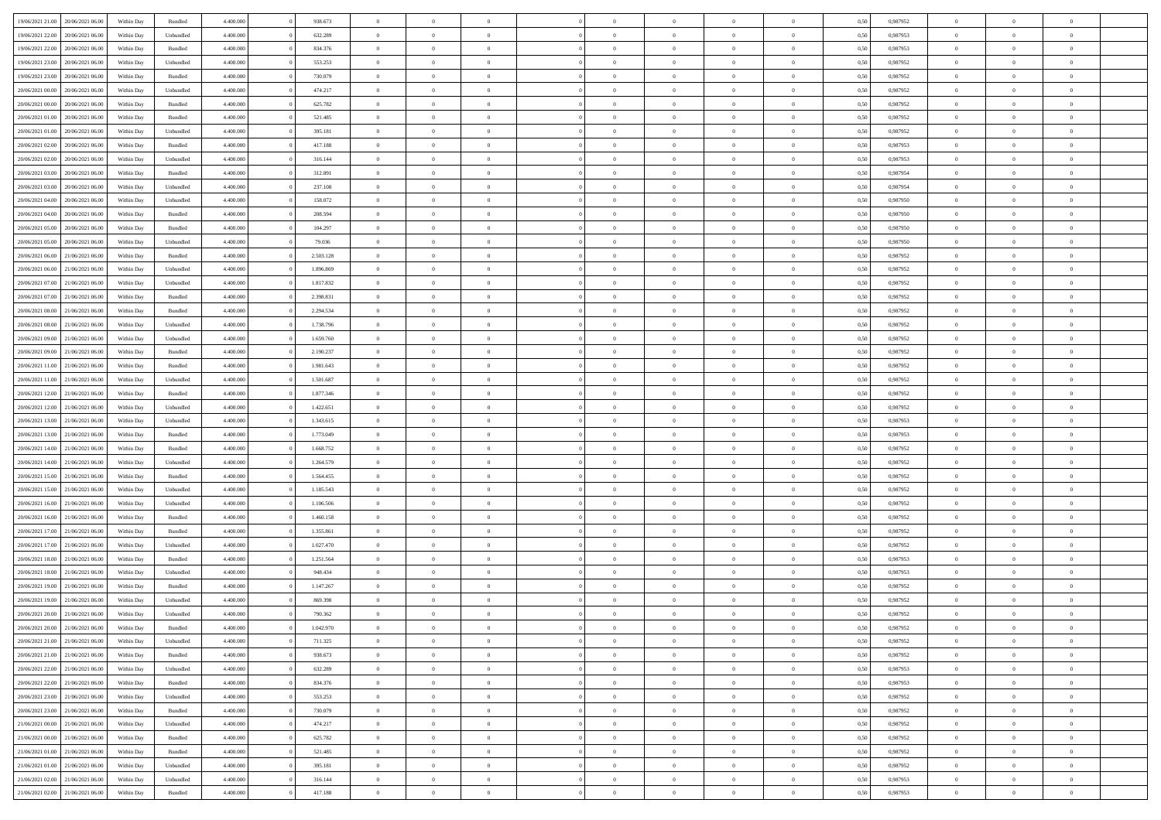| 19/06/2021 21:00                  | 20/06/2021 06:00 | Within Day | Bundled            | 4.400.000 | 938.673   | $\overline{0}$ | $\Omega$       |                | $\Omega$       | $\Omega$       | $\theta$       | $\theta$       | 0,50 | 0,987952 | $\theta$       | $\theta$       | $\theta$       |  |
|-----------------------------------|------------------|------------|--------------------|-----------|-----------|----------------|----------------|----------------|----------------|----------------|----------------|----------------|------|----------|----------------|----------------|----------------|--|
|                                   |                  |            |                    |           |           |                |                |                |                |                |                |                |      |          |                |                |                |  |
| 19/06/2021 22:00                  | 20/06/2021 06:00 | Within Day | Unbundled          | 4.400.000 | 632.289   | $\overline{0}$ | $\theta$       | $\overline{0}$ | $\overline{0}$ | $\bf{0}$       | $\overline{0}$ | $\bf{0}$       | 0,50 | 0,987953 | $\theta$       | $\overline{0}$ | $\overline{0}$ |  |
| 19/06/2021 22:00                  | 20/06/2021 06:00 | Within Day | Bundled            | 4.400.000 | 834.376   | $\overline{0}$ | $\bf{0}$       | $\overline{0}$ | $\bf{0}$       | $\bf{0}$       | $\bf{0}$       | $\mathbf{0}$   | 0,50 | 0,987953 | $\overline{0}$ | $\overline{0}$ | $\bf{0}$       |  |
| 19/06/2021 23:00                  | 20/06/2021 06:00 | Within Day | Unbundled          | 4.400.000 | 553.253   | $\overline{0}$ | $\overline{0}$ | $\overline{0}$ | $\overline{0}$ | $\bf{0}$       | $\overline{0}$ | $\overline{0}$ | 0.50 | 0,987952 | $\theta$       | $\theta$       | $\overline{0}$ |  |
| 19/06/2021 23:00                  | 20/06/2021 06:00 | Within Day | Bundled            | 4.400.000 | 730.079   | $\overline{0}$ | $\theta$       | $\overline{0}$ | $\overline{0}$ | $\bf{0}$       | $\overline{0}$ | $\bf{0}$       | 0,50 | 0,987952 | $\theta$       | $\overline{0}$ | $\overline{0}$ |  |
| 20/06/2021 00:00                  | 20/06/2021 06:00 | Within Day | Unbundled          | 4.400.000 | 474.217   | $\overline{0}$ | $\overline{0}$ | $\overline{0}$ | $\bf{0}$       | $\overline{0}$ | $\overline{0}$ | $\mathbf{0}$   | 0,50 | 0,987952 | $\overline{0}$ | $\overline{0}$ | $\bf{0}$       |  |
| 20/06/2021 00:00                  | 20/06/2021 06:00 | Within Dav | Bundled            | 4.400.000 | 625.782   | $\overline{0}$ | $\overline{0}$ | $\overline{0}$ | $\overline{0}$ | $\overline{0}$ | $\overline{0}$ | $\overline{0}$ | 0.50 | 0,987952 | $\theta$       | $\overline{0}$ | $\overline{0}$ |  |
|                                   |                  |            |                    |           |           |                |                |                |                |                |                |                |      |          |                |                |                |  |
| 20/06/2021 01:00                  | 20/06/2021 06:00 | Within Day | Bundled            | 4.400.000 | 521.485   | $\overline{0}$ | $\theta$       | $\overline{0}$ | $\overline{0}$ | $\bf{0}$       | $\overline{0}$ | $\bf{0}$       | 0,50 | 0,987952 | $\theta$       | $\theta$       | $\overline{0}$ |  |
| 20/06/2021 01:00                  | 20/06/2021 06:00 | Within Day | Unbundled          | 4.400.000 | 395.181   | $\overline{0}$ | $\overline{0}$ | $\overline{0}$ | $\bf{0}$       | $\bf{0}$       | $\bf{0}$       | $\bf{0}$       | 0,50 | 0,987952 | $\,0\,$        | $\overline{0}$ | $\overline{0}$ |  |
| 20/06/2021 02:00                  | 20/06/2021 06:00 | Within Dav | Bundled            | 4.400.000 | 417.188   | $\overline{0}$ | $\overline{0}$ | $\overline{0}$ | $\overline{0}$ | $\overline{0}$ | $\overline{0}$ | $\overline{0}$ | 0.50 | 0,987953 | $\theta$       | $\overline{0}$ | $\overline{0}$ |  |
| 20/06/2021 02:00                  | 20/06/2021 06:00 | Within Day | Unbundled          | 4.400.000 | 316.144   | $\overline{0}$ | $\theta$       | $\overline{0}$ | $\overline{0}$ | $\bf{0}$       | $\overline{0}$ | $\bf{0}$       | 0,50 | 0,987953 | $\,$ 0 $\,$    | $\overline{0}$ | $\overline{0}$ |  |
| 20/06/2021 03:00                  | 20/06/2021 06:00 | Within Day | Bundled            | 4.400.000 | 312.891   | $\overline{0}$ | $\overline{0}$ | $\overline{0}$ | $\bf{0}$       | $\bf{0}$       | $\bf{0}$       | $\mathbf{0}$   | 0,50 | 0,987954 | $\overline{0}$ | $\overline{0}$ | $\bf{0}$       |  |
| 20/06/2021 03:00                  | 20/06/2021 06:00 | Within Day | Unbundled          | 4.400.000 | 237.108   | $\overline{0}$ | $\overline{0}$ | $\overline{0}$ | $\overline{0}$ | $\bf{0}$       | $\overline{0}$ | $\overline{0}$ | 0.50 | 0,987954 | $\theta$       | $\theta$       | $\overline{0}$ |  |
| 20/06/2021 04:00                  | 20/06/2021 06:00 | Within Day | Unbundled          | 4.400.000 | 158.072   | $\overline{0}$ | $\theta$       | $\overline{0}$ | $\overline{0}$ | $\bf{0}$       | $\overline{0}$ | $\bf{0}$       | 0,50 | 0,987950 | $\theta$       | $\overline{0}$ | $\overline{0}$ |  |
|                                   |                  |            |                    |           |           |                |                |                |                |                |                |                |      |          |                |                |                |  |
| 20/06/2021 04:00                  | 20/06/2021 06:00 | Within Day | Bundled            | 4.400.000 | 208.594   | $\overline{0}$ | $\overline{0}$ | $\overline{0}$ | $\bf{0}$       | $\overline{0}$ | $\overline{0}$ | $\mathbf{0}$   | 0,50 | 0,987950 | $\overline{0}$ | $\overline{0}$ | $\bf{0}$       |  |
| 20/06/2021 05:00                  | 20/06/2021 06:00 | Within Dav | Bundled            | 4.400.000 | 104.297   | $\overline{0}$ | $\overline{0}$ | $\overline{0}$ | $\overline{0}$ | $\overline{0}$ | $\overline{0}$ | $\overline{0}$ | 0.50 | 0,987950 | $\theta$       | $\overline{0}$ | $\overline{0}$ |  |
| 20/06/2021 05:00                  | 20/06/2021 06:00 | Within Day | Unbundled          | 4.400.000 | 79.036    | $\overline{0}$ | $\theta$       | $\overline{0}$ | $\overline{0}$ | $\bf{0}$       | $\overline{0}$ | $\bf{0}$       | 0,50 | 0,987950 | $\theta$       | $\theta$       | $\overline{0}$ |  |
| 20/06/2021 06:00                  | 21/06/2021 06:00 | Within Day | Bundled            | 4.400.000 | 2.503.128 | $\overline{0}$ | $\overline{0}$ | $\overline{0}$ | $\bf{0}$       | $\bf{0}$       | $\bf{0}$       | $\mathbf{0}$   | 0,50 | 0,987952 | $\bf{0}$       | $\overline{0}$ | $\overline{0}$ |  |
| 20/06/2021 06:00                  | 21/06/2021 06:00 | Within Day | Unbundled          | 4.400.000 | 1.896.869 | $\overline{0}$ | $\overline{0}$ | $\overline{0}$ | $\overline{0}$ | $\overline{0}$ | $\overline{0}$ | $\overline{0}$ | 0.50 | 0,987952 | $\theta$       | $\overline{0}$ | $\overline{0}$ |  |
| 20/06/2021 07:00                  | 21/06/2021 06:00 | Within Day | Unbundled          | 4.400.000 | 1.817.832 | $\overline{0}$ | $\theta$       | $\overline{0}$ | $\overline{0}$ | $\bf{0}$       | $\overline{0}$ | $\bf{0}$       | 0,50 | 0,987952 | $\,$ 0 $\,$    | $\overline{0}$ | $\overline{0}$ |  |
| 20/06/2021 07:00                  | 21/06/2021 06:00 | Within Day | Bundled            | 4.400.000 | 2.398.831 | $\overline{0}$ | $\overline{0}$ | $\overline{0}$ | $\bf{0}$       | $\bf{0}$       | $\bf{0}$       | $\mathbf{0}$   | 0,50 | 0,987952 | $\bf{0}$       | $\overline{0}$ | $\bf{0}$       |  |
| 20/06/2021 08:00                  | 21/06/2021 06:00 | Within Day | Bundled            | 4.400.000 | 2.294.534 | $\overline{0}$ | $\overline{0}$ | $\overline{0}$ | $\overline{0}$ | $\bf{0}$       | $\overline{0}$ | $\overline{0}$ | 0.50 | 0,987952 | $\theta$       | $\overline{0}$ | $\overline{0}$ |  |
|                                   |                  |            |                    |           |           |                |                |                |                |                |                |                |      |          |                |                |                |  |
| 20/06/2021 08:00                  | 21/06/2021 06:00 | Within Day | Unbundled          | 4.400.000 | 1.738.796 | $\overline{0}$ | $\theta$       | $\overline{0}$ | $\overline{0}$ | $\bf{0}$       | $\overline{0}$ | $\bf{0}$       | 0,50 | 0,987952 | $\,$ 0 $\,$    | $\overline{0}$ | $\overline{0}$ |  |
| 20/06/2021 09:00                  | 21/06/2021 06:00 | Within Day | Unbundled          | 4.400.000 | 1.659.760 | $\overline{0}$ | $\overline{0}$ | $\overline{0}$ | $\bf{0}$       | $\overline{0}$ | $\overline{0}$ | $\mathbf{0}$   | 0,50 | 0,987952 | $\bf{0}$       | $\overline{0}$ | $\bf{0}$       |  |
| 20/06/2021 09:00                  | 21/06/2021 06:00 | Within Dav | Bundled            | 4.400.000 | 2.190.237 | $\overline{0}$ | $\overline{0}$ | $\overline{0}$ | $\overline{0}$ | $\overline{0}$ | $\overline{0}$ | $\overline{0}$ | 0.50 | 0,987952 | $\theta$       | $\overline{0}$ | $\overline{0}$ |  |
| 20/06/2021 11:00                  | 21/06/2021 06:00 | Within Day | Bundled            | 4.400.000 | 1.981.643 | $\overline{0}$ | $\theta$       | $\overline{0}$ | $\overline{0}$ | $\bf{0}$       | $\overline{0}$ | $\bf{0}$       | 0,50 | 0,987952 | $\theta$       | $\theta$       | $\overline{0}$ |  |
| 20/06/2021 11:00                  | 21/06/2021 06:00 | Within Day | Unbundled          | 4.400.000 | 1.501.687 | $\overline{0}$ | $\overline{0}$ | $\overline{0}$ | $\bf{0}$       | $\bf{0}$       | $\bf{0}$       | $\bf{0}$       | 0,50 | 0,987952 | $\,0\,$        | $\overline{0}$ | $\overline{0}$ |  |
| 20/06/2021 12:00                  | 21/06/2021 06:00 | Within Day | Bundled            | 4.400.000 | 1.877.346 | $\overline{0}$ | $\overline{0}$ | $\overline{0}$ | $\overline{0}$ | $\overline{0}$ | $\overline{0}$ | $\overline{0}$ | 0.50 | 0,987952 | $\theta$       | $\overline{0}$ | $\overline{0}$ |  |
| 20/06/2021 12:00                  | 21/06/2021 06:00 | Within Day | Unbundled          | 4.400.000 | 1.422.651 | $\overline{0}$ | $\theta$       | $\overline{0}$ | $\overline{0}$ | $\bf{0}$       | $\overline{0}$ | $\bf{0}$       | 0,50 | 0,987952 | $\,$ 0 $\,$    | $\overline{0}$ | $\overline{0}$ |  |
|                                   |                  |            |                    |           |           |                |                |                |                |                |                |                |      |          |                |                |                |  |
| 20/06/2021 13:00                  | 21/06/2021 06:00 | Within Day | Unbundled          | 4.400.000 | 1.343.615 | $\overline{0}$ | $\bf{0}$       | $\overline{0}$ | $\bf{0}$       | $\bf{0}$       | $\bf{0}$       | $\bf{0}$       | 0,50 | 0,987953 | $\bf{0}$       | $\overline{0}$ | $\bf{0}$       |  |
| 20/06/2021 13:00                  | 21/06/2021 06:00 | Within Day | Bundled            | 4.400,000 | 1.773.049 | $\overline{0}$ | $\Omega$       | $\Omega$       | $\Omega$       | $\Omega$       | $\overline{0}$ | $\overline{0}$ | 0,50 | 0,987953 | $\,0\,$        | $\theta$       | $\theta$       |  |
| 20/06/2021 14:00                  | 21/06/2021 06:00 | Within Day | Bundled            | 4.400.000 | 1.668.752 | $\overline{0}$ | $\theta$       | $\overline{0}$ | $\overline{0}$ | $\bf{0}$       | $\overline{0}$ | $\bf{0}$       | 0,50 | 0,987952 | $\theta$       | $\overline{0}$ | $\overline{0}$ |  |
| 20/06/2021 14:00                  | 21/06/2021 06:00 | Within Day | Unbundled          | 4.400.000 | 1.264.579 | $\overline{0}$ | $\overline{0}$ | $\overline{0}$ | $\bf{0}$       | $\bf{0}$       | $\overline{0}$ | $\mathbf{0}$   | 0,50 | 0,987952 | $\bf{0}$       | $\overline{0}$ | $\bf{0}$       |  |
| 20/06/2021 15:00                  | 21/06/2021 06:00 | Within Day | Bundled            | 4.400,000 | 1.564.455 | $\overline{0}$ | $\Omega$       | $\Omega$       | $\Omega$       | $\bf{0}$       | $\overline{0}$ | $\overline{0}$ | 0.50 | 0,987952 | $\,0\,$        | $\theta$       | $\theta$       |  |
| 20/06/2021 15:00                  | 21/06/2021 06:00 | Within Day | Unbundled          | 4.400.000 | 1.185.543 | $\overline{0}$ | $\theta$       | $\overline{0}$ | $\overline{0}$ | $\bf{0}$       | $\overline{0}$ | $\bf{0}$       | 0,50 | 0,987952 | $\,$ 0 $\,$    | $\overline{0}$ | $\overline{0}$ |  |
| 20/06/2021 16:00                  | 21/06/2021 06:00 | Within Day | Unbundled          | 4.400.000 | 1.106.506 | $\overline{0}$ | $\overline{0}$ | $\overline{0}$ | $\bf{0}$       | $\bf{0}$       | $\bf{0}$       | $\bf{0}$       | 0,50 | 0,987952 | $\bf{0}$       | $\overline{0}$ | $\bf{0}$       |  |
| 20/06/2021 16:00                  | 21/06/2021 06:00 | Within Day | Bundled            | 4.400,000 | 1.460.158 | $\overline{0}$ | $\Omega$       | $\Omega$       | $\Omega$       | $\theta$       | $\overline{0}$ | $\overline{0}$ | 0.50 | 0.987952 | $\,$ 0 $\,$    | $\theta$       | $\theta$       |  |
| 20/06/2021 17:00                  | 21/06/2021 06:00 |            |                    | 4.400.000 | 1.355.861 | $\overline{0}$ | $\theta$       | $\overline{0}$ | $\overline{0}$ | $\bf{0}$       | $\overline{0}$ |                |      | 0,987952 | $\,$ 0 $\,$    | $\overline{0}$ | $\overline{0}$ |  |
|                                   |                  | Within Day | Bundled            |           |           |                |                |                |                |                |                | $\bf{0}$       | 0,50 |          |                |                |                |  |
| 20/06/2021 17:00                  | 21/06/2021 06:00 | Within Day | Unbundled          | 4.400.000 | 1.027.470 | $\overline{0}$ | $\bf{0}$       | $\overline{0}$ | $\bf{0}$       | $\bf{0}$       | $\bf{0}$       | $\mathbf{0}$   | 0,50 | 0,987952 | $\bf{0}$       | $\overline{0}$ | $\bf{0}$       |  |
| 20/06/2021 18:00                  | 21/06/2021 06:00 | Within Day | Bundled            | 4.400,000 | 1.251.564 | $\overline{0}$ | $\Omega$       | $\overline{0}$ | $\Omega$       | $\overline{0}$ | $\overline{0}$ | $\overline{0}$ | 0.50 | 0,987953 | $\,0\,$        | $\theta$       | $\theta$       |  |
| 20/06/2021 18:00                  | 21/06/2021 06:00 | Within Day | Unbundled          | 4.400.000 | 948.434   | $\overline{0}$ | $\overline{0}$ | $\overline{0}$ | $\overline{0}$ | $\,$ 0         | $\overline{0}$ | $\bf{0}$       | 0,50 | 0,987953 | $\,$ 0 $\,$    | $\overline{0}$ | $\overline{0}$ |  |
| 20/06/2021 19:00                  | 21/06/2021 06:00 | Within Day | Bundled            | 4.400.000 | 1.147.267 | $\overline{0}$ | $\overline{0}$ | $\overline{0}$ | $\bf{0}$       | $\bf{0}$       | $\bf{0}$       | $\mathbf{0}$   | 0,50 | 0,987952 | $\bf{0}$       | $\overline{0}$ | $\bf{0}$       |  |
| 20/06/2021 19:00                  | 21/06/2021 06.00 | Within Day | Unbundled          | 4.400,000 | 869,398   | $\overline{0}$ | $\Omega$       | $\Omega$       | $\Omega$       | $\Omega$       | $\Omega$       | $\overline{0}$ | 0.50 | 0.987952 | $\theta$       | $\theta$       | $\theta$       |  |
| 20/06/2021 20:00                  | 21/06/2021 06:00 | Within Day | Unbundled          | 4.400.000 | 790.362   | $\overline{0}$ | $\overline{0}$ | $\overline{0}$ | $\bf{0}$       | $\,$ 0         | $\bf{0}$       | $\bf{0}$       | 0,50 | 0,987952 | $\,0\,$        | $\,0\,$        | $\overline{0}$ |  |
| 20/06/2021 20:00                  | 21/06/2021 06:00 | Within Day | $\mathbf B$ undled | 4.400.000 | 1.042.970 | $\overline{0}$ | $\bf{0}$       |                |                | $\bf{0}$       |                |                | 0,50 | 0,987952 | $\bf{0}$       | $\overline{0}$ |                |  |
| 20/06/2021 21:00                  | 21/06/2021 06:00 | Within Day | Unbundled          | 4.400.000 | 711.325   | $\overline{0}$ | $\overline{0}$ | $\overline{0}$ | $\Omega$       | $\overline{0}$ | $\overline{0}$ | $\overline{0}$ | 0,50 | 0.987952 | $\theta$       | $\theta$       | $\Omega$       |  |
|                                   |                  |            |                    |           |           |                |                |                |                |                |                |                |      |          |                |                |                |  |
| 20/06/2021 21:00                  | 21/06/2021 06:00 | Within Day | Bundled            | 4.400.000 | 938.673   | $\overline{0}$ | $\bf{0}$       | $\overline{0}$ | $\bf{0}$       | $\,$ 0 $\,$    | $\overline{0}$ | $\,$ 0 $\,$    | 0,50 | 0,987952 | $\,$ 0 $\,$    | $\,$ 0 $\,$    | $\,$ 0         |  |
| 20/06/2021 22.00                  | 21/06/2021 06:00 | Within Day | Unbundled          | 4.400.000 | 632.289   | $\overline{0}$ | $\overline{0}$ | $\overline{0}$ | $\overline{0}$ | $\overline{0}$ | $\overline{0}$ | $\mathbf{0}$   | 0,50 | 0,987953 | $\overline{0}$ | $\overline{0}$ | $\overline{0}$ |  |
| 20/06/2021 22:00                  | 21/06/2021 06:00 | Within Day | $\mathbf B$ undled | 4.400.000 | 834.376   | $\overline{0}$ | $\overline{0}$ | $\overline{0}$ | $\Omega$       | $\overline{0}$ | $\overline{0}$ | $\overline{0}$ | 0,50 | 0,987953 | $\overline{0}$ | $\theta$       | $\overline{0}$ |  |
| 20/06/2021 23:00                  | 21/06/2021 06:00 | Within Day | Unbundled          | 4.400.000 | 553.253   | $\overline{0}$ | $\,$ 0         | $\overline{0}$ | $\bf{0}$       | $\,$ 0 $\,$    | $\overline{0}$ | $\,$ 0 $\,$    | 0,50 | 0,987952 | $\,$ 0 $\,$    | $\overline{0}$ | $\overline{0}$ |  |
| 20/06/2021 23:00                  | 21/06/2021 06:00 | Within Day | Bundled            | 4.400.000 | 730.079   | $\overline{0}$ | $\overline{0}$ | $\overline{0}$ | $\overline{0}$ | $\overline{0}$ | $\overline{0}$ | $\mathbf{0}$   | 0,50 | 0,987952 | $\overline{0}$ | $\overline{0}$ | $\overline{0}$ |  |
| 21/06/2021 00:00                  | 21/06/2021 06:00 | Within Day | Unbundled          | 4.400.000 | 474.217   | $\overline{0}$ | $\overline{0}$ | $\overline{0}$ | $\overline{0}$ | $\overline{0}$ | $\overline{0}$ | $\overline{0}$ | 0.50 | 0,987952 | $\overline{0}$ | $\theta$       | $\overline{0}$ |  |
| 21/06/2021 00:00                  | 21/06/2021 06:00 | Within Day | Bundled            | 4.400.000 | 625.782   | $\overline{0}$ | $\,$ 0         | $\overline{0}$ | $\bf{0}$       | $\bf{0}$       | $\bf{0}$       | $\bf{0}$       | 0,50 | 0,987952 | $\,$ 0 $\,$    | $\overline{0}$ | $\overline{0}$ |  |
|                                   | 21/06/2021 06:00 | Within Day | Bundled            | 4.400.000 | 521.485   | $\overline{0}$ | $\overline{0}$ | $\overline{0}$ | $\overline{0}$ | $\overline{0}$ | $\overline{0}$ | $\mathbf{0}$   | 0,50 | 0,987952 | $\overline{0}$ | $\overline{0}$ | $\bf{0}$       |  |
| 21/06/2021 01:00                  |                  |            |                    |           |           |                |                |                |                |                |                |                |      |          |                |                |                |  |
| 21/06/2021 01:00                  | 21/06/2021 06:00 | Within Day | Unbundled          | 4.400,000 | 395.181   | $\overline{0}$ | $\overline{0}$ | $\overline{0}$ | $\Omega$       | $\overline{0}$ | $\overline{0}$ | $\overline{0}$ | 0.50 | 0,987952 | $\overline{0}$ | $\overline{0}$ | $\overline{0}$ |  |
| 21/06/2021 02:00                  | 21/06/2021 06:00 | Within Day | Unbundled          | 4.400.000 | 316.144   | $\overline{0}$ | $\bf{0}$       | $\overline{0}$ | $\bf{0}$       | $\bf{0}$       | $\bf{0}$       | $\mathbf{0}$   | 0,50 | 0,987953 | $\,$ 0 $\,$    | $\,$ 0 $\,$    | $\bf{0}$       |  |
| 21/06/2021 02.00 21/06/2021 06.00 |                  | Within Day | Bundled            | 4.400.000 | 417.188   | $\overline{0}$ | $\overline{0}$ | $\overline{0}$ | $\overline{0}$ | $\overline{0}$ | $\bf{0}$       | $\mathbf{0}$   | 0,50 | 0,987953 | $\overline{0}$ | $\bf{0}$       | $\overline{0}$ |  |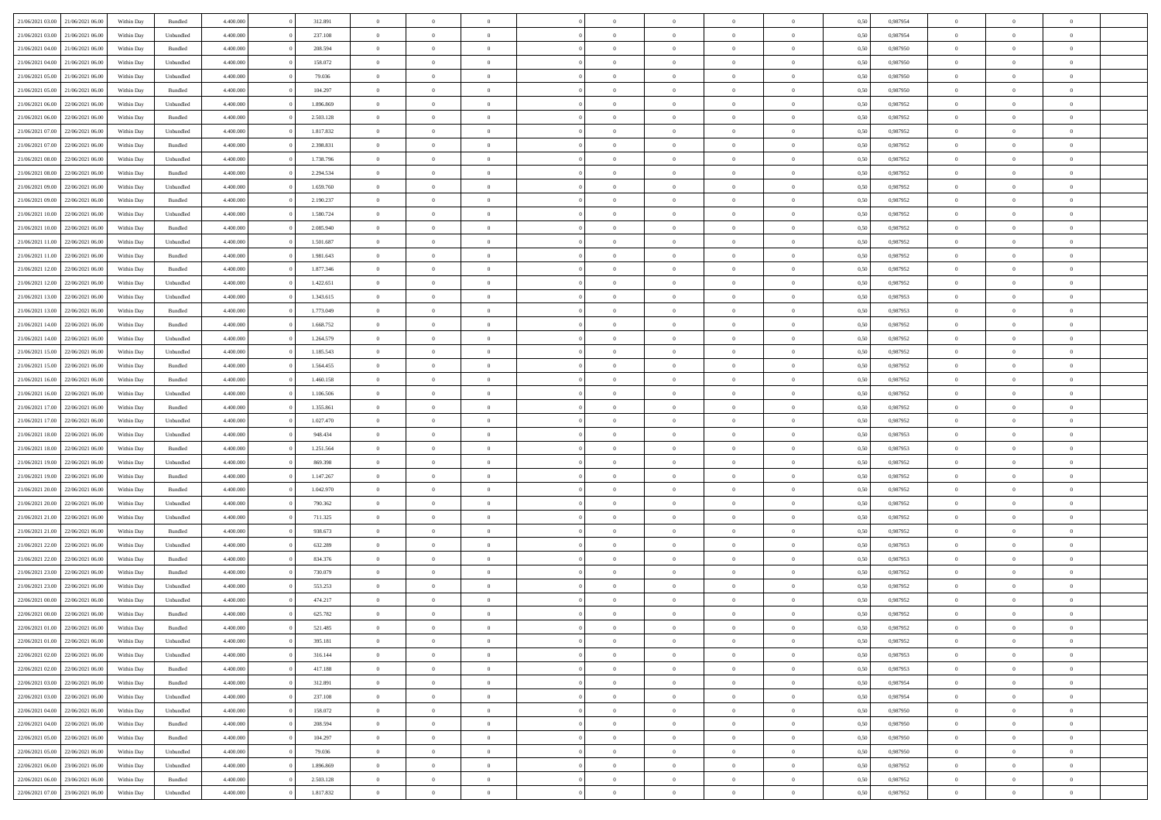| 21/06/2021 03:00 21/06/2021 06:00    | Within Day | Bundled   | 4.400.000 | 312.891   | $\overline{0}$ | $\overline{0}$ | $\Omega$       | $\Omega$       | $\theta$       | $\Omega$       | $\overline{0}$ | 0,50 | 0,987954 | $\theta$       | $\theta$       | $\theta$       |  |
|--------------------------------------|------------|-----------|-----------|-----------|----------------|----------------|----------------|----------------|----------------|----------------|----------------|------|----------|----------------|----------------|----------------|--|
| 21/06/2021 03:00<br>21/06/2021 06:00 | Within Day | Unbundled | 4.400.000 | 237.108   | $\overline{0}$ | $\overline{0}$ | $\overline{0}$ | $\overline{0}$ | $\theta$       | $\overline{0}$ | $\bf{0}$       | 0,50 | 0,987954 | $\theta$       | $\theta$       | $\overline{0}$ |  |
| 21/06/2021 04:00<br>21/06/2021 06:00 | Within Day | Bundled   | 4.400.000 | 208.594   | $\overline{0}$ | $\bf{0}$       | $\overline{0}$ | $\overline{0}$ | $\overline{0}$ | $\overline{0}$ | $\bf{0}$       | 0,50 | 0,987950 | $\bf{0}$       | $\overline{0}$ | $\overline{0}$ |  |
| 21/06/2021 04:00<br>21/06/2021 06:00 | Within Day | Unbundled | 4.400.000 | 158.072   | $\overline{0}$ | $\overline{0}$ | $\overline{0}$ | $\overline{0}$ | $\theta$       | $\overline{0}$ | $\overline{0}$ | 0.50 | 0.987950 | $\theta$       | $\theta$       | $\overline{0}$ |  |
| 21/06/2021 05:00<br>21/06/2021 06:00 | Within Day | Unbundled | 4.400.000 | 79.036    | $\overline{0}$ | $\overline{0}$ | $\overline{0}$ | $\overline{0}$ | $\theta$       | $\overline{0}$ | $\bf{0}$       | 0,50 | 0,987950 | $\theta$       | $\theta$       | $\overline{0}$ |  |
|                                      |            |           |           |           |                |                |                |                |                |                |                |      |          |                |                |                |  |
| 21/06/2021 05:00<br>21/06/2021 06:00 | Within Day | Bundled   | 4.400.000 | 104.297   | $\overline{0}$ | $\bf{0}$       | $\overline{0}$ | $\overline{0}$ | $\overline{0}$ | $\overline{0}$ | $\bf{0}$       | 0,50 | 0,987950 | $\overline{0}$ | $\overline{0}$ | $\bf{0}$       |  |
| 21/06/2021 06:00<br>22/06/2021 06:00 | Within Day | Unbundled | 4.400.000 | 1.896.869 | $\overline{0}$ | $\overline{0}$ | $\overline{0}$ | $\overline{0}$ | $\overline{0}$ | $\overline{0}$ | $\overline{0}$ | 0.5( | 0,987952 | $\theta$       | $\theta$       | $\overline{0}$ |  |
| 21/06/2021 06:00<br>22/06/2021 06:00 | Within Day | Bundled   | 4.400.000 | 2.503.128 | $\overline{0}$ | $\theta$       | $\overline{0}$ | $\overline{0}$ | $\theta$       | $\overline{0}$ | $\bf{0}$       | 0,50 | 0,987952 | $\theta$       | $\theta$       | $\overline{0}$ |  |
| 21/06/2021 07:00<br>22/06/2021 06:00 | Within Day | Unbundled | 4.400.000 | 1.817.832 | $\overline{0}$ | $\bf{0}$       | $\overline{0}$ | $\overline{0}$ | $\overline{0}$ | $\overline{0}$ | $\bf{0}$       | 0,50 | 0,987952 | $\bf{0}$       | $\bf{0}$       | $\overline{0}$ |  |
| 21/06/2021 07:00<br>22/06/2021 06:00 | Within Day | Bundled   | 4.400.000 | 2.398.831 | $\overline{0}$ | $\overline{0}$ | $\overline{0}$ | $\overline{0}$ | $\overline{0}$ | $\overline{0}$ | $\overline{0}$ | 0.5( | 0,987952 | $\theta$       | $\theta$       | $\overline{0}$ |  |
| 21/06/2021 08:00<br>22/06/2021 06:00 | Within Day | Unbundled | 4.400.000 | 1.738.796 | $\bf{0}$       | $\overline{0}$ | $\overline{0}$ | $\overline{0}$ | $\theta$       | $\overline{0}$ | $\bf{0}$       | 0,50 | 0,987952 | $\theta$       | $\theta$       | $\overline{0}$ |  |
| 21/06/2021 08:00<br>22/06/2021 06:00 | Within Day | Bundled   | 4.400.000 | 2.294.534 | $\overline{0}$ | $\bf{0}$       | $\overline{0}$ | $\overline{0}$ | $\bf{0}$       | $\overline{0}$ | $\bf{0}$       | 0,50 | 0,987952 | $\bf{0}$       | $\overline{0}$ | $\overline{0}$ |  |
| 21/06/2021 09:00<br>22/06/2021 06:00 | Within Day | Unbundled | 4.400.000 | 1.659.760 | $\overline{0}$ | $\overline{0}$ | $\overline{0}$ | $\overline{0}$ | $\overline{0}$ | $\overline{0}$ | $\overline{0}$ | 0.5( | 0,987952 | $\theta$       | $\theta$       | $\overline{0}$ |  |
| 21/06/2021 09:00<br>22/06/2021 06:00 | Within Day | Bundled   | 4.400.000 | 2.190.237 | $\overline{0}$ | $\theta$       | $\overline{0}$ | $\overline{0}$ | $\theta$       | $\overline{0}$ | $\,$ 0 $\,$    | 0,50 | 0,987952 | $\theta$       | $\theta$       | $\overline{0}$ |  |
| 21/06/2021 10:00<br>22/06/2021 06:00 | Within Day | Unbundled | 4.400.000 | 1.580.724 | $\overline{0}$ | $\bf{0}$       | $\overline{0}$ | $\overline{0}$ | $\overline{0}$ | $\overline{0}$ | $\bf{0}$       | 0,50 | 0,987952 | $\bf{0}$       | $\overline{0}$ | $\bf{0}$       |  |
|                                      |            |           |           |           |                | $\overline{0}$ |                |                |                |                |                |      |          | $\theta$       | $\theta$       | $\overline{0}$ |  |
| 21/06/2021 10:00<br>22/06/2021 06:00 | Within Day | Bundled   | 4.400.000 | 2.085.940 | $\overline{0}$ |                | $\overline{0}$ | $\overline{0}$ | $\overline{0}$ | $\overline{0}$ | $\overline{0}$ | 0.5( | 0,987952 |                |                |                |  |
| 21/06/2021 11:00<br>22/06/2021 06:00 | Within Day | Unbundled | 4.400.000 | 1.501.687 | $\overline{0}$ | $\theta$       | $\overline{0}$ | $\overline{0}$ | $\theta$       | $\overline{0}$ | $\bf{0}$       | 0,50 | 0,987952 | $\theta$       | $\theta$       | $\overline{0}$ |  |
| 21/06/2021 11:00<br>22/06/2021 06:00 | Within Day | Bundled   | 4.400.000 | 1.981.643 | $\overline{0}$ | $\bf{0}$       | $\overline{0}$ | $\overline{0}$ | $\overline{0}$ | $\overline{0}$ | $\bf{0}$       | 0,50 | 0,987952 | $\bf{0}$       | $\overline{0}$ | $\overline{0}$ |  |
| 21/06/2021 12:00<br>22/06/2021 06:00 | Within Day | Bundled   | 4.400.000 | 1.877.346 | $\overline{0}$ | $\overline{0}$ | $\overline{0}$ | $\overline{0}$ | $\overline{0}$ | $\overline{0}$ | $\overline{0}$ | 0.5( | 0,987952 | $\theta$       | $\theta$       | $\overline{0}$ |  |
| 21/06/2021 12:00<br>22/06/2021 06:00 | Within Day | Unbundled | 4.400.000 | 1.422.651 | $\bf{0}$       | $\overline{0}$ | $\overline{0}$ | $\overline{0}$ | $\theta$       | $\overline{0}$ | $\bf{0}$       | 0,50 | 0,987952 | $\theta$       | $\theta$       | $\overline{0}$ |  |
| 21/06/2021 13:00<br>22/06/2021 06:00 | Within Day | Unbundled | 4.400.000 | 1.343.615 | $\overline{0}$ | $\bf{0}$       | $\overline{0}$ | $\overline{0}$ | $\overline{0}$ | $\overline{0}$ | $\bf{0}$       | 0,50 | 0,987953 | $\bf{0}$       | $\overline{0}$ | $\overline{0}$ |  |
| 21/06/2021 13:00<br>22/06/2021 06:00 | Within Day | Bundled   | 4.400.000 | 1.773.049 | $\overline{0}$ | $\overline{0}$ | $\overline{0}$ | $\overline{0}$ | $\overline{0}$ | $\overline{0}$ | $\overline{0}$ | 0.5( | 0.987953 | $\theta$       | $\theta$       | $\overline{0}$ |  |
| 21/06/2021 14:00<br>22/06/2021 06:00 | Within Day | Bundled   | 4.400.000 | 1.668.752 | $\overline{0}$ | $\overline{0}$ | $\overline{0}$ | $\overline{0}$ | $\theta$       | $\overline{0}$ | $\bf{0}$       | 0,50 | 0,987952 | $\theta$       | $\theta$       | $\overline{0}$ |  |
| 21/06/2021 14:00<br>22/06/2021 06:00 | Within Day | Unbundled | 4.400.000 | 1.264.579 | $\overline{0}$ | $\bf{0}$       | $\overline{0}$ | $\overline{0}$ | $\overline{0}$ | $\overline{0}$ | $\bf{0}$       | 0,50 | 0,987952 | $\overline{0}$ | $\overline{0}$ | $\bf{0}$       |  |
| 21/06/2021 15:00<br>22/06/2021 06:00 | Within Day | Unbundled | 4.400.000 | 1.185.543 | $\overline{0}$ | $\overline{0}$ | $\overline{0}$ | $\overline{0}$ | $\overline{0}$ | $\overline{0}$ | $\overline{0}$ | 0.5( | 0,987952 | $\theta$       | $\theta$       | $\overline{0}$ |  |
| 21/06/2021 15:00<br>22/06/2021 06:00 | Within Day | Bundled   | 4.400.000 | 1.564.455 | $\overline{0}$ | $\overline{0}$ | $\overline{0}$ | $\overline{0}$ | $\theta$       | $\overline{0}$ | $\bf{0}$       | 0,50 | 0,987952 | $\theta$       | $\theta$       | $\overline{0}$ |  |
|                                      |            |           |           |           |                | $\bf{0}$       |                |                | $\overline{0}$ |                |                |      |          | $\bf{0}$       | $\bf{0}$       | $\overline{0}$ |  |
| 21/06/2021 16:00<br>22/06/2021 06:00 | Within Day | Bundled   | 4.400.000 | 1.460.158 | $\overline{0}$ |                | $\overline{0}$ | $\overline{0}$ |                | $\bf{0}$       | $\bf{0}$       | 0,50 | 0,987952 |                |                |                |  |
| 21/06/2021 16:00<br>22/06/2021 06:00 | Within Day | Unbundled | 4.400.000 | 1.106.506 | $\overline{0}$ | $\overline{0}$ | $\overline{0}$ | $\overline{0}$ | $\overline{0}$ | $\overline{0}$ | $\overline{0}$ | 0.5( | 0,987952 | $\theta$       | $\theta$       | $\overline{0}$ |  |
| 21/06/2021 17:00<br>22/06/2021 06:00 | Within Day | Bundled   | 4.400.000 | 1.355.861 | $\bf{0}$       | $\overline{0}$ | $\overline{0}$ | $\overline{0}$ | $\theta$       | $\overline{0}$ | $\bf{0}$       | 0,50 | 0,987952 | $\theta$       | $\theta$       | $\overline{0}$ |  |
| 21/06/2021 17:00<br>22/06/2021 06:00 | Within Day | Unbundled | 4.400.000 | 1.027.470 | $\overline{0}$ | $\bf{0}$       | $\overline{0}$ | $\overline{0}$ | $\bf{0}$       | $\overline{0}$ | $\bf{0}$       | 0,50 | 0,987952 | $\bf{0}$       | $\overline{0}$ | $\overline{0}$ |  |
| 21/06/2021 18:00<br>22/06/2021 06.00 | Within Day | Unbundled | 4,400,000 | 948.434   | $\overline{0}$ | $\overline{0}$ | $\Omega$       | $\Omega$       | $\Omega$       | $\theta$       | $\overline{0}$ | 0.50 | 0,987953 | $\,$ 0 $\,$    | $\Omega$       | $\theta$       |  |
| 21/06/2021 18:00<br>22/06/2021 06:00 | Within Day | Bundled   | 4.400.000 | 1.251.564 | $\bf{0}$       | $\overline{0}$ | $\overline{0}$ | $\overline{0}$ | $\theta$       | $\overline{0}$ | $\bf{0}$       | 0,50 | 0,987953 | $\theta$       | $\theta$       | $\overline{0}$ |  |
| 21/06/2021 19:00<br>22/06/2021 06:00 | Within Day | Unbundled | 4.400.000 | 869.398   | $\overline{0}$ | $\bf{0}$       | $\overline{0}$ | $\overline{0}$ | $\bf{0}$       | $\overline{0}$ | $\bf{0}$       | 0,50 | 0,987952 | $\bf{0}$       | $\overline{0}$ | $\bf{0}$       |  |
| 21/06/2021 19:00<br>22/06/2021 06:00 | Within Day | Bundled   | 4,400,000 | 1.147.267 | $\overline{0}$ | $\overline{0}$ | $\Omega$       | $\Omega$       | $\overline{0}$ | $\Omega$       | $\overline{0}$ | 0.50 | 0,987952 | $\theta$       | $\overline{0}$ | $\theta$       |  |
| 21/06/2021 20:00<br>22/06/2021 06:00 | Within Day | Bundled   | 4.400.000 | 1.042.970 | $\bf{0}$       | $\overline{0}$ | $\overline{0}$ | $\overline{0}$ | $\theta$       | $\overline{0}$ | $\bf{0}$       | 0,50 | 0,987952 | $\theta$       | $\theta$       | $\overline{0}$ |  |
| 21/06/2021 20:00<br>22/06/2021 06:00 | Within Day | Unbundled | 4.400.000 | 790.362   | $\overline{0}$ | $\bf{0}$       | $\overline{0}$ | $\overline{0}$ | $\overline{0}$ | $\bf{0}$       | $\bf{0}$       | 0,50 | 0,987952 | $\bf{0}$       | $\overline{0}$ | $\overline{0}$ |  |
| 21/06/2021 21:00<br>22/06/2021 06:00 | Within Day | Unbundled | 4,400,000 | 711.325   | $\overline{0}$ | $\overline{0}$ | $\Omega$       | $\Omega$       | $\Omega$       | $\Omega$       | $\overline{0}$ | 0.50 | 0.987952 | $\theta$       | $\Omega$       | $\theta$       |  |
| 21/06/2021 21:00<br>22/06/2021 06:00 | Within Day | Bundled   | 4.400.000 | 938.673   | $\bf{0}$       | $\overline{0}$ | $\overline{0}$ | $\overline{0}$ | $\theta$       | $\overline{0}$ | $\bf{0}$       | 0,50 | 0,987952 | $\theta$       | $\theta$       | $\overline{0}$ |  |
| 21/06/2021 22:00<br>22/06/2021 06:00 | Within Day | Unbundled | 4.400.000 | 632.289   | $\overline{0}$ | $\bf{0}$       | $\overline{0}$ | $\overline{0}$ | $\overline{0}$ | $\overline{0}$ | $\bf{0}$       | 0,50 | 0,987953 | $\bf{0}$       | $\overline{0}$ | $\overline{0}$ |  |
|                                      |            |           |           |           |                |                |                |                |                |                |                |      |          |                |                |                |  |
| 21/06/2021 22:00<br>22/06/2021 06.00 | Within Day | Bundled   | 4,400,000 | 834.376   | $\overline{0}$ | $\overline{0}$ | $\Omega$       | $\Omega$       | $\theta$       | $\Omega$       | $\overline{0}$ | 0.50 | 0,987953 | $\,$ 0 $\,$    | $\overline{0}$ | $\theta$       |  |
| 21/06/2021 23:00<br>22/06/2021 06:00 | Within Day | Bundled   | 4.400.000 | 730.079   | $\bf{0}$       | $\overline{0}$ | $\overline{0}$ | $\overline{0}$ | $\theta$       | $\overline{0}$ | $\bf{0}$       | 0,50 | 0,987952 | $\theta$       | $\theta$       | $\overline{0}$ |  |
| 21/06/2021 23:00<br>22/06/2021 06.00 | Within Day | Unbundled | 4.400.000 | 553.253   | $\overline{0}$ | $\bf{0}$       | $\overline{0}$ | $\overline{0}$ | $\bf{0}$       | $\overline{0}$ | $\bf{0}$       | 0,50 | 0,987952 | $\bf{0}$       | $\overline{0}$ | $\bf{0}$       |  |
| 22/06/2021 00:00<br>22/06/2021 06.00 | Within Day | Unbundled | 4,400,000 | 474.217   | $\overline{0}$ | $\Omega$       | $\Omega$       | $\Omega$       | $\Omega$       | $\theta$       | $\overline{0}$ | 0.50 | 0.987952 | $\theta$       | $\Omega$       | $\theta$       |  |
| 22/06/2021 00:00<br>22/06/2021 06:00 | Within Day | Bundled   | 4.400.000 | 625.782   | $\bf{0}$       | $\bf{0}$       | $\overline{0}$ | $\overline{0}$ | $\bf{0}$       | $\bf{0}$       | $\bf{0}$       | 0,50 | 0,987952 | $\bf{0}$       | $\bf{0}$       | $\overline{0}$ |  |
| 22/06/2021 01:00 22/06/2021 06:00    | Within Day | Bundled   | 4.400.000 | 521.485   |                | $\bf{0}$       |                |                |                |                |                | 0,50 | 0,987952 | $\bf{0}$       | $\bf{0}$       |                |  |
| 22/06/2021 01:00 22/06/2021 06:00    | Within Day | Unbundled | 4.400.000 | 395.181   | $\Omega$       | $\overline{0}$ | $\Omega$       | $\theta$       | $\overline{0}$ | $\theta$       | $\overline{0}$ | 0.50 | 0.987952 | $\theta$       | $\theta$       | $\theta$       |  |
| 22/06/2021 02:00<br>22/06/2021 06:00 | Within Day | Unbundled | 4.400.000 | 316.144   | $\overline{0}$ | $\overline{0}$ | $\overline{0}$ | $\overline{0}$ | $\,$ 0 $\,$    | $\overline{0}$ | $\,$ 0 $\,$    | 0,50 | 0,987953 | $\,$ 0 $\,$    | $\,$ 0 $\,$    | $\,$ 0         |  |
| 22/06/2021 02:00 22/06/2021 06:00    | Within Day | Bundled   | 4.400.000 | 417.188   | $\overline{0}$ | $\overline{0}$ | $\overline{0}$ | $\overline{0}$ | $\overline{0}$ | $\overline{0}$ | $\bf{0}$       | 0,50 | 0,987953 | $\overline{0}$ | $\bf{0}$       | $\overline{0}$ |  |
| 22/06/2021 03:00 22/06/2021 06:00    | Within Day | Bundled   | 4.400.000 | 312.891   | $\overline{0}$ | $\bf{0}$       | $\overline{0}$ | $\overline{0}$ | $\overline{0}$ | $\overline{0}$ | $\bf{0}$       | 0,50 | 0,987954 | $\bf{0}$       | $\theta$       | $\overline{0}$ |  |
| 22/06/2021 03:00<br>22/06/2021 06:00 | Within Day | Unbundled | 4.400.000 | 237.108   | $\overline{0}$ | $\overline{0}$ | $\overline{0}$ | $\overline{0}$ | $\overline{0}$ | $\overline{0}$ | $\,$ 0 $\,$    | 0,50 | 0,987954 | $\,$ 0 $\,$    | $\,$ 0 $\,$    | $\overline{0}$ |  |
| 22/06/2021 04:00<br>22/06/2021 06:00 | Within Day | Unbundled | 4.400.000 | 158.072   | $\overline{0}$ | $\overline{0}$ | $\overline{0}$ | $\overline{0}$ | $\overline{0}$ | $\overline{0}$ | $\mathbf{0}$   | 0,50 | 0,987950 | $\overline{0}$ | $\overline{0}$ | $\overline{0}$ |  |
|                                      |            |           |           |           |                |                |                |                |                |                |                |      |          |                |                |                |  |
| 22/06/2021 04:00<br>22/06/2021 06:00 | Within Day | Bundled   | 4.400.000 | 208,594   | $\overline{0}$ | $\bf{0}$       | $\overline{0}$ | $\overline{0}$ | $\overline{0}$ | $\overline{0}$ | $\bf{0}$       | 0.50 | 0,987950 | $\overline{0}$ | $\theta$       | $\overline{0}$ |  |
| 22/06/2021 05:00<br>22/06/2021 06:00 | Within Day | Bundled   | 4.400.000 | 104.297   | $\overline{0}$ | $\overline{0}$ | $\overline{0}$ | $\overline{0}$ | $\overline{0}$ | $\bf{0}$       | $\bf{0}$       | 0,50 | 0,987950 | $\,$ 0 $\,$    | $\bf{0}$       | $\overline{0}$ |  |
| 22/06/2021 05:00 22/06/2021 06:00    | Within Day | Unbundled | 4.400.000 | 79.036    | $\overline{0}$ | $\bf{0}$       | $\overline{0}$ | $\overline{0}$ | $\overline{0}$ | $\overline{0}$ | $\bf{0}$       | 0,50 | 0,987950 | $\bf{0}$       | $\overline{0}$ | $\bf{0}$       |  |
| 22/06/2021 06:00<br>23/06/2021 06:00 | Within Day | Unbundled | 4.400.000 | 1.896.869 | $\overline{0}$ | $\overline{0}$ | $\overline{0}$ | $\overline{0}$ | $\overline{0}$ | $\overline{0}$ | $\bf{0}$       | 0.50 | 0,987952 | $\overline{0}$ | $\overline{0}$ | $\overline{0}$ |  |
| 22/06/2021 06:00<br>23/06/2021 06:00 | Within Day | Bundled   | 4.400.000 | 2.503.128 | $\overline{0}$ | $\,$ 0         | $\overline{0}$ | $\overline{0}$ | $\bf{0}$       | $\overline{0}$ | $\bf{0}$       | 0,50 | 0,987952 | $\,$ 0 $\,$    | $\,$ 0 $\,$    | $\bf{0}$       |  |
| 22/06/2021 07:00 23/06/2021 06:00    | Within Day | Unbundled | 4.400.000 | 1.817.832 | $\overline{0}$ | $\bf{0}$       | $\overline{0}$ | $\overline{0}$ | $\overline{0}$ | $\overline{0}$ | $\bf{0}$       | 0,50 | 0,987952 | $\overline{0}$ | $\bf{0}$       | $\overline{0}$ |  |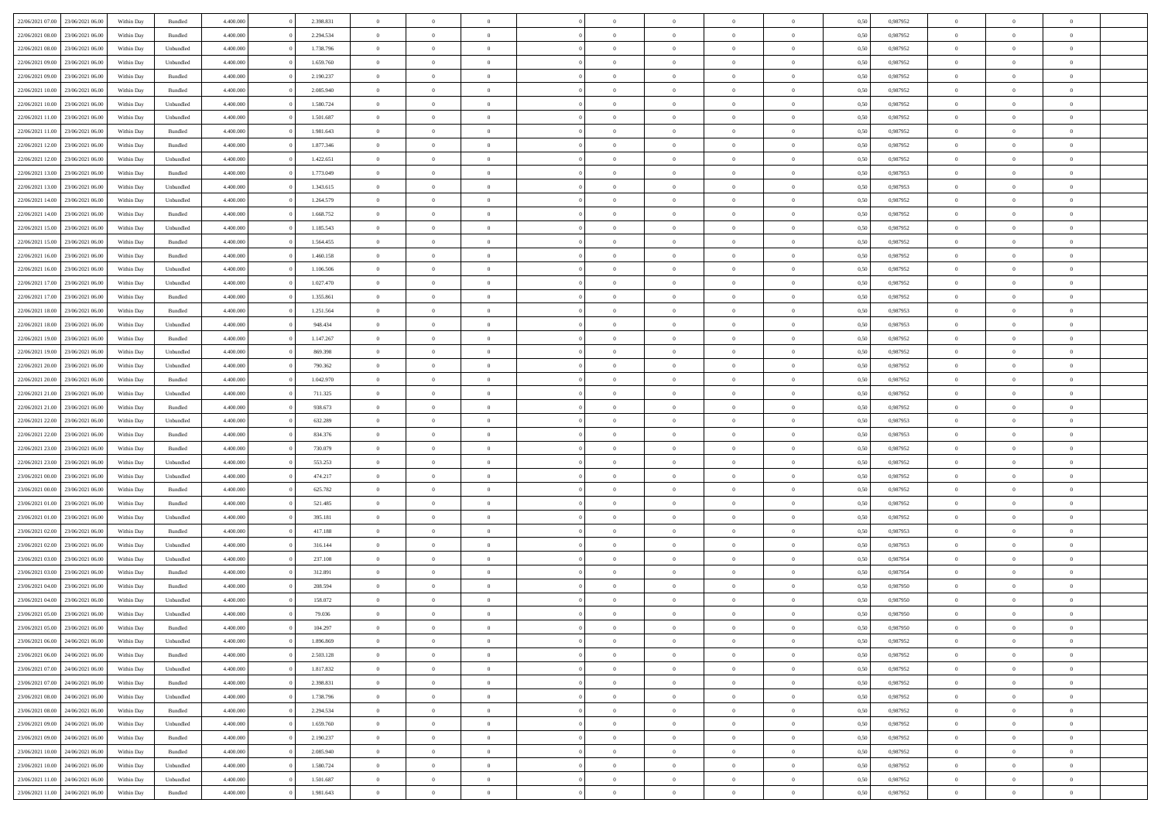| 22/06/2021 07:00 23/06/2021 06:00       | Within Day               | Bundled   | 4.400.000 | 2.398.831 | $\overline{0}$ | $\overline{0}$ | $\Omega$       | $\Omega$       | $\theta$       | $\Omega$       | $\overline{0}$ | 0,50 | 0,987952 | $\theta$       | $\theta$       | $\theta$       |  |
|-----------------------------------------|--------------------------|-----------|-----------|-----------|----------------|----------------|----------------|----------------|----------------|----------------|----------------|------|----------|----------------|----------------|----------------|--|
| 22/06/2021 08:00<br>23/06/2021 06:00    | Within Day               | Bundled   | 4.400.000 | 2.294.534 | $\overline{0}$ | $\overline{0}$ | $\overline{0}$ | $\overline{0}$ | $\theta$       | $\overline{0}$ | $\bf{0}$       | 0,50 | 0,987952 | $\theta$       | $\theta$       | $\overline{0}$ |  |
| 22/06/2021 08:00<br>23/06/2021 06:00    | Within Day               | Unbundled | 4.400.000 | 1.738.796 | $\overline{0}$ | $\bf{0}$       | $\overline{0}$ | $\overline{0}$ | $\overline{0}$ | $\overline{0}$ | $\bf{0}$       | 0,50 | 0,987952 | $\bf{0}$       | $\overline{0}$ | $\overline{0}$ |  |
| 22/06/2021 09:00<br>23/06/2021 06:00    | Within Day               | Unbundled | 4.400.000 | 1.659.760 | $\overline{0}$ | $\overline{0}$ | $\overline{0}$ | $\overline{0}$ | $\theta$       | $\overline{0}$ | $\overline{0}$ | 0.50 | 0,987952 | $\theta$       | $\theta$       | $\overline{0}$ |  |
| 22/06/2021 09:00<br>23/06/2021 06:00    | Within Day               | Bundled   | 4.400.000 | 2.190.237 | $\overline{0}$ | $\overline{0}$ | $\overline{0}$ | $\overline{0}$ | $\theta$       | $\overline{0}$ | $\bf{0}$       | 0,50 | 0,987952 | $\theta$       | $\theta$       | $\overline{0}$ |  |
| 22/06/2021 10:00<br>23/06/2021 06:00    | Within Day               | Bundled   | 4.400.000 | 2.085.940 | $\overline{0}$ | $\bf{0}$       | $\overline{0}$ | $\overline{0}$ | $\overline{0}$ | $\overline{0}$ | $\bf{0}$       | 0,50 | 0,987952 | $\bf{0}$       | $\overline{0}$ | $\bf{0}$       |  |
| 22/06/2021 10:00<br>23/06/2021 06:00    |                          | Unbundled | 4.400.000 | 1.580.724 | $\overline{0}$ | $\overline{0}$ | $\overline{0}$ | $\overline{0}$ | $\overline{0}$ | $\overline{0}$ | $\overline{0}$ | 0.5( | 0,987952 | $\theta$       | $\theta$       | $\overline{0}$ |  |
|                                         | Within Day               |           |           |           |                |                |                |                |                |                |                |      |          |                |                |                |  |
| 22/06/2021 11:00<br>23/06/2021 06:00    | Within Day               | Unbundled | 4.400.000 | 1.501.687 | $\overline{0}$ | $\theta$       | $\overline{0}$ | $\overline{0}$ | $\theta$       | $\overline{0}$ | $\bf{0}$       | 0,50 | 0,987952 | $\theta$       | $\theta$       | $\overline{0}$ |  |
| 22/06/2021 11:00<br>23/06/2021 06:00    | Within Day               | Bundled   | 4.400.000 | 1.981.643 | $\overline{0}$ | $\bf{0}$       | $\overline{0}$ | $\overline{0}$ | $\overline{0}$ | $\overline{0}$ | $\bf{0}$       | 0,50 | 0,987952 | $\bf{0}$       | $\bf{0}$       | $\overline{0}$ |  |
| 22/06/2021 12:00<br>23/06/2021 06:00    | Within Day               | Bundled   | 4.400.000 | 1.877.346 | $\overline{0}$ | $\overline{0}$ | $\overline{0}$ | $\overline{0}$ | $\overline{0}$ | $\overline{0}$ | $\overline{0}$ | 0.5( | 0,987952 | $\theta$       | $\theta$       | $\overline{0}$ |  |
| 22/06/2021 12:00<br>23/06/2021 06:00    | Within Day               | Unbundled | 4.400.000 | 1.422.651 | $\bf{0}$       | $\overline{0}$ | $\overline{0}$ | $\overline{0}$ | $\theta$       | $\overline{0}$ | $\bf{0}$       | 0,50 | 0,987952 | $\theta$       | $\theta$       | $\overline{0}$ |  |
| 22/06/2021 13:00<br>23/06/2021 06:00    | Within Day               | Bundled   | 4.400.000 | 1.773.049 | $\overline{0}$ | $\bf{0}$       | $\overline{0}$ | $\overline{0}$ | $\bf{0}$       | $\overline{0}$ | $\bf{0}$       | 0,50 | 0,987953 | $\bf{0}$       | $\overline{0}$ | $\overline{0}$ |  |
| 22/06/2021 13:00<br>23/06/2021 06:00    | Within Day               | Unbundled | 4.400.000 | 1.343.615 | $\overline{0}$ | $\overline{0}$ | $\overline{0}$ | $\overline{0}$ | $\overline{0}$ | $\overline{0}$ | $\overline{0}$ | 0.5( | 0,987953 | $\theta$       | $\theta$       | $\overline{0}$ |  |
| 22/06/2021 14:00<br>23/06/2021 06:00    | Within Day               | Unbundled | 4.400.000 | 1.264.579 | $\overline{0}$ | $\overline{0}$ | $\overline{0}$ | $\overline{0}$ | $\theta$       | $\overline{0}$ | $\bf{0}$       | 0,50 | 0,987952 | $\theta$       | $\theta$       | $\overline{0}$ |  |
| 22/06/2021 14:00<br>23/06/2021 06:00    | Within Day               | Bundled   | 4.400.000 | 1.668.752 | $\overline{0}$ | $\bf{0}$       | $\overline{0}$ | $\overline{0}$ | $\overline{0}$ | $\overline{0}$ | $\bf{0}$       | 0,50 | 0,987952 | $\bf{0}$       | $\overline{0}$ | $\bf{0}$       |  |
| 22/06/2021 15:00<br>23/06/2021 06:00    | Within Day               | Unbundled | 4.400.000 | 1.185.543 | $\overline{0}$ | $\overline{0}$ | $\overline{0}$ | $\overline{0}$ | $\overline{0}$ | $\overline{0}$ | $\overline{0}$ | 0.5( | 0,987952 | $\theta$       | $\theta$       | $\overline{0}$ |  |
| 22/06/2021 15:00<br>23/06/2021 06:00    | Within Day               | Bundled   | 4.400.000 | 1.564.455 | $\bf{0}$       | $\overline{0}$ | $\overline{0}$ | $\overline{0}$ | $\theta$       | $\overline{0}$ | $\bf{0}$       | 0,50 | 0,987952 | $\theta$       | $\theta$       | $\overline{0}$ |  |
| 22/06/2021 16:00<br>23/06/2021 06:00    | Within Day               | Bundled   | 4.400.000 | 1.460.158 | $\overline{0}$ | $\bf{0}$       | $\overline{0}$ | $\overline{0}$ | $\overline{0}$ | $\overline{0}$ | $\bf{0}$       | 0,50 | 0,987952 | $\bf{0}$       | $\overline{0}$ | $\overline{0}$ |  |
| 22/06/2021 16:00<br>23/06/2021 06:00    | Within Day               | Unbundled | 4.400.000 | 1.106.506 | $\overline{0}$ | $\overline{0}$ | $\overline{0}$ | $\overline{0}$ | $\overline{0}$ | $\overline{0}$ | $\overline{0}$ | 0.5( | 0,987952 | $\theta$       | $\theta$       | $\overline{0}$ |  |
| 22/06/2021 17:00<br>23/06/2021 06:00    | Within Day               | Unbundled | 4.400.000 | 1.027.470 | $\bf{0}$       | $\overline{0}$ | $\overline{0}$ | $\overline{0}$ | $\theta$       | $\overline{0}$ | $\bf{0}$       | 0,50 | 0,987952 | $\theta$       | $\theta$       | $\overline{0}$ |  |
| 22/06/2021 17:00<br>23/06/2021 06:00    | Within Day               | Bundled   | 4.400.000 | 1.355.861 | $\overline{0}$ | $\bf{0}$       | $\overline{0}$ | $\overline{0}$ | $\overline{0}$ | $\overline{0}$ | $\bf{0}$       | 0,50 | 0,987952 | $\bf{0}$       | $\overline{0}$ | $\overline{0}$ |  |
| 22/06/2021 18:00<br>23/06/2021 06:00    | Within Day               | Bundled   | 4.400.000 | 1.251.564 | $\overline{0}$ | $\overline{0}$ | $\overline{0}$ | $\overline{0}$ | $\overline{0}$ | $\overline{0}$ | $\overline{0}$ | 0.5( | 0.987953 | $\theta$       | $\theta$       | $\overline{0}$ |  |
|                                         |                          |           |           |           |                |                |                |                |                |                |                |      |          |                |                |                |  |
| 22/06/2021 18:00<br>23/06/2021 06:00    | Within Day               | Unbundled | 4.400.000 | 948.434   | $\bf{0}$       | $\overline{0}$ | $\overline{0}$ | $\overline{0}$ | $\theta$       | $\overline{0}$ | $\bf{0}$       | 0,50 | 0,987953 | $\theta$       | $\theta$       | $\overline{0}$ |  |
| 22/06/2021 19:00<br>23/06/2021 06:00    | Within Day               | Bundled   | 4.400.000 | 1.147.267 | $\overline{0}$ | $\bf{0}$       | $\overline{0}$ | $\overline{0}$ | $\overline{0}$ | $\overline{0}$ | $\bf{0}$       | 0,50 | 0,987952 | $\bf{0}$       | $\overline{0}$ | $\bf{0}$       |  |
| 22/06/2021 19:00<br>23/06/2021 06:00    | Within Day               | Unbundled | 4.400.000 | 869.398   | $\overline{0}$ | $\overline{0}$ | $\overline{0}$ | $\overline{0}$ | $\overline{0}$ | $\overline{0}$ | $\overline{0}$ | 0.5( | 0,987952 | $\overline{0}$ | $\theta$       | $\overline{0}$ |  |
| 22/06/2021 20:00<br>23/06/2021 06:00    | Within Day               | Unbundled | 4.400.000 | 790.362   | $\bf{0}$       | $\overline{0}$ | $\overline{0}$ | $\overline{0}$ | $\theta$       | $\overline{0}$ | $\bf{0}$       | 0,50 | 0,987952 | $\theta$       | $\theta$       | $\overline{0}$ |  |
| 22/06/2021 20:00<br>23/06/2021 06:00    | Within Day               | Bundled   | 4.400.000 | 1.042.970 | $\overline{0}$ | $\bf{0}$       | $\overline{0}$ | $\overline{0}$ | $\overline{0}$ | $\overline{0}$ | $\bf{0}$       | 0,50 | 0,987952 | $\bf{0}$       | $\bf{0}$       | $\overline{0}$ |  |
| 22/06/2021 21:00<br>23/06/2021 06:00    | Within Day               | Unbundled | 4.400.000 | 711.325   | $\overline{0}$ | $\overline{0}$ | $\overline{0}$ | $\overline{0}$ | $\overline{0}$ | $\overline{0}$ | $\overline{0}$ | 0.5( | 0,987952 | $\theta$       | $\theta$       | $\overline{0}$ |  |
| 22/06/2021 21:00<br>23/06/2021 06:00    | Within Day               | Bundled   | 4.400.000 | 938.673   | $\bf{0}$       | $\overline{0}$ | $\overline{0}$ | $\overline{0}$ | $\theta$       | $\overline{0}$ | $\bf{0}$       | 0,50 | 0,987952 | $\theta$       | $\theta$       | $\overline{0}$ |  |
| 22/06/2021 22:00<br>23/06/2021 06:00    | Within Day               | Unbundled | 4.400.000 | 632.289   | $\overline{0}$ | $\bf{0}$       | $\overline{0}$ | $\overline{0}$ | $\bf{0}$       | $\overline{0}$ | $\bf{0}$       | 0,50 | 0,987953 | $\bf{0}$       | $\overline{0}$ | $\overline{0}$ |  |
| 22/06/2021 22:00<br>23/06/2021 06:00    | Within Day               | Bundled   | 4,400,000 | 834.376   | $\overline{0}$ | $\overline{0}$ | $\Omega$       | $\Omega$       | $\Omega$       | $\theta$       | $\overline{0}$ | 0.50 | 0,987953 | $\,$ 0 $\,$    | $\Omega$       | $\theta$       |  |
| 22/06/2021 23:00<br>23/06/2021 06:00    | Within Day               | Bundled   | 4.400.000 | 730.079   | $\overline{0}$ | $\overline{0}$ | $\overline{0}$ | $\overline{0}$ | $\theta$       | $\overline{0}$ | $\bf{0}$       | 0,50 | 0,987952 | $\theta$       | $\theta$       | $\overline{0}$ |  |
| 22/06/2021 23:00<br>23/06/2021 06:00    | Within Day               | Unbundled | 4.400.000 | 553.253   | $\overline{0}$ | $\bf{0}$       | $\overline{0}$ | $\overline{0}$ | $\overline{0}$ | $\overline{0}$ | $\bf{0}$       | 0,50 | 0,987952 | $\bf{0}$       | $\overline{0}$ | $\bf{0}$       |  |
| 23/06/2021 00:00<br>23/06/2021 06:00    | Within Day               | Unbundled | 4,400,000 | 474.217   | $\overline{0}$ | $\overline{0}$ | $\Omega$       | $\Omega$       | $\overline{0}$ | $\Omega$       | $\overline{0}$ | 0.50 | 0,987952 | $\theta$       | $\overline{0}$ | $\theta$       |  |
| 23/06/2021 00:00<br>23/06/2021 06:00    | Within Day               | Bundled   | 4.400.000 | 625.782   | $\bf{0}$       | $\overline{0}$ | $\overline{0}$ | $\overline{0}$ | $\theta$       | $\overline{0}$ | $\bf{0}$       | 0,50 | 0,987952 | $\theta$       | $\theta$       | $\overline{0}$ |  |
| 23/06/2021 01:00<br>23/06/2021 06:00    | Within Day               | Bundled   | 4.400.000 | 521.485   | $\overline{0}$ | $\bf{0}$       | $\overline{0}$ | $\overline{0}$ | $\overline{0}$ | $\bf{0}$       | $\bf{0}$       | 0,50 | 0,987952 | $\bf{0}$       | $\overline{0}$ | $\overline{0}$ |  |
| 23/06/2021 01:00<br>23/06/2021 06:00    | Within Day               | Unbundled | 4,400,000 | 395.181   | $\overline{0}$ | $\overline{0}$ | $\Omega$       | $\Omega$       | $\Omega$       | $\Omega$       | $\overline{0}$ | 0.50 | 0.987952 | $\theta$       | $\Omega$       | $\theta$       |  |
| 23/06/2021 02:00<br>23/06/2021 06:00    | Within Day               | Bundled   | 4.400.000 | 417.188   | $\bf{0}$       | $\overline{0}$ | $\overline{0}$ | $\overline{0}$ | $\theta$       | $\overline{0}$ | $\bf{0}$       | 0,50 | 0,987953 | $\theta$       | $\theta$       | $\overline{0}$ |  |
| 23/06/2021 02:00<br>23/06/2021 06:00    | Within Day               | Unbundled | 4.400.000 | 316.144   | $\overline{0}$ | $\bf{0}$       | $\overline{0}$ | $\overline{0}$ | $\overline{0}$ | $\overline{0}$ | $\bf{0}$       | 0,50 | 0,987953 | $\bf{0}$       | $\overline{0}$ | $\overline{0}$ |  |
| 23/06/2021 03:00<br>23/06/2021 06:00    | Within Day               | Unbundled | 4,400,000 | 237.108   | $\overline{0}$ | $\overline{0}$ | $\Omega$       | $\Omega$       | $\theta$       | $\Omega$       | $\overline{0}$ | 0.50 | 0,987954 | $\,$ 0 $\,$    | $\overline{0}$ | $\theta$       |  |
| 23/06/2021 03:00<br>23/06/2021 06:00    | Within Day               | Bundled   | 4.400.000 | 312.891   | $\bf{0}$       | $\overline{0}$ | $\overline{0}$ | $\overline{0}$ | $\theta$       | $\overline{0}$ | $\bf{0}$       | 0,50 | 0,987954 | $\theta$       | $\theta$       | $\overline{0}$ |  |
| 23/06/2021 04:00<br>23/06/2021 06:00    | Within Day               | Bundled   | 4.400.000 | 208.594   | $\overline{0}$ | $\bf{0}$       | $\overline{0}$ | $\overline{0}$ | $\bf{0}$       | $\overline{0}$ | $\bf{0}$       | 0,50 | 0,987950 | $\overline{0}$ | $\overline{0}$ | $\bf{0}$       |  |
| $23/06/2021\ 04.00$<br>23/06/2021 06:00 |                          | Unbundled | 4,400,000 | 158.072   | $\overline{0}$ | $\Omega$       | $\Omega$       | $\Omega$       | $\Omega$       | $\theta$       | $\overline{0}$ | 0.50 | 0.987950 | $\theta$       | $\overline{0}$ | $\theta$       |  |
| 23/06/2021 05:00 23/06/2021 06:00       | Within Day<br>Within Day | Unbundled | 4.400.000 | 79.036    | $\bf{0}$       | $\bf{0}$       | $\overline{0}$ | $\overline{0}$ | $\bf{0}$       | $\bf{0}$       | $\bf{0}$       | 0,50 | 0,987950 | $\bf{0}$       | $\bf{0}$       | $\overline{0}$ |  |
| 23/06/2021 05:00 23/06/2021 06:00       | Within Day               | Bundled   | 4.400.000 | 104.297   |                | $\bf{0}$       |                |                |                |                |                | 0,50 | 0,987950 | $\bf{0}$       | $\bf{0}$       |                |  |
| 23/06/2021 06:00 24/06/2021 06:00       | Within Day               | Unbundled | 4.400.000 | 1.896.869 | $\Omega$       | $\overline{0}$ | $\Omega$       | $\theta$       | $\Omega$       | $\theta$       | $\overline{0}$ | 0.50 | 0.987952 | $\theta$       | $\theta$       | $\Omega$       |  |
|                                         |                          |           |           |           |                | $\overline{0}$ |                |                | $\overline{0}$ |                |                |      |          | $\,$ 0 $\,$    | $\,$ 0 $\,$    | $\,$ 0         |  |
| 23/06/2021 06:00<br>24/06/2021 06:00    | Within Day               | Bundled   | 4.400.000 | 2.503.128 | $\overline{0}$ |                | $\overline{0}$ | $\overline{0}$ |                | $\overline{0}$ | $\,$ 0 $\,$    | 0,50 | 0,987952 |                |                |                |  |
| 23/06/2021 07:00 24/06/2021 06:00       | Within Day               | Unbundled | 4.400.000 | 1.817.832 | $\overline{0}$ | $\overline{0}$ | $\overline{0}$ | $\overline{0}$ | $\overline{0}$ | $\overline{0}$ | $\bf{0}$       | 0,50 | 0,987952 | $\overline{0}$ | $\bf{0}$       | $\overline{0}$ |  |
| 24/06/2021 06:00<br>23/06/2021 07:00    | Within Day               | Bundled   | 4.400.000 | 2.398.831 | $\overline{0}$ | $\bf{0}$       | $\overline{0}$ | $\overline{0}$ | $\overline{0}$ | $\overline{0}$ | $\bf{0}$       | 0,50 | 0,987952 | $\bf{0}$       | $\theta$       | $\overline{0}$ |  |
| 23/06/2021 08:00<br>24/06/2021 06:00    | Within Day               | Unbundled | 4.400.000 | 1.738.796 | $\overline{0}$ | $\overline{0}$ | $\overline{0}$ | $\overline{0}$ | $\overline{0}$ | $\overline{0}$ | $\bf{0}$       | 0,50 | 0,987952 | $\,$ 0 $\,$    | $\,$ 0 $\,$    | $\overline{0}$ |  |
| 23/06/2021 08:00<br>24/06/2021 06:00    | Within Day               | Bundled   | 4.400.000 | 2.294.534 | $\overline{0}$ | $\overline{0}$ | $\overline{0}$ | $\overline{0}$ | $\bf{0}$       | $\overline{0}$ | $\bf{0}$       | 0,50 | 0,987952 | $\overline{0}$ | $\overline{0}$ | $\overline{0}$ |  |
| 23/06/2021 09:00<br>24/06/2021 06:00    | Within Day               | Unbundled | 4.400.000 | 1.659.760 | $\overline{0}$ | $\bf{0}$       | $\overline{0}$ | $\overline{0}$ | $\overline{0}$ | $\overline{0}$ | $\bf{0}$       | 0.50 | 0,987952 | $\overline{0}$ | $\theta$       | $\overline{0}$ |  |
| 23/06/2021 09:00<br>24/06/2021 06:00    | Within Day               | Bundled   | 4.400.000 | 2.190.237 | $\overline{0}$ | $\,$ 0         | $\overline{0}$ | $\overline{0}$ | $\overline{0}$ | $\overline{0}$ | $\bf{0}$       | 0,50 | 0,987952 | $\,$ 0 $\,$    | $\bf{0}$       | $\overline{0}$ |  |
| 24/06/2021 06:00<br>23/06/2021 10:00    | Within Day               | Bundled   | 4.400.000 | 2.085.940 | $\overline{0}$ | $\bf{0}$       | $\overline{0}$ | $\overline{0}$ | $\overline{0}$ | $\overline{0}$ | $\bf{0}$       | 0,50 | 0,987952 | $\bf{0}$       | $\overline{0}$ | $\bf{0}$       |  |
| 24/06/2021 06:00<br>23/06/2021 10:00    | Within Day               | Unbundled | 4.400.000 | 1.580.724 | $\overline{0}$ | $\overline{0}$ | $\overline{0}$ | $\overline{0}$ | $\overline{0}$ | $\overline{0}$ | $\bf{0}$       | 0.50 | 0,987952 | $\overline{0}$ | $\overline{0}$ | $\overline{0}$ |  |
| 23/06/2021 11:00<br>24/06/2021 06:00    | Within Day               | Unbundled | 4.400.000 | 1.501.687 | $\overline{0}$ | $\,$ 0         | $\overline{0}$ | $\overline{0}$ | $\overline{0}$ | $\overline{0}$ | $\bf{0}$       | 0,50 | 0,987952 | $\,$ 0 $\,$    | $\,$ 0 $\,$    | $\overline{0}$ |  |
| 23/06/2021 11:00 24/06/2021 06:00       | Within Day               | Bundled   | 4.400.000 | 1.981.643 | $\overline{0}$ | $\bf{0}$       | $\overline{0}$ | $\overline{0}$ | $\overline{0}$ | $\overline{0}$ | $\bf{0}$       | 0,50 | 0,987952 | $\overline{0}$ | $\bf{0}$       | $\overline{0}$ |  |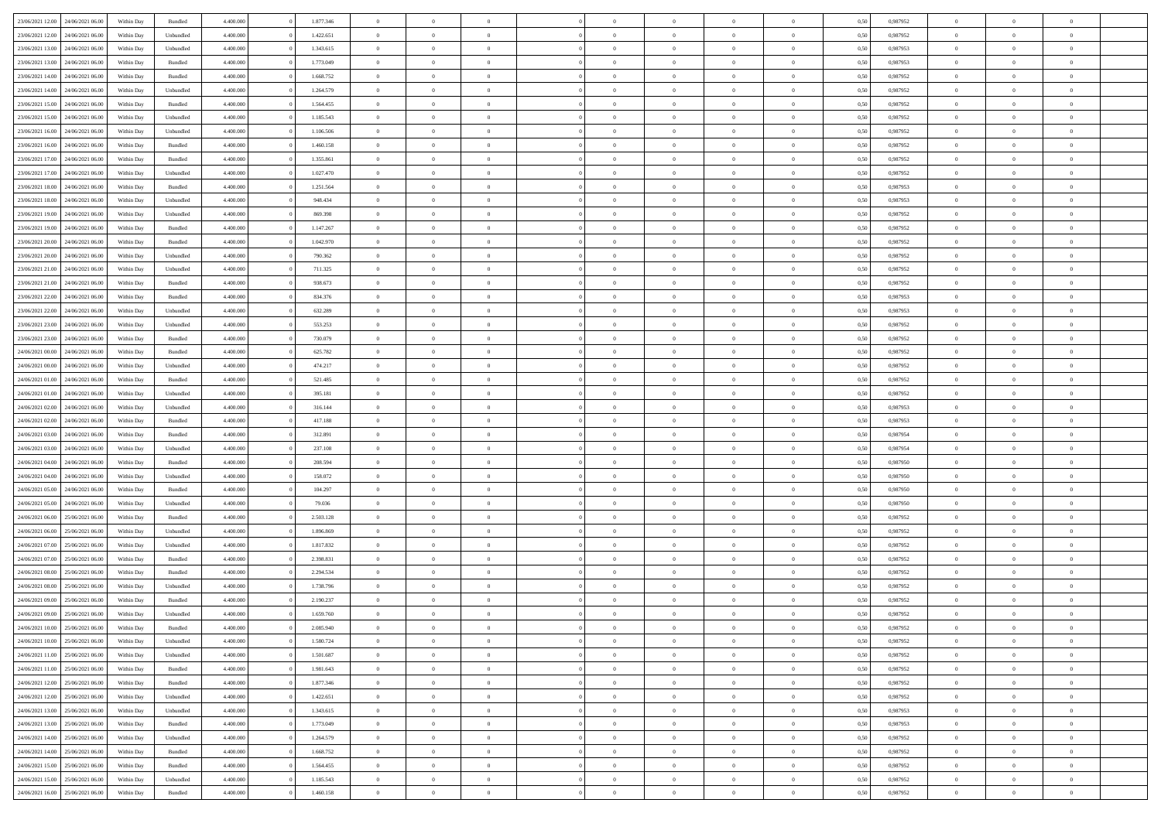| 23/06/2021 12:00                  | 24/06/2021 06:00 | Within Day | Bundled            | 4.400.000 | 1.877.346 | $\overline{0}$ | $\Omega$       |                | $\Omega$       | $\Omega$       | $\theta$       | $\theta$       | 0,50 | 0,987952 | $\theta$       | $\theta$       | $\theta$       |  |
|-----------------------------------|------------------|------------|--------------------|-----------|-----------|----------------|----------------|----------------|----------------|----------------|----------------|----------------|------|----------|----------------|----------------|----------------|--|
|                                   |                  |            |                    |           |           |                |                |                |                |                |                |                |      |          |                |                |                |  |
| 23/06/2021 12:00                  | 24/06/2021 06.00 | Within Day | Unbundled          | 4.400.000 | 1.422.651 | $\overline{0}$ | $\theta$       | $\overline{0}$ | $\overline{0}$ | $\bf{0}$       | $\overline{0}$ | $\bf{0}$       | 0,50 | 0,987952 | $\theta$       | $\overline{0}$ | $\overline{0}$ |  |
| 23/06/2021 13:00                  | 24/06/2021 06:00 | Within Day | Unbundled          | 4.400.000 | 1.343.615 | $\overline{0}$ | $\bf{0}$       | $\overline{0}$ | $\overline{0}$ | $\bf{0}$       | $\overline{0}$ | $\mathbf{0}$   | 0,50 | 0,987953 | $\bf{0}$       | $\overline{0}$ | $\overline{0}$ |  |
| 23/06/2021 13:00                  | 24/06/2021 06:00 | Within Dav | Bundled            | 4.400.000 | 1.773.049 | $\overline{0}$ | $\overline{0}$ | $\overline{0}$ | $\overline{0}$ | $\bf{0}$       | $\overline{0}$ | $\overline{0}$ | 0.50 | 0,987953 | $\theta$       | $\theta$       | $\overline{0}$ |  |
|                                   |                  |            |                    |           |           |                |                |                |                |                |                |                |      |          |                |                |                |  |
| 23/06/2021 14:00                  | 24/06/2021 06.00 | Within Day | Bundled            | 4.400.000 | 1.668.752 | $\overline{0}$ | $\theta$       | $\overline{0}$ | $\overline{0}$ | $\bf{0}$       | $\overline{0}$ | $\bf{0}$       | 0,50 | 0,987952 | $\theta$       | $\overline{0}$ | $\overline{0}$ |  |
| 23/06/2021 14:00                  | 24/06/2021 06:00 | Within Day | Unbundled          | 4.400.000 | 1.264.579 | $\overline{0}$ | $\overline{0}$ | $\overline{0}$ | $\bf{0}$       | $\overline{0}$ | $\overline{0}$ | $\mathbf{0}$   | 0,50 | 0,987952 | $\bf{0}$       | $\overline{0}$ | $\bf{0}$       |  |
| 23/06/2021 15:00                  | 24/06/2021 06:00 | Within Dav | Bundled            | 4.400.000 | 1.564.455 | $\overline{0}$ | $\overline{0}$ | $\overline{0}$ | $\overline{0}$ | $\overline{0}$ | $\overline{0}$ | $\overline{0}$ | 0.50 | 0,987952 | $\theta$       | $\overline{0}$ | $\overline{0}$ |  |
| 23/06/2021 15:00                  | 24/06/2021 06.00 | Within Day | Unbundled          | 4.400.000 | 1.185.543 | $\overline{0}$ | $\theta$       | $\overline{0}$ | $\overline{0}$ | $\bf{0}$       | $\overline{0}$ | $\bf{0}$       | 0,50 | 0,987952 | $\theta$       | $\theta$       | $\overline{0}$ |  |
| 23/06/2021 16:00                  | 24/06/2021 06:00 | Within Day | Unbundled          | 4.400.000 | 1.106.506 | $\overline{0}$ | $\overline{0}$ | $\overline{0}$ | $\bf{0}$       | $\bf{0}$       | $\bf{0}$       | $\bf{0}$       | 0,50 | 0,987952 | $\,0\,$        | $\overline{0}$ | $\overline{0}$ |  |
|                                   |                  |            |                    |           |           |                |                |                |                |                |                |                |      |          |                |                |                |  |
| 23/06/2021 16:00                  | 24/06/2021 06:00 | Within Dav | Bundled            | 4.400.000 | 1.460.158 | $\overline{0}$ | $\overline{0}$ | $\overline{0}$ | $\overline{0}$ | $\overline{0}$ | $\overline{0}$ | $\overline{0}$ | 0.50 | 0,987952 | $\theta$       | $\overline{0}$ | $\overline{0}$ |  |
| 23/06/2021 17:00                  | 24/06/2021 06.00 | Within Day | Bundled            | 4.400.000 | 1.355.861 | $\overline{0}$ | $\theta$       | $\overline{0}$ | $\overline{0}$ | $\bf{0}$       | $\overline{0}$ | $\bf{0}$       | 0,50 | 0,987952 | $\,$ 0 $\,$    | $\overline{0}$ | $\overline{0}$ |  |
| 23/06/2021 17:00                  | 24/06/2021 06:00 | Within Day | Unbundled          | 4.400.000 | 1.027.470 | $\overline{0}$ | $\bf{0}$       | $\overline{0}$ | $\bf{0}$       | $\bf{0}$       | $\bf{0}$       | $\mathbf{0}$   | 0,50 | 0,987952 | $\bf{0}$       | $\overline{0}$ | $\bf{0}$       |  |
| 23/06/2021 18:00                  | 24/06/2021 06:00 | Within Day | Bundled            | 4.400.000 | 1.251.564 | $\overline{0}$ | $\overline{0}$ | $\overline{0}$ | $\overline{0}$ | $\bf{0}$       | $\overline{0}$ | $\overline{0}$ | 0.50 | 0,987953 | $\theta$       | $\theta$       | $\overline{0}$ |  |
| 23/06/2021 18:00                  | 24/06/2021 06.00 | Within Day | Unbundled          | 4.400.000 | 948.434   | $\overline{0}$ | $\theta$       | $\overline{0}$ | $\overline{0}$ | $\bf{0}$       | $\overline{0}$ | $\bf{0}$       | 0,50 | 0,987953 | $\theta$       | $\overline{0}$ | $\overline{0}$ |  |
|                                   |                  |            |                    |           |           |                |                |                |                |                |                |                |      |          |                |                |                |  |
| 23/06/2021 19:00                  | 24/06/2021 06:00 | Within Day | Unbundled          | 4.400.000 | 869.398   | $\overline{0}$ | $\overline{0}$ | $\overline{0}$ | $\bf{0}$       | $\overline{0}$ | $\overline{0}$ | $\mathbf{0}$   | 0,50 | 0,987952 | $\bf{0}$       | $\overline{0}$ | $\bf{0}$       |  |
| 23/06/2021 19:00                  | 24/06/2021 06:00 | Within Dav | Bundled            | 4.400.000 | 1.147.267 | $\overline{0}$ | $\overline{0}$ | $\overline{0}$ | $\overline{0}$ | $\overline{0}$ | $\overline{0}$ | $\overline{0}$ | 0.50 | 0,987952 | $\theta$       | $\overline{0}$ | $\overline{0}$ |  |
| 23/06/2021 20:00                  | 24/06/2021 06.00 | Within Day | Bundled            | 4.400.000 | 1.042.970 | $\overline{0}$ | $\theta$       | $\overline{0}$ | $\overline{0}$ | $\bf{0}$       | $\overline{0}$ | $\bf{0}$       | 0,50 | 0,987952 | $\theta$       | $\theta$       | $\overline{0}$ |  |
| 23/06/2021 20:00                  | 24/06/2021 06:00 | Within Day | Unbundled          | 4.400.000 | 790.362   | $\overline{0}$ | $\overline{0}$ | $\overline{0}$ | $\bf{0}$       | $\bf{0}$       | $\bf{0}$       | $\mathbf{0}$   | 0,50 | 0,987952 | $\bf{0}$       | $\overline{0}$ | $\bf{0}$       |  |
| 23/06/2021 21:00                  | 24/06/2021 06:00 | Within Dav | Unbundled          | 4.400.000 | 711.325   | $\overline{0}$ | $\overline{0}$ | $\overline{0}$ | $\overline{0}$ | $\overline{0}$ | $\overline{0}$ | $\overline{0}$ | 0.50 | 0,987952 | $\theta$       | $\overline{0}$ | $\overline{0}$ |  |
|                                   |                  |            |                    |           |           |                |                |                |                |                |                |                |      |          |                |                |                |  |
| 23/06/2021 21:00                  | 24/06/2021 06.00 | Within Day | Bundled            | 4.400.000 | 938.673   | $\overline{0}$ | $\theta$       | $\overline{0}$ | $\overline{0}$ | $\bf{0}$       | $\overline{0}$ | $\bf{0}$       | 0,50 | 0,987952 | $\,$ 0 $\,$    | $\overline{0}$ | $\overline{0}$ |  |
| 23/06/2021 22:00                  | 24/06/2021 06:00 | Within Day | Bundled            | 4.400.000 | 834.376   | $\overline{0}$ | $\overline{0}$ | $\overline{0}$ | $\bf{0}$       | $\bf{0}$       | $\bf{0}$       | $\mathbf{0}$   | 0,50 | 0,987953 | $\overline{0}$ | $\overline{0}$ | $\bf{0}$       |  |
| 23/06/2021 22:00                  | 24/06/2021 06:00 | Within Day | Unbundled          | 4.400.000 | 632.289   | $\overline{0}$ | $\overline{0}$ | $\overline{0}$ | $\overline{0}$ | $\bf{0}$       | $\overline{0}$ | $\overline{0}$ | 0.50 | 0,987953 | $\theta$       | $\overline{0}$ | $\overline{0}$ |  |
| 23/06/2021 23:00                  | 24/06/2021 06.00 | Within Day | Unbundled          | 4.400.000 | 553.253   | $\overline{0}$ | $\theta$       | $\overline{0}$ | $\overline{0}$ | $\bf{0}$       | $\overline{0}$ | $\bf{0}$       | 0,50 | 0,987952 | $\,$ 0 $\,$    | $\overline{0}$ | $\overline{0}$ |  |
| 23/06/2021 23:00                  | 24/06/2021 06:00 | Within Day | Bundled            | 4.400.000 | 730.079   | $\overline{0}$ | $\overline{0}$ | $\overline{0}$ | $\bf{0}$       | $\overline{0}$ | $\overline{0}$ | $\mathbf{0}$   | 0,50 | 0,987952 | $\overline{0}$ | $\overline{0}$ | $\bf{0}$       |  |
|                                   |                  |            |                    |           |           |                |                |                |                |                |                |                |      |          |                |                |                |  |
| 24/06/2021 00:00                  | 24/06/2021 06:00 | Within Dav | Bundled            | 4.400.000 | 625.782   | $\overline{0}$ | $\overline{0}$ | $\overline{0}$ | $\overline{0}$ | $\overline{0}$ | $\overline{0}$ | $\overline{0}$ | 0.50 | 0,987952 | $\theta$       | $\overline{0}$ | $\overline{0}$ |  |
| 24/06/2021 00:00                  | 24/06/2021 06.00 | Within Day | Unbundled          | 4.400.000 | 474.217   | $\overline{0}$ | $\theta$       | $\overline{0}$ | $\overline{0}$ | $\bf{0}$       | $\overline{0}$ | $\bf{0}$       | 0,50 | 0,987952 | $\theta$       | $\theta$       | $\overline{0}$ |  |
| 24/06/2021 01:00                  | 24/06/2021 06:00 | Within Day | Bundled            | 4.400.000 | 521.485   | $\overline{0}$ | $\overline{0}$ | $\overline{0}$ | $\bf{0}$       | $\bf{0}$       | $\bf{0}$       | $\bf{0}$       | 0,50 | 0,987952 | $\,0\,$        | $\overline{0}$ | $\overline{0}$ |  |
| 24/06/2021 01:00                  | 24/06/2021 06:00 | Within Day | Unbundled          | 4.400.000 | 395.181   | $\overline{0}$ | $\overline{0}$ | $\overline{0}$ | $\overline{0}$ | $\overline{0}$ | $\overline{0}$ | $\overline{0}$ | 0.50 | 0,987952 | $\theta$       | $\overline{0}$ | $\overline{0}$ |  |
| 24/06/2021 02:00                  | 24/06/2021 06.00 | Within Day | Unbundled          | 4.400.000 | 316.144   | $\overline{0}$ | $\theta$       | $\overline{0}$ | $\overline{0}$ | $\bf{0}$       | $\overline{0}$ | $\bf{0}$       | 0,50 | 0,987953 | $\,$ 0 $\,$    | $\overline{0}$ | $\overline{0}$ |  |
|                                   |                  |            |                    |           |           |                |                |                |                |                |                |                |      |          |                |                |                |  |
| 24/06/2021 02:00                  | 24/06/2021 06:00 | Within Day | Bundled            | 4.400.000 | 417.188   | $\overline{0}$ | $\overline{0}$ | $\overline{0}$ | $\bf{0}$       | $\bf{0}$       | $\bf{0}$       | $\bf{0}$       | 0,50 | 0,987953 | $\overline{0}$ | $\overline{0}$ | $\bf{0}$       |  |
| 24/06/2021 03:00                  | 24/06/2021 06.00 | Within Day | Bundled            | 4.400,000 | 312.891   | $\overline{0}$ | $\Omega$       | $\overline{0}$ | $\Omega$       | $\Omega$       | $\overline{0}$ | $\overline{0}$ | 0,50 | 0,987954 | $\,0\,$        | $\theta$       | $\theta$       |  |
| 24/06/2021 03:00                  | 24/06/2021 06.00 | Within Day | Unbundled          | 4.400.000 | 237.108   | $\overline{0}$ | $\theta$       | $\overline{0}$ | $\overline{0}$ | $\bf{0}$       | $\overline{0}$ | $\bf{0}$       | 0,50 | 0,987954 | $\theta$       | $\overline{0}$ | $\overline{0}$ |  |
| 24/06/2021 04:00                  | 24/06/2021 06:00 | Within Day | Bundled            | 4.400.000 | 208.594   | $\overline{0}$ | $\overline{0}$ | $\overline{0}$ | $\bf{0}$       | $\overline{0}$ | $\overline{0}$ | $\mathbf{0}$   | 0,50 | 0,987950 | $\overline{0}$ | $\overline{0}$ | $\bf{0}$       |  |
| 24/06/2021 04:00                  | 24/06/2021 06:00 | Within Day | Unbundled          | 4.400,000 | 158,072   | $\overline{0}$ | $\Omega$       | $\Omega$       | $\Omega$       | $\bf{0}$       | $\overline{0}$ | $\overline{0}$ | 0.50 | 0,987950 | $\,0\,$        | $\theta$       | $\theta$       |  |
|                                   |                  |            |                    |           |           |                |                |                |                |                |                |                |      |          |                |                |                |  |
| 24/06/2021 05:00                  | 24/06/2021 06.00 | Within Day | Bundled            | 4.400.000 | 104.297   | $\overline{0}$ | $\theta$       | $\overline{0}$ | $\overline{0}$ | $\bf{0}$       | $\overline{0}$ | $\bf{0}$       | 0,50 | 0,987950 | $\,$ 0 $\,$    | $\overline{0}$ | $\overline{0}$ |  |
| 24/06/2021 05:00                  | 24/06/2021 06:00 | Within Day | Unbundled          | 4.400.000 | 79.036    | $\overline{0}$ | $\overline{0}$ | $\overline{0}$ | $\bf{0}$       | $\bf{0}$       | $\bf{0}$       | $\bf{0}$       | 0,50 | 0,987950 | $\bf{0}$       | $\overline{0}$ | $\bf{0}$       |  |
| 24/06/2021 06:00                  | 25/06/2021 06:00 | Within Day | Bundled            | 4.400,000 | 2.503.128 | $\overline{0}$ | $\Omega$       | $\Omega$       | $\Omega$       | $\overline{0}$ | $\overline{0}$ | $\overline{0}$ | 0.50 | 0.987952 | $\,$ 0 $\,$    | $\theta$       | $\theta$       |  |
| 24/06/2021 06:00                  | 25/06/2021 06:00 | Within Day | Unbundled          | 4.400.000 | 1.896.869 | $\overline{0}$ | $\overline{0}$ | $\overline{0}$ | $\overline{0}$ | $\,$ 0         | $\overline{0}$ | $\bf{0}$       | 0,50 | 0,987952 | $\,$ 0 $\,$    | $\overline{0}$ | $\overline{0}$ |  |
| 24/06/2021 07:00                  | 25/06/2021 06:00 | Within Day | Unbundled          | 4.400.000 | 1.817.832 | $\overline{0}$ | $\bf{0}$       | $\overline{0}$ | $\overline{0}$ | $\bf{0}$       | $\overline{0}$ | $\mathbf{0}$   | 0,50 | 0,987952 | $\overline{0}$ | $\overline{0}$ | $\bf{0}$       |  |
|                                   |                  |            |                    |           |           |                |                |                |                |                |                |                |      |          |                |                |                |  |
| 24/06/2021 07:00                  | 25/06/2021 06:00 | Within Day | Bundled            | 4.400,000 | 2.398.831 | $\overline{0}$ | $\Omega$       | $\overline{0}$ | $\Omega$       | $\overline{0}$ | $\overline{0}$ | $\overline{0}$ | 0.50 | 0,987952 | $\,0\,$        | $\theta$       | $\theta$       |  |
| 24/06/2021 08:00                  | 25/06/2021 06:00 | Within Day | Bundled            | 4.400.000 | 2.294.534 | $\overline{0}$ | $\overline{0}$ | $\overline{0}$ | $\overline{0}$ | $\,$ 0         | $\overline{0}$ | $\bf{0}$       | 0,50 | 0,987952 | $\,$ 0 $\,$    | $\overline{0}$ | $\overline{0}$ |  |
| 24/06/2021 08:00                  | 25/06/2021 06:00 | Within Day | Unbundled          | 4.400.000 | 1.738.796 | $\overline{0}$ | $\overline{0}$ | $\overline{0}$ | $\overline{0}$ | $\bf{0}$       | $\overline{0}$ | $\mathbf{0}$   | 0,50 | 0,987952 | $\overline{0}$ | $\overline{0}$ | $\bf{0}$       |  |
| 24/06/2021 09:00                  | 25/06/2021 06:00 | Within Day | Bundled            | 4.400,000 | 2.190.237 | $\overline{0}$ | $\Omega$       | $\Omega$       | $\Omega$       | $\Omega$       | $\Omega$       | $\overline{0}$ | 0.50 | 0.987952 | $\theta$       | $\theta$       | $\theta$       |  |
| 24/06/2021 09:00                  | 25/06/2021 06:00 | Within Day | Unbundled          | 4.400.000 | 1.659.760 | $\overline{0}$ | $\overline{0}$ | $\overline{0}$ | $\bf{0}$       | $\,$ 0         | $\overline{0}$ | $\bf{0}$       | 0,50 | 0,987952 | $\,0\,$        | $\,$ 0 $\,$    | $\overline{0}$ |  |
| 24/06/2021 10:00                  | 25/06/2021 06:00 | Within Day | $\mathbf B$ undled | 4.400.000 | 2.085.940 | $\overline{0}$ | $\bf{0}$       |                |                | $\bf{0}$       |                |                | 0,50 | 0,987952 | $\bf{0}$       | $\overline{0}$ |                |  |
|                                   |                  |            |                    |           |           |                |                |                |                |                |                |                |      |          |                |                |                |  |
| 24/06/2021 10:00                  | 25/06/2021 06:00 | Within Day | Unbundled          | 4.400.000 | 1.580.724 | $\overline{0}$ | $\overline{0}$ | $\overline{0}$ | $\Omega$       | $\overline{0}$ | $\overline{0}$ | $\overline{0}$ | 0.50 | 0.987952 | $\theta$       | $\theta$       | $\theta$       |  |
| 24/06/2021 11:00                  | 25/06/2021 06:00 | Within Day | Unbundled          | 4.400.000 | 1.501.687 | $\overline{0}$ | $\,$ 0         | $\overline{0}$ | $\overline{0}$ | $\,$ 0 $\,$    | $\overline{0}$ | $\mathbf{0}$   | 0,50 | 0,987952 | $\,$ 0 $\,$    | $\,$ 0 $\,$    | $\,$ 0         |  |
| 24/06/2021 11:00                  | 25/06/2021 06:00 | Within Day | Bundled            | 4.400.000 | 1.981.643 | $\overline{0}$ | $\overline{0}$ | $\overline{0}$ | $\overline{0}$ | $\overline{0}$ | $\overline{0}$ | $\mathbf{0}$   | 0,50 | 0,987952 | $\overline{0}$ | $\bf{0}$       | $\bf{0}$       |  |
| 24/06/2021 12:00                  | 25/06/2021 06:00 | Within Day | $\mathbf B$ undled | 4.400.000 | 1.877.346 | $\overline{0}$ | $\overline{0}$ | $\overline{0}$ | $\Omega$       | $\overline{0}$ | $\overline{0}$ | $\overline{0}$ | 0,50 | 0,987952 | $\overline{0}$ | $\theta$       | $\overline{0}$ |  |
| 24/06/2021 12:00                  | 25/06/2021 06:00 | Within Day | Unbundled          | 4.400.000 | 1.422.651 | $\overline{0}$ | $\,$ 0         | $\overline{0}$ | $\overline{0}$ | $\,$ 0 $\,$    | $\overline{0}$ | $\mathbf{0}$   | 0,50 | 0,987952 | $\,$ 0 $\,$    | $\overline{0}$ | $\overline{0}$ |  |
|                                   |                  |            |                    |           |           |                |                |                |                |                |                |                |      |          |                |                |                |  |
| 24/06/2021 13:00                  | 25/06/2021 06:00 | Within Day | Unbundled          | 4.400.000 | 1.343.615 | $\overline{0}$ | $\overline{0}$ | $\overline{0}$ | $\overline{0}$ | $\overline{0}$ | $\overline{0}$ | $\mathbf{0}$   | 0,50 | 0,987953 | $\overline{0}$ | $\overline{0}$ | $\bf{0}$       |  |
| 24/06/2021 13:00                  | 25/06/2021 06:00 | Within Day | Bundled            | 4.400.000 | 1.773.049 | $\overline{0}$ | $\overline{0}$ | $\overline{0}$ | $\Omega$       | $\overline{0}$ | $\overline{0}$ | $\bf{0}$       | 0.50 | 0,987953 | $\overline{0}$ | $\theta$       | $\overline{0}$ |  |
| 24/06/2021 14:00                  | 25/06/2021 06:00 | Within Day | Unbundled          | 4.400.000 | 1.264.579 | $\overline{0}$ | $\,$ 0         | $\overline{0}$ | $\overline{0}$ | $\bf{0}$       | $\overline{0}$ | $\bf{0}$       | 0,50 | 0,987952 | $\,$ 0 $\,$    | $\overline{0}$ | $\overline{0}$ |  |
| 24/06/2021 14:00                  | 25/06/2021 06:00 | Within Day | Bundled            | 4.400.000 | 1.668.752 | $\overline{0}$ | $\bf{0}$       | $\overline{0}$ | $\overline{0}$ | $\overline{0}$ | $\overline{0}$ | $\mathbf{0}$   | 0,50 | 0,987952 | $\overline{0}$ | $\overline{0}$ | $\bf{0}$       |  |
| 24/06/2021 15:00                  | 25/06/2021 06:00 | Within Day | Bundled            | 4.400,000 | 1.564.455 | $\overline{0}$ | $\overline{0}$ | $\overline{0}$ | $\Omega$       | $\overline{0}$ | $\overline{0}$ | $\bf{0}$       | 0.50 | 0,987952 | $\overline{0}$ | $\overline{0}$ | $\overline{0}$ |  |
|                                   |                  |            |                    |           |           |                |                |                |                |                |                |                |      |          |                |                |                |  |
| 24/06/2021 15:00                  | 25/06/2021 06:00 | Within Day | Unbundled          | 4.400.000 | 1.185.543 | $\overline{0}$ | $\bf{0}$       | $\overline{0}$ | $\overline{0}$ | $\bf{0}$       | $\bf{0}$       | $\mathbf{0}$   | 0,50 | 0,987952 | $\,$ 0 $\,$    | $\,$ 0 $\,$    | $\bf{0}$       |  |
| 24/06/2021 16:00 25/06/2021 06:00 |                  | Within Day | Bundled            | 4.400.000 | 1.460.158 | $\overline{0}$ | $\overline{0}$ | $\overline{0}$ | $\overline{0}$ | $\overline{0}$ | $\bf{0}$       | $\mathbf{0}$   | 0,50 | 0,987952 | $\overline{0}$ | $\bf{0}$       | $\bf{0}$       |  |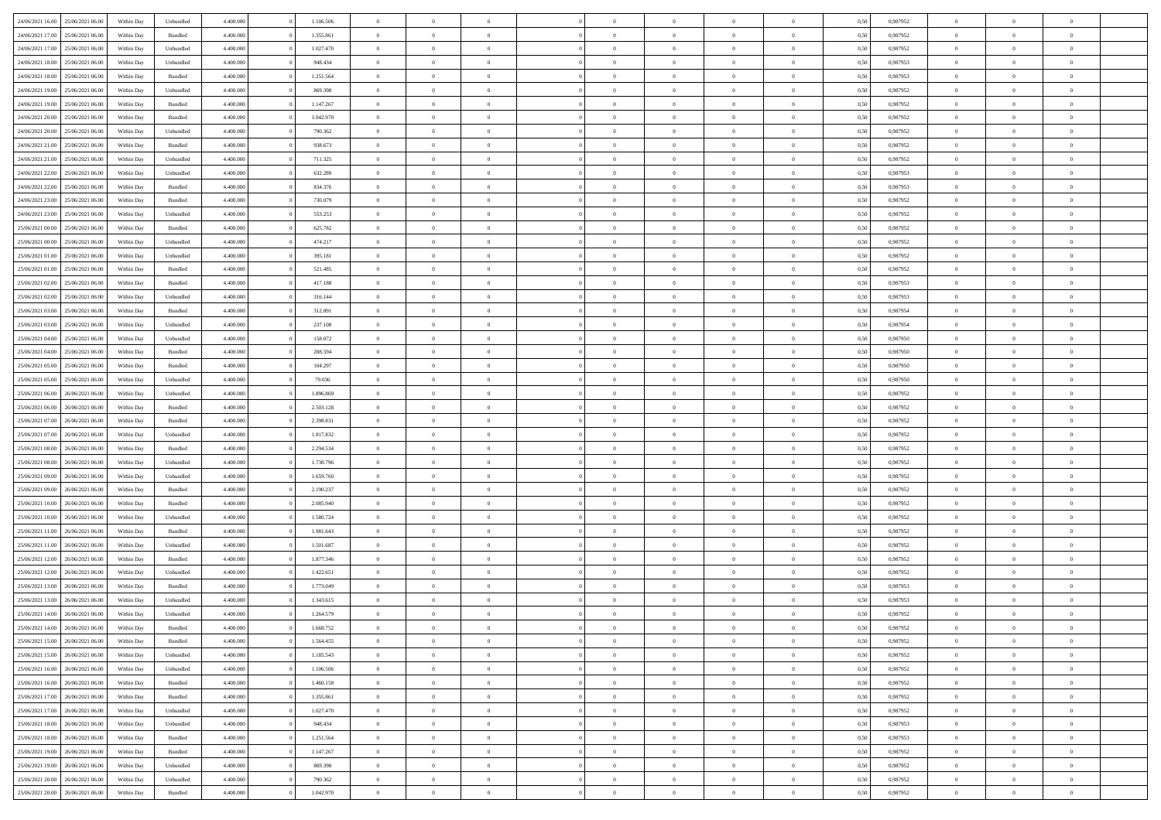| 24/06/2021 16:00 | 25/06/2021 06:00 | Within Dav | Unbundled          | 4.400.000 | 1.106.506 | $\overline{0}$ | $\theta$       |                | $\Omega$       | $\Omega$       | $\theta$       | $\theta$       | 0,50 | 0,987952 | $\theta$       | $\overline{0}$ | $\theta$       |  |
|------------------|------------------|------------|--------------------|-----------|-----------|----------------|----------------|----------------|----------------|----------------|----------------|----------------|------|----------|----------------|----------------|----------------|--|
| 24/06/2021 17:00 | 25/06/2021 06:00 | Within Day | Bundled            | 4.400.000 | 1.355.861 | $\overline{0}$ | $\theta$       | $\overline{0}$ | $\overline{0}$ | $\bf{0}$       | $\overline{0}$ | $\bf{0}$       | 0,50 | 0,987952 | $\theta$       | $\overline{0}$ | $\overline{0}$ |  |
| 24/06/2021 17:00 | 25/06/2021 06:00 | Within Day | Unbundled          | 4.400.000 | 1.027.470 | $\overline{0}$ | $\overline{0}$ | $\overline{0}$ | $\bf{0}$       | $\bf{0}$       | $\bf{0}$       | $\mathbf{0}$   | 0,50 | 0,987952 | $\overline{0}$ | $\overline{0}$ | $\overline{0}$ |  |
| 24/06/2021 18:00 | 25/06/2021 06:00 | Within Day | Unbundled          | 4.400.000 | 948,434   | $\overline{0}$ | $\overline{0}$ | $\overline{0}$ | $\overline{0}$ | $\bf{0}$       | $\overline{0}$ | $\overline{0}$ | 0.50 | 0,987953 | $\theta$       | $\theta$       | $\overline{0}$ |  |
| 24/06/2021 18:00 | 25/06/2021 06:00 | Within Day | Bundled            | 4.400.000 | 1.251.564 | $\overline{0}$ | $\theta$       | $\overline{0}$ | $\overline{0}$ | $\bf{0}$       | $\overline{0}$ | $\bf{0}$       | 0,50 | 0,987953 | $\theta$       | $\overline{0}$ | $\overline{0}$ |  |
|                  |                  |            |                    |           |           |                |                |                |                |                |                |                |      |          |                |                |                |  |
| 24/06/2021 19:00 | 25/06/2021 06:00 | Within Day | Unbundled          | 4.400.000 | 869.398   | $\overline{0}$ | $\overline{0}$ | $\overline{0}$ | $\bf{0}$       | $\overline{0}$ | $\overline{0}$ | $\mathbf{0}$   | 0,50 | 0,987952 | $\overline{0}$ | $\overline{0}$ | $\bf{0}$       |  |
| 24/06/2021 19:00 | 25/06/2021 06:00 | Within Dav | Bundled            | 4.400.000 | 1.147.267 | $\overline{0}$ | $\overline{0}$ | $\overline{0}$ | $\overline{0}$ | $\overline{0}$ | $\overline{0}$ | $\overline{0}$ | 0.50 | 0,987952 | $\theta$       | $\overline{0}$ | $\overline{0}$ |  |
| 24/06/2021 20:00 | 25/06/2021 06:00 | Within Day | Bundled            | 4.400.000 | 1.042.970 | $\overline{0}$ | $\theta$       | $\overline{0}$ | $\overline{0}$ | $\bf{0}$       | $\overline{0}$ | $\bf{0}$       | 0,50 | 0,987952 | $\theta$       | $\theta$       | $\overline{0}$ |  |
| 24/06/2021 20:00 | 25/06/2021 06:00 | Within Day | Unbundled          | 4.400.000 | 790.362   | $\overline{0}$ | $\overline{0}$ | $\overline{0}$ | $\bf{0}$       | $\bf{0}$       | $\bf{0}$       | $\mathbf{0}$   | 0,50 | 0,987952 | $\,0\,$        | $\overline{0}$ | $\overline{0}$ |  |
| 24/06/2021 21:00 | 25/06/2021 06:00 | Within Dav | Bundled            | 4.400.000 | 938.673   | $\overline{0}$ | $\overline{0}$ | $\overline{0}$ | $\overline{0}$ | $\overline{0}$ | $\overline{0}$ | $\overline{0}$ | 0.50 | 0,987952 | $\theta$       | $\overline{0}$ | $\overline{0}$ |  |
| 24/06/2021 21:00 | 25/06/2021 06:00 | Within Day | Unbundled          | 4.400.000 | 711.325   | $\overline{0}$ | $\theta$       | $\overline{0}$ | $\overline{0}$ | $\bf{0}$       | $\overline{0}$ | $\bf{0}$       | 0,50 | 0,987952 | $\,$ 0 $\,$    | $\overline{0}$ | $\overline{0}$ |  |
| 24/06/2021 22.00 | 25/06/2021 06:00 | Within Day | Unbundled          | 4.400.000 | 632.289   | $\overline{0}$ | $\overline{0}$ | $\overline{0}$ | $\bf{0}$       | $\bf{0}$       | $\bf{0}$       | $\mathbf{0}$   | 0,50 | 0,987953 | $\bf{0}$       | $\overline{0}$ | $\bf{0}$       |  |
| 24/06/2021 22:00 | 25/06/2021 06:00 | Within Day | Bundled            | 4.400.000 | 834.376   | $\overline{0}$ | $\overline{0}$ | $\overline{0}$ | $\overline{0}$ | $\bf{0}$       | $\overline{0}$ | $\overline{0}$ | 0.50 | 0,987953 | $\theta$       | $\theta$       | $\overline{0}$ |  |
|                  |                  |            |                    |           |           |                |                |                |                |                |                |                |      |          |                |                |                |  |
| 24/06/2021 23:00 | 25/06/2021 06:00 | Within Day | Bundled            | 4.400.000 | 730.079   | $\overline{0}$ | $\theta$       | $\overline{0}$ | $\overline{0}$ | $\bf{0}$       | $\overline{0}$ | $\bf{0}$       | 0,50 | 0,987952 | $\theta$       | $\overline{0}$ | $\overline{0}$ |  |
| 24/06/2021 23:00 | 25/06/2021 06:00 | Within Day | Unbundled          | 4.400.000 | 553.253   | $\overline{0}$ | $\overline{0}$ | $\overline{0}$ | $\bf{0}$       | $\overline{0}$ | $\overline{0}$ | $\mathbf{0}$   | 0,50 | 0,987952 | $\bf{0}$       | $\overline{0}$ | $\bf{0}$       |  |
| 25/06/2021 00:00 | 25/06/2021 06:00 | Within Dav | Bundled            | 4.400.000 | 625.782   | $\overline{0}$ | $\overline{0}$ | $\overline{0}$ | $\overline{0}$ | $\overline{0}$ | $\overline{0}$ | $\overline{0}$ | 0.50 | 0,987952 | $\theta$       | $\overline{0}$ | $\overline{0}$ |  |
| 25/06/2021 00:00 | 25/06/2021 06:00 | Within Day | Unbundled          | 4.400.000 | 474.217   | $\overline{0}$ | $\theta$       | $\overline{0}$ | $\overline{0}$ | $\bf{0}$       | $\overline{0}$ | $\bf{0}$       | 0,50 | 0,987952 | $\theta$       | $\overline{0}$ | $\overline{0}$ |  |
| 25/06/2021 01:00 | 25/06/2021 06:00 | Within Day | Unbundled          | 4.400.000 | 395.181   | $\overline{0}$ | $\overline{0}$ | $\overline{0}$ | $\overline{0}$ | $\bf{0}$       | $\overline{0}$ | $\mathbf{0}$   | 0,50 | 0,987952 | $\bf{0}$       | $\overline{0}$ | $\bf{0}$       |  |
| 25/06/2021 01:00 | 25/06/2021 06:00 | Within Dav | Bundled            | 4.400.000 | 521.485   | $\overline{0}$ | $\overline{0}$ | $\overline{0}$ | $\overline{0}$ | $\overline{0}$ | $\overline{0}$ | $\overline{0}$ | 0.50 | 0,987952 | $\theta$       | $\overline{0}$ | $\overline{0}$ |  |
|                  |                  |            |                    |           |           | $\overline{0}$ | $\theta$       | $\overline{0}$ |                | $\bf{0}$       | $\overline{0}$ |                |      |          |                |                | $\overline{0}$ |  |
| 25/06/2021 02:00 | 25/06/2021 06:00 | Within Day | Bundled            | 4.400.000 | 417.188   |                |                |                | $\overline{0}$ |                |                | $\bf{0}$       | 0,50 | 0,987953 | $\,$ 0 $\,$    | $\overline{0}$ |                |  |
| 25/06/2021 02:00 | 25/06/2021 06:00 | Within Day | Unbundled          | 4.400.000 | 316.144   | $\overline{0}$ | $\overline{0}$ | $\overline{0}$ | $\overline{0}$ | $\bf{0}$       | $\overline{0}$ | $\mathbf{0}$   | 0,50 | 0,987953 | $\bf{0}$       | $\overline{0}$ | $\bf{0}$       |  |
| 25/06/2021 03:00 | 25/06/2021 06:00 | Within Day | Bundled            | 4.400.000 | 312.891   | $\overline{0}$ | $\overline{0}$ | $\overline{0}$ | $\overline{0}$ | $\overline{0}$ | $\overline{0}$ | $\overline{0}$ | 0.50 | 0,987954 | $\theta$       | $\overline{0}$ | $\overline{0}$ |  |
| 25/06/2021 03:00 | 25/06/2021 06:00 | Within Day | Unbundled          | 4.400.000 | 237.108   | $\overline{0}$ | $\theta$       | $\overline{0}$ | $\overline{0}$ | $\bf{0}$       | $\overline{0}$ | $\bf{0}$       | 0,50 | 0,987954 | $\,$ 0 $\,$    | $\overline{0}$ | $\overline{0}$ |  |
| 25/06/2021 04:00 | 25/06/2021 06:00 | Within Day | Unbundled          | 4.400.000 | 158.072   | $\overline{0}$ | $\overline{0}$ | $\overline{0}$ | $\overline{0}$ | $\overline{0}$ | $\overline{0}$ | $\mathbf{0}$   | 0,50 | 0,987950 | $\bf{0}$       | $\overline{0}$ | $\bf{0}$       |  |
| 25/06/2021 04:00 | 25/06/2021 06:00 | Within Dav | Bundled            | 4.400.000 | 208.594   | $\overline{0}$ | $\overline{0}$ | $\overline{0}$ | $\overline{0}$ | $\overline{0}$ | $\overline{0}$ | $\overline{0}$ | 0.50 | 0,987950 | $\overline{0}$ | $\overline{0}$ | $\overline{0}$ |  |
| 25/06/2021 05:00 | 25/06/2021 06:00 | Within Day | Bundled            | 4.400.000 | 104.297   | $\overline{0}$ | $\theta$       | $\overline{0}$ | $\overline{0}$ | $\bf{0}$       | $\overline{0}$ | $\bf{0}$       | 0,50 | 0,987950 | $\,$ 0 $\,$    | $\overline{0}$ | $\overline{0}$ |  |
|                  |                  |            |                    |           |           |                | $\overline{0}$ |                |                | $\bf{0}$       |                |                |      |          | $\,0\,$        | $\overline{0}$ | $\overline{0}$ |  |
| 25/06/2021 05:00 | 25/06/2021 06:00 | Within Day | Unbundled          | 4.400.000 | 79.036    | $\overline{0}$ |                | $\overline{0}$ | $\overline{0}$ |                | $\overline{0}$ | $\mathbf{0}$   | 0,50 | 0,987950 |                |                |                |  |
| 25/06/2021 06:00 | 26/06/2021 06:00 | Within Day | Unbundled          | 4.400.000 | 1.896.869 | $\overline{0}$ | $\overline{0}$ | $\overline{0}$ | $\overline{0}$ | $\overline{0}$ | $\overline{0}$ | $\overline{0}$ | 0.50 | 0,987952 | $\theta$       | $\overline{0}$ | $\overline{0}$ |  |
| 25/06/2021 06:00 | 26/06/2021 06:00 | Within Day | Bundled            | 4.400.000 | 2.503.128 | $\overline{0}$ | $\overline{0}$ | $\overline{0}$ | $\overline{0}$ | $\bf{0}$       | $\overline{0}$ | $\bf{0}$       | 0,50 | 0,987952 | $\,$ 0 $\,$    | $\overline{0}$ | $\overline{0}$ |  |
| 25/06/2021 07:00 | 26/06/2021 06:00 | Within Day | Bundled            | 4.400.000 | 2.398.831 | $\overline{0}$ | $\overline{0}$ | $\overline{0}$ | $\overline{0}$ | $\bf{0}$       | $\overline{0}$ | $\mathbf{0}$   | 0,50 | 0,987952 | $\bf{0}$       | $\overline{0}$ | $\bf{0}$       |  |
| 25/06/2021 07:00 | 26/06/2021 06:00 | Within Day | Unbundled          | 4.400,000 | 1.817.832 | $\bf{0}$       | $\Omega$       | $\overline{0}$ | $\Omega$       | $\Omega$       | $\overline{0}$ | $\overline{0}$ | 0,50 | 0,987952 | $\,0\,$        | $\theta$       | $\theta$       |  |
| 25/06/2021 08:00 | 26/06/2021 06:00 | Within Day | Bundled            | 4.400.000 | 2.294.534 | $\overline{0}$ | $\theta$       | $\overline{0}$ | $\overline{0}$ | $\bf{0}$       | $\overline{0}$ | $\bf{0}$       | 0,50 | 0,987952 | $\,$ 0 $\,$    | $\overline{0}$ | $\overline{0}$ |  |
| 25/06/2021 08:00 | 26/06/2021 06:00 | Within Day | Unbundled          | 4.400.000 | 1.738.796 | $\overline{0}$ | $\overline{0}$ | $\overline{0}$ | $\overline{0}$ | $\overline{0}$ | $\overline{0}$ | $\mathbf{0}$   | 0,50 | 0,987952 | $\bf{0}$       | $\overline{0}$ | $\bf{0}$       |  |
| 25/06/2021 09:00 | 26/06/2021 06:00 | Within Day | Unbundled          | 4.400,000 | 1.659.760 | $\overline{0}$ | $\Omega$       | $\Omega$       | $\Omega$       | $\overline{0}$ | $\overline{0}$ | $\overline{0}$ | 0.50 | 0,987952 | $\,0\,$        | $\theta$       | $\theta$       |  |
| 25/06/2021 09:00 | 26/06/2021 06:00 |            |                    | 4.400.000 | 2.190.237 | $\overline{0}$ | $\theta$       | $\overline{0}$ | $\overline{0}$ | $\bf{0}$       | $\overline{0}$ |                |      | 0,987952 | $\,$ 0 $\,$    | $\overline{0}$ | $\overline{0}$ |  |
|                  |                  | Within Day | Bundled            |           |           |                |                |                |                |                |                | $\bf{0}$       | 0,50 |          |                |                |                |  |
| 25/06/2021 10:00 | 26/06/2021 06:00 | Within Day | Bundled            | 4.400.000 | 2.085.940 | $\overline{0}$ | $\overline{0}$ | $\overline{0}$ | $\overline{0}$ | $\bf{0}$       | $\overline{0}$ | $\mathbf{0}$   | 0,50 | 0,987952 | $\bf{0}$       | $\overline{0}$ | $\bf{0}$       |  |
| 25/06/2021 10:00 | 26/06/2021 06:00 | Within Day | Unbundled          | 4.400,000 | 1.580.724 | $\overline{0}$ | $\Omega$       | $\overline{0}$ | $\Omega$       | $\overline{0}$ | $\overline{0}$ | $\overline{0}$ | 0.50 | 0.987952 | $\,$ 0 $\,$    | $\theta$       | $\theta$       |  |
| 25/06/2021 11:00 | 26/06/2021 06:00 | Within Day | Bundled            | 4.400.000 | 1.981.643 | $\overline{0}$ | $\overline{0}$ | $\overline{0}$ | $\overline{0}$ | $\,$ 0         | $\overline{0}$ | $\bf{0}$       | 0,50 | 0,987952 | $\,$ 0 $\,$    | $\overline{0}$ | $\overline{0}$ |  |
| 25/06/2021 11:00 | 26/06/2021 06:00 | Within Day | Unbundled          | 4.400.000 | 1.501.687 | $\overline{0}$ | $\bf{0}$       | $\overline{0}$ | $\overline{0}$ | $\bf{0}$       | $\overline{0}$ | $\mathbf{0}$   | 0,50 | 0,987952 | $\overline{0}$ | $\overline{0}$ | $\bf{0}$       |  |
| 25/06/2021 12:00 | 26/06/2021 06:00 | Within Day | Bundled            | 4.400,000 | 1.877.346 | $\overline{0}$ | $\Omega$       | $\overline{0}$ | $\Omega$       | $\overline{0}$ | $\overline{0}$ | $\overline{0}$ | 0.50 | 0,987952 | $\,0\,$        | $\theta$       | $\theta$       |  |
| 25/06/2021 12:00 | 26/06/2021 06:00 | Within Day | Unbundled          | 4.400.000 | 1.422.651 | $\overline{0}$ | $\overline{0}$ | $\overline{0}$ | $\overline{0}$ | $\,$ 0         | $\overline{0}$ | $\bf{0}$       | 0,50 | 0,987952 | $\,$ 0 $\,$    | $\overline{0}$ | $\overline{0}$ |  |
| 25/06/2021 13:00 | 26/06/2021 06:00 | Within Day | Bundled            | 4.400.000 | 1.773.049 | $\overline{0}$ | $\overline{0}$ | $\overline{0}$ | $\overline{0}$ | $\bf{0}$       | $\overline{0}$ | $\mathbf{0}$   | 0,50 | 0,987953 | $\overline{0}$ | $\overline{0}$ | $\bf{0}$       |  |
| 25/06/2021 13:00 | 26/06/2021 06:00 | Within Day | Unbundled          | 4.400,000 | 1.343.615 | $\overline{0}$ | $\Omega$       | $\Omega$       | $\Omega$       | $\Omega$       | $\Omega$       | $\overline{0}$ | 0.50 | 0.987953 | $\theta$       | $\theta$       | $\theta$       |  |
|                  |                  |            |                    |           |           |                |                |                |                |                |                |                |      |          |                |                |                |  |
| 25/06/2021 14:00 | 26/06/2021 06:00 | Within Day | Unbundled          | 4.400.000 | 1.264.579 | $\overline{0}$ | $\overline{0}$ | $\overline{0}$ | $\bf{0}$       | $\,$ 0         | $\overline{0}$ | $\bf{0}$       | 0,50 | 0,987952 | $\,0\,$        | $\,$ 0 $\,$    | $\overline{0}$ |  |
| 25/06/2021 14:00 | 26/06/2021 06:00 | Within Day | $\mathbf B$ undled | 4.400.000 | 1.668.752 | $\overline{0}$ | $\bf{0}$       |                |                | $\bf{0}$       |                |                | 0,50 | 0,987952 | $\bf{0}$       | $\overline{0}$ |                |  |
| 25/06/2021 15:00 | 26/06/2021 06:00 | Within Day | Bundled            | 4.400.000 | 1.564.455 | $\overline{0}$ | $\overline{0}$ | $\overline{0}$ | $\Omega$       | $\overline{0}$ | $\overline{0}$ | $\overline{0}$ | 0.50 | 0.987952 | $\theta$       | $\theta$       | $\theta$       |  |
| 25/06/2021 15:00 | 26/06/2021 06:00 | Within Day | Unbundled          | 4.400.000 | 1.185.543 | $\overline{0}$ | $\,$ 0         | $\overline{0}$ | $\overline{0}$ | $\,$ 0 $\,$    | $\overline{0}$ | $\mathbf{0}$   | 0,50 | 0,987952 | $\,$ 0 $\,$    | $\,$ 0 $\,$    | $\,$ 0         |  |
| 25/06/2021 16:00 | 26/06/2021 06:00 | Within Day | Unbundled          | 4.400.000 | 1.106.506 | $\overline{0}$ | $\overline{0}$ | $\overline{0}$ | $\overline{0}$ | $\overline{0}$ | $\overline{0}$ | $\mathbf{0}$   | 0,50 | 0,987952 | $\overline{0}$ | $\bf{0}$       | $\bf{0}$       |  |
| 25/06/2021 16:00 | 26/06/2021 06:00 | Within Day | Bundled            | 4.400,000 | 1.460.158 | $\overline{0}$ | $\overline{0}$ | $\overline{0}$ | $\Omega$       | $\overline{0}$ | $\overline{0}$ | $\overline{0}$ | 0,50 | 0,987952 | $\overline{0}$ | $\theta$       | $\overline{0}$ |  |
| 25/06/2021 17:00 | 26/06/2021 06:00 | Within Day | Bundled            | 4.400.000 | 1.355.861 | $\overline{0}$ | $\,$ 0         | $\overline{0}$ | $\overline{0}$ | $\,$ 0 $\,$    | $\overline{0}$ | $\mathbf{0}$   | 0,50 | 0,987952 | $\,$ 0 $\,$    | $\overline{0}$ | $\overline{0}$ |  |
|                  |                  |            |                    |           |           |                |                |                |                |                |                |                |      |          |                |                |                |  |
| 25/06/2021 17:00 | 26/06/2021 06:00 | Within Day | Unbundled          | 4.400.000 | 1.027.470 | $\overline{0}$ | $\overline{0}$ | $\overline{0}$ | $\overline{0}$ | $\overline{0}$ | $\overline{0}$ | $\mathbf{0}$   | 0,50 | 0,987952 | $\overline{0}$ | $\overline{0}$ | $\bf{0}$       |  |
| 25/06/2021 18:00 | 26/06/2021 06:00 | Within Day | Unbundled          | 4.400.000 | 948,434   | $\overline{0}$ | $\overline{0}$ | $\overline{0}$ | $\Omega$       | $\overline{0}$ | $\overline{0}$ | $\bf{0}$       | 0.50 | 0,987953 | $\overline{0}$ | $\theta$       | $\overline{0}$ |  |
| 25/06/2021 18:00 | 26/06/2021 06:00 | Within Day | Bundled            | 4.400.000 | 1.251.564 | $\overline{0}$ | $\,$ 0         | $\overline{0}$ | $\overline{0}$ | $\bf{0}$       | $\bf{0}$       | $\bf{0}$       | 0,50 | 0,987953 | $\,$ 0 $\,$    | $\overline{0}$ | $\overline{0}$ |  |
| 25/06/2021 19:00 | 26/06/2021 06:00 | Within Day | Bundled            | 4.400.000 | 1.147.267 | $\overline{0}$ | $\bf{0}$       | $\overline{0}$ | $\overline{0}$ | $\overline{0}$ | $\overline{0}$ | $\mathbf{0}$   | 0,50 | 0,987952 | $\overline{0}$ | $\overline{0}$ | $\bf{0}$       |  |
| 25/06/2021 19:00 | 26/06/2021 06:00 | Within Day | Unbundled          | 4.400,000 | 869,398   | $\overline{0}$ | $\overline{0}$ | $\overline{0}$ | $\Omega$       | $\overline{0}$ | $\overline{0}$ | $\overline{0}$ | 0.50 | 0,987952 | $\overline{0}$ | $\overline{0}$ | $\overline{0}$ |  |
| 25/06/2021 20:00 | 26/06/2021 06:00 | Within Day | Unbundled          | 4.400.000 | 790.362   | $\overline{0}$ | $\bf{0}$       | $\overline{0}$ | $\overline{0}$ | $\bf{0}$       | $\bf{0}$       | $\bf{0}$       | 0,50 | 0,987952 | $\,$ 0 $\,$    | $\,$ 0 $\,$    | $\bf{0}$       |  |
| 25/06/2021 20:00 | 26/06/2021 06:00 | Within Day | Bundled            | 4.400.000 | 1.042.970 | $\overline{0}$ | $\bf{0}$       | $\overline{0}$ | $\bf{0}$       | $\bf{0}$       | $\bf{0}$       | $\bf{0}$       | 0,50 | 0,987952 | $\overline{0}$ | $\overline{0}$ | $\bf{0}$       |  |
|                  |                  |            |                    |           |           |                |                |                |                |                |                |                |      |          |                |                |                |  |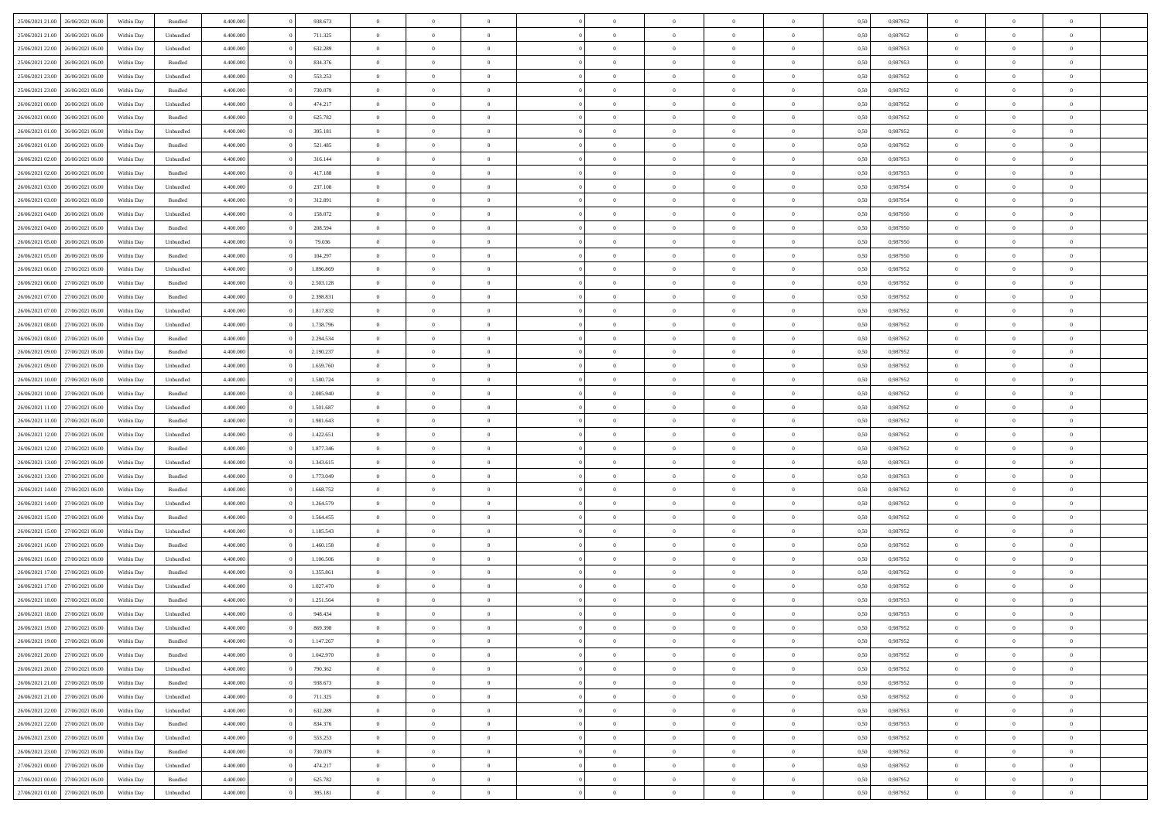|                                   |                  |            |                    |           |           | $\overline{0}$ | $\Omega$       |                |                | $\Omega$       | $\theta$       | $\theta$       |      |          | $\theta$       |                | $\theta$       |  |
|-----------------------------------|------------------|------------|--------------------|-----------|-----------|----------------|----------------|----------------|----------------|----------------|----------------|----------------|------|----------|----------------|----------------|----------------|--|
| 25/06/2021 21:00                  | 26/06/2021 06:00 | Within Day | Bundled            | 4.400.000 | 938.673   |                |                |                | $\Omega$       |                |                |                | 0,50 | 0,987952 |                | $\theta$       |                |  |
| 25/06/2021 21:00                  | 26/06/2021 06:00 | Within Day | Unbundled          | 4.400.000 | 711.325   | $\overline{0}$ | $\theta$       | $\overline{0}$ | $\overline{0}$ | $\bf{0}$       | $\overline{0}$ | $\bf{0}$       | 0,50 | 0,987952 | $\theta$       | $\overline{0}$ | $\overline{0}$ |  |
| 25/06/2021 22:00                  | 26/06/2021 06:00 | Within Day | Unbundled          | 4.400.000 | 632.289   | $\overline{0}$ | $\bf{0}$       | $\overline{0}$ | $\bf{0}$       | $\bf{0}$       | $\bf{0}$       | $\mathbf{0}$   | 0,50 | 0,987953 | $\overline{0}$ | $\overline{0}$ | $\overline{0}$ |  |
| 25/06/2021 22:00                  | 26/06/2021 06:00 | Within Day | Bundled            | 4.400.000 | 834.376   | $\overline{0}$ | $\overline{0}$ | $\overline{0}$ | $\overline{0}$ | $\bf{0}$       | $\overline{0}$ | $\overline{0}$ | 0.50 | 0,987953 | $\theta$       | $\theta$       | $\overline{0}$ |  |
|                                   |                  |            |                    |           |           |                |                |                |                |                |                |                |      |          |                |                |                |  |
| 25/06/2021 23:00                  | 26/06/2021 06:00 | Within Day | Unbundled          | 4.400.000 | 553.253   | $\overline{0}$ | $\theta$       | $\overline{0}$ | $\overline{0}$ | $\bf{0}$       | $\overline{0}$ | $\bf{0}$       | 0,50 | 0,987952 | $\theta$       | $\overline{0}$ | $\overline{0}$ |  |
| 25/06/2021 23:00                  | 26/06/2021 06:00 | Within Day | Bundled            | 4.400.000 | 730.079   | $\overline{0}$ | $\overline{0}$ | $\overline{0}$ | $\bf{0}$       | $\overline{0}$ | $\overline{0}$ | $\mathbf{0}$   | 0,50 | 0,987952 | $\bf{0}$       | $\overline{0}$ | $\bf{0}$       |  |
| 26/06/2021 00:00                  | 26/06/2021 06:00 | Within Dav | Unbundled          | 4.400.000 | 474.217   | $\overline{0}$ | $\overline{0}$ | $\overline{0}$ | $\overline{0}$ | $\overline{0}$ | $\overline{0}$ | $\overline{0}$ | 0.50 | 0,987952 | $\theta$       | $\overline{0}$ | $\overline{0}$ |  |
| 26/06/2021 00:00                  | 26/06/2021 06:00 | Within Day | Bundled            | 4.400.000 | 625.782   | $\overline{0}$ | $\theta$       | $\overline{0}$ | $\overline{0}$ | $\bf{0}$       | $\overline{0}$ | $\bf{0}$       | 0,50 | 0,987952 | $\theta$       | $\theta$       | $\overline{0}$ |  |
|                                   |                  |            |                    |           |           |                | $\overline{0}$ |                |                | $\bf{0}$       |                |                |      |          | $\,0\,$        | $\overline{0}$ | $\overline{0}$ |  |
| 26/06/2021 01:00                  | 26/06/2021 06:00 | Within Day | Unbundled          | 4.400.000 | 395.181   | $\overline{0}$ |                | $\overline{0}$ | $\bf{0}$       |                | $\bf{0}$       | $\bf{0}$       | 0,50 | 0,987952 |                |                |                |  |
| 26/06/2021 01:00                  | 26/06/2021 06:00 | Within Dav | Bundled            | 4.400.000 | 521.485   | $\overline{0}$ | $\overline{0}$ | $\overline{0}$ | $\overline{0}$ | $\overline{0}$ | $\overline{0}$ | $\overline{0}$ | 0.50 | 0,987952 | $\theta$       | $\overline{0}$ | $\overline{0}$ |  |
| 26/06/2021 02:00                  | 26/06/2021 06:00 | Within Day | Unbundled          | 4.400.000 | 316.144   | $\overline{0}$ | $\theta$       | $\overline{0}$ | $\overline{0}$ | $\bf{0}$       | $\overline{0}$ | $\bf{0}$       | 0,50 | 0,987953 | $\,$ 0 $\,$    | $\overline{0}$ | $\overline{0}$ |  |
| 26/06/2021 02:00                  | 26/06/2021 06:00 | Within Day | Bundled            | 4.400.000 | 417.188   | $\overline{0}$ | $\overline{0}$ | $\overline{0}$ | $\bf{0}$       | $\bf{0}$       | $\bf{0}$       | $\mathbf{0}$   | 0,50 | 0,987953 | $\bf{0}$       | $\overline{0}$ | $\bf{0}$       |  |
| 26/06/2021 03:00                  | 26/06/2021 06:00 | Within Day | Unbundled          | 4.400.000 | 237.108   | $\overline{0}$ | $\overline{0}$ | $\overline{0}$ | $\overline{0}$ | $\bf{0}$       | $\overline{0}$ | $\overline{0}$ | 0.50 | 0,987954 | $\theta$       | $\theta$       | $\overline{0}$ |  |
|                                   |                  |            |                    |           |           | $\overline{0}$ | $\theta$       | $\overline{0}$ | $\overline{0}$ | $\bf{0}$       | $\overline{0}$ |                |      |          | $\theta$       | $\overline{0}$ | $\overline{0}$ |  |
| 26/06/2021 03:00                  | 26/06/2021 06:00 | Within Day | Bundled            | 4.400.000 | 312.891   |                |                |                |                |                |                | $\bf{0}$       | 0,50 | 0,987954 |                |                |                |  |
| 26/06/2021 04:00                  | 26/06/2021 06:00 | Within Day | Unbundled          | 4.400.000 | 158.072   | $\overline{0}$ | $\overline{0}$ | $\overline{0}$ | $\bf{0}$       | $\overline{0}$ | $\overline{0}$ | $\mathbf{0}$   | 0,50 | 0,987950 | $\bf{0}$       | $\overline{0}$ | $\bf{0}$       |  |
| 26/06/2021 04:00                  | 26/06/2021 06:00 | Within Dav | Bundled            | 4.400.000 | 208.594   | $\overline{0}$ | $\overline{0}$ | $\overline{0}$ | $\overline{0}$ | $\overline{0}$ | $\overline{0}$ | $\overline{0}$ | 0.50 | 0,987950 | $\theta$       | $\overline{0}$ | $\overline{0}$ |  |
| 26/06/2021 05:00                  | 26/06/2021 06:00 | Within Day | Unbundled          | 4.400.000 | 79.036    | $\overline{0}$ | $\theta$       | $\overline{0}$ | $\overline{0}$ | $\bf{0}$       | $\overline{0}$ | $\bf{0}$       | 0,50 | 0,987950 | $\theta$       | $\theta$       | $\overline{0}$ |  |
| 26/06/2021 05:00                  | 26/06/2021 06:00 | Within Day | Bundled            | 4.400.000 | 104.297   | $\overline{0}$ | $\overline{0}$ | $\overline{0}$ | $\bf{0}$       | $\bf{0}$       | $\bf{0}$       | $\mathbf{0}$   | 0,50 | 0,987950 | $\,0\,$        | $\overline{0}$ | $\overline{0}$ |  |
|                                   |                  |            |                    |           |           |                |                |                |                |                |                |                |      |          |                |                |                |  |
| 26/06/2021 06:00                  | 27/06/2021 06:00 | Within Day | Unbundled          | 4.400.000 | 1.896.869 | $\overline{0}$ | $\overline{0}$ | $\overline{0}$ | $\overline{0}$ | $\overline{0}$ | $\overline{0}$ | $\overline{0}$ | 0.50 | 0,987952 | $\theta$       | $\overline{0}$ | $\overline{0}$ |  |
| 26/06/2021 06:00                  | 27/06/2021 06.00 | Within Day | Bundled            | 4.400.000 | 2.503.128 | $\overline{0}$ | $\theta$       | $\overline{0}$ | $\overline{0}$ | $\bf{0}$       | $\overline{0}$ | $\bf{0}$       | 0,50 | 0,987952 | $\,$ 0 $\,$    | $\overline{0}$ | $\overline{0}$ |  |
| 26/06/2021 07:00                  | 27/06/2021 06:00 | Within Day | Bundled            | 4.400.000 | 2.398.831 | $\overline{0}$ | $\overline{0}$ | $\overline{0}$ | $\overline{0}$ | $\bf{0}$       | $\overline{0}$ | $\bf{0}$       | 0,50 | 0,987952 | $\overline{0}$ | $\overline{0}$ | $\bf{0}$       |  |
| 26/06/2021 07:00                  | 27/06/2021 06:00 | Within Day | Unbundled          | 4.400.000 | 1.817.832 | $\overline{0}$ | $\overline{0}$ | $\overline{0}$ | $\overline{0}$ | $\bf{0}$       | $\overline{0}$ | $\overline{0}$ | 0.50 | 0,987952 | $\theta$       | $\overline{0}$ | $\overline{0}$ |  |
| 26/06/2021 08:00                  | 27/06/2021 06.00 |            |                    | 4.400.000 | 1.738.796 | $\overline{0}$ | $\theta$       | $\overline{0}$ | $\overline{0}$ | $\bf{0}$       | $\overline{0}$ |                |      | 0,987952 | $\,$ 0 $\,$    | $\overline{0}$ | $\overline{0}$ |  |
|                                   |                  | Within Day | Unbundled          |           |           |                |                |                |                |                |                | $\bf{0}$       | 0,50 |          |                |                |                |  |
| 26/06/2021 08:00                  | 27/06/2021 06:00 | Within Day | Bundled            | 4.400.000 | 2.294.534 | $\overline{0}$ | $\overline{0}$ | $\overline{0}$ | $\overline{0}$ | $\overline{0}$ | $\overline{0}$ | $\mathbf{0}$   | 0,50 | 0,987952 | $\overline{0}$ | $\overline{0}$ | $\bf{0}$       |  |
| 26/06/2021 09:00                  | 27/06/2021 06:00 | Within Dav | Bundled            | 4.400.000 | 2.190.237 | $\overline{0}$ | $\overline{0}$ | $\overline{0}$ | $\overline{0}$ | $\overline{0}$ | $\overline{0}$ | $\overline{0}$ | 0.50 | 0,987952 | $\theta$       | $\overline{0}$ | $\overline{0}$ |  |
| 26/06/2021 09:00                  | 27/06/2021 06.00 | Within Day | Unbundled          | 4.400.000 | 1.659.760 | $\overline{0}$ | $\theta$       | $\overline{0}$ | $\overline{0}$ | $\bf{0}$       | $\overline{0}$ | $\bf{0}$       | 0,50 | 0,987952 | $\theta$       | $\theta$       | $\overline{0}$ |  |
| 26/06/2021 10:00                  | 27/06/2021 06:00 | Within Day | Unbundled          | 4.400.000 | 1.580.724 | $\overline{0}$ | $\overline{0}$ | $\overline{0}$ | $\overline{0}$ | $\bf{0}$       | $\overline{0}$ | $\bf{0}$       | 0,50 | 0,987952 | $\,0\,$        | $\overline{0}$ | $\overline{0}$ |  |
| 26/06/2021 10:00                  | 27/06/2021 06:00 |            | Bundled            | 4.400.000 | 2.085.940 | $\overline{0}$ | $\overline{0}$ | $\overline{0}$ | $\overline{0}$ | $\overline{0}$ | $\overline{0}$ | $\overline{0}$ | 0.50 | 0,987952 | $\theta$       | $\overline{0}$ | $\overline{0}$ |  |
|                                   |                  | Within Day |                    |           |           |                |                |                |                |                |                |                |      |          |                |                |                |  |
| 26/06/2021 11:00                  | 27/06/2021 06:00 | Within Day | Unbundled          | 4.400.000 | 1.501.687 | $\overline{0}$ | $\theta$       | $\overline{0}$ | $\overline{0}$ | $\bf{0}$       | $\overline{0}$ | $\bf{0}$       | 0,50 | 0,987952 | $\,$ 0 $\,$    | $\overline{0}$ | $\overline{0}$ |  |
| 26/06/2021 11:00                  | 27/06/2021 06:00 | Within Day | Bundled            | 4.400.000 | 1.981.643 | $\overline{0}$ | $\overline{0}$ | $\overline{0}$ | $\overline{0}$ | $\bf{0}$       | $\overline{0}$ | $\bf{0}$       | 0,50 | 0,987952 | $\overline{0}$ | $\overline{0}$ | $\bf{0}$       |  |
| 26/06/2021 12:00                  | 27/06/2021 06:00 | Within Day | Unbundled          | 4.400,000 | 1.422.651 | $\overline{0}$ | $\Omega$       | $\Omega$       | $\Omega$       | $\Omega$       | $\overline{0}$ | $\overline{0}$ | 0,50 | 0,987952 | $\,0\,$        | $\theta$       | $\theta$       |  |
| 26/06/2021 12:00                  | 27/06/2021 06.00 | Within Day | Bundled            | 4.400.000 | 1.877.346 | $\overline{0}$ | $\theta$       | $\overline{0}$ | $\overline{0}$ | $\bf{0}$       | $\overline{0}$ | $\bf{0}$       | 0,50 | 0,987952 | $\theta$       | $\overline{0}$ | $\overline{0}$ |  |
|                                   |                  |            |                    |           |           |                |                |                |                |                |                |                |      |          |                |                |                |  |
| 26/06/2021 13:00                  | 27/06/2021 06:00 | Within Day | Unbundled          | 4.400.000 | 1.343.615 | $\overline{0}$ | $\overline{0}$ | $\overline{0}$ | $\overline{0}$ | $\bf{0}$       | $\overline{0}$ | $\mathbf{0}$   | 0,50 | 0,987953 | $\overline{0}$ | $\overline{0}$ | $\bf{0}$       |  |
| 26/06/2021 13:00                  | 27/06/2021 06:00 | Within Day | Bundled            | 4.400,000 | 1.773.049 | $\overline{0}$ | $\Omega$       | $\Omega$       | $\Omega$       | $\bf{0}$       | $\overline{0}$ | $\overline{0}$ | 0.50 | 0,987953 | $\,0\,$        | $\theta$       | $\theta$       |  |
| 26/06/2021 14:00                  | 27/06/2021 06:00 | Within Day | Bundled            | 4.400.000 | 1.668.752 | $\overline{0}$ | $\theta$       | $\overline{0}$ | $\overline{0}$ | $\bf{0}$       | $\overline{0}$ | $\bf{0}$       | 0,50 | 0,987952 | $\,$ 0 $\,$    | $\overline{0}$ | $\overline{0}$ |  |
| 26/06/2021 14:00                  | 27/06/2021 06:00 | Within Day | Unbundled          | 4.400.000 | 1.264.579 | $\overline{0}$ | $\overline{0}$ | $\overline{0}$ | $\overline{0}$ | $\bf{0}$       | $\overline{0}$ | $\bf{0}$       | 0,50 | 0,987952 | $\bf{0}$       | $\overline{0}$ | $\bf{0}$       |  |
| 26/06/2021 15:00                  | 27/06/2021 06:00 | Within Day | Bundled            | 4.400,000 | 1.564.455 | $\overline{0}$ | $\Omega$       | $\Omega$       | $\Omega$       | $\theta$       | $\overline{0}$ | $\overline{0}$ | 0.50 | 0.987952 | $\,$ 0 $\,$    | $\theta$       | $\theta$       |  |
|                                   |                  |            |                    |           |           |                |                |                |                |                |                |                |      |          |                |                |                |  |
| 26/06/2021 15:00                  | 27/06/2021 06.00 | Within Day | Unbundled          | 4.400.000 | 1.185.543 | $\overline{0}$ | $\theta$       | $\overline{0}$ | $\overline{0}$ | $\bf{0}$       | $\overline{0}$ | $\bf{0}$       | 0,50 | 0,987952 | $\,$ 0 $\,$    | $\overline{0}$ | $\overline{0}$ |  |
| 26/06/2021 16:00                  | 27/06/2021 06:00 | Within Day | Bundled            | 4.400.000 | 1.460.158 | $\overline{0}$ | $\bf{0}$       | $\overline{0}$ | $\overline{0}$ | $\bf{0}$       | $\overline{0}$ | $\mathbf{0}$   | 0,50 | 0,987952 | $\bf{0}$       | $\overline{0}$ | $\bf{0}$       |  |
| 26/06/2021 16:00                  | 27/06/2021 06:00 | Within Day | Unbundled          | 4.400,000 | 1.106.506 | $\overline{0}$ | $\Omega$       | $\overline{0}$ | $\Omega$       | $\overline{0}$ | $\overline{0}$ | $\overline{0}$ | 0.50 | 0,987952 | $\,0\,$        | $\theta$       | $\theta$       |  |
| 26/06/2021 17:00                  | 27/06/2021 06.00 | Within Day | Bundled            | 4.400.000 | 1.355.861 | $\overline{0}$ | $\theta$       | $\overline{0}$ | $\overline{0}$ | $\bf{0}$       | $\overline{0}$ | $\bf{0}$       | 0,50 | 0,987952 | $\,$ 0 $\,$    | $\overline{0}$ | $\overline{0}$ |  |
| 26/06/2021 17:00                  | 27/06/2021 06:00 | Within Day | Unbundled          | 4.400.000 | 1.027.470 | $\overline{0}$ | $\overline{0}$ | $\overline{0}$ | $\overline{0}$ | $\bf{0}$       | $\overline{0}$ | $\mathbf{0}$   | 0,50 | 0,987952 | $\bf{0}$       | $\overline{0}$ | $\bf{0}$       |  |
|                                   |                  |            |                    |           |           |                |                |                |                |                |                |                |      |          |                |                |                |  |
| 26/06/2021 18:00                  | 27/06/2021 06.00 | Within Day | Bundled            | 4.400,000 | 1.251.564 | $\overline{0}$ | $\Omega$       | $\Omega$       | $\Omega$       | $\Omega$       | $\Omega$       | $\overline{0}$ | 0.50 | 0.987953 | $\theta$       | $\theta$       | $\theta$       |  |
| 26/06/2021 18:00                  | 27/06/2021 06:00 | Within Day | Unbundled          | 4.400.000 | 948.434   | $\overline{0}$ | $\overline{0}$ | $\overline{0}$ | $\bf{0}$       | $\,$ 0         | $\overline{0}$ | $\bf{0}$       | 0,50 | 0,987953 | $\,0\,$        | $\,$ 0 $\,$    | $\overline{0}$ |  |
| 26/06/2021 19:00                  | 27/06/2021 06:00 | Within Day | Unbundled          | 4.400.000 | 869.398   | $\overline{0}$ | $\bf{0}$       |                |                | $\bf{0}$       |                |                | 0,50 | 0,987952 | $\bf{0}$       | $\overline{0}$ |                |  |
| 26/06/2021 19:00                  | 27/06/2021 06:00 | Within Day | Bundled            | 4.400.000 | 1.147.267 | $\overline{0}$ | $\overline{0}$ | $\overline{0}$ | $\Omega$       | $\overline{0}$ | $\overline{0}$ | $\overline{0}$ | 0.50 | 0.987952 | $\theta$       | $\theta$       | $\theta$       |  |
| 26/06/2021 20:00                  | 27/06/2021 06:00 | Within Day | Bundled            | 4.400.000 | 1.042.970 | $\overline{0}$ | $\bf{0}$       | $\overline{0}$ | $\overline{0}$ | $\,$ 0 $\,$    | $\overline{0}$ | $\,$ 0 $\,$    | 0,50 | 0,987952 | $\,$ 0 $\,$    | $\,$ 0 $\,$    | $\,$ 0         |  |
|                                   |                  |            |                    |           |           |                |                |                |                |                |                |                |      |          |                |                |                |  |
| 26/06/2021 20:00                  | 27/06/2021 06:00 | Within Day | Unbundled          | 4.400.000 | 790.362   | $\overline{0}$ | $\overline{0}$ | $\overline{0}$ | $\overline{0}$ | $\overline{0}$ | $\overline{0}$ | $\mathbf{0}$   | 0,50 | 0,987952 | $\overline{0}$ | $\overline{0}$ | $\overline{0}$ |  |
| 26/06/2021 21:00                  | 27/06/2021 06:00 | Within Day | $\mathbf B$ undled | 4.400,000 | 938.673   | $\overline{0}$ | $\overline{0}$ | $\overline{0}$ | $\Omega$       | $\overline{0}$ | $\overline{0}$ | $\overline{0}$ | 0,50 | 0,987952 | $\overline{0}$ | $\theta$       | $\overline{0}$ |  |
| 26/06/2021 21:00                  | 27/06/2021 06:00 | Within Day | Unbundled          | 4.400.000 | 711.325   | $\overline{0}$ | $\,$ 0         | $\overline{0}$ | $\overline{0}$ | $\,$ 0 $\,$    | $\overline{0}$ | $\,$ 0 $\,$    | 0,50 | 0,987952 | $\,$ 0 $\,$    | $\overline{0}$ | $\,$ 0         |  |
| 26/06/2021 22.00                  | 27/06/2021 06:00 | Within Day | Unbundled          | 4.400.000 | 632.289   | $\overline{0}$ | $\overline{0}$ | $\overline{0}$ | $\overline{0}$ | $\overline{0}$ | $\overline{0}$ | $\mathbf{0}$   | 0,50 | 0,987953 | $\overline{0}$ | $\overline{0}$ | $\overline{0}$ |  |
|                                   |                  |            |                    | 4.400,000 | 834,376   |                | $\overline{0}$ | $\overline{0}$ |                | $\overline{0}$ | $\overline{0}$ |                | 0.50 |          |                | $\theta$       | $\overline{0}$ |  |
| 26/06/2021 22:00                  | 27/06/2021 06:00 | Within Day | Bundled            |           |           | $\overline{0}$ |                |                | $\overline{0}$ |                |                | $\overline{0}$ |      | 0,987953 | $\overline{0}$ |                |                |  |
| 26/06/2021 23:00                  | 27/06/2021 06:00 | Within Day | Unbundled          | 4.400.000 | 553.253   | $\overline{0}$ | $\,$ 0         | $\overline{0}$ | $\overline{0}$ | $\bf{0}$       | $\overline{0}$ | $\bf{0}$       | 0,50 | 0,987952 | $\,$ 0 $\,$    | $\overline{0}$ | $\overline{0}$ |  |
| 26/06/2021 23.00                  | 27/06/2021 06:00 | Within Day | Bundled            | 4.400.000 | 730.079   | $\overline{0}$ | $\overline{0}$ | $\overline{0}$ | $\overline{0}$ | $\overline{0}$ | $\overline{0}$ | $\mathbf{0}$   | 0,50 | 0,987952 | $\overline{0}$ | $\overline{0}$ | $\bf{0}$       |  |
| 27/06/2021 00:00                  | 27/06/2021 06:00 | Within Day | Unbundled          | 4.400,000 | 474.217   | $\overline{0}$ | $\overline{0}$ | $\overline{0}$ | $\Omega$       | $\overline{0}$ | $\overline{0}$ | $\overline{0}$ | 0.50 | 0,987952 | $\overline{0}$ | $\overline{0}$ | $\overline{0}$ |  |
| 27/06/2021 00:00                  | 27/06/2021 06:00 | Within Day | Bundled            | 4.400.000 | 625.782   | $\overline{0}$ | $\bf{0}$       | $\overline{0}$ | $\bf{0}$       | $\bf{0}$       | $\bf{0}$       | $\mathbf{0}$   | 0,50 | 0,987952 | $\,$ 0 $\,$    | $\,$ 0 $\,$    | $\bf{0}$       |  |
|                                   |                  |            |                    |           |           |                |                |                |                |                |                |                |      |          |                |                |                |  |
| 27/06/2021 01:00 27/06/2021 06:00 |                  | Within Day | Unbundled          | 4.400.000 | 395.181   | $\overline{0}$ | $\overline{0}$ | $\overline{0}$ | $\overline{0}$ | $\overline{0}$ | $\bf{0}$       | $\mathbf{0}$   | 0,50 | 0,987952 | $\overline{0}$ | $\bf{0}$       | $\overline{0}$ |  |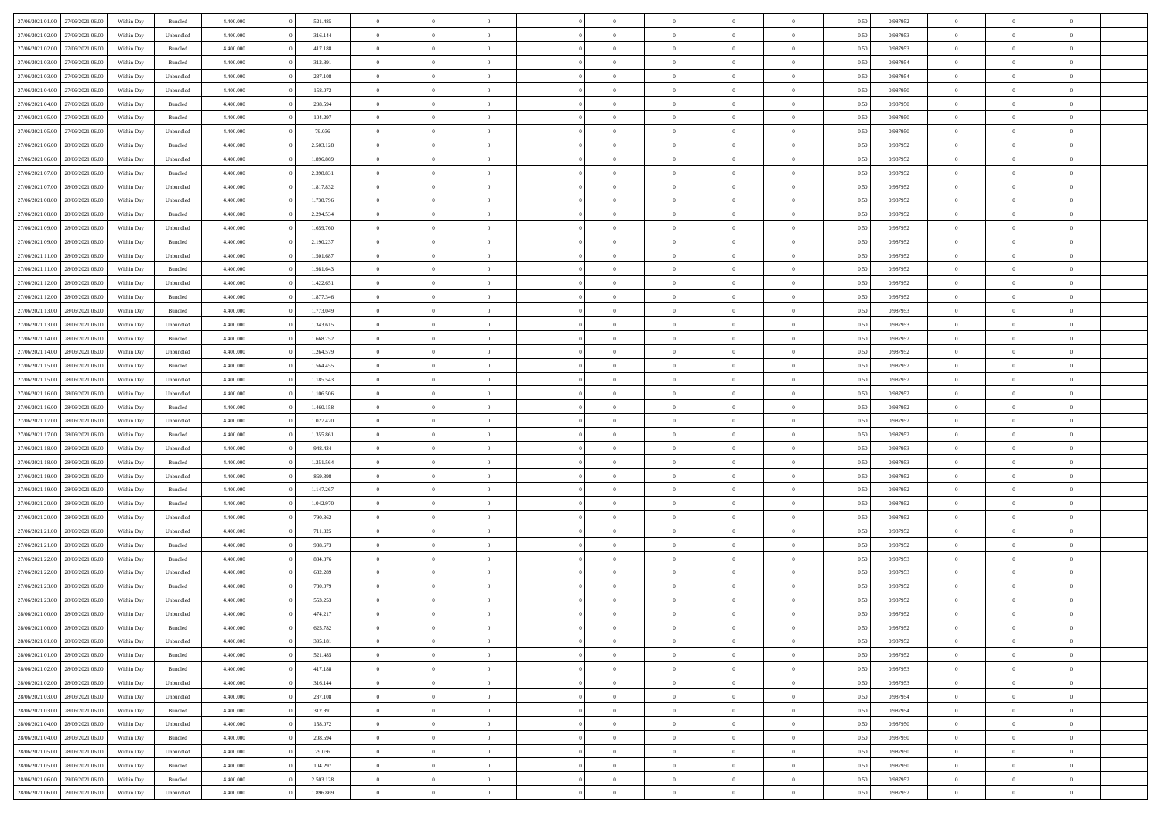| 27/06/2021 01:00 27/06/2021 06:00                        | Within Day | Bundled              | 4.400.000              | 521.485             | $\overline{0}$                   | $\overline{0}$ | $\Omega$                         | $\Omega$                         | $\theta$       | $\Omega$                         | $\overline{0}$             | 0,50         | 0,987952             | $\theta$             | $\theta$       | $\theta$       |  |
|----------------------------------------------------------|------------|----------------------|------------------------|---------------------|----------------------------------|----------------|----------------------------------|----------------------------------|----------------|----------------------------------|----------------------------|--------------|----------------------|----------------------|----------------|----------------|--|
| 27/06/2021 02:00<br>27/06/2021 06:00                     | Within Day | Unbundled            | 4.400.000              | 316.144             | $\overline{0}$                   | $\overline{0}$ | $\overline{0}$                   | $\overline{0}$                   | $\theta$       | $\overline{0}$                   | $\bf{0}$                   | 0,50         | 0,987953             | $\theta$             | $\theta$       | $\overline{0}$ |  |
| 27/06/2021 02:00<br>27/06/2021 06:00                     | Within Day | Bundled              | 4.400.000              | 417.188             | $\overline{0}$                   | $\bf{0}$       | $\overline{0}$                   | $\overline{0}$                   | $\overline{0}$ | $\overline{0}$                   | $\bf{0}$                   | 0,50         | 0,987953             | $\bf{0}$             | $\overline{0}$ | $\overline{0}$ |  |
| 27/06/2021 03:00<br>27/06/2021 06:00                     | Within Day | Bundled              | 4.400.000              | 312.891             | $\overline{0}$                   | $\overline{0}$ | $\overline{0}$                   | $\overline{0}$                   | $\theta$       | $\overline{0}$                   | $\overline{0}$             | 0.50         | 0.987954             | $\theta$             | $\theta$       | $\overline{0}$ |  |
| 27/06/2021 03:00<br>27/06/2021 06:00                     | Within Day | Unbundled            | 4.400.000              | 237.108             | $\overline{0}$                   | $\overline{0}$ | $\overline{0}$                   | $\overline{0}$                   | $\theta$       | $\overline{0}$                   | $\bf{0}$                   | 0,50         | 0,987954             | $\theta$             | $\theta$       | $\overline{0}$ |  |
| 27/06/2021 04:00<br>27/06/2021 06:00                     | Within Day | Unbundled            | 4.400.000              | 158.072             | $\overline{0}$                   | $\bf{0}$       | $\overline{0}$                   | $\overline{0}$                   | $\overline{0}$ | $\overline{0}$                   | $\bf{0}$                   | 0,50         | 0,987950             | $\overline{0}$       | $\overline{0}$ | $\bf{0}$       |  |
| 27/06/2021 04:00<br>27/06/2021 06:00                     | Within Day | Bundled              | 4.400.000              | 208.594             | $\overline{0}$                   | $\overline{0}$ | $\overline{0}$                   | $\overline{0}$                   | $\overline{0}$ | $\overline{0}$                   | $\overline{0}$             | 0.5(         | 0,987950             | $\theta$             | $\theta$       | $\overline{0}$ |  |
| 27/06/2021 05:00<br>27/06/2021 06:00                     | Within Day | Bundled              | 4.400.000              | 104.297             | $\overline{0}$                   | $\theta$       | $\overline{0}$                   | $\overline{0}$                   | $\theta$       | $\overline{0}$                   | $\bf{0}$                   | 0,50         | 0,987950             | $\theta$             | $\theta$       | $\overline{0}$ |  |
|                                                          |            |                      |                        |                     |                                  | $\bf{0}$       |                                  |                                  | $\overline{0}$ |                                  |                            |              |                      | $\bf{0}$             | $\bf{0}$       | $\overline{0}$ |  |
| 27/06/2021 05:00<br>27/06/2021 06.00<br>28/06/2021 06:00 | Within Day | Unbundled<br>Bundled | 4.400.000<br>4.400.000 | 79.036<br>2.503.128 | $\overline{0}$<br>$\overline{0}$ | $\overline{0}$ | $\overline{0}$<br>$\overline{0}$ | $\overline{0}$<br>$\overline{0}$ | $\overline{0}$ | $\overline{0}$<br>$\overline{0}$ | $\bf{0}$<br>$\overline{0}$ | 0,50<br>0.5( | 0,987950<br>0,987952 | $\theta$             | $\theta$       | $\overline{0}$ |  |
| 27/06/2021 06:00                                         | Within Day |                      |                        |                     |                                  |                |                                  |                                  |                |                                  |                            |              |                      |                      |                |                |  |
| 27/06/2021 06:00<br>28/06/2021 06:00                     | Within Day | Unbundled            | 4.400.000              | 1.896.869           | $\bf{0}$                         | $\overline{0}$ | $\overline{0}$                   | $\overline{0}$                   | $\theta$       | $\overline{0}$                   | $\bf{0}$                   | 0,50         | 0,987952             | $\theta$             | $\theta$       | $\overline{0}$ |  |
| 27/06/2021 07:00<br>28/06/2021 06:00                     | Within Day | Bundled              | 4.400.000              | 2.398.831           | $\overline{0}$                   | $\bf{0}$       | $\overline{0}$                   | $\overline{0}$                   | $\bf{0}$       | $\overline{0}$                   | $\bf{0}$                   | 0,50         | 0,987952             | $\bf{0}$             | $\overline{0}$ | $\overline{0}$ |  |
| 27/06/2021 07:00<br>28/06/2021 06:00                     | Within Day | Unbundled            | 4.400.000              | 1.817.832           | $\overline{0}$                   | $\overline{0}$ | $\overline{0}$                   | $\overline{0}$                   | $\overline{0}$ | $\overline{0}$                   | $\overline{0}$             | 0.5(         | 0,987952             | $\theta$             | $\theta$       | $\overline{0}$ |  |
| 27/06/2021 08:00<br>28/06/2021 06:00                     | Within Day | Unbundled            | 4.400.000              | 1.738.796           | $\overline{0}$                   | $\overline{0}$ | $\overline{0}$                   | $\overline{0}$                   | $\theta$       | $\overline{0}$                   | $\,$ 0 $\,$                | 0,50         | 0,987952             | $\theta$             | $\theta$       | $\overline{0}$ |  |
| 27/06/2021 08:00<br>28/06/2021 06:00                     | Within Day | Bundled              | 4.400.000              | 2.294.534           | $\overline{0}$                   | $\bf{0}$       | $\overline{0}$                   | $\overline{0}$                   | $\overline{0}$ | $\overline{0}$                   | $\bf{0}$                   | 0,50         | 0,987952             | $\bf{0}$             | $\overline{0}$ | $\bf{0}$       |  |
| 27/06/2021 09:00<br>28/06/2021 06:00                     | Within Day | Unbundled            | 4.400.000              | 1.659.760           | $\overline{0}$                   | $\overline{0}$ | $\overline{0}$                   | $\overline{0}$                   | $\overline{0}$ | $\overline{0}$                   | $\overline{0}$             | 0.5(         | 0,987952             | $\theta$             | $\theta$       | $\overline{0}$ |  |
| 27/06/2021 09:00<br>28/06/2021 06:00                     | Within Day | Bundled              | 4.400.000              | 2.190.237           | $\bf{0}$                         | $\overline{0}$ | $\overline{0}$                   | $\overline{0}$                   | $\theta$       | $\overline{0}$                   | $\bf{0}$                   | 0,50         | 0,987952             | $\theta$             | $\theta$       | $\overline{0}$ |  |
| 27/06/2021 11:00<br>28/06/2021 06:00                     | Within Day | Unbundled            | 4.400.000              | 1.501.687           | $\overline{0}$                   | $\bf{0}$       | $\overline{0}$                   | $\overline{0}$                   | $\overline{0}$ | $\overline{0}$                   | $\bf{0}$                   | 0,50         | 0,987952             | $\bf{0}$             | $\overline{0}$ | $\overline{0}$ |  |
| 27/06/2021 11:00<br>28/06/2021 06:00                     | Within Day | Bundled              | 4.400.000              | 1.981.643           | $\overline{0}$                   | $\overline{0}$ | $\overline{0}$                   | $\overline{0}$                   | $\overline{0}$ | $\overline{0}$                   | $\overline{0}$             | 0.50         | 0,987952             | $\theta$             | $\theta$       | $\overline{0}$ |  |
| 27/06/2021 12:00<br>28/06/2021 06:00                     | Within Day | Unbundled            | 4.400.000              | 1.422.651           | $\bf{0}$                         | $\overline{0}$ | $\overline{0}$                   | $\overline{0}$                   | $\theta$       | $\overline{0}$                   | $\bf{0}$                   | 0,50         | 0,987952             | $\theta$             | $\theta$       | $\overline{0}$ |  |
| 27/06/2021 12:00<br>28/06/2021 06:00                     | Within Day | Bundled              | 4.400.000              | 1.877.346           | $\overline{0}$                   | $\bf{0}$       | $\overline{0}$                   | $\overline{0}$                   | $\overline{0}$ | $\overline{0}$                   | $\bf{0}$                   | 0,50         | 0,987952             | $\bf{0}$             | $\overline{0}$ | $\overline{0}$ |  |
| 27/06/2021 13:00<br>28/06/2021 06:00                     | Within Day | Bundled              | 4.400.000              | 1.773.049           | $\overline{0}$                   | $\overline{0}$ | $\overline{0}$                   | $\overline{0}$                   | $\overline{0}$ | $\overline{0}$                   | $\overline{0}$             | 0.5(         | 0.987953             | $\theta$             | $\theta$       | $\overline{0}$ |  |
| 27/06/2021 13:00<br>28/06/2021 06:00                     | Within Day | Unbundled            | 4.400.000              | 1.343.615           | $\overline{0}$                   | $\overline{0}$ | $\overline{0}$                   | $\overline{0}$                   | $\theta$       | $\overline{0}$                   | $\bf{0}$                   | 0,50         | 0,987953             | $\theta$             | $\theta$       | $\overline{0}$ |  |
| 27/06/2021 14:00<br>28/06/2021 06:00                     | Within Day | Bundled              | 4.400.000              | 1.668.752           | $\overline{0}$                   | $\bf{0}$       | $\overline{0}$                   | $\overline{0}$                   | $\overline{0}$ | $\overline{0}$                   | $\bf{0}$                   | 0,50         | 0,987952             | $\overline{0}$       | $\overline{0}$ | $\bf{0}$       |  |
| 27/06/2021 14:00<br>28/06/2021 06:00                     | Within Day | Unbundled            | 4.400.000              | 1.264.579           | $\overline{0}$                   | $\overline{0}$ | $\overline{0}$                   | $\overline{0}$                   | $\overline{0}$ | $\overline{0}$                   | $\overline{0}$             | 0.5(         | 0,987952             | $\theta$             | $\theta$       | $\overline{0}$ |  |
| 27/06/2021 15:00<br>28/06/2021 06:00                     | Within Day | Bundled              | 4.400.000              | 1.564.455           | $\bf{0}$                         | $\overline{0}$ | $\overline{0}$                   | $\overline{0}$                   | $\theta$       | $\overline{0}$                   | $\bf{0}$                   | 0,50         | 0,987952             | $\theta$             | $\theta$       | $\overline{0}$ |  |
| 27/06/2021 15:00<br>28/06/2021 06:00                     | Within Day | Unbundled            | 4.400.000              | 1.185.543           | $\overline{0}$                   | $\bf{0}$       | $\overline{0}$                   | $\overline{0}$                   | $\overline{0}$ | $\overline{0}$                   | $\bf{0}$                   | 0,50         | 0,987952             | $\bf{0}$             | $\bf{0}$       | $\overline{0}$ |  |
| 27/06/2021 16:00<br>28/06/2021 06:00                     | Within Day | Unbundled            | 4.400.000              | 1.106.506           | $\overline{0}$                   | $\overline{0}$ | $\overline{0}$                   | $\overline{0}$                   | $\overline{0}$ | $\overline{0}$                   | $\overline{0}$             | 0.5(         | 0,987952             | $\theta$             | $\theta$       | $\overline{0}$ |  |
| 27/06/2021 16:00<br>28/06/2021 06:00                     | Within Day | Bundled              | 4.400.000              | 1.460.158           | $\bf{0}$                         | $\overline{0}$ | $\overline{0}$                   | $\overline{0}$                   | $\theta$       | $\overline{0}$                   | $\bf{0}$                   | 0,50         | 0,987952             | $\theta$             | $\theta$       | $\overline{0}$ |  |
| 27/06/2021 17:00<br>28/06/2021 06:00                     | Within Day | Unbundled            | 4.400.000              | 1.027.470           | $\overline{0}$                   | $\bf{0}$       | $\overline{0}$                   | $\overline{0}$                   | $\bf{0}$       | $\overline{0}$                   | $\bf{0}$                   | 0,50         | 0,987952             | $\bf{0}$             | $\overline{0}$ | $\overline{0}$ |  |
| 27/06/2021 17:00<br>28/06/2021 06:00                     | Within Day | Bundled              | 4,400,000              | 1.355.861           | $\overline{0}$                   | $\overline{0}$ | $\Omega$                         | $\Omega$                         | $\Omega$       | $\theta$                         | $\overline{0}$             | 0.50         | 0,987952             | $\,$ 0 $\,$          | $\Omega$       | $\theta$       |  |
| 27/06/2021 18:00<br>28/06/2021 06:00                     | Within Day | Unbundled            | 4.400.000              | 948.434             | $\bf{0}$                         | $\overline{0}$ | $\overline{0}$                   | $\overline{0}$                   | $\theta$       | $\overline{0}$                   | $\bf{0}$                   | 0,50         | 0,987953             | $\theta$             | $\theta$       | $\overline{0}$ |  |
| 27/06/2021 18:00<br>28/06/2021 06:00                     | Within Day | Bundled              | 4.400.000              | 1.251.564           | $\overline{0}$                   | $\bf{0}$       | $\overline{0}$                   | $\overline{0}$                   | $\bf{0}$       | $\overline{0}$                   | $\bf{0}$                   | 0,50         | 0,987953             | $\bf{0}$             | $\overline{0}$ | $\bf{0}$       |  |
| 27/06/2021 19:00<br>28/06/2021 06:00                     | Within Day | Unbundled            | 4,400,000              | 869,398             | $\overline{0}$                   | $\overline{0}$ | $\Omega$                         | $\Omega$                         | $\overline{0}$ | $\Omega$                         | $\overline{0}$             | 0.50         | 0,987952             | $\overline{0}$       | $\overline{0}$ | $\theta$       |  |
| 27/06/2021 19:00<br>28/06/2021 06:00                     | Within Day | Bundled              | 4.400.000              | 1.147.267           | $\bf{0}$                         | $\overline{0}$ | $\overline{0}$                   | $\overline{0}$                   | $\theta$       | $\overline{0}$                   | $\bf{0}$                   | 0,50         | 0,987952             | $\theta$             | $\theta$       | $\overline{0}$ |  |
| 27/06/2021 20:00<br>28/06/2021 06:00                     | Within Day | Bundled              | 4.400.000              | 1.042.970           | $\overline{0}$                   | $\bf{0}$       | $\overline{0}$                   | $\overline{0}$                   | $\overline{0}$ | $\bf{0}$                         | $\bf{0}$                   | 0,50         | 0,987952             | $\bf{0}$             | $\overline{0}$ | $\overline{0}$ |  |
| 27/06/2021 20:00<br>28/06/2021 06:00                     | Within Day | Unbundled            | 4,400,000              | 790.362             | $\overline{0}$                   | $\overline{0}$ | $\Omega$                         | $\Omega$                         | $\Omega$       | $\Omega$                         | $\overline{0}$             | 0.50         | 0.987952             | $\theta$             | $\Omega$       | $\theta$       |  |
| 27/06/2021 21:00<br>28/06/2021 06:00                     | Within Day | Unbundled            | 4.400.000              | 711.325             | $\bf{0}$                         | $\overline{0}$ | $\overline{0}$                   | $\overline{0}$                   | $\theta$       | $\overline{0}$                   | $\bf{0}$                   | 0,50         | 0,987952             | $\theta$             | $\theta$       | $\overline{0}$ |  |
| 27/06/2021 21:00<br>28/06/2021 06:00                     | Within Day | Bundled              | 4.400.000              | 938.673             | $\overline{0}$                   | $\bf{0}$       | $\overline{0}$                   | $\overline{0}$                   | $\overline{0}$ | $\overline{0}$                   | $\bf{0}$                   | 0,50         | 0,987952             | $\bf{0}$             | $\overline{0}$ | $\overline{0}$ |  |
| 27/06/2021 22:00<br>28/06/2021 06:00                     | Within Day | Bundled              | 4,400,000              | 834.376             | $\overline{0}$                   | $\overline{0}$ | $\Omega$                         | $\Omega$                         | $\theta$       | $\Omega$                         | $\overline{0}$             | 0.50         | 0,987953             | $\,$ 0 $\,$          | $\overline{0}$ | $\theta$       |  |
| 27/06/2021 22:00<br>28/06/2021 06:00                     | Within Day | Unbundled            | 4.400.000              | 632.289             | $\bf{0}$                         | $\overline{0}$ | $\overline{0}$                   | $\overline{0}$                   | $\theta$       | $\overline{0}$                   | $\bf{0}$                   | 0,50         | 0,987953             | $\theta$             | $\theta$       | $\overline{0}$ |  |
| 27/06/2021 23:00<br>28/06/2021 06:00                     | Within Day | Bundled              | 4.400.000              | 730.079             | $\overline{0}$                   | $\bf{0}$       | $\overline{0}$                   | $\overline{0}$                   | $\bf{0}$       | $\overline{0}$                   | $\bf{0}$                   | 0,50         | 0,987952             | $\overline{0}$       | $\overline{0}$ | $\bf{0}$       |  |
| 27/06/2021 23:00<br>28/06/2021 06:00                     | Within Day | Unbundled            | 4,400,000              | 553.253             | $\overline{0}$                   | $\Omega$       | $\Omega$                         | $\Omega$                         | $\Omega$       | $\theta$                         | $\overline{0}$             | 0.50         | 0.987952             | $\theta$             | $\overline{0}$ | $\theta$       |  |
| 28/06/2021 00:00<br>28/06/2021 06:00                     | Within Day | Unbundled            | 4.400.000              | 474.217             | $\overline{0}$                   | $\bf{0}$       | $\overline{0}$                   | $\overline{0}$                   | $\bf{0}$       | $\bf{0}$                         | $\bf{0}$                   | 0,50         | 0,987952             | $\bf{0}$             | $\bf{0}$       | $\overline{0}$ |  |
| 28/06/2021 00:00 28/06/2021 06:00                        |            |                      | 4.400.000              |                     |                                  |                |                                  |                                  |                |                                  |                            |              |                      |                      |                |                |  |
|                                                          | Within Day | Bundled              |                        | 625.782             | $\Omega$                         |                |                                  | $\theta$                         |                | $\theta$                         |                            | 0,50         | 0,987952             | $\bf{0}$<br>$\theta$ | $\bf{0}$       | $\theta$       |  |
| 28/06/2021 01:00 28/06/2021 06:00                        | Within Day | Unbundled            | 4.400.000              | 395.181             |                                  | $\overline{0}$ | $\Omega$                         |                                  | $\overline{0}$ |                                  | $\overline{0}$             | 0.50         | 0.987952             |                      | $\theta$       |                |  |
| 28/06/2021 01:00<br>28/06/2021 06:00                     | Within Day | Bundled              | 4.400.000              | 521.485             | $\overline{0}$                   | $\overline{0}$ | $\overline{0}$                   | $\overline{0}$                   | $\,$ 0 $\,$    | $\overline{0}$                   | $\,$ 0 $\,$                | 0,50         | 0,987952             | $\,$ 0 $\,$          | $\,$ 0 $\,$    | $\,$ 0         |  |
| 28/06/2021 02:00 28/06/2021 06:00                        | Within Day | Bundled              | 4.400.000              | 417.188             | $\overline{0}$                   | $\overline{0}$ | $\overline{0}$                   | $\overline{0}$                   | $\overline{0}$ | $\overline{0}$                   | $\bf{0}$                   | 0,50         | 0,987953             | $\overline{0}$       | $\overline{0}$ | $\overline{0}$ |  |
| 28/06/2021 02:00<br>28/06/2021 06:00                     | Within Day | Unbundled            | 4.400.000              | 316.144             | $\overline{0}$                   | $\bf{0}$       | $\overline{0}$                   | $\overline{0}$                   | $\overline{0}$ | $\overline{0}$                   | $\bf{0}$                   | 0,50         | 0,987953             | $\bf{0}$             | $\theta$       | $\overline{0}$ |  |
| 28/06/2021 03:00<br>28/06/2021 06:00                     | Within Day | Unbundled            | 4.400.000              | 237.108             | $\overline{0}$                   | $\overline{0}$ | $\overline{0}$                   | $\overline{0}$                   | $\overline{0}$ | $\overline{0}$                   | $\,$ 0 $\,$                | 0,50         | 0,987954             | $\,$ 0 $\,$          | $\,$ 0 $\,$    | $\overline{0}$ |  |
| 28/06/2021 03:00<br>28/06/2021 06:00                     | Within Day | Bundled              | 4.400.000              | 312.891             | $\overline{0}$                   | $\overline{0}$ | $\overline{0}$                   | $\overline{0}$                   | $\overline{0}$ | $\overline{0}$                   | $\mathbf{0}$               | 0,50         | 0,987954             | $\overline{0}$       | $\overline{0}$ | $\overline{0}$ |  |
| 28/06/2021 04:00<br>28/06/2021 06:00                     | Within Day | Unbundled            | 4.400.000              | 158.072             | $\overline{0}$                   | $\bf{0}$       | $\overline{0}$                   | $\overline{0}$                   | $\overline{0}$ | $\overline{0}$                   | $\bf{0}$                   | 0.50         | 0,987950             | $\overline{0}$       | $\theta$       | $\overline{0}$ |  |
| 28/06/2021 04:00<br>28/06/2021 06:00                     | Within Day | Bundled              | 4.400.000              | 208.594             | $\overline{0}$                   | $\overline{0}$ | $\overline{0}$                   | $\overline{0}$                   | $\overline{0}$ | $\bf{0}$                         | $\bf{0}$                   | 0,50         | 0,987950             | $\,$ 0 $\,$          | $\,$ 0 $\,$    | $\overline{0}$ |  |
| 28/06/2021 05:00<br>28/06/2021 06:00                     | Within Day | Unbundled            | 4.400.000              | 79.036              | $\overline{0}$                   | $\bf{0}$       | $\overline{0}$                   | $\overline{0}$                   | $\overline{0}$ | $\overline{0}$                   | $\bf{0}$                   | 0,50         | 0,987950             | $\bf{0}$             | $\overline{0}$ | $\bf{0}$       |  |
| 28/06/2021 05:00<br>28/06/2021 06:00                     | Within Day | Bundled              | 4.400.000              | 104.297             | $\overline{0}$                   | $\overline{0}$ | $\overline{0}$                   | $\overline{0}$                   | $\overline{0}$ | $\overline{0}$                   | $\bf{0}$                   | 0.50         | 0,987950             | $\overline{0}$       | $\overline{0}$ | $\overline{0}$ |  |
| 28/06/2021 06:00<br>29/06/2021 06:00                     | Within Day | Bundled              | 4.400.000              | 2.503.128           | $\overline{0}$                   | $\,$ 0         | $\overline{0}$                   | $\overline{0}$                   | $\bf{0}$       | $\overline{0}$                   | $\bf{0}$                   | 0,50         | 0,987952             | $\,$ 0 $\,$          | $\,$ 0 $\,$    | $\bf{0}$       |  |
| 28/06/2021 06:00 29/06/2021 06:00                        | Within Day | Unbundled            | 4.400.000              | 1.896.869           | $\overline{0}$                   | $\bf{0}$       | $\overline{0}$                   | $\overline{0}$                   | $\overline{0}$ | $\overline{0}$                   | $\bf{0}$                   | 0,50         | 0,987952             | $\bf{0}$             | $\overline{0}$ | $\bf{0}$       |  |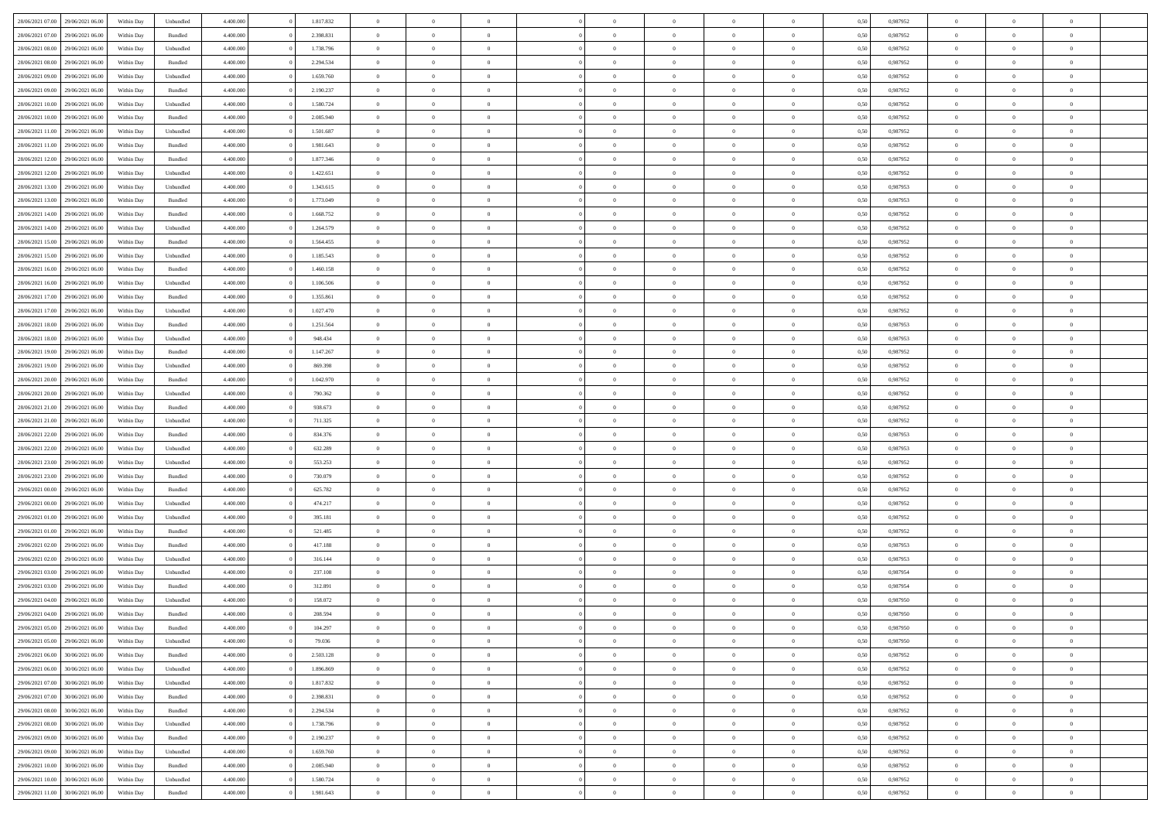| 28/06/2021 07:00 29/06/2021 06:00    | Within Day | Unbundled | 4.400.000 | 1.817.832 | $\overline{0}$ | $\overline{0}$ |                | $\theta$       | $\theta$       | $\overline{0}$ | $\overline{0}$ | 0,50 | 0,987952 | $\theta$       | $\theta$       | $\overline{0}$ |  |
|--------------------------------------|------------|-----------|-----------|-----------|----------------|----------------|----------------|----------------|----------------|----------------|----------------|------|----------|----------------|----------------|----------------|--|
|                                      |            |           |           |           |                |                |                |                |                |                |                |      |          |                |                |                |  |
| 28/06/2021 07:00<br>29/06/2021 06.00 | Within Day | Bundled   | 4.400.00  | 2.398.831 | $\bf{0}$       | $\bf{0}$       | $\bf{0}$       | $\bf{0}$       | $\overline{0}$ | $\overline{0}$ | $\bf{0}$       | 0,50 | 0,987952 | $\,$ 0 $\,$    | $\overline{0}$ | $\overline{0}$ |  |
| 28/06/2021 08:00<br>29/06/2021 06:00 | Within Day | Unbundled | 4,400,000 | 1.738.796 | $\overline{0}$ | $\bf{0}$       | $\overline{0}$ | $\overline{0}$ | $\overline{0}$ | $\overline{0}$ | $\bf{0}$       | 0.50 | 0.987952 | $\bf{0}$       | $\,$ 0 $\,$    | $\bf{0}$       |  |
| 28/06/2021 08:00<br>29/06/2021 06:00 | Within Day | Bundled   | 4.400.000 | 2.294.534 | $\overline{0}$ | $\overline{0}$ | $\overline{0}$ | $\overline{0}$ | $\overline{0}$ | $\overline{0}$ | $\bf{0}$       | 0,50 | 0,987952 | $\,$ 0 $\,$    | $\,$ 0 $\,$    | $\overline{0}$ |  |
|                                      |            |           |           |           |                | $\overline{0}$ |                |                |                |                |                |      |          |                |                | $\overline{0}$ |  |
| 28/06/2021 09:00<br>29/06/2021 06.00 | Within Day | Unbundled | 4.400.000 | 1.659.760 | $\bf{0}$       |                | $\bf{0}$       | $\overline{0}$ | $\bf{0}$       | $\overline{0}$ | $\bf{0}$       | 0,50 | 0,987952 | $\,$ 0 $\,$    | $\bf{0}$       |                |  |
| 28/06/2021 09:00<br>29/06/2021 06:00 | Within Day | Bundled   | 4,400,000 | 2.190.237 | $\overline{0}$ | $\overline{0}$ | $\overline{0}$ | $\bf{0}$       | $\overline{0}$ | $\theta$       | $\bf{0}$       | 0.50 | 0.987952 | $\bf{0}$       | $\theta$       | $\overline{0}$ |  |
| 28/06/2021 10:00<br>29/06/2021 06:00 | Within Day | Unbundled | 4.400.000 | 1.580.724 | $\overline{0}$ | $\bf{0}$       | $\overline{0}$ | $\overline{0}$ | $\overline{0}$ | $\overline{0}$ | $\bf{0}$       | 0,50 | 0,987952 | $\,$ 0 $\,$    | $\bf{0}$       | $\overline{0}$ |  |
| 28/06/2021 10:00<br>29/06/2021 06.00 | Within Day | Bundled   | 4.400.000 | 2.085.940 | $\bf{0}$       | $\bf{0}$       | $\bf{0}$       | $\bf{0}$       | $\overline{0}$ | $\overline{0}$ | $\bf{0}$       | 0,50 | 0,987952 | $\,$ 0 $\,$    | $\bf{0}$       | $\overline{0}$ |  |
| 28/06/2021 11:00<br>29/06/2021 06:00 | Within Day | Unbundled | 4,400,000 | 1.501.687 | $\overline{0}$ | $\bf{0}$       | $\overline{0}$ | $\overline{0}$ | $\bf{0}$       | $\overline{0}$ | $\bf{0}$       | 0.50 | 0.987952 | $\bf{0}$       | $\overline{0}$ | $\bf{0}$       |  |
| 28/06/2021 11:00<br>29/06/2021 06:00 | Within Day | Bundled   | 4.400.000 | 1.981.643 | $\overline{0}$ | $\bf{0}$       | $\overline{0}$ | $\overline{0}$ | $\overline{0}$ | $\overline{0}$ | $\bf{0}$       | 0,50 | 0,987952 | $\,$ 0 $\,$    | $\,$ 0 $\,$    | $\overline{0}$ |  |
|                                      |            |           |           |           |                |                |                |                |                |                |                |      |          |                |                |                |  |
| 28/06/2021 12:00<br>29/06/2021 06.00 | Within Day | Bundled   | 4.400.00  | 1.877.346 | $\bf{0}$       | $\bf{0}$       | $\bf{0}$       | $\bf{0}$       | $\overline{0}$ | $\overline{0}$ | $\bf{0}$       | 0,50 | 0,987952 | $\,$ 0 $\,$    | $\bf{0}$       | $\overline{0}$ |  |
| 28/06/2021 12:00<br>29/06/2021 06:00 | Within Day | Unbundled | 4,400,000 | 1.422.651 | $\overline{0}$ | $\bf{0}$       | $\overline{0}$ | $\overline{0}$ | $\overline{0}$ | $\overline{0}$ | $\bf{0}$       | 0.50 | 0.987952 | $\overline{0}$ | $\,$ 0 $\,$    | $\,$ 0         |  |
| 28/06/2021 13:00<br>29/06/2021 06:00 | Within Day | Unbundled | 4.400.000 | 1.343.615 | $\overline{0}$ | $\overline{0}$ | $\overline{0}$ | $\overline{0}$ | $\theta$       | $\overline{0}$ | $\bf{0}$       | 0,50 | 0,987953 | $\,$ 0 $\,$    | $\,$ 0 $\,$    | $\overline{0}$ |  |
| 28/06/2021 13:00<br>29/06/2021 06.00 | Within Day | Bundled   | 4.400.000 | 1.773.049 | $\bf{0}$       | $\overline{0}$ | $\bf{0}$       | $\bf{0}$       | $\overline{0}$ | $\overline{0}$ | $\bf{0}$       | 0,50 | 0,987953 | $\,$ 0 $\,$    | $\bf{0}$       | $\overline{0}$ |  |
| 28/06/2021 14:00<br>29/06/2021 06:00 | Within Day | Bundled   | 4,400,000 | 1.668.752 | $\overline{0}$ | $\overline{0}$ | $\overline{0}$ | $\bf{0}$       | $\overline{0}$ | $\theta$       | $\bf{0}$       | 0.50 | 0.987952 | $\bf{0}$       | $\theta$       | $\overline{0}$ |  |
| 28/06/2021 14:00<br>29/06/2021 06:00 | Within Day | Unbundled | 4.400.000 | 1.264.579 | $\overline{0}$ | $\bf{0}$       | $\overline{0}$ | $\overline{0}$ | $\overline{0}$ | $\overline{0}$ | $\bf{0}$       | 0,50 | 0,987952 | $\,$ 0 $\,$    | $\theta$       | $\overline{0}$ |  |
|                                      |            |           |           |           |                |                |                |                |                |                |                |      |          |                |                |                |  |
| 28/06/2021 15:00<br>29/06/2021 06.00 | Within Day | Bundled   | 4.400.000 | 1.564.455 | $\bf{0}$       | $\bf{0}$       | $\bf{0}$       | $\bf{0}$       | $\overline{0}$ | $\overline{0}$ | $\bf{0}$       | 0,50 | 0,987952 | $\,$ 0 $\,$    | $\bf{0}$       | $\overline{0}$ |  |
| 28/06/2021 15:00<br>29/06/2021 06:00 | Within Day | Unbundled | 4,400,000 | 1.185.543 | $\overline{0}$ | $\bf{0}$       | $\overline{0}$ | $\overline{0}$ | $\bf{0}$       | $\overline{0}$ | $\bf{0}$       | 0.50 | 0.987952 | $\bf{0}$       | $\overline{0}$ | $\bf{0}$       |  |
| 28/06/2021 16:00<br>29/06/2021 06:00 | Within Day | Bundled   | 4.400.000 | 1.460.158 | $\overline{0}$ | $\bf{0}$       | $\overline{0}$ | $\overline{0}$ | $\overline{0}$ | $\overline{0}$ | $\bf{0}$       | 0,50 | 0,987952 | $\,$ 0 $\,$    | $\,$ 0 $\,$    | $\overline{0}$ |  |
| 28/06/2021 16:00<br>29/06/2021 06.00 | Within Day | Unbundled | 4.400.00  | 1.106.506 | $\bf{0}$       | $\bf{0}$       | $\bf{0}$       | $\bf{0}$       | $\overline{0}$ | $\overline{0}$ | $\bf{0}$       | 0,50 | 0,987952 | $\,$ 0 $\,$    | $\bf{0}$       | $\overline{0}$ |  |
| 28/06/2021 17:00<br>29/06/2021 06:00 | Within Day | Bundled   | 4,400,000 | 1.355.861 | $\overline{0}$ | $\bf{0}$       | $\overline{0}$ | $\overline{0}$ | $\bf{0}$       | $\overline{0}$ | $\bf{0}$       | 0.50 | 0.987952 | $\bf{0}$       | $\overline{0}$ | $\,$ 0         |  |
| 28/06/2021 17:00<br>29/06/2021 06:00 | Within Day | Unbundled | 4.400.000 | 1.027.470 | $\overline{0}$ | $\overline{0}$ | $\overline{0}$ | $\overline{0}$ | $\overline{0}$ | $\overline{0}$ | $\bf{0}$       | 0,50 | 0,987952 | $\,$ 0 $\,$    | $\theta$       | $\overline{0}$ |  |
| 28/06/2021 18:00<br>29/06/2021 06.00 | Within Day | Bundled   | 4.400.000 | 1.251.564 | $\bf{0}$       | $\bf{0}$       | $\bf{0}$       | $\bf{0}$       | $\overline{0}$ | $\overline{0}$ | $\bf{0}$       | 0,50 | 0,987953 | $\,$ 0 $\,$    | $\bf{0}$       | $\overline{0}$ |  |
| 28/06/2021 18:00<br>29/06/2021 06.00 |            | Unbundled | 4,400,000 | 948,434   | $\overline{0}$ | $\overline{0}$ | $\overline{0}$ | $\bf{0}$       | $\overline{0}$ | $\theta$       | $\bf{0}$       | 0.50 | 0.987953 | $\bf{0}$       | $\theta$       | $\overline{0}$ |  |
|                                      | Within Day |           |           |           |                |                |                |                |                |                |                |      |          |                |                |                |  |
| 28/06/2021 19:00<br>29/06/2021 06:00 | Within Day | Bundled   | 4.400.000 | 1.147.267 | $\overline{0}$ | $\bf{0}$       | $\overline{0}$ | $\overline{0}$ | $\overline{0}$ | $\overline{0}$ | $\bf{0}$       | 0,50 | 0,987952 | $\,$ 0 $\,$    | $\theta$       | $\overline{0}$ |  |
| 28/06/2021 19:00<br>29/06/2021 06.00 | Within Day | Unbundled | 4.400.000 | 869.398   | $\bf{0}$       | $\bf{0}$       | $\bf{0}$       | $\overline{0}$ | $\overline{0}$ | $\overline{0}$ | $\bf{0}$       | 0,50 | 0,987952 | $\,$ 0 $\,$    | $\bf{0}$       | $\overline{0}$ |  |
| 28/06/2021 20:00<br>29/06/2021 06:00 | Within Day | Bundled   | 4,400,000 | 1.042.970 | $\overline{0}$ | $\bf{0}$       | $\overline{0}$ | $\overline{0}$ | $\bf{0}$       | $\overline{0}$ | $\bf{0}$       | 0.50 | 0.987952 | $\bf{0}$       | $\overline{0}$ | $\bf{0}$       |  |
| 28/06/2021 20:00<br>29/06/2021 06:00 | Within Day | Unbundled | 4.400.000 | 790.362   | $\overline{0}$ | $\bf{0}$       | $\overline{0}$ | $\overline{0}$ | $\overline{0}$ | $\overline{0}$ | $\bf{0}$       | 0,50 | 0,987952 | $\,$ 0 $\,$    | $\,$ 0 $\,$    | $\overline{0}$ |  |
| 28/06/2021 21:00<br>29/06/2021 06.00 | Within Day | Bundled   | 4.400.00  | 938.673   | $\bf{0}$       | $\bf{0}$       | $\bf{0}$       | $\bf{0}$       | $\overline{0}$ | $\overline{0}$ | $\bf{0}$       | 0,50 | 0,987952 | $\,$ 0 $\,$    | $\bf{0}$       | $\overline{0}$ |  |
| 28/06/2021 21:00<br>29/06/2021 06:00 | Within Day | Unbundled | 4,400,000 | 711.325   | $\overline{0}$ | $\bf{0}$       | $\overline{0}$ | $\overline{0}$ | $\overline{0}$ | $\overline{0}$ | $\bf{0}$       | 0.50 | 0.987952 | $\overline{0}$ | $\,$ 0 $\,$    | $\,$ 0         |  |
| 28/06/2021 22:00<br>29/06/2021 06:00 | Within Day | Bundled   | 4.400.000 | 834.376   | $\overline{0}$ | $\overline{0}$ | $\overline{0}$ | $\overline{0}$ | $\overline{0}$ | $\overline{0}$ | $\bf{0}$       | 0.50 | 0,987953 | $\theta$       | $\theta$       | $\overline{0}$ |  |
|                                      |            |           |           |           |                |                |                |                |                |                |                |      |          |                |                |                |  |
| 28/06/2021 22:00<br>29/06/2021 06.00 | Within Day | Unbundled | 4.400.000 | 632.289   | $\bf{0}$       | $\bf{0}$       | $\bf{0}$       | $\bf{0}$       | $\overline{0}$ | $\overline{0}$ | $\bf{0}$       | 0,50 | 0,987953 | $\,$ 0 $\,$    | $\bf{0}$       | $\overline{0}$ |  |
| 28/06/2021 23:00<br>29/06/2021 06.00 | Within Day | Unbundled | 4,400,000 | 553.253   | $\overline{0}$ | $\bf{0}$       | $\overline{0}$ | $\bf{0}$       | $\overline{0}$ | $\overline{0}$ | $\bf{0}$       | 0.50 | 0.987952 | $\bf{0}$       | $\theta$       | $\overline{0}$ |  |
| 28/06/2021 23:00<br>29/06/2021 06:00 | Within Day | Bundled   | 4.400.000 | 730.079   | $\overline{0}$ | $\overline{0}$ | $\overline{0}$ | $\overline{0}$ | $\overline{0}$ | $\overline{0}$ | $\bf{0}$       | 0.50 | 0,987952 | $\theta$       | $\theta$       | $\overline{0}$ |  |
| 29/06/2021 00:00<br>29/06/2021 06.00 | Within Day | Bundled   | 4.400.000 | 625.782   | $\bf{0}$       | $\bf{0}$       | $\bf{0}$       | $\bf{0}$       | $\overline{0}$ | $\overline{0}$ | $\bf{0}$       | 0,50 | 0,987952 | $\,$ 0 $\,$    | $\bf{0}$       | $\overline{0}$ |  |
| 29/06/2021 00:00<br>29/06/2021 06:00 | Within Day | Unbundled | 4,400,000 | 474.217   | $\overline{0}$ | $\bf{0}$       | $\overline{0}$ | $\bf{0}$       | $\bf{0}$       | $\overline{0}$ | $\bf{0}$       | 0.50 | 0.987952 | $\bf{0}$       | $\overline{0}$ | $\bf{0}$       |  |
| 29/06/2021 01:00<br>29/06/2021 06:00 | Within Day | Unbundled | 4.400.000 | 395.181   | $\overline{0}$ | $\overline{0}$ | $\overline{0}$ | $\overline{0}$ | $\overline{0}$ | $\overline{0}$ | $\bf{0}$       | 0.50 | 0,987952 | $\theta$       | $\theta$       | $\overline{0}$ |  |
| 29/06/2021 01:00<br>29/06/2021 06.00 | Within Day | Bundled   | 4.400.000 | 521.485   | $\bf{0}$       | $\bf{0}$       | $\bf{0}$       | $\bf{0}$       | $\overline{0}$ | $\overline{0}$ | $\bf{0}$       | 0,50 | 0,987952 | $\,$ 0 $\,$    | $\bf{0}$       | $\overline{0}$ |  |
|                                      |            |           |           |           |                |                |                |                |                |                |                |      |          |                |                |                |  |
| 29/06/2021 02:00<br>29/06/2021 06.00 | Within Day | Bundled   | 4,400,000 | 417.188   | $\overline{0}$ | $\bf{0}$       | $\overline{0}$ | $\overline{0}$ | $\bf{0}$       | $\overline{0}$ | $\bf{0}$       | 0.50 | 0.987953 | $\,$ 0 $\,$    | $\overline{0}$ | $\bf{0}$       |  |
| 29/06/2021 02:00<br>29/06/2021 06:00 | Within Day | Unbundled | 4.400.000 | 316.144   | $\overline{0}$ | $\overline{0}$ | $\overline{0}$ | $\overline{0}$ | $\overline{0}$ | $\overline{0}$ | $\bf{0}$       | 0.50 | 0,987953 | $\theta$       | $\theta$       | $\overline{0}$ |  |
| 29/06/2021 03:00<br>29/06/2021 06.00 | Within Day | Unbundled | 4.400.000 | 237.108   | $\bf{0}$       | $\bf{0}$       | $\bf{0}$       | $\bf{0}$       | $\overline{0}$ | $\overline{0}$ | $\bf{0}$       | 0,50 | 0,987954 | $\,$ 0 $\,$    | $\bf{0}$       | $\overline{0}$ |  |
| 29/06/2021 03:00<br>29/06/2021 06.00 | Within Day | Bundled   | 4,400,000 | 312.891   | $\overline{0}$ | $\overline{0}$ | $\overline{0}$ | $\bf{0}$       | $\overline{0}$ | $\Omega$       | $\bf{0}$       | 0.50 | 0.987954 | $\bf{0}$       | $\theta$       | $\overline{0}$ |  |
| 29/06/2021 04:00<br>29/06/2021 06:00 | Within Dav | Unbundled | 4.400.000 | 158.072   | $\overline{0}$ | $\overline{0}$ | $\overline{0}$ | $\overline{0}$ | $\theta$       | $\overline{0}$ | $\overline{0}$ | 0.50 | 0,987950 | $\theta$       | $\theta$       | $\overline{0}$ |  |
| 29/06/2021 04:00<br>29/06/2021 06.00 | Within Day | Bundled   | 4.400.000 | 208.594   | $\bf{0}$       | $\bf{0}$       | $\bf{0}$       | $\bf{0}$       | $\overline{0}$ | $\overline{0}$ | $\bf{0}$       | 0,50 | 0,987950 | $\,$ 0 $\,$    | $\bf{0}$       | $\overline{0}$ |  |
| 29/06/2021 05:00 29/06/2021 06:00    | Within Day | Bundled   | 4.400,000 | 104.297   | $\overline{0}$ | $\Omega$       |                | $\overline{0}$ | $\theta$       |                |                | 0,50 | 0,987950 | $\theta$       | $\bf{0}$       |                |  |
| 29/06/2021 05:00 29/06/2021 06:00    |            |           |           |           |                |                |                |                |                |                |                |      |          |                |                |                |  |
|                                      | Within Day | Unbundled | 4.400.000 | 79.036    | $\overline{0}$ | $\overline{0}$ | $\overline{0}$ | $\overline{0}$ | $\overline{0}$ | $\overline{0}$ | $\bf{0}$       | 0,50 | 0,987950 | $\theta$       | $\overline{0}$ | $\overline{0}$ |  |
| 29/06/2021 06:00<br>30/06/2021 06:00 | Within Day | Bundled   | 4.400.000 | 2.503.128 | $\overline{0}$ | $\bf{0}$       | $\overline{0}$ | $\overline{0}$ | $\bf{0}$       | $\overline{0}$ | $\bf{0}$       | 0,50 | 0,987952 | $\bf{0}$       | $\overline{0}$ | $\bf{0}$       |  |
| 29/06/2021 06:00<br>30/06/2021 06:00 | Within Day | Unbundled | 4.400.000 | 1.896.869 | $\overline{0}$ | $\overline{0}$ | $\overline{0}$ | $\overline{0}$ | $\mathbf{0}$   | $\overline{0}$ | $\,$ 0 $\,$    | 0.50 | 0.987952 | $\overline{0}$ | $\bf{0}$       | $\,$ 0 $\,$    |  |
| 29/06/2021 07:00 30/06/2021 06:00    | Within Day | Unbundled | 4.400.000 | 1.817.832 | $\overline{0}$ | $\overline{0}$ | $\overline{0}$ | $\overline{0}$ | $\overline{0}$ | $\overline{0}$ | $\bf{0}$       | 0,50 | 0,987952 | $\overline{0}$ | $\theta$       | $\overline{0}$ |  |
| 29/06/2021 07:00<br>30/06/2021 06:00 | Within Day | Bundled   | 4.400.000 | 2.398.831 | $\overline{0}$ | $\bf{0}$       | $\overline{0}$ | $\overline{0}$ | $\bf{0}$       | $\overline{0}$ | $\bf{0}$       | 0,50 | 0,987952 | $\bf{0}$       | $\overline{0}$ | $\overline{0}$ |  |
| 30/06/2021 06:00<br>29/06/2021 08:00 | Within Day | Bundled   | 4.400.000 | 2.294.534 | $\overline{0}$ | $\bf{0}$       | $\overline{0}$ | $\overline{0}$ | $\bf{0}$       | $\overline{0}$ | $\bf{0}$       | 0.50 | 0.987952 | $\,$ 0 $\,$    | $\theta$       | $\,$ 0         |  |
| 29/06/2021 08:00<br>30/06/2021 06:00 | Within Day | Unbundled | 4.400.000 | 1.738.796 | $\overline{0}$ | $\overline{0}$ | $\overline{0}$ | $\overline{0}$ | $\overline{0}$ | $\overline{0}$ | $\bf{0}$       | 0,50 | 0,987952 | $\overline{0}$ | $\theta$       | $\overline{0}$ |  |
|                                      |            |           | 4.400.000 |           |                | $\overline{0}$ |                |                | $\overline{0}$ |                |                |      |          | $\bf{0}$       | $\overline{0}$ | $\,$ 0         |  |
| 29/06/2021 09:00<br>30/06/2021 06:00 | Within Day | Bundled   |           | 2.190.237 | $\overline{0}$ |                | $\overline{0}$ | $\overline{0}$ |                | $\overline{0}$ | $\bf{0}$       | 0,50 | 0,987952 |                |                |                |  |
| 29/06/2021 09:00<br>30/06/2021 06:00 | Within Day | Unbundled | 4.400.000 | 1.659.760 | $\overline{0}$ | $\overline{0}$ | $\overline{0}$ | $\overline{0}$ | $\overline{0}$ | $\overline{0}$ | $\bf{0}$       | 0.50 | 0.987952 | $\mathbf{0}$   | $\bf{0}$       | $\,$ 0         |  |
| 29/06/2021 10:00<br>30/06/2021 06:00 | Within Day | Bundled   | 4.400.000 | 2.085.940 | $\overline{0}$ | $\overline{0}$ | $\overline{0}$ | $\overline{0}$ | $\overline{0}$ | $\overline{0}$ | $\bf{0}$       | 0,50 | 0,987952 | $\overline{0}$ | $\theta$       | $\overline{0}$ |  |
| 29/06/2021 10:00<br>30/06/2021 06:00 | Within Day | Unbundled | 4.400.000 | 1.580.724 | $\overline{0}$ | $\bf{0}$       | $\overline{0}$ | $\overline{0}$ | $\overline{0}$ | $\overline{0}$ | $\bf{0}$       | 0,50 | 0,987952 | $\bf{0}$       | $\overline{0}$ | $\bf{0}$       |  |
| 29/06/2021 11:00 30/06/2021 06:00    | Within Day | Bundled   | 4.400.000 | 1.981.643 | $\,$ 0 $\,$    | $\bf{0}$       | $\overline{0}$ | $\overline{0}$ | $\,$ 0 $\,$    | $\overline{0}$ | $\,$ 0 $\,$    | 0,50 | 0,987952 | $\,$ 0 $\,$    | $\,$ 0 $\,$    | $\,$ 0 $\,$    |  |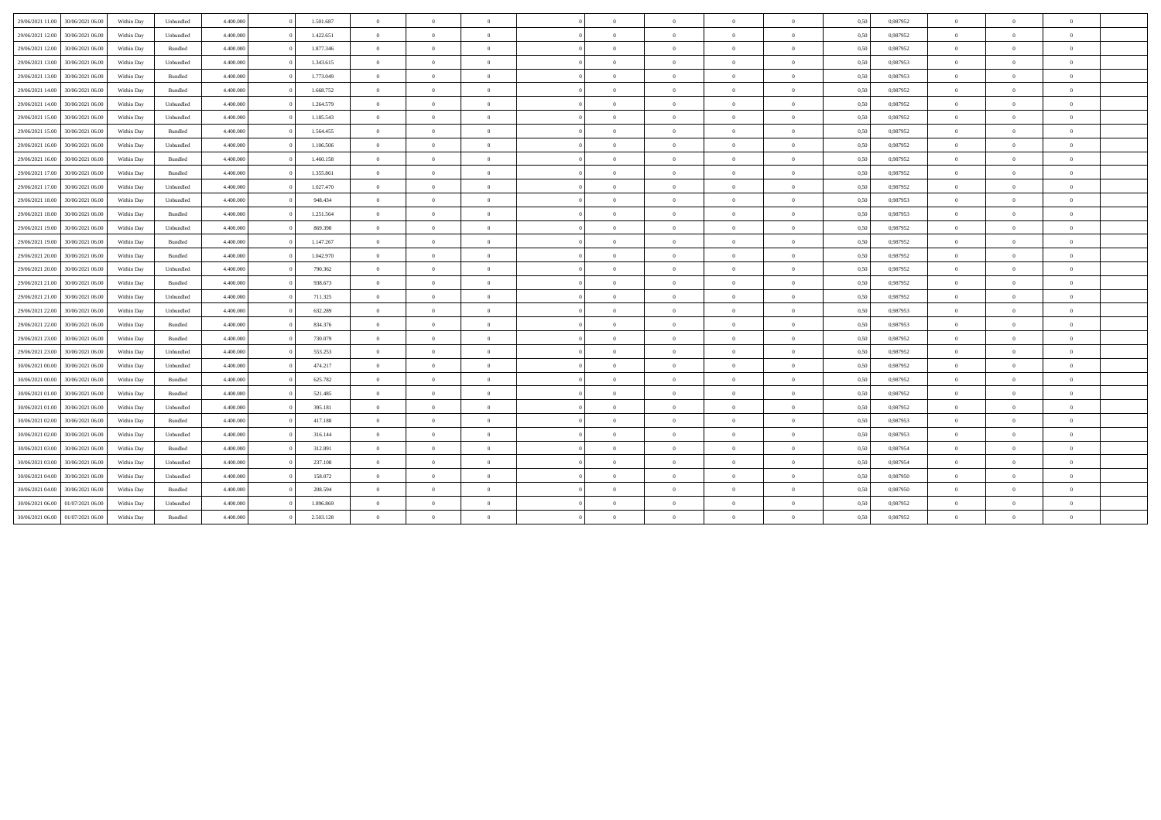| 29/06/2021 11:00 | 30/06/2021 06:00 | Within Day | Unbundled | 4,400,000 | 1.501.687 | $\overline{0}$ | $\Omega$       | $\overline{0}$ | $\Omega$   | $\bf{0}$       | $\overline{0}$ | $\overline{0}$ | 0,50 | 0,987952 | $\Omega$       | $\Omega$       | $\overline{0}$ |  |
|------------------|------------------|------------|-----------|-----------|-----------|----------------|----------------|----------------|------------|----------------|----------------|----------------|------|----------|----------------|----------------|----------------|--|
| 29/06/2021 12:00 | 30/06/2021 06:00 | Within Day | Unbundled | 4.400,000 | 1.422.651 | $\overline{0}$ | $\Omega$       | $\overline{0}$ | $\Omega$   | $\overline{0}$ | $\overline{0}$ | $\overline{0}$ | 0,50 | 0,987952 | $\theta$       | $\theta$       | $\overline{0}$ |  |
| 29/06/2021 12:00 | 30/06/2021 06:00 | Within Day | Bundled   | 4.400.000 | 1.877.346 | $\overline{0}$ | $\Omega$       | $\overline{0}$ | $^{\circ}$ | $\overline{0}$ | $\overline{0}$ | $\overline{0}$ | 0,50 | 0,987952 | $\overline{0}$ | $\Omega$       | $\theta$       |  |
| 29/06/2021 13:00 | 30/06/2021 06:00 | Within Day | Unbundled | 4.400.000 | 1.343.615 | $\overline{0}$ | $\Omega$       | $\overline{0}$ | $\Omega$   | $\overline{0}$ | $\overline{0}$ | $\overline{0}$ | 0,50 | 0,987953 | $\overline{0}$ | $\Omega$       | $\overline{0}$ |  |
| 29/06/2021 13:00 | 30/06/2021 06:00 | Within Day | Bundled   | 4.400,000 | 1.773.049 | $\overline{0}$ | $\Omega$       | $\Omega$       | $\Omega$   | $\theta$       | $\overline{0}$ | $\overline{0}$ | 0,50 | 0,987953 | $\theta$       | $\theta$       | $\theta$       |  |
| 29/06/2021 14:00 | 30/06/2021 06:00 | Within Day | Bundled   | 4.400.000 | 1.668.752 | $\overline{0}$ | $\Omega$       | $\overline{0}$ | $^{\circ}$ | $\overline{0}$ | $\overline{0}$ | $\overline{0}$ | 0,50 | 0,987952 | $\theta$       | $\theta$       | $\overline{0}$ |  |
| 29/06/2021 14:00 | 30/06/2021 06:00 | Within Day | Unbundled | 4.400.000 | 1.264.579 | $\overline{0}$ | $\Omega$       | $\Omega$       | $\Omega$   | $\theta$       | $\overline{0}$ | $\overline{0}$ | 0,50 | 0.987952 | $\theta$       | $\Omega$       | $\theta$       |  |
| 29/06/2021 15:00 | 30/06/2021 06:00 | Within Day | Unbundled | 4.400,000 | 1.185.543 | $\overline{0}$ | $\overline{0}$ | $\overline{0}$ | $\Omega$   | $\overline{0}$ | $\overline{0}$ | $\overline{0}$ | 0,50 | 0,987952 | $\overline{0}$ | $\theta$       | $\overline{0}$ |  |
| 29/06/2021 15:00 | 30/06/2021 06:00 | Within Day | Bundled   | 4.400.000 | 1.564.455 | $\overline{0}$ | $\Omega$       | $\overline{0}$ | $^{\circ}$ | $\overline{0}$ | $\overline{0}$ | $\overline{0}$ | 0,50 | 0,987952 | $\theta$       | $\theta$       | $\overline{0}$ |  |
| 29/06/2021 16:00 | 30/06/2021 06:00 | Within Day | Unbundled | 4.400.000 | 1.106.506 | $\overline{0}$ | $\Omega$       | $\overline{0}$ | $\Omega$   | $\theta$       | $\overline{0}$ | $\overline{0}$ | 0,50 | 0,987952 | $\theta$       | $\theta$       | $\theta$       |  |
| 29/06/2021 16:00 | 30/06/2021 06:00 | Within Day | Bundled   | 4.400,000 | 1.460.158 | $\overline{0}$ | $\Omega$       | $\Omega$       | $\Omega$   | $\overline{0}$ | $\overline{0}$ | $\overline{0}$ | 0,50 | 0,987952 | $\theta$       | $\theta$       | $\overline{0}$ |  |
| 29/06/2021 17:00 | 30/06/2021 06:00 | Within Day | Bundled   | 4.400.000 | 1.355.861 | $\overline{0}$ | $\Omega$       | $\overline{0}$ | $^{\circ}$ | $\overline{0}$ | $\overline{0}$ | $\overline{0}$ | 0,50 | 0,987952 | $\theta$       | $\theta$       | $\overline{0}$ |  |
| 29/06/2021 17:00 | 30/06/2021 06:00 | Within Day | Unbundled | 4.400.000 | 1.027.470 | $\overline{0}$ | $\Omega$       | $\Omega$       | $\Omega$   | $\overline{0}$ | $\overline{0}$ | $\overline{0}$ | 0,50 | 0,987952 | $\overline{0}$ | $\theta$       | $\overline{0}$ |  |
| 29/06/2021 18:00 | 30/06/2021 06:00 | Within Day | Unbundled | 4.400,000 | 948.434   | $\overline{0}$ | $\Omega$       | $\theta$       | $\Omega$   | $\theta$       | $\overline{0}$ | $\overline{0}$ | 0,50 | 0,987953 | $\theta$       | $\theta$       | $\theta$       |  |
| 29/06/2021 18:00 | 30/06/2021 06:00 | Within Day | Bundled   | 4.400.000 | 1.251.564 | $\overline{0}$ | $\Omega$       | $\overline{0}$ | $^{\circ}$ | $\overline{0}$ | $\overline{0}$ | $\overline{0}$ | 0,50 | 0,987953 | $\theta$       | $\theta$       | $\overline{0}$ |  |
| 29/06/2021 19:00 | 30/06/2021 06:00 | Within Day | Unbundled | 4.400.000 | 869.398   | $\overline{0}$ | $\Omega$       | $\overline{0}$ | $\Omega$   | $\theta$       | $\overline{0}$ | $\overline{0}$ | 0,50 | 0.987952 | $\theta$       | $\theta$       | $\theta$       |  |
| 29/06/2021 19:00 | 30/06/2021 06:00 | Within Day | Bundled   | 4.400,000 | 1.147.267 | $\overline{0}$ | $\overline{0}$ | $\overline{0}$ | $\Omega$   | $\overline{0}$ | $\overline{0}$ | $\overline{0}$ | 0,50 | 0,987952 | $\overline{0}$ | $\theta$       | $\overline{0}$ |  |
| 29/06/2021 20:00 | 30/06/2021 06:00 | Within Day | Bundled   | 4.400.000 | 1.042.970 | $\overline{0}$ | $\Omega$       | $\overline{0}$ | $\Omega$   | $\overline{0}$ | $\overline{0}$ | $\overline{0}$ | 0,50 | 0,987952 | $\theta$       | $\theta$       | $\overline{0}$ |  |
| 29/06/2021 20:00 | 30/06/2021 06:00 | Within Day | Unbundled | 4.400.000 | 790.362   | $\overline{0}$ | $\Omega$       | $\overline{0}$ | $\Omega$   | $\overline{0}$ | $\overline{0}$ | $\overline{0}$ | 0,50 | 0,987952 | $\overline{0}$ | $\theta$       | $\overline{0}$ |  |
| 29/06/2021 21:00 | 30/06/2021 06:00 | Within Day | Bundled   | 4.400,000 | 938.673   | $\overline{0}$ | $\Omega$       | $\Omega$       | $\Omega$   | $\theta$       | $\overline{0}$ | $\overline{0}$ | 0,50 | 0,987952 | $\theta$       | $\theta$       | $\overline{0}$ |  |
| 29/06/2021 21:00 | 30/06/2021 06:00 | Within Day | Unbundled | 4.400.000 | 711.325   | $\overline{0}$ | $\Omega$       | $\overline{0}$ | $\Omega$   | $\overline{0}$ | $\overline{0}$ | $\overline{0}$ | 0,50 | 0,987952 | $\theta$       | $\theta$       | $\overline{0}$ |  |
| 29/06/2021 22:00 | 30/06/2021 06:00 | Within Day | Unbundled | 4.400.000 | 632.289   | $\overline{0}$ | $\Omega$       | $\Omega$       | $\Omega$   | $\theta$       | $\overline{0}$ | $\overline{0}$ | 0,50 | 0.987953 | $\Omega$       | $\theta$       | $\theta$       |  |
| 29/06/2021 22:00 | 30/06/2021 06:00 | Within Day | Bundled   | 4.400,000 | 834,376   | $\overline{0}$ | $\Omega$       | $\theta$       | $\Omega$   | $\theta$       | $\overline{0}$ | $\overline{0}$ | 0,50 | 0,987953 | $\theta$       | $\theta$       | $\overline{0}$ |  |
| 29/06/2021 23:00 | 30/06/2021 06:00 | Within Day | Bundled   | 4.400.000 | 730.079   | $\overline{0}$ | $\Omega$       | $\Omega$       | $\Omega$   | $\overline{0}$ | $\overline{0}$ | $\overline{0}$ | 0,50 | 0,987952 | $\theta$       | $\theta$       | $\overline{0}$ |  |
| 29/06/2021 23:00 | 30/06/2021 06:00 | Within Day | Unbundled | 4.400.000 | 553.253   | $\overline{0}$ | $\Omega$       | $\overline{0}$ | $\Omega$   | $\theta$       | $\overline{0}$ | $\overline{0}$ | 0,50 | 0.987952 | $\theta$       | $\theta$       | $\theta$       |  |
| 30/06/2021 00:00 | 30/06/2021 06:00 | Within Day | Unbundled | 4.400,000 | 474.217   | $\overline{0}$ | $\overline{0}$ | $\overline{0}$ | $\Omega$   | $\overline{0}$ | $\overline{0}$ | $\overline{0}$ | 0,50 | 0,987952 | $\overline{0}$ | $\overline{0}$ | $\overline{0}$ |  |
| 30/06/2021 00:00 | 30/06/2021 06:00 | Within Day | Bundled   | 4.400.000 | 625.782   | $\overline{0}$ | $\Omega$       | $\overline{0}$ | $\Omega$   | $\overline{0}$ | $\overline{0}$ | $\overline{0}$ | 0,50 | 0,987952 | $\theta$       | $\theta$       | $\overline{0}$ |  |
| 30/06/2021 01:00 | 30/06/2021 06:00 | Within Day | Bundled   | 4.400.000 | 521.485   | $\overline{0}$ | $\Omega$       | $\overline{0}$ | $\Omega$   | $\overline{0}$ | $\overline{0}$ | $\overline{0}$ | 0,50 | 0,987952 | $\overline{0}$ | $\theta$       | $\overline{0}$ |  |
| 30/06/2021 01:00 | 30/06/2021 06:00 | Within Day | Unbundled | 4.400,000 | 395.181   | $\overline{0}$ | $\Omega$       | $\Omega$       | $\Omega$   | $\overline{0}$ | $\overline{0}$ | $\overline{0}$ | 0,50 | 0,987952 | $\overline{0}$ | $\theta$       | $\theta$       |  |
| 30/06/2021 02:00 | 30/06/2021 06:00 | Within Day | Bundled   | 4.400.000 | 417.188   | $\overline{0}$ | $\Omega$       | $\overline{0}$ | $^{\circ}$ | $\overline{0}$ | $\overline{0}$ | $\overline{0}$ | 0,50 | 0,987953 | $\overline{0}$ | $\theta$       | $\overline{0}$ |  |
| 30/06/2021 02:00 | 30/06/2021 06:00 | Within Day | Unbundled | 4.400.000 | 316.144   | $\Omega$       | $\Omega$       | $\Omega$       | $\Omega$   | $\overline{0}$ | $\overline{0}$ | $\overline{0}$ | 0,50 | 0.987953 | $\theta$       | $\theta$       | $\overline{0}$ |  |
| 30/06/2021 03:00 | 30/06/2021 06:00 | Within Day | Bundled   | 4.400,000 | 312.891   | $\overline{0}$ | $\Omega$       | $\theta$       | $\Omega$   | $\overline{0}$ | $\overline{0}$ | $\overline{0}$ | 0,50 | 0,987954 | $\overline{0}$ | $\overline{0}$ | $\overline{0}$ |  |
| 30/06/2021 03:00 | 30/06/2021 06:00 | Within Day | Unbundled | 4.400.000 | 237.108   | $\overline{0}$ | $\Omega$       | $\Omega$       | $\Omega$   | $\overline{0}$ | $\overline{0}$ | $\overline{0}$ | 0,50 | 0,987954 | $\theta$       | $\theta$       | $\theta$       |  |
| 30/06/2021 04:00 | 30/06/2021 06:00 | Within Day | Unbundled | 4.400.000 | 158.072   | $\overline{0}$ | $\overline{0}$ | $\theta$       | $\Omega$   | $\overline{0}$ | $\overline{0}$ | $\overline{0}$ | 0,50 | 0,987950 | $\theta$       | $\theta$       | $\overline{0}$ |  |
| 30/06/2021 04:00 | 30/06/2021 06:00 | Within Day | Bundled   | 4.400,000 | 208.594   | $\overline{0}$ | $\Omega$       | $\overline{0}$ | $\Omega$   | $\overline{0}$ | $\overline{0}$ | $\overline{0}$ | 0,50 | 0,987950 | $\overline{0}$ | $\overline{0}$ | $\overline{0}$ |  |
| 30/06/2021 06:00 | 01/07/2021 06:00 | Within Day | Unbundled | 4.400.000 | 1.896.869 | $\Omega$       | $\Omega$       | $\Omega$       | $\Omega$   | $\Omega$       | $\overline{0}$ | $\Omega$       | 0,50 | 0,987952 | $\theta$       | $\theta$       | $\overline{0}$ |  |
| 30/06/2021 06:00 | 01/07/2021 06:00 | Within Day | Bundled   | 4.400.000 | 2.503.128 | $\overline{0}$ | $\Omega$       | $\Omega$       | $\Omega$   | $\bf{0}$       | $\theta$       | $\overline{0}$ | 0,50 | 0.987952 | $\theta$       | $\theta$       | $\theta$       |  |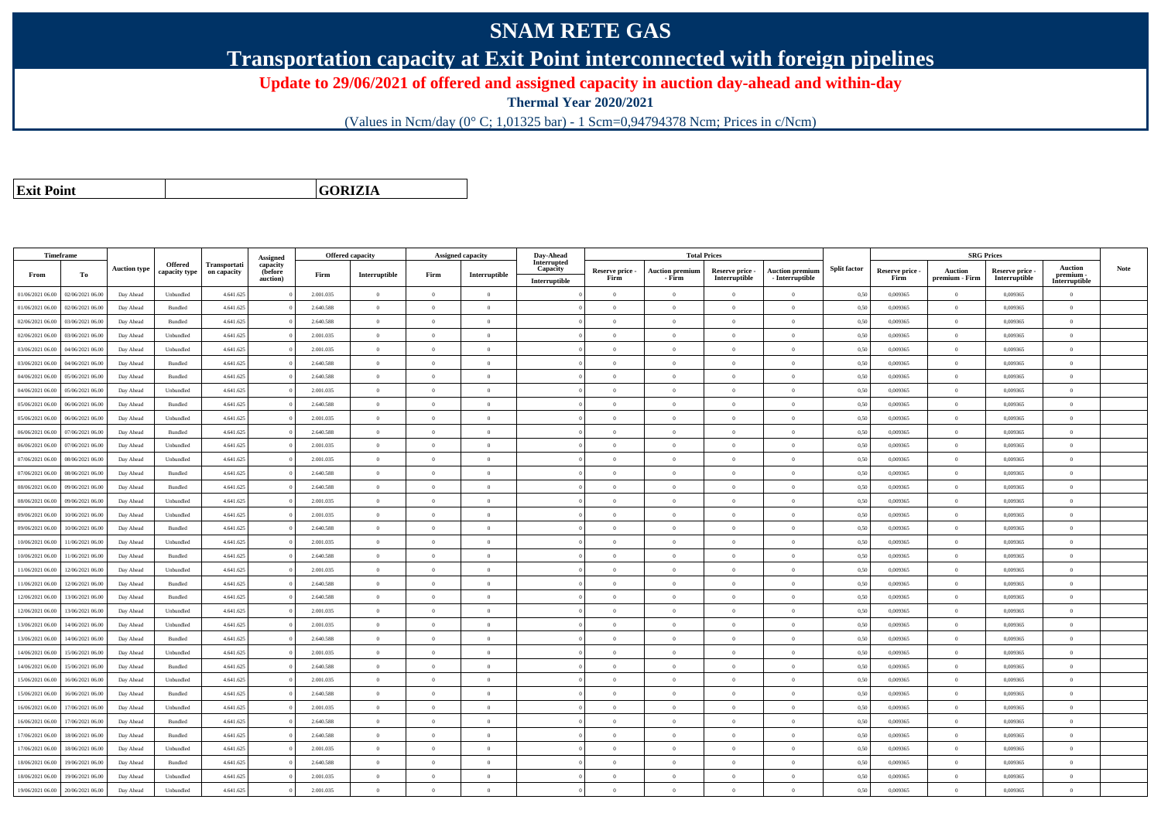## **SNAM RETE GAS**

**Transportation capacity at Exit Point interconnected with foreign pipelines**

**Update to 29/06/2021 of offered and assigned capacity in auction day-ahead and within-day**

**Thermal Year 2020/2021**

(Values in Ncm/day (0° C; 1,01325 bar) - 1 Scm=0,94794378 Ncm; Prices in c/Ncm)

**Exit Point**

**GORIZIA**

|                  | Timeframe        |                     |                |              |                      |           | <b>Offered capacity</b> |                | Assigned capacity | Day-Ahead               |                         |                                  | <b>Total Prices</b>              |                                           |                     |                         | <b>SRG Prices</b>                |                                  |                            |      |
|------------------|------------------|---------------------|----------------|--------------|----------------------|-----------|-------------------------|----------------|-------------------|-------------------------|-------------------------|----------------------------------|----------------------------------|-------------------------------------------|---------------------|-------------------------|----------------------------------|----------------------------------|----------------------------|------|
|                  |                  | <b>Auction type</b> | Offered        | Transportati | Assigned<br>capacity |           |                         |                |                   | Interrupted<br>Capacity |                         |                                  |                                  |                                           | <b>Split factor</b> |                         |                                  |                                  | <b>Auction</b>             | Note |
| From             | To               |                     | capacity type  | on capacity  | (before<br>auction)  | Firm      | Interruptible           | Firm           | Interruptible     | Interruptible           | Reserve price -<br>Firm | <b>Auction premium</b><br>- Firm | Reserve price -<br>Interruptible | <b>Auction premium</b><br>- Interruptible |                     | Reserve price -<br>Firm | <b>Auction</b><br>premium - Firm | Reserve price -<br>Interruptible | premium -<br>Interruptible |      |
| 01/06/2021 06:00 | 02/06/2021 06:00 | Day Ahead           | Unbundled      | 4.641.625    |                      | 2.001.035 | $\overline{0}$          | $\theta$       | $\Omega$          |                         | $\Omega$                | $\mathbf{0}$                     | $\Omega$                         | $\theta$                                  | 0,50                | 0.009365                | $\Omega$                         | 0.009365                         | $\theta$                   |      |
| 01/06/2021 06:00 | 02/06/2021 06.0  | Day Ahead           | Bundled        | 4.641.625    |                      | 2.640.588 | $\overline{0}$          | $\Omega$       | $\theta$          |                         | $\theta$                | $\Omega$                         | $\overline{0}$                   | $\bf{0}$                                  | 0,50                | 0,009365                | $\theta$                         | 0,009365                         | $\overline{0}$             |      |
| 02/06/2021 06:00 | 03/06/2021 06:00 | Day Ahead           | Bundled        | 4.641.625    |                      | 2.640.588 | $\overline{0}$          | $\Omega$       | $\Omega$          |                         | $\theta$                | $\theta$                         | $\Omega$                         | $\theta$                                  | 0,50                | 0.009365                | $\theta$                         | 0.009365                         | $\theta$                   |      |
| 02/06/2021 06:00 | 03/06/2021 06:00 | Day Ahead           | Unbundled      | 4.641.625    |                      | 2.001.035 | $\overline{0}$          | $\overline{0}$ | $\theta$          |                         | $\theta$                | $\sqrt{2}$                       | $\Omega$                         | $\theta$                                  | 0,50                | 0,009365                | $\theta$                         | 0.009365                         | $\theta$                   |      |
| 03/06/2021 06:00 | 04/06/2021 06.00 | Day Ahead           | Unbundled      | 4.641.625    |                      | 2.001.035 | $\overline{0}$          | $\theta$       | $\theta$          |                         | $\theta$                | $\overline{0}$                   | $\theta$                         | $\bf{0}$                                  | 0,50                | 0,009365                | $\theta$                         | 0.009365                         | $\overline{0}$             |      |
| 03/06/2021 06:00 | 04/06/2021 06.00 | Day Ahead           | Bundled        | 4.641.625    |                      | 2.640.588 | $\overline{0}$          | $\theta$       | $\theta$          |                         | $\theta$                | $\theta$                         | $\overline{0}$                   | $\overline{0}$                            | 0,50                | 0.009365                | $\,$ 0                           | 0.009365                         | $\theta$                   |      |
| 04/06/2021 06.00 | 05/06/2021 06.00 | Day Ahead           | Bundled        | 4.641.625    |                      | 2.640.588 | $\,0\,$                 | $\Omega$       | $\theta$          |                         | $\theta$                | $\mathbf{a}$                     | $\Omega$                         | $\bf{0}$                                  | 0,50                | 0,009365                | $\theta$                         | 0,009365                         | $\theta$                   |      |
| 04/06/2021 06:00 | 05/06/2021 06.00 | Day Ahead           | Unbundled      | 4.641.625    |                      | 2.001.035 | $\overline{0}$          | $\Omega$       | $\Omega$          |                         | $\Omega$                | $\theta$                         | $\Omega$                         | $\bf{0}$                                  | 0,50                | 0,009365                | $\theta$                         | 0,009365                         | $\overline{0}$             |      |
| 05/06/2021 06:00 | 06/06/2021 06:00 | Day Ahead           | Bundled        | 4.641.625    |                      | 2.640.588 | $\overline{0}$          | $\Omega$       | $\Omega$          |                         | $\theta$                | $\sqrt{2}$                       | $\Omega$                         | $\theta$                                  | 0,50                | 0.009365                | $\theta$                         | 0.009365                         | $\Omega$                   |      |
| 05/06/2021 06:00 | 06/06/2021 06:00 | Day Ahead           | Unbundled      | 4.641.625    |                      | 2.001.035 | $\mathbf{0}$            | $\theta$       | $\Omega$          |                         | $\theta$                | $\theta$                         | $\Omega$                         | $\theta$                                  | 0,50                | 0,009365                | $\theta$                         | 0,009365                         | $\theta$                   |      |
| 06/06/2021 06:00 | 07/06/2021 06:00 | Day Ahead           | Bundled        | 4.641.625    |                      | 2.640.588 | $\overline{0}$          | $\overline{0}$ | $\theta$          |                         | $\theta$                | $\overline{0}$                   | $\overline{0}$                   | $\overline{0}$                            | 0,50                | 0.009365                | $\theta$                         | 0.009365                         | $\overline{0}$             |      |
| 06/06/2021 06:00 | 07/06/2021 06.0  | Day Ahead           | Unbundled      | 4.641.625    |                      | 2.001.035 | $\overline{0}$          | $\Omega$       | $\theta$          |                         | $\bf{0}$                | $\theta$                         | $\overline{0}$                   | $\bf{0}$                                  | 0,50                | 0,009365                | $\,$ 0                           | 0,009365                         | $\overline{0}$             |      |
| 07/06/2021 06:00 | 08/06/2021 06.00 | Day Ahead           | Unbundled      | 4.641.625    |                      | 2.001.035 | $\mathbf{0}$            | $\Omega$       | $\Omega$          |                         | $\theta$                |                                  | $\Omega$                         | $\bf{0}$                                  | 0,50                | 0,009365                | $\theta$                         | 0,009365                         | $\overline{0}$             |      |
| 07/06/2021 06:00 | 08/06/2021 06:00 | Day Ahead           | Bundled        | 4.641.625    |                      | 2.640.588 | $\overline{0}$          | $\overline{0}$ | $\theta$          |                         | $\theta$                | $\theta$                         | $\theta$                         | $\bf{0}$                                  | 0,50                | 0,009365                | $\theta$                         | 0.009365                         | $\overline{0}$             |      |
| 08/06/2021 06:00 | 09/06/2021 06.00 | Day Ahead           | Bundled        | 4.641.625    |                      | 2.640.588 | $\overline{0}$          | $\theta$       | $\theta$          |                         | $\theta$                | $\theta$                         | $\Omega$                         | $\bf{0}$                                  | 0,50                | 0,009365                | $\theta$                         | 0,009365                         | $\overline{0}$             |      |
| 08/06/2021 06:00 | 09/06/2021 06:00 | Day Ahead           | Unbundled      | 4.641.625    |                      | 2.001.035 | $\Omega$                | $\Omega$       | $\Omega$          |                         | $\theta$                |                                  | $\Omega$                         | $\theta$                                  | 0.50                | 0.009365                | $\theta$                         | 0.009365                         | $\theta$                   |      |
| 09/06/2021 06:00 | 10/06/2021 06:00 | Day Ahead           | Unbundled      | 4.641.625    |                      | 2.001.035 | $\overline{0}$          | $\theta$       | $\Omega$          |                         | $\theta$                | $\theta$                         | $\theta$                         | $\overline{0}$                            | 0,50                | 0.009365                | $\overline{0}$                   | 0.009365                         | $\theta$                   |      |
| 09/06/2021 06:00 | 10/06/2021 06:00 | Day Ahead           | Bundled        | 4.641.625    |                      | 2.640.588 | $\overline{0}$          | $\theta$       | $\theta$          |                         | $\theta$                | $\Omega$                         | $\theta$                         | $\bf{0}$                                  | 0,50                | 0,009365                | $\theta$                         | 0,009365                         | $\overline{0}$             |      |
| 10/06/2021 06:00 | 1/06/2021 06.00  | Day Ahead           | Unbundled      | 4.641.625    |                      | 2.001.035 | $\overline{0}$          | $\Omega$       | $\Omega$          |                         | $\theta$                | $\theta$                         | $\theta$                         | $\bf{0}$                                  | 0,50                | 0.009365                | $\theta$                         | 0.009365                         | $\theta$                   |      |
| 10/06/2021 06:00 | 1/06/2021 06.00  | Day Ahead           | Bundled        | 4.641.625    |                      | 2.640.588 | $\overline{0}$          | $\theta$       | $\theta$          |                         | $\theta$                | $\sqrt{2}$                       | $\Omega$                         | $\bf{0}$                                  | 0,50                | 0,009365                | $\theta$                         | 0,009365                         | $\theta$                   |      |
| 11/06/2021 06:00 | 12/06/2021 06:00 | Day Ahead           | Unbundled      | 4.641.625    |                      | 2.001.035 | $\overline{0}$          | $\Omega$       | $\theta$          |                         | $\theta$                | $\theta$                         | $\Omega$                         | $\theta$                                  | 0,50                | 0,009365                | $\theta$                         | 0,009365                         | $\theta$                   |      |
| 11/06/2021 06:00 | 12/06/2021 06:00 | Day Ahead           | <b>Bundled</b> | 4.641.625    |                      | 2.640.588 | $\Omega$                | $\sqrt{2}$     | $\Omega$          |                         | $\theta$                | $\sqrt{2}$                       | $\Omega$                         | $\theta$                                  | 0,50                | 0.009365                | $\theta$                         | 0.009365                         | $\theta$                   |      |
| 12/06/2021 06:00 | 13/06/2021 06.00 | Day Ahead           | Bundled        | 4.641.625    |                      | 2.640.588 | $\bf{0}$                | $\theta$       | $\theta$          |                         | $\theta$                | $\Omega$                         | $\Omega$                         | $\bf{0}$                                  | 0,50                | 0,009365                | $\theta$                         | 0,009365                         | $\overline{0}$             |      |
| 12/06/2021 06:00 | 13/06/2021 06:00 | Day Ahead           | Unbundled      | 4.641.625    |                      | 2.001.035 | $\overline{0}$          | $\overline{0}$ | $\theta$          |                         | $\theta$                | $\theta$                         | $\overline{0}$                   | $\bf{0}$                                  | 0,50                | 0,009365                | $\overline{0}$                   | 0,009365                         | $\overline{0}$             |      |
| 13/06/2021 06:00 | 14/06/2021 06.00 | Day Ahead           | Unbundled      | 4.641.625    |                      | 2.001.035 | $\overline{0}$          | $\Omega$       | $\overline{0}$    |                         | $\overline{0}$          | $\theta$                         | $\overline{0}$                   | $\overline{0}$                            | 0,50                | 0,009365                | $\,$ 0                           | 0,009365                         | $\overline{0}$             |      |
| 13/06/2021 06.0  | 4/06/2021 06.0   | Day Ahead           | Bundled        | 4.641.625    |                      | 2.640.588 | $\overline{0}$          | $\overline{0}$ | $\theta$          |                         | $\theta$                | $\theta$                         | $\theta$                         | $\overline{0}$                            | 0,50                | 0,009365                | $\theta$                         | 0,009365                         | $\overline{0}$             |      |
| 14/06/2021 06:00 | 15/06/2021 06:00 | Day Ahead           | Unbundled      | 4.641.625    |                      | 2.001.035 | $\theta$                | $\theta$       | $\theta$          |                         | $\theta$                | $\theta$                         | $\theta$                         | $\theta$                                  | 0,50                | 0.009365                | $\theta$                         | 0.009365                         | $\theta$                   |      |
| 14/06/2021 06:00 | 15/06/2021 06:00 | Day Ahead           | Bundled        | 4.641.625    |                      | 2.640.588 | $\overline{0}$          | $\Omega$       | $\Omega$          |                         | $\Omega$                | $\theta$                         | $\Omega$                         | $\bf{0}$                                  | 0,50                | 0,009365                | $\theta$                         | 0.009365                         | $\theta$                   |      |
| 15/06/2021 06:00 | 16/06/2021 06.0  | Day Ahead           | Unbundled      | 4.641.625    |                      | 2.001.035 | $\overline{0}$          | $\theta$       | $\theta$          |                         | $\theta$                | $\Omega$                         | $\overline{0}$                   | $\bf{0}$                                  | 0,50                | 0,009365                | $\overline{0}$                   | 0,009365                         | $\overline{0}$             |      |
| 15/06/2021 06:00 | 16/06/2021 06:00 | Day Ahead           | Bundled        | 4.641.625    |                      | 2.640.588 | $\overline{0}$          | $\overline{0}$ | $\theta$          |                         | $\theta$                | $\theta$                         | $\theta$                         | $\overline{0}$                            | 0,50                | 0,009365                | $\,$ 0                           | 0,009365                         | $\overline{0}$             |      |
| 16/06/2021 06:00 | 17/06/2021 06.00 | Day Ahead           | Unbundled      | 4.641.625    |                      | 2.001.035 | $\overline{0}$          | $\theta$       | $\theta$          |                         | $\theta$                | $\theta$                         | $\theta$                         | $\bf{0}$                                  | 0,50                | 0,009365                | $\theta$                         | 0,009365                         | $\overline{0}$             |      |
| 16/06/2021 06:00 | 7/06/2021 06:00  | Day Ahead           | Bundled        | 4.641.625    |                      | 2.640.588 | $\mathbf{0}$            | $\theta$       | $\Omega$          |                         | $\Omega$                | $\theta$                         | $\Omega$                         | $\bf{0}$                                  | 0,50                | 0,009365                | $\theta$                         | 0,009365                         | $\theta$                   |      |
| 17/06/2021 06:00 | 18/06/2021 06:00 | Day Ahead           | Bundled        | 4.641.625    |                      | 2.640.588 | $\overline{0}$          | $\theta$       | $\Omega$          |                         | $\theta$                | $\sqrt{2}$                       | $\Omega$                         | $\theta$                                  | 0,50                | 0.009365                | $\theta$                         | 0.009365                         | $\Omega$                   |      |
| 17/06/2021 06:00 | 18/06/2021 06:00 | Day Ahead           | Unbundled      | 4.641.625    |                      | 2.001.035 | $\theta$                | $\Omega$       | $\theta$          |                         | $\theta$                | $\theta$                         | $\Omega$                         | $\theta$                                  | 0,50                | 0,009365                | $\theta$                         | 0.009365                         | $\theta$                   |      |
| 18/06/2021 06:00 | 19/06/2021 06.00 | Day Ahead           | Bundled        | 4.641.625    |                      | 2.640.588 | $\overline{0}$          | $\theta$       | $\theta$          |                         | $\theta$                | $\theta$                         | $\Omega$                         | $\bf{0}$                                  | 0,50                | 0,009365                | $\theta$                         | 0,009365                         | $\overline{0}$             |      |
| 18/06/2021 06:00 | 19/06/2021 06.0  | Day Ahead           | Unbundled      | 4.641.625    |                      | 2.001.035 | $\overline{0}$          | $\overline{0}$ | $\theta$          |                         | $\theta$                | $\theta$                         | $\Omega$                         | $\bf{0}$                                  | 0,50                | 0,009365                | $\theta$                         | 0,009365                         | $\overline{0}$             |      |
| 19/06/2021 06:00 | 20/06/2021 06:00 | Day Ahead           | Unbundled      | 4.641.625    |                      | 2.001.035 | $\Omega$                | $\Omega$       | $\Omega$          |                         | $\Omega$                | $\theta$                         | $\Omega$                         | $\Omega$                                  | 0,50                | 0,009365                | $\theta$                         | 0,009365                         | $\overline{0}$             |      |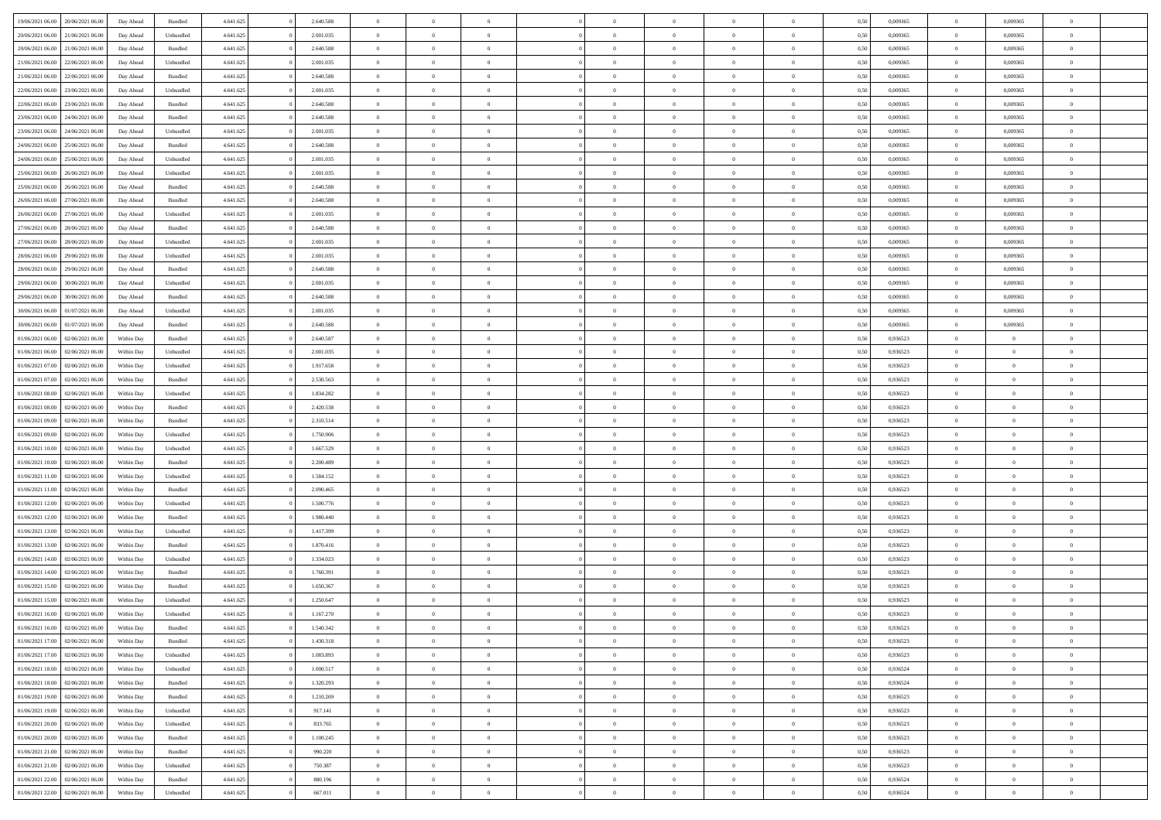| 19/06/2021 06:00 20/06/2021 06:00                                            | Day Ahead                | Bundled            | 4.641.625              | 2.640.588              | $\overline{0}$                   | $\overline{0}$             |                                  | $\Omega$                         | $\theta$                         | $\Omega$                         | $\theta$             | 0,50         | 0,009365             | $\theta$                | 0,009365                | $\theta$                         |  |
|------------------------------------------------------------------------------|--------------------------|--------------------|------------------------|------------------------|----------------------------------|----------------------------|----------------------------------|----------------------------------|----------------------------------|----------------------------------|----------------------|--------------|----------------------|-------------------------|-------------------------|----------------------------------|--|
| 20/06/2021 06:00<br>21/06/2021 06:00                                         | Day Ahead                | Unbundled          | 4.641.625              | 2.001.035              | $\overline{0}$                   | $\overline{0}$             | $\overline{0}$                   | $\overline{0}$                   | $\theta$                         | $\overline{0}$                   | $\bf{0}$             | 0,50         | 0,009365             | $\theta$                | 0,009365                | $\overline{0}$                   |  |
| 20/06/2021 06:00<br>21/06/2021 06:00                                         | Day Ahead                | Bundled            | 4.641.625              | 2.640.588              | $\overline{0}$                   | $\bf{0}$                   | $\overline{0}$                   | $\overline{0}$                   | $\overline{0}$                   | $\bf{0}$                         | $\bf{0}$             | 0,50         | 0,009365             | $\overline{0}$          | 0,009365                | $\overline{0}$                   |  |
| 21/06/2021 06:00<br>22/06/2021 06:00                                         | Day Ahead                | Unbundled          | 4.641.625              | 2.001.035              | $\overline{0}$                   | $\overline{0}$             | $\overline{0}$                   | $\overline{0}$                   | $\theta$                         | $\overline{0}$                   | $\overline{0}$       | 0.50         | 0.009365             | $\theta$                | 0.009365                | $\overline{0}$                   |  |
| 21/06/2021 06:00<br>22/06/2021 06:00                                         | Day Ahead                | Bundled            | 4.641.625              | 2.640.588              | $\overline{0}$                   | $\theta$                   | $\overline{0}$                   | $\overline{0}$                   | $\theta$                         | $\overline{0}$                   | $\bf{0}$             | 0,50         | 0,009365             | $\theta$                | 0,009365                | $\overline{0}$                   |  |
| 22/06/2021 06:00<br>23/06/2021 06:00                                         | Day Ahead                | Unbundled          | 4.641.625              | 2.001.035              | $\overline{0}$                   | $\bf{0}$                   | $\overline{0}$                   | $\overline{0}$                   | $\bf{0}$                         | $\overline{0}$                   | $\bf{0}$             | 0,50         | 0,009365             | $\overline{0}$          | 0,009365                | $\bf{0}$                         |  |
| 22/06/2021 06:00<br>23/06/2021 06:00                                         | Day Ahead                | Bundled            | 4.641.625              | 2.640.588              | $\overline{0}$                   | $\overline{0}$             | $\overline{0}$                   | $\overline{0}$                   | $\overline{0}$                   | $\overline{0}$                   | $\overline{0}$       | 0.5(         | 0,009365             | $\theta$                | 0.009365                | $\overline{0}$                   |  |
|                                                                              |                          |                    |                        |                        |                                  |                            |                                  |                                  |                                  |                                  |                      |              |                      |                         |                         |                                  |  |
| 23/06/2021 06:00<br>24/06/2021 06:00                                         | Day Ahead                | Bundled            | 4.641.625              | 2.640.588              | $\overline{0}$                   | $\theta$                   | $\overline{0}$                   | $\overline{0}$                   | $\theta$                         | $\overline{0}$                   | $\bf{0}$             | 0,50         | 0,009365             | $\theta$                | 0,009365                | $\overline{0}$                   |  |
| 23/06/2021 06:00<br>24/06/2021 06.00                                         | Day Ahead                | Unbundled          | 4.641.625              | 2.001.035              | $\overline{0}$                   | $\bf{0}$                   | $\overline{0}$                   | $\overline{0}$                   | $\overline{0}$                   | $\overline{0}$                   | $\bf{0}$             | 0,50         | 0,009365             | $\bf{0}$                | 0,009365                | $\overline{0}$                   |  |
| 24/06/2021 06:00<br>25/06/2021 06:00                                         | Day Ahead                | Bundled            | 4.641.625              | 2.640.588              | $\overline{0}$                   | $\overline{0}$             | $\overline{0}$                   | $\overline{0}$                   | $\overline{0}$                   | $\overline{0}$                   | $\overline{0}$       | 0.5(         | 0,009365             | $\theta$                | 0,009365                | $\overline{0}$                   |  |
| 24/06/2021 06:00<br>25/06/2021 06:00                                         | Day Ahead                | Unbundled          | 4.641.625              | 2.001.035              | $\overline{0}$                   | $\overline{0}$             | $\overline{0}$                   | $\overline{0}$                   | $\theta$                         | $\overline{0}$                   | $\bf{0}$             | 0,50         | 0,009365             | $\theta$                | 0,009365                | $\overline{0}$                   |  |
| 25/06/2021 06:00<br>26/06/2021 06.00                                         | Day Ahead                | Unbundled          | 4.641.625              | 2.001.035              | $\overline{0}$                   | $\bf{0}$                   | $\overline{0}$                   | $\overline{0}$                   | $\overline{0}$                   | $\bf{0}$                         | $\bf{0}$             | 0,50         | 0,009365             | $\overline{0}$          | 0,009365                | $\overline{0}$                   |  |
| 25/06/2021 06:00<br>26/06/2021 06:00                                         | Day Ahead                | Bundled            | 4.641.625              | 2.640.588              | $\overline{0}$                   | $\overline{0}$             | $\overline{0}$                   | $\overline{0}$                   | $\theta$                         | $\overline{0}$                   | $\overline{0}$       | 0.5(         | 0.009365             | $\theta$                | 0.009365                | $\overline{0}$                   |  |
| 26/06/2021 06:00<br>27/06/2021 06:00                                         | Day Ahead                | Bundled            | 4.641.625              | 2.640.588              | $\overline{0}$                   | $\theta$                   | $\overline{0}$                   | $\overline{0}$                   | $\theta$                         | $\overline{0}$                   | $\bf{0}$             | 0,50         | 0,009365             | $\theta$                | 0,009365                | $\overline{0}$                   |  |
| 26/06/2021 06:00<br>27/06/2021 06.00                                         | Day Ahead                | Unbundled          | 4.641.625              | 2.001.035              | $\overline{0}$                   | $\bf{0}$                   | $\overline{0}$                   | $\overline{0}$                   | $\bf{0}$                         | $\overline{0}$                   | $\bf{0}$             | 0,50         | 0,009365             | $\overline{0}$          | 0,009365                | $\bf{0}$                         |  |
| 27/06/2021 06:00<br>28/06/2021 06:00                                         | Day Ahead                | Bundled            | 4.641.625              | 2.640.588              | $\overline{0}$                   | $\overline{0}$             | $\overline{0}$                   | $\overline{0}$                   | $\overline{0}$                   | $\overline{0}$                   | $\overline{0}$       | 0.5(         | 0,009365             | $\overline{0}$          | 0,009365                | $\overline{0}$                   |  |
| 27/06/2021 06:00<br>28/06/2021 06:00                                         | Day Ahead                | Unbundled          | 4.641.625              | 2.001.035              | $\overline{0}$                   | $\theta$                   | $\overline{0}$                   | $\overline{0}$                   | $\theta$                         | $\overline{0}$                   | $\bf{0}$             | 0,50         | 0,009365             | $\theta$                | 0,009365                | $\overline{0}$                   |  |
| 28/06/2021 06:00<br>29/06/2021 06.00                                         | Day Ahead                | Unbundled          | 4.641.625              | 2.001.035              | $\overline{0}$                   | $\bf{0}$                   | $\bf{0}$                         | $\overline{0}$                   | $\overline{0}$                   | $\overline{0}$                   | $\bf{0}$             | 0,50         | 0,009365             | $\bf{0}$                | 0,009365                | $\overline{0}$                   |  |
| 28/06/2021 06:00<br>29/06/2021 06:00                                         | Day Ahead                | Bundled            | 4.641.625              | 2.640.588              | $\overline{0}$                   | $\overline{0}$             | $\overline{0}$                   | $\overline{0}$                   | $\overline{0}$                   | $\overline{0}$                   | $\overline{0}$       | 0.5(         | 0,009365             | $\theta$                | 0.009365                | $\overline{0}$                   |  |
| 29/06/2021 06:00<br>30/06/2021 06:00                                         | Day Ahead                | Unbundled          | 4.641.625              | 2.001.035              | $\bf{0}$                         | $\overline{0}$             | $\overline{0}$                   | $\overline{0}$                   | $\theta$                         | $\overline{0}$                   | $\bf{0}$             | 0,50         | 0,009365             | $\theta$                | 0,009365                | $\overline{0}$                   |  |
| 29/06/2021 06:00<br>30/06/2021 06:00                                         | Day Ahead                | Bundled            | 4.641.625              | 2.640.588              | $\overline{0}$                   | $\bf{0}$                   | $\overline{0}$                   | $\overline{0}$                   | $\overline{0}$                   | $\bf{0}$                         | $\bf{0}$             | 0,50         | 0,009365             | $\bf{0}$                | 0,009365                | $\overline{0}$                   |  |
| 30/06/2021 06:00<br>01/07/2021 06:00                                         | Day Ahead                | Unbundled          | 4.641.625              | 2.001.035              | $\overline{0}$                   | $\overline{0}$             | $\overline{0}$                   | $\overline{0}$                   | $\overline{0}$                   | $\overline{0}$                   | $\overline{0}$       | 0.5(         | 0.009365             | $\overline{0}$          | 0.009365                | $\overline{0}$                   |  |
| 30/06/2021 06:00<br>01/07/2021 06:00                                         | Day Ahead                | Bundled            | 4.641.625              | 2.640.588              | $\overline{0}$                   | $\theta$                   | $\overline{0}$                   | $\overline{0}$                   | $\theta$                         | $\overline{0}$                   | $\bf{0}$             | 0,50         | 0,009365             | $\theta$                | 0,009365                | $\overline{0}$                   |  |
| 01/06/2021 06:00<br>02/06/2021 06:00                                         | Within Day               | Bundled            | 4.641.625              | 2.640.587              | $\overline{0}$                   | $\bf{0}$                   | $\overline{0}$                   | $\overline{0}$                   | $\bf{0}$                         | $\overline{0}$                   | $\bf{0}$             | 0,50         | 0,936523             | $\overline{0}$          | $\overline{0}$          | $\bf{0}$                         |  |
| 01/06/2021 06:00<br>02/06/2021 06:00                                         | Within Day               | Unbundled          | 4.641.625              | 2.001.035              | $\overline{0}$                   | $\overline{0}$             | $\overline{0}$                   | $\overline{0}$                   | $\overline{0}$                   | $\overline{0}$                   | $\overline{0}$       | 0.5(         | 0.936523             | $\theta$                | $\theta$                | $\overline{0}$                   |  |
| 01/06/2021 07:00<br>02/06/2021 06:00                                         | Within Day               | Unbundled          | 4.641.625              | 1.917.658              | $\overline{0}$                   | $\theta$                   | $\overline{0}$                   | $\overline{0}$                   | $\theta$                         | $\overline{0}$                   | $\bf{0}$             | 0,50         | 0,936523             | $\theta$                | $\theta$                | $\overline{0}$                   |  |
| 01/06/2021 07:00<br>02/06/2021 06:00                                         | Within Day               | Bundled            | 4.641.625              | 2.530.563              | $\overline{0}$                   | $\bf{0}$                   | $\bf{0}$                         | $\overline{0}$                   | $\overline{0}$                   | $\overline{0}$                   | $\bf{0}$             | 0,50         | 0,936523             | $\bf{0}$                | $\bf{0}$                | $\overline{0}$                   |  |
| 01/06/2021 08:00<br>02/06/2021 06:00                                         | Within Day               | Unbundled          | 4.641.625              | 1.834.282              | $\overline{0}$                   | $\overline{0}$             | $\overline{0}$                   | $\overline{0}$                   | $\overline{0}$                   | $\overline{0}$                   | $\overline{0}$       | 0.5(         | 0.936523             | $\theta$                | $\theta$                | $\overline{0}$                   |  |
| 01/06/2021 08:00<br>02/06/2021 06:00                                         | Within Day               | Bundled            | 4.641.625              | 2.420.538              | $\bf{0}$                         | $\overline{0}$             | $\overline{0}$                   | $\overline{0}$                   | $\theta$                         | $\overline{0}$                   | $\bf{0}$             | 0,50         | 0,936523             | $\theta$                | $\theta$                | $\overline{0}$                   |  |
| 01/06/2021 09:00<br>02/06/2021 06:00                                         | Within Day               | Bundled            | 4.641.625              | 2.310.514              | $\overline{0}$                   | $\bf{0}$                   | $\overline{0}$                   | $\overline{0}$                   | $\overline{0}$                   | $\bf{0}$                         | $\bf{0}$             | 0,50         | 0,936523             | $\bf{0}$                | $\overline{0}$          | $\overline{0}$                   |  |
| 01/06/2021 09:00<br>02/06/2021 06.00                                         | Within Day               | Unbundled          | 4.641.625              | 1.750.906              | $\overline{0}$                   | $\Omega$                   | $\Omega$                         | $\Omega$                         | $\Omega$                         | $\theta$                         | $\overline{0}$       | 0.50         | 0,936523             | $\theta$                | $\Omega$                | $\theta$                         |  |
| 01/06/2021 10:00<br>02/06/2021 06:00                                         | Within Day               | Unbundled          | 4.641.625              | 1.667.529              | $\overline{0}$                   | $\overline{0}$             | $\overline{0}$                   | $\overline{0}$                   | $\theta$                         | $\overline{0}$                   | $\bf{0}$             | 0,50         | 0,936523             | $\theta$                | $\theta$                | $\overline{0}$                   |  |
| 01/06/2021 10:00<br>02/06/2021 06:00                                         | Within Day               | Bundled            | 4.641.625              | 2.200.489              | $\overline{0}$                   | $\bf{0}$                   | $\overline{0}$                   | $\overline{0}$                   | $\bf{0}$                         | $\overline{0}$                   | $\bf{0}$             | 0,50         | 0,936523             | $\bf{0}$                | $\overline{0}$          | $\bf{0}$                         |  |
| 01/06/2021 11:00<br>02/06/2021 06.00                                         | Within Day               | Unbundled          | 4.641.625              | 1.584.152              | $\overline{0}$                   | $\Omega$                   | $\Omega$                         | $\Omega$                         | $\Omega$                         | $\theta$                         | $\overline{0}$       | 0.50         | 0.936523             | $\theta$                | $\Omega$                | $\theta$                         |  |
| 01/06/2021 11:00<br>02/06/2021 06:00                                         | Within Day               | Bundled            | 4.641.625              | 2.090.465              | $\bf{0}$                         | $\overline{0}$             | $\overline{0}$                   | $\overline{0}$                   | $\theta$                         | $\overline{0}$                   | $\bf{0}$             | 0,50         | 0,936523             | $\theta$                | $\theta$                | $\overline{0}$                   |  |
| 01/06/2021 12:00<br>02/06/2021 06:00                                         | Within Day               | Unbundled          | 4.641.625              | 1.500.776              | $\overline{0}$                   | $\bf{0}$                   | $\bf{0}$                         | $\overline{0}$                   | $\overline{0}$                   | $\overline{0}$                   | $\bf{0}$             | 0,50         | 0,936523             | $\bf{0}$                | $\bf{0}$                | $\overline{0}$                   |  |
| 01/06/2021 12:00<br>02/06/2021 06:00                                         | Within Day               | Bundled            | 4.641.625              | 1.980.440              | $\overline{0}$                   | $\theta$                   | $\Omega$                         | $\Omega$                         | $\Omega$                         | $\Omega$                         | $\overline{0}$       | 0.50         | 0.936523             | $\theta$                | $\Omega$                | $\theta$                         |  |
| 01/06/2021 13:00<br>02/06/2021 06:00                                         | Within Day               | Unbundled          | 4.641.625              | 1.417.399              | $\bf{0}$                         | $\overline{0}$             | $\overline{0}$                   | $\overline{0}$                   | $\theta$                         | $\overline{0}$                   | $\bf{0}$             | 0,50         | 0,936523             | $\theta$                | $\theta$                | $\overline{0}$                   |  |
| 01/06/2021 13:00<br>02/06/2021 06:00                                         | Within Day               | Bundled            | 4.641.625              | 1.870.416              | $\overline{0}$                   | $\bf{0}$                   | $\overline{0}$                   | $\overline{0}$                   | $\overline{0}$                   | $\overline{0}$                   | $\bf{0}$             | 0,50         | 0,936523             | $\bf{0}$                | $\overline{0}$          | $\overline{0}$                   |  |
| 01/06/2021 14:00<br>02/06/2021 06.00                                         | Within Day               | Unbundled          | 4.641.625              | 1.334.023              | $\overline{0}$                   | $\Omega$                   | $\Omega$                         | $\Omega$                         | $\Omega$                         | $\theta$                         | $\overline{0}$       | 0.50         | 0,936523             | $\theta$                | $\Omega$                | $\theta$                         |  |
| 01/06/2021 14:00<br>02/06/2021 06:00                                         | Within Day               | Bundled            | 4.641.625              | 1.760.391              | $\bf{0}$                         | $\overline{0}$             | $\overline{0}$                   | $\overline{0}$                   | $\theta$                         | $\overline{0}$                   | $\bf{0}$             | 0,50         | 0,936523             | $\theta$                | $\theta$                | $\overline{0}$                   |  |
| 01/06/2021 15:00<br>02/06/2021 06.00                                         | Within Day               | Bundled            | 4.641.625              | 1.650.367              | $\overline{0}$                   | $\bf{0}$                   | $\overline{0}$                   | $\overline{0}$                   | $\overline{0}$                   | $\overline{0}$                   | $\bf{0}$             | 0,50         | 0,936523             | $\bf{0}$                | $\overline{0}$          | $\bf{0}$                         |  |
| 01/06/2021 15:00<br>02/06/2021 06.00                                         | Within Day               | Unbundled          | 4.641.625              | 1.250.647              | $\Omega$                         | $\Omega$                   | $\Omega$                         | $\Omega$                         | $\Omega$                         | $\theta$                         | $\overline{0}$       | 0.50         | 0.936523             | $\theta$                | $\Omega$                | $\theta$                         |  |
| 01/06/2021 16:00<br>02/06/2021 06:00                                         | Within Day               | Unbundled          | 4.641.625              | 1.167.270              | $\overline{0}$                   | $\bf{0}$                   | $\overline{0}$                   | $\overline{0}$                   | $\bf{0}$                         | $\overline{0}$                   | $\bf{0}$             | 0,50         | 0,936523             | $\,$ 0 $\,$             | $\bf{0}$                | $\overline{0}$                   |  |
| 01/06/2021 16:00 02/06/2021 06:00                                            | Within Day               | Bundled            | 4.641.625              | 1.540.342              |                                  |                            |                                  |                                  |                                  |                                  |                      | 0,50         | 0,936523             | $\bf{0}$                | $\bf{0}$                |                                  |  |
| 01/06/2021 17:00 02/06/2021 06:00                                            | Within Day               | Bundled            | 4.641.625              | 1.430.318              | $\Omega$                         | $\overline{0}$             | $\Omega$                         | $\theta$                         | $\Omega$                         | $\theta$                         | $\overline{0}$       | 0.50         | 0.936523             | $\theta$                | $\theta$                | $\theta$                         |  |
| 01/06/2021 17:00<br>02/06/2021 06:00                                         | Within Day               | Unbundled          | 4.641.625              | 1.083.893              | $\overline{0}$                   | $\overline{0}$             | $\overline{0}$                   | $\overline{0}$                   | $\,$ 0 $\,$                      | $\overline{0}$                   | $\,$ 0 $\,$          | 0,50         | 0,936523             | $\,$ 0 $\,$             | $\,$ 0 $\,$             | $\,$ 0                           |  |
| 01/06/2021 18:00 02/06/2021 06:00                                            | Within Day               | Unbundled          | 4.641.625              | 1.000.517              | $\overline{0}$                   | $\overline{0}$             | $\overline{0}$                   | $\overline{0}$                   | $\overline{0}$                   | $\overline{0}$                   | $\bf{0}$             | 0,50         | 0,936524             | $\overline{0}$          | $\bf{0}$                | $\overline{0}$                   |  |
|                                                                              |                          |                    |                        |                        |                                  |                            |                                  |                                  |                                  |                                  |                      |              |                      |                         |                         |                                  |  |
| 01/06/2021 18:00<br>02/06/2021 06:00<br>01/06/2021 19:00<br>02/06/2021 06:00 | Within Day<br>Within Day | Bundled<br>Bundled | 4.641.625<br>4.641.625 | 1.320.293<br>1.210.269 | $\overline{0}$<br>$\overline{0}$ | $\bf{0}$<br>$\overline{0}$ | $\overline{0}$<br>$\overline{0}$ | $\overline{0}$<br>$\overline{0}$ | $\overline{0}$<br>$\overline{0}$ | $\overline{0}$<br>$\overline{0}$ | $\bf{0}$<br>$\bf{0}$ | 0,50<br>0,50 | 0,936524<br>0,936523 | $\bf{0}$<br>$\,$ 0 $\,$ | $\theta$<br>$\,$ 0 $\,$ | $\overline{0}$<br>$\overline{0}$ |  |
|                                                                              |                          |                    |                        |                        |                                  |                            |                                  |                                  |                                  |                                  |                      |              |                      |                         |                         |                                  |  |
| 01/06/2021 19:00 02/06/2021 06:00                                            | Within Day               | Unbundled          | 4.641.625              | 917.141                | $\overline{0}$                   | $\overline{0}$             | $\overline{0}$                   | $\overline{0}$                   | $\bf{0}$                         | $\overline{0}$                   | $\bf{0}$             | 0,50         | 0,936523             | $\overline{0}$          | $\overline{0}$          | $\overline{0}$                   |  |
| 01/06/2021 20:00<br>02/06/2021 06:00                                         | Within Day               | Unbundled          | 4.641.625              | 833.765                | $\overline{0}$                   | $\bf{0}$                   | $\overline{0}$                   | $\overline{0}$                   | $\overline{0}$                   | $\overline{0}$                   | $\bf{0}$             | 0.50         | 0.936523             | $\overline{0}$          | $\theta$                | $\overline{0}$                   |  |
| 01/06/2021 20:00<br>02/06/2021 06:00                                         | Within Day               | Bundled            | 4.641.625              | 1.100.245              | $\overline{0}$                   | $\overline{0}$             | $\overline{0}$                   | $\overline{0}$                   | $\overline{0}$                   | $\overline{0}$                   | $\bf{0}$             | 0,50         | 0,936523             | $\,$ 0 $\,$             | $\bf{0}$                | $\overline{0}$                   |  |
| 01/06/2021 21:00 02/06/2021 06:00                                            | Within Day               | Bundled            | 4.641.625              | 990.220                | $\overline{0}$                   | $\bf{0}$                   | $\overline{0}$                   | $\overline{0}$                   | $\overline{0}$                   | $\overline{0}$                   | $\bf{0}$             | 0,50         | 0,936523             | $\overline{0}$          | $\overline{0}$          | $\bf{0}$                         |  |
| 01/06/2021 21:00<br>02/06/2021 06:00                                         | Within Day               | Unbundled          | 4.641.625              | 750.387                | $\overline{0}$                   | $\overline{0}$             | $\overline{0}$                   | $\overline{0}$                   | $\overline{0}$                   | $\overline{0}$                   | $\bf{0}$             | 0.50         | 0.936523             | $\overline{0}$          | $\theta$                | $\overline{0}$                   |  |
| 01/06/2021 22:00<br>02/06/2021 06:00                                         | Within Day               | Bundled            | 4.641.625              | 880.196                | $\overline{0}$                   | $\,$ 0                     | $\overline{0}$                   | $\overline{0}$                   | $\overline{0}$                   | $\bf{0}$                         | $\bf{0}$             | 0,50         | 0,936524             | $\,$ 0 $\,$             | $\,$ 0 $\,$             | $\bf{0}$                         |  |
| 01/06/2021 22:00 02/06/2021 06:00                                            | Within Day               | Unbundled          | 4.641.625              | 667.011                | $\overline{0}$                   | $\bf{0}$                   | $\overline{0}$                   | $\overline{0}$                   | $\overline{0}$                   | $\overline{0}$                   | $\bf{0}$             | 0,50         | 0,936524             | $\overline{0}$          | $\bf{0}$                | $\overline{0}$                   |  |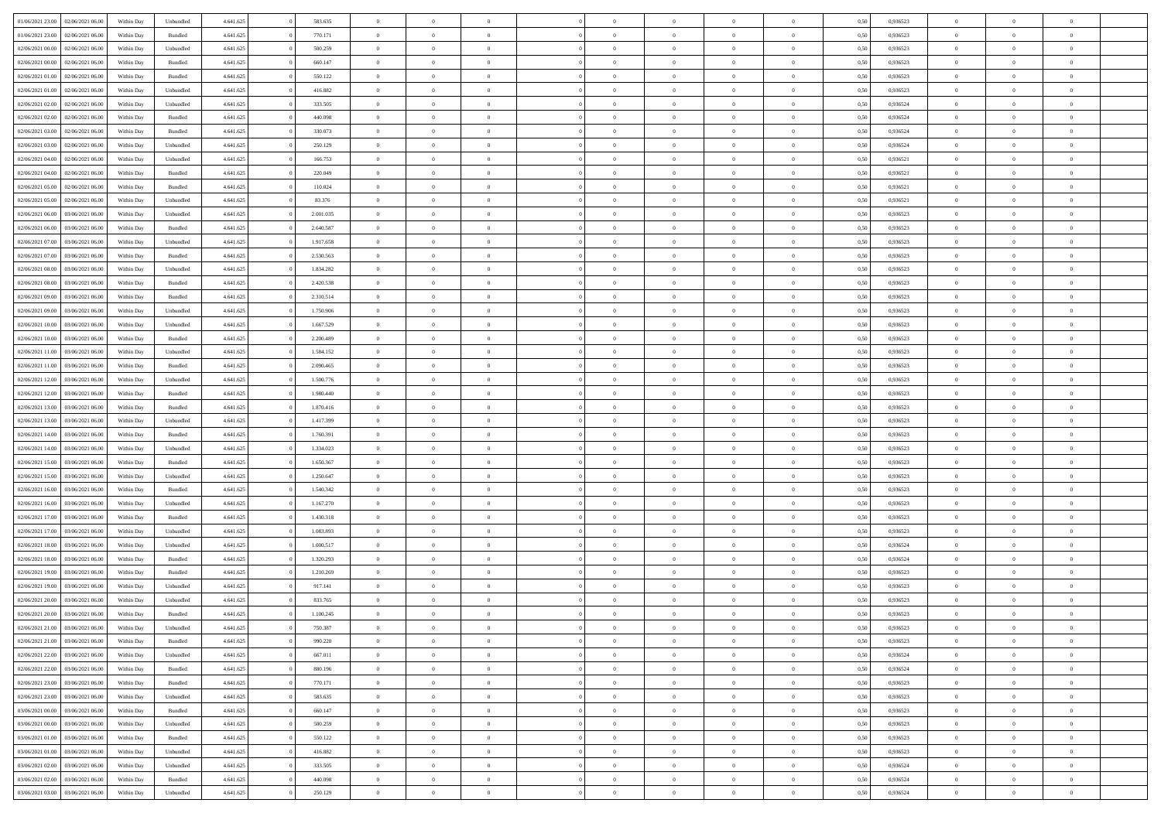| 01/06/2021 23:00 | 02/06/2021 06:00 | Within Day | Unbundled | 4.641.625 | 583.635   | $\overline{0}$ | $\theta$       |                | $\Omega$       | $\Omega$       | $\theta$       | $\theta$       | 0.50 | 0.936523 | $\theta$       | $\overline{0}$ | $\theta$       |  |
|------------------|------------------|------------|-----------|-----------|-----------|----------------|----------------|----------------|----------------|----------------|----------------|----------------|------|----------|----------------|----------------|----------------|--|
|                  |                  |            |           |           |           |                |                |                |                |                |                |                |      |          |                |                |                |  |
| 01/06/2021 23:00 | 02/06/2021 06:00 | Within Day | Bundled   | 4.641.625 | 770.171   | $\overline{0}$ | $\theta$       | $\overline{0}$ | $\overline{0}$ | $\bf{0}$       | $\overline{0}$ | $\bf{0}$       | 0,50 | 0,936523 | $\theta$       | $\overline{0}$ | $\overline{0}$ |  |
| 02/06/2021 00:00 | 02/06/2021 06:00 | Within Day | Unbundled | 4.641.625 | 500.259   | $\overline{0}$ | $\bf{0}$       | $\overline{0}$ | $\bf{0}$       | $\bf{0}$       | $\bf{0}$       | $\mathbf{0}$   | 0,50 | 0,936523 | $\overline{0}$ | $\overline{0}$ | $\bf{0}$       |  |
| 02/06/2021 00:00 | 02/06/2021 06:00 | Within Dav | Bundled   | 4.641.625 | 660.147   | $\overline{0}$ | $\overline{0}$ | $\overline{0}$ | $\overline{0}$ | $\bf{0}$       | $\overline{0}$ | $\overline{0}$ | 0.50 | 0.936523 | $\theta$       | $\theta$       | $\overline{0}$ |  |
|                  |                  |            |           |           |           |                |                |                |                |                |                |                |      |          |                |                |                |  |
| 02/06/2021 01:00 | 02/06/2021 06:00 | Within Day | Bundled   | 4.641.625 | 550.122   | $\overline{0}$ | $\theta$       | $\overline{0}$ | $\overline{0}$ | $\bf{0}$       | $\overline{0}$ | $\bf{0}$       | 0,50 | 0,936523 | $\theta$       | $\overline{0}$ | $\overline{0}$ |  |
| 02/06/2021 01:00 | 02/06/2021 06:00 | Within Day | Unbundled | 4.641.625 | 416.882   | $\overline{0}$ | $\overline{0}$ | $\overline{0}$ | $\bf{0}$       | $\overline{0}$ | $\overline{0}$ | $\mathbf{0}$   | 0,50 | 0,936523 | $\overline{0}$ | $\overline{0}$ | $\bf{0}$       |  |
| 02/06/2021 02:00 | 02/06/2021 06:00 | Within Dav | Unbundled | 4.641.625 | 333.505   | $\overline{0}$ | $\overline{0}$ | $\overline{0}$ | $\overline{0}$ | $\overline{0}$ | $\overline{0}$ | $\overline{0}$ | 0.50 | 0,936524 | $\theta$       | $\overline{0}$ | $\overline{0}$ |  |
| 02/06/2021 02:00 | 02/06/2021 06:00 | Within Day | Bundled   | 4.641.625 | 440.098   | $\overline{0}$ | $\theta$       | $\overline{0}$ | $\overline{0}$ | $\bf{0}$       | $\overline{0}$ | $\bf{0}$       | 0,50 | 0,936524 | $\theta$       | $\theta$       | $\overline{0}$ |  |
|                  |                  |            |           |           |           |                | $\overline{0}$ |                |                | $\bf{0}$       |                |                |      |          | $\,0\,$        | $\overline{0}$ | $\overline{0}$ |  |
| 02/06/2021 03:00 | 02/06/2021 06:00 | Within Day | Bundled   | 4.641.625 | 330.073   | $\overline{0}$ |                | $\overline{0}$ | $\bf{0}$       |                | $\bf{0}$       | $\bf{0}$       | 0,50 | 0,936524 |                |                |                |  |
| 02/06/2021 03:00 | 02/06/2021 06:00 | Within Dav | Unbundled | 4.641.625 | 250.129   | $\overline{0}$ | $\overline{0}$ | $\overline{0}$ | $\overline{0}$ | $\overline{0}$ | $\overline{0}$ | $\overline{0}$ | 0.50 | 0,936524 | $\theta$       | $\overline{0}$ | $\overline{0}$ |  |
| 02/06/2021 04:00 | 02/06/2021 06:00 | Within Day | Unbundled | 4.641.625 | 166.753   | $\overline{0}$ | $\theta$       | $\overline{0}$ | $\overline{0}$ | $\bf{0}$       | $\overline{0}$ | $\bf{0}$       | 0,50 | 0,936521 | $\,$ 0 $\,$    | $\overline{0}$ | $\overline{0}$ |  |
| 02/06/2021 04:00 | 02/06/2021 06:00 | Within Day | Bundled   | 4.641.625 | 220.049   | $\overline{0}$ | $\bf{0}$       | $\overline{0}$ | $\bf{0}$       | $\bf{0}$       | $\bf{0}$       | $\mathbf{0}$   | 0,50 | 0,936521 | $\overline{0}$ | $\overline{0}$ | $\bf{0}$       |  |
| 02/06/2021 05:00 | 02/06/2021 06:00 | Within Day | Bundled   | 4.641.625 | 110.024   | $\overline{0}$ | $\overline{0}$ | $\overline{0}$ | $\overline{0}$ | $\bf{0}$       | $\overline{0}$ | $\overline{0}$ | 0.50 | 0,936521 | $\theta$       | $\theta$       | $\overline{0}$ |  |
|                  |                  |            |           |           |           | $\overline{0}$ | $\theta$       | $\overline{0}$ | $\overline{0}$ | $\bf{0}$       | $\overline{0}$ |                |      |          | $\theta$       | $\overline{0}$ | $\overline{0}$ |  |
| 02/06/2021 05:00 | 02/06/2021 06.00 | Within Day | Unbundled | 4.641.625 | 83.376    |                |                |                |                |                |                | $\bf{0}$       | 0,50 | 0,936521 |                |                |                |  |
| 02/06/2021 06.00 | 03/06/2021 06:00 | Within Day | Unbundled | 4.641.625 | 2.001.035 | $\overline{0}$ | $\overline{0}$ | $\overline{0}$ | $\bf{0}$       | $\overline{0}$ | $\overline{0}$ | $\mathbf{0}$   | 0,50 | 0,936523 | $\overline{0}$ | $\overline{0}$ | $\bf{0}$       |  |
| 02/06/2021 06:00 | 03/06/2021 06:00 | Within Dav | Bundled   | 4.641.625 | 2.640.587 | $\overline{0}$ | $\overline{0}$ | $\overline{0}$ | $\overline{0}$ | $\overline{0}$ | $\overline{0}$ | $\overline{0}$ | 0.50 | 0.936523 | $\theta$       | $\overline{0}$ | $\overline{0}$ |  |
| 02/06/2021 07:00 | 03/06/2021 06:00 | Within Day | Unbundled | 4.641.625 | 1.917.658 | $\overline{0}$ | $\theta$       | $\overline{0}$ | $\overline{0}$ | $\bf{0}$       | $\overline{0}$ | $\bf{0}$       | 0,50 | 0,936523 | $\theta$       | $\theta$       | $\overline{0}$ |  |
| 02/06/2021 07:00 | 03/06/2021 06:00 | Within Day | Bundled   | 4.641.625 | 2.530.563 | $\overline{0}$ | $\overline{0}$ | $\overline{0}$ | $\bf{0}$       | $\bf{0}$       | $\bf{0}$       | $\mathbf{0}$   | 0,50 | 0,936523 | $\,0\,$        | $\overline{0}$ | $\overline{0}$ |  |
|                  |                  |            |           |           |           |                |                |                |                |                |                |                |      |          |                |                |                |  |
| 02/06/2021 08:00 | 03/06/2021 06:00 | Within Day | Unbundled | 4.641.625 | 1.834.282 | $\overline{0}$ | $\overline{0}$ | $\overline{0}$ | $\overline{0}$ | $\overline{0}$ | $\overline{0}$ | $\overline{0}$ | 0.50 | 0.936523 | $\theta$       | $\overline{0}$ | $\overline{0}$ |  |
| 02/06/2021 08:00 | 03/06/2021 06:00 | Within Day | Bundled   | 4.641.625 | 2.420.538 | $\overline{0}$ | $\theta$       | $\overline{0}$ | $\overline{0}$ | $\bf{0}$       | $\overline{0}$ | $\bf{0}$       | 0,50 | 0,936523 | $\,$ 0 $\,$    | $\overline{0}$ | $\overline{0}$ |  |
| 02/06/2021 09:00 | 03/06/2021 06:00 | Within Day | Bundled   | 4.641.625 | 2.310.514 | $\overline{0}$ | $\overline{0}$ | $\overline{0}$ | $\bf{0}$       | $\bf{0}$       | $\bf{0}$       | $\bf{0}$       | 0,50 | 0,936523 | $\,0\,$        | $\overline{0}$ | $\bf{0}$       |  |
| 02/06/2021 09:00 | 03/06/2021 06:00 | Within Day | Unbundled | 4.641.625 | 1.750.906 | $\overline{0}$ | $\overline{0}$ | $\overline{0}$ | $\overline{0}$ | $\bf{0}$       | $\overline{0}$ | $\overline{0}$ | 0.50 | 0.936523 | $\theta$       | $\overline{0}$ | $\overline{0}$ |  |
| 02/06/2021 10:00 | 03/06/2021 06:00 | Within Day | Unbundled | 4.641.625 | 1.667.529 | $\overline{0}$ | $\theta$       | $\overline{0}$ | $\overline{0}$ | $\bf{0}$       | $\overline{0}$ | $\bf{0}$       | 0,50 | 0,936523 | $\theta$       | $\overline{0}$ | $\overline{0}$ |  |
|                  |                  |            |           |           |           |                |                |                |                |                |                |                |      |          |                |                |                |  |
| 02/06/2021 10:00 | 03/06/2021 06:00 | Within Day | Bundled   | 4.641.625 | 2.200.489 | $\overline{0}$ | $\overline{0}$ | $\overline{0}$ | $\bf{0}$       | $\overline{0}$ | $\overline{0}$ | $\mathbf{0}$   | 0,50 | 0,936523 | $\overline{0}$ | $\overline{0}$ | $\bf{0}$       |  |
| 02/06/2021 11:00 | 03/06/2021 06:00 | Within Dav | Unbundled | 4.641.625 | 1.584.152 | $\overline{0}$ | $\overline{0}$ | $\overline{0}$ | $\overline{0}$ | $\overline{0}$ | $\overline{0}$ | $\overline{0}$ | 0.50 | 0.936523 | $\theta$       | $\overline{0}$ | $\overline{0}$ |  |
| 02/06/2021 11:00 | 03/06/2021 06:00 | Within Day | Bundled   | 4.641.625 | 2.090.465 | $\overline{0}$ | $\theta$       | $\overline{0}$ | $\overline{0}$ | $\bf{0}$       | $\overline{0}$ | $\bf{0}$       | 0,50 | 0,936523 | $\theta$       | $\theta$       | $\overline{0}$ |  |
| 02/06/2021 12:00 | 03/06/2021 06:00 | Within Day | Unbundled | 4.641.625 | 1.500.776 | $\overline{0}$ | $\overline{0}$ | $\overline{0}$ | $\bf{0}$       | $\bf{0}$       | $\bf{0}$       | $\bf{0}$       | 0,50 | 0,936523 | $\,0\,$        | $\overline{0}$ | $\overline{0}$ |  |
|                  | 03/06/2021 06:00 |            | Bundled   | 4.641.625 | 1.980.440 | $\overline{0}$ | $\overline{0}$ | $\overline{0}$ | $\overline{0}$ | $\overline{0}$ | $\overline{0}$ | $\overline{0}$ | 0.50 | 0.936523 | $\theta$       | $\overline{0}$ | $\overline{0}$ |  |
| 02/06/2021 12:00 |                  | Within Day |           |           |           |                |                |                |                |                |                |                |      |          |                |                |                |  |
| 02/06/2021 13:00 | 03/06/2021 06:00 | Within Day | Bundled   | 4.641.625 | 1.870.416 | $\overline{0}$ | $\theta$       | $\overline{0}$ | $\overline{0}$ | $\bf{0}$       | $\overline{0}$ | $\bf{0}$       | 0,50 | 0,936523 | $\,$ 0 $\,$    | $\overline{0}$ | $\overline{0}$ |  |
| 02/06/2021 13:00 | 03/06/2021 06:00 | Within Day | Unbundled | 4.641.625 | 1.417.399 | $\overline{0}$ | $\overline{0}$ | $\overline{0}$ | $\overline{0}$ | $\bf{0}$       | $\overline{0}$ | $\bf{0}$       | 0,50 | 0,936523 | $\bf{0}$       | $\overline{0}$ | $\bf{0}$       |  |
| 02/06/2021 14:00 | 03/06/2021 06:00 | Within Day | Bundled   | 4.641.625 | 1.760.391 | $\overline{0}$ | $\Omega$       | $\Omega$       | $\Omega$       | $\Omega$       | $\overline{0}$ | $\overline{0}$ | 0,50 | 0,936523 | $\,0\,$        | $\theta$       | $\theta$       |  |
| 02/06/2021 14:00 | 03/06/2021 06:00 | Within Day | Unbundled | 4.641.625 | 1.334.023 | $\overline{0}$ | $\theta$       | $\overline{0}$ | $\overline{0}$ | $\bf{0}$       | $\overline{0}$ | $\bf{0}$       | 0,50 | 0,936523 | $\theta$       | $\overline{0}$ | $\overline{0}$ |  |
|                  |                  |            |           |           |           |                |                |                |                |                |                |                |      |          |                |                |                |  |
| 02/06/2021 15:00 | 03/06/2021 06:00 | Within Day | Bundled   | 4.641.625 | 1.650.367 | $\overline{0}$ | $\overline{0}$ | $\overline{0}$ | $\overline{0}$ | $\overline{0}$ | $\overline{0}$ | $\mathbf{0}$   | 0,50 | 0,936523 | $\bf{0}$       | $\overline{0}$ | $\bf{0}$       |  |
| 02/06/2021 15:00 | 03/06/2021 06:00 | Within Day | Unbundled | 4.641.625 | 1.250.647 | $\overline{0}$ | $\Omega$       | $\Omega$       | $\Omega$       | $\bf{0}$       | $\overline{0}$ | $\overline{0}$ | 0.50 | 0.936523 | $\,0\,$        | $\theta$       | $\theta$       |  |
| 02/06/2021 16:00 | 03/06/2021 06:00 | Within Day | Bundled   | 4.641.625 | 1.540.342 | $\overline{0}$ | $\theta$       | $\overline{0}$ | $\overline{0}$ | $\bf{0}$       | $\overline{0}$ | $\bf{0}$       | 0,50 | 0,936523 | $\theta$       | $\overline{0}$ | $\overline{0}$ |  |
| 02/06/2021 16:00 | 03/06/2021 06:00 | Within Day | Unbundled | 4.641.625 | 1.167.270 | $\overline{0}$ | $\overline{0}$ | $\overline{0}$ | $\overline{0}$ | $\bf{0}$       | $\overline{0}$ | $\bf{0}$       | 0,50 | 0,936523 | $\,0\,$        | $\overline{0}$ | $\bf{0}$       |  |
| 02/06/2021 17:00 | 03/06/2021 06:00 | Within Day | Bundled   | 4.641.625 | 1.430.318 | $\overline{0}$ | $\Omega$       | $\Omega$       | $\Omega$       | $\theta$       | $\overline{0}$ | $\overline{0}$ | 0.50 | 0.936523 | $\,$ 0 $\,$    | $\theta$       | $\theta$       |  |
|                  |                  |            |           |           |           |                |                |                |                |                |                |                |      |          |                |                |                |  |
| 02/06/2021 17:00 | 03/06/2021 06:00 | Within Day | Unbundled | 4.641.625 | 1.083.893 | $\overline{0}$ | $\theta$       | $\overline{0}$ | $\overline{0}$ | $\,$ 0         | $\overline{0}$ | $\bf{0}$       | 0,50 | 0,936523 | $\,$ 0 $\,$    | $\overline{0}$ | $\overline{0}$ |  |
| 02/06/2021 18:00 | 03/06/2021 06:00 | Within Day | Unbundled | 4.641.625 | 1.000.517 | $\overline{0}$ | $\bf{0}$       | $\overline{0}$ | $\bf{0}$       | $\bf{0}$       | $\bf{0}$       | $\mathbf{0}$   | 0,50 | 0,936524 | $\overline{0}$ | $\overline{0}$ | $\bf{0}$       |  |
| 02/06/2021 18:00 | 03/06/2021 06:00 | Within Day | Bundled   | 4.641.625 | 1.320.293 | $\overline{0}$ | $\Omega$       | $\overline{0}$ | $\Omega$       | $\overline{0}$ | $\overline{0}$ | $\overline{0}$ | 0,50 | 0,936524 | $\,0\,$        | $\theta$       | $\theta$       |  |
| 02/06/2021 19:00 | 03/06/2021 06:00 | Within Day | Bundled   | 4.641.625 | 1.210.269 | $\overline{0}$ | $\theta$       | $\overline{0}$ | $\overline{0}$ | $\,$ 0         | $\overline{0}$ | $\bf{0}$       | 0,50 | 0,936523 | $\,$ 0 $\,$    | $\overline{0}$ | $\overline{0}$ |  |
| 02/06/2021 19:00 | 03/06/2021 06:00 | Within Day | Unbundled | 4.641.625 | 917.141   | $\overline{0}$ | $\overline{0}$ | $\overline{0}$ | $\bf{0}$       | $\bf{0}$       | $\bf{0}$       | $\mathbf{0}$   | 0,50 | 0,936523 | $\overline{0}$ | $\overline{0}$ | $\bf{0}$       |  |
|                  |                  |            |           |           |           |                |                |                |                |                |                |                |      |          |                |                |                |  |
| 02/06/2021 20:00 | 03/06/2021 06:00 | Within Day | Unbundled | 4.641.625 | 833,765   | $\overline{0}$ | $\Omega$       | $\Omega$       | $\Omega$       | $\Omega$       | $\Omega$       | $\overline{0}$ | 0.50 | 0.936523 | $\theta$       | $\theta$       | $\theta$       |  |
| 02/06/2021 20:00 | 03/06/2021 06:00 | Within Day | Bundled   | 4.641.625 | 1.100.245 | $\overline{0}$ | $\overline{0}$ | $\overline{0}$ | $\bf{0}$       | $\,$ 0         | $\bf{0}$       | $\bf{0}$       | 0,50 | 0,936523 | $\,0\,$        | $\,$ 0 $\,$    | $\overline{0}$ |  |
| 02/06/2021 21:00 | 03/06/2021 06:00 | Within Day | Unbundled | 4.641.625 | 750.387   | $\bf{0}$       | $\bf{0}$       |                |                |                |                |                | 0,50 | 0,936523 | $\bf{0}$       | $\overline{0}$ |                |  |
| 02/06/2021 21:00 | 03/06/2021 06:00 | Within Day | Bundled   | 4.641.625 | 990.220   | $\overline{0}$ | $\overline{0}$ | $\overline{0}$ | $\Omega$       | $\overline{0}$ | $\overline{0}$ | $\overline{0}$ | 0,50 | 0.936523 | $\theta$       | $\theta$       | $\theta$       |  |
| 02/06/2021 22.00 | 03/06/2021 06:00 | Within Day | Unbundled | 4.641.625 | 667.011   | $\overline{0}$ | $\bf{0}$       | $\overline{0}$ | $\bf{0}$       | $\,$ 0 $\,$    | $\overline{0}$ | $\,$ 0 $\,$    | 0,50 | 0,936524 | $\,$ 0 $\,$    | $\,$ 0 $\,$    | $\,$ 0         |  |
|                  |                  |            |           |           |           |                |                |                |                |                |                |                |      |          |                |                |                |  |
| 02/06/2021 22.00 | 03/06/2021 06:00 | Within Day | Bundled   | 4.641.625 | 880.196   | $\overline{0}$ | $\overline{0}$ | $\overline{0}$ | $\overline{0}$ | $\overline{0}$ | $\overline{0}$ | $\mathbf{0}$   | 0,50 | 0,936524 | $\overline{0}$ | $\bf{0}$       | $\bf{0}$       |  |
| 02/06/2021 23:00 | 03/06/2021 06:00 | Within Day | Bundled   | 4.641.625 | 770.171   | $\overline{0}$ | $\overline{0}$ | $\overline{0}$ | $\Omega$       | $\overline{0}$ | $\overline{0}$ | $\overline{0}$ | 0,50 | 0,936523 | $\overline{0}$ | $\theta$       | $\overline{0}$ |  |
| 02/06/2021 23:00 | 03/06/2021 06:00 | Within Day | Unbundled | 4.641.625 | 583.635   | $\overline{0}$ | $\,$ 0         | $\overline{0}$ | $\bf{0}$       | $\,$ 0 $\,$    | $\overline{0}$ | $\mathbf{0}$   | 0,50 | 0,936523 | $\,$ 0 $\,$    | $\overline{0}$ | $\overline{0}$ |  |
| 03/06/2021 00:00 | 03/06/2021 06:00 | Within Day | Bundled   | 4.641.625 | 660.147   | $\overline{0}$ | $\overline{0}$ | $\overline{0}$ | $\overline{0}$ | $\overline{0}$ | $\overline{0}$ | $\mathbf{0}$   | 0,50 | 0,936523 | $\overline{0}$ | $\overline{0}$ | $\bf{0}$       |  |
|                  |                  |            |           |           |           |                | $\overline{0}$ | $\overline{0}$ |                | $\overline{0}$ | $\overline{0}$ |                | 0.50 |          |                | $\theta$       | $\overline{0}$ |  |
| 03/06/2021 00:00 | 03/06/2021 06:00 | Within Day | Unbundled | 4.641.625 | 500.259   | $\overline{0}$ |                |                | $\overline{0}$ |                |                | $\bf{0}$       |      | 0,936523 | $\overline{0}$ |                |                |  |
| 03/06/2021 01:00 | 03/06/2021 06:00 | Within Day | Bundled   | 4.641.625 | 550.122   | $\overline{0}$ | $\,$ 0         | $\overline{0}$ | $\bf{0}$       | $\bf{0}$       | $\bf{0}$       | $\bf{0}$       | 0,50 | 0,936523 | $\,$ 0 $\,$    | $\overline{0}$ | $\overline{0}$ |  |
| 03/06/2021 01:00 | 03/06/2021 06:00 | Within Day | Unbundled | 4.641.625 | 416.882   | $\overline{0}$ | $\bf{0}$       | $\overline{0}$ | $\overline{0}$ | $\overline{0}$ | $\overline{0}$ | $\mathbf{0}$   | 0,50 | 0,936523 | $\overline{0}$ | $\overline{0}$ | $\bf{0}$       |  |
| 03/06/2021 02:00 | 03/06/2021 06:00 | Within Day | Unbundled | 4.641.625 | 333.505   | $\overline{0}$ | $\overline{0}$ | $\overline{0}$ | $\Omega$       | $\overline{0}$ | $\overline{0}$ | $\overline{0}$ | 0.50 | 0.936524 | $\overline{0}$ | $\overline{0}$ | $\overline{0}$ |  |
| 03/06/2021 02:00 | 03/06/2021 06:00 | Within Day | Bundled   | 4.641.625 | 440.098   | $\overline{0}$ | $\bf{0}$       | $\overline{0}$ | $\bf{0}$       | $\bf{0}$       | $\bf{0}$       | $\mathbf{0}$   | 0,50 | 0,936524 | $\,$ 0 $\,$    | $\,$ 0 $\,$    | $\bf{0}$       |  |
|                  |                  |            |           |           |           |                |                |                |                |                |                |                |      |          |                |                |                |  |
| 03/06/2021 03:00 | 03/06/2021 06:00 | Within Day | Unbundled | 4.641.625 | 250.129   | $\overline{0}$ | $\overline{0}$ | $\overline{0}$ | $\overline{0}$ | $\overline{0}$ | $\bf{0}$       | $\mathbf{0}$   | 0,50 | 0,936524 | $\overline{0}$ | $\bf{0}$       | $\overline{0}$ |  |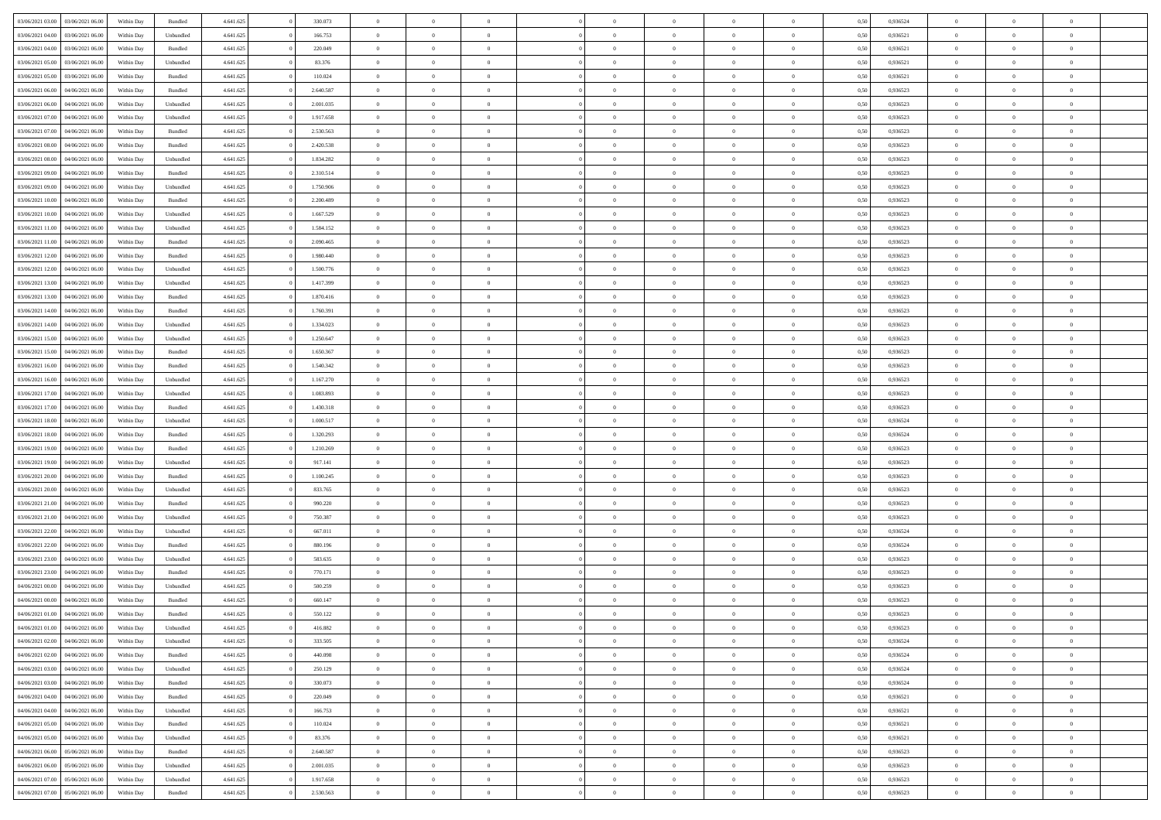| 03/06/2021 03:00 | 03/06/2021 06:00 | Within Day | Bundled   | 4.641.625 | 330.073   | $\overline{0}$ | $\Omega$       |                | $\Omega$       | $\Omega$       | $\theta$       | $\theta$       | 0.50 | 0,936524 | $\theta$       | $\theta$       | $\overline{0}$ |  |
|------------------|------------------|------------|-----------|-----------|-----------|----------------|----------------|----------------|----------------|----------------|----------------|----------------|------|----------|----------------|----------------|----------------|--|
|                  |                  |            |           |           |           |                |                |                |                |                |                |                |      |          |                |                |                |  |
| 03/06/2021 04:00 | 03/06/2021 06.00 | Within Day | Unbundled | 4.641.625 | 166.753   | $\overline{0}$ | $\theta$       | $\overline{0}$ | $\overline{0}$ | $\bf{0}$       | $\overline{0}$ | $\bf{0}$       | 0,50 | 0,936521 | $\theta$       | $\overline{0}$ | $\overline{0}$ |  |
| 03/06/2021 04:00 | 03/06/2021 06:00 | Within Day | Bundled   | 4.641.625 | 220.049   | $\overline{0}$ | $\bf{0}$       | $\overline{0}$ | $\bf{0}$       | $\bf{0}$       | $\bf{0}$       | $\mathbf{0}$   | 0,50 | 0,936521 | $\overline{0}$ | $\overline{0}$ | $\overline{0}$ |  |
| 03/06/2021 05:00 | 03/06/2021 06:00 | Within Dav | Unbundled | 4.641.625 | 83.376    | $\overline{0}$ | $\overline{0}$ | $\overline{0}$ | $\overline{0}$ | $\bf{0}$       | $\overline{0}$ | $\overline{0}$ | 0.50 | 0.936521 | $\theta$       | $\theta$       | $\overline{0}$ |  |
|                  |                  |            |           |           |           |                |                |                |                |                |                |                |      |          |                |                |                |  |
| 03/06/2021 05:00 | 03/06/2021 06.00 | Within Day | Bundled   | 4.641.625 | 110.024   | $\overline{0}$ | $\theta$       | $\overline{0}$ | $\overline{0}$ | $\bf{0}$       | $\overline{0}$ | $\bf{0}$       | 0,50 | 0,936521 | $\theta$       | $\overline{0}$ | $\overline{0}$ |  |
| 03/06/2021 06:00 | 04/06/2021 06.00 | Within Day | Bundled   | 4.641.625 | 2.640.587 | $\overline{0}$ | $\overline{0}$ | $\overline{0}$ | $\bf{0}$       | $\overline{0}$ | $\overline{0}$ | $\mathbf{0}$   | 0,50 | 0,936523 | $\overline{0}$ | $\overline{0}$ | $\bf{0}$       |  |
| 03/06/2021 06:00 | 04/06/2021 06:00 | Within Dav | Unbundled | 4.641.625 | 2.001.035 | $\overline{0}$ | $\overline{0}$ | $\overline{0}$ | $\overline{0}$ | $\overline{0}$ | $\overline{0}$ | $\overline{0}$ | 0.50 | 0.936523 | $\theta$       | $\overline{0}$ | $\overline{0}$ |  |
| 03/06/2021 07:00 | 04/06/2021 06.00 | Within Day | Unbundled | 4.641.625 | 1.917.658 | $\overline{0}$ | $\theta$       | $\overline{0}$ | $\overline{0}$ | $\bf{0}$       | $\overline{0}$ | $\bf{0}$       | 0,50 | 0,936523 | $\theta$       | $\theta$       | $\overline{0}$ |  |
|                  |                  |            |           |           |           |                |                |                |                |                |                |                |      |          |                |                |                |  |
| 03/06/2021 07:00 | 04/06/2021 06.00 | Within Day | Bundled   | 4.641.625 | 2.530.563 | $\overline{0}$ | $\overline{0}$ | $\overline{0}$ | $\bf{0}$       | $\bf{0}$       | $\bf{0}$       | $\bf{0}$       | 0,50 | 0,936523 | $\,0\,$        | $\overline{0}$ | $\overline{0}$ |  |
| 03/06/2021 08:00 | 04/06/2021 06:00 | Within Dav | Bundled   | 4.641.625 | 2.420.538 | $\overline{0}$ | $\overline{0}$ | $\overline{0}$ | $\overline{0}$ | $\overline{0}$ | $\overline{0}$ | $\overline{0}$ | 0.50 | 0.936523 | $\theta$       | $\overline{0}$ | $\overline{0}$ |  |
| 03/06/2021 08:00 | 04/06/2021 06.00 | Within Day | Unbundled | 4.641.625 | 1.834.282 | $\overline{0}$ | $\theta$       | $\overline{0}$ | $\overline{0}$ | $\bf{0}$       | $\overline{0}$ | $\bf{0}$       | 0,50 | 0,936523 | $\,$ 0 $\,$    | $\overline{0}$ | $\overline{0}$ |  |
| 03/06/2021 09:00 | 04/06/2021 06.00 | Within Day | Bundled   | 4.641.625 | 2.310.514 | $\overline{0}$ | $\overline{0}$ | $\overline{0}$ | $\bf{0}$       | $\bf{0}$       | $\bf{0}$       | $\bf{0}$       | 0,50 | 0,936523 | $\bf{0}$       | $\overline{0}$ | $\bf{0}$       |  |
| 03/06/2021 09:00 | 04/06/2021 06:00 | Within Day | Unbundled | 4.641.625 | 1.750.906 | $\overline{0}$ | $\overline{0}$ | $\overline{0}$ | $\overline{0}$ | $\bf{0}$       | $\overline{0}$ | $\overline{0}$ | 0.50 | 0.936523 | $\theta$       | $\theta$       | $\overline{0}$ |  |
|                  |                  |            |           |           |           | $\overline{0}$ | $\theta$       | $\overline{0}$ | $\overline{0}$ | $\bf{0}$       | $\overline{0}$ |                |      |          | $\theta$       | $\overline{0}$ | $\overline{0}$ |  |
| 03/06/2021 10:00 | 04/06/2021 06.00 | Within Day | Bundled   | 4.641.625 | 2.200.489 |                |                |                |                |                |                | $\bf{0}$       | 0,50 | 0,936523 |                |                |                |  |
| 03/06/2021 10:00 | 04/06/2021 06.00 | Within Day | Unbundled | 4.641.625 | 1.667.529 | $\overline{0}$ | $\overline{0}$ | $\overline{0}$ | $\overline{0}$ | $\overline{0}$ | $\overline{0}$ | $\mathbf{0}$   | 0,50 | 0,936523 | $\bf{0}$       | $\overline{0}$ | $\bf{0}$       |  |
| 03/06/2021 11:00 | 04/06/2021 06:00 | Within Dav | Unbundled | 4.641.625 | 1.584.152 | $\overline{0}$ | $\overline{0}$ | $\overline{0}$ | $\overline{0}$ | $\overline{0}$ | $\overline{0}$ | $\overline{0}$ | 0.50 | 0.936523 | $\theta$       | $\overline{0}$ | $\overline{0}$ |  |
| 03/06/2021 11:00 | 04/06/2021 06.00 | Within Day | Bundled   | 4.641.625 | 2.090.465 | $\overline{0}$ | $\theta$       | $\overline{0}$ | $\overline{0}$ | $\bf{0}$       | $\overline{0}$ | $\bf{0}$       | 0,50 | 0,936523 | $\theta$       | $\theta$       | $\overline{0}$ |  |
| 03/06/2021 12:00 | 04/06/2021 06.00 | Within Day | Bundled   | 4.641.625 | 1.980.440 | $\overline{0}$ | $\overline{0}$ | $\overline{0}$ | $\overline{0}$ | $\bf{0}$       | $\overline{0}$ | $\bf{0}$       | 0,50 | 0,936523 | $\,0\,$        | $\overline{0}$ | $\overline{0}$ |  |
|                  |                  |            |           |           |           |                |                |                |                |                |                |                |      |          |                |                |                |  |
| 03/06/2021 12:00 | 04/06/2021 06:00 | Within Day | Unbundled | 4.641.625 | 1.500.776 | $\overline{0}$ | $\overline{0}$ | $\overline{0}$ | $\overline{0}$ | $\overline{0}$ | $\overline{0}$ | $\overline{0}$ | 0.50 | 0.936523 | $\theta$       | $\overline{0}$ | $\overline{0}$ |  |
| 03/06/2021 13:00 | 04/06/2021 06.00 | Within Day | Unbundled | 4.641.625 | 1.417.399 | $\overline{0}$ | $\theta$       | $\overline{0}$ | $\overline{0}$ | $\bf{0}$       | $\overline{0}$ | $\bf{0}$       | 0,50 | 0,936523 | $\theta$       | $\overline{0}$ | $\overline{0}$ |  |
| 03/06/2021 13:00 | 04/06/2021 06.00 | Within Day | Bundled   | 4.641.625 | 1.870.416 | $\overline{0}$ | $\overline{0}$ | $\overline{0}$ | $\overline{0}$ | $\bf{0}$       | $\overline{0}$ | $\bf{0}$       | 0,50 | 0,936523 | $\,0\,$        | $\overline{0}$ | $\bf{0}$       |  |
| 03/06/2021 14:00 | 04/06/2021 06:00 | Within Day | Bundled   | 4.641.625 | 1.760.391 | $\overline{0}$ | $\overline{0}$ | $\overline{0}$ | $\overline{0}$ | $\bf{0}$       | $\overline{0}$ | $\overline{0}$ | 0.50 | 0.936523 | $\theta$       | $\overline{0}$ | $\overline{0}$ |  |
| 03/06/2021 14:00 | 04/06/2021 06.00 | Within Day | Unbundled | 4.641.625 | 1.334.023 | $\overline{0}$ | $\theta$       | $\overline{0}$ | $\overline{0}$ | $\bf{0}$       | $\overline{0}$ | $\bf{0}$       | 0,50 | 0,936523 | $\theta$       | $\overline{0}$ | $\overline{0}$ |  |
|                  |                  |            |           |           |           |                |                |                |                |                |                |                |      |          |                |                |                |  |
| 03/06/2021 15:00 | 04/06/2021 06.00 | Within Day | Unbundled | 4.641.625 | 1.250.647 | $\overline{0}$ | $\overline{0}$ | $\overline{0}$ | $\overline{0}$ | $\overline{0}$ | $\overline{0}$ | $\mathbf{0}$   | 0,50 | 0,936523 | $\overline{0}$ | $\overline{0}$ | $\bf{0}$       |  |
| 03/06/2021 15:00 | 04/06/2021 06:00 | Within Dav | Bundled   | 4.641.625 | 1.650.367 | $\overline{0}$ | $\overline{0}$ | $\overline{0}$ | $\overline{0}$ | $\overline{0}$ | $\overline{0}$ | $\overline{0}$ | 0.50 | 0.936523 | $\theta$       | $\overline{0}$ | $\overline{0}$ |  |
| 03/06/2021 16:00 | 04/06/2021 06.00 | Within Day | Bundled   | 4.641.625 | 1.540.342 | $\overline{0}$ | $\theta$       | $\overline{0}$ | $\overline{0}$ | $\bf{0}$       | $\overline{0}$ | $\bf{0}$       | 0,50 | 0,936523 | $\theta$       | $\theta$       | $\overline{0}$ |  |
| 03/06/2021 16:00 | 04/06/2021 06.00 | Within Day | Unbundled | 4.641.625 | 1.167.270 | $\overline{0}$ | $\overline{0}$ | $\overline{0}$ | $\overline{0}$ | $\bf{0}$       | $\overline{0}$ | $\bf{0}$       | 0,50 | 0,936523 | $\,0\,$        | $\overline{0}$ | $\overline{0}$ |  |
| 03/06/2021 17:00 | 04/06/2021 06:00 |            | Unbundled | 4.641.625 | 1.083.893 | $\overline{0}$ | $\overline{0}$ | $\overline{0}$ | $\overline{0}$ | $\overline{0}$ | $\overline{0}$ | $\overline{0}$ | 0.50 | 0.936523 | $\theta$       | $\overline{0}$ | $\overline{0}$ |  |
|                  |                  | Within Day |           |           |           |                |                |                |                |                |                |                |      |          |                |                |                |  |
| 03/06/2021 17:00 | 04/06/2021 06.00 | Within Day | Bundled   | 4.641.625 | 1.430.318 | $\overline{0}$ | $\theta$       | $\overline{0}$ | $\overline{0}$ | $\bf{0}$       | $\overline{0}$ | $\bf{0}$       | 0,50 | 0,936523 | $\,$ 0 $\,$    | $\overline{0}$ | $\overline{0}$ |  |
| 03/06/2021 18:00 | 04/06/2021 06.00 | Within Day | Unbundled | 4.641.625 | 1.000.517 | $\overline{0}$ | $\overline{0}$ | $\overline{0}$ | $\overline{0}$ | $\bf{0}$       | $\overline{0}$ | $\bf{0}$       | 0,50 | 0,936524 | $\bf{0}$       | $\overline{0}$ | $\bf{0}$       |  |
| 03/06/2021 18:00 | 04/06/2021 06.00 | Within Day | Bundled   | 4.641.625 | 1.320.293 | $\overline{0}$ | $\Omega$       | $\Omega$       | $\Omega$       | $\Omega$       | $\overline{0}$ | $\overline{0}$ | 0,50 | 0,936524 | $\,0\,$        | $\theta$       | $\theta$       |  |
| 03/06/2021 19:00 | 04/06/2021 06.00 | Within Day | Bundled   | 4.641.625 | 1.210.269 | $\overline{0}$ | $\theta$       | $\overline{0}$ | $\overline{0}$ | $\bf{0}$       | $\overline{0}$ | $\bf{0}$       | 0,50 | 0,936523 | $\theta$       | $\overline{0}$ | $\overline{0}$ |  |
|                  |                  |            |           |           |           |                |                |                |                |                |                |                |      |          |                | $\overline{0}$ | $\bf{0}$       |  |
| 03/06/2021 19:00 | 04/06/2021 06:00 | Within Day | Unbundled | 4.641.625 | 917.141   | $\overline{0}$ | $\overline{0}$ | $\overline{0}$ | $\overline{0}$ | $\overline{0}$ | $\overline{0}$ | $\mathbf{0}$   | 0,50 | 0,936523 | $\overline{0}$ |                |                |  |
| 03/06/2021 20.00 | 04/06/2021 06:00 | Within Day | Bundled   | 4.641.625 | 1.100.245 | $\overline{0}$ | $\Omega$       | $\Omega$       | $\Omega$       | $\bf{0}$       | $\overline{0}$ | $\overline{0}$ | 0.50 | 0.936523 | $\,0\,$        | $\theta$       | $\theta$       |  |
| 03/06/2021 20:00 | 04/06/2021 06.00 | Within Day | Unbundled | 4.641.625 | 833.765   | $\overline{0}$ | $\theta$       | $\overline{0}$ | $\overline{0}$ | $\bf{0}$       | $\overline{0}$ | $\bf{0}$       | 0,50 | 0,936523 | $\theta$       | $\overline{0}$ | $\overline{0}$ |  |
| 03/06/2021 21.00 | 04/06/2021 06.00 | Within Day | Bundled   | 4.641.625 | 990.220   | $\overline{0}$ | $\overline{0}$ | $\overline{0}$ | $\overline{0}$ | $\bf{0}$       | $\overline{0}$ | $\bf{0}$       | 0,50 | 0,936523 | $\bf{0}$       | $\overline{0}$ | $\bf{0}$       |  |
| 03/06/2021 21:00 | 04/06/2021 06:00 | Within Day | Unbundled | 4.641.625 | 750,387   | $\overline{0}$ | $\Omega$       | $\Omega$       | $\Omega$       | $\theta$       | $\overline{0}$ | $\overline{0}$ | 0.50 | 0.936523 | $\theta$       | $\theta$       | $\theta$       |  |
|                  |                  |            |           |           |           | $\overline{0}$ | $\theta$       | $\overline{0}$ |                | $\bf{0}$       | $\overline{0}$ |                |      |          | $\,$ 0 $\,$    | $\overline{0}$ | $\overline{0}$ |  |
| 03/06/2021 22:00 | 04/06/2021 06.00 | Within Day | Unbundled | 4.641.625 | 667.011   |                |                |                | $\overline{0}$ |                |                | $\bf{0}$       | 0,50 | 0,936524 |                |                |                |  |
| 03/06/2021 22.00 | 04/06/2021 06.00 | Within Day | Bundled   | 4.641.625 | 880.196   | $\overline{0}$ | $\bf{0}$       | $\overline{0}$ | $\bf{0}$       | $\bf{0}$       | $\bf{0}$       | $\bf{0}$       | 0,50 | 0,936524 | $\overline{0}$ | $\overline{0}$ | $\bf{0}$       |  |
| 03/06/2021 23:00 | 04/06/2021 06.00 | Within Day | Unbundled | 4.641.625 | 583.635   | $\overline{0}$ | $\Omega$       | $\Omega$       | $\Omega$       | $\overline{0}$ | $\overline{0}$ | $\overline{0}$ | 0,50 | 0,936523 | $\,0\,$        | $\theta$       | $\theta$       |  |
| 03/06/2021 23:00 | 04/06/2021 06.00 | Within Day | Bundled   | 4.641.625 | 770.171   | $\overline{0}$ | $\overline{0}$ | $\overline{0}$ | $\overline{0}$ | $\,$ 0         | $\overline{0}$ | $\bf{0}$       | 0,50 | 0,936523 | $\,$ 0 $\,$    | $\overline{0}$ | $\overline{0}$ |  |
| 04/06/2021 00:00 | 04/06/2021 06.00 | Within Day | Unbundled | 4.641.625 | 500.259   | $\overline{0}$ | $\overline{0}$ | $\overline{0}$ | $\bf{0}$       | $\bf{0}$       | $\bf{0}$       | $\mathbf{0}$   | 0,50 | 0,936523 | $\overline{0}$ | $\overline{0}$ | $\bf{0}$       |  |
|                  | 04/06/2021 06:00 |            |           |           | 660.147   | $\overline{0}$ | $\Omega$       | $\Omega$       | $\Omega$       | $\Omega$       | $\Omega$       | $\overline{0}$ | 0.50 | 0.936523 | $\theta$       | $\theta$       | $\theta$       |  |
| 04/06/2021 00:00 |                  | Within Day | Bundled   | 4.641.625 |           |                |                |                |                |                |                |                |      |          |                |                |                |  |
| 04/06/2021 01:00 | 04/06/2021 06:00 | Within Day | Bundled   | 4.641.625 | 550.122   | $\overline{0}$ | $\overline{0}$ | $\overline{0}$ | $\bf{0}$       | $\,$ 0         | $\bf{0}$       | $\bf{0}$       | 0,50 | 0,936523 | $\,0\,$        | $\,$ 0 $\,$    | $\overline{0}$ |  |
| 04/06/2021 01:00 | 04/06/2021 06:00 | Within Day | Unbundled | 4.641.625 | 416.882   | $\bf{0}$       | $\bf{0}$       |                |                |                |                |                | 0,50 | 0,936523 | $\bf{0}$       | $\overline{0}$ |                |  |
| 04/06/2021 02.00 | 04/06/2021 06:00 | Within Day | Unbundled | 4.641.625 | 333.505   | $\overline{0}$ | $\overline{0}$ | $\overline{0}$ | $\Omega$       | $\overline{0}$ | $\overline{0}$ | $\overline{0}$ | 0.50 | 0.936524 | $\theta$       | $\theta$       | $\theta$       |  |
| 04/06/2021 02:00 | 04/06/2021 06:00 | Within Day | Bundled   | 4.641.625 | 440.098   | $\overline{0}$ | $\,$ 0         | $\overline{0}$ | $\bf{0}$       | $\,$ 0 $\,$    | $\overline{0}$ | $\,$ 0 $\,$    | 0,50 | 0,936524 | $\,$ 0 $\,$    | $\,$ 0 $\,$    | $\,$ 0         |  |
| 04/06/2021 03:00 | 04/06/2021 06:00 | Within Day | Unbundled | 4.641.625 | 250.129   | $\overline{0}$ | $\overline{0}$ | $\overline{0}$ | $\overline{0}$ | $\overline{0}$ | $\overline{0}$ | $\mathbf{0}$   | 0,50 | 0,936524 | $\overline{0}$ | $\bf{0}$       | $\bf{0}$       |  |
|                  |                  |            |           |           |           |                |                |                |                |                |                |                |      |          |                |                |                |  |
| 04/06/2021 03:00 | 04/06/2021 06:00 | Within Day | Bundled   | 4.641.625 | 330.073   | $\overline{0}$ | $\overline{0}$ | $\overline{0}$ | $\Omega$       | $\overline{0}$ | $\overline{0}$ | $\overline{0}$ | 0,50 | 0,936524 | $\overline{0}$ | $\theta$       | $\overline{0}$ |  |
| 04/06/2021 04:00 | 04/06/2021 06:00 | Within Day | Bundled   | 4.641.625 | 220.049   | $\overline{0}$ | $\,$ 0         | $\overline{0}$ | $\overline{0}$ | $\,$ 0 $\,$    | $\overline{0}$ | $\mathbf{0}$   | 0,50 | 0,936521 | $\,$ 0 $\,$    | $\overline{0}$ | $\overline{0}$ |  |
| 04/06/2021 04:00 | 04/06/2021 06:00 | Within Day | Unbundled | 4.641.625 | 166.753   | $\overline{0}$ | $\overline{0}$ | $\overline{0}$ | $\overline{0}$ | $\overline{0}$ | $\overline{0}$ | $\mathbf{0}$   | 0,50 | 0,936521 | $\overline{0}$ | $\overline{0}$ | $\bf{0}$       |  |
| 04/06/2021 05:00 | 04/06/2021 06:00 | Within Day | Bundled   | 4.641.625 | 110.024   | $\overline{0}$ | $\overline{0}$ | $\overline{0}$ | $\Omega$       | $\overline{0}$ | $\overline{0}$ | $\bf{0}$       | 0.50 | 0,936521 | $\overline{0}$ | $\theta$       | $\overline{0}$ |  |
|                  |                  |            |           |           |           |                |                |                |                |                |                |                |      |          |                |                |                |  |
| 04/06/2021 05:00 | 04/06/2021 06:00 | Within Day | Unbundled | 4.641.625 | 83.376    | $\overline{0}$ | $\,$ 0         | $\overline{0}$ | $\bf{0}$       | $\bf{0}$       | $\bf{0}$       | $\bf{0}$       | 0,50 | 0,936521 | $\,$ 0 $\,$    | $\overline{0}$ | $\overline{0}$ |  |
| 04/06/2021 06.00 | 05/06/2021 06:00 | Within Day | Bundled   | 4.641.625 | 2.640.587 | $\overline{0}$ | $\bf{0}$       | $\overline{0}$ | $\overline{0}$ | $\overline{0}$ | $\overline{0}$ | $\mathbf{0}$   | 0,50 | 0,936523 | $\overline{0}$ | $\overline{0}$ | $\bf{0}$       |  |
| 04/06/2021 06:00 | 05/06/2021 06:00 | Within Day | Unbundled | 4.641.625 | 2.001.035 | $\overline{0}$ | $\overline{0}$ | $\overline{0}$ | $\Omega$       | $\overline{0}$ | $\overline{0}$ | $\overline{0}$ | 0.50 | 0.936523 | $\overline{0}$ | $\overline{0}$ | $\overline{0}$ |  |
| 04/06/2021 07:00 | 05/06/2021 06:00 | Within Day | Unbundled | 4.641.625 | 1.917.658 | $\overline{0}$ | $\bf{0}$       | $\overline{0}$ | $\bf{0}$       | $\bf{0}$       | $\bf{0}$       | $\mathbf{0}$   | 0,50 | 0,936523 | $\,$ 0 $\,$    | $\,$ 0 $\,$    | $\bf{0}$       |  |
| 04/06/2021 07:00 | 05/06/2021 06:00 | Within Day | Bundled   | 4.641.625 | 2.530.563 | $\overline{0}$ | $\overline{0}$ | $\overline{0}$ | $\overline{0}$ | $\bf{0}$       | $\bf{0}$       | $\mathbf{0}$   | 0,50 | 0,936523 | $\overline{0}$ | $\bf{0}$       | $\bf{0}$       |  |
|                  |                  |            |           |           |           |                |                |                |                |                |                |                |      |          |                |                |                |  |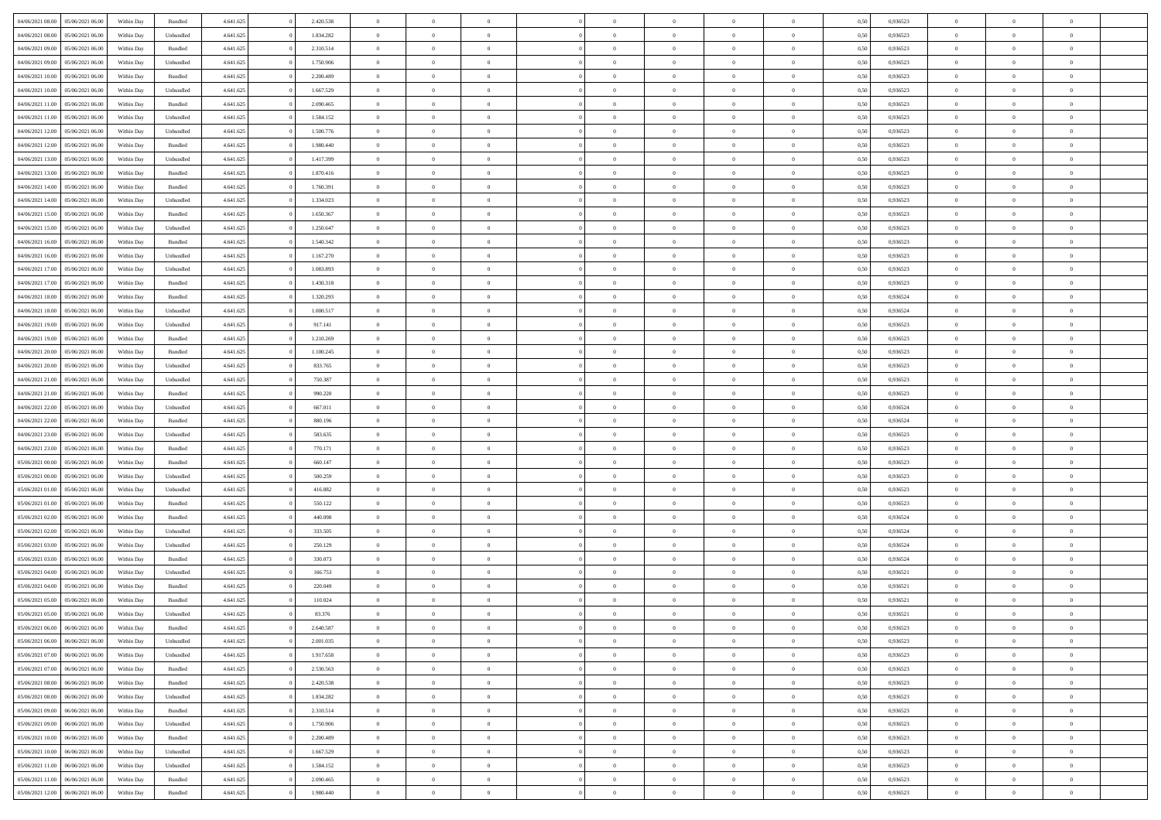| 04/06/2021 08:00 | 05/06/2021 06:00 | Within Day | Bundled            | 4.641.625 | 2.420.538 | $\overline{0}$ | $\Omega$       |                | $\Omega$       | $\Omega$       | $\theta$       | $\theta$       | 0.50 | 0.936523 | $\theta$       | $\theta$       | $\theta$       |  |
|------------------|------------------|------------|--------------------|-----------|-----------|----------------|----------------|----------------|----------------|----------------|----------------|----------------|------|----------|----------------|----------------|----------------|--|
|                  |                  |            |                    |           |           |                |                |                |                |                |                |                |      |          |                |                |                |  |
| 04/06/2021 08:00 | 05/06/2021 06:00 | Within Day | Unbundled          | 4.641.625 | 1.834.282 | $\overline{0}$ | $\theta$       | $\overline{0}$ | $\overline{0}$ | $\bf{0}$       | $\overline{0}$ | $\bf{0}$       | 0,50 | 0,936523 | $\theta$       | $\overline{0}$ | $\overline{0}$ |  |
| 04/06/2021 09:00 | 05/06/2021 06:00 | Within Day | Bundled            | 4.641.625 | 2.310.514 | $\overline{0}$ | $\bf{0}$       | $\overline{0}$ | $\bf{0}$       | $\bf{0}$       | $\bf{0}$       | $\mathbf{0}$   | 0,50 | 0,936523 | $\overline{0}$ | $\overline{0}$ | $\bf{0}$       |  |
| 04/06/2021 09:00 | 05/06/2021 06:00 | Within Day | Unbundled          | 4.641.625 | 1.750.906 | $\overline{0}$ | $\overline{0}$ | $\overline{0}$ | $\overline{0}$ | $\bf{0}$       | $\overline{0}$ | $\overline{0}$ | 0.50 | 0.936523 | $\theta$       | $\theta$       | $\overline{0}$ |  |
| 04/06/2021 10:00 | 05/06/2021 06:00 | Within Day | Bundled            | 4.641.625 | 2.200.489 | $\overline{0}$ | $\theta$       | $\overline{0}$ | $\overline{0}$ | $\bf{0}$       | $\overline{0}$ | $\bf{0}$       | 0,50 | 0,936523 | $\theta$       | $\overline{0}$ | $\overline{0}$ |  |
| 04/06/2021 10:00 | 05/06/2021 06:00 | Within Day | Unbundled          | 4.641.625 | 1.667.529 | $\overline{0}$ | $\overline{0}$ | $\overline{0}$ | $\overline{0}$ | $\overline{0}$ | $\overline{0}$ | $\mathbf{0}$   | 0,50 | 0,936523 | $\overline{0}$ | $\overline{0}$ | $\bf{0}$       |  |
|                  |                  |            |                    |           |           |                | $\overline{0}$ |                |                | $\overline{0}$ |                |                |      |          | $\theta$       | $\overline{0}$ | $\overline{0}$ |  |
| 04/06/2021 11:00 | 05/06/2021 06:00 | Within Dav | Bundled            | 4.641.625 | 2.090.465 | $\overline{0}$ |                | $\overline{0}$ | $\overline{0}$ |                | $\overline{0}$ | $\overline{0}$ | 0.50 | 0.936523 |                |                |                |  |
| 04/06/2021 11:00 | 05/06/2021 06:00 | Within Day | Unbundled          | 4.641.625 | 1.584.152 | $\overline{0}$ | $\theta$       | $\overline{0}$ | $\overline{0}$ | $\bf{0}$       | $\overline{0}$ | $\bf{0}$       | 0,50 | 0,936523 | $\theta$       | $\theta$       | $\overline{0}$ |  |
| 04/06/2021 12:00 | 05/06/2021 06:00 | Within Day | Unbundled          | 4.641.625 | 1.500.776 | $\overline{0}$ | $\overline{0}$ | $\overline{0}$ | $\overline{0}$ | $\bf{0}$       | $\overline{0}$ | $\bf{0}$       | 0,50 | 0,936523 | $\,0\,$        | $\overline{0}$ | $\overline{0}$ |  |
| 04/06/2021 12:00 | 05/06/2021 06:00 | Within Dav | Bundled            | 4.641.625 | 1.980.440 | $\overline{0}$ | $\overline{0}$ | $\overline{0}$ | $\overline{0}$ | $\overline{0}$ | $\overline{0}$ | $\overline{0}$ | 0.50 | 0.936523 | $\theta$       | $\overline{0}$ | $\overline{0}$ |  |
| 04/06/2021 13:00 | 05/06/2021 06:00 | Within Day | Unbundled          | 4.641.625 | 1.417.399 | $\overline{0}$ | $\theta$       | $\overline{0}$ | $\overline{0}$ | $\bf{0}$       | $\overline{0}$ | $\bf{0}$       | 0,50 | 0,936523 | $\,$ 0 $\,$    | $\overline{0}$ | $\overline{0}$ |  |
| 04/06/2021 13:00 | 05/06/2021 06:00 | Within Day | Bundled            | 4.641.625 | 1.870.416 | $\overline{0}$ | $\bf{0}$       | $\overline{0}$ | $\overline{0}$ | $\bf{0}$       | $\overline{0}$ | $\mathbf{0}$   | 0,50 | 0,936523 | $\overline{0}$ | $\overline{0}$ | $\bf{0}$       |  |
| 04/06/2021 14:00 | 05/06/2021 06:00 | Within Day | Bundled            | 4.641.625 | 1.760.391 | $\overline{0}$ | $\overline{0}$ | $\overline{0}$ | $\overline{0}$ | $\bf{0}$       | $\overline{0}$ | $\overline{0}$ | 0.50 | 0.936523 | $\theta$       | $\theta$       | $\overline{0}$ |  |
| 04/06/2021 14:00 | 05/06/2021 06:00 |            |                    | 4.641.625 | 1.334.023 | $\overline{0}$ | $\theta$       | $\overline{0}$ | $\overline{0}$ | $\bf{0}$       | $\overline{0}$ |                |      | 0,936523 | $\theta$       | $\overline{0}$ | $\overline{0}$ |  |
|                  |                  | Within Day | Unbundled          |           |           |                |                |                |                |                |                | $\bf{0}$       | 0,50 |          |                |                |                |  |
| 04/06/2021 15:00 | 05/06/2021 06:00 | Within Day | Bundled            | 4.641.625 | 1.650.367 | $\overline{0}$ | $\overline{0}$ | $\overline{0}$ | $\overline{0}$ | $\overline{0}$ | $\overline{0}$ | $\mathbf{0}$   | 0,50 | 0,936523 | $\overline{0}$ | $\overline{0}$ | $\bf{0}$       |  |
| 04/06/2021 15:00 | 05/06/2021 06:00 | Within Dav | Unbundled          | 4.641.625 | 1.250.647 | $\overline{0}$ | $\overline{0}$ | $\overline{0}$ | $\overline{0}$ | $\overline{0}$ | $\overline{0}$ | $\overline{0}$ | 0.50 | 0.936523 | $\theta$       | $\overline{0}$ | $\overline{0}$ |  |
| 04/06/2021 16:00 | 05/06/2021 06:00 | Within Day | Bundled            | 4.641.625 | 1.540.342 | $\overline{0}$ | $\theta$       | $\overline{0}$ | $\overline{0}$ | $\bf{0}$       | $\overline{0}$ | $\bf{0}$       | 0,50 | 0,936523 | $\theta$       | $\theta$       | $\overline{0}$ |  |
| 04/06/2021 16:00 | 05/06/2021 06:00 | Within Day | Unbundled          | 4.641.625 | 1.167.270 | $\overline{0}$ | $\overline{0}$ | $\overline{0}$ | $\overline{0}$ | $\bf{0}$       | $\overline{0}$ | $\mathbf{0}$   | 0,50 | 0,936523 | $\,0\,$        | $\overline{0}$ | $\bf{0}$       |  |
| 04/06/2021 17:00 | 05/06/2021 06:00 | Within Dav | Unbundled          | 4.641.625 | 1.083.893 | $\overline{0}$ | $\overline{0}$ | $\overline{0}$ | $\overline{0}$ | $\overline{0}$ | $\overline{0}$ | $\overline{0}$ | 0.50 | 0.936523 | $\theta$       | $\overline{0}$ | $\overline{0}$ |  |
| 04/06/2021 17:00 | 05/06/2021 06:00 | Within Day | Bundled            | 4.641.625 | 1.430.318 | $\overline{0}$ | $\theta$       | $\overline{0}$ | $\overline{0}$ | $\bf{0}$       | $\overline{0}$ | $\bf{0}$       | 0,50 | 0,936523 | $\,$ 0 $\,$    | $\overline{0}$ | $\overline{0}$ |  |
| 04/06/2021 18:00 | 05/06/2021 06:00 | Within Day | Bundled            | 4.641.625 | 1.320.293 | $\overline{0}$ | $\overline{0}$ | $\overline{0}$ | $\overline{0}$ | $\bf{0}$       | $\overline{0}$ | $\bf{0}$       | 0,50 | 0,936524 | $\bf{0}$       | $\overline{0}$ | $\bf{0}$       |  |
| 04/06/2021 18:00 | 05/06/2021 06:00 | Within Day | Unbundled          | 4.641.625 | 1.000.517 | $\overline{0}$ | $\overline{0}$ | $\overline{0}$ | $\overline{0}$ | $\bf{0}$       | $\overline{0}$ | $\overline{0}$ | 0.50 | 0.936524 | $\theta$       | $\overline{0}$ | $\overline{0}$ |  |
|                  |                  |            |                    |           |           |                |                |                |                |                |                |                |      |          |                |                |                |  |
| 04/06/2021 19:00 | 05/06/2021 06:00 | Within Day | Unbundled          | 4.641.625 | 917.141   | $\overline{0}$ | $\theta$       | $\overline{0}$ | $\overline{0}$ | $\bf{0}$       | $\overline{0}$ | $\bf{0}$       | 0,50 | 0,936523 | $\theta$       | $\overline{0}$ | $\overline{0}$ |  |
| 04/06/2021 19:00 | 05/06/2021 06:00 | Within Day | Bundled            | 4.641.625 | 1.210.269 | $\overline{0}$ | $\overline{0}$ | $\overline{0}$ | $\bf{0}$       | $\overline{0}$ | $\overline{0}$ | $\mathbf{0}$   | 0,50 | 0,936523 | $\overline{0}$ | $\overline{0}$ | $\bf{0}$       |  |
| 04/06/2021 20:00 | 05/06/2021 06:00 | Within Dav | Bundled            | 4.641.625 | 1.100.245 | $\overline{0}$ | $\overline{0}$ | $\overline{0}$ | $\overline{0}$ | $\overline{0}$ | $\overline{0}$ | $\overline{0}$ | 0.50 | 0.936523 | $\theta$       | $\overline{0}$ | $\overline{0}$ |  |
| 04/06/2021 20:00 | 05/06/2021 06:00 | Within Day | Unbundled          | 4.641.625 | 833.765   | $\overline{0}$ | $\theta$       | $\overline{0}$ | $\overline{0}$ | $\bf{0}$       | $\overline{0}$ | $\bf{0}$       | 0,50 | 0,936523 | $\theta$       | $\theta$       | $\overline{0}$ |  |
| 04/06/2021 21.00 | 05/06/2021 06:00 | Within Day | Unbundled          | 4.641.625 | 750.387   | $\overline{0}$ | $\overline{0}$ | $\overline{0}$ | $\bf{0}$       | $\bf{0}$       | $\bf{0}$       | $\bf{0}$       | 0,50 | 0,936523 | $\,0\,$        | $\overline{0}$ | $\overline{0}$ |  |
| 04/06/2021 21:00 | 05/06/2021 06:00 | Within Day | Bundled            | 4.641.625 | 990.220   | $\overline{0}$ | $\overline{0}$ | $\overline{0}$ | $\overline{0}$ | $\overline{0}$ | $\overline{0}$ | $\overline{0}$ | 0.50 | 0.936523 | $\theta$       | $\overline{0}$ | $\overline{0}$ |  |
| 04/06/2021 22.00 | 05/06/2021 06:00 | Within Day | Unbundled          | 4.641.625 | 667.011   | $\overline{0}$ | $\theta$       | $\overline{0}$ | $\overline{0}$ | $\bf{0}$       | $\overline{0}$ | $\bf{0}$       | 0,50 | 0,936524 | $\,$ 0 $\,$    | $\overline{0}$ | $\overline{0}$ |  |
|                  |                  |            |                    |           |           |                |                |                |                | $\bf{0}$       |                |                |      |          |                | $\overline{0}$ | $\bf{0}$       |  |
| 04/06/2021 22.00 | 05/06/2021 06:00 | Within Day | Bundled            | 4.641.625 | 880.196   | $\overline{0}$ | $\overline{0}$ | $\overline{0}$ | $\bf{0}$       |                | $\bf{0}$       | $\bf{0}$       | 0,50 | 0,936524 | $\overline{0}$ |                |                |  |
| 04/06/2021 23:00 | 05/06/2021 06:00 | Within Day | Unbundled          | 4.641.625 | 583.635   | $\overline{0}$ | $\Omega$       | $\Omega$       | $\Omega$       | $\Omega$       | $\overline{0}$ | $\overline{0}$ | 0,50 | 0,936523 | $\,0\,$        | $\theta$       | $\theta$       |  |
| 04/06/2021 23:00 | 05/06/2021 06:00 | Within Day | Bundled            | 4.641.625 | 770.171   | $\overline{0}$ | $\theta$       | $\overline{0}$ | $\overline{0}$ | $\bf{0}$       | $\overline{0}$ | $\bf{0}$       | 0,50 | 0,936523 | $\theta$       | $\overline{0}$ | $\overline{0}$ |  |
| 05/06/2021 00:00 | 05/06/2021 06:00 | Within Day | Bundled            | 4.641.625 | 660.147   | $\overline{0}$ | $\overline{0}$ | $\overline{0}$ | $\bf{0}$       | $\overline{0}$ | $\overline{0}$ | $\mathbf{0}$   | 0,50 | 0,936523 | $\overline{0}$ | $\overline{0}$ | $\bf{0}$       |  |
| 05/06/2021 00:00 | 05/06/2021 06:00 | Within Day | Unbundled          | 4.641.625 | 500.259   | $\overline{0}$ | $\Omega$       | $\Omega$       | $\Omega$       | $\bf{0}$       | $\overline{0}$ | $\overline{0}$ | 0.50 | 0.936523 | $\,0\,$        | $\theta$       | $\theta$       |  |
| 05/06/2021 01:00 | 05/06/2021 06:00 | Within Day | Unbundled          | 4.641.625 | 416.882   | $\overline{0}$ | $\theta$       | $\overline{0}$ | $\overline{0}$ | $\bf{0}$       | $\overline{0}$ | $\bf{0}$       | 0,50 | 0,936523 | $\theta$       | $\overline{0}$ | $\overline{0}$ |  |
| 05/06/2021 01:00 | 05/06/2021 06:00 | Within Day | Bundled            | 4.641.625 | 550.122   | $\overline{0}$ | $\overline{0}$ | $\overline{0}$ | $\bf{0}$       | $\bf{0}$       | $\bf{0}$       | $\bf{0}$       | 0,50 | 0,936523 | $\bf{0}$       | $\overline{0}$ | $\bf{0}$       |  |
| 05/06/2021 02:00 | 05/06/2021 06:00 | Within Day | Bundled            | 4.641.625 | 440,098   | $\overline{0}$ | $\Omega$       | $\Omega$       | $\Omega$       | $\theta$       | $\overline{0}$ | $\overline{0}$ | 0.50 | 0.936524 | $\theta$       | $\theta$       | $\theta$       |  |
| 05/06/2021 02:00 | 05/06/2021 06:00 | Within Day | Unbundled          | 4.641.625 | 333.505   | $\overline{0}$ | $\theta$       | $\overline{0}$ | $\overline{0}$ | $\bf{0}$       | $\overline{0}$ | $\bf{0}$       | 0,50 | 0,936524 | $\,$ 0 $\,$    | $\overline{0}$ | $\overline{0}$ |  |
|                  |                  |            |                    |           |           |                |                |                |                |                |                |                |      |          |                |                |                |  |
| 05/06/2021 03:00 | 05/06/2021 06:00 | Within Day | Unbundled          | 4.641.625 | 250.129   | $\overline{0}$ | $\overline{0}$ | $\overline{0}$ | $\bf{0}$       | $\bf{0}$       | $\bf{0}$       | $\mathbf{0}$   | 0,50 | 0,936524 | $\overline{0}$ | $\overline{0}$ | $\bf{0}$       |  |
| 05/06/2021 03:00 | 05/06/2021 06:00 | Within Day | Bundled            | 4.641.625 | 330,073   | $\overline{0}$ | $\Omega$       | $\Omega$       | $\Omega$       | $\overline{0}$ | $\overline{0}$ | $\overline{0}$ | 0,50 | 0,936524 | $\,0\,$        | $\theta$       | $\theta$       |  |
| 05/06/2021 04:00 | 05/06/2021 06:00 | Within Day | Unbundled          | 4.641.625 | 166.753   | $\overline{0}$ | $\overline{0}$ | $\overline{0}$ | $\overline{0}$ | $\,$ 0         | $\overline{0}$ | $\bf{0}$       | 0,50 | 0,936521 | $\,$ 0 $\,$    | $\overline{0}$ | $\overline{0}$ |  |
| 05/06/2021 04:00 | 05/06/2021 06:00 | Within Day | Bundled            | 4.641.625 | 220.049   | $\overline{0}$ | $\overline{0}$ | $\overline{0}$ | $\bf{0}$       | $\bf{0}$       | $\bf{0}$       | $\mathbf{0}$   | 0,50 | 0,936521 | $\overline{0}$ | $\overline{0}$ | $\bf{0}$       |  |
| 05/06/2021 05:00 | 05/06/2021 06:00 | Within Day | Bundled            | 4.641.625 | 110.024   | $\overline{0}$ | $\Omega$       | $\Omega$       | $\Omega$       | $\Omega$       | $\Omega$       | $\overline{0}$ | 0.50 | 0.936521 | $\theta$       | $\theta$       | $\theta$       |  |
| 05/06/2021 05:00 | 05/06/2021 06:00 | Within Day | Unbundled          | 4.641.625 | 83.376    | $\overline{0}$ | $\overline{0}$ | $\overline{0}$ | $\bf{0}$       | $\,$ 0         | $\overline{0}$ | $\bf{0}$       | 0,50 | 0,936521 | $\,0\,$        | $\,$ 0 $\,$    | $\overline{0}$ |  |
| 05/06/2021 06:00 | 06/06/2021 06:00 | Within Day | $\mathbf B$ undled | 4.641.625 | 2.640.587 | $\bf{0}$       | $\bf{0}$       |                |                | $\bf{0}$       |                |                | 0,50 | 0,936523 | $\bf{0}$       | $\overline{0}$ |                |  |
| 05/06/2021 06:00 | 06/06/2021 06:00 | Within Day | Unbundled          | 4.641.625 | 2.001.035 | $\overline{0}$ | $\overline{0}$ | $\overline{0}$ | $\Omega$       | $\theta$       | $\overline{0}$ | $\overline{0}$ | 0.50 | 0.936523 | $\theta$       | $\theta$       | $\theta$       |  |
| 05/06/2021 07:00 | 06/06/2021 06:00 | Within Day | Unbundled          | 4.641.625 | 1.917.658 | $\overline{0}$ | $\,$ 0         | $\overline{0}$ | $\overline{0}$ | $\,$ 0 $\,$    | $\overline{0}$ | $\mathbf{0}$   | 0,50 | 0,936523 | $\,$ 0 $\,$    | $\,$ 0 $\,$    | $\,$ 0         |  |
|                  |                  |            |                    |           |           |                |                |                |                |                |                |                |      |          |                |                |                |  |
| 05/06/2021 07:00 | 06/06/2021 06:00 | Within Day | Bundled            | 4.641.625 | 2.530.563 | $\overline{0}$ | $\overline{0}$ | $\overline{0}$ | $\overline{0}$ | $\overline{0}$ | $\overline{0}$ | $\mathbf{0}$   | 0,50 | 0,936523 | $\overline{0}$ | $\bf{0}$       | $\bf{0}$       |  |
| 05/06/2021 08:00 | 06/06/2021 06:00 | Within Day | Bundled            | 4.641.625 | 2.420.538 | $\overline{0}$ | $\overline{0}$ | $\overline{0}$ | $\Omega$       | $\overline{0}$ | $\overline{0}$ | $\bf{0}$       | 0,50 | 0,936523 | $\overline{0}$ | $\theta$       | $\overline{0}$ |  |
| 05/06/2021 08:00 | 06/06/2021 06:00 | Within Day | Unbundled          | 4.641.625 | 1.834.282 | $\overline{0}$ | $\,$ 0         | $\overline{0}$ | $\overline{0}$ | $\overline{0}$ | $\overline{0}$ | $\bf{0}$       | 0,50 | 0,936523 | $\,$ 0 $\,$    | $\overline{0}$ | $\overline{0}$ |  |
| 05/06/2021 09:00 | 06/06/2021 06:00 | Within Day | Bundled            | 4.641.625 | 2.310.514 | $\overline{0}$ | $\overline{0}$ | $\overline{0}$ | $\overline{0}$ | $\overline{0}$ | $\overline{0}$ | $\mathbf{0}$   | 0,50 | 0,936523 | $\overline{0}$ | $\bf{0}$       | $\bf{0}$       |  |
| 05/06/2021 09:00 | 06/06/2021 06:00 | Within Day | Unbundled          | 4.641.625 | 1.750.906 | $\overline{0}$ | $\overline{0}$ | $\overline{0}$ | $\Omega$       | $\overline{0}$ | $\overline{0}$ | $\bf{0}$       | 0.50 | 0,936523 | $\overline{0}$ | $\theta$       | $\overline{0}$ |  |
| 05/06/2021 10:00 | 06/06/2021 06:00 | Within Day | Bundled            | 4.641.625 | 2.200.489 | $\overline{0}$ | $\,$ 0         | $\overline{0}$ | $\overline{0}$ | $\bf{0}$       | $\overline{0}$ | $\bf{0}$       | 0,50 | 0,936523 | $\,$ 0 $\,$    | $\overline{0}$ | $\overline{0}$ |  |
| 05/06/2021 10:00 | 06/06/2021 06:00 | Within Day | Unbundled          | 4.641.625 | 1.667.529 | $\overline{0}$ | $\bf{0}$       | $\overline{0}$ | $\overline{0}$ | $\overline{0}$ | $\overline{0}$ | $\mathbf{0}$   | 0,50 | 0,936523 | $\overline{0}$ | $\overline{0}$ | $\bf{0}$       |  |
| 05/06/2021 11:00 | 06/06/2021 06:00 | Within Day | Unbundled          | 4.641.625 | 1.584.152 | $\overline{0}$ | $\overline{0}$ | $\overline{0}$ | $\Omega$       | $\overline{0}$ | $\overline{0}$ | $\bf{0}$       | 0.50 | 0.936523 | $\overline{0}$ | $\overline{0}$ | $\overline{0}$ |  |
|                  |                  |            |                    |           |           |                |                |                |                |                |                |                |      |          |                |                |                |  |
| 05/06/2021 11:00 | 06/06/2021 06:00 | Within Day | Bundled            | 4.641.625 | 2.090.465 | $\overline{0}$ | $\bf{0}$       | $\overline{0}$ | $\overline{0}$ | $\bf{0}$       | $\overline{0}$ | $\mathbf{0}$   | 0,50 | 0,936523 | $\,$ 0 $\,$    | $\,$ 0 $\,$    | $\bf{0}$       |  |
| 05/06/2021 12:00 | 06/06/2021 06:00 | Within Day | Bundled            | 4.641.625 | 1.980.440 | $\overline{0}$ | $\overline{0}$ | $\overline{0}$ | $\overline{0}$ | $\bf{0}$       | $\overline{0}$ | $\mathbf{0}$   | 0,50 | 0,936523 | $\overline{0}$ | $\bf{0}$       | $\bf{0}$       |  |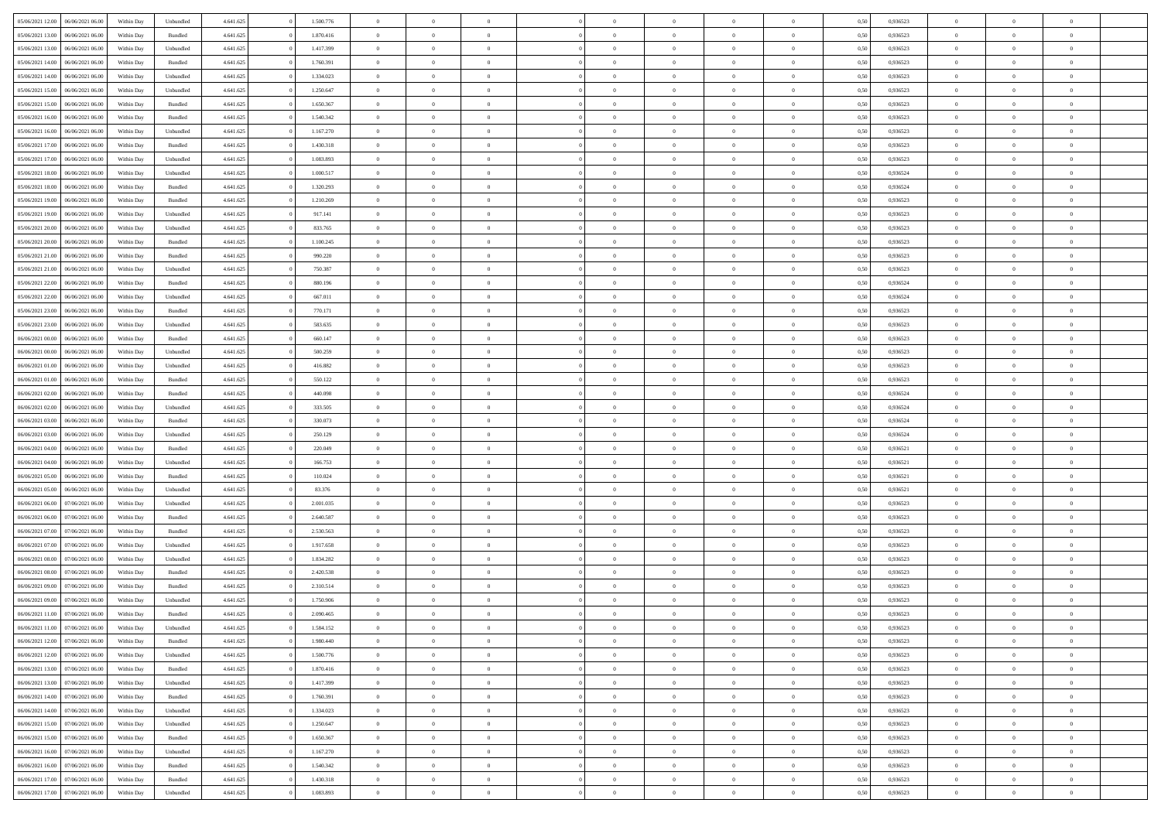| 05/06/2021 12:00                  | 06/06/2021 06:00 | Within Day | Unbundled | 4.641.625 | 1.500.776 | $\overline{0}$ | $\theta$       |                | $\overline{0}$ | $\bf{0}$       | $\overline{0}$ | $\theta$       | 0,50 | 0,936523 | $\theta$       | $\theta$       | $\overline{0}$           |  |
|-----------------------------------|------------------|------------|-----------|-----------|-----------|----------------|----------------|----------------|----------------|----------------|----------------|----------------|------|----------|----------------|----------------|--------------------------|--|
|                                   |                  |            |           |           |           | $\overline{0}$ | $\overline{0}$ |                |                |                |                |                |      |          |                |                | $\overline{0}$           |  |
| 05/06/2021 13:00                  | 06/06/2021 06.0  | Within Day | Bundled   | 4.641.625 | 1.870.416 |                |                | $\overline{0}$ | $\overline{0}$ | $\,$ 0         | $\overline{0}$ | $\bf{0}$       | 0,50 | 0,936523 | $\,$ 0 $\,$    | $\overline{0}$ |                          |  |
| 05/06/2021 13:00                  | 06/06/2021 06:00 | Within Day | Unbundled | 4.641.625 | 1.417.399 | $\overline{0}$ | $\overline{0}$ | $\overline{0}$ | $\overline{0}$ | $\bf{0}$       | $\overline{0}$ | $\mathbf{0}$   | 0.50 | 0.936523 | $\bf{0}$       | $\overline{0}$ | $\overline{0}$           |  |
| 05/06/2021 14:00                  | 06/06/2021 06:00 | Within Day | Bundled   | 4.641.625 | 1.760.391 | $\overline{0}$ | $\overline{0}$ | $\overline{0}$ | $\overline{0}$ | $\,$ 0         | $\overline{0}$ | $\overline{0}$ | 0,50 | 0,936523 | $\,$ 0 $\,$    | $\overline{0}$ | $\overline{0}$           |  |
| 05/06/2021 14:00                  | 06/06/2021 06.00 | Within Day | Unbundled | 4.641.625 | 1.334.023 | $\overline{0}$ | $\theta$       | $\overline{0}$ |                | $\overline{0}$ | $\overline{0}$ | $\bf{0}$       | 0,50 | 0,936523 | $\,$ 0 $\,$    | $\overline{0}$ | $\overline{0}$           |  |
| 05/06/2021 15:00                  | 06/06/2021 06:00 | Within Day | Unbundled | 4.641.625 | 1.250.647 | $\overline{0}$ | $\overline{0}$ | $\overline{0}$ | $\overline{0}$ | $\bf{0}$       | $\overline{0}$ | $\overline{0}$ | 0.50 | 0.936523 | $\,0\,$        | $\theta$       | $\overline{0}$           |  |
| 05/06/2021 15:00                  | 06/06/2021 06:00 | Within Day | Bundled   | 4.641.625 | 1.650.367 | $\overline{0}$ | $\overline{0}$ | $\overline{0}$ | $\overline{0}$ | $\,$ 0         | $\overline{0}$ | $\overline{0}$ | 0,50 | 0,936523 | $\,$ 0 $\,$    | $\theta$       | $\overline{0}$           |  |
| 05/06/2021 16:00                  | 06/06/2021 06.00 | Within Day | Bundled   | 4.641.625 | 1.540.342 | $\overline{0}$ | $\theta$       | $\overline{0}$ | $\overline{0}$ | $\bf{0}$       | $\overline{0}$ | $\bf{0}$       | 0,50 | 0,936523 | $\,$ 0 $\,$    | $\overline{0}$ | $\overline{0}$           |  |
| 05/06/2021 16:00                  | 06/06/2021 06:00 | Within Day | Unbundled | 4.641.625 | 1.167.270 | $\overline{0}$ | $\overline{0}$ | $\overline{0}$ | $\overline{0}$ | $\bf{0}$       | $\overline{0}$ | $\bf{0}$       | 0.50 | 0.936523 | $\,0\,$        | $\overline{0}$ | $\overline{0}$           |  |
| 05/06/2021 17:00                  | 06/06/2021 06:00 | Within Day | Bundled   | 4.641.625 | 1.430.318 | $\overline{0}$ | $\overline{0}$ | $\overline{0}$ | $\overline{0}$ | $\,$ 0         | $\overline{0}$ | $\bf{0}$       | 0,50 | 0,936523 | $\,$ 0 $\,$    | $\overline{0}$ | $\overline{0}$           |  |
|                                   |                  |            |           |           |           |                |                |                |                |                |                |                |      |          |                |                |                          |  |
| 05/06/2021 17:00                  | 06/06/2021 06.00 | Within Day | Unbundled | 4.641.625 | 1.083.893 | $\overline{0}$ | $\theta$       | $\overline{0}$ | $\overline{0}$ | $\,$ 0         | $\overline{0}$ | $\bf{0}$       | 0,50 | 0,936523 | $\,$ 0 $\,$    | $\overline{0}$ | $\overline{0}$           |  |
| 05/06/2021 18:00                  | 06/06/2021 06:00 | Within Day | Unbundled | 4.641.625 | 1.000.517 | $\overline{0}$ | $\overline{0}$ | $\overline{0}$ | $\overline{0}$ | $\bf{0}$       | $\overline{0}$ | $\mathbf{0}$   | 0.50 | 0.936524 | $\bf{0}$       | $\overline{0}$ | $\overline{\phantom{a}}$ |  |
| 05/06/2021 18:00                  | 06/06/2021 06:00 | Within Day | Bundled   | 4.641.625 | 1.320.293 | $\overline{0}$ | $\overline{0}$ | $\overline{0}$ | $\overline{0}$ | $\,$ 0         | $\overline{0}$ | $\overline{0}$ | 0,50 | 0,936524 | $\,$ 0 $\,$    | $\overline{0}$ | $\overline{0}$           |  |
| 05/06/2021 19:00                  | 06/06/2021 06.00 | Within Day | Bundled   | 4.641.625 | 1.210.269 | $\overline{0}$ | $\theta$       | $\overline{0}$ | $\overline{0}$ | $\overline{0}$ | $\overline{0}$ | $\bf{0}$       | 0,50 | 0,936523 | $\,$ 0 $\,$    | $\overline{0}$ | $\overline{0}$           |  |
| 05/06/2021 19:00                  | 06/06/2021 06:00 | Within Day | Unbundled | 4.641.625 | 917.141   | $\overline{0}$ | $\overline{0}$ | $\overline{0}$ | $\overline{0}$ | $\,$ 0         | $\overline{0}$ | $\bf{0}$       | 0.50 | 0.936523 | $\theta$       | $\theta$       | $\overline{0}$           |  |
| 05/06/2021 20:00                  | 06/06/2021 06:00 | Within Day | Unbundled | 4.641.625 | 833.765   | $\overline{0}$ | $\overline{0}$ | $\overline{0}$ | $\overline{0}$ | $\,$ 0         | $\overline{0}$ | $\bf{0}$       | 0,50 | 0,936523 | $\,$ 0 $\,$    | $\theta$       | $\overline{0}$           |  |
| 05/06/2021 20:00                  | 06/06/2021 06.00 | Within Day | Bundled   | 4.641.625 | 1.100.245 | $\overline{0}$ | $\theta$       | $\overline{0}$ | $\overline{0}$ | $\bf{0}$       | $\overline{0}$ | $\bf{0}$       | 0,50 | 0,936523 | $\,$ 0 $\,$    | $\overline{0}$ | $\overline{0}$           |  |
| 05/06/2021 21:00                  | 06/06/2021 06:00 | Within Day | Bundled   | 4.641.625 | 990.220   | $\overline{0}$ | $\overline{0}$ | $\overline{0}$ | $\overline{0}$ | $\bf{0}$       | $\overline{0}$ | $\bf{0}$       | 0.50 | 0.936523 | $\,0\,$        | $\overline{0}$ | $\overline{0}$           |  |
| 05/06/2021 21:00                  | 06/06/2021 06:00 | Within Day | Unbundled | 4.641.625 | 750.387   | $\overline{0}$ | $\overline{0}$ | $\overline{0}$ | $\overline{0}$ | $\,$ 0         | $\overline{0}$ | $\bf{0}$       | 0,50 | 0,936523 | $\,$ 0 $\,$    | $\overline{0}$ | $\overline{0}$           |  |
|                                   |                  |            |           |           |           |                | $\theta$       | $\overline{0}$ | $\overline{0}$ | $\,$ 0         |                |                |      |          | $\,$ 0 $\,$    | $\overline{0}$ | $\overline{0}$           |  |
| 05/06/2021 22.00                  | 06/06/2021 06.00 | Within Day | Bundled   | 4.641.625 | 880.196   | $\overline{0}$ |                |                |                |                | $\bf{0}$       | $\bf{0}$       | 0,50 | 0,936524 |                |                |                          |  |
| 05/06/2021 22:00                  | 06/06/2021 06:00 | Within Day | Unbundled | 4.641.625 | 667.011   | $\overline{0}$ | $\overline{0}$ | $\overline{0}$ | $\overline{0}$ | $\bf{0}$       | $\overline{0}$ | $\mathbf{0}$   | 0.50 | 0.936524 | $\bf{0}$       | $\overline{0}$ | $\overline{\phantom{a}}$ |  |
| 05/06/2021 23:00                  | 06/06/2021 06:00 | Within Day | Bundled   | 4.641.625 | 770.171   | $\overline{0}$ | $\overline{0}$ | $\overline{0}$ | $\overline{0}$ | $\bf{0}$       | $\overline{0}$ | $\overline{0}$ | 0,50 | 0,936523 | $\,$ 0 $\,$    | $\overline{0}$ | $\overline{0}$           |  |
| 05/06/2021 23:00                  | 06/06/2021 06.00 | Within Day | Unbundled | 4.641.625 | 583.635   | $\overline{0}$ | $\theta$       | $\overline{0}$ | $\overline{0}$ | $\bf{0}$       | $\overline{0}$ | $\bf{0}$       | 0,50 | 0,936523 | $\,$ 0 $\,$    | $\overline{0}$ | $\overline{0}$           |  |
| 06/06/2021 00:00                  | 06/06/2021 06:00 | Within Day | Bundled   | 4.641.625 | 660.147   | $\overline{0}$ | $\overline{0}$ | $\overline{0}$ | $\overline{0}$ | $\bf{0}$       | $\overline{0}$ | $\bf{0}$       | 0.50 | 0.936523 | $\,0\,$        | $\theta$       | $\overline{0}$           |  |
| 06/06/2021 00:00                  | 06/06/2021 06:00 | Within Day | Unbundled | 4.641.625 | 500.259   | $\overline{0}$ | $\overline{0}$ | $\overline{0}$ | $\overline{0}$ | $\,$ 0         | $\overline{0}$ | $\overline{0}$ | 0,50 | 0,936523 | $\,$ 0 $\,$    | $\theta$       | $\overline{0}$           |  |
| 06/06/2021 01:00                  | 06/06/2021 06.00 | Within Day | Unbundled | 4.641.625 | 416.882   | $\overline{0}$ | $\theta$       | $\overline{0}$ |                | $\bf{0}$       | $\overline{0}$ | $\bf{0}$       | 0,50 | 0,936523 | $\,$ 0 $\,$    | $\overline{0}$ | $\overline{0}$           |  |
| 06/06/2021 01:00                  | 06/06/2021 06:00 | Within Day | Bundled   | 4.641.625 | 550.122   | $\overline{0}$ | $\overline{0}$ | $\overline{0}$ | $\overline{0}$ | $\bf{0}$       | $\overline{0}$ | $\bf{0}$       | 0.50 | 0.936523 | $\,0\,$        | $\overline{0}$ | $\overline{0}$           |  |
| 06/06/2021 02:00                  | 06/06/2021 06:00 | Within Day | Bundled   | 4.641.625 | 440.098   | $\overline{0}$ | $\overline{0}$ | $\overline{0}$ | $\overline{0}$ | $\,$ 0         | $\overline{0}$ | $\bf{0}$       | 0,50 | 0,936524 | $\,$ 0 $\,$    | $\overline{0}$ | $\overline{0}$           |  |
| 06/06/2021 02:00                  | 06/06/2021 06.00 | Within Day | Unbundled | 4.641.625 | 333.505   | $\overline{0}$ | $\overline{0}$ | $\overline{0}$ | $\overline{0}$ | $\bf{0}$       | $\bf{0}$       | $\bf{0}$       | 0,50 | 0,936524 | $\,$ 0 $\,$    | $\overline{0}$ | $\overline{0}$           |  |
| 06/06/2021 03:00                  | 06/06/2021 06:00 | Within Day | Bundled   | 4.641.625 | 330.073   | $\overline{0}$ | $\overline{0}$ | $\overline{0}$ | $\overline{0}$ | $\bf{0}$       | $\overline{0}$ | $\mathbf{0}$   | 0.50 | 0.936524 | $\bf{0}$       | $\overline{0}$ | $\overline{\phantom{a}}$ |  |
| 06/06/2021 03:00                  | 06/06/2021 06:00 | Within Dav | Unbundled | 4.641.625 | 250.129   | $\overline{0}$ | $\overline{0}$ | $\overline{0}$ | $\overline{0}$ | $\mathbf{0}$   | $\overline{0}$ | $\overline{0}$ | 0.50 | 0,936524 | $\theta$       | $\overline{0}$ | $\overline{0}$           |  |
|                                   |                  |            |           |           |           |                |                |                |                |                |                |                |      |          |                |                |                          |  |
| 06/06/2021 04:00                  | 06/06/2021 06.00 | Within Day | Bundled   | 4.641.625 | 220.049   | $\overline{0}$ | $\theta$       | $\overline{0}$ | $\overline{0}$ | $\bf{0}$       | $\overline{0}$ | $\bf{0}$       | 0,50 | 0,936521 | $\,$ 0 $\,$    | $\overline{0}$ | $\overline{0}$           |  |
| 06/06/2021 04:00                  | 06/06/2021 06:00 | Within Day | Unbundled | 4.641.625 | 166,753   | $\overline{0}$ | $\overline{0}$ | $\overline{0}$ | $\overline{0}$ | $\,$ 0         | $\overline{0}$ | $\bf{0}$       | 0.50 | 0.936521 | $\,0\,$        | $\theta$       | $\overline{0}$           |  |
| 06/06/2021 05:00                  | 06/06/2021 06:00 | Within Dav | Bundled   | 4.641.625 | 110.024   | $\overline{0}$ | $\theta$       | $\Omega$       | $\overline{0}$ | $\bf{0}$       | $\overline{0}$ | $\overline{0}$ | 0.50 | 0,936521 | $\theta$       | $\overline{0}$ | $\overline{0}$           |  |
| 06/06/2021 05:00                  | 06/06/2021 06.00 | Within Day | Unbundled | 4.641.625 | 83.376    | $\overline{0}$ | $\theta$       | $\overline{0}$ | $\overline{0}$ | $\,$ 0         | $\overline{0}$ | $\bf{0}$       | 0,50 | 0,936521 | $\,$ 0 $\,$    | $\overline{0}$ | $\overline{0}$           |  |
| 06/06/2021 06:00                  | 07/06/2021 06:00 | Within Day | Unbundled | 4.641.625 | 2.001.035 | $\overline{0}$ | $\overline{0}$ | $\overline{0}$ | $\overline{0}$ | $\bf{0}$       | $\overline{0}$ | $\bf{0}$       | 0.50 | 0.936523 | $\,0\,$        | $\overline{0}$ | $\overline{0}$           |  |
| 06/06/2021 06:00                  | 07/06/2021 06:00 | Within Dav | Bundled   | 4.641.625 | 2.640.587 | $\overline{0}$ | $\overline{0}$ | $\overline{0}$ | $\overline{0}$ | $\overline{0}$ | $\overline{0}$ | $\overline{0}$ | 0.50 | 0.936523 | $\theta$       | $\overline{0}$ | $\overline{0}$           |  |
| 06/06/2021 07:00                  | 07/06/2021 06.00 | Within Day | Bundled   | 4.641.625 | 2.530.563 | $\overline{0}$ | $\overline{0}$ | $\overline{0}$ | $\overline{0}$ | $\bf{0}$       | $\overline{0}$ | $\bf{0}$       | 0,50 | 0,936523 | $\,$ 0 $\,$    | $\overline{0}$ | $\overline{0}$           |  |
| 06/06/2021 07:00                  | 07/06/2021 06:00 | Within Day | Unbundled | 4.641.625 | 1.917.658 | $\overline{0}$ | $\overline{0}$ | $\overline{0}$ | $\overline{0}$ | $\bf{0}$       | $\overline{0}$ | $\mathbf{0}$   | 0.50 | 0.936523 | $\bf{0}$       | $\overline{0}$ | $\overline{0}$           |  |
| 06/06/2021 08:00                  | 07/06/2021 06:00 | Within Dav | Unbundled | 4.641.625 | 1.834.282 | $\overline{0}$ | $\overline{0}$ | $\Omega$       | $\overline{0}$ | $\mathbf{0}$   | $\overline{0}$ | $\overline{0}$ | 0.50 | 0.936523 | $\theta$       | $\overline{0}$ | $\overline{0}$           |  |
| 06/06/2021 08:00                  | 07/06/2021 06.00 | Within Day | Bundled   | 4.641.625 | 2.420.538 | $\overline{0}$ | $\theta$       | $\overline{0}$ | $\overline{0}$ | $\,$ 0         | $\overline{0}$ | $\bf{0}$       | 0,50 | 0,936523 | $\,$ 0 $\,$    | $\overline{0}$ | $\overline{0}$           |  |
| 06/06/2021 09:00                  | 07/06/2021 06:00 | Within Day | Bundled   | 4.641.625 | 2.310.514 | $\overline{0}$ | $\theta$       | $\overline{0}$ | $\overline{0}$ | $\bf{0}$       | $\Omega$       | $\overline{0}$ | 0.50 | 0.936523 | $\,0\,$        | $\theta$       | $\overline{0}$           |  |
| 06/06/2021 09:00                  | 07/06/2021 06:00 | Within Dav | Unbundled | 4.641.625 | 1.750.906 | $\overline{0}$ | $\Omega$       | $\Omega$       | $\Omega$       | $\bf{0}$       | $\overline{0}$ |                | 0.50 | 0.936523 | $\theta$       | $\theta$       | $\overline{0}$           |  |
|                                   |                  |            |           |           |           |                |                |                |                |                |                | $\bf{0}$       |      |          |                |                |                          |  |
| 06/06/2021 11:00                  | 07/06/2021 06:00 | Within Day | Bundled   | 4.641.625 | 2.090.465 | $\overline{0}$ | $\,$ 0 $\,$    | $\overline{0}$ | $\overline{0}$ | $\,$ 0         | $\overline{0}$ | $\bf{0}$       | 0,50 | 0,936523 | $\,$ 0 $\,$    | $\overline{0}$ | $\overline{0}$           |  |
| 06/06/2021 11:00                  | 07/06/2021 06:00 | Within Day | Unbundled | 4.641.625 | 1.584.152 | $\bf{0}$       | $\theta$       |                |                |                |                |                | 0,50 | 0.936523 | $\theta$       | $\theta$       |                          |  |
| 06/06/2021 12:00                  | 07/06/2021 06:00 | Within Day | Bundled   | 4.641.625 | 1.980.440 | $\overline{0}$ | $\overline{0}$ | $\overline{0}$ | $\overline{0}$ | $\overline{0}$ | $\overline{0}$ | $\overline{0}$ | 0,50 | 0.936523 | $\theta$       | $\overline{0}$ | $\overline{0}$           |  |
| 06/06/2021 12:00                  | 07/06/2021 06:00 | Within Day | Unbundled | 4.641.625 | 1.500.776 | $\overline{0}$ | $\overline{0}$ | $\overline{0}$ | $\overline{0}$ | $\overline{0}$ | $\overline{0}$ | $\bf{0}$       | 0,50 | 0,936523 | $\bf{0}$       | $\overline{0}$ | $\bf{0}$                 |  |
| 06/06/2021 13:00                  | 07/06/2021 06:00 | Within Day | Bundled   | 4.641.625 | 1.870.416 | $\overline{0}$ | $\overline{0}$ | $\overline{0}$ | $\overline{0}$ | $\overline{0}$ | $\overline{0}$ | $\mathbf{0}$   | 0.50 | 0.936523 | $\overline{0}$ | $\bf{0}$       | $\bf{0}$                 |  |
| 06/06/2021 13:00                  | 07/06/2021 06:00 | Within Day | Unbundled | 4.641.625 | 1.417.399 | $\overline{0}$ | $\overline{0}$ | $\overline{0}$ | $\overline{0}$ | $\overline{0}$ | $\overline{0}$ | $\mathbf{0}$   | 0,50 | 0.936523 | $\overline{0}$ | $\theta$       | $\overline{0}$           |  |
| 06/06/2021 14:00                  | 07/06/2021 06:00 | Within Day | Bundled   | 4.641.625 | 1.760.391 | $\overline{0}$ | $\overline{0}$ | $\overline{0}$ | $\overline{0}$ | $\bf{0}$       | $\bf{0}$       | $\bf{0}$       | 0,50 | 0,936523 | $\bf{0}$       | $\overline{0}$ | $\overline{0}$           |  |
| 06/06/2021 14:00                  | 07/06/2021 06:00 | Within Day | Unbundled | 4.641.625 | 1.334.023 | $\overline{0}$ | $\overline{0}$ | $\overline{0}$ | $\overline{0}$ | $\bf{0}$       | $\overline{0}$ | $\mathbf{0}$   | 0.50 | 0.936523 | $\,$ 0 $\,$    | $\theta$       | $\overline{0}$           |  |
| 06/06/2021 15:00                  | 07/06/2021 06:00 | Within Day | Unbundled | 4.641.625 | 1.250.647 | $\overline{0}$ | $\overline{0}$ | $\overline{0}$ | $\overline{0}$ | $\overline{0}$ | $\overline{0}$ | $\overline{0}$ | 0,50 | 0.936523 | $\overline{0}$ | $\theta$       | $\overline{0}$           |  |
| 06/06/2021 15:00                  | 07/06/2021 06:00 | Within Day | Bundled   | 4.641.625 | 1.650.367 | $\overline{0}$ | $\,$ 0         | $\overline{0}$ | $\bf{0}$       | $\,$ 0 $\,$    | $\overline{0}$ | $\bf{0}$       | 0,50 | 0,936523 | $\,$ 0 $\,$    | $\overline{0}$ | $\overline{0}$           |  |
| 06/06/2021 16:00                  | 07/06/2021 06:00 | Within Day | Unbundled | 4.641.625 | 1.167.270 | $\overline{0}$ | $\overline{0}$ | $\overline{0}$ | $\overline{0}$ | $\bf{0}$       | $\overline{0}$ | $\mathbf{0}$   | 0.50 | 0.936523 | $\mathbf{0}$   | $\bf{0}$       | $\overline{0}$           |  |
|                                   |                  |            |           |           |           | $\overline{0}$ | $\overline{0}$ |                |                | $\overline{0}$ |                |                |      |          |                | $\theta$       | $\overline{0}$           |  |
| 06/06/2021 16:00                  | 07/06/2021 06:00 | Within Dav | Bundled   | 4.641.625 | 1.540.342 |                |                | $\overline{0}$ | $\overline{0}$ |                | $\overline{0}$ | $\overline{0}$ | 0,50 | 0.936523 | $\overline{0}$ |                |                          |  |
| 06/06/2021 17.00                  | 07/06/2021 06:00 | Within Day | Bundled   | 4.641.625 | 1.430.318 | $\overline{0}$ | $\overline{0}$ | $\overline{0}$ | $\bf{0}$       | $\bf{0}$       | $\bf{0}$       | $\bf{0}$       | 0,50 | 0,936523 | $\bf{0}$       | $\overline{0}$ | $\bf{0}$                 |  |
| 06/06/2021 17:00 07/06/2021 06:00 |                  | Within Day | Unbundled | 4.641.625 | 1.083.893 | $\,$ 0 $\,$    | $\,$ 0 $\,$    | $\overline{0}$ | $\overline{0}$ | $\,$ 0 $\,$    | $\,$ 0 $\,$    | $\,$ 0 $\,$    | 0,50 | 0,936523 | $\mathbf{0}^-$ | $\,$ 0 $\,$    | $\,$ 0 $\,$              |  |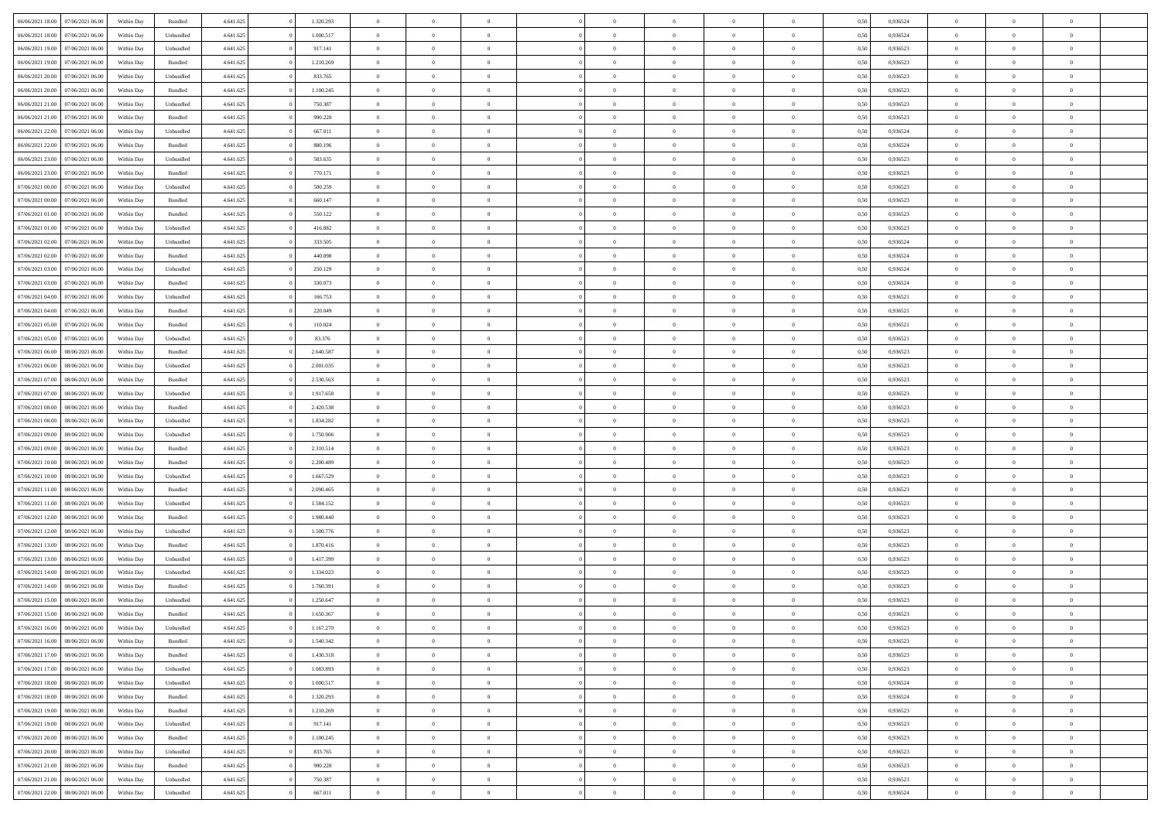| 06/06/2021 18:00 07/06/2021 06:00    | Within Day | Bundled            | 4.641.625 | 1.320.293 | $\overline{0}$ | $\overline{0}$ | $\Omega$       | $\Omega$       | $\Omega$       |                | $\overline{0}$ | 0,50 | 0,936524 | $\mathbf{0}$   | $\Omega$       | $\Omega$       |  |
|--------------------------------------|------------|--------------------|-----------|-----------|----------------|----------------|----------------|----------------|----------------|----------------|----------------|------|----------|----------------|----------------|----------------|--|
| 06/06/2021 18:00<br>07/06/2021 06:00 | Within Day | Unbundled          | 4.641.625 | 1.000.517 | $\bf{0}$       | $\overline{0}$ | $\theta$       | $\theta$       | $\overline{0}$ | $\overline{0}$ | $\,$ 0         | 0,50 | 0,936524 | $\mathbf{0}$   | $\theta$       | $\bf{0}$       |  |
| 06/06/2021 19:00<br>07/06/2021 06:00 | Within Day | Unbundled          | 4.641.625 | 917.141   | $\overline{0}$ | $\overline{0}$ | $\overline{0}$ | $\bf{0}$       | $\bf{0}$       | $\overline{0}$ | $\mathbf{0}$   | 0,50 | 0,936523 | $\bf{0}$       | $\bf{0}$       | $\bf{0}$       |  |
| 06/06/2021 19:00<br>07/06/2021 06:00 | Within Day | Bundled            | 4.641.625 | 1.210.269 | $\overline{0}$ | $\overline{0}$ | $\overline{0}$ | $\overline{0}$ | $\overline{0}$ | $\Omega$       | $\overline{0}$ | 0.50 | 0,936523 | $\mathbf{0}$   | $\overline{0}$ | $\bf{0}$       |  |
|                                      |            |                    |           |           |                |                |                |                |                |                |                |      |          |                |                |                |  |
| 06/06/2021 20:00<br>07/06/2021 06:00 | Within Day | Unbundled          | 4.641.625 | 833.765   | $\bf{0}$       | $\overline{0}$ | $\theta$       | $\theta$       | $\overline{0}$ | $\overline{0}$ | $\bf{0}$       | 0,50 | 0,936523 | $\theta$       | $\theta$       | $\overline{0}$ |  |
| 06/06/2021 20:00<br>07/06/2021 06:00 | Within Day | Bundled            | 4.641.625 | 1.100.245 | $\overline{0}$ | $\overline{0}$ | $\overline{0}$ | $\bf{0}$       | $\overline{0}$ | $\overline{0}$ | $\overline{0}$ | 0,50 | 0,936523 | $\overline{0}$ | $\bf{0}$       | $\overline{0}$ |  |
| 06/06/2021 21:00<br>07/06/2021 06:00 | Within Day | Unbundled          | 4.641.625 | 750.387   | $\overline{0}$ | $\overline{0}$ | $\overline{0}$ | $\overline{0}$ | $\overline{0}$ | $\overline{0}$ | $\mathbf{0}$   | 0.50 | 0.936523 | $\mathbf{0}$   | $\overline{0}$ | $\bf{0}$       |  |
| 06/06/2021 21:00<br>07/06/2021 06:00 | Within Day | Bundled            | 4.641.625 | 990.220   | $\bf{0}$       | $\overline{0}$ | $\overline{0}$ | $\theta$       | $\overline{0}$ | $\overline{0}$ | $\bf{0}$       | 0,50 | 0,936523 | $\theta$       | $\theta$       | $\bf{0}$       |  |
| 06/06/2021 22:00<br>07/06/2021 06:00 | Within Day | Unbundled          | 4.641.625 | 667.011   | $\overline{0}$ | $\overline{0}$ | $\bf{0}$       | $\bf{0}$       | $\bf{0}$       | $\overline{0}$ | $\bf{0}$       | 0,50 | 0,936524 | $\bf{0}$       | $\bf{0}$       | $\bf{0}$       |  |
| 07/06/2021 06:00                     |            | Bundled            | 4.641.625 | 880.196   | $\overline{0}$ | $\overline{0}$ | $\overline{0}$ | $\overline{0}$ | $\overline{0}$ | $\overline{0}$ | $\overline{0}$ | 0.50 | 0,936524 | $\overline{0}$ | $\overline{0}$ | $\overline{0}$ |  |
| 06/06/2021 22:00                     | Within Day |                    |           |           |                |                |                |                |                |                |                |      |          |                |                |                |  |
| 06/06/2021 23:00<br>07/06/2021 06:00 | Within Day | Unbundled          | 4.641.625 | 583.635   | $\bf{0}$       | $\overline{0}$ | $\theta$       | $\overline{0}$ | $\overline{0}$ | $\overline{0}$ | $\,$ 0         | 0,50 | 0,936523 | $\theta$       | $\theta$       | $\bf{0}$       |  |
| 06/06/2021 23:00<br>07/06/2021 06:00 | Within Day | Bundled            | 4.641.625 | 770.171   | $\overline{0}$ | $\overline{0}$ | $\overline{0}$ | $\bf{0}$       | $\bf{0}$       | $\overline{0}$ | $\mathbf{0}$   | 0,50 | 0,936523 | $\bf{0}$       | $\bf{0}$       | $\bf{0}$       |  |
| 07/06/2021 00:00<br>07/06/2021 06:00 | Within Day | Unbundled          | 4.641.625 | 500.259   | $\overline{0}$ | $\overline{0}$ | $\overline{0}$ | $\overline{0}$ | $\overline{0}$ | $\overline{0}$ | $\overline{0}$ | 0.50 | 0.936523 | $\mathbf{0}$   | $\overline{0}$ | $\bf{0}$       |  |
| 07/06/2021 00:00<br>07/06/2021 06:00 | Within Day | $\mathbf B$ undled | 4.641.625 | 660.147   | $\bf{0}$       | $\overline{0}$ | $\theta$       | $\theta$       | $\overline{0}$ | $\overline{0}$ | $\,$ 0         | 0,50 | 0,936523 | $\theta$       | $\theta$       | $\overline{0}$ |  |
|                                      |            |                    |           |           |                |                |                |                |                |                |                |      |          |                |                |                |  |
| 07/06/2021 01:00<br>07/06/2021 06:00 | Within Day | Bundled            | 4.641.625 | 550.122   | $\overline{0}$ | $\overline{0}$ | $\overline{0}$ | $\bf{0}$       | $\overline{0}$ | $\overline{0}$ | $\overline{0}$ | 0,50 | 0,936523 | $\overline{0}$ | $\bf{0}$       | $\overline{0}$ |  |
| 07/06/2021 01:00<br>07/06/2021 06:00 | Within Day | Unbundled          | 4.641.625 | 416.882   | $\overline{0}$ | $\overline{0}$ | $\overline{0}$ | $\overline{0}$ | $\overline{0}$ | $\overline{0}$ | $\mathbf{0}$   | 0.50 | 0,936523 | $\overline{0}$ | $\overline{0}$ | $\bf{0}$       |  |
| 07/06/2021 02:00<br>07/06/2021 06:00 | Within Day | Unbundled          | 4.641.625 | 333.505   | $\bf{0}$       | $\overline{0}$ | $\overline{0}$ | $\overline{0}$ | $\overline{0}$ | $\overline{0}$ | $\bf{0}$       | 0,50 | 0,936524 | $\theta$       | $\theta$       | $\bf{0}$       |  |
| 07/06/2021 02:00<br>07/06/2021 06:00 | Within Day | Bundled            | 4.641.625 | 440,098   | $\overline{0}$ | $\overline{0}$ | $\overline{0}$ | $\bf{0}$       | $\bf{0}$       | $\overline{0}$ | $\bf{0}$       | 0,50 | 0,936524 | $\bf{0}$       | $\bf{0}$       | $\bf{0}$       |  |
| 07/06/2021 03:00<br>07/06/2021 06:00 | Within Day | Unbundled          | 4.641.625 | 250.129   | $\overline{0}$ | $\overline{0}$ | $\overline{0}$ | $\overline{0}$ | $\overline{0}$ | $\overline{0}$ | $\overline{0}$ | 0.50 | 0,936524 | $\overline{0}$ | $\overline{0}$ | $\overline{0}$ |  |
| 07/06/2021 03:00<br>07/06/2021 06:00 | Within Day | Bundled            | 4.641.625 | 330.073   | $\bf{0}$       | $\overline{0}$ | $\overline{0}$ | $\theta$       | $\overline{0}$ | $\overline{0}$ | $\,$ 0         | 0,50 | 0,936524 | $\theta$       | $\theta$       | $\bf{0}$       |  |
| 07/06/2021 04:00<br>07/06/2021 06:00 | Within Day | Unbundled          | 4.641.625 | 166.753   | $\overline{0}$ | $\overline{0}$ | $\overline{0}$ | $\bf{0}$       | $\bf{0}$       | $\overline{0}$ | $\mathbf{0}$   | 0,50 | 0,936521 | $\bf{0}$       | $\bf{0}$       | $\bf{0}$       |  |
|                                      |            |                    |           |           |                |                |                |                |                |                |                |      |          |                |                |                |  |
| 07/06/2021 04:00<br>07/06/2021 06:00 | Within Day | Bundled            | 4.641.625 | 220.049   | $\overline{0}$ | $\overline{0}$ | $\overline{0}$ | $\overline{0}$ | $\overline{0}$ | $\overline{0}$ | $\overline{0}$ | 0.50 | 0.936521 | $\mathbf{0}$   | $\overline{0}$ | $\bf{0}$       |  |
| 07/06/2021 05:00<br>07/06/2021 06:00 | Within Day | Bundled            | 4.641.625 | 110.024   | $\bf{0}$       | $\overline{0}$ | $\theta$       | $\overline{0}$ | $\overline{0}$ | $\overline{0}$ | $\,$ 0         | 0,50 | 0,936521 | $\mathbf{0}$   | $\theta$       | $\bf{0}$       |  |
| 07/06/2021 05:00<br>07/06/2021 06:00 | Within Day | Unbundled          | 4.641.625 | 83.376    | $\overline{0}$ | $\overline{0}$ | $\overline{0}$ | $\bf{0}$       | $\overline{0}$ | $\overline{0}$ | $\overline{0}$ | 0,50 | 0,936521 | $\overline{0}$ | $\bf{0}$       | $\overline{0}$ |  |
| 07/06/2021 06:00<br>08/06/2021 06:00 | Within Day | Bundled            | 4.641.625 | 2.640.587 | $\overline{0}$ | $\overline{0}$ | $\overline{0}$ | $\overline{0}$ | $\overline{0}$ | $\overline{0}$ | $\overline{0}$ | 0.50 | 0.936523 | $\overline{0}$ | $\overline{0}$ | $\overline{0}$ |  |
| 07/06/2021 06:00<br>08/06/2021 06:00 | Within Day | Unbundled          | 4.641.625 | 2.001.035 | $\bf{0}$       | $\overline{0}$ | $\overline{0}$ | $\overline{0}$ | $\overline{0}$ | $\overline{0}$ | $\bf{0}$       | 0,50 | 0,936523 | $\theta$       | $\theta$       | $\bf{0}$       |  |
| 07/06/2021 07:00<br>08/06/2021 06:00 | Within Day | Bundled            | 4.641.625 | 2.530.563 | $\overline{0}$ | $\overline{0}$ | $\overline{0}$ | $\bf{0}$       | $\bf{0}$       | $\overline{0}$ | $\bf{0}$       | 0,50 | 0,936523 | $\bf{0}$       | $\bf{0}$       | $\bf{0}$       |  |
| 08/06/2021 06:00                     |            | Unbundled          | 4.641.625 | 1.917.658 | $\overline{0}$ | $\overline{0}$ | $\overline{0}$ | $\overline{0}$ | $\overline{0}$ | $\overline{0}$ | $\overline{0}$ | 0.50 | 0,936523 | $\overline{0}$ | $\overline{0}$ | $\bf{0}$       |  |
| 07/06/2021 07:00                     | Within Day |                    |           |           |                |                |                |                |                |                |                |      |          |                |                |                |  |
| 07/06/2021 08:00<br>08/06/2021 06:00 | Within Day | Bundled            | 4.641.625 | 2.420.538 | $\bf{0}$       | $\overline{0}$ | $\overline{0}$ | $\overline{0}$ | $\overline{0}$ | $\overline{0}$ | $\,$ 0         | 0,50 | 0,936523 | $\theta$       | $\theta$       | $\bf{0}$       |  |
| 07/06/2021 08:00<br>08/06/2021 06:00 | Within Day | Unbundled          | 4.641.625 | 1.834.282 | $\overline{0}$ | $\overline{0}$ | $\overline{0}$ | $\bf{0}$       | $\bf{0}$       | $\overline{0}$ | $\mathbf{0}$   | 0,50 | 0,936523 | $\bf{0}$       | $\bf{0}$       | $\bf{0}$       |  |
| 07/06/2021 09:00<br>08/06/2021 06:00 | Within Day | Unbundled          | 4.641.625 | 1.750.906 | $\overline{0}$ | $\overline{0}$ | $\overline{0}$ | $\overline{0}$ | $\overline{0}$ | $\Omega$       | $\overline{0}$ | 0.50 | 0,936523 | $\bf{0}$       | $\Omega$       | $\Omega$       |  |
| 07/06/2021 09:00<br>08/06/2021 06:00 | Within Day | Bundled            | 4.641.625 | 2.310.514 | $\bf{0}$       | $\overline{0}$ | $\overline{0}$ | $\theta$       | $\overline{0}$ | $\overline{0}$ | $\,$ 0         | 0,50 | 0,936523 | $\theta$       | $\theta$       | $\bf{0}$       |  |
| 07/06/2021 10:00<br>08/06/2021 06:00 | Within Day | Bundled            | 4.641.625 | 2.200.489 | $\overline{0}$ | $\overline{0}$ | $\overline{0}$ | $\bf{0}$       | $\overline{0}$ | $\overline{0}$ | $\overline{0}$ | 0,50 | 0,936523 | $\overline{0}$ | $\bf{0}$       | $\overline{0}$ |  |
| 07/06/2021 10:00<br>08/06/2021 06:00 | Within Day | Unbundled          | 4.641.625 | 1.667.529 | $\overline{0}$ | $\overline{0}$ | $\Omega$       | $\overline{0}$ | $\overline{0}$ | $\Omega$       | $\overline{0}$ | 0.50 | 0,936523 | $\overline{0}$ | $\Omega$       | $\Omega$       |  |
| 07/06/2021 11:00<br>08/06/2021 06:00 | Within Day | Bundled            | 4.641.625 | 2.090.465 | $\bf{0}$       | $\overline{0}$ | $\overline{0}$ | $\overline{0}$ | $\overline{0}$ | $\overline{0}$ | $\bf{0}$       | 0,50 | 0,936523 | $\theta$       | $\theta$       | $\bf{0}$       |  |
|                                      |            |                    |           |           |                |                |                |                |                |                |                |      |          |                |                |                |  |
| 07/06/2021 11:00<br>08/06/2021 06:00 | Within Day | Unbundled          | 4.641.625 | 1.584.152 | $\overline{0}$ | $\overline{0}$ | $\overline{0}$ | $\bf{0}$       | $\bf{0}$       | $\overline{0}$ | $\bf{0}$       | 0,50 | 0,936523 | $\bf{0}$       | $\bf{0}$       | $\bf{0}$       |  |
| 07/06/2021 12:00<br>08/06/2021 06:00 | Within Day | Bundled            | 4.641.625 | 1.980.440 | $\overline{0}$ | $\overline{0}$ | $\Omega$       | $\overline{0}$ | $\overline{0}$ | $\Omega$       | $\theta$       | 0.50 | 0.936523 | $\overline{0}$ | $\Omega$       | $\Omega$       |  |
| 07/06/2021 12:00<br>08/06/2021 06:00 | Within Day | Unbundled          | 4.641.625 | 1.500.776 | $\bf{0}$       | $\overline{0}$ | $\bf{0}$       | $\overline{0}$ | $\overline{0}$ | $\overline{0}$ | $\,$ 0         | 0,50 | 0,936523 | $\theta$       | $\theta$       | $\bf{0}$       |  |
| 07/06/2021 13:00<br>08/06/2021 06:00 | Within Day | Bundled            | 4.641.625 | 1.870.416 | $\overline{0}$ | $\overline{0}$ | $\overline{0}$ | $\bf{0}$       | $\bf{0}$       | $\overline{0}$ | $\mathbf{0}$   | 0,50 | 0,936523 | $\overline{0}$ | $\bf{0}$       | $\bf{0}$       |  |
| 07/06/2021 13:00<br>08/06/2021 06:00 | Within Day | Unbundled          | 4.641.625 | 1.417.399 | $\overline{0}$ | $\overline{0}$ | $\overline{0}$ | $\overline{0}$ | $\overline{0}$ | $\Omega$       | $\overline{0}$ | 0.50 | 0,936523 | $\bf{0}$       | $\Omega$       | $\Omega$       |  |
| 07/06/2021 14:00<br>08/06/2021 06:00 | Within Day | Unbundled          | 4.641.625 | 1.334.023 | $\bf{0}$       | $\overline{0}$ | $\overline{0}$ | $\overline{0}$ | $\overline{0}$ | $\overline{0}$ | $\,$ 0         | 0,50 | 0,936523 | $\bf{0}$       | $\theta$       | $\bf{0}$       |  |
|                                      |            |                    |           |           |                |                |                |                |                |                |                |      |          |                |                |                |  |
| 07/06/2021 14:00<br>08/06/2021 06:00 | Within Day | Bundled            | 4.641.625 | 1.760.391 | $\overline{0}$ | $\overline{0}$ | $\bf{0}$       | $\bf{0}$       | $\overline{0}$ | $\overline{0}$ | $\overline{0}$ | 0,50 | 0,936523 | $\overline{0}$ | $\bf{0}$       | $\bf{0}$       |  |
| 07/06/2021 15:00<br>08/06/2021 06:00 | Within Day | Unbundled          | 4.641.625 | 1.250.647 | $\overline{0}$ | $\Omega$       | $\Omega$       | $\Omega$       | $\overline{0}$ | $\Omega$       | $\overline{0}$ | 0.50 | 0,936523 | $\overline{0}$ | $\Omega$       | $\Omega$       |  |
| 07/06/2021 15:00<br>08/06/2021 06:00 | Within Day | Bundled            | 4.641.625 | 1.650.367 | $\bf{0}$       | $\bf{0}$       | $\bf{0}$       | $\bf{0}$       | $\bf{0}$       | $\overline{0}$ | $\,$ 0         | 0,50 | 0,936523 | $\bf{0}$       | $\,$ 0         | $\,$ 0         |  |
| 07/06/2021 16:00 08/06/2021 06:00    | Within Day | Unbundled          | 4.641.625 | 1.167.270 | $\bf{0}$       | $\bf{0}$       |                | $\bf{0}$       |                |                |                | 0,50 | 0,936523 | $\bf{0}$       | $\bf{0}$       |                |  |
| 07/06/2021 16:00 08/06/2021 06:00    | Within Day | Bundled            | 4.641.625 | 1.540.342 | $\overline{0}$ | $\overline{0}$ | $\theta$       | $\overline{0}$ | $\overline{0}$ | $\theta$       | $\mathbf{0}$   | 0,50 | 0.936523 | $\overline{0}$ | $\overline{0}$ | $\theta$       |  |
| 07/06/2021 17:00<br>08/06/2021 06:00 | Within Day | Bundled            | 4.641.625 | 1.430.318 | $\overline{0}$ | $\overline{0}$ | $\overline{0}$ | $\bf{0}$       | $\overline{0}$ | $\overline{0}$ | $\mathbf{0}$   | 0,50 | 0,936523 | $\,$ 0 $\,$    | $\overline{0}$ | $\,$ 0 $\,$    |  |
| 07/06/2021 17:00<br>08/06/2021 06:00 | Within Day | Unbundled          | 4.641.625 | 1.083.893 | $\overline{0}$ | $\overline{0}$ | $\overline{0}$ | $\bf{0}$       | $\overline{0}$ | $\overline{0}$ | $\overline{0}$ | 0,50 | 0,936523 | $\overline{0}$ | $\overline{0}$ | $\overline{0}$ |  |
|                                      |            |                    |           |           |                |                | $\overline{0}$ |                |                |                |                |      |          | $\overline{0}$ | $\overline{0}$ | $\overline{0}$ |  |
| 07/06/2021 18:00<br>08/06/2021 06:00 | Within Day | Unbundled          | 4.641.625 | 1.000.517 | $\overline{0}$ | $\overline{0}$ |                | $\overline{0}$ | $\bf{0}$       | $\overline{0}$ | $\bf{0}$       | 0,50 | 0,936524 |                |                |                |  |
| 07/06/2021 18:00<br>08/06/2021 06:00 | Within Day | Bundled            | 4.641.625 | 1.320.293 | $\overline{0}$ | $\overline{0}$ | $\overline{0}$ | $\overline{0}$ | $\overline{0}$ | $\overline{0}$ | $\,$ 0 $\,$    | 0,50 | 0,936524 | $\,$ 0 $\,$    | $\theta$       | $\bf{0}$       |  |
| 07/06/2021 19:00<br>08/06/2021 06:00 | Within Day | Bundled            | 4.641.625 | 1.210.269 | $\overline{0}$ | $\overline{0}$ | $\overline{0}$ | $\bf{0}$       | $\overline{0}$ | $\overline{0}$ | $\overline{0}$ | 0,50 | 0,936523 | $\overline{0}$ | $\overline{0}$ | $\overline{0}$ |  |
| 07/06/2021 19:00<br>08/06/2021 06:00 | Within Day | Unbundled          | 4.641.625 | 917.141   | $\overline{0}$ | $\overline{0}$ | $\overline{0}$ | $\overline{0}$ | $\overline{0}$ | $\overline{0}$ | $\overline{0}$ | 0.50 | 0,936523 | $\overline{0}$ | $\overline{0}$ | $\overline{0}$ |  |
| 07/06/2021 20:00<br>08/06/2021 06:00 | Within Day | Bundled            | 4.641.625 | 1.100.245 | $\overline{0}$ | $\overline{0}$ | $\overline{0}$ | $\bf{0}$       | $\bf{0}$       | $\overline{0}$ | $\,$ 0 $\,$    | 0,50 | 0,936523 | $\,$ 0 $\,$    | $\theta$       | $\,$ 0         |  |
| 07/06/2021 20:00<br>08/06/2021 06:00 | Within Day | Unbundled          | 4.641.625 | 833.765   | $\overline{0}$ | $\overline{0}$ | $\overline{0}$ | $\bf{0}$       | $\overline{0}$ | $\overline{0}$ | $\overline{0}$ | 0,50 | 0,936523 | $\bf{0}$       | $\bf{0}$       | $\overline{0}$ |  |
| 07/06/2021 21:00<br>08/06/2021 06:00 | Within Day | Bundled            | 4.641.625 | 990.220   | $\overline{0}$ | $\overline{0}$ | $\overline{0}$ | $\overline{0}$ | $\overline{0}$ | $\overline{0}$ | $\overline{0}$ | 0,50 | 0,936523 | $\overline{0}$ | $\overline{0}$ | $\overline{0}$ |  |
|                                      |            |                    |           |           |                | $\overline{0}$ |                |                |                |                |                |      |          | $\,$ 0 $\,$    | $\,0\,$        |                |  |
| 07/06/2021 21:00<br>08/06/2021 06:00 | Within Day | Unbundled          | 4.641.625 | 750.387   | $\overline{0}$ |                | $\overline{0}$ | $\bf{0}$       | $\bf{0}$       | $\bf{0}$       | $\,$ 0 $\,$    | 0,50 | 0,936523 |                |                | $\,$ 0         |  |
| 07/06/2021 22:00   08/06/2021 06:00  | Within Day | Unbundled          | 4.641.625 | 667.011   | $\overline{0}$ | $\overline{0}$ | $\overline{0}$ | $\bf{0}$       | $\overline{0}$ | $\overline{0}$ | $\overline{0}$ | 0,50 | 0,936524 | $\overline{0}$ | $\bf{0}$       | $\overline{0}$ |  |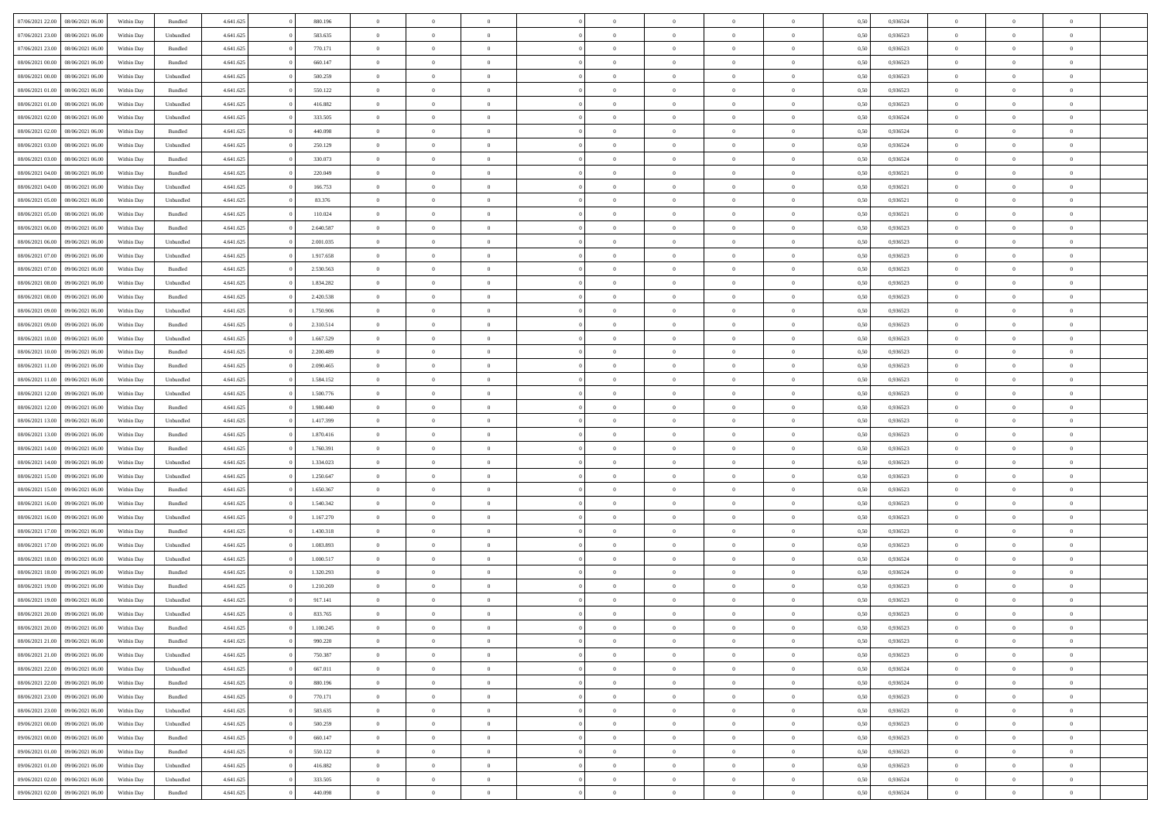| 07/06/2021 22:00 | 08/06/2021 06:00 | Within Day | Bundled            | 4.641.625 | 880.196   | $\overline{0}$ | $\Omega$       |                | $\Omega$       | $\Omega$       | $\theta$       | $\theta$       | 0.50 | 0,936524 | $\theta$       | $\theta$       | $\overline{0}$ |  |
|------------------|------------------|------------|--------------------|-----------|-----------|----------------|----------------|----------------|----------------|----------------|----------------|----------------|------|----------|----------------|----------------|----------------|--|
| 07/06/2021 23:00 | 08/06/2021 06:00 | Within Day | Unbundled          | 4.641.625 | 583.635   | $\overline{0}$ | $\theta$       | $\overline{0}$ | $\overline{0}$ | $\bf{0}$       | $\overline{0}$ | $\bf{0}$       | 0,50 | 0,936523 | $\theta$       | $\overline{0}$ | $\overline{0}$ |  |
| 07/06/2021 23.00 | 08/06/2021 06:00 | Within Day | Bundled            | 4.641.625 | 770.171   | $\overline{0}$ | $\bf{0}$       | $\overline{0}$ | $\bf{0}$       | $\bf{0}$       | $\bf{0}$       | $\mathbf{0}$   | 0,50 | 0,936523 | $\bf{0}$       | $\overline{0}$ | $\bf{0}$       |  |
| 08/06/2021 00:00 | 08/06/2021 06:00 | Within Dav | Bundled            | 4.641.625 | 660.147   | $\overline{0}$ | $\overline{0}$ | $\overline{0}$ | $\overline{0}$ | $\bf{0}$       | $\overline{0}$ | $\overline{0}$ | 0.50 | 0.936523 | $\theta$       | $\theta$       | $\overline{0}$ |  |
| 08/06/2021 00:00 | 08/06/2021 06:00 | Within Day | Unbundled          | 4.641.625 | 500.259   | $\overline{0}$ | $\theta$       | $\overline{0}$ | $\overline{0}$ | $\bf{0}$       | $\overline{0}$ | $\bf{0}$       | 0,50 | 0,936523 | $\theta$       | $\overline{0}$ | $\overline{0}$ |  |
|                  |                  |            |                    |           |           |                |                |                |                |                |                |                |      |          |                |                |                |  |
| 08/06/2021 01:00 | 08/06/2021 06:00 | Within Day | Bundled            | 4.641.625 | 550.122   | $\overline{0}$ | $\overline{0}$ | $\overline{0}$ | $\bf{0}$       | $\overline{0}$ | $\overline{0}$ | $\mathbf{0}$   | 0,50 | 0,936523 | $\bf{0}$       | $\overline{0}$ | $\bf{0}$       |  |
| 08/06/2021 01:00 | 08/06/2021 06:00 | Within Dav | Unbundled          | 4.641.625 | 416.882   | $\overline{0}$ | $\overline{0}$ | $\overline{0}$ | $\overline{0}$ | $\overline{0}$ | $\overline{0}$ | $\overline{0}$ | 0.50 | 0.936523 | $\theta$       | $\overline{0}$ | $\overline{0}$ |  |
| 08/06/2021 02:00 | 08/06/2021 06:00 | Within Day | Unbundled          | 4.641.625 | 333.505   | $\overline{0}$ | $\theta$       | $\overline{0}$ | $\overline{0}$ | $\bf{0}$       | $\overline{0}$ | $\bf{0}$       | 0,50 | 0,936524 | $\theta$       | $\theta$       | $\overline{0}$ |  |
| 08/06/2021 02:00 | 08/06/2021 06:00 | Within Day | Bundled            | 4.641.625 | 440.098   | $\overline{0}$ | $\overline{0}$ | $\overline{0}$ | $\bf{0}$       | $\bf{0}$       | $\bf{0}$       | $\bf{0}$       | 0,50 | 0,936524 | $\,0\,$        | $\overline{0}$ | $\overline{0}$ |  |
| 08/06/2021 03:00 | 08/06/2021 06:00 | Within Dav | Unbundled          | 4.641.625 | 250.129   | $\overline{0}$ | $\overline{0}$ | $\overline{0}$ | $\overline{0}$ | $\overline{0}$ | $\overline{0}$ | $\overline{0}$ | 0.50 | 0,936524 | $\theta$       | $\overline{0}$ | $\overline{0}$ |  |
| 08/06/2021 03:00 | 08/06/2021 06:00 | Within Day | Bundled            | 4.641.625 | 330.073   | $\overline{0}$ | $\theta$       | $\overline{0}$ | $\overline{0}$ | $\bf{0}$       | $\overline{0}$ | $\bf{0}$       | 0,50 | 0,936524 | $\,$ 0 $\,$    | $\overline{0}$ | $\overline{0}$ |  |
| 08/06/2021 04:00 | 08/06/2021 06:00 | Within Day | Bundled            | 4.641.625 | 220.049   | $\overline{0}$ | $\bf{0}$       | $\overline{0}$ | $\overline{0}$ | $\bf{0}$       | $\overline{0}$ | $\mathbf{0}$   | 0,50 | 0,936521 | $\bf{0}$       | $\overline{0}$ | $\bf{0}$       |  |
|                  |                  |            |                    |           |           |                |                |                |                |                |                |                |      |          | $\theta$       |                |                |  |
| 08/06/2021 04:00 | 08/06/2021 06:00 | Within Day | Unbundled          | 4.641.625 | 166.753   | $\overline{0}$ | $\overline{0}$ | $\overline{0}$ | $\overline{0}$ | $\bf{0}$       | $\overline{0}$ | $\overline{0}$ | 0.50 | 0,936521 |                | $\theta$       | $\overline{0}$ |  |
| 08/06/2021 05:00 | 08/06/2021 06:00 | Within Day | Unbundled          | 4.641.625 | 83.376    | $\overline{0}$ | $\theta$       | $\overline{0}$ | $\overline{0}$ | $\bf{0}$       | $\overline{0}$ | $\bf{0}$       | 0,50 | 0,936521 | $\theta$       | $\overline{0}$ | $\overline{0}$ |  |
| 08/06/2021 05:00 | 08/06/2021 06:00 | Within Day | Bundled            | 4.641.625 | 110.024   | $\overline{0}$ | $\overline{0}$ | $\overline{0}$ | $\overline{0}$ | $\overline{0}$ | $\overline{0}$ | $\mathbf{0}$   | 0,50 | 0,936521 | $\bf{0}$       | $\overline{0}$ | $\bf{0}$       |  |
| 08/06/2021 06:00 | 09/06/2021 06:00 | Within Dav | Bundled            | 4.641.625 | 2.640.587 | $\overline{0}$ | $\overline{0}$ | $\overline{0}$ | $\overline{0}$ | $\overline{0}$ | $\overline{0}$ | $\overline{0}$ | 0.50 | 0.936523 | $\theta$       | $\overline{0}$ | $\overline{0}$ |  |
| 08/06/2021 06:00 | 09/06/2021 06:00 | Within Day | Unbundled          | 4.641.625 | 2.001.035 | $\overline{0}$ | $\theta$       | $\overline{0}$ | $\overline{0}$ | $\bf{0}$       | $\overline{0}$ | $\bf{0}$       | 0,50 | 0,936523 | $\theta$       | $\theta$       | $\overline{0}$ |  |
| 08/06/2021 07:00 | 09/06/2021 06:00 | Within Day | Unbundled          | 4.641.625 | 1.917.658 | $\overline{0}$ | $\overline{0}$ | $\overline{0}$ | $\overline{0}$ | $\bf{0}$       | $\overline{0}$ | $\bf{0}$       | 0,50 | 0,936523 | $\,0\,$        | $\overline{0}$ | $\overline{0}$ |  |
| 08/06/2021 07:00 | 09/06/2021 06:00 | Within Day | Bundled            | 4.641.625 | 2.530.563 | $\overline{0}$ | $\overline{0}$ | $\overline{0}$ | $\overline{0}$ | $\overline{0}$ | $\overline{0}$ | $\overline{0}$ | 0.50 | 0.936523 | $\theta$       | $\overline{0}$ | $\overline{0}$ |  |
| 08/06/2021 08:00 | 09/06/2021 06:00 | Within Day | Unbundled          | 4.641.625 | 1.834.282 | $\overline{0}$ | $\theta$       | $\overline{0}$ | $\overline{0}$ | $\bf{0}$       | $\overline{0}$ | $\bf{0}$       | 0,50 | 0,936523 | $\,$ 0 $\,$    | $\overline{0}$ | $\overline{0}$ |  |
|                  |                  |            |                    |           |           |                |                |                |                |                |                |                |      |          |                |                |                |  |
| 08/06/2021 08:00 | 09/06/2021 06:00 | Within Day | Bundled            | 4.641.625 | 2.420.538 | $\overline{0}$ | $\overline{0}$ | $\overline{0}$ | $\bf{0}$       | $\bf{0}$       | $\bf{0}$       | $\bf{0}$       | 0,50 | 0,936523 | $\bf{0}$       | $\overline{0}$ | $\bf{0}$       |  |
| 08/06/2021 09:00 | 09/06/2021 06:00 | Within Day | Unbundled          | 4.641.625 | 1.750.906 | $\overline{0}$ | $\overline{0}$ | $\overline{0}$ | $\overline{0}$ | $\bf{0}$       | $\overline{0}$ | $\overline{0}$ | 0.50 | 0.936523 | $\theta$       | $\overline{0}$ | $\overline{0}$ |  |
| 08/06/2021 09:00 | 09/06/2021 06:00 | Within Day | Bundled            | 4.641.625 | 2.310.514 | $\overline{0}$ | $\theta$       | $\overline{0}$ | $\overline{0}$ | $\bf{0}$       | $\overline{0}$ | $\bf{0}$       | 0,50 | 0,936523 | $\,$ 0 $\,$    | $\overline{0}$ | $\overline{0}$ |  |
| 08/06/2021 10:00 | 09/06/2021 06:00 | Within Day | Unbundled          | 4.641.625 | 1.667.529 | $\overline{0}$ | $\overline{0}$ | $\overline{0}$ | $\bf{0}$       | $\overline{0}$ | $\overline{0}$ | $\mathbf{0}$   | 0,50 | 0,936523 | $\overline{0}$ | $\overline{0}$ | $\bf{0}$       |  |
| 08/06/2021 10:00 | 09/06/2021 06:00 | Within Dav | Bundled            | 4.641.625 | 2.200.489 | $\overline{0}$ | $\overline{0}$ | $\overline{0}$ | $\overline{0}$ | $\overline{0}$ | $\overline{0}$ | $\overline{0}$ | 0.50 | 0.936523 | $\theta$       | $\overline{0}$ | $\overline{0}$ |  |
| 08/06/2021 11:00 | 09/06/2021 06:00 | Within Day | Bundled            | 4.641.625 | 2.090.465 | $\overline{0}$ | $\theta$       | $\overline{0}$ | $\overline{0}$ | $\bf{0}$       | $\overline{0}$ | $\bf{0}$       | 0,50 | 0,936523 | $\theta$       | $\theta$       | $\overline{0}$ |  |
| 08/06/2021 11:00 | 09/06/2021 06:00 | Within Day | Unbundled          | 4.641.625 | 1.584.152 | $\overline{0}$ | $\overline{0}$ | $\overline{0}$ | $\bf{0}$       | $\bf{0}$       | $\bf{0}$       | $\bf{0}$       | 0,50 | 0,936523 | $\,0\,$        | $\overline{0}$ | $\overline{0}$ |  |
| 08/06/2021 12:00 | 09/06/2021 06:00 | Within Day | Unbundled          | 4.641.625 | 1.500.776 | $\overline{0}$ | $\overline{0}$ | $\overline{0}$ | $\overline{0}$ | $\overline{0}$ | $\overline{0}$ | $\overline{0}$ | 0.50 | 0.936523 | $\theta$       | $\overline{0}$ | $\overline{0}$ |  |
| 08/06/2021 12:00 | 09/06/2021 06:00 |            | Bundled            | 4.641.625 | 1.980.440 | $\overline{0}$ | $\theta$       | $\overline{0}$ | $\overline{0}$ | $\bf{0}$       | $\overline{0}$ |                |      | 0,936523 | $\,$ 0 $\,$    | $\overline{0}$ | $\overline{0}$ |  |
|                  |                  | Within Day |                    |           |           |                |                |                |                |                |                | $\bf{0}$       | 0,50 |          |                |                |                |  |
| 08/06/2021 13:00 | 09/06/2021 06:00 | Within Day | Unbundled          | 4.641.625 | 1.417.399 | $\overline{0}$ | $\overline{0}$ | $\overline{0}$ | $\overline{0}$ | $\bf{0}$       | $\overline{0}$ | $\bf{0}$       | 0,50 | 0,936523 | $\overline{0}$ | $\overline{0}$ | $\bf{0}$       |  |
| 08/06/2021 13:00 | 09/06/2021 06:00 | Within Day | Bundled            | 4.641.625 | 1.870.416 | $\overline{0}$ | $\Omega$       | $\Omega$       | $\Omega$       | $\Omega$       | $\overline{0}$ | $\overline{0}$ | 0,50 | 0,936523 | $\,0\,$        | $\theta$       | $\theta$       |  |
| 08/06/2021 14:00 | 09/06/2021 06:00 | Within Day | Bundled            | 4.641.625 | 1.760.391 | $\overline{0}$ | $\theta$       | $\overline{0}$ | $\overline{0}$ | $\bf{0}$       | $\overline{0}$ | $\bf{0}$       | 0,50 | 0,936523 | $\theta$       | $\overline{0}$ | $\overline{0}$ |  |
| 08/06/2021 14:00 | 09/06/2021 06:00 | Within Day | Unbundled          | 4.641.625 | 1.334.023 | $\overline{0}$ | $\overline{0}$ | $\overline{0}$ | $\overline{0}$ | $\overline{0}$ | $\overline{0}$ | $\mathbf{0}$   | 0,50 | 0,936523 | $\overline{0}$ | $\overline{0}$ | $\bf{0}$       |  |
| 08/06/2021 15:00 | 09/06/2021 06:00 | Within Day | Unbundled          | 4.641.625 | 1.250.647 | $\overline{0}$ | $\Omega$       | $\Omega$       | $\Omega$       | $\bf{0}$       | $\overline{0}$ | $\overline{0}$ | 0.50 | 0.936523 | $\,0\,$        | $\theta$       | $\theta$       |  |
| 08/06/2021 15:00 | 09/06/2021 06:00 | Within Day | Bundled            | 4.641.625 | 1.650.367 | $\overline{0}$ | $\theta$       | $\overline{0}$ | $\overline{0}$ | $\bf{0}$       | $\overline{0}$ | $\bf{0}$       | 0,50 | 0,936523 | $\theta$       | $\overline{0}$ | $\overline{0}$ |  |
| 08/06/2021 16:00 | 09/06/2021 06:00 | Within Day | Bundled            | 4.641.625 | 1.540.342 | $\overline{0}$ | $\overline{0}$ | $\overline{0}$ | $\overline{0}$ | $\bf{0}$       | $\overline{0}$ | $\bf{0}$       | 0,50 | 0,936523 | $\bf{0}$       | $\overline{0}$ | $\bf{0}$       |  |
| 08/06/2021 16:00 | 09/06/2021 06:00 | Within Day | Unbundled          | 4.641.625 | 1.167.270 | $\overline{0}$ | $\Omega$       | $\Omega$       | $\Omega$       | $\theta$       | $\overline{0}$ | $\overline{0}$ | 0.50 | 0.936523 | $\,$ 0 $\,$    | $\theta$       | $\theta$       |  |
| 08/06/2021 17:00 | 09/06/2021 06:00 |            | Bundled            | 4.641.625 | 1.430.318 | $\overline{0}$ | $\theta$       | $\overline{0}$ | $\overline{0}$ | $\,$ 0         | $\overline{0}$ |                |      | 0,936523 | $\,$ 0 $\,$    | $\overline{0}$ | $\overline{0}$ |  |
|                  |                  | Within Day |                    |           |           |                |                |                |                |                |                | $\bf{0}$       | 0,50 |          |                |                |                |  |
| 08/06/2021 17:00 | 09/06/2021 06:00 | Within Day | Unbundled          | 4.641.625 | 1.083.893 | $\overline{0}$ | $\bf{0}$       | $\overline{0}$ | $\overline{0}$ | $\bf{0}$       | $\overline{0}$ | $\mathbf{0}$   | 0,50 | 0,936523 | $\overline{0}$ | $\overline{0}$ | $\bf{0}$       |  |
| 08/06/2021 18:00 | 09/06/2021 06:00 | Within Day | Unbundled          | 4.641.625 | 1.000.517 | $\overline{0}$ | $\Omega$       | $\overline{0}$ | $\Omega$       | $\overline{0}$ | $\overline{0}$ | $\overline{0}$ | 0,50 | 0,936524 | $\,0\,$        | $\theta$       | $\theta$       |  |
| 08/06/2021 18:00 | 09/06/2021 06:00 | Within Day | Bundled            | 4.641.625 | 1.320.293 | $\overline{0}$ | $\overline{0}$ | $\overline{0}$ | $\overline{0}$ | $\,$ 0         | $\overline{0}$ | $\bf{0}$       | 0,50 | 0,936524 | $\,$ 0 $\,$    | $\overline{0}$ | $\overline{0}$ |  |
| 08/06/2021 19:00 | 09/06/2021 06:00 | Within Day | Bundled            | 4.641.625 | 1.210.269 | $\overline{0}$ | $\overline{0}$ | $\overline{0}$ | $\overline{0}$ | $\bf{0}$       | $\overline{0}$ | $\mathbf{0}$   | 0,50 | 0,936523 | $\overline{0}$ | $\overline{0}$ | $\bf{0}$       |  |
| 08/06/2021 19:00 | 09/06/2021 06:00 | Within Day | Unbundled          | 4.641.625 | 917.141   | $\overline{0}$ | $\Omega$       | $\Omega$       | $\Omega$       | $\Omega$       | $\Omega$       | $\overline{0}$ | 0.50 | 0.936523 | $\theta$       | $\theta$       | $\theta$       |  |
| 08/06/2021 20:00 | 09/06/2021 06:00 | Within Day | Unbundled          | 4.641.625 | 833.765   | $\overline{0}$ | $\overline{0}$ | $\overline{0}$ | $\bf{0}$       | $\,$ 0         | $\bf{0}$       | $\bf{0}$       | 0,50 | 0,936523 | $\,0\,$        | $\,0\,$        | $\overline{0}$ |  |
| 08/06/2021 20:00 | 09/06/2021 06:00 | Within Day | $\mathbf B$ undled | 4.641.625 | 1.100.245 | $\bf{0}$       | $\bf{0}$       |                |                | $\bf{0}$       |                |                | 0,50 | 0,936523 | $\bf{0}$       | $\overline{0}$ |                |  |
|                  | 09/06/2021 06:00 |            |                    | 4.641.625 | 990.220   | $\overline{0}$ | $\overline{0}$ |                | $\Omega$       | $\overline{0}$ | $\overline{0}$ |                | 0.50 | 0.936523 | $\theta$       | $\theta$       | $\theta$       |  |
| 08/06/2021 21:00 |                  | Within Day | Bundled            |           |           |                |                | $\overline{0}$ |                |                |                | $\overline{0}$ |      |          |                |                |                |  |
| 08/06/2021 21:00 | 09/06/2021 06:00 | Within Day | Unbundled          | 4.641.625 | 750.387   | $\overline{0}$ | $\,$ 0         | $\overline{0}$ | $\bf{0}$       | $\,$ 0 $\,$    | $\overline{0}$ | $\,$ 0 $\,$    | 0,50 | 0,936523 | $\,$ 0 $\,$    | $\,$ 0 $\,$    | $\,$ 0         |  |
| 08/06/2021 22.00 | 09/06/2021 06:00 | Within Day | Unbundled          | 4.641.625 | 667.011   | $\overline{0}$ | $\overline{0}$ | $\overline{0}$ | $\overline{0}$ | $\overline{0}$ | $\overline{0}$ | $\mathbf{0}$   | 0,50 | 0,936524 | $\overline{0}$ | $\bf{0}$       | $\bf{0}$       |  |
| 08/06/2021 22:00 | 09/06/2021 06:00 | Within Day | Bundled            | 4.641.625 | 880.196   | $\overline{0}$ | $\overline{0}$ | $\overline{0}$ | $\Omega$       | $\overline{0}$ | $\overline{0}$ | $\overline{0}$ | 0,50 | 0,936524 | $\overline{0}$ | $\theta$       | $\overline{0}$ |  |
| 08/06/2021 23:00 | 09/06/2021 06:00 | Within Day | Bundled            | 4.641.625 | 770.171   | $\overline{0}$ | $\,$ 0         | $\overline{0}$ | $\bf{0}$       | $\,$ 0 $\,$    | $\overline{0}$ | $\mathbf{0}$   | 0,50 | 0,936523 | $\,$ 0 $\,$    | $\overline{0}$ | $\overline{0}$ |  |
| 08/06/2021 23:00 | 09/06/2021 06:00 | Within Day | Unbundled          | 4.641.625 | 583.635   | $\overline{0}$ | $\overline{0}$ | $\overline{0}$ | $\overline{0}$ | $\overline{0}$ | $\overline{0}$ | $\mathbf{0}$   | 0,50 | 0,936523 | $\overline{0}$ | $\overline{0}$ | $\bf{0}$       |  |
| 09/06/2021 00:00 | 09/06/2021 06:00 | Within Day | Unbundled          | 4.641.625 | 500.259   | $\overline{0}$ | $\overline{0}$ | $\overline{0}$ | $\Omega$       | $\overline{0}$ | $\overline{0}$ | $\bf{0}$       | 0.50 | 0,936523 | $\overline{0}$ | $\theta$       | $\overline{0}$ |  |
| 09/06/2021 00:00 | 09/06/2021 06:00 | Within Day | Bundled            | 4.641.625 | 660.147   | $\overline{0}$ | $\,$ 0         | $\overline{0}$ | $\bf{0}$       | $\bf{0}$       | $\bf{0}$       | $\bf{0}$       | 0,50 | 0,936523 | $\,$ 0 $\,$    | $\overline{0}$ | $\overline{0}$ |  |
| 09/06/2021 01:00 | 09/06/2021 06:00 | Within Day | Bundled            | 4.641.625 | 550.122   | $\overline{0}$ | $\bf{0}$       | $\overline{0}$ | $\overline{0}$ | $\overline{0}$ | $\overline{0}$ | $\mathbf{0}$   | 0,50 | 0,936523 | $\overline{0}$ | $\overline{0}$ | $\bf{0}$       |  |
|                  |                  |            |                    |           |           |                |                |                |                |                |                |                |      |          |                |                |                |  |
| 09/06/2021 01:00 | 09/06/2021 06:00 | Within Day | Unbundled          | 4.641.625 | 416.882   | $\overline{0}$ | $\overline{0}$ | $\overline{0}$ | $\Omega$       | $\overline{0}$ | $\overline{0}$ | $\overline{0}$ | 0.50 | 0.936523 | $\overline{0}$ | $\overline{0}$ | $\overline{0}$ |  |
| 09/06/2021 02:00 | 09/06/2021 06:00 | Within Day | Unbundled          | 4.641.625 | 333.505   | $\overline{0}$ | $\bf{0}$       | $\overline{0}$ | $\overline{0}$ | $\bf{0}$       | $\bf{0}$       | $\mathbf{0}$   | 0,50 | 0,936524 | $\,$ 0 $\,$    | $\,$ 0 $\,$    | $\bf{0}$       |  |
| 09/06/2021 02:00 | 09/06/2021 06:00 | Within Day | Bundled            | 4.641.625 | 440.098   | $\overline{0}$ | $\bf{0}$       | $\overline{0}$ | $\bf{0}$       | $\bf{0}$       | $\bf{0}$       | $\bf{0}$       | 0,50 | 0,936524 | $\overline{0}$ | $\overline{0}$ | $\bf{0}$       |  |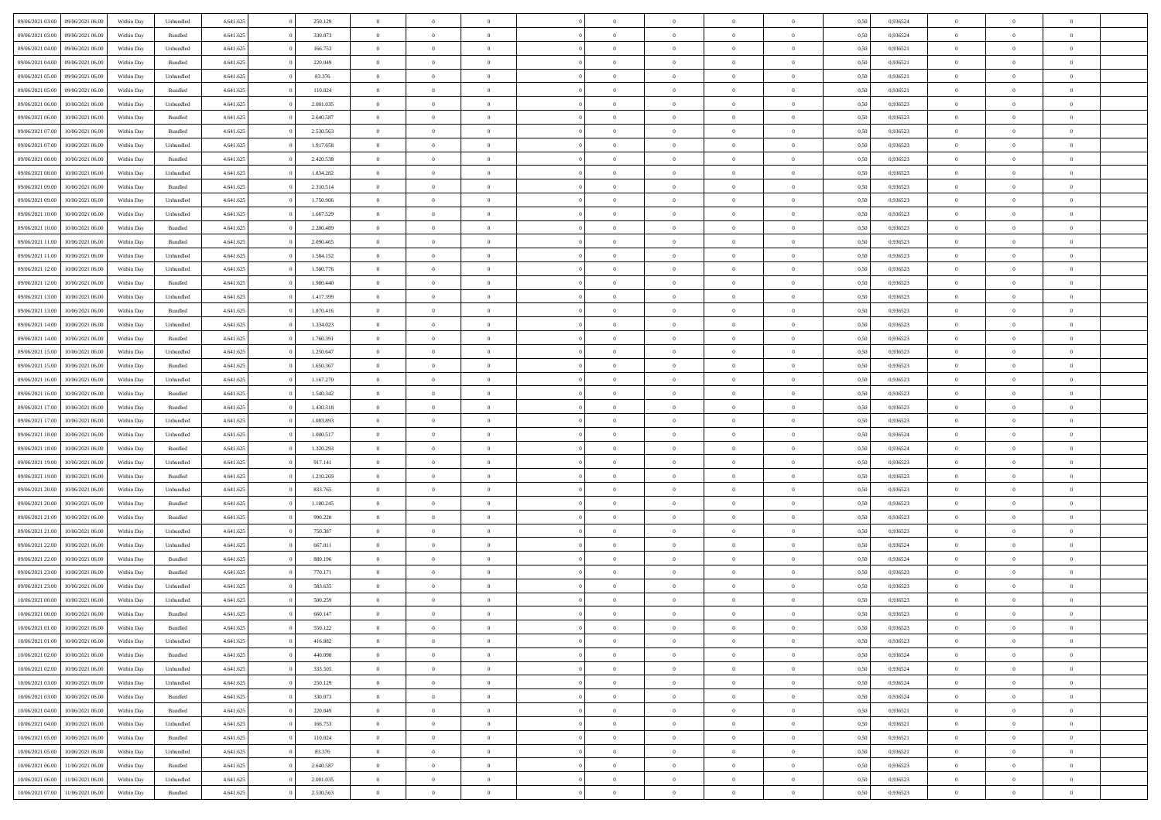| 09/06/2021 03:00 | 09/06/2021 06:00 | Within Day | Unbundled          | 4.641.625 | 250.129   | $\overline{0}$ | $\theta$       |                | $\Omega$       | $\Omega$       | $\Omega$       | $\theta$       | 0.50 | 0.936524 | $\theta$       | $\theta$       | $\theta$       |  |
|------------------|------------------|------------|--------------------|-----------|-----------|----------------|----------------|----------------|----------------|----------------|----------------|----------------|------|----------|----------------|----------------|----------------|--|
| 09/06/2021 03:00 | 09/06/2021 06:00 | Within Day | Bundled            | 4.641.625 | 330.073   | $\overline{0}$ | $\theta$       | $\overline{0}$ | $\overline{0}$ | $\bf{0}$       | $\overline{0}$ | $\bf{0}$       | 0,50 | 0,936524 | $\theta$       | $\overline{0}$ | $\overline{0}$ |  |
| 09/06/2021 04:00 | 09/06/2021 06:00 | Within Day | Unbundled          | 4.641.625 | 166.753   | $\overline{0}$ | $\overline{0}$ | $\overline{0}$ | $\bf{0}$       | $\bf{0}$       | $\bf{0}$       | $\bf{0}$       | 0,50 | 0,936521 | $\overline{0}$ | $\overline{0}$ | $\overline{0}$ |  |
| 09/06/2021 04:00 | 09/06/2021 06:00 | Within Dav | Bundled            | 4.641.625 | 220.049   | $\overline{0}$ | $\overline{0}$ | $\overline{0}$ | $\overline{0}$ | $\bf{0}$       | $\overline{0}$ | $\overline{0}$ | 0.50 | 0.936521 | $\theta$       | $\theta$       | $\overline{0}$ |  |
| 09/06/2021 05:00 | 09/06/2021 06:00 | Within Day | Unbundled          | 4.641.625 | 83.376    | $\overline{0}$ | $\theta$       | $\overline{0}$ | $\overline{0}$ | $\bf{0}$       | $\overline{0}$ | $\bf{0}$       | 0,50 | 0,936521 | $\theta$       | $\overline{0}$ | $\overline{0}$ |  |
|                  |                  |            |                    |           |           |                |                |                |                |                |                |                |      |          |                |                |                |  |
| 09/06/2021 05:00 | 09/06/2021 06:00 | Within Day | Bundled            | 4.641.625 | 110.024   | $\overline{0}$ | $\bf{0}$       | $\overline{0}$ | $\bf{0}$       | $\overline{0}$ | $\overline{0}$ | $\mathbf{0}$   | 0,50 | 0,936521 | $\overline{0}$ | $\overline{0}$ | $\bf{0}$       |  |
| 09/06/2021 06:00 | 10/06/2021 06:00 | Within Dav | Unbundled          | 4.641.625 | 2.001.035 | $\overline{0}$ | $\overline{0}$ | $\overline{0}$ | $\overline{0}$ | $\overline{0}$ | $\overline{0}$ | $\overline{0}$ | 0.50 | 0.936523 | $\theta$       | $\overline{0}$ | $\overline{0}$ |  |
| 09/06/2021 06:00 | 10/06/2021 06:00 | Within Day | Bundled            | 4.641.625 | 2.640.587 | $\overline{0}$ | $\theta$       | $\overline{0}$ | $\overline{0}$ | $\bf{0}$       | $\overline{0}$ | $\bf{0}$       | 0,50 | 0,936523 | $\theta$       | $\theta$       | $\overline{0}$ |  |
| 09/06/2021 07:00 | 10/06/2021 06:00 | Within Day | Bundled            | 4.641.625 | 2.530.563 | $\overline{0}$ | $\overline{0}$ | $\overline{0}$ | $\bf{0}$       | $\bf{0}$       | $\bf{0}$       | $\bf{0}$       | 0,50 | 0,936523 | $\,0\,$        | $\overline{0}$ | $\overline{0}$ |  |
| 09/06/2021 07:00 | 10/06/2021 06:00 | Within Dav | Unbundled          | 4.641.625 | 1.917.658 | $\overline{0}$ | $\overline{0}$ | $\overline{0}$ | $\overline{0}$ | $\overline{0}$ | $\overline{0}$ | $\overline{0}$ | 0.50 | 0.936523 | $\theta$       | $\overline{0}$ | $\overline{0}$ |  |
| 09/06/2021 08:00 | 10/06/2021 06:00 | Within Day | Bundled            | 4.641.625 | 2.420.538 | $\overline{0}$ | $\theta$       | $\overline{0}$ | $\overline{0}$ | $\bf{0}$       | $\overline{0}$ | $\bf{0}$       | 0,50 | 0,936523 | $\theta$       | $\overline{0}$ | $\overline{0}$ |  |
| 09/06/2021 08:00 | 10/06/2021 06:00 | Within Day | Unbundled          | 4.641.625 | 1.834.282 | $\overline{0}$ | $\overline{0}$ | $\overline{0}$ | $\overline{0}$ | $\bf{0}$       | $\overline{0}$ | $\bf{0}$       | 0,50 | 0,936523 | $\bf{0}$       | $\overline{0}$ | $\overline{0}$ |  |
|                  |                  |            |                    |           |           |                |                |                |                |                |                |                |      |          |                |                |                |  |
| 09/06/2021 09:00 | 10/06/2021 06:00 | Within Day | Bundled            | 4.641.625 | 2.310.514 | $\overline{0}$ | $\overline{0}$ | $\overline{0}$ | $\overline{0}$ | $\bf{0}$       | $\overline{0}$ | $\overline{0}$ | 0.50 | 0.936523 | $\theta$       | $\theta$       | $\overline{0}$ |  |
| 09/06/2021 09:00 | 10/06/2021 06:00 | Within Day | Unbundled          | 4.641.625 | 1.750.906 | $\overline{0}$ | $\theta$       | $\overline{0}$ | $\overline{0}$ | $\bf{0}$       | $\overline{0}$ | $\overline{0}$ | 0,50 | 0,936523 | $\theta$       | $\overline{0}$ | $\overline{0}$ |  |
| 09/06/2021 10:00 | 10/06/2021 06:00 | Within Day | Unbundled          | 4.641.625 | 1.667.529 | $\overline{0}$ | $\bf{0}$       | $\overline{0}$ | $\overline{0}$ | $\overline{0}$ | $\overline{0}$ | $\mathbf{0}$   | 0,50 | 0,936523 | $\overline{0}$ | $\overline{0}$ | $\bf{0}$       |  |
| 09/06/2021 10:00 | 10/06/2021 06:00 | Within Dav | Bundled            | 4.641.625 | 2.200.489 | $\overline{0}$ | $\overline{0}$ | $\overline{0}$ | $\overline{0}$ | $\overline{0}$ | $\overline{0}$ | $\overline{0}$ | 0.50 | 0.936523 | $\theta$       | $\overline{0}$ | $\overline{0}$ |  |
| 09/06/2021 11:00 | 10/06/2021 06:00 | Within Day | Bundled            | 4.641.625 | 2.090.465 | $\overline{0}$ | $\theta$       | $\overline{0}$ | $\overline{0}$ | $\bf{0}$       | $\overline{0}$ | $\bf{0}$       | 0,50 | 0,936523 | $\theta$       | $\theta$       | $\overline{0}$ |  |
| 09/06/2021 11:00 | 10/06/2021 06:00 | Within Day | Unbundled          | 4.641.625 | 1.584.152 | $\overline{0}$ | $\overline{0}$ | $\overline{0}$ | $\overline{0}$ | $\bf{0}$       | $\overline{0}$ | $\bf{0}$       | 0,50 | 0,936523 | $\,0\,$        | $\overline{0}$ | $\overline{0}$ |  |
| 09/06/2021 12:00 | 10/06/2021 06:00 | Within Day | Unbundled          | 4.641.625 | 1.500.776 | $\overline{0}$ | $\overline{0}$ | $\overline{0}$ | $\overline{0}$ | $\overline{0}$ | $\overline{0}$ | $\overline{0}$ | 0.50 | 0.936523 | $\theta$       | $\overline{0}$ | $\overline{0}$ |  |
| 09/06/2021 12:00 | 10/06/2021 06:00 | Within Day | Bundled            | 4.641.625 | 1.980.440 | $\overline{0}$ | $\theta$       | $\overline{0}$ | $\overline{0}$ | $\bf{0}$       | $\overline{0}$ | $\bf{0}$       | 0,50 | 0,936523 | $\theta$       | $\theta$       | $\overline{0}$ |  |
|                  |                  |            |                    |           |           |                |                |                |                |                |                |                |      |          |                |                |                |  |
| 09/06/2021 13:00 | 10/06/2021 06:00 | Within Day | Unbundled          | 4.641.625 | 1.417.399 | $\overline{0}$ | $\overline{0}$ | $\overline{0}$ | $\overline{0}$ | $\bf{0}$       | $\overline{0}$ | $\bf{0}$       | 0,50 | 0,936523 | $\,0\,$        | $\overline{0}$ | $\overline{0}$ |  |
| 09/06/2021 13:00 | 10/06/2021 06:00 | Within Day | Bundled            | 4.641.625 | 1.870.416 | $\overline{0}$ | $\overline{0}$ | $\overline{0}$ | $\overline{0}$ | $\bf{0}$       | $\overline{0}$ | $\overline{0}$ | 0.50 | 0.936523 | $\theta$       | $\theta$       | $\overline{0}$ |  |
| 09/06/2021 14:00 | 10/06/2021 06:00 | Within Day | Unbundled          | 4.641.625 | 1.334.023 | $\overline{0}$ | $\theta$       | $\overline{0}$ | $\overline{0}$ | $\bf{0}$       | $\overline{0}$ | $\bf{0}$       | 0,50 | 0,936523 | $\theta$       | $\overline{0}$ | $\overline{0}$ |  |
| 09/06/2021 14:00 | 10/06/2021 06:00 | Within Day | Bundled            | 4.641.625 | 1.760.391 | $\overline{0}$ | $\bf{0}$       | $\overline{0}$ | $\overline{0}$ | $\overline{0}$ | $\overline{0}$ | $\mathbf{0}$   | 0,50 | 0,936523 | $\overline{0}$ | $\overline{0}$ | $\bf{0}$       |  |
| 09/06/2021 15:00 | 10/06/2021 06:00 | Within Dav | Unbundled          | 4.641.625 | 1.250.647 | $\overline{0}$ | $\overline{0}$ | $\overline{0}$ | $\overline{0}$ | $\overline{0}$ | $\overline{0}$ | $\overline{0}$ | 0.50 | 0.936523 | $\theta$       | $\overline{0}$ | $\overline{0}$ |  |
| 09/06/2021 15:00 | 10/06/2021 06:00 | Within Day | Bundled            | 4.641.625 | 1.650.367 | $\overline{0}$ | $\theta$       | $\overline{0}$ | $\overline{0}$ | $\bf{0}$       | $\overline{0}$ | $\bf{0}$       | 0,50 | 0,936523 | $\theta$       | $\theta$       | $\overline{0}$ |  |
| 09/06/2021 16:00 | 10/06/2021 06:00 | Within Day | Unbundled          | 4.641.625 | 1.167.270 | $\overline{0}$ | $\overline{0}$ | $\overline{0}$ | $\overline{0}$ | $\bf{0}$       | $\overline{0}$ | $\bf{0}$       | 0,50 | 0,936523 | $\,0\,$        | $\overline{0}$ | $\overline{0}$ |  |
| 09/06/2021 16:00 | 10/06/2021 06:00 |            | Bundled            | 4.641.625 | 1.540.342 | $\overline{0}$ | $\overline{0}$ | $\overline{0}$ | $\overline{0}$ | $\overline{0}$ | $\overline{0}$ | $\overline{0}$ | 0.50 | 0.936523 | $\theta$       | $\overline{0}$ | $\overline{0}$ |  |
|                  |                  | Within Day |                    |           |           |                |                |                |                |                |                |                |      |          |                |                |                |  |
| 09/06/2021 17:00 | 10/06/2021 06:00 | Within Day | Bundled            | 4.641.625 | 1.430.318 | $\overline{0}$ | $\theta$       | $\overline{0}$ | $\overline{0}$ | $\bf{0}$       | $\overline{0}$ | $\bf{0}$       | 0,50 | 0,936523 | $\,$ 0 $\,$    | $\overline{0}$ | $\overline{0}$ |  |
| 09/06/2021 17:00 | 10/06/2021 06:00 | Within Day | Unbundled          | 4.641.625 | 1.083.893 | $\overline{0}$ | $\overline{0}$ | $\overline{0}$ | $\overline{0}$ | $\bf{0}$       | $\bf{0}$       | $\bf{0}$       | 0,50 | 0,936523 | $\bf{0}$       | $\overline{0}$ | $\overline{0}$ |  |
| 09/06/2021 18:00 | 10/06/2021 06:00 | Within Day | Unbundled          | 4.641.625 | 1.000.517 | $\overline{0}$ | $\Omega$       | $\Omega$       | $\Omega$       | $\Omega$       | $\Omega$       | $\overline{0}$ | 0.50 | 0,936524 | $\,0\,$        | $\Omega$       | $\theta$       |  |
| 09/06/2021 18:00 | 10/06/2021 06:00 | Within Day | Bundled            | 4.641.625 | 1.320.293 | $\overline{0}$ | $\theta$       | $\overline{0}$ | $\overline{0}$ | $\bf{0}$       | $\overline{0}$ | $\bf{0}$       | 0,50 | 0,936524 | $\theta$       | $\theta$       | $\overline{0}$ |  |
| 09/06/2021 19:00 | 10/06/2021 06:00 | Within Day | Unbundled          | 4.641.625 | 917.141   | $\overline{0}$ | $\overline{0}$ | $\overline{0}$ | $\bf{0}$       | $\bf{0}$       | $\overline{0}$ | $\mathbf{0}$   | 0,50 | 0,936523 | $\overline{0}$ | $\overline{0}$ | $\bf{0}$       |  |
| 09/06/2021 19:00 | 10/06/2021 06:00 | Within Day | Bundled            | 4.641.625 | 1.210.269 | $\overline{0}$ | $\Omega$       | $\Omega$       | $\Omega$       | $\bf{0}$       | $\overline{0}$ | $\overline{0}$ | 0.50 | 0.936523 | $\theta$       | $\theta$       | $\theta$       |  |
| 09/06/2021 20:00 | 10/06/2021 06:00 | Within Day | Unbundled          | 4.641.625 | 833.765   | $\overline{0}$ | $\theta$       | $\overline{0}$ | $\overline{0}$ | $\bf{0}$       | $\overline{0}$ | $\bf{0}$       | 0,50 | 0,936523 | $\theta$       | $\theta$       | $\overline{0}$ |  |
|                  |                  |            |                    |           |           |                | $\overline{0}$ |                |                | $\bf{0}$       |                |                |      |          | $\,0\,$        | $\overline{0}$ | $\overline{0}$ |  |
| 09/06/2021 20:00 | 10/06/2021 06:00 | Within Day | Bundled            | 4.641.625 | 1.100.245 | $\overline{0}$ |                | $\overline{0}$ | $\bf{0}$       |                | $\bf{0}$       | $\bf{0}$       | 0,50 | 0,936523 |                |                |                |  |
| 09/06/2021 21:00 | 10/06/2021 06:00 | Within Day | Bundled            | 4.641.625 | 990.220   | $\overline{0}$ | $\Omega$       | $\Omega$       | $\Omega$       | $\Omega$       | $\theta$       | $\overline{0}$ | 0.50 | 0.936523 | $\theta$       | $\theta$       | $\theta$       |  |
| 09/06/2021 21:00 | 10/06/2021 06:00 | Within Day | Unbundled          | 4.641.625 | 750.387   | $\overline{0}$ | $\theta$       | $\overline{0}$ | $\overline{0}$ | $\bf{0}$       | $\overline{0}$ | $\bf{0}$       | 0,50 | 0,936523 | $\,$ 0 $\,$    | $\overline{0}$ | $\overline{0}$ |  |
| 09/06/2021 22.00 | 10/06/2021 06:00 | Within Day | Unbundled          | 4.641.625 | 667.011   | $\overline{0}$ | $\overline{0}$ | $\overline{0}$ | $\bf{0}$       | $\bf{0}$       | $\bf{0}$       | $\bf{0}$       | 0,50 | 0,936524 | $\bf{0}$       | $\overline{0}$ | $\overline{0}$ |  |
| 09/06/2021 22.00 | 10/06/2021 06:00 | Within Day | Bundled            | 4.641.625 | 880,196   | $\overline{0}$ | $\Omega$       | $\Omega$       | $\Omega$       | $\Omega$       | $\overline{0}$ | $\overline{0}$ | 0.50 | 0,936524 | $\,0\,$        | $\theta$       | $\theta$       |  |
| 09/06/2021 23:00 | 10/06/2021 06:00 | Within Day | Bundled            | 4.641.625 | 770.171   | $\overline{0}$ | $\theta$       | $\overline{0}$ | $\overline{0}$ | $\bf{0}$       | $\overline{0}$ | $\bf{0}$       | 0,50 | 0,936523 | $\,$ 0 $\,$    | $\overline{0}$ | $\overline{0}$ |  |
| 09/06/2021 23.00 | 10/06/2021 06:00 | Within Day | Unbundled          | 4.641.625 | 583.635   | $\overline{0}$ | $\overline{0}$ | $\overline{0}$ | $\bf{0}$       | $\bf{0}$       | $\bf{0}$       | $\mathbf{0}$   | 0,50 | 0,936523 | $\bf{0}$       | $\overline{0}$ | $\bf{0}$       |  |
| 10/06/2021 00:00 | 10/06/2021 06:00 | Within Day | Unbundled          | 4.641.625 | 500.259   | $\overline{0}$ | $\Omega$       | $\Omega$       | $\Omega$       | $\Omega$       | $\Omega$       | $\overline{0}$ | 0.50 | 0.936523 | $\theta$       | $\Omega$       | $\theta$       |  |
| 10/06/2021 00:00 | 10/06/2021 06:00 | Within Day | Bundled            | 4.641.625 | 660.147   | $\overline{0}$ | $\overline{0}$ | $\overline{0}$ | $\bf{0}$       | $\,$ 0         | $\overline{0}$ | $\bf{0}$       | 0,50 | 0,936523 | $\,0\,$        | $\overline{0}$ | $\overline{0}$ |  |
| 10/06/2021 01:00 | 10/06/2021 06:00 | Within Day | $\mathbf B$ undled | 4.641.625 | 550.122   |                |                |                |                |                |                |                |      |          |                |                |                |  |
|                  |                  |            |                    |           |           | $\bf{0}$       | $\bf{0}$       |                |                |                |                |                | 0,50 | 0,936523 | $\bf{0}$       | $\overline{0}$ |                |  |
| 10/06/2021 01:00 | 10/06/2021 06:00 | Within Day | Unbundled          | 4.641.625 | 416.882   | $\overline{0}$ | $\overline{0}$ | $\overline{0}$ | $\Omega$       | $\overline{0}$ | $\overline{0}$ | $\overline{0}$ | 0.50 | 0.936523 | $\theta$       | $\theta$       | $\Omega$       |  |
| 10/06/2021 02:00 | 10/06/2021 06:00 | Within Day | Bundled            | 4.641.625 | 440.098   | $\overline{0}$ | $\,$ 0         | $\overline{0}$ | $\overline{0}$ | $\,$ 0 $\,$    | $\overline{0}$ | $\,$ 0 $\,$    | 0,50 | 0,936524 | $\,$ 0 $\,$    | $\,$ 0 $\,$    | $\,$ 0         |  |
| 10/06/2021 02:00 | 10/06/2021 06:00 | Within Day | Unbundled          | 4.641.625 | 333.505   | $\overline{0}$ | $\overline{0}$ | $\overline{0}$ | $\overline{0}$ | $\overline{0}$ | $\overline{0}$ | $\mathbf{0}$   | 0,50 | 0,936524 | $\overline{0}$ | $\bf{0}$       | $\bf{0}$       |  |
| 10/06/2021 03:00 | 10/06/2021 06:00 | Within Day | Unbundled          | 4.641.625 | 250.129   | $\overline{0}$ | $\overline{0}$ | $\overline{0}$ | $\Omega$       | $\overline{0}$ | $\overline{0}$ | $\overline{0}$ | 0,50 | 0,936524 | $\overline{0}$ | $\theta$       | $\overline{0}$ |  |
| 10/06/2021 03:00 | 10/06/2021 06:00 | Within Day | Bundled            | 4.641.625 | 330.073   | $\overline{0}$ | $\,$ 0         | $\overline{0}$ | $\overline{0}$ | $\,$ 0 $\,$    | $\overline{0}$ | $\mathbf{0}$   | 0,50 | 0,936524 | $\,$ 0 $\,$    | $\overline{0}$ | $\overline{0}$ |  |
| 10/06/2021 04:00 | 10/06/2021 06:00 | Within Day | Bundled            | 4.641.625 | 220.049   | $\overline{0}$ | $\overline{0}$ | $\overline{0}$ | $\overline{0}$ | $\overline{0}$ | $\overline{0}$ | $\mathbf{0}$   | 0,50 | 0,936521 | $\overline{0}$ | $\overline{0}$ | $\bf{0}$       |  |
| 10/06/2021 04:00 | 10/06/2021 06:00 | Within Day | Unbundled          | 4.641.625 | 166.753   | $\overline{0}$ | $\overline{0}$ | $\overline{0}$ | $\Omega$       | $\overline{0}$ | $\overline{0}$ | $\bf{0}$       | 0.50 | 0,936521 | $\overline{0}$ | $\theta$       | $\overline{0}$ |  |
| 10/06/2021 05:00 | 10/06/2021 06:00 |            | Bundled            | 4.641.625 | 110.024   | $\overline{0}$ | $\,$ 0         |                |                | $\bf{0}$       |                |                |      | 0,936521 | $\,$ 0 $\,$    | $\overline{0}$ | $\overline{0}$ |  |
|                  |                  | Within Day |                    |           |           |                |                | $\overline{0}$ | $\bf{0}$       |                | $\bf{0}$       | $\bf{0}$       | 0,50 |          |                |                |                |  |
| 10/06/2021 05:00 | 10/06/2021 06:00 | Within Day | Unbundled          | 4.641.625 | 83.376    | $\overline{0}$ | $\bf{0}$       | $\overline{0}$ | $\overline{0}$ | $\overline{0}$ | $\overline{0}$ | $\mathbf{0}$   | 0,50 | 0,936521 | $\overline{0}$ | $\overline{0}$ | $\bf{0}$       |  |
| 10/06/2021 06:00 | 11/06/2021 06:00 | Within Day | Bundled            | 4.641.625 | 2.640.587 | $\overline{0}$ | $\overline{0}$ | $\overline{0}$ | $\Omega$       | $\overline{0}$ | $\overline{0}$ | $\overline{0}$ | 0.50 | 0.936523 | $\overline{0}$ | $\overline{0}$ | $\overline{0}$ |  |
| 10/06/2021 06:00 | 11/06/2021 06:00 | Within Day | Unbundled          | 4.641.625 | 2.001.035 | $\overline{0}$ | $\bf{0}$       | $\overline{0}$ | $\overline{0}$ | $\bf{0}$       | $\bf{0}$       | $\bf{0}$       | 0,50 | 0,936523 | $\,$ 0 $\,$    | $\,$ 0 $\,$    | $\bf{0}$       |  |
| 10/06/2021 07:00 | 11/06/2021 06:00 | Within Day | Bundled            | 4.641.625 | 2.530.563 | $\overline{0}$ | $\bf{0}$       | $\overline{0}$ | $\bf{0}$       | $\bf{0}$       | $\bf{0}$       | $\bf{0}$       | 0,50 | 0,936523 | $\overline{0}$ | $\overline{0}$ | $\bf{0}$       |  |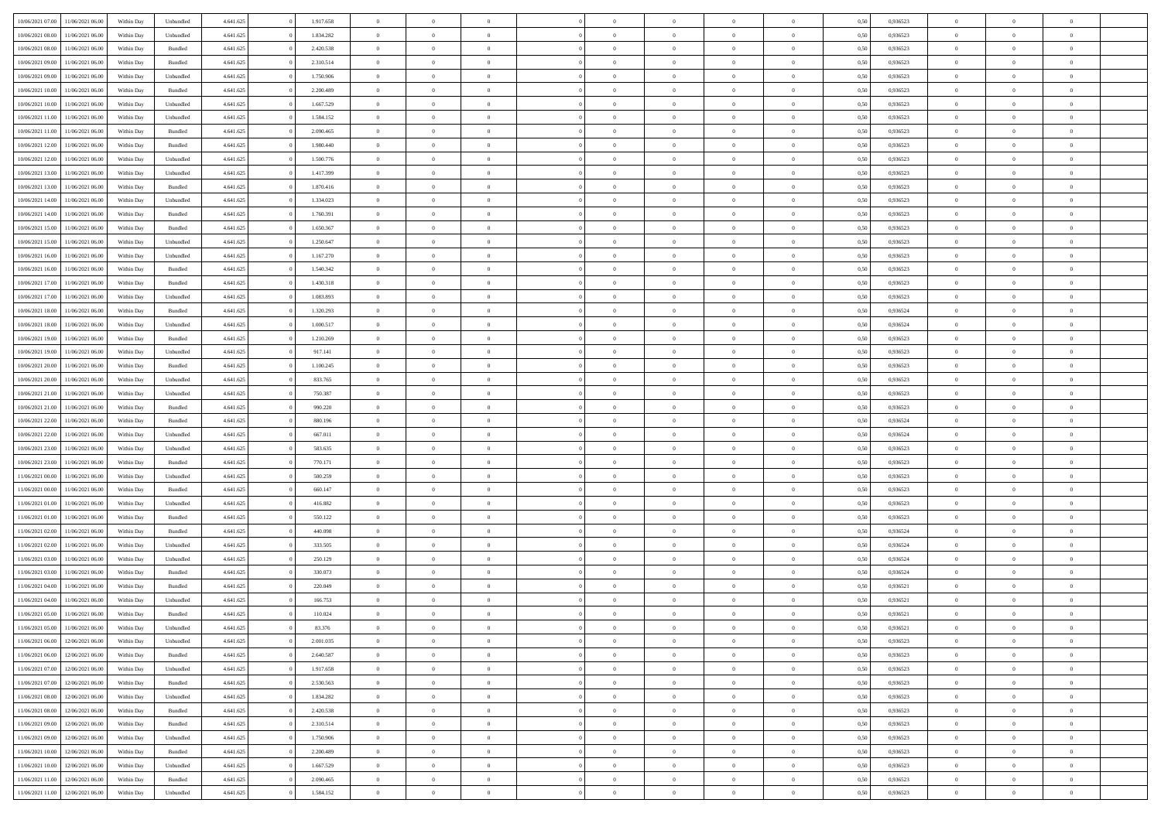| 10/06/2021 07:00 | 11/06/2021 06:00 | Within Day | Unbundled          | 4.641.625 | 1.917.658 | $\overline{0}$ | $\theta$       |                | $\Omega$       | $\Omega$       | $\theta$       | $\theta$       | 0.50 | 0,936523 | $\theta$       | $\overline{0}$ | $\overline{0}$ |  |
|------------------|------------------|------------|--------------------|-----------|-----------|----------------|----------------|----------------|----------------|----------------|----------------|----------------|------|----------|----------------|----------------|----------------|--|
|                  |                  |            |                    |           |           |                |                |                |                |                |                |                |      |          |                |                |                |  |
| 10/06/2021 08:00 | 11/06/2021 06:00 | Within Day | Unbundled          | 4.641.625 | 1.834.282 | $\overline{0}$ | $\theta$       | $\overline{0}$ | $\overline{0}$ | $\bf{0}$       | $\overline{0}$ | $\bf{0}$       | 0,50 | 0,936523 | $\theta$       | $\overline{0}$ | $\overline{0}$ |  |
| 10/06/2021 08:00 | 11/06/2021 06:00 | Within Day | Bundled            | 4.641.625 | 2.420.538 | $\overline{0}$ | $\bf{0}$       | $\overline{0}$ | $\bf{0}$       | $\bf{0}$       | $\bf{0}$       | $\mathbf{0}$   | 0,50 | 0,936523 | $\overline{0}$ | $\overline{0}$ | $\bf{0}$       |  |
| 10/06/2021 09:00 | 11/06/2021 06:00 | Within Dav | Bundled            | 4.641.625 | 2.310.514 | $\overline{0}$ | $\overline{0}$ | $\overline{0}$ | $\overline{0}$ | $\bf{0}$       | $\overline{0}$ | $\overline{0}$ | 0.50 | 0.936523 | $\theta$       | $\theta$       | $\overline{0}$ |  |
|                  |                  |            |                    |           |           |                |                |                |                |                |                |                |      |          |                |                |                |  |
| 10/06/2021 09:00 | 11/06/2021 06:00 | Within Day | Unbundled          | 4.641.625 | 1.750.906 | $\overline{0}$ | $\theta$       | $\overline{0}$ | $\overline{0}$ | $\bf{0}$       | $\overline{0}$ | $\bf{0}$       | 0,50 | 0,936523 | $\theta$       | $\overline{0}$ | $\overline{0}$ |  |
| 10/06/2021 10:00 | 11/06/2021 06:00 | Within Day | Bundled            | 4.641.625 | 2.200.489 | $\overline{0}$ | $\overline{0}$ | $\overline{0}$ | $\bf{0}$       | $\overline{0}$ | $\overline{0}$ | $\mathbf{0}$   | 0,50 | 0,936523 | $\overline{0}$ | $\overline{0}$ | $\bf{0}$       |  |
| 10/06/2021 10:00 | 11/06/2021 06:00 | Within Dav | Unbundled          | 4.641.625 | 1.667.529 | $\overline{0}$ | $\overline{0}$ | $\overline{0}$ | $\overline{0}$ | $\overline{0}$ | $\overline{0}$ | $\overline{0}$ | 0.50 | 0.936523 | $\theta$       | $\overline{0}$ | $\overline{0}$ |  |
| 10/06/2021 11:00 | 11/06/2021 06:00 | Within Day | Unbundled          | 4.641.625 | 1.584.152 | $\overline{0}$ | $\theta$       | $\overline{0}$ | $\overline{0}$ | $\bf{0}$       | $\overline{0}$ | $\bf{0}$       | 0,50 | 0,936523 | $\theta$       | $\theta$       | $\overline{0}$ |  |
| 10/06/2021 11:00 | 11/06/2021 06:00 | Within Day | Bundled            | 4.641.625 | 2.090.465 | $\overline{0}$ | $\overline{0}$ | $\overline{0}$ | $\bf{0}$       | $\bf{0}$       | $\bf{0}$       | $\bf{0}$       | 0,50 | 0,936523 | $\,0\,$        | $\overline{0}$ | $\overline{0}$ |  |
|                  |                  |            |                    |           |           |                |                |                |                |                |                |                |      |          |                |                |                |  |
| 10/06/2021 12:00 | 11/06/2021 06:00 | Within Dav | Bundled            | 4.641.625 | 1.980.440 | $\overline{0}$ | $\overline{0}$ | $\overline{0}$ | $\overline{0}$ | $\overline{0}$ | $\overline{0}$ | $\overline{0}$ | 0.50 | 0.936523 | $\theta$       | $\overline{0}$ | $\overline{0}$ |  |
| 10/06/2021 12:00 | 11/06/2021 06:00 | Within Day | Unbundled          | 4.641.625 | 1.500.776 | $\overline{0}$ | $\theta$       | $\overline{0}$ | $\overline{0}$ | $\bf{0}$       | $\overline{0}$ | $\bf{0}$       | 0,50 | 0,936523 | $\,$ 0 $\,$    | $\overline{0}$ | $\overline{0}$ |  |
| 10/06/2021 13:00 | 11/06/2021 06:00 | Within Day | Unbundled          | 4.641.625 | 1.417.399 | $\overline{0}$ | $\bf{0}$       | $\overline{0}$ | $\bf{0}$       | $\bf{0}$       | $\bf{0}$       | $\mathbf{0}$   | 0,50 | 0,936523 | $\overline{0}$ | $\overline{0}$ | $\bf{0}$       |  |
| 10/06/2021 13:00 | 11/06/2021 06:00 | Within Day | Bundled            | 4.641.625 | 1.870.416 | $\overline{0}$ | $\overline{0}$ | $\overline{0}$ | $\overline{0}$ | $\bf{0}$       | $\overline{0}$ | $\overline{0}$ | 0.50 | 0.936523 | $\theta$       | $\theta$       | $\overline{0}$ |  |
| 10/06/2021 14:00 | 11/06/2021 06:00 | Within Day | Unbundled          | 4.641.625 | 1.334.023 | $\overline{0}$ | $\theta$       | $\overline{0}$ | $\overline{0}$ | $\bf{0}$       | $\overline{0}$ | $\bf{0}$       | 0,50 | 0,936523 | $\theta$       | $\overline{0}$ | $\overline{0}$ |  |
|                  |                  |            |                    |           |           |                |                |                |                |                |                |                |      |          |                |                |                |  |
| 10/06/2021 14:00 | 11/06/2021 06:00 | Within Day | Bundled            | 4.641.625 | 1.760.391 | $\overline{0}$ | $\overline{0}$ | $\overline{0}$ | $\bf{0}$       | $\overline{0}$ | $\overline{0}$ | $\mathbf{0}$   | 0,50 | 0,936523 | $\overline{0}$ | $\overline{0}$ | $\bf{0}$       |  |
| 10/06/2021 15:00 | 11/06/2021 06:00 | Within Dav | Bundled            | 4.641.625 | 1.650.367 | $\overline{0}$ | $\overline{0}$ | $\overline{0}$ | $\overline{0}$ | $\overline{0}$ | $\overline{0}$ | $\overline{0}$ | 0.50 | 0.936523 | $\theta$       | $\overline{0}$ | $\overline{0}$ |  |
| 10/06/2021 15:00 | 11/06/2021 06:00 | Within Day | Unbundled          | 4.641.625 | 1.250.647 | $\overline{0}$ | $\theta$       | $\overline{0}$ | $\overline{0}$ | $\bf{0}$       | $\overline{0}$ | $\bf{0}$       | 0,50 | 0,936523 | $\theta$       | $\theta$       | $\overline{0}$ |  |
| 10/06/2021 16:00 | 11/06/2021 06:00 | Within Day | Unbundled          | 4.641.625 | 1.167.270 | $\overline{0}$ | $\overline{0}$ | $\overline{0}$ | $\bf{0}$       | $\bf{0}$       | $\bf{0}$       | $\mathbf{0}$   | 0,50 | 0,936523 | $\,0\,$        | $\overline{0}$ | $\bf{0}$       |  |
| 10/06/2021 16:00 | 11/06/2021 06:00 | Within Day | Bundled            | 4.641.625 | 1.540.342 | $\overline{0}$ | $\overline{0}$ | $\overline{0}$ | $\overline{0}$ | $\overline{0}$ | $\overline{0}$ | $\overline{0}$ | 0.50 | 0.936523 | $\theta$       | $\overline{0}$ | $\overline{0}$ |  |
|                  |                  |            |                    |           |           |                |                |                |                |                |                |                |      |          |                |                |                |  |
| 10/06/2021 17:00 | 11/06/2021 06:00 | Within Day | Bundled            | 4.641.625 | 1.430.318 | $\overline{0}$ | $\theta$       | $\overline{0}$ | $\overline{0}$ | $\bf{0}$       | $\overline{0}$ | $\bf{0}$       | 0,50 | 0,936523 | $\,$ 0 $\,$    | $\overline{0}$ | $\overline{0}$ |  |
| 10/06/2021 17:00 | 11/06/2021 06:00 | Within Day | Unbundled          | 4.641.625 | 1.083.893 | $\overline{0}$ | $\overline{0}$ | $\overline{0}$ | $\bf{0}$       | $\bf{0}$       | $\bf{0}$       | $\bf{0}$       | 0,50 | 0,936523 | $\bf{0}$       | $\overline{0}$ | $\bf{0}$       |  |
| 10/06/2021 18:00 | 11/06/2021 06:00 | Within Day | Bundled            | 4.641.625 | 1.320.293 | $\overline{0}$ | $\overline{0}$ | $\overline{0}$ | $\overline{0}$ | $\bf{0}$       | $\overline{0}$ | $\overline{0}$ | 0.50 | 0.936524 | $\theta$       | $\overline{0}$ | $\overline{0}$ |  |
| 10/06/2021 18:00 | 11/06/2021 06:00 | Within Day | Unbundled          | 4.641.625 | 1.000.517 | $\overline{0}$ | $\theta$       | $\overline{0}$ | $\overline{0}$ | $\bf{0}$       | $\overline{0}$ | $\,$ 0 $\,$    | 0,50 | 0,936524 | $\,$ 0 $\,$    | $\overline{0}$ | $\overline{0}$ |  |
| 10/06/2021 19:00 | 11/06/2021 06:00 | Within Day | Bundled            | 4.641.625 | 1.210.269 | $\overline{0}$ | $\overline{0}$ | $\overline{0}$ | $\bf{0}$       | $\overline{0}$ | $\overline{0}$ | $\mathbf{0}$   | 0,50 | 0,936523 | $\overline{0}$ | $\overline{0}$ | $\bf{0}$       |  |
|                  |                  |            |                    |           |           |                | $\overline{0}$ |                |                | $\overline{0}$ |                |                |      |          | $\theta$       | $\overline{0}$ | $\overline{0}$ |  |
| 10/06/2021 19:00 | 11/06/2021 06:00 | Within Dav | Unbundled          | 4.641.625 | 917.141   | $\overline{0}$ |                | $\overline{0}$ | $\overline{0}$ |                | $\overline{0}$ | $\overline{0}$ | 0.50 | 0.936523 |                |                |                |  |
| 10/06/2021 20:00 | 11/06/2021 06:00 | Within Day | Bundled            | 4.641.625 | 1.100.245 | $\overline{0}$ | $\theta$       | $\overline{0}$ | $\overline{0}$ | $\bf{0}$       | $\overline{0}$ | $\bf{0}$       | 0,50 | 0,936523 | $\theta$       | $\theta$       | $\overline{0}$ |  |
| 10/06/2021 20:00 | 11/06/2021 06:00 | Within Day | Unbundled          | 4.641.625 | 833.765   | $\overline{0}$ | $\overline{0}$ | $\overline{0}$ | $\bf{0}$       | $\bf{0}$       | $\bf{0}$       | $\bf{0}$       | 0,50 | 0,936523 | $\,0\,$        | $\overline{0}$ | $\overline{0}$ |  |
| 10/06/2021 21:00 | 11/06/2021 06:00 | Within Day | Unbundled          | 4.641.625 | 750.387   | $\overline{0}$ | $\overline{0}$ | $\overline{0}$ | $\overline{0}$ | $\overline{0}$ | $\overline{0}$ | $\overline{0}$ | 0.50 | 0.936523 | $\theta$       | $\overline{0}$ | $\overline{0}$ |  |
| 10/06/2021 21:00 | 11/06/2021 06:00 | Within Day | Bundled            | 4.641.625 | 990.220   | $\overline{0}$ | $\theta$       | $\overline{0}$ | $\overline{0}$ | $\bf{0}$       | $\overline{0}$ | $\bf{0}$       | 0,50 | 0,936523 | $\,$ 0 $\,$    | $\overline{0}$ | $\overline{0}$ |  |
| 10/06/2021 22.00 | 11/06/2021 06:00 | Within Day | Bundled            | 4.641.625 | 880.196   | $\overline{0}$ | $\bf{0}$       | $\overline{0}$ | $\bf{0}$       | $\bf{0}$       | $\bf{0}$       | $\bf{0}$       | 0,50 | 0,936524 | $\overline{0}$ | $\overline{0}$ | $\bf{0}$       |  |
|                  |                  |            |                    |           |           |                |                |                |                | $\Omega$       |                |                |      |          |                |                | $\theta$       |  |
| 10/06/2021 22:00 | 11/06/2021 06.00 | Within Day | Unbundled          | 4.641.625 | 667.011   | $\overline{0}$ | $\Omega$       | $\Omega$       | $\Omega$       |                | $\overline{0}$ | $\overline{0}$ | 0,50 | 0,936524 | $\,0\,$        | $\theta$       |                |  |
| 10/06/2021 23:00 | 11/06/2021 06:00 | Within Day | Unbundled          | 4.641.625 | 583.635   | $\overline{0}$ | $\theta$       | $\overline{0}$ | $\overline{0}$ | $\bf{0}$       | $\overline{0}$ | $\bf{0}$       | 0,50 | 0,936523 | $\theta$       | $\overline{0}$ | $\overline{0}$ |  |
| 10/06/2021 23:00 | 11/06/2021 06:00 | Within Day | Bundled            | 4.641.625 | 770.171   | $\overline{0}$ | $\overline{0}$ | $\overline{0}$ | $\bf{0}$       | $\overline{0}$ | $\overline{0}$ | $\mathbf{0}$   | 0,50 | 0,936523 | $\overline{0}$ | $\overline{0}$ | $\bf{0}$       |  |
| 11/06/2021 00:00 | 11/06/2021 06.00 | Within Day | Unbundled          | 4.641.625 | 500.259   | $\overline{0}$ | $\Omega$       | $\Omega$       | $\Omega$       | $\bf{0}$       | $\overline{0}$ | $\overline{0}$ | 0.50 | 0.936523 | $\,0\,$        | $\theta$       | $\theta$       |  |
| 11/06/2021 00:00 | 11/06/2021 06:00 | Within Day | Bundled            | 4.641.625 | 660.147   | $\overline{0}$ | $\theta$       | $\overline{0}$ | $\overline{0}$ | $\bf{0}$       | $\overline{0}$ | $\bf{0}$       | 0,50 | 0,936523 | $\theta$       | $\overline{0}$ | $\overline{0}$ |  |
| 11/06/2021 01:00 | 11/06/2021 06:00 | Within Day | Unbundled          | 4.641.625 | 416.882   | $\overline{0}$ | $\overline{0}$ | $\overline{0}$ | $\bf{0}$       | $\bf{0}$       | $\bf{0}$       | $\bf{0}$       | 0,50 | 0,936523 | $\bf{0}$       | $\overline{0}$ | $\bf{0}$       |  |
|                  |                  |            |                    |           |           |                |                |                |                |                |                |                |      |          |                |                |                |  |
| 11/06/2021 01:00 | 11/06/2021 06:00 | Within Day | Bundled            | 4.641.625 | 550.122   | $\overline{0}$ | $\Omega$       | $\Omega$       | $\Omega$       | $\theta$       | $\overline{0}$ | $\overline{0}$ | 0.50 | 0.936523 | $\,$ 0 $\,$    | $\theta$       | $\theta$       |  |
| 11/06/2021 02:00 | 11/06/2021 06:00 | Within Day | Bundled            | 4.641.625 | 440.098   | $\overline{0}$ | $\overline{0}$ | $\overline{0}$ | $\overline{0}$ | $\,$ 0         | $\overline{0}$ | $\bf{0}$       | 0,50 | 0,936524 | $\,$ 0 $\,$    | $\overline{0}$ | $\overline{0}$ |  |
| 11/06/2021 02:00 | 11/06/2021 06:00 | Within Day | Unbundled          | 4.641.625 | 333.505   | $\overline{0}$ | $\bf{0}$       | $\overline{0}$ | $\bf{0}$       | $\bf{0}$       | $\bf{0}$       | $\mathbf{0}$   | 0,50 | 0,936524 | $\bf{0}$       | $\overline{0}$ | $\bf{0}$       |  |
| 11/06/2021 03:00 | 11/06/2021 06.00 | Within Day | Unbundled          | 4.641.625 | 250.129   | $\overline{0}$ | $\Omega$       | $\overline{0}$ | $\Omega$       | $\bf{0}$       | $\overline{0}$ | $\overline{0}$ | 0,50 | 0,936524 | $\,0\,$        | $\theta$       | $\theta$       |  |
| 11/06/2021 03:00 | 11/06/2021 06:00 | Within Day | Bundled            | 4.641.625 | 330.073   | $\overline{0}$ | $\overline{0}$ | $\overline{0}$ | $\overline{0}$ | $\,$ 0         | $\overline{0}$ | $\bf{0}$       | 0,50 | 0,936524 | $\,$ 0 $\,$    | $\overline{0}$ | $\overline{0}$ |  |
| 11/06/2021 04:00 | 11/06/2021 06:00 | Within Day | Bundled            | 4.641.625 | 220.049   | $\overline{0}$ | $\overline{0}$ | $\overline{0}$ | $\bf{0}$       | $\bf{0}$       | $\overline{0}$ | $\mathbf{0}$   | 0,50 | 0,936521 | $\bf{0}$       | $\overline{0}$ | $\bf{0}$       |  |
|                  |                  |            |                    |           |           |                |                |                |                |                |                |                |      |          |                |                |                |  |
| 11/06/2021 04:00 | 11/06/2021 06.00 | Within Day | Unbundled          | 4.641.625 | 166.753   | $\overline{0}$ | $\Omega$       | $\Omega$       | $\Omega$       | $\Omega$       | $\Omega$       | $\overline{0}$ | 0.50 | 0.936521 | $\theta$       | $\theta$       | $\theta$       |  |
| 11/06/2021 05:00 | 11/06/2021 06:00 | Within Day | Bundled            | 4.641.625 | 110.024   | $\overline{0}$ | $\overline{0}$ | $\overline{0}$ | $\bf{0}$       | $\,$ 0         | $\bf{0}$       | $\bf{0}$       | 0,50 | 0,936521 | $\,0\,$        | $\,$ 0 $\,$    | $\overline{0}$ |  |
| 11/06/2021 05:00 | 11/06/2021 06:00 | Within Day | Unbundled          | 4.641.625 | 83.376    | $\bf{0}$       | $\bf{0}$       |                |                | $\bf{0}$       |                |                | 0,50 | 0,936521 | $\bf{0}$       | $\overline{0}$ |                |  |
| 11/06/2021 06:00 | 12/06/2021 06:00 | Within Day | Unbundled          | 4.641.625 | 2.001.035 | $\overline{0}$ | $\overline{0}$ | $\overline{0}$ | $\Omega$       | $\theta$       | $\overline{0}$ | $\overline{0}$ | 0.50 | 0.936523 | $\theta$       | $\theta$       | $\theta$       |  |
| 11/06/2021 06:00 | 12/06/2021 06:00 | Within Day | Bundled            | 4.641.625 | 2.640.587 | $\overline{0}$ | $\,$ 0         | $\overline{0}$ | $\bf{0}$       | $\,$ 0 $\,$    | $\overline{0}$ | $\mathbf{0}$   | 0,50 | 0,936523 | $\,$ 0 $\,$    | $\,$ 0 $\,$    | $\,$ 0         |  |
| 11/06/2021 07:00 | 12/06/2021 06:00 | Within Day | Unbundled          | 4.641.625 | 1.917.658 | $\overline{0}$ | $\overline{0}$ | $\overline{0}$ | $\overline{0}$ | $\overline{0}$ | $\overline{0}$ | $\mathbf{0}$   | 0,50 | 0,936523 | $\overline{0}$ | $\bf{0}$       | $\bf{0}$       |  |
|                  |                  |            |                    |           |           |                |                |                |                |                |                |                |      |          |                |                |                |  |
| 11/06/2021 07:00 | 12/06/2021 06:00 | Within Day | $\mathbf B$ undled | 4.641.625 | 2.530.563 | $\overline{0}$ | $\theta$       | $\overline{0}$ | $\Omega$       | $\overline{0}$ | $\overline{0}$ | $\bf{0}$       | 0,50 | 0,936523 | $\overline{0}$ | $\theta$       | $\overline{0}$ |  |
| 11/06/2021 08:00 | 12/06/2021 06:00 | Within Day | Unbundled          | 4.641.625 | 1.834.282 | $\overline{0}$ | $\,$ 0         | $\overline{0}$ | $\overline{0}$ | $\overline{0}$ | $\overline{0}$ | $\bf{0}$       | 0,50 | 0,936523 | $\,$ 0 $\,$    | $\overline{0}$ | $\overline{0}$ |  |
| 11/06/2021 08:00 | 12/06/2021 06:00 | Within Day | Bundled            | 4.641.625 | 2.420.538 | $\overline{0}$ | $\overline{0}$ | $\overline{0}$ | $\overline{0}$ | $\overline{0}$ | $\overline{0}$ | $\mathbf{0}$   | 0,50 | 0,936523 | $\overline{0}$ | $\bf{0}$       | $\bf{0}$       |  |
| 11/06/2021 09:00 | 12/06/2021 06:00 | Within Day | Bundled            | 4.641.625 | 2.310.514 | $\overline{0}$ | $\overline{0}$ | $\overline{0}$ | $\Omega$       | $\overline{0}$ | $\overline{0}$ | $\bf{0}$       | 0.50 | 0,936523 | $\overline{0}$ | $\theta$       | $\overline{0}$ |  |
| 11/06/2021 09:00 | 12/06/2021 06:00 | Within Day | Unbundled          | 4.641.625 | 1.750.906 | $\overline{0}$ | $\,$ 0         | $\overline{0}$ | $\bf{0}$       | $\bf{0}$       | $\bf{0}$       | $\bf{0}$       | 0,50 | 0,936523 | $\,$ 0 $\,$    | $\overline{0}$ | $\overline{0}$ |  |
|                  |                  |            |                    |           |           |                |                |                |                |                |                |                |      |          |                |                |                |  |
| 11/06/2021 10:00 | 12/06/2021 06:00 | Within Day | Bundled            | 4.641.625 | 2.200.489 | $\overline{0}$ | $\bf{0}$       | $\overline{0}$ | $\overline{0}$ | $\overline{0}$ | $\bf{0}$       | $\mathbf{0}$   | 0,50 | 0,936523 | $\overline{0}$ | $\overline{0}$ | $\bf{0}$       |  |
| 11/06/2021 10:00 | 12/06/2021 06:00 | Within Day | Unbundled          | 4.641.625 | 1.667.529 | $\overline{0}$ | $\overline{0}$ | $\overline{0}$ | $\Omega$       | $\overline{0}$ | $\overline{0}$ | $\bf{0}$       | 0.50 | 0.936523 | $\overline{0}$ | $\theta$       | $\overline{0}$ |  |
| 11/06/2021 11:00 | 12/06/2021 06:00 | Within Day | Bundled            | 4.641.625 | 2.090.465 | $\overline{0}$ | $\bf{0}$       | $\overline{0}$ | $\overline{0}$ | $\bf{0}$       | $\bf{0}$       | $\mathbf{0}$   | 0,50 | 0,936523 | $\,$ 0 $\,$    | $\,$ 0 $\,$    | $\bf{0}$       |  |
| 11/06/2021 11:00 | 12/06/2021 06:00 | Within Day | Unbundled          | 4.641.625 | 1.584.152 | $\overline{0}$ | $\overline{0}$ | $\overline{0}$ | $\overline{0}$ | $\bf{0}$       | $\bf{0}$       | $\mathbf{0}$   | 0,50 | 0,936523 | $\overline{0}$ | $\bf{0}$       | $\bf{0}$       |  |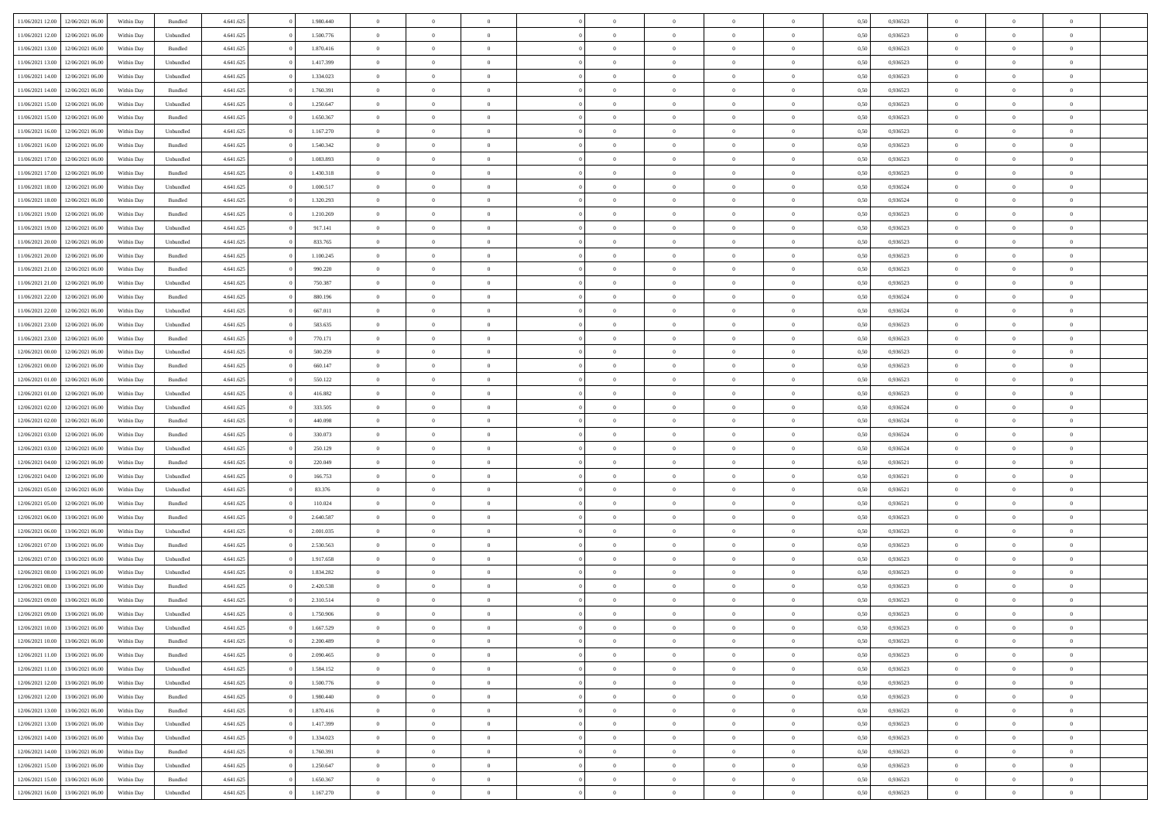| 11/06/2021 12:00                     | 12/06/2021 06:00                     | Within Day | Bundled   | 4.641.625              | 1.980.440 | $\overline{0}$                   | $\theta$       |                | $\overline{0}$ | $\bf{0}$       | $\overline{0}$ | $\theta$                       | 0,50 | 0,936523 | $\theta$       | $\theta$       | $\overline{0}$           |  |
|--------------------------------------|--------------------------------------|------------|-----------|------------------------|-----------|----------------------------------|----------------|----------------|----------------|----------------|----------------|--------------------------------|------|----------|----------------|----------------|--------------------------|--|
|                                      |                                      |            |           |                        |           | $\overline{0}$                   | $\overline{0}$ |                |                |                |                |                                |      |          |                |                | $\overline{0}$           |  |
| 11/06/2021 12:00                     | 12/06/2021 06:00                     | Within Day | Unbundled | 4.641.625              | 1.500.776 |                                  |                | $\overline{0}$ | $\overline{0}$ | $\,$ 0         | $\bf{0}$       | $\bf{0}$                       | 0,50 | 0,936523 | $\,$ 0 $\,$    | $\overline{0}$ |                          |  |
| 11/06/2021 13:00                     | 12/06/2021 06:00                     | Within Day | Bundled   | 4.641.625              | 1.870.416 | $\overline{0}$                   | $\overline{0}$ | $\overline{0}$ | $\overline{0}$ | $\bf{0}$       | $\overline{0}$ | $\mathbf{0}$                   | 0.50 | 0.936523 | $\bf{0}$       | $\overline{0}$ | $\overline{0}$           |  |
| 11/06/2021 13:00                     | 12/06/2021 06:00                     | Within Day | Unbundled | 4.641.625              | 1.417.399 | $\overline{0}$                   | $\overline{0}$ | $\overline{0}$ | $\overline{0}$ | $\bf{0}$       | $\overline{0}$ | $\overline{0}$                 | 0,50 | 0,936523 | $\,$ 0 $\,$    | $\overline{0}$ | $\overline{0}$           |  |
| 11/06/2021 14:00                     | 12/06/2021 06:00                     | Within Day | Unbundled | 4.641.625              | 1.334.023 | $\overline{0}$                   | $\theta$       | $\overline{0}$ |                | $\overline{0}$ | $\overline{0}$ | $\bf{0}$                       | 0,50 | 0,936523 | $\theta$       | $\overline{0}$ | $\overline{0}$           |  |
| 11/06/2021 14:00                     | 12/06/2021 06:00                     | Within Day | Bundled   | 4.641.625              | 1.760.391 | $\overline{0}$                   | $\overline{0}$ | $\overline{0}$ | $\overline{0}$ | $\bf{0}$       | $\overline{0}$ | $\overline{0}$                 | 0.50 | 0.936523 | $\,0\,$        | $\theta$       | $\overline{0}$           |  |
| 11/06/2021 15:00                     | 12/06/2021 06:00                     | Within Day | Unbundled | 4.641.625              | 1.250.647 | $\overline{0}$                   | $\overline{0}$ | $\overline{0}$ | $\overline{0}$ | $\,$ 0         | $\overline{0}$ | $\overline{0}$                 | 0,50 | 0,936523 | $\,$ 0 $\,$    | $\theta$       | $\overline{0}$           |  |
| 11/06/2021 15:00                     | 12/06/2021 06.00                     | Within Day | Bundled   | 4.641.625              | 1.650.367 | $\overline{0}$                   | $\theta$       | $\overline{0}$ | $\overline{0}$ | $\bf{0}$       | $\overline{0}$ | $\bf{0}$                       | 0,50 | 0,936523 | $\,$ 0 $\,$    | $\overline{0}$ | $\overline{0}$           |  |
| 11/06/2021 16:00                     | 12/06/2021 06:00                     | Within Day | Unbundled | 4.641.625              | 1.167.270 | $\overline{0}$                   | $\overline{0}$ | $\overline{0}$ | $\overline{0}$ | $\bf{0}$       | $\overline{0}$ | $\bf{0}$                       | 0.50 | 0.936523 | $\,0\,$        | $\overline{0}$ | $\overline{0}$           |  |
| 11/06/2021 16:00                     | 12/06/2021 06:00                     | Within Day | Bundled   | 4.641.625              | 1.540.342 | $\overline{0}$                   | $\overline{0}$ | $\overline{0}$ | $\overline{0}$ | $\,$ 0         | $\overline{0}$ | $\bf{0}$                       | 0,50 | 0,936523 | $\,$ 0 $\,$    | $\overline{0}$ | $\overline{0}$           |  |
|                                      |                                      |            |           |                        |           |                                  |                |                |                |                |                |                                |      |          |                |                |                          |  |
| 11/06/2021 17:00                     | 12/06/2021 06:00                     | Within Day | Unbundled | 4.641.625              | 1.083.893 | $\overline{0}$                   | $\theta$       | $\overline{0}$ | $\overline{0}$ | $\,$ 0         | $\overline{0}$ | $\bf{0}$                       | 0,50 | 0,936523 | $\,$ 0 $\,$    | $\overline{0}$ | $\overline{0}$           |  |
| 11/06/2021 17:00                     | 12/06/2021 06:00                     | Within Day | Bundled   | 4.641.625              | 1.430.318 | $\overline{0}$                   | $\overline{0}$ | $\overline{0}$ | $\overline{0}$ | $\bf{0}$       | $\overline{0}$ | $\mathbf{0}$                   | 0.50 | 0.936523 | $\bf{0}$       | $\overline{0}$ | $\overline{\phantom{a}}$ |  |
| 11/06/2021 18:00                     | 12/06/2021 06:00                     | Within Day | Unbundled | 4.641.625              | 1.000.517 | $\overline{0}$                   | $\overline{0}$ | $\overline{0}$ | $\overline{0}$ | $\,$ 0         | $\overline{0}$ | $\overline{0}$                 | 0,50 | 0,936524 | $\,$ 0 $\,$    | $\theta$       | $\overline{0}$           |  |
| 11/06/2021 18:00                     | 12/06/2021 06:00                     | Within Day | Bundled   | 4.641.625              | 1.320.293 | $\overline{0}$                   | $\theta$       | $\overline{0}$ | $\overline{0}$ | $\overline{0}$ | $\overline{0}$ | $\bf{0}$                       | 0,50 | 0,936524 | $\,$ 0 $\,$    | $\overline{0}$ | $\overline{0}$           |  |
| 11/06/2021 19:00                     | 12/06/2021 06:00                     | Within Day | Bundled   | 4.641.625              | 1.210.269 | $\overline{0}$                   | $\overline{0}$ | $\overline{0}$ | $\overline{0}$ | $\,$ 0         | $\overline{0}$ | $\overline{0}$                 | 0.50 | 0.936523 | $\theta$       | $\theta$       | $\overline{0}$           |  |
| 11/06/2021 19:00                     | 12/06/2021 06:00                     | Within Day | Unbundled | 4.641.625              | 917.141   | $\overline{0}$                   | $\overline{0}$ | $\overline{0}$ | $\overline{0}$ | $\,$ 0         | $\overline{0}$ | $\bf{0}$                       | 0,50 | 0,936523 | $\,$ 0 $\,$    | $\theta$       | $\overline{0}$           |  |
| 11/06/2021 20:00                     | 12/06/2021 06.00                     | Within Day | Unbundled | 4.641.625              | 833.765   | $\overline{0}$                   | $\theta$       | $\overline{0}$ | $\overline{0}$ | $\bf{0}$       | $\overline{0}$ | $\bf{0}$                       | 0,50 | 0,936523 | $\,$ 0 $\,$    | $\overline{0}$ | $\overline{0}$           |  |
| 11/06/2021 20:00                     | 12/06/2021 06:00                     | Within Day | Bundled   | 4.641.625              | 1.100.245 | $\overline{0}$                   | $\overline{0}$ | $\overline{0}$ | $\overline{0}$ | $\bf{0}$       | $\overline{0}$ | $\bf{0}$                       | 0.50 | 0.936523 | $\,0\,$        | $\overline{0}$ | $\overline{0}$           |  |
| 11/06/2021 21:00                     | 12/06/2021 06:00                     | Within Day | Bundled   | 4.641.625              | 990.220   | $\overline{0}$                   | $\overline{0}$ | $\overline{0}$ | $\overline{0}$ | $\,$ 0         | $\overline{0}$ | $\bf{0}$                       | 0,50 | 0,936523 | $\,$ 0 $\,$    | $\overline{0}$ | $\overline{0}$           |  |
| 11/06/2021 21:00                     | 12/06/2021 06:00                     | Within Day | Unbundled | 4.641.625              | 750.387   | $\bf{0}$                         | $\theta$       | $\overline{0}$ | $\overline{0}$ | $\,$ 0         | $\bf{0}$       | $\bf{0}$                       | 0,50 | 0,936523 | $\,$ 0 $\,$    | $\overline{0}$ | $\overline{0}$           |  |
|                                      |                                      | Within Day | Bundled   |                        | 880.196   |                                  | $\overline{0}$ | $\overline{0}$ | $\overline{0}$ | $\bf{0}$       | $\overline{0}$ |                                | 0.50 | 0.936524 | $\bf{0}$       | $\overline{0}$ | $\overline{0}$           |  |
| 11/06/2021 22:00<br>11/06/2021 22:00 | 12/06/2021 06:00<br>12/06/2021 06:00 |            |           | 4.641.625<br>4.641.625 | 667.011   | $\overline{0}$<br>$\overline{0}$ | $\overline{0}$ | $\overline{0}$ | $\overline{0}$ | $\bf{0}$       | $\overline{0}$ | $\mathbf{0}$<br>$\overline{0}$ | 0,50 | 0,936524 | $\,$ 0 $\,$    | $\overline{0}$ | $\overline{0}$           |  |
|                                      |                                      | Within Day | Unbundled |                        |           |                                  |                |                |                |                |                |                                |      |          |                |                |                          |  |
| 11/06/2021 23:00                     | 12/06/2021 06:00                     | Within Day | Unbundled | 4.641.625              | 583.635   | $\overline{0}$                   | $\theta$       | $\overline{0}$ | $\overline{0}$ | $\bf{0}$       | $\overline{0}$ | $\bf{0}$                       | 0,50 | 0,936523 | $\,$ 0 $\,$    | $\overline{0}$ | $\overline{0}$           |  |
| 11/06/2021 23:00                     | 12/06/2021 06:00                     | Within Day | Bundled   | 4.641.625              | 770.171   | $\overline{0}$                   | $\overline{0}$ | $\overline{0}$ | $\overline{0}$ | $\bf{0}$       | $\overline{0}$ | $\bf{0}$                       | 0.50 | 0.936523 | $\,0\,$        | $\theta$       | $\overline{0}$           |  |
| 12/06/2021 00:00                     | 12/06/2021 06:00                     | Within Day | Unbundled | 4.641.625              | 500.259   | $\overline{0}$                   | $\overline{0}$ | $\overline{0}$ | $\overline{0}$ | $\,$ 0         | $\overline{0}$ | $\overline{0}$                 | 0,50 | 0,936523 | $\,$ 0 $\,$    | $\theta$       | $\overline{0}$           |  |
| 12/06/2021 00:00                     | 12/06/2021 06.00                     | Within Day | Bundled   | 4.641.625              | 660.147   | $\overline{0}$                   | $\theta$       | $\overline{0}$ |                | $\bf{0}$       | $\overline{0}$ | $\bf{0}$                       | 0,50 | 0,936523 | $\,$ 0 $\,$    | $\overline{0}$ | $\overline{0}$           |  |
| 12/06/2021 01:00                     | 12/06/2021 06:00                     | Within Day | Bundled   | 4.641.625              | 550.122   | $\overline{0}$                   | $\overline{0}$ | $\overline{0}$ | $\overline{0}$ | $\bf{0}$       | $\overline{0}$ | $\bf{0}$                       | 0.50 | 0.936523 | $\,0\,$        | $\overline{0}$ | $\overline{0}$           |  |
| 12/06/2021 01:00                     | 12/06/2021 06:00                     | Within Day | Unbundled | 4.641.625              | 416.882   | $\overline{0}$                   | $\overline{0}$ | $\overline{0}$ | $\overline{0}$ | $\,$ 0         | $\overline{0}$ | $\bf{0}$                       | 0,50 | 0,936523 | $\,$ 0 $\,$    | $\overline{0}$ | $\overline{0}$           |  |
| 12/06/2021 02:00                     | 12/06/2021 06:00                     | Within Day | Unbundled | 4.641.625              | 333.505   | $\bf{0}$                         | $\overline{0}$ | $\overline{0}$ | $\overline{0}$ | $\bf{0}$       | $\bf{0}$       | $\bf{0}$                       | 0,50 | 0,936524 | $\,$ 0 $\,$    | $\overline{0}$ | $\overline{0}$           |  |
| 12/06/2021 02:00                     | 12/06/2021 06:00                     | Within Day | Bundled   | 4.641.625              | 440 098   | $\overline{0}$                   | $\overline{0}$ | $\overline{0}$ | $\overline{0}$ | $\bf{0}$       | $\overline{0}$ | $\mathbf{0}$                   | 0.50 | 0.936524 | $\bf{0}$       | $\overline{0}$ | $\overline{\phantom{a}}$ |  |
| 12/06/2021 03:00                     | 12/06/2021 06:00                     | Within Dav | Bundled   | 4.641.625              | 330.073   | $\overline{0}$                   | $\overline{0}$ | $\overline{0}$ | $\overline{0}$ | $\bf{0}$       | $\overline{0}$ | $\overline{0}$                 | 0.50 | 0,936524 | $\theta$       | $\overline{0}$ | $\overline{0}$           |  |
| 12/06/2021 03:00                     | 12/06/2021 06:00                     | Within Day | Unbundled | 4.641.625              | 250.129   | $\overline{0}$                   | $\theta$       | $\overline{0}$ | $\overline{0}$ | $\bf{0}$       | $\overline{0}$ | $\bf{0}$                       | 0,50 | 0,936524 | $\,$ 0 $\,$    | $\overline{0}$ | $\overline{0}$           |  |
|                                      | 12/06/2021 06:00                     |            |           |                        | 220,049   |                                  | $\overline{0}$ | $\overline{0}$ | $\overline{0}$ | $\,$ 0         | $\overline{0}$ |                                | 0.50 | 0.936521 | $\,0\,$        | $\theta$       | $\overline{0}$           |  |
| 12/06/2021 04:00                     |                                      | Within Day | Bundled   | 4.641.625              |           | $\overline{0}$                   |                |                |                |                |                | $\bf{0}$                       |      |          |                |                |                          |  |
| 12/06/2021 04:00                     | 12/06/2021 06:00                     | Within Dav | Unbundled | 4.641.625              | 166.753   | $\overline{0}$                   | $\theta$       | $\Omega$       | $\overline{0}$ | $\bf{0}$       | $\overline{0}$ | $\overline{0}$                 | 0.50 | 0,936521 | $\theta$       | $\overline{0}$ | $\overline{0}$           |  |
| 12/06/2021 05:00                     | 12/06/2021 06:00                     | Within Day | Unbundled | 4.641.625              | 83.376    | $\overline{0}$                   | $\theta$       | $\overline{0}$ | $\overline{0}$ | $\,$ 0         | $\overline{0}$ | $\bf{0}$                       | 0,50 | 0,936521 | $\,$ 0 $\,$    | $\overline{0}$ | $\overline{0}$           |  |
| 12/06/2021 05:00                     | 12/06/2021 06:00                     | Within Day | Bundled   | 4.641.625              | 110.024   | $\overline{0}$                   | $\overline{0}$ | $\overline{0}$ | $\overline{0}$ | $\bf{0}$       | $\overline{0}$ | $\bf{0}$                       | 0.50 | 0.936521 | $\,0\,$        | $\overline{0}$ | $\overline{0}$           |  |
| 12/06/2021 06:00                     | 13/06/2021 06:00                     | Within Dav | Bundled   | 4.641.625              | 2.640.587 | $\overline{0}$                   | $\overline{0}$ | $\overline{0}$ | $\overline{0}$ | $\overline{0}$ | $\overline{0}$ | $\overline{0}$                 | 0.50 | 0.936523 | $\theta$       | $\overline{0}$ | $\overline{0}$           |  |
| 12/06/2021 06:00                     | 13/06/2021 06.00                     | Within Day | Unbundled | 4.641.625              | 2.001.035 | $\overline{0}$                   | $\overline{0}$ | $\overline{0}$ | $\overline{0}$ | $\bf{0}$       | $\bf{0}$       | $\bf{0}$                       | 0,50 | 0,936523 | $\,$ 0 $\,$    | $\overline{0}$ | $\overline{0}$           |  |
| 12/06/2021 07:00                     | 13/06/2021 06:00                     | Within Day | Bundled   | 4.641.625              | 2.530.563 | $\overline{0}$                   | $\overline{0}$ | $\overline{0}$ | $\overline{0}$ | $\bf{0}$       | $\overline{0}$ | $\mathbf{0}$                   | 0.50 | 0.936523 | $\bf{0}$       | $\overline{0}$ | $\overline{0}$           |  |
| 12/06/2021 07:00                     | 13/06/2021 06:00                     | Within Dav | Unbundled | 4.641.625              | 1.917.658 | $\overline{0}$                   | $\overline{0}$ | $\Omega$       | $\overline{0}$ | $\bf{0}$       | $\overline{0}$ | $\overline{0}$                 | 0.50 | 0.936523 | $\theta$       | $\overline{0}$ | $\overline{0}$           |  |
| 12/06/2021 08:00                     | 13/06/2021 06.00                     | Within Day | Unbundled | 4.641.625              | 1.834.282 | $\overline{0}$                   | $\theta$       | $\overline{0}$ | $\overline{0}$ | $\,$ 0         | $\overline{0}$ | $\bf{0}$                       | 0,50 | 0,936523 | $\,$ 0 $\,$    | $\overline{0}$ | $\overline{0}$           |  |
| 12/06/2021 08:00                     | 13/06/2021 06:00                     | Within Day | Bundled   | 4.641.625              | 2.420.538 | $\overline{0}$                   | $\theta$       | $\overline{0}$ | $\overline{0}$ | $\bf{0}$       | $\Omega$       | $\overline{0}$                 | 0.50 | 0.936523 | $\,0\,$        | $\theta$       | $\overline{0}$           |  |
| 12/06/2021 09:00                     | 13/06/2021 06:00                     | Within Dav | Bundled   | 4.641.625              | 2.310.514 | $\overline{0}$                   | $\Omega$       | $\Omega$       | $\Omega$       | $\bf{0}$       | $\overline{0}$ | $\bf{0}$                       | 0.50 | 0.936523 | $\theta$       | $\theta$       | $\overline{0}$           |  |
| 12/06/2021 09:00                     | 13/06/2021 06:00                     | Within Day | Unbundled | 4.641.625              | 1.750.906 | $\overline{0}$                   | $\,$ 0 $\,$    | $\overline{0}$ | $\overline{0}$ | $\,$ 0         | $\bf{0}$       | $\bf{0}$                       | 0,50 | 0,936523 | $\,$ 0 $\,$    | $\overline{0}$ | $\overline{0}$           |  |
| 12/06/2021 10:00                     | 13/06/2021 06:00                     | Within Day | Unbundled | 4.641.625              | 1.667.529 |                                  | $\theta$       |                |                |                |                |                                | 0,50 | 0.936523 |                | $\theta$       |                          |  |
|                                      |                                      |            |           |                        |           | $\bf{0}$                         |                |                |                |                |                |                                |      |          | $\bf{0}$       |                |                          |  |
| 12/06/2021 10:00 13/06/2021 06:00    |                                      | Within Day | Bundled   | 4.641.625              | 2.200.489 | $\overline{0}$                   | $\overline{0}$ | $\overline{0}$ | $\overline{0}$ | $\overline{0}$ | $\overline{0}$ | $\mathbf{0}$                   | 0,50 | 0.936523 | $\theta$       | $\overline{0}$ | $\overline{0}$           |  |
| 12/06/2021 11:00                     | 13/06/2021 06:00                     | Within Day | Bundled   | 4.641.625              | 2.090.465 | $\overline{0}$                   | $\overline{0}$ | $\overline{0}$ | $\bf{0}$       | $\overline{0}$ | $\overline{0}$ | $\bf{0}$                       | 0,50 | 0,936523 | $\bf{0}$       | $\overline{0}$ | $\bf{0}$                 |  |
| 12/06/2021 11:00                     | 13/06/2021 06:00                     | Within Day | Unbundled | 4.641.625              | 1.584.152 | $\overline{0}$                   | $\overline{0}$ | $\overline{0}$ | $\overline{0}$ | $\overline{0}$ | $\overline{0}$ | $\mathbf{0}$                   | 0.50 | 0.936523 | $\overline{0}$ | $\bf{0}$       | $\bf{0}$                 |  |
| 12/06/2021 12:00                     | 13/06/2021 06:00                     | Within Day | Unbundled | 4.641.625              | 1.500.776 | $\overline{0}$                   | $\overline{0}$ | $\overline{0}$ | $\overline{0}$ | $\overline{0}$ | $\overline{0}$ | $\mathbf{0}$                   | 0,50 | 0.936523 | $\overline{0}$ | $\theta$       | $\overline{0}$           |  |
| 12/06/2021 12:00                     | 13/06/2021 06:00                     | Within Day | Bundled   | 4.641.625              | 1.980.440 | $\overline{0}$                   | $\overline{0}$ | $\overline{0}$ | $\overline{0}$ | $\bf{0}$       | $\bf{0}$       | $\bf{0}$                       | 0,50 | 0,936523 | $\bf{0}$       | $\overline{0}$ | $\overline{0}$           |  |
| 12/06/2021 13:00                     | 13/06/2021 06:00                     | Within Day | Bundled   | 4.641.625              | 1.870.416 | $\overline{0}$                   | $\overline{0}$ | $\overline{0}$ | $\overline{0}$ | $\bf{0}$       | $\overline{0}$ | $\mathbf{0}$                   | 0.50 | 0.936523 | $\,$ 0 $\,$    | $\theta$       | $\overline{0}$           |  |
| 12/06/2021 13:00                     | 13/06/2021 06:00                     | Within Day | Unbundled | 4.641.625              | 1.417.399 | $\overline{0}$                   | $\overline{0}$ | $\overline{0}$ | $\overline{0}$ | $\overline{0}$ | $\overline{0}$ | $\overline{0}$                 | 0,50 | 0.936523 | $\overline{0}$ | $\theta$       | $\overline{0}$           |  |
| 12/06/2021 14:00                     | 13/06/2021 06:00                     | Within Day | Unbundled | 4.641.625              | 1.334.023 | $\overline{0}$                   | $\,$ 0         | $\overline{0}$ | $\bf{0}$       | $\,$ 0 $\,$    | $\overline{0}$ | $\bf{0}$                       | 0,50 | 0,936523 | $\,$ 0 $\,$    | $\overline{0}$ | $\overline{0}$           |  |
| 12/06/2021 14:00                     | 13/06/2021 06:00                     | Within Day | Bundled   | 4.641.625              | 1.760.391 | $\overline{0}$                   | $\overline{0}$ | $\overline{0}$ | $\overline{0}$ | $\bf{0}$       | $\overline{0}$ | $\mathbf{0}$                   | 0.50 | 0.936523 | $\mathbf{0}$   | $\,$ 0 $\,$    | $\overline{0}$           |  |
| 12/06/2021 15:00                     | 13/06/2021 06:00                     | Within Day | Unbundled | 4.641.625              | 1.250.647 | $\overline{0}$                   | $\overline{0}$ | $\overline{0}$ | $\overline{0}$ | $\overline{0}$ | $\overline{0}$ | $\overline{0}$                 | 0,50 | 0.936523 | $\overline{0}$ | $\theta$       | $\overline{0}$           |  |
| 12/06/2021 15:00                     | 13/06/2021 06:00                     | Within Day | Bundled   | 4.641.625              | 1.650.367 | $\overline{0}$                   | $\overline{0}$ | $\overline{0}$ | $\bf{0}$       | $\bf{0}$       | $\bf{0}$       | $\bf{0}$                       | 0,50 | 0,936523 | $\bf{0}$       | $\overline{0}$ | $\bf{0}$                 |  |
|                                      |                                      |            |           |                        |           |                                  |                |                |                |                |                |                                |      |          |                |                |                          |  |
| 12/06/2021 16:00 13/06/2021 06:00    |                                      | Within Day | Unbundled | 4.641.625              | 1.167.270 | $\,$ 0 $\,$                      | $\,$ 0 $\,$    | $\overline{0}$ | $\overline{0}$ | $\,$ 0 $\,$    | $\,$ 0 $\,$    | $\,$ 0 $\,$                    | 0,50 | 0,936523 | $\mathbf{0}^-$ | $\,$ 0 $\,$    | $\,$ 0 $\,$              |  |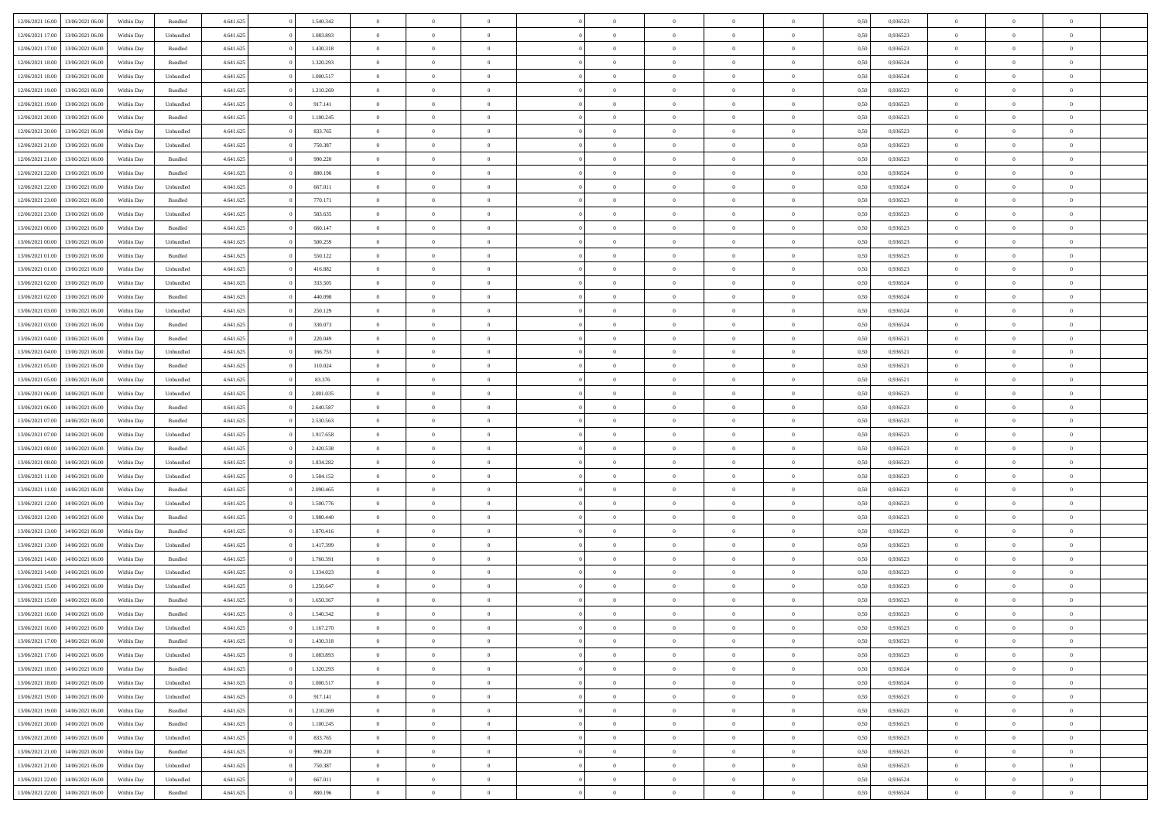| 12/06/2021 16:00 | 13/06/2021 06:00 | Within Day | Bundled   | 4.641.625 | 1.540.342 | $\overline{0}$ | $\Omega$       |                | $\Omega$       | $\Omega$       | $\theta$       | $\theta$       | 0.50 | 0,936523 | $\theta$       | $\theta$       | $\overline{0}$ |  |
|------------------|------------------|------------|-----------|-----------|-----------|----------------|----------------|----------------|----------------|----------------|----------------|----------------|------|----------|----------------|----------------|----------------|--|
|                  |                  |            |           |           |           |                |                |                |                |                |                |                |      |          |                |                |                |  |
| 12/06/2021 17:00 | 13/06/2021 06:00 | Within Day | Unbundled | 4.641.625 | 1.083.893 | $\overline{0}$ | $\theta$       | $\overline{0}$ | $\overline{0}$ | $\bf{0}$       | $\overline{0}$ | $\bf{0}$       | 0,50 | 0,936523 | $\theta$       | $\overline{0}$ | $\overline{0}$ |  |
| 12/06/2021 17:00 | 13/06/2021 06:00 | Within Day | Bundled   | 4.641.625 | 1.430.318 | $\overline{0}$ | $\bf{0}$       | $\overline{0}$ | $\overline{0}$ | $\bf{0}$       | $\overline{0}$ | $\mathbf{0}$   | 0,50 | 0,936523 | $\overline{0}$ | $\overline{0}$ | $\bf{0}$       |  |
| 12/06/2021 18:00 | 13/06/2021 06:00 | Within Dav | Bundled   | 4.641.625 | 1.320.293 | $\overline{0}$ | $\overline{0}$ | $\overline{0}$ | $\overline{0}$ | $\bf{0}$       | $\overline{0}$ | $\overline{0}$ | 0.50 | 0.936524 | $\theta$       | $\theta$       | $\overline{0}$ |  |
| 12/06/2021 18:00 | 13/06/2021 06:00 | Within Day | Unbundled | 4.641.625 | 1.000.517 | $\overline{0}$ | $\theta$       | $\overline{0}$ | $\overline{0}$ | $\bf{0}$       | $\overline{0}$ | $\bf{0}$       | 0,50 | 0,936524 | $\theta$       | $\overline{0}$ | $\overline{0}$ |  |
| 12/06/2021 19:00 | 13/06/2021 06:00 | Within Day | Bundled   | 4.641.625 | 1.210.269 | $\overline{0}$ | $\overline{0}$ | $\overline{0}$ | $\overline{0}$ | $\overline{0}$ | $\overline{0}$ | $\mathbf{0}$   | 0,50 | 0,936523 | $\overline{0}$ | $\overline{0}$ | $\bf{0}$       |  |
| 12/06/2021 19:00 | 13/06/2021 06:00 | Within Dav | Unbundled | 4.641.625 | 917.141   | $\overline{0}$ | $\overline{0}$ | $\overline{0}$ | $\overline{0}$ | $\overline{0}$ | $\overline{0}$ | $\overline{0}$ | 0.50 | 0.936523 | $\theta$       | $\overline{0}$ | $\overline{0}$ |  |
|                  |                  |            |           |           |           |                |                |                |                |                |                |                |      |          |                |                |                |  |
| 12/06/2021 20:00 | 13/06/2021 06:00 | Within Day | Bundled   | 4.641.625 | 1.100.245 | $\overline{0}$ | $\theta$       | $\overline{0}$ | $\overline{0}$ | $\bf{0}$       | $\overline{0}$ | $\bf{0}$       | 0,50 | 0,936523 | $\theta$       | $\theta$       | $\overline{0}$ |  |
| 12/06/2021 20:00 | 13/06/2021 06:00 | Within Day | Unbundled | 4.641.625 | 833.765   | $\overline{0}$ | $\overline{0}$ | $\overline{0}$ | $\overline{0}$ | $\bf{0}$       | $\overline{0}$ | $\mathbf{0}$   | 0,50 | 0,936523 | $\,0\,$        | $\overline{0}$ | $\overline{0}$ |  |
| 12/06/2021 21:00 | 13/06/2021 06:00 | Within Dav | Unbundled | 4.641.625 | 750.387   | $\overline{0}$ | $\overline{0}$ | $\overline{0}$ | $\overline{0}$ | $\overline{0}$ | $\overline{0}$ | $\overline{0}$ | 0.50 | 0.936523 | $\theta$       | $\overline{0}$ | $\overline{0}$ |  |
| 12/06/2021 21:00 | 13/06/2021 06:00 | Within Day | Bundled   | 4.641.625 | 990.220   | $\overline{0}$ | $\theta$       | $\overline{0}$ | $\overline{0}$ | $\bf{0}$       | $\overline{0}$ | $\bf{0}$       | 0,50 | 0,936523 | $\,$ 0 $\,$    | $\overline{0}$ | $\overline{0}$ |  |
| 12/06/2021 22:00 | 13/06/2021 06:00 | Within Day | Bundled   | 4.641.625 | 880.196   | $\overline{0}$ | $\overline{0}$ | $\overline{0}$ | $\overline{0}$ | $\bf{0}$       | $\overline{0}$ | $\mathbf{0}$   | 0,50 | 0,936524 | $\overline{0}$ | $\overline{0}$ | $\bf{0}$       |  |
| 12/06/2021 22:00 | 13/06/2021 06:00 | Within Day | Unbundled | 4.641.625 | 667.011   | $\overline{0}$ | $\overline{0}$ | $\overline{0}$ | $\overline{0}$ | $\bf{0}$       | $\overline{0}$ | $\overline{0}$ | 0.50 | 0.936524 | $\theta$       | $\theta$       | $\overline{0}$ |  |
| 12/06/2021 23:00 | 13/06/2021 06:00 | Within Day | Bundled   | 4.641.625 | 770.171   | $\overline{0}$ | $\theta$       | $\overline{0}$ | $\overline{0}$ | $\bf{0}$       | $\overline{0}$ | $\bf{0}$       | 0,50 | 0,936523 | $\theta$       | $\overline{0}$ | $\overline{0}$ |  |
|                  |                  |            |           |           |           |                |                |                |                |                |                |                |      |          |                |                |                |  |
| 12/06/2021 23:00 | 13/06/2021 06:00 | Within Day | Unbundled | 4.641.625 | 583.635   | $\overline{0}$ | $\overline{0}$ | $\overline{0}$ | $\overline{0}$ | $\overline{0}$ | $\overline{0}$ | $\mathbf{0}$   | 0,50 | 0,936523 | $\overline{0}$ | $\overline{0}$ | $\bf{0}$       |  |
| 13/06/2021 00:00 | 13/06/2021 06:00 | Within Dav | Bundled   | 4.641.625 | 660.147   | $\overline{0}$ | $\overline{0}$ | $\overline{0}$ | $\overline{0}$ | $\overline{0}$ | $\overline{0}$ | $\overline{0}$ | 0.50 | 0.936523 | $\theta$       | $\overline{0}$ | $\overline{0}$ |  |
| 13/06/2021 00:00 | 13/06/2021 06:00 | Within Day | Unbundled | 4.641.625 | 500.259   | $\overline{0}$ | $\theta$       | $\overline{0}$ | $\overline{0}$ | $\bf{0}$       | $\overline{0}$ | $\bf{0}$       | 0,50 | 0,936523 | $\theta$       | $\theta$       | $\overline{0}$ |  |
| 13/06/2021 01:00 | 13/06/2021 06:00 | Within Day | Bundled   | 4.641.625 | 550.122   | $\overline{0}$ | $\overline{0}$ | $\overline{0}$ | $\overline{0}$ | $\bf{0}$       | $\overline{0}$ | $\mathbf{0}$   | 0,50 | 0,936523 | $\,0\,$        | $\overline{0}$ | $\bf{0}$       |  |
| 13/06/2021 01:00 | 13/06/2021 06:00 | Within Day | Unbundled | 4.641.625 | 416.882   | $\overline{0}$ | $\overline{0}$ | $\overline{0}$ | $\overline{0}$ | $\overline{0}$ | $\overline{0}$ | $\overline{0}$ | 0.50 | 0.936523 | $\theta$       | $\overline{0}$ | $\overline{0}$ |  |
| 13/06/2021 02:00 | 13/06/2021 06:00 | Within Day | Unbundled | 4.641.625 | 333.505   | $\overline{0}$ | $\theta$       | $\overline{0}$ | $\overline{0}$ | $\bf{0}$       | $\overline{0}$ | $\bf{0}$       | 0,50 | 0,936524 | $\,$ 0 $\,$    | $\overline{0}$ | $\overline{0}$ |  |
| 13/06/2021 02:00 | 13/06/2021 06:00 | Within Day | Bundled   | 4.641.625 | 440.098   | $\overline{0}$ | $\overline{0}$ | $\overline{0}$ | $\overline{0}$ | $\bf{0}$       | $\overline{0}$ | $\mathbf{0}$   | 0,50 | 0,936524 | $\bf{0}$       | $\overline{0}$ | $\bf{0}$       |  |
|                  |                  |            |           |           |           |                |                |                |                |                |                |                |      |          | $\theta$       |                |                |  |
| 13/06/2021 03:00 | 13/06/2021 06:00 | Within Day | Unbundled | 4.641.625 | 250.129   | $\overline{0}$ | $\overline{0}$ | $\overline{0}$ | $\overline{0}$ | $\overline{0}$ | $\overline{0}$ | $\overline{0}$ | 0.50 | 0.936524 |                | $\overline{0}$ | $\overline{0}$ |  |
| 13/06/2021 03:00 | 13/06/2021 06:00 | Within Day | Bundled   | 4.641.625 | 330.073   | $\overline{0}$ | $\theta$       | $\overline{0}$ | $\overline{0}$ | $\bf{0}$       | $\overline{0}$ | $\bf{0}$       | 0,50 | 0,936524 | $\,$ 0 $\,$    | $\overline{0}$ | $\overline{0}$ |  |
| 13/06/2021 04:00 | 13/06/2021 06:00 | Within Day | Bundled   | 4.641.625 | 220.049   | $\overline{0}$ | $\overline{0}$ | $\overline{0}$ | $\overline{0}$ | $\overline{0}$ | $\overline{0}$ | $\mathbf{0}$   | 0,50 | 0,936521 | $\bf{0}$       | $\overline{0}$ | $\bf{0}$       |  |
| 13/06/2021 04:00 | 13/06/2021 06:00 | Within Dav | Unbundled | 4.641.625 | 166.753   | $\overline{0}$ | $\overline{0}$ | $\overline{0}$ | $\overline{0}$ | $\overline{0}$ | $\overline{0}$ | $\overline{0}$ | 0.50 | 0,936521 | $\theta$       | $\overline{0}$ | $\overline{0}$ |  |
| 13/06/2021 05:00 | 13/06/2021 06:00 | Within Day | Bundled   | 4.641.625 | 110.024   | $\overline{0}$ | $\theta$       | $\overline{0}$ | $\overline{0}$ | $\bf{0}$       | $\overline{0}$ | $\bf{0}$       | 0,50 | 0,936521 | $\theta$       | $\theta$       | $\overline{0}$ |  |
| 13/06/2021 05:00 | 13/06/2021 06:00 | Within Day | Unbundled | 4.641.625 | 83.376    | $\overline{0}$ | $\overline{0}$ | $\overline{0}$ | $\bf{0}$       | $\bf{0}$       | $\bf{0}$       | $\bf{0}$       | 0,50 | 0,936521 | $\,0\,$        | $\overline{0}$ | $\overline{0}$ |  |
| 13/06/2021 06:00 | 14/06/2021 06:00 | Within Day | Unbundled | 4.641.625 | 2.001.035 | $\overline{0}$ | $\overline{0}$ | $\overline{0}$ | $\overline{0}$ | $\overline{0}$ | $\overline{0}$ | $\overline{0}$ | 0.50 | 0.936523 | $\theta$       | $\overline{0}$ | $\overline{0}$ |  |
|                  |                  |            |           |           |           | $\overline{0}$ |                |                |                |                |                |                |      |          |                |                |                |  |
| 13/06/2021 06:00 | 14/06/2021 06:00 | Within Day | Bundled   | 4.641.625 | 2.640.587 |                | $\theta$       | $\overline{0}$ | $\overline{0}$ | $\bf{0}$       | $\overline{0}$ | $\bf{0}$       | 0,50 | 0,936523 | $\,$ 0 $\,$    | $\overline{0}$ | $\overline{0}$ |  |
| 13/06/2021 07:00 | 14/06/2021 06:00 | Within Day | Bundled   | 4.641.625 | 2.530.563 | $\overline{0}$ | $\bf{0}$       | $\overline{0}$ | $\bf{0}$       | $\bf{0}$       | $\bf{0}$       | $\bf{0}$       | 0,50 | 0,936523 | $\bf{0}$       | $\overline{0}$ | $\bf{0}$       |  |
| 13/06/2021 07:00 | 14/06/2021 06:00 | Within Day | Unbundled | 4.641.625 | 1.917.658 | $\overline{0}$ | $\Omega$       | $\overline{0}$ | $\Omega$       | $\overline{0}$ | $\overline{0}$ | $\overline{0}$ | 0,50 | 0,936523 | $\,0\,$        | $\theta$       | $\theta$       |  |
| 13/06/2021 08:00 | 14/06/2021 06:00 | Within Day | Bundled   | 4.641.625 | 2.420.538 | $\overline{0}$ | $\theta$       | $\overline{0}$ | $\overline{0}$ | $\bf{0}$       | $\overline{0}$ | $\bf{0}$       | 0,50 | 0,936523 | $\theta$       | $\overline{0}$ | $\overline{0}$ |  |
| 13/06/2021 08:00 | 14/06/2021 06:00 | Within Day | Unbundled | 4.641.625 | 1.834.282 | $\overline{0}$ | $\overline{0}$ | $\overline{0}$ | $\bf{0}$       | $\overline{0}$ | $\overline{0}$ | $\mathbf{0}$   | 0,50 | 0,936523 | $\bf{0}$       | $\overline{0}$ | $\bf{0}$       |  |
| 13/06/2021 11:00 | 14/06/2021 06:00 | Within Day | Unbundled | 4.641.625 | 1.584.152 | $\overline{0}$ | $\Omega$       | $\Omega$       | $\Omega$       | $\overline{0}$ | $\overline{0}$ | $\overline{0}$ | 0.50 | 0.936523 | $\,0\,$        | $\theta$       | $\theta$       |  |
| 13/06/2021 11:00 | 14/06/2021 06:00 | Within Day | Bundled   | 4.641.625 | 2.090.465 | $\overline{0}$ | $\theta$       | $\overline{0}$ | $\overline{0}$ | $\bf{0}$       | $\overline{0}$ | $\bf{0}$       | 0,50 | 0,936523 | $\,$ 0 $\,$    | $\overline{0}$ | $\overline{0}$ |  |
| 13/06/2021 12:00 | 14/06/2021 06:00 | Within Day | Unbundled | 4.641.625 | 1.500.776 | $\overline{0}$ | $\overline{0}$ | $\overline{0}$ | $\bf{0}$       | $\bf{0}$       | $\bf{0}$       | $\mathbf{0}$   | 0,50 | 0,936523 | $\bf{0}$       | $\overline{0}$ | $\bf{0}$       |  |
|                  |                  |            |           |           |           |                | $\Omega$       |                |                |                |                |                |      |          |                |                | $\theta$       |  |
| 13/06/2021 12:00 | 14/06/2021 06:00 | Within Day | Bundled   | 4.641.625 | 1.980.440 | $\overline{0}$ |                | $\Omega$       | $\Omega$       | $\overline{0}$ | $\overline{0}$ | $\overline{0}$ | 0.50 | 0.936523 | $\,$ 0 $\,$    | $\theta$       |                |  |
| 13/06/2021 13:00 | 14/06/2021 06:00 | Within Day | Bundled   | 4.641.625 | 1.870.416 | $\overline{0}$ | $\theta$       | $\overline{0}$ | $\overline{0}$ | $\,$ 0         | $\overline{0}$ | $\bf{0}$       | 0,50 | 0,936523 | $\,$ 0 $\,$    | $\overline{0}$ | $\overline{0}$ |  |
| 13/06/2021 13:00 | 14/06/2021 06:00 | Within Day | Unbundled | 4.641.625 | 1.417.399 | $\overline{0}$ | $\bf{0}$       | $\overline{0}$ | $\bf{0}$       | $\bf{0}$       | $\bf{0}$       | $\mathbf{0}$   | 0,50 | 0,936523 | $\bf{0}$       | $\overline{0}$ | $\bf{0}$       |  |
| 13/06/2021 14:00 | 14/06/2021 06:00 | Within Day | Bundled   | 4.641.625 | 1.760.391 | $\overline{0}$ | $\Omega$       | $\overline{0}$ | $\Omega$       | $\overline{0}$ | $\overline{0}$ | $\overline{0}$ | 0,50 | 0,936523 | $\,0\,$        | $\theta$       | $\theta$       |  |
| 13/06/2021 14:00 | 14/06/2021 06:00 | Within Day | Unbundled | 4.641.625 | 1.334.023 | $\overline{0}$ | $\overline{0}$ | $\overline{0}$ | $\overline{0}$ | $\,$ 0         | $\overline{0}$ | $\bf{0}$       | 0,50 | 0,936523 | $\,$ 0 $\,$    | $\overline{0}$ | $\overline{0}$ |  |
| 13/06/2021 15:00 | 14/06/2021 06:00 | Within Day | Unbundled | 4.641.625 | 1.250.647 | $\overline{0}$ | $\overline{0}$ | $\overline{0}$ | $\overline{0}$ | $\bf{0}$       | $\overline{0}$ | $\mathbf{0}$   | 0,50 | 0,936523 | $\overline{0}$ | $\overline{0}$ | $\bf{0}$       |  |
| 13/06/2021 15:00 | 14/06/2021 06.00 | Within Day | Bundled   | 4.641.625 | 1.650.367 | $\overline{0}$ | $\Omega$       | $\Omega$       | $\Omega$       | $\Omega$       | $\Omega$       | $\overline{0}$ | 0.50 | 0.936523 | $\theta$       | $\theta$       | $\theta$       |  |
| 13/06/2021 16:00 | 14/06/2021 06:00 | Within Day | Bundled   | 4.641.625 | 1.540.342 | $\overline{0}$ | $\overline{0}$ | $\overline{0}$ | $\bf{0}$       | $\,$ 0         | $\overline{0}$ | $\bf{0}$       | 0,50 | 0,936523 | $\,0\,$        | $\,$ 0 $\,$    | $\overline{0}$ |  |
| 13/06/2021 16:00 | 14/06/2021 06:00 | Within Day | Unbundled | 4.641.625 | 1.167.270 | $\overline{0}$ | $\bf{0}$       |                |                | $\bf{0}$       |                |                | 0,50 | 0,936523 | $\bf{0}$       | $\overline{0}$ |                |  |
|                  |                  |            |           |           |           |                |                |                |                |                |                |                |      |          |                |                |                |  |
| 13/06/2021 17:00 | 14/06/2021 06:00 | Within Day | Bundled   | 4.641.625 | 1.430.318 | $\overline{0}$ | $\overline{0}$ | $\overline{0}$ | $\Omega$       | $\theta$       | $\overline{0}$ | $\overline{0}$ | 0.50 | 0.936523 | $\theta$       | $\theta$       | $\theta$       |  |
| 13/06/2021 17:00 | 14/06/2021 06:00 | Within Day | Unbundled | 4.641.625 | 1.083.893 | $\overline{0}$ | $\,$ 0         | $\overline{0}$ | $\overline{0}$ | $\,$ 0 $\,$    | $\overline{0}$ | $\,$ 0 $\,$    | 0,50 | 0,936523 | $\,$ 0 $\,$    | $\,$ 0 $\,$    | $\,$ 0         |  |
| 13/06/2021 18:00 | 14/06/2021 06:00 | Within Day | Bundled   | 4.641.625 | 1.320.293 | $\overline{0}$ | $\overline{0}$ | $\overline{0}$ | $\overline{0}$ | $\overline{0}$ | $\overline{0}$ | $\mathbf{0}$   | 0,50 | 0,936524 | $\overline{0}$ | $\bf{0}$       | $\bf{0}$       |  |
| 13/06/2021 18:00 | 14/06/2021 06:00 | Within Day | Unbundled | 4.641.625 | 1.000.517 | $\overline{0}$ | $\overline{0}$ | $\overline{0}$ | $\Omega$       | $\overline{0}$ | $\overline{0}$ | $\overline{0}$ | 0,50 | 0,936524 | $\overline{0}$ | $\theta$       | $\overline{0}$ |  |
| 13/06/2021 19:00 | 14/06/2021 06:00 | Within Day | Unbundled | 4.641.625 | 917.141   | $\overline{0}$ | $\,$ 0         | $\overline{0}$ | $\overline{0}$ | $\,$ 0 $\,$    | $\overline{0}$ | $\mathbf{0}$   | 0,50 | 0,936523 | $\,$ 0 $\,$    | $\overline{0}$ | $\overline{0}$ |  |
| 13/06/2021 19:00 | 14/06/2021 06:00 | Within Day | Bundled   | 4.641.625 | 1.210.269 | $\overline{0}$ | $\overline{0}$ | $\overline{0}$ | $\overline{0}$ | $\overline{0}$ | $\overline{0}$ | $\mathbf{0}$   | 0,50 | 0,936523 | $\overline{0}$ | $\overline{0}$ | $\bf{0}$       |  |
| 13/06/2021 20:00 | 14/06/2021 06:00 | Within Day | Bundled   | 4.641.625 | 1.100.245 | $\overline{0}$ | $\overline{0}$ | $\overline{0}$ | $\Omega$       | $\overline{0}$ | $\overline{0}$ | $\bf{0}$       | 0.50 | 0,936523 | $\overline{0}$ | $\theta$       | $\overline{0}$ |  |
| 13/06/2021 20:00 | 14/06/2021 06:00 | Within Day | Unbundled | 4.641.625 | 833.765   | $\overline{0}$ | $\,$ 0         | $\overline{0}$ | $\overline{0}$ | $\bf{0}$       | $\overline{0}$ | $\bf{0}$       | 0,50 | 0,936523 | $\,$ 0 $\,$    | $\overline{0}$ | $\overline{0}$ |  |
|                  |                  |            |           |           |           |                |                |                |                |                |                |                |      |          |                |                |                |  |
| 13/06/2021 21:00 | 14/06/2021 06:00 | Within Day | Bundled   | 4.641.625 | 990.220   | $\overline{0}$ | $\bf{0}$       | $\overline{0}$ | $\overline{0}$ | $\overline{0}$ | $\overline{0}$ | $\mathbf{0}$   | 0,50 | 0,936523 | $\overline{0}$ | $\overline{0}$ | $\bf{0}$       |  |
| 13/06/2021 21:00 | 14/06/2021 06:00 | Within Day | Unbundled | 4.641.625 | 750.387   | $\overline{0}$ | $\overline{0}$ | $\overline{0}$ | $\Omega$       | $\overline{0}$ | $\overline{0}$ | $\bf{0}$       | 0.50 | 0.936523 | $\overline{0}$ | $\theta$       | $\overline{0}$ |  |
| 13/06/2021 22:00 | 14/06/2021 06:00 | Within Day | Unbundled | 4.641.625 | 667.011   | $\overline{0}$ | $\bf{0}$       | $\overline{0}$ | $\overline{0}$ | $\bf{0}$       | $\overline{0}$ | $\mathbf{0}$   | 0,50 | 0,936524 | $\,$ 0 $\,$    | $\,$ 0 $\,$    | $\bf{0}$       |  |
| 13/06/2021 22:00 | 14/06/2021 06:00 | Within Day | Bundled   | 4.641.625 | 880.196   | $\overline{0}$ | $\overline{0}$ | $\overline{0}$ | $\overline{0}$ | $\bf{0}$       | $\overline{0}$ | $\mathbf{0}$   | 0,50 | 0,936524 | $\overline{0}$ | $\bf{0}$       | $\bf{0}$       |  |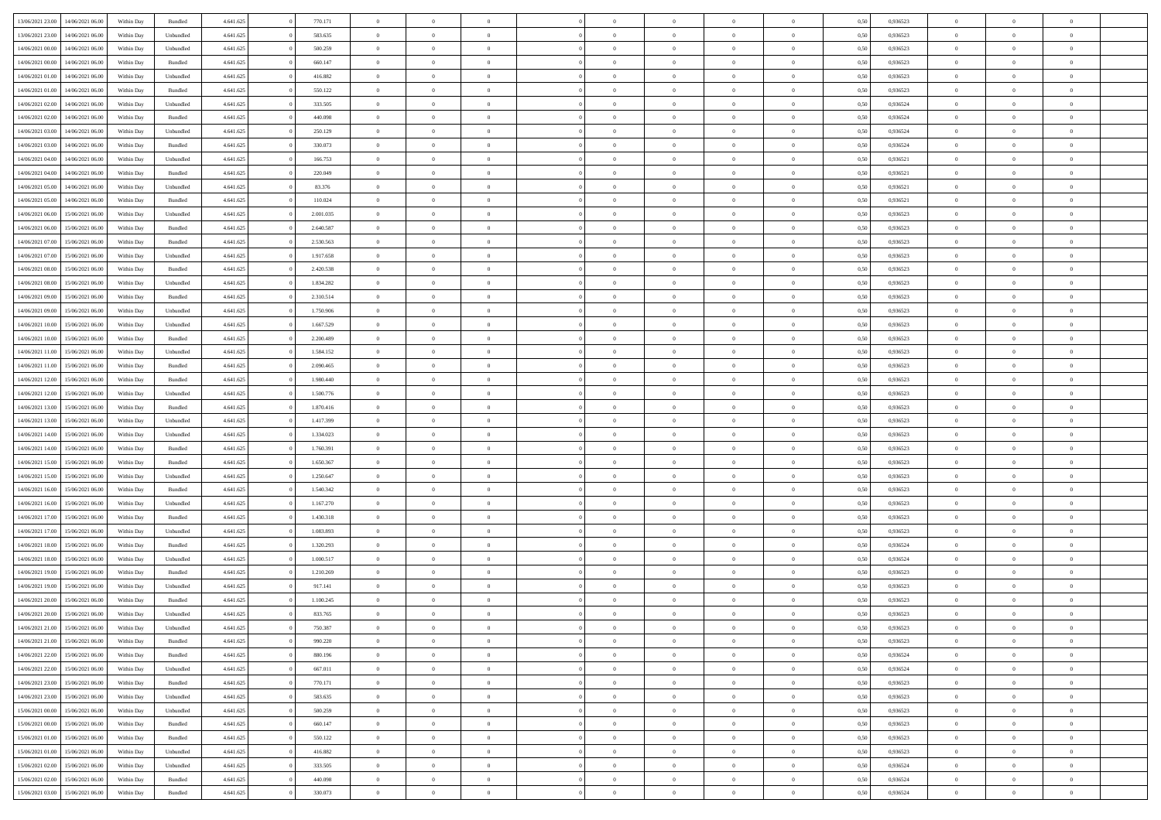| 13/06/2021 23:00                  | 14/06/2021 06:00 | Within Day | Bundled   | 4.641.625 | 770.171   | $\overline{0}$ | $\theta$       |                | $\overline{0}$ | $\bf{0}$       | $\overline{0}$ | $\theta$       | 0,50 | 0,936523 | $\theta$       | $\theta$       | $\overline{0}$           |  |
|-----------------------------------|------------------|------------|-----------|-----------|-----------|----------------|----------------|----------------|----------------|----------------|----------------|----------------|------|----------|----------------|----------------|--------------------------|--|
|                                   |                  |            |           |           |           | $\overline{0}$ | $\overline{0}$ |                |                |                |                |                |      |          |                |                | $\overline{0}$           |  |
| 13/06/2021 23:00                  | 14/06/2021 06.00 | Within Day | Unbundled | 4.641.625 | 583.635   |                |                | $\overline{0}$ | $\overline{0}$ | $\,$ 0         | $\overline{0}$ | $\bf{0}$       | 0,50 | 0,936523 | $\,$ 0 $\,$    | $\overline{0}$ |                          |  |
| 14/06/2021 00:00                  | 14/06/2021 06:00 | Within Day | Unbundled | 4.641.625 | 500.259   | $\overline{0}$ | $\overline{0}$ | $\overline{0}$ | $\overline{0}$ | $\bf{0}$       | $\overline{0}$ | $\mathbf{0}$   | 0.50 | 0.936523 | $\bf{0}$       | $\overline{0}$ | $\overline{0}$           |  |
| 14/06/2021 00:00                  | 14/06/2021 06:00 | Within Day | Bundled   | 4.641.625 | 660.147   | $\overline{0}$ | $\overline{0}$ | $\overline{0}$ | $\overline{0}$ | $\,$ 0         | $\overline{0}$ | $\overline{0}$ | 0,50 | 0,936523 | $\,$ 0 $\,$    | $\overline{0}$ | $\overline{0}$           |  |
| 14/06/2021 01:00                  | 14/06/2021 06.00 | Within Day | Unbundled | 4.641.625 | 416.882   | $\overline{0}$ | $\theta$       | $\overline{0}$ |                | $\overline{0}$ | $\overline{0}$ | $\bf{0}$       | 0,50 | 0,936523 | $\theta$       | $\overline{0}$ | $\overline{0}$           |  |
| 14/06/2021 01:00                  | 14/06/2021 06:00 | Within Day | Bundled   | 4.641.625 | 550.122   | $\overline{0}$ | $\overline{0}$ | $\overline{0}$ | $\overline{0}$ | $\bf{0}$       | $\overline{0}$ | $\bf{0}$       | 0.50 | 0.936523 | $\,0\,$        | $\theta$       | $\overline{0}$           |  |
| 14/06/2021 02:00                  | 14/06/2021 06:00 | Within Day | Unbundled | 4.641.625 | 333.505   | $\overline{0}$ | $\overline{0}$ | $\overline{0}$ | $\overline{0}$ | $\,$ 0         | $\overline{0}$ | $\overline{0}$ | 0,50 | 0,936524 | $\,$ 0 $\,$    | $\theta$       | $\overline{0}$           |  |
| 14/06/2021 02:00                  | 14/06/2021 06.00 | Within Day | Bundled   | 4.641.625 | 440.098   | $\overline{0}$ | $\theta$       | $\overline{0}$ | $\overline{0}$ | $\,$ 0         | $\overline{0}$ | $\bf{0}$       | 0,50 | 0,936524 | $\,$ 0 $\,$    | $\overline{0}$ | $\overline{0}$           |  |
| 14/06/2021 03:00                  | 14/06/2021 06:00 | Within Day | Unbundled | 4.641.625 | 250.129   | $\overline{0}$ | $\overline{0}$ | $\overline{0}$ | $\overline{0}$ | $\bf{0}$       | $\overline{0}$ | $\bf{0}$       | 0.50 | 0.936524 | $\,0\,$        | $\overline{0}$ | $\overline{0}$           |  |
| 14/06/2021 03:00                  | 14/06/2021 06:00 | Within Day | Bundled   | 4.641.625 | 330.073   | $\overline{0}$ | $\overline{0}$ | $\overline{0}$ | $\overline{0}$ | $\,$ 0         | $\overline{0}$ | $\bf{0}$       | 0,50 | 0,936524 | $\,$ 0 $\,$    | $\overline{0}$ | $\overline{0}$           |  |
|                                   |                  |            |           |           |           |                |                |                |                |                |                |                |      |          |                |                |                          |  |
| 14/06/2021 04:00                  | 14/06/2021 06.00 | Within Day | Unbundled | 4.641.625 | 166.753   | $\bf{0}$       | $\theta$       | $\overline{0}$ | $\overline{0}$ | $\,$ 0         | $\overline{0}$ | $\bf{0}$       | 0,50 | 0,936521 | $\,$ 0 $\,$    | $\overline{0}$ | $\overline{0}$           |  |
| 14/06/2021 04:00                  | 14/06/2021 06:00 | Within Day | Bundled   | 4.641.625 | 220.049   | $\overline{0}$ | $\overline{0}$ | $\overline{0}$ | $\overline{0}$ | $\bf{0}$       | $\overline{0}$ | $\mathbf{0}$   | 0.50 | 0.936521 | $\bf{0}$       | $\overline{0}$ | $\overline{\phantom{a}}$ |  |
| 14/06/2021 05:00                  | 14/06/2021 06:00 | Within Day | Unbundled | 4.641.625 | 83.376    | $\overline{0}$ | $\theta$       | $\overline{0}$ | $\overline{0}$ | $\,$ 0         | $\overline{0}$ | $\overline{0}$ | 0,50 | 0,936521 | $\,$ 0 $\,$    | $\overline{0}$ | $\overline{0}$           |  |
| 14/06/2021 05:00                  | 14/06/2021 06.00 | Within Day | Bundled   | 4.641.625 | 110.024   | $\overline{0}$ | $\theta$       | $\overline{0}$ | $\overline{0}$ | $\overline{0}$ | $\overline{0}$ | $\bf{0}$       | 0,50 | 0,936521 | $\,$ 0 $\,$    | $\overline{0}$ | $\overline{0}$           |  |
| 14/06/2021 06:00                  | 15/06/2021 06:00 | Within Day | Unbundled | 4.641.625 | 2.001.035 | $\overline{0}$ | $\overline{0}$ | $\overline{0}$ | $\overline{0}$ | $\,$ 0         | $\overline{0}$ | $\overline{0}$ | 0.50 | 0.936523 | $\theta$       | $\theta$       | $\overline{0}$           |  |
| 14/06/2021 06:00                  | 15/06/2021 06:00 | Within Day | Bundled   | 4.641.625 | 2.640.587 | $\overline{0}$ | $\overline{0}$ | $\overline{0}$ | $\overline{0}$ | $\,$ 0         | $\overline{0}$ | $\bf{0}$       | 0,50 | 0,936523 | $\,$ 0 $\,$    | $\theta$       | $\overline{0}$           |  |
| 14/06/2021 07:00                  | 15/06/2021 06.00 | Within Day | Bundled   | 4.641.625 | 2.530.563 | $\overline{0}$ | $\theta$       | $\overline{0}$ | $\overline{0}$ | $\bf{0}$       | $\overline{0}$ | $\bf{0}$       | 0,50 | 0,936523 | $\,$ 0 $\,$    | $\overline{0}$ | $\overline{0}$           |  |
| 14/06/2021 07:00                  | 15/06/2021 06:00 | Within Day | Unbundled | 4.641.625 | 1.917.658 | $\overline{0}$ | $\overline{0}$ | $\overline{0}$ | $\overline{0}$ | $\bf{0}$       | $\overline{0}$ | $\bf{0}$       | 0.50 | 0.936523 | $\,0\,$        | $\overline{0}$ | $\overline{0}$           |  |
| 14/06/2021 08:00                  | 15/06/2021 06:00 | Within Day | Bundled   | 4.641.625 | 2.420.538 | $\overline{0}$ | $\overline{0}$ | $\overline{0}$ | $\overline{0}$ | $\,$ 0         | $\overline{0}$ | $\bf{0}$       | 0,50 | 0,936523 | $\,$ 0 $\,$    | $\overline{0}$ | $\overline{0}$           |  |
| 14/06/2021 08:00                  | 15/06/2021 06.00 | Within Day | Unbundled | 4.641.625 | 1.834.282 | $\bf{0}$       | $\theta$       | $\overline{0}$ | $\overline{0}$ | $\,$ 0         | $\overline{0}$ | $\bf{0}$       | 0,50 | 0,936523 | $\,$ 0 $\,$    | $\overline{0}$ | $\overline{0}$           |  |
|                                   |                  |            |           |           |           |                |                |                |                |                |                |                |      |          |                |                |                          |  |
| 14/06/2021 09:00                  | 15/06/2021 06:00 | Within Day | Bundled   | 4.641.625 | 2.310.514 | $\overline{0}$ | $\overline{0}$ | $\overline{0}$ | $\overline{0}$ | $\bf{0}$       | $\overline{0}$ | $\mathbf{0}$   | 0.50 | 0.936523 | $\bf{0}$       | $\overline{0}$ | $\overline{0}$           |  |
| 14/06/2021 09:00                  | 15/06/2021 06:00 | Within Day | Unbundled | 4.641.625 | 1.750.906 | $\overline{0}$ | $\overline{0}$ | $\overline{0}$ | $\overline{0}$ | $\bf{0}$       | $\overline{0}$ | $\overline{0}$ | 0,50 | 0,936523 | $\,$ 0 $\,$    | $\overline{0}$ | $\overline{0}$           |  |
| 14/06/2021 10:00                  | 15/06/2021 06.00 | Within Day | Unbundled | 4.641.625 | 1.667.529 | $\overline{0}$ | $\theta$       | $\overline{0}$ | $\overline{0}$ | $\bf{0}$       | $\overline{0}$ | $\bf{0}$       | 0,50 | 0,936523 | $\,$ 0 $\,$    | $\overline{0}$ | $\overline{0}$           |  |
| 14/06/2021 10:00                  | 15/06/2021 06:00 | Within Day | Bundled   | 4.641.625 | 2.200.489 | $\overline{0}$ | $\overline{0}$ | $\overline{0}$ | $\overline{0}$ | $\bf{0}$       | $\overline{0}$ | $\bf{0}$       | 0.50 | 0.936523 | $\,0\,$        | $\theta$       | $\overline{0}$           |  |
| 14/06/2021 11:00                  | 15/06/2021 06:00 | Within Day | Unbundled | 4.641.625 | 1.584.152 | $\overline{0}$ | $\theta$       | $\overline{0}$ | $\overline{0}$ | $\,$ 0         | $\overline{0}$ | $\overline{0}$ | 0,50 | 0,936523 | $\,$ 0 $\,$    | $\theta$       | $\overline{0}$           |  |
| 14/06/2021 11:00                  | 15/06/2021 06.00 | Within Day | Bundled   | 4.641.625 | 2.090.465 | $\overline{0}$ | $\theta$       | $\overline{0}$ |                | $\bf{0}$       | $\overline{0}$ | $\bf{0}$       | 0,50 | 0,936523 | $\,$ 0 $\,$    | $\overline{0}$ | $\overline{0}$           |  |
| 14/06/2021 12:00                  | 15/06/2021 06:00 | Within Day | Bundled   | 4.641.625 | 1.980.440 | $\overline{0}$ | $\overline{0}$ | $\overline{0}$ | $\overline{0}$ | $\bf{0}$       | $\overline{0}$ | $\bf{0}$       | 0.50 | 0.936523 | $\,0\,$        | $\overline{0}$ | $\overline{0}$           |  |
| 14/06/2021 12:00                  | 15/06/2021 06:00 | Within Day | Unbundled | 4.641.625 | 1.500.776 | $\overline{0}$ | $\overline{0}$ | $\overline{0}$ | $\overline{0}$ | $\,$ 0         | $\overline{0}$ | $\bf{0}$       | 0,50 | 0,936523 | $\,$ 0 $\,$    | $\overline{0}$ | $\overline{0}$           |  |
| 14/06/2021 13:00                  | 15/06/2021 06.00 | Within Day | Bundled   | 4.641.625 | 1.870.416 | $\bf{0}$       | $\theta$       | $\overline{0}$ | $\overline{0}$ | $\bf{0}$       | $\overline{0}$ | $\bf{0}$       | 0,50 | 0,936523 | $\,$ 0 $\,$    | $\overline{0}$ | $\overline{0}$           |  |
| 14/06/2021 13:00                  | 15/06/2021 06:00 | Within Day | Unbundled | 4.641.625 | 1.417.399 | $\overline{0}$ | $\overline{0}$ | $\overline{0}$ | $\overline{0}$ | $\bf{0}$       | $\overline{0}$ | $\mathbf{0}$   | 0.50 | 0.936523 | $\bf{0}$       | $\overline{0}$ | $\overline{\phantom{a}}$ |  |
| 14/06/2021 14:00                  | 15/06/2021 06:00 | Within Dav | Unbundled | 4.641.625 | 1.334.023 | $\overline{0}$ | $\overline{0}$ | $\overline{0}$ | $\overline{0}$ | $\bf{0}$       | $\overline{0}$ | $\overline{0}$ | 0.50 | 0.936523 | $\theta$       | $\overline{0}$ | $\overline{0}$           |  |
| 14/06/2021 14:00                  | 15/06/2021 06.00 | Within Day | Bundled   | 4.641.625 | 1.760.391 | $\overline{0}$ | $\theta$       | $\overline{0}$ | $\overline{0}$ | $\bf{0}$       | $\overline{0}$ | $\bf{0}$       | 0,50 | 0,936523 | $\,$ 0 $\,$    | $\overline{0}$ | $\overline{0}$           |  |
|                                   |                  |            |           |           | 1.650.367 |                | $\overline{0}$ |                |                |                |                |                |      | 0.936523 | $\theta$       | $\theta$       |                          |  |
| 14/06/2021 15:00                  | 15/06/2021 06:00 | Within Day | Bundled   | 4.641.625 |           | $\overline{0}$ |                | $\overline{0}$ | $\overline{0}$ | $\,$ 0         | $\overline{0}$ | $\bf{0}$       | 0.50 |          |                |                | $\overline{0}$           |  |
| 14/06/2021 15:00                  | 15/06/2021 06:00 | Within Dav | Unbundled | 4.641.625 | 1.250.647 | $\overline{0}$ | $\theta$       | $\Omega$       | $\overline{0}$ | $\bf{0}$       | $\overline{0}$ | $\overline{0}$ | 0.50 | 0.936523 | $\theta$       | $\overline{0}$ | $\overline{0}$           |  |
| 14/06/2021 16:00                  | 15/06/2021 06.00 | Within Day | Bundled   | 4.641.625 | 1.540.342 | $\overline{0}$ | $\theta$       | $\overline{0}$ | $\overline{0}$ | $\,$ 0         | $\overline{0}$ | $\bf{0}$       | 0,50 | 0,936523 | $\,$ 0 $\,$    | $\overline{0}$ | $\overline{0}$           |  |
| 14/06/2021 16:00                  | 15/06/2021 06:00 | Within Day | Unbundled | 4.641.625 | 1.167.270 | $\overline{0}$ | $\overline{0}$ | $\overline{0}$ | $\overline{0}$ | $\bf{0}$       | $\overline{0}$ | $\bf{0}$       | 0.50 | 0.936523 | $\,0\,$        | $\overline{0}$ | $\overline{0}$           |  |
| 14/06/2021 17:00                  | 15/06/2021 06:00 | Within Dav | Bundled   | 4.641.625 | 1.430.318 | $\overline{0}$ | $\overline{0}$ | $\overline{0}$ | $\overline{0}$ | $\overline{0}$ | $\overline{0}$ | $\overline{0}$ | 0.50 | 0.936523 | $\theta$       | $\overline{0}$ | $\overline{0}$           |  |
| 14/06/2021 17:00                  | 15/06/2021 06.00 | Within Day | Unbundled | 4.641.625 | 1.083.893 | $\bf{0}$       | $\overline{0}$ | $\overline{0}$ | $\overline{0}$ | $\bf{0}$       | $\overline{0}$ | $\bf{0}$       | 0,50 | 0,936523 | $\,$ 0 $\,$    | $\overline{0}$ | $\overline{0}$           |  |
| 14/06/2021 18:00                  | 15/06/2021 06:00 | Within Day | Bundled   | 4.641.625 | 1.320.293 | $\overline{0}$ | $\overline{0}$ | $\overline{0}$ | $\overline{0}$ | $\bf{0}$       | $\overline{0}$ | $\mathbf{0}$   | 0.50 | 0.936524 | $\bf{0}$       | $\overline{0}$ | $\overline{0}$           |  |
| 14/06/2021 18:00                  | 15/06/2021 06:00 | Within Dav | Unbundled | 4.641.625 | 1.000.517 | $\overline{0}$ | $\overline{0}$ | $\Omega$       | $\overline{0}$ | $\bf{0}$       | $\overline{0}$ | $\overline{0}$ | 0.50 | 0,936524 | $\theta$       | $\overline{0}$ | $\overline{0}$           |  |
| 14/06/2021 19:00                  | 15/06/2021 06.00 | Within Day | Bundled   | 4.641.625 | 1.210.269 | $\overline{0}$ | $\theta$       | $\overline{0}$ | $\overline{0}$ | $\,$ 0         | $\overline{0}$ | $\bf{0}$       | 0,50 | 0,936523 | $\,$ 0 $\,$    | $\overline{0}$ | $\overline{0}$           |  |
| 14/06/2021 19:00                  | 15/06/2021 06:00 | Within Day | Unbundled | 4.641.625 | 917.141   | $\overline{0}$ | $\theta$       | $\overline{0}$ | $\overline{0}$ | $\bf{0}$       | $\Omega$       | $\overline{0}$ | 0.50 | 0.936523 | $\,0\,$        | $\theta$       | $\overline{0}$           |  |
| 14/06/2021 20:00                  | 15/06/2021 06:00 | Within Dav | Bundled   | 4.641.625 | 1.100.245 | $\overline{0}$ | $\Omega$       | $\Omega$       | $\Omega$       | $\bf{0}$       | $\overline{0}$ | $\bf{0}$       | 0.50 | 0.936523 | $\theta$       | $\theta$       | $\overline{0}$           |  |
| 14/06/2021 20:00                  | 15/06/2021 06:00 | Within Day | Unbundled | 4.641.625 | 833.765   | $\bf{0}$       | $\,$ 0 $\,$    | $\overline{0}$ | $\overline{0}$ | $\,$ 0         | $\overline{0}$ | $\bf{0}$       | 0,50 | 0,936523 | $\,$ 0 $\,$    | $\overline{0}$ | $\overline{0}$           |  |
| 14/06/2021 21:00                  | 15/06/2021 06:00 | Within Day | Unbundled | 4.641.625 | 750.387   |                | $\theta$       |                |                |                |                |                | 0,50 | 0.936523 | $\theta$       | $\theta$       |                          |  |
|                                   |                  |            |           |           |           | $\bf{0}$       | $\overline{0}$ |                |                | $\overline{0}$ |                |                |      |          | $\theta$       | $\overline{0}$ | $\overline{0}$           |  |
| 14/06/2021 21:00                  | 15/06/2021 06:00 | Within Day | Bundled   | 4.641.625 | 990.220   | $\overline{0}$ |                | $\overline{0}$ | $\overline{0}$ |                | $\overline{0}$ | $\overline{0}$ | 0,50 | 0.936523 |                |                |                          |  |
| 14/06/2021 22.00                  | 15/06/2021 06:00 | Within Day | Bundled   | 4.641.625 | 880.196   | $\overline{0}$ | $\overline{0}$ | $\overline{0}$ | $\overline{0}$ | $\overline{0}$ | $\overline{0}$ | $\bf{0}$       | 0,50 | 0,936524 | $\bf{0}$       | $\overline{0}$ | $\bf{0}$                 |  |
| 14/06/2021 22:00                  | 15/06/2021 06:00 | Within Day | Unbundled | 4.641.625 | 667.011   | $\overline{0}$ | $\overline{0}$ | $\overline{0}$ | $\overline{0}$ | $\overline{0}$ | $\overline{0}$ | $\mathbf{0}$   | 0.50 | 0.936524 | $\overline{0}$ | $\bf{0}$       | $\bf{0}$                 |  |
| 14/06/2021 23:00                  | 15/06/2021 06:00 | Within Day | Bundled   | 4.641.625 | 770.171   | $\overline{0}$ | $\overline{0}$ | $\overline{0}$ | $\overline{0}$ | $\overline{0}$ | $\overline{0}$ | $\overline{0}$ | 0,50 | 0.936523 | $\overline{0}$ | $\theta$       | $\overline{0}$           |  |
| 14/06/2021 23:00                  | 15/06/2021 06:00 | Within Day | Unbundled | 4.641.625 | 583.635   | $\overline{0}$ | $\overline{0}$ | $\overline{0}$ | $\overline{0}$ | $\bf{0}$       | $\overline{0}$ | $\bf{0}$       | 0,50 | 0,936523 | $\,$ 0 $\,$    | $\overline{0}$ | $\overline{0}$           |  |
| 15/06/2021 00:00                  | 15/06/2021 06:00 | Within Day | Unbundled | 4.641.625 | 500.259   | $\overline{0}$ | $\overline{0}$ | $\overline{0}$ | $\overline{0}$ | $\bf{0}$       | $\overline{0}$ | $\mathbf{0}$   | 0.50 | 0.936523 | $\,$ 0 $\,$    | $\overline{0}$ | $\overline{0}$           |  |
| 15/06/2021 00:00                  | 15/06/2021 06:00 | Within Day | Bundled   | 4.641.625 | 660.147   | $\overline{0}$ | $\overline{0}$ | $\overline{0}$ | $\overline{0}$ | $\overline{0}$ | $\overline{0}$ | $\overline{0}$ | 0,50 | 0.936523 | $\overline{0}$ | $\overline{0}$ | $\overline{0}$           |  |
| 15/06/2021 01:00                  | 15/06/2021 06:00 | Within Day | Bundled   | 4.641.625 | 550.122   | $\overline{0}$ | $\,$ 0         | $\overline{0}$ | $\bf{0}$       | $\overline{0}$ | $\overline{0}$ | $\bf{0}$       | 0,50 | 0,936523 | $\,$ 0 $\,$    | $\overline{0}$ | $\overline{0}$           |  |
| 15/06/2021 01:00                  | 15/06/2021 06:00 | Within Day | Unbundled | 4.641.625 | 416.882   | $\overline{0}$ | $\overline{0}$ | $\overline{0}$ | $\overline{0}$ | $\bf{0}$       | $\overline{0}$ | $\mathbf{0}$   | 0.50 | 0.936523 | $\mathbf{0}$   | $\bf{0}$       | $\bf{0}$                 |  |
| 15/06/2021 02:00                  | 15/06/2021 06:00 | Within Day | Unbundled | 4.641.625 | 333.505   | $\overline{0}$ | $\overline{0}$ | $\overline{0}$ | $\overline{0}$ | $\overline{0}$ | $\overline{0}$ | $\overline{0}$ | 0,50 | 0,936524 | $\overline{0}$ | $\overline{0}$ | $\overline{0}$           |  |
| 15/06/2021 02:00                  | 15/06/2021 06:00 | Within Day | Bundled   | 4.641.625 | 440.098   | $\overline{0}$ | $\bf{0}$       | $\overline{0}$ | $\bf{0}$       | $\bf{0}$       | $\bf{0}$       | $\bf{0}$       | 0,50 | 0,936524 | $\overline{0}$ | $\overline{0}$ | $\bf{0}$                 |  |
|                                   |                  |            |           |           |           |                |                |                |                |                |                |                |      |          |                |                |                          |  |
| 15/06/2021 03:00 15/06/2021 06:00 |                  | Within Day | Bundled   | 4.641.625 | 330.073   | $\,$ 0 $\,$    | $\,$ 0 $\,$    | $\overline{0}$ | $\overline{0}$ | $\,$ 0 $\,$    | $\,$ 0 $\,$    | $\,$ 0 $\,$    | 0,50 | 0,936524 | $\mathbf{0}^-$ | $\,$ 0 $\,$    | $\,$ 0 $\,$              |  |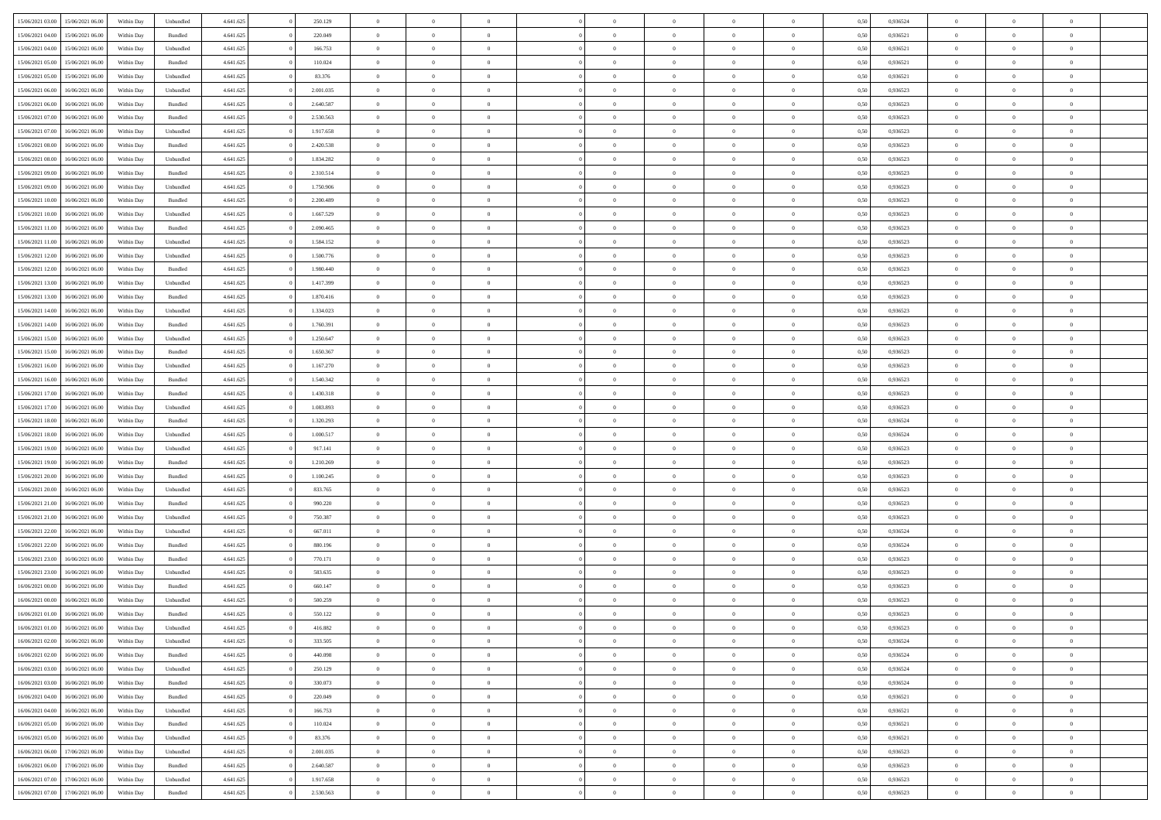|                  |                  |            |           |           |           | $\overline{0}$ |                |                |                | $\Omega$       | $\Omega$       | $\theta$       |      |          | $\theta$       | $\overline{0}$ | $\theta$       |  |
|------------------|------------------|------------|-----------|-----------|-----------|----------------|----------------|----------------|----------------|----------------|----------------|----------------|------|----------|----------------|----------------|----------------|--|
| 15/06/2021 03:00 | 15/06/2021 06:00 | Within Day | Unbundled | 4.641.625 | 250.129   |                | $\theta$       |                | $\Omega$       |                |                |                | 0.50 | 0,936524 |                |                |                |  |
| 15/06/2021 04:00 | 15/06/2021 06:00 | Within Day | Bundled   | 4.641.625 | 220.049   | $\overline{0}$ | $\theta$       | $\overline{0}$ | $\overline{0}$ | $\bf{0}$       | $\overline{0}$ | $\bf{0}$       | 0,50 | 0,936521 | $\theta$       | $\overline{0}$ | $\overline{0}$ |  |
| 15/06/2021 04:00 | 15/06/2021 06:00 | Within Day | Unbundled | 4.641.625 | 166.753   | $\overline{0}$ | $\overline{0}$ | $\overline{0}$ | $\bf{0}$       | $\bf{0}$       | $\bf{0}$       | $\bf{0}$       | 0,50 | 0,936521 | $\overline{0}$ | $\overline{0}$ | $\overline{0}$ |  |
| 15/06/2021 05:00 | 15/06/2021 06:00 | Within Dav | Bundled   | 4.641.625 | 110.024   | $\overline{0}$ | $\overline{0}$ | $\overline{0}$ | $\overline{0}$ | $\bf{0}$       | $\overline{0}$ | $\overline{0}$ | 0.50 | 0.936521 | $\theta$       | $\theta$       | $\overline{0}$ |  |
|                  |                  |            |           |           |           |                |                |                |                |                |                |                |      |          |                |                |                |  |
| 15/06/2021 05:00 | 15/06/2021 06:00 | Within Day | Unbundled | 4.641.625 | 83.376    | $\overline{0}$ | $\theta$       | $\overline{0}$ | $\overline{0}$ | $\bf{0}$       | $\overline{0}$ | $\bf{0}$       | 0,50 | 0,936521 | $\theta$       | $\overline{0}$ | $\overline{0}$ |  |
| 15/06/2021 06:00 | 16/06/2021 06:00 | Within Day | Unbundled | 4.641.625 | 2.001.035 | $\overline{0}$ | $\bf{0}$       | $\overline{0}$ | $\bf{0}$       | $\overline{0}$ | $\overline{0}$ | $\mathbf{0}$   | 0,50 | 0,936523 | $\overline{0}$ | $\overline{0}$ | $\bf{0}$       |  |
| 15/06/2021 06:00 | 16/06/2021 06:00 | Within Dav | Bundled   | 4.641.625 | 2.640.587 | $\overline{0}$ | $\overline{0}$ | $\overline{0}$ | $\overline{0}$ | $\overline{0}$ | $\overline{0}$ | $\overline{0}$ | 0.50 | 0.936523 | $\theta$       | $\overline{0}$ | $\overline{0}$ |  |
| 15/06/2021 07:00 | 16/06/2021 06:00 | Within Day | Bundled   | 4.641.625 | 2.530.563 | $\overline{0}$ | $\theta$       | $\overline{0}$ | $\overline{0}$ | $\bf{0}$       | $\overline{0}$ | $\bf{0}$       | 0,50 | 0,936523 | $\theta$       | $\theta$       | $\overline{0}$ |  |
|                  | 16/06/2021 06:00 | Within Day | Unbundled | 4.641.625 | 1.917.658 | $\overline{0}$ | $\overline{0}$ | $\overline{0}$ | $\overline{0}$ | $\bf{0}$       | $\overline{0}$ | $\bf{0}$       | 0,50 | 0,936523 | $\,0\,$        | $\overline{0}$ | $\overline{0}$ |  |
| 15/06/2021 07:00 |                  |            |           |           |           |                |                |                |                |                |                |                |      |          |                |                |                |  |
| 15/06/2021 08:00 | 16/06/2021 06:00 | Within Dav | Bundled   | 4.641.625 | 2.420.538 | $\overline{0}$ | $\overline{0}$ | $\overline{0}$ | $\overline{0}$ | $\overline{0}$ | $\overline{0}$ | $\overline{0}$ | 0.50 | 0.936523 | $\theta$       | $\overline{0}$ | $\overline{0}$ |  |
| 15/06/2021 08:00 | 16/06/2021 06:00 | Within Day | Unbundled | 4.641.625 | 1.834.282 | $\overline{0}$ | $\theta$       | $\overline{0}$ | $\overline{0}$ | $\bf{0}$       | $\overline{0}$ | $\bf{0}$       | 0,50 | 0,936523 | $\theta$       | $\overline{0}$ | $\overline{0}$ |  |
| 15/06/2021 09:00 | 16/06/2021 06:00 | Within Day | Bundled   | 4.641.625 | 2.310.514 | $\overline{0}$ | $\overline{0}$ | $\overline{0}$ | $\overline{0}$ | $\bf{0}$       | $\overline{0}$ | $\bf{0}$       | 0,50 | 0,936523 | $\bf{0}$       | $\overline{0}$ | $\overline{0}$ |  |
| 15/06/2021 09:00 | 16/06/2021 06:00 | Within Day | Unbundled | 4.641.625 | 1.750.906 | $\overline{0}$ | $\overline{0}$ | $\overline{0}$ | $\overline{0}$ | $\bf{0}$       | $\overline{0}$ | $\overline{0}$ | 0.50 | 0.936523 | $\theta$       | $\theta$       | $\overline{0}$ |  |
|                  |                  |            |           |           |           | $\overline{0}$ | $\theta$       | $\overline{0}$ | $\overline{0}$ | $\bf{0}$       | $\overline{0}$ | $\overline{0}$ |      |          | $\theta$       | $\overline{0}$ | $\overline{0}$ |  |
| 15/06/2021 10:00 | 16/06/2021 06:00 | Within Day | Bundled   | 4.641.625 | 2.200.489 |                |                |                |                |                |                |                | 0,50 | 0,936523 |                |                |                |  |
| 15/06/2021 10:00 | 16/06/2021 06:00 | Within Day | Unbundled | 4.641.625 | 1.667.529 | $\overline{0}$ | $\bf{0}$       | $\overline{0}$ | $\overline{0}$ | $\overline{0}$ | $\overline{0}$ | $\mathbf{0}$   | 0,50 | 0,936523 | $\bf{0}$       | $\overline{0}$ | $\bf{0}$       |  |
| 15/06/2021 11:00 | 16/06/2021 06:00 | Within Dav | Bundled   | 4.641.625 | 2.090.465 | $\overline{0}$ | $\overline{0}$ | $\overline{0}$ | $\overline{0}$ | $\overline{0}$ | $\overline{0}$ | $\overline{0}$ | 0.50 | 0.936523 | $\theta$       | $\overline{0}$ | $\overline{0}$ |  |
| 15/06/2021 11:00 | 16/06/2021 06:00 | Within Day | Unbundled | 4.641.625 | 1.584.152 | $\overline{0}$ | $\theta$       | $\overline{0}$ | $\overline{0}$ | $\bf{0}$       | $\overline{0}$ | $\bf{0}$       | 0,50 | 0,936523 | $\theta$       | $\theta$       | $\overline{0}$ |  |
| 15/06/2021 12:00 | 16/06/2021 06:00 | Within Day | Unbundled | 4.641.625 | 1.500.776 | $\overline{0}$ | $\overline{0}$ | $\overline{0}$ | $\overline{0}$ | $\bf{0}$       | $\overline{0}$ | $\bf{0}$       | 0,50 | 0,936523 | $\,0\,$        | $\overline{0}$ | $\overline{0}$ |  |
|                  |                  |            |           |           |           |                |                |                |                |                |                |                |      |          |                |                |                |  |
| 15/06/2021 12:00 | 16/06/2021 06:00 | Within Day | Bundled   | 4.641.625 | 1.980.440 | $\overline{0}$ | $\overline{0}$ | $\overline{0}$ | $\overline{0}$ | $\overline{0}$ | $\overline{0}$ | $\overline{0}$ | 0.50 | 0.936523 | $\theta$       | $\overline{0}$ | $\overline{0}$ |  |
| 15/06/2021 13:00 | 16/06/2021 06:00 | Within Day | Unbundled | 4.641.625 | 1.417.399 | $\overline{0}$ | $\theta$       | $\overline{0}$ | $\overline{0}$ | $\bf{0}$       | $\overline{0}$ | $\bf{0}$       | 0,50 | 0,936523 | $\theta$       | $\theta$       | $\overline{0}$ |  |
| 15/06/2021 13:00 | 16/06/2021 06:00 | Within Day | Bundled   | 4.641.625 | 1.870.416 | $\overline{0}$ | $\overline{0}$ | $\overline{0}$ | $\bf{0}$       | $\bf{0}$       | $\bf{0}$       | $\bf{0}$       | 0,50 | 0,936523 | $\,0\,$        | $\overline{0}$ | $\overline{0}$ |  |
| 15/06/2021 14:00 | 16/06/2021 06:00 | Within Day | Unbundled | 4.641.625 | 1.334.023 | $\overline{0}$ | $\overline{0}$ | $\overline{0}$ | $\overline{0}$ | $\bf{0}$       | $\overline{0}$ | $\overline{0}$ | 0.50 | 0.936523 | $\theta$       | $\theta$       | $\overline{0}$ |  |
| 15/06/2021 14:00 | 16/06/2021 06:00 | Within Day | Bundled   | 4.641.625 | 1.760.391 | $\overline{0}$ | $\theta$       | $\overline{0}$ | $\overline{0}$ | $\bf{0}$       | $\overline{0}$ | $\bf{0}$       | 0,50 | 0,936523 | $\theta$       | $\overline{0}$ | $\overline{0}$ |  |
|                  |                  |            |           |           |           |                |                |                |                |                |                |                |      |          |                |                |                |  |
| 15/06/2021 15:00 | 16/06/2021 06:00 | Within Day | Unbundled | 4.641.625 | 1.250.647 | $\overline{0}$ | $\bf{0}$       | $\overline{0}$ | $\bf{0}$       | $\overline{0}$ | $\overline{0}$ | $\mathbf{0}$   | 0,50 | 0,936523 | $\bf{0}$       | $\overline{0}$ | $\bf{0}$       |  |
| 15/06/2021 15:00 | 16/06/2021 06:00 | Within Dav | Bundled   | 4.641.625 | 1.650.367 | $\overline{0}$ | $\overline{0}$ | $\overline{0}$ | $\overline{0}$ | $\overline{0}$ | $\overline{0}$ | $\overline{0}$ | 0.50 | 0.936523 | $\theta$       | $\overline{0}$ | $\overline{0}$ |  |
| 15/06/2021 16:00 | 16/06/2021 06:00 | Within Day | Unbundled | 4.641.625 | 1.167.270 | $\overline{0}$ | $\theta$       | $\overline{0}$ | $\overline{0}$ | $\bf{0}$       | $\overline{0}$ | $\bf{0}$       | 0,50 | 0,936523 | $\theta$       | $\theta$       | $\overline{0}$ |  |
| 15/06/2021 16:00 | 16/06/2021 06:00 | Within Day | Bundled   | 4.641.625 | 1.540.342 | $\overline{0}$ | $\overline{0}$ | $\overline{0}$ | $\bf{0}$       | $\bf{0}$       | $\bf{0}$       | $\bf{0}$       | 0,50 | 0,936523 | $\,0\,$        | $\overline{0}$ | $\overline{0}$ |  |
|                  | 16/06/2021 06:00 |            | Bundled   | 4.641.625 | 1.430.318 | $\overline{0}$ | $\overline{0}$ | $\overline{0}$ | $\overline{0}$ | $\overline{0}$ | $\overline{0}$ | $\overline{0}$ | 0.50 | 0.936523 | $\theta$       | $\overline{0}$ | $\overline{0}$ |  |
| 15/06/2021 17:00 |                  | Within Day |           |           |           |                |                |                |                |                |                |                |      |          |                |                |                |  |
| 15/06/2021 17:00 | 16/06/2021 06:00 | Within Day | Unbundled | 4.641.625 | 1.083.893 | $\overline{0}$ | $\theta$       | $\overline{0}$ | $\overline{0}$ | $\bf{0}$       | $\overline{0}$ | $\bf{0}$       | 0,50 | 0,936523 | $\,$ 0 $\,$    | $\overline{0}$ | $\overline{0}$ |  |
| 15/06/2021 18:00 | 16/06/2021 06:00 | Within Day | Bundled   | 4.641.625 | 1.320.293 | $\overline{0}$ | $\overline{0}$ | $\overline{0}$ | $\bf{0}$       | $\bf{0}$       | $\bf{0}$       | $\bf{0}$       | 0,50 | 0,936524 | $\bf{0}$       | $\overline{0}$ | $\overline{0}$ |  |
| 15/06/2021 18:00 | 16/06/2021 06:00 | Within Day | Unbundled | 4.641.625 | 1.000.517 | $\overline{0}$ | $\Omega$       | $\Omega$       | $\Omega$       | $\Omega$       | $\Omega$       | $\overline{0}$ | 0,50 | 0,936524 | $\,0\,$        | $\theta$       | $\theta$       |  |
| 15/06/2021 19:00 | 16/06/2021 06:00 | Within Day | Unbundled | 4.641.625 | 917.141   | $\overline{0}$ | $\theta$       | $\overline{0}$ | $\overline{0}$ | $\bf{0}$       | $\overline{0}$ | $\bf{0}$       | 0,50 | 0,936523 | $\theta$       | $\theta$       | $\overline{0}$ |  |
|                  |                  |            |           |           |           |                |                |                |                |                |                |                |      |          |                |                |                |  |
| 15/06/2021 19:00 | 16/06/2021 06:00 | Within Day | Bundled   | 4.641.625 | 1.210.269 | $\overline{0}$ | $\overline{0}$ | $\overline{0}$ | $\bf{0}$       | $\bf{0}$       | $\overline{0}$ | $\mathbf{0}$   | 0,50 | 0,936523 | $\bf{0}$       | $\overline{0}$ | $\bf{0}$       |  |
| 15/06/2021 20:00 | 16/06/2021 06:00 | Within Day | Bundled   | 4.641.625 | 1.100.245 | $\overline{0}$ | $\Omega$       | $\Omega$       | $\Omega$       | $\bf{0}$       | $\overline{0}$ | $\overline{0}$ | 0.50 | 0.936523 | $\theta$       | $\theta$       | $\theta$       |  |
| 15/06/2021 20:00 | 16/06/2021 06:00 | Within Day | Unbundled | 4.641.625 | 833.765   | $\overline{0}$ | $\theta$       | $\overline{0}$ | $\overline{0}$ | $\bf{0}$       | $\overline{0}$ | $\bf{0}$       | 0,50 | 0,936523 | $\theta$       | $\theta$       | $\overline{0}$ |  |
| 15/06/2021 21:00 | 16/06/2021 06:00 | Within Day | Bundled   | 4.641.625 | 990.220   | $\overline{0}$ | $\overline{0}$ | $\overline{0}$ | $\bf{0}$       | $\bf{0}$       | $\bf{0}$       | $\bf{0}$       | 0,50 | 0,936523 | $\,0\,$        | $\overline{0}$ | $\overline{0}$ |  |
| 15/06/2021 21:00 | 16/06/2021 06:00 |            | Unbundled | 4.641.625 | 750,387   | $\overline{0}$ | $\Omega$       | $\Omega$       | $\Omega$       | $\Omega$       | $\theta$       | $\overline{0}$ | 0.50 | 0.936523 | $\theta$       | $\theta$       | $\theta$       |  |
|                  |                  | Within Day |           |           |           |                |                |                |                |                |                |                |      |          |                |                |                |  |
| 15/06/2021 22:00 | 16/06/2021 06:00 | Within Day | Unbundled | 4.641.625 | 667.011   | $\overline{0}$ | $\theta$       | $\overline{0}$ | $\overline{0}$ | $\bf{0}$       | $\overline{0}$ | $\bf{0}$       | 0,50 | 0,936524 | $\,$ 0 $\,$    | $\overline{0}$ | $\overline{0}$ |  |
| 15/06/2021 22.00 | 16/06/2021 06:00 | Within Day | Bundled   | 4.641.625 | 880.196   | $\overline{0}$ | $\overline{0}$ | $\overline{0}$ | $\bf{0}$       | $\bf{0}$       | $\bf{0}$       | $\bf{0}$       | 0,50 | 0,936524 | $\bf{0}$       | $\overline{0}$ | $\overline{0}$ |  |
| 15/06/2021 23:00 | 16/06/2021 06:00 | Within Day | Bundled   | 4.641.625 | 770.171   | $\overline{0}$ | $\Omega$       | $\Omega$       | $\Omega$       | $\Omega$       | $\overline{0}$ | $\overline{0}$ | 0.50 | 0,936523 | $\,0\,$        | $\theta$       | $\theta$       |  |
| 15/06/2021 23:00 | 16/06/2021 06:00 | Within Day | Unbundled | 4.641.625 | 583.635   | $\overline{0}$ | $\theta$       | $\overline{0}$ | $\overline{0}$ | $\bf{0}$       | $\overline{0}$ | $\bf{0}$       | 0,50 | 0,936523 | $\,$ 0 $\,$    | $\overline{0}$ | $\overline{0}$ |  |
| 16/06/2021 00:00 | 16/06/2021 06:00 | Within Day | Bundled   | 4.641.625 | 660.147   | $\overline{0}$ | $\overline{0}$ | $\overline{0}$ | $\bf{0}$       | $\bf{0}$       | $\bf{0}$       | $\mathbf{0}$   | 0,50 | 0,936523 | $\bf{0}$       | $\overline{0}$ | $\bf{0}$       |  |
|                  |                  |            |           |           |           |                |                |                |                |                |                |                |      |          |                |                |                |  |
| 16/06/2021 00:00 | 16/06/2021 06:00 | Within Day | Unbundled | 4.641.625 | 500.259   | $\overline{0}$ | $\Omega$       | $\Omega$       | $\Omega$       | $\Omega$       | $\Omega$       | $\overline{0}$ | 0.50 | 0.936523 | $\theta$       | $\theta$       | $\theta$       |  |
| 16/06/2021 01:00 | 16/06/2021 06:00 | Within Day | Bundled   | 4.641.625 | 550.122   | $\overline{0}$ | $\overline{0}$ | $\overline{0}$ | $\bf{0}$       | $\,$ 0         | $\bf{0}$       | $\bf{0}$       | 0,50 | 0,936523 | $\,0\,$        | $\overline{0}$ | $\overline{0}$ |  |
| 16/06/2021 01:00 | 16/06/2021 06:00 | Within Day | Unbundled | 4.641.625 | 416.882   | $\bf{0}$       | $\bf{0}$       |                |                |                |                |                | 0,50 | 0,936523 | $\bf{0}$       | $\overline{0}$ |                |  |
| 16/06/2021 02:00 | 16/06/2021 06:00 | Within Day | Unbundled | 4.641.625 | 333.505   | $\overline{0}$ | $\overline{0}$ | $\overline{0}$ | $\Omega$       | $\overline{0}$ | $\overline{0}$ | $\overline{0}$ | 0.50 | 0.936524 | $\theta$       | $\theta$       | $\theta$       |  |
| 16/06/2021 02:00 | 16/06/2021 06:00 | Within Day | Bundled   | 4.641.625 | 440.098   | $\overline{0}$ | $\,$ 0         | $\overline{0}$ | $\bf{0}$       | $\,$ 0 $\,$    | $\overline{0}$ | $\,$ 0 $\,$    | 0,50 | 0,936524 | $\,$ 0 $\,$    | $\,$ 0 $\,$    | $\,$ 0         |  |
|                  |                  |            |           |           |           |                |                |                |                |                |                |                |      |          |                |                |                |  |
| 16/06/2021 03:00 | 16/06/2021 06:00 | Within Day | Unbundled | 4.641.625 | 250.129   | $\overline{0}$ | $\overline{0}$ | $\overline{0}$ | $\overline{0}$ | $\overline{0}$ | $\overline{0}$ | $\mathbf{0}$   | 0,50 | 0,936524 | $\overline{0}$ | $\bf{0}$       | $\bf{0}$       |  |
| 16/06/2021 03:00 | 16/06/2021 06:00 | Within Day | Bundled   | 4.641.625 | 330.073   | $\overline{0}$ | $\overline{0}$ | $\overline{0}$ | $\Omega$       | $\overline{0}$ | $\overline{0}$ | $\overline{0}$ | 0,50 | 0,936524 | $\overline{0}$ | $\theta$       | $\overline{0}$ |  |
| 16/06/2021 04:00 | 16/06/2021 06:00 | Within Day | Bundled   | 4.641.625 | 220.049   | $\overline{0}$ | $\,$ 0         | $\overline{0}$ | $\overline{0}$ | $\,$ 0 $\,$    | $\overline{0}$ | $\mathbf{0}$   | 0,50 | 0,936521 | $\,$ 0 $\,$    | $\overline{0}$ | $\overline{0}$ |  |
| 16/06/2021 04:00 | 16/06/2021 06:00 | Within Day | Unbundled | 4.641.625 | 166.753   | $\overline{0}$ | $\overline{0}$ | $\overline{0}$ | $\overline{0}$ | $\overline{0}$ | $\overline{0}$ | $\mathbf{0}$   | 0,50 | 0,936521 | $\overline{0}$ | $\overline{0}$ | $\bf{0}$       |  |
|                  |                  |            |           |           |           |                | $\overline{0}$ | $\overline{0}$ | $\Omega$       | $\overline{0}$ | $\overline{0}$ |                | 0.50 |          |                | $\theta$       | $\overline{0}$ |  |
| 16/06/2021 05:00 | 16/06/2021 06:00 | Within Day | Bundled   | 4.641.625 | 110.024   | $\overline{0}$ |                |                |                |                |                | $\bf{0}$       |      | 0,936521 | $\overline{0}$ |                |                |  |
| 16/06/2021 05:00 | 16/06/2021 06:00 | Within Day | Unbundled | 4.641.625 | 83.376    | $\overline{0}$ | $\,$ 0         | $\overline{0}$ | $\overline{0}$ | $\bf{0}$       | $\overline{0}$ | $\bf{0}$       | 0,50 | 0,936521 | $\,$ 0 $\,$    | $\overline{0}$ | $\overline{0}$ |  |
| 16/06/2021 06:00 | 17/06/2021 06:00 | Within Day | Unbundled | 4.641.625 | 2.001.035 | $\overline{0}$ | $\bf{0}$       | $\overline{0}$ | $\overline{0}$ | $\overline{0}$ | $\overline{0}$ | $\mathbf{0}$   | 0,50 | 0,936523 | $\overline{0}$ | $\overline{0}$ | $\bf{0}$       |  |
| 16/06/2021 06:00 | 17/06/2021 06:00 | Within Day | Bundled   | 4.641.625 | 2.640.587 | $\overline{0}$ | $\overline{0}$ | $\overline{0}$ | $\Omega$       | $\overline{0}$ | $\overline{0}$ | $\overline{0}$ | 0.50 | 0.936523 | $\overline{0}$ | $\theta$       | $\overline{0}$ |  |
| 16/06/2021 07:00 | 17/06/2021 06:00 | Within Day | Unbundled | 4.641.625 | 1.917.658 | $\overline{0}$ | $\bf{0}$       | $\overline{0}$ | $\overline{0}$ | $\bf{0}$       | $\overline{0}$ | $\mathbf{0}$   | 0,50 | 0,936523 | $\,$ 0 $\,$    | $\,$ 0 $\,$    | $\bf{0}$       |  |
|                  |                  |            |           |           |           |                |                |                |                |                |                |                |      |          |                |                |                |  |
| 16/06/2021 07:00 | 17/06/2021 06:00 | Within Day | Bundled   | 4.641.625 | 2.530.563 | $\overline{0}$ | $\overline{0}$ | $\overline{0}$ | $\overline{0}$ | $\bf{0}$       | $\overline{0}$ | $\mathbf{0}$   | 0,50 | 0,936523 | $\overline{0}$ | $\bf{0}$       | $\bf{0}$       |  |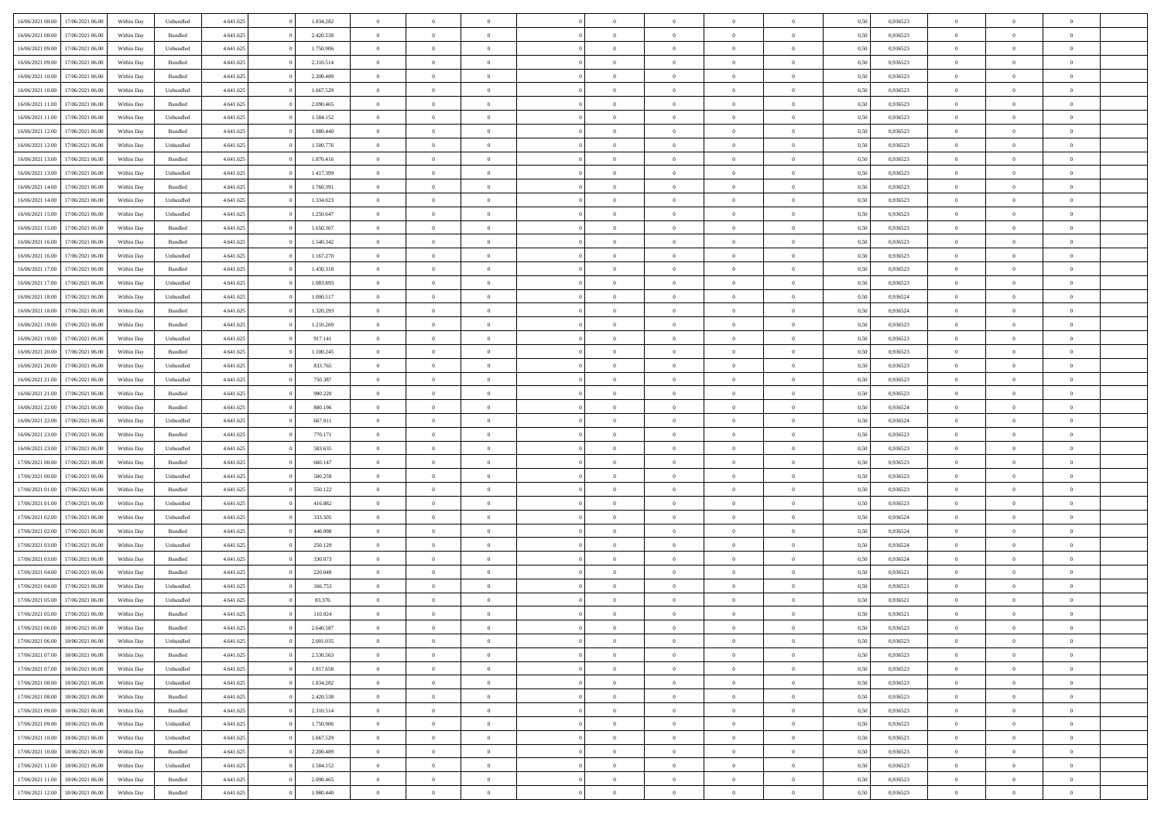| 16/06/2021 08:00 | 17/06/2021 06:00 | Within Day | Unbundled          | 4.641.625 | 1.834.282 | $\overline{0}$ | $\theta$       |                | $\overline{0}$ | $\bf{0}$       | $\overline{0}$ | $\theta$       | 0,50 | 0,936523 | $\theta$             | $\theta$       | $\theta$       |  |
|------------------|------------------|------------|--------------------|-----------|-----------|----------------|----------------|----------------|----------------|----------------|----------------|----------------|------|----------|----------------------|----------------|----------------|--|
| 16/06/2021 08:00 | 17/06/2021 06.00 | Within Day | Bundled            | 4.641.625 | 2.420.538 | $\overline{0}$ | $\overline{0}$ | $\overline{0}$ | $\overline{0}$ | $\bf{0}$       | $\overline{0}$ | $\bf{0}$       | 0,50 | 0,936523 | $\,$ 0 $\,$          | $\overline{0}$ | $\overline{0}$ |  |
|                  |                  |            |                    |           |           |                |                |                |                |                |                |                |      |          |                      |                |                |  |
| 16/06/2021 09:00 | 17/06/2021 06:00 | Within Day | Unbundled          | 4.641.625 | 1.750.906 | $\overline{0}$ | $\overline{0}$ | $\overline{0}$ | $\overline{0}$ | $\overline{0}$ | $\overline{0}$ | $\mathbf{0}$   | 0.50 | 0.936523 | $\overline{0}$       | $\,$ 0 $\,$    | $\bf{0}$       |  |
| 16/06/2021 09:00 | 17/06/2021 06:00 | Within Day | Bundled            | 4.641.625 | 2.310.514 | $\overline{0}$ | $\overline{0}$ | $\overline{0}$ | $\overline{0}$ | $\,0\,$        | $\overline{0}$ | $\overline{0}$ | 0,50 | 0,936523 | $\,$ 0 $\,$          | $\overline{0}$ | $\overline{0}$ |  |
| 16/06/2021 10:00 | 17/06/2021 06.00 | Within Day | Bundled            | 4.641.625 | 2.200.489 | $\overline{0}$ | $\overline{0}$ | $\overline{0}$ | $\overline{0}$ | $\,$ 0         | $\overline{0}$ | $\bf{0}$       | 0,50 | 0,936523 | $\,$ 0 $\,$          | $\overline{0}$ | $\overline{0}$ |  |
| 16/06/2021 10:00 | 17/06/2021 06:00 | Within Day | Unbundled          | 4.641.625 | 1.667.529 | $\overline{0}$ | $\overline{0}$ | $\overline{0}$ | $\overline{0}$ | $\bf{0}$       | $\overline{0}$ | $\bf{0}$       | 0.50 | 0.936523 | $\,0\,$              | $\overline{0}$ | $\overline{0}$ |  |
| 16/06/2021 11:00 | 17/06/2021 06:00 | Within Day | Bundled            | 4.641.625 | 2.090.465 | $\overline{0}$ | $\overline{0}$ | $\overline{0}$ | $\overline{0}$ | $\bf{0}$       | $\overline{0}$ | $\bf{0}$       | 0,50 | 0,936523 | $\,$ 0 $\,$          | $\overline{0}$ | $\overline{0}$ |  |
| 16/06/2021 11:00 | 17/06/2021 06.00 | Within Day | Unbundled          | 4.641.625 | 1.584.152 | $\overline{0}$ | $\overline{0}$ | $\overline{0}$ | $\overline{0}$ | $\,$ 0         | $\overline{0}$ | $\bf{0}$       | 0,50 | 0,936523 | $\,$ 0 $\,$          | $\overline{0}$ | $\overline{0}$ |  |
| 16/06/2021 12:00 | 17/06/2021 06:00 | Within Day | Bundled            | 4.641.625 | 1.980.440 | $\overline{0}$ | $\overline{0}$ | $\overline{0}$ | $\overline{0}$ | $\bf{0}$       | $\overline{0}$ | $\mathbf{0}$   | 0.50 | 0.936523 | $\bf{0}$             | $\overline{0}$ | $\bf{0}$       |  |
| 16/06/2021 12:00 | 17/06/2021 06:00 | Within Day | Unbundled          | 4.641.625 | 1.500.776 | $\overline{0}$ | $\overline{0}$ | $\overline{0}$ | $\overline{0}$ | $\bf{0}$       | $\overline{0}$ | $\bf{0}$       | 0,50 | 0,936523 | $\,$ 0 $\,$          | $\overline{0}$ | $\overline{0}$ |  |
| 16/06/2021 13:00 | 17/06/2021 06.00 | Within Day | Bundled            | 4.641.625 | 1.870.416 | $\overline{0}$ | $\overline{0}$ | $\overline{0}$ | $\overline{0}$ | $\bf{0}$       | $\overline{0}$ | $\bf{0}$       | 0,50 | 0,936523 | $\,$ 0 $\,$          | $\overline{0}$ | $\overline{0}$ |  |
| 16/06/2021 13:00 | 17/06/2021 06:00 |            |                    |           | 1.417.399 | $\overline{0}$ | $\overline{0}$ | $\overline{0}$ | $\overline{0}$ | $\bf{0}$       | $\overline{0}$ |                | 0.50 | 0.936523 | $\overline{0}$       | $\,$ 0 $\,$    | $\bf{0}$       |  |
|                  |                  | Within Day | Unbundled          | 4.641.625 |           |                |                |                |                |                |                | $\mathbf{0}$   |      |          |                      |                |                |  |
| 16/06/2021 14:00 | 17/06/2021 06:00 | Within Day | Bundled            | 4.641.625 | 1.760.391 | $\overline{0}$ | $\overline{0}$ | $\overline{0}$ | $\overline{0}$ | $\bf{0}$       | $\overline{0}$ | $\overline{0}$ | 0,50 | 0,936523 | $\,$ 0 $\,$          | $\overline{0}$ | $\overline{0}$ |  |
| 16/06/2021 14:00 | 17/06/2021 06.00 | Within Day | Unbundled          | 4.641.625 | 1.334.023 | $\overline{0}$ | $\theta$       | $\overline{0}$ | $\overline{0}$ | $\,$ 0         | $\overline{0}$ | $\bf{0}$       | 0,50 | 0,936523 | $\,$ 0 $\,$          | $\overline{0}$ | $\overline{0}$ |  |
| 16/06/2021 15:00 | 17/06/2021 06:00 | Within Day | Unbundled          | 4.641.625 | 1.250.647 | $\overline{0}$ | $\overline{0}$ | $\overline{0}$ | $\overline{0}$ | $\bf{0}$       | $\overline{0}$ | $\bf{0}$       | 0.50 | 0.936523 | $\,0\,$              | $\overline{0}$ | $\overline{0}$ |  |
| 16/06/2021 15:00 | 17/06/2021 06:00 | Within Day | Bundled            | 4.641.625 | 1.650.367 | $\overline{0}$ | $\overline{0}$ | $\overline{0}$ | $\overline{0}$ | $\bf{0}$       | $\overline{0}$ | $\bf{0}$       | 0,50 | 0,936523 | $\,$ 0 $\,$          | $\theta$       | $\overline{0}$ |  |
| 16/06/2021 16:00 | 17/06/2021 06.00 | Within Day | Bundled            | 4.641.625 | 1.540.342 | $\overline{0}$ | $\overline{0}$ | $\overline{0}$ | $\overline{0}$ | $\,$ 0         | $\overline{0}$ | $\bf{0}$       | 0,50 | 0,936523 | $\,$ 0 $\,$          | $\overline{0}$ | $\overline{0}$ |  |
| 16/06/2021 16:00 | 17/06/2021 06:00 | Within Day | Unbundled          | 4.641.625 | 1.167.270 | $\overline{0}$ | $\overline{0}$ | $\overline{0}$ | $\overline{0}$ | $\bf{0}$       | $\overline{0}$ | $\mathbf{0}$   | 0.50 | 0.936523 | $\bf{0}$             | $\overline{0}$ | $\bf{0}$       |  |
| 16/06/2021 17:00 | 17/06/2021 06:00 | Within Day | Bundled            | 4.641.625 | 1.430.318 | $\overline{0}$ | $\overline{0}$ | $\overline{0}$ | $\overline{0}$ | $\bf{0}$       | $\overline{0}$ | $\bf{0}$       | 0,50 | 0,936523 | $\,$ 0 $\,$          | $\overline{0}$ | $\overline{0}$ |  |
| 16/06/2021 17:00 | 17/06/2021 06.00 | Within Day | Unbundled          | 4.641.625 | 1.083.893 | $\overline{0}$ | $\overline{0}$ | $\overline{0}$ | $\overline{0}$ | $\bf{0}$       | $\bf{0}$       | $\bf{0}$       | 0,50 | 0,936523 | $\,$ 0 $\,$          | $\overline{0}$ | $\overline{0}$ |  |
| 16/06/2021 18:00 | 17/06/2021 06:00 | Within Day | Unbundled          | 4.641.625 | 1.000.517 | $\overline{0}$ | $\overline{0}$ | $\overline{0}$ | $\overline{0}$ | $\bf{0}$       | $\overline{0}$ | $\mathbf{0}$   | 0.50 | 0.936524 | $\overline{0}$       | $\,$ 0 $\,$    | $\overline{0}$ |  |
| 16/06/2021 18:00 | 17/06/2021 06:00 | Within Day | Bundled            | 4.641.625 | 1.320.293 | $\overline{0}$ | $\overline{0}$ | $\overline{0}$ | $\overline{0}$ | $\,0\,$        | $\overline{0}$ | $\overline{0}$ | 0,50 | 0,936524 | $\,$ 0 $\,$          | $\overline{0}$ | $\overline{0}$ |  |
|                  |                  |            |                    |           |           | $\overline{0}$ | $\overline{0}$ |                |                |                | $\overline{0}$ |                |      |          |                      |                |                |  |
| 16/06/2021 19:00 | 17/06/2021 06.00 | Within Day | Bundled            | 4.641.625 | 1.210.269 |                |                | $\overline{0}$ | $\overline{0}$ | $\bf{0}$       |                | $\bf{0}$       | 0,50 | 0,936523 | $\,$ 0 $\,$          | $\overline{0}$ | $\overline{0}$ |  |
| 16/06/2021 19:00 | 17/06/2021 06:00 | Within Day | Unbundled          | 4.641.625 | 917.141   | $\overline{0}$ | $\overline{0}$ | $\overline{0}$ | $\overline{0}$ | $\bf{0}$       | $\overline{0}$ | $\bf{0}$       | 0.50 | 0.936523 | $\,0\,$              | $\overline{0}$ | $\overline{0}$ |  |
| 16/06/2021 20:00 | 17/06/2021 06:00 | Within Day | Bundled            | 4.641.625 | 1.100.245 | $\overline{0}$ | $\overline{0}$ | $\overline{0}$ | $\overline{0}$ | $\bf{0}$       | $\overline{0}$ | $\bf{0}$       | 0,50 | 0,936523 | $\,$ 0 $\,$          | $\theta$       | $\overline{0}$ |  |
| 16/06/2021 20:00 | 17/06/2021 06.00 | Within Day | Unbundled          | 4.641.625 | 833.765   | $\overline{0}$ | $\overline{0}$ | $\overline{0}$ | $\overline{0}$ | $\,$ 0         | $\bf{0}$       | $\bf{0}$       | 0,50 | 0,936523 | $\,$ 0 $\,$          | $\overline{0}$ | $\overline{0}$ |  |
| 16/06/2021 21:00 | 17/06/2021 06:00 | Within Day | Unbundled          | 4.641.625 | 750,387   | $\overline{0}$ | $\overline{0}$ | $\overline{0}$ | $\overline{0}$ | $\bf{0}$       | $\overline{0}$ | $\mathbf{0}$   | 0.50 | 0.936523 | $\bf{0}$             | $\overline{0}$ | $\bf{0}$       |  |
| 16/06/2021 21:00 | 17/06/2021 06:00 | Within Day | Bundled            | 4.641.625 | 990.220   | $\overline{0}$ | $\overline{0}$ | $\overline{0}$ | $\overline{0}$ | $\bf{0}$       | $\overline{0}$ | $\bf{0}$       | 0,50 | 0,936523 | $\,$ 0 $\,$          | $\overline{0}$ | $\overline{0}$ |  |
| 16/06/2021 22:00 | 17/06/2021 06.00 | Within Day | Bundled            | 4.641.625 | 880.196   | $\overline{0}$ | $\overline{0}$ | $\overline{0}$ | $\bf{0}$       | $\bf{0}$       | $\overline{0}$ | $\bf{0}$       | 0,50 | 0,936524 | $\,$ 0 $\,$          | $\overline{0}$ | $\overline{0}$ |  |
| 16/06/2021 22:00 | 17/06/2021 06:00 | Within Day | Unbundled          | 4.641.625 | 667.011   | $\overline{0}$ | $\overline{0}$ | $\overline{0}$ | $\overline{0}$ | $\bf{0}$       | $\overline{0}$ | $\mathbf{0}$   | 0.50 | 0.936524 | $\overline{0}$       | $\,$ 0 $\,$    | $\bf{0}$       |  |
| 16/06/2021 23:00 | 17/06/2021 06:00 | Within Dav | Bundled            | 4.641.625 | 770.171   | $\overline{0}$ | $\overline{0}$ | $\overline{0}$ | $\overline{0}$ | $\overline{0}$ | $\overline{0}$ | $\overline{0}$ | 0.50 | 0.936523 | $\theta$             | $\overline{0}$ | $\overline{0}$ |  |
| 16/06/2021 23:00 | 17/06/2021 06.00 | Within Day | Unbundled          | 4.641.625 | 583.635   | $\overline{0}$ | $\overline{0}$ | $\overline{0}$ | $\overline{0}$ | $\bf{0}$       | $\overline{0}$ | $\bf{0}$       | 0,50 | 0,936523 | $\,$ 0 $\,$          | $\overline{0}$ | $\overline{0}$ |  |
| 17/06/2021 00:00 | 17/06/2021 06:00 | Within Day | Bundled            | 4.641.625 | 660.147   | $\overline{0}$ | $\overline{0}$ | $\overline{0}$ | $\overline{0}$ | $\bf{0}$       | $\overline{0}$ | $\bf{0}$       | 0.50 | 0.936523 | $\,0\,$              | $\overline{0}$ | $\overline{0}$ |  |
|                  |                  |            |                    |           |           |                | $\overline{0}$ | $\Omega$       |                | $\mathbf{0}$   |                |                |      |          | $\theta$             | $\overline{0}$ | $\overline{0}$ |  |
| 17/06/2021 00:00 | 17/06/2021 06:00 | Within Dav | Unbundled          | 4.641.625 | 500.259   | $\overline{0}$ |                |                | $\overline{0}$ |                | $\overline{0}$ | $\overline{0}$ | 0,50 | 0.936523 |                      |                |                |  |
| 17/06/2021 01:00 | 17/06/2021 06.00 | Within Day | Bundled            | 4.641.625 | 550.122   | $\overline{0}$ | $\overline{0}$ | $\overline{0}$ | $\overline{0}$ | $\,$ 0         | $\overline{0}$ | $\bf{0}$       | 0,50 | 0,936523 | $\,$ 0 $\,$          | $\overline{0}$ | $\overline{0}$ |  |
| 17/06/2021 01:00 | 17/06/2021 06:00 | Within Day | Unbundled          | 4.641.625 | 416.882   | $\overline{0}$ | $\overline{0}$ | $\overline{0}$ | $\overline{0}$ | $\bf{0}$       | $\overline{0}$ | $\mathbf{0}$   | 0.50 | 0.936523 | $\bf{0}$             | $\overline{0}$ | $\bf{0}$       |  |
| 17/06/2021 02:00 | 17/06/2021 06:00 | Within Dav | Unbundled          | 4.641.625 | 333.505   | $\overline{0}$ | $\overline{0}$ | $\overline{0}$ | $\overline{0}$ | $\overline{0}$ | $\overline{0}$ | $\overline{0}$ | 0,50 | 0,936524 | $\theta$             | $\overline{0}$ | $\overline{0}$ |  |
| 17/06/2021 02:00 | 17/06/2021 06.00 | Within Day | Bundled            | 4.641.625 | 440.098   | $\overline{0}$ | $\overline{0}$ | $\overline{0}$ | $\bf{0}$       | $\bf{0}$       | $\overline{0}$ | $\bf{0}$       | 0,50 | 0,936524 | $\,$ 0 $\,$          | $\overline{0}$ | $\overline{0}$ |  |
| 17/06/2021 03:00 | 17/06/2021 06:00 | Within Day | Unbundled          | 4.641.625 | 250.129   | $\overline{0}$ | $\overline{0}$ | $\overline{0}$ | $\overline{0}$ | $\bf{0}$       | $\overline{0}$ | $\mathbf{0}$   | 0.50 | 0.936524 | $\overline{0}$       | $\,$ 0 $\,$    | $\overline{0}$ |  |
| 17/06/2021 03:00 | 17/06/2021 06:00 | Within Dav | Bundled            | 4.641.625 | 330.073   | $\overline{0}$ | $\overline{0}$ | $\theta$       | $\overline{0}$ | $\overline{0}$ | $\overline{0}$ | $\overline{0}$ | 0.50 | 0,936524 | $\theta$             | $\overline{0}$ | $\overline{0}$ |  |
| 17/06/2021 04:00 | 17/06/2021 06.00 | Within Day | Bundled            | 4.641.625 | 220.049   | $\overline{0}$ | $\overline{0}$ | $\overline{0}$ | $\overline{0}$ | $\bf{0}$       | $\overline{0}$ | $\bf{0}$       | 0,50 | 0,936521 | $\,$ 0 $\,$          | $\overline{0}$ | $\overline{0}$ |  |
| 17/06/2021 04:00 | 17/06/2021 06:00 | Within Day | Unbundled          | 4.641.625 | 166,753   | $\overline{0}$ | $\overline{0}$ | $\overline{0}$ | $\overline{0}$ | $\bf{0}$       | $\Omega$       | $\bf{0}$       | 0.50 | 0.936521 | $\,0\,$              | $\theta$       | $\overline{0}$ |  |
| 17/06/2021 05:00 | 17/06/2021 06:00 | Within Dav | Unbundled          | 4.641.625 | 83.376    | $\overline{0}$ | $\theta$       | $\Omega$       | $\overline{0}$ | $\bf{0}$       | $\overline{0}$ | $\overline{0}$ | 0.50 | 0,936521 | $\theta$             | $\overline{0}$ | $\overline{0}$ |  |
| 17/06/2021 05:00 | 17/06/2021 06:00 | Within Day | Bundled            | 4.641.625 | 110.024   | $\overline{0}$ | $\overline{0}$ | $\overline{0}$ | $\bf{0}$       | $\,$ 0         | $\overline{0}$ | $\bf{0}$       | 0,50 | 0,936521 | $\,$ 0 $\,$          | $\overline{0}$ | $\overline{0}$ |  |
| 17/06/2021 06:00 | 18/06/2021 06:00 | Within Day | $\mathbf B$ undled | 4.641.625 | 2.640.587 |                | $\theta$       |                | $^{\circ}$     | $\Omega$       |                |                | 0,50 | 0.936523 |                      | $\theta$       |                |  |
|                  |                  |            |                    |           |           | $\bf{0}$       | $\overline{0}$ |                |                | $\overline{0}$ |                |                |      |          | $\bf{0}$<br>$\theta$ | $\overline{0}$ | $\overline{0}$ |  |
| 17/06/2021 06:00 | 18/06/2021 06:00 | Within Day | Unbundled          | 4.641.625 | 2.001.035 | $\overline{0}$ |                | $\overline{0}$ | $\overline{0}$ |                | $\overline{0}$ | $\mathbf{0}$   | 0,50 | 0.936523 |                      |                |                |  |
| 17/06/2021 07:00 | 18/06/2021 06:00 | Within Day | Bundled            | 4.641.625 | 2.530.563 | $\overline{0}$ | $\overline{0}$ | $\overline{0}$ | $\bf{0}$       | $\overline{0}$ | $\overline{0}$ | $\mathbf{0}$   | 0,50 | 0,936523 | $\bf{0}$             | $\overline{0}$ | $\bf{0}$       |  |
| 17/06/2021 07:00 | 18/06/2021 06:00 | Within Day | Unbundled          | 4.641.625 | 1.917.658 | $\overline{0}$ | $\overline{0}$ | $\overline{0}$ | $\overline{0}$ | $\bf{0}$       | $\overline{0}$ | $\mathbf{0}$   | 0.50 | 0.936523 | $\overline{0}$       | $\bf{0}$       | $\bf{0}$       |  |
| 17/06/2021 08:00 | 18/06/2021 06:00 | Within Day | Unbundled          | 4.641.625 | 1.834.282 | $\overline{0}$ | $\overline{0}$ | $\overline{0}$ | $\overline{0}$ | $\mathbf{0}$   | $\overline{0}$ | $\mathbf{0}$   | 0,50 | 0.936523 | $\overline{0}$       | $\theta$       | $\overline{0}$ |  |
| 17/06/2021 08:00 | 18/06/2021 06:00 | Within Day | Bundled            | 4.641.625 | 2.420.538 | $\overline{0}$ | $\overline{0}$ | $\overline{0}$ | $\overline{0}$ | $\bf{0}$       | $\bf{0}$       | $\bf{0}$       | 0,50 | 0,936523 | $\,0\,$              | $\overline{0}$ | $\overline{0}$ |  |
| 17/06/2021 09:00 | 18/06/2021 06:00 | Within Day | Bundled            | 4.641.625 | 2.310.514 | $\overline{0}$ | $\overline{0}$ | $\overline{0}$ | $\overline{0}$ | $\bf{0}$       | $\overline{0}$ | $\mathbf{0}$   | 0.50 | 0.936523 | $\,$ 0 $\,$          | $\theta$       | $\overline{0}$ |  |
| 17/06/2021 09:00 | 18/06/2021 06:00 | Within Day | Unbundled          | 4.641.625 | 1.750.906 | $\overline{0}$ | $\overline{0}$ | $\overline{0}$ | $\overline{0}$ | $\overline{0}$ | $\overline{0}$ | $\overline{0}$ | 0,50 | 0.936523 | $\overline{0}$       | $\theta$       | $\overline{0}$ |  |
| 17/06/2021 10:00 | 18/06/2021 06:00 | Within Day | Unbundled          | 4.641.625 | 1.667.529 | $\overline{0}$ | $\,$ 0         | $\overline{0}$ | $\bf{0}$       | $\,$ 0 $\,$    | $\bf{0}$       | $\bf{0}$       | 0,50 | 0,936523 | $\,$ 0 $\,$          | $\overline{0}$ | $\overline{0}$ |  |
| 17/06/2021 10:00 | 18/06/2021 06:00 | Within Day | Bundled            | 4.641.625 | 2.200.489 | $\overline{0}$ | $\overline{0}$ | $\overline{0}$ | $\overline{0}$ | $\bf{0}$       | $\overline{0}$ | $\mathbf{0}$   | 0.50 | 0.936523 | $\mathbf{0}$         | $\,$ 0 $\,$    | $\overline{0}$ |  |
| 17/06/2021 11:00 | 18/06/2021 06:00 | Within Day | Unbundled          | 4.641.625 | 1.584.152 | $\overline{0}$ | $\overline{0}$ | $\overline{0}$ | $\overline{0}$ | $\overline{0}$ | $\overline{0}$ | $\overline{0}$ | 0,50 | 0.936523 | $\overline{0}$       | $\theta$       | $\overline{0}$ |  |
|                  |                  |            |                    |           |           |                | $\overline{0}$ |                | $\bf{0}$       | $\bf{0}$       |                |                |      |          | $\bf{0}$             | $\overline{0}$ | $\bf{0}$       |  |
| 17/06/2021 11:00 | 18/06/2021 06:00 | Within Day | Bundled            | 4.641.625 | 2.090.465 | $\overline{0}$ |                | $\overline{0}$ |                |                | $\bf{0}$       | $\bf{0}$       | 0,50 | 0,936523 |                      |                |                |  |
| 17/06/2021 12:00 | 18/06/2021 06:00 | Within Day | Bundled            | 4.641.625 | 1.980.440 | $\overline{0}$ | $\,$ 0 $\,$    | $\overline{0}$ | $\overline{0}$ | $\,$ 0 $\,$    | $\overline{0}$ | $\,$ 0 $\,$    | 0,50 | 0,936523 | $\overline{0}$       | $\,$ 0 $\,$    | $\,$ 0 $\,$    |  |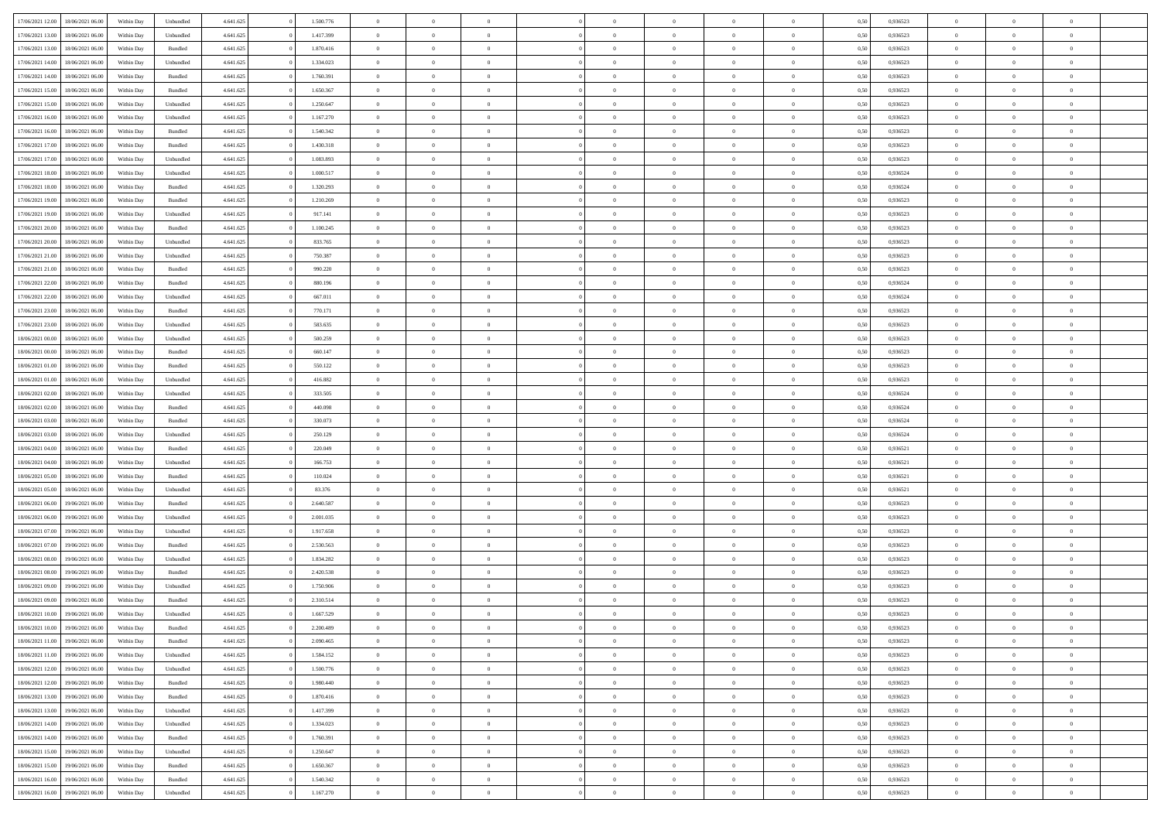| 17/06/2021 12:00                  | 18/06/2021 06:00 | Within Day | Unbundled          | 4.641.625 | 1.500.776 | $\overline{0}$ | $\theta$                   |                | $\overline{0}$ | $\bf{0}$       | $\overline{0}$ | $\theta$       | 0,50 | 0,936523 | $\theta$             | $\theta$                   | $\overline{0}$           |  |
|-----------------------------------|------------------|------------|--------------------|-----------|-----------|----------------|----------------------------|----------------|----------------|----------------|----------------|----------------|------|----------|----------------------|----------------------------|--------------------------|--|
|                                   |                  |            |                    |           |           | $\overline{0}$ | $\overline{0}$             |                |                |                |                |                |      |          |                      |                            | $\overline{0}$           |  |
| 17/06/2021 13:00                  | 18/06/2021 06:00 | Within Day | Unbundled          | 4.641.625 | 1.417.399 |                |                            | $\overline{0}$ | $\overline{0}$ | $\,$ 0         | $\bf{0}$       | $\bf{0}$       | 0,50 | 0,936523 | $\,$ 0 $\,$          | $\overline{0}$             |                          |  |
| 17/06/2021 13:00                  | 18/06/2021 06:00 | Within Day | Bundled            | 4.641.625 | 1.870.416 | $\overline{0}$ | $\overline{0}$             | $\overline{0}$ | $\overline{0}$ | $\bf{0}$       | $\overline{0}$ | $\mathbf{0}$   | 0.50 | 0.936523 | $\bf{0}$             | $\overline{0}$             | $\overline{0}$           |  |
| 17/06/2021 14:00                  | 18/06/2021 06:00 | Within Day | Unbundled          | 4.641.625 | 1.334.023 | $\overline{0}$ | $\overline{0}$             | $\overline{0}$ | $\overline{0}$ | $\,$ 0         | $\overline{0}$ | $\overline{0}$ | 0,50 | 0,936523 | $\,$ 0 $\,$          | $\overline{0}$             | $\overline{0}$           |  |
| 17/06/2021 14:00                  | 18/06/2021 06:00 | Within Day | Bundled            | 4.641.625 | 1.760.391 | $\overline{0}$ | $\theta$                   | $\overline{0}$ |                | $\overline{0}$ | $\overline{0}$ | $\bf{0}$       | 0,50 | 0,936523 | $\,$ 0 $\,$          | $\overline{0}$             | $\overline{0}$           |  |
| 17/06/2021 15:00                  | 18/06/2021 06:00 | Within Day | Bundled            | 4.641.625 | 1.650.367 | $\overline{0}$ | $\overline{0}$             | $\overline{0}$ | $\overline{0}$ | $\bf{0}$       | $\overline{0}$ | $\bf{0}$       | 0.50 | 0.936523 | $\,0\,$              | $\theta$                   | $\overline{0}$           |  |
| 17/06/2021 15:00                  | 18/06/2021 06:00 | Within Day | Unbundled          | 4.641.625 | 1.250.647 | $\overline{0}$ | $\overline{0}$             | $\overline{0}$ | $\overline{0}$ | $\bf{0}$       | $\overline{0}$ | $\overline{0}$ | 0,50 | 0,936523 | $\,$ 0 $\,$          | $\theta$                   | $\overline{0}$           |  |
| 17/06/2021 16:00                  | 18/06/2021 06:00 | Within Day | Unbundled          | 4.641.625 | 1.167.270 | $\overline{0}$ | $\theta$                   | $\overline{0}$ | $\overline{0}$ | $\,$ 0         | $\bf{0}$       | $\bf{0}$       | 0,50 | 0,936523 | $\,$ 0 $\,$          | $\overline{0}$             | $\overline{0}$           |  |
| 17/06/2021 16:00                  | 18/06/2021 06:00 | Within Day | Bundled            | 4.641.625 | 1.540.342 | $\overline{0}$ | $\overline{0}$             | $\overline{0}$ | $\overline{0}$ | $\bf{0}$       | $\overline{0}$ | $\bf{0}$       | 0.50 | 0.936523 | $\,0\,$              | $\overline{0}$             | $\overline{0}$           |  |
| 17/06/2021 17:00                  | 18/06/2021 06:00 | Within Day | Bundled            | 4.641.625 | 1.430.318 | $\overline{0}$ | $\overline{0}$             | $\overline{0}$ | $\overline{0}$ | $\,$ 0         | $\overline{0}$ | $\bf{0}$       | 0,50 | 0,936523 | $\,$ 0 $\,$          | $\overline{0}$             | $\overline{0}$           |  |
|                                   |                  |            |                    |           |           |                |                            |                |                |                |                |                |      |          |                      |                            |                          |  |
| 17/06/2021 17:00                  | 18/06/2021 06:00 | Within Day | Unbundled          | 4.641.625 | 1.083.893 | $\overline{0}$ | $\theta$                   | $\overline{0}$ | $\overline{0}$ | $\,$ 0         | $\overline{0}$ | $\bf{0}$       | 0,50 | 0,936523 | $\,$ 0 $\,$          | $\overline{0}$             | $\overline{0}$           |  |
| 17/06/2021 18:00                  | 18/06/2021 06:00 | Within Day | Unbundled          | 4.641.625 | 1.000.517 | $\overline{0}$ | $\overline{0}$             | $\overline{0}$ | $\overline{0}$ | $\bf{0}$       | $\overline{0}$ | $\mathbf{0}$   | 0.50 | 0.936524 | $\bf{0}$             | $\overline{0}$             | $\overline{\phantom{a}}$ |  |
| 17/06/2021 18:00                  | 18/06/2021 06:00 | Within Day | Bundled            | 4.641.625 | 1.320.293 | $\overline{0}$ | $\overline{0}$             | $\overline{0}$ | $\overline{0}$ | $\,$ 0         | $\overline{0}$ | $\overline{0}$ | 0,50 | 0,936524 | $\,$ 0 $\,$          | $\overline{0}$             | $\overline{0}$           |  |
| 17/06/2021 19:00                  | 18/06/2021 06:00 | Within Day | Bundled            | 4.641.625 | 1.210.269 | $\overline{0}$ | $\theta$                   | $\overline{0}$ | $\overline{0}$ | $\overline{0}$ | $\overline{0}$ | $\bf{0}$       | 0,50 | 0,936523 | $\,$ 0 $\,$          | $\overline{0}$             | $\overline{0}$           |  |
| 17/06/2021 19:00                  | 18/06/2021 06:00 | Within Day | Unbundled          | 4.641.625 | 917.141   | $\overline{0}$ | $\overline{0}$             | $\overline{0}$ | $\overline{0}$ | $\,$ 0         | $\overline{0}$ | $\bf{0}$       | 0.50 | 0.936523 | $\,0\,$              | $\theta$                   | $\overline{0}$           |  |
| 17/06/2021 20:00                  | 18/06/2021 06:00 | Within Day | Bundled            | 4.641.625 | 1.100.245 | $\overline{0}$ | $\overline{0}$             | $\overline{0}$ | $\overline{0}$ | $\,$ 0         | $\overline{0}$ | $\bf{0}$       | 0,50 | 0,936523 | $\,$ 0 $\,$          | $\theta$                   | $\overline{0}$           |  |
| 17/06/2021 20:00                  | 18/06/2021 06:00 | Within Day | Unbundled          | 4.641.625 | 833.765   | $\overline{0}$ | $\theta$                   | $\overline{0}$ | $\overline{0}$ | $\bf{0}$       | $\overline{0}$ | $\bf{0}$       | 0,50 | 0,936523 | $\,$ 0 $\,$          | $\overline{0}$             | $\overline{0}$           |  |
| 17/06/2021 21:00                  | 18/06/2021 06:00 | Within Day | Unbundled          | 4.641.625 | 750,387   | $\overline{0}$ | $\overline{0}$             | $\overline{0}$ | $\overline{0}$ | $\bf{0}$       | $\overline{0}$ | $\bf{0}$       | 0.50 | 0.936523 | $\,0\,$              | $\overline{0}$             | $\overline{\phantom{a}}$ |  |
| 17/06/2021 21:00                  | 18/06/2021 06:00 | Within Day | Bundled            | 4.641.625 | 990.220   | $\overline{0}$ | $\overline{0}$             | $\overline{0}$ | $\overline{0}$ | $\bf{0}$       | $\overline{0}$ | $\bf{0}$       | 0,50 | 0,936523 | $\,$ 0 $\,$          | $\overline{0}$             | $\overline{0}$           |  |
| 17/06/2021 22:00                  | 18/06/2021 06:00 | Within Day | Bundled            | 4.641.625 | 880.196   | $\overline{0}$ | $\theta$                   | $\overline{0}$ | $\overline{0}$ | $\,$ 0         | $\bf{0}$       | $\bf{0}$       | 0,50 | 0,936524 | $\,$ 0 $\,$          | $\overline{0}$             | $\overline{0}$           |  |
| 17/06/2021 22:00                  | 18/06/2021 06:00 | Within Day | Unbundled          | 4.641.625 | 667.011   | $\overline{0}$ | $\overline{0}$             | $\overline{0}$ | $\overline{0}$ | $\bf{0}$       | $\overline{0}$ | $\mathbf{0}$   | 0.50 | 0.936524 | $\bf{0}$             | $\overline{0}$             | $\overline{\phantom{a}}$ |  |
| 17/06/2021 23:00                  | 18/06/2021 06:00 |            |                    | 4.641.625 | 770.171   | $\overline{0}$ | $\overline{0}$             | $\overline{0}$ | $\overline{0}$ | $\bf{0}$       | $\overline{0}$ | $\overline{0}$ | 0,50 | 0,936523 | $\,$ 0 $\,$          | $\overline{0}$             | $\overline{0}$           |  |
|                                   |                  | Within Day | Bundled            |           |           |                |                            |                |                |                |                |                |      |          |                      |                            |                          |  |
| 17/06/2021 23:00                  | 18/06/2021 06:00 | Within Day | Unbundled          | 4.641.625 | 583.635   | $\overline{0}$ | $\theta$                   | $\overline{0}$ | $\overline{0}$ | $\,$ 0         | $\overline{0}$ | $\bf{0}$       | 0,50 | 0,936523 | $\,$ 0 $\,$          | $\overline{0}$             | $\overline{0}$           |  |
| 18/06/2021 00:00                  | 18/06/2021 06:00 | Within Day | Unbundled          | 4.641.625 | 500.259   | $\overline{0}$ | $\overline{0}$             | $\overline{0}$ | $\overline{0}$ | $\bf{0}$       | $\overline{0}$ | $\bf{0}$       | 0.50 | 0.936523 | $\,0\,$              | $\theta$                   | $\overline{0}$           |  |
| 18/06/2021 00:00                  | 18/06/2021 06:00 | Within Day | Bundled            | 4.641.625 | 660.147   | $\overline{0}$ | $\overline{0}$             | $\overline{0}$ | $\overline{0}$ | $\,$ 0         | $\overline{0}$ | $\overline{0}$ | 0,50 | 0,936523 | $\,0\,$              | $\theta$                   | $\overline{0}$           |  |
| 18/06/2021 01:00                  | 18/06/2021 06:00 | Within Day | Bundled            | 4.641.625 | 550.122   | $\overline{0}$ | $\theta$                   | $\overline{0}$ |                | $\bf{0}$       | $\overline{0}$ | $\bf{0}$       | 0,50 | 0,936523 | $\,$ 0 $\,$          | $\overline{0}$             | $\overline{0}$           |  |
| 18/06/2021 01:00                  | 18/06/2021 06:00 | Within Day | Unbundled          | 4.641.625 | 416.882   | $\overline{0}$ | $\overline{0}$             | $\overline{0}$ | $\overline{0}$ | $\bf{0}$       | $\overline{0}$ | $\bf{0}$       | 0.50 | 0.936523 | $\,0\,$              | $\overline{0}$             | $\overline{0}$           |  |
| 18/06/2021 02:00                  | 18/06/2021 06:00 | Within Day | Unbundled          | 4.641.625 | 333.505   | $\overline{0}$ | $\overline{0}$             | $\overline{0}$ | $\overline{0}$ | $\bf{0}$       | $\overline{0}$ | $\bf{0}$       | 0,50 | 0,936524 | $\,$ 0 $\,$          | $\overline{0}$             | $\overline{0}$           |  |
| 18/06/2021 02:00                  | 18/06/2021 06:00 | Within Day | Bundled            | 4.641.625 | 440.098   | $\overline{0}$ | $\overline{0}$             | $\overline{0}$ | $\overline{0}$ | $\bf{0}$       | $\bf{0}$       | $\bf{0}$       | 0,50 | 0,936524 | $\,$ 0 $\,$          | $\overline{0}$             | $\overline{0}$           |  |
| 18/06/2021 03:00                  | 18/06/2021 06:00 | Within Day | Bundled            | 4.641.625 | 330.073   | $\overline{0}$ | $\overline{0}$             | $\overline{0}$ | $\overline{0}$ | $\bf{0}$       | $\overline{0}$ | $\mathbf{0}$   | 0.50 | 0.936524 | $\bf{0}$             | $\overline{0}$             | $\overline{\phantom{a}}$ |  |
| 18/06/2021 03:00                  | 18/06/2021 06:00 | Within Dav | Unbundled          | 4.641.625 | 250.129   | $\overline{0}$ | $\overline{0}$             | $\overline{0}$ | $\overline{0}$ | $\overline{0}$ | $\overline{0}$ | $\overline{0}$ | 0.50 | 0,936524 | $\theta$             | $\overline{0}$             | $\overline{0}$           |  |
| 18/06/2021 04:00                  | 18/06/2021 06:00 | Within Day | Bundled            | 4.641.625 | 220.049   | $\overline{0}$ | $\theta$                   | $\overline{0}$ | $\overline{0}$ | $\,$ 0         | $\overline{0}$ | $\bf{0}$       | 0,50 | 0,936521 | $\,$ 0 $\,$          | $\overline{0}$             | $\overline{0}$           |  |
|                                   | 18/06/2021 06:00 |            |                    |           | 166,753   |                | $\overline{0}$             | $\overline{0}$ | $\overline{0}$ | $\,$ 0         | $\overline{0}$ |                | 0.50 | 0.936521 | $\,0\,$              | $\theta$                   | $\overline{0}$           |  |
| 18/06/2021 04:00                  |                  | Within Day | Unbundled          | 4.641.625 |           | $\overline{0}$ |                            |                |                |                |                | $\bf{0}$       |      |          |                      |                            |                          |  |
| 18/06/2021 05:00                  | 18/06/2021 06:00 | Within Dav | Bundled            | 4.641.625 | 110.024   | $\overline{0}$ | $\theta$                   | $\Omega$       | $\overline{0}$ | $\bf{0}$       | $\overline{0}$ | $\overline{0}$ | 0.50 | 0,936521 | $\theta$             | $\overline{0}$             | $\overline{0}$           |  |
| 18/06/2021 05:00                  | 18/06/2021 06:00 | Within Day | Unbundled          | 4.641.625 | 83.376    | $\overline{0}$ | $\theta$                   | $\overline{0}$ | $\overline{0}$ | $\,$ 0         | $\overline{0}$ | $\bf{0}$       | 0,50 | 0,936521 | $\,$ 0 $\,$          | $\overline{0}$             | $\overline{0}$           |  |
| 18/06/2021 06:00                  | 19/06/2021 06:00 | Within Day | Bundled            | 4.641.625 | 2.640.587 | $\overline{0}$ | $\overline{0}$             | $\overline{0}$ | $\overline{0}$ | $\bf{0}$       | $\overline{0}$ | $\bf{0}$       | 0.50 | 0.936523 | $\,0\,$              | $\overline{0}$             | $\overline{0}$           |  |
| 18/06/2021 06:00                  | 19/06/2021 06:00 | Within Dav | Unbundled          | 4.641.625 | 2.001.035 | $\overline{0}$ | $\overline{0}$             | $\overline{0}$ | $\overline{0}$ | $\overline{0}$ | $\overline{0}$ | $\overline{0}$ | 0.50 | 0.936523 | $\theta$             | $\overline{0}$             | $\overline{0}$           |  |
| 18/06/2021 07:00                  | 19/06/2021 06.00 | Within Day | Unbundled          | 4.641.625 | 1.917.658 | $\overline{0}$ | $\overline{0}$             | $\overline{0}$ | $\overline{0}$ | $\bf{0}$       | $\bf{0}$       | $\bf{0}$       | 0,50 | 0,936523 | $\,$ 0 $\,$          | $\overline{0}$             | $\overline{0}$           |  |
| 18/06/2021 07:00                  | 19/06/2021 06:00 | Within Day | Bundled            | 4.641.625 | 2.530.563 | $\overline{0}$ | $\overline{0}$             | $\overline{0}$ | $\overline{0}$ | $\bf{0}$       | $\overline{0}$ | $\mathbf{0}$   | 0.50 | 0.936523 | $\bf{0}$             | $\overline{0}$             | $\overline{0}$           |  |
| 18/06/2021 08:00                  | 19/06/2021 06:00 | Within Dav | Unbundled          | 4.641.625 | 1.834.282 | $\overline{0}$ | $\overline{0}$             | $\Omega$       | $\overline{0}$ | $\mathbf{0}$   | $\overline{0}$ | $\overline{0}$ | 0.50 | 0.936523 | $\theta$             | $\overline{0}$             | $\overline{0}$           |  |
| 18/06/2021 08:00                  | 19/06/2021 06.00 | Within Day | Bundled            | 4.641.625 | 2.420.538 | $\overline{0}$ | $\theta$                   | $\overline{0}$ | $\overline{0}$ | $\,$ 0         | $\overline{0}$ | $\bf{0}$       | 0,50 | 0,936523 | $\,$ 0 $\,$          | $\overline{0}$             | $\overline{0}$           |  |
| 18/06/2021 09:00                  | 19/06/2021 06:00 | Within Day | Unbundled          | 4.641.625 | 1.750.906 | $\overline{0}$ | $\theta$                   | $\overline{0}$ | $\overline{0}$ | $\bf{0}$       | $\Omega$       | $\overline{0}$ | 0.50 | 0.936523 | $\,0\,$              | $\theta$                   | $\overline{0}$           |  |
| 18/06/2021 09:00                  | 19/06/2021 06:00 | Within Dav | Bundled            | 4.641.625 | 2.310.514 | $\overline{0}$ | $\Omega$                   | $\Omega$       | $\Omega$       | $\bf{0}$       | $\overline{0}$ | $\bf{0}$       | 0.50 | 0.936523 | $\theta$             | $\theta$                   | $\overline{0}$           |  |
| 18/06/2021 10:00                  | 19/06/2021 06:00 | Within Day | Unbundled          | 4.641.625 | 1.667.529 | $\overline{0}$ | $\,$ 0 $\,$                | $\overline{0}$ | $\overline{0}$ | $\,$ 0         | $\bf{0}$       | $\bf{0}$       | 0,50 | 0,936523 | $\,$ 0 $\,$          | $\overline{0}$             | $\overline{0}$           |  |
|                                   |                  | Within Day |                    | 4.641.625 | 2.200.489 |                |                            |                |                |                |                |                |      | 0.936523 |                      |                            |                          |  |
| 18/06/2021 10:00                  | 19/06/2021 06:00 |            | $\mathbf B$ undled |           |           | $\bf{0}$       | $\theta$<br>$\overline{0}$ |                |                | $\overline{0}$ |                |                | 0,50 |          | $\bf{0}$<br>$\theta$ | $\theta$<br>$\overline{0}$ | $\overline{0}$           |  |
| 18/06/2021 11:00                  | 19/06/2021 06:00 | Within Day | Bundled            | 4.641.625 | 2.090.465 | $\overline{0}$ |                            | $\overline{0}$ | $\overline{0}$ |                | $\overline{0}$ | $\mathbf{0}$   | 0,50 | 0.936523 |                      |                            |                          |  |
| 18/06/2021 11:00                  | 19/06/2021 06:00 | Within Day | Unbundled          | 4.641.625 | 1.584.152 | $\overline{0}$ | $\overline{0}$             | $\overline{0}$ | $\bf{0}$       | $\overline{0}$ | $\overline{0}$ | $\bf{0}$       | 0,50 | 0,936523 | $\bf{0}$             | $\overline{0}$             | $\bf{0}$                 |  |
| 18/06/2021 12:00                  | 19/06/2021 06:00 | Within Day | Unbundled          | 4.641.625 | 1.500.776 | $\overline{0}$ | $\overline{0}$             | $\overline{0}$ | $\overline{0}$ | $\overline{0}$ | $\overline{0}$ | $\mathbf{0}$   | 0.50 | 0.936523 | $\overline{0}$       | $\bf{0}$                   | $\bf{0}$                 |  |
| 18/06/2021 12:00                  | 19/06/2021 06:00 | Within Day | Bundled            | 4.641.625 | 1.980.440 | $\overline{0}$ | $\overline{0}$             | $\overline{0}$ | $\overline{0}$ | $\overline{0}$ | $\overline{0}$ | $\mathbf{0}$   | 0,50 | 0.936523 | $\overline{0}$       | $\theta$                   | $\overline{0}$           |  |
| 18/06/2021 13:00                  | 19/06/2021 06:00 | Within Day | Bundled            | 4.641.625 | 1.870.416 | $\overline{0}$ | $\overline{0}$             | $\overline{0}$ | $\overline{0}$ | $\bf{0}$       | $\overline{0}$ | $\bf{0}$       | 0,50 | 0,936523 | $\bf{0}$             | $\overline{0}$             | $\overline{0}$           |  |
| 18/06/2021 13:00                  | 19/06/2021 06:00 | Within Day | Unbundled          | 4.641.625 | 1.417.399 | $\overline{0}$ | $\overline{0}$             | $\overline{0}$ | $\overline{0}$ | $\bf{0}$       | $\overline{0}$ | $\mathbf{0}$   | 0.50 | 0.936523 | $\,$ 0 $\,$          | $\theta$                   | $\overline{0}$           |  |
| 18/06/2021 14:00                  | 19/06/2021 06:00 | Within Day | Unbundled          | 4.641.625 | 1.334.023 | $\overline{0}$ | $\overline{0}$             | $\overline{0}$ | $\overline{0}$ | $\overline{0}$ | $\overline{0}$ | $\overline{0}$ | 0,50 | 0.936523 | $\overline{0}$       | $\theta$                   | $\overline{0}$           |  |
| 18/06/2021 14:00                  | 19/06/2021 06:00 | Within Day | Bundled            | 4.641.625 | 1.760.391 | $\overline{0}$ | $\,$ 0                     | $\overline{0}$ | $\bf{0}$       | $\,$ 0 $\,$    | $\overline{0}$ | $\bf{0}$       | 0,50 | 0,936523 | $\,$ 0 $\,$          | $\overline{0}$             | $\overline{0}$           |  |
| 18/06/2021 15:00                  | 19/06/2021 06:00 | Within Day | Unbundled          | 4.641.625 | 1.250.647 | $\overline{0}$ | $\overline{0}$             | $\overline{0}$ | $\overline{0}$ | $\bf{0}$       | $\overline{0}$ | $\mathbf{0}$   | 0.50 | 0.936523 | $\mathbf{0}$         | $\,$ 0 $\,$                | $\overline{0}$           |  |
| 18/06/2021 15:00                  | 19/06/2021 06:00 | Within Dav | Bundled            | 4.641.625 | 1.650.367 | $\overline{0}$ | $\overline{0}$             | $\overline{0}$ | $\overline{0}$ | $\overline{0}$ | $\overline{0}$ | $\overline{0}$ | 0,50 | 0.936523 | $\overline{0}$       | $\theta$                   | $\overline{0}$           |  |
| 18/06/2021 16:00                  | 19/06/2021 06:00 | Within Day | Bundled            | 4.641.625 | 1.540.342 | $\overline{0}$ | $\overline{0}$             | $\overline{0}$ | $\bf{0}$       | $\bf{0}$       | $\overline{0}$ | $\bf{0}$       | 0,50 | 0,936523 | $\bf{0}$             | $\overline{0}$             | $\bf{0}$                 |  |
|                                   |                  |            |                    |           |           |                |                            |                |                |                |                |                |      |          |                      |                            |                          |  |
| 18/06/2021 16:00 19/06/2021 06:00 |                  | Within Day | Unbundled          | 4.641.625 | 1.167.270 | $\,$ 0 $\,$    | $\,$ 0 $\,$                | $\overline{0}$ | $\overline{0}$ | $\,$ 0 $\,$    | $\,$ 0 $\,$    | $\,$ 0 $\,$    | 0,50 | 0,936523 | $\mathbf{0}^-$       | $\,$ 0 $\,$                | $\,$ 0 $\,$              |  |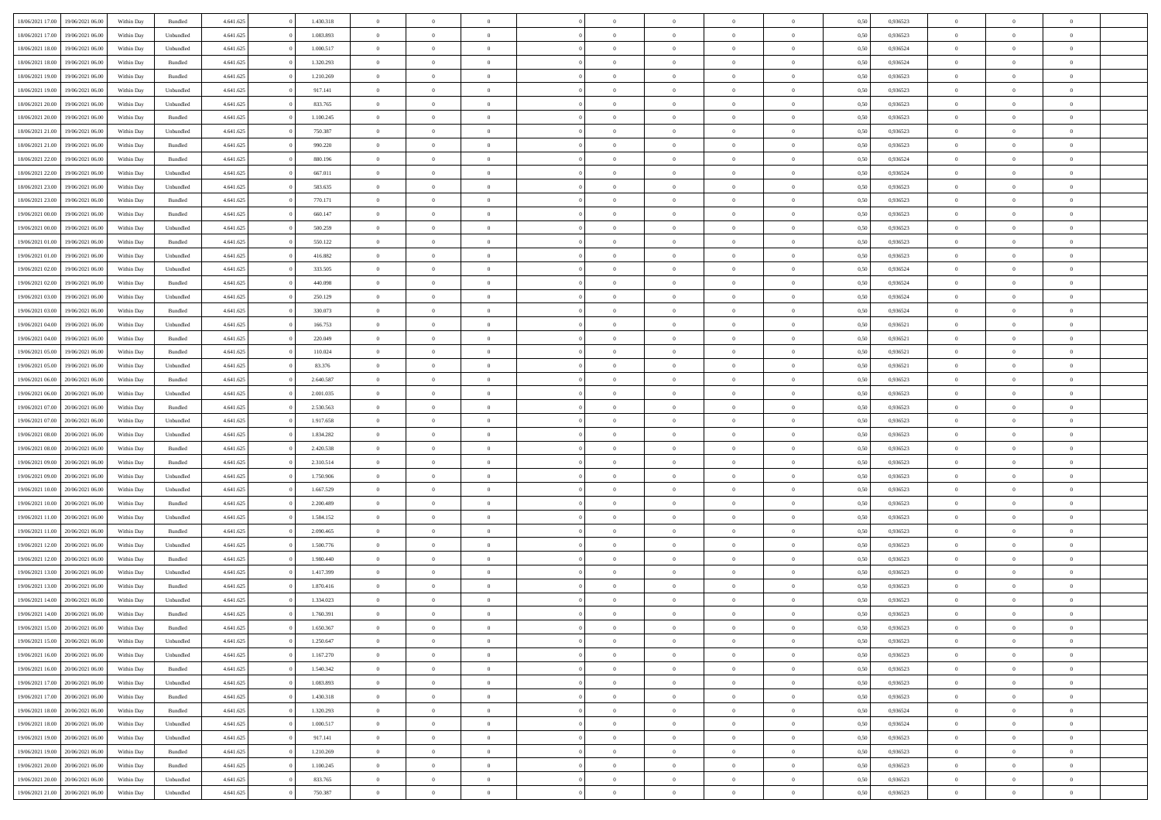| 18/06/2021 17:00 | 19/06/2021 06:00 | Within Day | Bundled            | 4.641.625 | 1.430.318 | $\overline{0}$ | $\Omega$       |                | $\Omega$       | $\Omega$       | $\theta$       | $\theta$       | 0.50 | 0,936523 | $\theta$       | $\theta$       | $\overline{0}$ |  |
|------------------|------------------|------------|--------------------|-----------|-----------|----------------|----------------|----------------|----------------|----------------|----------------|----------------|------|----------|----------------|----------------|----------------|--|
|                  |                  |            |                    |           |           |                |                |                |                |                |                |                |      |          |                |                |                |  |
| 18/06/2021 17:00 | 19/06/2021 06:00 | Within Day | Unbundled          | 4.641.625 | 1.083.893 | $\overline{0}$ | $\theta$       | $\overline{0}$ | $\overline{0}$ | $\bf{0}$       | $\overline{0}$ | $\bf{0}$       | 0,50 | 0,936523 | $\theta$       | $\overline{0}$ | $\overline{0}$ |  |
| 18/06/2021 18:00 | 19/06/2021 06:00 | Within Day | Unbundled          | 4.641.625 | 1.000.517 | $\overline{0}$ | $\bf{0}$       | $\overline{0}$ | $\overline{0}$ | $\bf{0}$       | $\overline{0}$ | $\mathbf{0}$   | 0,50 | 0,936524 | $\overline{0}$ | $\overline{0}$ | $\bf{0}$       |  |
| 18/06/2021 18:00 | 19/06/2021 06:00 | Within Dav | Bundled            | 4.641.625 | 1.320.293 | $\overline{0}$ | $\overline{0}$ | $\overline{0}$ | $\overline{0}$ | $\bf{0}$       | $\overline{0}$ | $\overline{0}$ | 0.50 | 0.936524 | $\theta$       | $\theta$       | $\overline{0}$ |  |
| 18/06/2021 19:00 | 19/06/2021 06:00 | Within Day | Bundled            | 4.641.625 | 1.210.269 | $\overline{0}$ | $\theta$       | $\overline{0}$ | $\overline{0}$ | $\bf{0}$       | $\overline{0}$ | $\bf{0}$       | 0,50 | 0,936523 | $\theta$       | $\overline{0}$ | $\overline{0}$ |  |
| 18/06/2021 19:00 | 19/06/2021 06:00 | Within Day | Unbundled          | 4.641.625 | 917.141   | $\overline{0}$ | $\overline{0}$ | $\overline{0}$ | $\overline{0}$ | $\overline{0}$ | $\overline{0}$ | $\mathbf{0}$   | 0,50 | 0,936523 | $\overline{0}$ | $\overline{0}$ | $\bf{0}$       |  |
|                  |                  |            |                    |           |           |                | $\overline{0}$ |                |                | $\overline{0}$ |                |                |      |          | $\theta$       | $\overline{0}$ | $\overline{0}$ |  |
| 18/06/2021 20:00 | 19/06/2021 06:00 | Within Dav | Unbundled          | 4.641.625 | 833.765   | $\overline{0}$ |                | $\overline{0}$ | $\overline{0}$ |                | $\overline{0}$ | $\overline{0}$ | 0.50 | 0.936523 |                |                |                |  |
| 18/06/2021 20:00 | 19/06/2021 06:00 | Within Day | Bundled            | 4.641.625 | 1.100.245 | $\overline{0}$ | $\theta$       | $\overline{0}$ | $\overline{0}$ | $\bf{0}$       | $\overline{0}$ | $\bf{0}$       | 0,50 | 0,936523 | $\theta$       | $\theta$       | $\overline{0}$ |  |
| 18/06/2021 21:00 | 19/06/2021 06:00 | Within Day | Unbundled          | 4.641.625 | 750.387   | $\overline{0}$ | $\overline{0}$ | $\overline{0}$ | $\bf{0}$       | $\bf{0}$       | $\bf{0}$       | $\mathbf{0}$   | 0,50 | 0,936523 | $\,0\,$        | $\overline{0}$ | $\overline{0}$ |  |
| 18/06/2021 21:00 | 19/06/2021 06:00 | Within Dav | Bundled            | 4.641.625 | 990.220   | $\overline{0}$ | $\overline{0}$ | $\overline{0}$ | $\overline{0}$ | $\overline{0}$ | $\overline{0}$ | $\overline{0}$ | 0.50 | 0.936523 | $\theta$       | $\overline{0}$ | $\overline{0}$ |  |
| 18/06/2021 22:00 | 19/06/2021 06:00 | Within Day | Bundled            | 4.641.625 | 880.196   | $\overline{0}$ | $\theta$       | $\overline{0}$ | $\overline{0}$ | $\bf{0}$       | $\overline{0}$ | $\bf{0}$       | 0,50 | 0,936524 | $\,$ 0 $\,$    | $\overline{0}$ | $\overline{0}$ |  |
| 18/06/2021 22:00 | 19/06/2021 06:00 | Within Day | Unbundled          | 4.641.625 | 667.011   | $\overline{0}$ | $\overline{0}$ | $\overline{0}$ | $\bf{0}$       | $\bf{0}$       | $\bf{0}$       | $\mathbf{0}$   | 0,50 | 0,936524 | $\bf{0}$       | $\overline{0}$ | $\bf{0}$       |  |
| 18/06/2021 23:00 | 19/06/2021 06:00 | Within Day | Unbundled          | 4.641.625 | 583.635   | $\overline{0}$ | $\overline{0}$ | $\overline{0}$ | $\overline{0}$ | $\bf{0}$       | $\overline{0}$ | $\overline{0}$ | 0.50 | 0.936523 | $\theta$       | $\theta$       | $\overline{0}$ |  |
| 18/06/2021 23:00 | 19/06/2021 06:00 |            |                    | 4.641.625 | 770.171   | $\overline{0}$ | $\theta$       | $\overline{0}$ | $\overline{0}$ | $\bf{0}$       | $\overline{0}$ |                |      | 0,936523 | $\theta$       | $\overline{0}$ | $\overline{0}$ |  |
|                  |                  | Within Day | Bundled            |           |           |                |                |                |                |                |                | $\bf{0}$       | 0,50 |          |                |                |                |  |
| 19/06/2021 00:00 | 19/06/2021 06:00 | Within Day | Bundled            | 4.641.625 | 660.147   | $\overline{0}$ | $\overline{0}$ | $\overline{0}$ | $\bf{0}$       | $\overline{0}$ | $\overline{0}$ | $\mathbf{0}$   | 0,50 | 0,936523 | $\bf{0}$       | $\overline{0}$ | $\bf{0}$       |  |
| 19/06/2021 00:00 | 19/06/2021 06:00 | Within Dav | Unbundled          | 4.641.625 | 500.259   | $\overline{0}$ | $\overline{0}$ | $\overline{0}$ | $\overline{0}$ | $\overline{0}$ | $\overline{0}$ | $\overline{0}$ | 0.50 | 0.936523 | $\theta$       | $\overline{0}$ | $\overline{0}$ |  |
| 19/06/2021 01:00 | 19/06/2021 06:00 | Within Day | Bundled            | 4.641.625 | 550.122   | $\overline{0}$ | $\theta$       | $\overline{0}$ | $\overline{0}$ | $\bf{0}$       | $\overline{0}$ | $\bf{0}$       | 0,50 | 0,936523 | $\theta$       | $\overline{0}$ | $\overline{0}$ |  |
| 19/06/2021 01:00 | 19/06/2021 06:00 | Within Day | Unbundled          | 4.641.625 | 416.882   | $\overline{0}$ | $\overline{0}$ | $\overline{0}$ | $\bf{0}$       | $\bf{0}$       | $\bf{0}$       | $\mathbf{0}$   | 0,50 | 0,936523 | $\,0\,$        | $\overline{0}$ | $\bf{0}$       |  |
| 19/06/2021 02:00 | 19/06/2021 06:00 | Within Day | Unbundled          | 4.641.625 | 333.505   | $\overline{0}$ | $\overline{0}$ | $\overline{0}$ | $\overline{0}$ | $\overline{0}$ | $\overline{0}$ | $\overline{0}$ | 0.50 | 0,936524 | $\theta$       | $\overline{0}$ | $\overline{0}$ |  |
| 19/06/2021 02:00 | 19/06/2021 06:00 | Within Day | Bundled            | 4.641.625 | 440.098   | $\overline{0}$ | $\theta$       | $\overline{0}$ | $\overline{0}$ | $\bf{0}$       | $\overline{0}$ | $\bf{0}$       | 0,50 | 0,936524 | $\,$ 0 $\,$    | $\overline{0}$ | $\overline{0}$ |  |
| 19/06/2021 03:00 | 19/06/2021 06:00 | Within Day | Unbundled          | 4.641.625 | 250.129   | $\overline{0}$ | $\overline{0}$ | $\overline{0}$ | $\bf{0}$       | $\bf{0}$       | $\bf{0}$       | $\mathbf{0}$   | 0,50 | 0,936524 | $\bf{0}$       | $\overline{0}$ | $\bf{0}$       |  |
|                  |                  |            |                    |           |           |                |                |                |                |                |                |                |      |          | $\theta$       |                |                |  |
| 19/06/2021 03:00 | 19/06/2021 06:00 | Within Day | Bundled            | 4.641.625 | 330.073   | $\overline{0}$ | $\overline{0}$ | $\overline{0}$ | $\overline{0}$ | $\overline{0}$ | $\overline{0}$ | $\overline{0}$ | 0.50 | 0.936524 |                | $\overline{0}$ | $\overline{0}$ |  |
| 19/06/2021 04:00 | 19/06/2021 06:00 | Within Day | Unbundled          | 4.641.625 | 166.753   | $\overline{0}$ | $\theta$       | $\overline{0}$ | $\overline{0}$ | $\bf{0}$       | $\overline{0}$ | $\bf{0}$       | 0,50 | 0,936521 | $\,$ 0 $\,$    | $\overline{0}$ | $\overline{0}$ |  |
| 19/06/2021 04:00 | 19/06/2021 06:00 | Within Day | Bundled            | 4.641.625 | 220.049   | $\overline{0}$ | $\overline{0}$ | $\overline{0}$ | $\bf{0}$       | $\overline{0}$ | $\overline{0}$ | $\mathbf{0}$   | 0,50 | 0,936521 | $\overline{0}$ | $\overline{0}$ | $\bf{0}$       |  |
| 19/06/2021 05:00 | 19/06/2021 06:00 | Within Dav | Bundled            | 4.641.625 | 110.024   | $\overline{0}$ | $\overline{0}$ | $\overline{0}$ | $\overline{0}$ | $\overline{0}$ | $\overline{0}$ | $\overline{0}$ | 0.50 | 0,936521 | $\theta$       | $\overline{0}$ | $\overline{0}$ |  |
| 19/06/2021 05:00 | 19/06/2021 06:00 | Within Day | Unbundled          | 4.641.625 | 83.376    | $\overline{0}$ | $\theta$       | $\overline{0}$ | $\overline{0}$ | $\bf{0}$       | $\overline{0}$ | $\bf{0}$       | 0,50 | 0,936521 | $\theta$       | $\theta$       | $\overline{0}$ |  |
| 19/06/2021 06:00 | 20/06/2021 06:00 | Within Day | Bundled            | 4.641.625 | 2.640.587 | $\overline{0}$ | $\overline{0}$ | $\overline{0}$ | $\bf{0}$       | $\bf{0}$       | $\bf{0}$       | $\bf{0}$       | 0,50 | 0,936523 | $\,0\,$        | $\overline{0}$ | $\overline{0}$ |  |
| 19/06/2021 06:00 | 20/06/2021 06:00 | Within Day | Unbundled          | 4.641.625 | 2.001.035 | $\overline{0}$ | $\overline{0}$ | $\overline{0}$ | $\overline{0}$ | $\overline{0}$ | $\overline{0}$ | $\overline{0}$ | 0.50 | 0.936523 | $\theta$       | $\overline{0}$ | $\overline{0}$ |  |
| 19/06/2021 07:00 | 20/06/2021 06:00 |            | Bundled            | 4.641.625 | 2.530.563 | $\overline{0}$ | $\theta$       | $\overline{0}$ | $\overline{0}$ | $\bf{0}$       | $\overline{0}$ |                |      | 0,936523 | $\,$ 0 $\,$    | $\overline{0}$ | $\overline{0}$ |  |
|                  |                  | Within Day |                    |           |           |                |                |                |                |                |                | $\bf{0}$       | 0,50 |          |                |                |                |  |
| 19/06/2021 07:00 | 20/06/2021 06:00 | Within Day | Unbundled          | 4.641.625 | 1.917.658 | $\overline{0}$ | $\overline{0}$ | $\overline{0}$ | $\bf{0}$       | $\bf{0}$       | $\bf{0}$       | $\bf{0}$       | 0,50 | 0,936523 | $\overline{0}$ | $\overline{0}$ | $\bf{0}$       |  |
| 19/06/2021 08:00 | 20/06/2021 06:00 | Within Day | Unbundled          | 4.641.625 | 1.834.282 | $\overline{0}$ | $\Omega$       | $\overline{0}$ | $\Omega$       | $\Omega$       | $\overline{0}$ | $\overline{0}$ | 0,50 | 0,936523 | $\,0\,$        | $\theta$       | $\theta$       |  |
| 19/06/2021 08:00 | 20/06/2021 06:00 | Within Day | Bundled            | 4.641.625 | 2.420.538 | $\overline{0}$ | $\theta$       | $\overline{0}$ | $\overline{0}$ | $\bf{0}$       | $\overline{0}$ | $\bf{0}$       | 0,50 | 0,936523 | $\theta$       | $\overline{0}$ | $\overline{0}$ |  |
| 19/06/2021 09:00 | 20/06/2021 06:00 | Within Day | Bundled            | 4.641.625 | 2.310.514 | $\overline{0}$ | $\overline{0}$ | $\overline{0}$ | $\bf{0}$       | $\overline{0}$ | $\overline{0}$ | $\mathbf{0}$   | 0,50 | 0,936523 | $\overline{0}$ | $\overline{0}$ | $\bf{0}$       |  |
| 19/06/2021 09:00 | 20/06/2021 06:00 | Within Day | Unbundled          | 4.641.625 | 1.750.906 | $\overline{0}$ | $\Omega$       | $\Omega$       | $\Omega$       | $\overline{0}$ | $\overline{0}$ | $\overline{0}$ | 0.50 | 0.936523 | $\,0\,$        | $\theta$       | $\theta$       |  |
| 19/06/2021 10:00 | 20/06/2021 06:00 | Within Day | Unbundled          | 4.641.625 | 1.667.529 | $\overline{0}$ | $\theta$       | $\overline{0}$ | $\overline{0}$ | $\bf{0}$       | $\overline{0}$ | $\bf{0}$       | 0,50 | 0,936523 | $\,$ 0 $\,$    | $\overline{0}$ | $\overline{0}$ |  |
| 19/06/2021 10:00 | 20/06/2021 06:00 | Within Day | Bundled            | 4.641.625 | 2.200.489 | $\overline{0}$ | $\overline{0}$ | $\overline{0}$ | $\bf{0}$       | $\bf{0}$       | $\bf{0}$       | $\mathbf{0}$   | 0,50 | 0,936523 | $\bf{0}$       | $\overline{0}$ | $\bf{0}$       |  |
|                  | 20/06/2021 06:00 |            |                    |           |           | $\overline{0}$ | $\Omega$       | $\Omega$       | $\Omega$       | $\overline{0}$ | $\overline{0}$ | $\overline{0}$ | 0.50 | 0.936523 | $\,$ 0 $\,$    | $\theta$       | $\theta$       |  |
| 19/06/2021 11:00 |                  | Within Day | Unbundled          | 4.641.625 | 1.584.152 |                |                |                |                |                |                |                |      |          |                |                |                |  |
| 19/06/2021 11:00 | 20/06/2021 06:00 | Within Day | Bundled            | 4.641.625 | 2.090.465 | $\overline{0}$ | $\theta$       | $\overline{0}$ | $\overline{0}$ | $\,$ 0         | $\overline{0}$ | $\bf{0}$       | 0,50 | 0,936523 | $\,$ 0 $\,$    | $\overline{0}$ | $\overline{0}$ |  |
| 19/06/2021 12:00 | 20/06/2021 06:00 | Within Day | Unbundled          | 4.641.625 | 1.500.776 | $\overline{0}$ | $\bf{0}$       | $\overline{0}$ | $\bf{0}$       | $\bf{0}$       | $\bf{0}$       | $\mathbf{0}$   | 0,50 | 0,936523 | $\overline{0}$ | $\overline{0}$ | $\bf{0}$       |  |
| 19/06/2021 12:00 | 20/06/2021 06:00 | Within Day | Bundled            | 4.641.625 | 1.980.440 | $\overline{0}$ | $\Omega$       | $\overline{0}$ | $\Omega$       | $\overline{0}$ | $\overline{0}$ | $\overline{0}$ | 0,50 | 0,936523 | $\,0\,$        | $\theta$       | $\theta$       |  |
| 19/06/2021 13:00 | 20/06/2021 06:00 | Within Day | Unbundled          | 4.641.625 | 1.417.399 | $\overline{0}$ | $\overline{0}$ | $\overline{0}$ | $\overline{0}$ | $\,$ 0         | $\overline{0}$ | $\bf{0}$       | 0,50 | 0,936523 | $\,$ 0 $\,$    | $\overline{0}$ | $\overline{0}$ |  |
| 19/06/2021 13:00 | 20/06/2021 06:00 | Within Day | Bundled            | 4.641.625 | 1.870.416 | $\overline{0}$ | $\overline{0}$ | $\overline{0}$ | $\bf{0}$       | $\bf{0}$       | $\overline{0}$ | $\mathbf{0}$   | 0,50 | 0,936523 | $\overline{0}$ | $\overline{0}$ | $\bf{0}$       |  |
| 19/06/2021 14:00 | 20/06/2021 06:00 | Within Day | Unbundled          | 4.641.625 | 1.334.023 | $\overline{0}$ | $\Omega$       | $\Omega$       | $\Omega$       | $\Omega$       | $\Omega$       | $\overline{0}$ | 0.50 | 0.936523 | $\theta$       | $\theta$       | $\theta$       |  |
| 19/06/2021 14:00 | 20/06/2021 06:00 | Within Day | Bundled            | 4.641.625 | 1.760.391 | $\overline{0}$ | $\overline{0}$ | $\overline{0}$ | $\bf{0}$       | $\,$ 0         | $\bf{0}$       | $\bf{0}$       | 0,50 | 0,936523 | $\,0\,$        | $\,$ 0 $\,$    | $\overline{0}$ |  |
| 19/06/2021 15:00 | 20/06/2021 06:00 | Within Day | $\mathbf B$ undled | 4.641.625 | 1.650.367 | $\bf{0}$       | $\bf{0}$       |                |                | $\bf{0}$       |                |                | 0,50 | 0,936523 | $\bf{0}$       | $\overline{0}$ |                |  |
|                  |                  |            |                    |           |           |                |                |                |                |                |                |                |      |          |                |                |                |  |
| 19/06/2021 15:00 | 20/06/2021 06:00 | Within Day | Unbundled          | 4.641.625 | 1.250.647 | $\overline{0}$ | $\overline{0}$ | $\overline{0}$ | $\Omega$       | $\overline{0}$ | $\overline{0}$ | $\overline{0}$ | 0.50 | 0.936523 | $\theta$       | $\theta$       | $\theta$       |  |
| 19/06/2021 16:00 | 20/06/2021 06:00 | Within Day | Unbundled          | 4.641.625 | 1.167.270 | $\overline{0}$ | $\,$ 0         | $\overline{0}$ | $\bf{0}$       | $\,$ 0 $\,$    | $\overline{0}$ | $\mathbf{0}$   | 0,50 | 0,936523 | $\,$ 0 $\,$    | $\,$ 0 $\,$    | $\,$ 0         |  |
| 19/06/2021 16:00 | 20/06/2021 06:00 | Within Day | Bundled            | 4.641.625 | 1.540.342 | $\overline{0}$ | $\overline{0}$ | $\overline{0}$ | $\overline{0}$ | $\overline{0}$ | $\overline{0}$ | $\mathbf{0}$   | 0,50 | 0,936523 | $\overline{0}$ | $\bf{0}$       | $\bf{0}$       |  |
| 19/06/2021 17:00 | 20/06/2021 06:00 | Within Day | Unbundled          | 4.641.625 | 1.083.893 | $\overline{0}$ | $\overline{0}$ | $\overline{0}$ | $\Omega$       | $\overline{0}$ | $\overline{0}$ | $\overline{0}$ | 0,50 | 0,936523 | $\overline{0}$ | $\theta$       | $\overline{0}$ |  |
| 19/06/2021 17:00 | 20/06/2021 06:00 | Within Day | Bundled            | 4.641.625 | 1.430.318 | $\overline{0}$ | $\,$ 0         | $\overline{0}$ | $\overline{0}$ | $\,$ 0 $\,$    | $\overline{0}$ | $\mathbf{0}$   | 0,50 | 0,936523 | $\,$ 0 $\,$    | $\overline{0}$ | $\overline{0}$ |  |
| 19/06/2021 18:00 | 20/06/2021 06:00 | Within Day | Bundled            | 4.641.625 | 1.320.293 | $\overline{0}$ | $\overline{0}$ | $\overline{0}$ | $\overline{0}$ | $\overline{0}$ | $\overline{0}$ | $\mathbf{0}$   | 0,50 | 0,936524 | $\overline{0}$ | $\overline{0}$ | $\bf{0}$       |  |
| 19/06/2021 18:00 | 20/06/2021 06:00 | Within Day | Unbundled          | 4.641.625 | 1.000.517 | $\overline{0}$ | $\overline{0}$ | $\overline{0}$ | $\Omega$       | $\overline{0}$ | $\overline{0}$ | $\bf{0}$       | 0.50 | 0,936524 | $\overline{0}$ | $\theta$       | $\overline{0}$ |  |
| 19/06/2021 19:00 | 20/06/2021 06:00 | Within Day | Unbundled          | 4.641.625 | 917.141   | $\overline{0}$ | $\,$ 0         | $\overline{0}$ | $\bf{0}$       | $\bf{0}$       | $\bf{0}$       | $\bf{0}$       | 0,50 | 0,936523 | $\,$ 0 $\,$    | $\overline{0}$ | $\overline{0}$ |  |
|                  |                  |            |                    |           |           |                |                |                |                |                |                |                |      |          |                |                |                |  |
| 19/06/2021 19:00 | 20/06/2021 06:00 | Within Day | Bundled            | 4.641.625 | 1.210.269 | $\overline{0}$ | $\bf{0}$       | $\overline{0}$ | $\overline{0}$ | $\overline{0}$ | $\overline{0}$ | $\mathbf{0}$   | 0,50 | 0,936523 | $\overline{0}$ | $\overline{0}$ | $\bf{0}$       |  |
| 19/06/2021 20:00 | 20/06/2021 06:00 | Within Day | Bundled            | 4.641.625 | 1.100.245 | $\overline{0}$ | $\overline{0}$ | $\overline{0}$ | $\Omega$       | $\overline{0}$ | $\overline{0}$ | $\bf{0}$       | 0.50 | 0.936523 | $\overline{0}$ | $\theta$       | $\overline{0}$ |  |
| 19/06/2021 20:00 | 20/06/2021 06:00 | Within Day | Unbundled          | 4.641.625 | 833.765   | $\overline{0}$ | $\bf{0}$       | $\overline{0}$ | $\overline{0}$ | $\bf{0}$       | $\bf{0}$       | $\mathbf{0}$   | 0,50 | 0,936523 | $\,$ 0 $\,$    | $\,$ 0 $\,$    | $\bf{0}$       |  |
| 19/06/2021 21:00 | 20/06/2021 06:00 | Within Day | Unbundled          | 4.641.625 | 750.387   | $\overline{0}$ | $\overline{0}$ | $\overline{0}$ | $\overline{0}$ | $\bf{0}$       | $\bf{0}$       | $\mathbf{0}$   | 0,50 | 0,936523 | $\overline{0}$ | $\bf{0}$       | $\bf{0}$       |  |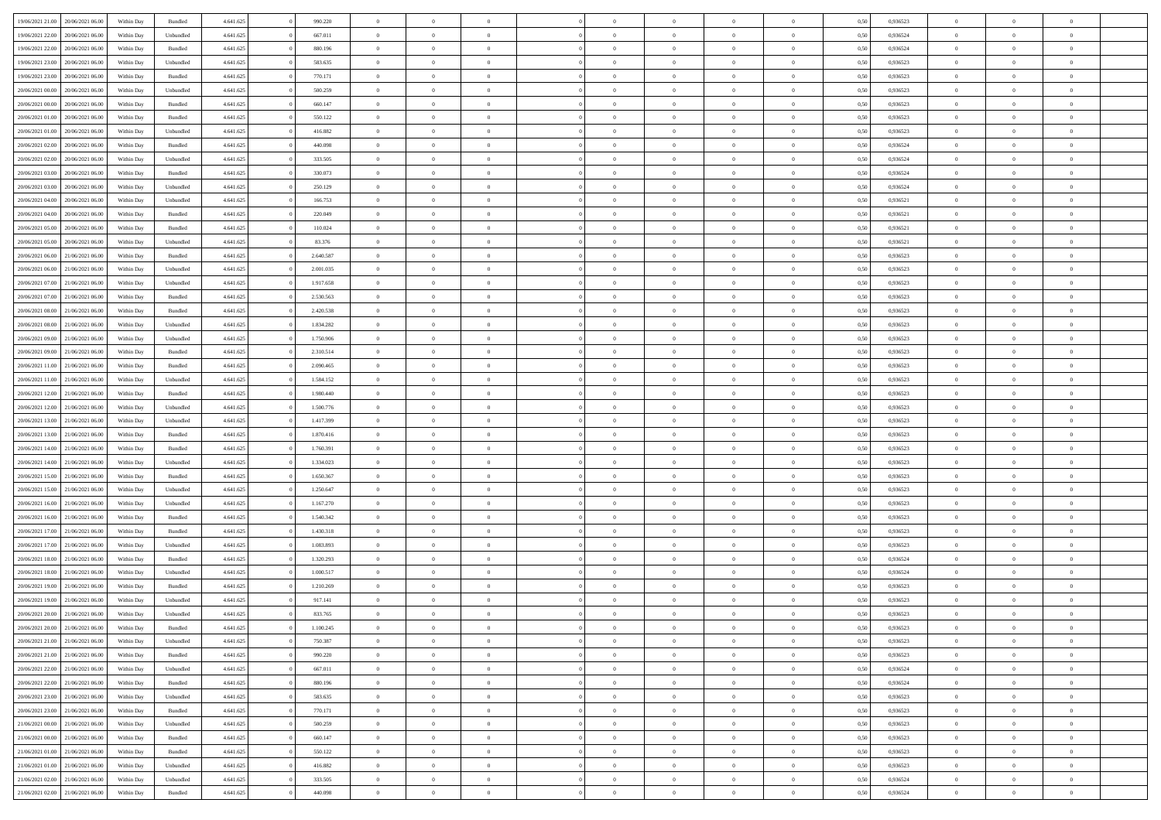| 19/06/2021 21:00                  | 20/06/2021 06:00 | Within Day | Bundled            | 4.641.625 | 990.220   | $\overline{0}$ | $\Omega$       |                | $\Omega$       | $\Omega$       | $\theta$       | $\theta$       | 0.50 | 0,936523 | $\theta$       | $\theta$       | $\theta$       |  |
|-----------------------------------|------------------|------------|--------------------|-----------|-----------|----------------|----------------|----------------|----------------|----------------|----------------|----------------|------|----------|----------------|----------------|----------------|--|
| 19/06/2021 22:00                  | 20/06/2021 06:00 | Within Day | Unbundled          | 4.641.625 | 667.011   | $\overline{0}$ | $\theta$       | $\overline{0}$ | $\overline{0}$ | $\bf{0}$       | $\overline{0}$ | $\bf{0}$       | 0,50 | 0,936524 | $\theta$       | $\overline{0}$ | $\overline{0}$ |  |
| 19/06/2021 22:00                  | 20/06/2021 06:00 | Within Day | Bundled            | 4.641.625 | 880.196   | $\overline{0}$ | $\bf{0}$       | $\overline{0}$ | $\bf{0}$       | $\bf{0}$       | $\bf{0}$       | $\mathbf{0}$   | 0,50 | 0,936524 | $\overline{0}$ | $\overline{0}$ | $\bf{0}$       |  |
| 19/06/2021 23:00                  | 20/06/2021 06:00 | Within Day | Unbundled          | 4.641.625 | 583.635   | $\overline{0}$ | $\overline{0}$ | $\overline{0}$ | $\overline{0}$ | $\bf{0}$       | $\overline{0}$ | $\overline{0}$ | 0.50 | 0.936523 | $\theta$       | $\theta$       | $\overline{0}$ |  |
| 19/06/2021 23:00                  | 20/06/2021 06:00 | Within Day | Bundled            | 4.641.625 | 770.171   | $\overline{0}$ | $\theta$       | $\overline{0}$ | $\overline{0}$ | $\bf{0}$       | $\overline{0}$ | $\bf{0}$       | 0,50 | 0,936523 | $\theta$       | $\overline{0}$ | $\overline{0}$ |  |
|                                   |                  |            |                    |           |           |                |                |                |                |                |                |                |      |          |                |                |                |  |
| 20/06/2021 00:00                  | 20/06/2021 06:00 | Within Day | Unbundled          | 4.641.625 | 500.259   | $\overline{0}$ | $\overline{0}$ | $\overline{0}$ | $\bf{0}$       | $\overline{0}$ | $\overline{0}$ | $\mathbf{0}$   | 0,50 | 0,936523 | $\overline{0}$ | $\overline{0}$ | $\bf{0}$       |  |
| 20/06/2021 00:00                  | 20/06/2021 06:00 | Within Dav | Bundled            | 4.641.625 | 660.147   | $\overline{0}$ | $\overline{0}$ | $\overline{0}$ | $\overline{0}$ | $\overline{0}$ | $\overline{0}$ | $\overline{0}$ | 0.50 | 0.936523 | $\theta$       | $\overline{0}$ | $\overline{0}$ |  |
| 20/06/2021 01:00                  | 20/06/2021 06:00 | Within Day | Bundled            | 4.641.625 | 550.122   | $\overline{0}$ | $\theta$       | $\overline{0}$ | $\overline{0}$ | $\bf{0}$       | $\overline{0}$ | $\bf{0}$       | 0,50 | 0,936523 | $\theta$       | $\theta$       | $\overline{0}$ |  |
| 20/06/2021 01:00                  | 20/06/2021 06:00 | Within Day | Unbundled          | 4.641.625 | 416.882   | $\overline{0}$ | $\overline{0}$ | $\overline{0}$ | $\bf{0}$       | $\bf{0}$       | $\bf{0}$       | $\bf{0}$       | 0,50 | 0,936523 | $\,0\,$        | $\overline{0}$ | $\overline{0}$ |  |
| 20/06/2021 02:00                  | 20/06/2021 06:00 | Within Dav | Bundled            | 4.641.625 | 440.098   | $\overline{0}$ | $\overline{0}$ | $\overline{0}$ | $\overline{0}$ | $\overline{0}$ | $\overline{0}$ | $\overline{0}$ | 0.50 | 0,936524 | $\theta$       | $\overline{0}$ | $\overline{0}$ |  |
| 20/06/2021 02:00                  | 20/06/2021 06:00 | Within Day | Unbundled          | 4.641.625 | 333.505   | $\overline{0}$ | $\theta$       | $\overline{0}$ | $\overline{0}$ | $\bf{0}$       | $\overline{0}$ | $\bf{0}$       | 0,50 | 0,936524 | $\,$ 0 $\,$    | $\overline{0}$ | $\overline{0}$ |  |
| 20/06/2021 03:00                  | 20/06/2021 06:00 | Within Day | Bundled            | 4.641.625 | 330.073   | $\overline{0}$ | $\bf{0}$       | $\overline{0}$ | $\bf{0}$       | $\bf{0}$       | $\bf{0}$       | $\mathbf{0}$   | 0,50 | 0,936524 | $\overline{0}$ | $\overline{0}$ | $\bf{0}$       |  |
|                                   |                  |            |                    |           |           |                |                |                |                |                |                |                |      |          |                |                |                |  |
| 20/06/2021 03:00                  | 20/06/2021 06:00 | Within Day | Unbundled          | 4.641.625 | 250.129   | $\overline{0}$ | $\overline{0}$ | $\overline{0}$ | $\overline{0}$ | $\bf{0}$       | $\overline{0}$ | $\overline{0}$ | 0.50 | 0.936524 | $\theta$       | $\theta$       | $\overline{0}$ |  |
| 20/06/2021 04:00                  | 20/06/2021 06:00 | Within Day | Unbundled          | 4.641.625 | 166.753   | $\overline{0}$ | $\theta$       | $\overline{0}$ | $\overline{0}$ | $\bf{0}$       | $\overline{0}$ | $\bf{0}$       | 0,50 | 0,936521 | $\theta$       | $\overline{0}$ | $\overline{0}$ |  |
| 20/06/2021 04:00                  | 20/06/2021 06:00 | Within Day | Bundled            | 4.641.625 | 220.049   | $\overline{0}$ | $\overline{0}$ | $\overline{0}$ | $\bf{0}$       | $\overline{0}$ | $\overline{0}$ | $\mathbf{0}$   | 0,50 | 0,936521 | $\bf{0}$       | $\overline{0}$ | $\bf{0}$       |  |
| 20/06/2021 05:00                  | 20/06/2021 06:00 | Within Dav | Bundled            | 4.641.625 | 110.024   | $\overline{0}$ | $\overline{0}$ | $\overline{0}$ | $\overline{0}$ | $\overline{0}$ | $\overline{0}$ | $\overline{0}$ | 0.50 | 0,936521 | $\theta$       | $\overline{0}$ | $\overline{0}$ |  |
| 20/06/2021 05:00                  | 20/06/2021 06:00 | Within Day | Unbundled          | 4.641.625 | 83.376    | $\overline{0}$ | $\theta$       | $\overline{0}$ | $\overline{0}$ | $\bf{0}$       | $\overline{0}$ | $\bf{0}$       | 0,50 | 0,936521 | $\theta$       | $\theta$       | $\overline{0}$ |  |
| 20/06/2021 06:00                  | 21/06/2021 06:00 | Within Day | Bundled            | 4.641.625 | 2.640.587 | $\overline{0}$ | $\overline{0}$ | $\overline{0}$ | $\bf{0}$       | $\bf{0}$       | $\bf{0}$       | $\mathbf{0}$   | 0,50 | 0,936523 | $\,0\,$        | $\overline{0}$ | $\overline{0}$ |  |
| 20/06/2021 06:00                  | 21/06/2021 06:00 | Within Day | Unbundled          | 4.641.625 | 2.001.035 | $\overline{0}$ | $\overline{0}$ | $\overline{0}$ | $\overline{0}$ | $\overline{0}$ | $\overline{0}$ | $\overline{0}$ | 0.50 | 0.936523 | $\theta$       | $\overline{0}$ | $\overline{0}$ |  |
| 20/06/2021 07:00                  | 21/06/2021 06:00 | Within Day | Unbundled          | 4.641.625 | 1.917.658 | $\overline{0}$ | $\theta$       | $\overline{0}$ | $\overline{0}$ | $\bf{0}$       | $\overline{0}$ | $\bf{0}$       | 0,50 | 0,936523 | $\,$ 0 $\,$    | $\overline{0}$ | $\overline{0}$ |  |
|                                   |                  |            |                    |           |           |                |                |                |                |                |                |                |      |          |                |                |                |  |
| 20/06/2021 07:00                  | 21/06/2021 06:00 | Within Day | Bundled            | 4.641.625 | 2.530.563 | $\overline{0}$ | $\overline{0}$ | $\overline{0}$ | $\bf{0}$       | $\bf{0}$       | $\bf{0}$       | $\mathbf{0}$   | 0,50 | 0,936523 | $\bf{0}$       | $\overline{0}$ | $\bf{0}$       |  |
| 20/06/2021 08:00                  | 21/06/2021 06:00 | Within Day | Bundled            | 4.641.625 | 2.420.538 | $\overline{0}$ | $\overline{0}$ | $\overline{0}$ | $\overline{0}$ | $\bf{0}$       | $\overline{0}$ | $\overline{0}$ | 0.50 | 0.936523 | $\theta$       | $\overline{0}$ | $\overline{0}$ |  |
| 20/06/2021 08:00                  | 21/06/2021 06:00 | Within Day | Unbundled          | 4.641.625 | 1.834.282 | $\overline{0}$ | $\theta$       | $\overline{0}$ | $\overline{0}$ | $\bf{0}$       | $\overline{0}$ | $\bf{0}$       | 0,50 | 0,936523 | $\theta$       | $\overline{0}$ | $\overline{0}$ |  |
| 20/06/2021 09:00                  | 21/06/2021 06:00 | Within Day | Unbundled          | 4.641.625 | 1.750.906 | $\overline{0}$ | $\overline{0}$ | $\overline{0}$ | $\bf{0}$       | $\overline{0}$ | $\overline{0}$ | $\mathbf{0}$   | 0,50 | 0,936523 | $\bf{0}$       | $\overline{0}$ | $\bf{0}$       |  |
| 20/06/2021 09:00                  | 21/06/2021 06:00 | Within Dav | Bundled            | 4.641.625 | 2.310.514 | $\overline{0}$ | $\overline{0}$ | $\overline{0}$ | $\overline{0}$ | $\overline{0}$ | $\overline{0}$ | $\overline{0}$ | 0.50 | 0.936523 | $\theta$       | $\overline{0}$ | $\overline{0}$ |  |
| 20/06/2021 11:00                  | 21/06/2021 06:00 | Within Day | Bundled            | 4.641.625 | 2.090.465 | $\overline{0}$ | $\theta$       | $\overline{0}$ | $\overline{0}$ | $\bf{0}$       | $\overline{0}$ | $\bf{0}$       | 0,50 | 0,936523 | $\theta$       | $\theta$       | $\overline{0}$ |  |
| 20/06/2021 11:00                  | 21/06/2021 06:00 | Within Day | Unbundled          | 4.641.625 | 1.584.152 | $\overline{0}$ | $\overline{0}$ | $\overline{0}$ | $\bf{0}$       | $\bf{0}$       | $\bf{0}$       | $\bf{0}$       | 0,50 | 0,936523 | $\,0\,$        | $\overline{0}$ | $\overline{0}$ |  |
| 20/06/2021 12:00                  | 21/06/2021 06:00 | Within Day | Bundled            | 4.641.625 | 1.980.440 | $\overline{0}$ | $\overline{0}$ | $\overline{0}$ | $\overline{0}$ | $\overline{0}$ | $\overline{0}$ | $\overline{0}$ | 0.50 | 0.936523 | $\theta$       | $\overline{0}$ | $\overline{0}$ |  |
|                                   |                  |            |                    |           |           |                |                |                |                |                |                |                |      |          |                |                |                |  |
| 20/06/2021 12:00                  | 21/06/2021 06:00 | Within Day | Unbundled          | 4.641.625 | 1.500.776 | $\overline{0}$ | $\theta$       | $\overline{0}$ | $\overline{0}$ | $\bf{0}$       | $\overline{0}$ | $\bf{0}$       | 0,50 | 0,936523 | $\,$ 0 $\,$    | $\overline{0}$ | $\overline{0}$ |  |
| 20/06/2021 13:00                  | 21/06/2021 06:00 | Within Day | Unbundled          | 4.641.625 | 1.417.399 | $\overline{0}$ | $\overline{0}$ | $\overline{0}$ | $\bf{0}$       | $\bf{0}$       | $\bf{0}$       | $\bf{0}$       | 0,50 | 0,936523 | $\overline{0}$ | $\overline{0}$ | $\bf{0}$       |  |
| 20/06/2021 13:00                  | 21/06/2021 06:00 | Within Day | Bundled            | 4.641.625 | 1.870.416 | $\overline{0}$ | $\Omega$       | $\Omega$       | $\Omega$       | $\Omega$       | $\overline{0}$ | $\overline{0}$ | 0,50 | 0,936523 | $\,0\,$        | $\theta$       | $\theta$       |  |
| 20/06/2021 14:00                  | 21/06/2021 06:00 | Within Day | Bundled            | 4.641.625 | 1.760.391 | $\overline{0}$ | $\theta$       | $\overline{0}$ | $\overline{0}$ | $\bf{0}$       | $\overline{0}$ | $\bf{0}$       | 0,50 | 0,936523 | $\theta$       | $\overline{0}$ | $\overline{0}$ |  |
| 20/06/2021 14:00                  | 21/06/2021 06:00 | Within Day | Unbundled          | 4.641.625 | 1.334.023 | $\overline{0}$ | $\overline{0}$ | $\overline{0}$ | $\bf{0}$       | $\overline{0}$ | $\overline{0}$ | $\mathbf{0}$   | 0,50 | 0,936523 | $\overline{0}$ | $\overline{0}$ | $\bf{0}$       |  |
| 20/06/2021 15:00                  | 21/06/2021 06:00 | Within Day | Bundled            | 4.641.625 | 1.650.367 | $\overline{0}$ | $\Omega$       | $\Omega$       | $\Omega$       | $\bf{0}$       | $\overline{0}$ | $\overline{0}$ | 0.50 | 0.936523 | $\,0\,$        | $\theta$       | $\theta$       |  |
| 20/06/2021 15:00                  | 21/06/2021 06:00 | Within Day | Unbundled          | 4.641.625 | 1.250.647 | $\overline{0}$ | $\theta$       | $\overline{0}$ | $\overline{0}$ | $\bf{0}$       | $\overline{0}$ | $\bf{0}$       | 0,50 | 0,936523 | $\theta$       | $\overline{0}$ | $\overline{0}$ |  |
| 20/06/2021 16:00                  | 21/06/2021 06:00 | Within Day | Unbundled          | 4.641.625 | 1.167.270 | $\overline{0}$ | $\overline{0}$ | $\overline{0}$ | $\bf{0}$       | $\bf{0}$       | $\bf{0}$       | $\bf{0}$       | 0,50 | 0,936523 | $\bf{0}$       | $\overline{0}$ | $\bf{0}$       |  |
| 20/06/2021 16:00                  | 21/06/2021 06:00 | Within Day | Bundled            | 4.641.625 | 1.540.342 | $\overline{0}$ | $\Omega$       | $\Omega$       | $\Omega$       | $\theta$       | $\overline{0}$ | $\overline{0}$ | 0.50 | 0.936523 | $\,$ 0 $\,$    | $\theta$       | $\theta$       |  |
|                                   |                  |            |                    |           |           |                |                |                |                |                |                |                |      |          |                |                |                |  |
| 20/06/2021 17:00                  | 21/06/2021 06:00 | Within Day | Bundled            | 4.641.625 | 1.430.318 | $\overline{0}$ | $\theta$       | $\overline{0}$ | $\overline{0}$ | $\,$ 0         | $\overline{0}$ | $\bf{0}$       | 0,50 | 0,936523 | $\,$ 0 $\,$    | $\overline{0}$ | $\overline{0}$ |  |
| 20/06/2021 17:00                  | 21/06/2021 06:00 | Within Day | Unbundled          | 4.641.625 | 1.083.893 | $\overline{0}$ | $\bf{0}$       | $\overline{0}$ | $\bf{0}$       | $\bf{0}$       | $\bf{0}$       | $\mathbf{0}$   | 0,50 | 0,936523 | $\overline{0}$ | $\overline{0}$ | $\bf{0}$       |  |
| 20/06/2021 18:00                  | 21/06/2021 06:00 | Within Day | Bundled            | 4.641.625 | 1.320.293 | $\overline{0}$ | $\Omega$       | $\overline{0}$ | $\Omega$       | $\overline{0}$ | $\overline{0}$ | $\overline{0}$ | 0.50 | 0,936524 | $\,0\,$        | $\theta$       | $\theta$       |  |
| 20/06/2021 18:00                  | 21/06/2021 06:00 | Within Day | Unbundled          | 4.641.625 | 1.000.517 | $\overline{0}$ | $\overline{0}$ | $\overline{0}$ | $\overline{0}$ | $\,$ 0         | $\overline{0}$ | $\bf{0}$       | 0,50 | 0,936524 | $\,$ 0 $\,$    | $\overline{0}$ | $\overline{0}$ |  |
| 20/06/2021 19:00                  | 21/06/2021 06:00 | Within Day | Bundled            | 4.641.625 | 1.210.269 | $\overline{0}$ | $\overline{0}$ | $\overline{0}$ | $\bf{0}$       | $\bf{0}$       | $\bf{0}$       | $\mathbf{0}$   | 0,50 | 0,936523 | $\bf{0}$       | $\overline{0}$ | $\bf{0}$       |  |
| 20/06/2021 19:00                  | 21/06/2021 06:00 | Within Day | Unbundled          | 4.641.625 | 917.141   | $\overline{0}$ | $\Omega$       | $\Omega$       | $\Omega$       | $\Omega$       | $\Omega$       | $\overline{0}$ | 0.50 | 0.936523 | $\theta$       | $\theta$       | $\theta$       |  |
| 20/06/2021 20:00                  | 21/06/2021 06:00 | Within Day | Unbundled          | 4.641.625 | 833.765   | $\overline{0}$ | $\overline{0}$ | $\overline{0}$ | $\bf{0}$       | $\,$ 0         | $\bf{0}$       | $\bf{0}$       | 0,50 | 0,936523 | $\,0\,$        | $\,$ 0 $\,$    | $\overline{0}$ |  |
| 20/06/2021 20:00                  | 21/06/2021 06:00 | Within Day | $\mathbf B$ undled | 4.641.625 | 1.100.245 | $\bf{0}$       | $\bf{0}$       |                |                |                |                |                | 0,50 | 0,936523 | $\bf{0}$       | $\overline{0}$ |                |  |
|                                   |                  |            |                    |           |           |                |                |                | $\Omega$       |                |                |                |      |          | $\theta$       |                | $\theta$       |  |
| 20/06/2021 21:00                  | 21/06/2021 06:00 | Within Day | Unbundled          | 4.641.625 | 750,387   | $\overline{0}$ | $\overline{0}$ | $\overline{0}$ |                | $\overline{0}$ | $\overline{0}$ | $\overline{0}$ | 0.50 | 0.936523 |                | $\theta$       |                |  |
| 20/06/2021 21:00                  | 21/06/2021 06:00 | Within Day | Bundled            | 4.641.625 | 990.220   | $\overline{0}$ | $\,$ 0         | $\overline{0}$ | $\bf{0}$       | $\,$ 0 $\,$    | $\overline{0}$ | $\,$ 0 $\,$    | 0,50 | 0,936523 | $\,$ 0 $\,$    | $\,$ 0 $\,$    | $\,$ 0         |  |
| 20/06/2021 22.00                  | 21/06/2021 06:00 | Within Day | Unbundled          | 4.641.625 | 667.011   | $\overline{0}$ | $\overline{0}$ | $\overline{0}$ | $\overline{0}$ | $\overline{0}$ | $\overline{0}$ | $\mathbf{0}$   | 0,50 | 0,936524 | $\overline{0}$ | $\bf{0}$       | $\bf{0}$       |  |
| 20/06/2021 22:00                  | 21/06/2021 06:00 | Within Day | $\mathbf B$ undled | 4.641.625 | 880.196   | $\overline{0}$ | $\overline{0}$ | $\overline{0}$ | $\Omega$       | $\overline{0}$ | $\overline{0}$ | $\overline{0}$ | 0,50 | 0,936524 | $\overline{0}$ | $\theta$       | $\overline{0}$ |  |
| 20/06/2021 23:00                  | 21/06/2021 06:00 | Within Day | Unbundled          | 4.641.625 | 583.635   | $\overline{0}$ | $\,$ 0         | $\overline{0}$ | $\overline{0}$ | $\,$ 0 $\,$    | $\overline{0}$ | $\mathbf{0}$   | 0,50 | 0,936523 | $\,$ 0 $\,$    | $\overline{0}$ | $\overline{0}$ |  |
| 20/06/2021 23:00                  | 21/06/2021 06:00 | Within Day | Bundled            | 4.641.625 | 770.171   | $\overline{0}$ | $\overline{0}$ | $\overline{0}$ | $\overline{0}$ | $\overline{0}$ | $\overline{0}$ | $\mathbf{0}$   | 0,50 | 0,936523 | $\overline{0}$ | $\overline{0}$ | $\bf{0}$       |  |
| 21/06/2021 00:00                  | 21/06/2021 06:00 | Within Day | Unbundled          | 4.641.625 | 500.259   | $\overline{0}$ | $\overline{0}$ | $\overline{0}$ | $\Omega$       | $\overline{0}$ | $\overline{0}$ | $\bf{0}$       | 0.50 | 0,936523 | $\overline{0}$ | $\theta$       | $\overline{0}$ |  |
| 21/06/2021 00:00                  | 21/06/2021 06:00 | Within Day | Bundled            | 4.641.625 | 660.147   | $\overline{0}$ | $\,$ 0         | $\overline{0}$ | $\bf{0}$       | $\bf{0}$       | $\bf{0}$       | $\bf{0}$       | 0,50 | 0,936523 | $\,$ 0 $\,$    | $\overline{0}$ | $\overline{0}$ |  |
|                                   |                  |            |                    |           |           |                |                |                |                |                |                |                |      |          |                |                |                |  |
| 21/06/2021 01:00                  | 21/06/2021 06:00 | Within Day | Bundled            | 4.641.625 | 550.122   | $\overline{0}$ | $\bf{0}$       | $\overline{0}$ | $\overline{0}$ | $\overline{0}$ | $\overline{0}$ | $\mathbf{0}$   | 0,50 | 0,936523 | $\overline{0}$ | $\overline{0}$ | $\bf{0}$       |  |
| 21/06/2021 01:00                  | 21/06/2021 06:00 | Within Day | Unbundled          | 4.641.625 | 416.882   | $\overline{0}$ | $\overline{0}$ | $\overline{0}$ | $\Omega$       | $\overline{0}$ | $\overline{0}$ | $\overline{0}$ | 0.50 | 0.936523 | $\overline{0}$ | $\theta$       | $\overline{0}$ |  |
| 21/06/2021 02:00                  | 21/06/2021 06:00 | Within Day | Unbundled          | 4.641.625 | 333.505   | $\overline{0}$ | $\bf{0}$       | $\overline{0}$ | $\overline{0}$ | $\bf{0}$       | $\bf{0}$       | $\bf{0}$       | 0,50 | 0,936524 | $\,$ 0 $\,$    | $\,$ 0 $\,$    | $\bf{0}$       |  |
| 21/06/2021 02.00 21/06/2021 06.00 |                  | Within Day | Bundled            | 4.641.625 | 440.098   | $\overline{0}$ | $\bf{0}$       | $\overline{0}$ | $\bf{0}$       | $\bf{0}$       | $\bf{0}$       | $\bf{0}$       | 0,50 | 0,936524 | $\overline{0}$ | $\overline{0}$ | $\bf{0}$       |  |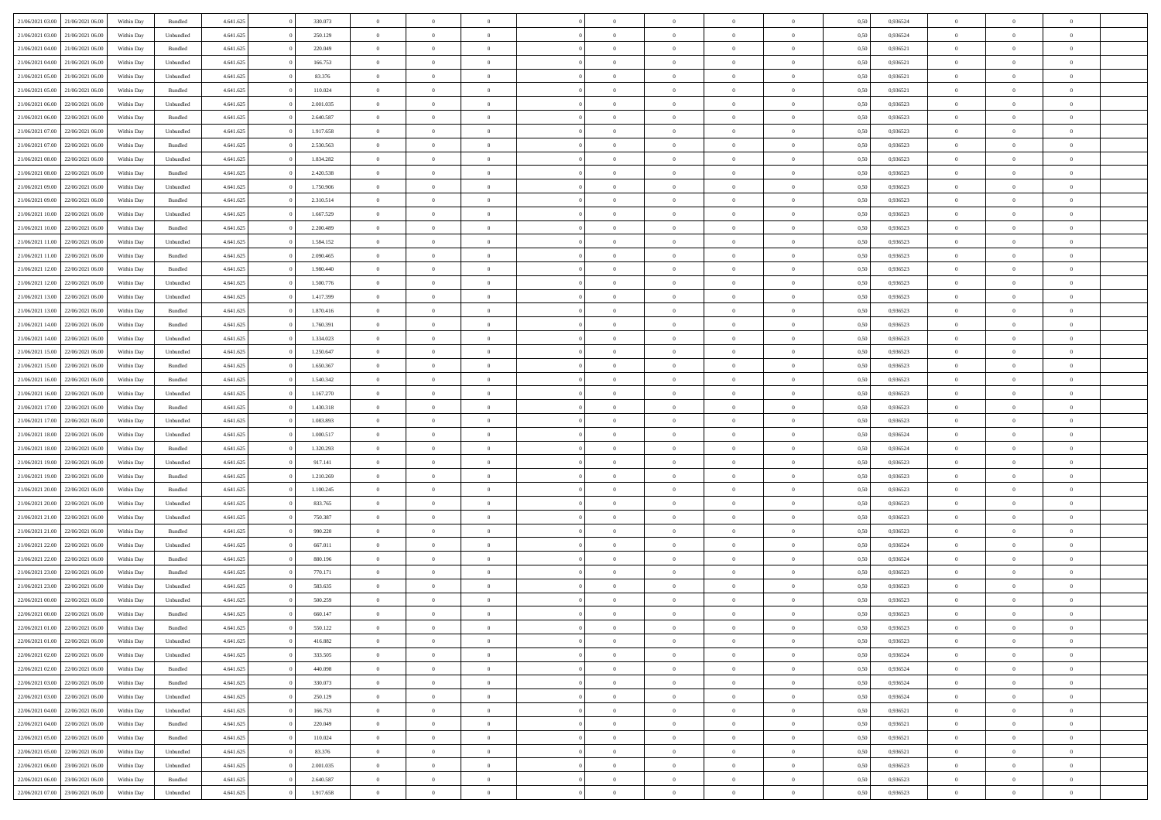| 21/06/2021 03:00 21/06/2021 06:00 |                  | Within Day | Bundled            | 4.641.625 | 330.073   | $\overline{0}$ | $\theta$       |                | $\overline{0}$ | $\bf{0}$       | $\overline{0}$ | $\theta$       | 0,50 | 0,936524 | $\theta$       | $\theta$       | $\theta$       |  |
|-----------------------------------|------------------|------------|--------------------|-----------|-----------|----------------|----------------|----------------|----------------|----------------|----------------|----------------|------|----------|----------------|----------------|----------------|--|
|                                   |                  |            |                    |           |           | $\overline{0}$ |                | $\overline{0}$ |                |                |                |                |      |          |                |                | $\overline{0}$ |  |
| 21/06/2021 03:00                  | 21/06/2021 06.00 | Within Day | Unbundled          | 4.641.625 | 250.129   |                | $\overline{0}$ |                | $\overline{0}$ | $\,$ 0         | $\bf{0}$       | $\bf{0}$       | 0,50 | 0,936524 | $\,$ 0 $\,$    | $\overline{0}$ |                |  |
| 21/06/2021 04:00                  | 21/06/2021 06:00 | Within Day | Bundled            | 4.641.625 | 220.049   | $\overline{0}$ | $\overline{0}$ | $\overline{0}$ | $\overline{0}$ | $\bf{0}$       | $\overline{0}$ | $\mathbf{0}$   | 0.50 | 0.936521 | $\bf{0}$       | $\overline{0}$ | $\bf{0}$       |  |
| 21/06/2021 04:00                  | 21/06/2021 06:00 | Within Day | Unbundled          | 4.641.625 | 166.753   | $\overline{0}$ | $\overline{0}$ | $\overline{0}$ | $\overline{0}$ | $\,0\,$        | $\overline{0}$ | $\overline{0}$ | 0,50 | 0,936521 | $\,$ 0 $\,$    | $\overline{0}$ | $\overline{0}$ |  |
| 21/06/2021 05:00                  | 21/06/2021 06.00 | Within Day | Unbundled          | 4.641.625 | 83.376    | $\overline{0}$ | $\theta$       | $\overline{0}$ | $\overline{0}$ | $\,$ 0         | $\overline{0}$ | $\bf{0}$       | 0,50 | 0,936521 | $\,$ 0 $\,$    | $\overline{0}$ | $\overline{0}$ |  |
| 21/06/2021 05:00                  | 21/06/2021 06:00 | Within Day | Bundled            | 4.641.625 | 110.024   | $\overline{0}$ | $\overline{0}$ | $\overline{0}$ | $\overline{0}$ | $\bf{0}$       | $\overline{0}$ | $\bf{0}$       | 0.50 | 0.936521 | $\,0\,$        | $\overline{0}$ | $\overline{0}$ |  |
| 21/06/2021 06:00                  | 22/06/2021 06:00 | Within Day | Unbundled          | 4.641.625 | 2.001.035 | $\overline{0}$ | $\overline{0}$ | $\overline{0}$ | $\overline{0}$ | $\bf{0}$       | $\overline{0}$ | $\bf{0}$       | 0,50 | 0,936523 | $\,$ 0 $\,$    | $\theta$       | $\overline{0}$ |  |
| 21/06/2021 06:00                  | 22/06/2021 06.00 | Within Day | Bundled            | 4.641.625 | 2.640.587 | $\overline{0}$ | $\overline{0}$ | $\overline{0}$ | $\overline{0}$ | $\,$ 0         | $\bf{0}$       | $\bf{0}$       | 0,50 | 0,936523 | $\,$ 0 $\,$    | $\overline{0}$ | $\overline{0}$ |  |
| 21/06/2021 07:00                  | 22/06/2021 06:00 | Within Day | Unbundled          | 4.641.625 | 1.917.658 | $\overline{0}$ | $\overline{0}$ | $\overline{0}$ | $\overline{0}$ | $\bf{0}$       | $\overline{0}$ | $\bf{0}$       | 0.50 | 0.936523 | $\bf{0}$       | $\overline{0}$ | $\bf{0}$       |  |
| 21/06/2021 07:00                  | 22/06/2021 06:00 | Within Day | Bundled            | 4.641.625 | 2.530.563 | $\overline{0}$ | $\overline{0}$ | $\overline{0}$ | $\overline{0}$ | $\bf{0}$       | $\overline{0}$ | $\bf{0}$       | 0,50 | 0,936523 | $\,$ 0 $\,$    | $\overline{0}$ | $\overline{0}$ |  |
|                                   |                  |            |                    |           |           |                |                |                |                |                |                |                |      |          |                |                |                |  |
| 21/06/2021 08:00                  | 22/06/2021 06.00 | Within Day | Unbundled          | 4.641.625 | 1.834.282 | $\overline{0}$ | $\overline{0}$ | $\overline{0}$ | $\overline{0}$ | $\,$ 0         | $\bf{0}$       | $\bf{0}$       | 0,50 | 0,936523 | $\,$ 0 $\,$    | $\overline{0}$ | $\overline{0}$ |  |
| 21/06/2021 08:00                  | 22/06/2021 06:00 | Within Day | Bundled            | 4.641.625 | 2.420.538 | $\overline{0}$ | $\overline{0}$ | $\overline{0}$ | $\overline{0}$ | $\bf{0}$       | $\overline{0}$ | $\mathbf{0}$   | 0.50 | 0.936523 | $\overline{0}$ | $\,$ 0 $\,$    | $\bf{0}$       |  |
| 21/06/2021 09:00                  | 22/06/2021 06:00 | Within Day | Unbundled          | 4.641.625 | 1.750.906 | $\overline{0}$ | $\overline{0}$ | $\overline{0}$ | $\overline{0}$ | $\bf{0}$       | $\overline{0}$ | $\overline{0}$ | 0,50 | 0,936523 | $\,$ 0 $\,$    | $\overline{0}$ | $\overline{0}$ |  |
| 21/06/2021 09:00                  | 22/06/2021 06.00 | Within Day | Bundled            | 4.641.625 | 2.310.514 | $\overline{0}$ | $\theta$       | $\overline{0}$ | $\overline{0}$ | $\,$ 0         | $\overline{0}$ | $\bf{0}$       | 0,50 | 0,936523 | $\,$ 0 $\,$    | $\overline{0}$ | $\overline{0}$ |  |
| 21/06/2021 10:00                  | 22/06/2021 06:00 | Within Day | Unbundled          | 4.641.625 | 1.667.529 | $\overline{0}$ | $\overline{0}$ | $\overline{0}$ | $\overline{0}$ | $\bf{0}$       | $\overline{0}$ | $\bf{0}$       | 0.50 | 0.936523 | $\theta$       | $\theta$       | $\overline{0}$ |  |
| 21/06/2021 10:00                  | 22/06/2021 06:00 | Within Day | Bundled            | 4.641.625 | 2.200.489 | $\overline{0}$ | $\overline{0}$ | $\overline{0}$ | $\overline{0}$ | $\bf{0}$       | $\overline{0}$ | $\bf{0}$       | 0,50 | 0,936523 | $\,$ 0 $\,$    | $\theta$       | $\overline{0}$ |  |
| 21/06/2021 11:00                  | 22/06/2021 06.00 | Within Day | Unbundled          | 4.641.625 | 1.584.152 | $\overline{0}$ | $\overline{0}$ | $\overline{0}$ | $\overline{0}$ | $\,$ 0         | $\overline{0}$ | $\bf{0}$       | 0,50 | 0,936523 | $\,$ 0 $\,$    | $\overline{0}$ | $\overline{0}$ |  |
| 21/06/2021 11:00                  | 22/06/2021 06:00 | Within Day | Bundled            | 4.641.625 | 2.090,465 | $\overline{0}$ | $\overline{0}$ | $\overline{0}$ | $\overline{0}$ | $\bf{0}$       | $\overline{0}$ | $\mathbf{0}$   | 0.50 | 0.936523 | $\bf{0}$       | $\overline{0}$ | $\bf{0}$       |  |
| 21/06/2021 12:00                  | 22/06/2021 06:00 | Within Day | Bundled            | 4.641.625 | 1.980.440 | $\overline{0}$ | $\overline{0}$ | $\overline{0}$ | $\overline{0}$ | $\bf{0}$       | $\overline{0}$ | $\bf{0}$       | 0,50 | 0,936523 | $\,$ 0 $\,$    | $\overline{0}$ | $\overline{0}$ |  |
| 21/06/2021 12:00                  | 22/06/2021 06.00 | Within Day | Unbundled          | 4.641.625 | 1.500.776 | $\overline{0}$ | $\overline{0}$ | $\overline{0}$ | $\overline{0}$ | $\bf{0}$       | $\bf{0}$       | $\bf{0}$       | 0,50 | 0,936523 | $\,$ 0 $\,$    | $\overline{0}$ | $\overline{0}$ |  |
|                                   |                  |            |                    |           |           |                |                |                |                |                |                |                |      |          |                |                |                |  |
| 21/06/2021 13:00                  | 22/06/2021 06:00 | Within Day | Unbundled          | 4.641.625 | 1.417.399 | $\overline{0}$ | $\overline{0}$ | $\overline{0}$ | $\overline{0}$ | $\bf{0}$       | $\overline{0}$ | $\mathbf{0}$   | 0.50 | 0.936523 | $\,$ 0 $\,$    | $\overline{0}$ | $\bf{0}$       |  |
| 21/06/2021 13:00                  | 22/06/2021 06:00 | Within Day | Bundled            | 4.641.625 | 1.870.416 | $\overline{0}$ | $\overline{0}$ | $\overline{0}$ | $\overline{0}$ | $\bf{0}$       | $\overline{0}$ | $\overline{0}$ | 0,50 | 0,936523 | $\,$ 0 $\,$    | $\overline{0}$ | $\overline{0}$ |  |
| 21/06/2021 14:00                  | 22/06/2021 06.00 | Within Day | Bundled            | 4.641.625 | 1.760.391 | $\overline{0}$ | $\overline{0}$ | $\overline{0}$ | $\overline{0}$ | $\,$ 0         | $\overline{0}$ | $\bf{0}$       | 0,50 | 0,936523 | $\,$ 0 $\,$    | $\overline{0}$ | $\overline{0}$ |  |
| 21/06/2021 14:00                  | 22/06/2021 06:00 | Within Day | Unbundled          | 4.641.625 | 1.334.023 | $\overline{0}$ | $\overline{0}$ | $\overline{0}$ | $\overline{0}$ | $\bf{0}$       | $\overline{0}$ | $\bf{0}$       | 0.50 | 0.936523 | $\,0\,$        | $\overline{0}$ | $\overline{0}$ |  |
| 21/06/2021 15:00                  | 22/06/2021 06:00 | Within Day | Unbundled          | 4.641.625 | 1.250.647 | $\overline{0}$ | $\overline{0}$ | $\overline{0}$ | $\overline{0}$ | $\bf{0}$       | $\overline{0}$ | $\bf{0}$       | 0,50 | 0,936523 | $\,$ 0 $\,$    | $\theta$       | $\overline{0}$ |  |
| 21/06/2021 15:00                  | 22/06/2021 06.00 | Within Day | Bundled            | 4.641.625 | 1.650.367 | $\overline{0}$ | $\theta$       | $\overline{0}$ | $\overline{0}$ | $\,$ 0         | $\overline{0}$ | $\bf{0}$       | 0,50 | 0,936523 | $\,$ 0 $\,$    | $\overline{0}$ | $\overline{0}$ |  |
| 21/06/2021 16:00                  | 22/06/2021 06:00 | Within Day | Bundled            | 4.641.625 | 1.540.342 | $\overline{0}$ | $\overline{0}$ | $\overline{0}$ | $\overline{0}$ | $\bf{0}$       | $\overline{0}$ | $\bf{0}$       | 0.50 | 0.936523 | $\bf{0}$       | $\overline{0}$ | $\bf{0}$       |  |
| 21/06/2021 16:00                  | 22/06/2021 06:00 | Within Day | Unbundled          | 4.641.625 | 1.167.270 | $\overline{0}$ | $\overline{0}$ | $\overline{0}$ | $\overline{0}$ | $\bf{0}$       | $\overline{0}$ | $\bf{0}$       | 0,50 | 0,936523 | $\,$ 0 $\,$    | $\overline{0}$ | $\overline{0}$ |  |
| 21/06/2021 17:00                  | 22/06/2021 06.00 | Within Day | Bundled            | 4.641.625 | 1.430.318 | $\bf{0}$       | $\overline{0}$ | $\overline{0}$ | $\overline{0}$ | $\bf{0}$       | $\bf{0}$       | $\bf{0}$       | 0,50 | 0,936523 | $\,$ 0 $\,$    | $\overline{0}$ | $\overline{0}$ |  |
| 21/06/2021 17:00                  | 22/06/2021 06:00 | Within Day | Unbundled          | 4.641.625 | 1.083.893 | $\overline{0}$ | $\overline{0}$ | $\overline{0}$ | $\overline{0}$ | $\bf{0}$       | $\overline{0}$ | $\mathbf{0}$   | 0.50 | 0.936523 | $\overline{0}$ | $\,$ 0 $\,$    | $\bf{0}$       |  |
| 21/06/2021 18:00                  | 22/06/2021 06:00 | Within Dav | Unbundled          | 4.641.625 | 1.000.517 | $\overline{0}$ | $\overline{0}$ | $\overline{0}$ | $\overline{0}$ | $\overline{0}$ | $\overline{0}$ | $\overline{0}$ | 0.50 | 0,936524 | $\theta$       | $\overline{0}$ | $\overline{0}$ |  |
|                                   |                  |            |                    |           |           | $\overline{0}$ | $\overline{0}$ | $\overline{0}$ | $\overline{0}$ | $\,$ 0         | $\overline{0}$ |                |      |          | $\,$ 0 $\,$    | $\overline{0}$ | $\overline{0}$ |  |
| 21/06/2021 18:00                  | 22/06/2021 06.00 | Within Day | Bundled            | 4.641.625 | 1.320.293 |                |                |                |                |                |                | $\bf{0}$       | 0,50 | 0,936524 |                |                |                |  |
| 21/06/2021 19:00                  | 22/06/2021 06:00 | Within Day | Unbundled          | 4.641.625 | 917.141   | $\overline{0}$ | $\overline{0}$ | $\overline{0}$ | $\overline{0}$ | $\bf{0}$       | $\overline{0}$ | $\bf{0}$       | 0.50 | 0.936523 | $\,0\,$        | $\theta$       | $\overline{0}$ |  |
| 21/06/2021 19:00                  | 22/06/2021 06:00 | Within Dav | Bundled            | 4.641.625 | 1.210.269 | $\overline{0}$ | $\overline{0}$ | $\Omega$       | $\overline{0}$ | $\mathbf{0}$   | $\overline{0}$ | $\overline{0}$ | 0,50 | 0.936523 | $\theta$       | $\overline{0}$ | $\overline{0}$ |  |
| 21/06/2021 20:00                  | 22/06/2021 06.00 | Within Day | Bundled            | 4.641.625 | 1.100.245 | $\overline{0}$ | $\overline{0}$ | $\overline{0}$ | $\overline{0}$ | $\,$ 0         | $\bf{0}$       | $\bf{0}$       | 0,50 | 0,936523 | $\,$ 0 $\,$    | $\overline{0}$ | $\overline{0}$ |  |
| 21/06/2021 20:00                  | 22/06/2021 06:00 | Within Day | Unbundled          | 4.641.625 | 833,765   | $\overline{0}$ | $\overline{0}$ | $\overline{0}$ | $\overline{0}$ | $\bf{0}$       | $\overline{0}$ | $\mathbf{0}$   | 0.50 | 0.936523 | $\bf{0}$       | $\overline{0}$ | $\bf{0}$       |  |
| 21/06/2021 21:00                  | 22/06/2021 06:00 | Within Dav | Unbundled          | 4.641.625 | 750.387   | $\overline{0}$ | $\overline{0}$ | $\overline{0}$ | $\overline{0}$ | $\overline{0}$ | $\overline{0}$ | $\overline{0}$ | 0,50 | 0.936523 | $\theta$       | $\overline{0}$ | $\overline{0}$ |  |
| 21/06/2021 21:00                  | 22/06/2021 06.00 | Within Day | Bundled            | 4.641.625 | 990.220   | $\overline{0}$ | $\overline{0}$ | $\overline{0}$ | $\bf{0}$       | $\bf{0}$       | $\bf{0}$       | $\bf{0}$       | 0,50 | 0,936523 | $\,$ 0 $\,$    | $\overline{0}$ | $\overline{0}$ |  |
| 21/06/2021 22:00                  | 22/06/2021 06:00 | Within Day | Unbundled          | 4.641.625 | 667.011   | $\overline{0}$ | $\overline{0}$ | $\overline{0}$ | $\overline{0}$ | $\bf{0}$       | $\overline{0}$ | $\mathbf{0}$   | 0.50 | 0.936524 | $\,$ 0 $\,$    | $\overline{0}$ | $\bf{0}$       |  |
| 21/06/2021 22:00                  | 22/06/2021 06:00 | Within Dav | Bundled            | 4.641.625 | 880.196   | $\overline{0}$ | $\overline{0}$ | $\Omega$       | $\overline{0}$ | $\mathbf{0}$   | $\overline{0}$ | $\overline{0}$ | 0.50 | 0,936524 | $\theta$       | $\overline{0}$ | $\overline{0}$ |  |
| 21/06/2021 23:00                  | 22/06/2021 06.00 | Within Day | Bundled            | 4.641.625 | 770.171   | $\overline{0}$ | $\overline{0}$ | $\overline{0}$ | $\overline{0}$ | $\bf{0}$       | $\overline{0}$ | $\bf{0}$       | 0,50 | 0,936523 | $\,$ 0 $\,$    | $\overline{0}$ | $\overline{0}$ |  |
| 21/06/2021 23:00                  | 22/06/2021 06:00 | Within Day | Unbundled          | 4.641.625 | 583.635   | $\overline{0}$ | $\overline{0}$ | $\overline{0}$ | $\overline{0}$ | $\overline{0}$ | $\Omega$       | $\overline{0}$ | 0.50 | 0.936523 | $\,0\,$        | $\theta$       | $\overline{0}$ |  |
| 22/06/2021 00:00                  | 22/06/2021 06:00 | Within Dav | Unbundled          | 4.641.625 | 500.259   | $\overline{0}$ | $\theta$       | $\Omega$       | $\overline{0}$ | $\bf{0}$       | $\overline{0}$ | $\overline{0}$ | 0.50 | 0.936523 | $\theta$       | $\overline{0}$ | $\overline{0}$ |  |
| 22/06/2021 00:00                  | 22/06/2021 06:00 | Within Day | Bundled            | 4.641.625 | 660.147   | $\overline{0}$ | $\overline{0}$ | $\overline{0}$ | $\bf{0}$       | $\,$ 0         | $\bf{0}$       | $\bf{0}$       | 0,50 | 0,936523 | $\,$ 0 $\,$    | $\overline{0}$ | $\overline{0}$ |  |
|                                   |                  |            |                    |           |           |                |                |                |                |                |                |                |      |          |                |                |                |  |
| 22/06/2021 01:00                  | 22/06/2021 06:00 | Within Day | $\mathbf B$ undled | 4.641.625 | 550.122   | $\bf{0}$       | $\theta$       |                | $^{\circ}$     | $\Omega$       |                |                | 0,50 | 0.936523 | $\bf{0}$       | $\theta$       |                |  |
| 22/06/2021 01:00 22/06/2021 06:00 |                  | Within Day | Unbundled          | 4.641.625 | 416.882   | $\overline{0}$ | $\overline{0}$ | $\overline{0}$ | $\overline{0}$ | $\overline{0}$ | $\overline{0}$ | $\mathbf{0}$   | 0,50 | 0.936523 | $\theta$       | $\overline{0}$ | $\overline{0}$ |  |
| 22/06/2021 02:00                  | 22/06/2021 06:00 | Within Day | Unbundled          | 4.641.625 | 333.505   | $\overline{0}$ | $\bf{0}$       | $\overline{0}$ | $\bf{0}$       | $\overline{0}$ | $\overline{0}$ | $\bf{0}$       | 0,50 | 0,936524 | $\overline{0}$ | $\overline{0}$ | $\bf{0}$       |  |
| 22/06/2021 02:00                  | 22/06/2021 06:00 | Within Day | Bundled            | 4.641.625 | 440.098   | $\overline{0}$ | $\overline{0}$ | $\overline{0}$ | $\overline{0}$ | $\overline{0}$ | $\overline{0}$ | $\mathbf{0}$   | 0.50 | 0.936524 | $\overline{0}$ | $\bf{0}$       | $\bf{0}$       |  |
| 22/06/2021 03:00                  | 22/06/2021 06:00 | Within Day | Bundled            | 4.641.625 | 330.073   | $\overline{0}$ | $\overline{0}$ | $\overline{0}$ | $\overline{0}$ | $\overline{0}$ | $\overline{0}$ | $\mathbf{0}$   | 0,50 | 0,936524 | $\overline{0}$ | $\theta$       | $\overline{0}$ |  |
| 22/06/2021 03:00                  | 22/06/2021 06:00 | Within Day | Unbundled          | 4.641.625 | 250.129   | $\overline{0}$ | $\overline{0}$ | $\overline{0}$ | $\overline{0}$ | $\bf{0}$       | $\bf{0}$       | $\bf{0}$       | 0,50 | 0,936524 | $\bf{0}$       | $\overline{0}$ | $\overline{0}$ |  |
| 22/06/2021 04:00                  | 22/06/2021 06:00 | Within Day | Unbundled          | 4.641.625 | 166,753   | $\overline{0}$ | $\overline{0}$ | $\overline{0}$ | $\overline{0}$ | $\bf{0}$       | $\overline{0}$ | $\mathbf{0}$   | 0.50 | 0.936521 | $\,$ 0 $\,$    | $\overline{0}$ | $\overline{0}$ |  |
| 22/06/2021 04:00                  | 22/06/2021 06:00 | Within Day | Bundled            | 4.641.625 | 220.049   | $\overline{0}$ | $\overline{0}$ | $\overline{0}$ | $\overline{0}$ | $\overline{0}$ | $\overline{0}$ | $\overline{0}$ | 0,50 | 0,936521 | $\overline{0}$ | $\theta$       | $\overline{0}$ |  |
| 22/06/2021 05:00                  | 22/06/2021 06:00 | Within Day | Bundled            | 4.641.625 | 110.024   | $\overline{0}$ | $\,$ 0         | $\overline{0}$ | $\bf{0}$       | $\,$ 0 $\,$    | $\overline{0}$ | $\bf{0}$       | 0,50 | 0,936521 | $\,$ 0 $\,$    | $\overline{0}$ | $\overline{0}$ |  |
| 22/06/2021 05:00                  | 22/06/2021 06:00 | Within Day | Unbundled          | 4.641.625 | 83.376    | $\overline{0}$ | $\overline{0}$ | $\overline{0}$ | $\overline{0}$ | $\bf{0}$       | $\overline{0}$ | $\mathbf{0}$   | 0.50 | 0.936521 | $\mathbf{0}$   | $\bf{0}$       | $\bf{0}$       |  |
| 22/06/2021 06:00                  | 23/06/2021 06:00 | Within Day | Unbundled          | 4.641.625 | 2.001.035 | $\overline{0}$ | $\overline{0}$ | $\overline{0}$ | $\overline{0}$ | $\overline{0}$ | $\overline{0}$ | $\overline{0}$ | 0,50 | 0.936523 | $\overline{0}$ | $\overline{0}$ | $\overline{0}$ |  |
|                                   |                  |            |                    |           |           |                |                |                |                |                |                |                |      |          |                |                |                |  |
| 22/06/2021 06:00                  | 23/06/2021 06:00 | Within Day | Bundled            | 4.641.625 | 2.640.587 | $\overline{0}$ | $\bf{0}$       | $\overline{0}$ | $\bf{0}$       | $\bf{0}$       | $\bf{0}$       | $\bf{0}$       | 0,50 | 0,936523 | $\overline{0}$ | $\overline{0}$ | $\bf{0}$       |  |
| 22/06/2021 07:00 23/06/2021 06:00 |                  | Within Day | Unbundled          | 4.641.625 | 1.917.658 | $\,$ 0 $\,$    | $\,$ 0 $\,$    | $\overline{0}$ | $\overline{0}$ | $\,$ 0 $\,$    | $\,$ 0 $\,$    | $\,$ 0 $\,$    | 0,50 | 0,936523 | $\mathbf{0}^-$ | $\,$ 0 $\,$    | $\,$ 0 $\,$    |  |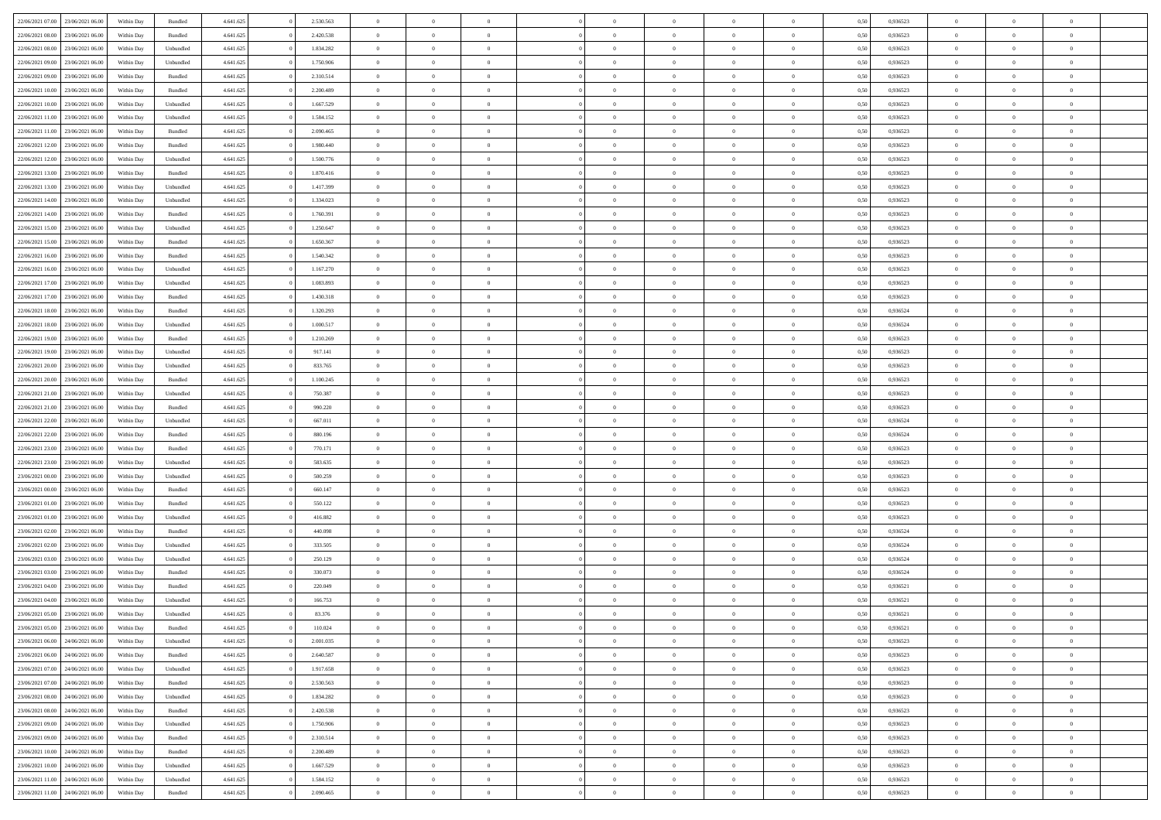|                                   |                  |            |                    |           |           |                | $\Omega$       |                |                | $\Omega$       | $\theta$       | $\theta$       |      |          | $\theta$       |                | $\theta$       |  |
|-----------------------------------|------------------|------------|--------------------|-----------|-----------|----------------|----------------|----------------|----------------|----------------|----------------|----------------|------|----------|----------------|----------------|----------------|--|
| 22/06/2021 07:00                  | 23/06/2021 06:00 | Within Day | Bundled            | 4.641.625 | 2.530.563 | $\overline{0}$ |                |                | $\Omega$       |                |                |                | 0.50 | 0,936523 |                | $\theta$       |                |  |
| 22/06/2021 08:00                  | 23/06/2021 06:00 | Within Day | Bundled            | 4.641.625 | 2.420.538 | $\overline{0}$ | $\theta$       | $\overline{0}$ | $\overline{0}$ | $\bf{0}$       | $\overline{0}$ | $\bf{0}$       | 0,50 | 0,936523 | $\theta$       | $\overline{0}$ | $\overline{0}$ |  |
| 22/06/2021 08:00                  | 23/06/2021 06:00 | Within Day | Unbundled          | 4.641.625 | 1.834.282 | $\overline{0}$ | $\bf{0}$       | $\overline{0}$ | $\bf{0}$       | $\bf{0}$       | $\bf{0}$       | $\mathbf{0}$   | 0,50 | 0,936523 | $\overline{0}$ | $\overline{0}$ | $\bf{0}$       |  |
| 22/06/2021 09:00                  | 23/06/2021 06:00 | Within Day | Unbundled          | 4.641.625 | 1.750.906 | $\overline{0}$ | $\overline{0}$ | $\overline{0}$ | $\overline{0}$ | $\bf{0}$       | $\overline{0}$ | $\overline{0}$ | 0.50 | 0.936523 | $\theta$       | $\theta$       | $\overline{0}$ |  |
| 22/06/2021 09:00                  | 23/06/2021 06:00 | Within Day | Bundled            | 4.641.625 | 2.310.514 | $\overline{0}$ | $\theta$       | $\overline{0}$ | $\overline{0}$ | $\bf{0}$       | $\overline{0}$ | $\bf{0}$       | 0,50 | 0,936523 | $\theta$       | $\overline{0}$ | $\overline{0}$ |  |
|                                   |                  |            |                    |           |           |                |                |                |                |                |                |                |      |          |                |                |                |  |
| 22/06/2021 10:00                  | 23/06/2021 06:00 | Within Day | Bundled            | 4.641.625 | 2.200.489 | $\overline{0}$ | $\overline{0}$ | $\overline{0}$ | $\bf{0}$       | $\overline{0}$ | $\overline{0}$ | $\mathbf{0}$   | 0,50 | 0,936523 | $\bf{0}$       | $\overline{0}$ | $\bf{0}$       |  |
| 22/06/2021 10:00                  | 23/06/2021 06:00 | Within Dav | Unbundled          | 4.641.625 | 1.667.529 | $\overline{0}$ | $\overline{0}$ | $\overline{0}$ | $\overline{0}$ | $\overline{0}$ | $\overline{0}$ | $\overline{0}$ | 0.50 | 0.936523 | $\theta$       | $\overline{0}$ | $\overline{0}$ |  |
| 22/06/2021 11:00                  | 23/06/2021 06:00 | Within Day | Unbundled          | 4.641.625 | 1.584.152 | $\overline{0}$ | $\theta$       | $\overline{0}$ | $\overline{0}$ | $\bf{0}$       | $\overline{0}$ | $\bf{0}$       | 0,50 | 0,936523 | $\theta$       | $\theta$       | $\overline{0}$ |  |
| 22/06/2021 11:00                  | 23/06/2021 06:00 | Within Day | Bundled            | 4.641.625 | 2.090.465 | $\overline{0}$ | $\overline{0}$ | $\overline{0}$ | $\bf{0}$       | $\bf{0}$       | $\bf{0}$       | $\bf{0}$       | 0,50 | 0,936523 | $\,0\,$        | $\overline{0}$ | $\overline{0}$ |  |
| 22/06/2021 12:00                  | 23/06/2021 06:00 | Within Dav | Bundled            | 4.641.625 | 1.980.440 | $\overline{0}$ | $\overline{0}$ | $\overline{0}$ | $\overline{0}$ | $\overline{0}$ | $\overline{0}$ | $\overline{0}$ | 0.50 | 0.936523 | $\theta$       | $\overline{0}$ | $\overline{0}$ |  |
| 22/06/2021 12:00                  | 23/06/2021 06:00 | Within Day | Unbundled          | 4.641.625 | 1.500.776 | $\overline{0}$ | $\theta$       | $\overline{0}$ | $\overline{0}$ | $\bf{0}$       | $\overline{0}$ | $\bf{0}$       | 0,50 | 0,936523 | $\,$ 0 $\,$    | $\overline{0}$ | $\overline{0}$ |  |
| 22/06/2021 13:00                  | 23/06/2021 06:00 | Within Day | Bundled            | 4.641.625 | 1.870.416 | $\overline{0}$ | $\overline{0}$ | $\overline{0}$ | $\bf{0}$       | $\bf{0}$       | $\bf{0}$       | $\mathbf{0}$   | 0,50 | 0,936523 | $\overline{0}$ | $\overline{0}$ | $\bf{0}$       |  |
|                                   |                  |            |                    |           |           |                |                |                |                |                |                |                |      |          |                |                |                |  |
| 22/06/2021 13:00                  | 23/06/2021 06:00 | Within Day | Unbundled          | 4.641.625 | 1.417.399 | $\overline{0}$ | $\overline{0}$ | $\overline{0}$ | $\overline{0}$ | $\bf{0}$       | $\overline{0}$ | $\overline{0}$ | 0.50 | 0.936523 | $\theta$       | $\theta$       | $\overline{0}$ |  |
| 22/06/2021 14:00                  | 23/06/2021 06:00 | Within Day | Unbundled          | 4.641.625 | 1.334.023 | $\overline{0}$ | $\theta$       | $\overline{0}$ | $\overline{0}$ | $\bf{0}$       | $\overline{0}$ | $\bf{0}$       | 0,50 | 0,936523 | $\theta$       | $\overline{0}$ | $\overline{0}$ |  |
| 22/06/2021 14:00                  | 23/06/2021 06:00 | Within Day | Bundled            | 4.641.625 | 1.760.391 | $\overline{0}$ | $\overline{0}$ | $\overline{0}$ | $\bf{0}$       | $\overline{0}$ | $\overline{0}$ | $\mathbf{0}$   | 0,50 | 0,936523 | $\overline{0}$ | $\overline{0}$ | $\bf{0}$       |  |
| 22/06/2021 15:00                  | 23/06/2021 06:00 | Within Dav | Unbundled          | 4.641.625 | 1.250.647 | $\overline{0}$ | $\overline{0}$ | $\overline{0}$ | $\overline{0}$ | $\overline{0}$ | $\overline{0}$ | $\overline{0}$ | 0.50 | 0.936523 | $\theta$       | $\overline{0}$ | $\overline{0}$ |  |
| 22/06/2021 15:00                  | 23/06/2021 06:00 | Within Day | Bundled            | 4.641.625 | 1.650.367 | $\overline{0}$ | $\theta$       | $\overline{0}$ | $\overline{0}$ | $\bf{0}$       | $\overline{0}$ | $\bf{0}$       | 0,50 | 0,936523 | $\theta$       | $\theta$       | $\overline{0}$ |  |
| 22/06/2021 16:00                  | 23/06/2021 06:00 | Within Day | Bundled            | 4.641.625 | 1.540.342 | $\overline{0}$ | $\overline{0}$ | $\overline{0}$ | $\bf{0}$       | $\bf{0}$       | $\bf{0}$       | $\mathbf{0}$   | 0,50 | 0,936523 | $\,0\,$        | $\overline{0}$ | $\bf{0}$       |  |
| 22/06/2021 16:00                  | 23/06/2021 06:00 | Within Dav | Unbundled          | 4.641.625 | 1.167.270 | $\overline{0}$ | $\overline{0}$ | $\overline{0}$ | $\overline{0}$ | $\overline{0}$ | $\overline{0}$ | $\overline{0}$ | 0.50 | 0.936523 | $\theta$       | $\overline{0}$ | $\overline{0}$ |  |
|                                   |                  |            |                    |           |           |                |                |                |                |                |                |                |      |          |                |                |                |  |
| 22/06/2021 17:00                  | 23/06/2021 06:00 | Within Day | Unbundled          | 4.641.625 | 1.083.893 | $\overline{0}$ | $\theta$       | $\overline{0}$ | $\overline{0}$ | $\bf{0}$       | $\overline{0}$ | $\bf{0}$       | 0,50 | 0,936523 | $\,$ 0 $\,$    | $\overline{0}$ | $\overline{0}$ |  |
| 22/06/2021 17:00                  | 23/06/2021 06:00 | Within Day | Bundled            | 4.641.625 | 1.430.318 | $\overline{0}$ | $\overline{0}$ | $\overline{0}$ | $\bf{0}$       | $\bf{0}$       | $\bf{0}$       | $\bf{0}$       | 0,50 | 0,936523 | $\overline{0}$ | $\overline{0}$ | $\bf{0}$       |  |
| 22/06/2021 18:00                  | 23/06/2021 06:00 | Within Day | Bundled            | 4.641.625 | 1.320.293 | $\overline{0}$ | $\overline{0}$ | $\overline{0}$ | $\overline{0}$ | $\bf{0}$       | $\overline{0}$ | $\overline{0}$ | 0.50 | 0.936524 | $\theta$       | $\overline{0}$ | $\overline{0}$ |  |
| 22/06/2021 18:00                  | 23/06/2021 06:00 | Within Day | Unbundled          | 4.641.625 | 1.000.517 | $\overline{0}$ | $\theta$       | $\overline{0}$ | $\overline{0}$ | $\bf{0}$       | $\overline{0}$ | $\bf{0}$       | 0,50 | 0,936524 | $\theta$       | $\overline{0}$ | $\overline{0}$ |  |
| 22/06/2021 19:00                  | 23/06/2021 06:00 | Within Day | Bundled            | 4.641.625 | 1.210.269 | $\overline{0}$ | $\overline{0}$ | $\overline{0}$ | $\bf{0}$       | $\overline{0}$ | $\overline{0}$ | $\mathbf{0}$   | 0,50 | 0,936523 | $\bf{0}$       | $\overline{0}$ | $\bf{0}$       |  |
| 22/06/2021 19:00                  | 23/06/2021 06:00 | Within Day | Unbundled          | 4.641.625 | 917.141   | $\overline{0}$ | $\overline{0}$ | $\overline{0}$ | $\overline{0}$ | $\overline{0}$ | $\overline{0}$ | $\overline{0}$ | 0.50 | 0.936523 | $\theta$       | $\overline{0}$ | $\overline{0}$ |  |
| 22/06/2021 20:00                  | 23/06/2021 06:00 |            |                    | 4.641.625 | 833.765   | $\overline{0}$ | $\theta$       | $\overline{0}$ | $\overline{0}$ | $\bf{0}$       | $\overline{0}$ |                |      | 0,936523 | $\theta$       | $\theta$       | $\overline{0}$ |  |
|                                   |                  | Within Day | Unbundled          |           |           |                |                |                |                |                |                | $\bf{0}$       | 0,50 |          |                |                |                |  |
| 22/06/2021 20:00                  | 23/06/2021 06:00 | Within Day | Bundled            | 4.641.625 | 1.100.245 | $\overline{0}$ | $\overline{0}$ | $\overline{0}$ | $\overline{0}$ | $\bf{0}$       | $\overline{0}$ | $\bf{0}$       | 0,50 | 0,936523 | $\,0\,$        | $\overline{0}$ | $\overline{0}$ |  |
| 22/06/2021 21:00                  | 23/06/2021 06:00 | Within Day | Unbundled          | 4.641.625 | 750.387   | $\overline{0}$ | $\overline{0}$ | $\overline{0}$ | $\overline{0}$ | $\overline{0}$ | $\overline{0}$ | $\overline{0}$ | 0.50 | 0.936523 | $\theta$       | $\overline{0}$ | $\overline{0}$ |  |
| 22/06/2021 21:00                  | 23/06/2021 06:00 | Within Day | Bundled            | 4.641.625 | 990.220   | $\overline{0}$ | $\theta$       | $\overline{0}$ | $\overline{0}$ | $\bf{0}$       | $\overline{0}$ | $\bf{0}$       | 0,50 | 0,936523 | $\,$ 0 $\,$    | $\overline{0}$ | $\overline{0}$ |  |
| 22/06/2021 22:00                  | 23/06/2021 06:00 | Within Day | Unbundled          | 4.641.625 | 667.011   | $\overline{0}$ | $\bf{0}$       | $\overline{0}$ | $\overline{0}$ | $\bf{0}$       | $\overline{0}$ | $\bf{0}$       | 0,50 | 0,936524 | $\bf{0}$       | $\overline{0}$ | $\bf{0}$       |  |
| 22/06/2021 22:00                  | 23/06/2021 06:00 | Within Day | Bundled            | 4.641.625 | 880,196   | $\overline{0}$ | $\Omega$       | $\Omega$       | $\Omega$       | $\Omega$       | $\overline{0}$ | $\overline{0}$ | 0,50 | 0,936524 | $\,0\,$        | $\theta$       | $\theta$       |  |
| 22/06/2021 23:00                  | 23/06/2021 06:00 | Within Day | Bundled            | 4.641.625 | 770.171   | $\overline{0}$ | $\theta$       | $\overline{0}$ | $\overline{0}$ | $\bf{0}$       | $\overline{0}$ | $\bf{0}$       | 0,50 | 0,936523 | $\theta$       | $\overline{0}$ | $\overline{0}$ |  |
|                                   |                  |            |                    |           |           |                |                |                |                |                |                |                |      |          |                |                |                |  |
| 22/06/2021 23:00                  | 23/06/2021 06:00 | Within Day | Unbundled          | 4.641.625 | 583.635   | $\overline{0}$ | $\overline{0}$ | $\overline{0}$ | $\bf{0}$       | $\overline{0}$ | $\overline{0}$ | $\mathbf{0}$   | 0,50 | 0,936523 | $\overline{0}$ | $\overline{0}$ | $\bf{0}$       |  |
| 23/06/2021 00:00                  | 23/06/2021 06:00 | Within Day | Unbundled          | 4.641.625 | 500.259   | $\overline{0}$ | $\Omega$       | $\Omega$       | $\Omega$       | $\bf{0}$       | $\overline{0}$ | $\overline{0}$ | 0.50 | 0.936523 | $\,0\,$        | $\theta$       | $\theta$       |  |
| 23/06/2021 00:00                  | 23/06/2021 06:00 | Within Day | Bundled            | 4.641.625 | 660.147   | $\overline{0}$ | $\theta$       | $\overline{0}$ | $\overline{0}$ | $\bf{0}$       | $\overline{0}$ | $\bf{0}$       | 0,50 | 0,936523 | $\theta$       | $\overline{0}$ | $\overline{0}$ |  |
| 23/06/2021 01:00                  | 23/06/2021 06:00 | Within Day | Bundled            | 4.641.625 | 550.122   | $\overline{0}$ | $\overline{0}$ | $\overline{0}$ | $\bf{0}$       | $\bf{0}$       | $\bf{0}$       | $\bf{0}$       | 0,50 | 0,936523 | $\bf{0}$       | $\overline{0}$ | $\bf{0}$       |  |
| 23/06/2021 01:00                  | 23/06/2021 06:00 | Within Day | Unbundled          | 4.641.625 | 416.882   | $\overline{0}$ | $\Omega$       | $\Omega$       | $\Omega$       | $\theta$       | $\overline{0}$ | $\overline{0}$ | 0.50 | 0.936523 | $\,$ 0 $\,$    | $\theta$       | $\theta$       |  |
| 23/06/2021 02:00                  | 23/06/2021 06:00 | Within Day | Bundled            | 4.641.625 | 440.098   | $\overline{0}$ | $\theta$       | $\overline{0}$ | $\overline{0}$ | $\bf{0}$       | $\overline{0}$ | $\bf{0}$       | 0,50 | 0,936524 | $\,$ 0 $\,$    | $\overline{0}$ | $\overline{0}$ |  |
| 23/06/2021 02:00                  | 23/06/2021 06:00 | Within Day | Unbundled          | 4.641.625 | 333.505   | $\overline{0}$ | $\bf{0}$       | $\overline{0}$ | $\bf{0}$       | $\bf{0}$       | $\bf{0}$       | $\mathbf{0}$   | 0,50 | 0,936524 | $\overline{0}$ | $\overline{0}$ | $\bf{0}$       |  |
|                                   |                  |            |                    |           |           | $\overline{0}$ | $\Omega$       | $\overline{0}$ | $\Omega$       | $\overline{0}$ | $\overline{0}$ | $\overline{0}$ | 0.50 |          | $\,0\,$        | $\theta$       | $\theta$       |  |
| 23/06/2021 03:00                  | 23/06/2021 06:00 | Within Day | Unbundled          | 4.641.625 | 250.129   |                |                |                |                |                |                |                |      | 0,936524 |                |                |                |  |
| 23/06/2021 03:00                  | 23/06/2021 06:00 | Within Day | Bundled            | 4.641.625 | 330.073   | $\overline{0}$ | $\overline{0}$ | $\overline{0}$ | $\overline{0}$ | $\,$ 0         | $\overline{0}$ | $\bf{0}$       | 0,50 | 0,936524 | $\,$ 0 $\,$    | $\overline{0}$ | $\overline{0}$ |  |
| 23/06/2021 04:00                  | 23/06/2021 06:00 | Within Day | Bundled            | 4.641.625 | 220.049   | $\overline{0}$ | $\overline{0}$ | $\overline{0}$ | $\overline{0}$ | $\bf{0}$       | $\overline{0}$ | $\mathbf{0}$   | 0,50 | 0,936521 | $\bf{0}$       | $\overline{0}$ | $\bf{0}$       |  |
| 23/06/2021 04:00                  | 23/06/2021 06:00 | Within Day | Unbundled          | 4.641.625 | 166.753   | $\overline{0}$ | $\Omega$       | $\Omega$       | $\Omega$       | $\Omega$       | $\Omega$       | $\overline{0}$ | 0.50 | 0.936521 | $\theta$       | $\theta$       | $\theta$       |  |
| 23/06/2021 05:00                  | 23/06/2021 06:00 | Within Day | Unbundled          | 4.641.625 | 83.376    | $\overline{0}$ | $\overline{0}$ | $\overline{0}$ | $\bf{0}$       | $\,$ 0         | $\overline{0}$ | $\bf{0}$       | 0,50 | 0,936521 | $\,0\,$        | $\,$ 0 $\,$    | $\overline{0}$ |  |
| 23/06/2021 05:00                  | 23/06/2021 06:00 | Within Day | $\mathbf B$ undled | 4.641.625 | 110.024   | $\bf{0}$       | $\bf{0}$       |                |                | $\bf{0}$       |                |                | 0,50 | 0,936521 | $\bf{0}$       | $\overline{0}$ |                |  |
| 23/06/2021 06:00                  | 24/06/2021 06:00 | Within Day | Unbundled          | 4.641.625 | 2.001.035 | $\overline{0}$ | $\overline{0}$ | $\overline{0}$ | $\Omega$       | $\theta$       | $\overline{0}$ | $\overline{0}$ | 0.50 | 0.936523 | $\theta$       | $\theta$       | $\theta$       |  |
| 23/06/2021 06:00                  | 24/06/2021 06.00 | Within Day | Bundled            | 4.641.625 | 2.640.587 | $\overline{0}$ | $\,$ 0         | $\overline{0}$ | $\overline{0}$ | $\,$ 0 $\,$    | $\overline{0}$ | $\mathbf{0}$   | 0,50 | 0,936523 | $\,$ 0 $\,$    | $\,$ 0 $\,$    | $\,$ 0         |  |
|                                   |                  |            |                    |           |           |                |                |                |                |                |                |                |      |          |                |                |                |  |
| 23/06/2021 07:00                  | 24/06/2021 06:00 | Within Day | Unbundled          | 4.641.625 | 1.917.658 | $\overline{0}$ | $\overline{0}$ | $\overline{0}$ | $\overline{0}$ | $\overline{0}$ | $\overline{0}$ | $\mathbf{0}$   | 0,50 | 0,936523 | $\overline{0}$ | $\bf{0}$       | $\bf{0}$       |  |
| 23/06/2021 07:00                  | 24/06/2021 06.00 | Within Day | $\mathbf B$ undled | 4.641.625 | 2.530.563 | $\overline{0}$ | $\theta$       | $\overline{0}$ | $\Omega$       | $\overline{0}$ | $\overline{0}$ | $\bf{0}$       | 0,50 | 0,936523 | $\overline{0}$ | $\theta$       | $\overline{0}$ |  |
| 23/06/2021 08:00                  | 24/06/2021 06.00 | Within Day | Unbundled          | 4.641.625 | 1.834.282 | $\overline{0}$ | $\,$ 0         | $\overline{0}$ | $\overline{0}$ | $\overline{0}$ | $\overline{0}$ | $\bf{0}$       | 0,50 | 0,936523 | $\,$ 0 $\,$    | $\overline{0}$ | $\overline{0}$ |  |
| 23/06/2021 08:00                  | 24/06/2021 06.00 | Within Day | Bundled            | 4.641.625 | 2.420.538 | $\overline{0}$ | $\overline{0}$ | $\overline{0}$ | $\overline{0}$ | $\overline{0}$ | $\overline{0}$ | $\mathbf{0}$   | 0,50 | 0,936523 | $\overline{0}$ | $\bf{0}$       | $\bf{0}$       |  |
| 23/06/2021 09:00                  | 24/06/2021 06:00 | Within Day | Unbundled          | 4.641.625 | 1.750.906 | $\overline{0}$ | $\overline{0}$ | $\overline{0}$ | $\Omega$       | $\overline{0}$ | $\overline{0}$ | $\bf{0}$       | 0.50 | 0,936523 | $\overline{0}$ | $\theta$       | $\overline{0}$ |  |
| 23/06/2021 09:00                  | 24/06/2021 06.00 | Within Day | Bundled            | 4.641.625 | 2.310.514 | $\overline{0}$ | $\,$ 0         | $\overline{0}$ | $\bf{0}$       | $\bf{0}$       | $\bf{0}$       | $\bf{0}$       | 0,50 | 0,936523 | $\,$ 0 $\,$    | $\overline{0}$ | $\overline{0}$ |  |
| 23/06/2021 10:00                  | 24/06/2021 06.00 | Within Day | Bundled            | 4.641.625 | 2.200.489 | $\overline{0}$ | $\bf{0}$       | $\overline{0}$ | $\overline{0}$ | $\overline{0}$ | $\bf{0}$       | $\mathbf{0}$   | 0,50 | 0,936523 | $\overline{0}$ | $\overline{0}$ | $\bf{0}$       |  |
|                                   |                  |            |                    |           |           |                |                |                |                |                |                |                |      |          |                |                |                |  |
| 23/06/2021 10:00                  | 24/06/2021 06.00 | Within Day | Unbundled          | 4.641.625 | 1.667.529 | $\overline{0}$ | $\overline{0}$ | $\overline{0}$ | $\Omega$       | $\overline{0}$ | $\overline{0}$ | $\bf{0}$       | 0.50 | 0.936523 | $\overline{0}$ | $\theta$       | $\overline{0}$ |  |
| 23/06/2021 11:00                  | 24/06/2021 06.00 | Within Day | Unbundled          | 4.641.625 | 1.584.152 | $\overline{0}$ | $\,$ 0 $\,$    | $\overline{0}$ | $\overline{0}$ | $\bf{0}$       | $\bf{0}$       | $\bf{0}$       | 0,50 | 0,936523 | $\,$ 0 $\,$    | $\,$ 0 $\,$    | $\bf{0}$       |  |
| 23/06/2021 11:00 24/06/2021 06:00 |                  | Within Day | Bundled            | 4.641.625 | 2.090.465 | $\overline{0}$ | $\bf{0}$       | $\overline{0}$ | $\bf{0}$       | $\bf{0}$       | $\bf{0}$       | $\bf{0}$       | 0,50 | 0,936523 | $\overline{0}$ | $\overline{0}$ | $\bf{0}$       |  |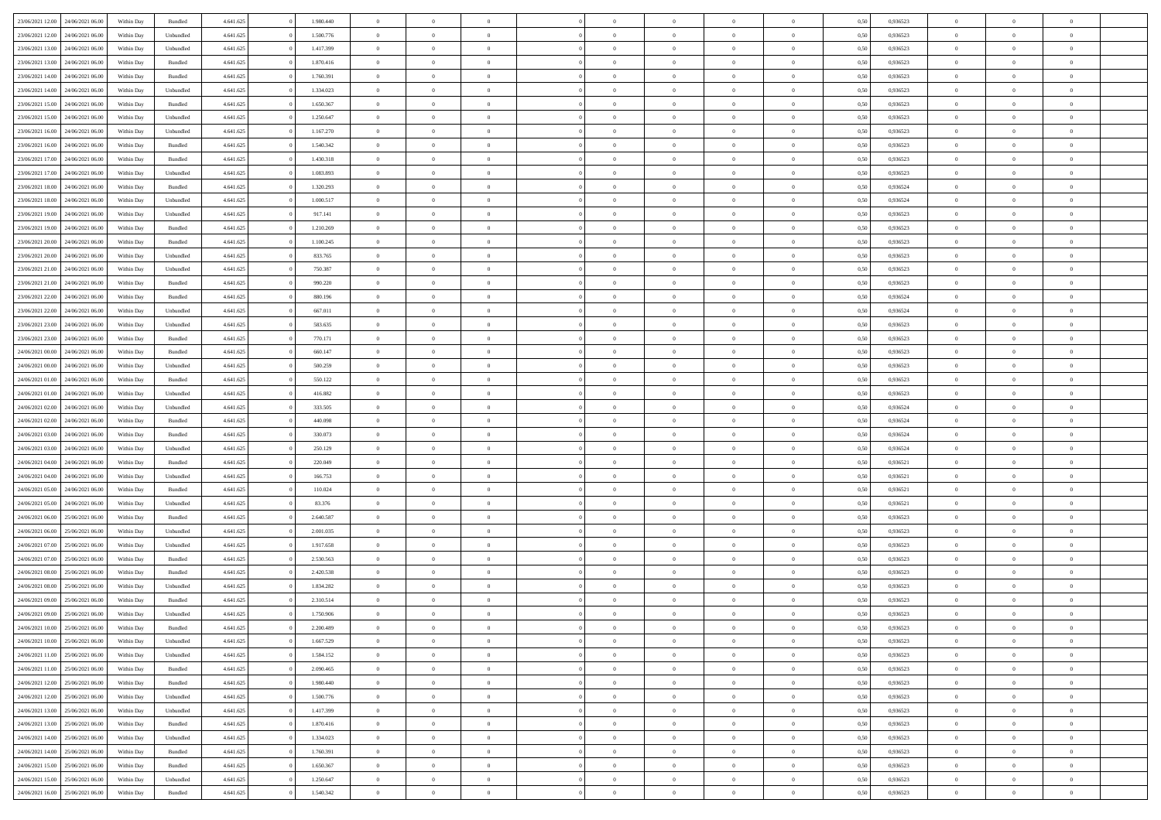| 23/06/2021 12:00                  | 24/06/2021 06:00 | Within Day | Bundled            | 4.641.625 | 1.980.440 | $\overline{0}$ | $\theta$       |                | $\overline{0}$ | $\bf{0}$       | $\overline{0}$ | $\theta$       | 0,50 | 0,936523 | $\theta$       | $\theta$       | $\overline{0}$ |  |
|-----------------------------------|------------------|------------|--------------------|-----------|-----------|----------------|----------------|----------------|----------------|----------------|----------------|----------------|------|----------|----------------|----------------|----------------|--|
|                                   |                  |            |                    |           |           | $\overline{0}$ | $\theta$       |                |                |                |                |                |      |          |                |                | $\overline{0}$ |  |
| 23/06/2021 12:00                  | 24/06/2021 06.00 | Within Day | Unbundled          | 4.641.625 | 1.500.776 |                |                | $\overline{0}$ | $\overline{0}$ | $\,$ 0         | $\overline{0}$ | $\bf{0}$       | 0,50 | 0,936523 | $\,$ 0 $\,$    | $\overline{0}$ |                |  |
| 23/06/2021 13:00                  | 24/06/2021 06:00 | Within Day | Unbundled          | 4.641.625 | 1.417.399 | $\overline{0}$ | $\overline{0}$ | $\overline{0}$ | $\overline{0}$ | $\bf{0}$       | $\overline{0}$ | $\mathbf{0}$   | 0.50 | 0.936523 | $\bf{0}$       | $\overline{0}$ | $\overline{0}$ |  |
| 23/06/2021 13:00                  | 24/06/2021 06.00 | Within Day | Bundled            | 4.641.625 | 1.870.416 | $\overline{0}$ | $\overline{0}$ | $\overline{0}$ | $\overline{0}$ | $\bf{0}$       | $\overline{0}$ | $\overline{0}$ | 0,50 | 0,936523 | $\,$ 0 $\,$    | $\overline{0}$ | $\overline{0}$ |  |
| 23/06/2021 14:00                  | 24/06/2021 06.00 | Within Day | Bundled            | 4.641.625 | 1.760.391 | $\overline{0}$ | $\theta$       | $\overline{0}$ |                | $\overline{0}$ | $\overline{0}$ | $\bf{0}$       | 0,50 | 0,936523 | $\theta$       | $\overline{0}$ | $\overline{0}$ |  |
| 23/06/2021 14:00                  | 24/06/2021 06:00 | Within Day | Unbundled          | 4.641.625 | 1.334.023 | $\overline{0}$ | $\overline{0}$ | $\overline{0}$ | $\overline{0}$ | $\bf{0}$       | $\overline{0}$ | $\overline{0}$ | 0.50 | 0.936523 | $\,0\,$        | $\theta$       | $\overline{0}$ |  |
| 23/06/2021 15:00                  | 24/06/2021 06:00 | Within Day | Bundled            | 4.641.625 | 1.650.367 | $\overline{0}$ | $\overline{0}$ | $\overline{0}$ | $\overline{0}$ | $\,$ 0         | $\overline{0}$ | $\overline{0}$ | 0,50 | 0,936523 | $\,$ 0 $\,$    | $\theta$       | $\overline{0}$ |  |
|                                   | 24/06/2021 06.00 | Within Day | Unbundled          | 4.641.625 | 1.250.647 | $\overline{0}$ | $\theta$       | $\overline{0}$ | $\overline{0}$ | $\bf{0}$       | $\overline{0}$ | $\bf{0}$       | 0,50 | 0,936523 | $\,$ 0 $\,$    | $\overline{0}$ | $\overline{0}$ |  |
| 23/06/2021 15:00                  |                  |            |                    |           |           |                |                |                |                |                |                |                |      |          |                |                |                |  |
| 23/06/2021 16:00                  | 24/06/2021 06:00 | Within Day | Unbundled          | 4.641.625 | 1.167.270 | $\overline{0}$ | $\overline{0}$ | $\overline{0}$ | $\overline{0}$ | $\bf{0}$       | $\overline{0}$ | $\bf{0}$       | 0.50 | 0.936523 | $\,0\,$        | $\overline{0}$ | $\overline{0}$ |  |
| 23/06/2021 16:00                  | 24/06/2021 06:00 | Within Day | Bundled            | 4.641.625 | 1.540.342 | $\overline{0}$ | $\overline{0}$ | $\overline{0}$ | $\overline{0}$ | $\,$ 0         | $\overline{0}$ | $\bf{0}$       | 0,50 | 0,936523 | $\,$ 0 $\,$    | $\overline{0}$ | $\overline{0}$ |  |
| 23/06/2021 17:00                  | 24/06/2021 06.00 | Within Day | Bundled            | 4.641.625 | 1.430.318 | $\bf{0}$       | $\theta$       | $\overline{0}$ | $\overline{0}$ | $\,$ 0         | $\overline{0}$ | $\bf{0}$       | 0,50 | 0,936523 | $\,$ 0 $\,$    | $\overline{0}$ | $\overline{0}$ |  |
| 23/06/2021 17:00                  | 24/06/2021 06:00 | Within Day | Unbundled          | 4.641.625 | 1.083.893 | $\overline{0}$ | $\overline{0}$ | $\overline{0}$ | $\overline{0}$ | $\bf{0}$       | $\overline{0}$ | $\mathbf{0}$   | 0.50 | 0.936523 | $\bf{0}$       | $\overline{0}$ | $\overline{0}$ |  |
| 23/06/2021 18:00                  | 24/06/2021 06.00 | Within Day | Bundled            | 4.641.625 | 1.320.293 | $\overline{0}$ | $\theta$       | $\overline{0}$ | $\overline{0}$ | $\,$ 0         | $\overline{0}$ | $\overline{0}$ | 0,50 | 0,936524 | $\,$ 0 $\,$    | $\theta$       | $\overline{0}$ |  |
| 23/06/2021 18:00                  | 24/06/2021 06.00 | Within Day | Unbundled          | 4.641.625 | 1.000.517 | $\overline{0}$ | $\theta$       | $\overline{0}$ | $\overline{0}$ | $\overline{0}$ | $\overline{0}$ | $\bf{0}$       | 0,50 | 0,936524 | $\,$ 0 $\,$    | $\overline{0}$ | $\overline{0}$ |  |
| 23/06/2021 19:00                  | 24/06/2021 06:00 | Within Day | Unbundled          | 4.641.625 | 917.141   | $\overline{0}$ | $\overline{0}$ | $\overline{0}$ | $\overline{0}$ | $\,$ 0         | $\overline{0}$ | $\overline{0}$ | 0.50 | 0.936523 | $\theta$       | $\theta$       | $\overline{0}$ |  |
|                                   |                  |            |                    |           |           |                |                |                |                |                |                |                |      |          |                |                |                |  |
| 23/06/2021 19:00                  | 24/06/2021 06:00 | Within Day | Bundled            | 4.641.625 | 1.210.269 | $\overline{0}$ | $\overline{0}$ | $\overline{0}$ | $\overline{0}$ | $\,$ 0         | $\overline{0}$ | $\bf{0}$       | 0,50 | 0,936523 | $\,$ 0 $\,$    | $\theta$       | $\overline{0}$ |  |
| 23/06/2021 20:00                  | 24/06/2021 06.00 | Within Day | Bundled            | 4.641.625 | 1.100.245 | $\overline{0}$ | $\theta$       | $\overline{0}$ |                | $\bf{0}$       | $\overline{0}$ | $\bf{0}$       | 0,50 | 0,936523 | $\,$ 0 $\,$    | $\overline{0}$ | $\overline{0}$ |  |
| 23/06/2021 20:00                  | 24/06/2021 06:00 | Within Day | Unbundled          | 4.641.625 | 833,765   | $\overline{0}$ | $\overline{0}$ | $\overline{0}$ | $\overline{0}$ | $\bf{0}$       | $\overline{0}$ | $\bf{0}$       | 0.50 | 0.936523 | $\,0\,$        | $\overline{0}$ | $\overline{0}$ |  |
| 23/06/2021 21:00                  | 24/06/2021 06.00 | Within Day | Unbundled          | 4.641.625 | 750.387   | $\overline{0}$ | $\overline{0}$ | $\overline{0}$ | $\overline{0}$ | $\,$ 0         | $\overline{0}$ | $\bf{0}$       | 0,50 | 0,936523 | $\,$ 0 $\,$    | $\overline{0}$ | $\overline{0}$ |  |
| 23/06/2021 21:00                  | 24/06/2021 06.00 | Within Day | Bundled            | 4.641.625 | 990.220   | $\bf{0}$       | $\theta$       | $\overline{0}$ | $\overline{0}$ | $\,$ 0         | $\overline{0}$ | $\bf{0}$       | 0,50 | 0,936523 | $\,$ 0 $\,$    | $\overline{0}$ | $\overline{0}$ |  |
| 23/06/2021 22:00                  | 24/06/2021 06.00 | Within Day | Bundled            | 4.641.625 | 880.196   | $\overline{0}$ | $\overline{0}$ | $\overline{0}$ | $\overline{0}$ | $\bf{0}$       | $\overline{0}$ | $\mathbf{0}$   | 0.50 | 0.936524 | $\bf{0}$       | $\overline{0}$ | $\overline{0}$ |  |
|                                   |                  |            |                    |           |           | $\overline{0}$ | $\overline{0}$ | $\overline{0}$ | $\overline{0}$ | $\bf{0}$       | $\overline{0}$ | $\overline{0}$ |      |          | $\,$ 0 $\,$    | $\overline{0}$ | $\overline{0}$ |  |
| 23/06/2021 22:00                  | 24/06/2021 06.00 | Within Day | Unbundled          | 4.641.625 | 667.011   |                |                |                |                |                |                |                | 0,50 | 0,936524 |                |                |                |  |
| 23/06/2021 23:00                  | 24/06/2021 06.00 | Within Day | Unbundled          | 4.641.625 | 583.635   | $\overline{0}$ | $\theta$       | $\overline{0}$ | $\overline{0}$ | $\bf{0}$       | $\overline{0}$ | $\bf{0}$       | 0,50 | 0,936523 | $\,$ 0 $\,$    | $\overline{0}$ | $\overline{0}$ |  |
| 23/06/2021 23:00                  | 24/06/2021 06:00 | Within Day | Bundled            | 4.641.625 | 770.171   | $\overline{0}$ | $\overline{0}$ | $\overline{0}$ | $\overline{0}$ | $\bf{0}$       | $\overline{0}$ | $\bf{0}$       | 0.50 | 0.936523 | $\,0\,$        | $\theta$       | $\overline{0}$ |  |
| 24/06/2021 00:00                  | 24/06/2021 06:00 | Within Day | Bundled            | 4.641.625 | 660.147   | $\overline{0}$ | $\overline{0}$ | $\overline{0}$ | $\overline{0}$ | $\,$ 0         | $\overline{0}$ | $\overline{0}$ | 0,50 | 0,936523 | $\,0\,$        | $\theta$       | $\overline{0}$ |  |
| 24/06/2021 00:00                  | 24/06/2021 06.00 | Within Day | Unbundled          | 4.641.625 | 500.259   | $\overline{0}$ | $\theta$       | $\overline{0}$ |                | $\bf{0}$       | $\overline{0}$ | $\bf{0}$       | 0,50 | 0,936523 | $\,$ 0 $\,$    | $\overline{0}$ | $\overline{0}$ |  |
| 24/06/2021 01:00                  | 24/06/2021 06:00 | Within Day | Bundled            | 4.641.625 | 550.122   | $\overline{0}$ | $\overline{0}$ | $\overline{0}$ | $\overline{0}$ | $\bf{0}$       | $\overline{0}$ | $\bf{0}$       | 0.50 | 0.936523 | $\,0\,$        | $\overline{0}$ | $\overline{0}$ |  |
| 24/06/2021 01:00                  | 24/06/2021 06:00 | Within Day | Unbundled          | 4.641.625 | 416.882   | $\overline{0}$ | $\overline{0}$ | $\overline{0}$ | $\overline{0}$ | $\,$ 0         | $\overline{0}$ | $\bf{0}$       | 0,50 | 0,936523 | $\,$ 0 $\,$    | $\overline{0}$ | $\overline{0}$ |  |
|                                   |                  |            |                    |           |           |                |                |                |                |                |                |                |      |          |                |                |                |  |
| 24/06/2021 02:00                  | 24/06/2021 06.00 | Within Day | Unbundled          | 4.641.625 | 333.505   | $\overline{0}$ | $\overline{0}$ | $\overline{0}$ | $\overline{0}$ | $\,$ 0         | $\bf{0}$       | $\bf{0}$       | 0,50 | 0,936524 | $\,$ 0 $\,$    | $\overline{0}$ | $\overline{0}$ |  |
| 24/06/2021 02:00                  | 24/06/2021 06:00 | Within Day | Bundled            | 4.641.625 | 440 098   | $\overline{0}$ | $\overline{0}$ | $\overline{0}$ | $\overline{0}$ | $\bf{0}$       | $\overline{0}$ | $\mathbf{0}$   | 0.50 | 0.936524 | $\bf{0}$       | $\overline{0}$ | $\overline{0}$ |  |
| 24/06/2021 03:00                  | 24/06/2021 06:00 | Within Dav | Bundled            | 4.641.625 | 330.073   | $\overline{0}$ | $\overline{0}$ | $\overline{0}$ | $\overline{0}$ | $\bf{0}$       | $\overline{0}$ | $\overline{0}$ | 0.50 | 0,936524 | $\theta$       | $\overline{0}$ | $\overline{0}$ |  |
| 24/06/2021 03:00                  | 24/06/2021 06.00 | Within Day | Unbundled          | 4.641.625 | 250.129   | $\overline{0}$ | $\theta$       | $\overline{0}$ | $\overline{0}$ | $\bf{0}$       | $\overline{0}$ | $\bf{0}$       | 0,50 | 0,936524 | $\,$ 0 $\,$    | $\overline{0}$ | $\overline{0}$ |  |
| 24/06/2021 04:00                  | 24/06/2021 06:00 | Within Day | Bundled            | 4.641.625 | 220,049   | $\overline{0}$ | $\overline{0}$ | $\overline{0}$ | $\overline{0}$ | $\,$ 0         | $\overline{0}$ | $\bf{0}$       | 0.50 | 0.936521 | $\,0\,$        | $\theta$       | $\overline{0}$ |  |
| 24/06/2021 04:00                  | 24/06/2021 06:00 | Within Dav | Unbundled          | 4.641.625 | 166.753   | $\overline{0}$ | $\theta$       | $\Omega$       | $\Omega$       | $\bf{0}$       | $\overline{0}$ | $\overline{0}$ | 0.50 | 0,936521 | $\theta$       | $\overline{0}$ | $\overline{0}$ |  |
| 24/06/2021 05:00                  | 24/06/2021 06.00 | Within Day | Bundled            | 4.641.625 | 110.024   | $\overline{0}$ | $\theta$       | $\overline{0}$ | $\overline{0}$ | $\,$ 0         | $\overline{0}$ | $\bf{0}$       | 0,50 | 0,936521 | $\,$ 0 $\,$    | $\overline{0}$ | $\overline{0}$ |  |
| 24/06/2021 05:00                  | 24/06/2021 06:00 | Within Day | Unbundled          | 4.641.625 | 83.376    | $\overline{0}$ | $\overline{0}$ | $\overline{0}$ | $\overline{0}$ | $\bf{0}$       | $\overline{0}$ | $\bf{0}$       | 0.50 | 0.936521 | $\,0\,$        | $\overline{0}$ | $\overline{0}$ |  |
|                                   |                  |            |                    |           |           |                |                |                |                |                |                |                |      |          |                |                |                |  |
| 24/06/2021 06:00                  | 25/06/2021 06:00 | Within Dav | Bundled            | 4.641.625 | 2.640.587 | $\overline{0}$ | $\overline{0}$ | $\overline{0}$ | $\overline{0}$ | $\overline{0}$ | $\overline{0}$ | $\overline{0}$ | 0.50 | 0.936523 | $\theta$       | $\overline{0}$ | $\overline{0}$ |  |
| 24/06/2021 06.00                  | 25/06/2021 06.0  | Within Day | Unbundled          | 4.641.625 | 2.001.035 | $\overline{0}$ | $\overline{0}$ | $\overline{0}$ | $\overline{0}$ | $\bf{0}$       | $\bf{0}$       | $\bf{0}$       | 0,50 | 0,936523 | $\,$ 0 $\,$    | $\overline{0}$ | $\overline{0}$ |  |
| 24/06/2021 07:00                  | 25/06/2021 06:00 | Within Day | Unbundled          | 4.641.625 | 1.917.658 | $\overline{0}$ | $\overline{0}$ | $\overline{0}$ | $\overline{0}$ | $\bf{0}$       | $\overline{0}$ | $\mathbf{0}$   | 0.50 | 0.936523 | $\bf{0}$       | $\overline{0}$ | $\overline{0}$ |  |
| 24/06/2021 07:00                  | 25/06/2021 06:00 | Within Dav | Bundled            | 4.641.625 | 2.530.563 | $\overline{0}$ | $\overline{0}$ | $\Omega$       | $\overline{0}$ | $\bf{0}$       | $\overline{0}$ | $\overline{0}$ | 0.50 | 0.936523 | $\theta$       | $\overline{0}$ | $\overline{0}$ |  |
| 24/06/2021 08:00                  | 25/06/2021 06.00 | Within Day | Bundled            | 4.641.625 | 2.420.538 | $\overline{0}$ | $\theta$       | $\overline{0}$ | $\overline{0}$ | $\,$ 0         | $\overline{0}$ | $\bf{0}$       | 0,50 | 0,936523 | $\,$ 0 $\,$    | $\overline{0}$ | $\overline{0}$ |  |
| 24/06/2021 08:00                  | 25/06/2021 06:00 | Within Day | Unbundled          | 4.641.625 | 1.834.282 | $\overline{0}$ | $\theta$       | $\overline{0}$ | $\overline{0}$ | $\bf{0}$       | $\Omega$       | $\overline{0}$ | 0.50 | 0.936523 | $\,0\,$        | $\theta$       | $\overline{0}$ |  |
| 24/06/2021 09:00                  | 25/06/2021 06:00 | Within Dav | Bundled            | 4.641.625 | 2.310.514 | $\overline{0}$ | $\Omega$       | $\Omega$       | $\Omega$       | $\bf{0}$       | $\overline{0}$ | $\Omega$       | 0.50 | 0.936523 | $\theta$       | $\theta$       | $\overline{0}$ |  |
|                                   |                  |            |                    |           |           |                | $\,$ 0 $\,$    | $\overline{0}$ | $\overline{0}$ | $\,$ 0         |                |                |      |          | $\,$ 0 $\,$    | $\overline{0}$ | $\overline{0}$ |  |
| 24/06/2021 09:00                  | 25/06/2021 06:00 | Within Day | Unbundled          | 4.641.625 | 1.750.906 | $\overline{0}$ |                |                |                |                | $\bf{0}$       | $\bf{0}$       | 0,50 | 0,936523 |                |                |                |  |
| 24/06/2021 10:00                  | 25/06/2021 06:00 | Within Day | $\mathbf B$ undled | 4.641.625 | 2.200.489 | $\bf{0}$       | $\theta$       |                |                |                |                |                | 0,50 | 0.936523 | $\bf{0}$       | $\theta$       |                |  |
| 24/06/2021 10:00 25/06/2021 06:00 |                  | Within Day | Unbundled          | 4.641.625 | 1.667.529 | $\overline{0}$ | $\overline{0}$ | $\overline{0}$ | $\overline{0}$ | $\overline{0}$ | $\overline{0}$ | $\mathbf{0}$   | 0,50 | 0.936523 | $\theta$       | $\overline{0}$ | $\overline{0}$ |  |
| 24/06/2021 11:00                  | 25/06/2021 06:00 | Within Day | Unbundled          | 4.641.625 | 1.584.152 | $\overline{0}$ | $\overline{0}$ | $\overline{0}$ | $\bf{0}$       | $\overline{0}$ | $\overline{0}$ | $\bf{0}$       | 0,50 | 0,936523 | $\bf{0}$       | $\overline{0}$ | $\bf{0}$       |  |
| 24/06/2021 11:00                  | 25/06/2021 06:00 | Within Day | Bundled            | 4.641.625 | 2.090.465 | $\overline{0}$ | $\overline{0}$ | $\overline{0}$ | $\overline{0}$ | $\overline{0}$ | $\overline{0}$ | $\mathbf{0}$   | 0.50 | 0.936523 | $\overline{0}$ | $\bf{0}$       | $\bf{0}$       |  |
| 24/06/2021 12:00                  | 25/06/2021 06:00 | Within Day | Bundled            | 4.641.625 | 1.980.440 | $\overline{0}$ | $\overline{0}$ | $\overline{0}$ | $\overline{0}$ | $\overline{0}$ | $\overline{0}$ | $\mathbf{0}$   | 0,50 | 0.936523 | $\overline{0}$ | $\theta$       | $\overline{0}$ |  |
| 24/06/2021 12:00                  | 25/06/2021 06:00 | Within Day | Unbundled          | 4.641.625 | 1.500.776 | $\overline{0}$ | $\overline{0}$ | $\overline{0}$ | $\overline{0}$ | $\bf{0}$       | $\bf{0}$       | $\bf{0}$       | 0,50 | 0,936523 | $\bf{0}$       | $\overline{0}$ | $\overline{0}$ |  |
|                                   | 25/06/2021 06:00 |            |                    |           | 1.417.399 |                | $\overline{0}$ | $\overline{0}$ |                |                | $\overline{0}$ |                | 0.50 | 0.936523 | $\,$ 0 $\,$    | $\theta$       | $\,$ 0         |  |
| 24/06/2021 13:00                  |                  | Within Day | Unbundled          | 4.641.625 |           | $\overline{0}$ |                |                | $\overline{0}$ | $\bf{0}$       |                | $\mathbf{0}$   |      |          |                |                |                |  |
| 24/06/2021 13:00                  | 25/06/2021 06:00 | Within Day | Bundled            | 4.641.625 | 1.870.416 | $\overline{0}$ | $\overline{0}$ | $\overline{0}$ | $\overline{0}$ | $\overline{0}$ | $\overline{0}$ | $\overline{0}$ | 0,50 | 0.936523 | $\overline{0}$ | $\theta$       | $\overline{0}$ |  |
| 24/06/2021 14:00                  | 25/06/2021 06:00 | Within Day | Unbundled          | 4.641.625 | 1.334.023 | $\overline{0}$ | $\,$ 0         | $\overline{0}$ | $\bf{0}$       | $\,$ 0 $\,$    | $\overline{0}$ | $\bf{0}$       | 0,50 | 0,936523 | $\,$ 0 $\,$    | $\overline{0}$ | $\overline{0}$ |  |
| 24/06/2021 14:00                  | 25/06/2021 06:00 | Within Day | Bundled            | 4.641.625 | 1.760.391 | $\overline{0}$ | $\overline{0}$ | $\overline{0}$ | $\overline{0}$ | $\bf{0}$       | $\overline{0}$ | $\mathbf{0}$   | 0.50 | 0.936523 | $\mathbf{0}$   | $\,$ 0 $\,$    | $\overline{0}$ |  |
| 24/06/2021 15:00                  | 25/06/2021 06:00 | Within Day | Bundled            | 4.641.625 | 1.650.367 | $\overline{0}$ | $\overline{0}$ | $\overline{0}$ | $\overline{0}$ | $\overline{0}$ | $\overline{0}$ | $\overline{0}$ | 0,50 | 0.936523 | $\overline{0}$ | $\theta$       | $\overline{0}$ |  |
| 24/06/2021 15:00                  | 25/06/2021 06:00 | Within Day | Unbundled          | 4.641.625 | 1.250.647 | $\overline{0}$ | $\overline{0}$ | $\overline{0}$ | $\bf{0}$       | $\bf{0}$       | $\bf{0}$       | $\bf{0}$       | 0,50 | 0,936523 | $\bf{0}$       | $\overline{0}$ | $\bf{0}$       |  |
| 24/06/2021 16:00 25/06/2021 06:00 |                  | Within Day | Bundled            | 4.641.625 | 1.540.342 | $\,$ 0 $\,$    | $\,$ 0 $\,$    | $\overline{0}$ | $\overline{0}$ | $\,$ 0 $\,$    | $\,$ 0 $\,$    | $\,$ 0 $\,$    | 0,50 | 0,936523 | $\mathbf{0}^-$ | $\,$ 0 $\,$    | $\,$ 0 $\,$    |  |
|                                   |                  |            |                    |           |           |                |                |                |                |                |                |                |      |          |                |                |                |  |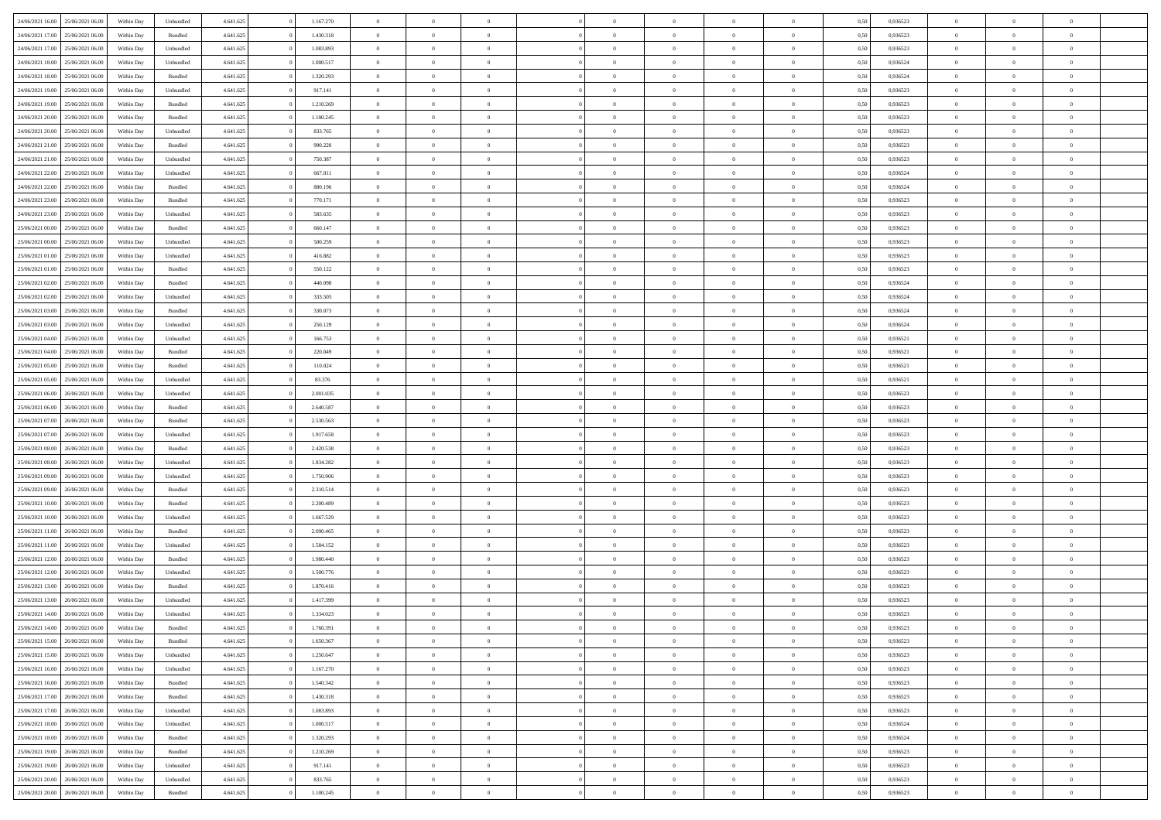| 24/06/2021 16:00 | 25/06/2021 06:00 | Within Day | Unbundled          | 4.641.625 | 1.167.270 | $\overline{0}$ | $\theta$       |                | $\Omega$       | $\Omega$       | $\theta$       | $\theta$       | 0,50 | 0,936523 | $\theta$       | $\overline{0}$ | $\theta$       |  |
|------------------|------------------|------------|--------------------|-----------|-----------|----------------|----------------|----------------|----------------|----------------|----------------|----------------|------|----------|----------------|----------------|----------------|--|
| 24/06/2021 17:00 | 25/06/2021 06:00 | Within Day | Bundled            | 4.641.625 | 1.430.318 | $\overline{0}$ | $\theta$       | $\overline{0}$ | $\overline{0}$ | $\bf{0}$       | $\overline{0}$ | $\bf{0}$       | 0,50 | 0,936523 | $\theta$       | $\overline{0}$ | $\overline{0}$ |  |
| 24/06/2021 17:00 | 25/06/2021 06:00 | Within Day | Unbundled          | 4.641.625 | 1.083.893 | $\overline{0}$ | $\bf{0}$       | $\overline{0}$ | $\bf{0}$       | $\bf{0}$       | $\bf{0}$       | $\mathbf{0}$   | 0,50 | 0,936523 | $\overline{0}$ | $\overline{0}$ | $\bf{0}$       |  |
| 24/06/2021 18:00 | 25/06/2021 06:00 | Within Day | Unbundled          | 4.641.625 | 1.000.517 | $\overline{0}$ | $\overline{0}$ | $\overline{0}$ | $\overline{0}$ | $\bf{0}$       | $\overline{0}$ | $\overline{0}$ | 0.50 | 0.936524 | $\theta$       | $\theta$       | $\overline{0}$ |  |
| 24/06/2021 18:00 | 25/06/2021 06:00 |            | Bundled            | 4.641.625 | 1.320.293 | $\overline{0}$ | $\theta$       | $\overline{0}$ | $\overline{0}$ | $\bf{0}$       | $\overline{0}$ |                |      | 0,936524 | $\theta$       | $\overline{0}$ | $\overline{0}$ |  |
|                  |                  | Within Day |                    |           |           |                |                |                |                |                |                | $\bf{0}$       | 0,50 |          |                |                |                |  |
| 24/06/2021 19:00 | 25/06/2021 06:00 | Within Day | Unbundled          | 4.641.625 | 917.141   | $\overline{0}$ | $\overline{0}$ | $\overline{0}$ | $\bf{0}$       | $\overline{0}$ | $\overline{0}$ | $\mathbf{0}$   | 0,50 | 0,936523 | $\overline{0}$ | $\overline{0}$ | $\bf{0}$       |  |
| 24/06/2021 19:00 | 25/06/2021 06:00 | Within Dav | Bundled            | 4.641.625 | 1.210.269 | $\overline{0}$ | $\overline{0}$ | $\overline{0}$ | $\overline{0}$ | $\overline{0}$ | $\overline{0}$ | $\overline{0}$ | 0.50 | 0.936523 | $\theta$       | $\overline{0}$ | $\overline{0}$ |  |
| 24/06/2021 20:00 | 25/06/2021 06:00 | Within Day | Bundled            | 4.641.625 | 1.100.245 | $\overline{0}$ | $\theta$       | $\overline{0}$ | $\overline{0}$ | $\bf{0}$       | $\overline{0}$ | $\bf{0}$       | 0,50 | 0,936523 | $\theta$       | $\theta$       | $\overline{0}$ |  |
| 24/06/2021 20:00 | 25/06/2021 06:00 | Within Day | Unbundled          | 4.641.625 | 833.765   | $\overline{0}$ | $\overline{0}$ | $\overline{0}$ | $\bf{0}$       | $\bf{0}$       | $\bf{0}$       | $\mathbf{0}$   | 0,50 | 0,936523 | $\,0\,$        | $\overline{0}$ | $\overline{0}$ |  |
| 24/06/2021 21:00 | 25/06/2021 06:00 | Within Dav | Bundled            | 4.641.625 | 990.220   | $\overline{0}$ | $\overline{0}$ | $\overline{0}$ | $\overline{0}$ | $\overline{0}$ | $\overline{0}$ | $\overline{0}$ | 0.50 | 0.936523 | $\theta$       | $\overline{0}$ | $\overline{0}$ |  |
| 24/06/2021 21:00 | 25/06/2021 06:00 | Within Day | Unbundled          | 4.641.625 | 750.387   | $\overline{0}$ | $\theta$       | $\overline{0}$ | $\overline{0}$ | $\bf{0}$       | $\overline{0}$ | $\bf{0}$       | 0,50 | 0,936523 | $\,$ 0 $\,$    | $\overline{0}$ | $\overline{0}$ |  |
|                  |                  |            |                    |           |           |                |                |                |                |                |                |                |      |          |                |                |                |  |
| 24/06/2021 22.00 | 25/06/2021 06:00 | Within Day | Unbundled          | 4.641.625 | 667.011   | $\overline{0}$ | $\overline{0}$ | $\overline{0}$ | $\bf{0}$       | $\bf{0}$       | $\bf{0}$       | $\mathbf{0}$   | 0,50 | 0,936524 | $\overline{0}$ | $\overline{0}$ | $\bf{0}$       |  |
| 24/06/2021 22:00 | 25/06/2021 06:00 | Within Day | Bundled            | 4.641.625 | 880.196   | $\overline{0}$ | $\overline{0}$ | $\overline{0}$ | $\overline{0}$ | $\bf{0}$       | $\overline{0}$ | $\overline{0}$ | 0.50 | 0.936524 | $\theta$       | $\theta$       | $\overline{0}$ |  |
| 24/06/2021 23:00 | 25/06/2021 06:00 | Within Day | Bundled            | 4.641.625 | 770.171   | $\overline{0}$ | $\theta$       | $\overline{0}$ | $\overline{0}$ | $\bf{0}$       | $\overline{0}$ | $\bf{0}$       | 0,50 | 0,936523 | $\theta$       | $\overline{0}$ | $\overline{0}$ |  |
| 24/06/2021 23:00 | 25/06/2021 06:00 | Within Day | Unbundled          | 4.641.625 | 583.635   | $\overline{0}$ | $\overline{0}$ | $\overline{0}$ | $\bf{0}$       | $\overline{0}$ | $\overline{0}$ | $\mathbf{0}$   | 0,50 | 0,936523 | $\overline{0}$ | $\overline{0}$ | $\bf{0}$       |  |
| 25/06/2021 00:00 | 25/06/2021 06:00 | Within Dav | Bundled            | 4.641.625 | 660.147   | $\overline{0}$ | $\overline{0}$ | $\overline{0}$ | $\overline{0}$ | $\overline{0}$ | $\overline{0}$ | $\overline{0}$ | 0.50 | 0.936523 | $\theta$       | $\overline{0}$ | $\overline{0}$ |  |
| 25/06/2021 00:00 | 25/06/2021 06:00 | Within Day | Unbundled          | 4.641.625 | 500.259   | $\overline{0}$ | $\theta$       | $\overline{0}$ | $\overline{0}$ | $\bf{0}$       | $\overline{0}$ | $\bf{0}$       | 0,50 | 0,936523 | $\theta$       | $\theta$       | $\overline{0}$ |  |
| 25/06/2021 01:00 | 25/06/2021 06:00 | Within Day | Unbundled          | 4.641.625 | 416.882   | $\overline{0}$ | $\overline{0}$ | $\overline{0}$ | $\bf{0}$       | $\bf{0}$       | $\bf{0}$       | $\mathbf{0}$   | 0,50 | 0,936523 | $\,0\,$        | $\overline{0}$ | $\bf{0}$       |  |
| 25/06/2021 01:00 | 25/06/2021 06:00 | Within Day | Bundled            | 4.641.625 | 550.122   | $\overline{0}$ | $\overline{0}$ | $\overline{0}$ | $\overline{0}$ | $\overline{0}$ | $\overline{0}$ | $\overline{0}$ | 0.50 | 0.936523 | $\theta$       | $\overline{0}$ | $\overline{0}$ |  |
|                  |                  |            |                    |           |           |                |                |                |                |                |                |                |      |          |                |                |                |  |
| 25/06/2021 02:00 | 25/06/2021 06:00 | Within Day | Bundled            | 4.641.625 | 440.098   | $\overline{0}$ | $\theta$       | $\overline{0}$ | $\overline{0}$ | $\bf{0}$       | $\overline{0}$ | $\bf{0}$       | 0,50 | 0,936524 | $\,$ 0 $\,$    | $\overline{0}$ | $\overline{0}$ |  |
| 25/06/2021 02:00 | 25/06/2021 06:00 | Within Day | Unbundled          | 4.641.625 | 333.505   | $\overline{0}$ | $\overline{0}$ | $\overline{0}$ | $\bf{0}$       | $\bf{0}$       | $\bf{0}$       | $\mathbf{0}$   | 0,50 | 0,936524 | $\overline{0}$ | $\overline{0}$ | $\bf{0}$       |  |
| 25/06/2021 03:00 | 25/06/2021 06:00 | Within Day | Bundled            | 4.641.625 | 330.073   | $\overline{0}$ | $\overline{0}$ | $\overline{0}$ | $\overline{0}$ | $\overline{0}$ | $\overline{0}$ | $\overline{0}$ | 0.50 | 0.936524 | $\theta$       | $\overline{0}$ | $\overline{0}$ |  |
| 25/06/2021 03:00 | 25/06/2021 06:00 | Within Day | Unbundled          | 4.641.625 | 250.129   | $\overline{0}$ | $\theta$       | $\overline{0}$ | $\overline{0}$ | $\bf{0}$       | $\overline{0}$ | $\,$ 0 $\,$    | 0,50 | 0,936524 | $\,$ 0 $\,$    | $\overline{0}$ | $\overline{0}$ |  |
| 25/06/2021 04:00 | 25/06/2021 06:00 | Within Day | Unbundled          | 4.641.625 | 166.753   | $\overline{0}$ | $\overline{0}$ | $\overline{0}$ | $\bf{0}$       | $\overline{0}$ | $\overline{0}$ | $\mathbf{0}$   | 0,50 | 0,936521 | $\overline{0}$ | $\overline{0}$ | $\bf{0}$       |  |
| 25/06/2021 04:00 | 25/06/2021 06:00 | Within Dav | Bundled            | 4.641.625 | 220.049   | $\overline{0}$ | $\overline{0}$ | $\overline{0}$ | $\overline{0}$ | $\overline{0}$ | $\overline{0}$ | $\overline{0}$ | 0.50 | 0,936521 | $\theta$       | $\overline{0}$ | $\overline{0}$ |  |
| 25/06/2021 05:00 | 25/06/2021 06:00 | Within Day | Bundled            | 4.641.625 | 110.024   | $\overline{0}$ | $\theta$       | $\overline{0}$ | $\overline{0}$ | $\bf{0}$       | $\overline{0}$ | $\bf{0}$       | 0,50 | 0,936521 | $\theta$       | $\theta$       | $\overline{0}$ |  |
|                  |                  |            |                    |           |           |                |                |                |                |                |                |                |      |          |                |                |                |  |
| 25/06/2021 05:00 | 25/06/2021 06:00 | Within Day | Unbundled          | 4.641.625 | 83.376    | $\overline{0}$ | $\overline{0}$ | $\overline{0}$ | $\bf{0}$       | $\bf{0}$       | $\bf{0}$       | $\mathbf{0}$   | 0,50 | 0,936521 | $\,0\,$        | $\overline{0}$ | $\overline{0}$ |  |
| 25/06/2021 06:00 | 26/06/2021 06:00 | Within Day | Unbundled          | 4.641.625 | 2.001.035 | $\overline{0}$ | $\overline{0}$ | $\overline{0}$ | $\overline{0}$ | $\overline{0}$ | $\overline{0}$ | $\overline{0}$ | 0.50 | 0.936523 | $\theta$       | $\overline{0}$ | $\overline{0}$ |  |
| 25/06/2021 06:00 | 26/06/2021 06:00 | Within Day | Bundled            | 4.641.625 | 2.640.587 | $\overline{0}$ | $\theta$       | $\overline{0}$ | $\overline{0}$ | $\bf{0}$       | $\overline{0}$ | $\bf{0}$       | 0,50 | 0,936523 | $\,$ 0 $\,$    | $\overline{0}$ | $\overline{0}$ |  |
| 25/06/2021 07:00 | 26/06/2021 06:00 | Within Day | Bundled            | 4.641.625 | 2.530.563 | $\overline{0}$ | $\overline{0}$ | $\overline{0}$ | $\bf{0}$       | $\bf{0}$       | $\bf{0}$       | $\mathbf{0}$   | 0,50 | 0,936523 | $\overline{0}$ | $\overline{0}$ | $\bf{0}$       |  |
| 25/06/2021 07:00 | 26/06/2021 06:00 | Within Day | Unbundled          | 4.641.625 | 1.917.658 | $\overline{0}$ | $\Omega$       | $\overline{0}$ | $\Omega$       | $\Omega$       | $\overline{0}$ | $\overline{0}$ | 0,50 | 0,936523 | $\,0\,$        | $\theta$       | $\theta$       |  |
| 25/06/2021 08:00 | 26/06/2021 06:00 | Within Day | Bundled            | 4.641.625 | 2.420.538 | $\overline{0}$ | $\theta$       | $\overline{0}$ | $\overline{0}$ | $\bf{0}$       | $\overline{0}$ | $\bf{0}$       | 0,50 | 0,936523 | $\theta$       | $\overline{0}$ | $\overline{0}$ |  |
| 25/06/2021 08:00 | 26/06/2021 06:00 | Within Day | Unbundled          | 4.641.625 | 1.834.282 | $\overline{0}$ | $\overline{0}$ | $\overline{0}$ | $\bf{0}$       | $\overline{0}$ | $\overline{0}$ | $\mathbf{0}$   | 0,50 | 0,936523 | $\overline{0}$ | $\overline{0}$ | $\bf{0}$       |  |
|                  |                  |            |                    |           |           |                | $\Omega$       |                |                |                |                |                |      |          |                |                | $\theta$       |  |
| 25/06/2021 09:00 | 26/06/2021 06:00 | Within Day | Unbundled          | 4.641.625 | 1.750.906 | $\overline{0}$ |                | $\Omega$       | $\Omega$       | $\overline{0}$ | $\overline{0}$ | $\overline{0}$ | 0.50 | 0.936523 | $\,0\,$        | $\theta$       |                |  |
| 25/06/2021 09:00 | 26/06/2021 06:00 | Within Day | Bundled            | 4.641.625 | 2.310.514 | $\overline{0}$ | $\theta$       | $\overline{0}$ | $\overline{0}$ | $\bf{0}$       | $\overline{0}$ | $\bf{0}$       | 0,50 | 0,936523 | $\theta$       | $\overline{0}$ | $\overline{0}$ |  |
| 25/06/2021 10:00 | 26/06/2021 06:00 | Within Day | Bundled            | 4.641.625 | 2.200.489 | $\overline{0}$ | $\overline{0}$ | $\overline{0}$ | $\bf{0}$       | $\bf{0}$       | $\bf{0}$       | $\mathbf{0}$   | 0,50 | 0,936523 | $\bf{0}$       | $\overline{0}$ | $\bf{0}$       |  |
| 25/06/2021 10:00 | 26/06/2021 06:00 | Within Day | Unbundled          | 4.641.625 | 1.667.529 | $\overline{0}$ | $\Omega$       | $\Omega$       | $\Omega$       | $\overline{0}$ | $\overline{0}$ | $\overline{0}$ | 0.50 | 0.936523 | $\,$ 0 $\,$    | $\theta$       | $\theta$       |  |
| 25/06/2021 11:00 | 26/06/2021 06:00 | Within Day | Bundled            | 4.641.625 | 2.090.465 | $\overline{0}$ | $\theta$       | $\overline{0}$ | $\overline{0}$ | $\,$ 0         | $\overline{0}$ | $\bf{0}$       | 0,50 | 0,936523 | $\,$ 0 $\,$    | $\overline{0}$ | $\overline{0}$ |  |
| 25/06/2021 11:00 | 26/06/2021 06:00 | Within Day | Unbundled          | 4.641.625 | 1.584.152 | $\overline{0}$ | $\bf{0}$       | $\overline{0}$ | $\bf{0}$       | $\bf{0}$       | $\bf{0}$       | $\mathbf{0}$   | 0,50 | 0,936523 | $\overline{0}$ | $\overline{0}$ | $\bf{0}$       |  |
| 25/06/2021 12:00 | 26/06/2021 06:00 | Within Day | Bundled            | 4.641.625 | 1.980.440 | $\overline{0}$ | $\Omega$       | $\overline{0}$ | $\Omega$       | $\overline{0}$ | $\overline{0}$ | $\overline{0}$ | 0,50 | 0,936523 | $\,0\,$        | $\theta$       | $\theta$       |  |
| 25/06/2021 12:00 | 26/06/2021 06:00 | Within Day | Unbundled          | 4.641.625 | 1.500.776 | $\overline{0}$ | $\overline{0}$ | $\overline{0}$ | $\overline{0}$ | $\,$ 0         | $\overline{0}$ | $\bf{0}$       | 0,50 | 0,936523 | $\,$ 0 $\,$    | $\overline{0}$ | $\overline{0}$ |  |
| 25/06/2021 13:00 | 26/06/2021 06:00 | Within Day | Bundled            | 4.641.625 | 1.870.416 | $\overline{0}$ | $\overline{0}$ | $\overline{0}$ | $\bf{0}$       | $\bf{0}$       | $\bf{0}$       | $\mathbf{0}$   | 0,50 | 0,936523 | $\overline{0}$ | $\overline{0}$ | $\bf{0}$       |  |
|                  |                  |            |                    |           |           |                |                |                |                |                |                |                |      |          |                |                |                |  |
| 25/06/2021 13:00 | 26/06/2021 06:00 | Within Day | Unbundled          | 4.641.625 | 1.417.399 | $\overline{0}$ | $\Omega$       | $\Omega$       | $\Omega$       | $\Omega$       | $\Omega$       | $\overline{0}$ | 0.50 | 0.936523 | $\theta$       | $\theta$       | $\theta$       |  |
| 25/06/2021 14:00 | 26/06/2021 06:00 | Within Day | Unbundled          | 4.641.625 | 1.334.023 | $\overline{0}$ | $\overline{0}$ | $\overline{0}$ | $\bf{0}$       | $\,$ 0         | $\bf{0}$       | $\bf{0}$       | 0,50 | 0,936523 | $\,0\,$        | $\,$ 0 $\,$    | $\overline{0}$ |  |
| 25/06/2021 14:00 | 26/06/2021 06:00 | Within Day | $\mathbf B$ undled | 4.641.625 | 1.760.391 | $\bf{0}$       | $\bf{0}$       |                |                | $\bf{0}$       |                |                | 0,50 | 0,936523 | $\bf{0}$       | $\overline{0}$ |                |  |
| 25/06/2021 15:00 | 26/06/2021 06:00 | Within Day | Bundled            | 4.641.625 | 1.650.367 | $\overline{0}$ | $\overline{0}$ | $\overline{0}$ | $\Omega$       | $\overline{0}$ | $\overline{0}$ | $\overline{0}$ | 0.50 | 0.936523 | $\theta$       | $\theta$       | $\theta$       |  |
| 25/06/2021 15:00 | 26/06/2021 06:00 | Within Day | Unbundled          | 4.641.625 | 1.250.647 | $\overline{0}$ | $\,$ 0         | $\overline{0}$ | $\bf{0}$       | $\,$ 0 $\,$    | $\overline{0}$ | $\mathbf{0}$   | 0,50 | 0,936523 | $\,$ 0 $\,$    | $\,$ 0 $\,$    | $\,$ 0         |  |
| 25/06/2021 16:00 | 26/06/2021 06:00 | Within Day | Unbundled          | 4.641.625 | 1.167.270 | $\overline{0}$ | $\overline{0}$ | $\overline{0}$ | $\overline{0}$ | $\overline{0}$ | $\overline{0}$ | $\mathbf{0}$   | 0,50 | 0,936523 | $\overline{0}$ | $\bf{0}$       | $\bf{0}$       |  |
| 25/06/2021 16:00 | 26/06/2021 06:00 | Within Day | Bundled            | 4.641.625 | 1.540.342 | $\overline{0}$ | $\overline{0}$ | $\overline{0}$ | $\Omega$       | $\overline{0}$ | $\overline{0}$ | $\bf{0}$       | 0,50 | 0,936523 | $\overline{0}$ | $\theta$       | $\overline{0}$ |  |
| 25/06/2021 17:00 | 26/06/2021 06:00 | Within Day | Bundled            | 4.641.625 | 1.430.318 | $\overline{0}$ | $\,$ 0         | $\overline{0}$ | $\overline{0}$ | $\overline{0}$ | $\overline{0}$ | $\bf{0}$       | 0,50 | 0,936523 | $\,$ 0 $\,$    | $\overline{0}$ | $\overline{0}$ |  |
|                  |                  |            |                    |           |           |                |                |                |                |                |                |                |      |          |                |                |                |  |
| 25/06/2021 17:00 | 26/06/2021 06:00 | Within Day | Unbundled          | 4.641.625 | 1.083.893 | $\overline{0}$ | $\overline{0}$ | $\overline{0}$ | $\overline{0}$ | $\overline{0}$ | $\overline{0}$ | $\mathbf{0}$   | 0,50 | 0,936523 | $\overline{0}$ | $\overline{0}$ | $\bf{0}$       |  |
| 25/06/2021 18:00 | 26/06/2021 06:00 | Within Day | Unbundled          | 4.641.625 | 1.000.517 | $\overline{0}$ | $\overline{0}$ | $\overline{0}$ | $\Omega$       | $\overline{0}$ | $\overline{0}$ | $\bf{0}$       | 0.50 | 0,936524 | $\overline{0}$ | $\theta$       | $\overline{0}$ |  |
| 25/06/2021 18:00 | 26/06/2021 06:00 | Within Day | Bundled            | 4.641.625 | 1.320.293 | $\overline{0}$ | $\,$ 0         | $\overline{0}$ | $\bf{0}$       | $\bf{0}$       | $\bf{0}$       | $\bf{0}$       | 0,50 | 0,936524 | $\,$ 0 $\,$    | $\overline{0}$ | $\overline{0}$ |  |
| 25/06/2021 19:00 | 26/06/2021 06:00 | Within Day | Bundled            | 4.641.625 | 1.210.269 | $\overline{0}$ | $\bf{0}$       | $\overline{0}$ | $\overline{0}$ | $\overline{0}$ | $\overline{0}$ | $\mathbf{0}$   | 0,50 | 0,936523 | $\overline{0}$ | $\overline{0}$ | $\bf{0}$       |  |
| 25/06/2021 19:00 | 26/06/2021 06:00 | Within Day | Unbundled          | 4.641.625 | 917.141   | $\overline{0}$ | $\overline{0}$ | $\overline{0}$ | $\Omega$       | $\overline{0}$ | $\overline{0}$ | $\bf{0}$       | 0.50 | 0.936523 | $\overline{0}$ | $\theta$       | $\overline{0}$ |  |
| 25/06/2021 20:00 | 26/06/2021 06:00 | Within Day | Unbundled          | 4.641.625 | 833.765   | $\overline{0}$ | $\,$ 0 $\,$    | $\overline{0}$ | $\overline{0}$ | $\bf{0}$       | $\bf{0}$       | $\bf{0}$       | 0,50 | 0,936523 | $\,$ 0 $\,$    | $\,$ 0 $\,$    | $\bf{0}$       |  |
| 25/06/2021 20:00 | 26/06/2021 06:00 | Within Day | Bundled            | 4.641.625 | 1.100.245 | $\overline{0}$ | $\bf{0}$       | $\overline{0}$ | $\bf{0}$       | $\bf{0}$       | $\bf{0}$       | $\bf{0}$       | 0,50 | 0,936523 | $\overline{0}$ | $\overline{0}$ | $\bf{0}$       |  |
|                  |                  |            |                    |           |           |                |                |                |                |                |                |                |      |          |                |                |                |  |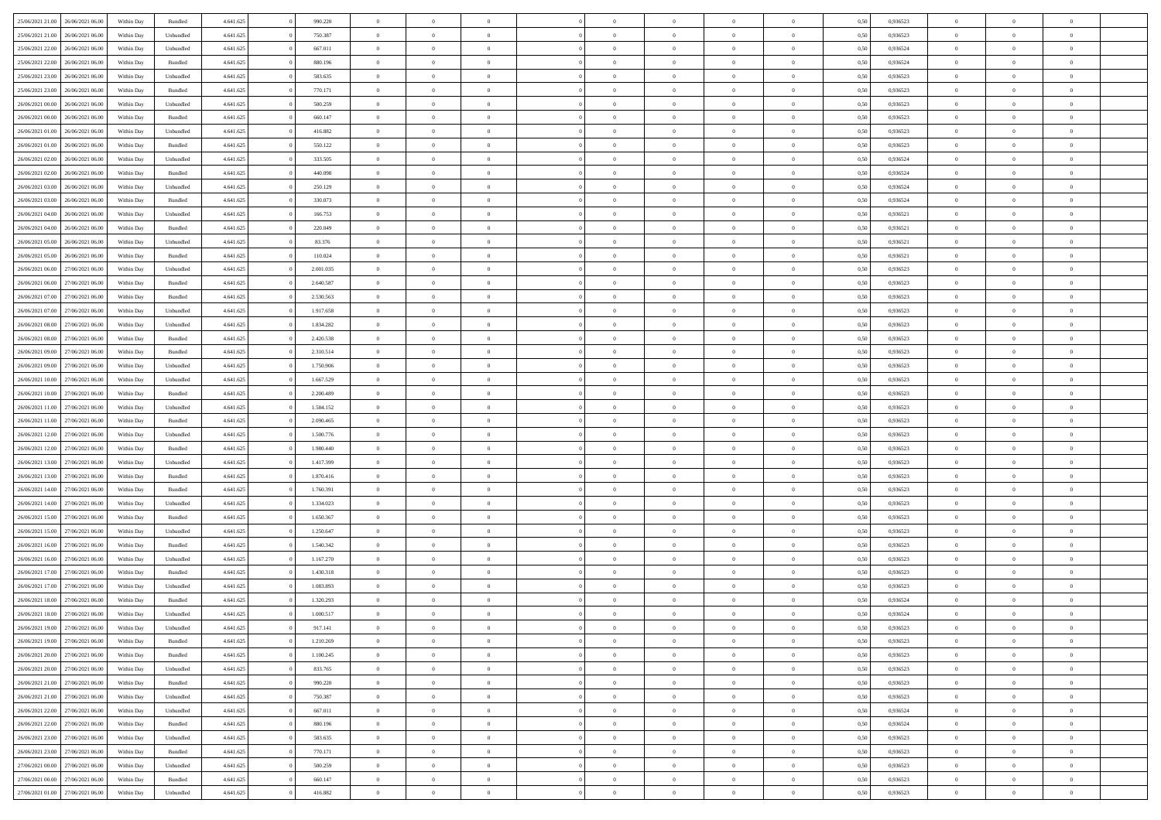| 25/06/2021 21:00                  | 26/06/2021 06:00 | Within Day | Bundled            | 4.641.625 | 990.220   | $\overline{0}$ | $\Omega$       |                | $\Omega$       | $\Omega$       | $\theta$       | $\theta$       | 0.50 | 0,936523 | $\theta$       | $\theta$       | $\theta$       |  |
|-----------------------------------|------------------|------------|--------------------|-----------|-----------|----------------|----------------|----------------|----------------|----------------|----------------|----------------|------|----------|----------------|----------------|----------------|--|
| 25/06/2021 21:00                  | 26/06/2021 06:00 | Within Day | Unbundled          | 4.641.625 | 750.387   | $\overline{0}$ | $\theta$       | $\overline{0}$ | $\overline{0}$ | $\bf{0}$       | $\overline{0}$ | $\bf{0}$       | 0,50 | 0,936523 | $\theta$       | $\overline{0}$ | $\overline{0}$ |  |
| 25/06/2021 22:00                  | 26/06/2021 06:00 | Within Day | Unbundled          | 4.641.625 | 667.011   | $\overline{0}$ | $\bf{0}$       | $\overline{0}$ | $\bf{0}$       | $\bf{0}$       | $\bf{0}$       | $\mathbf{0}$   | 0,50 | 0,936524 | $\bf{0}$       | $\overline{0}$ | $\bf{0}$       |  |
| 25/06/2021 22:00                  | 26/06/2021 06:00 | Within Dav | Bundled            | 4.641.625 | 880,196   | $\overline{0}$ | $\overline{0}$ | $\overline{0}$ | $\overline{0}$ | $\bf{0}$       | $\overline{0}$ | $\overline{0}$ | 0.50 | 0.936524 | $\theta$       | $\theta$       | $\overline{0}$ |  |
| 25/06/2021 23:00                  | 26/06/2021 06:00 |            |                    | 4.641.625 | 583.635   | $\overline{0}$ | $\theta$       | $\overline{0}$ | $\overline{0}$ | $\bf{0}$       | $\overline{0}$ |                |      | 0,936523 | $\theta$       | $\overline{0}$ | $\overline{0}$ |  |
|                                   |                  | Within Day | Unbundled          |           |           |                |                |                |                |                |                | $\bf{0}$       | 0,50 |          |                |                |                |  |
| 25/06/2021 23:00                  | 26/06/2021 06:00 | Within Day | Bundled            | 4.641.625 | 770.171   | $\overline{0}$ | $\overline{0}$ | $\overline{0}$ | $\bf{0}$       | $\overline{0}$ | $\overline{0}$ | $\mathbf{0}$   | 0,50 | 0,936523 | $\bf{0}$       | $\overline{0}$ | $\bf{0}$       |  |
| 26/06/2021 00:00                  | 26/06/2021 06:00 | Within Dav | Unbundled          | 4.641.625 | 500.259   | $\overline{0}$ | $\overline{0}$ | $\overline{0}$ | $\overline{0}$ | $\overline{0}$ | $\overline{0}$ | $\overline{0}$ | 0.50 | 0.936523 | $\theta$       | $\overline{0}$ | $\overline{0}$ |  |
| 26/06/2021 00:00                  | 26/06/2021 06:00 | Within Day | Bundled            | 4.641.625 | 660.147   | $\overline{0}$ | $\theta$       | $\overline{0}$ | $\overline{0}$ | $\bf{0}$       | $\overline{0}$ | $\bf{0}$       | 0,50 | 0,936523 | $\theta$       | $\theta$       | $\overline{0}$ |  |
| 26/06/2021 01:00                  | 26/06/2021 06:00 | Within Day | Unbundled          | 4.641.625 | 416.882   | $\overline{0}$ | $\overline{0}$ | $\overline{0}$ | $\bf{0}$       | $\bf{0}$       | $\bf{0}$       | $\bf{0}$       | 0,50 | 0,936523 | $\,0\,$        | $\overline{0}$ | $\overline{0}$ |  |
| 26/06/2021 01:00                  | 26/06/2021 06:00 | Within Dav | Bundled            | 4.641.625 | 550.122   | $\overline{0}$ | $\overline{0}$ | $\overline{0}$ | $\overline{0}$ | $\overline{0}$ | $\overline{0}$ | $\overline{0}$ | 0.50 | 0.936523 | $\theta$       | $\overline{0}$ | $\overline{0}$ |  |
| 26/06/2021 02:00                  | 26/06/2021 06:00 |            |                    | 4.641.625 | 333.505   | $\overline{0}$ | $\theta$       | $\overline{0}$ | $\overline{0}$ | $\bf{0}$       | $\overline{0}$ |                |      | 0,936524 | $\,$ 0 $\,$    | $\overline{0}$ | $\overline{0}$ |  |
|                                   |                  | Within Day | Unbundled          |           |           |                |                |                |                |                |                | $\bf{0}$       | 0,50 |          |                |                |                |  |
| 26/06/2021 02:00                  | 26/06/2021 06:00 | Within Day | Bundled            | 4.641.625 | 440.098   | $\overline{0}$ | $\bf{0}$       | $\overline{0}$ | $\bf{0}$       | $\bf{0}$       | $\bf{0}$       | $\mathbf{0}$   | 0,50 | 0,936524 | $\bf{0}$       | $\overline{0}$ | $\bf{0}$       |  |
| 26/06/2021 03:00                  | 26/06/2021 06:00 | Within Day | Unbundled          | 4.641.625 | 250.129   | $\overline{0}$ | $\overline{0}$ | $\overline{0}$ | $\overline{0}$ | $\bf{0}$       | $\overline{0}$ | $\overline{0}$ | 0.50 | 0.936524 | $\theta$       | $\theta$       | $\overline{0}$ |  |
| 26/06/2021 03:00                  | 26/06/2021 06:00 | Within Day | Bundled            | 4.641.625 | 330.073   | $\overline{0}$ | $\theta$       | $\overline{0}$ | $\overline{0}$ | $\bf{0}$       | $\overline{0}$ | $\bf{0}$       | 0,50 | 0,936524 | $\theta$       | $\overline{0}$ | $\overline{0}$ |  |
| 26/06/2021 04:00                  | 26/06/2021 06:00 | Within Day | Unbundled          | 4.641.625 | 166.753   | $\overline{0}$ | $\overline{0}$ | $\overline{0}$ | $\bf{0}$       | $\overline{0}$ | $\overline{0}$ | $\mathbf{0}$   | 0,50 | 0,936521 | $\bf{0}$       | $\overline{0}$ | $\bf{0}$       |  |
| 26/06/2021 04:00                  | 26/06/2021 06:00 | Within Dav | Bundled            | 4.641.625 | 220.049   | $\overline{0}$ | $\overline{0}$ | $\overline{0}$ | $\overline{0}$ | $\overline{0}$ | $\overline{0}$ | $\overline{0}$ | 0.50 | 0,936521 | $\theta$       | $\overline{0}$ | $\overline{0}$ |  |
| 26/06/2021 05:00                  | 26/06/2021 06:00 | Within Day | Unbundled          | 4.641.625 | 83.376    | $\overline{0}$ | $\theta$       | $\overline{0}$ | $\overline{0}$ | $\bf{0}$       | $\overline{0}$ | $\bf{0}$       | 0,50 | 0,936521 | $\theta$       | $\theta$       | $\overline{0}$ |  |
| 26/06/2021 05:00                  | 26/06/2021 06:00 | Within Day | Bundled            | 4.641.625 | 110.024   | $\overline{0}$ | $\overline{0}$ | $\overline{0}$ | $\bf{0}$       | $\bf{0}$       | $\bf{0}$       | $\bf{0}$       | 0,50 | 0,936521 | $\,0\,$        | $\overline{0}$ | $\overline{0}$ |  |
| 26/06/2021 06:00                  | 27/06/2021 06:00 | Within Dav | Unbundled          | 4.641.625 | 2.001.035 | $\overline{0}$ | $\overline{0}$ | $\overline{0}$ | $\overline{0}$ | $\overline{0}$ | $\overline{0}$ | $\overline{0}$ | 0.50 | 0.936523 | $\theta$       | $\overline{0}$ | $\overline{0}$ |  |
|                                   |                  |            |                    |           |           |                |                |                |                |                |                |                |      |          |                |                |                |  |
| 26/06/2021 06:00                  | 27/06/2021 06.00 | Within Day | Bundled            | 4.641.625 | 2.640.587 | $\overline{0}$ | $\theta$       | $\overline{0}$ | $\overline{0}$ | $\bf{0}$       | $\overline{0}$ | $\bf{0}$       | 0,50 | 0,936523 | $\,$ 0 $\,$    | $\overline{0}$ | $\overline{0}$ |  |
| 26/06/2021 07:00                  | 27/06/2021 06:00 | Within Day | Bundled            | 4.641.625 | 2.530.563 | $\overline{0}$ | $\overline{0}$ | $\overline{0}$ | $\bf{0}$       | $\bf{0}$       | $\bf{0}$       | $\bf{0}$       | 0,50 | 0,936523 | $\,0\,$        | $\overline{0}$ | $\bf{0}$       |  |
| 26/06/2021 07:00                  | 27/06/2021 06:00 | Within Day | Unbundled          | 4.641.625 | 1.917.658 | $\overline{0}$ | $\overline{0}$ | $\overline{0}$ | $\overline{0}$ | $\bf{0}$       | $\overline{0}$ | $\overline{0}$ | 0.50 | 0.936523 | $\theta$       | $\overline{0}$ | $\overline{0}$ |  |
| 26/06/2021 08:00                  | 27/06/2021 06.00 | Within Day | Unbundled          | 4.641.625 | 1.834.282 | $\overline{0}$ | $\theta$       | $\overline{0}$ | $\overline{0}$ | $\bf{0}$       | $\overline{0}$ | $\bf{0}$       | 0,50 | 0,936523 | $\theta$       | $\overline{0}$ | $\overline{0}$ |  |
| 26/06/2021 08:00                  | 27/06/2021 06:00 | Within Day | Bundled            | 4.641.625 | 2.420.538 | $\overline{0}$ | $\overline{0}$ | $\overline{0}$ | $\bf{0}$       | $\overline{0}$ | $\overline{0}$ | $\mathbf{0}$   | 0,50 | 0,936523 | $\overline{0}$ | $\overline{0}$ | $\bf{0}$       |  |
| 26/06/2021 09:00                  | 27/06/2021 06:00 | Within Dav | Bundled            | 4.641.625 | 2.310.514 | $\overline{0}$ | $\overline{0}$ | $\overline{0}$ | $\overline{0}$ | $\overline{0}$ | $\overline{0}$ | $\overline{0}$ | 0.50 | 0.936523 | $\theta$       | $\overline{0}$ | $\overline{0}$ |  |
| 26/06/2021 09:00                  | 27/06/2021 06.00 | Within Day | Unbundled          | 4.641.625 | 1.750.906 | $\overline{0}$ | $\theta$       | $\overline{0}$ | $\overline{0}$ | $\bf{0}$       | $\overline{0}$ | $\bf{0}$       | 0,50 | 0,936523 | $\theta$       | $\theta$       | $\overline{0}$ |  |
|                                   |                  |            |                    |           |           |                |                |                |                |                |                |                |      |          |                |                |                |  |
| 26/06/2021 10:00                  | 27/06/2021 06:00 | Within Day | Unbundled          | 4.641.625 | 1.667.529 | $\overline{0}$ | $\overline{0}$ | $\overline{0}$ | $\bf{0}$       | $\bf{0}$       | $\bf{0}$       | $\bf{0}$       | 0,50 | 0,936523 | $\,0\,$        | $\overline{0}$ | $\overline{0}$ |  |
| 26/06/2021 10:00                  | 27/06/2021 06:00 | Within Day | Bundled            | 4.641.625 | 2.200.489 | $\overline{0}$ | $\overline{0}$ | $\overline{0}$ | $\overline{0}$ | $\overline{0}$ | $\overline{0}$ | $\overline{0}$ | 0.50 | 0.936523 | $\theta$       | $\overline{0}$ | $\overline{0}$ |  |
| 26/06/2021 11:00                  | 27/06/2021 06.00 | Within Day | Unbundled          | 4.641.625 | 1.584.152 | $\overline{0}$ | $\theta$       | $\overline{0}$ | $\overline{0}$ | $\bf{0}$       | $\overline{0}$ | $\bf{0}$       | 0,50 | 0,936523 | $\,$ 0 $\,$    | $\overline{0}$ | $\overline{0}$ |  |
| 26/06/2021 11:00                  | 27/06/2021 06:00 | Within Day | Bundled            | 4.641.625 | 2.090.465 | $\overline{0}$ | $\overline{0}$ | $\overline{0}$ | $\bf{0}$       | $\bf{0}$       | $\bf{0}$       | $\bf{0}$       | 0,50 | 0,936523 | $\bf{0}$       | $\overline{0}$ | $\bf{0}$       |  |
| 26/06/2021 12:00                  | 27/06/2021 06:00 | Within Day | Unbundled          | 4.641.625 | 1.500.776 | $\overline{0}$ | $\Omega$       | $\Omega$       | $\Omega$       | $\Omega$       | $\overline{0}$ | $\overline{0}$ | 0,50 | 0,936523 | $\,0\,$        | $\theta$       | $\theta$       |  |
| 26/06/2021 12:00                  | 27/06/2021 06.00 | Within Day | Bundled            | 4.641.625 | 1.980.440 | $\overline{0}$ | $\theta$       | $\overline{0}$ | $\overline{0}$ | $\bf{0}$       | $\overline{0}$ | $\bf{0}$       | 0,50 | 0,936523 | $\theta$       | $\overline{0}$ | $\overline{0}$ |  |
| 26/06/2021 13:00                  | 27/06/2021 06:00 | Within Day | Unbundled          | 4.641.625 | 1.417.399 | $\overline{0}$ | $\overline{0}$ | $\overline{0}$ | $\bf{0}$       | $\overline{0}$ | $\overline{0}$ | $\mathbf{0}$   | 0,50 | 0,936523 | $\bf{0}$       | $\overline{0}$ | $\bf{0}$       |  |
|                                   |                  |            |                    |           |           |                |                |                |                |                |                |                |      |          |                |                |                |  |
| 26/06/2021 13:00                  | 27/06/2021 06:00 | Within Day | Bundled            | 4.641.625 | 1.870.416 | $\overline{0}$ | $\Omega$       | $\Omega$       | $\Omega$       | $\bf{0}$       | $\overline{0}$ | $\overline{0}$ | 0.50 | 0.936523 | $\,0\,$        | $\theta$       | $\theta$       |  |
| 26/06/2021 14:00                  | 27/06/2021 06:00 | Within Day | Bundled            | 4.641.625 | 1.760.391 | $\overline{0}$ | $\theta$       | $\overline{0}$ | $\overline{0}$ | $\bf{0}$       | $\overline{0}$ | $\bf{0}$       | 0,50 | 0,936523 | $\theta$       | $\overline{0}$ | $\overline{0}$ |  |
| 26/06/2021 14:00                  | 27/06/2021 06:00 | Within Day | Unbundled          | 4.641.625 | 1.334.023 | $\overline{0}$ | $\overline{0}$ | $\overline{0}$ | $\bf{0}$       | $\bf{0}$       | $\bf{0}$       | $\bf{0}$       | 0,50 | 0,936523 | $\bf{0}$       | $\overline{0}$ | $\bf{0}$       |  |
| 26/06/2021 15:00                  | 27/06/2021 06:00 | Within Day | Bundled            | 4.641.625 | 1.650.367 | $\overline{0}$ | $\Omega$       | $\Omega$       | $\Omega$       | $\theta$       | $\theta$       | $\overline{0}$ | 0.50 | 0.936523 | $\,$ 0 $\,$    | $\theta$       | $\theta$       |  |
| 26/06/2021 15:00                  | 27/06/2021 06.00 | Within Day | Unbundled          | 4.641.625 | 1.250.647 | $\overline{0}$ | $\theta$       | $\overline{0}$ | $\overline{0}$ | $\bf{0}$       | $\overline{0}$ | $\bf{0}$       | 0,50 | 0,936523 | $\,$ 0 $\,$    | $\overline{0}$ | $\overline{0}$ |  |
| 26/06/2021 16:00                  | 27/06/2021 06:00 | Within Day | Bundled            | 4.641.625 | 1.540.342 | $\overline{0}$ | $\bf{0}$       | $\overline{0}$ | $\bf{0}$       | $\bf{0}$       | $\bf{0}$       | $\mathbf{0}$   | 0,50 | 0,936523 | $\bf{0}$       | $\overline{0}$ | $\bf{0}$       |  |
| 26/06/2021 16:00                  | 27/06/2021 06:00 | Within Day | Unbundled          | 4.641.625 | 1.167.270 | $\overline{0}$ | $\Omega$       | $\Omega$       | $\Omega$       | $\overline{0}$ | $\overline{0}$ | $\overline{0}$ | 0.50 | 0,936523 | $\,0\,$        | $\theta$       | $\theta$       |  |
| 26/06/2021 17:00                  | 27/06/2021 06.00 | Within Day | Bundled            | 4.641.625 | 1.430.318 | $\overline{0}$ | $\theta$       | $\overline{0}$ | $\overline{0}$ | $\bf{0}$       | $\overline{0}$ | $\bf{0}$       | 0,50 | 0,936523 | $\,$ 0 $\,$    | $\overline{0}$ | $\overline{0}$ |  |
|                                   |                  |            |                    |           |           |                |                |                |                |                |                |                |      |          |                |                |                |  |
| 26/06/2021 17.00                  | 27/06/2021 06:00 | Within Day | Unbundled          | 4.641.625 | 1.083.893 | $\overline{0}$ | $\overline{0}$ | $\overline{0}$ | $\bf{0}$       | $\bf{0}$       | $\bf{0}$       | $\mathbf{0}$   | 0,50 | 0,936523 | $\overline{0}$ | $\overline{0}$ | $\bf{0}$       |  |
| 26/06/2021 18:00                  | 27/06/2021 06:00 | Within Day | Bundled            | 4.641.625 | 1.320.293 | $\overline{0}$ | $\Omega$       | $\Omega$       | $\Omega$       | $\Omega$       | $\Omega$       | $\overline{0}$ | 0.50 | 0.936524 | $\theta$       | $\theta$       | $\theta$       |  |
| 26/06/2021 18:00                  | 27/06/2021 06:00 | Within Day | Unbundled          | 4.641.625 | 1.000.517 | $\overline{0}$ | $\overline{0}$ | $\overline{0}$ | $\bf{0}$       | $\,$ 0         | $\bf{0}$       | $\bf{0}$       | 0,50 | 0,936524 | $\,0\,$        | $\,0\,$        | $\overline{0}$ |  |
| 26/06/2021 19:00                  | 27/06/2021 06:00 | Within Day | Unbundled          | 4.641.625 | 917.141   | $\bf{0}$       | $\bf{0}$       |                |                |                |                |                | 0,50 | 0,936523 | $\bf{0}$       | $\overline{0}$ |                |  |
| 26/06/2021 19:00                  | 27/06/2021 06:00 | Within Day | Bundled            | 4.641.625 | 1.210.269 | $\overline{0}$ | $\overline{0}$ | $\overline{0}$ | $\Omega$       | $\overline{0}$ | $\overline{0}$ | $\overline{0}$ | 0.50 | 0.936523 | $\theta$       | $\theta$       | $\theta$       |  |
| 26/06/2021 20:00                  | 27/06/2021 06:00 | Within Day | Bundled            | 4.641.625 | 1.100.245 | $\overline{0}$ | $\,$ 0         | $\overline{0}$ | $\bf{0}$       | $\,$ 0 $\,$    | $\overline{0}$ | $\,$ 0 $\,$    | 0,50 | 0,936523 | $\,$ 0 $\,$    | $\,$ 0 $\,$    | $\,$ 0         |  |
| 26/06/2021 20:00                  | 27/06/2021 06:00 | Within Day | Unbundled          | 4.641.625 | 833.765   | $\overline{0}$ | $\overline{0}$ | $\overline{0}$ | $\overline{0}$ | $\overline{0}$ | $\overline{0}$ | $\mathbf{0}$   | 0,50 | 0,936523 | $\overline{0}$ | $\bf{0}$       | $\bf{0}$       |  |
| 26/06/2021 21:00                  | 27/06/2021 06:00 | Within Day | $\mathbf B$ undled | 4.641.625 | 990.220   | $\overline{0}$ | $\overline{0}$ | $\overline{0}$ | $\Omega$       | $\overline{0}$ | $\overline{0}$ | $\overline{0}$ | 0,50 | 0,936523 | $\overline{0}$ | $\theta$       | $\overline{0}$ |  |
|                                   |                  |            |                    |           |           |                |                |                |                |                |                |                |      |          |                |                |                |  |
| 26/06/2021 21:00                  | 27/06/2021 06:00 | Within Day | Unbundled          | 4.641.625 | 750.387   | $\overline{0}$ | $\,$ 0         | $\overline{0}$ | $\overline{0}$ | $\,$ 0 $\,$    | $\overline{0}$ | $\,$ 0 $\,$    | 0,50 | 0,936523 | $\,$ 0 $\,$    | $\overline{0}$ | $\overline{0}$ |  |
| 26/06/2021 22.00                  | 27/06/2021 06:00 | Within Day | Unbundled          | 4.641.625 | 667.011   | $\overline{0}$ | $\overline{0}$ | $\overline{0}$ | $\overline{0}$ | $\overline{0}$ | $\overline{0}$ | $\mathbf{0}$   | 0,50 | 0,936524 | $\overline{0}$ | $\overline{0}$ | $\bf{0}$       |  |
| 26/06/2021 22:00                  | 27/06/2021 06:00 | Within Day | Bundled            | 4.641.625 | 880.196   | $\overline{0}$ | $\overline{0}$ | $\overline{0}$ | $\Omega$       | $\overline{0}$ | $\overline{0}$ | $\bf{0}$       | 0.50 | 0,936524 | $\overline{0}$ | $\theta$       | $\overline{0}$ |  |
| 26/06/2021 23:00                  | 27/06/2021 06:00 | Within Day | Unbundled          | 4.641.625 | 583.635   | $\overline{0}$ | $\,$ 0         | $\overline{0}$ | $\bf{0}$       | $\bf{0}$       | $\bf{0}$       | $\bf{0}$       | 0,50 | 0,936523 | $\,$ 0 $\,$    | $\overline{0}$ | $\overline{0}$ |  |
| 26/06/2021 23.00                  | 27/06/2021 06:00 | Within Day | Bundled            | 4.641.625 | 770.171   | $\overline{0}$ | $\bf{0}$       | $\overline{0}$ | $\overline{0}$ | $\overline{0}$ | $\overline{0}$ | $\mathbf{0}$   | 0,50 | 0,936523 | $\overline{0}$ | $\overline{0}$ | $\bf{0}$       |  |
| 27/06/2021 00:00                  | 27/06/2021 06:00 | Within Day | Unbundled          | 4.641.625 | 500.259   | $\overline{0}$ | $\overline{0}$ | $\overline{0}$ | $\Omega$       | $\overline{0}$ | $\overline{0}$ | $\overline{0}$ | 0.50 | 0.936523 | $\overline{0}$ | $\theta$       | $\overline{0}$ |  |
| 27/06/2021 00:00                  | 27/06/2021 06:00 | Within Day | Bundled            | 4.641.625 | 660.147   | $\overline{0}$ | $\bf{0}$       | $\overline{0}$ | $\overline{0}$ | $\bf{0}$       | $\bf{0}$       | $\mathbf{0}$   | 0,50 | 0,936523 | $\,$ 0 $\,$    | $\,$ 0 $\,$    | $\bf{0}$       |  |
| 27/06/2021 01:00 27/06/2021 06:00 |                  | Within Day | Unbundled          | 4.641.625 | 416.882   | $\overline{0}$ | $\bf{0}$       | $\overline{0}$ | $\bf{0}$       | $\bf{0}$       | $\bf{0}$       | $\bf{0}$       | 0,50 | 0,936523 | $\overline{0}$ | $\overline{0}$ | $\bf{0}$       |  |
|                                   |                  |            |                    |           |           |                |                |                |                |                |                |                |      |          |                |                |                |  |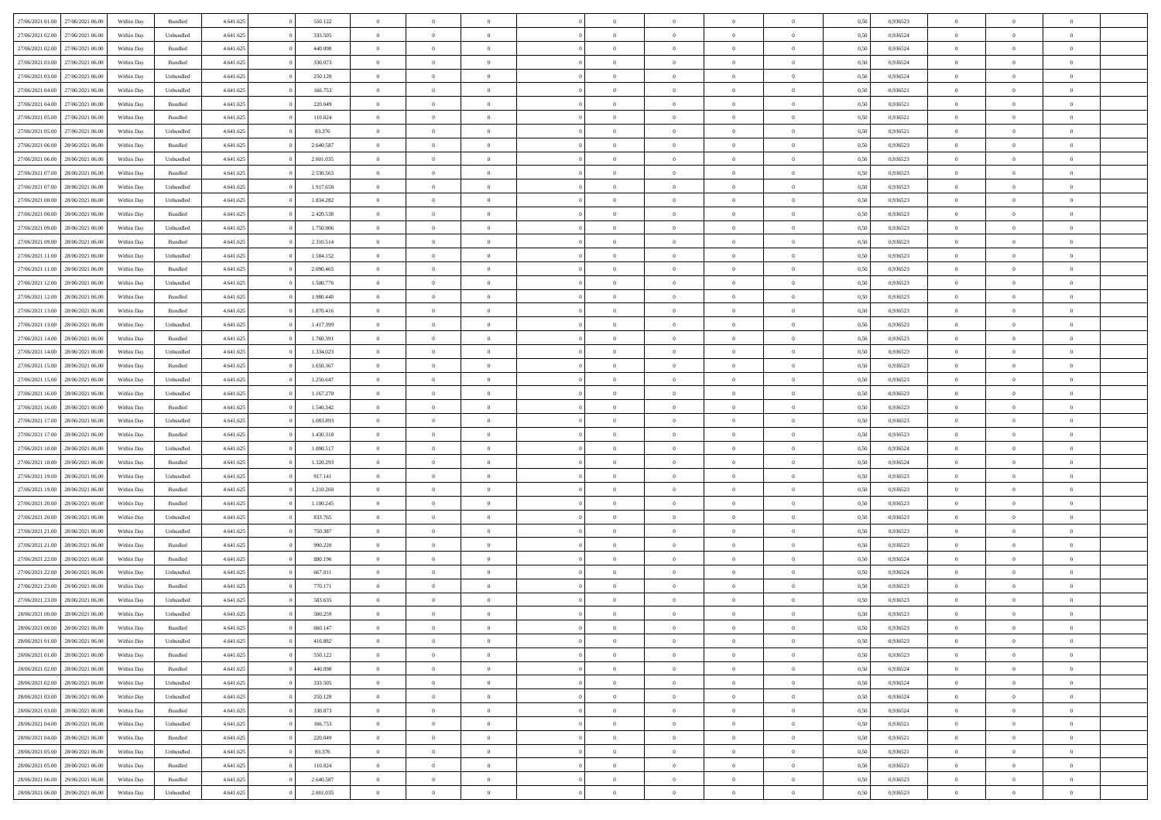| 27/06/2021 01:00 27/06/2021 06:00    | Within Day | Bundled   | 4.641.625 | 550.122   | $\overline{0}$ | $\overline{0}$ | $\Omega$       | $\Omega$       | $\theta$       | $\Omega$       | $\overline{0}$ | 0,50 | 0,936523 | $\theta$       | $\theta$       | $\theta$       |  |
|--------------------------------------|------------|-----------|-----------|-----------|----------------|----------------|----------------|----------------|----------------|----------------|----------------|------|----------|----------------|----------------|----------------|--|
| 27/06/2021 02:00<br>27/06/2021 06:00 | Within Day | Unbundled | 4.641.625 | 333.505   | $\overline{0}$ | $\overline{0}$ | $\overline{0}$ | $\overline{0}$ | $\theta$       | $\overline{0}$ | $\bf{0}$       | 0,50 | 0,936524 | $\theta$       | $\theta$       | $\overline{0}$ |  |
| 27/06/2021 02:00<br>27/06/2021 06:00 | Within Day | Bundled   | 4.641.625 | 440.098   | $\overline{0}$ | $\bf{0}$       | $\overline{0}$ | $\overline{0}$ | $\overline{0}$ | $\overline{0}$ | $\bf{0}$       | 0,50 | 0,936524 | $\bf{0}$       | $\overline{0}$ | $\overline{0}$ |  |
| 27/06/2021 03:00<br>27/06/2021 06:00 | Within Day | Bundled   | 4.641.625 | 330.073   | $\overline{0}$ | $\overline{0}$ | $\overline{0}$ | $\overline{0}$ | $\theta$       | $\overline{0}$ | $\overline{0}$ | 0.50 | 0.936524 | $\theta$       | $\theta$       | $\overline{0}$ |  |
| 27/06/2021 03:00<br>27/06/2021 06:00 | Within Day | Unbundled | 4.641.625 | 250.129   | $\overline{0}$ | $\overline{0}$ | $\overline{0}$ | $\overline{0}$ | $\theta$       | $\overline{0}$ | $\bf{0}$       | 0,50 | 0,936524 | $\theta$       | $\theta$       | $\overline{0}$ |  |
|                                      |            |           |           |           |                |                |                |                |                |                |                |      |          |                |                |                |  |
| 27/06/2021 04:00<br>27/06/2021 06.00 | Within Day | Unbundled | 4.641.625 | 166.753   | $\overline{0}$ | $\bf{0}$       | $\overline{0}$ | $\overline{0}$ | $\overline{0}$ | $\overline{0}$ | $\bf{0}$       | 0,50 | 0,936521 | $\bf{0}$       | $\overline{0}$ | $\bf{0}$       |  |
| 27/06/2021 04:00<br>27/06/2021 06:00 | Within Day | Bundled   | 4.641.625 | 220.049   | $\overline{0}$ | $\overline{0}$ | $\overline{0}$ | $\overline{0}$ | $\overline{0}$ | $\overline{0}$ | $\overline{0}$ | 0.5( | 0,936521 | $\theta$       | $\theta$       | $\overline{0}$ |  |
| 27/06/2021 05:00<br>27/06/2021 06:00 | Within Day | Bundled   | 4.641.625 | 110.024   | $\overline{0}$ | $\theta$       | $\overline{0}$ | $\overline{0}$ | $\theta$       | $\overline{0}$ | $\bf{0}$       | 0,50 | 0,936521 | $\theta$       | $\theta$       | $\overline{0}$ |  |
| 27/06/2021 05:00<br>27/06/2021 06.00 | Within Day | Unbundled | 4.641.625 | 83.376    | $\overline{0}$ | $\bf{0}$       | $\overline{0}$ | $\overline{0}$ | $\overline{0}$ | $\overline{0}$ | $\bf{0}$       | 0,50 | 0,936521 | $\bf{0}$       | $\bf{0}$       | $\overline{0}$ |  |
| 27/06/2021 06:00<br>28/06/2021 06:00 | Within Day | Bundled   | 4.641.625 | 2.640.587 | $\overline{0}$ | $\overline{0}$ | $\overline{0}$ | $\overline{0}$ | $\overline{0}$ | $\overline{0}$ | $\overline{0}$ | 0.50 | 0.936523 | $\theta$       | $\theta$       | $\overline{0}$ |  |
| 27/06/2021 06:00<br>28/06/2021 06:00 | Within Day | Unbundled | 4.641.625 | 2.001.035 | $\bf{0}$       | $\overline{0}$ | $\overline{0}$ | $\overline{0}$ | $\theta$       | $\overline{0}$ | $\bf{0}$       | 0,50 | 0,936523 | $\theta$       | $\theta$       | $\overline{0}$ |  |
| 27/06/2021 07:00<br>28/06/2021 06:00 | Within Day | Bundled   | 4.641.625 | 2.530.563 | $\overline{0}$ | $\bf{0}$       | $\overline{0}$ | $\overline{0}$ | $\bf{0}$       | $\overline{0}$ | $\bf{0}$       | 0,50 | 0,936523 | $\bf{0}$       | $\overline{0}$ | $\overline{0}$ |  |
| 27/06/2021 07:00<br>28/06/2021 06:00 | Within Day | Unbundled | 4.641.625 | 1.917.658 | $\overline{0}$ | $\overline{0}$ | $\overline{0}$ | $\overline{0}$ | $\overline{0}$ | $\overline{0}$ | $\overline{0}$ | 0.5( | 0.936523 | $\theta$       | $\theta$       | $\overline{0}$ |  |
| 27/06/2021 08:00<br>28/06/2021 06:00 | Within Day | Unbundled | 4.641.625 | 1.834.282 | $\overline{0}$ | $\theta$       | $\overline{0}$ | $\overline{0}$ | $\theta$       | $\overline{0}$ | $\bf{0}$       | 0,50 | 0,936523 | $\theta$       | $\theta$       | $\overline{0}$ |  |
| 27/06/2021 08:00<br>28/06/2021 06:00 | Within Day | Bundled   | 4.641.625 | 2.420.538 | $\overline{0}$ | $\bf{0}$       | $\overline{0}$ | $\overline{0}$ | $\overline{0}$ | $\overline{0}$ | $\bf{0}$       | 0,50 | 0,936523 | $\bf{0}$       | $\overline{0}$ | $\bf{0}$       |  |
| 27/06/2021 09:00<br>28/06/2021 06:00 | Within Day | Unbundled | 4.641.625 | 1.750.906 | $\overline{0}$ | $\overline{0}$ | $\overline{0}$ | $\overline{0}$ | $\overline{0}$ | $\overline{0}$ | $\overline{0}$ | 0.5( | 0.936523 | $\theta$       | $\theta$       | $\overline{0}$ |  |
| 27/06/2021 09:00<br>28/06/2021 06:00 | Within Day | Bundled   | 4.641.625 | 2.310.514 | $\bf{0}$       | $\theta$       | $\overline{0}$ | $\overline{0}$ | $\theta$       | $\overline{0}$ | $\bf{0}$       | 0,50 | 0,936523 | $\theta$       | $\theta$       | $\overline{0}$ |  |
| 28/06/2021 06:00                     | Within Day | Unbundled | 4.641.625 | 1.584.152 | $\overline{0}$ | $\bf{0}$       | $\overline{0}$ | $\overline{0}$ | $\overline{0}$ | $\bf{0}$       | $\bf{0}$       | 0,50 | 0,936523 | $\bf{0}$       | $\overline{0}$ | $\overline{0}$ |  |
| 27/06/2021 11:00<br>28/06/2021 06:00 |            | Bundled   | 4.641.625 | 2.090.465 | $\overline{0}$ | $\overline{0}$ |                | $\overline{0}$ | $\overline{0}$ | $\overline{0}$ | $\overline{0}$ | 0.50 | 0.936523 | $\theta$       | $\theta$       | $\overline{0}$ |  |
| 27/06/2021 11:00                     | Within Day |           |           |           |                |                | $\overline{0}$ |                |                |                |                |      |          |                |                |                |  |
| 27/06/2021 12:00<br>28/06/2021 06:00 | Within Day | Unbundled | 4.641.625 | 1.500.776 | $\bf{0}$       | $\overline{0}$ | $\overline{0}$ | $\overline{0}$ | $\theta$       | $\overline{0}$ | $\bf{0}$       | 0,50 | 0,936523 | $\theta$       | $\theta$       | $\overline{0}$ |  |
| 27/06/2021 12:00<br>28/06/2021 06:00 | Within Day | Bundled   | 4.641.625 | 1.980.440 | $\overline{0}$ | $\bf{0}$       | $\overline{0}$ | $\overline{0}$ | $\overline{0}$ | $\overline{0}$ | $\bf{0}$       | 0,50 | 0,936523 | $\bf{0}$       | $\overline{0}$ | $\overline{0}$ |  |
| 27/06/2021 13:00<br>28/06/2021 06:00 | Within Day | Bundled   | 4.641.625 | 1.870.416 | $\overline{0}$ | $\overline{0}$ | $\overline{0}$ | $\overline{0}$ | $\overline{0}$ | $\overline{0}$ | $\overline{0}$ | 0.50 | 0.936523 | $\theta$       | $\theta$       | $\overline{0}$ |  |
| 27/06/2021 13:00<br>28/06/2021 06:00 | Within Day | Unbundled | 4.641.625 | 1.417.399 | $\overline{0}$ | $\overline{0}$ | $\overline{0}$ | $\overline{0}$ | $\theta$       | $\overline{0}$ | $\bf{0}$       | 0,50 | 0,936523 | $\theta$       | $\theta$       | $\overline{0}$ |  |
| 27/06/2021 14:00<br>28/06/2021 06:00 | Within Day | Bundled   | 4.641.625 | 1.760.391 | $\overline{0}$ | $\bf{0}$       | $\overline{0}$ | $\overline{0}$ | $\overline{0}$ | $\overline{0}$ | $\bf{0}$       | 0,50 | 0,936523 | $\overline{0}$ | $\overline{0}$ | $\bf{0}$       |  |
| 27/06/2021 14:00<br>28/06/2021 06:00 | Within Day | Unbundled | 4.641.625 | 1.334.023 | $\overline{0}$ | $\overline{0}$ | $\overline{0}$ | $\overline{0}$ | $\overline{0}$ | $\overline{0}$ | $\overline{0}$ | 0.5( | 0.936523 | $\theta$       | $\theta$       | $\overline{0}$ |  |
| 27/06/2021 15:00<br>28/06/2021 06:00 | Within Day | Bundled   | 4.641.625 | 1.650.367 | $\overline{0}$ | $\overline{0}$ | $\overline{0}$ | $\overline{0}$ | $\theta$       | $\overline{0}$ | $\bf{0}$       | 0,50 | 0,936523 | $\theta$       | $\theta$       | $\overline{0}$ |  |
| 27/06/2021 15:00<br>28/06/2021 06:00 | Within Day | Unbundled | 4.641.625 | 1.250.647 | $\overline{0}$ | $\bf{0}$       | $\overline{0}$ | $\overline{0}$ | $\overline{0}$ | $\bf{0}$       | $\bf{0}$       | 0,50 | 0,936523 | $\bf{0}$       | $\bf{0}$       | $\overline{0}$ |  |
| 27/06/2021 16:00<br>28/06/2021 06:00 | Within Day | Unbundled | 4.641.625 | 1.167.270 | $\overline{0}$ | $\overline{0}$ | $\overline{0}$ | $\overline{0}$ | $\overline{0}$ | $\overline{0}$ | $\overline{0}$ | 0.5( | 0.936523 | $\theta$       | $\theta$       | $\overline{0}$ |  |
| 27/06/2021 16:00<br>28/06/2021 06:00 | Within Day | Bundled   | 4.641.625 | 1.540.342 | $\bf{0}$       | $\overline{0}$ | $\overline{0}$ | $\overline{0}$ | $\theta$       | $\overline{0}$ | $\bf{0}$       | 0,50 | 0,936523 | $\theta$       | $\theta$       | $\overline{0}$ |  |
| 27/06/2021 17:00<br>28/06/2021 06:00 | Within Day | Unbundled | 4.641.625 | 1.083.893 | $\overline{0}$ | $\bf{0}$       | $\overline{0}$ | $\overline{0}$ | $\bf{0}$       | $\overline{0}$ | $\bf{0}$       | 0,50 | 0,936523 | $\bf{0}$       | $\overline{0}$ | $\overline{0}$ |  |
| 27/06/2021 17:00<br>28/06/2021 06:00 |            | Bundled   | 4.641.625 | 1.430.318 | $\overline{0}$ | $\overline{0}$ | $\Omega$       | $\Omega$       | $\Omega$       | $\theta$       | $\overline{0}$ | 0.50 | 0,936523 | $\,$ 0 $\,$    | $\Omega$       | $\theta$       |  |
| 27/06/2021 18:00<br>28/06/2021 06:00 | Within Day |           | 4.641.625 | 1.000.517 | $\overline{0}$ | $\overline{0}$ | $\overline{0}$ | $\overline{0}$ | $\theta$       | $\overline{0}$ | $\bf{0}$       |      | 0,936524 | $\theta$       | $\theta$       | $\overline{0}$ |  |
|                                      | Within Day | Unbundled |           |           |                |                |                |                |                |                |                | 0,50 |          |                |                |                |  |
| 27/06/2021 18:00<br>28/06/2021 06:00 | Within Day | Bundled   | 4.641.625 | 1.320.293 | $\overline{0}$ | $\bf{0}$       | $\overline{0}$ | $\overline{0}$ | $\bf{0}$       | $\overline{0}$ | $\bf{0}$       | 0,50 | 0,936524 | $\bf{0}$       | $\overline{0}$ | $\bf{0}$       |  |
| 27/06/2021 19:00<br>28/06/2021 06:00 | Within Day | Unbundled | 4.641.625 | 917.141   | $\overline{0}$ | $\overline{0}$ | $\Omega$       | $\Omega$       | $\overline{0}$ | $\Omega$       | $\overline{0}$ | 0.50 | 0.936523 | $\overline{0}$ | $\overline{0}$ | $\theta$       |  |
| 27/06/2021 19:00<br>28/06/2021 06:00 | Within Day | Bundled   | 4.641.625 | 1.210.269 | $\bf{0}$       | $\overline{0}$ | $\overline{0}$ | $\overline{0}$ | $\theta$       | $\overline{0}$ | $\bf{0}$       | 0,50 | 0,936523 | $\theta$       | $\theta$       | $\overline{0}$ |  |
| 27/06/2021 20:00<br>28/06/2021 06:00 | Within Day | Bundled   | 4.641.625 | 1.100.245 | $\overline{0}$ | $\bf{0}$       | $\overline{0}$ | $\overline{0}$ | $\overline{0}$ | $\bf{0}$       | $\bf{0}$       | 0,50 | 0,936523 | $\bf{0}$       | $\overline{0}$ | $\overline{0}$ |  |
| 27/06/2021 20:00<br>28/06/2021 06:00 | Within Day | Unbundled | 4.641.625 | 833.765   | $\overline{0}$ | $\theta$       | $\Omega$       | $\Omega$       | $\Omega$       | $\Omega$       | $\overline{0}$ | 0.50 | 0.936523 | $\theta$       | $\Omega$       | $\theta$       |  |
| 27/06/2021 21:00<br>28/06/2021 06:00 | Within Day | Unbundled | 4.641.625 | 750.387   | $\bf{0}$       | $\overline{0}$ | $\overline{0}$ | $\overline{0}$ | $\theta$       | $\overline{0}$ | $\bf{0}$       | 0,50 | 0,936523 | $\theta$       | $\theta$       | $\overline{0}$ |  |
| 27/06/2021 21:00<br>28/06/2021 06:00 | Within Day | Bundled   | 4.641.625 | 990.220   | $\overline{0}$ | $\bf{0}$       | $\overline{0}$ | $\overline{0}$ | $\overline{0}$ | $\overline{0}$ | $\bf{0}$       | 0,50 | 0,936523 | $\bf{0}$       | $\overline{0}$ | $\overline{0}$ |  |
| 27/06/2021 22:00<br>28/06/2021 06:00 | Within Day | Bundled   | 4.641.625 | 880.196   | $\overline{0}$ | $\overline{0}$ | $\Omega$       | $\Omega$       | $\theta$       | $\Omega$       | $\overline{0}$ | 0.50 | 0,936524 | $\,$ 0 $\,$    | $\Omega$       | $\theta$       |  |
| 27/06/2021 22:00<br>28/06/2021 06:00 | Within Day | Unbundled | 4.641.625 | 667.011   | $\bf{0}$       | $\overline{0}$ | $\overline{0}$ | $\overline{0}$ | $\theta$       | $\overline{0}$ | $\bf{0}$       | 0,50 | 0,936524 | $\theta$       | $\theta$       | $\overline{0}$ |  |
| 27/06/2021 23:00<br>28/06/2021 06:00 | Within Day | Bundled   | 4.641.625 | 770.171   | $\overline{0}$ | $\bf{0}$       | $\overline{0}$ | $\overline{0}$ | $\bf{0}$       | $\overline{0}$ | $\bf{0}$       | 0,50 | 0,936523 | $\bf{0}$       | $\overline{0}$ | $\bf{0}$       |  |
| 27/06/2021 23:00<br>28/06/2021 06:00 | Within Day | Unbundled | 4.641.625 | 583.635   | $\Omega$       | $\Omega$       | $\Omega$       | $\Omega$       | $\Omega$       | $\theta$       | $\overline{0}$ | 0.50 | 0.936523 | $\theta$       | $\Omega$       | $\theta$       |  |
| 28/06/2021 00:00<br>28/06/2021 06:00 | Within Day | Unbundled | 4.641.625 | 500.259   | $\bf{0}$       | $\bf{0}$       | $\overline{0}$ | $\overline{0}$ | $\bf{0}$       | $\bf{0}$       | $\bf{0}$       | 0,50 | 0,936523 | $\bf{0}$       | $\bf{0}$       | $\overline{0}$ |  |
| 28/06/2021 00:00 28/06/2021 06:00    | Within Day | Bundled   | 4.641.625 | 660.147   |                | $\bf{0}$       |                |                |                |                |                | 0,50 | 0,936523 | $\bf{0}$       | $\bf{0}$       |                |  |
| 28/06/2021 01:00 28/06/2021 06:00    | Within Day | Unbundled | 4.641.625 | 416.882   | $\Omega$       | $\overline{0}$ | $\Omega$       | $\theta$       | $\overline{0}$ | $\theta$       | $\overline{0}$ | 0.50 | 0.936523 | $\theta$       | $\theta$       | $\theta$       |  |
| 28/06/2021 01:00<br>28/06/2021 06:00 | Within Day | Bundled   | 4.641.625 | 550.122   | $\overline{0}$ | $\overline{0}$ | $\overline{0}$ | $\overline{0}$ | $\,$ 0 $\,$    | $\overline{0}$ | $\,$ 0 $\,$    | 0,50 | 0,936523 | $\,$ 0 $\,$    | $\,$ 0 $\,$    | $\,$ 0         |  |
|                                      |            |           |           |           |                |                |                |                |                |                |                |      |          |                |                |                |  |
| 28/06/2021 02:00 28/06/2021 06:00    | Within Day | Bundled   | 4.641.625 | 440.098   | $\overline{0}$ | $\overline{0}$ | $\overline{0}$ | $\overline{0}$ | $\overline{0}$ | $\overline{0}$ | $\bf{0}$       | 0,50 | 0,936524 | $\overline{0}$ | $\bf{0}$       | $\overline{0}$ |  |
| 28/06/2021 02:00<br>28/06/2021 06:00 | Within Day | Unbundled | 4.641.625 | 333.505   | $\overline{0}$ | $\bf{0}$       | $\overline{0}$ | $\overline{0}$ | $\overline{0}$ | $\overline{0}$ | $\bf{0}$       | 0,50 | 0,936524 | $\bf{0}$       | $\theta$       | $\overline{0}$ |  |
| 28/06/2021 03:00<br>28/06/2021 06:00 | Within Day | Unbundled | 4.641.625 | 250.129   | $\overline{0}$ | $\overline{0}$ | $\overline{0}$ | $\overline{0}$ | $\overline{0}$ | $\bf{0}$       | $\bf{0}$       | 0,50 | 0,936524 | $\,$ 0 $\,$    | $\,$ 0 $\,$    | $\overline{0}$ |  |
| 28/06/2021 03:00<br>28/06/2021 06:00 | Within Day | Bundled   | 4.641.625 | 330.073   | $\overline{0}$ | $\overline{0}$ | $\overline{0}$ | $\overline{0}$ | $\bf{0}$       | $\overline{0}$ | $\bf{0}$       | 0,50 | 0,936524 | $\overline{0}$ | $\overline{0}$ | $\overline{0}$ |  |
| 28/06/2021 04:00<br>28/06/2021 06:00 | Within Day | Unbundled | 4.641.625 | 166.753   | $\overline{0}$ | $\bf{0}$       | $\overline{0}$ | $\overline{0}$ | $\overline{0}$ | $\overline{0}$ | $\bf{0}$       | 0.50 | 0,936521 | $\overline{0}$ | $\theta$       | $\overline{0}$ |  |
| 28/06/2021 04:00<br>28/06/2021 06:00 | Within Day | Bundled   | 4.641.625 | 220.049   | $\overline{0}$ | $\overline{0}$ | $\overline{0}$ | $\overline{0}$ | $\overline{0}$ | $\bf{0}$       | $\bf{0}$       | 0,50 | 0,936521 | $\,$ 0 $\,$    | $\,$ 0 $\,$    | $\overline{0}$ |  |
| 28/06/2021 05:00<br>28/06/2021 06:00 | Within Day | Unbundled | 4.641.625 | 83.376    | $\overline{0}$ | $\bf{0}$       | $\overline{0}$ | $\overline{0}$ | $\overline{0}$ | $\overline{0}$ | $\bf{0}$       | 0,50 | 0,936521 | $\bf{0}$       | $\overline{0}$ | $\bf{0}$       |  |
| 28/06/2021 05:00<br>28/06/2021 06:00 | Within Day | Bundled   | 4.641.625 | 110.024   | $\overline{0}$ | $\overline{0}$ | $\overline{0}$ | $\overline{0}$ | $\overline{0}$ | $\overline{0}$ | $\bf{0}$       | 0.50 | 0.936521 | $\overline{0}$ | $\theta$       | $\overline{0}$ |  |
| 28/06/2021 06:00<br>29/06/2021 06:00 | Within Day | Bundled   | 4.641.625 | 2.640.587 | $\overline{0}$ | $\,$ 0         | $\overline{0}$ | $\overline{0}$ | $\overline{0}$ | $\bf{0}$       | $\bf{0}$       | 0,50 | 0,936523 | $\,$ 0 $\,$    | $\,$ 0 $\,$    | $\bf{0}$       |  |
| 28/06/2021 06:00 29/06/2021 06:00    | Within Day | Unbundled | 4.641.625 | 2.001.035 | $\overline{0}$ | $\bf{0}$       | $\overline{0}$ | $\overline{0}$ | $\overline{0}$ | $\overline{0}$ | $\bf{0}$       | 0,50 | 0,936523 | $\bf{0}$       | $\overline{0}$ | $\bf{0}$       |  |
|                                      |            |           |           |           |                |                |                |                |                |                |                |      |          |                |                |                |  |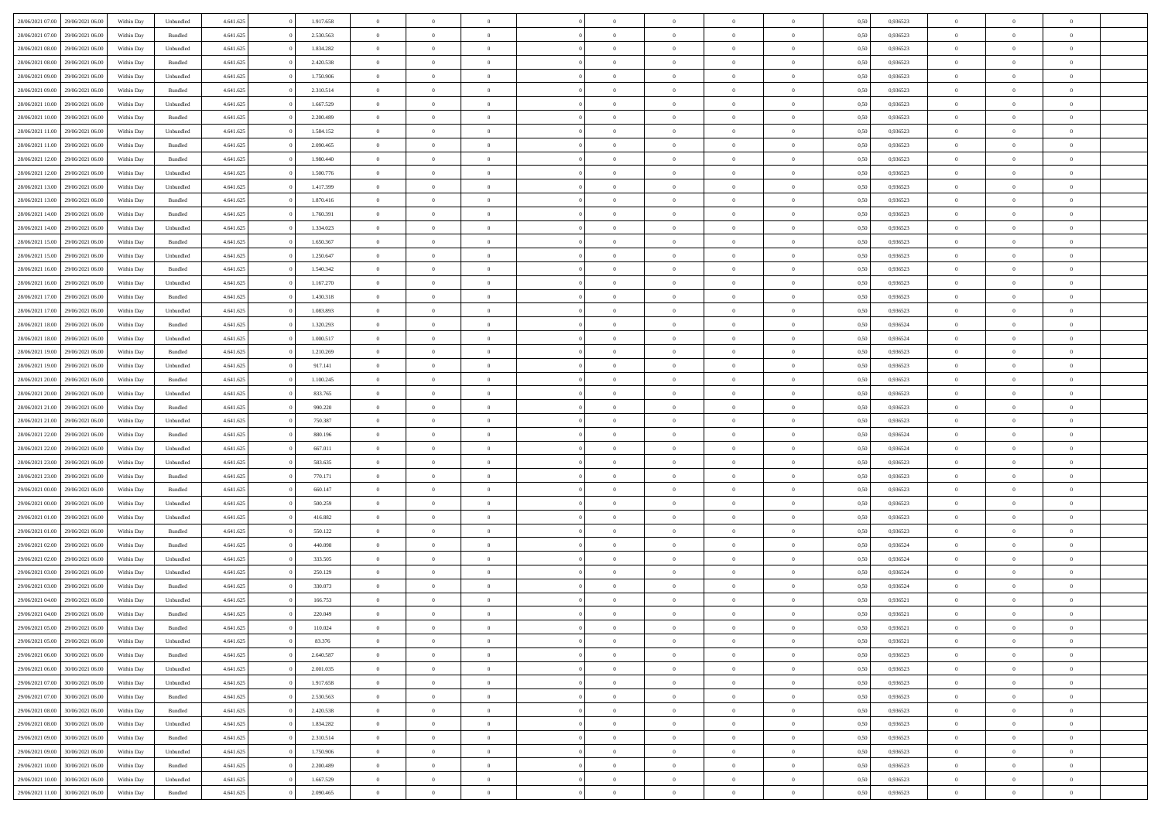| 28/06/2021 07:00 | 29/06/2021 06:00 | Within Day | Unbundled          | 4.641.625 | 1.917.658 | $\overline{0}$ | $\theta$       |                | $\overline{0}$ | $\bf{0}$       | $\overline{0}$ | $\theta$       | 0,50 | 0,936523 | $\theta$       | $\theta$       | $\theta$       |  |
|------------------|------------------|------------|--------------------|-----------|-----------|----------------|----------------|----------------|----------------|----------------|----------------|----------------|------|----------|----------------|----------------|----------------|--|
|                  |                  |            |                    |           |           | $\overline{0}$ |                | $\overline{0}$ |                |                |                |                |      |          |                |                | $\overline{0}$ |  |
| 28/06/2021 07:00 | 29/06/2021 06.0  | Within Day | Bundled            | 4.641.625 | 2.530.563 |                | $\overline{0}$ |                | $\overline{0}$ | $\bf{0}$       | $\bf{0}$       | $\bf{0}$       | 0,50 | 0,936523 | $\,$ 0 $\,$    | $\overline{0}$ |                |  |
| 28/06/2021 08:00 | 29/06/2021 06:00 | Within Day | Unbundled          | 4.641.625 | 1.834.282 | $\overline{0}$ | $\overline{0}$ | $\overline{0}$ | $\overline{0}$ | $\bf{0}$       | $\overline{0}$ | $\mathbf{0}$   | 0.50 | 0.936523 | $\overline{0}$ | $\overline{0}$ | $\overline{0}$ |  |
| 28/06/2021 08:00 | 29/06/2021 06:00 | Within Day | Bundled            | 4.641.625 | 2.420.538 | $\overline{0}$ | $\overline{0}$ | $\overline{0}$ | $\overline{0}$ | $\,0\,$        | $\overline{0}$ | $\overline{0}$ | 0,50 | 0,936523 | $\,$ 0 $\,$    | $\overline{0}$ | $\overline{0}$ |  |
| 28/06/2021 09:00 | 29/06/2021 06.00 | Within Day | Unbundled          | 4.641.625 | 1.750.906 | $\overline{0}$ | $\overline{0}$ | $\overline{0}$ | $\overline{0}$ | $\,$ 0         | $\overline{0}$ | $\bf{0}$       | 0,50 | 0,936523 | $\,$ 0 $\,$    | $\overline{0}$ | $\overline{0}$ |  |
| 28/06/2021 09:00 | 29/06/2021 06:00 | Within Day | Bundled            | 4.641.625 | 2.310.514 | $\overline{0}$ | $\overline{0}$ | $\overline{0}$ | $\overline{0}$ | $\bf{0}$       | $\overline{0}$ | $\bf{0}$       | 0.50 | 0.936523 | $\,0\,$        | $\overline{0}$ | $\overline{0}$ |  |
| 28/06/2021 10:00 | 29/06/2021 06:00 | Within Day | Unbundled          | 4.641.625 | 1.667.529 | $\overline{0}$ | $\overline{0}$ | $\overline{0}$ | $\overline{0}$ | $\bf{0}$       | $\overline{0}$ | $\bf{0}$       | 0,50 | 0,936523 | $\,$ 0 $\,$    | $\theta$       | $\overline{0}$ |  |
| 28/06/2021 10:00 | 29/06/2021 06.00 | Within Day | Bundled            | 4.641.625 | 2.200.489 | $\overline{0}$ | $\overline{0}$ | $\overline{0}$ | $\overline{0}$ | $\,$ 0         | $\bf{0}$       | $\bf{0}$       | 0,50 | 0,936523 | $\,$ 0 $\,$    | $\overline{0}$ | $\overline{0}$ |  |
| 28/06/2021 11:00 | 29/06/2021 06:00 | Within Day | Unbundled          | 4.641.625 | 1.584.152 | $\overline{0}$ | $\overline{0}$ | $\overline{0}$ | $\overline{0}$ | $\bf{0}$       | $\overline{0}$ | $\bf{0}$       | 0.50 | 0.936523 | $\bf{0}$       | $\overline{0}$ | $\bf{0}$       |  |
| 28/06/2021 11:00 | 29/06/2021 06:00 | Within Day | Bundled            | 4.641.625 | 2.090.465 | $\overline{0}$ | $\overline{0}$ | $\overline{0}$ | $\overline{0}$ | $\bf{0}$       | $\overline{0}$ | $\bf{0}$       | 0,50 | 0,936523 | $\,$ 0 $\,$    | $\overline{0}$ | $\overline{0}$ |  |
|                  |                  |            |                    |           |           |                |                |                |                |                |                |                |      |          |                |                |                |  |
| 28/06/2021 12:00 | 29/06/2021 06.00 | Within Day | Bundled            | 4.641.625 | 1.980.440 | $\bf{0}$       | $\overline{0}$ | $\overline{0}$ | $\overline{0}$ | $\,$ 0         | $\bf{0}$       | $\bf{0}$       | 0,50 | 0,936523 | $\,$ 0 $\,$    | $\overline{0}$ | $\overline{0}$ |  |
| 28/06/2021 12:00 | 29/06/2021 06:00 | Within Day | Unbundled          | 4.641.625 | 1.500.776 | $\overline{0}$ | $\overline{0}$ | $\overline{0}$ | $\overline{0}$ | $\bf{0}$       | $\overline{0}$ | $\mathbf{0}$   | 0.50 | 0.936523 | $\overline{0}$ | $\,$ 0 $\,$    | $\bf{0}$       |  |
| 28/06/2021 13:00 | 29/06/2021 06.00 | Within Day | Unbundled          | 4.641.625 | 1.417.399 | $\overline{0}$ | $\overline{0}$ | $\overline{0}$ | $\overline{0}$ | $\bf{0}$       | $\overline{0}$ | $\overline{0}$ | 0,50 | 0,936523 | $\,$ 0 $\,$    | $\overline{0}$ | $\overline{0}$ |  |
| 28/06/2021 13:00 | 29/06/2021 06.00 | Within Day | Bundled            | 4.641.625 | 1.870.416 | $\overline{0}$ | $\theta$       | $\overline{0}$ | $\overline{0}$ | $\,$ 0         | $\overline{0}$ | $\bf{0}$       | 0,50 | 0,936523 | $\,$ 0 $\,$    | $\overline{0}$ | $\overline{0}$ |  |
| 28/06/2021 14:00 | 29/06/2021 06:00 | Within Day | Bundled            | 4.641.625 | 1.760.391 | $\overline{0}$ | $\overline{0}$ | $\overline{0}$ | $\overline{0}$ | $\bf{0}$       | $\overline{0}$ | $\bf{0}$       | 0.50 | 0.936523 | $\,0\,$        | $\overline{0}$ | $\overline{0}$ |  |
| 28/06/2021 14:00 | 29/06/2021 06:00 | Within Day | Unbundled          | 4.641.625 | 1.334.023 | $\overline{0}$ | $\overline{0}$ | $\overline{0}$ | $\overline{0}$ | $\bf{0}$       | $\overline{0}$ | $\bf{0}$       | 0,50 | 0,936523 | $\,$ 0 $\,$    | $\theta$       | $\overline{0}$ |  |
| 28/06/2021 15:00 | 29/06/2021 06.00 | Within Day | Bundled            | 4.641.625 | 1.650.367 | $\overline{0}$ | $\overline{0}$ | $\overline{0}$ | $\overline{0}$ | $\,$ 0         | $\overline{0}$ | $\bf{0}$       | 0,50 | 0,936523 | $\,$ 0 $\,$    | $\overline{0}$ | $\overline{0}$ |  |
| 28/06/2021 15:00 | 29/06/2021 06:00 | Within Day | Unbundled          | 4.641.625 | 1.250.647 | $\overline{0}$ | $\overline{0}$ | $\overline{0}$ | $\overline{0}$ | $\bf{0}$       | $\overline{0}$ | $\mathbf{0}$   | 0.50 | 0.936523 | $\bf{0}$       | $\overline{0}$ | $\bf{0}$       |  |
| 28/06/2021 16:00 | 29/06/2021 06:00 | Within Day | Bundled            | 4.641.625 | 1.540.342 | $\overline{0}$ | $\overline{0}$ | $\overline{0}$ | $\overline{0}$ | $\bf{0}$       | $\overline{0}$ | $\bf{0}$       | 0,50 | 0,936523 | $\,$ 0 $\,$    | $\overline{0}$ | $\overline{0}$ |  |
| 28/06/2021 16:00 | 29/06/2021 06.00 | Within Day | Unbundled          | 4.641.625 | 1.167.270 | $\overline{0}$ | $\overline{0}$ | $\overline{0}$ | $\overline{0}$ | $\bf{0}$       | $\bf{0}$       | $\bf{0}$       | 0,50 | 0,936523 | $\,$ 0 $\,$    | $\overline{0}$ | $\overline{0}$ |  |
|                  |                  |            |                    |           |           |                |                |                |                |                |                |                |      |          |                |                |                |  |
| 28/06/2021 17:00 | 29/06/2021 06:00 | Within Day | $\mathbf B$ undled | 4.641.625 | 1.430.318 | $\overline{0}$ | $\overline{0}$ | $\overline{0}$ | $\overline{0}$ | $\bf{0}$       | $\overline{0}$ | $\mathbf{0}$   | 0.50 | 0.936523 | $\,$ 0 $\,$    | $\,$ 0 $\,$    | $\overline{0}$ |  |
| 28/06/2021 17:00 | 29/06/2021 06.00 | Within Day | Unbundled          | 4.641.625 | 1.083.893 | $\overline{0}$ | $\overline{0}$ | $\overline{0}$ | $\overline{0}$ | $\bf{0}$       | $\overline{0}$ | $\overline{0}$ | 0,50 | 0,936523 | $\,$ 0 $\,$    | $\overline{0}$ | $\overline{0}$ |  |
| 28/06/2021 18:00 | 29/06/2021 06.00 | Within Day | Bundled            | 4.641.625 | 1.320.293 | $\overline{0}$ | $\overline{0}$ | $\overline{0}$ | $\overline{0}$ | $\,$ 0         | $\overline{0}$ | $\bf{0}$       | 0,50 | 0,936524 | $\,$ 0 $\,$    | $\overline{0}$ | $\overline{0}$ |  |
| 28/06/2021 18:00 | 29/06/2021 06:00 | Within Day | Unbundled          | 4.641.625 | 1.000.517 | $\overline{0}$ | $\overline{0}$ | $\overline{0}$ | $\overline{0}$ | $\bf{0}$       | $\overline{0}$ | $\bf{0}$       | 0.50 | 0.936524 | $\,0\,$        | $\overline{0}$ | $\overline{0}$ |  |
| 28/06/2021 19:00 | 29/06/2021 06:00 | Within Day | Bundled            | 4.641.625 | 1.210.269 | $\overline{0}$ | $\overline{0}$ | $\overline{0}$ | $\overline{0}$ | $\bf{0}$       | $\overline{0}$ | $\bf{0}$       | 0,50 | 0,936523 | $\,$ 0 $\,$    | $\theta$       | $\overline{0}$ |  |
| 28/06/2021 19:00 | 29/06/2021 06.00 | Within Day | Unbundled          | 4.641.625 | 917.141   | $\overline{0}$ | $\overline{0}$ | $\overline{0}$ | $\overline{0}$ | $\,$ 0         | $\bf{0}$       | $\bf{0}$       | 0,50 | 0,936523 | $\,$ 0 $\,$    | $\overline{0}$ | $\overline{0}$ |  |
| 28/06/2021 20:00 | 29/06/2021 06:00 | Within Day | Bundled            | 4.641.625 | 1.100.245 | $\overline{0}$ | $\overline{0}$ | $\overline{0}$ | $\overline{0}$ | $\bf{0}$       | $\overline{0}$ | $\mathbf{0}$   | 0.50 | 0.936523 | $\bf{0}$       | $\overline{0}$ | $\bf{0}$       |  |
| 28/06/2021 20:00 | 29/06/2021 06.00 | Within Day | Unbundled          | 4.641.625 | 833.765   | $\overline{0}$ | $\overline{0}$ | $\overline{0}$ | $\overline{0}$ | $\bf{0}$       | $\overline{0}$ | $\bf{0}$       | 0,50 | 0,936523 | $\,$ 0 $\,$    | $\overline{0}$ | $\overline{0}$ |  |
| 28/06/2021 21:00 | 29/06/2021 06.00 | Within Day | Bundled            | 4.641.625 | 990.220   | $\bf{0}$       | $\overline{0}$ | $\overline{0}$ | $\overline{0}$ | $\bf{0}$       | $\bf{0}$       | $\bf{0}$       | 0,50 | 0,936523 | $\,$ 0 $\,$    | $\overline{0}$ | $\overline{0}$ |  |
| 28/06/2021 21:00 | 29/06/2021 06:00 | Within Day | Unbundled          | 4.641.625 | 750.387   | $\overline{0}$ | $\overline{0}$ | $\overline{0}$ | $\overline{0}$ | $\bf{0}$       | $\overline{0}$ | $\mathbf{0}$   | 0.50 | 0.936523 | $\overline{0}$ | $\,$ 0 $\,$    | $\bf{0}$       |  |
| 28/06/2021 22:00 | 29/06/2021 06:00 | Within Dav | Bundled            | 4.641.625 | 880.196   | $\overline{0}$ | $\overline{0}$ | $\overline{0}$ | $\overline{0}$ | $\overline{0}$ | $\overline{0}$ | $\overline{0}$ | 0.50 | 0,936524 | $\theta$       | $\overline{0}$ | $\overline{0}$ |  |
|                  |                  |            |                    |           |           | $\overline{0}$ | $\overline{0}$ | $\overline{0}$ | $\overline{0}$ | $\bf{0}$       | $\overline{0}$ |                |      |          | $\,$ 0 $\,$    | $\overline{0}$ | $\overline{0}$ |  |
| 28/06/2021 22:00 | 29/06/2021 06.00 | Within Day | Unbundled          | 4.641.625 | 667.011   |                |                |                |                |                |                | $\bf{0}$       | 0,50 | 0,936524 |                |                |                |  |
| 28/06/2021 23:00 | 29/06/2021 06:00 | Within Day | Unbundled          | 4.641.625 | 583.635   | $\overline{0}$ | $\overline{0}$ | $\overline{0}$ | $\overline{0}$ | $\bf{0}$       | $\overline{0}$ | $\bf{0}$       | 0.50 | 0.936523 | $\,0\,$        | $\overline{0}$ | $\overline{0}$ |  |
| 28/06/2021 23:00 | 29/06/2021 06:00 | Within Dav | Bundled            | 4.641.625 | 770.171   | $\overline{0}$ | $\overline{0}$ | $\Omega$       | $\overline{0}$ | $\mathbf{0}$   | $\overline{0}$ | $\overline{0}$ | 0,50 | 0.936523 | $\theta$       | $\overline{0}$ | $\overline{0}$ |  |
| 29/06/2021 00:00 | 29/06/2021 06.00 | Within Day | Bundled            | 4.641.625 | 660.147   | $\bf{0}$       | $\overline{0}$ | $\overline{0}$ | $\overline{0}$ | $\,$ 0         | $\bf{0}$       | $\bf{0}$       | 0,50 | 0,936523 | $\,$ 0 $\,$    | $\overline{0}$ | $\overline{0}$ |  |
| 29/06/2021 00:00 | 29/06/2021 06:00 | Within Day | Unbundled          | 4.641.625 | 500.259   | $\overline{0}$ | $\overline{0}$ | $\overline{0}$ | $\overline{0}$ | $\bf{0}$       | $\overline{0}$ | $\mathbf{0}$   | 0.50 | 0.936523 | $\bf{0}$       | $\overline{0}$ | $\bf{0}$       |  |
| 29/06/2021 01:00 | 29/06/2021 06:00 | Within Dav | Unbundled          | 4.641.625 | 416.882   | $\overline{0}$ | $\overline{0}$ | $\overline{0}$ | $\overline{0}$ | $\overline{0}$ | $\overline{0}$ | $\overline{0}$ | 0,50 | 0.936523 | $\theta$       | $\overline{0}$ | $\overline{0}$ |  |
| 29/06/2021 01:00 | 29/06/2021 06.0  | Within Day | Bundled            | 4.641.625 | 550.122   | $\bf{0}$       | $\overline{0}$ | $\overline{0}$ | $\bf{0}$       | $\bf{0}$       | $\bf{0}$       | $\bf{0}$       | 0,50 | 0,936523 | $\,$ 0 $\,$    | $\overline{0}$ | $\overline{0}$ |  |
| 29/06/2021 02:00 | 29/06/2021 06:00 | Within Day | Bundled            | 4.641.625 | 440 098   | $\overline{0}$ | $\overline{0}$ | $\overline{0}$ | $\overline{0}$ | $\bf{0}$       | $\overline{0}$ | $\mathbf{0}$   | 0.50 | 0.936524 | $\overline{0}$ | $\,$ 0 $\,$    | $\bf{0}$       |  |
| 29/06/2021 02:00 | 29/06/2021 06:00 | Within Dav | Unbundled          | 4.641.625 | 333.505   | $\overline{0}$ | $\overline{0}$ | $\Omega$       | $\overline{0}$ | $\overline{0}$ | $\overline{0}$ | $\overline{0}$ | 0.50 | 0,936524 | $\theta$       | $\overline{0}$ | $\overline{0}$ |  |
| 29/06/2021 03:00 | 29/06/2021 06.00 | Within Day | Unbundled          | 4.641.625 | 250.129   | $\overline{0}$ | $\overline{0}$ | $\overline{0}$ | $\overline{0}$ | $\bf{0}$       | $\overline{0}$ | $\bf{0}$       | 0,50 | 0,936524 | $\,$ 0 $\,$    | $\overline{0}$ | $\overline{0}$ |  |
| 29/06/2021 03:00 | 29/06/2021 06:00 | Within Day | Bundled            | 4.641.625 | 330.073   | $\overline{0}$ | $\overline{0}$ | $\overline{0}$ | $\overline{0}$ | $\overline{0}$ | $\Omega$       | $\overline{0}$ | 0.50 | 0.936524 | $\,0\,$        | $\theta$       | $\overline{0}$ |  |
| 29/06/2021 04:00 | 29/06/2021 06:00 | Within Dav | Unbundled          | 4.641.625 | 166.753   | $\overline{0}$ | $\theta$       | $\Omega$       | $\overline{0}$ | $\bf{0}$       | $\overline{0}$ | $\overline{0}$ | 0.50 | 0,936521 | $\theta$       | $\overline{0}$ | $\overline{0}$ |  |
| 29/06/2021 04:00 | 29/06/2021 06:00 | Within Day | Bundled            | 4.641.625 | 220.049   | $\overline{0}$ | $\overline{0}$ | $\overline{0}$ | $\bf{0}$       | $\,$ 0         | $\bf{0}$       | $\bf{0}$       | 0,50 | 0,936521 | $\,$ 0 $\,$    | $\overline{0}$ | $\overline{0}$ |  |
| 29/06/2021 05:00 | 29/06/2021 06:00 |            |                    |           | 110.024   |                |                |                |                |                |                |                | 0,50 | 0.936521 |                |                |                |  |
|                  |                  | Within Day | $\mathbf B$ undled | 4.641.625 |           | $\bf{0}$       | $\theta$       |                | $^{\circ}$     | $\Omega$       |                |                |      |          | $\bf{0}$       | $\theta$       |                |  |
| 29/06/2021 05:00 | 29/06/2021 06:00 | Within Day | Unbundled          | 4.641.625 | 83.376    | $\overline{0}$ | $\overline{0}$ | $\overline{0}$ | $\overline{0}$ | $\overline{0}$ | $\overline{0}$ | $\mathbf{0}$   | 0,50 | 0,936521 | $\theta$       | $\overline{0}$ | $\overline{0}$ |  |
| 29/06/2021 06:00 | 30/06/2021 06:00 | Within Day | Bundled            | 4.641.625 | 2.640.587 | $\overline{0}$ | $\overline{0}$ | $\overline{0}$ | $\bf{0}$       | $\overline{0}$ | $\overline{0}$ | $\mathbf{0}$   | 0,50 | 0,936523 | $\bf{0}$       | $\overline{0}$ | $\bf{0}$       |  |
| 29/06/2021 06:00 | 30/06/2021 06:00 | Within Day | Unbundled          | 4.641.625 | 2.001.035 | $\overline{0}$ | $\overline{0}$ | $\overline{0}$ | $\overline{0}$ | $\overline{0}$ | $\overline{0}$ | $\mathbf{0}$   | 0.50 | 0.936523 | $\overline{0}$ | $\bf{0}$       | $\bf{0}$       |  |
| 29/06/2021 07:00 | 30/06/2021 06:00 | Within Day | Unbundled          | 4.641.625 | 1.917.658 | $\overline{0}$ | $\overline{0}$ | $\overline{0}$ | $\overline{0}$ | $\mathbf{0}$   | $\overline{0}$ | $\mathbf{0}$   | 0,50 | 0.936523 | $\overline{0}$ | $\theta$       | $\overline{0}$ |  |
| 29/06/2021 07:00 | 30/06/2021 06:00 | Within Day | Bundled            | 4.641.625 | 2.530.563 | $\overline{0}$ | $\overline{0}$ | $\overline{0}$ | $\overline{0}$ | $\bf{0}$       | $\bf{0}$       | $\bf{0}$       | 0,50 | 0,936523 | $\bf{0}$       | $\overline{0}$ | $\overline{0}$ |  |
| 29/06/2021 08:00 | 30/06/2021 06:00 | Within Day | Bundled            | 4.641.625 | 2.420.538 | $\overline{0}$ | $\overline{0}$ | $\overline{0}$ | $\overline{0}$ | $\bf{0}$       | $\overline{0}$ | $\mathbf{0}$   | 0.50 | 0.936523 | $\,$ 0 $\,$    | $\theta$       | $\,$ 0         |  |
| 29/06/2021 08:00 | 30/06/2021 06:00 | Within Day | Unbundled          | 4.641.625 | 1.834.282 | $\overline{0}$ | $\overline{0}$ | $\overline{0}$ | $\overline{0}$ | $\overline{0}$ | $\overline{0}$ | $\overline{0}$ | 0,50 | 0.936523 | $\overline{0}$ | $\theta$       | $\overline{0}$ |  |
| 29/06/2021 09:00 | 30/06/2021 06:00 | Within Day | Bundled            | 4.641.625 | 2.310.514 | $\overline{0}$ | $\,$ 0         | $\overline{0}$ | $\bf{0}$       | $\,$ 0 $\,$    | $\overline{0}$ | $\bf{0}$       | 0,50 | 0,936523 | $\,$ 0 $\,$    | $\overline{0}$ | $\overline{0}$ |  |
| 29/06/2021 09:00 | 30/06/2021 06:00 | Within Day | Unbundled          | 4.641.625 | 1.750.906 | $\overline{0}$ | $\overline{0}$ | $\overline{0}$ | $\overline{0}$ | $\bf{0}$       | $\overline{0}$ | $\mathbf{0}$   | 0.50 | 0.936523 | $\mathbf{0}$   | $\,$ 0 $\,$    | $\overline{0}$ |  |
| 29/06/2021 10:00 | 30/06/2021 06:00 | Within Day | Bundled            | 4.641.625 | 2.200.489 | $\overline{0}$ | $\overline{0}$ | $\overline{0}$ | $\overline{0}$ | $\overline{0}$ | $\overline{0}$ | $\overline{0}$ | 0,50 | 0.936523 | $\overline{0}$ | $\theta$       | $\overline{0}$ |  |
| 29/06/2021 10:00 | 30/06/2021 06.00 | Within Day | Unbundled          | 4.641.625 | 1.667.529 | $\overline{0}$ | $\overline{0}$ | $\overline{0}$ | $\bf{0}$       | $\bf{0}$       | $\bf{0}$       | $\bf{0}$       | 0,50 | 0,936523 | $\bf{0}$       | $\overline{0}$ | $\bf{0}$       |  |
|                  |                  |            |                    |           |           |                |                |                |                |                |                |                |      |          |                |                |                |  |
| 29/06/2021 11:00 | 30/06/2021 06:00 | Within Day | Bundled            | 4.641.625 | 2.090.465 | $\,$ 0 $\,$    | $\,$ 0 $\,$    | $\overline{0}$ | $\overline{0}$ | $\,$ 0 $\,$    | $\overline{0}$ | $\,$ 0 $\,$    | 0,50 | 0,936523 | $\overline{0}$ | $\,$ 0 $\,$    | $\,$ 0 $\,$    |  |